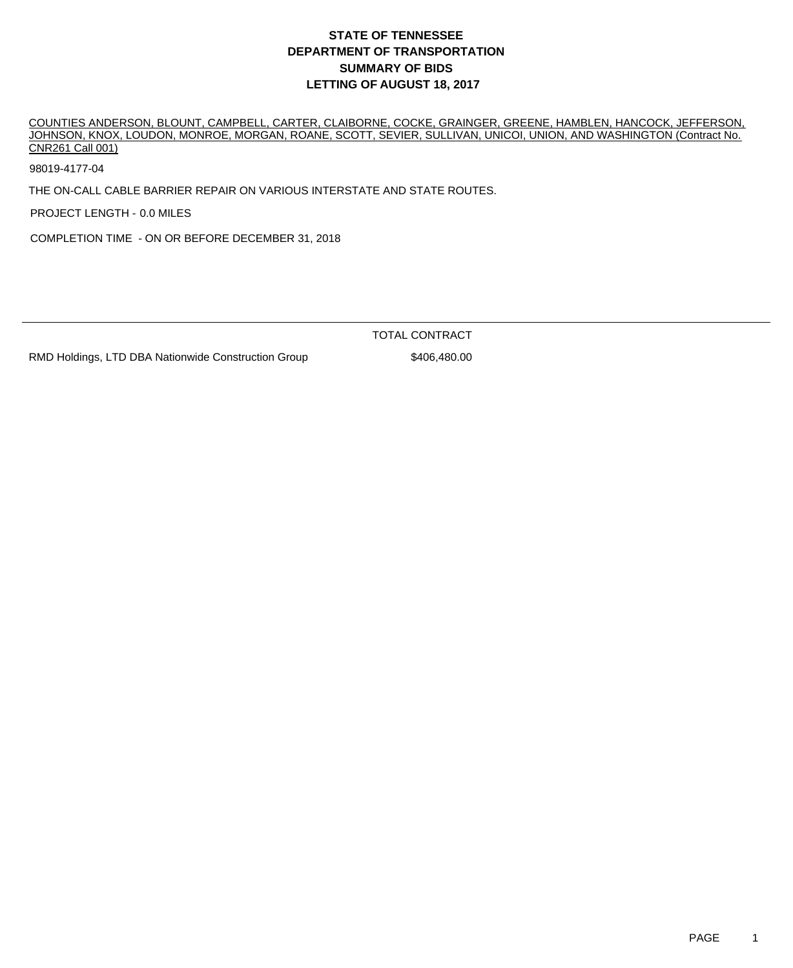COUNTIES ANDERSON, BLOUNT, CAMPBELL, CARTER, CLAIBORNE, COCKE, GRAINGER, GREENE, HAMBLEN, HANCOCK, JEFFERSON, JOHNSON, KNOX, LOUDON, MONROE, MORGAN, ROANE, SCOTT, SEVIER, SULLIVAN, UNICOI, UNION, AND WASHINGTON (Contract No. CNR261 Call 001)

98019-4177-04

THE ON-CALL CABLE BARRIER REPAIR ON VARIOUS INTERSTATE AND STATE ROUTES.

PROJECT LENGTH - 0.0 MILES

COMPLETION TIME - ON OR BEFORE DECEMBER 31, 2018

TOTAL CONTRACT

RMD Holdings, LTD DBA Nationwide Construction Group \$406,480.00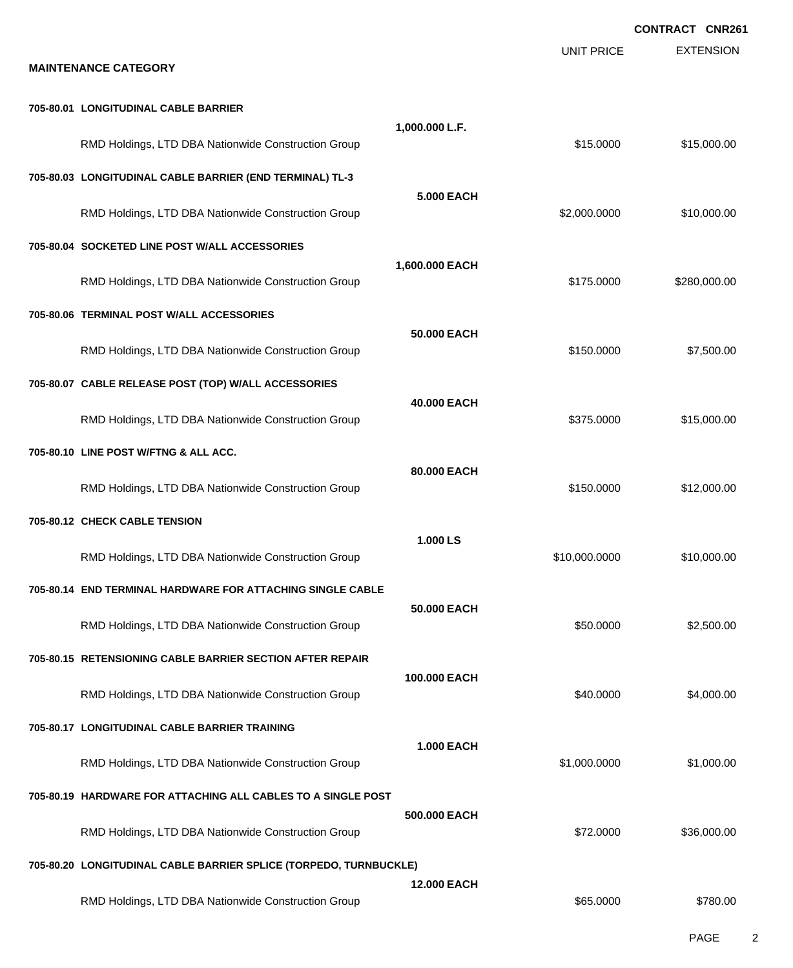|                                                                   |                    |                   | <b>CONTRACT CNR261</b> |
|-------------------------------------------------------------------|--------------------|-------------------|------------------------|
| <b>MAINTENANCE CATEGORY</b>                                       |                    | <b>UNIT PRICE</b> | <b>EXTENSION</b>       |
| 705-80.01 LONGITUDINAL CABLE BARRIER                              |                    |                   |                        |
| RMD Holdings, LTD DBA Nationwide Construction Group               | 1,000.000 L.F.     | \$15.0000         | \$15,000.00            |
| 705-80.03 LONGITUDINAL CABLE BARRIER (END TERMINAL) TL-3          | <b>5.000 EACH</b>  |                   |                        |
| RMD Holdings, LTD DBA Nationwide Construction Group               |                    | \$2,000.0000      | \$10,000.00            |
| 705-80.04 SOCKETED LINE POST W/ALL ACCESSORIES                    |                    |                   |                        |
| RMD Holdings, LTD DBA Nationwide Construction Group               | 1,600.000 EACH     | \$175.0000        | \$280,000.00           |
| 705-80.06 TERMINAL POST W/ALL ACCESSORIES                         |                    |                   |                        |
| RMD Holdings, LTD DBA Nationwide Construction Group               | 50.000 EACH        | \$150.0000        | \$7,500.00             |
| 705-80.07 CABLE RELEASE POST (TOP) W/ALL ACCESSORIES              |                    |                   |                        |
| RMD Holdings, LTD DBA Nationwide Construction Group               | 40.000 EACH        | \$375.0000        | \$15,000.00            |
| 705-80.10 LINE POST W/FTNG & ALL ACC.                             |                    |                   |                        |
| RMD Holdings, LTD DBA Nationwide Construction Group               | 80.000 EACH        | \$150.0000        | \$12,000.00            |
| 705-80.12 CHECK CABLE TENSION                                     |                    |                   |                        |
| RMD Holdings, LTD DBA Nationwide Construction Group               | 1.000 LS           | \$10,000.0000     | \$10,000.00            |
| 705-80.14 END TERMINAL HARDWARE FOR ATTACHING SINGLE CABLE        |                    |                   |                        |
| RMD Holdings, LTD DBA Nationwide Construction Group               | 50.000 EACH        | \$50.0000         | \$2,500.00             |
| 705-80.15 RETENSIONING CABLE BARRIER SECTION AFTER REPAIR         |                    |                   |                        |
| RMD Holdings, LTD DBA Nationwide Construction Group               | 100.000 EACH       | \$40.0000         | \$4,000.00             |
| 705-80.17 LONGITUDINAL CABLE BARRIER TRAINING                     |                    |                   |                        |
| RMD Holdings, LTD DBA Nationwide Construction Group               | <b>1.000 EACH</b>  | \$1,000.0000      | \$1,000.00             |
| 705-80.19 HARDWARE FOR ATTACHING ALL CABLES TO A SINGLE POST      |                    |                   |                        |
| RMD Holdings, LTD DBA Nationwide Construction Group               | 500,000 EACH       | \$72.0000         | \$36,000.00            |
| 705-80.20 LONGITUDINAL CABLE BARRIER SPLICE (TORPEDO, TURNBUCKLE) |                    |                   |                        |
| RMD Holdings, LTD DBA Nationwide Construction Group               | <b>12.000 EACH</b> | \$65.0000         | \$780.00               |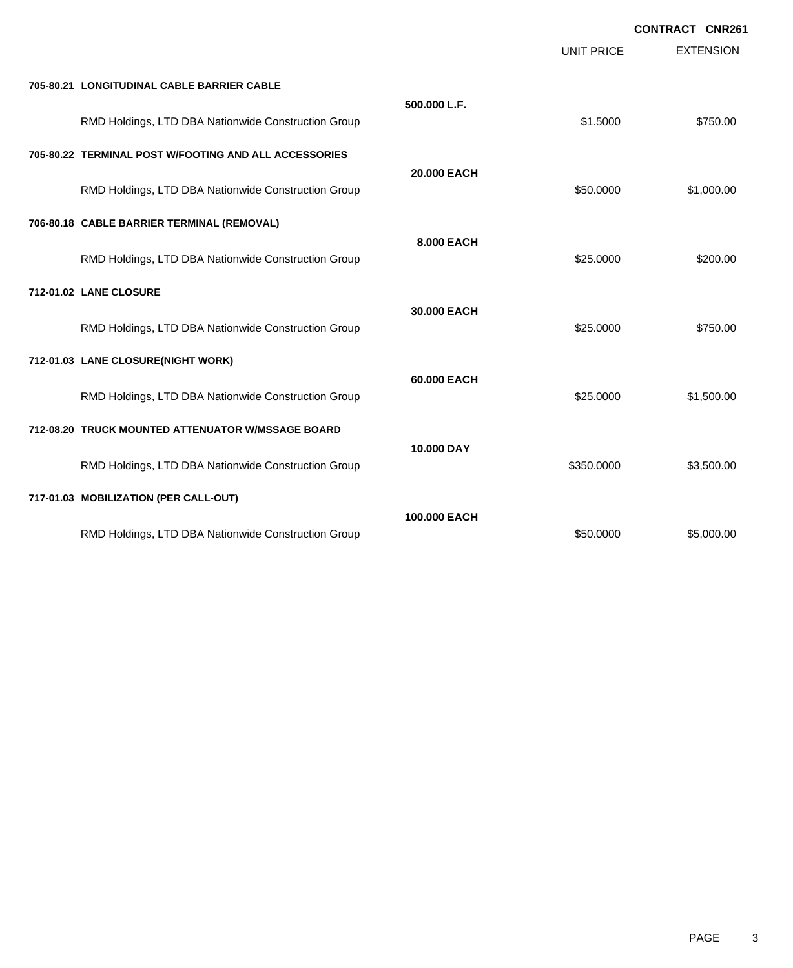|                                                       |              | UNIT PRICE | <b>EXTENSION</b> |
|-------------------------------------------------------|--------------|------------|------------------|
| 705-80.21 LONGITUDINAL CABLE BARRIER CABLE            |              |            |                  |
| RMD Holdings, LTD DBA Nationwide Construction Group   | 500.000 L.F. | \$1.5000   | \$750.00         |
| 705-80.22 TERMINAL POST W/FOOTING AND ALL ACCESSORIES |              |            |                  |
| RMD Holdings, LTD DBA Nationwide Construction Group   | 20.000 EACH  | \$50.0000  | \$1,000.00       |
| 706-80.18 CABLE BARRIER TERMINAL (REMOVAL)            |              |            |                  |
| RMD Holdings, LTD DBA Nationwide Construction Group   | 8.000 EACH   | \$25.0000  | \$200.00         |
| 712-01.02 LANE CLOSURE                                |              |            |                  |
| RMD Holdings, LTD DBA Nationwide Construction Group   | 30.000 EACH  | \$25.0000  | \$750.00         |
| 712-01.03 LANE CLOSURE(NIGHT WORK)                    |              |            |                  |
| RMD Holdings, LTD DBA Nationwide Construction Group   | 60.000 EACH  | \$25.0000  | \$1,500.00       |
| 712-08.20 TRUCK MOUNTED ATTENUATOR W/MSSAGE BOARD     |              |            |                  |
| RMD Holdings, LTD DBA Nationwide Construction Group   | 10.000 DAY   | \$350.0000 | \$3,500.00       |
| 717-01.03 MOBILIZATION (PER CALL-OUT)                 |              |            |                  |
| RMD Holdings, LTD DBA Nationwide Construction Group   | 100,000 EACH | \$50,0000  | \$5,000.00       |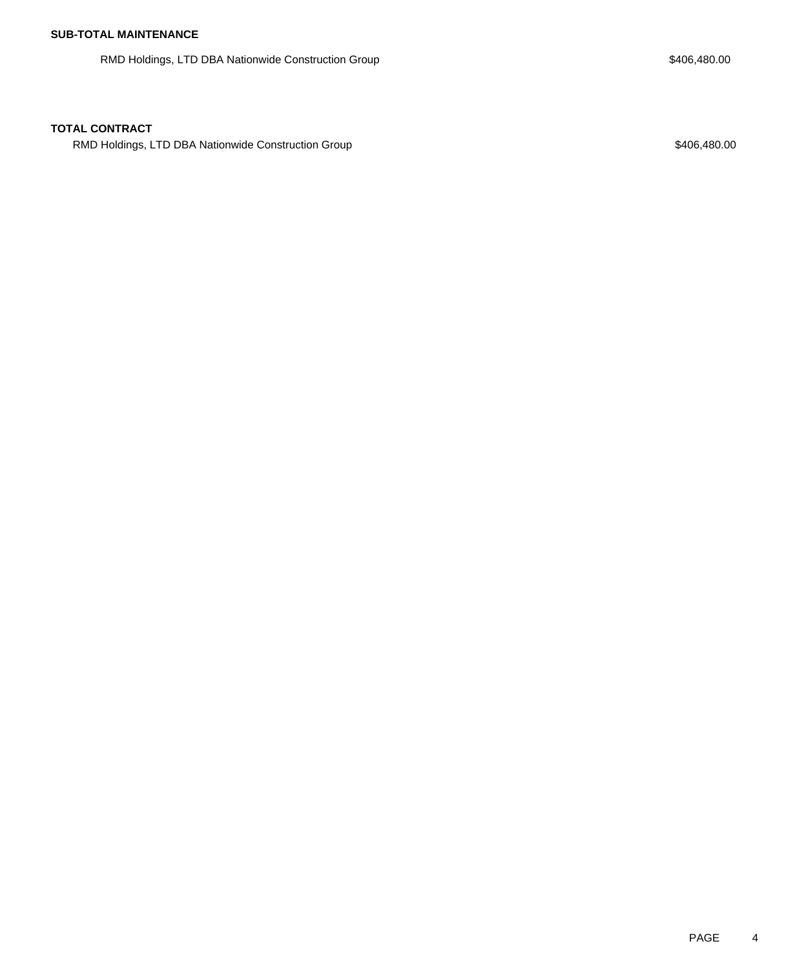RMD Holdings, LTD DBA Nationwide Construction Group **\$406,480.00** \$406,480.00

RMD Holdings, LTD DBA Nationwide Construction Group **\$406,480.00** \$406,480.00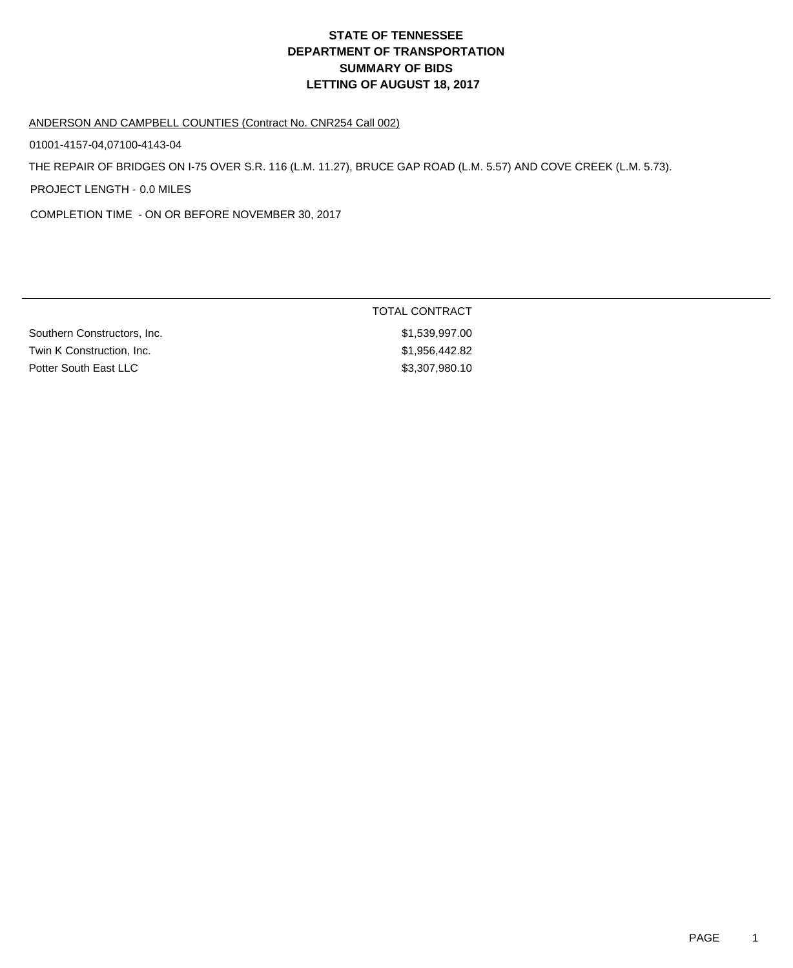#### ANDERSON AND CAMPBELL COUNTIES (Contract No. CNR254 Call 002)

01001-4157-04,07100-4143-04

THE REPAIR OF BRIDGES ON I-75 OVER S.R. 116 (L.M. 11.27), BRUCE GAP ROAD (L.M. 5.57) AND COVE CREEK (L.M. 5.73).

PROJECT LENGTH - 0.0 MILES

COMPLETION TIME - ON OR BEFORE NOVEMBER 30, 2017

|                             | TOTAL CONTRACT |  |
|-----------------------------|----------------|--|
| Southern Constructors, Inc. | \$1,539,997.00 |  |
| Twin K Construction, Inc.   | \$1,956,442.82 |  |
| Potter South East LLC       | \$3,307,980.10 |  |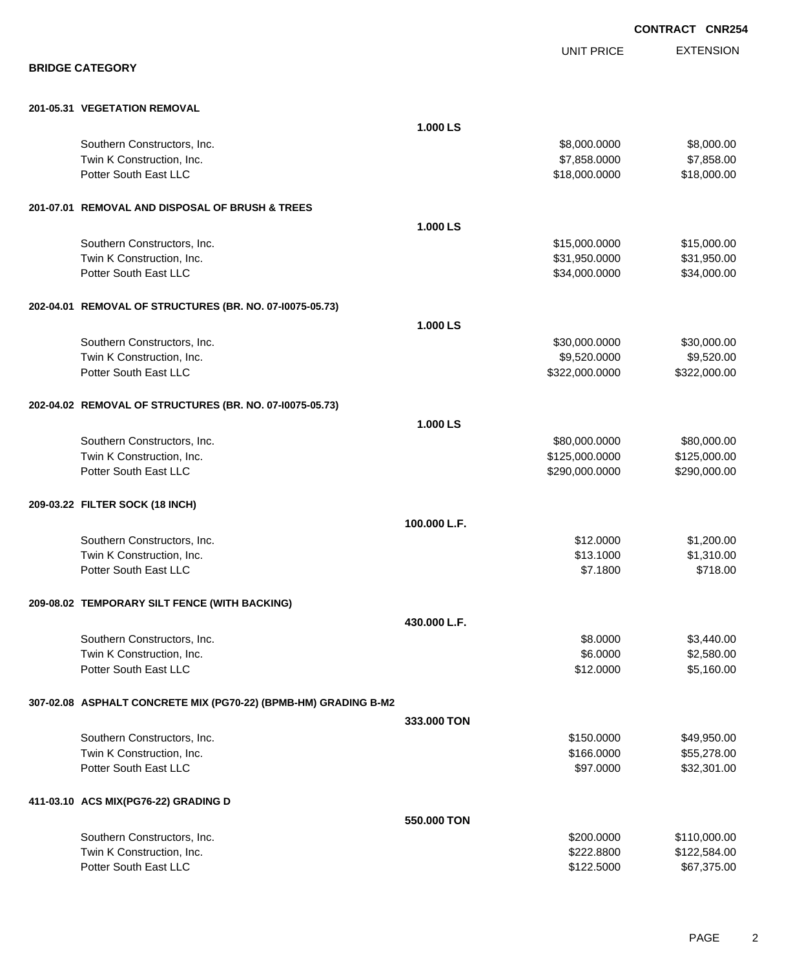|                                                                 |              |                   | <b>CONTRACT CNR254</b> |
|-----------------------------------------------------------------|--------------|-------------------|------------------------|
|                                                                 |              | <b>UNIT PRICE</b> | <b>EXTENSION</b>       |
| <b>BRIDGE CATEGORY</b>                                          |              |                   |                        |
| 201-05.31 VEGETATION REMOVAL                                    |              |                   |                        |
|                                                                 | 1.000 LS     |                   |                        |
| Southern Constructors, Inc.                                     |              | \$8,000.0000      | \$8,000.00             |
| Twin K Construction, Inc.                                       |              | \$7,858.0000      | \$7,858.00             |
| Potter South East LLC                                           |              | \$18,000.0000     | \$18,000.00            |
| 201-07.01 REMOVAL AND DISPOSAL OF BRUSH & TREES                 |              |                   |                        |
|                                                                 | 1.000 LS     |                   |                        |
| Southern Constructors, Inc.                                     |              | \$15,000.0000     | \$15,000.00            |
| Twin K Construction, Inc.                                       |              | \$31,950.0000     | \$31,950.00            |
| Potter South East LLC                                           |              | \$34,000.0000     | \$34,000.00            |
| 202-04.01 REMOVAL OF STRUCTURES (BR. NO. 07-10075-05.73)        |              |                   |                        |
|                                                                 | 1.000 LS     |                   |                        |
| Southern Constructors, Inc.                                     |              | \$30,000.0000     | \$30,000.00            |
| Twin K Construction, Inc.                                       |              | \$9,520.0000      | \$9,520.00             |
| Potter South East LLC                                           |              | \$322,000.0000    | \$322,000.00           |
| 202-04.02 REMOVAL OF STRUCTURES (BR. NO. 07-10075-05.73)        |              |                   |                        |
|                                                                 | 1.000 LS     |                   |                        |
| Southern Constructors, Inc.                                     |              | \$80,000.0000     | \$80,000.00            |
| Twin K Construction, Inc.                                       |              | \$125,000.0000    | \$125,000.00           |
| Potter South East LLC                                           |              | \$290,000.0000    | \$290,000.00           |
| 209-03.22 FILTER SOCK (18 INCH)                                 |              |                   |                        |
|                                                                 | 100.000 L.F. |                   |                        |
| Southern Constructors, Inc.                                     |              | \$12.0000         | \$1,200.00             |
| Twin K Construction, Inc.                                       |              | \$13.1000         | \$1,310.00             |
| Potter South East LLC                                           |              | \$7.1800          | \$718.00               |
| 209-08.02 TEMPORARY SILT FENCE (WITH BACKING)                   |              |                   |                        |
|                                                                 | 430.000 L.F. |                   |                        |
| Southern Constructors, Inc.                                     |              | \$8.0000          | \$3,440.00             |
| Twin K Construction, Inc.                                       |              | \$6.0000          | \$2,580.00             |
| Potter South East LLC                                           |              | \$12.0000         | \$5,160.00             |
| 307-02.08 ASPHALT CONCRETE MIX (PG70-22) (BPMB-HM) GRADING B-M2 |              |                   |                        |
|                                                                 | 333.000 TON  |                   |                        |
| Southern Constructors, Inc.                                     |              | \$150.0000        | \$49,950.00            |
| Twin K Construction, Inc.                                       |              | \$166.0000        | \$55,278.00            |
| Potter South East LLC                                           |              | \$97.0000         | \$32,301.00            |
| 411-03.10 ACS MIX(PG76-22) GRADING D                            |              |                   |                        |
|                                                                 | 550.000 TON  |                   |                        |
| Southern Constructors, Inc.                                     |              | \$200.0000        | \$110,000.00           |
| Twin K Construction, Inc.                                       |              | \$222.8800        | \$122,584.00           |
| Potter South East LLC                                           |              | \$122.5000        | \$67,375.00            |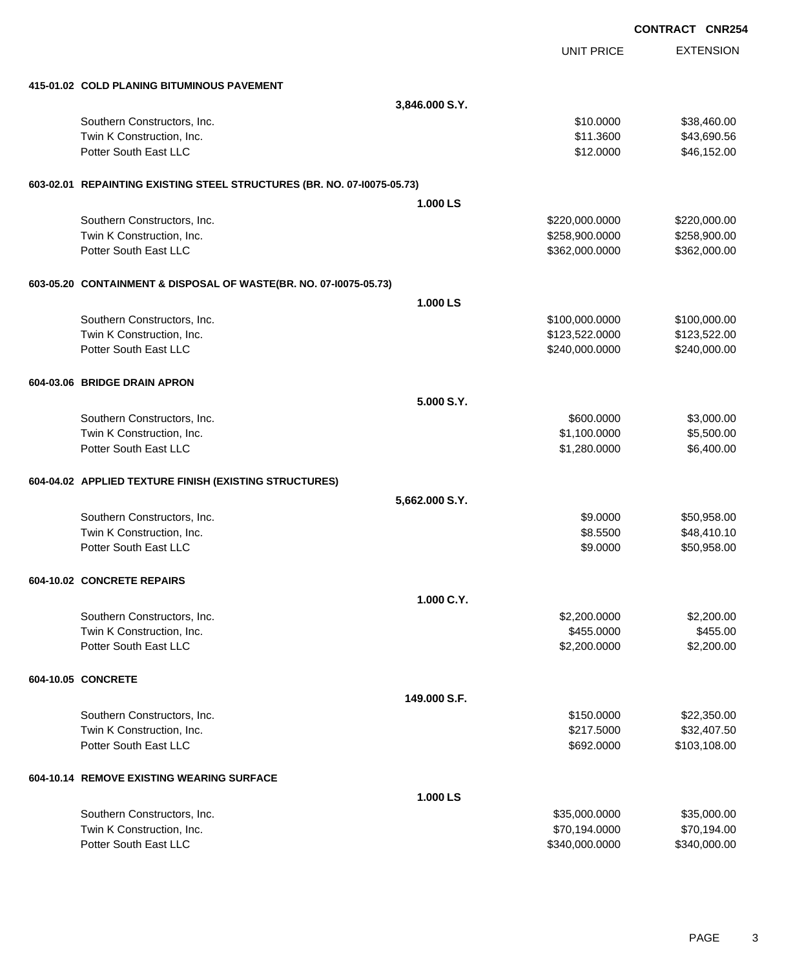|                                                                         |                |                   | <b>CONTRACT CNR254</b> |
|-------------------------------------------------------------------------|----------------|-------------------|------------------------|
|                                                                         |                | <b>UNIT PRICE</b> | <b>EXTENSION</b>       |
| 415-01.02 COLD PLANING BITUMINOUS PAVEMENT                              |                |                   |                        |
|                                                                         | 3,846.000 S.Y. |                   |                        |
| Southern Constructors, Inc.                                             |                | \$10.0000         | \$38,460.00            |
| Twin K Construction, Inc.                                               |                | \$11.3600         | \$43,690.56            |
| Potter South East LLC                                                   |                | \$12.0000         | \$46,152.00            |
| 603-02.01 REPAINTING EXISTING STEEL STRUCTURES (BR. NO. 07-10075-05.73) |                |                   |                        |
|                                                                         | 1.000 LS       |                   |                        |
| Southern Constructors, Inc.                                             |                | \$220,000.0000    | \$220,000.00           |
| Twin K Construction, Inc.                                               |                | \$258,900.0000    | \$258,900.00           |
| Potter South East LLC                                                   |                | \$362,000.0000    | \$362,000.00           |
| 603-05.20 CONTAINMENT & DISPOSAL OF WASTE(BR. NO. 07-10075-05.73)       |                |                   |                        |
|                                                                         | 1.000 LS       |                   |                        |
| Southern Constructors, Inc.                                             |                | \$100,000.0000    | \$100,000.00           |
| Twin K Construction, Inc.                                               |                | \$123,522.0000    | \$123,522.00           |
| Potter South East LLC                                                   |                | \$240,000.0000    | \$240,000.00           |
| 604-03.06 BRIDGE DRAIN APRON                                            |                |                   |                        |
|                                                                         | 5.000 S.Y.     |                   |                        |
| Southern Constructors, Inc.                                             |                | \$600.0000        | \$3,000.00             |
| Twin K Construction, Inc.                                               |                | \$1,100.0000      | \$5,500.00             |
| Potter South East LLC                                                   |                | \$1,280.0000      | \$6,400.00             |
| 604-04.02 APPLIED TEXTURE FINISH (EXISTING STRUCTURES)                  |                |                   |                        |
|                                                                         | 5,662.000 S.Y. |                   |                        |
| Southern Constructors, Inc.                                             |                | \$9.0000          | \$50,958.00            |
| Twin K Construction, Inc.                                               |                | \$8.5500          | \$48,410.10            |
| Potter South East LLC                                                   |                | \$9.0000          | \$50,958.00            |
| 604-10.02 CONCRETE REPAIRS                                              |                |                   |                        |
|                                                                         | 1.000 C.Y.     |                   |                        |
| Southern Constructors, Inc.                                             |                | \$2,200.0000      | \$2,200.00             |
| Twin K Construction, Inc.                                               |                | \$455.0000        | \$455.00               |
| Potter South East LLC                                                   |                | \$2,200.0000      | \$2,200.00             |
| 604-10.05 CONCRETE                                                      |                |                   |                        |
|                                                                         | 149,000 S.F.   |                   |                        |
| Southern Constructors, Inc.                                             |                | \$150.0000        | \$22,350.00            |
| Twin K Construction, Inc.                                               |                | \$217.5000        | \$32,407.50            |
| Potter South East LLC                                                   |                | \$692.0000        | \$103,108.00           |
| 604-10.14 REMOVE EXISTING WEARING SURFACE                               |                |                   |                        |
|                                                                         | 1.000 LS       |                   |                        |
| Southern Constructors, Inc.                                             |                | \$35,000.0000     | \$35,000.00            |
| Twin K Construction, Inc.                                               |                | \$70,194.0000     | \$70,194.00            |
| Potter South East LLC                                                   |                | \$340,000.0000    | \$340,000.00           |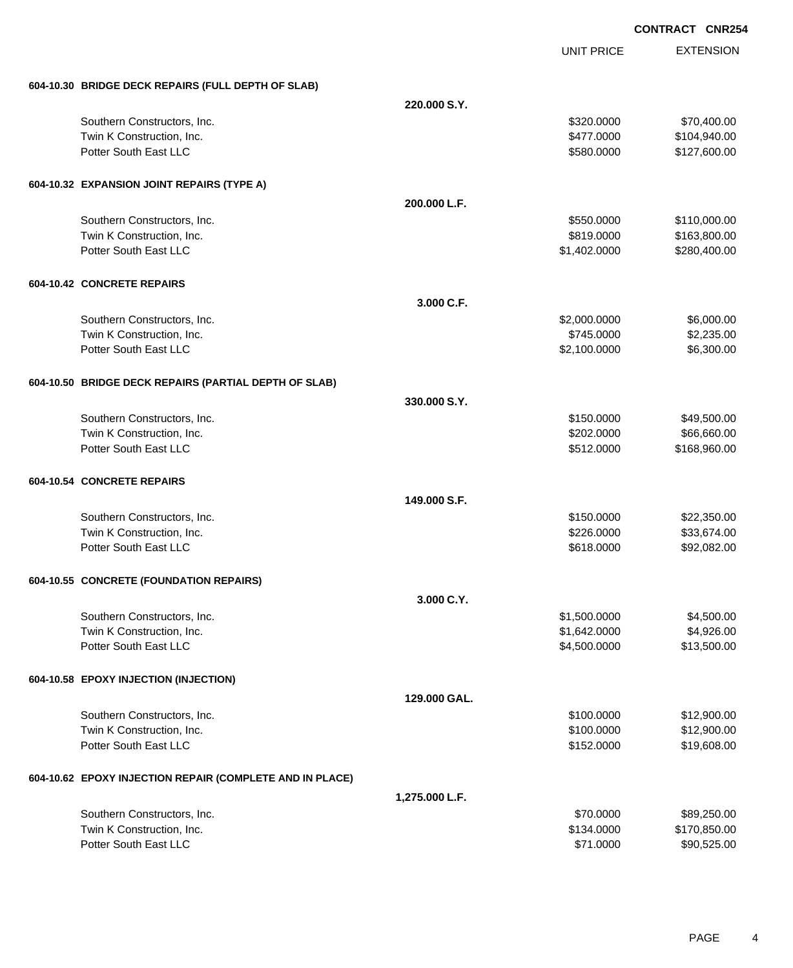|                                                          |                | <b>UNIT PRICE</b> | <b>EXTENSION</b> |
|----------------------------------------------------------|----------------|-------------------|------------------|
| 604-10.30 BRIDGE DECK REPAIRS (FULL DEPTH OF SLAB)       |                |                   |                  |
|                                                          | 220.000 S.Y.   |                   |                  |
| Southern Constructors, Inc.                              |                | \$320,0000        | \$70,400.00      |
| Twin K Construction, Inc.                                |                | \$477.0000        | \$104,940.00     |
| Potter South East LLC                                    |                | \$580.0000        | \$127,600.00     |
| 604-10.32 EXPANSION JOINT REPAIRS (TYPE A)               |                |                   |                  |
|                                                          | 200.000 L.F.   |                   |                  |
| Southern Constructors, Inc.                              |                | \$550.0000        | \$110,000.00     |
| Twin K Construction, Inc.                                |                | \$819.0000        | \$163,800.00     |
| Potter South East LLC                                    |                | \$1,402.0000      | \$280,400.00     |
| 604-10.42 CONCRETE REPAIRS                               |                |                   |                  |
|                                                          | 3.000 C.F.     |                   |                  |
| Southern Constructors, Inc.                              |                | \$2,000.0000      | \$6,000.00       |
| Twin K Construction, Inc.                                |                | \$745.0000        | \$2,235.00       |
| Potter South East LLC                                    |                | \$2,100.0000      | \$6,300.00       |
| 604-10.50 BRIDGE DECK REPAIRS (PARTIAL DEPTH OF SLAB)    |                |                   |                  |
|                                                          | 330.000 S.Y.   |                   |                  |
| Southern Constructors, Inc.                              |                | \$150.0000        | \$49,500.00      |
| Twin K Construction, Inc.                                |                | \$202.0000        | \$66,660.00      |
| Potter South East LLC                                    |                | \$512.0000        | \$168,960.00     |
| 604-10.54 CONCRETE REPAIRS                               |                |                   |                  |
|                                                          | 149,000 S.F.   |                   |                  |
| Southern Constructors, Inc.                              |                | \$150,0000        | \$22,350.00      |
| Twin K Construction, Inc.                                |                | \$226.0000        | \$33,674.00      |
| Potter South East LLC                                    |                | \$618.0000        | \$92,082.00      |
| 604-10.55 CONCRETE (FOUNDATION REPAIRS)                  |                |                   |                  |
|                                                          | 3.000 C.Y.     |                   |                  |
| Southern Constructors, Inc.                              |                | \$1,500.0000      | \$4,500.00       |
| Twin K Construction, Inc.                                |                | \$1,642.0000      | \$4,926.00       |
| Potter South East LLC                                    |                | \$4,500.0000      | \$13,500.00      |
| 604-10.58 EPOXY INJECTION (INJECTION)                    |                |                   |                  |
|                                                          | 129.000 GAL.   |                   |                  |
| Southern Constructors, Inc.                              |                | \$100.0000        | \$12,900.00      |
| Twin K Construction, Inc.                                |                | \$100.0000        | \$12,900.00      |
| Potter South East LLC                                    |                | \$152.0000        | \$19,608.00      |
| 604-10.62 EPOXY INJECTION REPAIR (COMPLETE AND IN PLACE) |                |                   |                  |
|                                                          | 1,275.000 L.F. |                   |                  |
| Southern Constructors, Inc.                              |                | \$70.0000         | \$89,250.00      |
| Twin K Construction, Inc.                                |                | \$134.0000        | \$170,850.00     |
| Potter South East LLC                                    |                | \$71.0000         | \$90,525.00      |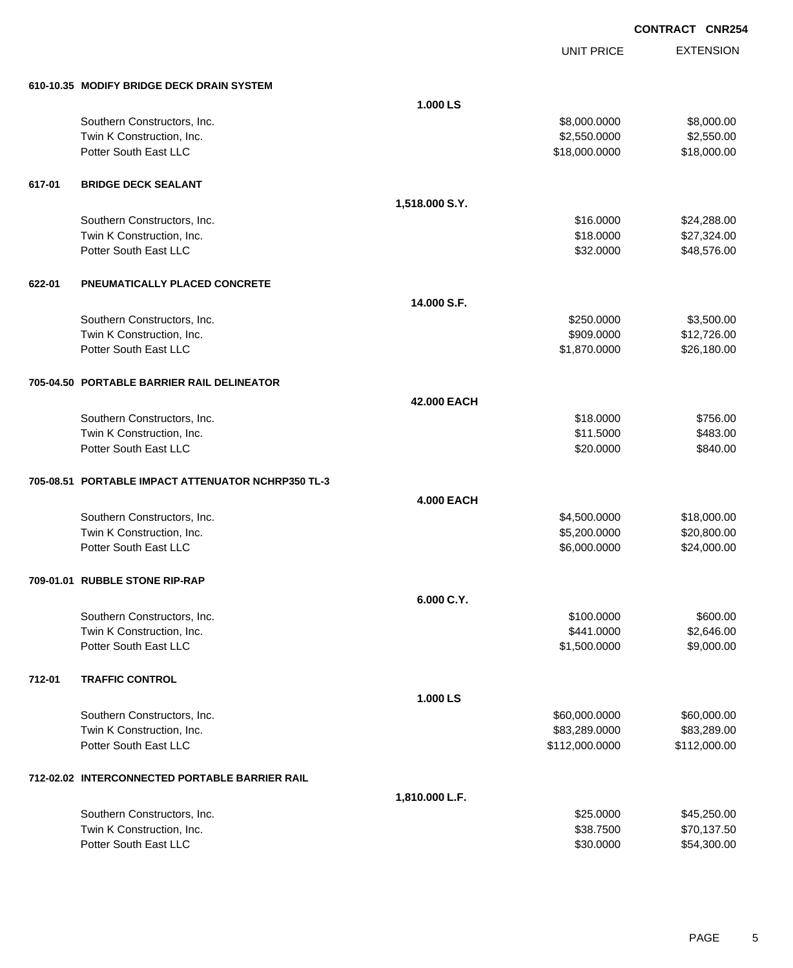UNIT PRICE EXTENSION

| 610-10.35 MODIFY BRIDGE DECK DRAIN SYSTEM |  |  |  |
|-------------------------------------------|--|--|--|

|        | 610-10.35 MODIFY BRIDGE DECK DRAIN SYSTEM          |                   |                |              |
|--------|----------------------------------------------------|-------------------|----------------|--------------|
|        |                                                    | 1.000 LS          |                |              |
|        | Southern Constructors, Inc.                        |                   | \$8,000.0000   | \$8,000.00   |
|        | Twin K Construction, Inc.                          |                   | \$2,550.0000   | \$2,550.00   |
|        | Potter South East LLC                              |                   | \$18,000.0000  | \$18,000.00  |
| 617-01 | <b>BRIDGE DECK SEALANT</b>                         |                   |                |              |
|        |                                                    | 1,518.000 S.Y.    |                |              |
|        | Southern Constructors, Inc.                        |                   | \$16.0000      | \$24,288.00  |
|        | Twin K Construction, Inc.                          |                   | \$18.0000      | \$27,324.00  |
|        | Potter South East LLC                              |                   | \$32.0000      | \$48,576.00  |
| 622-01 | PNEUMATICALLY PLACED CONCRETE                      |                   |                |              |
|        |                                                    | 14.000 S.F.       |                |              |
|        | Southern Constructors, Inc.                        |                   | \$250.0000     | \$3,500.00   |
|        | Twin K Construction, Inc.                          |                   | \$909.0000     | \$12,726.00  |
|        | Potter South East LLC                              |                   | \$1,870.0000   | \$26,180.00  |
|        | 705-04.50 PORTABLE BARRIER RAIL DELINEATOR         |                   |                |              |
|        |                                                    | 42.000 EACH       |                |              |
|        | Southern Constructors, Inc.                        |                   | \$18.0000      | \$756.00     |
|        | Twin K Construction, Inc.                          |                   | \$11.5000      | \$483.00     |
|        | Potter South East LLC                              |                   | \$20.0000      | \$840.00     |
|        | 705-08.51 PORTABLE IMPACT ATTENUATOR NCHRP350 TL-3 |                   |                |              |
|        |                                                    | <b>4.000 EACH</b> |                |              |
|        | Southern Constructors, Inc.                        |                   | \$4,500.0000   | \$18,000.00  |
|        | Twin K Construction, Inc.                          |                   | \$5,200.0000   | \$20,800.00  |
|        | Potter South East LLC                              |                   | \$6,000.0000   | \$24,000.00  |
|        | 709-01.01 RUBBLE STONE RIP-RAP                     |                   |                |              |
|        |                                                    | 6.000 C.Y.        |                |              |
|        | Southern Constructors, Inc.                        |                   | \$100.0000     | \$600.00     |
|        | Twin K Construction, Inc.                          |                   | \$441.0000     | \$2,646.00   |
|        | Potter South East LLC                              |                   | \$1,500.0000   | \$9,000.00   |
| 712-01 | <b>TRAFFIC CONTROL</b>                             |                   |                |              |
|        |                                                    | 1.000 LS          |                |              |
|        | Southern Constructors, Inc.                        |                   | \$60,000.0000  | \$60,000.00  |
|        | Twin K Construction, Inc.                          |                   | \$83,289.0000  | \$83,289.00  |
|        | Potter South East LLC                              |                   | \$112,000.0000 | \$112,000.00 |
|        | 712-02.02 INTERCONNECTED PORTABLE BARRIER RAIL     |                   |                |              |
|        |                                                    | 1,810.000 L.F.    |                |              |
|        | Southern Constructors, Inc.                        |                   | \$25.0000      | \$45,250.00  |
|        | Twin K Construction, Inc.                          |                   | \$38.7500      | \$70,137.50  |
|        | Potter South East LLC                              |                   | \$30.0000      | \$54,300.00  |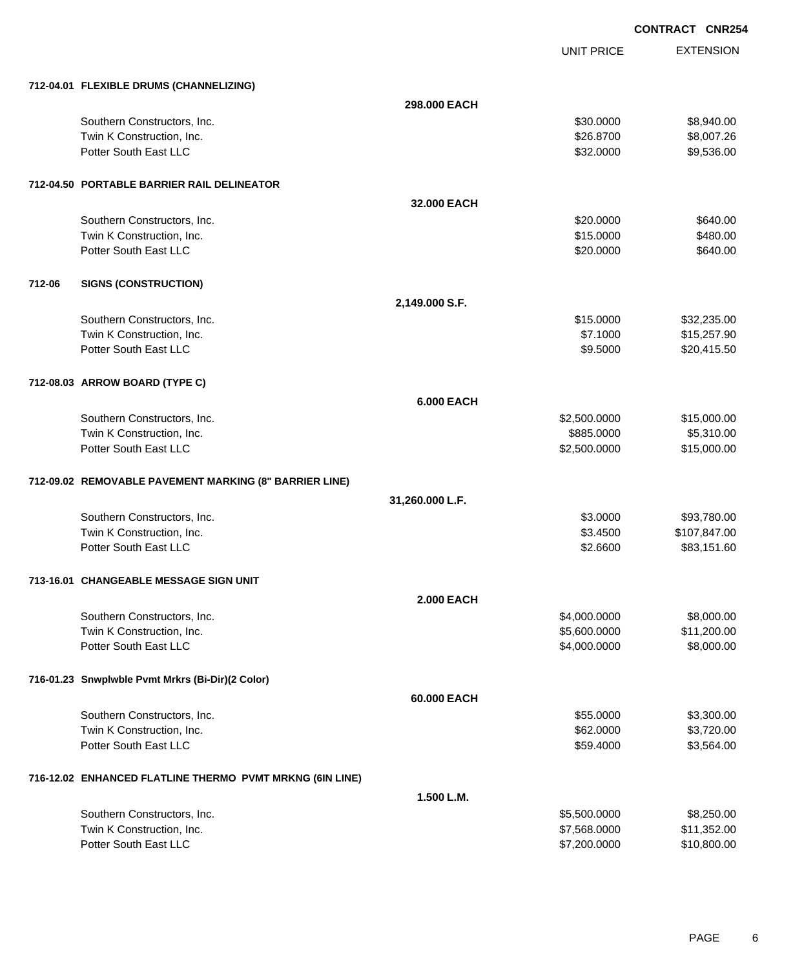UNIT PRICE

EXTENSION

|        | 712-04.01 FLEXIBLE DRUMS (CHANNELIZING)                  |                   |              |                             |
|--------|----------------------------------------------------------|-------------------|--------------|-----------------------------|
|        |                                                          | 298.000 EACH      |              |                             |
|        | Southern Constructors, Inc.                              |                   | \$30.0000    | \$8,940.00                  |
|        | Twin K Construction, Inc.                                |                   | \$26.8700    | \$8,007.26                  |
|        | Potter South East LLC                                    |                   | \$32.0000    | \$9,536.00                  |
|        | 712-04.50 PORTABLE BARRIER RAIL DELINEATOR               |                   |              |                             |
|        |                                                          | 32.000 EACH       |              |                             |
|        | Southern Constructors, Inc.                              |                   | \$20.0000    | \$640.00                    |
|        | Twin K Construction, Inc.                                |                   | \$15.0000    | \$480.00                    |
|        | Potter South East LLC                                    |                   | \$20.0000    | \$640.00                    |
| 712-06 | <b>SIGNS (CONSTRUCTION)</b>                              |                   |              |                             |
|        |                                                          | 2,149.000 S.F.    |              |                             |
|        | Southern Constructors, Inc.                              |                   | \$15.0000    | \$32,235.00                 |
|        | Twin K Construction, Inc.                                |                   | \$7.1000     | \$15,257.90                 |
|        | Potter South East LLC                                    |                   | \$9.5000     | \$20,415.50                 |
|        | 712-08.03 ARROW BOARD (TYPE C)                           |                   |              |                             |
|        |                                                          | <b>6.000 EACH</b> |              |                             |
|        | Southern Constructors, Inc.                              |                   | \$2,500.0000 | \$15,000.00                 |
|        | Twin K Construction, Inc.                                |                   | \$885.0000   | \$5,310.00                  |
|        | Potter South East LLC                                    |                   | \$2,500.0000 | \$15,000.00                 |
|        | 712-09.02 REMOVABLE PAVEMENT MARKING (8" BARRIER LINE)   |                   |              |                             |
|        |                                                          | 31,260.000 L.F.   |              |                             |
|        | Southern Constructors, Inc.                              |                   | \$3.0000     | \$93,780.00                 |
|        | Twin K Construction, Inc.<br>Potter South East LLC       |                   | \$3.4500     | \$107,847.00<br>\$83,151.60 |
|        |                                                          |                   | \$2.6600     |                             |
|        | 713-16.01 CHANGEABLE MESSAGE SIGN UNIT                   |                   |              |                             |
|        |                                                          | 2.000 EACH        |              |                             |
|        | Southern Constructors, Inc.                              |                   | \$4,000.0000 | \$8,000.00                  |
|        | Twin K Construction, Inc.                                |                   | \$5,600.0000 | \$11,200.00                 |
|        | Potter South East LLC                                    |                   | \$4,000.0000 | \$8,000.00                  |
|        | 716-01.23 Snwplwble Pvmt Mrkrs (Bi-Dir)(2 Color)         |                   |              |                             |
|        |                                                          | 60.000 EACH       |              |                             |
|        | Southern Constructors, Inc.                              |                   | \$55.0000    | \$3,300.00                  |
|        | Twin K Construction, Inc.                                |                   | \$62.0000    | \$3,720.00                  |
|        | Potter South East LLC                                    |                   | \$59.4000    | \$3,564.00                  |
|        | 716-12.02 ENHANCED FLATLINE THERMO PVMT MRKNG (6IN LINE) |                   |              |                             |
|        |                                                          | 1.500 L.M.        |              |                             |
|        | Southern Constructors, Inc.                              |                   | \$5,500.0000 | \$8,250.00                  |
|        | Twin K Construction, Inc.                                |                   | \$7,568.0000 | \$11,352.00                 |
|        | Potter South East LLC                                    |                   | \$7,200.0000 | \$10,800.00                 |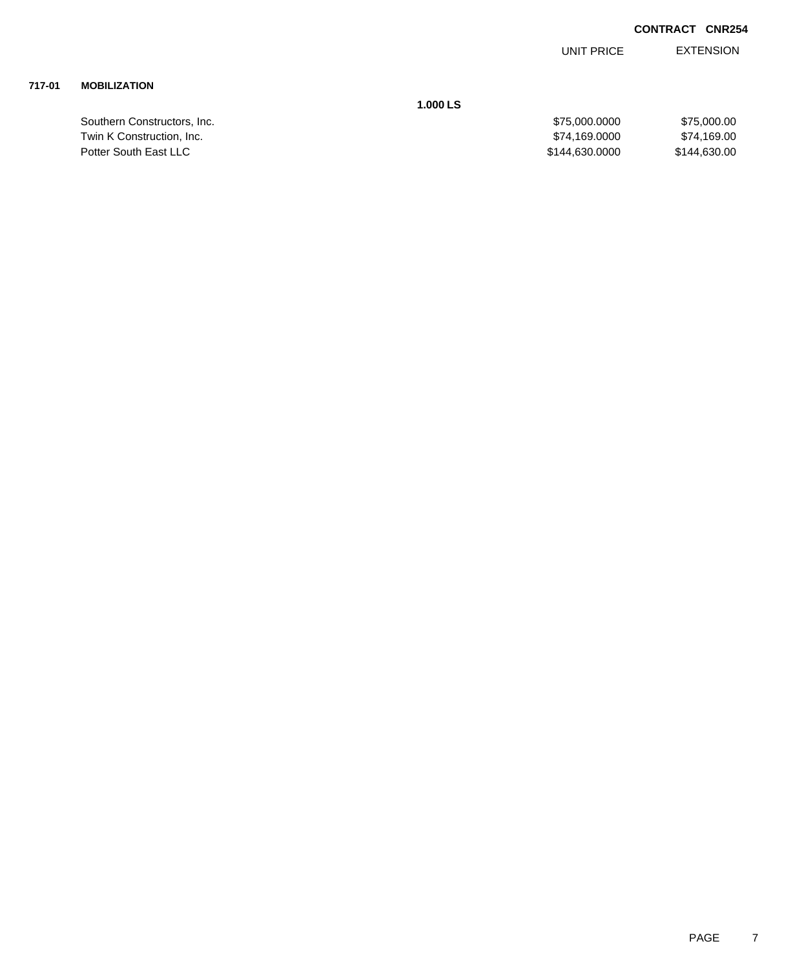EXTENSION UNIT PRICE

## **717-01 MOBILIZATION**

Southern Constructors, Inc. Twin K Construction, Inc. Potter South East LLC

**1.000 LS**

| \$75,000.0000  | \$75,000,00  |
|----------------|--------------|
| \$74,169.0000  | \$74.169.00  |
| \$144.630.0000 | \$144,630,00 |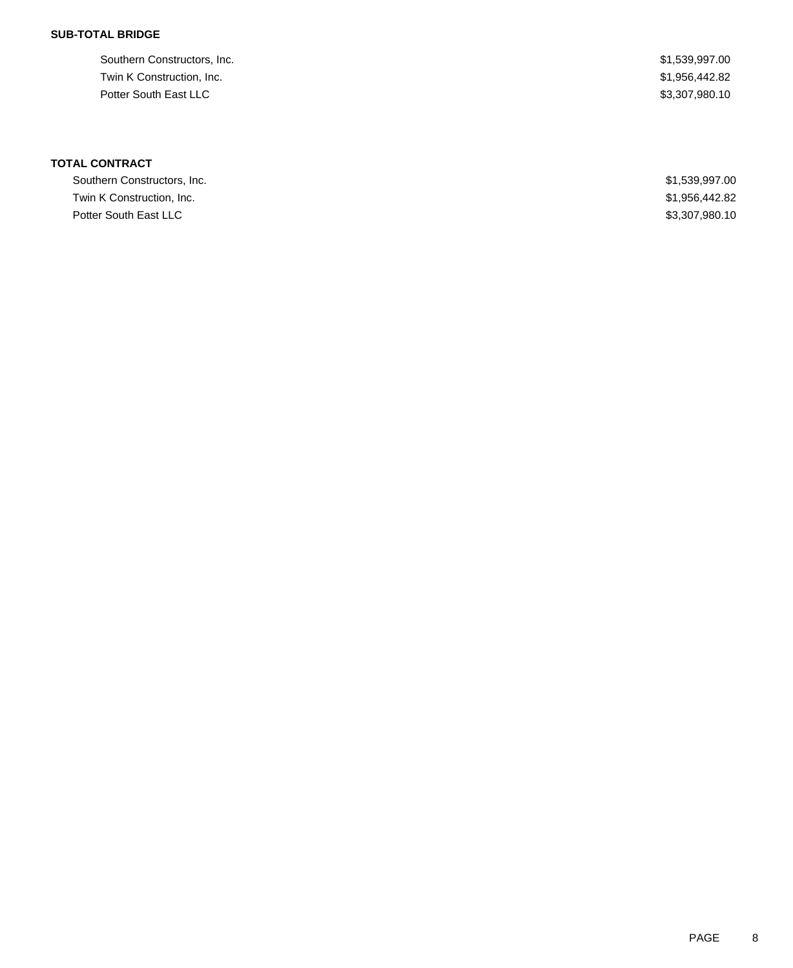### **SUB-TOTAL BRIDGE**

Southern Constructors, Inc.  $$1,539,997.00$ Twin K Construction, Inc. \$1,956,442.82 Potter South East LLC \$3,307,980.10

# **TOTAL CONTRACT**

| Southern Constructors, Inc. | \$1,539,997.00 |
|-----------------------------|----------------|
| Twin K Construction, Inc.   | \$1,956,442.82 |
| Potter South East LLC       | \$3,307,980.10 |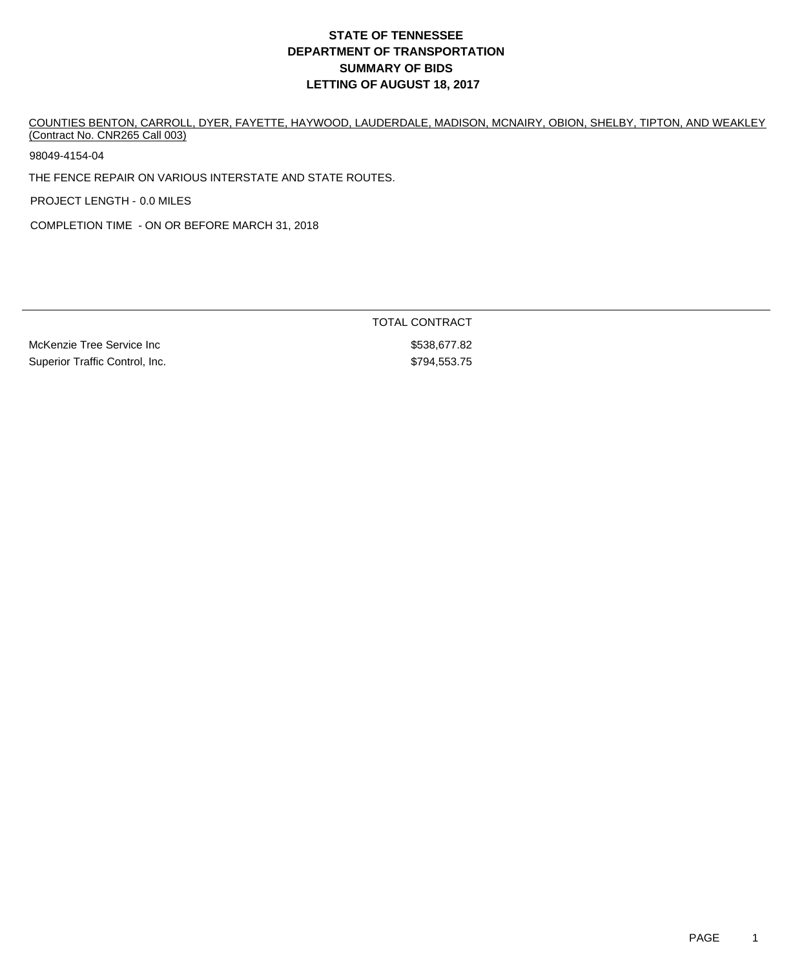COUNTIES BENTON, CARROLL, DYER, FAYETTE, HAYWOOD, LAUDERDALE, MADISON, MCNAIRY, OBION, SHELBY, TIPTON, AND WEAKLEY (Contract No. CNR265 Call 003)

98049-4154-04

THE FENCE REPAIR ON VARIOUS INTERSTATE AND STATE ROUTES.

PROJECT LENGTH - 0.0 MILES

COMPLETION TIME - ON OR BEFORE MARCH 31, 2018

McKenzie Tree Service Inc **but a service increase and the S538,677.82** Superior Traffic Control, Inc. 6. The Superior Traffic Control, Inc. 6. The Superior State of the ST 3.75

TOTAL CONTRACT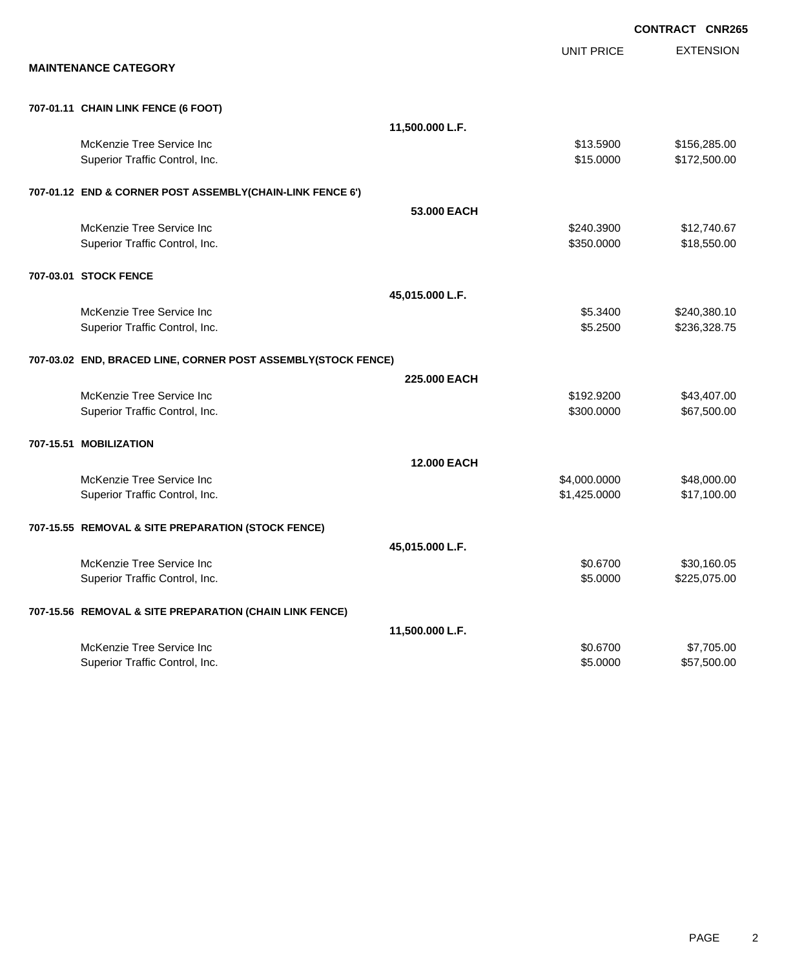|                                                               |                   | <b>CONTRACT CNR265</b> |
|---------------------------------------------------------------|-------------------|------------------------|
|                                                               | <b>UNIT PRICE</b> | <b>EXTENSION</b>       |
| <b>MAINTENANCE CATEGORY</b>                                   |                   |                        |
| 707-01.11 CHAIN LINK FENCE (6 FOOT)                           |                   |                        |
|                                                               | 11,500.000 L.F.   |                        |
| McKenzie Tree Service Inc                                     | \$13.5900         | \$156,285.00           |
| Superior Traffic Control, Inc.                                | \$15.0000         | \$172,500.00           |
| 707-01.12 END & CORNER POST ASSEMBLY(CHAIN-LINK FENCE 6')     |                   |                        |
|                                                               | 53,000 EACH       |                        |
| McKenzie Tree Service Inc                                     | \$240.3900        | \$12,740.67            |
| Superior Traffic Control, Inc.                                | \$350.0000        | \$18,550.00            |
| 707-03.01 STOCK FENCE                                         |                   |                        |
|                                                               | 45,015.000 L.F.   |                        |
| McKenzie Tree Service Inc                                     | \$5.3400          | \$240,380.10           |
| Superior Traffic Control, Inc.                                | \$5.2500          | \$236,328.75           |
| 707-03.02 END, BRACED LINE, CORNER POST ASSEMBLY(STOCK FENCE) |                   |                        |
|                                                               | 225.000 EACH      |                        |
| McKenzie Tree Service Inc                                     | \$192.9200        | \$43,407.00            |
| Superior Traffic Control, Inc.                                | \$300.0000        | \$67,500.00            |
| 707-15.51 MOBILIZATION                                        |                   |                        |
|                                                               | 12.000 EACH       |                        |
| McKenzie Tree Service Inc                                     | \$4,000.0000      | \$48,000.00            |
| Superior Traffic Control, Inc.                                | \$1,425.0000      | \$17,100.00            |
| 707-15.55 REMOVAL & SITE PREPARATION (STOCK FENCE)            |                   |                        |
|                                                               | 45,015.000 L.F.   |                        |
| McKenzie Tree Service Inc                                     | \$0.6700          | \$30,160.05            |
| Superior Traffic Control, Inc.                                | \$5.0000          | \$225,075.00           |
| 707-15.56 REMOVAL & SITE PREPARATION (CHAIN LINK FENCE)       |                   |                        |
|                                                               | 11,500.000 L.F.   |                        |
| McKenzie Tree Service Inc                                     | \$0.6700          | \$7,705.00             |
| Superior Traffic Control, Inc.                                | \$5.0000          | \$57,500.00            |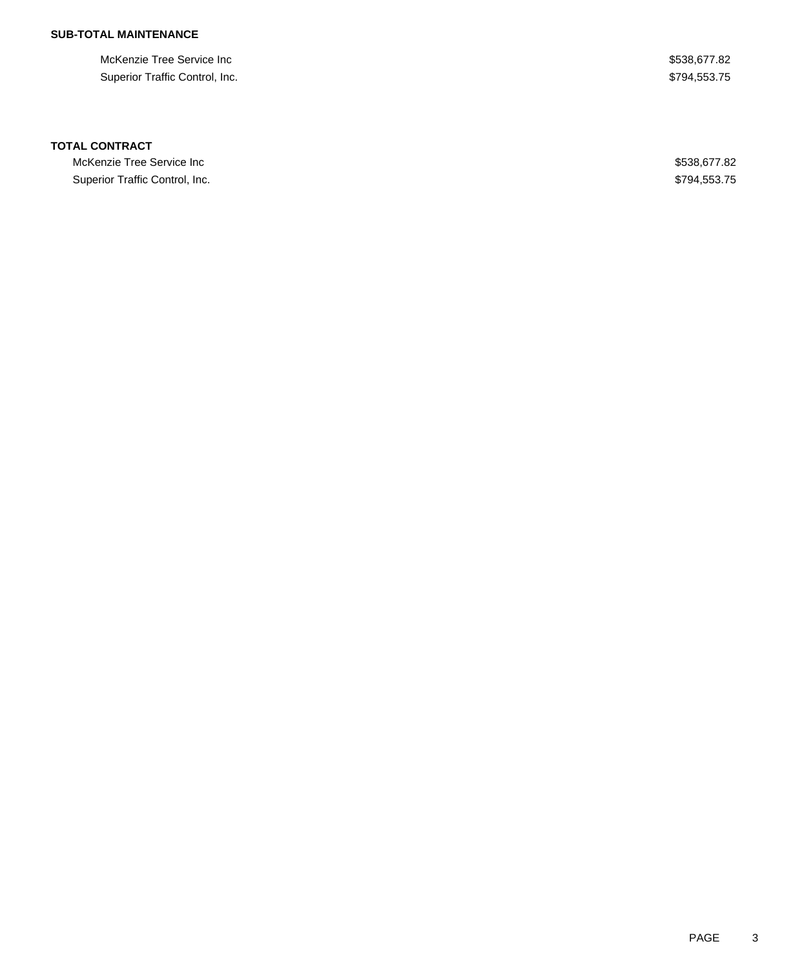## **SUB-TOTAL MAINTENANCE**

McKenzie Tree Service Inc **but a struck of the Service Inc.** The S538,677.82 Superior Traffic Control, Inc. 6. The Superior Traffic Control, Inc. 6. The Superior Traffic Control, Inc.

#### **TOTAL CONTRACT**

McKenzie Tree Service Inc  $$538,677.82$ Superior Traffic Control, Inc. 6. The Superior Traffic Control, Inc. 6. The Superior Traffic Control, Inc.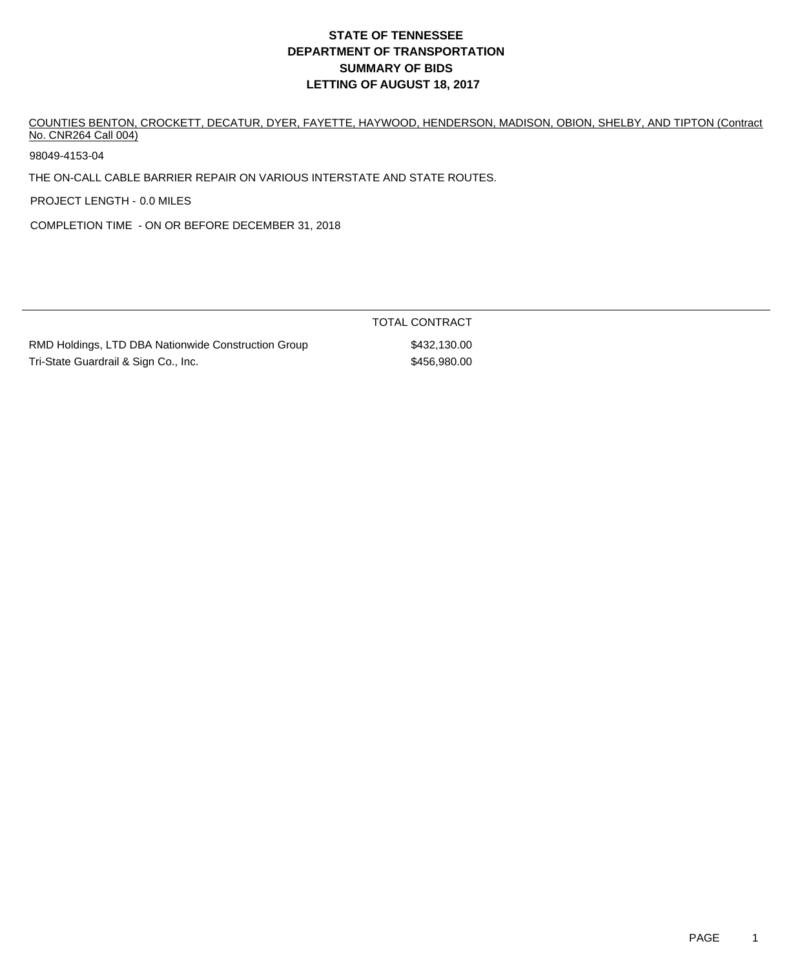COUNTIES BENTON, CROCKETT, DECATUR, DYER, FAYETTE, HAYWOOD, HENDERSON, MADISON, OBION, SHELBY, AND TIPTON (Contract No. CNR264 Call 004)

98049-4153-04

THE ON-CALL CABLE BARRIER REPAIR ON VARIOUS INTERSTATE AND STATE ROUTES.

PROJECT LENGTH - 0.0 MILES

COMPLETION TIME - ON OR BEFORE DECEMBER 31, 2018

|                                                     | <b>TOTAL CONTRACT</b> |
|-----------------------------------------------------|-----------------------|
| RMD Holdings, LTD DBA Nationwide Construction Group | \$432,130,00          |
| Tri-State Guardrail & Sign Co., Inc.                | \$456,980,00          |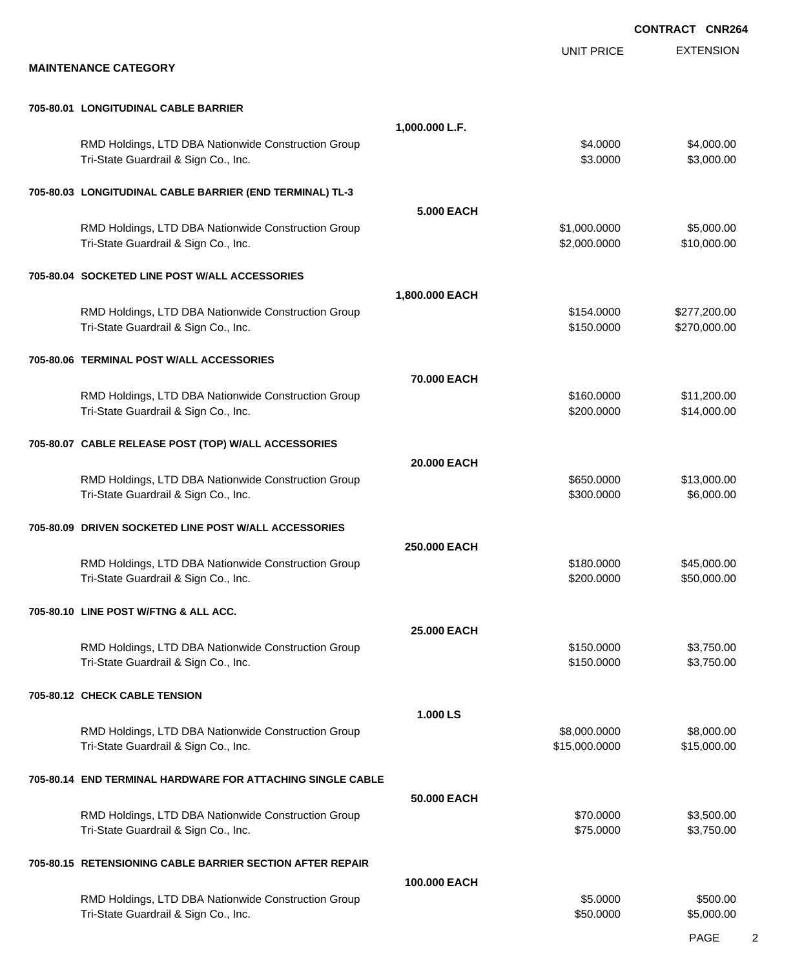|                                                                                             |                |                      | <b>CONTRACT CNR264</b>   |
|---------------------------------------------------------------------------------------------|----------------|----------------------|--------------------------|
| <b>MAINTENANCE CATEGORY</b>                                                                 |                | <b>UNIT PRICE</b>    | <b>EXTENSION</b>         |
| 705-80.01 LONGITUDINAL CABLE BARRIER                                                        |                |                      |                          |
|                                                                                             | 1,000.000 L.F. |                      |                          |
| RMD Holdings, LTD DBA Nationwide Construction Group<br>Tri-State Guardrail & Sign Co., Inc. |                | \$4.0000<br>\$3.0000 | \$4,000.00<br>\$3,000.00 |
| 705-80.03 LONGITUDINAL CABLE BARRIER (END TERMINAL) TL-3                                    |                |                      |                          |
| RMD Holdings, LTD DBA Nationwide Construction Group                                         | 5,000 EACH     | \$1,000.0000         | \$5,000.00               |
| Tri-State Guardrail & Sign Co., Inc.                                                        |                | \$2,000.0000         | \$10,000.00              |
| 705-80.04 SOCKETED LINE POST W/ALL ACCESSORIES                                              |                |                      |                          |
| RMD Holdings, LTD DBA Nationwide Construction Group                                         | 1,800.000 EACH | \$154.0000           | \$277,200.00             |
| Tri-State Guardrail & Sign Co., Inc.                                                        |                | \$150.0000           | \$270,000.00             |
| 705-80.06 TERMINAL POST W/ALL ACCESSORIES                                                   |                |                      |                          |
| RMD Holdings, LTD DBA Nationwide Construction Group                                         | 70,000 EACH    | \$160.0000           | \$11,200.00              |
| Tri-State Guardrail & Sign Co., Inc.                                                        |                | \$200.0000           | \$14,000.00              |
| 705-80.07 CABLE RELEASE POST (TOP) W/ALL ACCESSORIES                                        |                |                      |                          |
| RMD Holdings, LTD DBA Nationwide Construction Group                                         | 20.000 EACH    | \$650.0000           | \$13,000.00              |
| Tri-State Guardrail & Sign Co., Inc.                                                        |                | \$300.0000           | \$6,000.00               |
| 705-80.09 DRIVEN SOCKETED LINE POST W/ALL ACCESSORIES                                       |                |                      |                          |
| RMD Holdings, LTD DBA Nationwide Construction Group                                         | 250,000 EACH   | \$180,0000           | \$45,000.00              |
| Tri-State Guardrail & Sign Co., Inc.                                                        |                | \$200.0000           | \$50,000.00              |
| 705-80.10 LINE POST W/FTNG & ALL ACC.                                                       |                |                      |                          |
| RMD Holdings, LTD DBA Nationwide Construction Group                                         | 25.000 EACH    | \$150.0000           | \$3,750.00               |
| Tri-State Guardrail & Sign Co., Inc.                                                        |                | \$150.0000           | \$3,750.00               |
| 705-80.12 CHECK CABLE TENSION                                                               |                |                      |                          |
| RMD Holdings, LTD DBA Nationwide Construction Group                                         | 1.000 LS       | \$8,000.0000         | \$8,000.00               |
| Tri-State Guardrail & Sign Co., Inc.                                                        |                | \$15,000.0000        | \$15,000.00              |
| 705-80.14 END TERMINAL HARDWARE FOR ATTACHING SINGLE CABLE                                  |                |                      |                          |
| RMD Holdings, LTD DBA Nationwide Construction Group                                         | 50.000 EACH    | \$70.0000            | \$3,500.00               |
| Tri-State Guardrail & Sign Co., Inc.                                                        |                | \$75.0000            | \$3,750.00               |
| 705-80.15 RETENSIONING CABLE BARRIER SECTION AFTER REPAIR                                   |                |                      |                          |
| RMD Holdings, LTD DBA Nationwide Construction Group                                         | 100,000 EACH   | \$5.0000             | \$500.00                 |
| Tri-State Guardrail & Sign Co., Inc.                                                        |                | \$50.0000            | \$5,000.00               |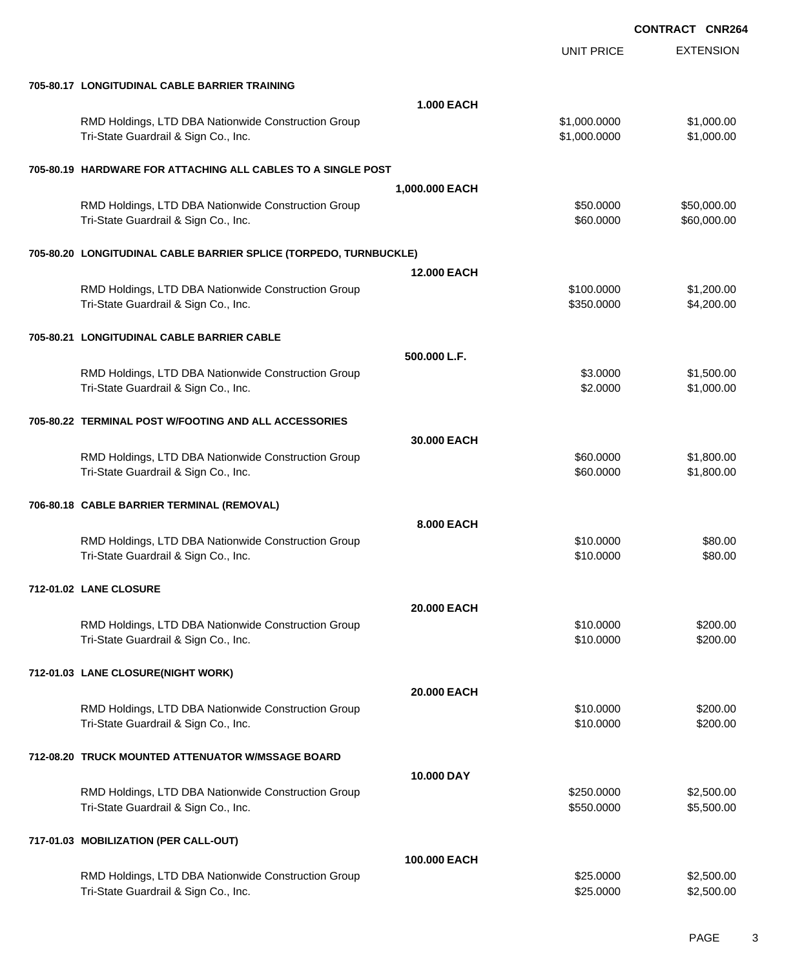|                                                                                             |                    | <b>UNIT PRICE</b>            | <b>EXTENSION</b>         |
|---------------------------------------------------------------------------------------------|--------------------|------------------------------|--------------------------|
| 705-80.17 LONGITUDINAL CABLE BARRIER TRAINING                                               |                    |                              |                          |
|                                                                                             | <b>1.000 EACH</b>  |                              |                          |
| RMD Holdings, LTD DBA Nationwide Construction Group<br>Tri-State Guardrail & Sign Co., Inc. |                    | \$1,000.0000<br>\$1,000.0000 | \$1,000.00<br>\$1,000.00 |
| 705-80.19 HARDWARE FOR ATTACHING ALL CABLES TO A SINGLE POST                                |                    |                              |                          |
|                                                                                             | 1,000.000 EACH     |                              |                          |
| RMD Holdings, LTD DBA Nationwide Construction Group                                         |                    | \$50.0000                    | \$50,000.00              |
| Tri-State Guardrail & Sign Co., Inc.                                                        |                    | \$60.0000                    | \$60,000.00              |
| 705-80.20 LONGITUDINAL CABLE BARRIER SPLICE (TORPEDO, TURNBUCKLE)                           |                    |                              |                          |
|                                                                                             | <b>12.000 EACH</b> |                              |                          |
| RMD Holdings, LTD DBA Nationwide Construction Group<br>Tri-State Guardrail & Sign Co., Inc. |                    | \$100.0000<br>\$350.0000     | \$1,200.00<br>\$4,200.00 |
| 705-80.21 LONGITUDINAL CABLE BARRIER CABLE                                                  |                    |                              |                          |
|                                                                                             |                    |                              |                          |
|                                                                                             | 500.000 L.F.       |                              |                          |
| RMD Holdings, LTD DBA Nationwide Construction Group<br>Tri-State Guardrail & Sign Co., Inc. |                    | \$3.0000<br>\$2.0000         | \$1,500.00<br>\$1,000.00 |
| 705-80.22 TERMINAL POST W/FOOTING AND ALL ACCESSORIES                                       |                    |                              |                          |
|                                                                                             | 30.000 EACH        |                              |                          |
| RMD Holdings, LTD DBA Nationwide Construction Group                                         |                    | \$60.0000                    | \$1,800.00               |
| Tri-State Guardrail & Sign Co., Inc.                                                        |                    | \$60.0000                    | \$1,800.00               |
| 706-80.18 CABLE BARRIER TERMINAL (REMOVAL)                                                  |                    |                              |                          |
|                                                                                             | 8.000 EACH         |                              |                          |
| RMD Holdings, LTD DBA Nationwide Construction Group                                         |                    | \$10.0000                    | \$80.00                  |
| Tri-State Guardrail & Sign Co., Inc.                                                        |                    | \$10.0000                    | \$80.00                  |
| 712-01.02 LANE CLOSURE                                                                      |                    |                              |                          |
|                                                                                             | 20.000 EACH        |                              |                          |
| RMD Holdings, LTD DBA Nationwide Construction Group                                         |                    | \$10.0000                    | \$200.00                 |
| Tri-State Guardrail & Sign Co., Inc.                                                        |                    | \$10.0000                    | \$200.00                 |
| 712-01.03 LANE CLOSURE(NIGHT WORK)                                                          |                    |                              |                          |
|                                                                                             | 20.000 EACH        |                              |                          |
| RMD Holdings, LTD DBA Nationwide Construction Group                                         |                    | \$10.0000                    | \$200.00                 |
| Tri-State Guardrail & Sign Co., Inc.                                                        |                    | \$10.0000                    | \$200.00                 |
| 712-08.20 TRUCK MOUNTED ATTENUATOR W/MSSAGE BOARD                                           |                    |                              |                          |
|                                                                                             | 10.000 DAY         |                              |                          |
| RMD Holdings, LTD DBA Nationwide Construction Group                                         |                    | \$250.0000                   | \$2,500.00               |
| Tri-State Guardrail & Sign Co., Inc.                                                        |                    | \$550.0000                   | \$5,500.00               |
| 717-01.03 MOBILIZATION (PER CALL-OUT)                                                       |                    |                              |                          |
|                                                                                             | 100.000 EACH       |                              |                          |
| RMD Holdings, LTD DBA Nationwide Construction Group                                         |                    | \$25.0000                    | \$2,500.00               |
| Tri-State Guardrail & Sign Co., Inc.                                                        |                    | \$25.0000                    | \$2,500.00               |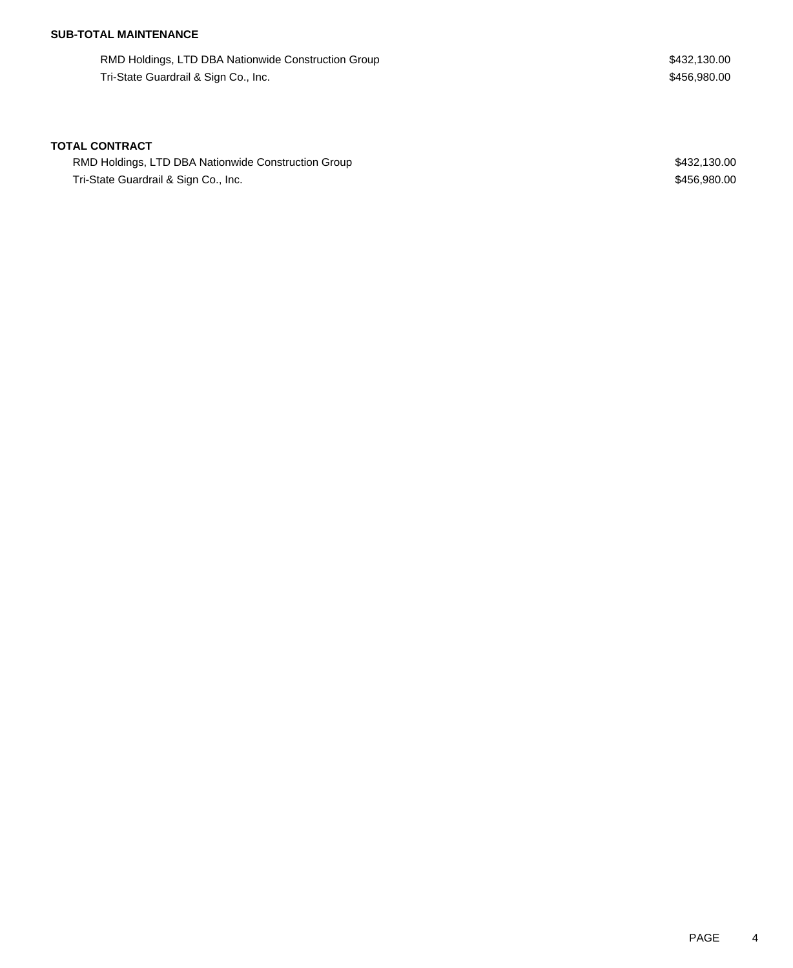## **SUB-TOTAL MAINTENANCE**

RMD Holdings, LTD DBA Nationwide Construction Group **\$432,130.00** \$432,130.00 Tri-State Guardrail & Sign Co., Inc. 6. The State Guardrail & Sign Co., Inc. 6. The State Guardrail & Sign Co., Inc.

#### **TOTAL CONTRACT**

RMD Holdings, LTD DBA Nationwide Construction Group **\$432,130.00** \$432,130.00 Tri-State Guardrail & Sign Co., Inc. 6. The State Guardrail & Sign Co., Inc. 6. The State Guardrail & Sign Co., Inc.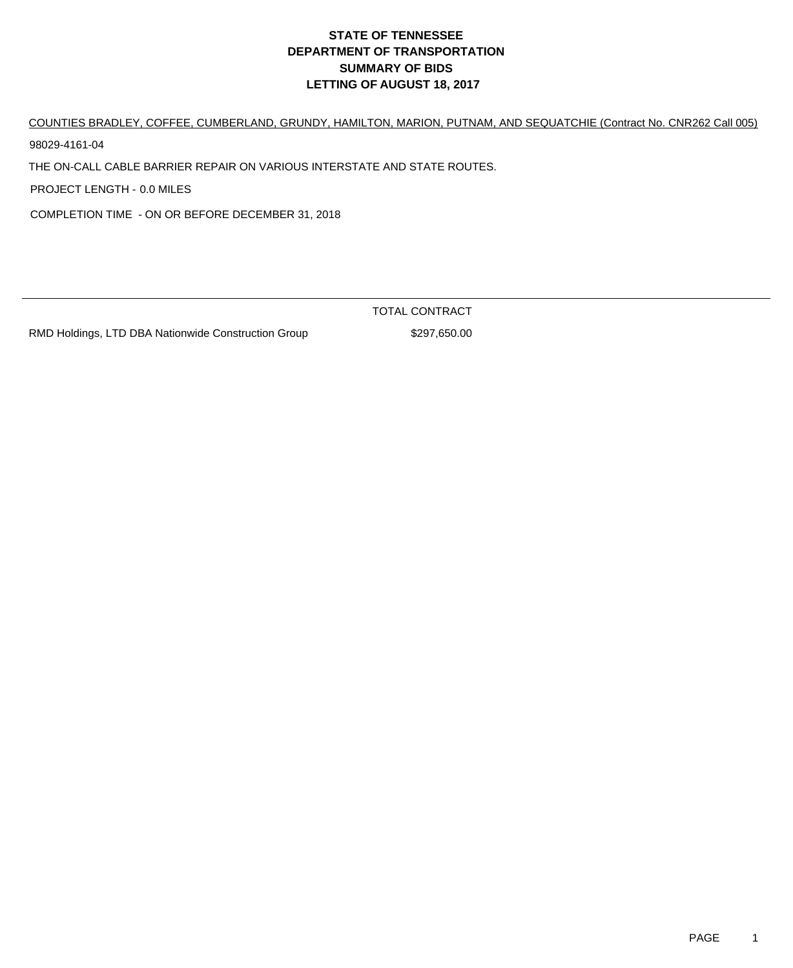COUNTIES BRADLEY, COFFEE, CUMBERLAND, GRUNDY, HAMILTON, MARION, PUTNAM, AND SEQUATCHIE (Contract No. CNR262 Call 005) 98029-4161-04

THE ON-CALL CABLE BARRIER REPAIR ON VARIOUS INTERSTATE AND STATE ROUTES.

PROJECT LENGTH - 0.0 MILES

COMPLETION TIME - ON OR BEFORE DECEMBER 31, 2018

TOTAL CONTRACT

RMD Holdings, LTD DBA Nationwide Construction Group \$297,650.00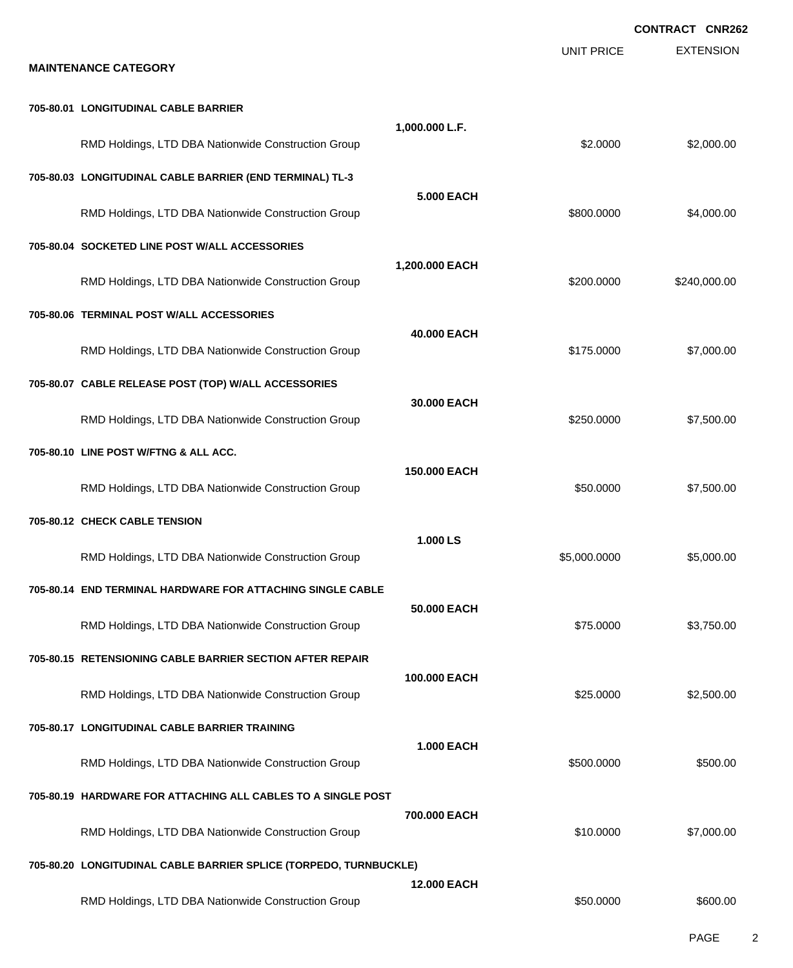|                                                                   |                    |                   | <b>CONTRACT CNR262</b> |
|-------------------------------------------------------------------|--------------------|-------------------|------------------------|
| <b>MAINTENANCE CATEGORY</b>                                       |                    | <b>UNIT PRICE</b> | <b>EXTENSION</b>       |
| 705-80.01 LONGITUDINAL CABLE BARRIER                              |                    |                   |                        |
| RMD Holdings, LTD DBA Nationwide Construction Group               | 1,000.000 L.F.     | \$2,0000          | \$2,000.00             |
| 705-80.03 LONGITUDINAL CABLE BARRIER (END TERMINAL) TL-3          |                    |                   |                        |
| RMD Holdings, LTD DBA Nationwide Construction Group               | <b>5.000 EACH</b>  | \$800.0000        | \$4,000.00             |
| 705-80.04 SOCKETED LINE POST W/ALL ACCESSORIES                    |                    |                   |                        |
| RMD Holdings, LTD DBA Nationwide Construction Group               | 1,200.000 EACH     | \$200,0000        | \$240,000.00           |
| 705-80.06 TERMINAL POST W/ALL ACCESSORIES                         | 40.000 EACH        |                   |                        |
| RMD Holdings, LTD DBA Nationwide Construction Group               |                    | \$175.0000        | \$7,000.00             |
| 705-80.07 CABLE RELEASE POST (TOP) W/ALL ACCESSORIES              | 30,000 EACH        |                   |                        |
| RMD Holdings, LTD DBA Nationwide Construction Group               |                    | \$250.0000        | \$7,500.00             |
| 705-80.10 LINE POST W/FTNG & ALL ACC.                             |                    |                   |                        |
| RMD Holdings, LTD DBA Nationwide Construction Group               | 150,000 EACH       | \$50.0000         | \$7,500.00             |
| 705-80.12 CHECK CABLE TENSION                                     |                    |                   |                        |
| RMD Holdings, LTD DBA Nationwide Construction Group               | 1.000 LS           | \$5,000.0000      | \$5,000.00             |
| 705-80.14 END TERMINAL HARDWARE FOR ATTACHING SINGLE CABLE        | 50.000 EACH        |                   |                        |
| RMD Holdings, LTD DBA Nationwide Construction Group               |                    | \$75.0000         | \$3,750.00             |
| 705-80.15 RETENSIONING CABLE BARRIER SECTION AFTER REPAIR         |                    |                   |                        |
| RMD Holdings, LTD DBA Nationwide Construction Group               | 100,000 EACH       | \$25.0000         | \$2,500.00             |
| 705-80.17 LONGITUDINAL CABLE BARRIER TRAINING                     |                    |                   |                        |
| RMD Holdings, LTD DBA Nationwide Construction Group               | 1.000 EACH         | \$500.0000        | \$500.00               |
| 705-80.19 HARDWARE FOR ATTACHING ALL CABLES TO A SINGLE POST      |                    |                   |                        |
| RMD Holdings, LTD DBA Nationwide Construction Group               | 700.000 EACH       | \$10.0000         | \$7,000.00             |
| 705-80.20 LONGITUDINAL CABLE BARRIER SPLICE (TORPEDO, TURNBUCKLE) |                    |                   |                        |
| RMD Holdings, LTD DBA Nationwide Construction Group               | <b>12.000 EACH</b> | \$50.0000         | \$600.00               |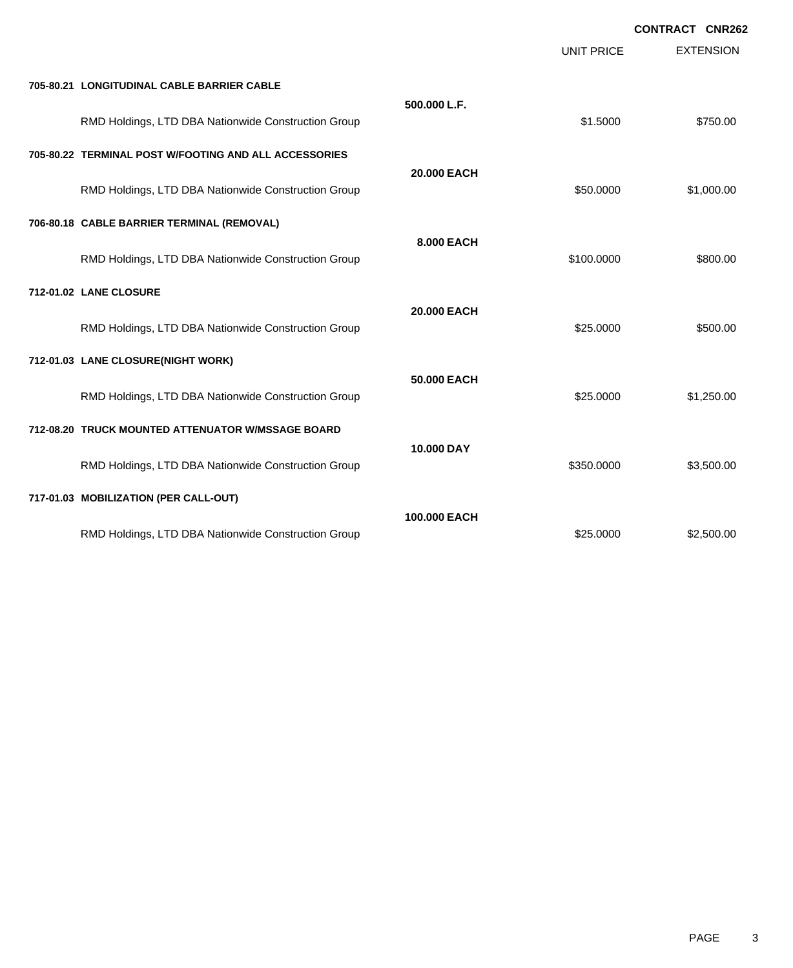|                                                       |              | UNIT PRICE | <b>EXTENSION</b> |
|-------------------------------------------------------|--------------|------------|------------------|
| 705-80.21 LONGITUDINAL CABLE BARRIER CABLE            |              |            |                  |
| RMD Holdings, LTD DBA Nationwide Construction Group   | 500.000 L.F. | \$1.5000   | \$750.00         |
| 705-80.22 TERMINAL POST W/FOOTING AND ALL ACCESSORIES |              |            |                  |
| RMD Holdings, LTD DBA Nationwide Construction Group   | 20.000 EACH  | \$50.0000  | \$1,000.00       |
| 706-80.18 CABLE BARRIER TERMINAL (REMOVAL)            |              |            |                  |
| RMD Holdings, LTD DBA Nationwide Construction Group   | 8.000 EACH   | \$100.0000 | \$800.00         |
| 712-01.02 LANE CLOSURE                                |              |            |                  |
| RMD Holdings, LTD DBA Nationwide Construction Group   | 20.000 EACH  | \$25.0000  | \$500.00         |
| 712-01.03 LANE CLOSURE(NIGHT WORK)                    |              |            |                  |
| RMD Holdings, LTD DBA Nationwide Construction Group   | 50.000 EACH  | \$25.0000  | \$1,250.00       |
| 712-08.20 TRUCK MOUNTED ATTENUATOR W/MSSAGE BOARD     |              |            |                  |
| RMD Holdings, LTD DBA Nationwide Construction Group   | 10.000 DAY   | \$350.0000 | \$3,500.00       |
| 717-01.03 MOBILIZATION (PER CALL-OUT)                 |              |            |                  |
| RMD Holdings, LTD DBA Nationwide Construction Group   | 100,000 EACH | \$25.0000  | \$2,500.00       |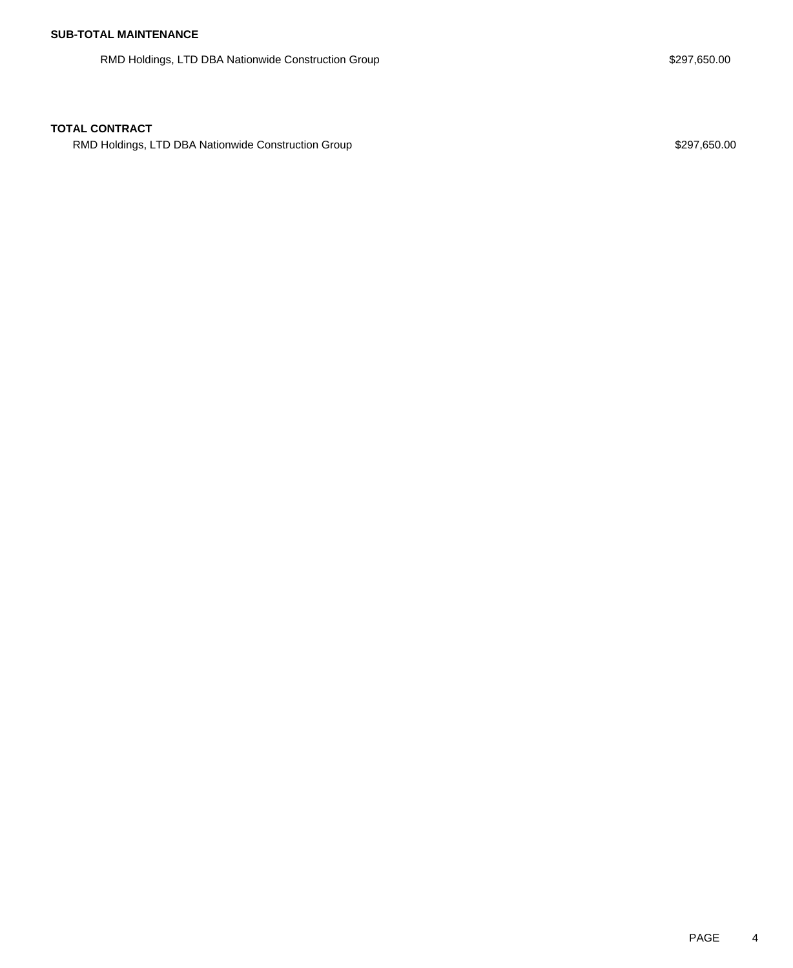RMD Holdings, LTD DBA Nationwide Construction Group **\$297,650.00** \$297,650.00

RMD Holdings, LTD DBA Nationwide Construction Group **\$297,650.00** \$297,650.00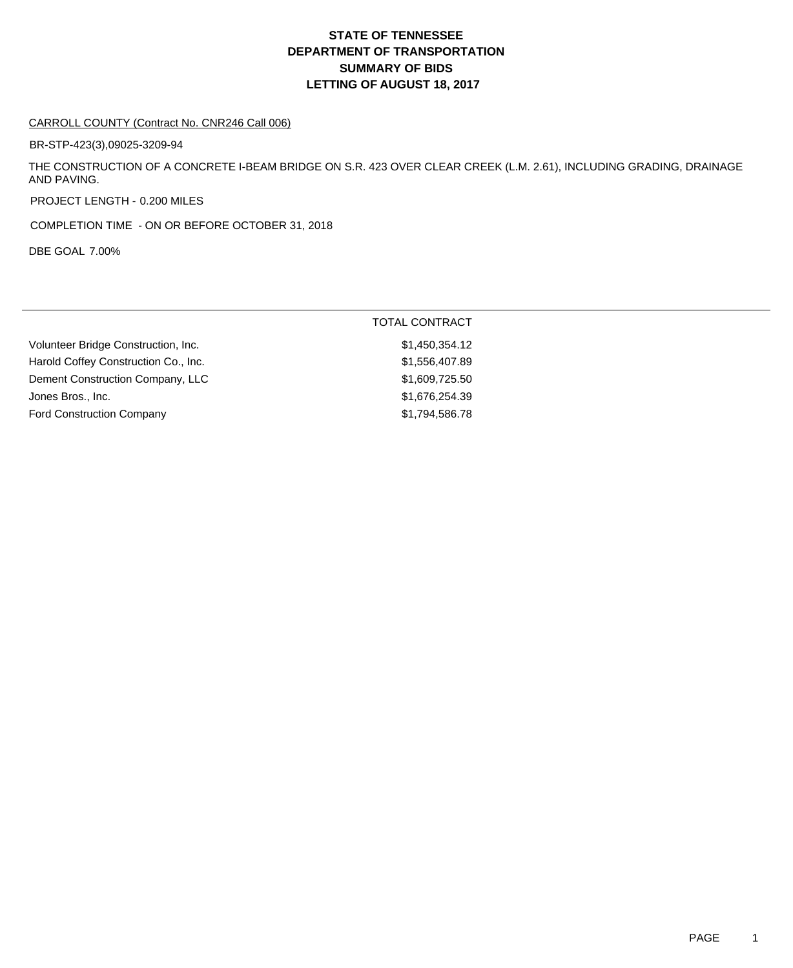#### CARROLL COUNTY (Contract No. CNR246 Call 006)

BR-STP-423(3),09025-3209-94

THE CONSTRUCTION OF A CONCRETE I-BEAM BRIDGE ON S.R. 423 OVER CLEAR CREEK (L.M. 2.61), INCLUDING GRADING, DRAINAGE AND PAVING.

PROJECT LENGTH - 0.200 MILES

COMPLETION TIME - ON OR BEFORE OCTOBER 31, 2018

DBE GOAL 7.00%

|                                      | <b>TOTAL CONTRACT</b> |
|--------------------------------------|-----------------------|
| Volunteer Bridge Construction, Inc.  | \$1,450,354.12        |
| Harold Coffey Construction Co., Inc. | \$1,556,407.89        |
| Dement Construction Company, LLC     | \$1,609,725.50        |
| Jones Bros., Inc.                    | \$1,676,254.39        |
| <b>Ford Construction Company</b>     | \$1,794,586.78        |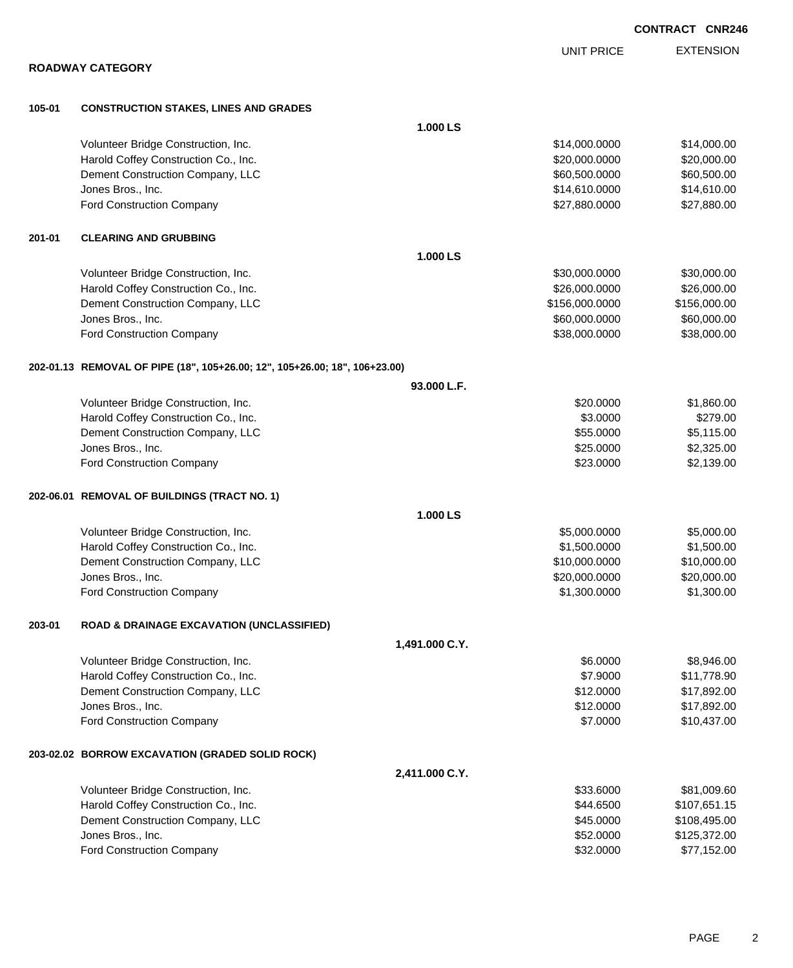|        |                                                                            |                |                   | <b>CONTRACT CNR246</b> |                  |
|--------|----------------------------------------------------------------------------|----------------|-------------------|------------------------|------------------|
|        |                                                                            |                | <b>UNIT PRICE</b> |                        | <b>EXTENSION</b> |
|        | <b>ROADWAY CATEGORY</b>                                                    |                |                   |                        |                  |
| 105-01 | <b>CONSTRUCTION STAKES, LINES AND GRADES</b>                               |                |                   |                        |                  |
|        |                                                                            | 1.000 LS       |                   |                        |                  |
|        | Volunteer Bridge Construction, Inc.                                        |                | \$14,000.0000     |                        | \$14,000.00      |
|        | Harold Coffey Construction Co., Inc.                                       |                | \$20,000.0000     |                        | \$20,000.00      |
|        | Dement Construction Company, LLC                                           |                | \$60,500.0000     |                        | \$60,500.00      |
|        | Jones Bros., Inc.                                                          |                | \$14,610.0000     |                        | \$14,610.00      |
|        | Ford Construction Company                                                  |                | \$27,880.0000     |                        | \$27,880.00      |
| 201-01 | <b>CLEARING AND GRUBBING</b>                                               |                |                   |                        |                  |
|        |                                                                            | 1.000 LS       |                   |                        |                  |
|        | Volunteer Bridge Construction, Inc.                                        |                | \$30,000.0000     |                        | \$30,000.00      |
|        | Harold Coffey Construction Co., Inc.                                       |                | \$26,000.0000     |                        | \$26,000.00      |
|        | Dement Construction Company, LLC                                           |                | \$156,000.0000    |                        | \$156,000.00     |
|        | Jones Bros., Inc.                                                          |                | \$60,000.0000     |                        | \$60,000.00      |
|        | <b>Ford Construction Company</b>                                           |                | \$38,000.0000     |                        | \$38,000.00      |
|        | 202-01.13 REMOVAL OF PIPE (18", 105+26.00; 12", 105+26.00; 18", 106+23.00) |                |                   |                        |                  |
|        |                                                                            | 93.000 L.F.    |                   |                        |                  |
|        | Volunteer Bridge Construction, Inc.                                        |                | \$20.0000         |                        | \$1,860.00       |
|        | Harold Coffey Construction Co., Inc.                                       |                | \$3.0000          |                        | \$279.00         |
|        | Dement Construction Company, LLC                                           |                | \$55.0000         |                        | \$5,115.00       |
|        | Jones Bros., Inc.                                                          |                | \$25.0000         |                        | \$2,325.00       |
|        | Ford Construction Company                                                  |                | \$23.0000         |                        | \$2,139.00       |
|        | 202-06.01 REMOVAL OF BUILDINGS (TRACT NO. 1)                               |                |                   |                        |                  |
|        |                                                                            | 1.000 LS       |                   |                        |                  |
|        | Volunteer Bridge Construction, Inc.                                        |                | \$5,000.0000      |                        | \$5,000.00       |
|        | Harold Coffey Construction Co., Inc.                                       |                | \$1,500.0000      |                        | \$1,500.00       |
|        | Dement Construction Company, LLC                                           |                | \$10,000,0000     |                        | \$10,000.00      |
|        | Jones Bros., Inc.                                                          |                | \$20,000.0000     |                        | \$20,000.00      |
|        | Ford Construction Company                                                  |                | \$1,300.0000      |                        | \$1,300.00       |
| 203-01 | <b>ROAD &amp; DRAINAGE EXCAVATION (UNCLASSIFIED)</b>                       |                |                   |                        |                  |
|        |                                                                            | 1,491.000 C.Y. |                   |                        |                  |
|        | Volunteer Bridge Construction, Inc.                                        |                | \$6.0000          |                        | \$8,946.00       |
|        | Harold Coffey Construction Co., Inc.                                       |                | \$7.9000          |                        | \$11,778.90      |
|        | Dement Construction Company, LLC                                           |                | \$12.0000         |                        | \$17,892.00      |
|        | Jones Bros., Inc.                                                          |                | \$12.0000         |                        | \$17,892.00      |
|        | Ford Construction Company                                                  |                | \$7.0000          |                        | \$10,437.00      |
|        | 203-02.02 BORROW EXCAVATION (GRADED SOLID ROCK)                            |                |                   |                        |                  |
|        |                                                                            | 2,411.000 C.Y. |                   |                        |                  |
|        | Volunteer Bridge Construction, Inc.                                        |                | \$33.6000         |                        | \$81,009.60      |
|        | Harold Coffey Construction Co., Inc.                                       |                | \$44.6500         |                        | \$107,651.15     |
|        | Dement Construction Company, LLC                                           |                | \$45.0000         |                        | \$108,495.00     |
|        | Jones Bros., Inc.                                                          |                | \$52.0000         |                        | \$125,372.00     |

Ford Construction Company **\$32.0000** \$77,152.00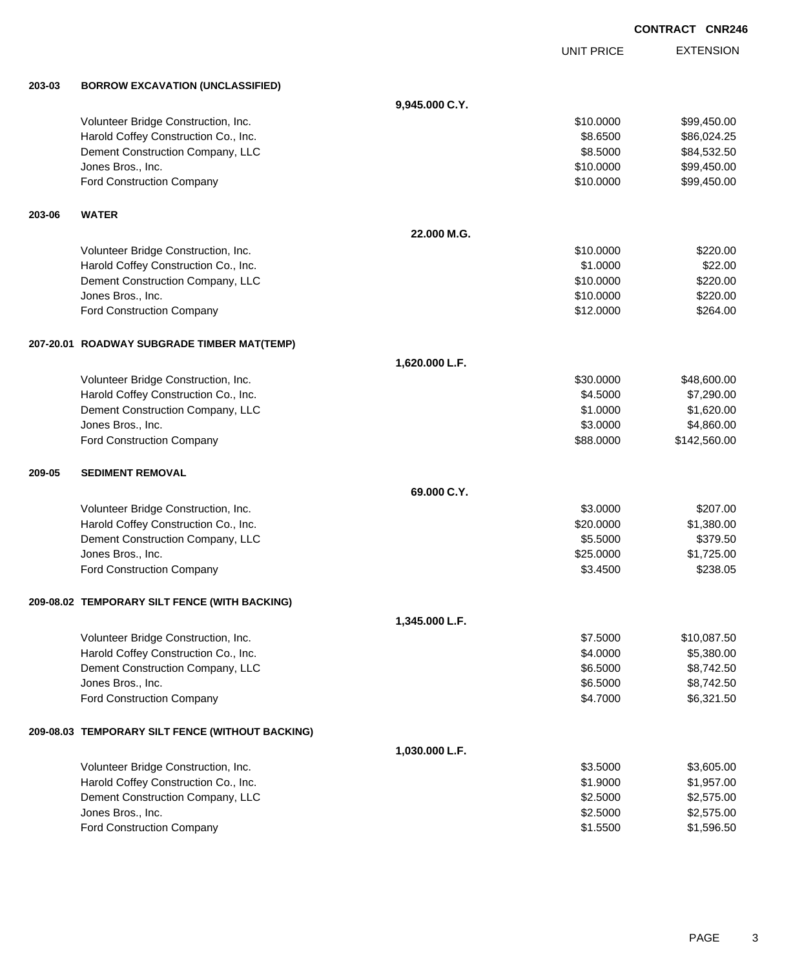EXTENSION **CONTRACT CNR246** UNIT PRICE **203-03 BORROW EXCAVATION (UNCLASSIFIED) 9,945.000 C.Y.** Volunteer Bridge Construction, Inc. 699,450.00 \$99,450.00 \$99,450.00 Harold Coffey Construction Co., Inc. 6. The Construction Co., Inc. 6. The Construction Co., Inc. 6. The Const Dement Construction Company, LLC 684,532.50 Jones Bros., Inc. \$10.0000 \$99,450.00 Ford Construction Company 610.000 \$99,450.00 **203-06 WATER 22.000 M.G.** Volunteer Bridge Construction, Inc. 6220.00 \$220.00 Harold Coffey Construction Co., Inc. 69. The Construction Co., Inc. 69. The Construction Co., Inc. 69. The Construction Co., Inc. 69. The Construction Co., Inc. 69. The Construction Co., Inc. 69. The Construction Co., Inc. Dement Construction Company, LLC 6 and the state of the state of the state of the state of the state of the state of the state of the state of the state of the state of the state of the state of the state of the state of t Jones Bros., Inc. \$10.0000 \$220.00 Ford Construction Company 6264.00 **207-20.01 ROADWAY SUBGRADE TIMBER MAT(TEMP) 1,620.000 L.F.** Volunteer Bridge Construction, Inc. 6. The Construction of the Construction of the Construction, Inc. 648,600.00 Harold Coffey Construction Co., Inc. 6. 2000 \$7,290.00 \$7,290.00 Dement Construction Company, LLC 6. The state of the state of the state of the state of the state of the state of the state of the state of the state of the state of the state of the state of the state of the state of the Jones Bros., Inc. \$3.0000 \$4,860.00 Ford Construction Company **688.000 \$142,560.00** \$142,560.00 **209-05 SEDIMENT REMOVAL 69.000 C.Y.** Volunteer Bridge Construction, Inc. 6207.00 Harold Coffey Construction Co., Inc. 6. 20.000 \$1,380.00 Dement Construction Company, LLC 6 and the state of the state of the state  $$5.5000$  \$379.50 Jones Bros., Inc. \$25.0000 \$1,725.00 Ford Construction Company 6238.05 **209-08.02 TEMPORARY SILT FENCE (WITH BACKING) 1,345.000 L.F.** Volunteer Bridge Construction, Inc. 6. 1999 10:00 12:00 13:00 13:00 13:00 14:00 14:00 15:000 15:000 15:000 15:000 15:000 15:000 15:000 15:000 15:000 15:000 15:000 15:000 15:000 15:000 15:000 15:000 15:000 15:000 15:000 15: Harold Coffey Construction Co., Inc. 6. The Construction Co., Inc. 6. The Construction Co., Inc. 6. The Const Dement Construction Company, LLC 6.5000 \$8,742.50 Jones Bros., Inc. \$6.5000 \$8,742.50 Ford Construction Company 6,321.50 **209-08.03 TEMPORARY SILT FENCE (WITHOUT BACKING) 1,030.000 L.F.** Volunteer Bridge Construction, Inc. 63.5000 \$3,605.00 Harold Coffey Construction Co., Inc. 6. The Construction Co., Inc. 6. The Construction Co., Inc. 6. The Const Dement Construction Company, LLC 6. The construction Company, LLC 6. The construction Company, LLC 6. The construction of the construction of the construction Company, LLC 6. The construction of the construction of the con

Jones Bros., Inc. \$2.5000 \$2,575.00 Ford Construction Company 61.5500 \$1,596.50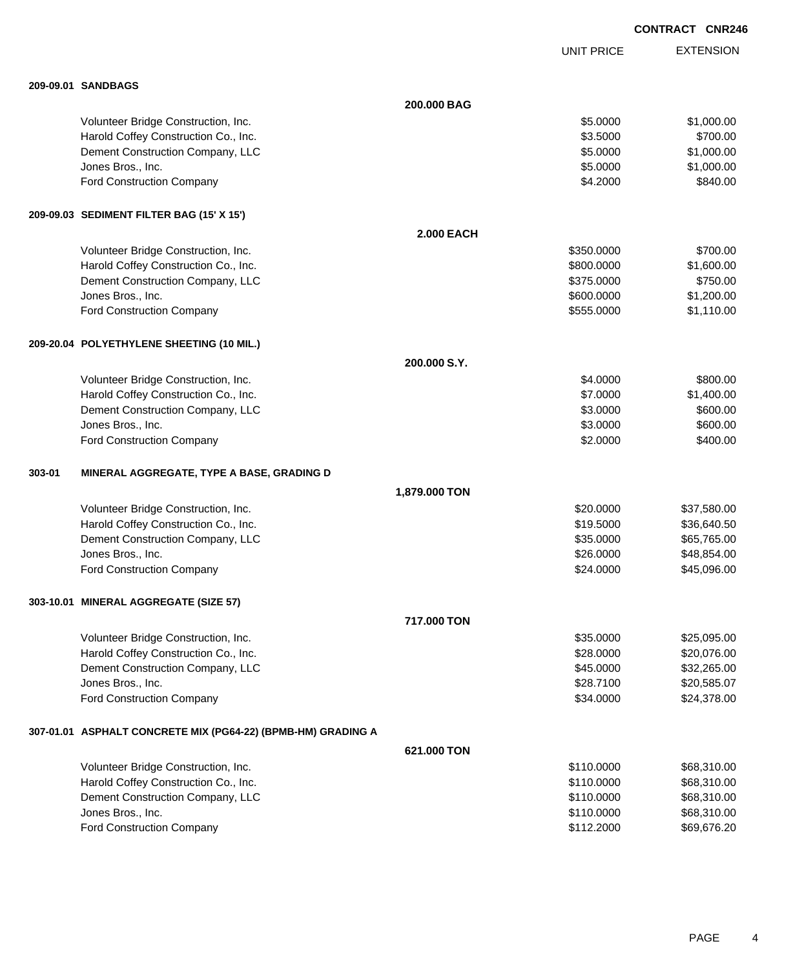|        |                                                                |                   |                   | <b>CONTRACT CNR246</b> |
|--------|----------------------------------------------------------------|-------------------|-------------------|------------------------|
|        |                                                                |                   | <b>UNIT PRICE</b> | <b>EXTENSION</b>       |
|        | 209-09.01 SANDBAGS                                             |                   |                   |                        |
|        |                                                                | 200.000 BAG       |                   |                        |
|        | Volunteer Bridge Construction, Inc.                            |                   | \$5.0000          | \$1,000.00             |
|        | Harold Coffey Construction Co., Inc.                           |                   | \$3.5000          | \$700.00               |
|        | Dement Construction Company, LLC                               |                   | \$5.0000          | \$1,000.00             |
|        | Jones Bros., Inc.                                              |                   | \$5.0000          | \$1,000.00             |
|        | Ford Construction Company                                      |                   | \$4.2000          | \$840.00               |
|        | 209-09.03 SEDIMENT FILTER BAG (15' X 15')                      |                   |                   |                        |
|        |                                                                | <b>2.000 EACH</b> |                   |                        |
|        | Volunteer Bridge Construction, Inc.                            |                   | \$350.0000        | \$700.00               |
|        | Harold Coffey Construction Co., Inc.                           |                   | \$800,0000        | \$1,600.00             |
|        | Dement Construction Company, LLC                               |                   | \$375.0000        | \$750.00               |
|        | Jones Bros., Inc.                                              |                   | \$600.0000        | \$1,200.00             |
|        | Ford Construction Company                                      |                   | \$555.0000        | \$1,110.00             |
|        | 209-20.04 POLYETHYLENE SHEETING (10 MIL.)                      |                   |                   |                        |
|        |                                                                | 200.000 S.Y.      |                   |                        |
|        | Volunteer Bridge Construction, Inc.                            |                   | \$4.0000          | \$800.00               |
|        | Harold Coffey Construction Co., Inc.                           |                   | \$7.0000          | \$1,400.00             |
|        | Dement Construction Company, LLC                               |                   | \$3.0000          | \$600.00               |
|        | Jones Bros., Inc.                                              |                   | \$3.0000          | \$600.00               |
|        | Ford Construction Company                                      |                   | \$2.0000          | \$400.00               |
| 303-01 | MINERAL AGGREGATE, TYPE A BASE, GRADING D                      |                   |                   |                        |
|        |                                                                | 1,879.000 TON     |                   |                        |
|        | Volunteer Bridge Construction, Inc.                            |                   | \$20,0000         | \$37,580.00            |
|        | Harold Coffey Construction Co., Inc.                           |                   | \$19.5000         | \$36,640.50            |
|        | Dement Construction Company, LLC                               |                   | \$35.0000         | \$65,765.00            |
|        | Jones Bros., Inc.                                              |                   | \$26,0000         | \$48,854.00            |
|        | Ford Construction Company                                      |                   | \$24.0000         | \$45,096.00            |
|        | 303-10.01 MINERAL AGGREGATE (SIZE 57)                          |                   |                   |                        |
|        |                                                                | 717.000 TON       |                   |                        |
|        | Volunteer Bridge Construction, Inc.                            |                   | \$35.0000         | \$25,095.00            |
|        | Harold Coffey Construction Co., Inc.                           |                   | \$28.0000         | \$20,076.00            |
|        | Dement Construction Company, LLC                               |                   | \$45.0000         | \$32,265.00            |
|        | Jones Bros., Inc.                                              |                   | \$28.7100         | \$20,585.07            |
|        | Ford Construction Company                                      |                   | \$34.0000         | \$24,378.00            |
|        | 307-01.01   ASPHALT CONCRETE MIX (PG64-22) (BPMB-HM) GRADING A |                   |                   |                        |
|        |                                                                | 621.000 TON       |                   |                        |
|        | Volunteer Bridge Construction, Inc.                            |                   | \$110.0000        | \$68,310.00            |
|        | Harold Coffey Construction Co., Inc.                           |                   | \$110.0000        | \$68,310.00            |
|        | Dement Construction Company, LLC                               |                   | \$110.0000        | \$68,310.00            |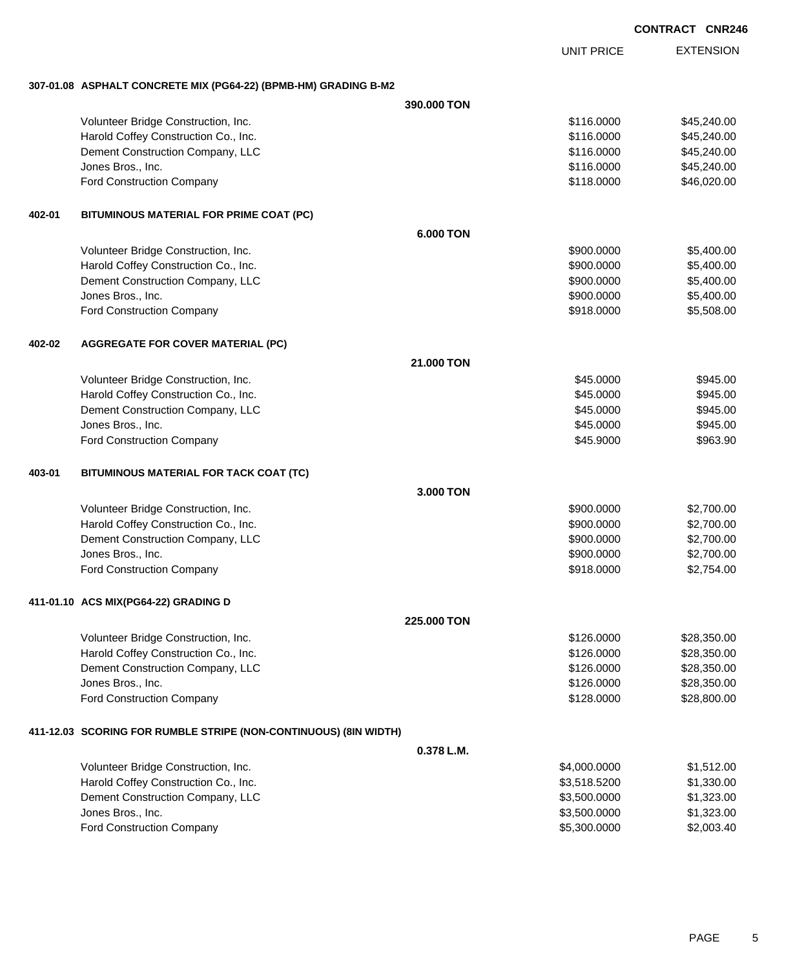UNIT PRICE

EXTENSION

**307-01.08 ASPHALT CONCRETE MIX (PG64-22) (BPMB-HM) GRADING B-M2**

|        |                                                                  | 390.000 TON      |              |             |  |
|--------|------------------------------------------------------------------|------------------|--------------|-------------|--|
|        | Volunteer Bridge Construction, Inc.                              |                  | \$116.0000   | \$45,240.00 |  |
|        | Harold Coffey Construction Co., Inc.                             |                  | \$116.0000   | \$45,240.00 |  |
|        | Dement Construction Company, LLC                                 |                  | \$116.0000   | \$45,240.00 |  |
|        | Jones Bros., Inc.                                                |                  | \$116.0000   | \$45,240.00 |  |
|        | Ford Construction Company                                        |                  | \$118.0000   | \$46,020.00 |  |
| 402-01 | BITUMINOUS MATERIAL FOR PRIME COAT (PC)                          |                  |              |             |  |
|        |                                                                  | <b>6.000 TON</b> |              |             |  |
|        | Volunteer Bridge Construction, Inc.                              |                  | \$900.0000   | \$5,400.00  |  |
|        | Harold Coffey Construction Co., Inc.                             |                  | \$900.0000   | \$5,400.00  |  |
|        | Dement Construction Company, LLC                                 |                  | \$900.0000   | \$5,400.00  |  |
|        | Jones Bros., Inc.                                                |                  | \$900.0000   | \$5,400.00  |  |
|        | Ford Construction Company                                        |                  | \$918.0000   | \$5,508.00  |  |
| 402-02 | <b>AGGREGATE FOR COVER MATERIAL (PC)</b>                         |                  |              |             |  |
|        |                                                                  | 21.000 TON       |              |             |  |
|        | Volunteer Bridge Construction, Inc.                              |                  | \$45.0000    | \$945.00    |  |
|        | Harold Coffey Construction Co., Inc.                             |                  | \$45.0000    | \$945.00    |  |
|        | Dement Construction Company, LLC                                 |                  | \$45.0000    | \$945.00    |  |
|        | Jones Bros., Inc.                                                |                  | \$45.0000    | \$945.00    |  |
|        | Ford Construction Company                                        |                  | \$45.9000    | \$963.90    |  |
| 403-01 | BITUMINOUS MATERIAL FOR TACK COAT (TC)                           |                  |              |             |  |
|        |                                                                  | 3.000 TON        |              |             |  |
|        | Volunteer Bridge Construction, Inc.                              |                  | \$900.0000   | \$2,700.00  |  |
|        | Harold Coffey Construction Co., Inc.                             |                  | \$900.0000   | \$2,700.00  |  |
|        | Dement Construction Company, LLC                                 |                  | \$900.0000   | \$2,700.00  |  |
|        | Jones Bros., Inc.                                                |                  | \$900.0000   | \$2,700.00  |  |
|        | Ford Construction Company                                        |                  | \$918.0000   | \$2,754.00  |  |
|        | 411-01.10 ACS MIX(PG64-22) GRADING D                             |                  |              |             |  |
|        |                                                                  | 225,000 TON      |              |             |  |
|        | Volunteer Bridge Construction, Inc.                              |                  | \$126.0000   | \$28,350.00 |  |
|        | Harold Coffey Construction Co., Inc.                             |                  | \$126.0000   | \$28,350.00 |  |
|        | Dement Construction Company, LLC                                 |                  | \$126.0000   | \$28,350.00 |  |
|        | Jones Bros., Inc.                                                |                  | \$126.0000   | \$28,350.00 |  |
|        | Ford Construction Company                                        |                  | \$128.0000   | \$28,800.00 |  |
|        | 411-12.03 SCORING FOR RUMBLE STRIPE (NON-CONTINUOUS) (8IN WIDTH) |                  |              |             |  |
|        |                                                                  | 0.378 L.M.       |              |             |  |
|        | Volunteer Bridge Construction, Inc.                              |                  | \$4,000.0000 | \$1,512.00  |  |
|        | Harold Coffey Construction Co., Inc.                             |                  | \$3,518.5200 | \$1,330.00  |  |
|        | Dement Construction Company, LLC                                 |                  | \$3,500.0000 | \$1,323.00  |  |
|        | Jones Bros., Inc.                                                |                  | \$3,500.0000 | \$1,323.00  |  |
|        | Ford Construction Company                                        |                  | \$5,300.0000 | \$2,003.40  |  |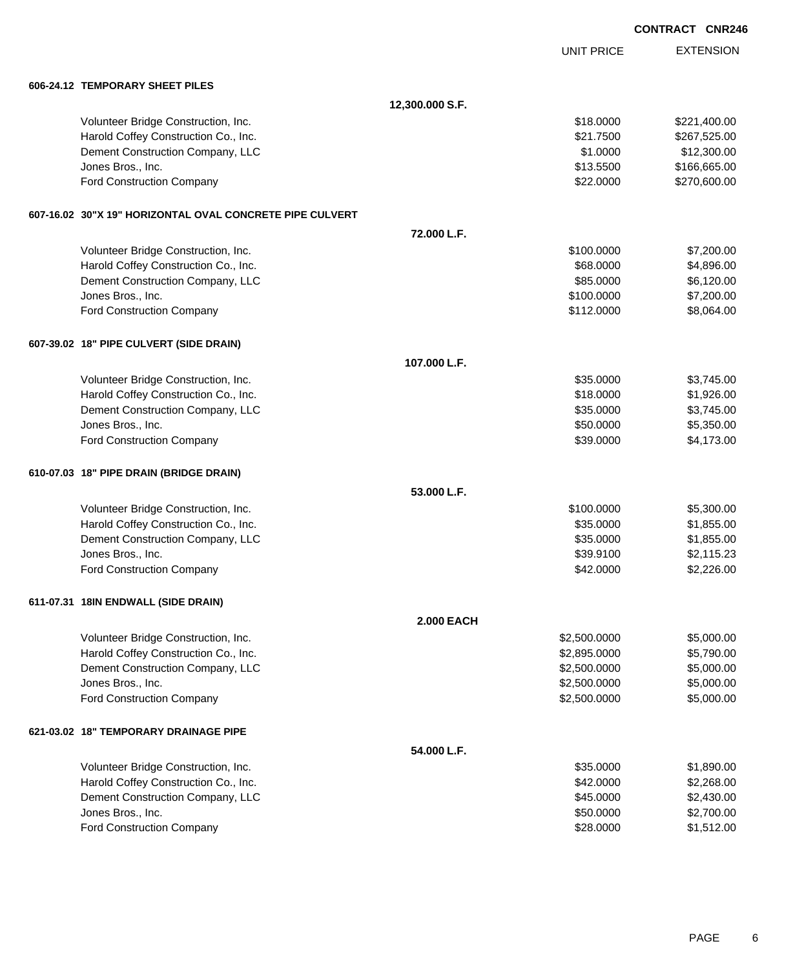|  |                                                          |                   |                              | <b>CONTRACT CNR246</b>   |
|--|----------------------------------------------------------|-------------------|------------------------------|--------------------------|
|  |                                                          |                   | UNIT PRICE                   | <b>EXTENSION</b>         |
|  | 606-24.12 TEMPORARY SHEET PILES                          |                   |                              |                          |
|  |                                                          | 12,300.000 S.F.   |                              |                          |
|  | Volunteer Bridge Construction, Inc.                      |                   | \$18.0000                    | \$221,400.00             |
|  | Harold Coffey Construction Co., Inc.                     |                   | \$21.7500                    | \$267,525.00             |
|  | Dement Construction Company, LLC                         |                   | \$1.0000                     | \$12,300.00              |
|  | Jones Bros., Inc.                                        |                   | \$13.5500                    | \$166,665.00             |
|  | <b>Ford Construction Company</b>                         |                   | \$22.0000                    | \$270,600.00             |
|  | 607-16.02 30"X 19" HORIZONTAL OVAL CONCRETE PIPE CULVERT |                   |                              |                          |
|  |                                                          | 72.000 L.F.       |                              |                          |
|  | Volunteer Bridge Construction, Inc.                      |                   | \$100.0000                   | \$7,200.00               |
|  | Harold Coffey Construction Co., Inc.                     |                   | \$68.0000                    | \$4,896.00               |
|  | Dement Construction Company, LLC                         |                   | \$85.0000                    | \$6,120.00               |
|  | Jones Bros., Inc.                                        |                   | \$100.0000                   | \$7,200.00               |
|  | <b>Ford Construction Company</b>                         |                   | \$112.0000                   | \$8,064.00               |
|  | 607-39.02 18" PIPE CULVERT (SIDE DRAIN)                  |                   |                              |                          |
|  |                                                          | 107.000 L.F.      |                              |                          |
|  | Volunteer Bridge Construction, Inc.                      |                   | \$35.0000                    | \$3,745.00               |
|  | Harold Coffey Construction Co., Inc.                     |                   | \$18.0000                    | \$1,926.00               |
|  | Dement Construction Company, LLC                         |                   | \$35.0000                    | \$3,745.00               |
|  | Jones Bros., Inc.                                        |                   | \$50.0000                    | \$5,350.00               |
|  | Ford Construction Company                                |                   | \$39.0000                    | \$4,173.00               |
|  | 610-07.03 18" PIPE DRAIN (BRIDGE DRAIN)                  |                   |                              |                          |
|  |                                                          | 53.000 L.F.       |                              |                          |
|  | Volunteer Bridge Construction, Inc.                      |                   | \$100.0000                   | \$5,300.00               |
|  | Harold Coffey Construction Co., Inc.                     |                   | \$35.0000                    | \$1,855.00               |
|  | Dement Construction Company, LLC                         |                   | \$35.0000                    | \$1,855.00               |
|  | Jones Bros., Inc.                                        |                   | \$39.9100                    | \$2,115.23               |
|  | <b>Ford Construction Company</b>                         |                   | \$42.0000                    | \$2,226.00               |
|  | 611-07.31 18IN ENDWALL (SIDE DRAIN)                      |                   |                              |                          |
|  |                                                          | <b>2.000 EACH</b> |                              |                          |
|  | Volunteer Bridge Construction, Inc.                      |                   | \$2,500.0000                 | \$5,000.00               |
|  | Harold Coffey Construction Co., Inc.                     |                   | \$2,895.0000                 | \$5,790.00               |
|  | Dement Construction Company, LLC                         |                   | \$2,500.0000                 | \$5,000.00               |
|  | Jones Bros., Inc.<br>Ford Construction Company           |                   | \$2,500.0000<br>\$2,500.0000 | \$5,000.00<br>\$5,000.00 |
|  |                                                          |                   |                              |                          |
|  | 621-03.02 18" TEMPORARY DRAINAGE PIPE                    | 54.000 L.F.       |                              |                          |
|  | Volunteer Bridge Construction, Inc.                      |                   | \$35.0000                    | \$1,890.00               |
|  | Harold Coffey Construction Co., Inc.                     |                   | \$42.0000                    | \$2,268.00               |
|  | Dement Construction Company, LLC                         |                   | \$45.0000                    | \$2,430.00               |
|  | Jones Bros., Inc.                                        |                   | \$50.0000                    | \$2,700.00               |
|  | Ford Construction Company                                |                   | \$28.0000                    | \$1,512.00               |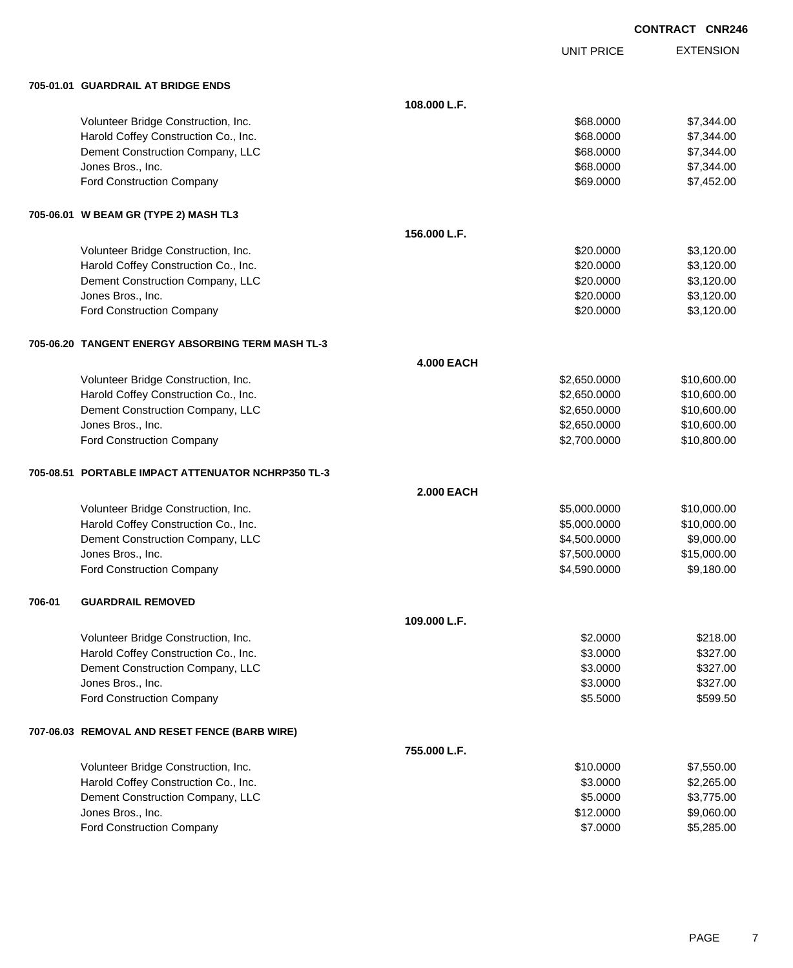|  | <b>CONTRACT CNR246</b> |
|--|------------------------|
|  |                        |

UNIT PRICE

EXTENSION

|        | 705-01.01 GUARDRAIL AT BRIDGE ENDS                 |                   |              |             |
|--------|----------------------------------------------------|-------------------|--------------|-------------|
|        |                                                    | 108.000 L.F.      |              |             |
|        | Volunteer Bridge Construction, Inc.                |                   | \$68.0000    | \$7,344.00  |
|        | Harold Coffey Construction Co., Inc.               |                   | \$68.0000    | \$7,344.00  |
|        | Dement Construction Company, LLC                   |                   | \$68.0000    | \$7,344.00  |
|        | Jones Bros., Inc.                                  |                   | \$68.0000    | \$7,344.00  |
|        | Ford Construction Company                          |                   | \$69.0000    | \$7,452.00  |
|        | 705-06.01 W BEAM GR (TYPE 2) MASH TL3              |                   |              |             |
|        |                                                    | 156.000 L.F.      |              |             |
|        | Volunteer Bridge Construction, Inc.                |                   | \$20.0000    | \$3,120.00  |
|        | Harold Coffey Construction Co., Inc.               |                   | \$20.0000    | \$3,120.00  |
|        | Dement Construction Company, LLC                   |                   | \$20.0000    | \$3,120.00  |
|        | Jones Bros., Inc.                                  |                   | \$20.0000    | \$3,120.00  |
|        | Ford Construction Company                          |                   | \$20.0000    | \$3,120.00  |
|        | 705-06.20 TANGENT ENERGY ABSORBING TERM MASH TL-3  |                   |              |             |
|        |                                                    | <b>4.000 EACH</b> |              |             |
|        | Volunteer Bridge Construction, Inc.                |                   | \$2,650.0000 | \$10,600.00 |
|        | Harold Coffey Construction Co., Inc.               |                   | \$2,650.0000 | \$10,600.00 |
|        | Dement Construction Company, LLC                   |                   | \$2,650.0000 | \$10,600.00 |
|        | Jones Bros., Inc.                                  |                   | \$2,650.0000 | \$10,600.00 |
|        | Ford Construction Company                          |                   | \$2,700.0000 | \$10,800.00 |
|        | 705-08.51 PORTABLE IMPACT ATTENUATOR NCHRP350 TL-3 |                   |              |             |
|        |                                                    | <b>2.000 EACH</b> |              |             |
|        | Volunteer Bridge Construction, Inc.                |                   | \$5,000.0000 | \$10,000.00 |
|        | Harold Coffey Construction Co., Inc.               |                   | \$5,000.0000 | \$10,000.00 |
|        | Dement Construction Company, LLC                   |                   | \$4,500.0000 | \$9,000.00  |
|        | Jones Bros., Inc.                                  |                   | \$7,500.0000 | \$15,000.00 |
|        | Ford Construction Company                          |                   | \$4,590.0000 | \$9,180.00  |
| 706-01 | <b>GUARDRAIL REMOVED</b>                           |                   |              |             |
|        |                                                    | 109.000 L.F.      |              |             |
|        | Volunteer Bridge Construction, Inc.                |                   | \$2.0000     | \$218.00    |
|        | Harold Coffey Construction Co., Inc.               |                   | \$3.0000     | \$327.00    |
|        | Dement Construction Company, LLC                   |                   | \$3.0000     | \$327.00    |
|        | Jones Bros., Inc.                                  |                   | \$3.0000     | \$327.00    |
|        | Ford Construction Company                          |                   | \$5.5000     | \$599.50    |
|        | 707-06.03 REMOVAL AND RESET FENCE (BARB WIRE)      |                   |              |             |
|        |                                                    | 755.000 L.F.      |              |             |
|        | Volunteer Bridge Construction, Inc.                |                   | \$10.0000    | \$7,550.00  |
|        | Harold Coffey Construction Co., Inc.               |                   | \$3.0000     | \$2,265.00  |
|        | Dement Construction Company, LLC                   |                   | \$5.0000     | \$3,775.00  |
|        | Jones Bros., Inc.                                  |                   | \$12.0000    | \$9,060.00  |

Ford Construction Company 65,285.00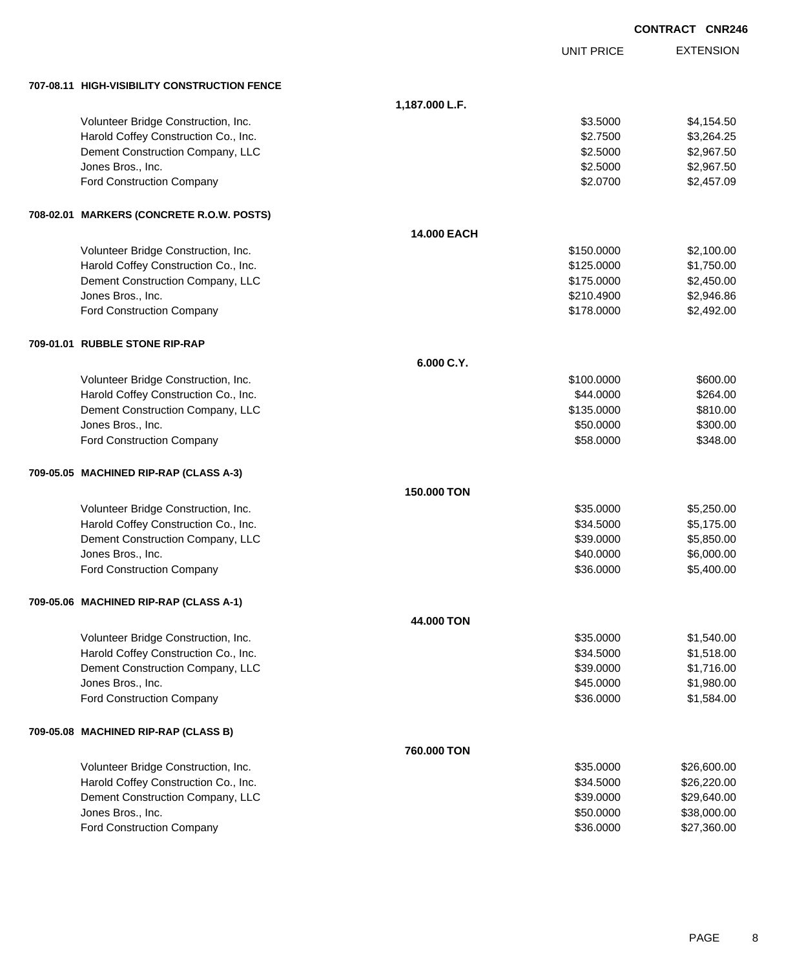|                                              |                |                   | <b>CONTRACT CNR246</b> |
|----------------------------------------------|----------------|-------------------|------------------------|
|                                              |                | <b>UNIT PRICE</b> | <b>EXTENSION</b>       |
| 707-08.11 HIGH-VISIBILITY CONSTRUCTION FENCE |                |                   |                        |
|                                              | 1,187.000 L.F. |                   |                        |
| Volunteer Bridge Construction, Inc.          |                | \$3.5000          | \$4,154.50             |
| Harold Coffey Construction Co., Inc.         |                | \$2.7500          | \$3,264.25             |
| Dement Construction Company, LLC             |                | \$2.5000          | \$2,967.50             |
| Jones Bros., Inc.                            |                | \$2.5000          | \$2,967.50             |
| <b>Ford Construction Company</b>             |                | \$2.0700          | \$2,457.09             |
| 708-02.01 MARKERS (CONCRETE R.O.W. POSTS)    |                |                   |                        |
|                                              | 14.000 EACH    |                   |                        |
| Volunteer Bridge Construction, Inc.          |                | \$150.0000        | \$2,100.00             |
| Harold Coffey Construction Co., Inc.         |                | \$125.0000        | \$1,750.00             |
| Dement Construction Company, LLC             |                | \$175.0000        | \$2,450.00             |
| Jones Bros., Inc.                            |                | \$210.4900        | \$2,946.86             |
| <b>Ford Construction Company</b>             |                | \$178.0000        | \$2,492.00             |
| 709-01.01 RUBBLE STONE RIP-RAP               |                |                   |                        |
|                                              | 6.000 C.Y.     |                   |                        |
| Volunteer Bridge Construction, Inc.          |                | \$100.0000        | \$600.00               |
| Harold Coffey Construction Co., Inc.         |                | \$44.0000         | \$264.00               |
| Dement Construction Company, LLC             |                | \$135.0000        | \$810.00               |
| Jones Bros., Inc.                            |                | \$50.0000         | \$300.00               |
| <b>Ford Construction Company</b>             |                | \$58.0000         | \$348.00               |
| 709-05.05 MACHINED RIP-RAP (CLASS A-3)       |                |                   |                        |
|                                              | 150.000 TON    |                   |                        |
| Volunteer Bridge Construction, Inc.          |                | \$35.0000         | \$5,250.00             |
| Harold Coffey Construction Co., Inc.         |                | \$34.5000         | \$5,175.00             |
| Dement Construction Company, LLC             |                | \$39.0000         | \$5,850.00             |
| Jones Bros., Inc.                            |                | \$40.0000         | \$6,000.00             |
| Ford Construction Company                    |                | \$36.0000         | \$5,400.00             |
| 709-05.06 MACHINED RIP-RAP (CLASS A-1)       |                |                   |                        |
|                                              | 44,000 TON     |                   |                        |
| Volunteer Bridge Construction, Inc.          |                | \$35.0000         | \$1,540.00             |
| Harold Coffey Construction Co., Inc.         |                | \$34.5000         | \$1,518.00             |
| Dement Construction Company, LLC             |                | \$39.0000         | \$1,716.00             |
| Jones Bros., Inc.                            |                | \$45.0000         | \$1,980.00             |
| Ford Construction Company                    |                | \$36.0000         | \$1,584.00             |
| 709-05.08 MACHINED RIP-RAP (CLASS B)         |                |                   |                        |
|                                              | 760.000 TON    |                   |                        |
| Volunteer Bridge Construction, Inc.          |                | \$35.0000         | \$26,600.00            |
| Harold Coffey Construction Co., Inc.         |                | \$34.5000         | \$26,220.00            |
| Dement Construction Company, LLC             |                | \$39.0000         | \$29,640.00            |
| Jones Bros., Inc.                            |                | \$50.0000         | \$38,000.00            |
| <b>Ford Construction Company</b>             |                | \$36.0000         | \$27,360.00            |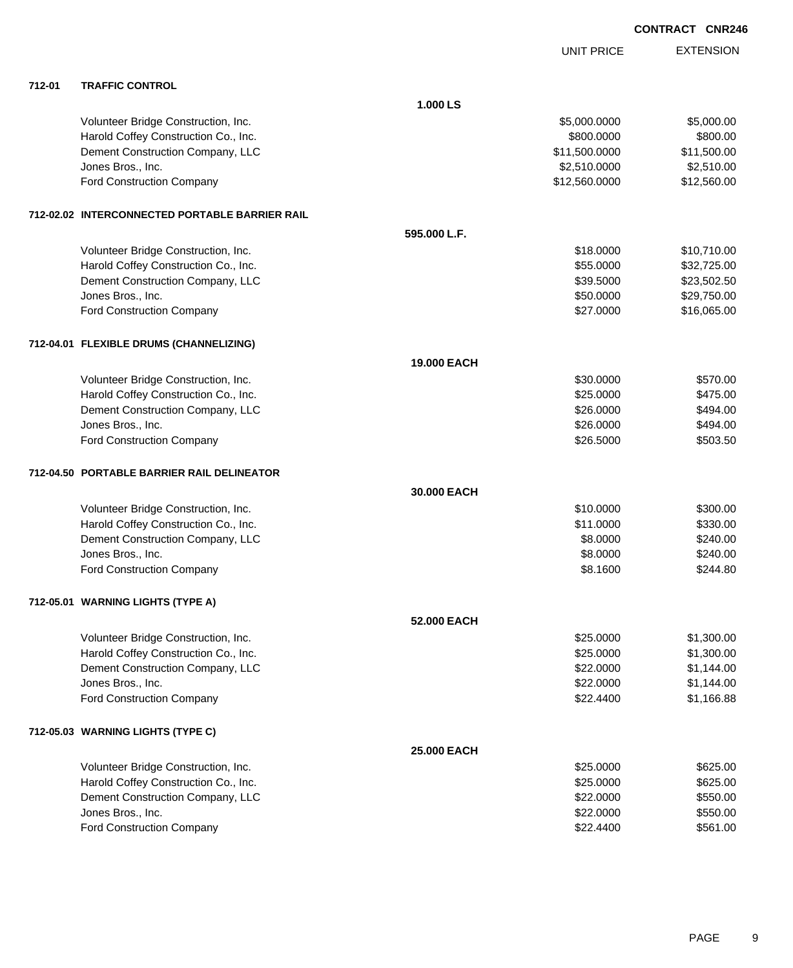|        |                                                |                    | UNIT PRICE    | <b>EXTENSION</b> |
|--------|------------------------------------------------|--------------------|---------------|------------------|
| 712-01 | <b>TRAFFIC CONTROL</b>                         |                    |               |                  |
|        |                                                | 1.000 LS           |               |                  |
|        | Volunteer Bridge Construction, Inc.            |                    | \$5,000.0000  | \$5,000.00       |
|        | Harold Coffey Construction Co., Inc.           |                    | \$800.0000    | \$800.00         |
|        | Dement Construction Company, LLC               |                    | \$11,500.0000 | \$11,500.00      |
|        | Jones Bros., Inc.                              |                    | \$2,510.0000  | \$2,510.00       |
|        | <b>Ford Construction Company</b>               |                    | \$12,560.0000 | \$12,560.00      |
|        | 712-02.02 INTERCONNECTED PORTABLE BARRIER RAIL |                    |               |                  |
|        |                                                | 595.000 L.F.       |               |                  |
|        | Volunteer Bridge Construction, Inc.            |                    | \$18.0000     | \$10,710.00      |
|        | Harold Coffey Construction Co., Inc.           |                    | \$55.0000     | \$32,725.00      |
|        | Dement Construction Company, LLC               |                    | \$39.5000     | \$23,502.50      |
|        | Jones Bros., Inc.                              |                    | \$50.0000     | \$29,750.00      |
|        | <b>Ford Construction Company</b>               |                    | \$27.0000     | \$16,065.00      |
|        | 712-04.01 FLEXIBLE DRUMS (CHANNELIZING)        |                    |               |                  |
|        |                                                | <b>19,000 EACH</b> |               |                  |
|        | Volunteer Bridge Construction, Inc.            |                    | \$30.0000     | \$570.00         |
|        | Harold Coffey Construction Co., Inc.           |                    | \$25.0000     | \$475.00         |
|        | Dement Construction Company, LLC               |                    | \$26.0000     | \$494.00         |
|        | Jones Bros., Inc.                              |                    | \$26.0000     | \$494.00         |
|        | <b>Ford Construction Company</b>               |                    | \$26.5000     | \$503.50         |
|        | 712-04.50 PORTABLE BARRIER RAIL DELINEATOR     |                    |               |                  |
|        |                                                | 30.000 EACH        |               |                  |
|        | Volunteer Bridge Construction, Inc.            |                    | \$10.0000     | \$300.00         |
|        | Harold Coffey Construction Co., Inc.           |                    | \$11.0000     | \$330.00         |
|        | Dement Construction Company, LLC               |                    | \$8.0000      | \$240.00         |
|        | Jones Bros., Inc.                              |                    | \$8,0000      | \$240.00         |
|        | Ford Construction Company                      |                    | \$8.1600      | \$244.80         |
|        | 712-05.01 WARNING LIGHTS (TYPE A)              |                    |               |                  |
|        |                                                | 52,000 EACH        |               |                  |
|        | Volunteer Bridge Construction, Inc.            |                    | \$25.0000     | \$1,300.00       |
|        | Harold Coffey Construction Co., Inc.           |                    | \$25.0000     | \$1,300.00       |
|        | Dement Construction Company, LLC               |                    | \$22.0000     | \$1,144.00       |
|        | Jones Bros., Inc.                              |                    | \$22.0000     | \$1,144.00       |
|        | <b>Ford Construction Company</b>               |                    | \$22.4400     | \$1,166.88       |
|        | 712-05.03 WARNING LIGHTS (TYPE C)              |                    |               |                  |
|        |                                                | <b>25,000 EACH</b> |               |                  |
|        | Volunteer Bridge Construction, Inc.            |                    | \$25.0000     | \$625.00         |
|        | Harold Coffey Construction Co., Inc.           |                    | \$25.0000     | \$625.00         |
|        | Dement Construction Company, LLC               |                    | \$22.0000     | \$550.00         |
|        | Jones Bros., Inc.                              |                    | \$22.0000     | \$550.00         |
|        | <b>Ford Construction Company</b>               |                    | \$22.4400     | \$561.00         |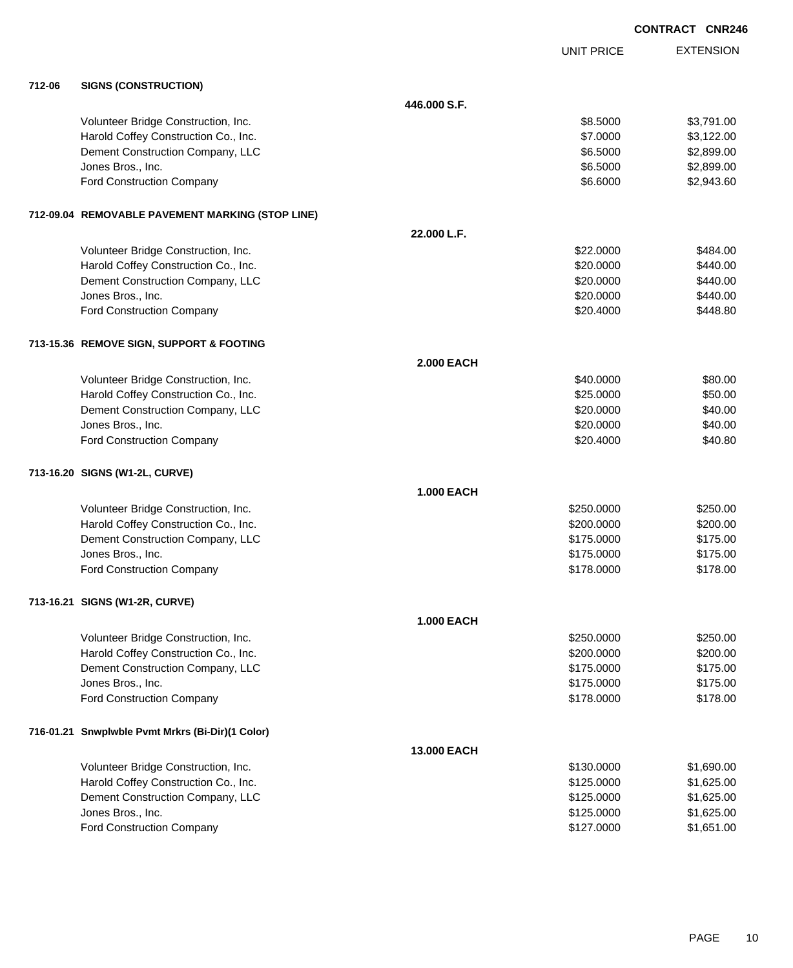|        |                                                  |                   |                   | <b>CONTRACT CNR246</b> |
|--------|--------------------------------------------------|-------------------|-------------------|------------------------|
|        |                                                  |                   | <b>UNIT PRICE</b> | <b>EXTENSION</b>       |
| 712-06 | <b>SIGNS (CONSTRUCTION)</b>                      |                   |                   |                        |
|        |                                                  | 446.000 S.F.      |                   |                        |
|        | Volunteer Bridge Construction, Inc.              |                   | \$8.5000          | \$3,791.00             |
|        | Harold Coffey Construction Co., Inc.             |                   | \$7.0000          | \$3,122.00             |
|        | Dement Construction Company, LLC                 |                   | \$6.5000          | \$2,899.00             |
|        | Jones Bros., Inc.                                |                   | \$6.5000          | \$2,899.00             |
|        | Ford Construction Company                        |                   | \$6.6000          | \$2,943.60             |
|        | 712-09.04 REMOVABLE PAVEMENT MARKING (STOP LINE) |                   |                   |                        |
|        |                                                  | 22.000 L.F.       |                   |                        |
|        | Volunteer Bridge Construction, Inc.              |                   | \$22.0000         | \$484.00               |
|        | Harold Coffey Construction Co., Inc.             |                   | \$20.0000         | \$440.00               |
|        | Dement Construction Company, LLC                 |                   | \$20.0000         | \$440.00               |
|        | Jones Bros., Inc.                                |                   | \$20.0000         | \$440.00               |
|        | <b>Ford Construction Company</b>                 |                   | \$20,4000         | \$448.80               |
|        | 713-15.36 REMOVE SIGN, SUPPORT & FOOTING         |                   |                   |                        |
|        |                                                  | <b>2.000 EACH</b> |                   |                        |
|        | Volunteer Bridge Construction, Inc.              |                   | \$40.0000         | \$80.00                |
|        | Harold Coffey Construction Co., Inc.             |                   | \$25.0000         | \$50.00                |
|        | Dement Construction Company, LLC                 |                   | \$20.0000         | \$40.00                |
|        | Jones Bros., Inc.                                |                   | \$20.0000         | \$40.00                |
|        | Ford Construction Company                        |                   | \$20.4000         | \$40.80                |
|        | 713-16.20 SIGNS (W1-2L, CURVE)                   |                   |                   |                        |
|        |                                                  | <b>1.000 EACH</b> |                   |                        |
|        | Volunteer Bridge Construction, Inc.              |                   | \$250.0000        | \$250.00               |
|        | Harold Coffey Construction Co., Inc.             |                   | \$200.0000        | \$200.00               |
|        | Dement Construction Company, LLC                 |                   | \$175.0000        | \$175.00               |
|        | Jones Bros., Inc.                                |                   | \$175.0000        | \$175.00               |
|        | Ford Construction Company                        |                   | \$178.0000        | \$178.00               |
|        | 713-16.21 SIGNS (W1-2R, CURVE)                   |                   |                   |                        |
|        |                                                  | <b>1.000 EACH</b> |                   |                        |
|        | Volunteer Bridge Construction, Inc.              |                   | \$250.0000        | \$250.00               |
|        | Harold Coffey Construction Co., Inc.             |                   | \$200.0000        | \$200.00               |
|        | Dement Construction Company, LLC                 |                   | \$175.0000        | \$175.00               |
|        | Jones Bros., Inc.                                |                   | \$175.0000        | \$175.00               |
|        | Ford Construction Company                        |                   | \$178.0000        | \$178.00               |
|        | 716-01.21 Snwplwble Pvmt Mrkrs (Bi-Dir)(1 Color) |                   |                   |                        |
|        |                                                  | 13.000 EACH       |                   |                        |
|        | Volunteer Bridge Construction, Inc.              |                   | \$130.0000        | \$1,690.00             |
|        | Harold Coffey Construction Co., Inc.             |                   | \$125.0000        | \$1,625.00             |
|        | Dement Construction Company, LLC                 |                   | \$125.0000        | \$1,625.00             |
|        | Jones Bros., Inc.                                |                   | \$125.0000        | \$1,625.00             |
|        | Ford Construction Company                        |                   | \$127.0000        | \$1,651.00             |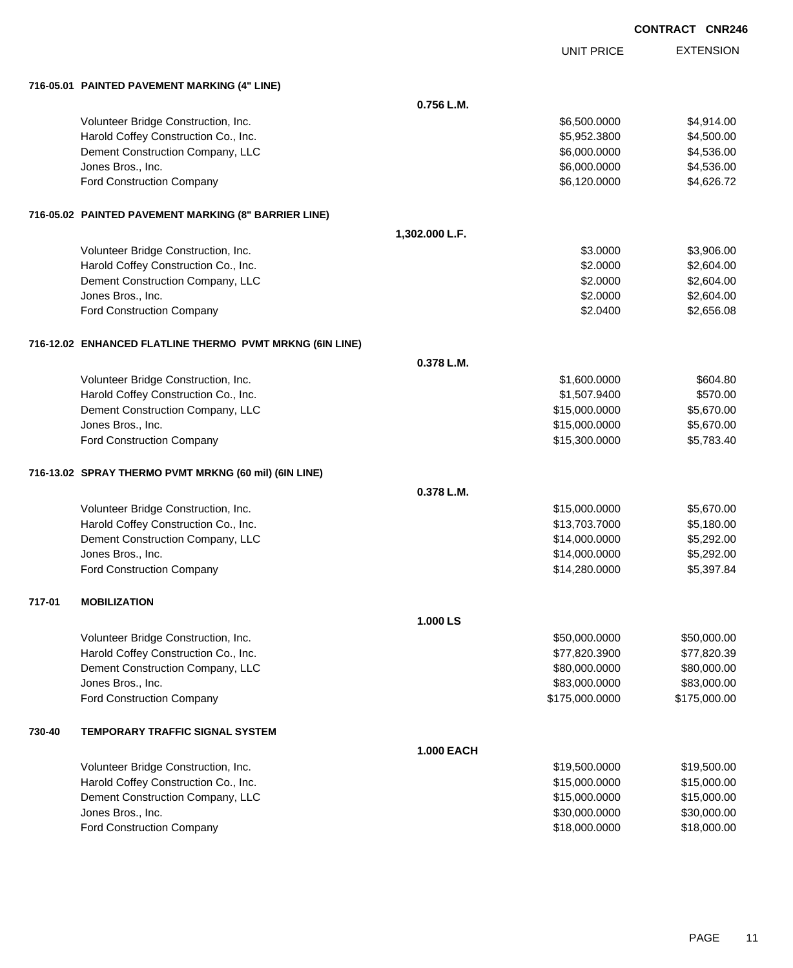|                   | <b>CONTRACT CNR246</b> |
|-------------------|------------------------|
| <b>UNIT PRICE</b> | <b>EXTENSION</b>       |
|                   |                        |
| $0.756$ L.M.      |                        |
| \$6,500.0000      | \$4,914.00             |

|        |                                                          | 0.756 L.M.        |                |              |
|--------|----------------------------------------------------------|-------------------|----------------|--------------|
|        | Volunteer Bridge Construction, Inc.                      |                   | \$6,500.0000   | \$4,914.00   |
|        | Harold Coffey Construction Co., Inc.                     |                   | \$5,952.3800   | \$4,500.00   |
|        | Dement Construction Company, LLC                         |                   | \$6,000.0000   | \$4,536.00   |
|        | Jones Bros., Inc.                                        |                   | \$6,000.0000   | \$4,536.00   |
|        | Ford Construction Company                                |                   | \$6,120.0000   | \$4,626.72   |
|        | 716-05.02 PAINTED PAVEMENT MARKING (8" BARRIER LINE)     |                   |                |              |
|        |                                                          | 1,302.000 L.F.    |                |              |
|        | Volunteer Bridge Construction, Inc.                      |                   | \$3.0000       | \$3,906.00   |
|        | Harold Coffey Construction Co., Inc.                     |                   | \$2.0000       | \$2,604.00   |
|        | Dement Construction Company, LLC                         |                   | \$2.0000       | \$2,604.00   |
|        | Jones Bros., Inc.                                        |                   | \$2.0000       | \$2,604.00   |
|        | Ford Construction Company                                |                   | \$2.0400       | \$2,656.08   |
|        | 716-12.02 ENHANCED FLATLINE THERMO PVMT MRKNG (6IN LINE) |                   |                |              |
|        |                                                          | 0.378 L.M.        |                |              |
|        | Volunteer Bridge Construction, Inc.                      |                   | \$1,600.0000   | \$604.80     |
|        | Harold Coffey Construction Co., Inc.                     |                   | \$1,507.9400   | \$570.00     |
|        | Dement Construction Company, LLC                         |                   | \$15,000.0000  | \$5,670.00   |
|        | Jones Bros., Inc.                                        |                   | \$15,000.0000  | \$5,670.00   |
|        | Ford Construction Company                                |                   | \$15,300.0000  | \$5,783.40   |
|        |                                                          |                   |                |              |
|        | 716-13.02 SPRAY THERMO PVMT MRKNG (60 mil) (6IN LINE)    |                   |                |              |
|        |                                                          | 0.378 L.M.        |                |              |
|        | Volunteer Bridge Construction, Inc.                      |                   | \$15,000.0000  | \$5,670.00   |
|        | Harold Coffey Construction Co., Inc.                     |                   | \$13,703.7000  | \$5,180.00   |
|        | Dement Construction Company, LLC                         |                   | \$14,000.0000  | \$5,292.00   |
|        | Jones Bros., Inc.                                        |                   | \$14,000.0000  | \$5,292.00   |
|        | Ford Construction Company                                |                   | \$14,280.0000  | \$5,397.84   |
| 717-01 | <b>MOBILIZATION</b>                                      |                   |                |              |
|        |                                                          | 1.000LS           |                |              |
|        | Volunteer Bridge Construction, Inc.                      |                   | \$50,000.0000  | \$50,000.00  |
|        | Harold Coffey Construction Co., Inc.                     |                   | \$77,820.3900  | \$77,820.39  |
|        | Dement Construction Company, LLC                         |                   | \$80,000.0000  | \$80,000.00  |
|        | Jones Bros., Inc.                                        |                   | \$83,000.0000  | \$83,000.00  |
|        | Ford Construction Company                                |                   | \$175,000.0000 | \$175,000.00 |
| 730-40 | <b>TEMPORARY TRAFFIC SIGNAL SYSTEM</b>                   |                   |                |              |
|        |                                                          | <b>1.000 EACH</b> |                |              |
|        | Volunteer Bridge Construction, Inc.                      |                   | \$19,500.0000  | \$19,500.00  |
|        | Harold Coffey Construction Co., Inc.                     |                   | \$15,000.0000  | \$15,000.00  |
|        | Dement Construction Company, LLC                         |                   | \$15,000.0000  | \$15,000.00  |
|        | Jones Bros., Inc.                                        |                   | \$30,000.0000  | \$30,000.00  |
|        | Ford Construction Company                                |                   | \$18,000.0000  | \$18,000.00  |

**716-05.01 PAINTED PAVEMENT MARKING (4" LINE)**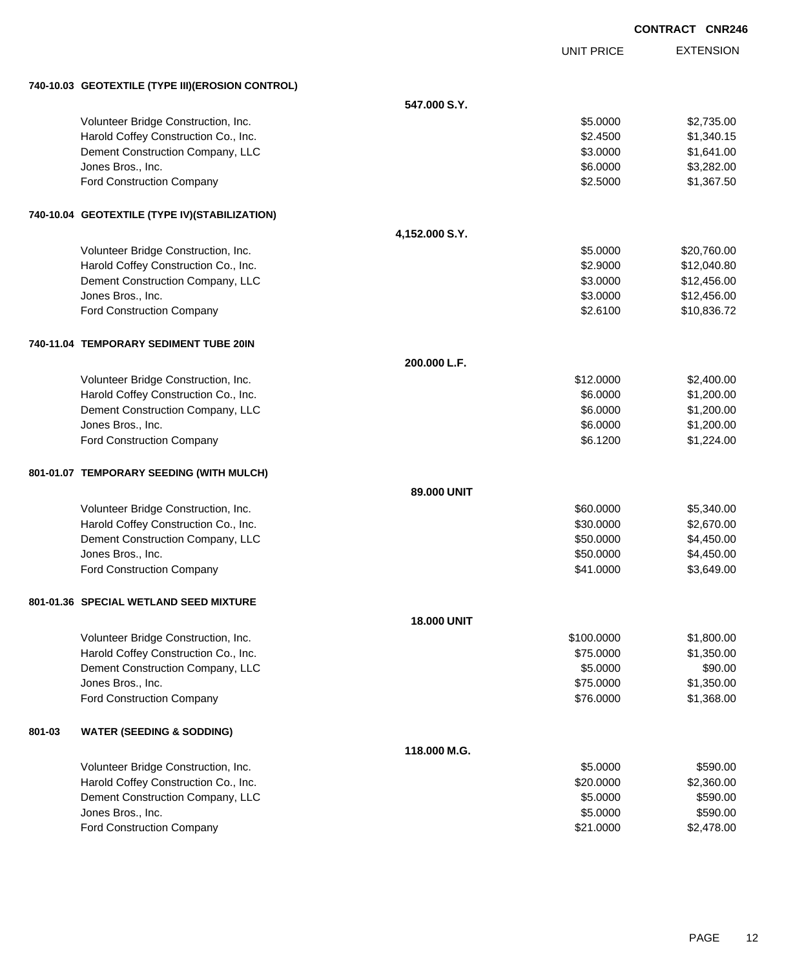|        |                                                  |                    |                   | <b>CONTRACT CNR246</b> |
|--------|--------------------------------------------------|--------------------|-------------------|------------------------|
|        |                                                  |                    | <b>UNIT PRICE</b> | <b>EXTENSION</b>       |
|        | 740-10.03 GEOTEXTILE (TYPE III)(EROSION CONTROL) |                    |                   |                        |
|        |                                                  | 547.000 S.Y.       |                   |                        |
|        | Volunteer Bridge Construction, Inc.              |                    | \$5.0000          | \$2,735.00             |
|        | Harold Coffey Construction Co., Inc.             |                    | \$2.4500          | \$1,340.15             |
|        | Dement Construction Company, LLC                 |                    | \$3.0000          | \$1,641.00             |
|        | Jones Bros., Inc.                                |                    | \$6.0000          | \$3,282.00             |
|        | Ford Construction Company                        |                    | \$2.5000          | \$1,367.50             |
|        | 740-10.04 GEOTEXTILE (TYPE IV)(STABILIZATION)    |                    |                   |                        |
|        |                                                  | 4,152.000 S.Y.     |                   |                        |
|        | Volunteer Bridge Construction, Inc.              |                    | \$5.0000          | \$20,760.00            |
|        | Harold Coffey Construction Co., Inc.             |                    | \$2.9000          | \$12,040.80            |
|        | Dement Construction Company, LLC                 |                    | \$3.0000          | \$12,456.00            |
|        | Jones Bros., Inc.                                |                    | \$3.0000          | \$12,456.00            |
|        | Ford Construction Company                        |                    | \$2.6100          | \$10,836.72            |
|        | 740-11.04 TEMPORARY SEDIMENT TUBE 20IN           |                    |                   |                        |
|        |                                                  | 200.000 L.F.       |                   |                        |
|        | Volunteer Bridge Construction, Inc.              |                    | \$12.0000         | \$2,400.00             |
|        | Harold Coffey Construction Co., Inc.             |                    | \$6.0000          | \$1,200.00             |
|        | Dement Construction Company, LLC                 |                    | \$6.0000          | \$1,200.00             |
|        | Jones Bros., Inc.                                |                    | \$6.0000          | \$1,200.00             |
|        | Ford Construction Company                        |                    | \$6.1200          | \$1,224.00             |
|        | 801-01.07 TEMPORARY SEEDING (WITH MULCH)         |                    |                   |                        |
|        |                                                  | 89.000 UNIT        |                   |                        |
|        | Volunteer Bridge Construction, Inc.              |                    | \$60.0000         | \$5,340.00             |
|        | Harold Coffey Construction Co., Inc.             |                    | \$30.0000         | \$2,670.00             |
|        | Dement Construction Company, LLC                 |                    | \$50.0000         | \$4,450.00             |
|        | Jones Bros., Inc.                                |                    | \$50.0000         | \$4,450.00             |
|        | Ford Construction Company                        |                    | \$41.0000         | \$3,649.00             |
|        | 801-01.36 SPECIAL WETLAND SEED MIXTURE           |                    |                   |                        |
|        |                                                  | <b>18.000 UNIT</b> |                   |                        |
|        | Volunteer Bridge Construction, Inc.              |                    | \$100.0000        | \$1,800.00             |
|        | Harold Coffey Construction Co., Inc.             |                    | \$75.0000         | \$1,350.00             |
|        | Dement Construction Company, LLC                 |                    | \$5.0000          | \$90.00                |
|        | Jones Bros., Inc.                                |                    | \$75.0000         | \$1,350.00             |
|        | Ford Construction Company                        |                    | \$76.0000         | \$1,368.00             |
| 801-03 | <b>WATER (SEEDING &amp; SODDING)</b>             |                    |                   |                        |
|        |                                                  | 118.000 M.G.       |                   |                        |
|        | Volunteer Bridge Construction, Inc.              |                    | \$5.0000          | \$590.00               |
|        | Harold Coffey Construction Co., Inc.             |                    | \$20.0000         | \$2,360.00             |
|        | Dement Construction Company, LLC                 |                    | \$5.0000          | \$590.00               |
|        | Jones Bros., Inc.                                |                    | \$5.0000          | \$590.00               |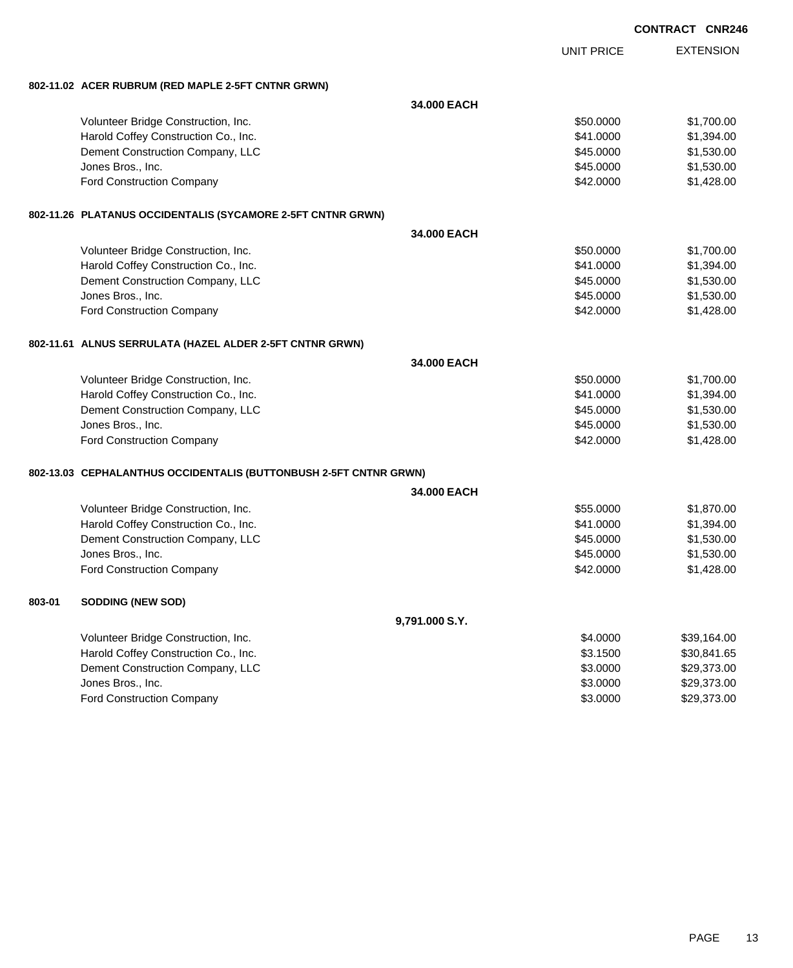|        |                                                                   |                |                   | <b>CONTRACT CNR246</b> |                  |
|--------|-------------------------------------------------------------------|----------------|-------------------|------------------------|------------------|
|        |                                                                   |                | <b>UNIT PRICE</b> |                        | <b>EXTENSION</b> |
|        | 802-11.02 ACER RUBRUM (RED MAPLE 2-5FT CNTNR GRWN)                |                |                   |                        |                  |
|        |                                                                   | 34.000 EACH    |                   |                        |                  |
|        | Volunteer Bridge Construction, Inc.                               |                | \$50.0000         |                        | \$1,700.00       |
|        | Harold Coffey Construction Co., Inc.                              |                | \$41.0000         |                        | \$1,394.00       |
|        | Dement Construction Company, LLC                                  |                | \$45.0000         |                        | \$1,530.00       |
|        | Jones Bros., Inc.                                                 |                | \$45.0000         |                        | \$1,530.00       |
|        | Ford Construction Company                                         |                | \$42.0000         |                        | \$1,428.00       |
|        | 802-11.26 PLATANUS OCCIDENTALIS (SYCAMORE 2-5FT CNTNR GRWN)       |                |                   |                        |                  |
|        |                                                                   | 34.000 EACH    |                   |                        |                  |
|        | Volunteer Bridge Construction, Inc.                               |                | \$50.0000         |                        | \$1,700.00       |
|        | Harold Coffey Construction Co., Inc.                              |                | \$41.0000         |                        | \$1,394.00       |
|        | Dement Construction Company, LLC                                  |                | \$45.0000         |                        | \$1,530.00       |
|        | Jones Bros., Inc.                                                 |                | \$45.0000         |                        | \$1,530.00       |
|        | <b>Ford Construction Company</b>                                  |                | \$42.0000         |                        | \$1,428.00       |
|        | 802-11.61 ALNUS SERRULATA (HAZEL ALDER 2-5FT CNTNR GRWN)          |                |                   |                        |                  |
|        |                                                                   | 34.000 EACH    |                   |                        |                  |
|        | Volunteer Bridge Construction, Inc.                               |                | \$50.0000         |                        | \$1,700.00       |
|        | Harold Coffey Construction Co., Inc.                              |                | \$41.0000         |                        | \$1,394.00       |
|        | Dement Construction Company, LLC                                  |                | \$45.0000         |                        | \$1,530.00       |
|        | Jones Bros., Inc.                                                 |                | \$45.0000         |                        | \$1,530.00       |
|        | Ford Construction Company                                         |                | \$42.0000         |                        | \$1,428.00       |
|        | 802-13.03 CEPHALANTHUS OCCIDENTALIS (BUTTONBUSH 2-5FT CNTNR GRWN) |                |                   |                        |                  |
|        |                                                                   | 34.000 EACH    |                   |                        |                  |
|        | Volunteer Bridge Construction, Inc.                               |                | \$55.0000         |                        | \$1,870.00       |
|        | Harold Coffey Construction Co., Inc.                              |                | \$41.0000         |                        | \$1,394.00       |
|        | Dement Construction Company, LLC                                  |                | \$45.0000         |                        | \$1,530.00       |
|        | Jones Bros., Inc.                                                 |                | \$45.0000         |                        | \$1,530.00       |
|        | <b>Ford Construction Company</b>                                  |                | \$42.0000         |                        | \$1,428.00       |
| 803-01 | <b>SODDING (NEW SOD)</b>                                          |                |                   |                        |                  |
|        |                                                                   | 9,791.000 S.Y. |                   |                        |                  |
|        | Volunteer Bridge Construction, Inc.                               |                | \$4.0000          |                        | \$39,164.00      |
|        | Harold Coffey Construction Co., Inc.                              |                | \$3.1500          |                        | \$30,841.65      |
|        | Dement Construction Company, LLC                                  |                | \$3.0000          |                        | \$29,373.00      |

dones Bros., Inc. \$29,373.00 Ford Construction Company 629,373.00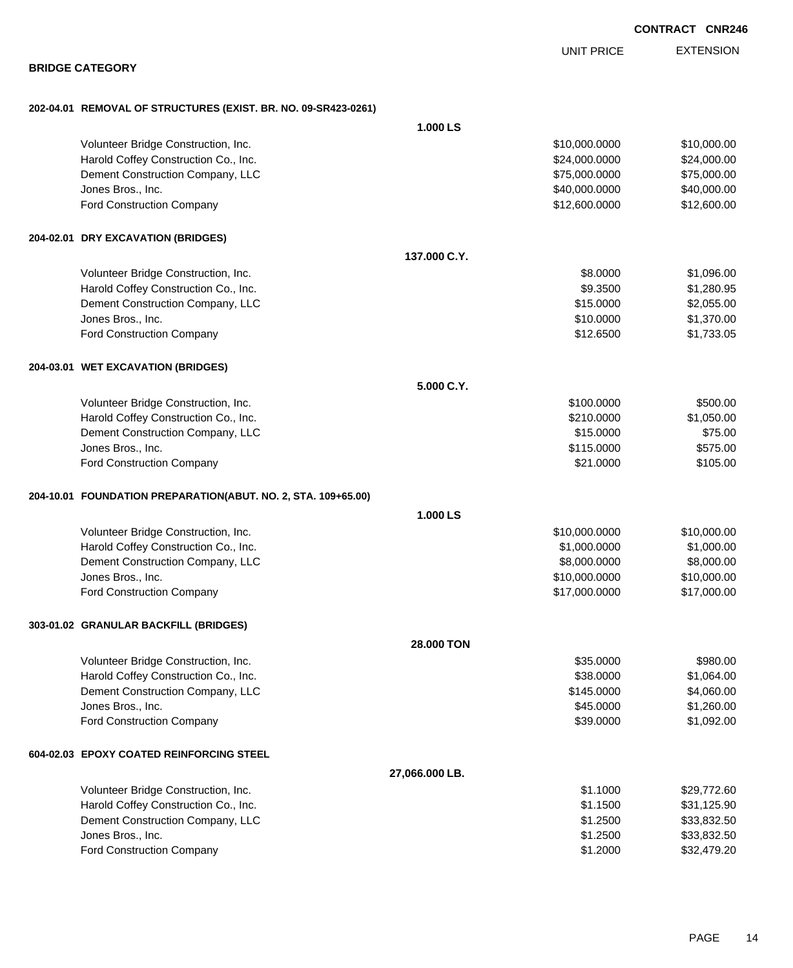|                                                                |                   | <b>UNIT PRICE</b> | <b>EXTENSION</b> |
|----------------------------------------------------------------|-------------------|-------------------|------------------|
| <b>BRIDGE CATEGORY</b>                                         |                   |                   |                  |
| 202-04.01 REMOVAL OF STRUCTURES (EXIST. BR. NO. 09-SR423-0261) |                   |                   |                  |
|                                                                | 1.000 LS          |                   |                  |
| Volunteer Bridge Construction, Inc.                            |                   | \$10,000.0000     | \$10,000.00      |
| Harold Coffey Construction Co., Inc.                           |                   | \$24,000.0000     | \$24,000.00      |
| Dement Construction Company, LLC                               |                   | \$75,000.0000     | \$75,000.00      |
| Jones Bros., Inc.                                              |                   | \$40,000.0000     | \$40,000.00      |
| Ford Construction Company                                      |                   | \$12,600.0000     | \$12,600.00      |
| 204-02.01 DRY EXCAVATION (BRIDGES)                             |                   |                   |                  |
|                                                                | 137.000 C.Y.      |                   |                  |
| Volunteer Bridge Construction, Inc.                            |                   | \$8.0000          | \$1,096.00       |
| Harold Coffey Construction Co., Inc.                           |                   | \$9.3500          | \$1,280.95       |
| Dement Construction Company, LLC                               |                   | \$15.0000         | \$2,055.00       |
| Jones Bros., Inc.                                              |                   | \$10.0000         | \$1,370.00       |
| Ford Construction Company                                      |                   | \$12.6500         | \$1,733.05       |
| 204-03.01 WET EXCAVATION (BRIDGES)                             |                   |                   |                  |
|                                                                | 5.000 C.Y.        |                   |                  |
| Volunteer Bridge Construction, Inc.                            |                   | \$100.0000        | \$500.00         |
| Harold Coffey Construction Co., Inc.                           |                   | \$210.0000        | \$1,050.00       |
| Dement Construction Company, LLC                               |                   | \$15.0000         | \$75.00          |
| Jones Bros., Inc.                                              |                   | \$115.0000        | \$575.00         |
| Ford Construction Company                                      |                   | \$21.0000         | \$105.00         |
| 204-10.01 FOUNDATION PREPARATION(ABUT. NO. 2, STA. 109+65.00)  |                   |                   |                  |
|                                                                | 1.000 LS          |                   |                  |
| Volunteer Bridge Construction, Inc.                            |                   | \$10,000.0000     | \$10,000.00      |
| Harold Coffey Construction Co., Inc.                           |                   | \$1,000.0000      | \$1,000.00       |
| Dement Construction Company, LLC                               |                   | \$8,000.0000      | \$8,000.00       |
| Jones Bros., Inc.                                              |                   | \$10,000.0000     | \$10,000.00      |
| Ford Construction Company                                      |                   | \$17,000.0000     | \$17,000.00      |
| 303-01.02 GRANULAR BACKFILL (BRIDGES)                          |                   |                   |                  |
|                                                                | <b>28.000 TON</b> |                   |                  |
| Volunteer Bridge Construction, Inc.                            |                   | \$35.0000         | \$980.00         |
| Harold Coffey Construction Co., Inc.                           |                   | \$38.0000         | \$1,064.00       |
| Dement Construction Company, LLC                               |                   | \$145.0000        | \$4,060.00       |
| Jones Bros., Inc.                                              |                   | \$45.0000         | \$1,260.00       |
| Ford Construction Company                                      |                   | \$39.0000         | \$1,092.00       |
| 604-02.03 EPOXY COATED REINFORCING STEEL                       |                   |                   |                  |
|                                                                | 27,066.000 LB.    |                   |                  |
| Volunteer Bridge Construction, Inc.                            |                   | \$1.1000          | \$29,772.60      |
| Harold Coffey Construction Co., Inc.                           |                   | \$1.1500          | \$31,125.90      |

| VOIUNTEER Bridge Construction, Inc.  | \$1.1000 | \$29,772.60 |
|--------------------------------------|----------|-------------|
| Harold Coffey Construction Co., Inc. | \$1,1500 | \$31,125.90 |
| Dement Construction Company, LLC     | \$1,2500 | \$33.832.50 |
| Jones Bros., Inc.                    | \$1,2500 | \$33.832.50 |
| <b>Ford Construction Company</b>     | \$1,2000 | \$32,479.20 |
|                                      |          |             |

EXTENSION

### **BRID**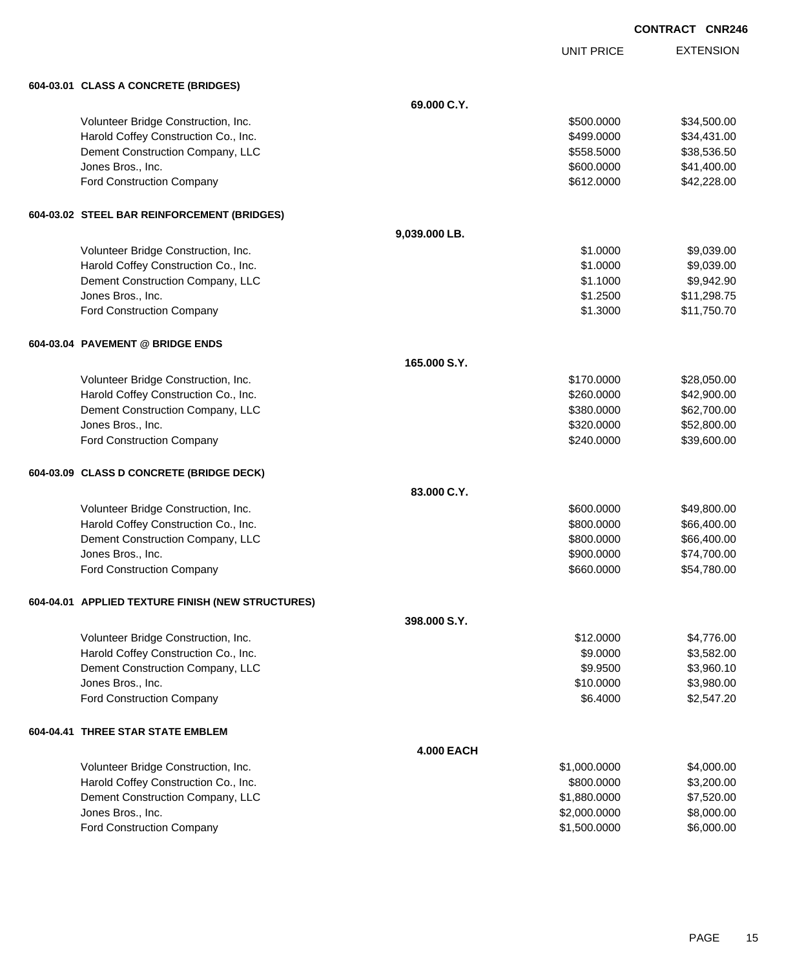| <b>CONTRACT CNR246</b> |  |
|------------------------|--|
|                        |  |

UNIT PRICE

EXTENSION

|  | 604-03.01 CLASS A CONCRETE (BRIDGES) |  |
|--|--------------------------------------|--|
|  |                                      |  |

|           | 604-03.01 CLASS A CONCRETE (BRIDGES)              |                   |              |             |
|-----------|---------------------------------------------------|-------------------|--------------|-------------|
|           |                                                   | 69.000 C.Y.       |              |             |
|           | Volunteer Bridge Construction, Inc.               |                   | \$500,0000   | \$34,500.00 |
|           | Harold Coffey Construction Co., Inc.              |                   | \$499.0000   | \$34,431.00 |
|           | Dement Construction Company, LLC                  |                   | \$558.5000   | \$38,536.50 |
|           | Jones Bros., Inc.                                 |                   | \$600.0000   | \$41,400.00 |
|           | Ford Construction Company                         |                   | \$612.0000   | \$42,228.00 |
|           | 604-03.02 STEEL BAR REINFORCEMENT (BRIDGES)       |                   |              |             |
|           |                                                   | 9,039.000 LB.     |              |             |
|           | Volunteer Bridge Construction, Inc.               |                   | \$1,0000     | \$9,039.00  |
|           | Harold Coffey Construction Co., Inc.              |                   | \$1.0000     | \$9,039.00  |
|           | Dement Construction Company, LLC                  |                   | \$1.1000     | \$9,942.90  |
|           | Jones Bros., Inc.                                 |                   | \$1.2500     | \$11,298.75 |
|           | <b>Ford Construction Company</b>                  |                   | \$1.3000     | \$11,750.70 |
|           | 604-03.04 PAVEMENT @ BRIDGE ENDS                  |                   |              |             |
|           |                                                   | 165.000 S.Y.      |              |             |
|           | Volunteer Bridge Construction, Inc.               |                   | \$170.0000   | \$28,050.00 |
|           | Harold Coffey Construction Co., Inc.              |                   | \$260.0000   | \$42,900.00 |
|           | Dement Construction Company, LLC                  |                   | \$380.0000   | \$62,700.00 |
|           | Jones Bros., Inc.                                 |                   | \$320.0000   | \$52,800.00 |
|           | <b>Ford Construction Company</b>                  |                   | \$240.0000   | \$39,600.00 |
|           | 604-03.09 CLASS D CONCRETE (BRIDGE DECK)          |                   |              |             |
|           |                                                   | 83.000 C.Y.       |              |             |
|           | Volunteer Bridge Construction, Inc.               |                   | \$600.0000   | \$49,800.00 |
|           | Harold Coffey Construction Co., Inc.              |                   | \$800.0000   | \$66,400.00 |
|           | Dement Construction Company, LLC                  |                   | \$800.0000   | \$66,400.00 |
|           | Jones Bros., Inc.                                 |                   | \$900.0000   | \$74,700.00 |
|           | <b>Ford Construction Company</b>                  |                   | \$660.0000   | \$54,780.00 |
|           | 604-04.01 APPLIED TEXTURE FINISH (NEW STRUCTURES) |                   |              |             |
|           |                                                   | 398.000 S.Y.      |              |             |
|           | Volunteer Bridge Construction, Inc.               |                   | \$12.0000    | \$4,776.00  |
|           | Harold Coffey Construction Co., Inc.              |                   | \$9.0000     | \$3,582.00  |
|           | Dement Construction Company, LLC                  |                   | \$9.9500     | \$3,960.10  |
|           | Jones Bros., Inc.                                 |                   | \$10.0000    | \$3,980.00  |
|           | <b>Ford Construction Company</b>                  |                   | \$6.4000     | \$2,547.20  |
| 604-04.41 | THREE STAR STATE EMBLEM                           |                   |              |             |
|           |                                                   | <b>4.000 EACH</b> |              |             |
|           | Volunteer Bridge Construction, Inc.               |                   | \$1,000.0000 | \$4,000.00  |
|           | Harold Coffey Construction Co., Inc.              |                   | \$800.0000   | \$3,200.00  |
|           | Dement Construction Company, LLC                  |                   | \$1,880.0000 | \$7,520.00  |
|           | Jones Bros., Inc.                                 |                   | \$2,000.0000 | \$8,000.00  |
|           | <b>Ford Construction Company</b>                  |                   | \$1,500.0000 | \$6,000.00  |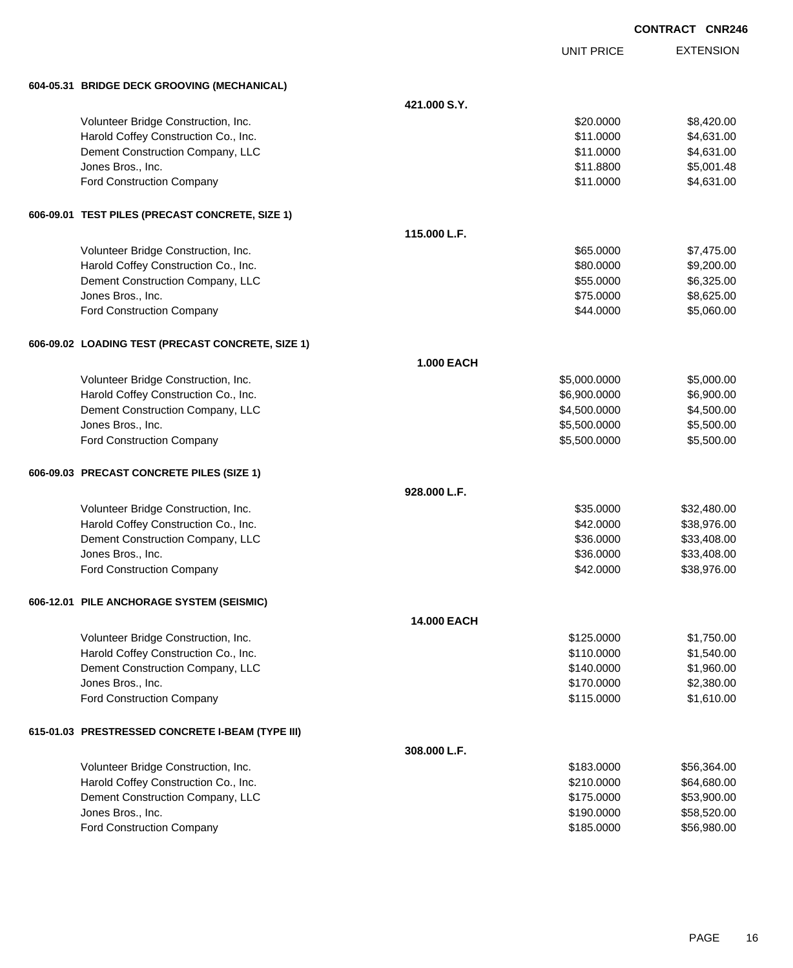|                                                   | <b>CONTRACT CNR246</b> |                   |                  |
|---------------------------------------------------|------------------------|-------------------|------------------|
|                                                   |                        | <b>UNIT PRICE</b> | <b>EXTENSION</b> |
| 604-05.31 BRIDGE DECK GROOVING (MECHANICAL)       |                        |                   |                  |
|                                                   | 421.000 S.Y.           |                   |                  |
| Volunteer Bridge Construction, Inc.               |                        | \$20.0000         | \$8,420.00       |
| Harold Coffey Construction Co., Inc.              |                        | \$11.0000         | \$4,631.00       |
| Dement Construction Company, LLC                  |                        | \$11.0000         | \$4,631.00       |
| Jones Bros., Inc.                                 |                        | \$11.8800         | \$5,001.48       |
| Ford Construction Company                         |                        | \$11.0000         | \$4,631.00       |
| 606-09.01 TEST PILES (PRECAST CONCRETE, SIZE 1)   |                        |                   |                  |
|                                                   | 115.000 L.F.           |                   |                  |
| Volunteer Bridge Construction, Inc.               |                        | \$65.0000         | \$7,475.00       |
| Harold Coffey Construction Co., Inc.              |                        | \$80.0000         | \$9,200.00       |
| Dement Construction Company, LLC                  |                        | \$55.0000         | \$6,325.00       |
| Jones Bros., Inc.                                 |                        | \$75.0000         | \$8,625.00       |
| Ford Construction Company                         |                        | \$44.0000         | \$5,060.00       |
| 606-09.02 LOADING TEST (PRECAST CONCRETE, SIZE 1) |                        |                   |                  |
|                                                   | <b>1.000 EACH</b>      |                   |                  |
| Volunteer Bridge Construction, Inc.               |                        | \$5,000.0000      | \$5,000.00       |
| Harold Coffey Construction Co., Inc.              |                        | \$6,900.0000      | \$6,900.00       |
| Dement Construction Company, LLC                  |                        | \$4,500.0000      | \$4,500.00       |
| Jones Bros., Inc.                                 |                        | \$5,500.0000      | \$5,500.00       |
| <b>Ford Construction Company</b>                  |                        | \$5,500.0000      | \$5,500.00       |
| 606-09.03 PRECAST CONCRETE PILES (SIZE 1)         |                        |                   |                  |
|                                                   | 928.000 L.F.           |                   |                  |
| Volunteer Bridge Construction, Inc.               |                        | \$35,0000         | \$32,480.00      |
| Harold Coffey Construction Co., Inc.              |                        | \$42.0000         | \$38,976.00      |
| Dement Construction Company, LLC                  |                        | \$36.0000         | \$33,408.00      |
| Jones Bros., Inc.                                 |                        | \$36.0000         | \$33,408.00      |
| <b>Ford Construction Company</b>                  |                        | \$42.0000         | \$38,976.00      |
| 606-12.01 PILE ANCHORAGE SYSTEM (SEISMIC)         |                        |                   |                  |
|                                                   | <b>14.000 EACH</b>     |                   |                  |
| Volunteer Bridge Construction, Inc.               |                        | \$125.0000        | \$1,750.00       |
| Harold Coffey Construction Co., Inc.              |                        | \$110.0000        | \$1,540.00       |
| Dement Construction Company, LLC                  |                        | \$140.0000        | \$1,960.00       |
| Jones Bros., Inc.                                 |                        | \$170.0000        | \$2,380.00       |
| <b>Ford Construction Company</b>                  |                        | \$115.0000        | \$1,610.00       |
| 615-01.03 PRESTRESSED CONCRETE I-BEAM (TYPE III)  |                        |                   |                  |
|                                                   | 308.000 L.F.           |                   |                  |
| Volunteer Bridge Construction, Inc.               |                        | \$183.0000        | \$56,364.00      |
| Harold Coffey Construction Co., Inc.              |                        | \$210.0000        | \$64,680.00      |
| Dement Construction Company, LLC                  |                        | \$175.0000        | \$53,900.00      |
| Jones Bros., Inc.                                 |                        | \$190.0000        | \$58,520.00      |
| <b>Ford Construction Company</b>                  |                        | \$185.0000        | \$56,980.00      |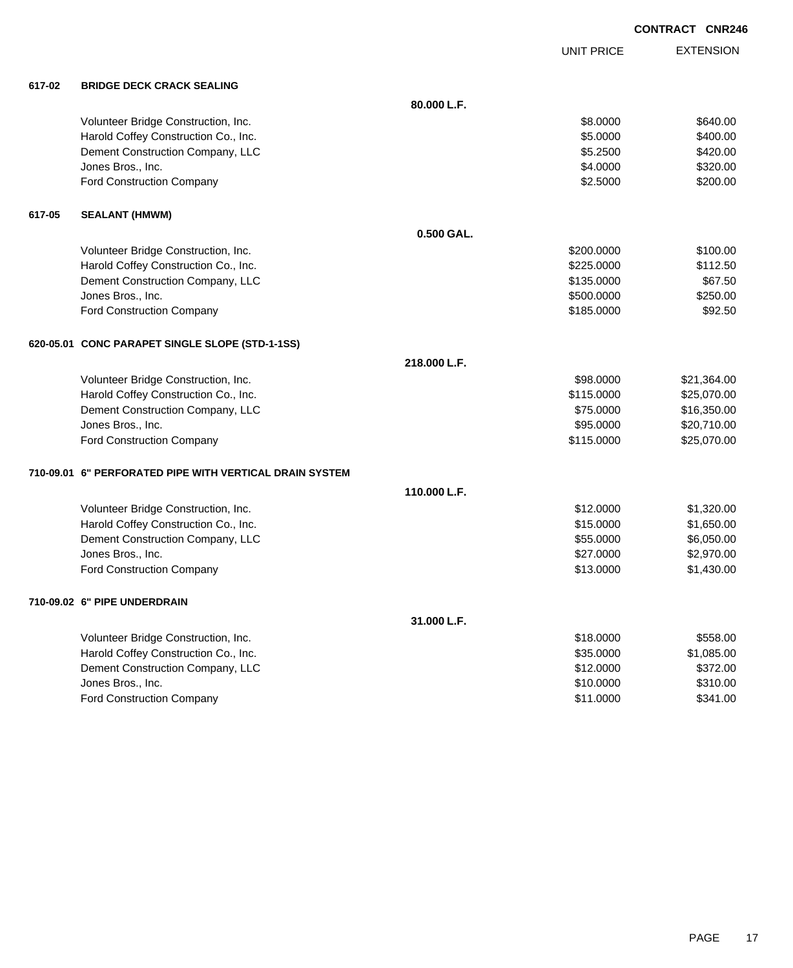|        |                                                         |              |                   | <b>CONTRACT CNR246</b> |
|--------|---------------------------------------------------------|--------------|-------------------|------------------------|
|        |                                                         |              | <b>UNIT PRICE</b> | <b>EXTENSION</b>       |
| 617-02 | <b>BRIDGE DECK CRACK SEALING</b>                        |              |                   |                        |
|        |                                                         | 80.000 L.F.  |                   |                        |
|        | Volunteer Bridge Construction, Inc.                     |              | \$8.0000          | \$640.00               |
|        | Harold Coffey Construction Co., Inc.                    |              | \$5.0000          | \$400.00               |
|        | Dement Construction Company, LLC                        |              | \$5.2500          | \$420.00               |
|        | Jones Bros., Inc.                                       |              | \$4.0000          | \$320.00               |
|        | Ford Construction Company                               |              | \$2.5000          | \$200.00               |
| 617-05 | <b>SEALANT (HMWM)</b>                                   |              |                   |                        |
|        |                                                         | 0.500 GAL.   |                   |                        |
|        | Volunteer Bridge Construction, Inc.                     |              | \$200.0000        | \$100.00               |
|        | Harold Coffey Construction Co., Inc.                    |              | \$225.0000        | \$112.50               |
|        | Dement Construction Company, LLC                        |              | \$135.0000        | \$67.50                |
|        | Jones Bros., Inc.                                       |              | \$500.0000        | \$250.00               |
|        | Ford Construction Company                               |              | \$185.0000        | \$92.50                |
|        | 620-05.01 CONC PARAPET SINGLE SLOPE (STD-1-1SS)         |              |                   |                        |
|        |                                                         | 218,000 L.F. |                   |                        |
|        | Volunteer Bridge Construction, Inc.                     |              | \$98.0000         | \$21,364.00            |
|        | Harold Coffey Construction Co., Inc.                    |              | \$115.0000        | \$25,070.00            |
|        | Dement Construction Company, LLC                        |              | \$75.0000         | \$16,350.00            |
|        | Jones Bros., Inc.                                       |              | \$95.0000         | \$20,710.00            |
|        | Ford Construction Company                               |              | \$115.0000        | \$25,070.00            |
|        | 710-09.01 6" PERFORATED PIPE WITH VERTICAL DRAIN SYSTEM |              |                   |                        |
|        |                                                         | 110.000 L.F. |                   |                        |
|        | Volunteer Bridge Construction, Inc.                     |              | \$12.0000         | \$1,320.00             |
|        | Harold Coffey Construction Co., Inc.                    |              | \$15.0000         | \$1,650.00             |
|        | Dement Construction Company, LLC                        |              | \$55.0000         | \$6,050.00             |
|        | Jones Bros., Inc.                                       |              | \$27.0000         | \$2,970.00             |
|        | Ford Construction Company                               |              | \$13.0000         | \$1,430.00             |
|        | 710-09.02 6" PIPE UNDERDRAIN                            |              |                   |                        |
|        |                                                         | 31.000 L.F.  |                   |                        |
|        | Volunteer Bridge Construction Inc.                      |              | \$18,0000         | \$558.00               |

| Volunteer Bridge Construction, Inc.  | \$18,0000 | \$558.00   |
|--------------------------------------|-----------|------------|
| Harold Coffey Construction Co., Inc. | \$35,0000 | \$1,085,00 |
| Dement Construction Company, LLC     | \$12,0000 | \$372.00   |
| Jones Bros., Inc.                    | \$10,0000 | \$310.00   |
| <b>Ford Construction Company</b>     | \$11,0000 | \$341.00   |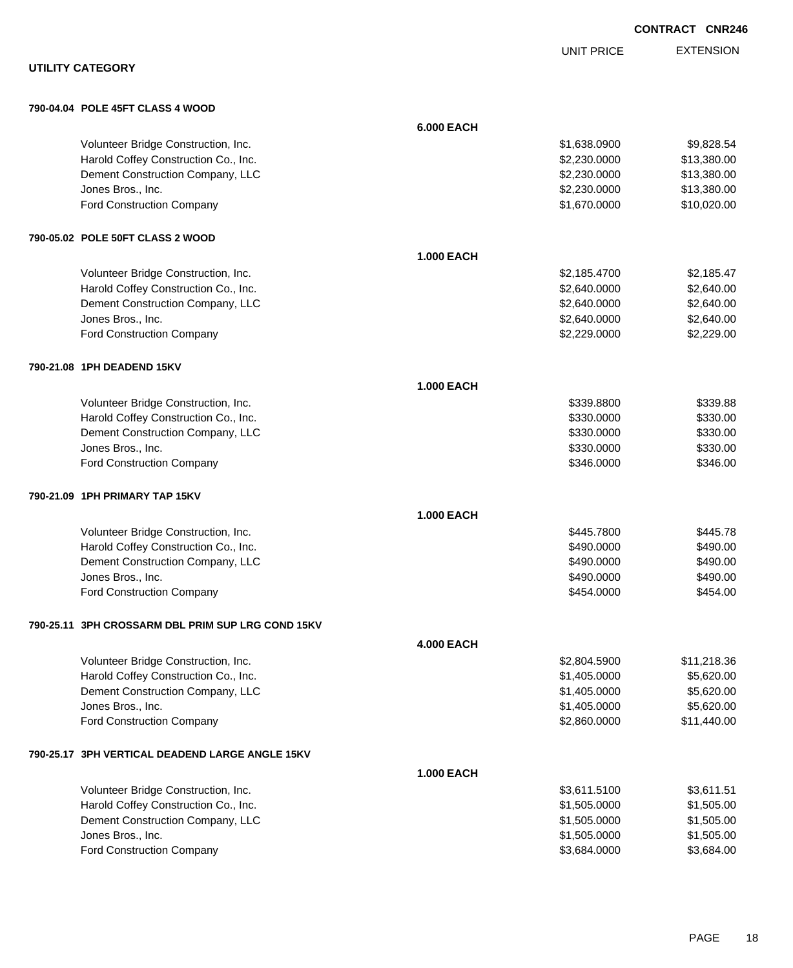|                                                   |                   |                   | <b>CONTRACT CNR246</b> |
|---------------------------------------------------|-------------------|-------------------|------------------------|
|                                                   |                   | <b>UNIT PRICE</b> | <b>EXTENSION</b>       |
| <b>UTILITY CATEGORY</b>                           |                   |                   |                        |
| 790-04.04 POLE 45FT CLASS 4 WOOD                  |                   |                   |                        |
|                                                   | <b>6.000 EACH</b> |                   |                        |
| Volunteer Bridge Construction, Inc.               |                   | \$1,638.0900      | \$9,828.54             |
| Harold Coffey Construction Co., Inc.              |                   | \$2,230.0000      | \$13,380.00            |
| Dement Construction Company, LLC                  |                   | \$2,230.0000      | \$13,380.00            |
| Jones Bros., Inc.                                 |                   | \$2,230.0000      | \$13,380.00            |
| Ford Construction Company                         |                   | \$1,670.0000      | \$10,020.00            |
| 790-05.02 POLE 50FT CLASS 2 WOOD                  |                   |                   |                        |
|                                                   | 1.000 EACH        |                   |                        |
| Volunteer Bridge Construction, Inc.               |                   | \$2,185.4700      | \$2,185.47             |
| Harold Coffey Construction Co., Inc.              |                   | \$2,640.0000      | \$2,640.00             |
| Dement Construction Company, LLC                  |                   | \$2,640.0000      | \$2,640.00             |
| Jones Bros., Inc.                                 |                   | \$2,640.0000      | \$2,640.00             |
| Ford Construction Company                         |                   | \$2,229.0000      | \$2,229.00             |
| 790-21.08 1PH DEADEND 15KV                        |                   |                   |                        |
|                                                   | <b>1.000 EACH</b> |                   |                        |
| Volunteer Bridge Construction, Inc.               |                   | \$339.8800        | \$339.88               |
| Harold Coffey Construction Co., Inc.              |                   | \$330.0000        | \$330.00               |
| Dement Construction Company, LLC                  |                   | \$330.0000        | \$330.00               |
| Jones Bros., Inc.                                 |                   | \$330.0000        | \$330.00               |
| Ford Construction Company                         |                   | \$346.0000        | \$346.00               |
| 790-21.09 1PH PRIMARY TAP 15KV                    |                   |                   |                        |
|                                                   | <b>1.000 EACH</b> |                   |                        |
| Volunteer Bridge Construction, Inc.               |                   | \$445.7800        | \$445.78               |
| Harold Coffey Construction Co., Inc.              |                   | \$490.0000        | \$490.00               |
| Dement Construction Company, LLC                  |                   | \$490.0000        | \$490.00               |
| Jones Bros., Inc.                                 |                   | \$490.0000        | \$490.00               |
| <b>Ford Construction Company</b>                  |                   | \$454.0000        | \$454.00               |
| 790-25.11 3PH CROSSARM DBL PRIM SUP LRG COND 15KV |                   |                   |                        |
|                                                   | <b>4.000 EACH</b> |                   |                        |
| Volunteer Bridge Construction, Inc.               |                   | \$2,804.5900      | \$11,218.36            |
| Harold Coffey Construction Co., Inc.              |                   | \$1,405.0000      | \$5,620.00             |
| Dement Construction Company, LLC                  |                   | \$1,405.0000      | \$5,620.00             |
| Jones Bros., Inc.                                 |                   | \$1,405.0000      | \$5,620.00             |
| Ford Construction Company                         |                   | \$2,860.0000      | \$11,440.00            |
| 790-25.17 3PH VERTICAL DEADEND LARGE ANGLE 15KV   |                   |                   |                        |
|                                                   | 1.000 EACH        |                   |                        |
| Volunteer Bridge Construction, Inc.               |                   | \$3,611.5100      | \$3,611.51             |
| Harold Coffey Construction Co., Inc.              |                   | \$1,505.0000      | \$1,505.00             |
| Dement Construction Company, LLC                  |                   | \$1,505.0000      | \$1,505.00             |
| Jones Bros., Inc.                                 |                   | \$1,505.0000      | \$1,505.00             |
| Ford Construction Company                         |                   | \$3,684.0000      | \$3,684.00             |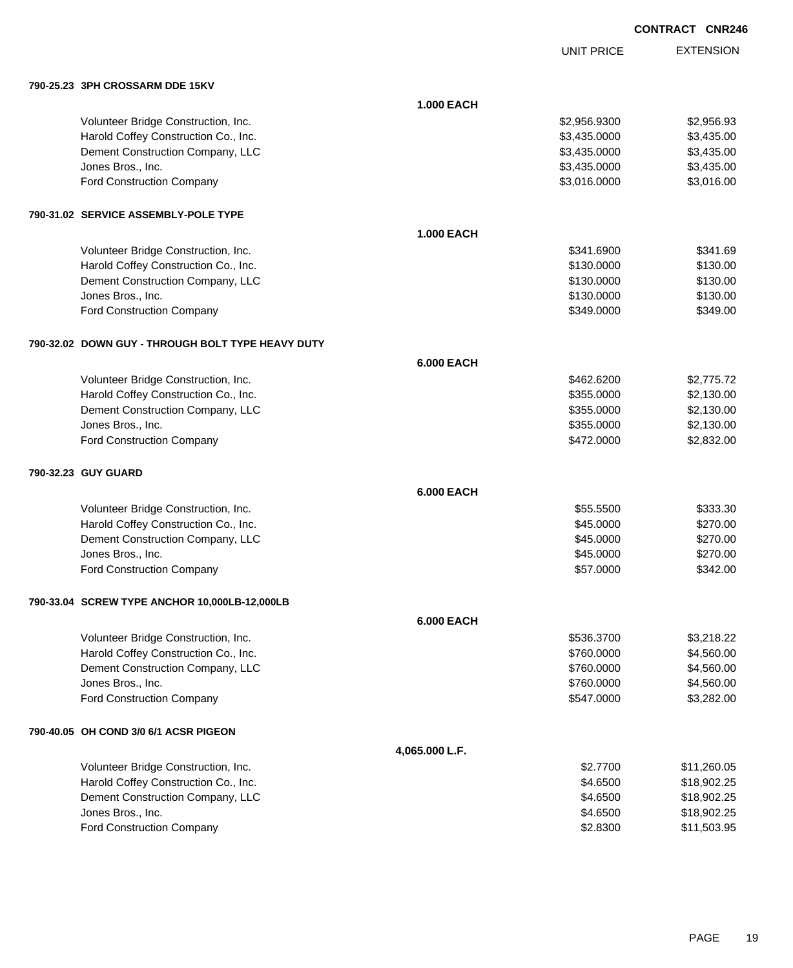|  | <b>CONTRACT CNR246</b> |
|--|------------------------|
|  |                        |

UNIT PRICE

EXTENSION

| 790-25.23 3PH CROSSARM DDE 15KV |  |
|---------------------------------|--|

| 790-25.23   JPH CROSSARM DDE 15KV                 |                   |              |             |
|---------------------------------------------------|-------------------|--------------|-------------|
|                                                   | <b>1.000 EACH</b> |              |             |
| Volunteer Bridge Construction, Inc.               |                   | \$2,956.9300 | \$2,956.93  |
| Harold Coffey Construction Co., Inc.              |                   | \$3,435.0000 | \$3,435.00  |
| Dement Construction Company, LLC                  |                   | \$3,435.0000 | \$3,435.00  |
| Jones Bros., Inc.                                 |                   | \$3,435.0000 | \$3,435.00  |
| <b>Ford Construction Company</b>                  |                   | \$3,016.0000 | \$3,016.00  |
| 790-31.02 SERVICE ASSEMBLY-POLE TYPE              |                   |              |             |
|                                                   | <b>1.000 EACH</b> |              |             |
| Volunteer Bridge Construction, Inc.               |                   | \$341.6900   | \$341.69    |
| Harold Coffey Construction Co., Inc.              |                   | \$130.0000   | \$130.00    |
| Dement Construction Company, LLC                  |                   | \$130.0000   | \$130.00    |
| Jones Bros., Inc.                                 |                   | \$130.0000   | \$130.00    |
| <b>Ford Construction Company</b>                  |                   | \$349.0000   | \$349.00    |
| 790-32.02 DOWN GUY - THROUGH BOLT TYPE HEAVY DUTY |                   |              |             |
|                                                   | <b>6.000 EACH</b> |              |             |
| Volunteer Bridge Construction, Inc.               |                   | \$462.6200   | \$2,775.72  |
| Harold Coffey Construction Co., Inc.              |                   | \$355.0000   | \$2,130.00  |
| Dement Construction Company, LLC                  |                   | \$355.0000   | \$2,130.00  |
| Jones Bros., Inc.                                 |                   | \$355.0000   | \$2,130.00  |
| <b>Ford Construction Company</b>                  |                   | \$472.0000   | \$2,832.00  |
| 790-32.23 GUY GUARD                               |                   |              |             |
|                                                   | <b>6.000 EACH</b> |              |             |
| Volunteer Bridge Construction, Inc.               |                   | \$55.5500    | \$333.30    |
| Harold Coffey Construction Co., Inc.              |                   | \$45.0000    | \$270.00    |
| Dement Construction Company, LLC                  |                   | \$45.0000    | \$270.00    |
| Jones Bros., Inc.                                 |                   | \$45.0000    | \$270.00    |
| <b>Ford Construction Company</b>                  |                   | \$57.0000    | \$342.00    |
| 790-33.04 SCREW TYPE ANCHOR 10,000LB-12,000LB     |                   |              |             |
|                                                   | <b>6.000 EACH</b> |              |             |
| Volunteer Bridge Construction, Inc.               |                   | \$536.3700   | \$3,218.22  |
| Harold Coffey Construction Co., Inc.              |                   | \$760.0000   | \$4,560.00  |
| Dement Construction Company, LLC                  |                   | \$760.0000   | \$4,560.00  |
| Jones Bros., Inc.                                 |                   | \$760.0000   | \$4,560.00  |
| Ford Construction Company                         |                   | \$547.0000   | \$3,282.00  |
| 790-40.05 OH COND 3/0 6/1 ACSR PIGEON             |                   |              |             |
|                                                   | 4,065.000 L.F.    |              |             |
| Volunteer Bridge Construction, Inc.               |                   | \$2.7700     | \$11,260.05 |
| Harold Coffey Construction Co., Inc.              |                   | \$4.6500     | \$18,902.25 |
| Dement Construction Company, LLC                  |                   | \$4.6500     | \$18,902.25 |
| Jones Bros., Inc.                                 |                   | \$4.6500     | \$18,902.25 |
| Ford Construction Company                         |                   | \$2.8300     | \$11,503.95 |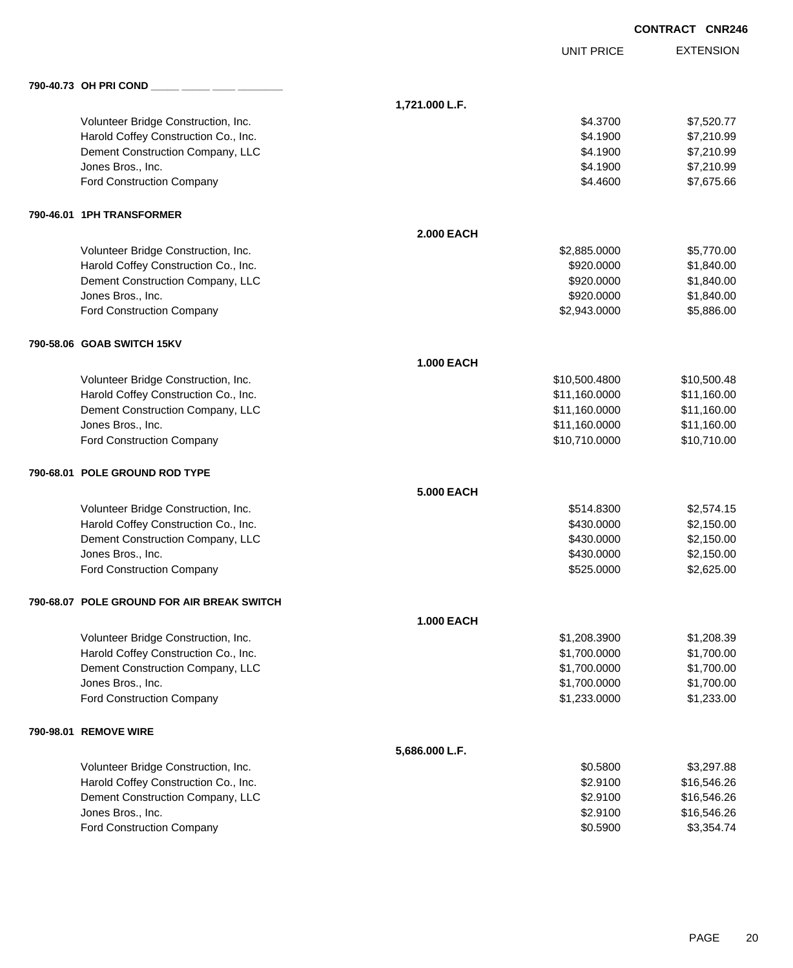|                                            |                   |                   | <b>CONTRACT CNR246</b> |
|--------------------------------------------|-------------------|-------------------|------------------------|
|                                            |                   | <b>UNIT PRICE</b> | <b>EXTENSION</b>       |
| 790-40.73 OH PRI COND                      |                   |                   |                        |
|                                            | 1,721.000 L.F.    |                   |                        |
| Volunteer Bridge Construction, Inc.        |                   | \$4.3700          | \$7,520.77             |
| Harold Coffey Construction Co., Inc.       |                   | \$4.1900          | \$7,210.99             |
| Dement Construction Company, LLC           |                   | \$4.1900          | \$7,210.99             |
| Jones Bros., Inc.                          |                   | \$4.1900          | \$7,210.99             |
| Ford Construction Company                  |                   | \$4.4600          | \$7,675.66             |
| 790-46.01 1PH TRANSFORMER                  |                   |                   |                        |
|                                            | <b>2.000 EACH</b> |                   |                        |
| Volunteer Bridge Construction, Inc.        |                   | \$2,885.0000      | \$5,770.00             |
| Harold Coffey Construction Co., Inc.       |                   | \$920.0000        | \$1,840.00             |
| Dement Construction Company, LLC           |                   | \$920.0000        | \$1,840.00             |
| Jones Bros., Inc.                          |                   | \$920.0000        | \$1,840.00             |
| Ford Construction Company                  |                   | \$2,943.0000      | \$5,886.00             |
| 790-58.06 GOAB SWITCH 15KV                 |                   |                   |                        |
|                                            | <b>1.000 EACH</b> |                   |                        |
| Volunteer Bridge Construction, Inc.        |                   | \$10,500.4800     | \$10,500.48            |
| Harold Coffey Construction Co., Inc.       |                   | \$11,160.0000     | \$11,160.00            |
| Dement Construction Company, LLC           |                   | \$11,160.0000     | \$11,160.00            |
| Jones Bros., Inc.                          |                   | \$11,160.0000     | \$11,160.00            |
| Ford Construction Company                  |                   | \$10,710.0000     | \$10,710.00            |
| 790-68.01 POLE GROUND ROD TYPE             |                   |                   |                        |
|                                            | <b>5.000 EACH</b> |                   |                        |
| Volunteer Bridge Construction, Inc.        |                   | \$514.8300        | \$2,574.15             |
| Harold Coffey Construction Co., Inc.       |                   | \$430.0000        | \$2,150.00             |
| Dement Construction Company, LLC           |                   | \$430.0000        | \$2,150.00             |
| Jones Bros., Inc.                          |                   | \$430.0000        | \$2,150.00             |
| Ford Construction Company                  |                   | \$525.0000        | \$2,625.00             |
| 790-68.07 POLE GROUND FOR AIR BREAK SWITCH |                   |                   |                        |
|                                            | <b>1.000 EACH</b> |                   |                        |
| Volunteer Bridge Construction, Inc.        |                   | \$1,208.3900      | \$1,208.39             |
| Harold Coffey Construction Co., Inc.       |                   | \$1,700.0000      | \$1,700.00             |
| Dement Construction Company, LLC           |                   | \$1,700.0000      | \$1,700.00             |
| Jones Bros., Inc.                          |                   | \$1,700.0000      | \$1,700.00             |
| Ford Construction Company                  |                   | \$1,233.0000      | \$1,233.00             |
| 790-98.01 REMOVE WIRE                      |                   |                   |                        |
|                                            | 5,686.000 L.F.    |                   |                        |
| Volunteer Bridge Construction, Inc.        |                   | \$0.5800          | \$3,297.88             |
| Harold Coffey Construction Co., Inc.       |                   | \$2.9100          | \$16,546.26            |
| Dement Construction Company, LLC           |                   | \$2.9100          | \$16,546.26            |
| Jones Bros., Inc.                          |                   | \$2.9100          | \$16,546.26            |
| Ford Construction Company                  |                   | \$0.5900          | \$3,354.74             |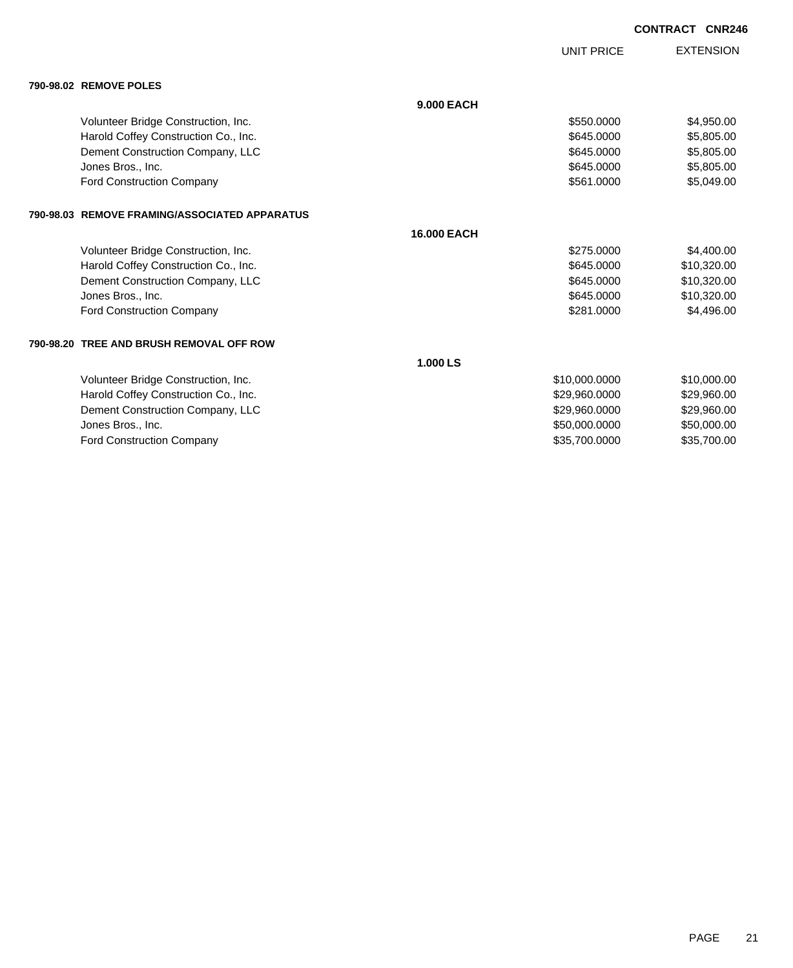|                                               |                    | <b>UNIT PRICE</b> | <b>EXTENSION</b> |
|-----------------------------------------------|--------------------|-------------------|------------------|
| 790-98.02 REMOVE POLES                        |                    |                   |                  |
|                                               | <b>9.000 EACH</b>  |                   |                  |
| Volunteer Bridge Construction, Inc.           |                    | \$550,0000        | \$4,950.00       |
| Harold Coffey Construction Co., Inc.          |                    | \$645,0000        | \$5,805.00       |
| Dement Construction Company, LLC              |                    | \$645,0000        | \$5,805.00       |
| Jones Bros., Inc.                             |                    | \$645.0000        | \$5,805.00       |
| <b>Ford Construction Company</b>              |                    | \$561.0000        | \$5,049.00       |
| 790-98.03 REMOVE FRAMING/ASSOCIATED APPARATUS |                    |                   |                  |
|                                               | <b>16.000 EACH</b> |                   |                  |
| Volunteer Bridge Construction, Inc.           |                    | \$275,0000        | \$4,400.00       |
| Harold Coffey Construction Co., Inc.          |                    | \$645.0000        | \$10,320.00      |
| Dement Construction Company, LLC              |                    | \$645,0000        | \$10,320.00      |
| Jones Bros., Inc.                             |                    | \$645.0000        | \$10,320.00      |
| <b>Ford Construction Company</b>              |                    | \$281,0000        | \$4,496.00       |
| 790-98.20 TREE AND BRUSH REMOVAL OFF ROW      |                    |                   |                  |
|                                               | 1.000 LS           |                   |                  |
| Volunteer Bridge Construction, Inc.           |                    | \$10,000.0000     | \$10,000.00      |
| Harold Coffey Construction Co., Inc.          |                    | \$29,960.0000     | \$29,960.00      |
| Dement Construction Company, LLC              |                    | \$29,960.0000     | \$29,960.00      |
| Jones Bros., Inc.                             |                    | \$50,000.0000     | \$50,000.00      |
| <b>Ford Construction Company</b>              |                    | \$35,700.0000     | \$35,700.00      |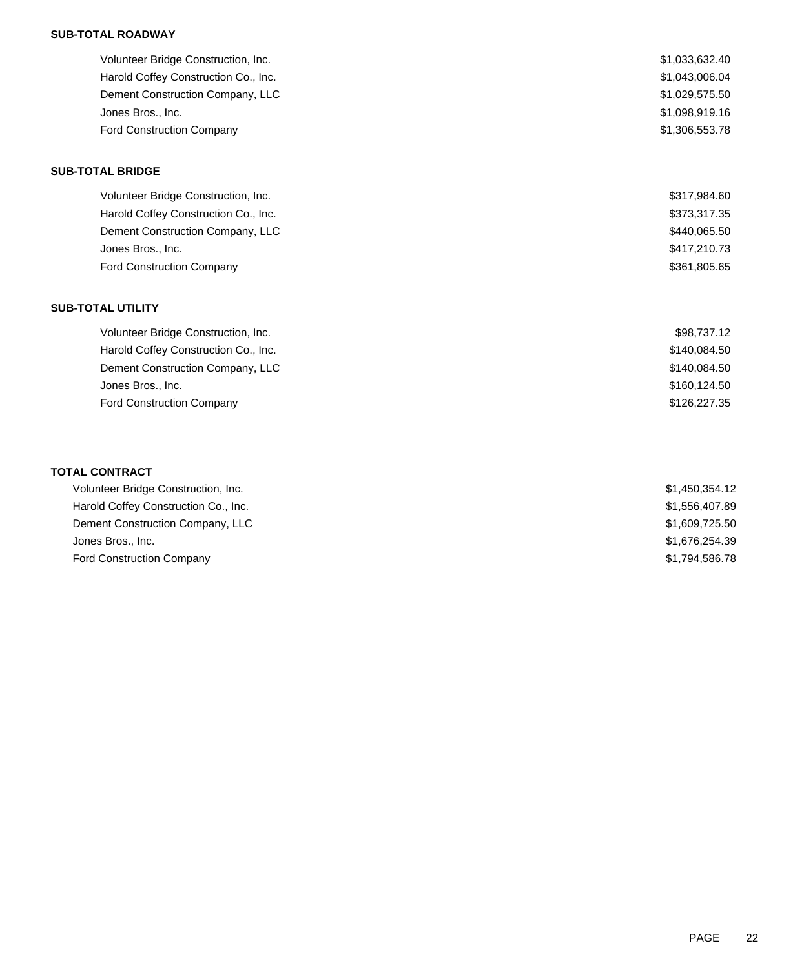### **SUB-TOTAL ROADWAY**

| Volunteer Bridge Construction, Inc.  | \$1,033,632.40 |
|--------------------------------------|----------------|
| Harold Coffey Construction Co., Inc. | \$1,043,006.04 |
| Dement Construction Company, LLC     | \$1,029,575.50 |
| Jones Bros., Inc.                    | \$1,098,919.16 |
| <b>Ford Construction Company</b>     | \$1,306,553.78 |

#### **SUB-TOTAL BRIDGE**

| Volunteer Bridge Construction, Inc.  | \$317,984.60 |
|--------------------------------------|--------------|
| Harold Coffey Construction Co., Inc. | \$373,317.35 |
| Dement Construction Company, LLC     | \$440,065.50 |
| Jones Bros., Inc.                    | \$417,210.73 |
| <b>Ford Construction Company</b>     | \$361,805.65 |

### **SUB-TOTAL UTILITY**

| Volunteer Bridge Construction, Inc.  | \$98,737.12  |
|--------------------------------------|--------------|
| Harold Coffey Construction Co., Inc. | \$140,084.50 |
| Dement Construction Company, LLC     | \$140,084.50 |
| Jones Bros., Inc.                    | \$160,124.50 |
| <b>Ford Construction Company</b>     | \$126,227,35 |
|                                      |              |

### **TOTAL CONTRACT**

| Volunteer Bridge Construction, Inc.  | \$1,450,354.12 |
|--------------------------------------|----------------|
| Harold Coffey Construction Co., Inc. | \$1,556,407.89 |
| Dement Construction Company, LLC     | \$1,609,725.50 |
| Jones Bros., Inc.                    | \$1,676,254.39 |
| <b>Ford Construction Company</b>     | \$1,794,586.78 |
|                                      |                |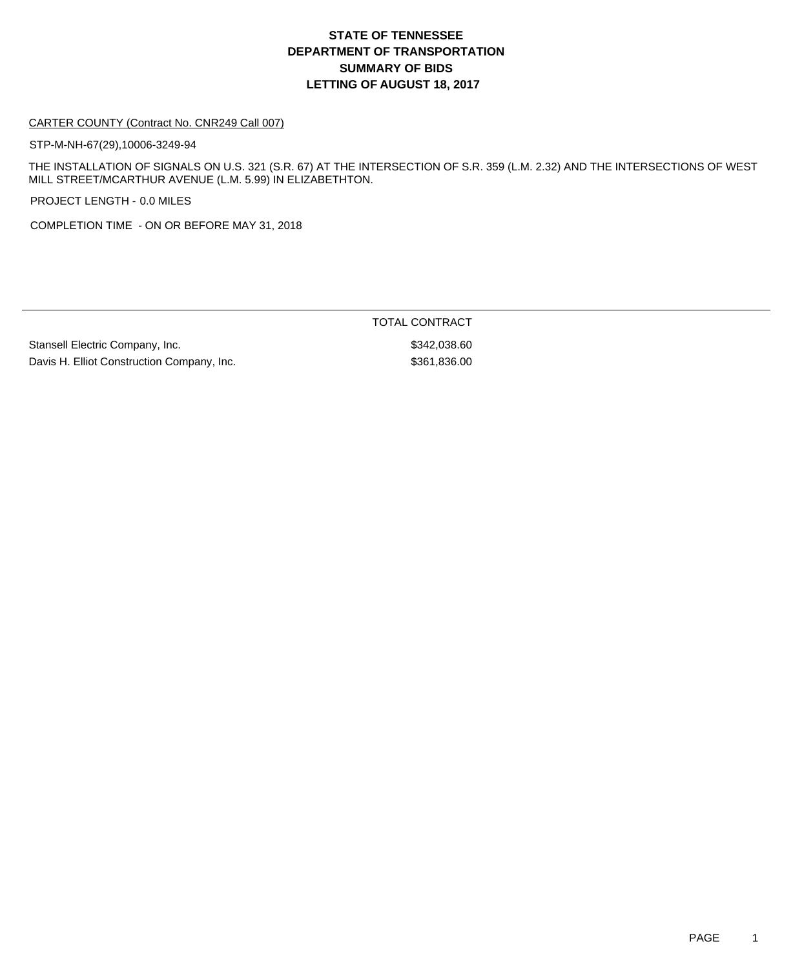# **DEPARTMENT OF TRANSPORTATION SUMMARY OF BIDS LETTING OF AUGUST 18, 2017 STATE OF TENNESSEE**

#### CARTER COUNTY (Contract No. CNR249 Call 007)

STP-M-NH-67(29),10006-3249-94

THE INSTALLATION OF SIGNALS ON U.S. 321 (S.R. 67) AT THE INTERSECTION OF S.R. 359 (L.M. 2.32) AND THE INTERSECTIONS OF WEST MILL STREET/MCARTHUR AVENUE (L.M. 5.99) IN ELIZABETHTON.

PROJECT LENGTH - 0.0 MILES

COMPLETION TIME - ON OR BEFORE MAY 31, 2018

Stansell Electric Company, Inc. 6. The Standard Stansell Electric Company, Inc. Davis H. Elliot Construction Company, Inc. 67 (1996) 1986 1986 1987 (\$361,836.00

TOTAL CONTRACT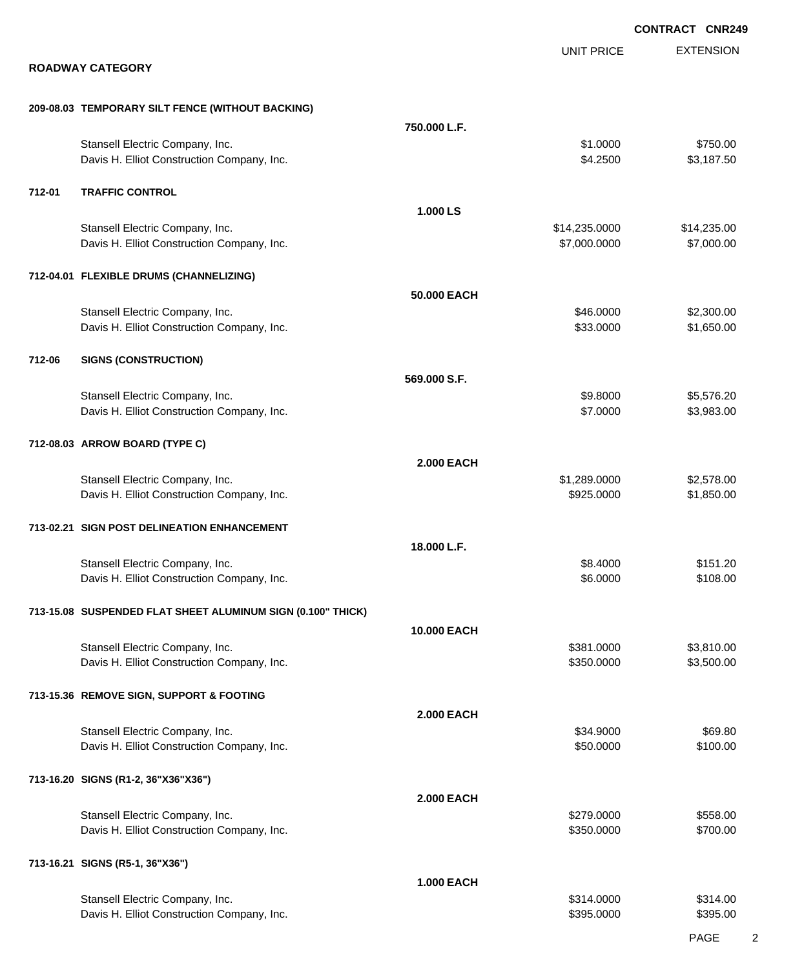|        |                                                                               |                    |                               | <b>CONTRACT CNR249</b>    |
|--------|-------------------------------------------------------------------------------|--------------------|-------------------------------|---------------------------|
|        | <b>ROADWAY CATEGORY</b>                                                       |                    | <b>UNIT PRICE</b>             | <b>EXTENSION</b>          |
|        |                                                                               |                    |                               |                           |
|        | 209-08.03 TEMPORARY SILT FENCE (WITHOUT BACKING)                              |                    |                               |                           |
|        |                                                                               | 750.000 L.F.       |                               |                           |
|        | Stansell Electric Company, Inc.<br>Davis H. Elliot Construction Company, Inc. |                    | \$1.0000<br>\$4.2500          | \$750.00<br>\$3,187.50    |
| 712-01 | <b>TRAFFIC CONTROL</b>                                                        |                    |                               |                           |
|        |                                                                               | 1.000 LS           |                               |                           |
|        | Stansell Electric Company, Inc.<br>Davis H. Elliot Construction Company, Inc. |                    | \$14,235.0000<br>\$7,000.0000 | \$14,235.00<br>\$7,000.00 |
|        | 712-04.01 FLEXIBLE DRUMS (CHANNELIZING)                                       |                    |                               |                           |
|        |                                                                               | 50.000 EACH        |                               |                           |
|        | Stansell Electric Company, Inc.<br>Davis H. Elliot Construction Company, Inc. |                    | \$46.0000<br>\$33.0000        | \$2,300.00<br>\$1,650.00  |
| 712-06 | <b>SIGNS (CONSTRUCTION)</b>                                                   |                    |                               |                           |
|        |                                                                               | 569.000 S.F.       |                               |                           |
|        | Stansell Electric Company, Inc.                                               |                    | \$9.8000                      | \$5,576.20                |
|        | Davis H. Elliot Construction Company, Inc.                                    |                    | \$7.0000                      | \$3,983.00                |
|        | 712-08.03 ARROW BOARD (TYPE C)                                                |                    |                               |                           |
|        |                                                                               | <b>2.000 EACH</b>  |                               |                           |
|        | Stansell Electric Company, Inc.                                               |                    | \$1,289.0000                  | \$2,578.00                |
|        | Davis H. Elliot Construction Company, Inc.                                    |                    | \$925.0000                    | \$1,850.00                |
|        | 713-02.21 SIGN POST DELINEATION ENHANCEMENT                                   |                    |                               |                           |
|        |                                                                               | 18.000 L.F.        |                               |                           |
|        | Stansell Electric Company, Inc.<br>Davis H. Elliot Construction Company, Inc. |                    | \$8,4000<br>\$6.0000          | \$151.20<br>\$108.00      |
|        |                                                                               |                    |                               |                           |
|        | 713-15.08 SUSPENDED FLAT SHEET ALUMINUM SIGN (0.100" THICK)                   |                    |                               |                           |
|        | Stansell Electric Company, Inc.                                               | <b>10.000 EACH</b> |                               |                           |
|        | Davis H. Elliot Construction Company, Inc.                                    |                    | \$381.0000<br>\$350.0000      | \$3,810.00<br>\$3,500.00  |
|        |                                                                               |                    |                               |                           |
|        | 713-15.36 REMOVE SIGN, SUPPORT & FOOTING                                      |                    |                               |                           |
|        | Stansell Electric Company, Inc.                                               | <b>2.000 EACH</b>  | \$34.9000                     | \$69.80                   |
|        | Davis H. Elliot Construction Company, Inc.                                    |                    | \$50.0000                     | \$100.00                  |
|        | 713-16.20 SIGNS (R1-2, 36"X36"X36")                                           |                    |                               |                           |
|        |                                                                               | <b>2.000 EACH</b>  |                               |                           |
|        | Stansell Electric Company, Inc.<br>Davis H. Elliot Construction Company, Inc. |                    | \$279.0000<br>\$350.0000      | \$558.00<br>\$700.00      |
|        |                                                                               |                    |                               |                           |
|        | 713-16.21 SIGNS (R5-1, 36"X36")                                               | <b>1.000 EACH</b>  |                               |                           |
|        | Stansell Electric Company, Inc.                                               |                    | \$314.0000                    | \$314.00                  |
|        | Davis H. Elliot Construction Company, Inc.                                    |                    | \$395.0000                    | \$395.00                  |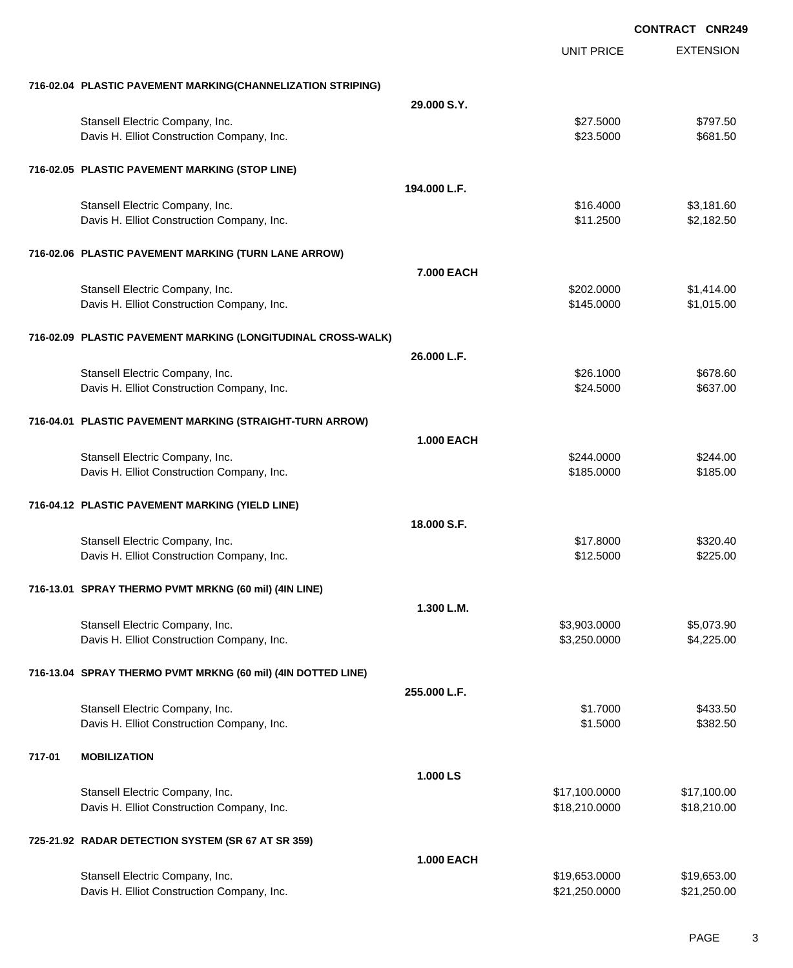EXTENSION **CONTRACT CNR249** UNIT PRICE **716-02.04 PLASTIC PAVEMENT MARKING(CHANNELIZATION STRIPING) 29.000 S.Y.** Stansell Electric Company, Inc. 6. The Standard Standard Standard Standard Standard Standard Standard Standard Standard Standard Standard Standard Standard Standard Standard Standard Standard Standard Standard Standard Sta Davis H. Elliot Construction Company, Inc. \$23.5000 \$681.50 **716-02.05 PLASTIC PAVEMENT MARKING (STOP LINE) 194.000 L.F.** Stansell Electric Company, Inc. 6. The Standard Standard Standard Standard Standard Standard Standard Standard Standard Standard Standard Standard Standard Standard Standard Standard Standard Standard Standard Standard Sta Davis H. Elliot Construction Company, Inc. \$11.2500 \$2,182.50 **716-02.06 PLASTIC PAVEMENT MARKING (TURN LANE ARROW) 7.000 EACH** Stansell Electric Company, Inc. 6. The Standard Standard Standard Standard Standard Standard Standard Standard St Davis H. Elliot Construction Company, Inc. 6. 2012. The State of the State of State State State State State St **716-02.09 PLASTIC PAVEMENT MARKING (LONGITUDINAL CROSS-WALK) 26.000 L.F.** Stansell Electric Company, Inc. 60 and the state of the state of the state of the state of the state of the state of the state of the state of the state of the state of the state of the state of the state of the state of t Davis H. Elliot Construction Company, Inc. \$24.5000 \$24.5000 \$637.00 **716-04.01 PLASTIC PAVEMENT MARKING (STRAIGHT-TURN ARROW) 1.000 EACH** Stansell Electric Company, Inc. 6244.000 \$244.000 \$244.000 \$244.000 \$244.000 \$25244.000 \$25244.000 \$25244.00 Davis H. Elliot Construction Company, Inc. 6. 2012 12:30 12:30 12:30 12:30 12:30 12:30 12:30 12:30 12:30 12:30 **716-04.12 PLASTIC PAVEMENT MARKING (YIELD LINE) 18.000 S.F.** Stansell Electric Company, Inc. 6320.40 Davis H. Elliot Construction Company, Inc. \$12.5000 \$225.00 **716-13.01 SPRAY THERMO PVMT MRKNG (60 mil) (4IN LINE) 1.300 L.M.** Stansell Electric Company, Inc. 6. The Standard Company, Inc. 55,073.90 Davis H. Elliot Construction Company, Inc. 6. 2012 1. 2013 1. 2014 1. 1. 2.3.250.0000 \$4,225.00 **716-13.04 SPRAY THERMO PVMT MRKNG (60 mil) (4IN DOTTED LINE) 255.000 L.F.** Stansell Electric Company, Inc. 6433.50 Davis H. Elliot Construction Company, Inc. 6. 2012 12:30 12:382.500 \$1.5000 \$382.50 **717-01 MOBILIZATION 1.000 LS** Stansell Electric Company, Inc. 6. 2012 12:30 12:30 12:30 12:30 12:30 12:30 12:30 12:30 12:30 12:30 12:30 12:30 12:30 12:30 12:30 12:30 12:30 12:30 12:30 12:30 12:30 12:30 12:30 12:30 12:30 12:30 12:30 12:30 12:30 12:30 12 Davis H. Elliot Construction Company, Inc. 6. 2010 10:000 \$18,210.0000 \$18,210.000 \$18,210.00 **725-21.92 RADAR DETECTION SYSTEM (SR 67 AT SR 359) 1.000 EACH** Stansell Electric Company, Inc. 6. 2010 12:30 12:30 12:30 12:30 13:30 14:30 14:30 14:30 14:30 14:30 14:30 14:30 14:30 14:30 14:30 14:30 14:30 14:30 14:30 14:30 14:30 14:30 14:30 14:30 14:30 14:30 14:30 14:30 14:30 14:30 14 Davis H. Elliot Construction Company, Inc. 621,250.000 \$21,250.000 \$21,250.000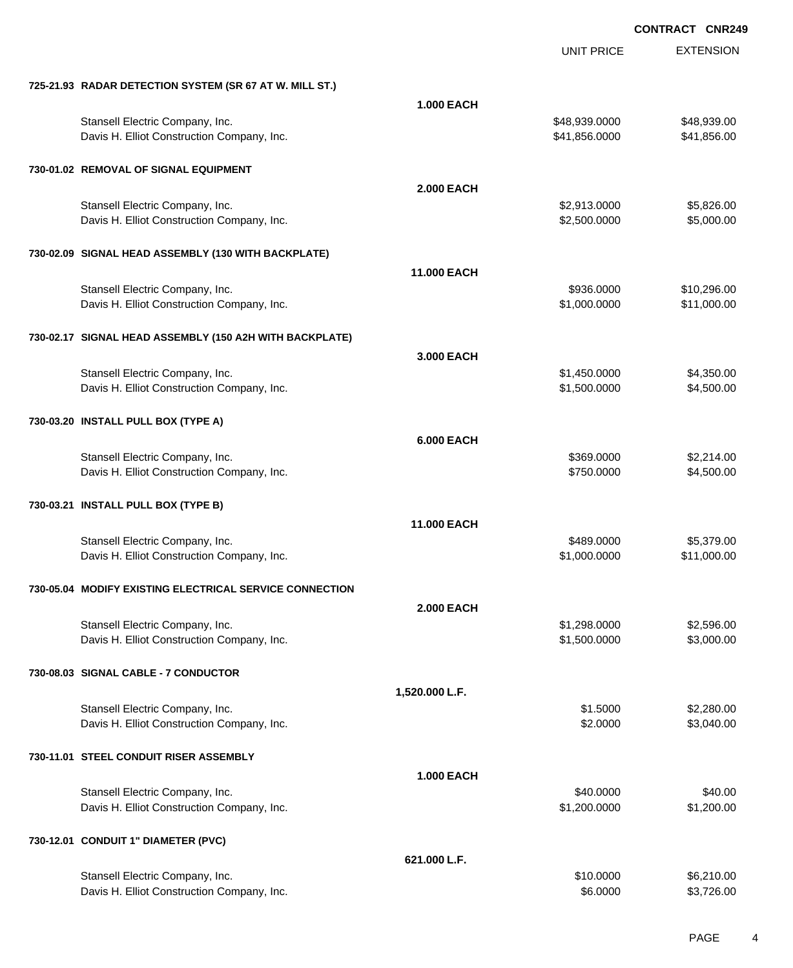|                                                         |                   | <b>UNIT PRICE</b> | <b>EXTENSION</b> |
|---------------------------------------------------------|-------------------|-------------------|------------------|
| 725-21.93 RADAR DETECTION SYSTEM (SR 67 AT W. MILL ST.) |                   |                   |                  |
|                                                         | <b>1.000 EACH</b> |                   |                  |
| Stansell Electric Company, Inc.                         |                   | \$48,939.0000     | \$48,939.00      |
| Davis H. Elliot Construction Company, Inc.              |                   | \$41,856.0000     | \$41,856.00      |
| 730-01.02 REMOVAL OF SIGNAL EQUIPMENT                   |                   |                   |                  |
|                                                         | <b>2.000 EACH</b> |                   |                  |
| Stansell Electric Company, Inc.                         |                   | \$2,913.0000      | \$5,826.00       |
| Davis H. Elliot Construction Company, Inc.              |                   | \$2,500.0000      | \$5,000.00       |
| 730-02.09 SIGNAL HEAD ASSEMBLY (130 WITH BACKPLATE)     |                   |                   |                  |
|                                                         | 11.000 EACH       |                   |                  |
| Stansell Electric Company, Inc.                         |                   | \$936.0000        | \$10,296.00      |
| Davis H. Elliot Construction Company, Inc.              |                   | \$1,000.0000      | \$11,000.00      |
| 730-02.17 SIGNAL HEAD ASSEMBLY (150 A2H WITH BACKPLATE) |                   |                   |                  |
|                                                         | 3.000 EACH        |                   |                  |
| Stansell Electric Company, Inc.                         |                   | \$1,450.0000      | \$4,350.00       |
| Davis H. Elliot Construction Company, Inc.              |                   | \$1,500.0000      | \$4,500.00       |
| 730-03.20 INSTALL PULL BOX (TYPE A)                     |                   |                   |                  |
|                                                         | <b>6.000 EACH</b> |                   |                  |
| Stansell Electric Company, Inc.                         |                   | \$369.0000        | \$2,214.00       |
| Davis H. Elliot Construction Company, Inc.              |                   | \$750.0000        | \$4,500.00       |
| 730-03.21 INSTALL PULL BOX (TYPE B)                     |                   |                   |                  |
|                                                         | 11.000 EACH       |                   |                  |
| Stansell Electric Company, Inc.                         |                   | \$489.0000        | \$5,379.00       |
| Davis H. Elliot Construction Company, Inc.              |                   | \$1,000.0000      | \$11,000.00      |
| 730-05.04 MODIFY EXISTING ELECTRICAL SERVICE CONNECTION |                   |                   |                  |
|                                                         | 2.000 EACH        |                   |                  |
| Stansell Electric Company, Inc.                         |                   | \$1,298.0000      | \$2,596.00       |
| Davis H. Elliot Construction Company, Inc.              |                   | \$1,500.0000      | \$3,000.00       |
| 730-08.03 SIGNAL CABLE - 7 CONDUCTOR                    |                   |                   |                  |
|                                                         | 1,520.000 L.F.    |                   |                  |
| Stansell Electric Company, Inc.                         |                   | \$1.5000          | \$2,280.00       |
| Davis H. Elliot Construction Company, Inc.              |                   | \$2.0000          | \$3,040.00       |
| 730-11.01 STEEL CONDUIT RISER ASSEMBLY                  |                   |                   |                  |
|                                                         | <b>1.000 EACH</b> |                   |                  |
| Stansell Electric Company, Inc.                         |                   | \$40.0000         | \$40.00          |
| Davis H. Elliot Construction Company, Inc.              |                   | \$1,200.0000      | \$1,200.00       |
| 730-12.01 CONDUIT 1" DIAMETER (PVC)                     |                   |                   |                  |
|                                                         | 621.000 L.F.      |                   |                  |
| Stansell Electric Company, Inc.                         |                   | \$10.0000         | \$6,210.00       |
| Davis H. Elliot Construction Company, Inc.              |                   | \$6.0000          | \$3,726.00       |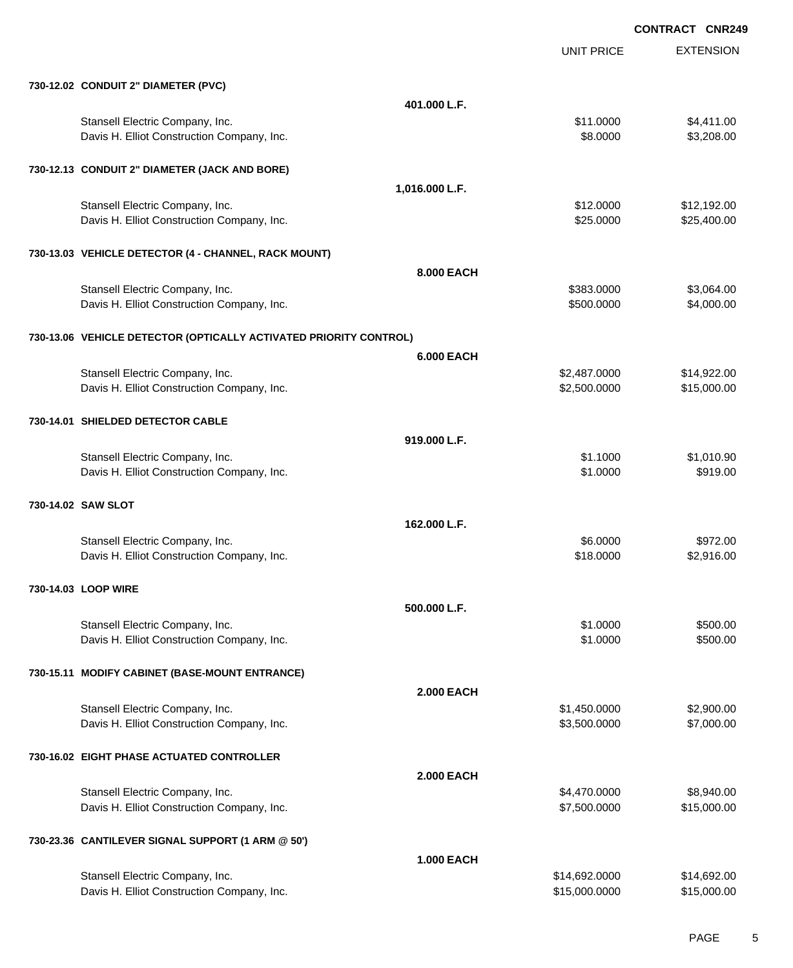UNIT PRICE EXTENSION **CONTRACT CNR249**

| 730-12.02 CONDUIT 2" DIAMETER (PVC)                                           |                   |                                |                            |
|-------------------------------------------------------------------------------|-------------------|--------------------------------|----------------------------|
|                                                                               | 401.000 L.F.      |                                |                            |
| Stansell Electric Company, Inc.                                               |                   | \$11.0000                      | \$4,411.00                 |
| Davis H. Elliot Construction Company, Inc.                                    |                   | \$8.0000                       | \$3,208.00                 |
|                                                                               |                   |                                |                            |
| 730-12.13 CONDUIT 2" DIAMETER (JACK AND BORE)                                 |                   |                                |                            |
|                                                                               | 1,016.000 L.F.    |                                |                            |
| Stansell Electric Company, Inc.                                               |                   | \$12.0000                      | \$12,192.00                |
| Davis H. Elliot Construction Company, Inc.                                    |                   | \$25.0000                      | \$25,400.00                |
|                                                                               |                   |                                |                            |
| 730-13.03 VEHICLE DETECTOR (4 - CHANNEL, RACK MOUNT)                          |                   |                                |                            |
|                                                                               | 8,000 EACH        |                                |                            |
| Stansell Electric Company, Inc.                                               |                   | \$383.0000                     | \$3,064.00                 |
| Davis H. Elliot Construction Company, Inc.                                    |                   | \$500.0000                     | \$4,000.00                 |
|                                                                               |                   |                                |                            |
| 730-13.06 VEHICLE DETECTOR (OPTICALLY ACTIVATED PRIORITY CONTROL)             |                   |                                |                            |
|                                                                               | <b>6.000 EACH</b> |                                |                            |
| Stansell Electric Company, Inc.                                               |                   | \$2,487.0000                   | \$14,922.00                |
| Davis H. Elliot Construction Company, Inc.                                    |                   | \$2,500.0000                   | \$15,000.00                |
|                                                                               |                   |                                |                            |
| 730-14.01 SHIELDED DETECTOR CABLE                                             |                   |                                |                            |
|                                                                               | 919.000 L.F.      |                                |                            |
| Stansell Electric Company, Inc.                                               |                   | \$1.1000                       | \$1,010.90                 |
| Davis H. Elliot Construction Company, Inc.                                    |                   | \$1.0000                       | \$919.00                   |
|                                                                               |                   |                                |                            |
| 730-14.02 SAW SLOT                                                            |                   |                                |                            |
|                                                                               | 162.000 L.F.      |                                |                            |
| Stansell Electric Company, Inc.                                               |                   | \$6.0000                       | \$972.00                   |
| Davis H. Elliot Construction Company, Inc.                                    |                   | \$18.0000                      | \$2,916.00                 |
|                                                                               |                   |                                |                            |
| 730-14.03 LOOP WIRE                                                           |                   |                                |                            |
|                                                                               | 500,000 L.F.      |                                |                            |
| Stansell Electric Company, Inc.                                               |                   | \$1.0000                       | \$500.00                   |
| Davis H. Elliot Construction Company, Inc.                                    |                   | \$1.0000                       | \$500.00                   |
|                                                                               |                   |                                |                            |
| 730-15.11 MODIFY CABINET (BASE-MOUNT ENTRANCE)                                |                   |                                |                            |
|                                                                               | <b>2.000 EACH</b> |                                |                            |
| Stansell Electric Company, Inc.                                               |                   | \$1,450.0000                   | \$2,900.00                 |
| Davis H. Elliot Construction Company, Inc.                                    |                   | \$3,500.0000                   | \$7,000.00                 |
|                                                                               |                   |                                |                            |
|                                                                               |                   |                                |                            |
| 730-16.02 EIGHT PHASE ACTUATED CONTROLLER                                     |                   |                                |                            |
|                                                                               | <b>2.000 EACH</b> |                                |                            |
| Stansell Electric Company, Inc.                                               |                   | \$4,470.0000                   | \$8,940.00                 |
| Davis H. Elliot Construction Company, Inc.                                    |                   | \$7,500.0000                   | \$15,000.00                |
|                                                                               |                   |                                |                            |
| 730-23.36 CANTILEVER SIGNAL SUPPORT (1 ARM @ 50')                             |                   |                                |                            |
|                                                                               | <b>1.000 EACH</b> |                                |                            |
| Stansell Electric Company, Inc.<br>Davis H. Elliot Construction Company, Inc. |                   | \$14,692.0000<br>\$15,000.0000 | \$14,692.00<br>\$15,000.00 |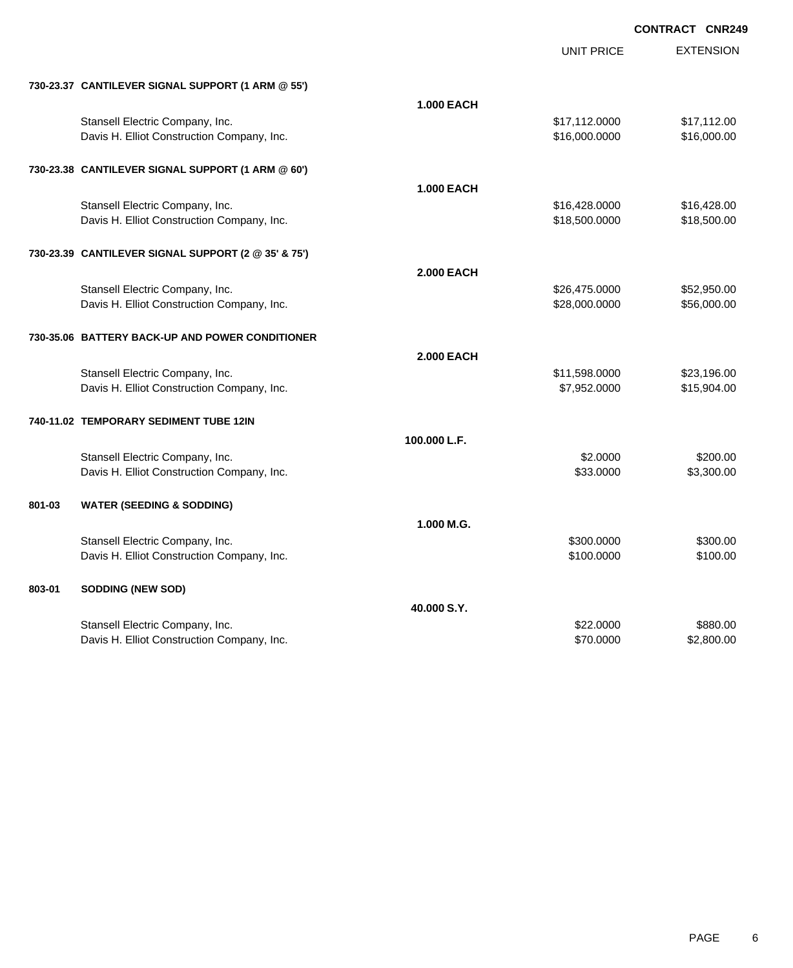|        |                                                     |                   | <b>UNIT PRICE</b> | <b>EXTENSION</b> |
|--------|-----------------------------------------------------|-------------------|-------------------|------------------|
|        | 730-23.37 CANTILEVER SIGNAL SUPPORT (1 ARM @ 55')   |                   |                   |                  |
|        |                                                     | <b>1.000 EACH</b> |                   |                  |
|        | Stansell Electric Company, Inc.                     |                   | \$17,112.0000     | \$17,112.00      |
|        | Davis H. Elliot Construction Company, Inc.          |                   | \$16,000.0000     | \$16,000.00      |
|        |                                                     |                   |                   |                  |
|        | 730-23.38 CANTILEVER SIGNAL SUPPORT (1 ARM @ 60')   |                   |                   |                  |
|        |                                                     | <b>1.000 EACH</b> |                   |                  |
|        | Stansell Electric Company, Inc.                     |                   | \$16,428.0000     | \$16,428.00      |
|        | Davis H. Elliot Construction Company, Inc.          |                   | \$18,500.0000     | \$18,500.00      |
|        |                                                     |                   |                   |                  |
|        | 730-23.39 CANTILEVER SIGNAL SUPPORT (2 @ 35' & 75') |                   |                   |                  |
|        |                                                     | <b>2.000 EACH</b> |                   |                  |
|        | Stansell Electric Company, Inc.                     |                   | \$26,475.0000     | \$52,950.00      |
|        | Davis H. Elliot Construction Company, Inc.          |                   | \$28,000.0000     | \$56,000.00      |
|        | 730-35.06 BATTERY BACK-UP AND POWER CONDITIONER     |                   |                   |                  |
|        |                                                     | <b>2.000 EACH</b> |                   |                  |
|        | Stansell Electric Company, Inc.                     |                   | \$11,598.0000     | \$23,196.00      |
|        | Davis H. Elliot Construction Company, Inc.          |                   | \$7,952.0000      | \$15,904.00      |
|        |                                                     |                   |                   |                  |
|        | 740-11.02 TEMPORARY SEDIMENT TUBE 12IN              |                   |                   |                  |
|        |                                                     | 100.000 L.F.      |                   |                  |
|        | Stansell Electric Company, Inc.                     |                   | \$2.0000          | \$200.00         |
|        | Davis H. Elliot Construction Company, Inc.          |                   | \$33,0000         | \$3,300.00       |
|        |                                                     |                   |                   |                  |
| 801-03 | <b>WATER (SEEDING &amp; SODDING)</b>                |                   |                   |                  |
|        |                                                     | 1.000 M.G.        |                   |                  |
|        | Stansell Electric Company, Inc.                     |                   | \$300.0000        | \$300.00         |
|        | Davis H. Elliot Construction Company, Inc.          |                   | \$100.0000        | \$100.00         |
|        |                                                     |                   |                   |                  |
| 803-01 | <b>SODDING (NEW SOD)</b>                            |                   |                   |                  |
|        |                                                     | 40.000 S.Y.       |                   |                  |
|        | Stansell Electric Company, Inc.                     |                   | \$22.0000         | \$880.00         |
|        | Davis H. Elliot Construction Company, Inc.          |                   | \$70.0000         | \$2,800.00       |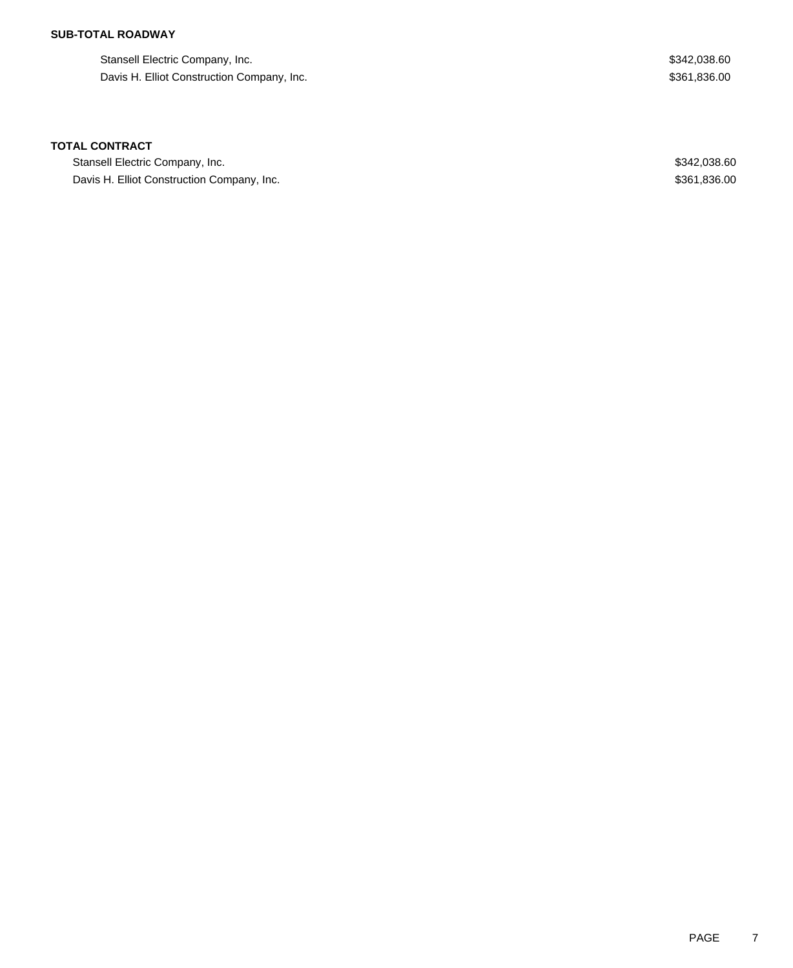## **SUB-TOTAL ROADWAY**

Stansell Electric Company, Inc. 600 and the state of the state of the state of the state of the state of the state of the state of the state of the state of the state of the state of the state of the state of the state of Davis H. Elliot Construction Company, Inc. 6. The Construction Company, Inc. \$361,836.00

### **TOTAL CONTRACT**

Stansell Electric Company, Inc. \$342,038.60 Davis H. Elliot Construction Company, Inc. 6. 2012 12:36:00 \$361,836.00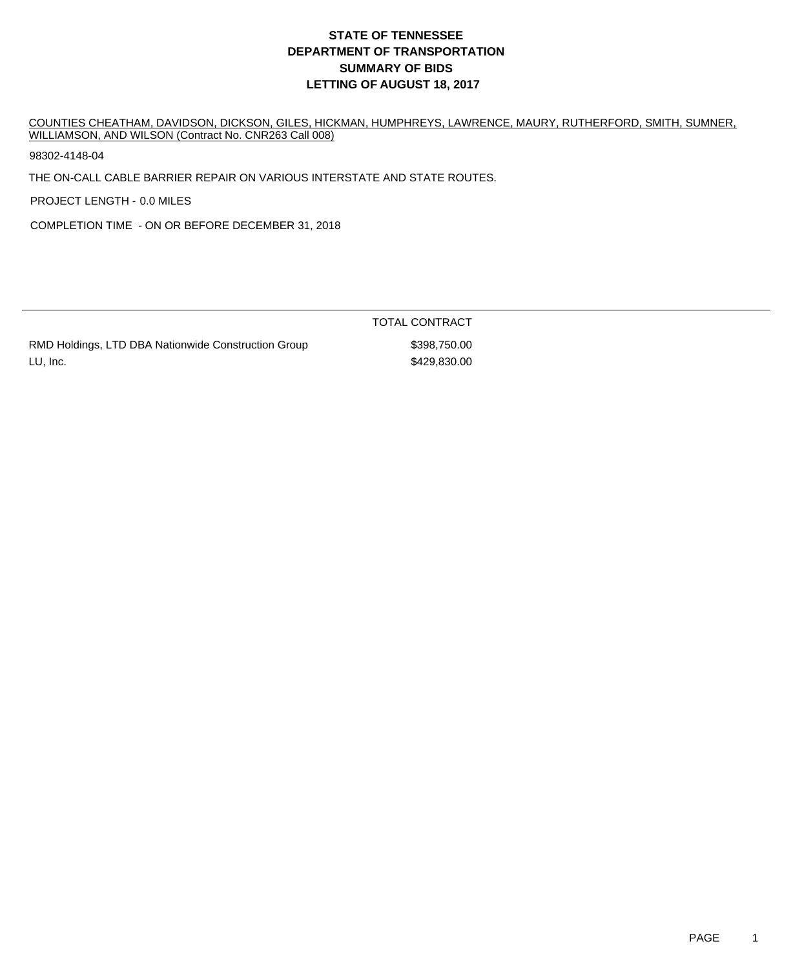# **DEPARTMENT OF TRANSPORTATION SUMMARY OF BIDS LETTING OF AUGUST 18, 2017 STATE OF TENNESSEE**

COUNTIES CHEATHAM, DAVIDSON, DICKSON, GILES, HICKMAN, HUMPHREYS, LAWRENCE, MAURY, RUTHERFORD, SMITH, SUMNER, WILLIAMSON, AND WILSON (Contract No. CNR263 Call 008)

98302-4148-04

THE ON-CALL CABLE BARRIER REPAIR ON VARIOUS INTERSTATE AND STATE ROUTES.

PROJECT LENGTH - 0.0 MILES

COMPLETION TIME - ON OR BEFORE DECEMBER 31, 2018

| RMD Holdings, LTD DBA Nationwide Construction Group |  |
|-----------------------------------------------------|--|
| LU, Inc.                                            |  |

TOTAL CONTRACT  $$398,750.00$ \$429,830.00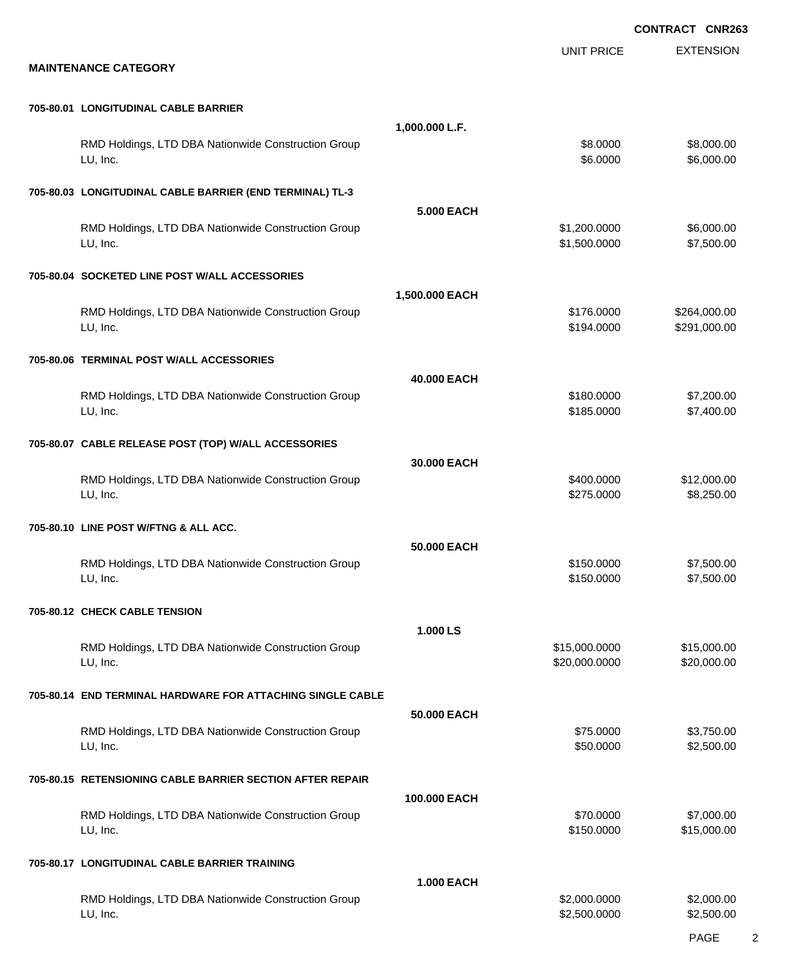|                                                                 |                   |                                | <b>CONTRACT CNR263</b>       |
|-----------------------------------------------------------------|-------------------|--------------------------------|------------------------------|
| <b>MAINTENANCE CATEGORY</b>                                     |                   | <b>UNIT PRICE</b>              | <b>EXTENSION</b>             |
| 705-80.01 LONGITUDINAL CABLE BARRIER                            |                   |                                |                              |
| RMD Holdings, LTD DBA Nationwide Construction Group<br>LU, Inc. | 1,000.000 L.F.    | \$8.0000<br>\$6.0000           | \$8,000.00<br>\$6,000.00     |
| 705-80.03 LONGITUDINAL CABLE BARRIER (END TERMINAL) TL-3        |                   |                                |                              |
| RMD Holdings, LTD DBA Nationwide Construction Group<br>LU, Inc. | <b>5.000 EACH</b> | \$1,200.0000<br>\$1,500.0000   | \$6,000.00<br>\$7,500.00     |
| 705-80.04 SOCKETED LINE POST W/ALL ACCESSORIES                  |                   |                                |                              |
| RMD Holdings, LTD DBA Nationwide Construction Group<br>LU, Inc. | 1,500.000 EACH    | \$176.0000<br>\$194.0000       | \$264,000.00<br>\$291,000.00 |
| 705-80.06 TERMINAL POST W/ALL ACCESSORIES                       |                   |                                |                              |
| RMD Holdings, LTD DBA Nationwide Construction Group<br>LU, Inc. | 40.000 EACH       | \$180.0000<br>\$185.0000       | \$7,200.00<br>\$7,400.00     |
| 705-80.07 CABLE RELEASE POST (TOP) W/ALL ACCESSORIES            |                   |                                |                              |
| RMD Holdings, LTD DBA Nationwide Construction Group<br>LU, Inc. | 30.000 EACH       | \$400.0000<br>\$275.0000       | \$12,000.00<br>\$8,250.00    |
| 705-80.10 LINE POST W/FTNG & ALL ACC.                           |                   |                                |                              |
| RMD Holdings, LTD DBA Nationwide Construction Group<br>LU, Inc. | 50.000 EACH       | \$150.0000<br>\$150.0000       | \$7,500.00<br>\$7,500.00     |
| 705-80.12 CHECK CABLE TENSION                                   |                   |                                |                              |
| RMD Holdings, LTD DBA Nationwide Construction Group<br>LU, Inc. | 1.000 LS          | \$15,000.0000<br>\$20,000.0000 | \$15,000.00<br>\$20,000.00   |
| 705-80.14 END TERMINAL HARDWARE FOR ATTACHING SINGLE CABLE      |                   |                                |                              |
| RMD Holdings, LTD DBA Nationwide Construction Group<br>LU, Inc. | 50,000 EACH       | \$75.0000<br>\$50.0000         | \$3,750.00<br>\$2,500.00     |
| 705-80.15 RETENSIONING CABLE BARRIER SECTION AFTER REPAIR       |                   |                                |                              |
| RMD Holdings, LTD DBA Nationwide Construction Group<br>LU, Inc. | 100.000 EACH      | \$70.0000<br>\$150.0000        | \$7,000.00<br>\$15,000.00    |
| 705-80.17 LONGITUDINAL CABLE BARRIER TRAINING                   |                   |                                |                              |
| RMD Holdings, LTD DBA Nationwide Construction Group<br>LU, Inc. | <b>1.000 EACH</b> | \$2,000.0000<br>\$2,500.0000   | \$2,000.00<br>\$2,500.00     |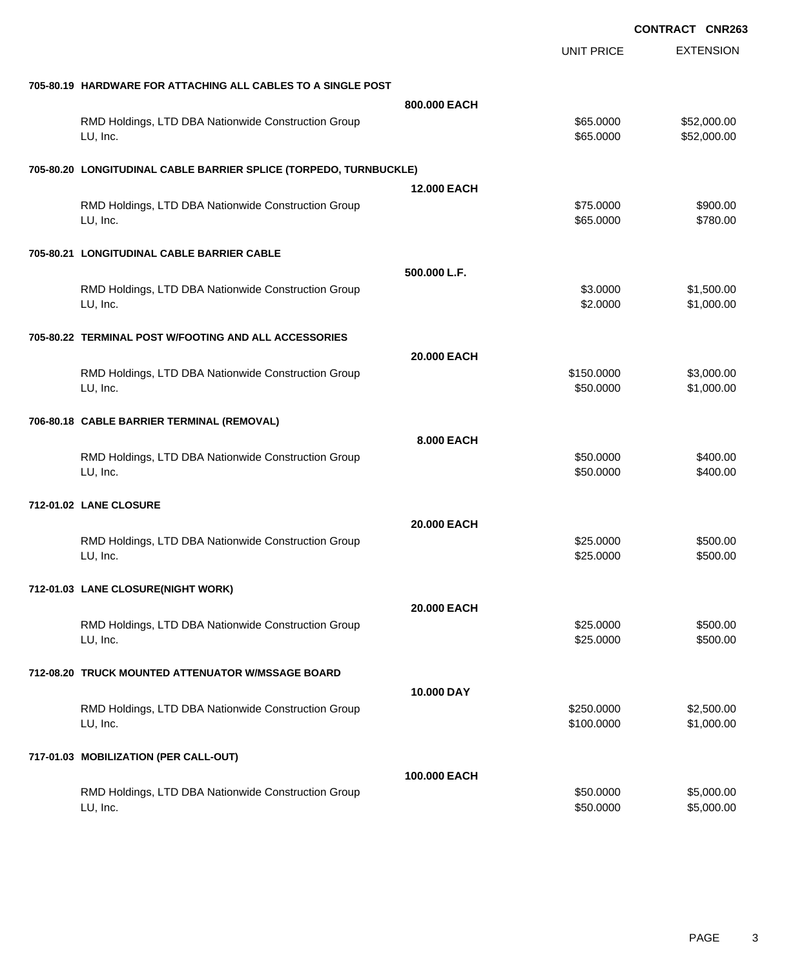|                                                                   |                    | <b>CONTRACT CNR263</b> |                  |
|-------------------------------------------------------------------|--------------------|------------------------|------------------|
|                                                                   |                    | <b>UNIT PRICE</b>      | <b>EXTENSION</b> |
| 705-80.19 HARDWARE FOR ATTACHING ALL CABLES TO A SINGLE POST      |                    |                        |                  |
|                                                                   | 800,000 EACH       |                        |                  |
| RMD Holdings, LTD DBA Nationwide Construction Group               |                    | \$65.0000              | \$52,000.00      |
| LU, Inc.                                                          |                    | \$65.0000              | \$52,000.00      |
| 705-80.20 LONGITUDINAL CABLE BARRIER SPLICE (TORPEDO, TURNBUCKLE) |                    |                        |                  |
|                                                                   | <b>12.000 EACH</b> |                        |                  |
| RMD Holdings, LTD DBA Nationwide Construction Group               |                    | \$75.0000              | \$900.00         |
| LU, Inc.                                                          |                    | \$65.0000              | \$780.00         |
| 705-80.21 LONGITUDINAL CABLE BARRIER CABLE                        |                    |                        |                  |
|                                                                   | 500.000 L.F.       |                        |                  |
| RMD Holdings, LTD DBA Nationwide Construction Group               |                    | \$3.0000               | \$1,500.00       |
| LU, Inc.                                                          |                    | \$2.0000               | \$1,000.00       |
| 705-80.22 TERMINAL POST W/FOOTING AND ALL ACCESSORIES             |                    |                        |                  |
|                                                                   | 20,000 EACH        |                        |                  |
| RMD Holdings, LTD DBA Nationwide Construction Group               |                    | \$150.0000             | \$3,000.00       |
| LU, Inc.                                                          |                    | \$50.0000              | \$1,000.00       |
|                                                                   |                    |                        |                  |
| 706-80.18 CABLE BARRIER TERMINAL (REMOVAL)                        |                    |                        |                  |
|                                                                   | 8.000 EACH         |                        |                  |
| RMD Holdings, LTD DBA Nationwide Construction Group               |                    | \$50.0000              | \$400.00         |
| LU, Inc.                                                          |                    | \$50.0000              | \$400.00         |
| 712-01.02 LANE CLOSURE                                            |                    |                        |                  |
|                                                                   | 20,000 EACH        |                        |                  |
| RMD Holdings, LTD DBA Nationwide Construction Group               |                    | \$25.0000              | \$500.00         |
| LU, Inc.                                                          |                    | \$25.0000              | \$500.00         |
| 712-01.03 LANE CLOSURE(NIGHT WORK)                                |                    |                        |                  |
|                                                                   | 20.000 EACH        |                        |                  |
| RMD Holdings, LTD DBA Nationwide Construction Group               |                    | \$25.0000              | \$500.00         |
| LU, Inc.                                                          |                    | \$25.0000              | \$500.00         |
| 712-08.20 TRUCK MOUNTED ATTENUATOR W/MSSAGE BOARD                 |                    |                        |                  |
|                                                                   | 10.000 DAY         |                        |                  |
| RMD Holdings, LTD DBA Nationwide Construction Group               |                    | \$250.0000             | \$2,500.00       |
| LU, Inc.                                                          |                    | \$100.0000             | \$1,000.00       |
| 717-01.03 MOBILIZATION (PER CALL-OUT)                             |                    |                        |                  |
|                                                                   | 100.000 EACH       |                        |                  |
| RMD Holdings, LTD DBA Nationwide Construction Group               |                    | \$50.0000              | \$5,000.00       |
| LU, Inc.                                                          |                    | \$50.0000              | \$5,000.00       |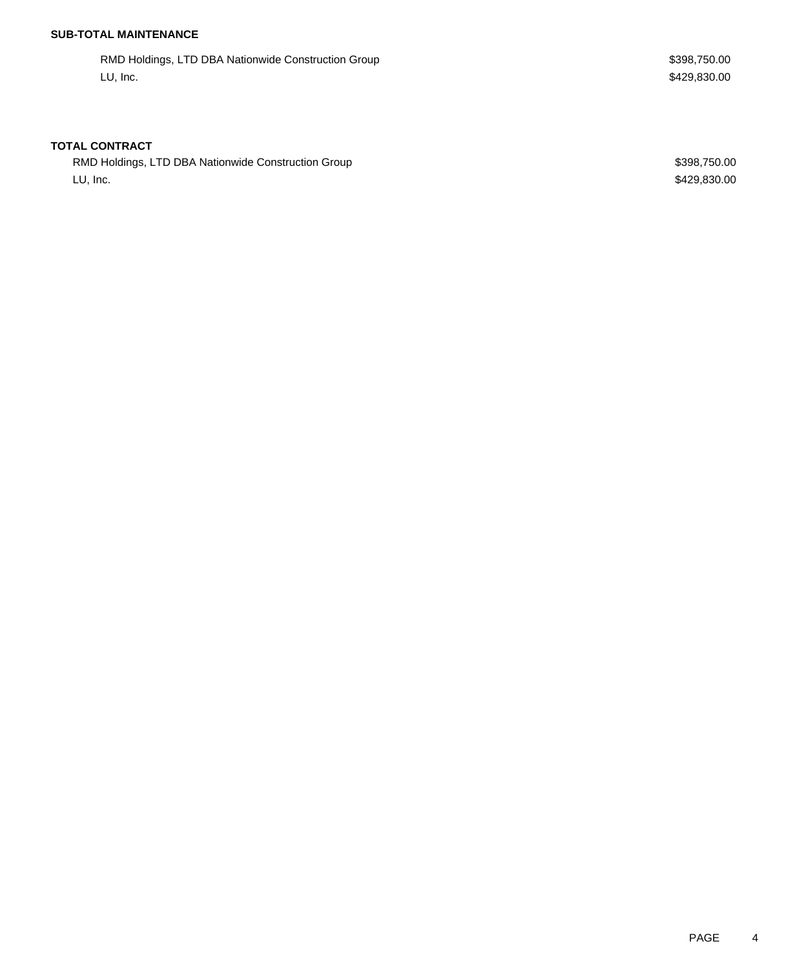## **SUB-TOTAL MAINTENANCE**

RMD Holdings, LTD DBA Nationwide Construction Group **\$398,750.00** \$398,750.00 LU, Inc. \$429,830.00

### **TOTAL CONTRACT**

RMD Holdings, LTD DBA Nationwide Construction Group **\$398,750.00** \$398,750.00 LU, Inc. \$429,830.00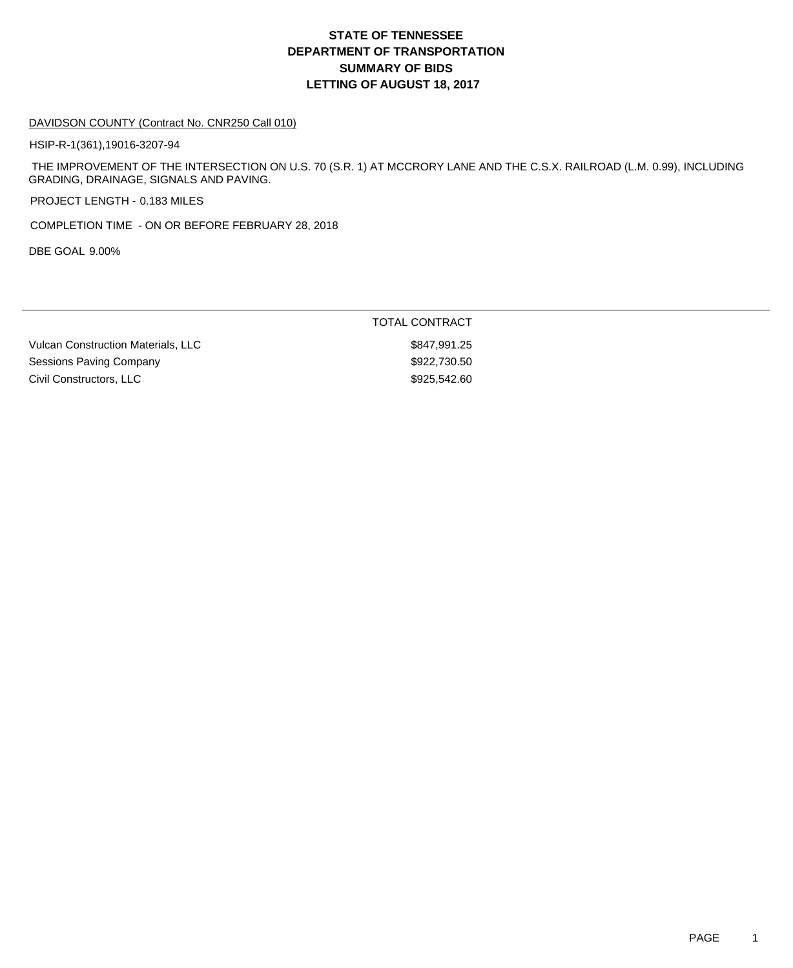# **DEPARTMENT OF TRANSPORTATION SUMMARY OF BIDS LETTING OF AUGUST 18, 2017 STATE OF TENNESSEE**

#### DAVIDSON COUNTY (Contract No. CNR250 Call 010)

HSIP-R-1(361),19016-3207-94

 THE IMPROVEMENT OF THE INTERSECTION ON U.S. 70 (S.R. 1) AT MCCRORY LANE AND THE C.S.X. RAILROAD (L.M. 0.99), INCLUDING GRADING, DRAINAGE, SIGNALS AND PAVING.

PROJECT LENGTH - 0.183 MILES

COMPLETION TIME - ON OR BEFORE FEBRUARY 28, 2018

DBE GOAL 9.00%

|                                    | <b>TOTAL CONTRACT</b> |
|------------------------------------|-----------------------|
| Vulcan Construction Materials, LLC | \$847,991.25          |
| Sessions Paving Company            | \$922,730,50          |
| Civil Constructors, LLC            | \$925.542.60          |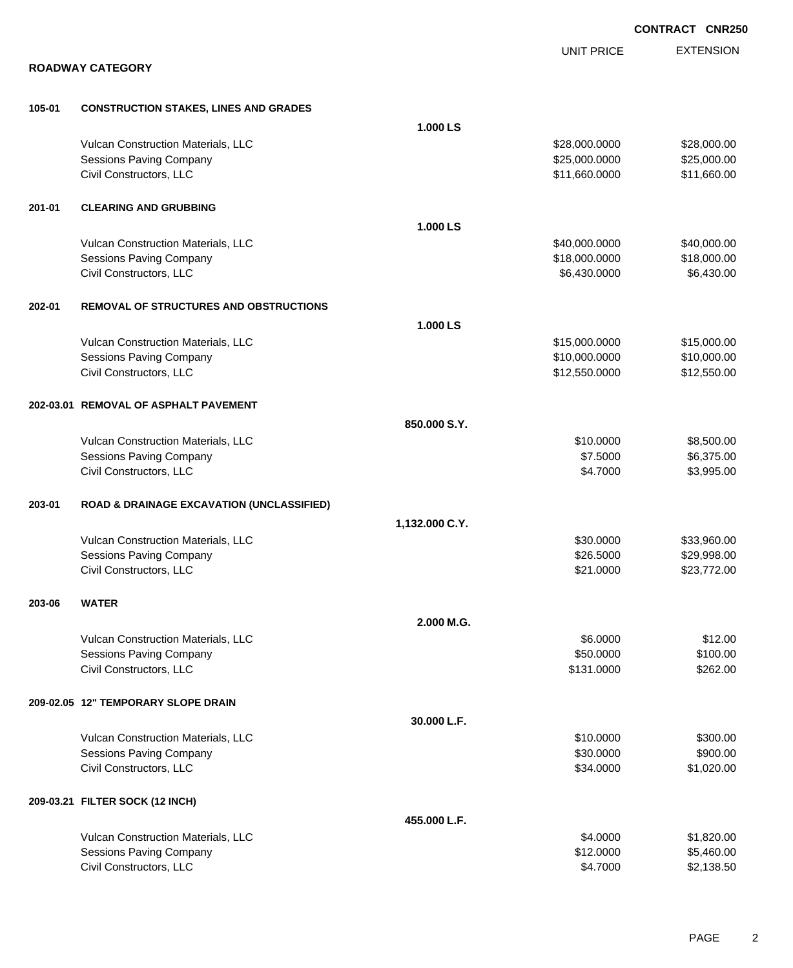|        |                                                      |                |                   | <b>CONTRACT CNR250</b> |
|--------|------------------------------------------------------|----------------|-------------------|------------------------|
|        |                                                      |                | <b>UNIT PRICE</b> | <b>EXTENSION</b>       |
|        | <b>ROADWAY CATEGORY</b>                              |                |                   |                        |
| 105-01 | <b>CONSTRUCTION STAKES, LINES AND GRADES</b>         |                |                   |                        |
|        |                                                      | 1.000 LS       |                   |                        |
|        | Vulcan Construction Materials, LLC                   |                | \$28,000.0000     | \$28,000.00            |
|        | Sessions Paving Company                              |                | \$25,000.0000     | \$25,000.00            |
|        | Civil Constructors, LLC                              |                | \$11,660.0000     | \$11,660.00            |
| 201-01 | <b>CLEARING AND GRUBBING</b>                         |                |                   |                        |
|        |                                                      | 1.000 LS       |                   |                        |
|        | Vulcan Construction Materials, LLC                   |                | \$40,000.0000     | \$40,000.00            |
|        | Sessions Paving Company                              |                | \$18,000.0000     | \$18,000.00            |
|        | Civil Constructors, LLC                              |                | \$6,430.0000      | \$6,430.00             |
| 202-01 | <b>REMOVAL OF STRUCTURES AND OBSTRUCTIONS</b>        |                |                   |                        |
|        |                                                      | 1.000 LS       |                   |                        |
|        | Vulcan Construction Materials, LLC                   |                | \$15,000.0000     | \$15,000.00            |
|        | <b>Sessions Paving Company</b>                       |                | \$10,000.0000     | \$10,000.00            |
|        | Civil Constructors, LLC                              |                | \$12,550.0000     | \$12,550.00            |
|        | 202-03.01 REMOVAL OF ASPHALT PAVEMENT                |                |                   |                        |
|        |                                                      | 850.000 S.Y.   |                   |                        |
|        | Vulcan Construction Materials, LLC                   |                | \$10.0000         | \$8,500.00             |
|        | <b>Sessions Paving Company</b>                       |                | \$7.5000          | \$6,375.00             |
|        | Civil Constructors, LLC                              |                | \$4.7000          | \$3,995.00             |
| 203-01 | <b>ROAD &amp; DRAINAGE EXCAVATION (UNCLASSIFIED)</b> |                |                   |                        |
|        |                                                      | 1,132.000 C.Y. |                   |                        |
|        | Vulcan Construction Materials, LLC                   |                | \$30.0000         | \$33,960.00            |
|        | Sessions Paving Company                              |                | \$26.5000         | \$29,998.00            |
|        | Civil Constructors, LLC                              |                | \$21.0000         | \$23,772.00            |
| 203-06 | <b>WATER</b>                                         |                |                   |                        |
|        |                                                      | 2.000 M.G.     |                   |                        |
|        | Vulcan Construction Materials, LLC                   |                | \$6.0000          | \$12.00                |
|        | <b>Sessions Paving Company</b>                       |                | \$50.0000         | \$100.00               |
|        | Civil Constructors, LLC                              |                | \$131.0000        | \$262.00               |
|        | 209-02.05 12" TEMPORARY SLOPE DRAIN                  |                |                   |                        |
|        |                                                      | 30.000 L.F.    |                   |                        |
|        | Vulcan Construction Materials, LLC                   |                | \$10.0000         | \$300.00               |
|        | <b>Sessions Paving Company</b>                       |                | \$30.0000         | \$900.00               |
|        | Civil Constructors, LLC                              |                | \$34.0000         | \$1,020.00             |
|        | 209-03.21 FILTER SOCK (12 INCH)                      |                |                   |                        |
|        |                                                      | 455.000 L.F.   |                   |                        |
|        | Vulcan Construction Materials, LLC                   |                | \$4.0000          | \$1,820.00             |
|        | Sessions Paving Company                              |                | \$12.0000         | \$5,460.00             |
|        | Civil Constructors, LLC                              |                | \$4.7000          | \$2,138.50             |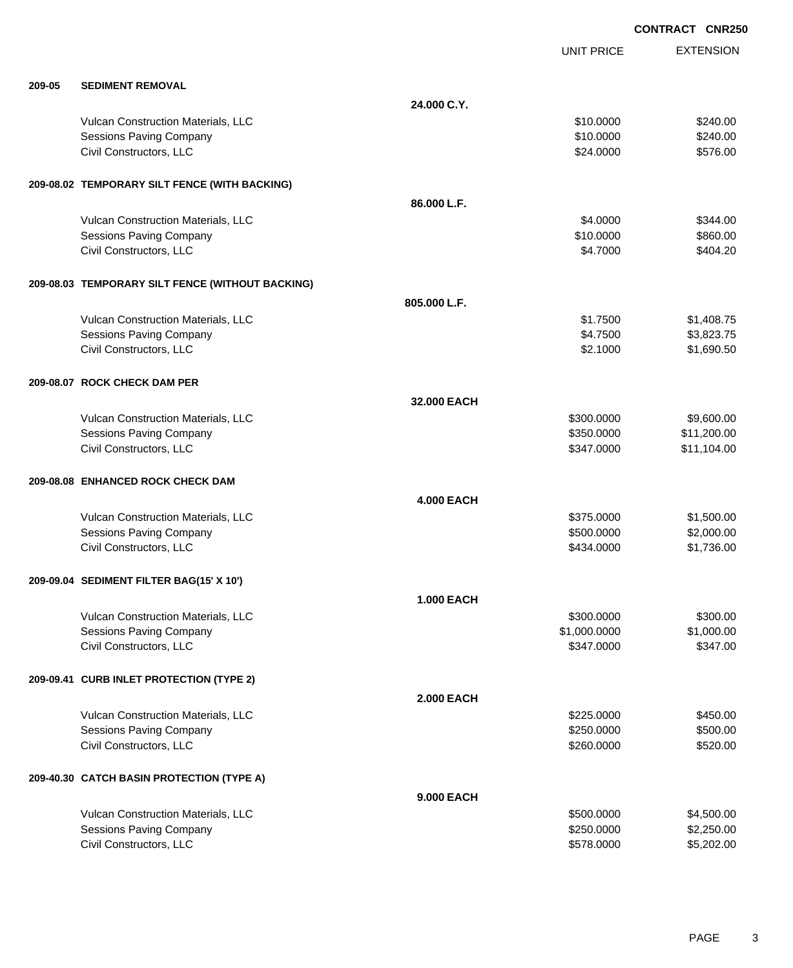EXTENSION **CONTRACT CNR250** UNIT PRICE **209-05 SEDIMENT REMOVAL 24.000 C.Y.** Vulcan Construction Materials, LLC 6240.00 \$240.00 Sessions Paving Company **\$240.00** \$240.00 \$240.00 \$240.00 \$240.00 \$240.00 \$250.000 \$240.00 \$250.00 \$250.00 \$250 Civil Constructors, LLC 6576.00 **209-08.02 TEMPORARY SILT FENCE (WITH BACKING) 86.000 L.F.** Vulcan Construction Materials, LLC 6. The Construction Materials, LLC 6344.000 \$344.000 \$344.00 Sessions Paving Company **\$10.0000** \$860.00 Civil Constructors, LLC 6404.20 **209-08.03 TEMPORARY SILT FENCE (WITHOUT BACKING) 805.000 L.F.** Vulcan Construction Materials, LLC 6 and the state of the state of the state of the state of the state of the state of the state of the state of the state of the state of the state of the state of the state of the state of Sessions Paving Company \$4.7500 \$3,823.75 Civil Constructors, LLC 68 and the set of the set of the set of the set of the set of the set of the set of the set of the set of the set of the set of the set of the set of the set of the set of the set of the set of the **209-08.07 ROCK CHECK DAM PER 32.000 EACH** Vulcan Construction Materials, LLC 60000 \$9,600.000 \$9,600.000 \$9,600.00 Sessions Paving Company **\$11,200.00** \$11,200.00 Civil Constructors, LLC 611,104.00 **209-08.08 ENHANCED ROCK CHECK DAM 4.000 EACH** Vulcan Construction Materials, LLC 66 and the state of the state of the state  $$375.0000$  \$1,500.00 Sessions Paving Company \$500.0000 \$2,000.00 Civil Constructors, LLC 61,736.00 **209-09.04 SEDIMENT FILTER BAG(15' X 10') 1.000 EACH** Vulcan Construction Materials, LLC 6300.000 \$300.000 \$300.000 \$300.000 \$300.000 \$300.00 Sessions Paving Company **\$1,000.000** \$1,000.000 \$1,000.000 \$1,000.000 \$1,000.000 \$1,000.00 Civil Constructors, LLC 6347.000 \$347.000 \$347.000 \$347.000 \$347.000 \$347.000 \$347.000 \$347.000 \$347.00 **209-09.41 CURB INLET PROTECTION (TYPE 2) 2.000 EACH** Vulcan Construction Materials, LLC 60000 \$450.00 Sessions Paving Company **\$250.000** \$500.00 Civil Constructors, LLC 6520.000 \$520.000 \$520.000 \$520.000 \$520.000 \$520.000 \$520.00 **209-40.30 CATCH BASIN PROTECTION (TYPE A) 9.000 EACH** Vulcan Construction Materials, LLC 60000 \$4,500.000 \$4,500.000 \$4,500.000 Sessions Paving Company \$2,250.000 \$2,250.000 \$2,250.000 \$2,250.000 \$2,250.000 \$2,250.00

Civil Constructors, LLC 6. 202.00 \$5,202.00 \$5,202.00 \$5,202.00 \$5,202.00 \$5,202.00 \$5,202.00 \$5,202.00 \$5,20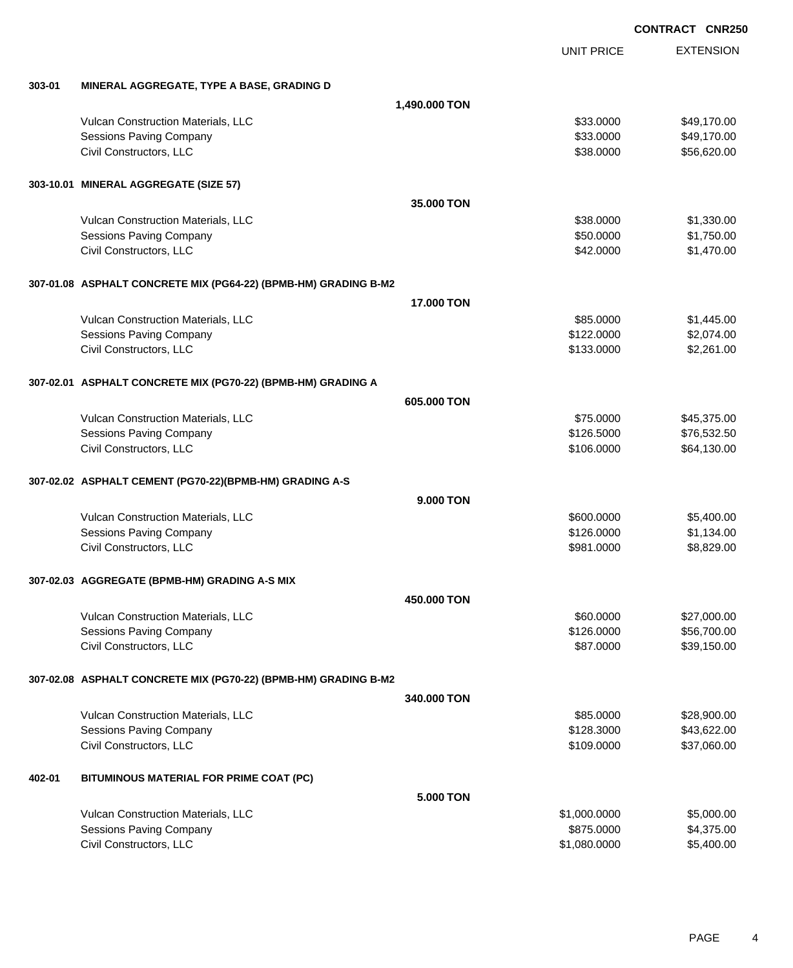EXTENSION **CONTRACT CNR250** UNIT PRICE **303-01 MINERAL AGGREGATE, TYPE A BASE, GRADING D 1,490.000 TON** Vulcan Construction Materials, LLC 66 and the state of the state of the state of the state of the state of the state of the state of the state of the state of the state of the state of the state of the state of the state o Sessions Paving Company **\$49,170.00** \$49,170.00 Civil Constructors, LLC 656,620.00 **303-10.01 MINERAL AGGREGATE (SIZE 57) 35.000 TON** Vulcan Construction Materials, LLC 60000 \$1,330.000 \$1,330.000 \$1,330.000 \$1,330.000 \$1,330.00 Sessions Paving Company **\$50.000** \$1,750.00 Civil Constructors, LLC 61,470.00 **307-01.08 ASPHALT CONCRETE MIX (PG64-22) (BPMB-HM) GRADING B-M2 17.000 TON** Vulcan Construction Materials, LLC 60000 \$1,445.00 Sessions Paving Company 6. The second state of the series of the second state of the series of the series of the series of the series of the series of the series of the series of the series of the series of the series of t Civil Constructors, LLC 63,261.00 **307-02.01 ASPHALT CONCRETE MIX (PG70-22) (BPMB-HM) GRADING A 605.000 TON** Vulcan Construction Materials, LLC 60000 \$45,375.00 Sessions Paving Company 6. The Sessions Paving Company and the Sessions Paving Company 676,532.50 Civil Constructors, LLC 664,130.00 **307-02.02 ASPHALT CEMENT (PG70-22)(BPMB-HM) GRADING A-S 9.000 TON** Vulcan Construction Materials, LLC 600000 \$5,400.000 \$5,400.000 \$5,400.00 Sessions Paving Company 6. The second state of the sessions Paving Company 6. The sessions Paving Company 6. The session of the session of the session of the session of the session of the session of the session of the sess Civil Constructors, LLC 68,829.00 **307-02.03 AGGREGATE (BPMB-HM) GRADING A-S MIX 450.000 TON** Vulcan Construction Materials, LLC 60000 \$27,000.00 Sessions Paving Company **\$126.0000** \$56,700.00 Civil Constructors, LLC 639,150.00 **307-02.08 ASPHALT CONCRETE MIX (PG70-22) (BPMB-HM) GRADING B-M2 340.000 TON** Vulcan Construction Materials, LLC 60000 \$28,900.00 \$28,900.00 Sessions Paving Company **\$128.3000** \$43,622.00 Civil Constructors, LLC 68 and the state of the state of the state of the state of the state of the state of the state of the state of the state of the state of the state of the state of the state of the state of the state **402-01 BITUMINOUS MATERIAL FOR PRIME COAT (PC)**

|                                           | 5.000 TON    |            |
|-------------------------------------------|--------------|------------|
| <b>Vulcan Construction Materials, LLC</b> | \$1,000,0000 | \$5,000,00 |
| Sessions Paving Company                   | \$875,0000   | \$4.375.00 |
| Civil Constructors, LLC                   | \$1.080.0000 | \$5.400.00 |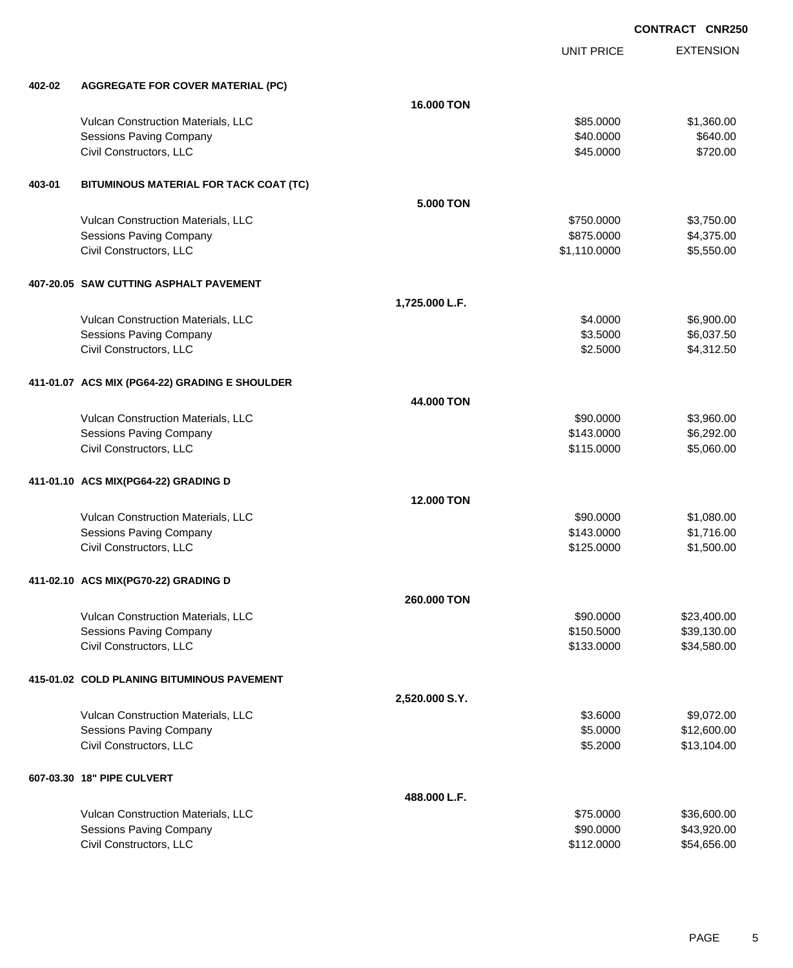|        |                                                |                | UNIT PRICE   | <b>EXTENSION</b> |
|--------|------------------------------------------------|----------------|--------------|------------------|
| 402-02 | <b>AGGREGATE FOR COVER MATERIAL (PC)</b>       |                |              |                  |
|        |                                                | 16.000 TON     |              |                  |
|        |                                                |                |              |                  |
|        | Vulcan Construction Materials, LLC             |                | \$85.0000    | \$1,360.00       |
|        | Sessions Paving Company                        |                | \$40.0000    | \$640.00         |
|        | Civil Constructors, LLC                        |                | \$45.0000    | \$720.00         |
| 403-01 | BITUMINOUS MATERIAL FOR TACK COAT (TC)         |                |              |                  |
|        |                                                | 5.000 TON      |              |                  |
|        | Vulcan Construction Materials, LLC             |                | \$750.0000   | \$3,750.00       |
|        | <b>Sessions Paving Company</b>                 |                | \$875.0000   | \$4,375.00       |
|        | Civil Constructors, LLC                        |                | \$1,110.0000 | \$5,550.00       |
|        | 407-20.05 SAW CUTTING ASPHALT PAVEMENT         |                |              |                  |
|        |                                                | 1,725.000 L.F. |              |                  |
|        |                                                |                | \$4.0000     | \$6,900.00       |
|        | Vulcan Construction Materials, LLC             |                | \$3.5000     |                  |
|        | <b>Sessions Paving Company</b>                 |                |              | \$6,037.50       |
|        | Civil Constructors, LLC                        |                | \$2.5000     | \$4,312.50       |
|        | 411-01.07 ACS MIX (PG64-22) GRADING E SHOULDER |                |              |                  |
|        |                                                | 44.000 TON     |              |                  |
|        | Vulcan Construction Materials, LLC             |                | \$90.0000    | \$3,960.00       |
|        | <b>Sessions Paving Company</b>                 |                | \$143.0000   | \$6,292.00       |
|        | Civil Constructors, LLC                        |                | \$115.0000   | \$5,060.00       |
|        |                                                |                |              |                  |
|        | 411-01.10 ACS MIX(PG64-22) GRADING D           | 12.000 TON     |              |                  |
|        |                                                |                |              |                  |
|        | Vulcan Construction Materials, LLC             |                | \$90.0000    | \$1,080.00       |
|        | Sessions Paving Company                        |                | \$143.0000   | \$1,716.00       |
|        | Civil Constructors, LLC                        |                | \$125.0000   | \$1,500.00       |
|        | 411-02.10 ACS MIX(PG70-22) GRADING D           |                |              |                  |
|        |                                                | 260.000 TON    |              |                  |
|        | Vulcan Construction Materials, LLC             |                | \$90.0000    | \$23,400.00      |
|        | <b>Sessions Paving Company</b>                 |                | \$150.5000   | \$39,130.00      |
|        | Civil Constructors, LLC                        |                | \$133.0000   | \$34,580.00      |
|        |                                                |                |              |                  |
|        | 415-01.02 COLD PLANING BITUMINOUS PAVEMENT     |                |              |                  |
|        |                                                | 2,520.000 S.Y. |              |                  |
|        | Vulcan Construction Materials, LLC             |                | \$3.6000     | \$9,072.00       |
|        | Sessions Paving Company                        |                | \$5.0000     | \$12,600.00      |
|        | Civil Constructors, LLC                        |                | \$5.2000     | \$13,104.00      |
|        |                                                |                |              |                  |
|        | 607-03.30 18" PIPE CULVERT                     |                |              |                  |
|        |                                                | 488.000 L.F.   |              |                  |
|        | Vulcan Construction Materials, LLC             |                | \$75.0000    | \$36,600.00      |
|        | <b>Sessions Paving Company</b>                 |                | \$90.0000    | \$43,920.00      |
|        | Civil Constructors, LLC                        |                | \$112.0000   | \$54,656.00      |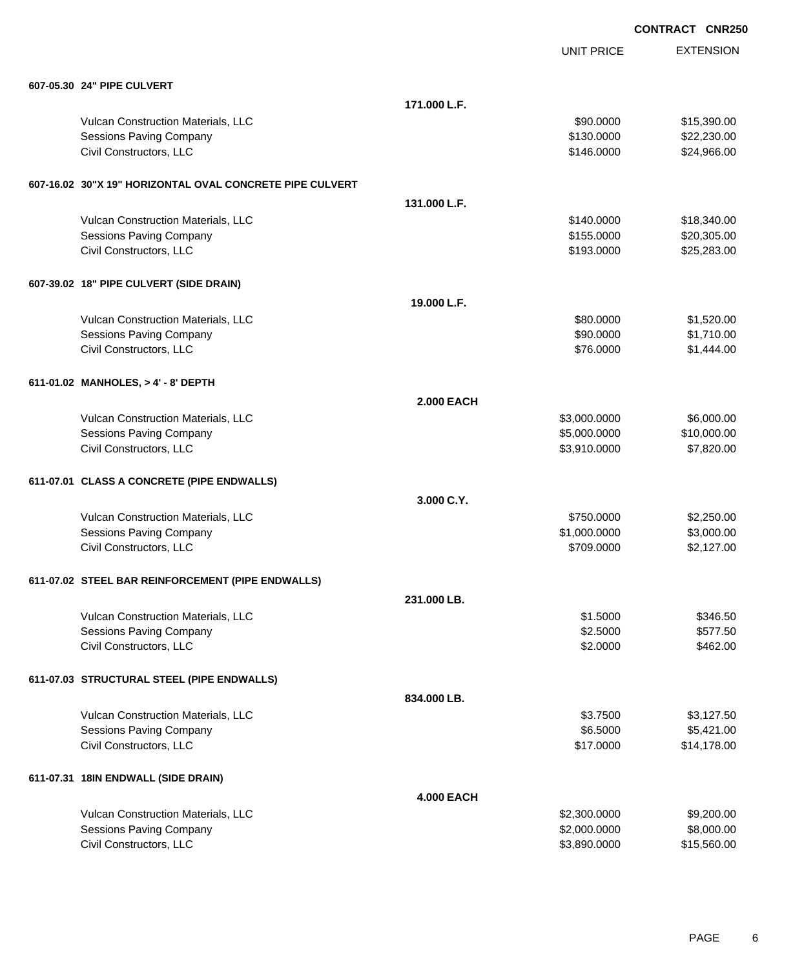|                                                          |                   | <b>UNIT PRICE</b> | <b>EXTENSION</b> |
|----------------------------------------------------------|-------------------|-------------------|------------------|
| 607-05.30 24" PIPE CULVERT                               |                   |                   |                  |
|                                                          | 171.000 L.F.      |                   |                  |
| Vulcan Construction Materials, LLC                       |                   | \$90.0000         | \$15,390.00      |
| <b>Sessions Paving Company</b>                           |                   | \$130.0000        | \$22,230.00      |
| Civil Constructors, LLC                                  |                   | \$146.0000        | \$24,966.00      |
| 607-16.02 30"X 19" HORIZONTAL OVAL CONCRETE PIPE CULVERT |                   |                   |                  |
|                                                          | 131.000 L.F.      |                   |                  |
| Vulcan Construction Materials, LLC                       |                   | \$140.0000        | \$18,340.00      |
| <b>Sessions Paving Company</b>                           |                   | \$155.0000        | \$20,305.00      |
| Civil Constructors, LLC                                  |                   | \$193.0000        | \$25,283.00      |
| 607-39.02 18" PIPE CULVERT (SIDE DRAIN)                  |                   |                   |                  |
|                                                          | 19.000 L.F.       |                   |                  |
| Vulcan Construction Materials, LLC                       |                   | \$80.0000         | \$1,520.00       |
| <b>Sessions Paving Company</b>                           |                   | \$90.0000         | \$1,710.00       |
| Civil Constructors, LLC                                  |                   | \$76.0000         | \$1,444.00       |
| 611-01.02 MANHOLES, > 4' - 8' DEPTH                      |                   |                   |                  |
|                                                          | <b>2.000 EACH</b> |                   |                  |
| Vulcan Construction Materials, LLC                       |                   | \$3,000.0000      | \$6,000.00       |
| <b>Sessions Paving Company</b>                           |                   | \$5,000.0000      | \$10,000.00      |
| Civil Constructors, LLC                                  |                   | \$3,910.0000      | \$7,820.00       |
| 611-07.01 CLASS A CONCRETE (PIPE ENDWALLS)               |                   |                   |                  |
|                                                          | 3.000 C.Y.        |                   |                  |
| Vulcan Construction Materials, LLC                       |                   | \$750.0000        | \$2,250.00       |
| <b>Sessions Paving Company</b>                           |                   | \$1,000.0000      | \$3,000.00       |
| Civil Constructors, LLC                                  |                   | \$709.0000        | \$2,127.00       |
| 611-07.02 STEEL BAR REINFORCEMENT (PIPE ENDWALLS)        |                   |                   |                  |
|                                                          | 231.000 LB.       |                   |                  |
| Vulcan Construction Materials, LLC                       |                   | \$1.5000          | \$346.50         |
| <b>Sessions Paving Company</b>                           |                   | \$2.5000          | \$577.50         |
| Civil Constructors, LLC                                  |                   | \$2.0000          | \$462.00         |
| 611-07.03 STRUCTURAL STEEL (PIPE ENDWALLS)               |                   |                   |                  |
|                                                          | 834.000 LB.       |                   |                  |
| Vulcan Construction Materials, LLC                       |                   | \$3.7500          | \$3,127.50       |
| <b>Sessions Paving Company</b>                           |                   | \$6.5000          | \$5,421.00       |
| Civil Constructors, LLC                                  |                   | \$17.0000         | \$14,178.00      |
| 611-07.31 18IN ENDWALL (SIDE DRAIN)                      |                   |                   |                  |
|                                                          | <b>4.000 EACH</b> |                   |                  |
| Vulcan Construction Materials, LLC                       |                   | \$2,300.0000      | \$9,200.00       |
| <b>Sessions Paving Company</b>                           |                   | \$2,000.0000      | \$8,000.00       |
| Civil Constructors, LLC                                  |                   | \$3,890.0000      | \$15,560.00      |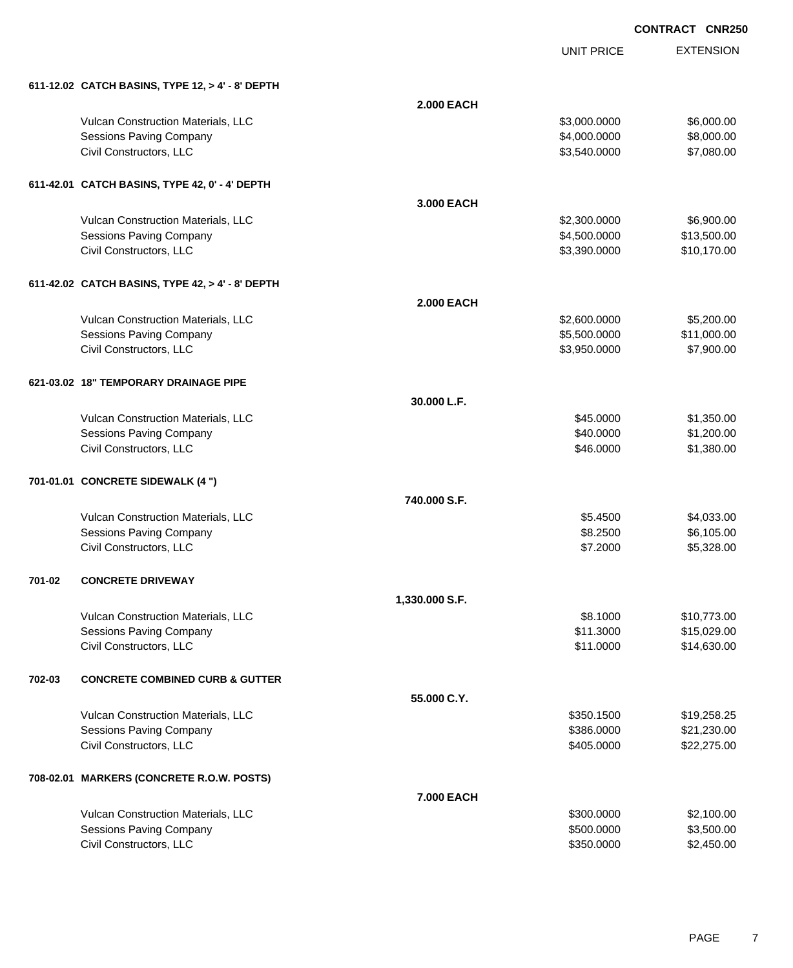EXTENSION

|        |                                                  |                   | UNIT PRICE   | <b>EXTENSION</b> |
|--------|--------------------------------------------------|-------------------|--------------|------------------|
|        | 611-12.02 CATCH BASINS, TYPE 12, > 4' - 8' DEPTH |                   |              |                  |
|        |                                                  | <b>2.000 EACH</b> |              |                  |
|        | Vulcan Construction Materials, LLC               |                   | \$3,000.0000 | \$6,000.00       |
|        | <b>Sessions Paving Company</b>                   |                   | \$4,000.0000 | \$8,000.00       |
|        | Civil Constructors, LLC                          |                   | \$3,540.0000 | \$7,080.00       |
|        | 611-42.01 CATCH BASINS, TYPE 42, 0' - 4' DEPTH   |                   |              |                  |
|        |                                                  | 3.000 EACH        |              |                  |
|        | Vulcan Construction Materials, LLC               |                   | \$2,300.0000 | \$6,900.00       |
|        | <b>Sessions Paving Company</b>                   |                   | \$4,500.0000 | \$13,500.00      |
|        | Civil Constructors, LLC                          |                   | \$3,390.0000 | \$10,170.00      |
|        | 611-42.02 CATCH BASINS, TYPE 42, > 4' - 8' DEPTH |                   |              |                  |
|        |                                                  | <b>2.000 EACH</b> |              |                  |
|        | Vulcan Construction Materials, LLC               |                   | \$2,600.0000 | \$5,200.00       |
|        | Sessions Paving Company                          |                   | \$5,500.0000 | \$11,000.00      |
|        | Civil Constructors, LLC                          |                   | \$3,950.0000 | \$7,900.00       |
|        | 621-03.02 18" TEMPORARY DRAINAGE PIPE            |                   |              |                  |
|        |                                                  | 30.000 L.F.       |              |                  |
|        | Vulcan Construction Materials, LLC               |                   | \$45.0000    | \$1,350.00       |
|        | <b>Sessions Paving Company</b>                   |                   | \$40.0000    | \$1,200.00       |
|        | Civil Constructors, LLC                          |                   | \$46.0000    | \$1,380.00       |
|        | 701-01.01 CONCRETE SIDEWALK (4 ")                |                   |              |                  |
|        |                                                  | 740,000 S.F.      |              |                  |
|        | Vulcan Construction Materials, LLC               |                   | \$5.4500     | \$4,033.00       |
|        | <b>Sessions Paving Company</b>                   |                   | \$8.2500     | \$6,105.00       |
|        | Civil Constructors, LLC                          |                   | \$7.2000     | \$5,328.00       |
| 701-02 | <b>CONCRETE DRIVEWAY</b>                         |                   |              |                  |
|        |                                                  | 1,330.000 S.F.    |              |                  |
|        | Vulcan Construction Materials, LLC               |                   | \$8.1000     | \$10,773.00      |
|        | Sessions Paving Company                          |                   | \$11.3000    | \$15,029.00      |
|        | Civil Constructors, LLC                          |                   | \$11.0000    | \$14,630.00      |
| 702-03 | <b>CONCRETE COMBINED CURB &amp; GUTTER</b>       |                   |              |                  |
|        |                                                  | 55.000 C.Y.       |              |                  |
|        | Vulcan Construction Materials, LLC               |                   | \$350.1500   | \$19,258.25      |
|        | Sessions Paving Company                          |                   | \$386.0000   | \$21,230.00      |
|        | Civil Constructors, LLC                          |                   | \$405.0000   | \$22,275.00      |
|        | 708-02.01 MARKERS (CONCRETE R.O.W. POSTS)        |                   |              |                  |
|        |                                                  | 7.000 EACH        |              |                  |

| <b>Vulcan Construction Materials, LLC</b> | \$300.0000 | \$2,100.00 |
|-------------------------------------------|------------|------------|
| Sessions Paving Company                   | \$500,0000 | \$3,500.00 |
| Civil Constructors. LLC                   | \$350,0000 | \$2,450.00 |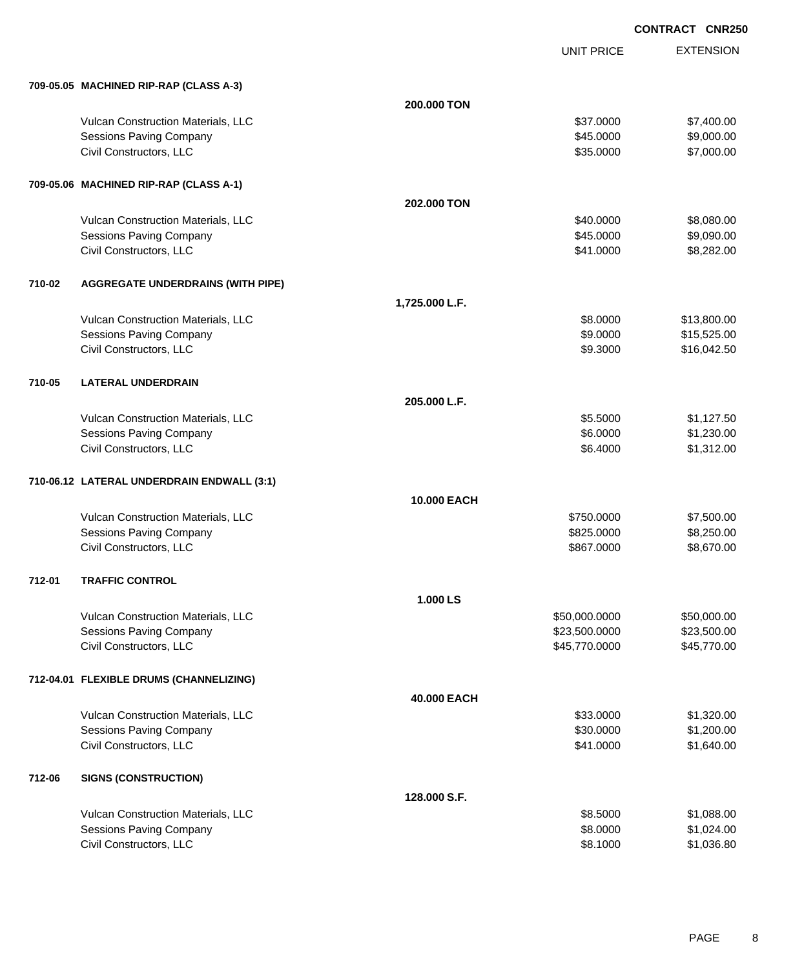|        |                                            |                | <b>UNIT PRICE</b> | <b>EXTENSION</b> |
|--------|--------------------------------------------|----------------|-------------------|------------------|
|        | 709-05.05 MACHINED RIP-RAP (CLASS A-3)     |                |                   |                  |
|        |                                            | 200,000 TON    |                   |                  |
|        | Vulcan Construction Materials, LLC         |                | \$37.0000         | \$7,400.00       |
|        | <b>Sessions Paving Company</b>             |                | \$45.0000         | \$9,000.00       |
|        | Civil Constructors, LLC                    |                | \$35.0000         | \$7,000.00       |
|        | 709-05.06 MACHINED RIP-RAP (CLASS A-1)     |                |                   |                  |
|        |                                            | 202.000 TON    |                   |                  |
|        | Vulcan Construction Materials, LLC         |                | \$40.0000         | \$8,080.00       |
|        | <b>Sessions Paving Company</b>             |                | \$45.0000         | \$9,090.00       |
|        | Civil Constructors, LLC                    |                | \$41.0000         | \$8,282.00       |
| 710-02 | <b>AGGREGATE UNDERDRAINS (WITH PIPE)</b>   |                |                   |                  |
|        |                                            | 1,725.000 L.F. |                   |                  |
|        | Vulcan Construction Materials, LLC         |                | \$8.0000          | \$13,800.00      |
|        | Sessions Paving Company                    |                | \$9.0000          | \$15,525.00      |
|        | Civil Constructors, LLC                    |                | \$9.3000          | \$16,042.50      |
| 710-05 | <b>LATERAL UNDERDRAIN</b>                  |                |                   |                  |
|        |                                            | 205.000 L.F.   |                   |                  |
|        | Vulcan Construction Materials, LLC         |                | \$5.5000          | \$1,127.50       |
|        | Sessions Paving Company                    |                | \$6.0000          | \$1,230.00       |
|        | Civil Constructors, LLC                    |                | \$6.4000          | \$1,312.00       |
|        | 710-06.12 LATERAL UNDERDRAIN ENDWALL (3:1) |                |                   |                  |
|        |                                            | 10.000 EACH    |                   |                  |
|        | Vulcan Construction Materials, LLC         |                | \$750.0000        | \$7,500.00       |
|        | <b>Sessions Paving Company</b>             |                | \$825.0000        | \$8,250.00       |
|        | Civil Constructors, LLC                    |                | \$867.0000        | \$8,670.00       |
| 712-01 | <b>TRAFFIC CONTROL</b>                     |                |                   |                  |
|        |                                            | 1.000 LS       |                   |                  |
|        | Vulcan Construction Materials, LLC         |                | \$50,000.0000     | \$50,000.00      |
|        | <b>Sessions Paving Company</b>             |                | \$23,500.0000     | \$23,500.00      |
|        | Civil Constructors, LLC                    |                | \$45,770.0000     | \$45,770.00      |
|        | 712-04.01 FLEXIBLE DRUMS (CHANNELIZING)    |                |                   |                  |
|        |                                            | 40.000 EACH    |                   |                  |
|        | Vulcan Construction Materials, LLC         |                | \$33.0000         | \$1,320.00       |
|        | <b>Sessions Paving Company</b>             |                | \$30.0000         | \$1,200.00       |
|        | Civil Constructors, LLC                    |                | \$41.0000         | \$1,640.00       |
| 712-06 | <b>SIGNS (CONSTRUCTION)</b>                |                |                   |                  |
|        |                                            | 128.000 S.F.   |                   |                  |
|        | Vulcan Construction Materials, LLC         |                | \$8.5000          | \$1,088.00       |
|        | <b>Sessions Paving Company</b>             |                | \$8.0000          | \$1,024.00       |
|        | Civil Constructors, LLC                    |                | \$8.1000          | \$1,036.80       |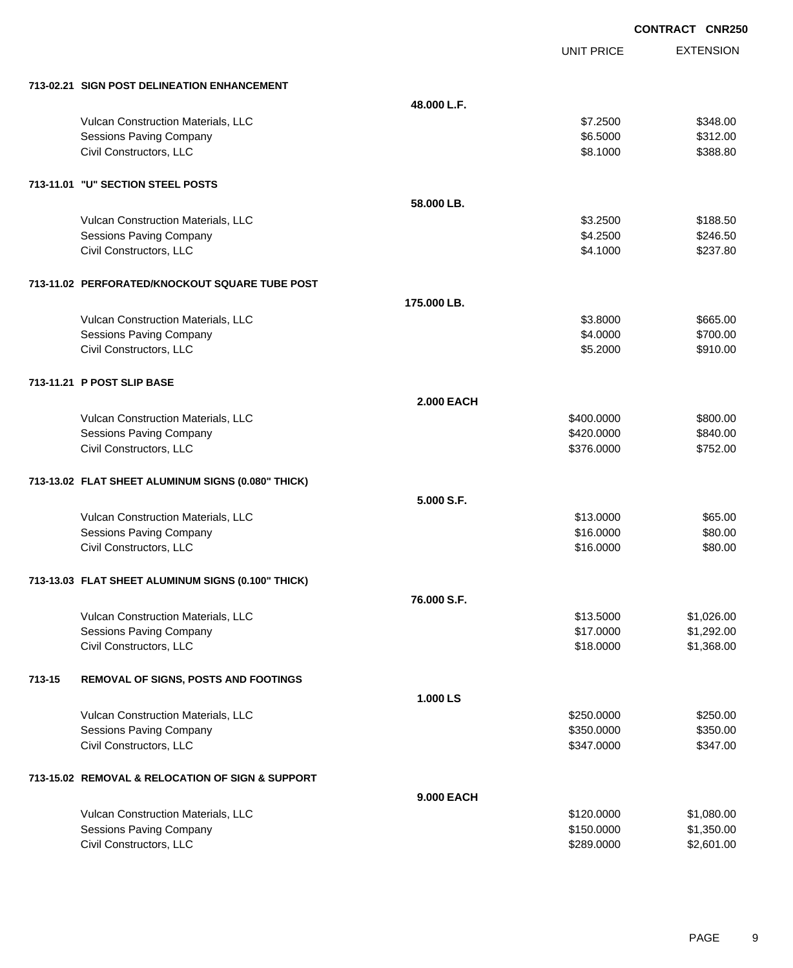|        |                                                    |                   |                   | <b>CONTRACT CNR250</b> |
|--------|----------------------------------------------------|-------------------|-------------------|------------------------|
|        |                                                    |                   | <b>UNIT PRICE</b> | <b>EXTENSION</b>       |
|        | 713-02.21 SIGN POST DELINEATION ENHANCEMENT        |                   |                   |                        |
|        |                                                    | 48.000 L.F.       |                   |                        |
|        | Vulcan Construction Materials, LLC                 |                   | \$7.2500          | \$348.00               |
|        | Sessions Paving Company                            |                   | \$6.5000          | \$312.00               |
|        | Civil Constructors, LLC                            |                   | \$8.1000          | \$388.80               |
|        | 713-11.01 "U" SECTION STEEL POSTS                  |                   |                   |                        |
|        |                                                    | 58,000 LB.        |                   |                        |
|        | Vulcan Construction Materials, LLC                 |                   | \$3.2500          | \$188.50               |
|        | Sessions Paving Company                            |                   | \$4.2500          | \$246.50               |
|        | Civil Constructors, LLC                            |                   | \$4.1000          | \$237.80               |
|        | 713-11.02 PERFORATED/KNOCKOUT SQUARE TUBE POST     |                   |                   |                        |
|        |                                                    | 175.000 LB.       |                   |                        |
|        | Vulcan Construction Materials, LLC                 |                   | \$3.8000          | \$665.00               |
|        | <b>Sessions Paving Company</b>                     |                   | \$4.0000          | \$700.00               |
|        | Civil Constructors, LLC                            |                   | \$5.2000          | \$910.00               |
|        | 713-11.21 P POST SLIP BASE                         |                   |                   |                        |
|        |                                                    | <b>2.000 EACH</b> |                   |                        |
|        | Vulcan Construction Materials, LLC                 |                   | \$400.0000        | \$800.00               |
|        | Sessions Paving Company                            |                   | \$420.0000        | \$840.00               |
|        | Civil Constructors, LLC                            |                   | \$376.0000        | \$752.00               |
|        | 713-13.02 FLAT SHEET ALUMINUM SIGNS (0.080" THICK) |                   |                   |                        |
|        |                                                    | 5.000 S.F.        |                   |                        |
|        | Vulcan Construction Materials, LLC                 |                   | \$13.0000         | \$65.00                |
|        | <b>Sessions Paving Company</b>                     |                   | \$16.0000         | \$80.00                |
|        | Civil Constructors, LLC                            |                   | \$16.0000         | \$80.00                |
|        | 713-13.03 FLAT SHEET ALUMINUM SIGNS (0.100" THICK) |                   |                   |                        |
|        |                                                    | 76,000 S.F.       |                   |                        |
|        | Vulcan Construction Materials, LLC                 |                   | \$13.5000         | \$1,026.00             |
|        | <b>Sessions Paving Company</b>                     |                   | \$17.0000         | \$1,292.00             |
|        | Civil Constructors, LLC                            |                   | \$18.0000         | \$1,368.00             |
| 713-15 | <b>REMOVAL OF SIGNS, POSTS AND FOOTINGS</b>        |                   |                   |                        |
|        |                                                    | 1.000 LS          |                   |                        |
|        | Vulcan Construction Materials, LLC                 |                   | \$250.0000        | \$250.00               |
|        | Sessions Paving Company                            |                   | \$350.0000        | \$350.00               |
|        | Civil Constructors, LLC                            |                   | \$347.0000        | \$347.00               |
|        | 713-15.02 REMOVAL & RELOCATION OF SIGN & SUPPORT   |                   |                   |                        |
|        |                                                    | 9.000 EACH        |                   |                        |
|        | Vulcan Construction Materials, LLC                 |                   | \$120.0000        | \$1,080.00             |
|        | Sessions Paving Company                            |                   | \$150.0000        | \$1,350.00             |
|        | Civil Constructors, LLC                            |                   | \$289.0000        | \$2,601.00             |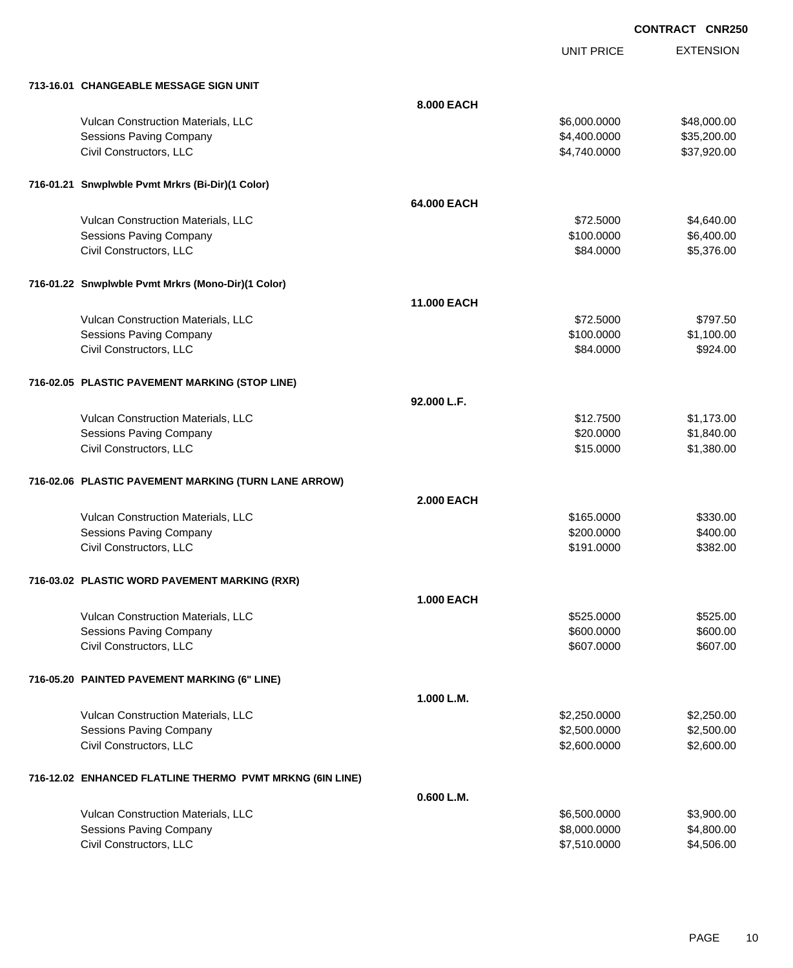UNIT PRICE

EXTENSION

| 713-16.01 CHANGEABLE MESSAGE SIGN UNIT                   |                    |              |             |
|----------------------------------------------------------|--------------------|--------------|-------------|
|                                                          | 8.000 EACH         |              |             |
| Vulcan Construction Materials, LLC                       |                    | \$6,000.0000 | \$48,000.00 |
| <b>Sessions Paving Company</b>                           |                    | \$4,400.0000 | \$35,200.00 |
| Civil Constructors, LLC                                  |                    | \$4,740.0000 | \$37,920.00 |
|                                                          |                    |              |             |
| 716-01.21 Snwplwble Pvmt Mrkrs (Bi-Dir)(1 Color)         |                    |              |             |
|                                                          | 64.000 EACH        |              |             |
| Vulcan Construction Materials, LLC                       |                    | \$72.5000    | \$4,640.00  |
| <b>Sessions Paving Company</b>                           |                    | \$100.0000   | \$6,400.00  |
| Civil Constructors, LLC                                  |                    | \$84.0000    | \$5,376.00  |
| 716-01.22 Snwplwble Pvmt Mrkrs (Mono-Dir)(1 Color)       |                    |              |             |
|                                                          | <b>11.000 EACH</b> |              |             |
| Vulcan Construction Materials, LLC                       |                    | \$72.5000    | \$797.50    |
| <b>Sessions Paving Company</b>                           |                    | \$100.0000   | \$1,100.00  |
| Civil Constructors, LLC                                  |                    | \$84.0000    | \$924.00    |
| 716-02.05 PLASTIC PAVEMENT MARKING (STOP LINE)           |                    |              |             |
|                                                          | 92.000 L.F.        |              |             |
| Vulcan Construction Materials, LLC                       |                    | \$12.7500    | \$1,173.00  |
| <b>Sessions Paving Company</b>                           |                    | \$20.0000    | \$1,840.00  |
| Civil Constructors, LLC                                  |                    | \$15.0000    | \$1,380.00  |
|                                                          |                    |              |             |
| 716-02.06 PLASTIC PAVEMENT MARKING (TURN LANE ARROW)     |                    |              |             |
|                                                          | <b>2.000 EACH</b>  |              |             |
| Vulcan Construction Materials, LLC                       |                    | \$165.0000   | \$330.00    |
| <b>Sessions Paving Company</b>                           |                    | \$200.0000   | \$400.00    |
| Civil Constructors, LLC                                  |                    | \$191.0000   | \$382.00    |
| 716-03.02 PLASTIC WORD PAVEMENT MARKING (RXR)            |                    |              |             |
|                                                          | <b>1.000 EACH</b>  |              |             |
| Vulcan Construction Materials, LLC                       |                    | \$525.0000   | \$525.00    |
| Sessions Paving Company                                  |                    | \$600.0000   | \$600.00    |
| Civil Constructors, LLC                                  |                    | \$607.0000   | \$607.00    |
| 716-05.20 PAINTED PAVEMENT MARKING (6" LINE)             |                    |              |             |
|                                                          | 1.000 L.M.         |              |             |
| Vulcan Construction Materials, LLC                       |                    | \$2,250.0000 | \$2,250.00  |
| <b>Sessions Paving Company</b>                           |                    | \$2,500.0000 | \$2,500.00  |
| Civil Constructors, LLC                                  |                    | \$2,600.0000 | \$2,600.00  |
| 716-12.02 ENHANCED FLATLINE THERMO PVMT MRKNG (6IN LINE) |                    |              |             |
|                                                          | 0.600 L.M.         |              |             |
| Vulcan Construction Materials, LLC                       |                    | \$6,500.0000 | \$3,900.00  |
| <b>Sessions Paving Company</b>                           |                    | \$8,000.0000 | \$4,800.00  |
| Civil Constructors, LLC                                  |                    | \$7,510.0000 | \$4,506.00  |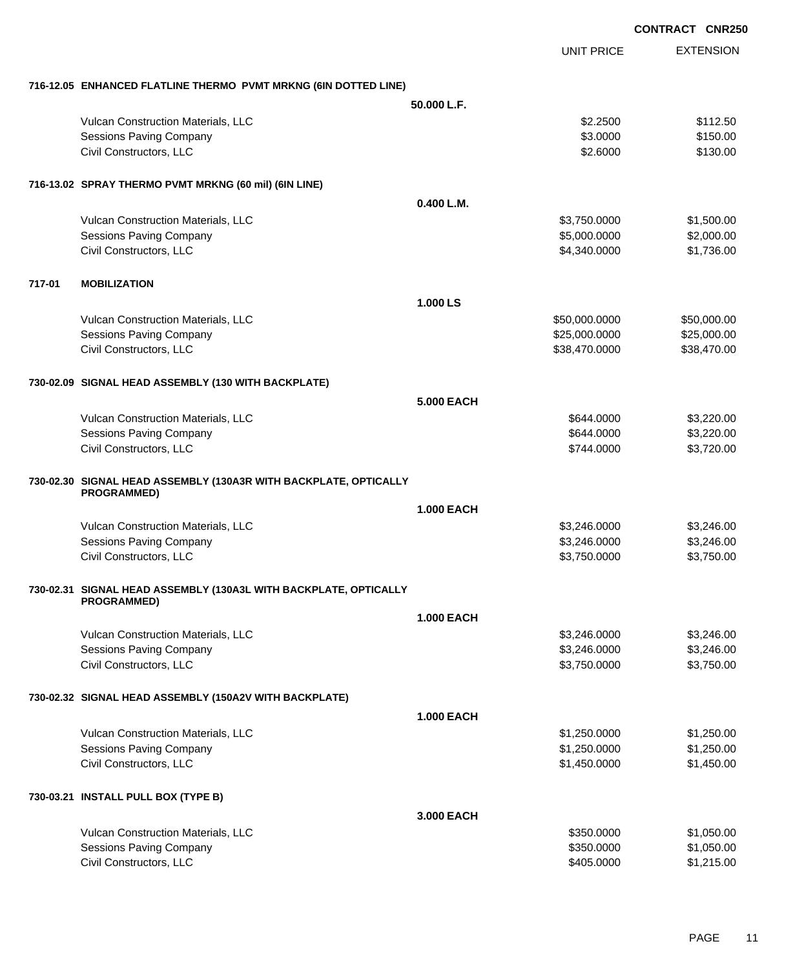|                                                                                        |                   |                   | <b>CONTRACT CNR250</b> |
|----------------------------------------------------------------------------------------|-------------------|-------------------|------------------------|
|                                                                                        |                   | <b>UNIT PRICE</b> | <b>EXTENSION</b>       |
| 716-12.05 ENHANCED FLATLINE THERMO PVMT MRKNG (6IN DOTTED LINE)                        |                   |                   |                        |
|                                                                                        | 50.000 L.F.       |                   |                        |
| Vulcan Construction Materials, LLC                                                     |                   | \$2.2500          | \$112.50               |
| Sessions Paving Company                                                                |                   | \$3.0000          | \$150.00               |
| Civil Constructors, LLC                                                                |                   | \$2.6000          | \$130.00               |
| 716-13.02 SPRAY THERMO PVMT MRKNG (60 mil) (6IN LINE)                                  |                   |                   |                        |
|                                                                                        | 0.400 L.M.        |                   |                        |
| Vulcan Construction Materials, LLC                                                     |                   | \$3,750.0000      | \$1,500.00             |
| Sessions Paving Company                                                                |                   | \$5,000.0000      | \$2,000.00             |
| Civil Constructors, LLC                                                                |                   | \$4,340.0000      | \$1,736.00             |
| 717-01<br><b>MOBILIZATION</b>                                                          |                   |                   |                        |
|                                                                                        | 1.000 LS          |                   |                        |
| Vulcan Construction Materials, LLC                                                     |                   | \$50,000.0000     | \$50,000.00            |
| Sessions Paving Company                                                                |                   | \$25,000.0000     | \$25,000.00            |
| Civil Constructors, LLC                                                                |                   | \$38,470.0000     | \$38,470.00            |
| 730-02.09 SIGNAL HEAD ASSEMBLY (130 WITH BACKPLATE)                                    |                   |                   |                        |
|                                                                                        | <b>5.000 EACH</b> |                   |                        |
| Vulcan Construction Materials, LLC                                                     |                   | \$644.0000        | \$3,220.00             |
| <b>Sessions Paving Company</b>                                                         |                   | \$644.0000        | \$3,220.00             |
| Civil Constructors, LLC                                                                |                   | \$744.0000        | \$3,720.00             |
| 730-02.30 SIGNAL HEAD ASSEMBLY (130A3R WITH BACKPLATE, OPTICALLY<br><b>PROGRAMMED)</b> |                   |                   |                        |
|                                                                                        | <b>1.000 EACH</b> |                   |                        |
| Vulcan Construction Materials, LLC                                                     |                   | \$3,246.0000      | \$3,246.00             |
| Sessions Paving Company                                                                |                   | \$3,246.0000      | \$3,246.00             |
| Civil Constructors, LLC                                                                |                   | \$3,750.0000      | \$3,750.00             |
|                                                                                        |                   |                   |                        |
| 730-02.31 SIGNAL HEAD ASSEMBLY (130A3L WITH BACKPLATE, OPTICALLY<br><b>PROGRAMMED)</b> |                   |                   |                        |
|                                                                                        | <b>1.000 EACH</b> |                   |                        |
| Vulcan Construction Materials, LLC                                                     |                   | \$3,246.0000      | \$3,246.00             |
| Sessions Paving Company                                                                |                   | \$3,246.0000      | \$3,246.00             |
| Civil Constructors, LLC                                                                |                   | \$3,750.0000      | \$3,750.00             |
| 730-02.32 SIGNAL HEAD ASSEMBLY (150A2V WITH BACKPLATE)                                 |                   |                   |                        |
|                                                                                        | <b>1.000 EACH</b> |                   |                        |
| Vulcan Construction Materials, LLC                                                     |                   | \$1,250.0000      | \$1,250.00             |
| <b>Sessions Paving Company</b>                                                         |                   | \$1,250.0000      | \$1,250.00             |
| Civil Constructors, LLC                                                                |                   | \$1,450.0000      | \$1,450.00             |
| 730-03.21 INSTALL PULL BOX (TYPE B)                                                    |                   |                   |                        |
|                                                                                        | 3.000 EACH        |                   |                        |
| Vulcan Construction Materials, LLC                                                     |                   | \$350.0000        | \$1,050.00             |
| Sessions Paving Company                                                                |                   | \$350.0000        | \$1,050.00             |
| Civil Constructors, LLC                                                                |                   | \$405.0000        | \$1,215.00             |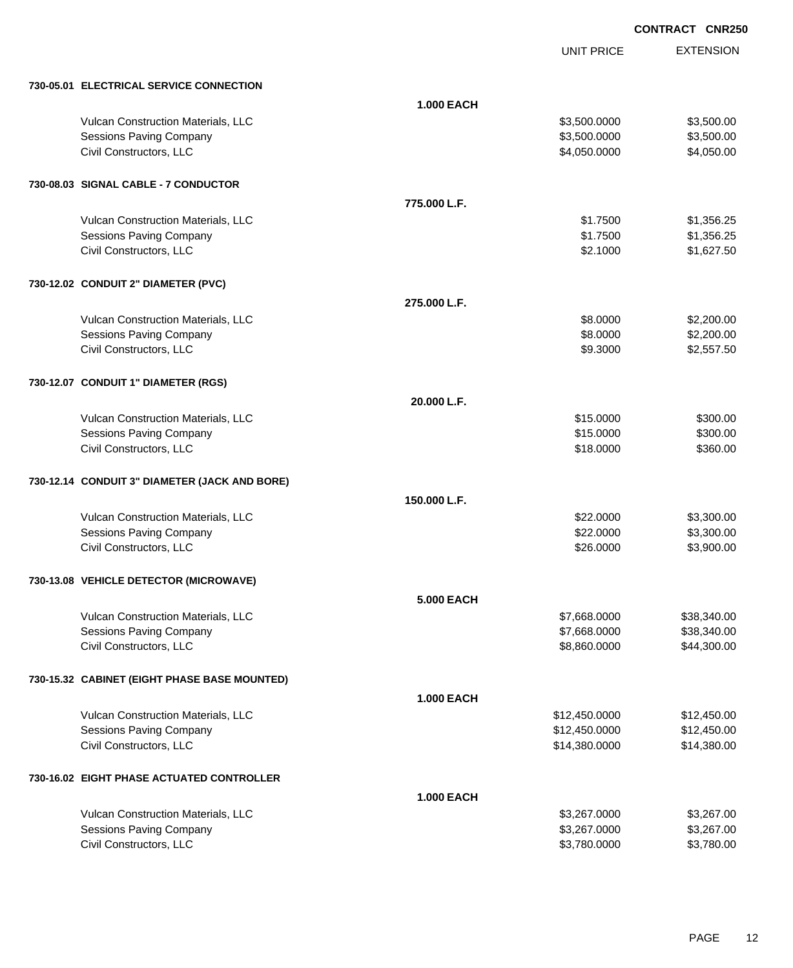UNIT PRICE EXTENSION

|  | 730-05.01 ELECTRICAL SERVICE CONNECTION       |                   |               |             |
|--|-----------------------------------------------|-------------------|---------------|-------------|
|  |                                               | <b>1.000 EACH</b> |               |             |
|  | Vulcan Construction Materials, LLC            |                   | \$3,500.0000  | \$3,500.00  |
|  | <b>Sessions Paving Company</b>                |                   | \$3,500.0000  | \$3,500.00  |
|  | Civil Constructors, LLC                       |                   | \$4,050.0000  | \$4,050.00  |
|  | 730-08.03 SIGNAL CABLE - 7 CONDUCTOR          |                   |               |             |
|  |                                               | 775,000 L.F.      |               |             |
|  | Vulcan Construction Materials, LLC            |                   | \$1.7500      | \$1,356.25  |
|  | <b>Sessions Paving Company</b>                |                   | \$1.7500      | \$1,356.25  |
|  | Civil Constructors, LLC                       |                   | \$2.1000      | \$1,627.50  |
|  | 730-12.02 CONDUIT 2" DIAMETER (PVC)           |                   |               |             |
|  |                                               | 275,000 L.F.      |               |             |
|  | Vulcan Construction Materials, LLC            |                   | \$8.0000      | \$2,200.00  |
|  | <b>Sessions Paving Company</b>                |                   | \$8.0000      | \$2,200.00  |
|  | Civil Constructors, LLC                       |                   | \$9.3000      | \$2,557.50  |
|  | 730-12.07 CONDUIT 1" DIAMETER (RGS)           |                   |               |             |
|  |                                               | 20.000 L.F.       |               |             |
|  | Vulcan Construction Materials, LLC            |                   | \$15.0000     | \$300.00    |
|  | <b>Sessions Paving Company</b>                |                   | \$15.0000     | \$300.00    |
|  | Civil Constructors, LLC                       |                   | \$18.0000     | \$360.00    |
|  | 730-12.14 CONDUIT 3" DIAMETER (JACK AND BORE) |                   |               |             |
|  |                                               | 150.000 L.F.      |               |             |
|  | Vulcan Construction Materials, LLC            |                   | \$22.0000     | \$3,300.00  |
|  | <b>Sessions Paving Company</b>                |                   | \$22.0000     | \$3,300.00  |
|  | Civil Constructors, LLC                       |                   | \$26.0000     | \$3,900.00  |
|  | 730-13.08 VEHICLE DETECTOR (MICROWAVE)        |                   |               |             |
|  |                                               | <b>5.000 EACH</b> |               |             |
|  | Vulcan Construction Materials, LLC            |                   | \$7,668.0000  | \$38,340.00 |
|  | <b>Sessions Paving Company</b>                |                   | \$7,668.0000  | \$38,340.00 |
|  | Civil Constructors, LLC                       |                   | \$8,860.0000  | \$44,300.00 |
|  | 730-15.32 CABINET (EIGHT PHASE BASE MOUNTED)  |                   |               |             |
|  |                                               | <b>1.000 EACH</b> |               |             |
|  | Vulcan Construction Materials, LLC            |                   | \$12,450.0000 | \$12,450.00 |
|  | <b>Sessions Paving Company</b>                |                   | \$12,450.0000 | \$12,450.00 |
|  | Civil Constructors, LLC                       |                   | \$14,380.0000 | \$14,380.00 |
|  | 730-16.02 EIGHT PHASE ACTUATED CONTROLLER     |                   |               |             |
|  |                                               | <b>1.000 EACH</b> |               |             |
|  | Vulcan Construction Materials, LLC            |                   | \$3,267.0000  | \$3,267.00  |
|  | <b>Sessions Paving Company</b>                |                   | \$3,267.0000  | \$3,267.00  |
|  | Civil Constructors, LLC                       |                   | \$3,780.0000  | \$3,780.00  |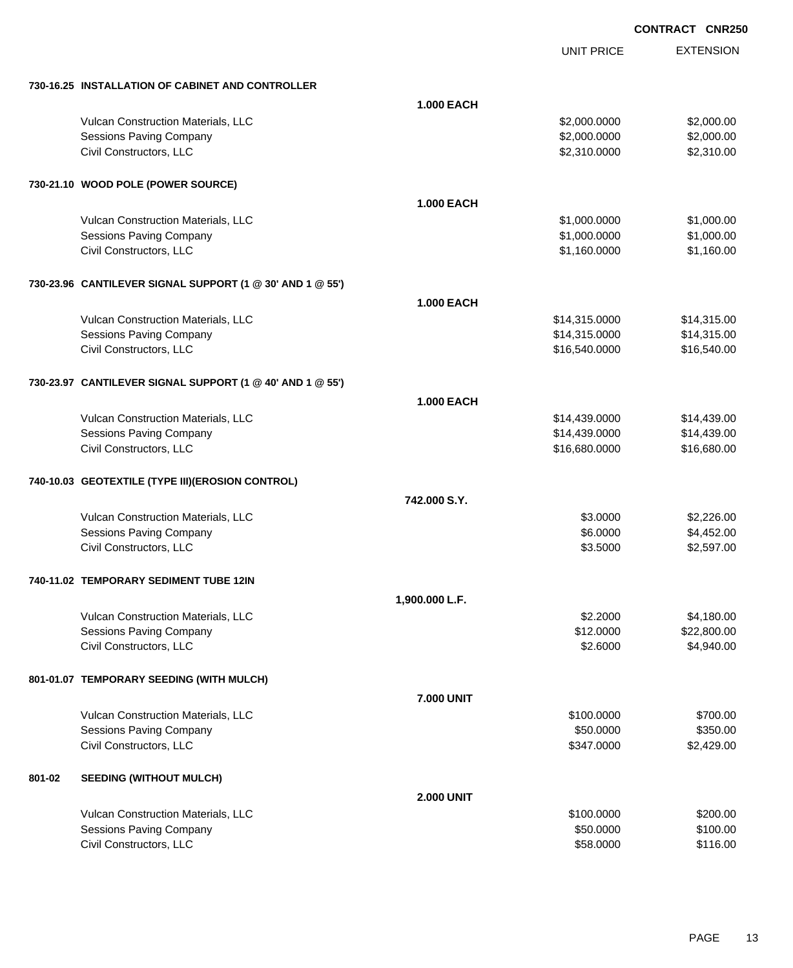EXTENSION **CONTRACT CNR250**

UNIT PRICE

| 730-16.25 INSTALLATION OF CABINET AND CONTROLLER |  |
|--------------------------------------------------|--|
|                                                  |  |

|        | 730-16.25 INSTALLATION OF CABINET AND CONTROLLER              |                   |               |             |
|--------|---------------------------------------------------------------|-------------------|---------------|-------------|
|        |                                                               | <b>1.000 EACH</b> |               |             |
|        | Vulcan Construction Materials, LLC                            |                   | \$2,000.0000  | \$2,000.00  |
|        | <b>Sessions Paving Company</b>                                |                   | \$2,000.0000  | \$2,000.00  |
|        | Civil Constructors, LLC                                       |                   | \$2,310.0000  | \$2,310.00  |
|        |                                                               |                   |               |             |
|        | 730-21.10 WOOD POLE (POWER SOURCE)                            |                   |               |             |
|        |                                                               | <b>1.000 EACH</b> |               |             |
|        | Vulcan Construction Materials, LLC                            |                   | \$1,000.0000  | \$1,000.00  |
|        | Sessions Paving Company                                       |                   | \$1,000.0000  | \$1,000.00  |
|        | Civil Constructors, LLC                                       |                   | \$1,160.0000  | \$1,160.00  |
|        | 730-23.96 CANTILEVER SIGNAL SUPPORT (1 @ 30' AND 1 @ 55')     |                   |               |             |
|        |                                                               | <b>1.000 EACH</b> |               |             |
|        | Vulcan Construction Materials, LLC                            |                   | \$14,315.0000 | \$14,315.00 |
|        | <b>Sessions Paving Company</b>                                |                   | \$14,315.0000 | \$14,315.00 |
|        | Civil Constructors, LLC                                       |                   | \$16,540.0000 | \$16,540.00 |
|        |                                                               |                   |               |             |
|        | 730-23.97 CANTILEVER SIGNAL SUPPORT (1 @ 40' AND 1 @ 55')     |                   |               |             |
|        |                                                               | <b>1.000 EACH</b> |               |             |
|        | Vulcan Construction Materials, LLC                            |                   | \$14,439.0000 | \$14,439.00 |
|        | <b>Sessions Paving Company</b>                                |                   | \$14,439.0000 | \$14,439.00 |
|        | Civil Constructors, LLC                                       |                   | \$16,680.0000 | \$16,680.00 |
|        | 740-10.03 GEOTEXTILE (TYPE III)(EROSION CONTROL)              |                   |               |             |
|        |                                                               | 742.000 S.Y.      |               |             |
|        | Vulcan Construction Materials, LLC                            |                   | \$3.0000      | \$2,226.00  |
|        | <b>Sessions Paving Company</b>                                |                   | \$6.0000      | \$4,452.00  |
|        | Civil Constructors, LLC                                       |                   | \$3.5000      | \$2,597.00  |
|        | 740-11.02 TEMPORARY SEDIMENT TUBE 12IN                        |                   |               |             |
|        |                                                               | 1,900.000 L.F.    |               |             |
|        | Vulcan Construction Materials, LLC                            |                   | \$2.2000      | \$4,180.00  |
|        | <b>Sessions Paving Company</b>                                |                   | \$12.0000     | \$22,800.00 |
|        | Civil Constructors, LLC                                       |                   | \$2.6000      | \$4,940.00  |
|        | 801-01.07 TEMPORARY SEEDING (WITH MULCH)                      |                   |               |             |
|        |                                                               | <b>7.000 UNIT</b> |               |             |
|        | Vulcan Construction Materials, LLC                            |                   | \$100.0000    | \$700.00    |
|        | <b>Sessions Paving Company</b>                                |                   | \$50.0000     | \$350.00    |
|        | Civil Constructors, LLC                                       |                   | \$347.0000    | \$2,429.00  |
| 801-02 | <b>SEEDING (WITHOUT MULCH)</b>                                |                   |               |             |
|        |                                                               |                   |               |             |
|        |                                                               | <b>2.000 UNIT</b> | \$100.0000    | \$200.00    |
|        | Vulcan Construction Materials, LLC<br>Sessions Paving Company |                   | \$50.0000     | \$100.00    |
|        | Civil Constructors, LLC                                       |                   | \$58.0000     | \$116.00    |
|        |                                                               |                   |               |             |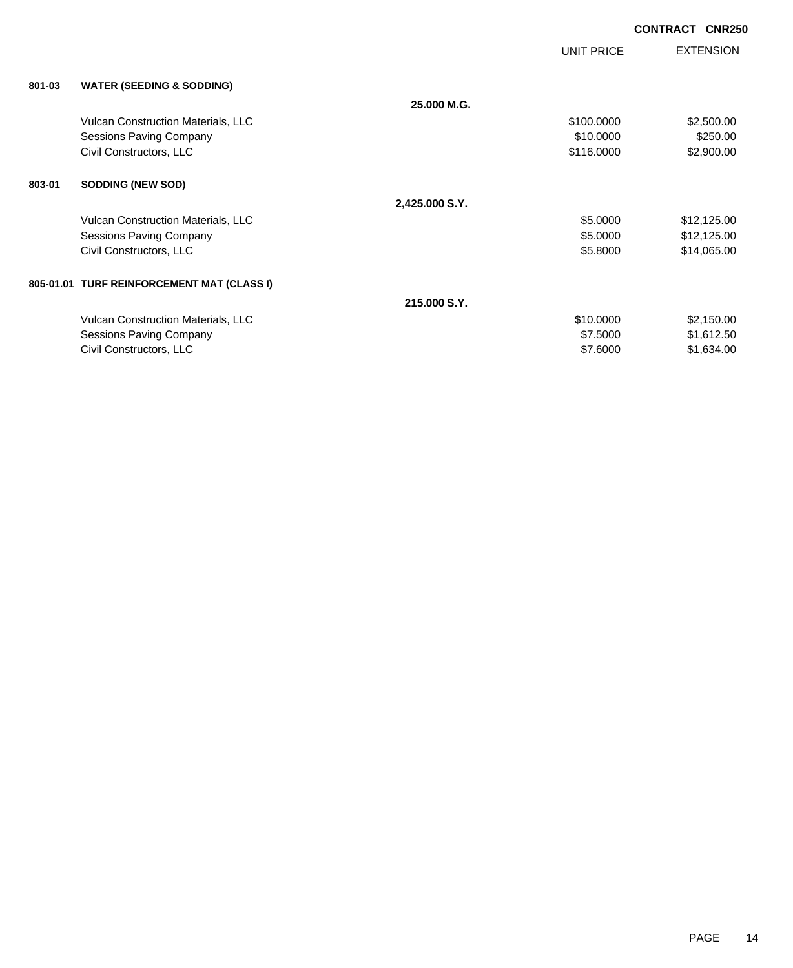|        |                                            |                | UNIT PRICE | <b>EXTENSION</b> |
|--------|--------------------------------------------|----------------|------------|------------------|
| 801-03 | <b>WATER (SEEDING &amp; SODDING)</b>       |                |            |                  |
|        |                                            | 25.000 M.G.    |            |                  |
|        | <b>Vulcan Construction Materials, LLC</b>  |                | \$100.0000 | \$2,500.00       |
|        | <b>Sessions Paving Company</b>             |                | \$10.0000  | \$250.00         |
|        | Civil Constructors, LLC                    |                | \$116.0000 | \$2,900.00       |
| 803-01 | <b>SODDING (NEW SOD)</b>                   |                |            |                  |
|        |                                            | 2,425.000 S.Y. |            |                  |
|        | Vulcan Construction Materials, LLC         |                | \$5.0000   | \$12,125.00      |
|        | Sessions Paving Company                    |                | \$5.0000   | \$12,125.00      |
|        | Civil Constructors, LLC                    |                | \$5.8000   | \$14,065.00      |
|        | 805-01.01 TURF REINFORCEMENT MAT (CLASS I) |                |            |                  |
|        |                                            | 215,000 S.Y.   |            |                  |
|        | <b>Vulcan Construction Materials, LLC</b>  |                | \$10.0000  | \$2,150.00       |
|        | Sessions Paving Company                    |                | \$7.5000   | \$1,612.50       |
|        | Civil Constructors, LLC                    |                | \$7.6000   | \$1,634.00       |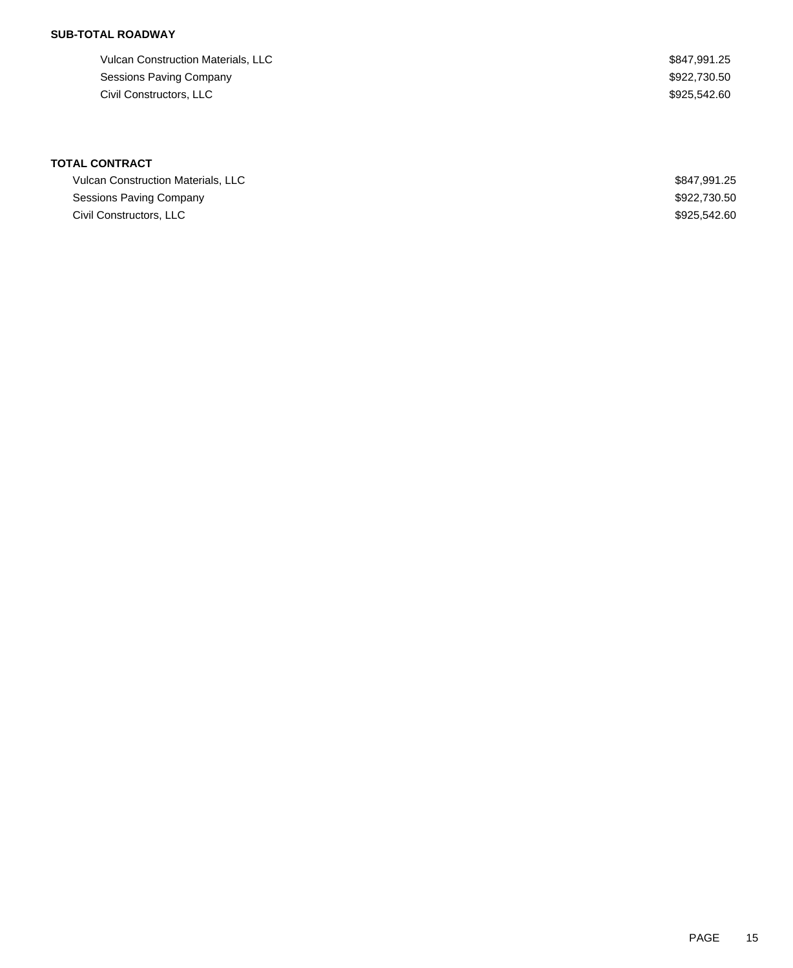## **SUB-TOTAL ROADWAY**

| Vulcan Construction Materials, LLC | \$847.991.25 |
|------------------------------------|--------------|
| Sessions Paving Company            | \$922,730.50 |
| Civil Constructors, LLC            | \$925,542,60 |

# **TOTAL CONTRACT**

| Vulcan Construction Materials, LLC | \$847.991.25 |
|------------------------------------|--------------|
| Sessions Paving Company            | \$922,730,50 |
| Civil Constructors, LLC            | \$925.542.60 |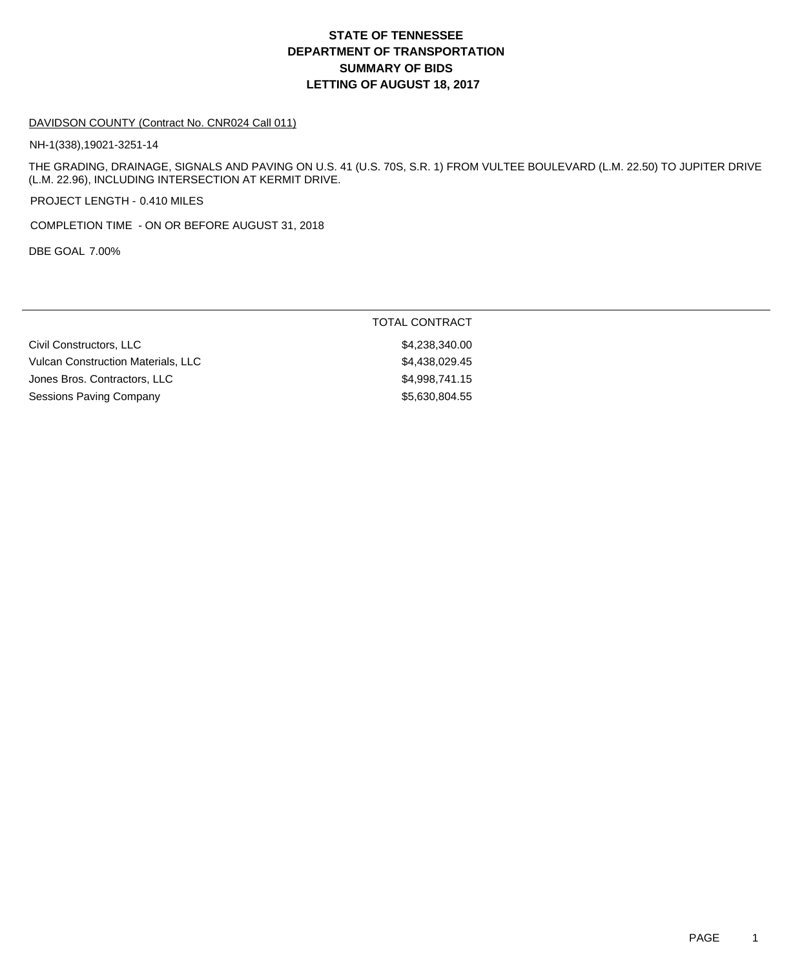# **DEPARTMENT OF TRANSPORTATION SUMMARY OF BIDS LETTING OF AUGUST 18, 2017 STATE OF TENNESSEE**

#### DAVIDSON COUNTY (Contract No. CNR024 Call 011)

NH-1(338),19021-3251-14

THE GRADING, DRAINAGE, SIGNALS AND PAVING ON U.S. 41 (U.S. 70S, S.R. 1) FROM VULTEE BOULEVARD (L.M. 22.50) TO JUPITER DRIVE (L.M. 22.96), INCLUDING INTERSECTION AT KERMIT DRIVE.

PROJECT LENGTH - 0.410 MILES

COMPLETION TIME - ON OR BEFORE AUGUST 31, 2018

DBE GOAL 7.00%

|                                    | TOTAL CONTRACT |
|------------------------------------|----------------|
| Civil Constructors, LLC            | \$4,238,340.00 |
| Vulcan Construction Materials, LLC | \$4,438,029.45 |
| Jones Bros. Contractors, LLC       | \$4.998.741.15 |
| Sessions Paving Company            | \$5,630,804.55 |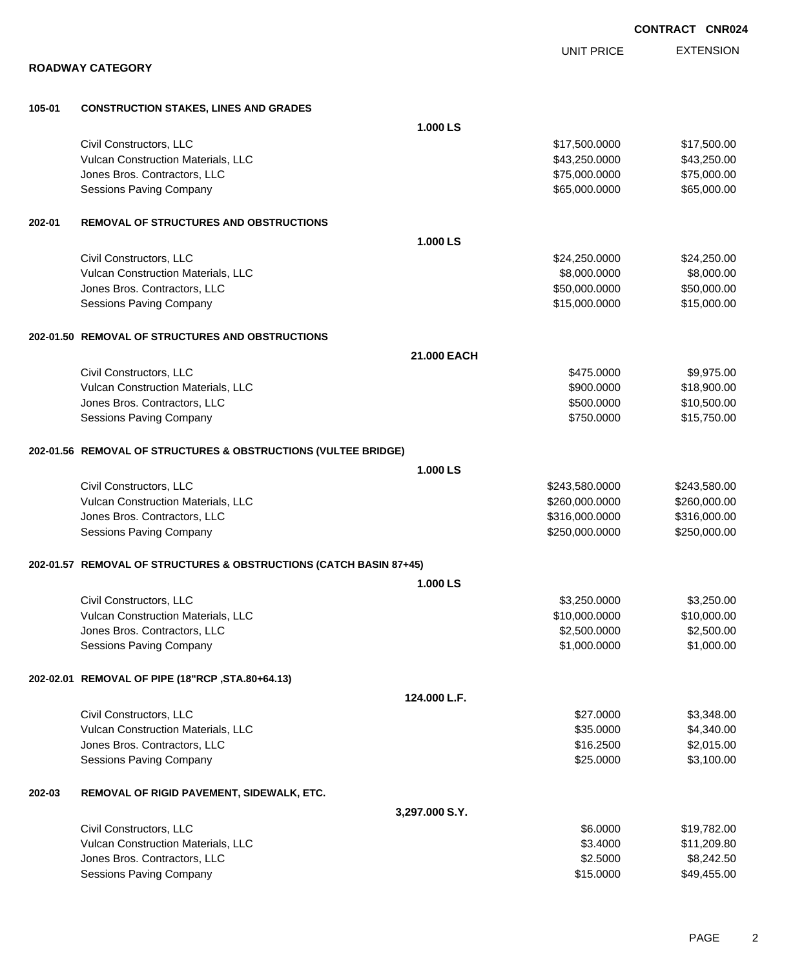|        | <b>CONTRACT CNR024</b>                                             |                |                   |                  |
|--------|--------------------------------------------------------------------|----------------|-------------------|------------------|
|        |                                                                    |                | <b>UNIT PRICE</b> | <b>EXTENSION</b> |
|        | <b>ROADWAY CATEGORY</b>                                            |                |                   |                  |
| 105-01 | <b>CONSTRUCTION STAKES, LINES AND GRADES</b>                       |                |                   |                  |
|        |                                                                    |                |                   |                  |
|        |                                                                    | 1.000 LS       |                   |                  |
|        | Civil Constructors, LLC                                            |                | \$17,500.0000     | \$17,500.00      |
|        | Vulcan Construction Materials, LLC                                 |                | \$43,250.0000     | \$43,250.00      |
|        | Jones Bros. Contractors, LLC                                       |                | \$75,000.0000     | \$75,000.00      |
|        | <b>Sessions Paving Company</b>                                     |                | \$65,000.0000     | \$65,000.00      |
| 202-01 | <b>REMOVAL OF STRUCTURES AND OBSTRUCTIONS</b>                      |                |                   |                  |
|        |                                                                    | 1.000 LS       |                   |                  |
|        | Civil Constructors, LLC                                            |                | \$24,250.0000     | \$24,250.00      |
|        | Vulcan Construction Materials, LLC                                 |                | \$8,000.0000      | \$8,000.00       |
|        | Jones Bros. Contractors, LLC                                       |                | \$50,000.0000     | \$50,000.00      |
|        | <b>Sessions Paving Company</b>                                     |                | \$15,000.0000     | \$15,000.00      |
|        | 202-01.50 REMOVAL OF STRUCTURES AND OBSTRUCTIONS                   |                |                   |                  |
|        |                                                                    | 21.000 EACH    |                   |                  |
|        | Civil Constructors, LLC                                            |                | \$475.0000        | \$9,975.00       |
|        | Vulcan Construction Materials, LLC                                 |                | \$900.0000        | \$18,900.00      |
|        | Jones Bros. Contractors, LLC                                       |                | \$500.0000        | \$10,500.00      |
|        | <b>Sessions Paving Company</b>                                     |                | \$750.0000        | \$15,750.00      |
|        | 202-01.56 REMOVAL OF STRUCTURES & OBSTRUCTIONS (VULTEE BRIDGE)     |                |                   |                  |
|        |                                                                    | 1.000 LS       |                   |                  |
|        | Civil Constructors, LLC                                            |                | \$243,580.0000    | \$243,580.00     |
|        | Vulcan Construction Materials, LLC                                 |                | \$260,000.0000    | \$260,000.00     |
|        | Jones Bros. Contractors, LLC                                       |                | \$316,000.0000    | \$316,000.00     |
|        | <b>Sessions Paving Company</b>                                     |                | \$250,000.0000    | \$250,000.00     |
|        | 202-01.57 REMOVAL OF STRUCTURES & OBSTRUCTIONS (CATCH BASIN 87+45) |                |                   |                  |
|        |                                                                    | 1.000 LS       |                   |                  |
|        | Civil Constructors, LLC                                            |                | \$3,250.0000      | \$3,250.00       |
|        | Vulcan Construction Materials, LLC                                 |                | \$10,000.0000     | \$10,000.00      |
|        | Jones Bros. Contractors, LLC                                       |                | \$2,500.0000      | \$2,500.00       |
|        | <b>Sessions Paving Company</b>                                     |                | \$1,000.0000      | \$1,000.00       |
|        | 202-02.01 REMOVAL OF PIPE (18"RCP, STA.80+64.13)                   |                |                   |                  |
|        |                                                                    | 124.000 L.F.   |                   |                  |
|        | Civil Constructors, LLC                                            |                | \$27.0000         | \$3,348.00       |
|        | Vulcan Construction Materials, LLC                                 |                | \$35.0000         | \$4,340.00       |
|        | Jones Bros. Contractors, LLC                                       |                | \$16.2500         | \$2,015.00       |
|        | <b>Sessions Paving Company</b>                                     |                | \$25.0000         | \$3,100.00       |
| 202-03 | REMOVAL OF RIGID PAVEMENT, SIDEWALK, ETC.                          |                |                   |                  |
|        |                                                                    | 3,297.000 S.Y. |                   |                  |
|        | Civil Constructors, LLC                                            |                | \$6.0000          | \$19,782.00      |
|        | Vulcan Construction Materials, LLC                                 |                | \$3.4000          | \$11,209.80      |
|        | Jones Bros. Contractors, LLC                                       |                | \$2.5000          | \$8,242.50       |
|        | <b>Sessions Paving Company</b>                                     |                | \$15.0000         | \$49,455.00      |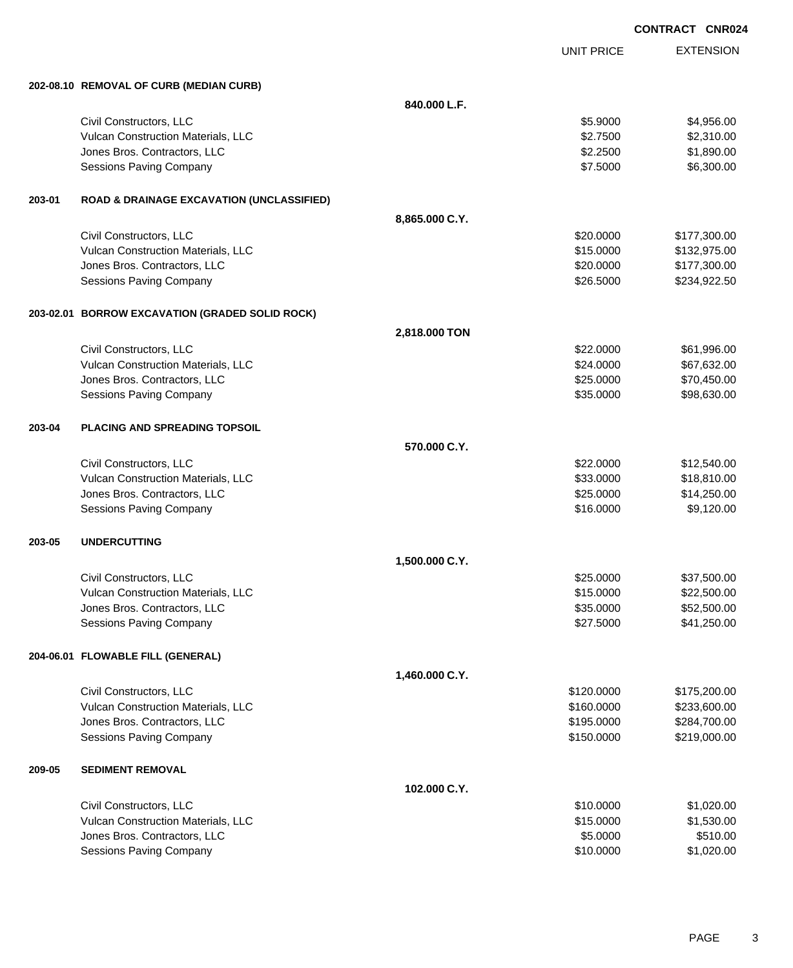|        |                                                      |                |                   | <b>CONTRACT CNR024</b> |  |
|--------|------------------------------------------------------|----------------|-------------------|------------------------|--|
|        |                                                      |                | <b>UNIT PRICE</b> | <b>EXTENSION</b>       |  |
|        | 202-08.10 REMOVAL OF CURB (MEDIAN CURB)              |                |                   |                        |  |
|        |                                                      | 840.000 L.F.   |                   |                        |  |
|        | Civil Constructors, LLC                              |                | \$5.9000          | \$4,956.00             |  |
|        | Vulcan Construction Materials, LLC                   |                | \$2.7500          | \$2,310.00             |  |
|        | Jones Bros. Contractors, LLC                         |                | \$2.2500          | \$1,890.00             |  |
|        | <b>Sessions Paving Company</b>                       |                | \$7.5000          | \$6,300.00             |  |
| 203-01 | <b>ROAD &amp; DRAINAGE EXCAVATION (UNCLASSIFIED)</b> |                |                   |                        |  |
|        |                                                      | 8,865.000 C.Y. |                   |                        |  |
|        | Civil Constructors, LLC                              |                | \$20.0000         | \$177,300.00           |  |
|        | Vulcan Construction Materials, LLC                   |                | \$15.0000         | \$132,975.00           |  |
|        | Jones Bros. Contractors, LLC                         |                | \$20.0000         | \$177,300.00           |  |
|        | <b>Sessions Paving Company</b>                       |                | \$26.5000         | \$234,922.50           |  |
|        | 203-02.01 BORROW EXCAVATION (GRADED SOLID ROCK)      |                |                   |                        |  |
|        |                                                      | 2,818.000 TON  |                   |                        |  |
|        | Civil Constructors, LLC                              |                | \$22.0000         | \$61,996.00            |  |
|        | Vulcan Construction Materials, LLC                   |                | \$24.0000         | \$67,632.00            |  |
|        | Jones Bros. Contractors, LLC                         |                | \$25.0000         | \$70,450.00            |  |
|        | <b>Sessions Paving Company</b>                       |                | \$35.0000         | \$98,630.00            |  |
| 203-04 | <b>PLACING AND SPREADING TOPSOIL</b>                 |                |                   |                        |  |
|        |                                                      | 570.000 C.Y.   |                   |                        |  |
|        | Civil Constructors, LLC                              |                | \$22.0000         | \$12,540.00            |  |
|        | Vulcan Construction Materials, LLC                   |                | \$33.0000         | \$18,810.00            |  |
|        | Jones Bros. Contractors, LLC                         |                | \$25.0000         | \$14,250.00            |  |
|        | <b>Sessions Paving Company</b>                       |                | \$16.0000         | \$9,120.00             |  |
| 203-05 | <b>UNDERCUTTING</b>                                  |                |                   |                        |  |
|        |                                                      | 1,500.000 C.Y. |                   |                        |  |
|        | Civil Constructors, LLC                              |                | \$25.0000         | \$37,500.00            |  |
|        | Vulcan Construction Materials, LLC                   |                | \$15.0000         | \$22,500.00            |  |
|        | Jones Bros. Contractors, LLC                         |                | \$35.0000         | \$52,500.00            |  |
|        | <b>Sessions Paving Company</b>                       |                | \$27.5000         | \$41,250.00            |  |
|        | 204-06.01 FLOWABLE FILL (GENERAL)                    |                |                   |                        |  |
|        |                                                      | 1,460.000 C.Y. |                   |                        |  |
|        | Civil Constructors, LLC                              |                | \$120.0000        | \$175,200.00           |  |
|        | Vulcan Construction Materials, LLC                   |                | \$160.0000        | \$233,600.00           |  |
|        | Jones Bros. Contractors, LLC                         |                | \$195.0000        | \$284,700.00           |  |
|        | <b>Sessions Paving Company</b>                       |                | \$150.0000        | \$219,000.00           |  |
| 209-05 | <b>SEDIMENT REMOVAL</b>                              |                |                   |                        |  |
|        |                                                      | 102.000 C.Y.   |                   |                        |  |
|        | Civil Constructors, LLC                              |                | \$10.0000         | \$1,020.00             |  |
|        | Vulcan Construction Materials, LLC                   |                | \$15.0000         | \$1,530.00             |  |
|        | Jones Bros. Contractors, LLC                         |                | \$5.0000          | \$510.00               |  |
|        | <b>Sessions Paving Company</b>                       |                | \$10.0000         | \$1,020.00             |  |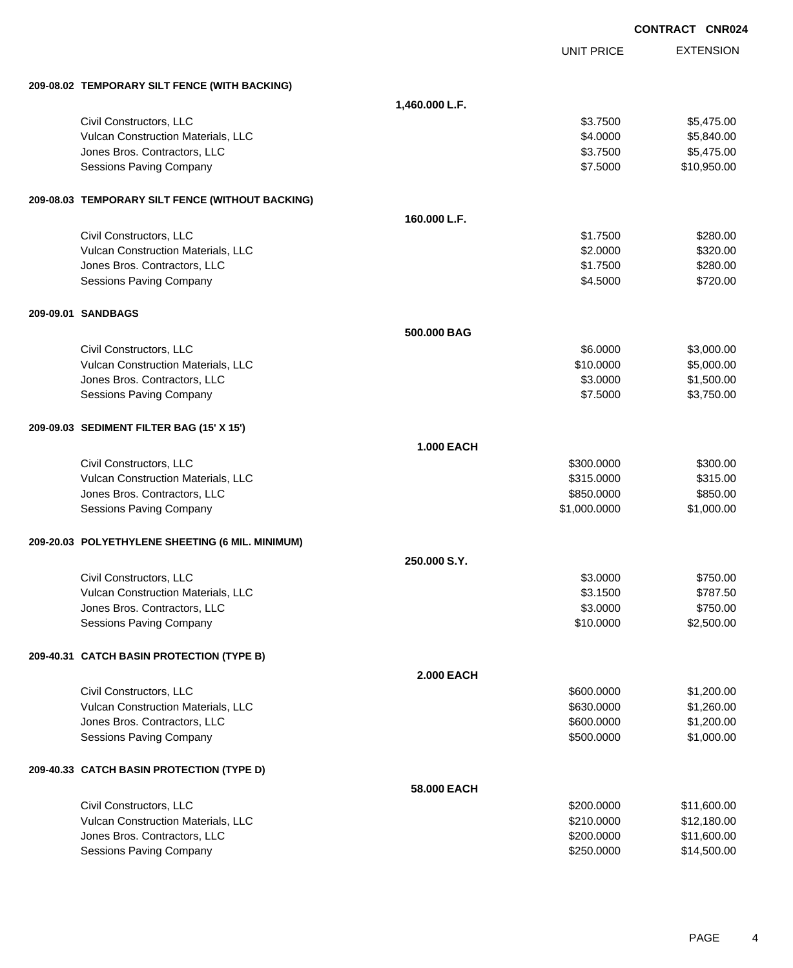|                                                  |                   |                   | <b>CONTRACT CNR024</b> |
|--------------------------------------------------|-------------------|-------------------|------------------------|
|                                                  |                   | <b>UNIT PRICE</b> | <b>EXTENSION</b>       |
| 209-08.02 TEMPORARY SILT FENCE (WITH BACKING)    |                   |                   |                        |
|                                                  | 1,460.000 L.F.    |                   |                        |
| Civil Constructors, LLC                          |                   | \$3.7500          | \$5,475.00             |
| Vulcan Construction Materials, LLC               |                   | \$4.0000          | \$5,840.00             |
| Jones Bros. Contractors, LLC                     |                   | \$3.7500          | \$5,475.00             |
| <b>Sessions Paving Company</b>                   |                   | \$7.5000          | \$10,950.00            |
| 209-08.03 TEMPORARY SILT FENCE (WITHOUT BACKING) |                   |                   |                        |
|                                                  | 160.000 L.F.      |                   |                        |
| Civil Constructors, LLC                          |                   | \$1.7500          | \$280.00               |
| Vulcan Construction Materials, LLC               |                   | \$2.0000          | \$320.00               |
| Jones Bros. Contractors, LLC                     |                   | \$1.7500          | \$280.00               |
| <b>Sessions Paving Company</b>                   |                   | \$4.5000          | \$720.00               |
| 209-09.01 SANDBAGS                               |                   |                   |                        |
|                                                  | 500.000 BAG       |                   |                        |
| Civil Constructors, LLC                          |                   | \$6.0000          | \$3,000.00             |
| Vulcan Construction Materials, LLC               |                   | \$10.0000         | \$5,000.00             |
| Jones Bros. Contractors, LLC                     |                   | \$3.0000          | \$1,500.00             |
| <b>Sessions Paving Company</b>                   |                   | \$7.5000          | \$3,750.00             |
| 209-09.03 SEDIMENT FILTER BAG (15' X 15')        |                   |                   |                        |
|                                                  | <b>1.000 EACH</b> |                   |                        |
| Civil Constructors, LLC                          |                   | \$300.0000        | \$300.00               |
| Vulcan Construction Materials, LLC               |                   | \$315.0000        | \$315.00               |
| Jones Bros. Contractors, LLC                     |                   | \$850.0000        | \$850.00               |
| <b>Sessions Paving Company</b>                   |                   | \$1,000.0000      | \$1,000.00             |
| 209-20.03 POLYETHYLENE SHEETING (6 MIL. MINIMUM) |                   |                   |                        |
|                                                  | 250,000 S.Y.      |                   |                        |
| Civil Constructors, LLC                          |                   | \$3.0000          | \$750.00               |
| Vulcan Construction Materials, LLC               |                   | \$3.1500          | \$787.50               |
| Jones Bros. Contractors, LLC                     |                   | \$3.0000          | \$750.00               |
| <b>Sessions Paving Company</b>                   |                   | \$10.0000         | \$2,500.00             |
| 209-40.31 CATCH BASIN PROTECTION (TYPE B)        |                   |                   |                        |
|                                                  | <b>2.000 EACH</b> |                   |                        |
| Civil Constructors, LLC                          |                   | \$600.0000        | \$1,200.00             |
| Vulcan Construction Materials, LLC               |                   | \$630.0000        | \$1,260.00             |
| Jones Bros. Contractors, LLC                     |                   | \$600.0000        | \$1,200.00             |
| <b>Sessions Paving Company</b>                   |                   | \$500.0000        | \$1,000.00             |
| 209-40.33 CATCH BASIN PROTECTION (TYPE D)        |                   |                   |                        |
|                                                  | 58.000 EACH       |                   |                        |
| Civil Constructors, LLC                          |                   | \$200.0000        | \$11,600.00            |
| Vulcan Construction Materials, LLC               |                   | \$210.0000        | \$12,180.00            |
| Jones Bros. Contractors, LLC                     |                   | \$200.0000        | \$11,600.00            |
| Sessions Paving Company                          |                   | \$250.0000        | \$14,500.00            |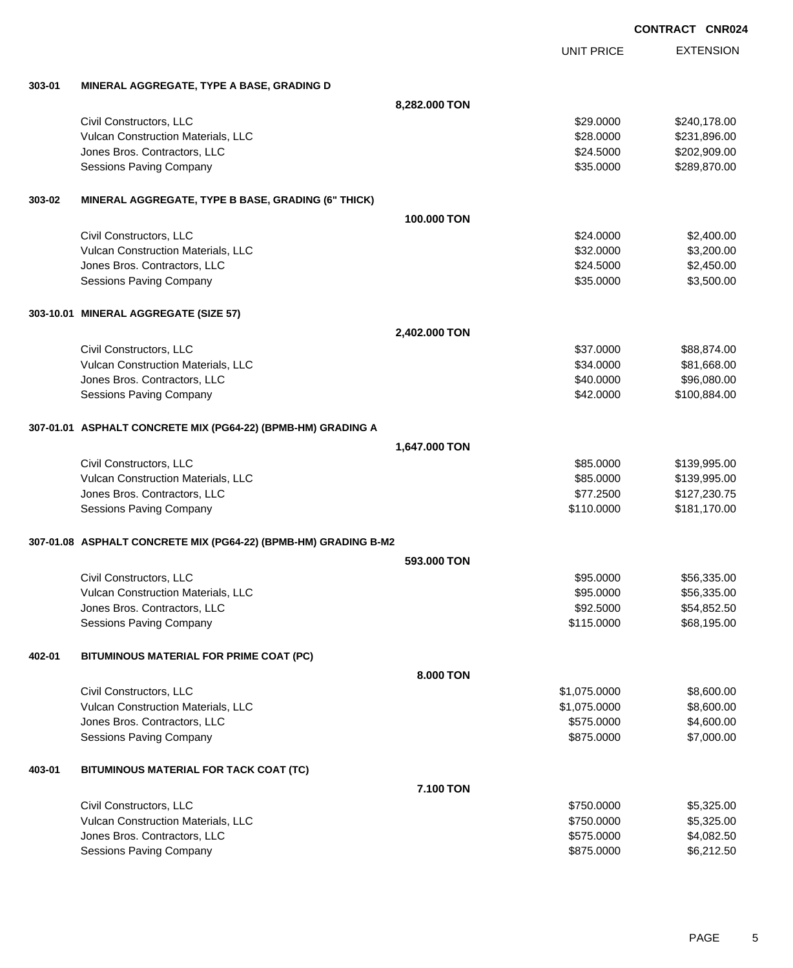|        |                                                                 |                   | <b>CONTRACT CNR024</b> |                  |
|--------|-----------------------------------------------------------------|-------------------|------------------------|------------------|
|        |                                                                 | <b>UNIT PRICE</b> |                        | <b>EXTENSION</b> |
| 303-01 | MINERAL AGGREGATE, TYPE A BASE, GRADING D                       |                   |                        |                  |
|        |                                                                 | 8,282.000 TON     |                        |                  |
|        | Civil Constructors, LLC                                         | \$29.0000         |                        | \$240,178.00     |
|        | Vulcan Construction Materials, LLC                              | \$28.0000         |                        | \$231,896.00     |
|        | Jones Bros. Contractors, LLC                                    | \$24.5000         |                        | \$202,909.00     |
|        | <b>Sessions Paving Company</b>                                  | \$35.0000         |                        | \$289,870.00     |
| 303-02 | MINERAL AGGREGATE, TYPE B BASE, GRADING (6" THICK)              |                   |                        |                  |
|        |                                                                 | 100,000 TON       |                        |                  |
|        | Civil Constructors, LLC                                         | \$24.0000         |                        | \$2,400.00       |
|        | Vulcan Construction Materials, LLC                              | \$32.0000         |                        | \$3,200.00       |
|        | Jones Bros. Contractors, LLC                                    | \$24.5000         |                        | \$2,450.00       |
|        | <b>Sessions Paving Company</b>                                  | \$35.0000         |                        | \$3,500.00       |
|        | 303-10.01 MINERAL AGGREGATE (SIZE 57)                           |                   |                        |                  |
|        |                                                                 | 2,402.000 TON     |                        |                  |
|        | Civil Constructors, LLC                                         | \$37.0000         |                        | \$88,874.00      |
|        | Vulcan Construction Materials, LLC                              | \$34.0000         |                        | \$81,668.00      |
|        | Jones Bros. Contractors, LLC                                    | \$40.0000         |                        | \$96,080.00      |
|        | <b>Sessions Paving Company</b>                                  | \$42.0000         |                        | \$100,884.00     |
|        | 307-01.01 ASPHALT CONCRETE MIX (PG64-22) (BPMB-HM) GRADING A    |                   |                        |                  |
|        |                                                                 | 1,647.000 TON     |                        |                  |
|        | Civil Constructors, LLC                                         | \$85.0000         |                        | \$139,995.00     |
|        | Vulcan Construction Materials, LLC                              | \$85.0000         |                        | \$139,995.00     |
|        | Jones Bros. Contractors, LLC                                    | \$77.2500         |                        | \$127,230.75     |
|        | <b>Sessions Paving Company</b>                                  | \$110.0000        |                        | \$181,170.00     |
|        | 307-01.08 ASPHALT CONCRETE MIX (PG64-22) (BPMB-HM) GRADING B-M2 |                   |                        |                  |
|        |                                                                 | 593,000 TON       |                        |                  |
|        | Civil Constructors, LLC                                         | \$95.0000         |                        | \$56,335.00      |
|        | Vulcan Construction Materials, LLC                              | \$95.0000         |                        | \$56,335.00      |
|        | Jones Bros. Contractors, LLC                                    | \$92.5000         |                        | \$54,852.50      |
|        | <b>Sessions Paving Company</b>                                  | \$115.0000        |                        | \$68,195.00      |
| 402-01 | BITUMINOUS MATERIAL FOR PRIME COAT (PC)                         |                   |                        |                  |
|        |                                                                 | 8.000 TON         |                        |                  |
|        | Civil Constructors, LLC                                         | \$1,075.0000      |                        | \$8,600.00       |
|        | Vulcan Construction Materials, LLC                              | \$1,075.0000      |                        | \$8,600.00       |
|        | Jones Bros. Contractors, LLC                                    | \$575.0000        |                        | \$4,600.00       |
|        | Sessions Paving Company                                         | \$875.0000        |                        | \$7,000.00       |
| 403-01 | BITUMINOUS MATERIAL FOR TACK COAT (TC)                          |                   |                        |                  |
|        |                                                                 | 7.100 TON         |                        |                  |
|        | Civil Constructors, LLC                                         | \$750.0000        |                        | \$5,325.00       |
|        | Vulcan Construction Materials, LLC                              | \$750.0000        |                        | \$5,325.00       |
|        | Jones Bros. Contractors, LLC                                    | \$575.0000        |                        | \$4,082.50       |
|        | Sessions Paving Company                                         | \$875.0000        |                        | \$6,212.50       |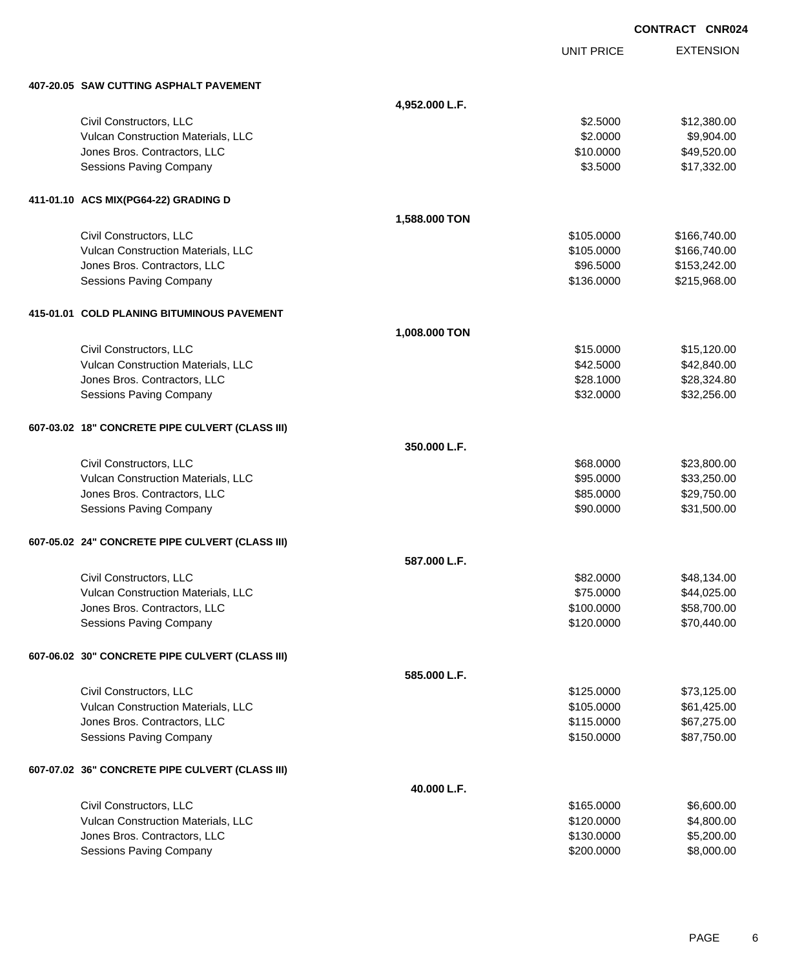|                                                 |                |                   | <b>CONTRACT CNR024</b> |
|-------------------------------------------------|----------------|-------------------|------------------------|
|                                                 |                | <b>UNIT PRICE</b> | <b>EXTENSION</b>       |
| 407-20.05 SAW CUTTING ASPHALT PAVEMENT          |                |                   |                        |
|                                                 | 4,952.000 L.F. |                   |                        |
| Civil Constructors, LLC                         |                | \$2.5000          | \$12,380.00            |
| Vulcan Construction Materials, LLC              |                | \$2.0000          | \$9,904.00             |
| Jones Bros. Contractors, LLC                    |                | \$10.0000         | \$49,520.00            |
| Sessions Paving Company                         |                | \$3.5000          | \$17,332.00            |
| 411-01.10 ACS MIX(PG64-22) GRADING D            |                |                   |                        |
|                                                 | 1,588.000 TON  |                   |                        |
| Civil Constructors, LLC                         |                | \$105.0000        | \$166,740.00           |
| Vulcan Construction Materials, LLC              |                | \$105.0000        | \$166,740.00           |
| Jones Bros. Contractors, LLC                    |                | \$96.5000         | \$153,242.00           |
| Sessions Paving Company                         |                | \$136.0000        | \$215,968.00           |
| 415-01.01 COLD PLANING BITUMINOUS PAVEMENT      |                |                   |                        |
|                                                 | 1,008.000 TON  |                   |                        |
| Civil Constructors, LLC                         |                | \$15.0000         | \$15,120.00            |
| Vulcan Construction Materials, LLC              |                | \$42.5000         | \$42,840.00            |
| Jones Bros. Contractors, LLC                    |                | \$28.1000         | \$28,324.80            |
| Sessions Paving Company                         |                | \$32.0000         | \$32,256.00            |
| 607-03.02 18" CONCRETE PIPE CULVERT (CLASS III) |                |                   |                        |
|                                                 | 350.000 L.F.   |                   |                        |
| Civil Constructors, LLC                         |                | \$68.0000         | \$23,800.00            |
| Vulcan Construction Materials, LLC              |                | \$95.0000         | \$33,250.00            |
| Jones Bros. Contractors, LLC                    |                | \$85.0000         | \$29,750.00            |
| Sessions Paving Company                         |                | \$90.0000         | \$31,500.00            |
| 607-05.02 24" CONCRETE PIPE CULVERT (CLASS III) |                |                   |                        |
|                                                 | 587.000 L.F.   |                   |                        |
| Civil Constructors, LLC                         |                | \$82.0000         | \$48,134.00            |
| Vulcan Construction Materials, LLC              |                | \$75.0000         | \$44,025.00            |
| Jones Bros. Contractors, LLC                    |                | \$100.0000        | \$58,700.00            |
| Sessions Paving Company                         |                | \$120.0000        | \$70,440.00            |
| 607-06.02 30" CONCRETE PIPE CULVERT (CLASS III) |                |                   |                        |
|                                                 | 585.000 L.F.   |                   |                        |
| Civil Constructors, LLC                         |                | \$125.0000        | \$73,125.00            |
| Vulcan Construction Materials, LLC              |                | \$105,0000        | \$61,425.00            |
| Jones Bros. Contractors, LLC                    |                | \$115.0000        | \$67,275.00            |
| Sessions Paving Company                         |                | \$150.0000        | \$87,750.00            |
| 607-07.02 36" CONCRETE PIPE CULVERT (CLASS III) |                |                   |                        |
|                                                 | 40.000 L.F.    |                   |                        |
| Civil Constructors, LLC                         |                | \$165.0000        | \$6,600.00             |
| Vulcan Construction Materials, LLC              |                | \$120.0000        | \$4,800.00             |
| Jones Bros. Contractors, LLC                    |                | \$130.0000        | \$5,200.00             |
| Sessions Paving Company                         |                | \$200.0000        | \$8,000.00             |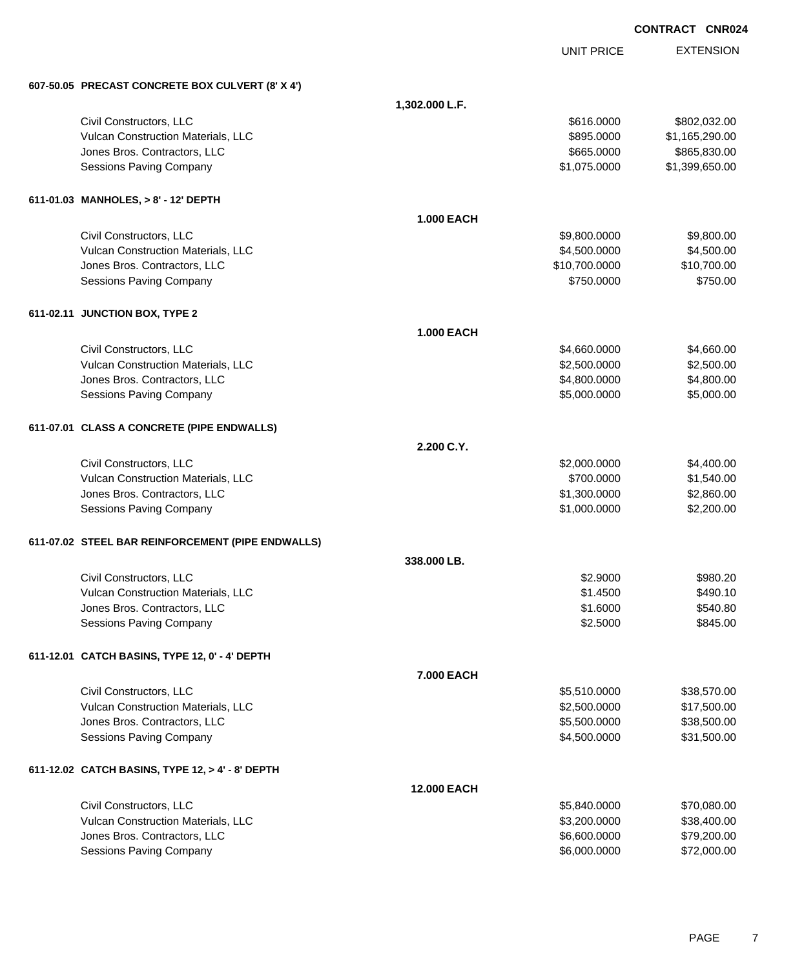EXTENSION **CONTRACT CNR024** UNIT PRICE **607-50.05 PRECAST CONCRETE BOX CULVERT (8' X 4') 1,302.000 L.F.** Civil Constructors, LLC \$616.0000 \$802,032.00 Vulcan Construction Materials, LLC **6. 1.165,290.00** \$1,165,290.00 Jones Bros. Contractors, LLC \$665.0000 \$865,830.00 Sessions Paving Company 61,075.0000 \$1,399,650.00 **611-01.03 MANHOLES, > 8' - 12' DEPTH 1.000 EACH** Civil Constructors, LLC 6. 2012 12:00:000 \$9,800.000 \$9,800.000 \$9,800.000 \$9,800.000 \$9,800.00 Vulcan Construction Materials, LLC 60000 \$4,500.000 \$4,500.000 \$4,500.000 Jones Bros. Contractors, LLC \$10,700.0000 \$10,700.00 Sessions Paving Company **\$750.000** \$750.000 \$750.000 \$750.000 **611-02.11 JUNCTION BOX, TYPE 2 1.000 EACH** Civil Constructors, LLC 660.000 \$4,660.000 \$4,660.000 \$4,660.000 \$4,660.000 \$4,660.000 \$4,660.000 \$4,660.00 Vulcan Construction Materials, LLC 60000 \$2,500.000 \$2,500.000 \$2,500.000 \$2,500.000 \$2,500.00 Jones Bros. Contractors, LLC 6. The state of the state of the state of the state of the state of the state of the state of the state of the state of the state of the state of the state of the state of the state of the stat Sessions Paving Company 65,000 and the set of the set of the set of the set of the set of the set of the set of the set of the set of the set of the set of the set of the set of the set of the set of the set of the set of **611-07.01 CLASS A CONCRETE (PIPE ENDWALLS) 2.200 C.Y.** Civil Constructors, LLC 684,400.00 Vulcan Construction Materials, LLC 60000 \$1,540.00 Jones Bros. Contractors, LLC \$1,300.0000 \$2,860.00 Sessions Paving Company 6. The second state of the second state of the second state of the second state of the second state  $\frac{1}{2}$ ,000.0000 \$2,200.00 **611-07.02 STEEL BAR REINFORCEMENT (PIPE ENDWALLS) 338.000 LB.** Civil Constructors, LLC \$2.9000 \$980.20 Vulcan Construction Materials, LLC 6490.10 Jones Bros. Contractors, LLC \$1.6000 \$540.80 Sessions Paving Company **\$2.5000** \$845.00 **611-12.01 CATCH BASINS, TYPE 12, 0' - 4' DEPTH 7.000 EACH** Civil Constructors, LLC 638,570.00 \$38,570.00 \$5,510.0000 \$5,510.0000 \$5,510.000 \$5,510.000 \$538,570.00 Vulcan Construction Materials, LLC 600000 \$17,500.000 \$17,500.000 Jones Bros. Contractors, LLC \$5,500.0000 \$38,500.00 Sessions Paving Company \$4,500.0000 \$31,500.00 **611-12.02 CATCH BASINS, TYPE 12, > 4' - 8' DEPTH 12.000 EACH** Civil Constructors, LLC \$5,840.0000 \$70,080.00 Vulcan Construction Materials, LLC 60000 \$38,400.00 \$38,400.00 Jones Bros. Contractors, LLC \$6,600.0000 \$79,200.00

Sessions Paving Company 6.000.000 \$72,000.000 \$6,000.000 \$6,000.000 \$6,000.000 \$6,000.000 \$72,000.00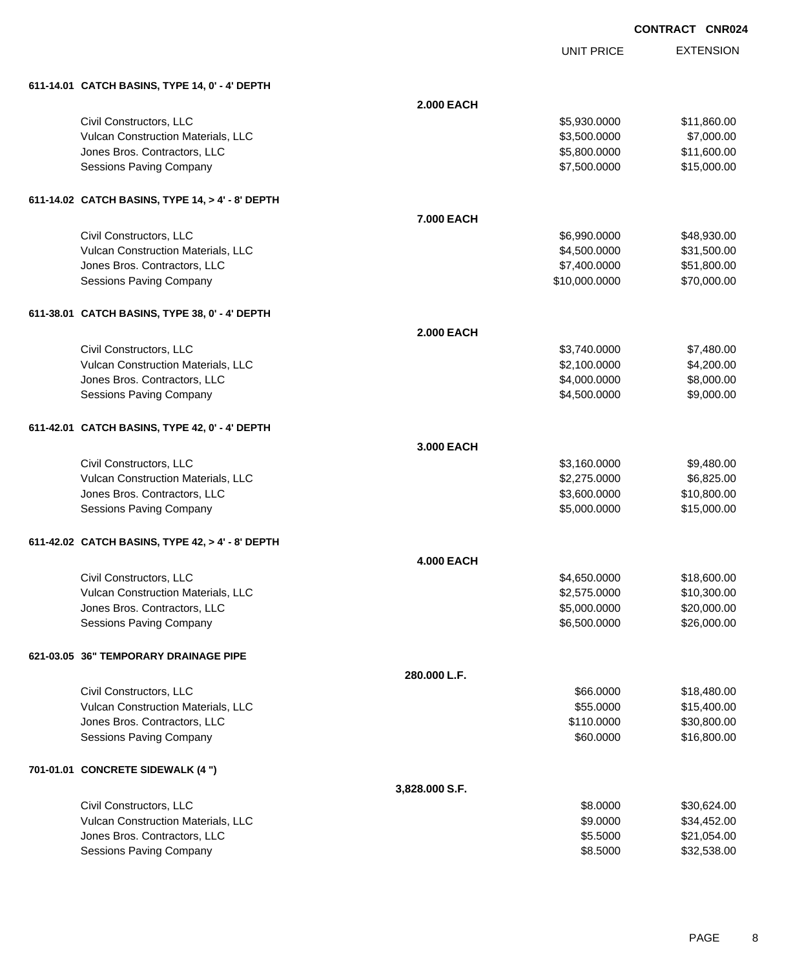UNIT PRICE

|  |  | 611-14.01 CATCH BASINS, TYPE 14, 0' - 4' DEPTH |
|--|--|------------------------------------------------|
|  |  |                                                |

| 611-14.01 CATCH BASINS, TYPE 14, 0' - 4' DEPTH   |                   |               |             |
|--------------------------------------------------|-------------------|---------------|-------------|
|                                                  | <b>2.000 EACH</b> |               |             |
| Civil Constructors, LLC                          |                   | \$5,930.0000  | \$11,860.00 |
| Vulcan Construction Materials, LLC               |                   | \$3,500.0000  | \$7,000.00  |
| Jones Bros. Contractors, LLC                     |                   | \$5,800.0000  | \$11,600.00 |
| Sessions Paving Company                          |                   | \$7,500.0000  | \$15,000.00 |
| 611-14.02 CATCH BASINS, TYPE 14, > 4' - 8' DEPTH |                   |               |             |
|                                                  | 7.000 EACH        |               |             |
| Civil Constructors, LLC                          |                   | \$6,990.0000  | \$48,930.00 |
| Vulcan Construction Materials, LLC               |                   | \$4,500.0000  | \$31,500.00 |
| Jones Bros. Contractors, LLC                     |                   | \$7,400.0000  | \$51,800.00 |
| Sessions Paving Company                          |                   | \$10,000.0000 | \$70,000.00 |
| 611-38.01 CATCH BASINS, TYPE 38, 0' - 4' DEPTH   |                   |               |             |
|                                                  | <b>2.000 EACH</b> |               |             |
| Civil Constructors, LLC                          |                   | \$3,740.0000  | \$7,480.00  |
| Vulcan Construction Materials, LLC               |                   | \$2,100.0000  | \$4,200.00  |
| Jones Bros. Contractors, LLC                     |                   | \$4,000.0000  | \$8,000.00  |
| Sessions Paving Company                          |                   | \$4,500.0000  | \$9,000.00  |
| 611-42.01 CATCH BASINS, TYPE 42, 0' - 4' DEPTH   |                   |               |             |
|                                                  | 3.000 EACH        |               |             |
| Civil Constructors, LLC                          |                   | \$3,160.0000  | \$9,480.00  |
| Vulcan Construction Materials, LLC               |                   | \$2,275.0000  | \$6,825.00  |
| Jones Bros. Contractors, LLC                     |                   | \$3,600.0000  | \$10,800.00 |
| Sessions Paving Company                          |                   | \$5,000.0000  | \$15,000.00 |
| 611-42.02 CATCH BASINS, TYPE 42, > 4' - 8' DEPTH |                   |               |             |
|                                                  | <b>4.000 EACH</b> |               |             |
| Civil Constructors, LLC                          |                   | \$4,650.0000  | \$18,600.00 |
| Vulcan Construction Materials, LLC               |                   | \$2,575.0000  | \$10,300.00 |
| Jones Bros. Contractors, LLC                     |                   | \$5,000.0000  | \$20,000.00 |
| Sessions Paving Company                          |                   | \$6,500.0000  | \$26,000.00 |
| 621-03.05 36" TEMPORARY DRAINAGE PIPE            |                   |               |             |
|                                                  | 280,000 L.F.      |               |             |
| Civil Constructors, LLC                          |                   | \$66.0000     | \$18,480.00 |
| Vulcan Construction Materials, LLC               |                   | \$55.0000     | \$15,400.00 |
| Jones Bros. Contractors, LLC                     |                   | \$110.0000    | \$30,800.00 |
| Sessions Paving Company                          |                   | \$60.0000     | \$16,800.00 |
| 701-01.01 CONCRETE SIDEWALK (4 ")                |                   |               |             |
|                                                  | 3,828.000 S.F.    |               |             |
| Civil Constructors, LLC                          |                   | \$8.0000      | \$30,624.00 |
| Vulcan Construction Materials, LLC               |                   | \$9.0000      | \$34,452.00 |
| Jones Bros. Contractors, LLC                     |                   | \$5.5000      | \$21,054.00 |
| Sessions Paving Company                          |                   | \$8.5000      | \$32,538.00 |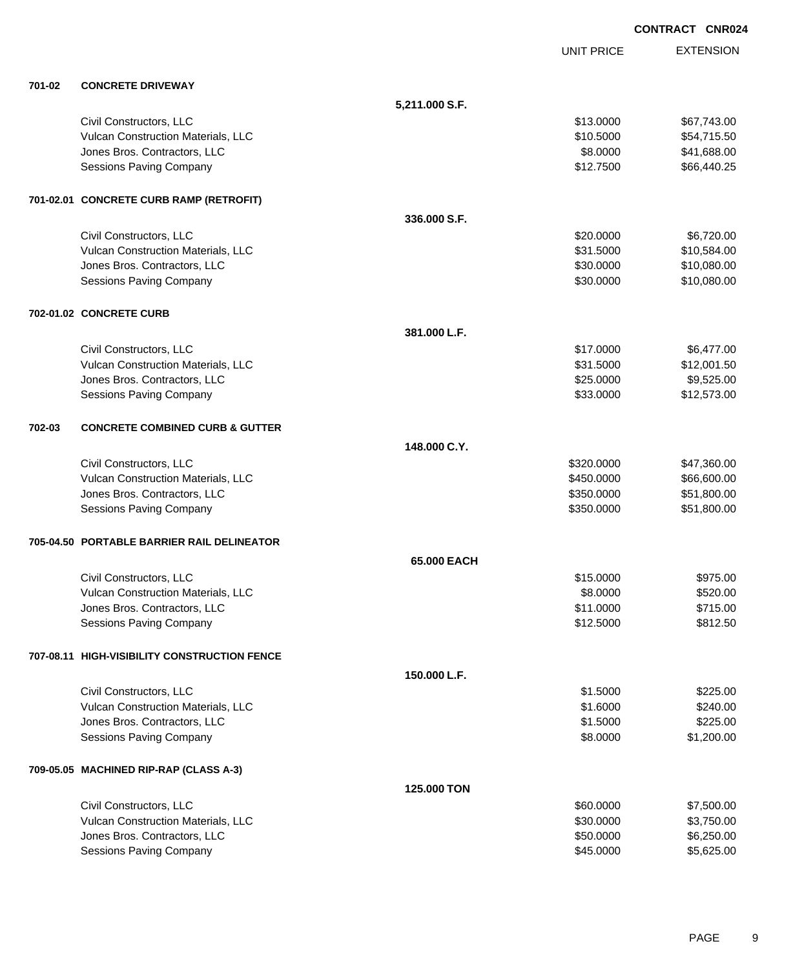|        |                                              |                |                   | <b>CONTRACT CNR024</b> |
|--------|----------------------------------------------|----------------|-------------------|------------------------|
|        |                                              |                | <b>UNIT PRICE</b> | <b>EXTENSION</b>       |
| 701-02 | <b>CONCRETE DRIVEWAY</b>                     |                |                   |                        |
|        |                                              | 5,211.000 S.F. |                   |                        |
|        | Civil Constructors, LLC                      |                | \$13.0000         | \$67,743.00            |
|        | Vulcan Construction Materials, LLC           |                | \$10.5000         | \$54,715.50            |
|        | Jones Bros. Contractors, LLC                 |                | \$8.0000          | \$41,688.00            |
|        | <b>Sessions Paving Company</b>               |                | \$12.7500         | \$66,440.25            |
|        | 701-02.01 CONCRETE CURB RAMP (RETROFIT)      |                |                   |                        |
|        |                                              | 336,000 S.F.   |                   |                        |
|        | Civil Constructors, LLC                      |                | \$20.0000         | \$6,720.00             |
|        | Vulcan Construction Materials, LLC           |                | \$31.5000         | \$10,584.00            |
|        | Jones Bros. Contractors, LLC                 |                | \$30.0000         | \$10,080.00            |
|        | Sessions Paving Company                      |                | \$30.0000         | \$10,080.00            |
|        | 702-01.02 CONCRETE CURB                      |                |                   |                        |
|        |                                              | 381.000 L.F.   |                   |                        |
|        | Civil Constructors, LLC                      |                | \$17.0000         | \$6,477.00             |
|        | Vulcan Construction Materials, LLC           |                | \$31.5000         | \$12,001.50            |
|        | Jones Bros. Contractors, LLC                 |                | \$25.0000         | \$9,525.00             |
|        | <b>Sessions Paving Company</b>               |                | \$33.0000         | \$12,573.00            |
| 702-03 | <b>CONCRETE COMBINED CURB &amp; GUTTER</b>   |                |                   |                        |
|        |                                              | 148.000 C.Y.   |                   |                        |
|        | Civil Constructors, LLC                      |                | \$320.0000        | \$47,360.00            |
|        | Vulcan Construction Materials, LLC           |                | \$450.0000        | \$66,600.00            |
|        | Jones Bros. Contractors, LLC                 |                | \$350.0000        | \$51,800.00            |
|        | Sessions Paving Company                      |                | \$350.0000        | \$51,800.00            |
|        | 705-04.50 PORTABLE BARRIER RAIL DELINEATOR   |                |                   |                        |
|        |                                              | 65.000 EACH    |                   |                        |
|        | Civil Constructors, LLC                      |                | \$15.0000         | \$975.00               |
|        | Vulcan Construction Materials, LLC           |                | \$8.0000          | \$520.00               |
|        | Jones Bros. Contractors, LLC                 |                | \$11.0000         | \$715.00               |
|        | Sessions Paving Company                      |                | \$12.5000         | \$812.50               |
|        | 707-08.11 HIGH-VISIBILITY CONSTRUCTION FENCE |                |                   |                        |
|        |                                              | 150.000 L.F.   |                   |                        |
|        | Civil Constructors, LLC                      |                | \$1.5000          | \$225.00               |
|        | Vulcan Construction Materials, LLC           |                | \$1.6000          | \$240.00               |
|        | Jones Bros. Contractors, LLC                 |                | \$1.5000          | \$225.00               |
|        | Sessions Paving Company                      |                | \$8.0000          | \$1,200.00             |
|        | 709-05.05 MACHINED RIP-RAP (CLASS A-3)       |                |                   |                        |
|        |                                              | 125.000 TON    |                   |                        |
|        | Civil Constructors, LLC                      |                | \$60.0000         | \$7,500.00             |
|        | Vulcan Construction Materials, LLC           |                | \$30.0000         | \$3,750.00             |
|        | Jones Bros. Contractors, LLC                 |                | \$50.0000         | \$6,250.00             |
|        | <b>Sessions Paving Company</b>               |                | \$45.0000         | \$5,625.00             |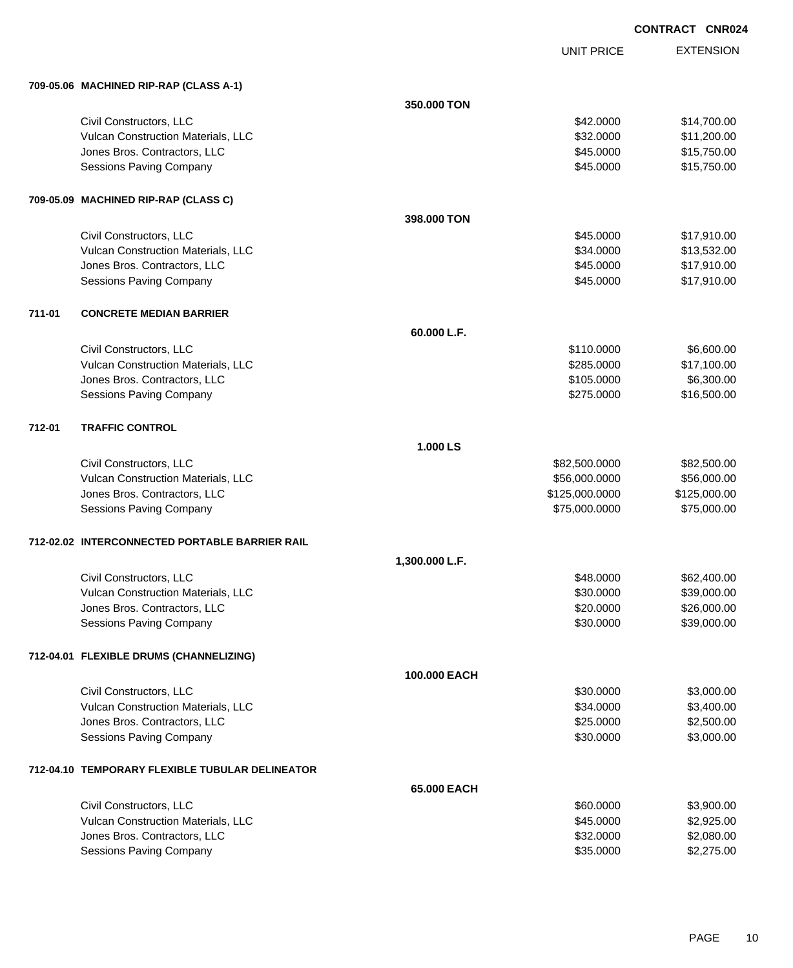UNIT PRICE

|        | 709-05.06 MACHINED RIP-RAP (CLASS A-1)          |                |                |              |  |  |
|--------|-------------------------------------------------|----------------|----------------|--------------|--|--|
|        |                                                 | 350.000 TON    |                |              |  |  |
|        | Civil Constructors, LLC                         |                | \$42.0000      | \$14,700.00  |  |  |
|        | Vulcan Construction Materials, LLC              |                | \$32.0000      | \$11,200.00  |  |  |
|        | Jones Bros. Contractors, LLC                    |                | \$45.0000      | \$15,750.00  |  |  |
|        | <b>Sessions Paving Company</b>                  |                | \$45.0000      | \$15,750.00  |  |  |
|        | 709-05.09 MACHINED RIP-RAP (CLASS C)            |                |                |              |  |  |
|        |                                                 | 398.000 TON    |                |              |  |  |
|        | Civil Constructors, LLC                         |                | \$45.0000      | \$17,910.00  |  |  |
|        | Vulcan Construction Materials, LLC              |                | \$34.0000      | \$13,532.00  |  |  |
|        | Jones Bros. Contractors, LLC                    |                | \$45.0000      | \$17,910.00  |  |  |
|        | Sessions Paving Company                         |                | \$45.0000      | \$17,910.00  |  |  |
| 711-01 | <b>CONCRETE MEDIAN BARRIER</b>                  |                |                |              |  |  |
|        |                                                 | 60.000 L.F.    |                |              |  |  |
|        | Civil Constructors, LLC                         |                | \$110.0000     | \$6,600.00   |  |  |
|        | Vulcan Construction Materials, LLC              |                | \$285.0000     | \$17,100.00  |  |  |
|        | Jones Bros. Contractors, LLC                    |                | \$105.0000     | \$6,300.00   |  |  |
|        | Sessions Paving Company                         |                | \$275.0000     | \$16,500.00  |  |  |
| 712-01 | <b>TRAFFIC CONTROL</b>                          |                |                |              |  |  |
|        |                                                 | 1.000 LS       |                |              |  |  |
|        | Civil Constructors, LLC                         |                | \$82,500.0000  | \$82,500.00  |  |  |
|        | Vulcan Construction Materials, LLC              |                | \$56,000.0000  | \$56,000.00  |  |  |
|        | Jones Bros. Contractors, LLC                    |                | \$125,000.0000 | \$125,000.00 |  |  |
|        | <b>Sessions Paving Company</b>                  |                | \$75,000.0000  | \$75,000.00  |  |  |
|        | 712-02.02 INTERCONNECTED PORTABLE BARRIER RAIL  |                |                |              |  |  |
|        |                                                 | 1,300.000 L.F. |                |              |  |  |
|        | Civil Constructors, LLC                         |                | \$48.0000      | \$62,400.00  |  |  |
|        | Vulcan Construction Materials, LLC              |                | \$30.0000      | \$39,000.00  |  |  |
|        | Jones Bros. Contractors, LLC                    |                | \$20.0000      | \$26,000.00  |  |  |
|        | <b>Sessions Paving Company</b>                  |                | \$30.0000      | \$39,000.00  |  |  |
|        | 712-04.01 FLEXIBLE DRUMS (CHANNELIZING)         |                |                |              |  |  |
|        |                                                 | 100.000 EACH   |                |              |  |  |
|        | Civil Constructors, LLC                         |                | \$30.0000      | \$3,000.00   |  |  |
|        | Vulcan Construction Materials, LLC              |                | \$34.0000      | \$3,400.00   |  |  |
|        | Jones Bros. Contractors, LLC                    |                | \$25.0000      | \$2,500.00   |  |  |
|        | <b>Sessions Paving Company</b>                  |                | \$30.0000      | \$3,000.00   |  |  |
|        | 712-04.10 TEMPORARY FLEXIBLE TUBULAR DELINEATOR |                |                |              |  |  |
|        |                                                 | 65.000 EACH    |                |              |  |  |
|        | Civil Constructors, LLC                         |                | \$60.0000      | \$3,900.00   |  |  |
|        | Vulcan Construction Materials, LLC              |                | \$45.0000      | \$2,925.00   |  |  |
|        | Jones Bros. Contractors, LLC                    |                | \$32.0000      | \$2,080.00   |  |  |
|        | <b>Sessions Paving Company</b>                  |                | \$35.0000      | \$2,275.00   |  |  |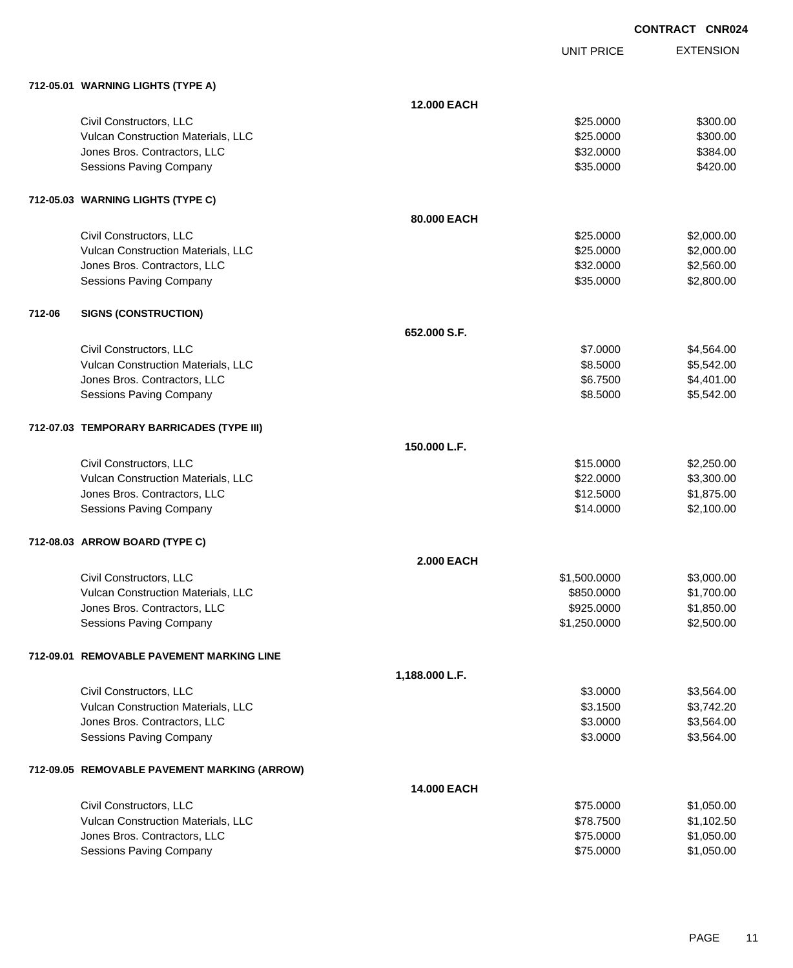UNIT PRICE

|        | 712-05.01 WARNING LIGHTS (TYPE A)            |                    |              |            |
|--------|----------------------------------------------|--------------------|--------------|------------|
|        |                                              | 12.000 EACH        |              |            |
|        | Civil Constructors, LLC                      |                    | \$25.0000    | \$300.00   |
|        | Vulcan Construction Materials, LLC           |                    | \$25.0000    | \$300.00   |
|        | Jones Bros. Contractors, LLC                 |                    | \$32.0000    | \$384.00   |
|        | Sessions Paving Company                      |                    | \$35.0000    | \$420.00   |
|        | 712-05.03 WARNING LIGHTS (TYPE C)            |                    |              |            |
|        |                                              | 80.000 EACH        |              |            |
|        | Civil Constructors, LLC                      |                    | \$25.0000    | \$2,000.00 |
|        | Vulcan Construction Materials, LLC           |                    | \$25.0000    | \$2,000.00 |
|        | Jones Bros. Contractors, LLC                 |                    | \$32.0000    | \$2,560.00 |
|        | <b>Sessions Paving Company</b>               |                    | \$35.0000    | \$2,800.00 |
| 712-06 | <b>SIGNS (CONSTRUCTION)</b>                  |                    |              |            |
|        |                                              | 652.000 S.F.       |              |            |
|        | Civil Constructors, LLC                      |                    | \$7.0000     | \$4,564.00 |
|        | Vulcan Construction Materials, LLC           |                    | \$8.5000     | \$5,542.00 |
|        | Jones Bros. Contractors, LLC                 |                    | \$6.7500     | \$4,401.00 |
|        | <b>Sessions Paving Company</b>               |                    | \$8.5000     | \$5,542.00 |
|        | 712-07.03 TEMPORARY BARRICADES (TYPE III)    |                    |              |            |
|        |                                              | 150.000 L.F.       |              |            |
|        | Civil Constructors, LLC                      |                    | \$15.0000    | \$2,250.00 |
|        | Vulcan Construction Materials, LLC           |                    | \$22.0000    | \$3,300.00 |
|        | Jones Bros. Contractors, LLC                 |                    | \$12.5000    | \$1,875.00 |
|        | <b>Sessions Paving Company</b>               |                    | \$14.0000    | \$2,100.00 |
|        | 712-08.03 ARROW BOARD (TYPE C)               |                    |              |            |
|        |                                              | <b>2.000 EACH</b>  |              |            |
|        | Civil Constructors, LLC                      |                    | \$1,500.0000 | \$3,000.00 |
|        | Vulcan Construction Materials, LLC           |                    | \$850.0000   | \$1,700.00 |
|        | Jones Bros. Contractors, LLC                 |                    | \$925.0000   | \$1,850.00 |
|        | Sessions Paving Company                      |                    | \$1,250.0000 | \$2,500.00 |
|        | 712-09.01 REMOVABLE PAVEMENT MARKING LINE    |                    |              |            |
|        |                                              | 1,188.000 L.F.     |              |            |
|        | Civil Constructors, LLC                      |                    | \$3.0000     | \$3,564.00 |
|        | Vulcan Construction Materials, LLC           |                    | \$3.1500     | \$3,742.20 |
|        | Jones Bros. Contractors, LLC                 |                    | \$3.0000     | \$3,564.00 |
|        | Sessions Paving Company                      |                    | \$3.0000     | \$3,564.00 |
|        | 712-09.05 REMOVABLE PAVEMENT MARKING (ARROW) |                    |              |            |
|        |                                              | <b>14.000 EACH</b> |              |            |
|        | Civil Constructors, LLC                      |                    | \$75.0000    | \$1,050.00 |
|        | Vulcan Construction Materials, LLC           |                    | \$78.7500    | \$1,102.50 |
|        | Jones Bros. Contractors, LLC                 |                    | \$75.0000    | \$1,050.00 |
|        | Sessions Paving Company                      |                    | \$75.0000    | \$1,050.00 |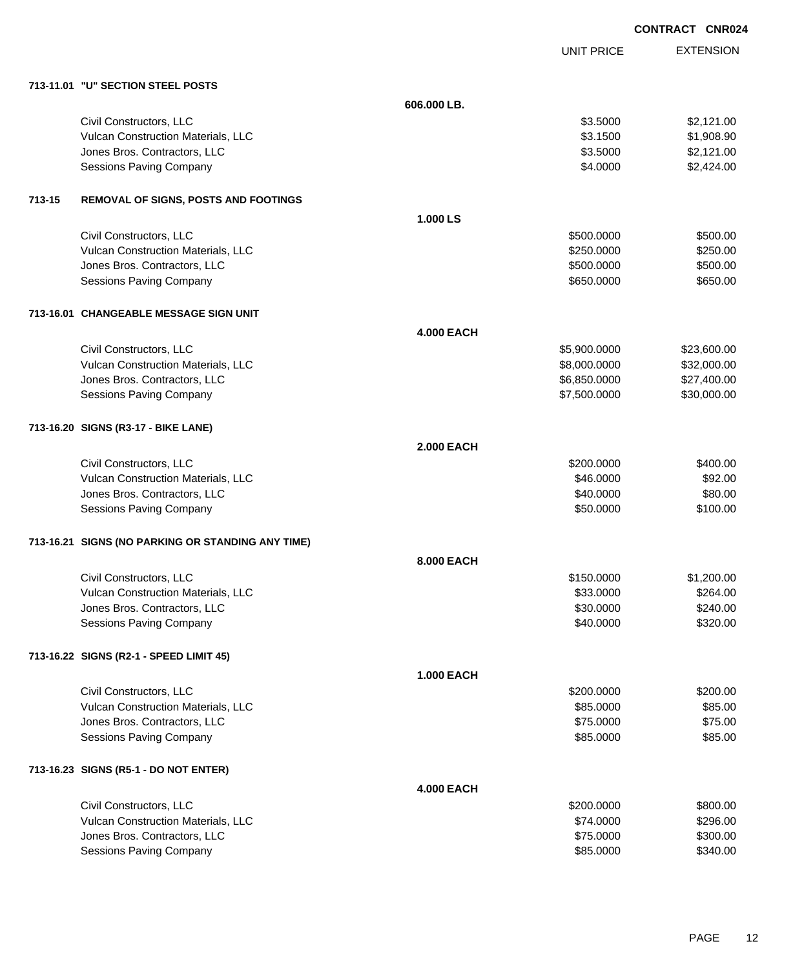|        |                                                   |                   |                   | <b>CONTRACT CNR02</b> |
|--------|---------------------------------------------------|-------------------|-------------------|-----------------------|
|        |                                                   |                   | <b>UNIT PRICE</b> | <b>EXTENSION</b>      |
|        | 713-11.01 "U" SECTION STEEL POSTS                 |                   |                   |                       |
|        |                                                   | 606.000 LB.       |                   |                       |
|        | Civil Constructors, LLC                           |                   | \$3.5000          | \$2,121.00            |
|        | Vulcan Construction Materials, LLC                |                   | \$3.1500          | \$1,908.90            |
|        | Jones Bros. Contractors, LLC                      |                   | \$3.5000          | \$2,121.00            |
|        | <b>Sessions Paving Company</b>                    |                   | \$4.0000          | \$2,424.00            |
| 713-15 | REMOVAL OF SIGNS, POSTS AND FOOTINGS              |                   |                   |                       |
|        |                                                   | 1.000 LS          |                   |                       |
|        | Civil Constructors, LLC                           |                   | \$500.0000        | \$500.00              |
|        | Vulcan Construction Materials, LLC                |                   | \$250.0000        | \$250.00              |
|        | Jones Bros. Contractors, LLC                      |                   | \$500.0000        | \$500.00              |
|        | <b>Sessions Paving Company</b>                    |                   | \$650.0000        | \$650.00              |
|        | 713-16.01 CHANGEABLE MESSAGE SIGN UNIT            |                   |                   |                       |
|        |                                                   | <b>4.000 EACH</b> |                   |                       |
|        | Civil Constructors, LLC                           |                   | \$5,900.0000      | \$23,600.00           |
|        | Vulcan Construction Materials, LLC                |                   | \$8,000.0000      | \$32,000.00           |
|        | Jones Bros. Contractors, LLC                      |                   | \$6,850.0000      | \$27,400.00           |
|        | <b>Sessions Paving Company</b>                    |                   | \$7,500.0000      | \$30,000.00           |
|        | 713-16.20 SIGNS (R3-17 - BIKE LANE)               |                   |                   |                       |
|        |                                                   | <b>2.000 EACH</b> |                   |                       |
|        | Civil Constructors, LLC                           |                   | \$200.0000        | \$400.00              |
|        | Vulcan Construction Materials, LLC                |                   | \$46.0000         | \$92.00               |
|        | Jones Bros. Contractors, LLC                      |                   | \$40.0000         | \$80.00               |
|        | Sessions Paving Company                           |                   | \$50.0000         | \$100.00              |
|        | 713-16.21 SIGNS (NO PARKING OR STANDING ANY TIME) |                   |                   |                       |
|        |                                                   | 8.000 EACH        |                   |                       |
|        | Civil Constructors, LLC                           |                   | \$150.0000        | \$1,200.00            |
|        | Vulcan Construction Materials, LLC                |                   | \$33.0000         | \$264.00              |
|        | Jones Bros. Contractors, LLC                      |                   | \$30.0000         | \$240.00              |
|        | <b>Sessions Paving Company</b>                    |                   | \$40.0000         | \$320.00              |
|        | 713-16.22 SIGNS (R2-1 - SPEED LIMIT 45)           |                   |                   |                       |
|        |                                                   | <b>1.000 EACH</b> |                   |                       |
|        | Civil Constructors, LLC                           |                   | \$200.0000        | \$200.00              |
|        | Vulcan Construction Materials, LLC                |                   | \$85.0000         | \$85.00               |
|        | Jones Bros. Contractors, LLC                      |                   | \$75.0000         | \$75.00               |
|        | Sessions Paving Company                           |                   | \$85.0000         | \$85.00               |
|        | 713-16.23 SIGNS (R5-1 - DO NOT ENTER)             |                   |                   |                       |
|        |                                                   | <b>4.000 EACH</b> |                   |                       |
|        | Civil Constructors, LLC                           |                   | \$200.0000        | \$800.00              |
|        | Vulcan Construction Materials, LLC                |                   | \$74.0000         | \$296.00              |
|        | Jones Bros. Contractors, LLC                      |                   | \$75.0000         | \$300.00              |
|        | <b>Sessions Paving Company</b>                    |                   | \$85.0000         | \$340.00              |

PAGE 12

024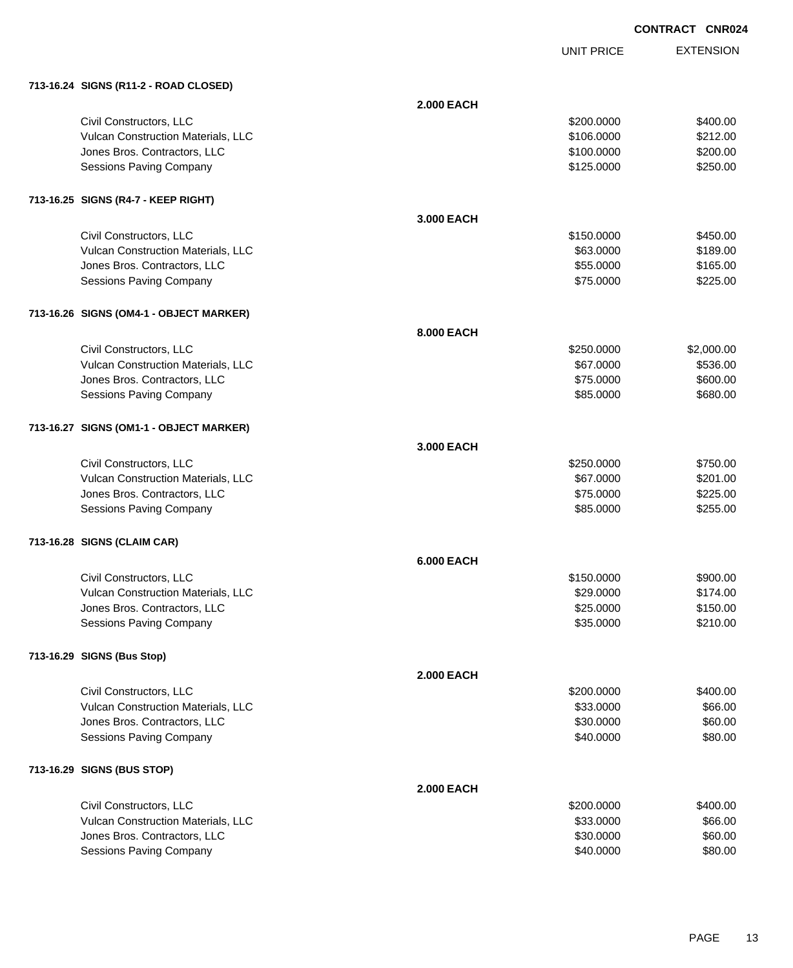UNIT PRICE

| 713-16.24 SIGNS (R11-2 - ROAD CLOSED) |  |  |
|---------------------------------------|--|--|
|                                       |  |  |

| 713-16.24 SIGNS (R11-2 - ROAD CLOSED)   |                   |            |            |
|-----------------------------------------|-------------------|------------|------------|
|                                         | <b>2.000 EACH</b> |            |            |
| Civil Constructors, LLC                 |                   | \$200.0000 | \$400.00   |
| Vulcan Construction Materials, LLC      |                   | \$106.0000 | \$212.00   |
| Jones Bros. Contractors, LLC            |                   | \$100.0000 | \$200.00   |
| Sessions Paving Company                 |                   | \$125.0000 | \$250.00   |
|                                         |                   |            |            |
| 713-16.25 SIGNS (R4-7 - KEEP RIGHT)     |                   |            |            |
|                                         | 3.000 EACH        |            |            |
| Civil Constructors, LLC                 |                   | \$150.0000 | \$450.00   |
| Vulcan Construction Materials, LLC      |                   | \$63.0000  | \$189.00   |
| Jones Bros. Contractors, LLC            |                   | \$55.0000  | \$165.00   |
| Sessions Paving Company                 |                   | \$75.0000  | \$225.00   |
| 713-16.26 SIGNS (OM4-1 - OBJECT MARKER) |                   |            |            |
|                                         | 8.000 EACH        |            |            |
| Civil Constructors, LLC                 |                   | \$250.0000 | \$2,000.00 |
| Vulcan Construction Materials, LLC      |                   | \$67.0000  | \$536.00   |
| Jones Bros. Contractors, LLC            |                   | \$75.0000  | \$600.00   |
| <b>Sessions Paving Company</b>          |                   | \$85.0000  | \$680.00   |
| 713-16.27 SIGNS (OM1-1 - OBJECT MARKER) |                   |            |            |
|                                         | 3.000 EACH        |            |            |
| Civil Constructors, LLC                 |                   | \$250.0000 | \$750.00   |
| Vulcan Construction Materials, LLC      |                   | \$67.0000  | \$201.00   |
| Jones Bros. Contractors, LLC            |                   | \$75.0000  | \$225.00   |
| Sessions Paving Company                 |                   | \$85.0000  | \$255.00   |
| 713-16.28 SIGNS (CLAIM CAR)             |                   |            |            |
|                                         | <b>6.000 EACH</b> |            |            |
| Civil Constructors, LLC                 |                   | \$150.0000 | \$900.00   |
| Vulcan Construction Materials, LLC      |                   | \$29.0000  | \$174.00   |
| Jones Bros. Contractors, LLC            |                   | \$25.0000  | \$150.00   |
| <b>Sessions Paving Company</b>          |                   | \$35.0000  | \$210.00   |
|                                         |                   |            |            |
| 713-16.29 SIGNS (Bus Stop)              |                   |            |            |
|                                         | <b>2.000 EACH</b> |            |            |
| Civil Constructors, LLC                 |                   | \$200.0000 | \$400.00   |
| Vulcan Construction Materials, LLC      |                   | \$33.0000  | \$66.00    |
| Jones Bros. Contractors, LLC            |                   | \$30.0000  | \$60.00    |
| <b>Sessions Paving Company</b>          |                   | \$40.0000  | \$80.00    |
| 713-16.29 SIGNS (BUS STOP)              |                   |            |            |
|                                         | <b>2.000 EACH</b> |            |            |
| Civil Constructors, LLC                 |                   | \$200.0000 | \$400.00   |
| Vulcan Construction Materials, LLC      |                   | \$33.0000  | \$66.00    |
| Jones Bros. Contractors, LLC            |                   | \$30.0000  | \$60.00    |
| <b>Sessions Paving Company</b>          |                   | \$40.0000  | \$80.00    |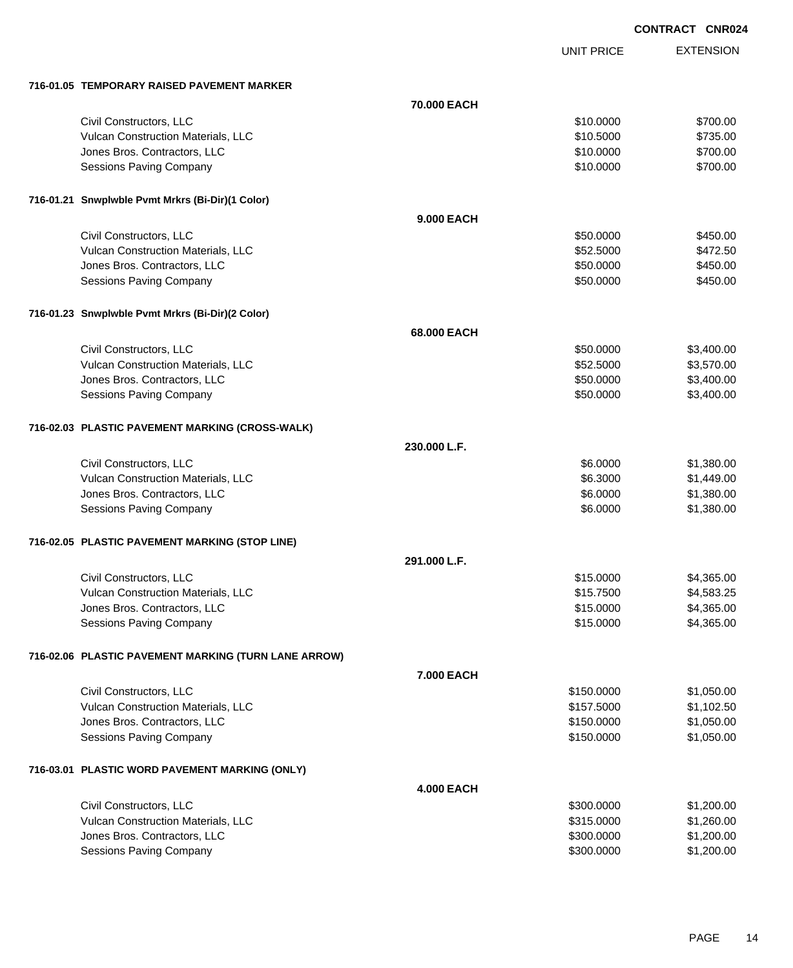UNIT PRICE

| 716-01.05 TEMPORARY RAISED PAVEMENT MARKER           |                   |            |            |
|------------------------------------------------------|-------------------|------------|------------|
|                                                      | 70.000 EACH       |            |            |
| Civil Constructors, LLC                              |                   | \$10.0000  | \$700.00   |
| Vulcan Construction Materials, LLC                   |                   | \$10.5000  | \$735.00   |
| Jones Bros. Contractors, LLC                         |                   | \$10.0000  | \$700.00   |
| Sessions Paving Company                              |                   | \$10.0000  | \$700.00   |
|                                                      |                   |            |            |
| 716-01.21 Snwplwble Pvmt Mrkrs (Bi-Dir)(1 Color)     |                   |            |            |
|                                                      | 9.000 EACH        |            |            |
| Civil Constructors, LLC                              |                   | \$50.0000  | \$450.00   |
| Vulcan Construction Materials, LLC                   |                   | \$52.5000  | \$472.50   |
| Jones Bros. Contractors, LLC                         |                   | \$50.0000  | \$450.00   |
| Sessions Paving Company                              |                   | \$50.0000  | \$450.00   |
|                                                      |                   |            |            |
| 716-01.23 Snwplwble Pvmt Mrkrs (Bi-Dir)(2 Color)     |                   |            |            |
|                                                      | 68.000 EACH       |            |            |
| Civil Constructors, LLC                              |                   | \$50.0000  | \$3,400.00 |
| Vulcan Construction Materials, LLC                   |                   | \$52.5000  | \$3,570.00 |
| Jones Bros. Contractors, LLC                         |                   | \$50.0000  | \$3,400.00 |
| Sessions Paving Company                              |                   | \$50.0000  | \$3,400.00 |
|                                                      |                   |            |            |
| 716-02.03 PLASTIC PAVEMENT MARKING (CROSS-WALK)      |                   |            |            |
|                                                      | 230.000 L.F.      |            |            |
| Civil Constructors, LLC                              |                   | \$6.0000   | \$1,380.00 |
| Vulcan Construction Materials, LLC                   |                   | \$6.3000   | \$1,449.00 |
| Jones Bros. Contractors, LLC                         |                   | \$6.0000   | \$1,380.00 |
| Sessions Paving Company                              |                   | \$6.0000   | \$1,380.00 |
|                                                      |                   |            |            |
| 716-02.05 PLASTIC PAVEMENT MARKING (STOP LINE)       |                   |            |            |
|                                                      | 291.000 L.F.      |            |            |
| Civil Constructors, LLC                              |                   | \$15.0000  | \$4,365.00 |
| Vulcan Construction Materials, LLC                   |                   | \$15.7500  | \$4,583.25 |
| Jones Bros. Contractors, LLC                         |                   | \$15.0000  | \$4,365.00 |
| <b>Sessions Paving Company</b>                       |                   | \$15.0000  | \$4,365.00 |
| 716-02.06 PLASTIC PAVEMENT MARKING (TURN LANE ARROW) |                   |            |            |
|                                                      | 7.000 EACH        |            |            |
| Civil Constructors, LLC                              |                   | \$150.0000 | \$1,050.00 |
| Vulcan Construction Materials, LLC                   |                   | \$157.5000 | \$1,102.50 |
| Jones Bros. Contractors, LLC                         |                   | \$150.0000 | \$1,050.00 |
| Sessions Paving Company                              |                   | \$150.0000 | \$1,050.00 |
|                                                      |                   |            |            |
| 716-03.01 PLASTIC WORD PAVEMENT MARKING (ONLY)       |                   |            |            |
|                                                      | <b>4.000 EACH</b> |            |            |
| Civil Constructors, LLC                              |                   | \$300.0000 | \$1,200.00 |
| Vulcan Construction Materials, LLC                   |                   | \$315.0000 | \$1,260.00 |
| Jones Bros. Contractors, LLC                         |                   | \$300.0000 | \$1,200.00 |
| Sessions Paving Company                              |                   | \$300.0000 | \$1,200.00 |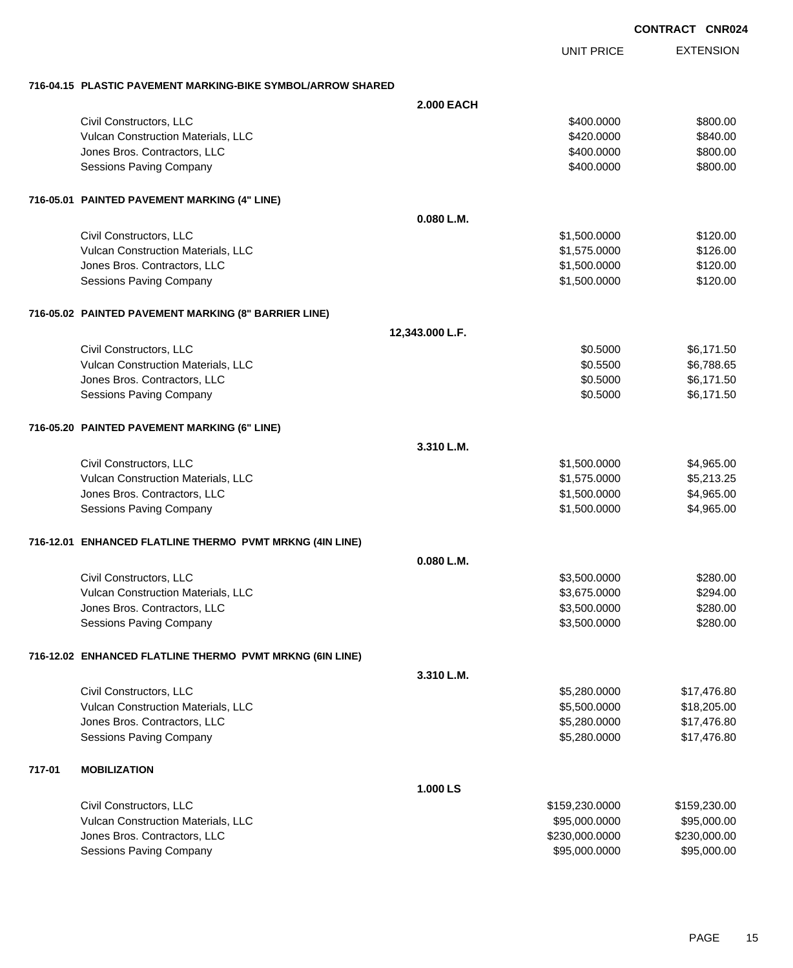EXTENSION UNIT PRICE

#### **716-04.15 PLASTIC PAVEMENT MARKING-BIKE SYMBOL/ARROW SHARED**

|        |                                                          | <b>2.000 EACH</b> |                |              |
|--------|----------------------------------------------------------|-------------------|----------------|--------------|
|        | Civil Constructors, LLC                                  |                   | \$400.0000     | \$800.00     |
|        | Vulcan Construction Materials, LLC                       |                   | \$420.0000     | \$840.00     |
|        | Jones Bros. Contractors, LLC                             |                   | \$400.0000     | \$800.00     |
|        | Sessions Paving Company                                  |                   | \$400.0000     | \$800.00     |
|        |                                                          |                   |                |              |
|        | 716-05.01 PAINTED PAVEMENT MARKING (4" LINE)             |                   |                |              |
|        |                                                          | 0.080 L.M.        |                |              |
|        | Civil Constructors, LLC                                  |                   | \$1,500.0000   | \$120.00     |
|        | Vulcan Construction Materials, LLC                       |                   | \$1,575.0000   | \$126.00     |
|        | Jones Bros. Contractors, LLC                             |                   | \$1,500.0000   | \$120.00     |
|        | Sessions Paving Company                                  |                   | \$1,500.0000   | \$120.00     |
|        | 716-05.02 PAINTED PAVEMENT MARKING (8" BARRIER LINE)     |                   |                |              |
|        |                                                          | 12,343.000 L.F.   |                |              |
|        | Civil Constructors, LLC                                  |                   | \$0.5000       | \$6,171.50   |
|        | Vulcan Construction Materials, LLC                       |                   | \$0.5500       | \$6,788.65   |
|        | Jones Bros. Contractors, LLC                             |                   | \$0.5000       | \$6,171.50   |
|        | Sessions Paving Company                                  |                   | \$0.5000       | \$6,171.50   |
|        | 716-05.20 PAINTED PAVEMENT MARKING (6" LINE)             |                   |                |              |
|        |                                                          | 3.310 L.M.        |                |              |
|        | Civil Constructors, LLC                                  |                   | \$1,500.0000   | \$4,965.00   |
|        | Vulcan Construction Materials, LLC                       |                   | \$1,575.0000   | \$5,213.25   |
|        | Jones Bros. Contractors, LLC                             |                   | \$1,500.0000   | \$4,965.00   |
|        | Sessions Paving Company                                  |                   | \$1,500.0000   | \$4,965.00   |
|        | 716-12.01 ENHANCED FLATLINE THERMO PVMT MRKNG (4IN LINE) |                   |                |              |
|        |                                                          | 0.080 L.M.        |                |              |
|        | Civil Constructors, LLC                                  |                   | \$3,500.0000   | \$280.00     |
|        | Vulcan Construction Materials, LLC                       |                   | \$3,675.0000   | \$294.00     |
|        | Jones Bros. Contractors, LLC                             |                   | \$3,500.0000   | \$280.00     |
|        | Sessions Paving Company                                  |                   | \$3,500.0000   | \$280.00     |
|        | 716-12.02 ENHANCED FLATLINE THERMO PVMT MRKNG (6IN LINE) |                   |                |              |
|        |                                                          | 3.310 L.M.        |                |              |
|        | Civil Constructors, LLC                                  |                   | \$5,280.0000   | \$17,476.80  |
|        | Vulcan Construction Materials, LLC                       |                   | \$5,500.0000   | \$18,205.00  |
|        | Jones Bros. Contractors, LLC                             |                   | \$5,280.0000   | \$17,476.80  |
|        | Sessions Paving Company                                  |                   | \$5,280.0000   | \$17,476.80  |
|        |                                                          |                   |                |              |
| 717-01 | <b>MOBILIZATION</b>                                      | 1.000 LS          |                |              |
|        | Civil Constructors, LLC                                  |                   | \$159,230.0000 | \$159,230.00 |
|        | Vulcan Construction Materials, LLC                       |                   | \$95,000.0000  | \$95,000.00  |
|        | Jones Bros. Contractors, LLC                             |                   | \$230,000.0000 | \$230,000.00 |
|        | Sessions Paving Company                                  |                   | \$95,000.0000  | \$95,000.00  |
|        |                                                          |                   |                |              |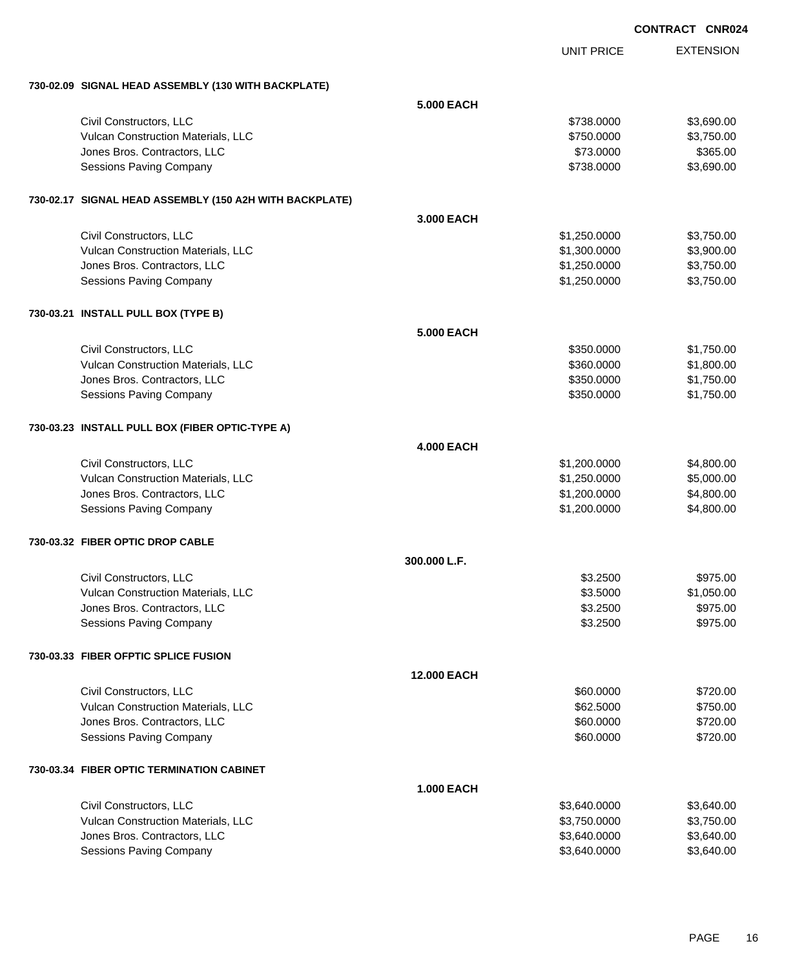|                                                         |                   |                   | <b>CONTRACT CNR024</b> |
|---------------------------------------------------------|-------------------|-------------------|------------------------|
|                                                         |                   | <b>UNIT PRICE</b> | <b>EXTENSION</b>       |
| 730-02.09 SIGNAL HEAD ASSEMBLY (130 WITH BACKPLATE)     |                   |                   |                        |
|                                                         | <b>5.000 EACH</b> |                   |                        |
| Civil Constructors, LLC                                 |                   | \$738.0000        | \$3,690.00             |
| Vulcan Construction Materials, LLC                      |                   | \$750.0000        | \$3,750.00             |
| Jones Bros. Contractors, LLC                            |                   | \$73.0000         | \$365.00               |
| <b>Sessions Paving Company</b>                          |                   | \$738.0000        | \$3,690.00             |
| 730-02.17 SIGNAL HEAD ASSEMBLY (150 A2H WITH BACKPLATE) |                   |                   |                        |
|                                                         | 3.000 EACH        |                   |                        |
| Civil Constructors, LLC                                 |                   | \$1,250.0000      | \$3,750.00             |
| Vulcan Construction Materials, LLC                      |                   | \$1,300.0000      | \$3,900.00             |
| Jones Bros. Contractors, LLC                            |                   | \$1,250.0000      | \$3,750.00             |
| <b>Sessions Paving Company</b>                          |                   | \$1,250.0000      | \$3,750.00             |
| 730-03.21 INSTALL PULL BOX (TYPE B)                     |                   |                   |                        |
|                                                         | <b>5.000 EACH</b> |                   |                        |
| Civil Constructors, LLC                                 |                   | \$350,0000        | \$1,750.00             |
| Vulcan Construction Materials, LLC                      |                   | \$360.0000        | \$1,800.00             |
| Jones Bros. Contractors, LLC                            |                   | \$350.0000        | \$1,750.00             |
| <b>Sessions Paving Company</b>                          |                   | \$350.0000        | \$1,750.00             |
| 730-03.23 INSTALL PULL BOX (FIBER OPTIC-TYPE A)         |                   |                   |                        |
|                                                         | <b>4.000 EACH</b> |                   |                        |
| Civil Constructors, LLC                                 |                   | \$1,200.0000      | \$4,800.00             |
| Vulcan Construction Materials, LLC                      |                   | \$1,250.0000      | \$5,000.00             |
| Jones Bros. Contractors, LLC                            |                   | \$1,200.0000      | \$4,800.00             |
| <b>Sessions Paving Company</b>                          |                   | \$1,200.0000      | \$4,800.00             |
| 730-03.32 FIBER OPTIC DROP CABLE                        |                   |                   |                        |
|                                                         | 300.000 L.F.      |                   |                        |
| Civil Constructors, LLC                                 |                   | \$3.2500          | \$975.00               |
| Vulcan Construction Materials, LLC                      |                   | \$3.5000          | \$1,050.00             |
| Jones Bros. Contractors, LLC                            |                   | \$3.2500          | \$975.00               |
| <b>Sessions Paving Company</b>                          |                   | \$3.2500          | \$975.00               |
| 730-03.33 FIBER OFPTIC SPLICE FUSION                    |                   |                   |                        |
|                                                         | 12.000 EACH       |                   |                        |
| Civil Constructors, LLC                                 |                   | \$60.0000         | \$720.00               |
| Vulcan Construction Materials, LLC                      |                   | \$62.5000         | \$750.00               |
| Jones Bros. Contractors, LLC                            |                   | \$60.0000         | \$720.00               |
| <b>Sessions Paving Company</b>                          |                   | \$60.0000         | \$720.00               |
| 730-03.34 FIBER OPTIC TERMINATION CABINET               |                   |                   |                        |
|                                                         | <b>1.000 EACH</b> |                   |                        |
| Civil Constructors, LLC                                 |                   | \$3,640.0000      | \$3,640.00             |
| Vulcan Construction Materials, LLC                      |                   | \$3,750.0000      | \$3,750.00             |
| Jones Bros. Contractors, LLC                            |                   | \$3,640.0000      | \$3,640.00             |
| <b>Sessions Paving Company</b>                          |                   | \$3,640.0000      | \$3,640.00             |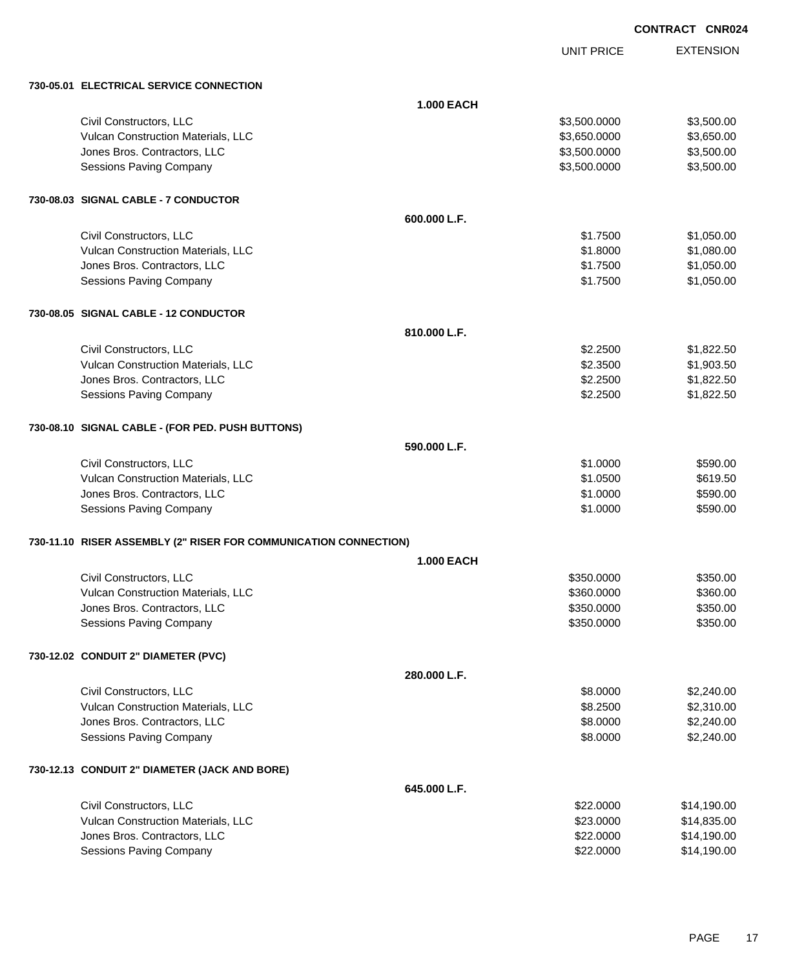UNIT PRICE

| 730-05.01 ELECTRICAL SERVICE CONNECTION                          |                   |              |             |
|------------------------------------------------------------------|-------------------|--------------|-------------|
|                                                                  | <b>1.000 EACH</b> |              |             |
| Civil Constructors, LLC                                          |                   | \$3,500.0000 | \$3,500.00  |
| Vulcan Construction Materials, LLC                               |                   | \$3,650.0000 | \$3,650.00  |
| Jones Bros. Contractors, LLC                                     |                   | \$3,500.0000 | \$3,500.00  |
| Sessions Paving Company                                          |                   | \$3,500.0000 | \$3,500.00  |
| 730-08.03 SIGNAL CABLE - 7 CONDUCTOR                             |                   |              |             |
|                                                                  | 600.000 L.F.      |              |             |
| Civil Constructors, LLC                                          |                   | \$1.7500     | \$1,050.00  |
| Vulcan Construction Materials, LLC                               |                   | \$1.8000     | \$1,080.00  |
| Jones Bros. Contractors, LLC                                     |                   | \$1.7500     | \$1,050.00  |
| <b>Sessions Paving Company</b>                                   |                   | \$1.7500     | \$1,050.00  |
| 730-08.05 SIGNAL CABLE - 12 CONDUCTOR                            |                   |              |             |
|                                                                  | 810.000 L.F.      |              |             |
| Civil Constructors, LLC                                          |                   | \$2.2500     | \$1,822.50  |
| Vulcan Construction Materials, LLC                               |                   | \$2.3500     | \$1,903.50  |
| Jones Bros. Contractors, LLC                                     |                   | \$2.2500     | \$1,822.50  |
| <b>Sessions Paving Company</b>                                   |                   | \$2.2500     | \$1,822.50  |
|                                                                  |                   |              |             |
| 730-08.10 SIGNAL CABLE - (FOR PED. PUSH BUTTONS)                 |                   |              |             |
|                                                                  | 590.000 L.F.      |              |             |
| Civil Constructors, LLC                                          |                   | \$1.0000     | \$590.00    |
| Vulcan Construction Materials, LLC                               |                   | \$1.0500     | \$619.50    |
| Jones Bros. Contractors, LLC                                     |                   | \$1.0000     | \$590.00    |
| <b>Sessions Paving Company</b>                                   |                   | \$1.0000     | \$590.00    |
| 730-11.10 RISER ASSEMBLY (2" RISER FOR COMMUNICATION CONNECTION) |                   |              |             |
|                                                                  | <b>1.000 EACH</b> |              |             |
| Civil Constructors, LLC                                          |                   | \$350.0000   | \$350.00    |
| Vulcan Construction Materials, LLC                               |                   | \$360.0000   | \$360.00    |
| Jones Bros. Contractors, LLC                                     |                   | \$350.0000   | \$350.00    |
| Sessions Paving Company                                          |                   | \$350.0000   | \$350.00    |
| 730-12.02 CONDUIT 2" DIAMETER (PVC)                              |                   |              |             |
|                                                                  | 280.000 L.F.      |              |             |
| Civil Constructors, LLC                                          |                   | \$8.0000     | \$2,240.00  |
| Vulcan Construction Materials, LLC                               |                   | \$8.2500     | \$2,310.00  |
| Jones Bros. Contractors, LLC                                     |                   | \$8.0000     | \$2,240.00  |
| <b>Sessions Paving Company</b>                                   |                   | \$8.0000     | \$2,240.00  |
| 730-12.13 CONDUIT 2" DIAMETER (JACK AND BORE)                    |                   |              |             |
|                                                                  | 645.000 L.F.      |              |             |
| Civil Constructors, LLC                                          |                   | \$22.0000    | \$14,190.00 |
| Vulcan Construction Materials, LLC                               |                   | \$23.0000    | \$14,835.00 |
| Jones Bros. Contractors, LLC                                     |                   | \$22.0000    | \$14,190.00 |
| Sessions Paving Company                                          |                   | \$22.0000    | \$14,190.00 |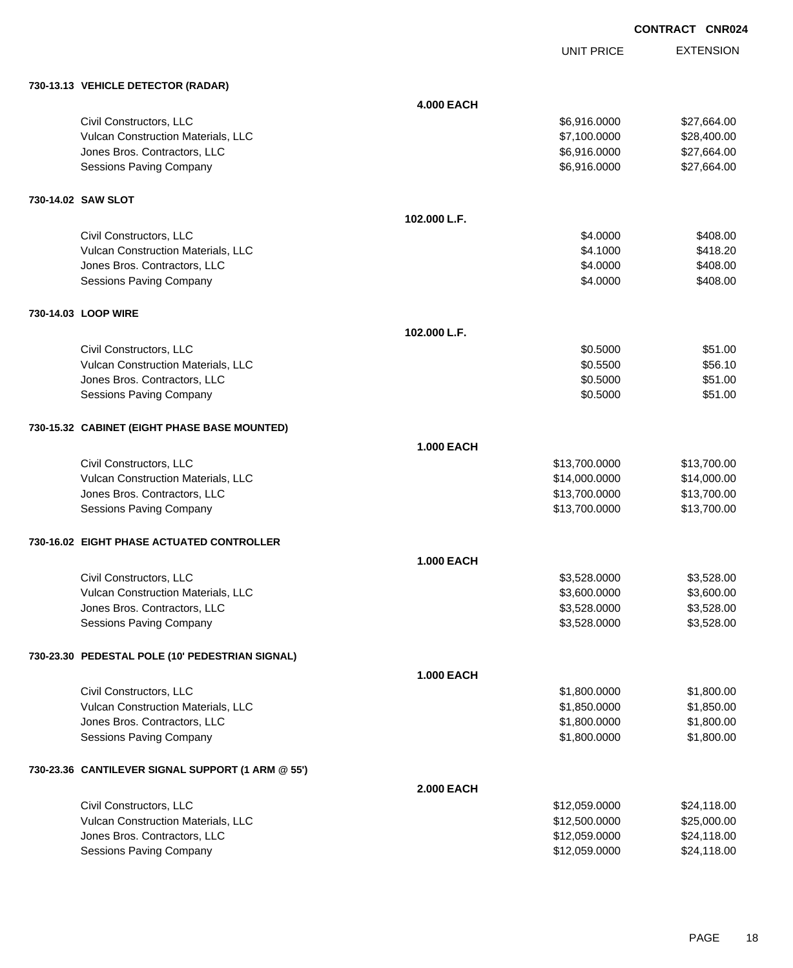UNIT PRICE

| 730-13.13 VEHICLE DETECTOR (RADAR)                |                   |               |             |
|---------------------------------------------------|-------------------|---------------|-------------|
|                                                   | <b>4.000 EACH</b> |               |             |
| Civil Constructors, LLC                           |                   | \$6,916.0000  | \$27,664.00 |
| Vulcan Construction Materials, LLC                |                   | \$7,100.0000  | \$28,400.00 |
| Jones Bros. Contractors, LLC                      |                   | \$6,916.0000  | \$27,664.00 |
| <b>Sessions Paving Company</b>                    |                   | \$6,916.0000  | \$27,664.00 |
| 730-14.02 SAW SLOT                                |                   |               |             |
|                                                   | 102.000 L.F.      |               |             |
| Civil Constructors, LLC                           |                   | \$4.0000      | \$408.00    |
| Vulcan Construction Materials, LLC                |                   | \$4.1000      | \$418.20    |
| Jones Bros. Contractors, LLC                      |                   | \$4.0000      | \$408.00    |
| Sessions Paving Company                           |                   | \$4.0000      | \$408.00    |
| 730-14.03 LOOP WIRE                               |                   |               |             |
|                                                   | 102.000 L.F.      |               |             |
| Civil Constructors, LLC                           |                   | \$0.5000      | \$51.00     |
| Vulcan Construction Materials, LLC                |                   | \$0.5500      | \$56.10     |
| Jones Bros. Contractors, LLC                      |                   | \$0.5000      | \$51.00     |
| <b>Sessions Paving Company</b>                    |                   | \$0.5000      | \$51.00     |
| 730-15.32 CABINET (EIGHT PHASE BASE MOUNTED)      |                   |               |             |
|                                                   | <b>1.000 EACH</b> |               |             |
| Civil Constructors, LLC                           |                   | \$13,700.0000 | \$13,700.00 |
| Vulcan Construction Materials, LLC                |                   | \$14,000.0000 | \$14,000.00 |
| Jones Bros. Contractors, LLC                      |                   | \$13,700.0000 | \$13,700.00 |
| Sessions Paving Company                           |                   | \$13,700.0000 | \$13,700.00 |
| 730-16.02 EIGHT PHASE ACTUATED CONTROLLER         |                   |               |             |
|                                                   | <b>1.000 EACH</b> |               |             |
| Civil Constructors, LLC                           |                   | \$3,528.0000  | \$3,528.00  |
| Vulcan Construction Materials, LLC                |                   | \$3,600.0000  | \$3,600.00  |
| Jones Bros. Contractors, LLC                      |                   | \$3,528.0000  | \$3,528.00  |
| Sessions Paving Company                           |                   | \$3,528.0000  | \$3,528.00  |
| 730-23.30 PEDESTAL POLE (10' PEDESTRIAN SIGNAL)   |                   |               |             |
|                                                   | <b>1.000 EACH</b> |               |             |
| Civil Constructors, LLC                           |                   | \$1,800.0000  | \$1,800.00  |
| Vulcan Construction Materials, LLC                |                   | \$1,850.0000  | \$1,850.00  |
| Jones Bros. Contractors, LLC                      |                   | \$1,800.0000  | \$1,800.00  |
| Sessions Paving Company                           |                   | \$1,800.0000  | \$1,800.00  |
| 730-23.36 CANTILEVER SIGNAL SUPPORT (1 ARM @ 55') |                   |               |             |
|                                                   | <b>2.000 EACH</b> |               |             |
| Civil Constructors, LLC                           |                   | \$12,059.0000 | \$24,118.00 |
| Vulcan Construction Materials, LLC                |                   | \$12,500.0000 | \$25,000.00 |
| Jones Bros. Contractors, LLC                      |                   | \$12,059.0000 | \$24,118.00 |
| Sessions Paving Company                           |                   | \$12,059.0000 | \$24,118.00 |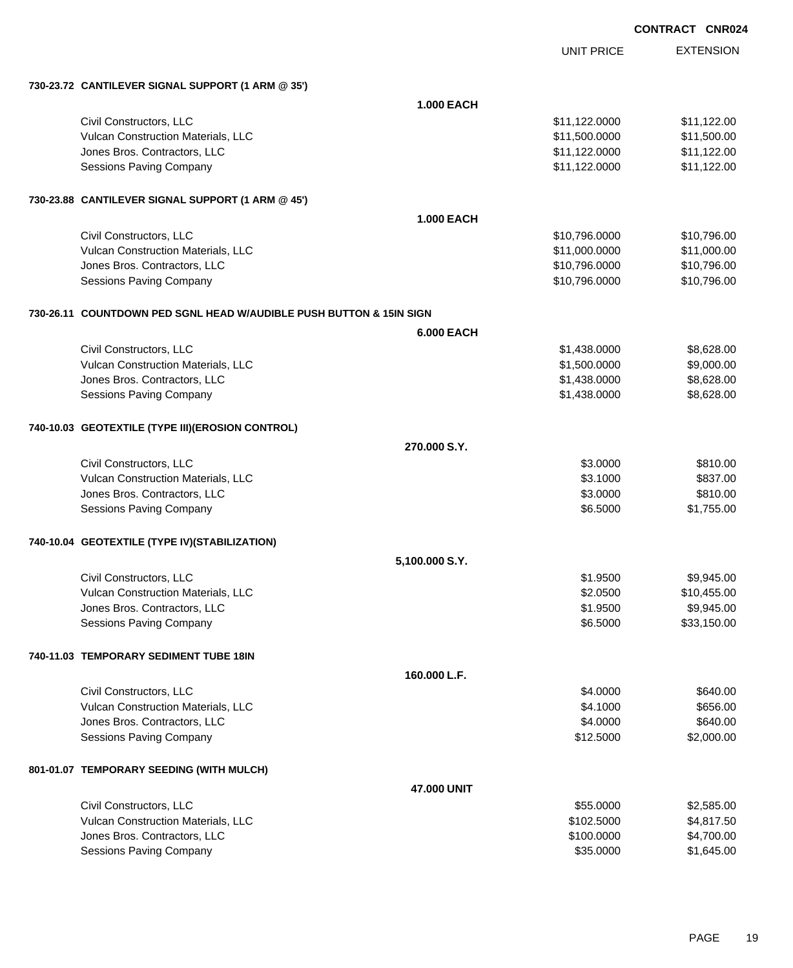| <b>CONTRACT</b> | <b>CNR024</b> |
|-----------------|---------------|
|                 |               |

UNIT PRICE EXTENSION

**730-23.72 CANTILEVER SIGNAL SUPPORT (1 ARM @ 35')**

| 730-23.72 CANTILEVER SIGNAL SUPPORT (1 ARM @ 35')                   |                    |               |             |  |  |
|---------------------------------------------------------------------|--------------------|---------------|-------------|--|--|
|                                                                     | 1.000 EACH         |               |             |  |  |
| Civil Constructors, LLC                                             |                    | \$11,122.0000 | \$11,122.00 |  |  |
| Vulcan Construction Materials, LLC                                  |                    | \$11,500.0000 | \$11,500.00 |  |  |
| Jones Bros. Contractors, LLC                                        |                    | \$11,122.0000 | \$11,122.00 |  |  |
| Sessions Paving Company                                             |                    | \$11,122.0000 | \$11,122.00 |  |  |
| 730-23.88 CANTILEVER SIGNAL SUPPORT (1 ARM @ 45')                   |                    |               |             |  |  |
|                                                                     | <b>1.000 EACH</b>  |               |             |  |  |
| Civil Constructors, LLC                                             |                    | \$10,796.0000 | \$10,796.00 |  |  |
| Vulcan Construction Materials, LLC                                  |                    | \$11,000.0000 | \$11,000.00 |  |  |
| Jones Bros. Contractors, LLC                                        |                    | \$10,796.0000 | \$10,796.00 |  |  |
| Sessions Paving Company                                             |                    | \$10,796.0000 | \$10,796.00 |  |  |
| 730-26.11 COUNTDOWN PED SGNL HEAD W/AUDIBLE PUSH BUTTON & 15IN SIGN |                    |               |             |  |  |
|                                                                     | <b>6.000 EACH</b>  |               |             |  |  |
| Civil Constructors, LLC                                             |                    | \$1,438.0000  | \$8,628.00  |  |  |
| Vulcan Construction Materials, LLC                                  |                    | \$1,500.0000  | \$9,000.00  |  |  |
| Jones Bros. Contractors, LLC                                        |                    | \$1,438.0000  | \$8,628.00  |  |  |
| <b>Sessions Paving Company</b>                                      |                    | \$1,438.0000  | \$8,628.00  |  |  |
| 740-10.03 GEOTEXTILE (TYPE III) (EROSION CONTROL)                   |                    |               |             |  |  |
|                                                                     | 270.000 S.Y.       |               |             |  |  |
| Civil Constructors, LLC                                             |                    | \$3.0000      | \$810.00    |  |  |
| Vulcan Construction Materials, LLC                                  |                    | \$3.1000      | \$837.00    |  |  |
| Jones Bros. Contractors, LLC                                        |                    | \$3.0000      | \$810.00    |  |  |
| Sessions Paving Company                                             |                    | \$6.5000      | \$1,755.00  |  |  |
| 740-10.04 GEOTEXTILE (TYPE IV)(STABILIZATION)                       |                    |               |             |  |  |
|                                                                     | 5,100.000 S.Y.     |               |             |  |  |
| Civil Constructors, LLC                                             |                    | \$1.9500      | \$9,945.00  |  |  |
| Vulcan Construction Materials, LLC                                  |                    | \$2.0500      | \$10,455.00 |  |  |
| Jones Bros. Contractors, LLC                                        |                    | \$1.9500      | \$9,945.00  |  |  |
| <b>Sessions Paving Company</b>                                      |                    | \$6.5000      | \$33,150.00 |  |  |
| 740-11.03 TEMPORARY SEDIMENT TUBE 18IN                              |                    |               |             |  |  |
|                                                                     | 160.000 L.F.       |               |             |  |  |
| Civil Constructors, LLC                                             |                    | \$4.0000      | \$640.00    |  |  |
| Vulcan Construction Materials, LLC                                  |                    | \$4.1000      | \$656.00    |  |  |
| Jones Bros. Contractors, LLC                                        |                    | \$4.0000      | \$640.00    |  |  |
| <b>Sessions Paving Company</b>                                      |                    | \$12.5000     | \$2,000.00  |  |  |
| 801-01.07 TEMPORARY SEEDING (WITH MULCH)                            |                    |               |             |  |  |
|                                                                     | <b>47,000 UNIT</b> |               |             |  |  |
| Civil Constructors, LLC                                             |                    | \$55.0000     | \$2,585.00  |  |  |
| Vulcan Construction Materials, LLC                                  |                    | \$102.5000    | \$4,817.50  |  |  |
| Jones Bros. Contractors, LLC                                        |                    | \$100.0000    | \$4,700.00  |  |  |
| Sessions Paving Company                                             |                    | \$35.0000     | \$1,645.00  |  |  |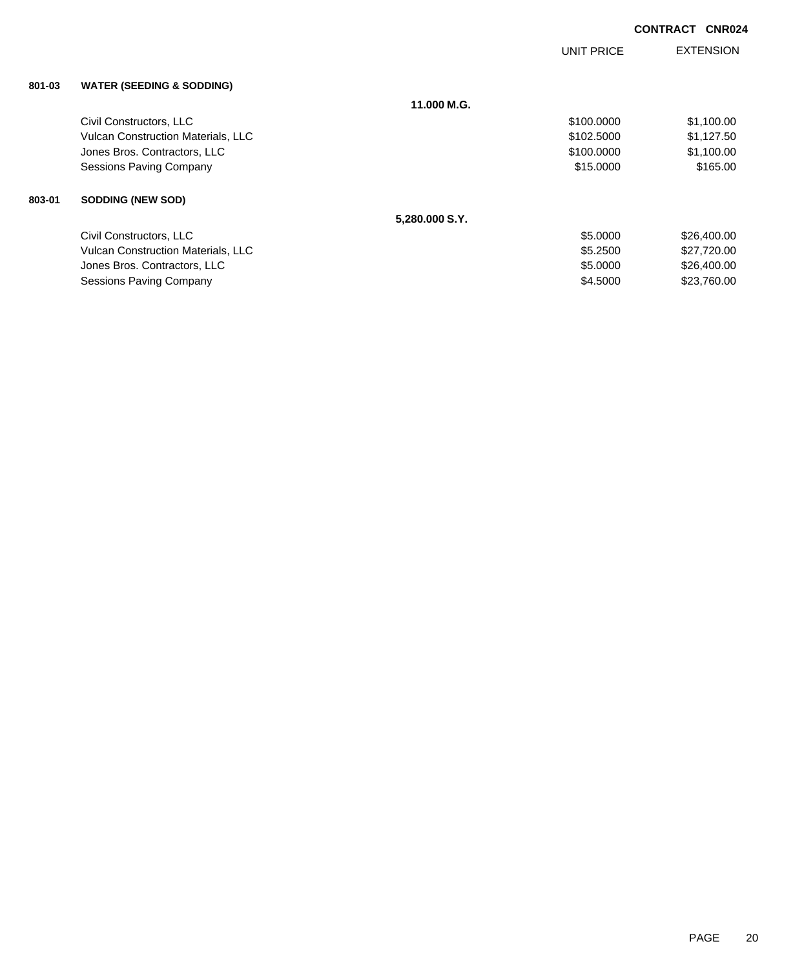|        |                                           |                | <b>UNIT PRICE</b> | <b>EXTENSION</b> |
|--------|-------------------------------------------|----------------|-------------------|------------------|
| 801-03 | <b>WATER (SEEDING &amp; SODDING)</b>      |                |                   |                  |
|        |                                           | 11.000 M.G.    |                   |                  |
|        | Civil Constructors, LLC                   |                | \$100.0000        | \$1,100.00       |
|        | <b>Vulcan Construction Materials, LLC</b> |                | \$102.5000        | \$1,127.50       |
|        | Jones Bros. Contractors, LLC              |                | \$100.0000        | \$1,100.00       |
|        | <b>Sessions Paving Company</b>            |                | \$15.0000         | \$165.00         |
| 803-01 | <b>SODDING (NEW SOD)</b>                  |                |                   |                  |
|        |                                           | 5,280.000 S.Y. |                   |                  |
|        | Civil Constructors, LLC                   |                | \$5.0000          | \$26,400.00      |
|        | <b>Vulcan Construction Materials, LLC</b> |                | \$5.2500          | \$27,720.00      |
|        | Jones Bros. Contractors, LLC              |                | \$5.0000          | \$26,400.00      |
|        | Sessions Paving Company                   |                | \$4,5000          | \$23,760.00      |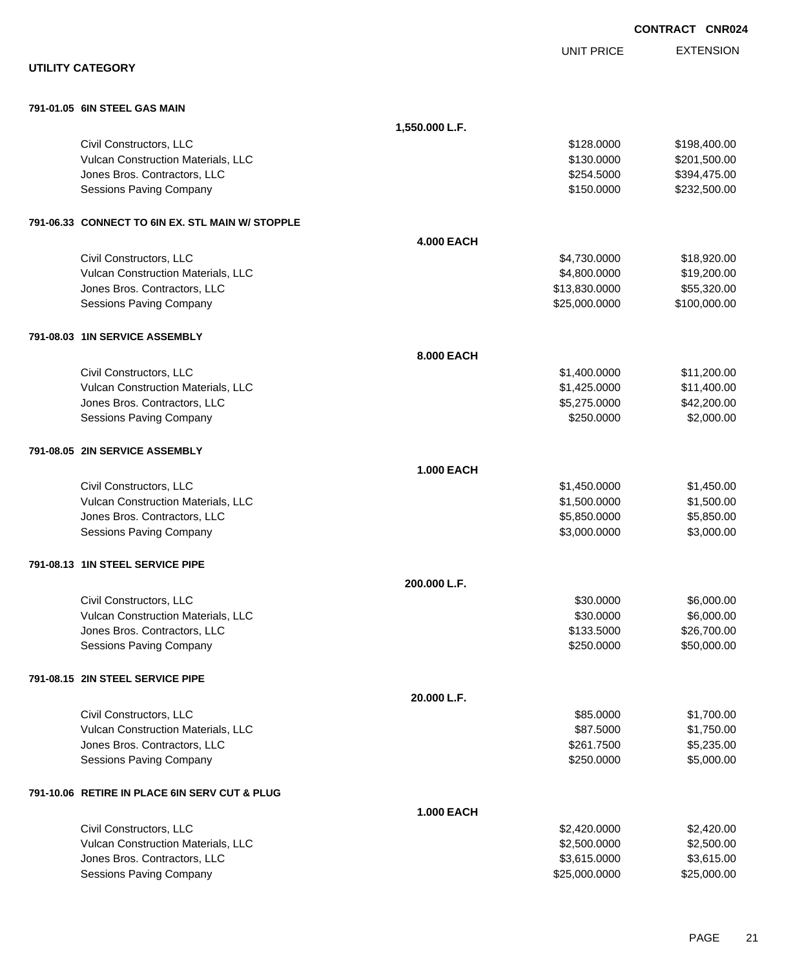|                                                                    |                   |                              | <b>CONTRACT CNR024</b>      |
|--------------------------------------------------------------------|-------------------|------------------------------|-----------------------------|
|                                                                    |                   | <b>UNIT PRICE</b>            | <b>EXTENSION</b>            |
| <b>UTILITY CATEGORY</b>                                            |                   |                              |                             |
| 791-01.05 6IN STEEL GAS MAIN                                       |                   |                              |                             |
|                                                                    | 1,550.000 L.F.    |                              |                             |
| Civil Constructors, LLC                                            |                   | \$128,0000                   | \$198,400.00                |
| Vulcan Construction Materials, LLC                                 |                   | \$130.0000                   | \$201,500.00                |
| Jones Bros. Contractors, LLC                                       |                   | \$254.5000                   | \$394,475.00                |
| <b>Sessions Paving Company</b>                                     |                   | \$150.0000                   | \$232,500.00                |
| 791-06.33 CONNECT TO 6IN EX. STL MAIN W/ STOPPLE                   |                   |                              |                             |
|                                                                    | <b>4.000 EACH</b> |                              |                             |
| Civil Constructors, LLC                                            |                   | \$4,730.0000                 | \$18,920.00                 |
| Vulcan Construction Materials, LLC                                 |                   | \$4,800.0000                 | \$19,200.00                 |
| Jones Bros. Contractors, LLC                                       |                   | \$13,830.0000                | \$55,320.00<br>\$100,000.00 |
| <b>Sessions Paving Company</b>                                     |                   | \$25,000.0000                |                             |
| 791-08.03 1IN SERVICE ASSEMBLY                                     |                   |                              |                             |
|                                                                    | 8.000 EACH        |                              |                             |
| Civil Constructors, LLC                                            |                   | \$1,400.0000                 | \$11,200.00                 |
| Vulcan Construction Materials, LLC                                 |                   | \$1,425.0000                 | \$11,400.00                 |
| Jones Bros. Contractors, LLC<br><b>Sessions Paving Company</b>     |                   | \$5,275.0000<br>\$250.0000   | \$42,200.00<br>\$2,000.00   |
|                                                                    |                   |                              |                             |
| 791-08.05 2IN SERVICE ASSEMBLY                                     |                   |                              |                             |
|                                                                    | <b>1.000 EACH</b> |                              |                             |
| Civil Constructors, LLC                                            |                   | \$1,450.0000                 | \$1,450.00                  |
| Vulcan Construction Materials, LLC                                 |                   | \$1,500.0000                 | \$1,500.00                  |
| Jones Bros. Contractors, LLC<br><b>Sessions Paving Company</b>     |                   | \$5,850.0000<br>\$3,000.0000 | \$5,850.00<br>\$3,000.00    |
|                                                                    |                   |                              |                             |
| 791-08.13 1IN STEEL SERVICE PIPE                                   |                   |                              |                             |
|                                                                    | 200.000 L.F.      |                              |                             |
| Civil Constructors, LLC                                            |                   | \$30.0000                    | \$6,000.00                  |
| Vulcan Construction Materials, LLC                                 |                   | \$30.0000<br>\$133.5000      | \$6,000.00                  |
| Jones Bros. Contractors, LLC<br><b>Sessions Paving Company</b>     |                   | \$250.0000                   | \$26,700.00<br>\$50,000.00  |
|                                                                    |                   |                              |                             |
| 791-08.15 2IN STEEL SERVICE PIPE                                   |                   |                              |                             |
|                                                                    | 20.000 L.F.       |                              |                             |
| Civil Constructors, LLC                                            |                   | \$85.0000                    | \$1,700.00                  |
| Vulcan Construction Materials, LLC<br>Jones Bros. Contractors, LLC |                   | \$87.5000<br>\$261.7500      | \$1,750.00<br>\$5,235.00    |
| <b>Sessions Paving Company</b>                                     |                   | \$250.0000                   | \$5,000.00                  |
| 791-10.06 RETIRE IN PLACE 6IN SERV CUT & PLUG                      |                   |                              |                             |
|                                                                    | <b>1.000 EACH</b> |                              |                             |
| Civil Constructors, LLC                                            |                   | \$2,420.0000                 | \$2,420.00                  |
| Vulcan Construction Materials, LLC                                 |                   | \$2,500.0000                 | \$2,500.00                  |
| Jones Bros. Contractors, LLC                                       |                   | \$3,615.0000                 | \$3,615.00                  |
| <b>Sessions Paving Company</b>                                     |                   | \$25,000.0000                | \$25,000.00                 |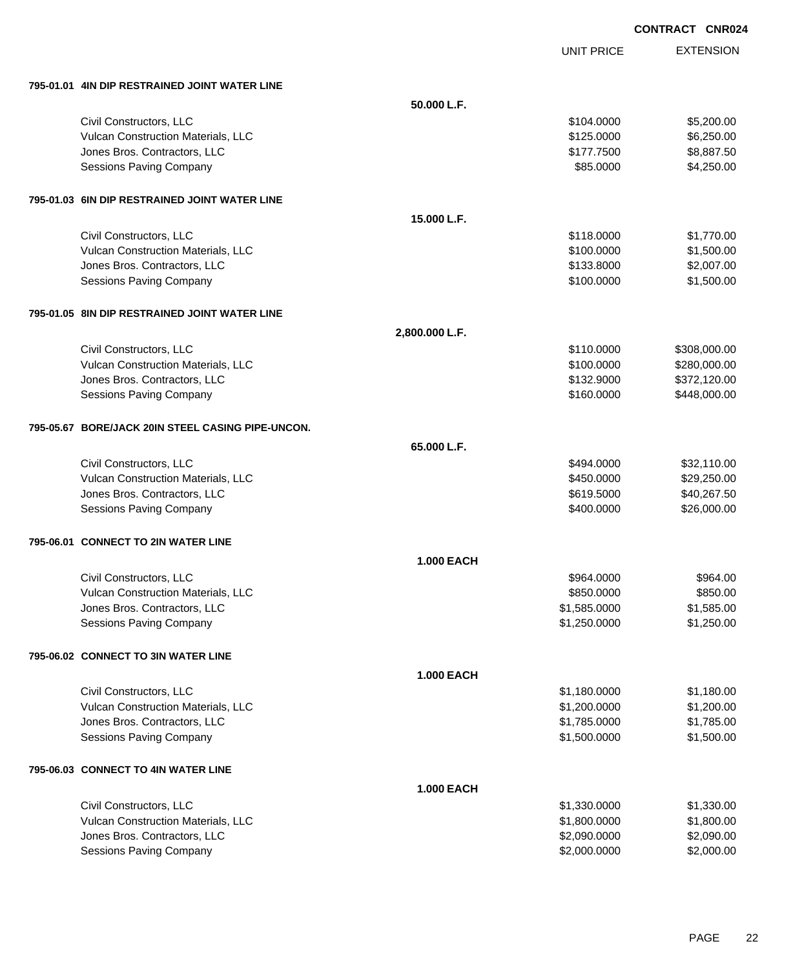EXTENSION **CONTRACT CNR024**

UNIT PRICE

|  | 795-01.01 4IN DIP RESTRAINED JOINT WATER LINE |  |  |
|--|-----------------------------------------------|--|--|
|  |                                               |  |  |

| 50.000 L.F.<br>Civil Constructors, LLC<br>\$5,200.00<br>\$104.0000<br>Vulcan Construction Materials, LLC<br>\$125.0000<br>\$6,250.00<br>\$8,887.50<br>Jones Bros. Contractors, LLC<br>\$177.7500<br>\$4,250.00<br><b>Sessions Paving Company</b><br>\$85.0000<br>795-01.03 6IN DIP RESTRAINED JOINT WATER LINE<br>15.000 L.F.<br>\$1,770.00<br>Civil Constructors, LLC<br>\$118.0000<br>Vulcan Construction Materials, LLC<br>\$100.0000<br>\$1,500.00<br>\$2,007.00<br>Jones Bros. Contractors, LLC<br>\$133.8000<br>\$1,500.00<br><b>Sessions Paving Company</b><br>\$100.0000<br>795-01.05 8IN DIP RESTRAINED JOINT WATER LINE<br>2,800.000 L.F.<br>Civil Constructors, LLC<br>\$110.0000<br>\$308,000.00<br>Vulcan Construction Materials, LLC<br>\$100.0000<br>\$280,000.00<br>Jones Bros. Contractors, LLC<br>\$132.9000<br>\$372,120.00<br><b>Sessions Paving Company</b><br>\$448,000.00<br>\$160.0000<br>795-05.67 BORE/JACK 20IN STEEL CASING PIPE-UNCON.<br>65.000 L.F.<br>Civil Constructors, LLC<br>\$494.0000<br>\$32,110.00<br>Vulcan Construction Materials, LLC<br>\$450.0000<br>\$29,250.00<br>Jones Bros. Contractors, LLC<br>\$40,267.50<br>\$619.5000<br>\$26,000.00<br><b>Sessions Paving Company</b><br>\$400.0000<br>795-06.01 CONNECT TO 2IN WATER LINE<br><b>1.000 EACH</b><br>Civil Constructors, LLC<br>\$964.00<br>\$964.0000<br>Vulcan Construction Materials, LLC<br>\$850.00<br>\$850.0000<br>Jones Bros. Contractors, LLC<br>\$1,585.0000<br>\$1,585.00<br>\$1,250.0000<br>\$1,250.00<br>Sessions Paving Company<br>795-06.02 CONNECT TO 3IN WATER LINE<br><b>1.000 EACH</b><br>Civil Constructors, LLC<br>\$1,180.00<br>\$1,180.0000<br>\$1,200.00<br>Vulcan Construction Materials, LLC<br>\$1,200.0000<br>\$1,785.00<br>Jones Bros. Contractors, LLC<br>\$1,785.0000<br>\$1,500.00<br><b>Sessions Paving Company</b><br>\$1,500.0000<br>795-06.03 CONNECT TO 4IN WATER LINE<br><b>1.000 EACH</b><br>Civil Constructors, LLC<br>\$1,330.00<br>\$1,330.0000<br>Vulcan Construction Materials, LLC<br>\$1,800.0000<br>\$1,800.00<br>Jones Bros. Contractors, LLC<br>\$2,090.0000<br>\$2,090.00<br>Sessions Paving Company<br>\$2,000.0000<br>\$2,000.00 | 795-01.01 4IN DIP RESTRAINED JOINT WATER LINE |  |  |
|------------------------------------------------------------------------------------------------------------------------------------------------------------------------------------------------------------------------------------------------------------------------------------------------------------------------------------------------------------------------------------------------------------------------------------------------------------------------------------------------------------------------------------------------------------------------------------------------------------------------------------------------------------------------------------------------------------------------------------------------------------------------------------------------------------------------------------------------------------------------------------------------------------------------------------------------------------------------------------------------------------------------------------------------------------------------------------------------------------------------------------------------------------------------------------------------------------------------------------------------------------------------------------------------------------------------------------------------------------------------------------------------------------------------------------------------------------------------------------------------------------------------------------------------------------------------------------------------------------------------------------------------------------------------------------------------------------------------------------------------------------------------------------------------------------------------------------------------------------------------------------------------------------------------------------------------------------------------------------------------------------------------------------------------------------------------------------------------------------------------------------------------------------------------------------------|-----------------------------------------------|--|--|
|                                                                                                                                                                                                                                                                                                                                                                                                                                                                                                                                                                                                                                                                                                                                                                                                                                                                                                                                                                                                                                                                                                                                                                                                                                                                                                                                                                                                                                                                                                                                                                                                                                                                                                                                                                                                                                                                                                                                                                                                                                                                                                                                                                                          |                                               |  |  |
|                                                                                                                                                                                                                                                                                                                                                                                                                                                                                                                                                                                                                                                                                                                                                                                                                                                                                                                                                                                                                                                                                                                                                                                                                                                                                                                                                                                                                                                                                                                                                                                                                                                                                                                                                                                                                                                                                                                                                                                                                                                                                                                                                                                          |                                               |  |  |
|                                                                                                                                                                                                                                                                                                                                                                                                                                                                                                                                                                                                                                                                                                                                                                                                                                                                                                                                                                                                                                                                                                                                                                                                                                                                                                                                                                                                                                                                                                                                                                                                                                                                                                                                                                                                                                                                                                                                                                                                                                                                                                                                                                                          |                                               |  |  |
|                                                                                                                                                                                                                                                                                                                                                                                                                                                                                                                                                                                                                                                                                                                                                                                                                                                                                                                                                                                                                                                                                                                                                                                                                                                                                                                                                                                                                                                                                                                                                                                                                                                                                                                                                                                                                                                                                                                                                                                                                                                                                                                                                                                          |                                               |  |  |
|                                                                                                                                                                                                                                                                                                                                                                                                                                                                                                                                                                                                                                                                                                                                                                                                                                                                                                                                                                                                                                                                                                                                                                                                                                                                                                                                                                                                                                                                                                                                                                                                                                                                                                                                                                                                                                                                                                                                                                                                                                                                                                                                                                                          |                                               |  |  |
|                                                                                                                                                                                                                                                                                                                                                                                                                                                                                                                                                                                                                                                                                                                                                                                                                                                                                                                                                                                                                                                                                                                                                                                                                                                                                                                                                                                                                                                                                                                                                                                                                                                                                                                                                                                                                                                                                                                                                                                                                                                                                                                                                                                          |                                               |  |  |
|                                                                                                                                                                                                                                                                                                                                                                                                                                                                                                                                                                                                                                                                                                                                                                                                                                                                                                                                                                                                                                                                                                                                                                                                                                                                                                                                                                                                                                                                                                                                                                                                                                                                                                                                                                                                                                                                                                                                                                                                                                                                                                                                                                                          |                                               |  |  |
|                                                                                                                                                                                                                                                                                                                                                                                                                                                                                                                                                                                                                                                                                                                                                                                                                                                                                                                                                                                                                                                                                                                                                                                                                                                                                                                                                                                                                                                                                                                                                                                                                                                                                                                                                                                                                                                                                                                                                                                                                                                                                                                                                                                          |                                               |  |  |
|                                                                                                                                                                                                                                                                                                                                                                                                                                                                                                                                                                                                                                                                                                                                                                                                                                                                                                                                                                                                                                                                                                                                                                                                                                                                                                                                                                                                                                                                                                                                                                                                                                                                                                                                                                                                                                                                                                                                                                                                                                                                                                                                                                                          |                                               |  |  |
|                                                                                                                                                                                                                                                                                                                                                                                                                                                                                                                                                                                                                                                                                                                                                                                                                                                                                                                                                                                                                                                                                                                                                                                                                                                                                                                                                                                                                                                                                                                                                                                                                                                                                                                                                                                                                                                                                                                                                                                                                                                                                                                                                                                          |                                               |  |  |
|                                                                                                                                                                                                                                                                                                                                                                                                                                                                                                                                                                                                                                                                                                                                                                                                                                                                                                                                                                                                                                                                                                                                                                                                                                                                                                                                                                                                                                                                                                                                                                                                                                                                                                                                                                                                                                                                                                                                                                                                                                                                                                                                                                                          |                                               |  |  |
|                                                                                                                                                                                                                                                                                                                                                                                                                                                                                                                                                                                                                                                                                                                                                                                                                                                                                                                                                                                                                                                                                                                                                                                                                                                                                                                                                                                                                                                                                                                                                                                                                                                                                                                                                                                                                                                                                                                                                                                                                                                                                                                                                                                          |                                               |  |  |
|                                                                                                                                                                                                                                                                                                                                                                                                                                                                                                                                                                                                                                                                                                                                                                                                                                                                                                                                                                                                                                                                                                                                                                                                                                                                                                                                                                                                                                                                                                                                                                                                                                                                                                                                                                                                                                                                                                                                                                                                                                                                                                                                                                                          |                                               |  |  |
|                                                                                                                                                                                                                                                                                                                                                                                                                                                                                                                                                                                                                                                                                                                                                                                                                                                                                                                                                                                                                                                                                                                                                                                                                                                                                                                                                                                                                                                                                                                                                                                                                                                                                                                                                                                                                                                                                                                                                                                                                                                                                                                                                                                          |                                               |  |  |
|                                                                                                                                                                                                                                                                                                                                                                                                                                                                                                                                                                                                                                                                                                                                                                                                                                                                                                                                                                                                                                                                                                                                                                                                                                                                                                                                                                                                                                                                                                                                                                                                                                                                                                                                                                                                                                                                                                                                                                                                                                                                                                                                                                                          |                                               |  |  |
|                                                                                                                                                                                                                                                                                                                                                                                                                                                                                                                                                                                                                                                                                                                                                                                                                                                                                                                                                                                                                                                                                                                                                                                                                                                                                                                                                                                                                                                                                                                                                                                                                                                                                                                                                                                                                                                                                                                                                                                                                                                                                                                                                                                          |                                               |  |  |
|                                                                                                                                                                                                                                                                                                                                                                                                                                                                                                                                                                                                                                                                                                                                                                                                                                                                                                                                                                                                                                                                                                                                                                                                                                                                                                                                                                                                                                                                                                                                                                                                                                                                                                                                                                                                                                                                                                                                                                                                                                                                                                                                                                                          |                                               |  |  |
|                                                                                                                                                                                                                                                                                                                                                                                                                                                                                                                                                                                                                                                                                                                                                                                                                                                                                                                                                                                                                                                                                                                                                                                                                                                                                                                                                                                                                                                                                                                                                                                                                                                                                                                                                                                                                                                                                                                                                                                                                                                                                                                                                                                          |                                               |  |  |
|                                                                                                                                                                                                                                                                                                                                                                                                                                                                                                                                                                                                                                                                                                                                                                                                                                                                                                                                                                                                                                                                                                                                                                                                                                                                                                                                                                                                                                                                                                                                                                                                                                                                                                                                                                                                                                                                                                                                                                                                                                                                                                                                                                                          |                                               |  |  |
|                                                                                                                                                                                                                                                                                                                                                                                                                                                                                                                                                                                                                                                                                                                                                                                                                                                                                                                                                                                                                                                                                                                                                                                                                                                                                                                                                                                                                                                                                                                                                                                                                                                                                                                                                                                                                                                                                                                                                                                                                                                                                                                                                                                          |                                               |  |  |
|                                                                                                                                                                                                                                                                                                                                                                                                                                                                                                                                                                                                                                                                                                                                                                                                                                                                                                                                                                                                                                                                                                                                                                                                                                                                                                                                                                                                                                                                                                                                                                                                                                                                                                                                                                                                                                                                                                                                                                                                                                                                                                                                                                                          |                                               |  |  |
|                                                                                                                                                                                                                                                                                                                                                                                                                                                                                                                                                                                                                                                                                                                                                                                                                                                                                                                                                                                                                                                                                                                                                                                                                                                                                                                                                                                                                                                                                                                                                                                                                                                                                                                                                                                                                                                                                                                                                                                                                                                                                                                                                                                          |                                               |  |  |
|                                                                                                                                                                                                                                                                                                                                                                                                                                                                                                                                                                                                                                                                                                                                                                                                                                                                                                                                                                                                                                                                                                                                                                                                                                                                                                                                                                                                                                                                                                                                                                                                                                                                                                                                                                                                                                                                                                                                                                                                                                                                                                                                                                                          |                                               |  |  |
|                                                                                                                                                                                                                                                                                                                                                                                                                                                                                                                                                                                                                                                                                                                                                                                                                                                                                                                                                                                                                                                                                                                                                                                                                                                                                                                                                                                                                                                                                                                                                                                                                                                                                                                                                                                                                                                                                                                                                                                                                                                                                                                                                                                          |                                               |  |  |
|                                                                                                                                                                                                                                                                                                                                                                                                                                                                                                                                                                                                                                                                                                                                                                                                                                                                                                                                                                                                                                                                                                                                                                                                                                                                                                                                                                                                                                                                                                                                                                                                                                                                                                                                                                                                                                                                                                                                                                                                                                                                                                                                                                                          |                                               |  |  |
|                                                                                                                                                                                                                                                                                                                                                                                                                                                                                                                                                                                                                                                                                                                                                                                                                                                                                                                                                                                                                                                                                                                                                                                                                                                                                                                                                                                                                                                                                                                                                                                                                                                                                                                                                                                                                                                                                                                                                                                                                                                                                                                                                                                          |                                               |  |  |
|                                                                                                                                                                                                                                                                                                                                                                                                                                                                                                                                                                                                                                                                                                                                                                                                                                                                                                                                                                                                                                                                                                                                                                                                                                                                                                                                                                                                                                                                                                                                                                                                                                                                                                                                                                                                                                                                                                                                                                                                                                                                                                                                                                                          |                                               |  |  |
|                                                                                                                                                                                                                                                                                                                                                                                                                                                                                                                                                                                                                                                                                                                                                                                                                                                                                                                                                                                                                                                                                                                                                                                                                                                                                                                                                                                                                                                                                                                                                                                                                                                                                                                                                                                                                                                                                                                                                                                                                                                                                                                                                                                          |                                               |  |  |
|                                                                                                                                                                                                                                                                                                                                                                                                                                                                                                                                                                                                                                                                                                                                                                                                                                                                                                                                                                                                                                                                                                                                                                                                                                                                                                                                                                                                                                                                                                                                                                                                                                                                                                                                                                                                                                                                                                                                                                                                                                                                                                                                                                                          |                                               |  |  |
|                                                                                                                                                                                                                                                                                                                                                                                                                                                                                                                                                                                                                                                                                                                                                                                                                                                                                                                                                                                                                                                                                                                                                                                                                                                                                                                                                                                                                                                                                                                                                                                                                                                                                                                                                                                                                                                                                                                                                                                                                                                                                                                                                                                          |                                               |  |  |
|                                                                                                                                                                                                                                                                                                                                                                                                                                                                                                                                                                                                                                                                                                                                                                                                                                                                                                                                                                                                                                                                                                                                                                                                                                                                                                                                                                                                                                                                                                                                                                                                                                                                                                                                                                                                                                                                                                                                                                                                                                                                                                                                                                                          |                                               |  |  |
|                                                                                                                                                                                                                                                                                                                                                                                                                                                                                                                                                                                                                                                                                                                                                                                                                                                                                                                                                                                                                                                                                                                                                                                                                                                                                                                                                                                                                                                                                                                                                                                                                                                                                                                                                                                                                                                                                                                                                                                                                                                                                                                                                                                          |                                               |  |  |
|                                                                                                                                                                                                                                                                                                                                                                                                                                                                                                                                                                                                                                                                                                                                                                                                                                                                                                                                                                                                                                                                                                                                                                                                                                                                                                                                                                                                                                                                                                                                                                                                                                                                                                                                                                                                                                                                                                                                                                                                                                                                                                                                                                                          |                                               |  |  |
|                                                                                                                                                                                                                                                                                                                                                                                                                                                                                                                                                                                                                                                                                                                                                                                                                                                                                                                                                                                                                                                                                                                                                                                                                                                                                                                                                                                                                                                                                                                                                                                                                                                                                                                                                                                                                                                                                                                                                                                                                                                                                                                                                                                          |                                               |  |  |
|                                                                                                                                                                                                                                                                                                                                                                                                                                                                                                                                                                                                                                                                                                                                                                                                                                                                                                                                                                                                                                                                                                                                                                                                                                                                                                                                                                                                                                                                                                                                                                                                                                                                                                                                                                                                                                                                                                                                                                                                                                                                                                                                                                                          |                                               |  |  |
|                                                                                                                                                                                                                                                                                                                                                                                                                                                                                                                                                                                                                                                                                                                                                                                                                                                                                                                                                                                                                                                                                                                                                                                                                                                                                                                                                                                                                                                                                                                                                                                                                                                                                                                                                                                                                                                                                                                                                                                                                                                                                                                                                                                          |                                               |  |  |
|                                                                                                                                                                                                                                                                                                                                                                                                                                                                                                                                                                                                                                                                                                                                                                                                                                                                                                                                                                                                                                                                                                                                                                                                                                                                                                                                                                                                                                                                                                                                                                                                                                                                                                                                                                                                                                                                                                                                                                                                                                                                                                                                                                                          |                                               |  |  |
|                                                                                                                                                                                                                                                                                                                                                                                                                                                                                                                                                                                                                                                                                                                                                                                                                                                                                                                                                                                                                                                                                                                                                                                                                                                                                                                                                                                                                                                                                                                                                                                                                                                                                                                                                                                                                                                                                                                                                                                                                                                                                                                                                                                          |                                               |  |  |
|                                                                                                                                                                                                                                                                                                                                                                                                                                                                                                                                                                                                                                                                                                                                                                                                                                                                                                                                                                                                                                                                                                                                                                                                                                                                                                                                                                                                                                                                                                                                                                                                                                                                                                                                                                                                                                                                                                                                                                                                                                                                                                                                                                                          |                                               |  |  |
|                                                                                                                                                                                                                                                                                                                                                                                                                                                                                                                                                                                                                                                                                                                                                                                                                                                                                                                                                                                                                                                                                                                                                                                                                                                                                                                                                                                                                                                                                                                                                                                                                                                                                                                                                                                                                                                                                                                                                                                                                                                                                                                                                                                          |                                               |  |  |
|                                                                                                                                                                                                                                                                                                                                                                                                                                                                                                                                                                                                                                                                                                                                                                                                                                                                                                                                                                                                                                                                                                                                                                                                                                                                                                                                                                                                                                                                                                                                                                                                                                                                                                                                                                                                                                                                                                                                                                                                                                                                                                                                                                                          |                                               |  |  |
|                                                                                                                                                                                                                                                                                                                                                                                                                                                                                                                                                                                                                                                                                                                                                                                                                                                                                                                                                                                                                                                                                                                                                                                                                                                                                                                                                                                                                                                                                                                                                                                                                                                                                                                                                                                                                                                                                                                                                                                                                                                                                                                                                                                          |                                               |  |  |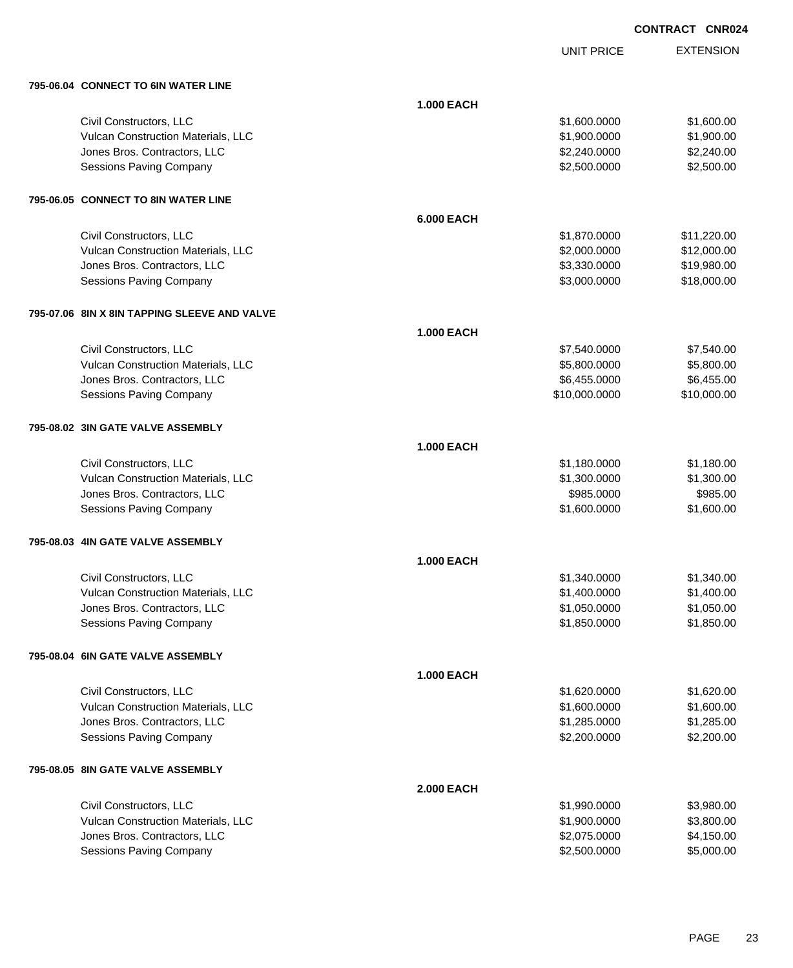UNIT PRICE

| 795-06.04 CONNECT TO 6IN WATER LINE          |                   |               |             |
|----------------------------------------------|-------------------|---------------|-------------|
|                                              | <b>1.000 EACH</b> |               |             |
| Civil Constructors, LLC                      |                   | \$1,600.0000  | \$1,600.00  |
| Vulcan Construction Materials, LLC           |                   | \$1,900.0000  | \$1,900.00  |
| Jones Bros. Contractors, LLC                 |                   | \$2,240.0000  | \$2,240.00  |
| Sessions Paving Company                      |                   | \$2,500.0000  | \$2,500.00  |
| 795-06.05 CONNECT TO 8IN WATER LINE          |                   |               |             |
|                                              | <b>6.000 EACH</b> |               |             |
| Civil Constructors, LLC                      |                   | \$1,870.0000  | \$11,220.00 |
| Vulcan Construction Materials, LLC           |                   | \$2,000.0000  | \$12,000.00 |
| Jones Bros. Contractors, LLC                 |                   | \$3,330.0000  | \$19,980.00 |
| <b>Sessions Paving Company</b>               |                   | \$3,000.0000  | \$18,000.00 |
| 795-07.06 8IN X 8IN TAPPING SLEEVE AND VALVE |                   |               |             |
|                                              | <b>1.000 EACH</b> |               |             |
| Civil Constructors, LLC                      |                   | \$7,540.0000  | \$7,540.00  |
| Vulcan Construction Materials, LLC           |                   | \$5,800.0000  | \$5,800.00  |
| Jones Bros. Contractors, LLC                 |                   | \$6,455.0000  | \$6,455.00  |
| <b>Sessions Paving Company</b>               |                   | \$10,000.0000 | \$10,000.00 |
| 795-08.02 3IN GATE VALVE ASSEMBLY            |                   |               |             |
|                                              | <b>1.000 EACH</b> |               |             |
| Civil Constructors, LLC                      |                   | \$1,180.0000  | \$1,180.00  |
| Vulcan Construction Materials, LLC           |                   | \$1,300.0000  | \$1,300.00  |
| Jones Bros. Contractors, LLC                 |                   | \$985.0000    | \$985.00    |
| <b>Sessions Paving Company</b>               |                   | \$1,600.0000  | \$1,600.00  |
| 795-08.03 4IN GATE VALVE ASSEMBLY            |                   |               |             |
|                                              | <b>1.000 EACH</b> |               |             |
| Civil Constructors, LLC                      |                   | \$1,340.0000  | \$1,340.00  |
| Vulcan Construction Materials, LLC           |                   | \$1,400.0000  | \$1,400.00  |
| Jones Bros. Contractors, LLC                 |                   | \$1,050.0000  | \$1,050.00  |
| Sessions Paving Company                      |                   | \$1,850.0000  | \$1,850.00  |
| 795-08.04 6IN GATE VALVE ASSEMBLY            |                   |               |             |
|                                              | <b>1.000 EACH</b> |               |             |
| Civil Constructors, LLC                      |                   | \$1,620.0000  | \$1,620.00  |
| Vulcan Construction Materials, LLC           |                   | \$1,600.0000  | \$1,600.00  |
| Jones Bros. Contractors, LLC                 |                   | \$1,285.0000  | \$1,285.00  |
| <b>Sessions Paving Company</b>               |                   | \$2,200.0000  | \$2,200.00  |
| 795-08.05 8IN GATE VALVE ASSEMBLY            |                   |               |             |
|                                              | <b>2.000 EACH</b> |               |             |
| Civil Constructors, LLC                      |                   | \$1,990.0000  | \$3,980.00  |
| Vulcan Construction Materials, LLC           |                   | \$1,900.0000  | \$3,800.00  |
| Jones Bros. Contractors, LLC                 |                   | \$2,075.0000  | \$4,150.00  |
| <b>Sessions Paving Company</b>               |                   | \$2,500.0000  | \$5,000.00  |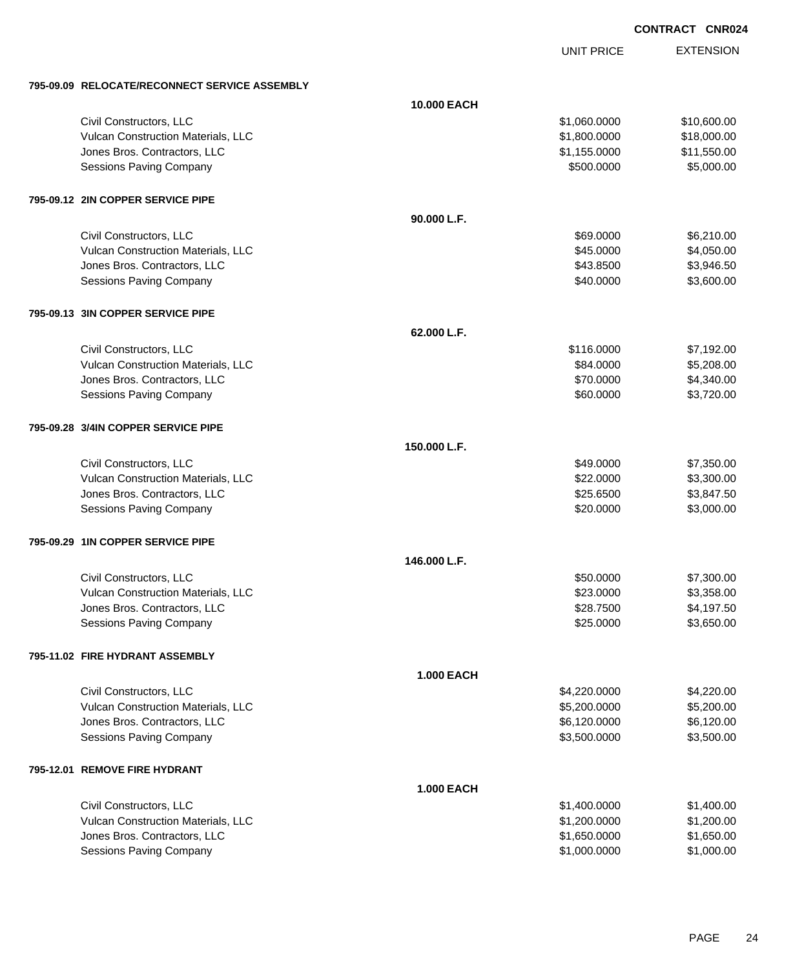# EXTENSION **CONTRACT CNR024**

UNIT PRICE

| 795-09.09 RELOCATE/RECONNECT SERVICE ASSEMBLY |                   |              |             |
|-----------------------------------------------|-------------------|--------------|-------------|
|                                               | 10.000 EACH       |              |             |
| Civil Constructors, LLC                       |                   | \$1,060.0000 | \$10,600.00 |
| Vulcan Construction Materials, LLC            |                   | \$1,800.0000 | \$18,000.00 |
| Jones Bros. Contractors, LLC                  |                   | \$1,155.0000 | \$11,550.00 |
| <b>Sessions Paving Company</b>                |                   | \$500.0000   | \$5,000.00  |
|                                               |                   |              |             |
| 795-09.12 2IN COPPER SERVICE PIPE             |                   |              |             |
|                                               | 90.000 L.F.       |              |             |
| Civil Constructors, LLC                       |                   | \$69.0000    | \$6,210.00  |
| Vulcan Construction Materials, LLC            |                   | \$45.0000    | \$4,050.00  |
| Jones Bros. Contractors, LLC                  |                   | \$43.8500    | \$3,946.50  |
| Sessions Paving Company                       |                   | \$40.0000    | \$3,600.00  |
| 795-09.13 3IN COPPER SERVICE PIPE             |                   |              |             |
|                                               | 62.000 L.F.       |              |             |
| Civil Constructors, LLC                       |                   | \$116.0000   | \$7,192.00  |
| Vulcan Construction Materials, LLC            |                   | \$84.0000    | \$5,208.00  |
| Jones Bros. Contractors, LLC                  |                   | \$70.0000    | \$4,340.00  |
| Sessions Paving Company                       |                   | \$60.0000    | \$3,720.00  |
| 795-09.28 3/4IN COPPER SERVICE PIPE           |                   |              |             |
|                                               | 150.000 L.F.      |              |             |
| Civil Constructors, LLC                       |                   | \$49.0000    | \$7,350.00  |
| Vulcan Construction Materials, LLC            |                   | \$22.0000    | \$3,300.00  |
| Jones Bros. Contractors, LLC                  |                   | \$25.6500    | \$3,847.50  |
| Sessions Paving Company                       |                   | \$20.0000    | \$3,000.00  |
| 795-09.29 1IN COPPER SERVICE PIPE             |                   |              |             |
|                                               | 146.000 L.F.      |              |             |
| Civil Constructors, LLC                       |                   | \$50.0000    | \$7,300.00  |
| Vulcan Construction Materials, LLC            |                   | \$23.0000    | \$3,358.00  |
| Jones Bros. Contractors, LLC                  |                   | \$28.7500    | \$4,197.50  |
| Sessions Paving Company                       |                   | \$25.0000    | \$3,650.00  |
|                                               |                   |              |             |
| 795-11.02 FIRE HYDRANT ASSEMBLY               |                   |              |             |
|                                               | <b>1.000 EACH</b> |              |             |
| Civil Constructors, LLC                       |                   | \$4,220.0000 | \$4,220.00  |
| Vulcan Construction Materials, LLC            |                   | \$5,200.0000 | \$5,200.00  |
| Jones Bros. Contractors, LLC                  |                   | \$6,120.0000 | \$6,120.00  |
| Sessions Paving Company                       |                   | \$3,500.0000 | \$3,500.00  |
| 795-12.01 REMOVE FIRE HYDRANT                 |                   |              |             |
|                                               | <b>1.000 EACH</b> |              |             |
| Civil Constructors, LLC                       |                   | \$1,400.0000 | \$1,400.00  |
| Vulcan Construction Materials, LLC            |                   | \$1,200.0000 | \$1,200.00  |
| Jones Bros. Contractors, LLC                  |                   | \$1,650.0000 | \$1,650.00  |
| <b>Sessions Paving Company</b>                |                   | \$1,000.0000 | \$1,000.00  |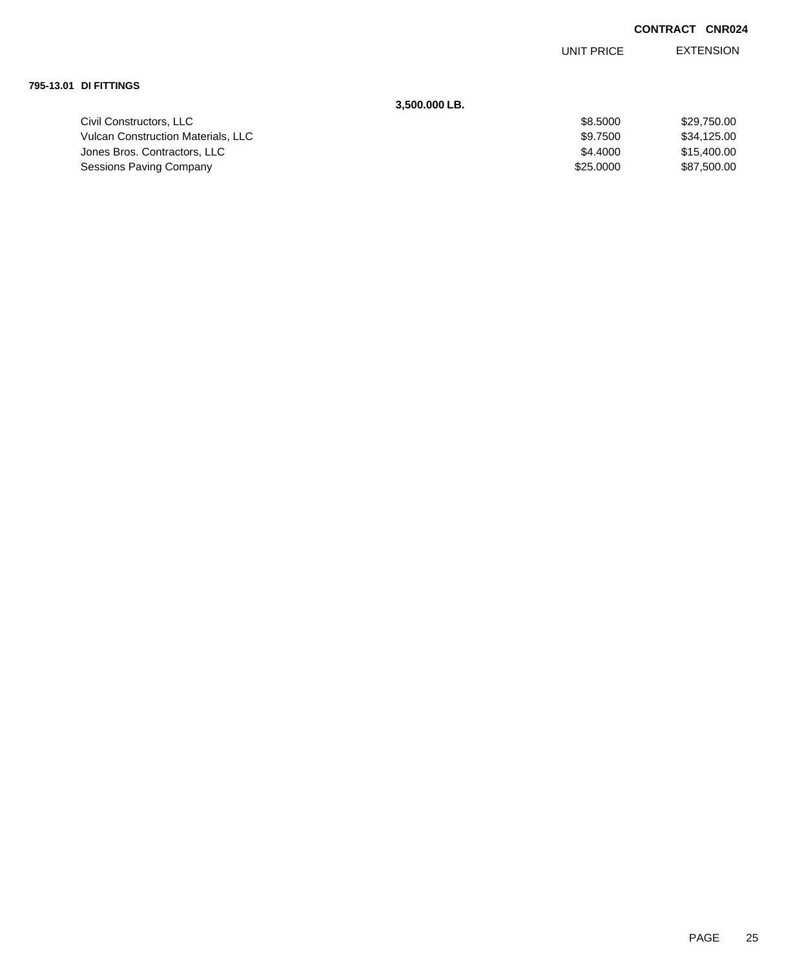EXTENSION UNIT PRICE

#### **795-13.01 DI FITTINGS**

## **3,500.000 LB.**

| Civil Constructors, LLC                   | \$8,5000  | \$29,750,00 |
|-------------------------------------------|-----------|-------------|
| <b>Vulcan Construction Materials. LLC</b> | \$9.7500  | \$34,125,00 |
| Jones Bros. Contractors, LLC              | \$4,4000  | \$15,400.00 |
| Sessions Paving Company                   | \$25,0000 | \$87,500,00 |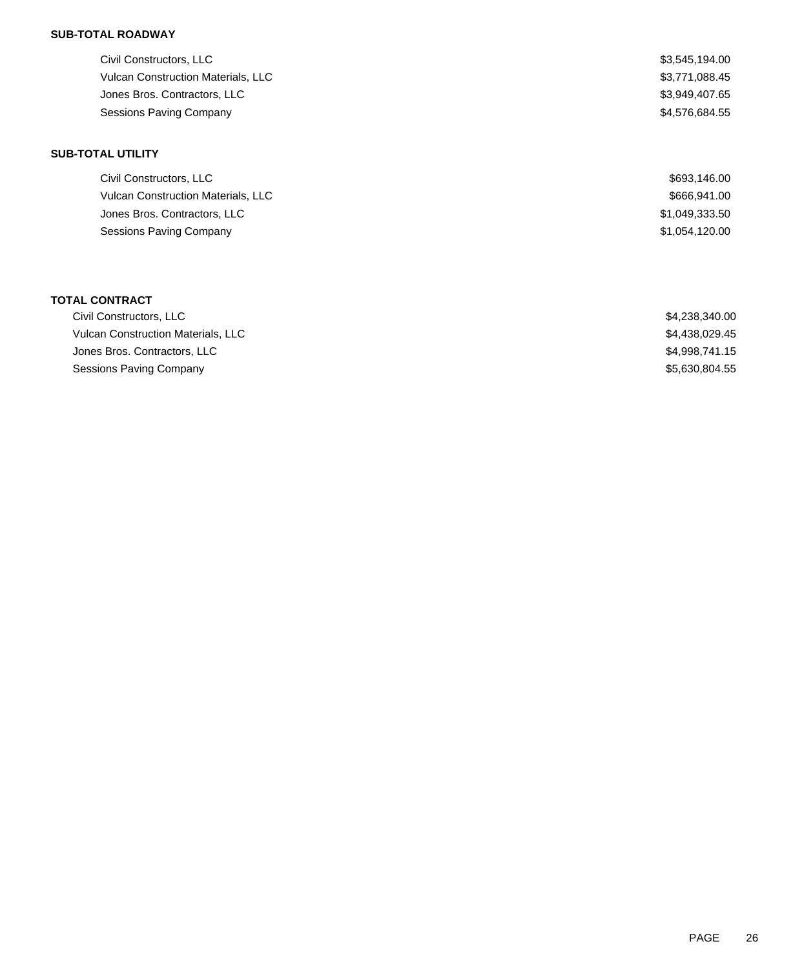## **SUB-TOTAL ROADWAY**

| Civil Constructors, LLC                   | \$3,545,194.00 |
|-------------------------------------------|----------------|
| <b>Vulcan Construction Materials, LLC</b> | \$3,771,088.45 |
| Jones Bros. Contractors, LLC              | \$3,949,407.65 |
| Sessions Paving Company                   | \$4,576,684.55 |

### **SUB-TOTAL UTILITY**

| Civil Constructors, LLC                   | \$693,146.00   |
|-------------------------------------------|----------------|
| <b>Vulcan Construction Materials, LLC</b> | \$666,941.00   |
| Jones Bros. Contractors, LLC              | \$1,049,333.50 |
| Sessions Paving Company                   | \$1,054,120.00 |

### **TOTAL CONTRACT**

| Civil Constructors, LLC            | \$4.238.340.00 |
|------------------------------------|----------------|
| Vulcan Construction Materials, LLC | \$4.438.029.45 |
| Jones Bros. Contractors, LLC       | \$4.998.741.15 |
| Sessions Paving Company            | \$5,630,804.55 |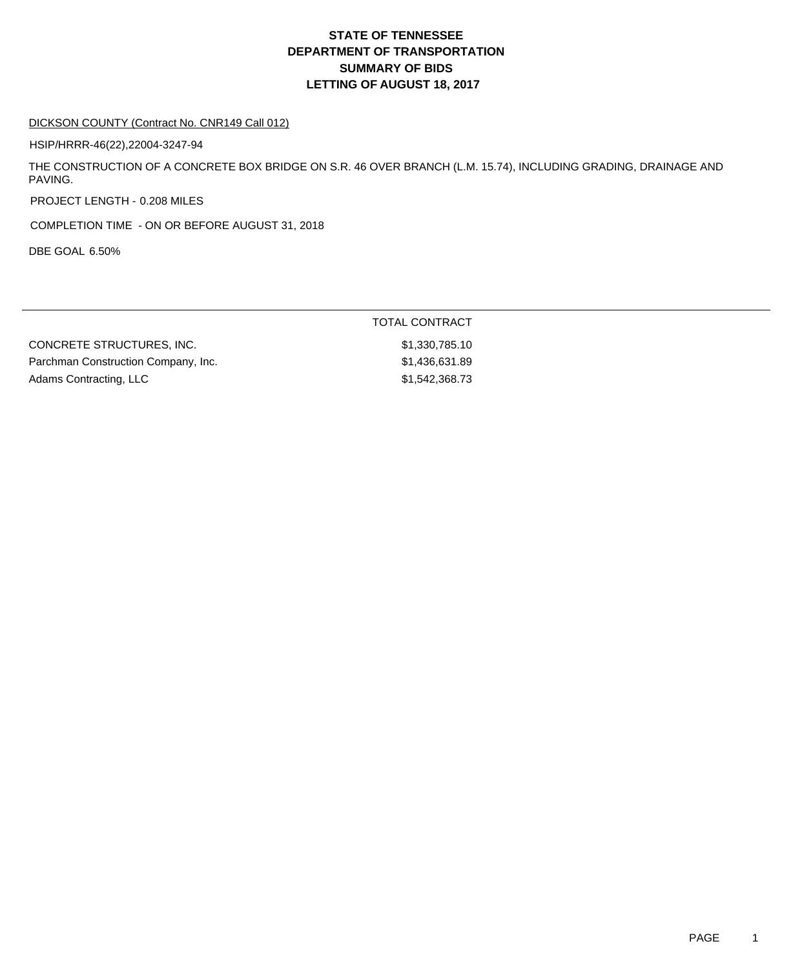# **DEPARTMENT OF TRANSPORTATION SUMMARY OF BIDS LETTING OF AUGUST 18, 2017 STATE OF TENNESSEE**

#### DICKSON COUNTY (Contract No. CNR149 Call 012)

HSIP/HRRR-46(22),22004-3247-94

THE CONSTRUCTION OF A CONCRETE BOX BRIDGE ON S.R. 46 OVER BRANCH (L.M. 15.74), INCLUDING GRADING, DRAINAGE AND PAVING.

PROJECT LENGTH - 0.208 MILES

COMPLETION TIME - ON OR BEFORE AUGUST 31, 2018

DBE GOAL 6.50%

|                                     | TOTAL CONTRACT |
|-------------------------------------|----------------|
| CONCRETE STRUCTURES. INC.           | \$1,330,785.10 |
| Parchman Construction Company, Inc. | \$1,436,631.89 |
| Adams Contracting, LLC              | \$1,542,368.73 |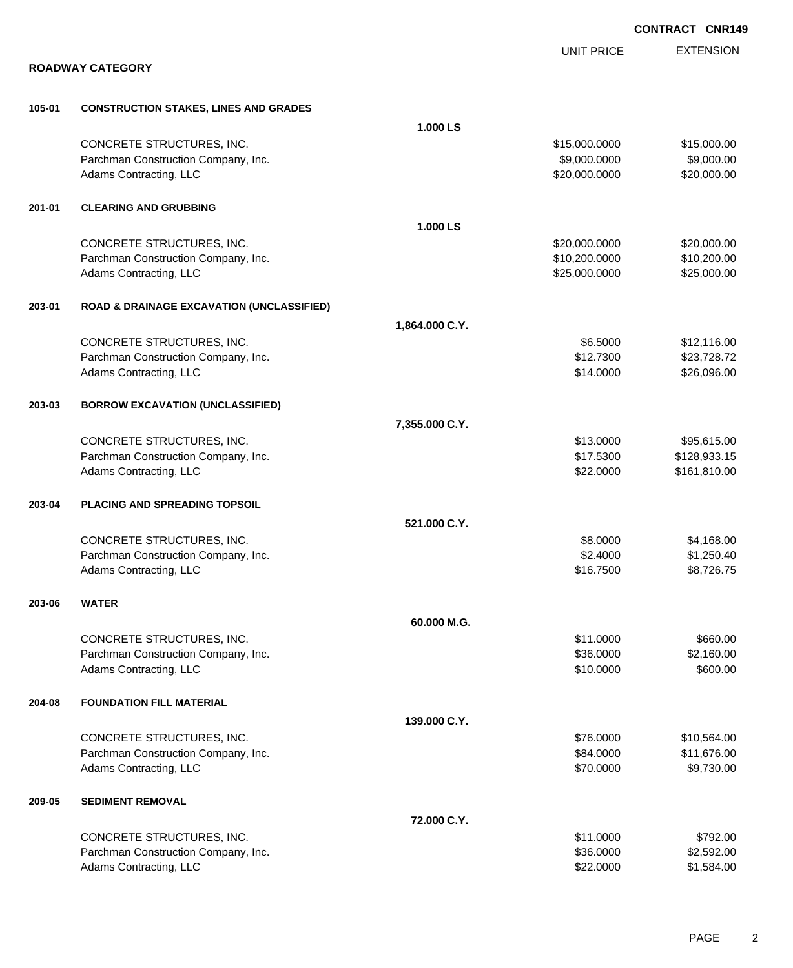|        |                                                      |                |                   | <b>CONTRACT CNR149</b> |
|--------|------------------------------------------------------|----------------|-------------------|------------------------|
|        |                                                      |                | <b>UNIT PRICE</b> | <b>EXTENSION</b>       |
|        | <b>ROADWAY CATEGORY</b>                              |                |                   |                        |
| 105-01 | <b>CONSTRUCTION STAKES, LINES AND GRADES</b>         |                |                   |                        |
|        |                                                      | 1.000 LS       |                   |                        |
|        | CONCRETE STRUCTURES, INC.                            |                | \$15,000.0000     | \$15,000.00            |
|        | Parchman Construction Company, Inc.                  |                | \$9,000.0000      | \$9,000.00             |
|        | Adams Contracting, LLC                               |                | \$20,000.0000     | \$20,000.00            |
| 201-01 | <b>CLEARING AND GRUBBING</b>                         |                |                   |                        |
|        |                                                      | 1.000 LS       |                   |                        |
|        | CONCRETE STRUCTURES, INC.                            |                | \$20,000.0000     | \$20,000.00            |
|        | Parchman Construction Company, Inc.                  |                | \$10,200.0000     | \$10,200.00            |
|        | Adams Contracting, LLC                               |                | \$25,000.0000     | \$25,000.00            |
| 203-01 | <b>ROAD &amp; DRAINAGE EXCAVATION (UNCLASSIFIED)</b> |                |                   |                        |
|        |                                                      | 1,864.000 C.Y. |                   |                        |
|        | CONCRETE STRUCTURES, INC.                            |                | \$6.5000          | \$12,116.00            |
|        | Parchman Construction Company, Inc.                  |                | \$12.7300         | \$23,728.72            |
|        | Adams Contracting, LLC                               |                | \$14.0000         | \$26,096.00            |
| 203-03 | <b>BORROW EXCAVATION (UNCLASSIFIED)</b>              |                |                   |                        |
|        |                                                      | 7,355.000 C.Y. |                   |                        |
|        | CONCRETE STRUCTURES, INC.                            |                | \$13.0000         | \$95,615.00            |
|        | Parchman Construction Company, Inc.                  |                | \$17.5300         | \$128,933.15           |
|        | Adams Contracting, LLC                               |                | \$22.0000         | \$161,810.00           |
| 203-04 | PLACING AND SPREADING TOPSOIL                        |                |                   |                        |
|        |                                                      | 521.000 C.Y.   |                   |                        |
|        | CONCRETE STRUCTURES, INC.                            |                | \$8.0000          | \$4,168.00             |
|        | Parchman Construction Company, Inc.                  |                | \$2.4000          | \$1,250.40             |
|        | Adams Contracting, LLC                               |                | \$16.7500         | \$8,726.75             |
| 203-06 | <b>WATER</b>                                         |                |                   |                        |
|        |                                                      | 60.000 M.G.    |                   |                        |
|        | CONCRETE STRUCTURES, INC.                            |                | \$11.0000         | \$660.00               |
|        | Parchman Construction Company, Inc.                  |                | \$36.0000         | \$2,160.00             |
|        | Adams Contracting, LLC                               |                | \$10.0000         | \$600.00               |
| 204-08 | <b>FOUNDATION FILL MATERIAL</b>                      |                |                   |                        |
|        |                                                      | 139.000 C.Y.   |                   |                        |
|        | CONCRETE STRUCTURES, INC.                            |                | \$76.0000         | \$10,564.00            |
|        | Parchman Construction Company, Inc.                  |                | \$84.0000         | \$11,676.00            |
|        | Adams Contracting, LLC                               |                | \$70.0000         | \$9,730.00             |
| 209-05 | <b>SEDIMENT REMOVAL</b>                              |                |                   |                        |
|        |                                                      | 72.000 C.Y.    |                   |                        |
|        | CONCRETE STRUCTURES, INC.                            |                | \$11.0000         | \$792.00               |
|        | Parchman Construction Company, Inc.                  |                | \$36.0000         | \$2,592.00             |
|        | Adams Contracting, LLC                               |                | \$22.0000         | \$1,584.00             |

PAGE 2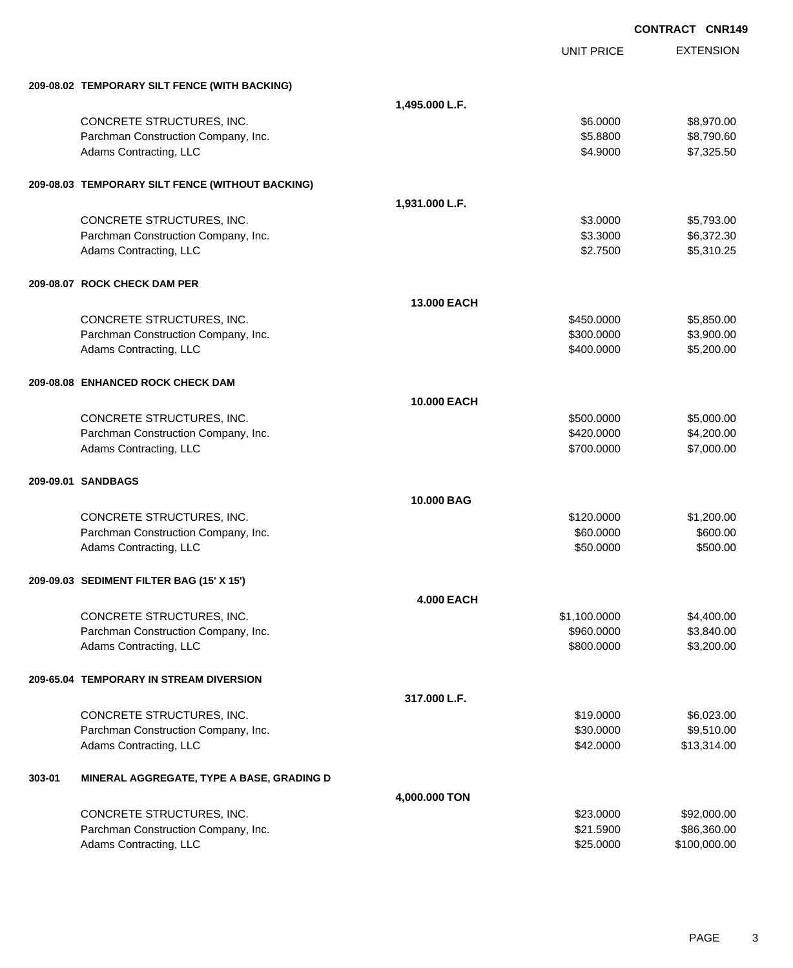|        |                                                  |                    |                   | <b>CONTRACT CNR149</b> |
|--------|--------------------------------------------------|--------------------|-------------------|------------------------|
|        |                                                  |                    | <b>UNIT PRICE</b> | <b>EXTENSION</b>       |
|        | 209-08.02 TEMPORARY SILT FENCE (WITH BACKING)    |                    |                   |                        |
|        |                                                  | 1,495.000 L.F.     |                   |                        |
|        | CONCRETE STRUCTURES, INC.                        |                    | \$6.0000          | \$8,970.00             |
|        | Parchman Construction Company, Inc.              |                    | \$5.8800          | \$8,790.60             |
|        | Adams Contracting, LLC                           |                    | \$4.9000          | \$7,325.50             |
|        | 209-08.03 TEMPORARY SILT FENCE (WITHOUT BACKING) |                    |                   |                        |
|        |                                                  | 1,931.000 L.F.     |                   |                        |
|        | CONCRETE STRUCTURES, INC.                        |                    | \$3.0000          | \$5,793.00             |
|        | Parchman Construction Company, Inc.              |                    | \$3.3000          | \$6,372.30             |
|        | Adams Contracting, LLC                           |                    | \$2.7500          | \$5,310.25             |
|        | 209-08.07 ROCK CHECK DAM PER                     |                    |                   |                        |
|        |                                                  | <b>13.000 EACH</b> |                   |                        |
|        | CONCRETE STRUCTURES, INC.                        |                    | \$450.0000        | \$5,850.00             |
|        | Parchman Construction Company, Inc.              |                    | \$300.0000        | \$3,900.00             |
|        | Adams Contracting, LLC                           |                    | \$400.0000        | \$5,200.00             |
|        | 209-08.08 ENHANCED ROCK CHECK DAM                |                    |                   |                        |
|        |                                                  | <b>10.000 EACH</b> |                   |                        |
|        | CONCRETE STRUCTURES, INC.                        |                    | \$500.0000        | \$5,000.00             |
|        | Parchman Construction Company, Inc.              |                    | \$420.0000        | \$4,200.00             |
|        | Adams Contracting, LLC                           |                    | \$700.0000        | \$7,000.00             |
|        | 209-09.01 SANDBAGS                               |                    |                   |                        |
|        |                                                  | 10,000 BAG         |                   |                        |
|        | CONCRETE STRUCTURES, INC.                        |                    | \$120.0000        | \$1,200.00             |
|        | Parchman Construction Company, Inc.              |                    | \$60.0000         | \$600.00               |
|        | Adams Contracting, LLC                           |                    | \$50.0000         | \$500.00               |
|        | 209-09.03 SEDIMENT FILTER BAG (15' X 15')        |                    |                   |                        |
|        |                                                  | <b>4.000 EACH</b>  |                   |                        |
|        | CONCRETE STRUCTURES, INC.                        |                    | \$1,100.0000      | \$4,400.00             |
|        | Parchman Construction Company, Inc.              |                    | \$960.0000        | \$3,840.00             |
|        | Adams Contracting, LLC                           |                    | \$800.0000        | \$3,200.00             |
|        | 209-65.04 TEMPORARY IN STREAM DIVERSION          |                    |                   |                        |
|        |                                                  | 317,000 L.F.       |                   |                        |
|        | CONCRETE STRUCTURES, INC.                        |                    | \$19.0000         | \$6,023.00             |
|        | Parchman Construction Company, Inc.              |                    | \$30.0000         | \$9,510.00             |
|        | Adams Contracting, LLC                           |                    | \$42.0000         | \$13,314.00            |
| 303-01 | MINERAL AGGREGATE, TYPE A BASE, GRADING D        |                    |                   |                        |
|        |                                                  | 4,000.000 TON      |                   |                        |
|        | CONCRETE STRUCTURES, INC.                        |                    | \$23.0000         | \$92,000.00            |
|        | Parchman Construction Company, Inc.              |                    | \$21.5900         | \$86,360.00            |
|        | Adams Contracting, LLC                           |                    | \$25.0000         | \$100,000.00           |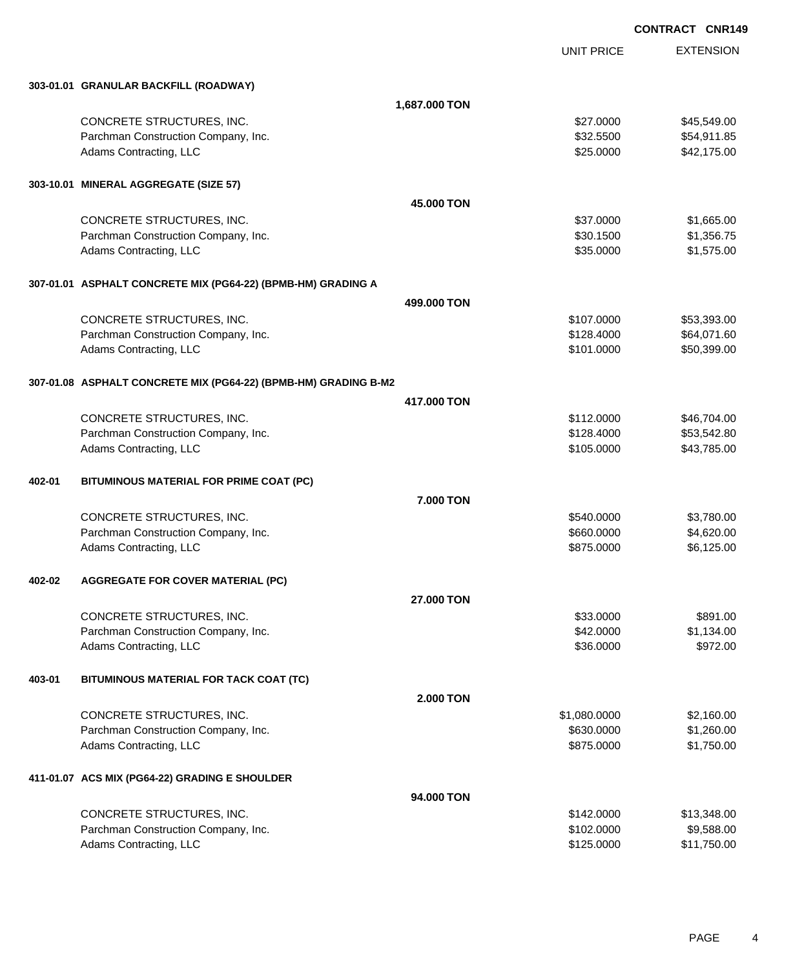|        |                                                                 |               | UNIT PRICE   | <b>EXTENSION</b> |
|--------|-----------------------------------------------------------------|---------------|--------------|------------------|
|        | 303-01.01 GRANULAR BACKFILL (ROADWAY)                           |               |              |                  |
|        |                                                                 | 1,687.000 TON |              |                  |
|        | CONCRETE STRUCTURES, INC.                                       |               | \$27.0000    | \$45,549.00      |
|        | Parchman Construction Company, Inc.                             |               | \$32.5500    | \$54,911.85      |
|        | Adams Contracting, LLC                                          |               | \$25.0000    | \$42,175.00      |
|        | 303-10.01 MINERAL AGGREGATE (SIZE 57)                           |               |              |                  |
|        |                                                                 | 45.000 TON    |              |                  |
|        | CONCRETE STRUCTURES, INC.                                       |               | \$37.0000    | \$1,665.00       |
|        | Parchman Construction Company, Inc.                             |               | \$30.1500    | \$1,356.75       |
|        | Adams Contracting, LLC                                          |               | \$35.0000    | \$1,575.00       |
|        | 307-01.01 ASPHALT CONCRETE MIX (PG64-22) (BPMB-HM) GRADING A    |               |              |                  |
|        |                                                                 | 499,000 TON   |              |                  |
|        | CONCRETE STRUCTURES, INC.                                       |               | \$107.0000   | \$53,393.00      |
|        | Parchman Construction Company, Inc.                             |               | \$128.4000   | \$64,071.60      |
|        | Adams Contracting, LLC                                          |               | \$101.0000   | \$50,399.00      |
|        | 307-01.08 ASPHALT CONCRETE MIX (PG64-22) (BPMB-HM) GRADING B-M2 |               |              |                  |
|        |                                                                 | 417.000 TON   |              |                  |
|        | CONCRETE STRUCTURES, INC.                                       |               | \$112.0000   | \$46,704.00      |
|        | Parchman Construction Company, Inc.                             |               | \$128.4000   | \$53,542.80      |
|        | Adams Contracting, LLC                                          |               | \$105.0000   | \$43,785.00      |
| 402-01 | BITUMINOUS MATERIAL FOR PRIME COAT (PC)                         |               |              |                  |
|        |                                                                 | 7.000 TON     |              |                  |
|        | CONCRETE STRUCTURES, INC.                                       |               | \$540,0000   | \$3,780.00       |
|        | Parchman Construction Company, Inc.                             |               | \$660.0000   | \$4,620.00       |
|        | Adams Contracting, LLC                                          |               | \$875.0000   | \$6,125.00       |
| 402-02 | <b>AGGREGATE FOR COVER MATERIAL (PC)</b>                        |               |              |                  |
|        |                                                                 | 27.000 TON    |              |                  |
|        | CONCRETE STRUCTURES, INC.                                       |               | \$33.0000    | \$891.00         |
|        | Parchman Construction Company, Inc.                             |               | \$42.0000    | \$1,134.00       |
|        | Adams Contracting, LLC                                          |               | \$36.0000    | \$972.00         |
| 403-01 | BITUMINOUS MATERIAL FOR TACK COAT (TC)                          |               |              |                  |
|        |                                                                 | 2.000 TON     |              |                  |
|        | CONCRETE STRUCTURES, INC.                                       |               | \$1,080.0000 | \$2,160.00       |
|        | Parchman Construction Company, Inc.                             |               | \$630.0000   | \$1,260.00       |
|        | Adams Contracting, LLC                                          |               | \$875.0000   | \$1,750.00       |
|        | 411-01.07 ACS MIX (PG64-22) GRADING E SHOULDER                  |               |              |                  |
|        |                                                                 | 94.000 TON    |              |                  |
|        | CONCRETE STRUCTURES, INC.                                       |               | \$142.0000   | \$13,348.00      |
|        | Parchman Construction Company, Inc.                             |               | \$102.0000   | \$9,588.00       |
|        | Adams Contracting, LLC                                          |               | \$125.0000   | \$11,750.00      |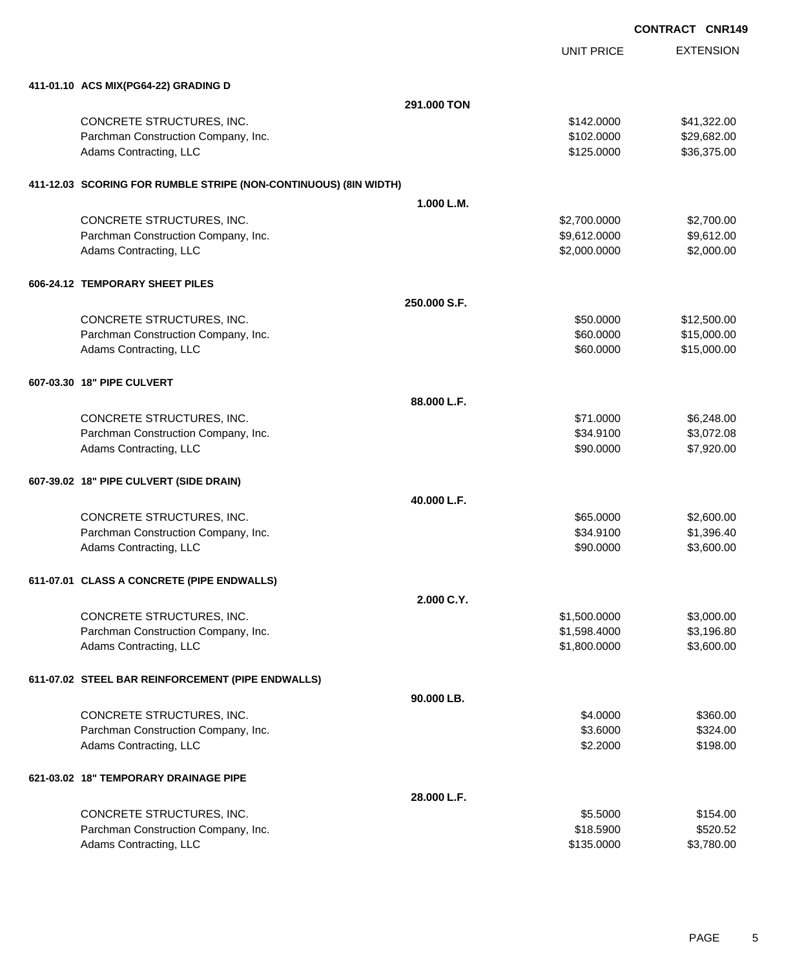UNIT PRICE

| 411-01.10 ACS MIX(PG64-22) GRADING D                             |              |              |             |
|------------------------------------------------------------------|--------------|--------------|-------------|
|                                                                  | 291.000 TON  |              |             |
| CONCRETE STRUCTURES, INC.                                        |              | \$142.0000   | \$41,322.00 |
| Parchman Construction Company, Inc.                              |              | \$102.0000   | \$29,682.00 |
| Adams Contracting, LLC                                           |              | \$125.0000   | \$36,375.00 |
| 411-12.03 SCORING FOR RUMBLE STRIPE (NON-CONTINUOUS) (8IN WIDTH) |              |              |             |
|                                                                  | 1.000 L.M.   |              |             |
| CONCRETE STRUCTURES, INC.                                        |              | \$2,700.0000 | \$2,700.00  |
| Parchman Construction Company, Inc.                              |              | \$9,612.0000 | \$9,612.00  |
| Adams Contracting, LLC                                           |              | \$2,000.0000 | \$2,000.00  |
| 606-24.12 TEMPORARY SHEET PILES                                  |              |              |             |
|                                                                  | 250.000 S.F. |              |             |
| CONCRETE STRUCTURES, INC.                                        |              | \$50.0000    | \$12,500.00 |
| Parchman Construction Company, Inc.                              |              | \$60.0000    | \$15,000.00 |
| Adams Contracting, LLC                                           |              | \$60.0000    | \$15,000.00 |
| 607-03.30 18" PIPE CULVERT                                       |              |              |             |
|                                                                  | 88.000 L.F.  |              |             |
| CONCRETE STRUCTURES, INC.                                        |              | \$71.0000    | \$6,248.00  |
| Parchman Construction Company, Inc.                              |              | \$34.9100    | \$3,072.08  |
| Adams Contracting, LLC                                           |              | \$90.0000    | \$7,920.00  |
| 607-39.02 18" PIPE CULVERT (SIDE DRAIN)                          |              |              |             |
|                                                                  | 40.000 L.F.  |              |             |
| CONCRETE STRUCTURES, INC.                                        |              | \$65.0000    | \$2,600.00  |
| Parchman Construction Company, Inc.                              |              | \$34.9100    | \$1,396.40  |
| Adams Contracting, LLC                                           |              | \$90.0000    | \$3,600.00  |
| 611-07.01 CLASS A CONCRETE (PIPE ENDWALLS)                       |              |              |             |
|                                                                  | 2.000 C.Y.   |              |             |
| CONCRETE STRUCTURES, INC.                                        |              | \$1,500.0000 | \$3,000.00  |
| Parchman Construction Company, Inc.                              |              | \$1,598.4000 | \$3,196.80  |
| Adams Contracting, LLC                                           |              | \$1,800.0000 | \$3,600.00  |
| 611-07.02 STEEL BAR REINFORCEMENT (PIPE ENDWALLS)                |              |              |             |
|                                                                  | 90.000 LB.   |              |             |
| CONCRETE STRUCTURES, INC.                                        |              | \$4.0000     | \$360.00    |
| Parchman Construction Company, Inc.                              |              | \$3.6000     | \$324.00    |
| Adams Contracting, LLC                                           |              | \$2.2000     | \$198.00    |
| 621-03.02 18" TEMPORARY DRAINAGE PIPE                            |              |              |             |
|                                                                  | 28.000 L.F.  |              |             |

| CONCRETE STRUCTURES, INC.           | \$5,5000   | \$154.00   |
|-------------------------------------|------------|------------|
| Parchman Construction Company, Inc. | \$18,5900  | \$520.52   |
| Adams Contracting, LLC              | \$135,0000 | \$3,780.00 |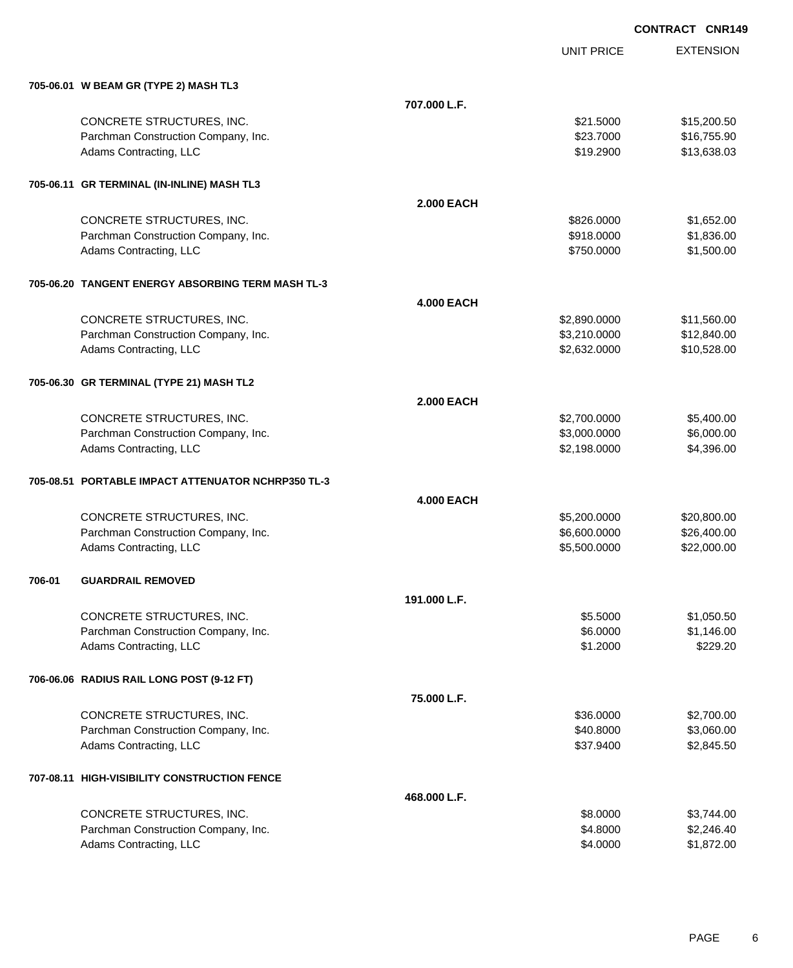UNIT PRICE

|        | 705-06.01 W BEAM GR (TYPE 2) MASH TL3              |                   |              |             |
|--------|----------------------------------------------------|-------------------|--------------|-------------|
|        |                                                    | 707.000 L.F.      |              |             |
|        | CONCRETE STRUCTURES, INC.                          |                   | \$21.5000    | \$15,200.50 |
|        | Parchman Construction Company, Inc.                |                   | \$23.7000    | \$16,755.90 |
|        | Adams Contracting, LLC                             |                   | \$19.2900    | \$13,638.03 |
|        | 705-06.11 GR TERMINAL (IN-INLINE) MASH TL3         |                   |              |             |
|        |                                                    | <b>2.000 EACH</b> |              |             |
|        | CONCRETE STRUCTURES, INC.                          |                   | \$826.0000   | \$1,652.00  |
|        | Parchman Construction Company, Inc.                |                   | \$918.0000   | \$1,836.00  |
|        | Adams Contracting, LLC                             |                   | \$750.0000   | \$1,500.00  |
|        | 705-06.20 TANGENT ENERGY ABSORBING TERM MASH TL-3  |                   |              |             |
|        |                                                    | <b>4.000 EACH</b> |              |             |
|        | CONCRETE STRUCTURES, INC.                          |                   | \$2,890.0000 | \$11,560.00 |
|        | Parchman Construction Company, Inc.                |                   | \$3,210.0000 | \$12,840.00 |
|        | Adams Contracting, LLC                             |                   | \$2,632.0000 | \$10,528.00 |
|        | 705-06.30 GR TERMINAL (TYPE 21) MASH TL2           |                   |              |             |
|        |                                                    | <b>2.000 EACH</b> |              |             |
|        | CONCRETE STRUCTURES, INC.                          |                   | \$2,700.0000 | \$5,400.00  |
|        | Parchman Construction Company, Inc.                |                   | \$3,000.0000 | \$6,000.00  |
|        | Adams Contracting, LLC                             |                   | \$2,198.0000 | \$4,396.00  |
|        | 705-08.51 PORTABLE IMPACT ATTENUATOR NCHRP350 TL-3 |                   |              |             |
|        |                                                    | <b>4.000 EACH</b> |              |             |
|        | CONCRETE STRUCTURES, INC.                          |                   | \$5,200.0000 | \$20,800.00 |
|        | Parchman Construction Company, Inc.                |                   | \$6,600.0000 | \$26,400.00 |
|        | Adams Contracting, LLC                             |                   | \$5,500.0000 | \$22,000.00 |
| 706-01 | <b>GUARDRAIL REMOVED</b>                           |                   |              |             |
|        |                                                    | 191.000 L.F.      |              |             |
|        | CONCRETE STRUCTURES, INC.                          |                   | \$5.5000     | \$1,050.50  |
|        | Parchman Construction Company, Inc.                |                   | \$6.0000     | \$1,146.00  |
|        | Adams Contracting, LLC                             |                   | \$1.2000     | \$229.20    |
|        | 706-06.06 RADIUS RAIL LONG POST (9-12 FT)          |                   |              |             |
|        |                                                    | 75.000 L.F.       |              |             |
|        | CONCRETE STRUCTURES, INC.                          |                   | \$36.0000    | \$2,700.00  |
|        | Parchman Construction Company, Inc.                |                   | \$40.8000    | \$3,060.00  |
|        | Adams Contracting, LLC                             |                   | \$37.9400    | \$2,845.50  |
|        | 707-08.11 HIGH-VISIBILITY CONSTRUCTION FENCE       |                   |              |             |
|        |                                                    | 468.000 L.F.      |              |             |
|        | CONCRETE STRUCTURES, INC.                          |                   | \$8.0000     | \$3,744.00  |
|        | Parchman Construction Company, Inc.                |                   | \$4.8000     | \$2,246.40  |
|        | Adams Contracting, LLC                             |                   | \$4.0000     | \$1,872.00  |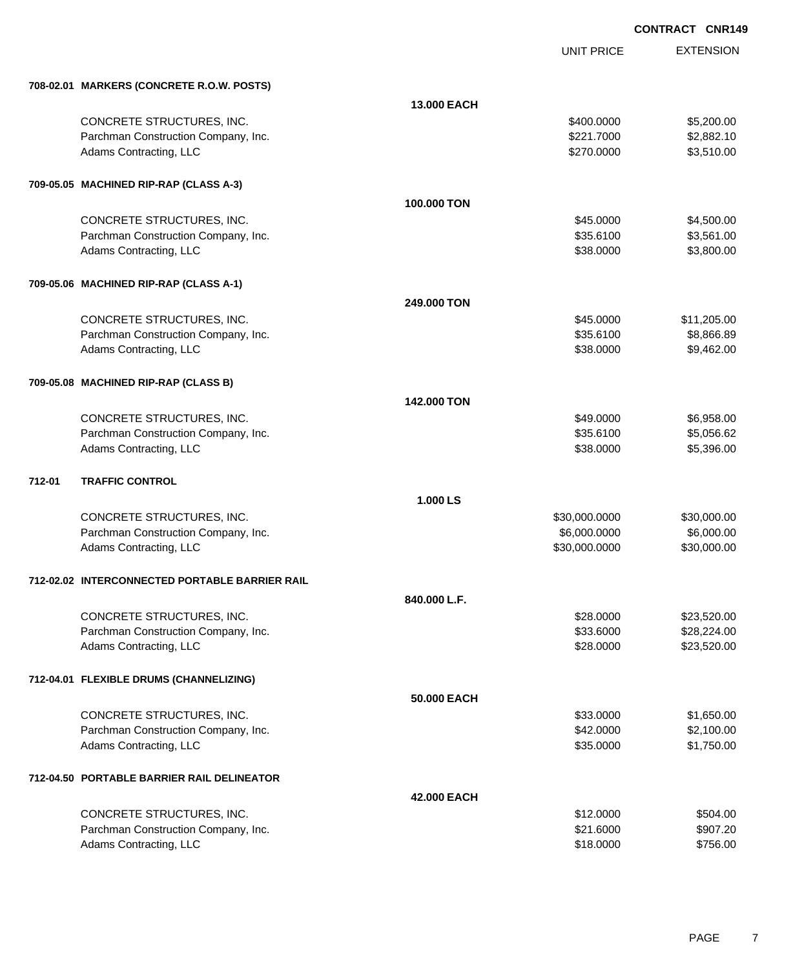|        |                                                |              | <b>UNIT PRICE</b> | <b>EXTENSION</b> |
|--------|------------------------------------------------|--------------|-------------------|------------------|
|        | 708-02.01 MARKERS (CONCRETE R.O.W. POSTS)      |              |                   |                  |
|        |                                                | 13.000 EACH  |                   |                  |
|        | CONCRETE STRUCTURES, INC.                      |              | \$400.0000        | \$5,200.00       |
|        | Parchman Construction Company, Inc.            |              | \$221.7000        | \$2,882.10       |
|        | Adams Contracting, LLC                         |              | \$270.0000        | \$3,510.00       |
|        | 709-05.05 MACHINED RIP-RAP (CLASS A-3)         |              |                   |                  |
|        |                                                | 100.000 TON  |                   |                  |
|        | CONCRETE STRUCTURES, INC.                      |              | \$45.0000         | \$4,500.00       |
|        | Parchman Construction Company, Inc.            |              | \$35.6100         | \$3,561.00       |
|        | Adams Contracting, LLC                         |              | \$38.0000         | \$3,800.00       |
|        | 709-05.06 MACHINED RIP-RAP (CLASS A-1)         |              |                   |                  |
|        |                                                | 249,000 TON  |                   |                  |
|        | CONCRETE STRUCTURES, INC.                      |              | \$45.0000         | \$11,205.00      |
|        | Parchman Construction Company, Inc.            |              | \$35.6100         | \$8,866.89       |
|        | Adams Contracting, LLC                         |              | \$38.0000         | \$9,462.00       |
|        | 709-05.08 MACHINED RIP-RAP (CLASS B)           |              |                   |                  |
|        |                                                | 142.000 TON  |                   |                  |
|        | CONCRETE STRUCTURES, INC.                      |              | \$49.0000         | \$6,958.00       |
|        | Parchman Construction Company, Inc.            |              | \$35.6100         | \$5,056.62       |
|        | Adams Contracting, LLC                         |              | \$38.0000         | \$5,396.00       |
| 712-01 | <b>TRAFFIC CONTROL</b>                         |              |                   |                  |
|        |                                                | 1.000 LS     |                   |                  |
|        | CONCRETE STRUCTURES, INC.                      |              | \$30,000.0000     | \$30,000.00      |
|        | Parchman Construction Company, Inc.            |              | \$6,000.0000      | \$6,000.00       |
|        | Adams Contracting, LLC                         |              | \$30,000.0000     | \$30,000.00      |
|        | 712-02.02 INTERCONNECTED PORTABLE BARRIER RAIL |              |                   |                  |
|        |                                                | 840.000 L.F. |                   |                  |
|        | CONCRETE STRUCTURES, INC.                      |              | \$28.0000         | \$23,520.00      |
|        | Parchman Construction Company, Inc.            |              | \$33.6000         | \$28,224.00      |
|        | Adams Contracting, LLC                         |              | \$28.0000         | \$23,520.00      |
|        | 712-04.01 FLEXIBLE DRUMS (CHANNELIZING)        |              |                   |                  |
|        |                                                | 50.000 EACH  |                   |                  |
|        | CONCRETE STRUCTURES, INC.                      |              | \$33.0000         | \$1,650.00       |
|        | Parchman Construction Company, Inc.            |              | \$42.0000         | \$2,100.00       |
|        | Adams Contracting, LLC                         |              | \$35.0000         | \$1,750.00       |
|        | 712-04.50 PORTABLE BARRIER RAIL DELINEATOR     |              |                   |                  |
|        |                                                | 42.000 EACH  |                   |                  |
|        | CONCRETE STRUCTURES, INC.                      |              | \$12.0000         | \$504.00         |
|        | Parchman Construction Company, Inc.            |              | \$21.6000         | \$907.20         |
|        | Adams Contracting, LLC                         |              | \$18.0000         | \$756.00         |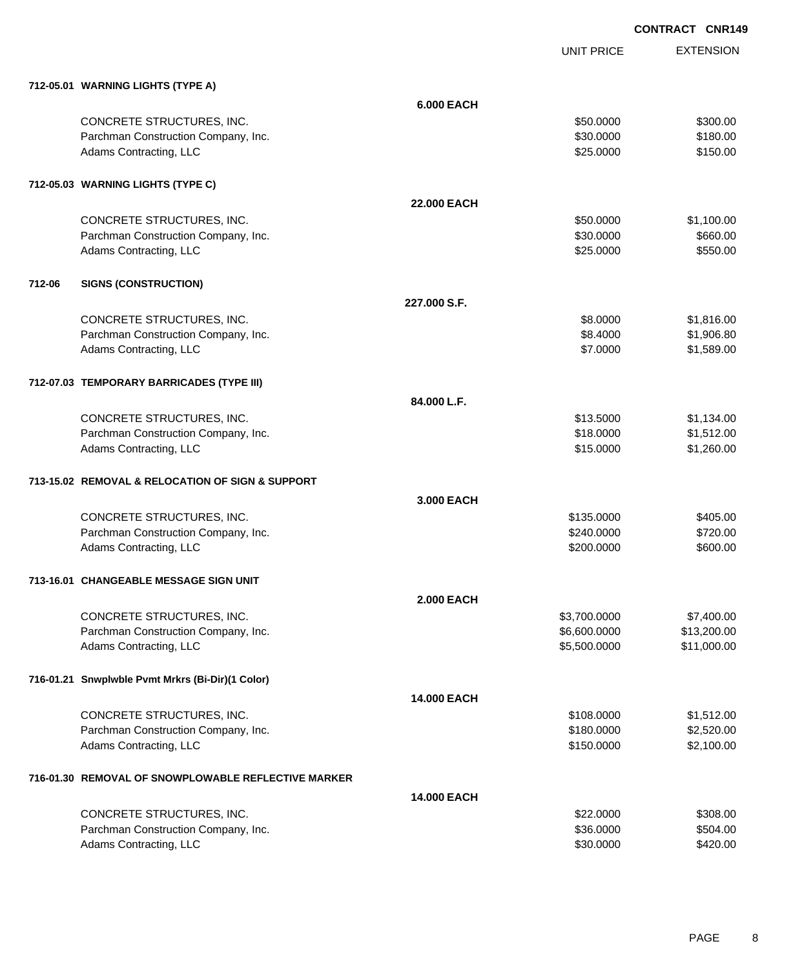UNIT PRICE EXTENSION

**712-05.01 WARNING LIGHTS (TYPE A)**

|        | 712-05.01 WARNING LIGHTS (TYPE A)                   |                    |              |             |
|--------|-----------------------------------------------------|--------------------|--------------|-------------|
|        |                                                     | <b>6.000 EACH</b>  |              |             |
|        | CONCRETE STRUCTURES, INC.                           |                    | \$50.0000    | \$300.00    |
|        | Parchman Construction Company, Inc.                 |                    | \$30.0000    | \$180.00    |
|        | Adams Contracting, LLC                              |                    | \$25.0000    | \$150.00    |
|        |                                                     |                    |              |             |
|        | 712-05.03 WARNING LIGHTS (TYPE C)                   |                    |              |             |
|        |                                                     | <b>22,000 EACH</b> |              |             |
|        | CONCRETE STRUCTURES, INC.                           |                    | \$50.0000    | \$1,100.00  |
|        | Parchman Construction Company, Inc.                 |                    | \$30.0000    | \$660.00    |
|        | Adams Contracting, LLC                              |                    | \$25.0000    | \$550.00    |
|        |                                                     |                    |              |             |
| 712-06 | <b>SIGNS (CONSTRUCTION)</b>                         |                    |              |             |
|        |                                                     | 227,000 S.F.       |              |             |
|        | CONCRETE STRUCTURES, INC.                           |                    | \$8.0000     | \$1,816.00  |
|        | Parchman Construction Company, Inc.                 |                    | \$8.4000     | \$1,906.80  |
|        | Adams Contracting, LLC                              |                    | \$7.0000     | \$1,589.00  |
|        |                                                     |                    |              |             |
|        | 712-07.03 TEMPORARY BARRICADES (TYPE III)           |                    |              |             |
|        |                                                     | 84.000 L.F.        |              |             |
|        | CONCRETE STRUCTURES, INC.                           |                    | \$13.5000    | \$1,134.00  |
|        | Parchman Construction Company, Inc.                 |                    | \$18.0000    | \$1,512.00  |
|        | Adams Contracting, LLC                              |                    | \$15.0000    | \$1,260.00  |
|        | 713-15.02 REMOVAL & RELOCATION OF SIGN & SUPPORT    |                    |              |             |
|        |                                                     | 3.000 EACH         |              |             |
|        | CONCRETE STRUCTURES, INC.                           |                    | \$135.0000   | \$405.00    |
|        | Parchman Construction Company, Inc.                 |                    | \$240.0000   | \$720.00    |
|        | Adams Contracting, LLC                              |                    | \$200.0000   | \$600.00    |
|        |                                                     |                    |              |             |
|        | 713-16.01 CHANGEABLE MESSAGE SIGN UNIT              |                    |              |             |
|        |                                                     | <b>2.000 EACH</b>  |              |             |
|        | CONCRETE STRUCTURES, INC.                           |                    | \$3,700.0000 | \$7,400.00  |
|        | Parchman Construction Company, Inc.                 |                    | \$6,600.0000 | \$13,200.00 |
|        | Adams Contracting, LLC                              |                    | \$5,500.0000 | \$11,000.00 |
|        | 716-01.21 Snwplwble Pvmt Mrkrs (Bi-Dir)(1 Color)    |                    |              |             |
|        |                                                     | 14.000 EACH        |              |             |
|        | CONCRETE STRUCTURES, INC.                           |                    | \$108.0000   | \$1,512.00  |
|        | Parchman Construction Company, Inc.                 |                    | \$180.0000   | \$2,520.00  |
|        | Adams Contracting, LLC                              |                    | \$150.0000   | \$2,100.00  |
|        | 716-01.30 REMOVAL OF SNOWPLOWABLE REFLECTIVE MARKER |                    |              |             |
|        |                                                     | 14.000 EACH        |              |             |
|        | CONCRETE STRUCTURES, INC.                           |                    | \$22.0000    | \$308.00    |
|        | Parchman Construction Company, Inc.                 |                    | \$36.0000    | \$504.00    |
|        | Adams Contracting, LLC                              |                    | \$30.0000    | \$420.00    |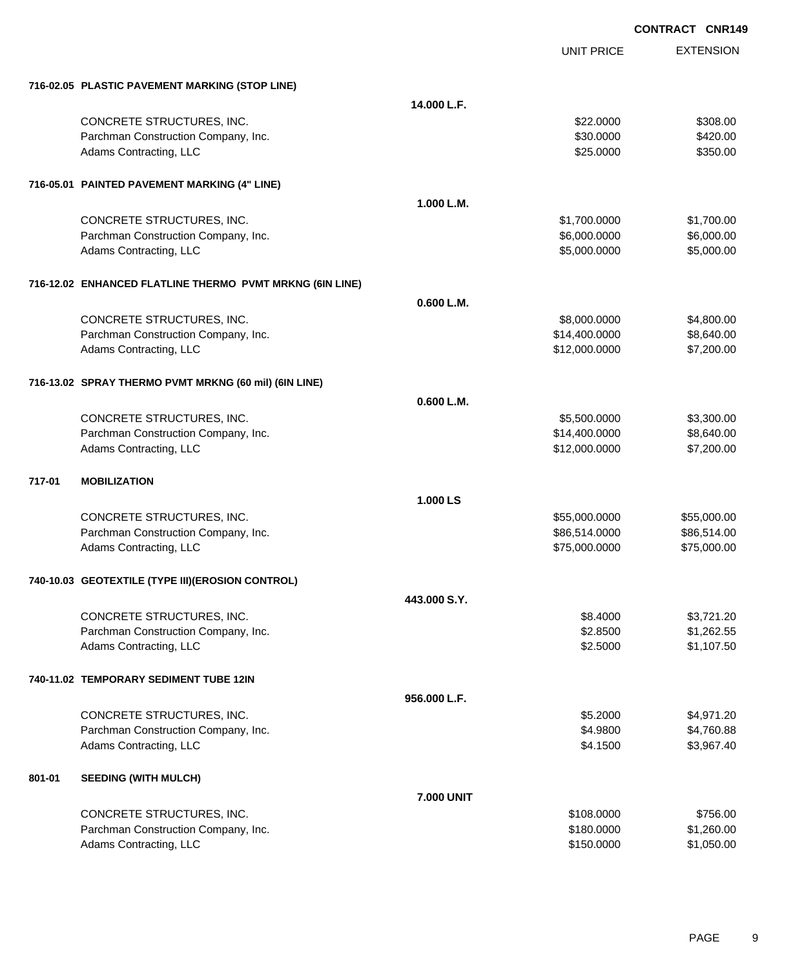|        |                                                          |                   | <b>UNIT PRICE</b> | <b>EXTENSION</b> |
|--------|----------------------------------------------------------|-------------------|-------------------|------------------|
|        | 716-02.05 PLASTIC PAVEMENT MARKING (STOP LINE)           |                   |                   |                  |
|        |                                                          | 14.000 L.F.       |                   |                  |
|        | CONCRETE STRUCTURES, INC.                                |                   | \$22.0000         | \$308.00         |
|        | Parchman Construction Company, Inc.                      |                   | \$30.0000         | \$420.00         |
|        | Adams Contracting, LLC                                   |                   | \$25.0000         | \$350.00         |
|        | 716-05.01 PAINTED PAVEMENT MARKING (4" LINE)             |                   |                   |                  |
|        |                                                          | 1.000 L.M.        |                   |                  |
|        | CONCRETE STRUCTURES, INC.                                |                   | \$1,700.0000      | \$1,700.00       |
|        | Parchman Construction Company, Inc.                      |                   | \$6,000.0000      | \$6,000.00       |
|        | Adams Contracting, LLC                                   |                   | \$5,000.0000      | \$5,000.00       |
|        | 716-12.02 ENHANCED FLATLINE THERMO PVMT MRKNG (6IN LINE) |                   |                   |                  |
|        |                                                          | 0.600 L.M.        |                   |                  |
|        | CONCRETE STRUCTURES, INC.                                |                   | \$8,000.0000      | \$4,800.00       |
|        | Parchman Construction Company, Inc.                      |                   | \$14,400.0000     | \$8,640.00       |
|        | Adams Contracting, LLC                                   |                   | \$12,000.0000     | \$7,200.00       |
|        | 716-13.02 SPRAY THERMO PVMT MRKNG (60 mil) (6IN LINE)    |                   |                   |                  |
|        |                                                          | 0.600 L.M.        |                   |                  |
|        | CONCRETE STRUCTURES, INC.                                |                   | \$5,500.0000      | \$3,300.00       |
|        | Parchman Construction Company, Inc.                      |                   | \$14,400.0000     | \$8,640.00       |
|        | Adams Contracting, LLC                                   |                   | \$12,000.0000     | \$7,200.00       |
| 717-01 | <b>MOBILIZATION</b>                                      |                   |                   |                  |
|        |                                                          | 1.000 LS          |                   |                  |
|        | CONCRETE STRUCTURES, INC.                                |                   | \$55,000.0000     | \$55,000.00      |
|        | Parchman Construction Company, Inc.                      |                   | \$86,514.0000     | \$86,514.00      |
|        | Adams Contracting, LLC                                   |                   | \$75,000.0000     | \$75,000.00      |
|        | 740-10.03 GEOTEXTILE (TYPE III)(EROSION CONTROL)         |                   |                   |                  |
|        |                                                          | 443,000 S.Y.      |                   |                  |
|        | CONCRETE STRUCTURES, INC.                                |                   | \$8,4000          | \$3,721.20       |
|        | Parchman Construction Company, Inc.                      |                   | \$2.8500          | \$1,262.55       |
|        | Adams Contracting, LLC                                   |                   | \$2.5000          | \$1,107.50       |
|        | 740-11.02 TEMPORARY SEDIMENT TUBE 12IN                   |                   |                   |                  |
|        |                                                          | 956.000 L.F.      |                   |                  |
|        | CONCRETE STRUCTURES, INC.                                |                   | \$5.2000          | \$4,971.20       |
|        | Parchman Construction Company, Inc.                      |                   | \$4.9800          | \$4,760.88       |
|        | Adams Contracting, LLC                                   |                   | \$4.1500          | \$3,967.40       |
| 801-01 | <b>SEEDING (WITH MULCH)</b>                              |                   |                   |                  |
|        |                                                          | <b>7.000 UNIT</b> |                   |                  |
|        | CONCRETE STRUCTURES, INC.                                |                   | \$108.0000        | \$756.00         |
|        | Parchman Construction Company, Inc.                      |                   | \$180.0000        | \$1,260.00       |
|        | Adams Contracting, LLC                                   |                   | \$150.0000        | \$1,050.00       |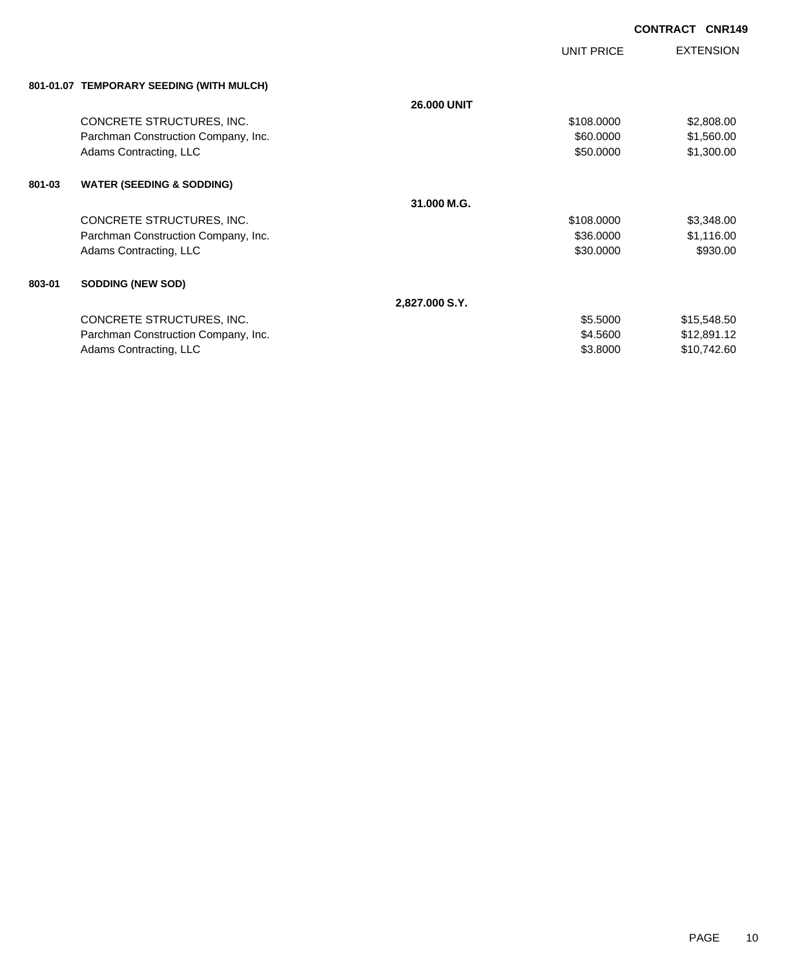UNIT PRICE

| 801-01.07 TEMPORARY SEEDING (WITH MULCH) |  |
|------------------------------------------|--|
|                                          |  |

|        | 801-01.07 TEMPORARY SEEDING (WITH MULCH) |                    |            |             |
|--------|------------------------------------------|--------------------|------------|-------------|
|        |                                          | <b>26,000 UNIT</b> |            |             |
|        | CONCRETE STRUCTURES, INC.                |                    | \$108.0000 | \$2,808.00  |
|        | Parchman Construction Company, Inc.      |                    | \$60,0000  | \$1,560.00  |
|        | Adams Contracting, LLC                   |                    | \$50,0000  | \$1,300.00  |
| 801-03 | <b>WATER (SEEDING &amp; SODDING)</b>     |                    |            |             |
|        |                                          | 31.000 M.G.        |            |             |
|        | CONCRETE STRUCTURES, INC.                |                    | \$108.0000 | \$3,348.00  |
|        | Parchman Construction Company, Inc.      |                    | \$36.0000  | \$1,116.00  |
|        | Adams Contracting, LLC                   |                    | \$30.0000  | \$930.00    |
| 803-01 | <b>SODDING (NEW SOD)</b>                 |                    |            |             |
|        |                                          | 2,827.000 S.Y.     |            |             |
|        | CONCRETE STRUCTURES, INC.                |                    | \$5.5000   | \$15,548.50 |
|        | Parchman Construction Company, Inc.      |                    | \$4.5600   | \$12,891.12 |
|        | Adams Contracting, LLC                   |                    | \$3.8000   | \$10,742.60 |
|        |                                          |                    |            |             |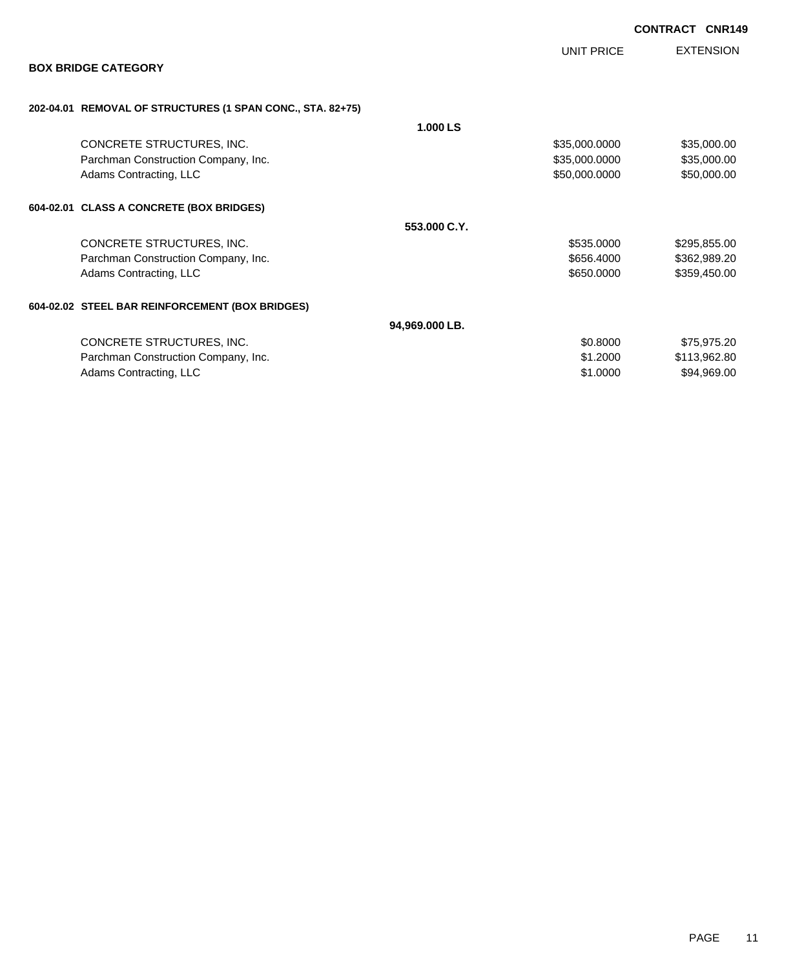|                                                            |                |                   | <b>CONTRACT CNR149</b> |                  |
|------------------------------------------------------------|----------------|-------------------|------------------------|------------------|
|                                                            |                | <b>UNIT PRICE</b> |                        | <b>EXTENSION</b> |
| <b>BOX BRIDGE CATEGORY</b>                                 |                |                   |                        |                  |
| 202-04.01 REMOVAL OF STRUCTURES (1 SPAN CONC., STA. 82+75) |                |                   |                        |                  |
|                                                            | 1.000 LS       |                   |                        |                  |
| CONCRETE STRUCTURES, INC.                                  |                | \$35,000.0000     |                        | \$35,000.00      |
| Parchman Construction Company, Inc.                        |                | \$35,000.0000     |                        | \$35,000.00      |
| Adams Contracting, LLC                                     |                | \$50,000.0000     |                        | \$50,000.00      |
| 604-02.01 CLASS A CONCRETE (BOX BRIDGES)                   |                |                   |                        |                  |
|                                                            | 553,000 C.Y.   |                   |                        |                  |
| CONCRETE STRUCTURES, INC.                                  |                | \$535.0000        |                        | \$295,855.00     |
| Parchman Construction Company, Inc.                        |                | \$656.4000        |                        | \$362,989.20     |
| Adams Contracting, LLC                                     |                | \$650.0000        |                        | \$359,450.00     |
| 604-02.02 STEEL BAR REINFORCEMENT (BOX BRIDGES)            |                |                   |                        |                  |
|                                                            | 94,969.000 LB. |                   |                        |                  |
| CONCRETE STRUCTURES, INC.                                  |                | \$0.8000          |                        | \$75,975.20      |
| Parchman Construction Company, Inc.                        |                | \$1.2000          |                        | \$113,962.80     |
| Adams Contracting, LLC                                     |                | \$1.0000          |                        | \$94,969.00      |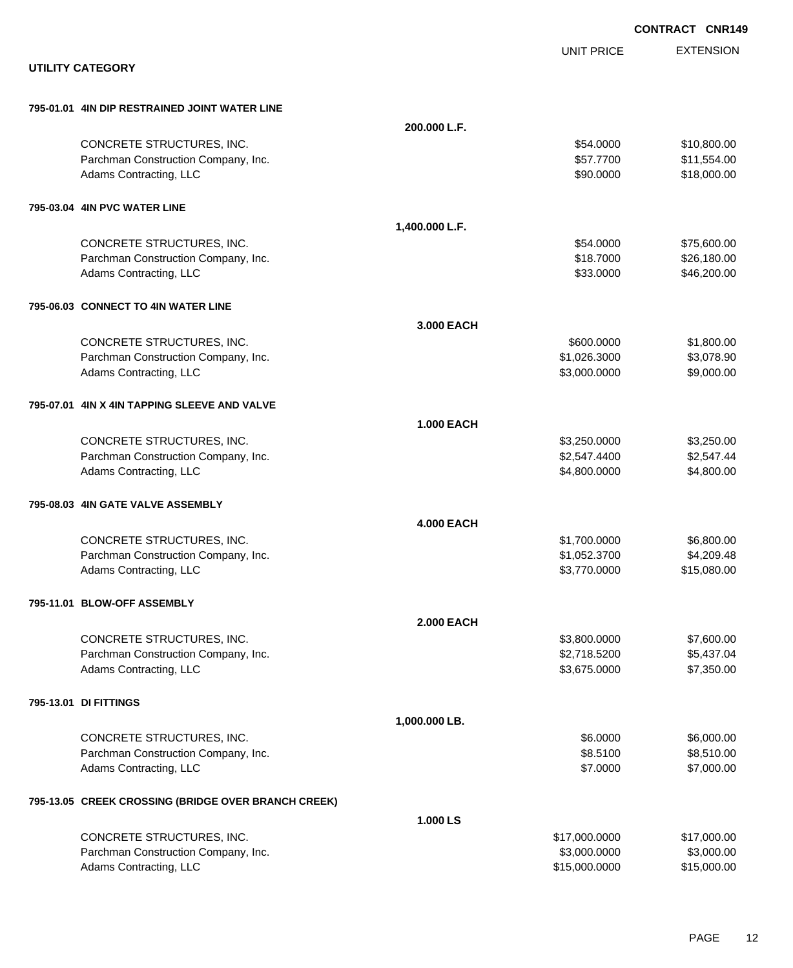|                                                     |                   |                   | <b>CONTRACT CNR149</b> |
|-----------------------------------------------------|-------------------|-------------------|------------------------|
|                                                     |                   | <b>UNIT PRICE</b> | <b>EXTENSION</b>       |
| <b>UTILITY CATEGORY</b>                             |                   |                   |                        |
| 795-01.01 4IN DIP RESTRAINED JOINT WATER LINE       |                   |                   |                        |
|                                                     | 200.000 L.F.      |                   |                        |
| CONCRETE STRUCTURES, INC.                           |                   | \$54.0000         | \$10,800.00            |
| Parchman Construction Company, Inc.                 |                   | \$57.7700         | \$11,554.00            |
| Adams Contracting, LLC                              |                   | \$90.0000         | \$18,000.00            |
| 795-03.04 4IN PVC WATER LINE                        |                   |                   |                        |
|                                                     | 1,400.000 L.F.    |                   |                        |
| CONCRETE STRUCTURES, INC.                           |                   | \$54.0000         | \$75,600.00            |
| Parchman Construction Company, Inc.                 |                   | \$18.7000         | \$26,180.00            |
| Adams Contracting, LLC                              |                   | \$33.0000         | \$46,200.00            |
| 795-06.03 CONNECT TO 4IN WATER LINE                 |                   |                   |                        |
|                                                     | 3.000 EACH        |                   |                        |
| CONCRETE STRUCTURES, INC.                           |                   | \$600,0000        | \$1,800.00             |
| Parchman Construction Company, Inc.                 |                   | \$1,026.3000      | \$3,078.90             |
| Adams Contracting, LLC                              |                   | \$3,000.0000      | \$9,000.00             |
| 795-07.01 4IN X 4IN TAPPING SLEEVE AND VALVE        |                   |                   |                        |
|                                                     | <b>1.000 EACH</b> |                   |                        |
| CONCRETE STRUCTURES, INC.                           |                   | \$3,250.0000      | \$3,250.00             |
| Parchman Construction Company, Inc.                 |                   | \$2,547.4400      | \$2,547.44             |
| Adams Contracting, LLC                              |                   | \$4,800.0000      | \$4,800.00             |
| 795-08.03 4IN GATE VALVE ASSEMBLY                   |                   |                   |                        |
|                                                     | <b>4.000 EACH</b> |                   |                        |
| CONCRETE STRUCTURES, INC.                           |                   | \$1,700.0000      | \$6,800.00             |
| Parchman Construction Company, Inc.                 |                   | \$1,052.3700      | \$4,209.48             |
| Adams Contracting, LLC                              |                   | \$3,770.0000      | \$15,080.00            |
| 795-11.01 BLOW-OFF ASSEMBLY                         |                   |                   |                        |
|                                                     | <b>2.000 EACH</b> |                   |                        |
| CONCRETE STRUCTURES, INC.                           |                   | \$3,800.0000      | \$7,600.00             |
| Parchman Construction Company, Inc.                 |                   | \$2,718.5200      | \$5,437.04             |
| Adams Contracting, LLC                              |                   | \$3,675.0000      | \$7,350.00             |
| 795-13.01 DI FITTINGS                               |                   |                   |                        |
|                                                     | 1,000.000 LB.     |                   |                        |
| CONCRETE STRUCTURES, INC.                           |                   | \$6.0000          | \$6,000.00             |
| Parchman Construction Company, Inc.                 |                   | \$8.5100          | \$8,510.00             |
| Adams Contracting, LLC                              |                   | \$7.0000          | \$7,000.00             |
| 795-13.05 CREEK CROSSING (BRIDGE OVER BRANCH CREEK) |                   |                   |                        |
|                                                     | 1.000 LS          |                   |                        |
| CONCRETE STRUCTURES, INC.                           |                   | \$17,000.0000     | \$17,000.00            |
| Parchman Construction Company, Inc.                 |                   | \$3,000.0000      | \$3,000.00             |
| Adams Contracting, LLC                              |                   | \$15,000.0000     | \$15,000.00            |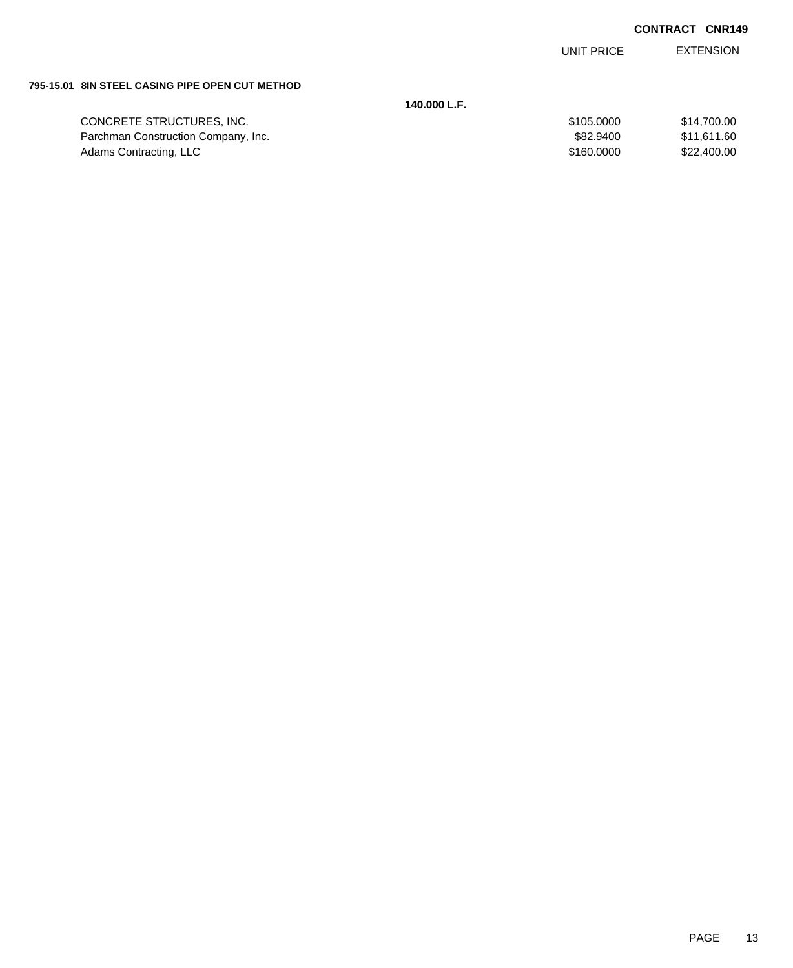EXTENSION UNIT PRICE

#### **795-15.01 8IN STEEL CASING PIPE OPEN CUT METHOD**

|                                     | 140.000 L.F. |             |
|-------------------------------------|--------------|-------------|
| CONCRETE STRUCTURES, INC.           | \$105,0000   | \$14.700.00 |
| Parchman Construction Company, Inc. | \$82,9400    | \$11.611.60 |
| Adams Contracting, LLC              | \$160,0000   | \$22,400.00 |
|                                     |              |             |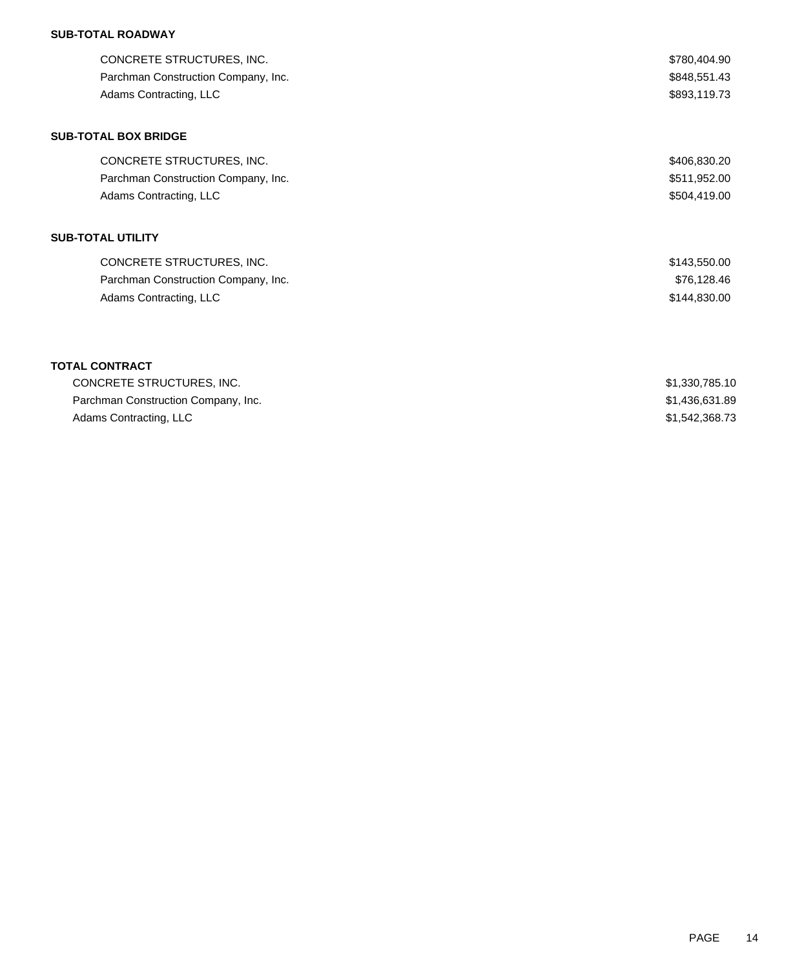# **SUB-TOTAL ROADWAY**

| CONCRETE STRUCTURES, INC.<br>Parchman Construction Company, Inc.<br>Adams Contracting, LLC | \$780,404.90<br>\$848,551.43<br>\$893,119.73 |
|--------------------------------------------------------------------------------------------|----------------------------------------------|
| <b>SUB-TOTAL BOX BRIDGE</b>                                                                |                                              |
| CONCRETE STRUCTURES, INC.                                                                  | \$406,830.20                                 |
| Parchman Construction Company, Inc.                                                        | \$511,952.00                                 |
| Adams Contracting, LLC                                                                     | \$504,419.00                                 |
| <b>SUB-TOTAL UTILITY</b>                                                                   |                                              |
| CONCRETE STRUCTURES, INC.                                                                  | \$143,550.00                                 |
| Parchman Construction Company, Inc.                                                        | \$76,128.46                                  |
| Adams Contracting, LLC                                                                     | \$144,830.00                                 |
| <b>TOTAL CONTRACT</b>                                                                      |                                              |
| CONCRETE STRUCTURES, INC.                                                                  | \$1,330,785.10                               |
| Parchman Construction Company, Inc.                                                        | \$1,436,631.89                               |
| Adams Contracting, LLC                                                                     | \$1,542,368.73                               |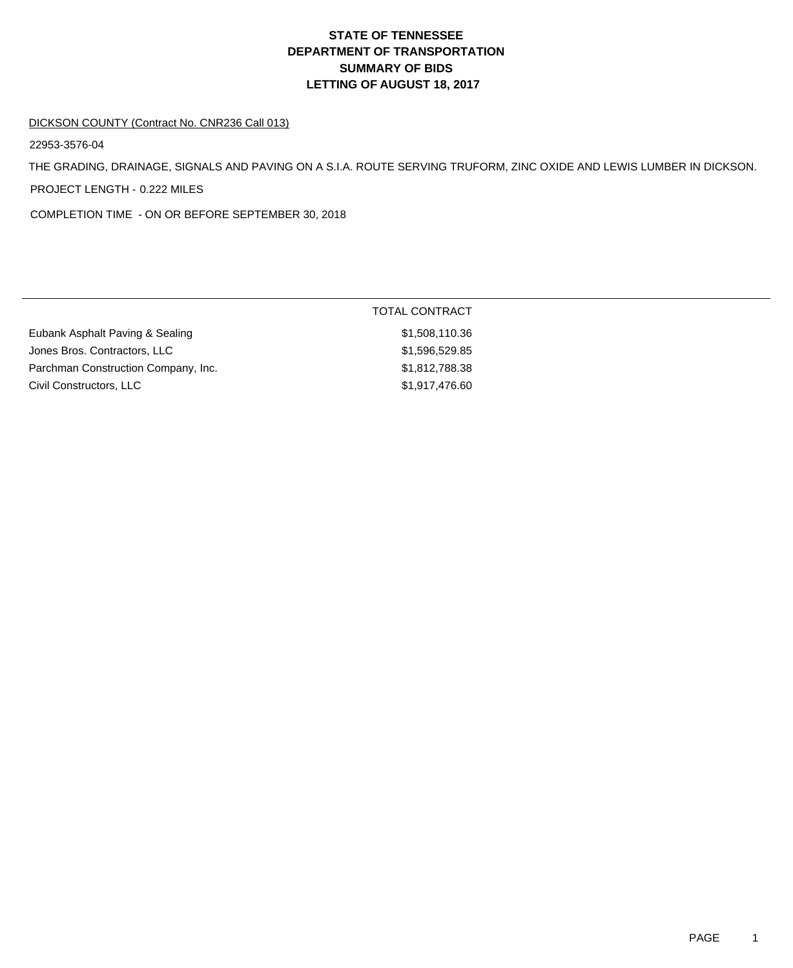# **DEPARTMENT OF TRANSPORTATION SUMMARY OF BIDS LETTING OF AUGUST 18, 2017 STATE OF TENNESSEE**

#### DICKSON COUNTY (Contract No. CNR236 Call 013)

22953-3576-04

THE GRADING, DRAINAGE, SIGNALS AND PAVING ON A S.I.A. ROUTE SERVING TRUFORM, ZINC OXIDE AND LEWIS LUMBER IN DICKSON. PROJECT LENGTH - 0.222 MILES

COMPLETION TIME - ON OR BEFORE SEPTEMBER 30, 2018

|                                     | TOTAL CONTRACT |
|-------------------------------------|----------------|
| Eubank Asphalt Paving & Sealing     | \$1,508,110.36 |
| Jones Bros. Contractors, LLC        | \$1,596,529.85 |
| Parchman Construction Company, Inc. | \$1,812,788.38 |
| Civil Constructors, LLC             | \$1,917,476.60 |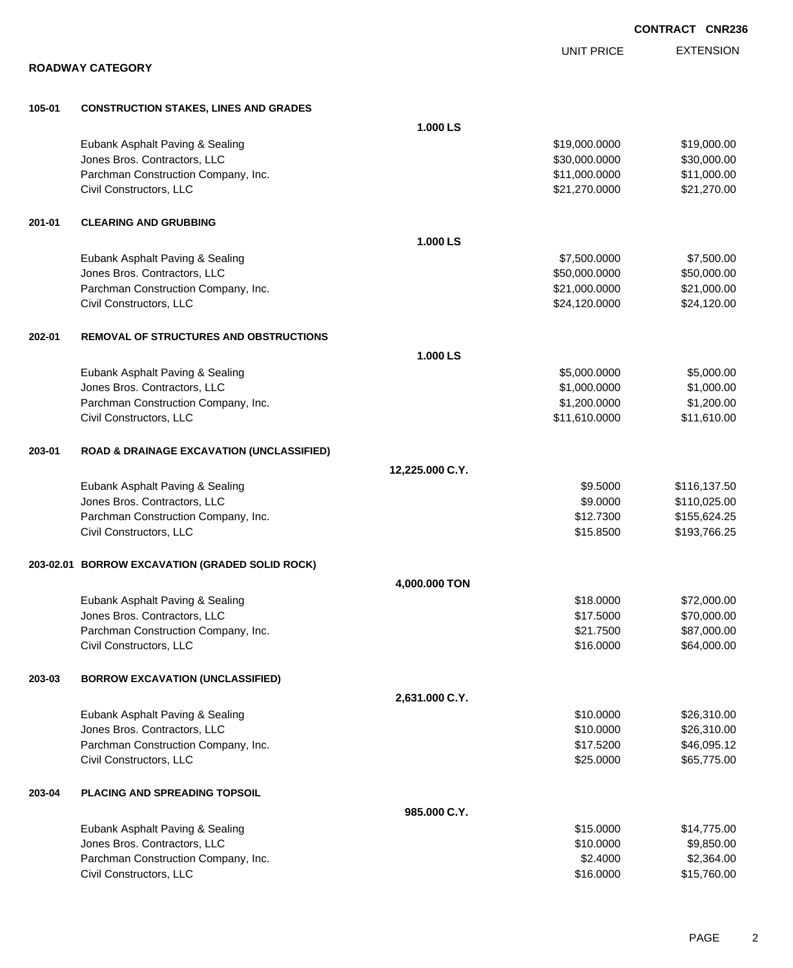|        |                                                                     |                 |                                | <b>CONTRACT CNR236</b>     |
|--------|---------------------------------------------------------------------|-----------------|--------------------------------|----------------------------|
|        |                                                                     |                 | <b>UNIT PRICE</b>              | <b>EXTENSION</b>           |
|        | <b>ROADWAY CATEGORY</b>                                             |                 |                                |                            |
|        |                                                                     |                 |                                |                            |
| 105-01 | <b>CONSTRUCTION STAKES, LINES AND GRADES</b>                        |                 |                                |                            |
|        |                                                                     | 1.000 LS        |                                |                            |
|        | Eubank Asphalt Paving & Sealing                                     |                 | \$19,000.0000                  | \$19,000.00                |
|        | Jones Bros. Contractors, LLC<br>Parchman Construction Company, Inc. |                 | \$30,000.0000<br>\$11,000.0000 | \$30,000.00<br>\$11,000.00 |
|        | Civil Constructors, LLC                                             |                 | \$21,270.0000                  | \$21,270.00                |
|        |                                                                     |                 |                                |                            |
| 201-01 | <b>CLEARING AND GRUBBING</b>                                        | 1.000 LS        |                                |                            |
|        | Eubank Asphalt Paving & Sealing                                     |                 | \$7,500.0000                   | \$7,500.00                 |
|        | Jones Bros. Contractors, LLC                                        |                 | \$50,000.0000                  | \$50,000.00                |
|        | Parchman Construction Company, Inc.                                 |                 | \$21,000.0000                  | \$21,000.00                |
|        | Civil Constructors, LLC                                             |                 | \$24,120.0000                  | \$24,120.00                |
|        |                                                                     |                 |                                |                            |
| 202-01 | <b>REMOVAL OF STRUCTURES AND OBSTRUCTIONS</b>                       | 1.000 LS        |                                |                            |
|        | Eubank Asphalt Paving & Sealing                                     |                 | \$5,000.0000                   | \$5,000.00                 |
|        | Jones Bros. Contractors, LLC                                        |                 | \$1,000.0000                   | \$1,000.00                 |
|        | Parchman Construction Company, Inc.                                 |                 | \$1,200.0000                   | \$1,200.00                 |
|        | Civil Constructors, LLC                                             |                 | \$11,610.0000                  | \$11,610.00                |
| 203-01 | <b>ROAD &amp; DRAINAGE EXCAVATION (UNCLASSIFIED)</b>                |                 |                                |                            |
|        |                                                                     | 12,225.000 C.Y. |                                |                            |
|        | Eubank Asphalt Paving & Sealing                                     |                 | \$9.5000                       | \$116,137.50               |
|        | Jones Bros. Contractors, LLC                                        |                 | \$9.0000                       | \$110,025.00               |
|        | Parchman Construction Company, Inc.                                 |                 | \$12.7300                      | \$155,624.25               |
|        | Civil Constructors, LLC                                             |                 | \$15.8500                      | \$193,766.25               |
|        | 203-02.01 BORROW EXCAVATION (GRADED SOLID ROCK)                     |                 |                                |                            |
|        |                                                                     | 4,000.000 TON   |                                |                            |
|        | Eubank Asphalt Paving & Sealing                                     |                 | \$18.0000                      | \$72,000.00                |
|        | Jones Bros. Contractors, LLC                                        |                 | \$17.5000                      | \$70,000.00                |
|        | Parchman Construction Company, Inc.                                 |                 | \$21.7500                      | \$87,000.00                |
|        | Civil Constructors, LLC                                             |                 | \$16.0000                      | \$64,000.00                |
| 203-03 | <b>BORROW EXCAVATION (UNCLASSIFIED)</b>                             |                 |                                |                            |
|        |                                                                     | 2,631.000 C.Y.  |                                |                            |
|        | Eubank Asphalt Paving & Sealing                                     |                 | \$10.0000                      | \$26,310.00                |
|        | Jones Bros. Contractors, LLC                                        |                 | \$10.0000                      | \$26,310.00                |
|        | Parchman Construction Company, Inc.                                 |                 | \$17.5200                      | \$46,095.12                |
|        | Civil Constructors, LLC                                             |                 | \$25.0000                      | \$65,775.00                |
| 203-04 | PLACING AND SPREADING TOPSOIL                                       |                 |                                |                            |
|        |                                                                     | 985.000 C.Y.    |                                |                            |
|        | Eubank Asphalt Paving & Sealing                                     |                 | \$15.0000                      | \$14,775.00                |
|        | Jones Bros. Contractors, LLC                                        |                 | \$10.0000                      | \$9,850.00                 |
|        | Parchman Construction Company, Inc.                                 |                 | \$2.4000                       | \$2,364.00                 |
|        | Civil Constructors, LLC                                             |                 | \$16.0000                      | \$15,760.00                |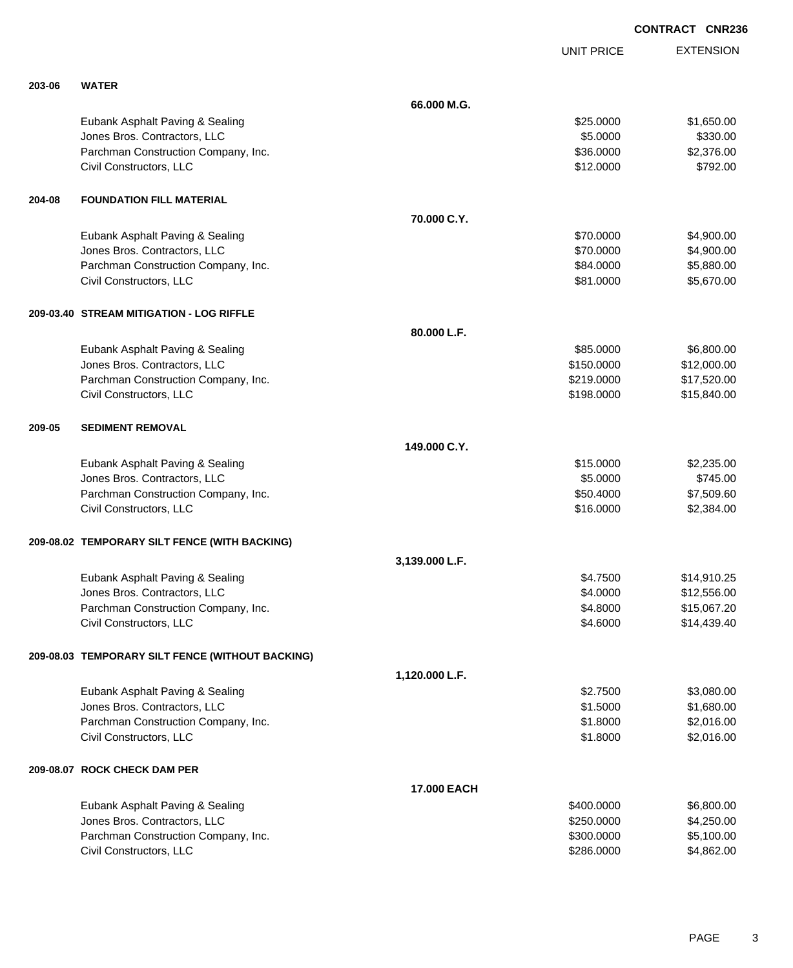|        |                                                  |                |                   | <b>UNIVA</b>     |
|--------|--------------------------------------------------|----------------|-------------------|------------------|
|        |                                                  |                | <b>UNIT PRICE</b> | <b>EXTENSION</b> |
| 203-06 | <b>WATER</b>                                     |                |                   |                  |
|        |                                                  | 66.000 M.G.    |                   |                  |
|        | Eubank Asphalt Paving & Sealing                  |                | \$25.0000         | \$1,650.00       |
|        | Jones Bros. Contractors, LLC                     |                | \$5.0000          | \$330.00         |
|        | Parchman Construction Company, Inc.              |                | \$36.0000         | \$2,376.00       |
|        | Civil Constructors, LLC                          |                | \$12.0000         | \$792.00         |
| 204-08 | <b>FOUNDATION FILL MATERIAL</b>                  |                |                   |                  |
|        |                                                  | 70.000 C.Y.    |                   |                  |
|        | Eubank Asphalt Paving & Sealing                  |                | \$70.0000         | \$4,900.00       |
|        | Jones Bros. Contractors, LLC                     |                | \$70.0000         | \$4,900.00       |
|        | Parchman Construction Company, Inc.              |                | \$84.0000         | \$5,880.00       |
|        | Civil Constructors, LLC                          |                | \$81.0000         | \$5,670.00       |
|        | 209-03.40 STREAM MITIGATION - LOG RIFFLE         |                |                   |                  |
|        |                                                  | 80.000 L.F.    |                   |                  |
|        | Eubank Asphalt Paving & Sealing                  |                | \$85.0000         | \$6,800.00       |
|        | Jones Bros. Contractors, LLC                     |                | \$150.0000        | \$12,000.00      |
|        | Parchman Construction Company, Inc.              |                | \$219.0000        | \$17,520.00      |
|        | Civil Constructors, LLC                          |                | \$198.0000        | \$15,840.00      |
| 209-05 | <b>SEDIMENT REMOVAL</b>                          |                |                   |                  |
|        |                                                  | 149.000 C.Y.   |                   |                  |
|        | Eubank Asphalt Paving & Sealing                  |                | \$15.0000         | \$2,235.00       |
|        | Jones Bros. Contractors, LLC                     |                | \$5.0000          | \$745.00         |
|        | Parchman Construction Company, Inc.              |                | \$50.4000         | \$7,509.60       |
|        | Civil Constructors, LLC                          |                | \$16.0000         | \$2,384.00       |
|        | 209-08.02 TEMPORARY SILT FENCE (WITH BACKING)    |                |                   |                  |
|        |                                                  | 3,139.000 L.F. |                   |                  |
|        | Eubank Asphalt Paving & Sealing                  |                | \$4.7500          | \$14,910.25      |
|        | Jones Bros. Contractors, LLC                     |                | \$4,0000          | \$12,556.00      |
|        | Parchman Construction Company, Inc.              |                | \$4.8000          | \$15,067.20      |
|        | Civil Constructors, LLC                          |                | \$4.6000          | \$14,439.40      |
|        | 209-08.03 TEMPORARY SILT FENCE (WITHOUT BACKING) |                |                   |                  |
|        |                                                  | 1,120.000 L.F. |                   |                  |
|        | Eubank Asphalt Paving & Sealing                  |                | \$2.7500          | \$3,080.00       |
|        | Jones Bros. Contractors, LLC                     |                | \$1.5000          | \$1,680.00       |
|        | Parchman Construction Company, Inc.              |                | \$1.8000          | \$2,016.00       |
|        | Civil Constructors, LLC                          |                | \$1.8000          | \$2,016.00       |
|        | 209-08.07 ROCK CHECK DAM PER                     |                |                   |                  |
|        |                                                  | 17.000 EACH    |                   |                  |
|        | Eubank Asphalt Paving & Sealing                  |                | \$400.0000        | \$6,800.00       |
|        | Jones Bros. Contractors, LLC                     |                | \$250.0000        | \$4,250.00       |
|        | Parchman Construction Company, Inc.              |                | \$300.0000        | \$5,100.00       |
|        | Civil Constructors, LLC                          |                | \$286.0000        | \$4,862.00       |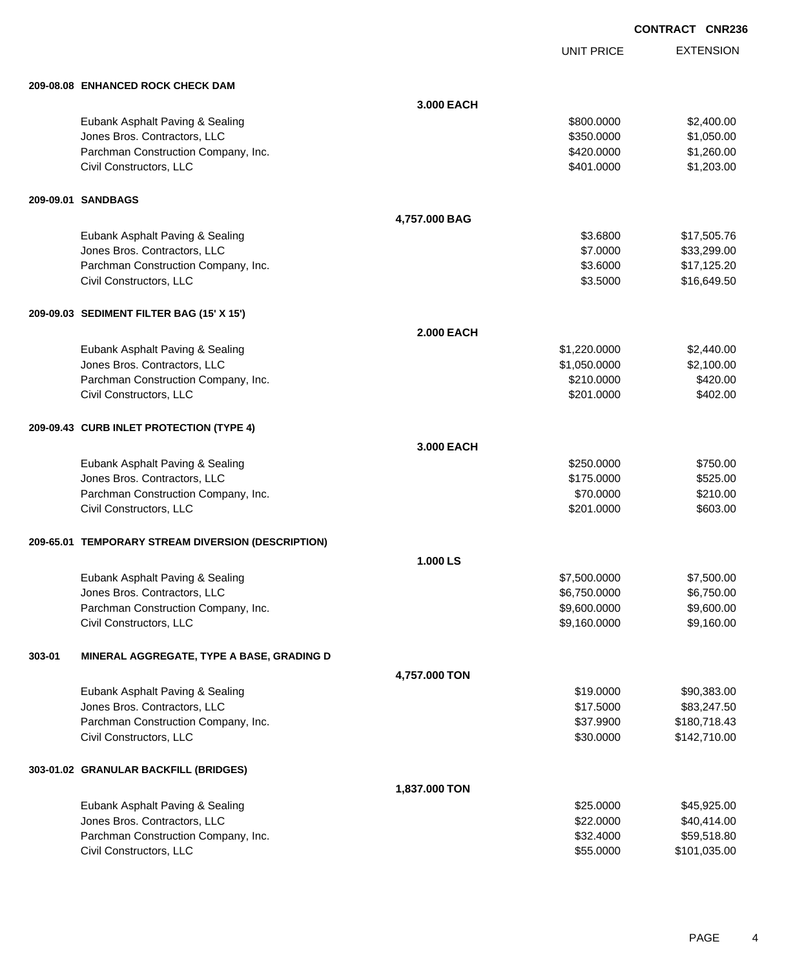UNIT PRICE EXTENSION

|        | 209-08.08 ENHANCED ROCK CHECK DAM                  |               |              |              |
|--------|----------------------------------------------------|---------------|--------------|--------------|
|        |                                                    | 3.000 EACH    |              |              |
|        | Eubank Asphalt Paving & Sealing                    |               | \$800.0000   | \$2,400.00   |
|        | Jones Bros. Contractors, LLC                       |               | \$350.0000   | \$1,050.00   |
|        | Parchman Construction Company, Inc.                |               | \$420.0000   | \$1,260.00   |
|        | Civil Constructors, LLC                            |               | \$401.0000   | \$1,203.00   |
|        | 209-09.01 SANDBAGS                                 |               |              |              |
|        |                                                    | 4,757.000 BAG |              |              |
|        | Eubank Asphalt Paving & Sealing                    |               | \$3.6800     | \$17,505.76  |
|        | Jones Bros. Contractors, LLC                       |               | \$7.0000     | \$33,299.00  |
|        | Parchman Construction Company, Inc.                |               | \$3.6000     | \$17,125.20  |
|        | Civil Constructors, LLC                            |               | \$3.5000     | \$16,649.50  |
|        | 209-09.03 SEDIMENT FILTER BAG (15' X 15')          |               |              |              |
|        |                                                    | 2.000 EACH    |              |              |
|        | Eubank Asphalt Paving & Sealing                    |               | \$1,220.0000 | \$2,440.00   |
|        | Jones Bros. Contractors, LLC                       |               | \$1,050.0000 | \$2,100.00   |
|        | Parchman Construction Company, Inc.                |               | \$210.0000   | \$420.00     |
|        | Civil Constructors, LLC                            |               | \$201.0000   | \$402.00     |
|        | 209-09.43 CURB INLET PROTECTION (TYPE 4)           |               |              |              |
|        |                                                    | 3.000 EACH    |              |              |
|        | Eubank Asphalt Paving & Sealing                    |               | \$250.0000   | \$750.00     |
|        | Jones Bros. Contractors, LLC                       |               | \$175.0000   | \$525.00     |
|        | Parchman Construction Company, Inc.                |               | \$70.0000    | \$210.00     |
|        | Civil Constructors, LLC                            |               | \$201.0000   | \$603.00     |
|        | 209-65.01 TEMPORARY STREAM DIVERSION (DESCRIPTION) |               |              |              |
|        |                                                    | 1.000 LS      |              |              |
|        | Eubank Asphalt Paving & Sealing                    |               | \$7,500.0000 | \$7,500.00   |
|        | Jones Bros. Contractors, LLC                       |               | \$6,750.0000 | \$6,750.00   |
|        | Parchman Construction Company, Inc.                |               | \$9,600.0000 | \$9,600.00   |
|        | Civil Constructors, LLC                            |               | \$9,160.0000 | \$9,160.00   |
| 303-01 | MINERAL AGGREGATE, TYPE A BASE, GRADING D          |               |              |              |
|        |                                                    | 4,757.000 TON |              |              |
|        | Eubank Asphalt Paving & Sealing                    |               | \$19.0000    | \$90,383.00  |
|        | Jones Bros. Contractors, LLC                       |               | \$17.5000    | \$83,247.50  |
|        | Parchman Construction Company, Inc.                |               | \$37.9900    | \$180,718.43 |
|        | Civil Constructors, LLC                            |               | \$30.0000    | \$142,710.00 |
|        | 303-01.02 GRANULAR BACKFILL (BRIDGES)              |               |              |              |
|        |                                                    | 1,837.000 TON |              |              |
|        | Eubank Asphalt Paving & Sealing                    |               | \$25.0000    | \$45,925.00  |
|        | Jones Bros. Contractors, LLC                       |               | \$22.0000    | \$40,414.00  |
|        | Parchman Construction Company, Inc.                |               | \$32.4000    | \$59,518.80  |
|        | Civil Constructors, LLC                            |               | \$55.0000    | \$101,035.00 |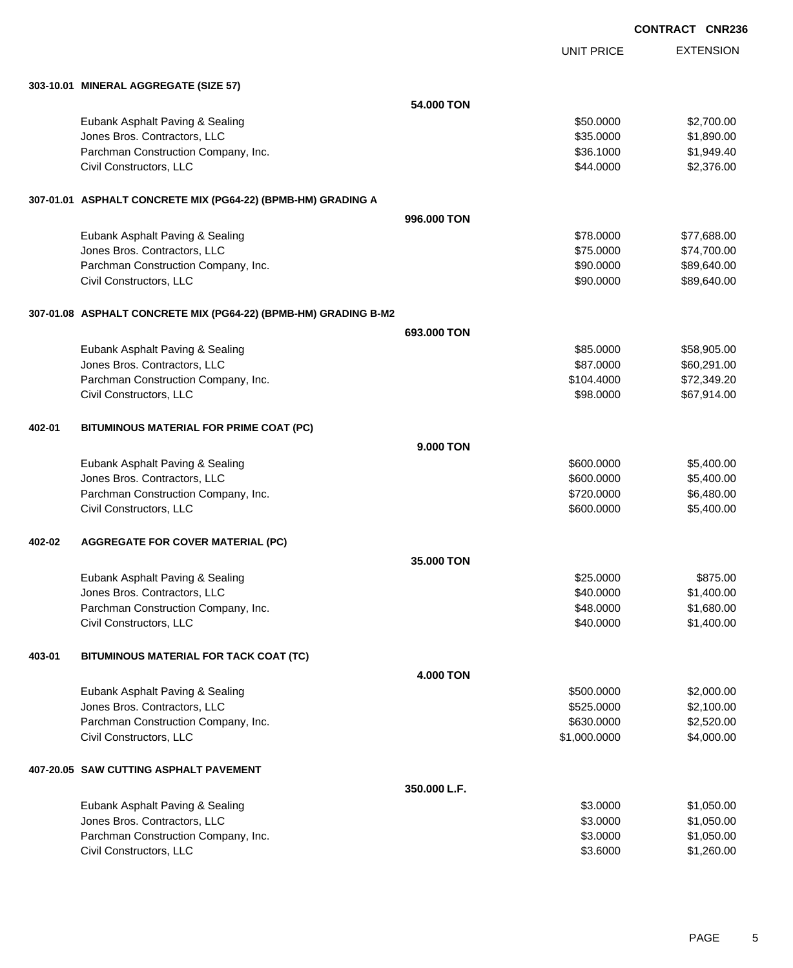| <b>CONTRACT CNR236</b> |  |
|------------------------|--|
|                        |  |

EXTENSION UNIT PRICE **303-10.01 MINERAL AGGREGATE (SIZE 57) 54.000 TON** Eubank Asphalt Paving & Sealing \$50.000 \$2,700.00 Jones Bros. Contractors, LLC \$35.0000 \$1,890.00 Parchman Construction Company, Inc. 6. The Construction Company, Inc. \$36.1000 \$1,949.40 Civil Constructors, LLC 62,376.00 **307-01.01 ASPHALT CONCRETE MIX (PG64-22) (BPMB-HM) GRADING A 996.000 TON** Eubank Asphalt Paving & Sealing \$78.000 \$77,688.00 Jones Bros. Contractors, LLC 6 and the state of the state of the state of the state of the state of the state of the state of the state of the state of the state of the state of the state of the state of the state of the s Parchman Construction Company, Inc. 6. The extension of the state of the state of the state of the state of the state  $$90.0000$  \$89,640.00 Civil Constructors, LLC 689,640.00 **307-01.08 ASPHALT CONCRETE MIX (PG64-22) (BPMB-HM) GRADING B-M2 693.000 TON** Eubank Asphalt Paving & Sealing **\$85.0000** \$58,905.00 Jones Bros. Contractors, LLC 60,291.00 Parchman Construction Company, Inc. 6. The Construction Company, Inc. 6. The Construction Company, Inc. 6. The Construction Company, Inc. 6. The Construction Company, Inc. 6. The Construction Company, Inc. 6. The Construct Civil Constructors, LLC 667,914.00 **402-01 BITUMINOUS MATERIAL FOR PRIME COAT (PC) 9.000 TON** Eubank Asphalt Paving & Sealing \$600.0000 \$5,400.00 dones Bros. Contractors, LLC 600.000 \$5,400.00 Parchman Construction Company, Inc. 6.480.00 \$6,480.00 \$6,480.00 Civil Constructors, LLC 65,400.00 \$5,400.00 \$5,400.00 \$5,400.00 \$5,400.00 \$5,400.00 \$5,400.00 \$5,400.00 \$5,400 **402-02 AGGREGATE FOR COVER MATERIAL (PC) 35.000 TON** Eubank Asphalt Paving & Sealing \$25.000 \$875.00 Jones Bros. Contractors, LLC 6. The state of the state of the state of the state of the state of the state of the state of the state of the state of the state of the state of the state of the state of the state of the stat Parchman Construction Company, Inc. 6. The Construction Company, Inc. \$48.0000 \$1,680.00 Civil Constructors, LLC 61,400.00 **403-01 BITUMINOUS MATERIAL FOR TACK COAT (TC) 4.000 TON** Eubank Asphalt Paving & Sealing \$500.000 \$2,000.00 Jones Bros. Contractors, LLC \$525.0000 \$2,100.00 Parchman Construction Company, Inc. 6630.000 \$2,520.00 Civil Constructors, LLC 6. 2010 12:00:000 \$4,000.000 \$4,000.000 \$4,000.000 \$4,000.000 \$4,000.00 **407-20.05 SAW CUTTING ASPHALT PAVEMENT 350.000 L.F.** Eubank Asphalt Paving & Sealing \$3.0000 \$1,050.00 Jones Bros. Contractors, LLC \$3.0000 \$1,050.00 Parchman Construction Company, Inc. 6. 2000 \$1,050.00 \$1,050.00 Civil Constructors, LLC 61,260.00 \$1,260.00 \$1,260.00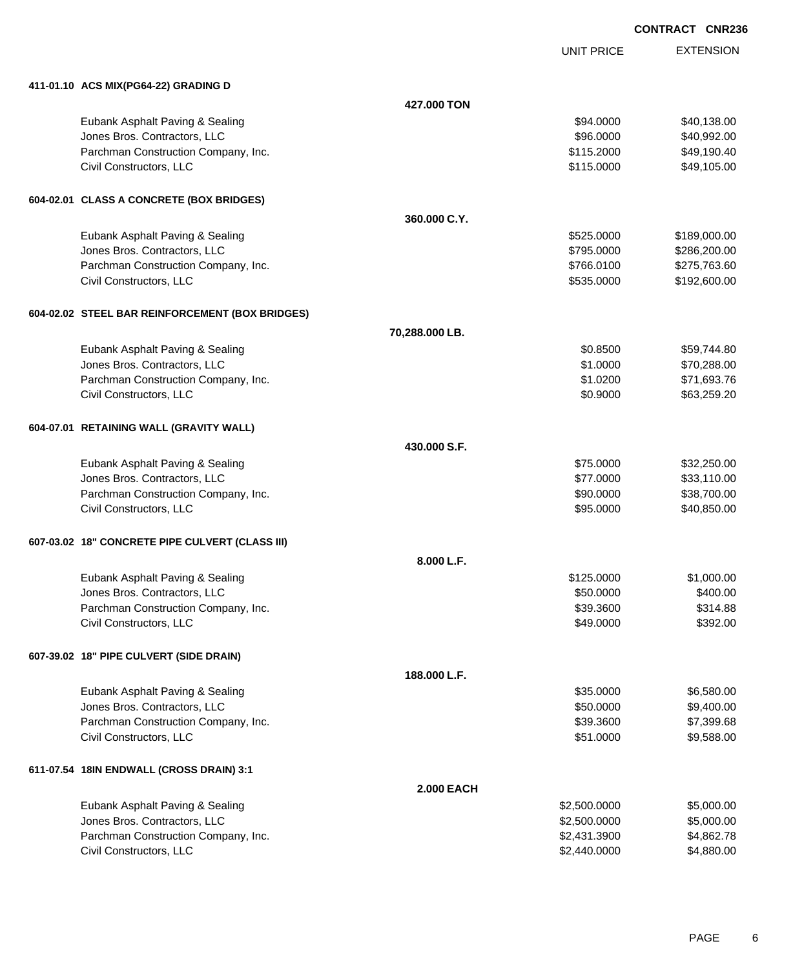EXTENSION **CONTRACT CNR236**

UNIT PRICE

| 411-01.10 ACS MIX(PG64-22) GRADING D            |                   |              |              |
|-------------------------------------------------|-------------------|--------------|--------------|
|                                                 | 427.000 TON       |              |              |
| Eubank Asphalt Paving & Sealing                 |                   | \$94.0000    | \$40,138.00  |
| Jones Bros. Contractors, LLC                    |                   | \$96.0000    | \$40,992.00  |
| Parchman Construction Company, Inc.             |                   | \$115.2000   | \$49,190.40  |
| Civil Constructors, LLC                         |                   | \$115.0000   | \$49,105.00  |
|                                                 |                   |              |              |
| 604-02.01 CLASS A CONCRETE (BOX BRIDGES)        |                   |              |              |
|                                                 | 360.000 C.Y.      |              |              |
| Eubank Asphalt Paving & Sealing                 |                   | \$525.0000   | \$189,000.00 |
| Jones Bros. Contractors, LLC                    |                   | \$795.0000   | \$286,200.00 |
| Parchman Construction Company, Inc.             |                   | \$766.0100   | \$275,763.60 |
| Civil Constructors, LLC                         |                   | \$535.0000   | \$192,600.00 |
|                                                 |                   |              |              |
| 604-02.02 STEEL BAR REINFORCEMENT (BOX BRIDGES) |                   |              |              |
|                                                 | 70,288.000 LB.    |              |              |
| Eubank Asphalt Paving & Sealing                 |                   | \$0.8500     | \$59,744.80  |
| Jones Bros. Contractors, LLC                    |                   | \$1.0000     | \$70,288.00  |
| Parchman Construction Company, Inc.             |                   | \$1.0200     | \$71,693.76  |
| Civil Constructors, LLC                         |                   | \$0.9000     | \$63,259.20  |
|                                                 |                   |              |              |
| 604-07.01 RETAINING WALL (GRAVITY WALL)         |                   |              |              |
|                                                 | 430.000 S.F.      |              |              |
| Eubank Asphalt Paving & Sealing                 |                   | \$75.0000    | \$32,250.00  |
| Jones Bros. Contractors, LLC                    |                   | \$77.0000    | \$33,110.00  |
| Parchman Construction Company, Inc.             |                   | \$90.0000    | \$38,700.00  |
| Civil Constructors, LLC                         |                   | \$95.0000    | \$40,850.00  |
|                                                 |                   |              |              |
| 607-03.02 18" CONCRETE PIPE CULVERT (CLASS III) |                   |              |              |
|                                                 | 8.000 L.F.        |              |              |
| Eubank Asphalt Paving & Sealing                 |                   | \$125.0000   | \$1,000.00   |
| Jones Bros. Contractors, LLC                    |                   | \$50.0000    | \$400.00     |
| Parchman Construction Company, Inc.             |                   | \$39.3600    | \$314.88     |
| Civil Constructors, LLC                         |                   | \$49.0000    | \$392.00     |
|                                                 |                   |              |              |
| 607-39.02 18" PIPE CULVERT (SIDE DRAIN)         |                   |              |              |
|                                                 | 188,000 L.F.      |              |              |
| Eubank Asphalt Paving & Sealing                 |                   | \$35.0000    | \$6,580.00   |
| Jones Bros. Contractors, LLC                    |                   | \$50.0000    | \$9,400.00   |
| Parchman Construction Company, Inc.             |                   | \$39.3600    | \$7,399.68   |
| Civil Constructors, LLC                         |                   | \$51.0000    | \$9,588.00   |
|                                                 |                   |              |              |
| 611-07.54 18IN ENDWALL (CROSS DRAIN) 3:1        |                   |              |              |
|                                                 | <b>2.000 EACH</b> |              |              |
| Eubank Asphalt Paving & Sealing                 |                   | \$2,500.0000 | \$5,000.00   |
| Jones Bros. Contractors, LLC                    |                   | \$2,500.0000 | \$5,000.00   |
| Parchman Construction Company, Inc.             |                   | \$2,431.3900 | \$4,862.78   |
| Civil Constructors, LLC                         |                   | \$2,440.0000 | \$4,880.00   |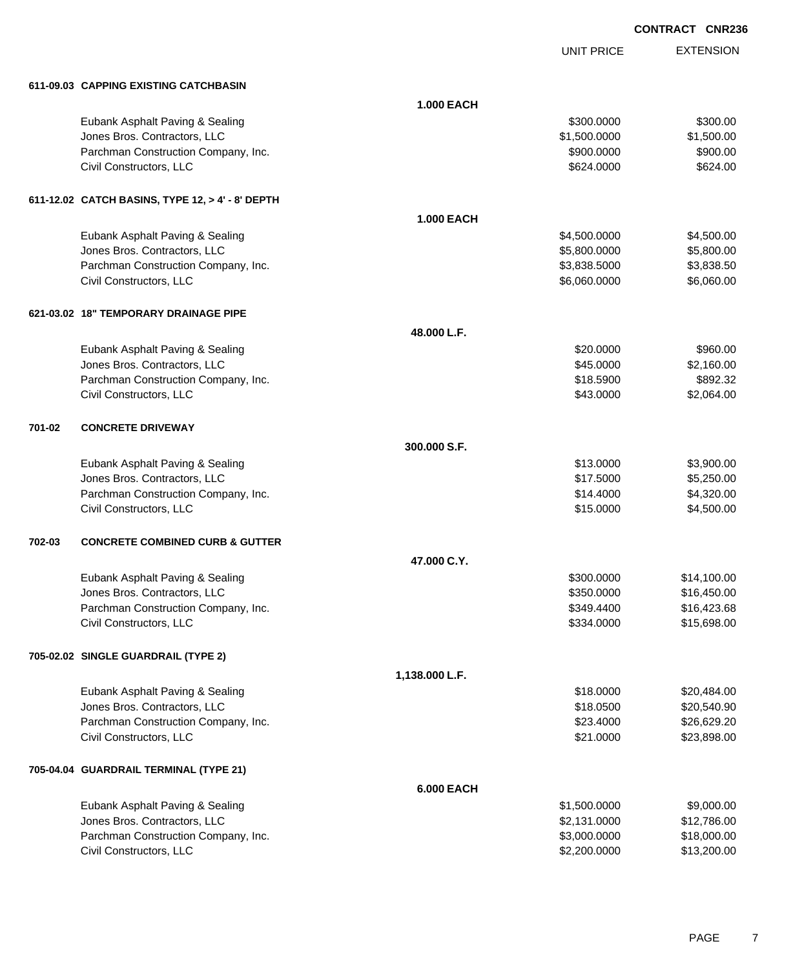UNIT PRICE EXTENSION

**611-09.03 CAPPING EXISTING CATCHBASIN**

|        | 611-09.03 CAPPING EXISTING CATCHBASIN            |                   |              |             |
|--------|--------------------------------------------------|-------------------|--------------|-------------|
|        |                                                  | <b>1.000 EACH</b> |              |             |
|        | Eubank Asphalt Paving & Sealing                  |                   | \$300.0000   | \$300.00    |
|        | Jones Bros. Contractors, LLC                     |                   | \$1,500.0000 | \$1,500.00  |
|        | Parchman Construction Company, Inc.              |                   | \$900.0000   | \$900.00    |
|        | Civil Constructors, LLC                          |                   | \$624.0000   | \$624.00    |
|        |                                                  |                   |              |             |
|        | 611-12.02 CATCH BASINS, TYPE 12, > 4' - 8' DEPTH |                   |              |             |
|        |                                                  | <b>1.000 EACH</b> |              |             |
|        | Eubank Asphalt Paving & Sealing                  |                   | \$4,500.0000 | \$4,500.00  |
|        | Jones Bros. Contractors, LLC                     |                   | \$5,800.0000 | \$5,800.00  |
|        | Parchman Construction Company, Inc.              |                   | \$3,838.5000 | \$3,838.50  |
|        | Civil Constructors, LLC                          |                   | \$6,060.0000 | \$6,060.00  |
|        | 621-03.02 18" TEMPORARY DRAINAGE PIPE            |                   |              |             |
|        |                                                  | 48.000 L.F.       |              |             |
|        | Eubank Asphalt Paving & Sealing                  |                   | \$20.0000    | \$960.00    |
|        | Jones Bros. Contractors, LLC                     |                   | \$45.0000    | \$2,160.00  |
|        | Parchman Construction Company, Inc.              |                   | \$18.5900    | \$892.32    |
|        | Civil Constructors, LLC                          |                   | \$43.0000    | \$2,064.00  |
| 701-02 | <b>CONCRETE DRIVEWAY</b>                         |                   |              |             |
|        |                                                  | 300.000 S.F.      |              |             |
|        | Eubank Asphalt Paving & Sealing                  |                   | \$13.0000    | \$3,900.00  |
|        | Jones Bros. Contractors, LLC                     |                   | \$17.5000    | \$5,250.00  |
|        | Parchman Construction Company, Inc.              |                   | \$14.4000    | \$4,320.00  |
|        | Civil Constructors, LLC                          |                   | \$15.0000    | \$4,500.00  |
| 702-03 | <b>CONCRETE COMBINED CURB &amp; GUTTER</b>       |                   |              |             |
|        |                                                  | 47.000 C.Y.       |              |             |
|        | Eubank Asphalt Paving & Sealing                  |                   | \$300.0000   | \$14,100.00 |
|        | Jones Bros. Contractors, LLC                     |                   | \$350.0000   | \$16,450.00 |
|        | Parchman Construction Company, Inc.              |                   | \$349.4400   | \$16,423.68 |
|        | Civil Constructors, LLC                          |                   | \$334.0000   | \$15,698.00 |
|        | 705-02.02 SINGLE GUARDRAIL (TYPE 2)              |                   |              |             |
|        |                                                  | 1,138.000 L.F.    |              |             |
|        | Eubank Asphalt Paving & Sealing                  |                   | \$18.0000    | \$20,484.00 |
|        | Jones Bros. Contractors, LLC                     |                   | \$18.0500    | \$20,540.90 |
|        | Parchman Construction Company, Inc.              |                   | \$23.4000    | \$26,629.20 |
|        | Civil Constructors, LLC                          |                   | \$21.0000    | \$23,898.00 |
|        | 705-04.04 GUARDRAIL TERMINAL (TYPE 21)           |                   |              |             |
|        |                                                  | <b>6.000 EACH</b> |              |             |
|        | Eubank Asphalt Paving & Sealing                  |                   | \$1,500.0000 | \$9,000.00  |
|        | Jones Bros. Contractors, LLC                     |                   | \$2,131.0000 | \$12,786.00 |
|        | Parchman Construction Company, Inc.              |                   | \$3,000.0000 | \$18,000.00 |
|        | Civil Constructors, LLC                          |                   | \$2,200.0000 | \$13,200.00 |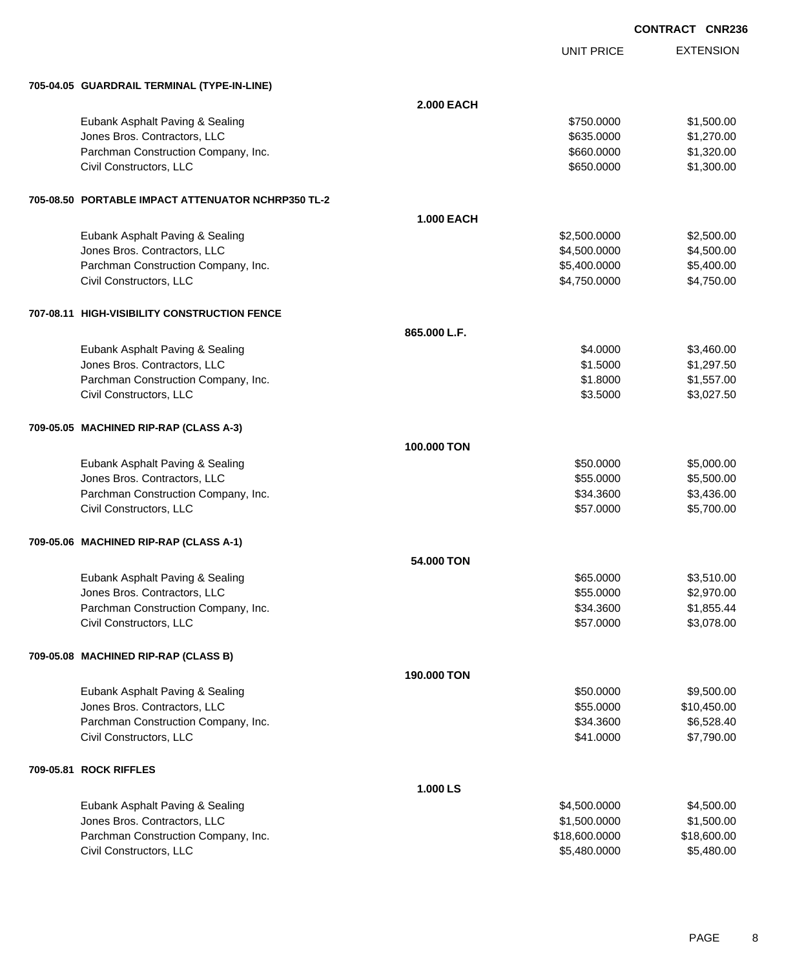UNIT PRICE EXTENSION

**705-04.05 GUARDRAIL TERMINAL (TYPE-IN-LINE)**

| 703-04.03 GUARDRAIL IERMINAL (ITPE-IN-LINE)        |                   |               |             |
|----------------------------------------------------|-------------------|---------------|-------------|
|                                                    | <b>2.000 EACH</b> |               |             |
| Eubank Asphalt Paving & Sealing                    |                   | \$750.0000    | \$1,500.00  |
| Jones Bros. Contractors, LLC                       |                   | \$635.0000    | \$1,270.00  |
| Parchman Construction Company, Inc.                |                   | \$660.0000    | \$1,320.00  |
| Civil Constructors, LLC                            |                   | \$650.0000    | \$1,300.00  |
| 705-08.50 PORTABLE IMPACT ATTENUATOR NCHRP350 TL-2 |                   |               |             |
|                                                    | <b>1.000 EACH</b> |               |             |
| Eubank Asphalt Paving & Sealing                    |                   | \$2,500.0000  | \$2,500.00  |
| Jones Bros. Contractors, LLC                       |                   | \$4,500.0000  | \$4,500.00  |
| Parchman Construction Company, Inc.                |                   | \$5,400.0000  | \$5,400.00  |
| Civil Constructors, LLC                            |                   | \$4,750.0000  | \$4,750.00  |
| 707-08.11 HIGH-VISIBILITY CONSTRUCTION FENCE       |                   |               |             |
|                                                    | 865.000 L.F.      |               |             |
| Eubank Asphalt Paving & Sealing                    |                   | \$4.0000      | \$3,460.00  |
| Jones Bros. Contractors, LLC                       |                   | \$1.5000      | \$1,297.50  |
| Parchman Construction Company, Inc.                |                   | \$1.8000      | \$1,557.00  |
| Civil Constructors, LLC                            |                   | \$3.5000      | \$3,027.50  |
| 709-05.05 MACHINED RIP-RAP (CLASS A-3)             |                   |               |             |
|                                                    | 100.000 TON       |               |             |
| Eubank Asphalt Paving & Sealing                    |                   | \$50.0000     | \$5,000.00  |
| Jones Bros. Contractors, LLC                       |                   | \$55.0000     | \$5,500.00  |
| Parchman Construction Company, Inc.                |                   | \$34.3600     | \$3,436.00  |
| Civil Constructors, LLC                            |                   | \$57.0000     | \$5,700.00  |
| 709-05.06 MACHINED RIP-RAP (CLASS A-1)             |                   |               |             |
|                                                    | 54.000 TON        |               |             |
| Eubank Asphalt Paving & Sealing                    |                   | \$65.0000     | \$3,510.00  |
| Jones Bros. Contractors, LLC                       |                   | \$55.0000     | \$2,970.00  |
| Parchman Construction Company, Inc.                |                   | \$34.3600     | \$1,855.44  |
| Civil Constructors, LLC                            |                   | \$57.0000     | \$3,078.00  |
| 709-05.08 MACHINED RIP-RAP (CLASS B)               |                   |               |             |
|                                                    | 190,000 TON       |               |             |
| Eubank Asphalt Paving & Sealing                    |                   | \$50.0000     | \$9,500.00  |
| Jones Bros. Contractors, LLC                       |                   | \$55.0000     | \$10,450.00 |
| Parchman Construction Company, Inc.                |                   | \$34.3600     | \$6,528.40  |
| Civil Constructors, LLC                            |                   | \$41.0000     | \$7,790.00  |
| 709-05.81 ROCK RIFFLES                             |                   |               |             |
|                                                    | 1.000 LS          |               |             |
| Eubank Asphalt Paving & Sealing                    |                   | \$4,500.0000  | \$4,500.00  |
| Jones Bros. Contractors, LLC                       |                   | \$1,500.0000  | \$1,500.00  |
| Parchman Construction Company, Inc.                |                   | \$18,600.0000 | \$18,600.00 |
| Civil Constructors, LLC                            |                   | \$5,480.0000  | \$5,480.00  |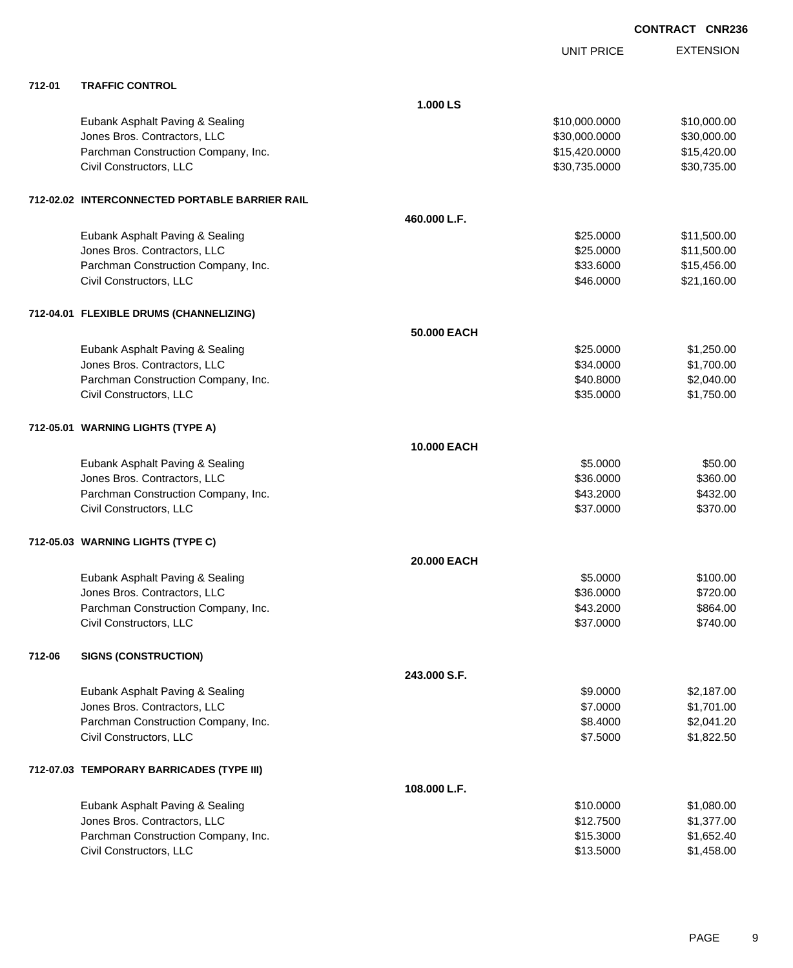|        |                                                |              | <b>UNIT PRICE</b> | <b>EXTENSION</b> |
|--------|------------------------------------------------|--------------|-------------------|------------------|
| 712-01 | <b>TRAFFIC CONTROL</b>                         |              |                   |                  |
|        |                                                | 1.000 LS     |                   |                  |
|        | Eubank Asphalt Paving & Sealing                |              | \$10,000.0000     | \$10,000.00      |
|        | Jones Bros. Contractors, LLC                   |              | \$30,000.0000     | \$30,000.00      |
|        | Parchman Construction Company, Inc.            |              | \$15,420.0000     | \$15,420.00      |
|        | Civil Constructors, LLC                        |              | \$30,735.0000     | \$30,735.00      |
|        | 712-02.02 INTERCONNECTED PORTABLE BARRIER RAIL |              |                   |                  |
|        |                                                | 460.000 L.F. |                   |                  |
|        | Eubank Asphalt Paving & Sealing                |              | \$25.0000         | \$11,500.00      |
|        | Jones Bros. Contractors, LLC                   |              | \$25.0000         | \$11,500.00      |
|        | Parchman Construction Company, Inc.            |              | \$33.6000         | \$15,456.00      |
|        | Civil Constructors, LLC                        |              | \$46.0000         | \$21,160.00      |
|        | 712-04.01 FLEXIBLE DRUMS (CHANNELIZING)        |              |                   |                  |
|        |                                                | 50.000 EACH  |                   |                  |
|        | Eubank Asphalt Paving & Sealing                |              | \$25.0000         | \$1,250.00       |
|        | Jones Bros. Contractors, LLC                   |              | \$34.0000         | \$1,700.00       |
|        | Parchman Construction Company, Inc.            |              | \$40.8000         | \$2,040.00       |
|        | Civil Constructors, LLC                        |              | \$35.0000         | \$1,750.00       |
|        | 712-05.01 WARNING LIGHTS (TYPE A)              |              |                   |                  |
|        |                                                | 10.000 EACH  |                   |                  |
|        | Eubank Asphalt Paving & Sealing                |              | \$5.0000          | \$50.00          |
|        | Jones Bros. Contractors, LLC                   |              | \$36.0000         | \$360.00         |
|        | Parchman Construction Company, Inc.            |              | \$43.2000         | \$432.00         |
|        | Civil Constructors, LLC                        |              | \$37.0000         | \$370.00         |
|        | 712-05.03 WARNING LIGHTS (TYPE C)              |              |                   |                  |
|        |                                                | 20.000 EACH  |                   |                  |
|        | Eubank Asphalt Paving & Sealing                |              | \$5.0000          | \$100.00         |
|        | Jones Bros. Contractors, LLC                   |              | \$36.0000         | \$720.00         |
|        | Parchman Construction Company, Inc.            |              | \$43.2000         | \$864.00         |
|        | Civil Constructors, LLC                        |              | \$37.0000         | \$740.00         |
| 712-06 | <b>SIGNS (CONSTRUCTION)</b>                    |              |                   |                  |
|        |                                                | 243.000 S.F. |                   |                  |
|        | Eubank Asphalt Paving & Sealing                |              | \$9.0000          | \$2,187.00       |
|        | Jones Bros. Contractors, LLC                   |              | \$7.0000          | \$1,701.00       |
|        | Parchman Construction Company, Inc.            |              | \$8.4000          | \$2,041.20       |
|        | Civil Constructors, LLC                        |              | \$7.5000          | \$1,822.50       |
|        | 712-07.03 TEMPORARY BARRICADES (TYPE III)      |              |                   |                  |
|        |                                                | 108.000 L.F. |                   |                  |
|        | Eubank Asphalt Paving & Sealing                |              | \$10.0000         | \$1,080.00       |
|        | Jones Bros. Contractors, LLC                   |              | \$12.7500         | \$1,377.00       |
|        | Parchman Construction Company, Inc.            |              | \$15.3000         | \$1,652.40       |
|        | Civil Constructors, LLC                        |              | \$13.5000         | \$1,458.00       |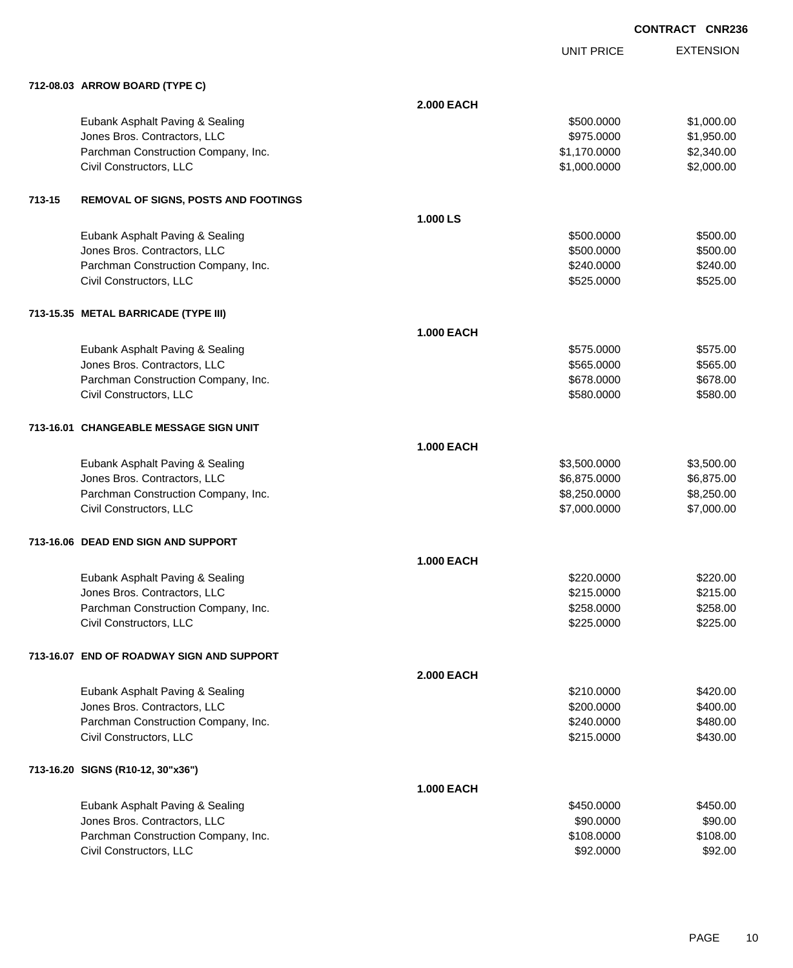EXTENSION **CONTRACT CNR236**

UNIT PRICE

|        | 712-08.03 ARROW BOARD (TYPE C)            |                   |              |            |
|--------|-------------------------------------------|-------------------|--------------|------------|
|        |                                           | <b>2.000 EACH</b> |              |            |
|        | Eubank Asphalt Paving & Sealing           |                   | \$500.0000   | \$1,000.00 |
|        | Jones Bros. Contractors, LLC              |                   | \$975.0000   | \$1,950.00 |
|        | Parchman Construction Company, Inc.       |                   | \$1,170.0000 | \$2,340.00 |
|        | Civil Constructors, LLC                   |                   | \$1,000.0000 | \$2,000.00 |
|        |                                           |                   |              |            |
| 713-15 | REMOVAL OF SIGNS, POSTS AND FOOTINGS      |                   |              |            |
|        |                                           | 1.000 LS          |              |            |
|        | Eubank Asphalt Paving & Sealing           |                   | \$500.0000   | \$500.00   |
|        | Jones Bros. Contractors, LLC              |                   | \$500.0000   | \$500.00   |
|        | Parchman Construction Company, Inc.       |                   | \$240.0000   | \$240.00   |
|        | Civil Constructors, LLC                   |                   | \$525.0000   | \$525.00   |
|        | 713-15.35 METAL BARRICADE (TYPE III)      |                   |              |            |
|        |                                           | <b>1.000 EACH</b> |              |            |
|        | Eubank Asphalt Paving & Sealing           |                   | \$575,0000   | \$575.00   |
|        | Jones Bros. Contractors, LLC              |                   | \$565.0000   | \$565.00   |
|        | Parchman Construction Company, Inc.       |                   | \$678.0000   | \$678.00   |
|        | Civil Constructors, LLC                   |                   | \$580.0000   | \$580.00   |
|        |                                           |                   |              |            |
|        | 713-16.01 CHANGEABLE MESSAGE SIGN UNIT    |                   |              |            |
|        |                                           | <b>1.000 EACH</b> |              |            |
|        | Eubank Asphalt Paving & Sealing           |                   | \$3,500.0000 | \$3,500.00 |
|        | Jones Bros. Contractors, LLC              |                   | \$6,875.0000 | \$6,875.00 |
|        | Parchman Construction Company, Inc.       |                   | \$8,250.0000 | \$8,250.00 |
|        | Civil Constructors, LLC                   |                   | \$7,000.0000 | \$7,000.00 |
|        | 713-16.06 DEAD END SIGN AND SUPPORT       |                   |              |            |
|        |                                           | <b>1.000 EACH</b> |              |            |
|        | Eubank Asphalt Paving & Sealing           |                   | \$220.0000   | \$220.00   |
|        | Jones Bros. Contractors, LLC              |                   | \$215.0000   | \$215.00   |
|        | Parchman Construction Company, Inc.       |                   | \$258.0000   | \$258.00   |
|        | Civil Constructors, LLC                   |                   | \$225.0000   | \$225.00   |
|        |                                           |                   |              |            |
|        | 713-16.07 END OF ROADWAY SIGN AND SUPPORT |                   |              |            |
|        |                                           | <b>2.000 EACH</b> |              |            |
|        | Eubank Asphalt Paving & Sealing           |                   | \$210.0000   | \$420.00   |
|        | Jones Bros. Contractors, LLC              |                   | \$200,0000   | \$400.00   |
|        | Parchman Construction Company, Inc.       |                   | \$240.0000   | \$480.00   |
|        | Civil Constructors, LLC                   |                   | \$215.0000   | \$430.00   |
|        | 713-16.20 SIGNS (R10-12, 30"x36")         |                   |              |            |
|        |                                           | <b>1.000 EACH</b> |              |            |
|        | Eubank Asphalt Paving & Sealing           |                   | \$450.0000   | \$450.00   |
|        | Jones Bros. Contractors, LLC              |                   | \$90.0000    | \$90.00    |
|        | Parchman Construction Company, Inc.       |                   | \$108.0000   | \$108.00   |
|        | Civil Constructors, LLC                   |                   | \$92.0000    | \$92.00    |
|        |                                           |                   |              |            |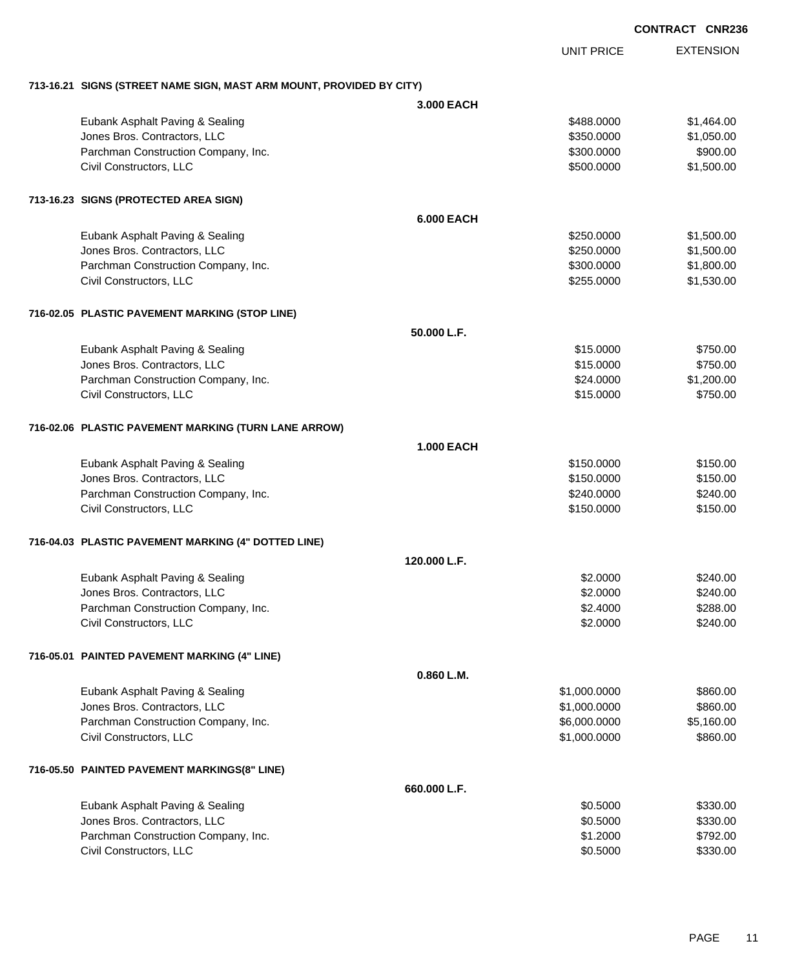EXTENSION UNIT PRICE

### **713-16.21 SIGNS (STREET NAME SIGN, MAST ARM MOUNT, PROVIDED BY CITY)**

|                                                      | 3,000 EACH        |              |            |
|------------------------------------------------------|-------------------|--------------|------------|
| Eubank Asphalt Paving & Sealing                      |                   | \$488.0000   | \$1,464.00 |
| Jones Bros. Contractors, LLC                         |                   | \$350.0000   | \$1,050.00 |
| Parchman Construction Company, Inc.                  |                   | \$300.0000   | \$900.00   |
| Civil Constructors, LLC                              |                   | \$500.0000   | \$1,500.00 |
| 713-16.23 SIGNS (PROTECTED AREA SIGN)                |                   |              |            |
|                                                      | <b>6.000 EACH</b> |              |            |
| Eubank Asphalt Paving & Sealing                      |                   | \$250.0000   | \$1,500.00 |
| Jones Bros. Contractors, LLC                         |                   | \$250.0000   | \$1,500.00 |
| Parchman Construction Company, Inc.                  |                   | \$300.0000   | \$1,800.00 |
| Civil Constructors, LLC                              |                   | \$255.0000   | \$1,530.00 |
| 716-02.05 PLASTIC PAVEMENT MARKING (STOP LINE)       |                   |              |            |
|                                                      | 50.000 L.F.       |              |            |
| Eubank Asphalt Paving & Sealing                      |                   | \$15.0000    | \$750.00   |
| Jones Bros. Contractors, LLC                         |                   | \$15.0000    | \$750.00   |
| Parchman Construction Company, Inc.                  |                   | \$24.0000    | \$1,200.00 |
| Civil Constructors, LLC                              |                   | \$15.0000    | \$750.00   |
| 716-02.06 PLASTIC PAVEMENT MARKING (TURN LANE ARROW) |                   |              |            |
|                                                      | <b>1.000 EACH</b> |              |            |
| Eubank Asphalt Paving & Sealing                      |                   | \$150.0000   | \$150.00   |
| Jones Bros. Contractors, LLC                         |                   | \$150.0000   | \$150.00   |
| Parchman Construction Company, Inc.                  |                   | \$240.0000   | \$240.00   |
| Civil Constructors, LLC                              |                   | \$150.0000   | \$150.00   |
| 716-04.03 PLASTIC PAVEMENT MARKING (4" DOTTED LINE)  |                   |              |            |
|                                                      | 120,000 L.F.      |              |            |
| Eubank Asphalt Paving & Sealing                      |                   | \$2.0000     | \$240.00   |
| Jones Bros. Contractors, LLC                         |                   | \$2.0000     | \$240.00   |
| Parchman Construction Company, Inc.                  |                   | \$2.4000     | \$288.00   |
| Civil Constructors, LLC                              |                   | \$2.0000     | \$240.00   |
| 716-05.01 PAINTED PAVEMENT MARKING (4" LINE)         |                   |              |            |
|                                                      | 0.860 L.M.        |              |            |
| Eubank Asphalt Paving & Sealing                      |                   | \$1,000.0000 | \$860.00   |
| Jones Bros. Contractors, LLC                         |                   | \$1,000.0000 | \$860.00   |
| Parchman Construction Company, Inc.                  |                   | \$6,000.0000 | \$5,160.00 |
| Civil Constructors, LLC                              |                   | \$1,000.0000 | \$860.00   |
| 716-05.50 PAINTED PAVEMENT MARKINGS(8" LINE)         |                   |              |            |
|                                                      | 660.000 L.F.      |              |            |
| Eubank Asphalt Paving & Sealing                      |                   | \$0.5000     | \$330.00   |
| Jones Bros. Contractors, LLC                         |                   | \$0.5000     | \$330.00   |
| Parchman Construction Company, Inc.                  |                   | \$1.2000     | \$792.00   |
| Civil Constructors, LLC                              |                   | \$0.5000     | \$330.00   |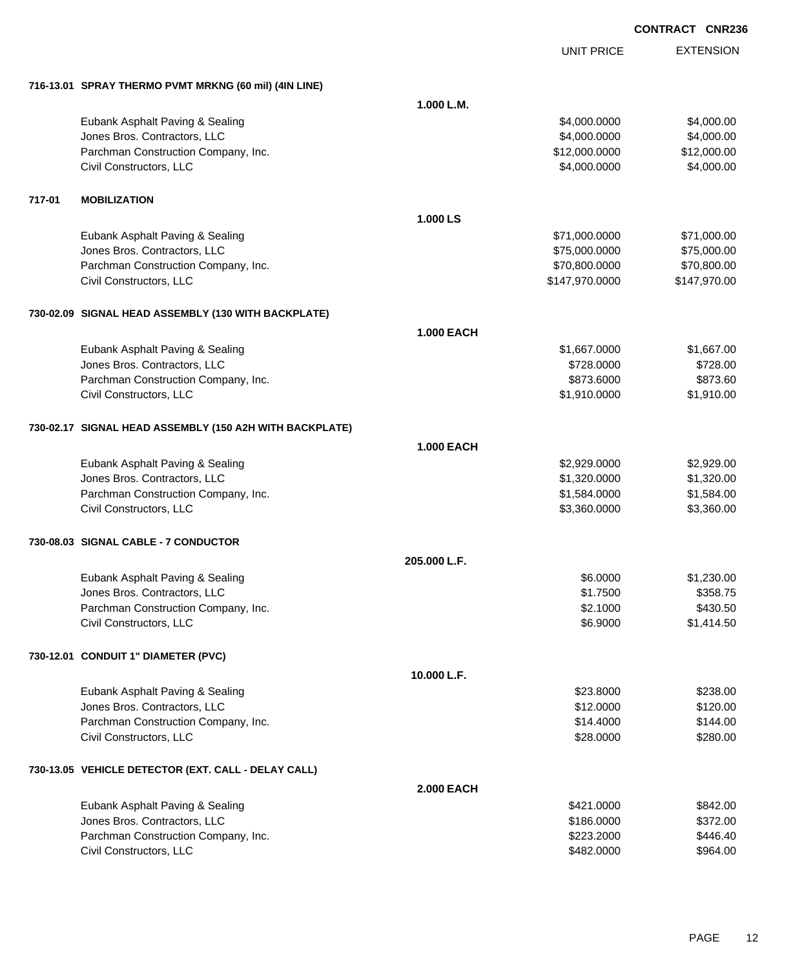|        |                                                         |                   | <b>UNIT PRICE</b> | <b>EXTENSION</b> |
|--------|---------------------------------------------------------|-------------------|-------------------|------------------|
|        | 716-13.01 SPRAY THERMO PVMT MRKNG (60 mil) (4IN LINE)   |                   |                   |                  |
|        |                                                         | 1.000 L.M.        |                   |                  |
|        | Eubank Asphalt Paving & Sealing                         |                   | \$4,000.0000      | \$4,000.00       |
|        | Jones Bros. Contractors, LLC                            |                   | \$4,000.0000      | \$4,000.00       |
|        | Parchman Construction Company, Inc.                     |                   | \$12,000.0000     | \$12,000.00      |
|        | Civil Constructors, LLC                                 |                   | \$4,000.0000      | \$4,000.00       |
| 717-01 | <b>MOBILIZATION</b>                                     |                   |                   |                  |
|        |                                                         | 1.000 LS          |                   |                  |
|        | Eubank Asphalt Paving & Sealing                         |                   | \$71,000.0000     | \$71,000.00      |
|        | Jones Bros. Contractors, LLC                            |                   | \$75,000.0000     | \$75,000.00      |
|        | Parchman Construction Company, Inc.                     |                   | \$70,800.0000     | \$70,800.00      |
|        | Civil Constructors, LLC                                 |                   | \$147,970.0000    | \$147,970.00     |
|        | 730-02.09 SIGNAL HEAD ASSEMBLY (130 WITH BACKPLATE)     |                   |                   |                  |
|        |                                                         | <b>1.000 EACH</b> |                   |                  |
|        | Eubank Asphalt Paving & Sealing                         |                   | \$1,667.0000      | \$1,667.00       |
|        | Jones Bros. Contractors, LLC                            |                   | \$728.0000        | \$728.00         |
|        | Parchman Construction Company, Inc.                     |                   | \$873.6000        | \$873.60         |
|        | Civil Constructors, LLC                                 |                   | \$1,910.0000      | \$1,910.00       |
|        | 730-02.17 SIGNAL HEAD ASSEMBLY (150 A2H WITH BACKPLATE) |                   |                   |                  |
|        |                                                         | <b>1.000 EACH</b> |                   |                  |
|        | Eubank Asphalt Paving & Sealing                         |                   | \$2,929.0000      | \$2,929.00       |
|        | Jones Bros. Contractors, LLC                            |                   | \$1,320.0000      | \$1,320.00       |
|        | Parchman Construction Company, Inc.                     |                   | \$1,584.0000      | \$1,584.00       |
|        | Civil Constructors, LLC                                 |                   | \$3,360.0000      | \$3,360.00       |
|        | 730-08.03 SIGNAL CABLE - 7 CONDUCTOR                    |                   |                   |                  |
|        |                                                         | 205.000 L.F.      |                   |                  |
|        | Eubank Asphalt Paving & Sealing                         |                   | \$6.0000          | \$1,230.00       |
|        | Jones Bros. Contractors, LLC                            |                   | \$1.7500          | \$358.75         |
|        | Parchman Construction Company, Inc.                     |                   | \$2.1000          | \$430.50         |
|        | Civil Constructors, LLC                                 |                   | \$6.9000          | \$1,414.50       |
|        | 730-12.01 CONDUIT 1" DIAMETER (PVC)                     |                   |                   |                  |
|        |                                                         | 10.000 L.F.       |                   |                  |
|        | Eubank Asphalt Paving & Sealing                         |                   | \$23.8000         | \$238.00         |
|        | Jones Bros. Contractors, LLC                            |                   | \$12.0000         | \$120.00         |
|        | Parchman Construction Company, Inc.                     |                   | \$14.4000         | \$144.00         |
|        | Civil Constructors, LLC                                 |                   | \$28.0000         | \$280.00         |
|        | 730-13.05 VEHICLE DETECTOR (EXT. CALL - DELAY CALL)     |                   |                   |                  |
|        |                                                         | <b>2.000 EACH</b> |                   |                  |
|        | Eubank Asphalt Paving & Sealing                         |                   | \$421.0000        | \$842.00         |
|        | Jones Bros. Contractors, LLC                            |                   | \$186.0000        | \$372.00         |
|        | Parchman Construction Company, Inc.                     |                   | \$223.2000        | \$446.40         |
|        | Civil Constructors, LLC                                 |                   | \$482.0000        | \$964.00         |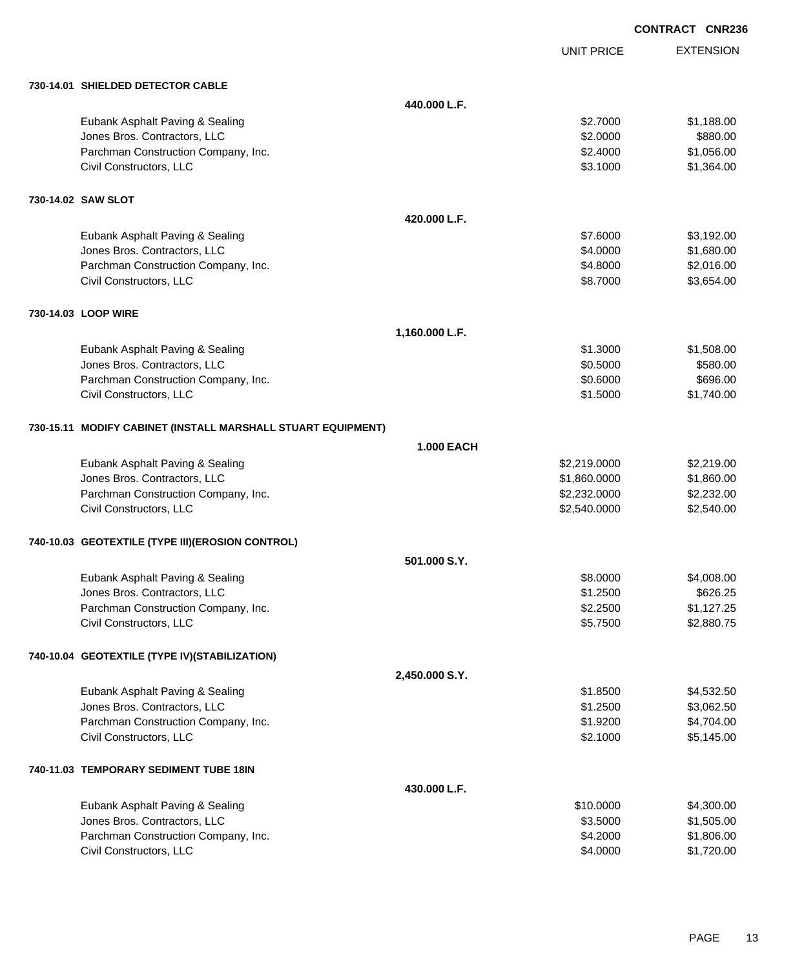|                                                              |                   |                   | <b>CONTRACT CNR236</b> |
|--------------------------------------------------------------|-------------------|-------------------|------------------------|
|                                                              |                   | <b>UNIT PRICE</b> | <b>EXTENSION</b>       |
| 730-14.01 SHIELDED DETECTOR CABLE                            |                   |                   |                        |
|                                                              | 440.000 L.F.      |                   |                        |
| Eubank Asphalt Paving & Sealing                              |                   | \$2.7000          | \$1,188.00             |
| Jones Bros. Contractors, LLC                                 |                   | \$2.0000          | \$880.00               |
| Parchman Construction Company, Inc.                          |                   | \$2.4000          | \$1,056.00             |
| Civil Constructors, LLC                                      |                   | \$3.1000          | \$1,364.00             |
| 730-14.02 SAW SLOT                                           |                   |                   |                        |
|                                                              | 420.000 L.F.      |                   |                        |
| Eubank Asphalt Paving & Sealing                              |                   | \$7.6000          | \$3,192.00             |
| Jones Bros. Contractors, LLC                                 |                   | \$4.0000          | \$1,680.00             |
| Parchman Construction Company, Inc.                          |                   | \$4.8000          | \$2,016.00             |
| Civil Constructors, LLC                                      |                   | \$8.7000          | \$3,654.00             |
| 730-14.03 LOOP WIRE                                          |                   |                   |                        |
|                                                              | 1,160.000 L.F.    |                   |                        |
| Eubank Asphalt Paving & Sealing                              |                   | \$1.3000          | \$1,508.00             |
| Jones Bros. Contractors, LLC                                 |                   | \$0.5000          | \$580.00               |
| Parchman Construction Company, Inc.                          |                   | \$0.6000          | \$696.00               |
| Civil Constructors, LLC                                      |                   | \$1.5000          | \$1,740.00             |
| 730-15.11 MODIFY CABINET (INSTALL MARSHALL STUART EQUIPMENT) |                   |                   |                        |
|                                                              | <b>1.000 EACH</b> |                   |                        |
| Eubank Asphalt Paving & Sealing                              |                   | \$2,219.0000      | \$2,219.00             |
| Jones Bros. Contractors, LLC                                 |                   | \$1,860.0000      | \$1,860.00             |
| Parchman Construction Company, Inc.                          |                   | \$2,232.0000      | \$2,232.00             |
| Civil Constructors, LLC                                      |                   | \$2,540.0000      | \$2,540.00             |
| 740-10.03 GEOTEXTILE (TYPE III)(EROSION CONTROL)             |                   |                   |                        |
|                                                              | 501.000 S.Y.      |                   |                        |
| Eubank Asphalt Paving & Sealing                              |                   | \$8.0000          | \$4,008.00             |
| Jones Bros. Contractors, LLC                                 |                   | \$1.2500          | \$626.25               |
| Parchman Construction Company, Inc.                          |                   | \$2.2500          | \$1,127.25             |
| Civil Constructors, LLC                                      |                   | \$5.7500          | \$2,880.75             |
| 740-10.04 GEOTEXTILE (TYPE IV)(STABILIZATION)                |                   |                   |                        |
|                                                              | 2,450.000 S.Y.    |                   |                        |
| Eubank Asphalt Paving & Sealing                              |                   | \$1.8500          | \$4,532.50             |
| Jones Bros. Contractors, LLC                                 |                   | \$1.2500          | \$3,062.50             |
| Parchman Construction Company, Inc.                          |                   | \$1.9200          | \$4,704.00             |
| Civil Constructors, LLC                                      |                   | \$2.1000          | \$5,145.00             |
| 740-11.03 TEMPORARY SEDIMENT TUBE 18IN                       |                   |                   |                        |
|                                                              | 430.000 L.F.      |                   |                        |
| Eubank Asphalt Paving & Sealing                              |                   | \$10.0000         | \$4,300.00             |
| Jones Bros. Contractors, LLC                                 |                   | \$3.5000          | \$1,505.00             |
| Parchman Construction Company, Inc.                          |                   | \$4.2000          | \$1,806.00             |
| Civil Constructors, LLC                                      |                   | \$4.0000          | \$1,720.00             |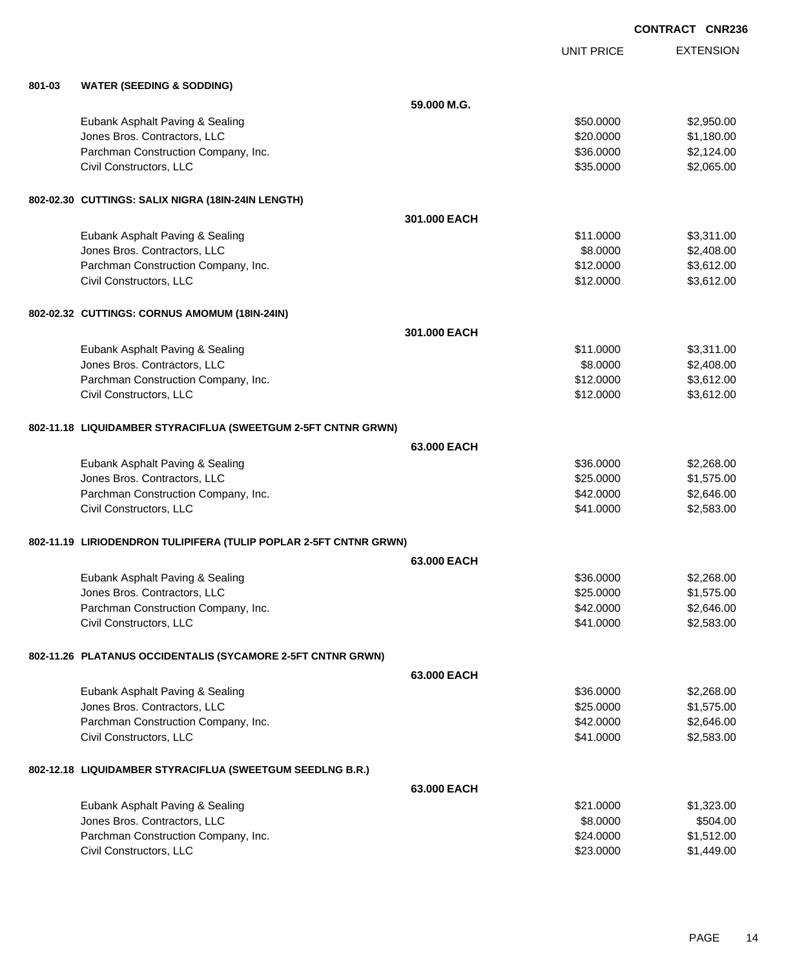UNIT PRICE EXTENSION

| 801-03 | <b>WATER (SEEDING &amp; SODDING)</b>                              |              |           |            |
|--------|-------------------------------------------------------------------|--------------|-----------|------------|
|        |                                                                   | 59.000 M.G.  |           |            |
|        | Eubank Asphalt Paving & Sealing                                   |              | \$50.0000 | \$2,950.00 |
|        | Jones Bros. Contractors, LLC                                      |              | \$20.0000 | \$1,180.00 |
|        | Parchman Construction Company, Inc.                               |              | \$36.0000 | \$2,124.00 |
|        | Civil Constructors, LLC                                           |              | \$35.0000 | \$2,065.00 |
|        |                                                                   |              |           |            |
|        | 802-02.30 CUTTINGS: SALIX NIGRA (18IN-24IN LENGTH)                |              |           |            |
|        |                                                                   | 301.000 EACH |           |            |
|        | Eubank Asphalt Paving & Sealing                                   |              | \$11.0000 | \$3,311.00 |
|        | Jones Bros. Contractors, LLC                                      |              | \$8.0000  | \$2,408.00 |
|        | Parchman Construction Company, Inc.                               |              | \$12.0000 | \$3,612.00 |
|        | Civil Constructors, LLC                                           |              | \$12.0000 | \$3,612.00 |
|        | 802-02.32 CUTTINGS: CORNUS AMOMUM (18IN-24IN)                     |              |           |            |
|        |                                                                   | 301.000 EACH |           |            |
|        | Eubank Asphalt Paving & Sealing                                   |              | \$11.0000 | \$3,311.00 |
|        | Jones Bros. Contractors, LLC                                      |              | \$8.0000  | \$2,408.00 |
|        | Parchman Construction Company, Inc.                               |              | \$12.0000 | \$3,612.00 |
|        | Civil Constructors, LLC                                           |              | \$12.0000 | \$3,612.00 |
|        |                                                                   |              |           |            |
|        | 802-11.18 LIQUIDAMBER STYRACIFLUA (SWEETGUM 2-5FT CNTNR GRWN)     |              |           |            |
|        |                                                                   | 63.000 EACH  |           |            |
|        | Eubank Asphalt Paving & Sealing                                   |              | \$36.0000 | \$2,268.00 |
|        | Jones Bros. Contractors, LLC                                      |              | \$25.0000 | \$1,575.00 |
|        | Parchman Construction Company, Inc.                               |              | \$42.0000 | \$2,646.00 |
|        | Civil Constructors, LLC                                           |              | \$41.0000 | \$2,583.00 |
|        | 802-11.19 LIRIODENDRON TULIPIFERA (TULIP POPLAR 2-5FT CNTNR GRWN) |              |           |            |
|        |                                                                   | 63,000 EACH  |           |            |
|        | Eubank Asphalt Paving & Sealing                                   |              | \$36.0000 | \$2,268.00 |
|        | Jones Bros. Contractors, LLC                                      |              | \$25.0000 | \$1,575.00 |
|        | Parchman Construction Company, Inc.                               |              | \$42.0000 | \$2,646.00 |
|        | Civil Constructors, LLC                                           |              | \$41.0000 | \$2,583.00 |
|        | 802-11.26 PLATANUS OCCIDENTALIS (SYCAMORE 2-5FT CNTNR GRWN)       |              |           |            |
|        |                                                                   | 63,000 EACH  |           |            |
|        | Eubank Asphalt Paving & Sealing                                   |              | \$36.0000 | \$2,268.00 |
|        | Jones Bros. Contractors, LLC                                      |              | \$25.0000 | \$1,575.00 |
|        | Parchman Construction Company, Inc.                               |              | \$42.0000 | \$2,646.00 |
|        | Civil Constructors, LLC                                           |              | \$41.0000 | \$2,583.00 |
|        |                                                                   |              |           |            |
|        | 802-12.18 LIQUIDAMBER STYRACIFLUA (SWEETGUM SEEDLNG B.R.)         |              |           |            |
|        |                                                                   | 63.000 EACH  |           |            |
|        | Eubank Asphalt Paving & Sealing                                   |              | \$21.0000 | \$1,323.00 |
|        | Jones Bros. Contractors, LLC                                      |              | \$8.0000  | \$504.00   |
|        | Parchman Construction Company, Inc.                               |              | \$24.0000 | \$1,512.00 |
|        | Civil Constructors, LLC                                           |              | \$23.0000 | \$1,449.00 |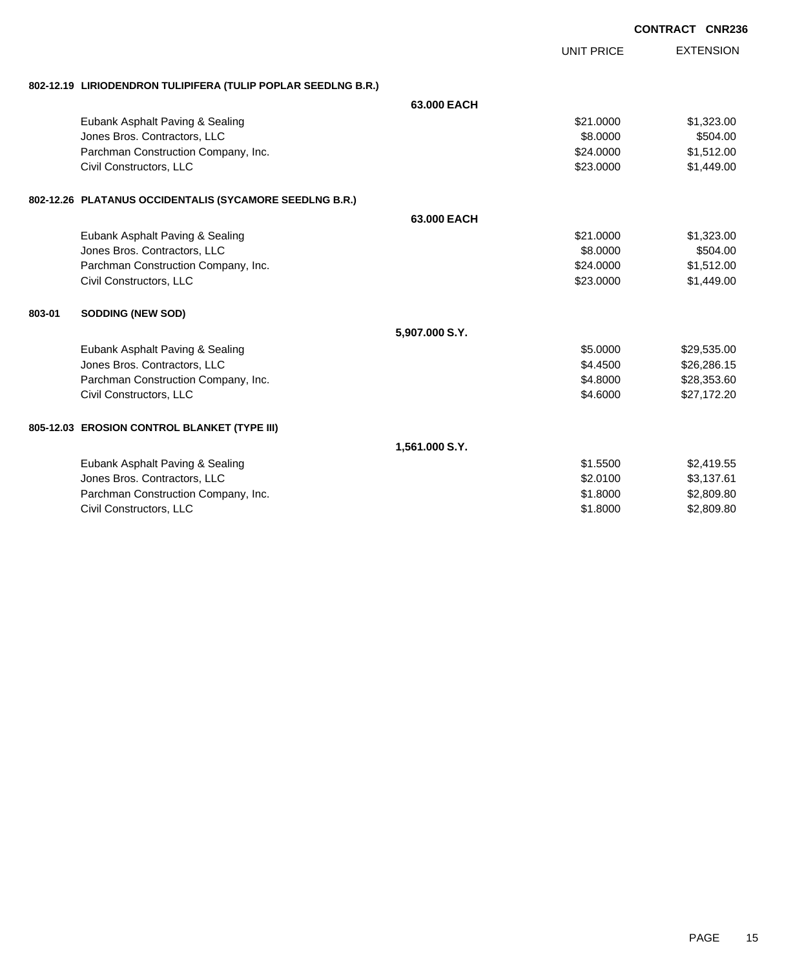|        |                                                               |                |                   | <b>CONTRACT CNR236</b> |                  |
|--------|---------------------------------------------------------------|----------------|-------------------|------------------------|------------------|
|        |                                                               |                | <b>UNIT PRICE</b> |                        | <b>EXTENSION</b> |
|        | 802-12.19 LIRIODENDRON TULIPIFERA (TULIP POPLAR SEEDLNG B.R.) |                |                   |                        |                  |
|        |                                                               | 63,000 EACH    |                   |                        |                  |
|        | Eubank Asphalt Paving & Sealing                               |                | \$21.0000         |                        | \$1,323.00       |
|        | Jones Bros. Contractors, LLC                                  |                | \$8.0000          |                        | \$504.00         |
|        | Parchman Construction Company, Inc.                           |                | \$24.0000         |                        | \$1,512.00       |
|        | Civil Constructors, LLC                                       |                | \$23.0000         |                        | \$1,449.00       |
|        | 802-12.26 PLATANUS OCCIDENTALIS (SYCAMORE SEEDLNG B.R.)       |                |                   |                        |                  |
|        |                                                               | 63,000 EACH    |                   |                        |                  |
|        | Eubank Asphalt Paving & Sealing                               |                | \$21.0000         |                        | \$1,323.00       |
|        | Jones Bros. Contractors, LLC                                  |                | \$8.0000          |                        | \$504.00         |
|        | Parchman Construction Company, Inc.                           |                | \$24.0000         |                        | \$1,512.00       |
|        | Civil Constructors, LLC                                       |                | \$23.0000         |                        | \$1,449.00       |
| 803-01 | <b>SODDING (NEW SOD)</b>                                      |                |                   |                        |                  |
|        |                                                               | 5,907.000 S.Y. |                   |                        |                  |
|        | Eubank Asphalt Paving & Sealing                               |                | \$5.0000          |                        | \$29,535.00      |
|        | Jones Bros. Contractors, LLC                                  |                | \$4.4500          |                        | \$26,286.15      |
|        | Parchman Construction Company, Inc.                           |                | \$4.8000          |                        | \$28,353.60      |
|        | Civil Constructors, LLC                                       |                | \$4.6000          |                        | \$27,172.20      |
|        | 805-12.03 EROSION CONTROL BLANKET (TYPE III)                  |                |                   |                        |                  |
|        |                                                               | 1,561.000 S.Y. |                   |                        |                  |
|        | Eubank Asphalt Paving & Sealing                               |                | \$1.5500          |                        | \$2,419.55       |
|        | Jones Bros. Contractors, LLC                                  |                | \$2.0100          |                        | \$3,137.61       |
|        | Parchman Construction Company, Inc.                           |                | \$1.8000          |                        | \$2,809.80       |
|        | Civil Constructors, LLC                                       |                | \$1.8000          |                        | \$2,809.80       |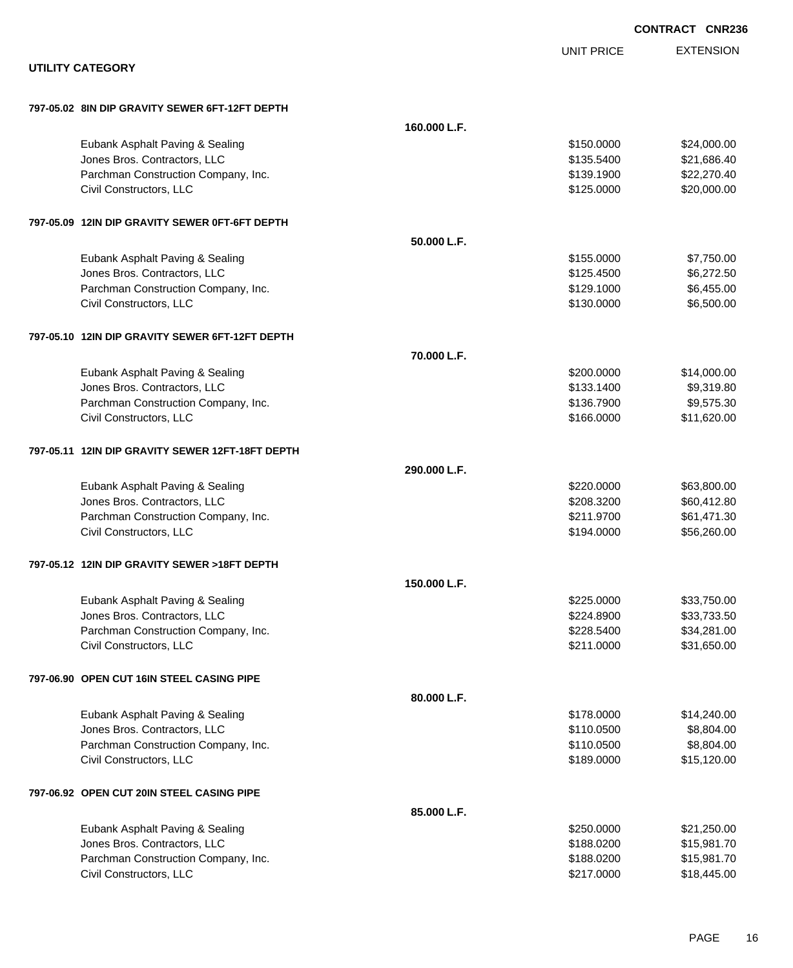|                                                  |              |                   | <b>CONTRACT CNR236</b> |
|--------------------------------------------------|--------------|-------------------|------------------------|
|                                                  |              | <b>UNIT PRICE</b> | <b>EXTENSION</b>       |
| <b>UTILITY CATEGORY</b>                          |              |                   |                        |
| 797-05.02 8IN DIP GRAVITY SEWER 6FT-12FT DEPTH   |              |                   |                        |
|                                                  | 160.000 L.F. |                   |                        |
| Eubank Asphalt Paving & Sealing                  |              | \$150.0000        | \$24,000.00            |
| Jones Bros. Contractors, LLC                     |              | \$135.5400        | \$21,686.40            |
| Parchman Construction Company, Inc.              |              | \$139.1900        | \$22,270.40            |
| Civil Constructors, LLC                          |              | \$125.0000        | \$20,000.00            |
| 797-05.09 12IN DIP GRAVITY SEWER 0FT-6FT DEPTH   |              |                   |                        |
|                                                  | 50.000 L.F.  |                   |                        |
| Eubank Asphalt Paving & Sealing                  |              | \$155.0000        | \$7,750.00             |
| Jones Bros. Contractors, LLC                     |              | \$125.4500        | \$6,272.50             |
| Parchman Construction Company, Inc.              |              | \$129.1000        | \$6,455.00             |
| Civil Constructors, LLC                          |              | \$130.0000        | \$6,500.00             |
| 797-05.10 12IN DIP GRAVITY SEWER 6FT-12FT DEPTH  |              |                   |                        |
|                                                  | 70.000 L.F.  |                   |                        |
| Eubank Asphalt Paving & Sealing                  |              | \$200.0000        | \$14,000.00            |
| Jones Bros. Contractors, LLC                     |              | \$133.1400        | \$9,319.80             |
| Parchman Construction Company, Inc.              |              | \$136.7900        | \$9,575.30             |
| Civil Constructors, LLC                          |              | \$166.0000        | \$11,620.00            |
| 797-05.11 12IN DIP GRAVITY SEWER 12FT-18FT DEPTH |              |                   |                        |
|                                                  | 290.000 L.F. |                   |                        |
| Eubank Asphalt Paving & Sealing                  |              | \$220.0000        | \$63,800.00            |
| Jones Bros. Contractors, LLC                     |              | \$208.3200        | \$60,412.80            |
| Parchman Construction Company, Inc.              |              | \$211.9700        | \$61,471.30            |
| Civil Constructors, LLC                          |              | \$194.0000        | \$56,260.00            |
| 797-05.12 12IN DIP GRAVITY SEWER >18FT DEPTH     |              |                   |                        |
|                                                  | 150.000 L.F. |                   |                        |
| Eubank Asphalt Paving & Sealing                  |              | \$225.0000        | \$33,750.00            |
| Jones Bros. Contractors, LLC                     |              | \$224.8900        | \$33,733.50            |
| Parchman Construction Company, Inc.              |              | \$228.5400        | \$34,281.00            |
| Civil Constructors, LLC                          |              | \$211.0000        | \$31,650.00            |
| 797-06.90 OPEN CUT 16IN STEEL CASING PIPE        |              |                   |                        |
|                                                  | 80.000 L.F.  |                   |                        |
| Eubank Asphalt Paving & Sealing                  |              | \$178.0000        | \$14,240.00            |
| Jones Bros. Contractors, LLC                     |              | \$110.0500        | \$8,804.00             |
| Parchman Construction Company, Inc.              |              | \$110.0500        | \$8,804.00             |
| Civil Constructors, LLC                          |              | \$189.0000        | \$15,120.00            |
| 797-06.92 OPEN CUT 20IN STEEL CASING PIPE        |              |                   |                        |
|                                                  | 85.000 L.F.  |                   |                        |
| Eubank Asphalt Paving & Sealing                  |              | \$250.0000        | \$21,250.00            |
| Jones Bros. Contractors, LLC                     |              | \$188.0200        | \$15,981.70            |
| Parchman Construction Company, Inc.              |              | \$188.0200        | \$15,981.70            |
| Civil Constructors, LLC                          |              | \$217.0000        | \$18,445.00            |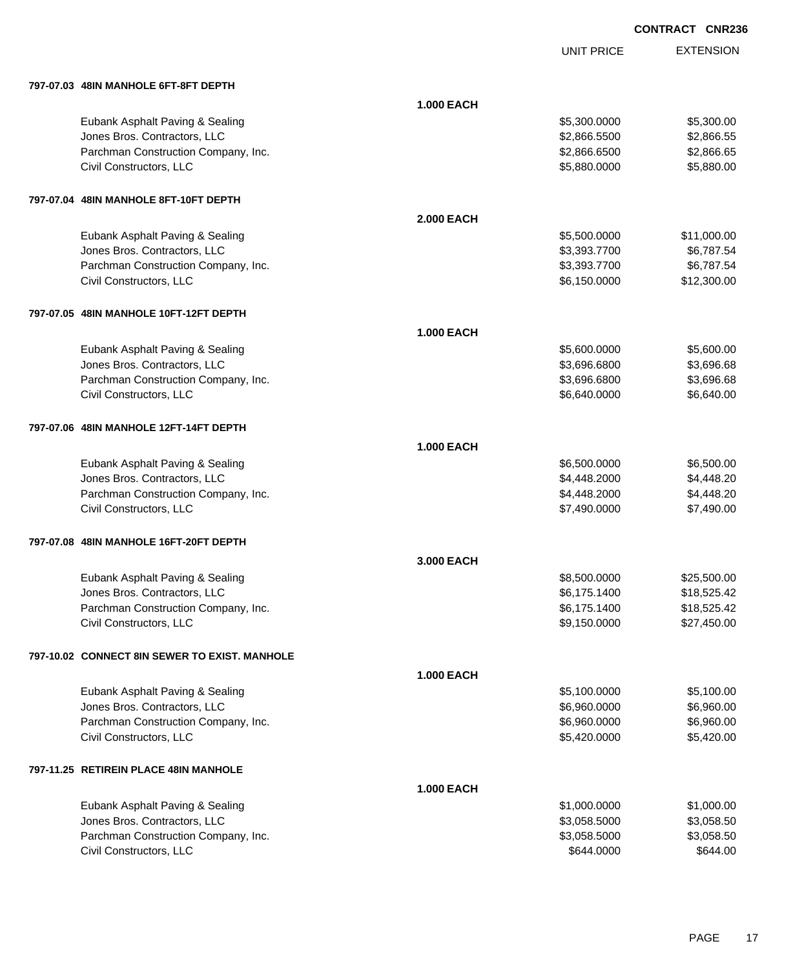UNIT PRICE EXTENSION

| 797-07.03 48IN MANHOLE 6FT-8FT DEPTH          |                   |              |             |
|-----------------------------------------------|-------------------|--------------|-------------|
|                                               | <b>1.000 EACH</b> |              |             |
| Eubank Asphalt Paving & Sealing               |                   | \$5,300.0000 | \$5,300.00  |
| Jones Bros. Contractors, LLC                  |                   | \$2,866.5500 | \$2,866.55  |
| Parchman Construction Company, Inc.           |                   | \$2,866.6500 | \$2,866.65  |
| Civil Constructors, LLC                       |                   | \$5,880.0000 | \$5,880.00  |
| 797-07.04 48IN MANHOLE 8FT-10FT DEPTH         |                   |              |             |
|                                               | <b>2.000 EACH</b> |              |             |
| Eubank Asphalt Paving & Sealing               |                   | \$5,500.0000 | \$11,000.00 |
| Jones Bros. Contractors, LLC                  |                   | \$3,393.7700 | \$6,787.54  |
| Parchman Construction Company, Inc.           |                   | \$3,393.7700 | \$6,787.54  |
| Civil Constructors, LLC                       |                   | \$6,150.0000 | \$12,300.00 |
| 797-07.05 48IN MANHOLE 10FT-12FT DEPTH        |                   |              |             |
|                                               | <b>1.000 EACH</b> |              |             |
| Eubank Asphalt Paving & Sealing               |                   | \$5,600.0000 | \$5,600.00  |
| Jones Bros. Contractors, LLC                  |                   | \$3,696.6800 | \$3,696.68  |
| Parchman Construction Company, Inc.           |                   | \$3,696.6800 | \$3,696.68  |
| Civil Constructors, LLC                       |                   | \$6,640.0000 | \$6,640.00  |
| 797-07.06 48IN MANHOLE 12FT-14FT DEPTH        |                   |              |             |
|                                               | <b>1.000 EACH</b> |              |             |
| Eubank Asphalt Paving & Sealing               |                   | \$6,500.0000 | \$6,500.00  |
| Jones Bros. Contractors, LLC                  |                   | \$4,448.2000 | \$4,448.20  |
| Parchman Construction Company, Inc.           |                   | \$4,448.2000 | \$4,448.20  |
| Civil Constructors, LLC                       |                   | \$7,490.0000 | \$7,490.00  |
| 797-07.08 48IN MANHOLE 16FT-20FT DEPTH        |                   |              |             |
|                                               | 3.000 EACH        |              |             |
| Eubank Asphalt Paving & Sealing               |                   | \$8,500.0000 | \$25,500.00 |
| Jones Bros. Contractors, LLC                  |                   | \$6,175.1400 | \$18,525.42 |
| Parchman Construction Company, Inc.           |                   | \$6,175.1400 | \$18,525.42 |
| Civil Constructors, LLC                       |                   | \$9,150.0000 | \$27,450.00 |
| 797-10.02 CONNECT 8IN SEWER TO EXIST. MANHOLE |                   |              |             |
|                                               | <b>1.000 EACH</b> |              |             |
| Eubank Asphalt Paving & Sealing               |                   | \$5,100.0000 | \$5,100.00  |
| Jones Bros. Contractors, LLC                  |                   | \$6,960.0000 | \$6,960.00  |
| Parchman Construction Company, Inc.           |                   | \$6,960.0000 | \$6,960.00  |
| Civil Constructors, LLC                       |                   | \$5,420.0000 | \$5,420.00  |
| 797-11.25 RETIREIN PLACE 48IN MANHOLE         |                   |              |             |
|                                               | <b>1.000 EACH</b> |              |             |
| Eubank Asphalt Paving & Sealing               |                   | \$1,000.0000 | \$1,000.00  |
| Jones Bros. Contractors, LLC                  |                   | \$3,058.5000 | \$3,058.50  |
| Parchman Construction Company, Inc.           |                   | \$3,058.5000 | \$3,058.50  |
| Civil Constructors, LLC                       |                   | \$644.0000   | \$644.00    |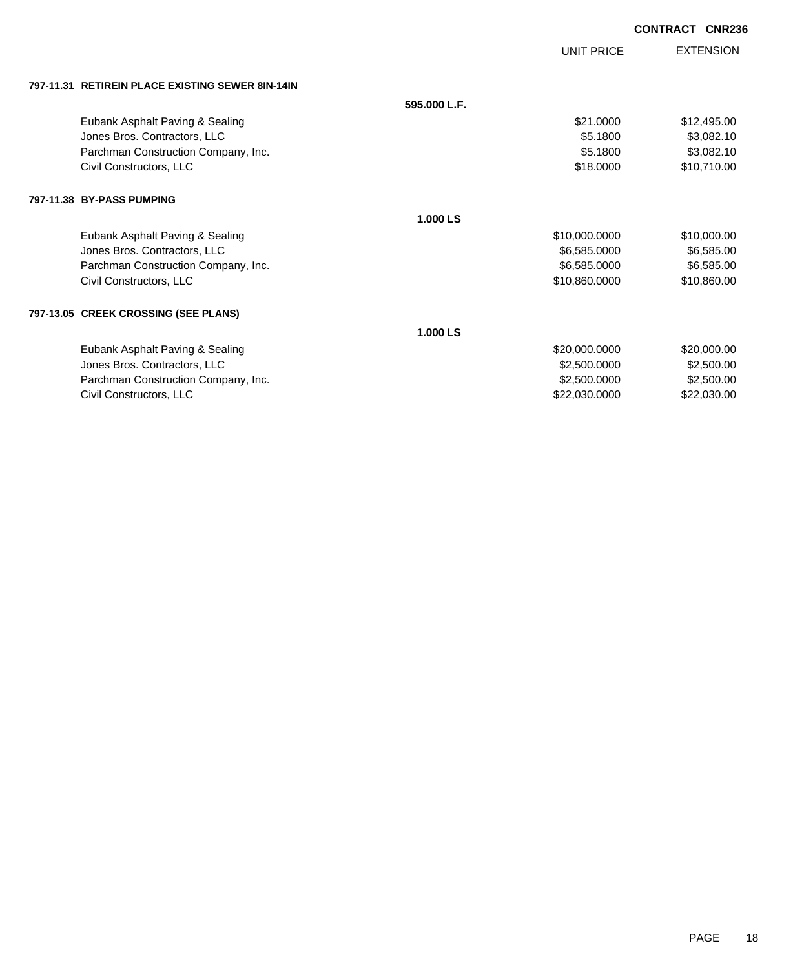|                                                  |              |                   | <b>CONTRACT</b><br><b>CNR236</b> |
|--------------------------------------------------|--------------|-------------------|----------------------------------|
|                                                  |              | <b>UNIT PRICE</b> | <b>EXTENSION</b>                 |
| 797-11.31 RETIREIN PLACE EXISTING SEWER 8IN-14IN |              |                   |                                  |
|                                                  | 595.000 L.F. |                   |                                  |
| Eubank Asphalt Paving & Sealing                  |              | \$21,0000         | \$12,495.00                      |
| Jones Bros. Contractors, LLC                     |              | \$5.1800          | \$3,082.10                       |
| Parchman Construction Company, Inc.              |              | \$5.1800          | \$3,082.10                       |
| Civil Constructors, LLC                          |              | \$18.0000         | \$10,710.00                      |
| 797-11.38 BY-PASS PUMPING                        |              |                   |                                  |
|                                                  | 1.000 LS     |                   |                                  |
| Eubank Asphalt Paving & Sealing                  |              | \$10,000.0000     | \$10,000.00                      |
| Jones Bros. Contractors, LLC                     |              | \$6,585.0000      | \$6,585.00                       |
| Parchman Construction Company, Inc.              |              | \$6,585.0000      | \$6,585.00                       |
| Civil Constructors, LLC                          |              | \$10,860.0000     | \$10,860.00                      |
| 797-13.05 CREEK CROSSING (SEE PLANS)             |              |                   |                                  |
|                                                  | 1.000 LS     |                   |                                  |
| Eubank Asphalt Paving & Sealing                  |              | \$20,000.0000     | \$20,000.00                      |
| Jones Bros. Contractors, LLC                     |              | \$2,500.0000      | \$2,500.00                       |
| Parchman Construction Company, Inc.              |              | \$2,500.0000      | \$2,500.00                       |
| Civil Constructors, LLC                          |              | \$22,030.0000     | \$22,030.00                      |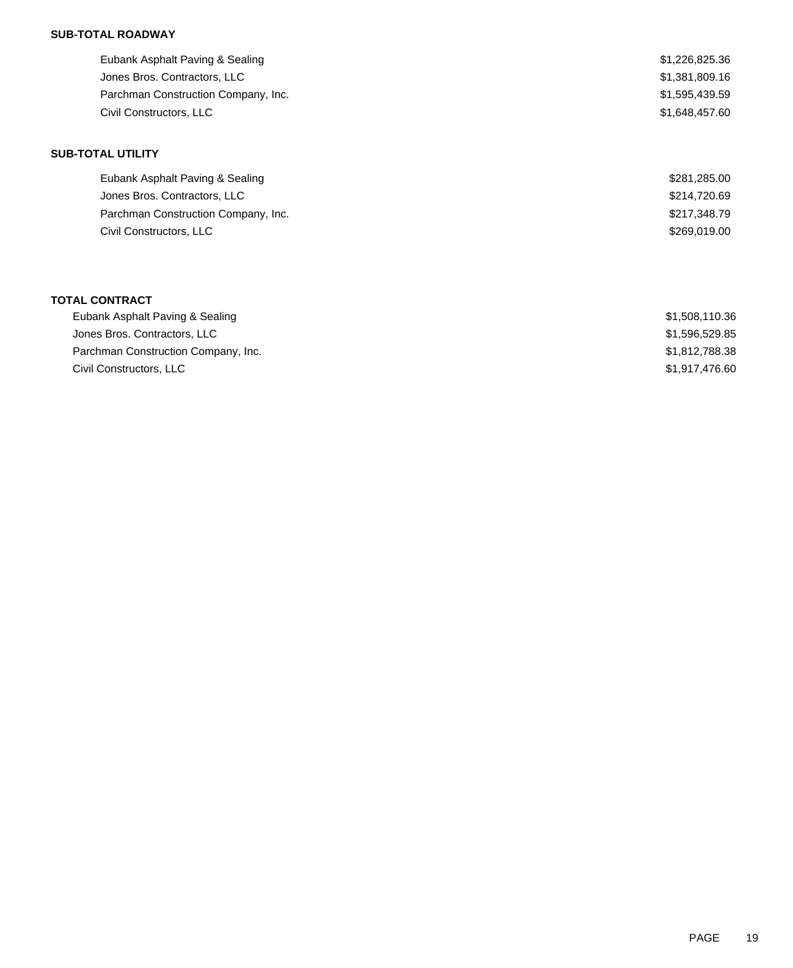# **SUB-TOTAL ROADWAY**

| Eubank Asphalt Paving & Sealing     | \$1,226,825.36 |
|-------------------------------------|----------------|
| Jones Bros. Contractors, LLC        | \$1,381,809.16 |
| Parchman Construction Company, Inc. | \$1,595,439.59 |
| Civil Constructors, LLC             | \$1,648,457.60 |

#### **SUB-TOTAL UTILITY**

| Eubank Asphalt Paving & Sealing     | \$281,285,00 |
|-------------------------------------|--------------|
| Jones Bros. Contractors, LLC        | \$214,720.69 |
| Parchman Construction Company, Inc. | \$217,348.79 |
| Civil Constructors, LLC             | \$269,019,00 |

#### **TOTAL CONTRACT**

| Eubank Asphalt Paving & Sealing     | \$1.508.110.36 |
|-------------------------------------|----------------|
| Jones Bros. Contractors, LLC        | \$1,596,529.85 |
| Parchman Construction Company, Inc. | \$1,812,788.38 |
| Civil Constructors, LLC             | \$1.917.476.60 |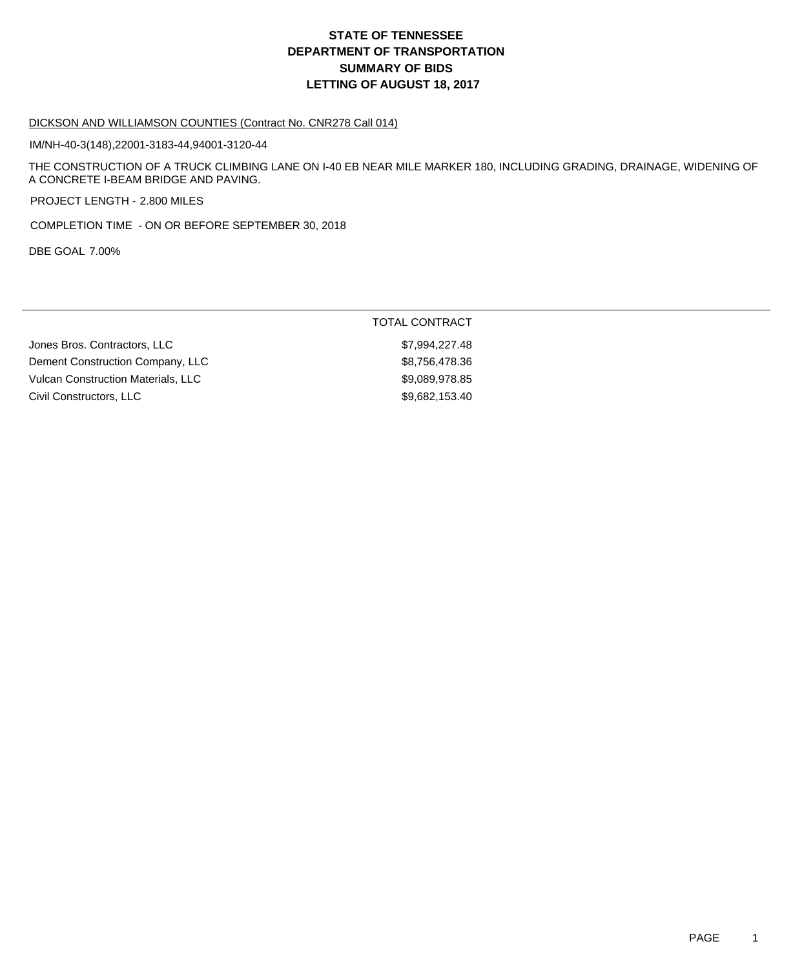# **DEPARTMENT OF TRANSPORTATION SUMMARY OF BIDS LETTING OF AUGUST 18, 2017 STATE OF TENNESSEE**

#### DICKSON AND WILLIAMSON COUNTIES (Contract No. CNR278 Call 014)

IM/NH-40-3(148),22001-3183-44,94001-3120-44

THE CONSTRUCTION OF A TRUCK CLIMBING LANE ON I-40 EB NEAR MILE MARKER 180, INCLUDING GRADING, DRAINAGE, WIDENING OF A CONCRETE I-BEAM BRIDGE AND PAVING.

PROJECT LENGTH - 2.800 MILES

COMPLETION TIME - ON OR BEFORE SEPTEMBER 30, 2018

DBE GOAL 7.00%

| <b>TOTAL CONTRACT</b> |
|-----------------------|
| \$7,994,227.48        |
| \$8,756,478.36        |
| \$9,089,978.85        |
| \$9,682,153.40        |
|                       |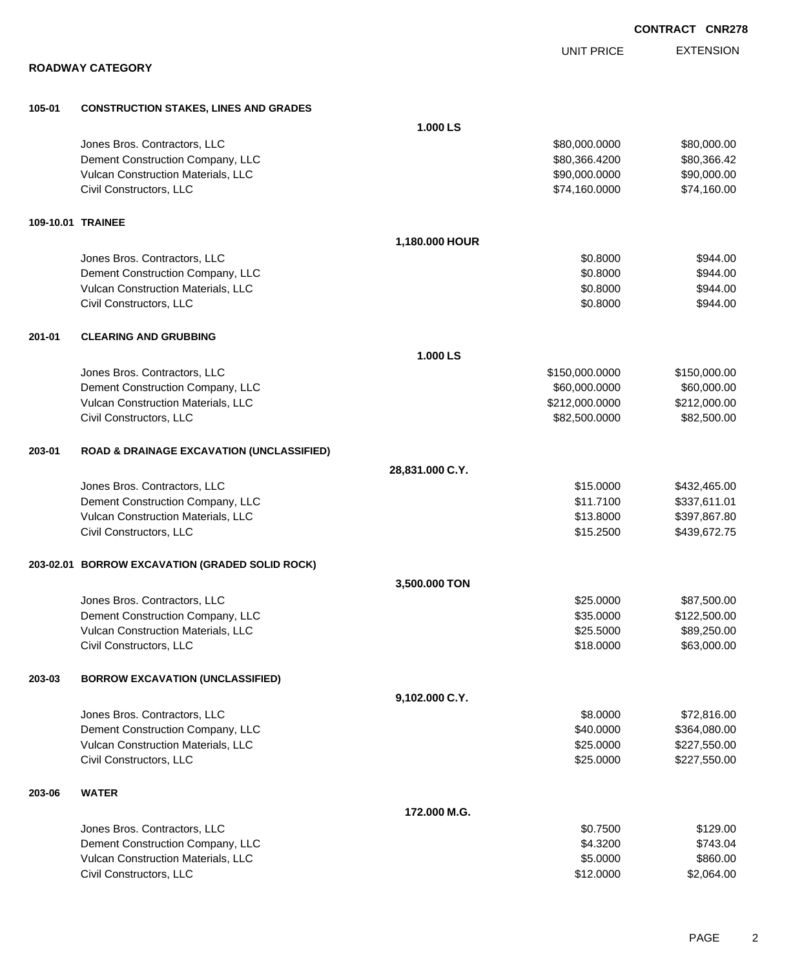|                   |                                                      |                 | <b>UNIT PRICE</b> | <b>EXTENSION</b> |
|-------------------|------------------------------------------------------|-----------------|-------------------|------------------|
|                   | <b>ROADWAY CATEGORY</b>                              |                 |                   |                  |
| 105-01            | <b>CONSTRUCTION STAKES, LINES AND GRADES</b>         |                 |                   |                  |
|                   |                                                      | 1.000 LS        |                   |                  |
|                   | Jones Bros. Contractors, LLC                         |                 | \$80,000.0000     | \$80,000.00      |
|                   | Dement Construction Company, LLC                     |                 | \$80,366.4200     | \$80,366.42      |
|                   | Vulcan Construction Materials, LLC                   |                 | \$90,000.0000     | \$90,000.00      |
|                   | Civil Constructors, LLC                              |                 | \$74,160.0000     | \$74,160.00      |
| 109-10.01 TRAINEE |                                                      |                 |                   |                  |
|                   |                                                      | 1,180.000 HOUR  |                   |                  |
|                   | Jones Bros. Contractors, LLC                         |                 | \$0.8000          | \$944.00         |
|                   | Dement Construction Company, LLC                     |                 | \$0.8000          | \$944.00         |
|                   | Vulcan Construction Materials, LLC                   |                 | \$0.8000          | \$944.00         |
|                   | Civil Constructors, LLC                              |                 | \$0.8000          | \$944.00         |
| 201-01            | <b>CLEARING AND GRUBBING</b>                         |                 |                   |                  |
|                   |                                                      | 1.000 LS        |                   |                  |
|                   | Jones Bros. Contractors, LLC                         |                 | \$150,000.0000    | \$150,000.00     |
|                   | Dement Construction Company, LLC                     |                 | \$60,000.0000     | \$60,000.00      |
|                   | Vulcan Construction Materials, LLC                   |                 | \$212,000.0000    | \$212,000.00     |
|                   | Civil Constructors, LLC                              |                 | \$82,500.0000     | \$82,500.00      |
| 203-01            | <b>ROAD &amp; DRAINAGE EXCAVATION (UNCLASSIFIED)</b> |                 |                   |                  |
|                   |                                                      | 28,831.000 C.Y. |                   |                  |
|                   | Jones Bros. Contractors, LLC                         |                 | \$15.0000         | \$432,465.00     |
|                   | Dement Construction Company, LLC                     |                 | \$11.7100         | \$337,611.01     |
|                   | Vulcan Construction Materials, LLC                   |                 | \$13.8000         | \$397,867.80     |
|                   | Civil Constructors, LLC                              |                 | \$15.2500         | \$439,672.75     |
|                   | 203-02.01 BORROW EXCAVATION (GRADED SOLID ROCK)      |                 |                   |                  |
|                   |                                                      | 3.500,000 TON   |                   |                  |
|                   | Jones Bros. Contractors, LLC                         |                 | \$25.0000         | \$87,500.00      |
|                   | Dement Construction Company, LLC                     |                 | \$35.0000         | \$122,500.00     |
|                   | Vulcan Construction Materials, LLC                   |                 | \$25.5000         | \$89,250.00      |
|                   | Civil Constructors, LLC                              |                 | \$18.0000         | \$63,000.00      |
| 203-03            | <b>BORROW EXCAVATION (UNCLASSIFIED)</b>              |                 |                   |                  |
|                   |                                                      | 9,102.000 C.Y.  |                   |                  |
|                   | Jones Bros. Contractors, LLC                         |                 | \$8.0000          | \$72,816.00      |
|                   | Dement Construction Company, LLC                     |                 | \$40.0000         | \$364,080.00     |
|                   | Vulcan Construction Materials, LLC                   |                 | \$25.0000         | \$227,550.00     |
|                   | Civil Constructors, LLC                              |                 | \$25.0000         | \$227,550.00     |
| 203-06            | <b>WATER</b>                                         |                 |                   |                  |
|                   |                                                      | 172.000 M.G.    |                   |                  |
|                   | Jones Bros. Contractors, LLC                         |                 | \$0.7500          | \$129.00         |
|                   | Dement Construction Company, LLC                     |                 | \$4.3200          | \$743.04         |
|                   | Vulcan Construction Materials, LLC                   |                 | \$5.0000          | \$860.00         |

Civil Constructors, LLC \$12.0000 \$2,064.00

**CONTRACT CNR278**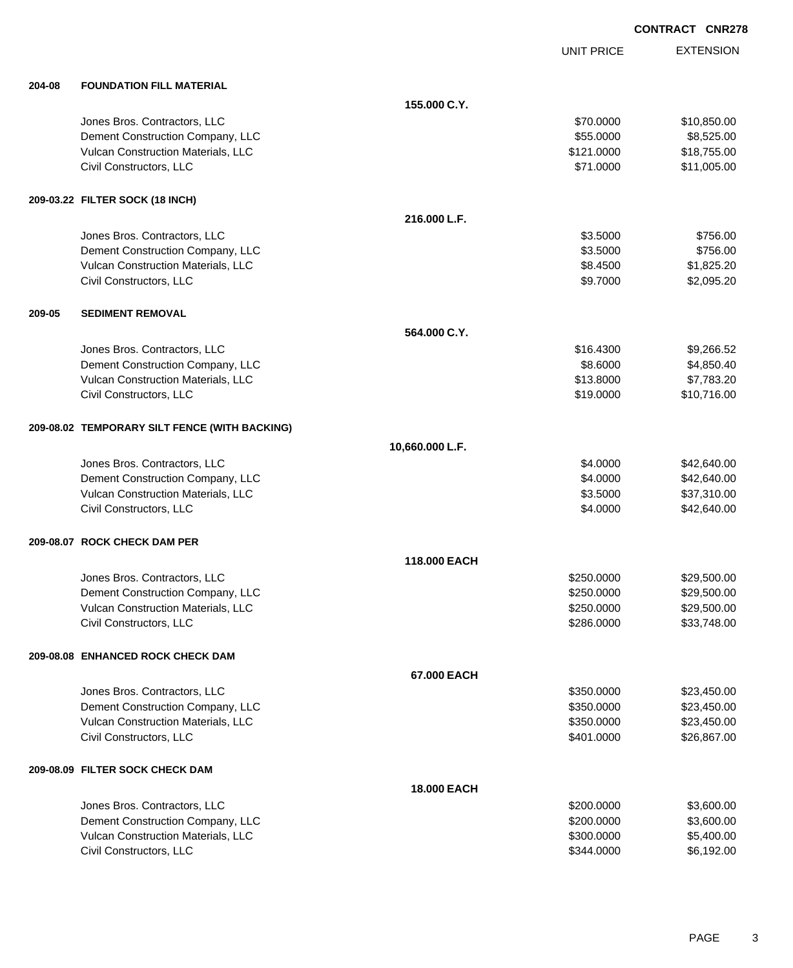UNIT PRICE EXTENSION

| 204-08 | <b>FOUNDATION FILL MATERIAL</b> |
|--------|---------------------------------|
|        |                                 |

| 204-08 | <b>FOUNDATION FILL MATERIAL</b>               |                    |            |             |
|--------|-----------------------------------------------|--------------------|------------|-------------|
|        |                                               | 155.000 C.Y.       |            |             |
|        | Jones Bros. Contractors, LLC                  |                    | \$70.0000  | \$10,850.00 |
|        | Dement Construction Company, LLC              |                    | \$55.0000  | \$8,525.00  |
|        | Vulcan Construction Materials, LLC            |                    | \$121.0000 | \$18,755.00 |
|        | Civil Constructors, LLC                       |                    | \$71.0000  | \$11,005.00 |
|        | 209-03.22 FILTER SOCK (18 INCH)               |                    |            |             |
|        |                                               | 216.000 L.F.       |            |             |
|        | Jones Bros. Contractors, LLC                  |                    | \$3.5000   | \$756.00    |
|        | Dement Construction Company, LLC              |                    | \$3.5000   | \$756.00    |
|        | Vulcan Construction Materials, LLC            |                    | \$8.4500   | \$1,825.20  |
|        | Civil Constructors, LLC                       |                    | \$9.7000   | \$2,095.20  |
| 209-05 | <b>SEDIMENT REMOVAL</b>                       |                    |            |             |
|        |                                               | 564.000 C.Y.       |            |             |
|        | Jones Bros. Contractors, LLC                  |                    | \$16,4300  | \$9,266.52  |
|        | Dement Construction Company, LLC              |                    | \$8.6000   | \$4,850.40  |
|        | Vulcan Construction Materials, LLC            |                    | \$13.8000  | \$7,783.20  |
|        | Civil Constructors, LLC                       |                    | \$19.0000  | \$10,716.00 |
|        | 209-08.02 TEMPORARY SILT FENCE (WITH BACKING) |                    |            |             |
|        |                                               | 10,660.000 L.F.    |            |             |
|        | Jones Bros. Contractors, LLC                  |                    | \$4.0000   | \$42,640.00 |
|        | Dement Construction Company, LLC              |                    | \$4.0000   | \$42,640.00 |
|        | Vulcan Construction Materials, LLC            |                    | \$3.5000   | \$37,310.00 |
|        | Civil Constructors, LLC                       |                    | \$4.0000   | \$42,640.00 |
|        | 209-08.07 ROCK CHECK DAM PER                  |                    |            |             |
|        |                                               | 118.000 EACH       |            |             |
|        | Jones Bros. Contractors, LLC                  |                    | \$250.0000 | \$29,500.00 |
|        | Dement Construction Company, LLC              |                    | \$250.0000 | \$29,500.00 |
|        | Vulcan Construction Materials, LLC            |                    | \$250.0000 | \$29,500.00 |
|        | Civil Constructors, LLC                       |                    | \$286.0000 | \$33,748.00 |
|        | 209-08.08 ENHANCED ROCK CHECK DAM             |                    |            |             |
|        |                                               | 67.000 EACH        |            |             |
|        | Jones Bros. Contractors, LLC                  |                    | \$350.0000 | \$23,450.00 |
|        | Dement Construction Company, LLC              |                    | \$350.0000 | \$23,450.00 |
|        | Vulcan Construction Materials, LLC            |                    | \$350.0000 | \$23,450.00 |
|        | Civil Constructors, LLC                       |                    | \$401.0000 | \$26,867.00 |
|        | 209-08.09 FILTER SOCK CHECK DAM               |                    |            |             |
|        |                                               | <b>18.000 EACH</b> |            |             |
|        | Jones Bros. Contractors, LLC                  |                    | \$200.0000 | \$3,600.00  |
|        | Dement Construction Company, LLC              |                    | \$200.0000 | \$3,600.00  |
|        | Vulcan Construction Materials, LLC            |                    | \$300.0000 | \$5,400.00  |
|        | Civil Constructors, LLC                       |                    | \$344.0000 | \$6,192.00  |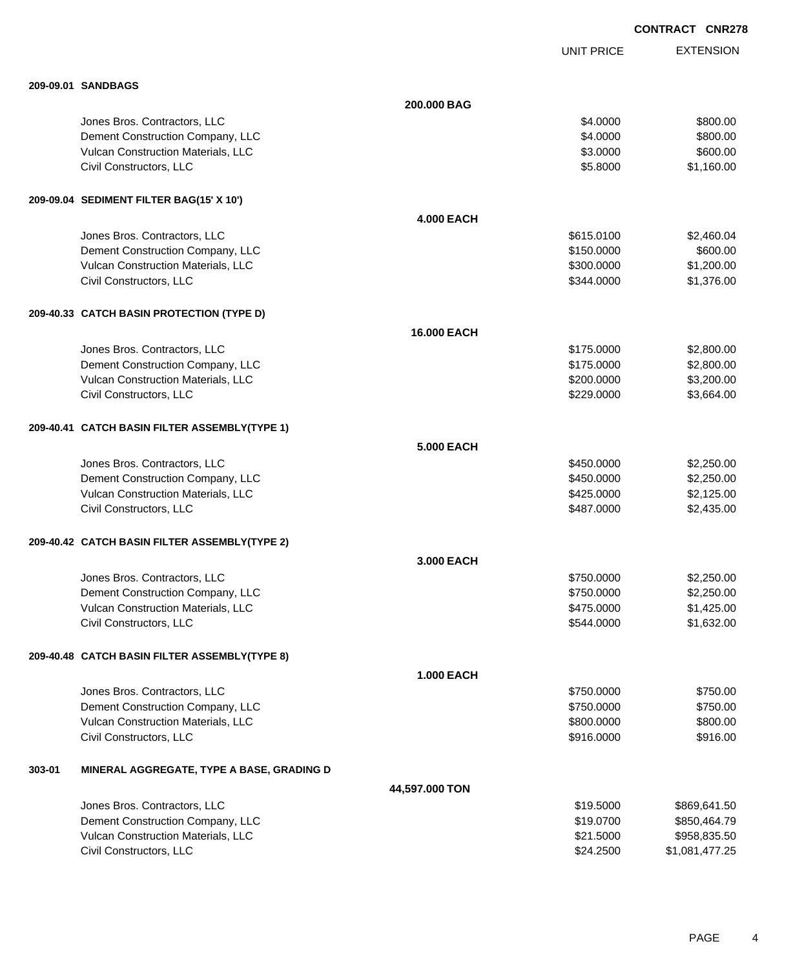|        |                                               |                   |                   | <b>CONTRACT CNR278</b> |
|--------|-----------------------------------------------|-------------------|-------------------|------------------------|
|        |                                               |                   | <b>UNIT PRICE</b> | <b>EXTENSION</b>       |
|        | 209-09.01 SANDBAGS                            |                   |                   |                        |
|        |                                               | 200,000 BAG       |                   |                        |
|        | Jones Bros. Contractors, LLC                  |                   | \$4.0000          | \$800.00               |
|        | Dement Construction Company, LLC              |                   | \$4.0000          | \$800.00               |
|        | Vulcan Construction Materials, LLC            |                   | \$3.0000          | \$600.00               |
|        | Civil Constructors, LLC                       |                   | \$5.8000          | \$1,160.00             |
|        | 209-09.04 SEDIMENT FILTER BAG(15' X 10')      |                   |                   |                        |
|        |                                               | <b>4.000 EACH</b> |                   |                        |
|        | Jones Bros. Contractors, LLC                  |                   | \$615.0100        | \$2,460.04             |
|        | Dement Construction Company, LLC              |                   | \$150.0000        | \$600.00               |
|        | Vulcan Construction Materials, LLC            |                   | \$300.0000        | \$1,200.00             |
|        | Civil Constructors, LLC                       |                   | \$344.0000        | \$1,376.00             |
|        | 209-40.33 CATCH BASIN PROTECTION (TYPE D)     |                   |                   |                        |
|        |                                               | 16.000 EACH       |                   |                        |
|        | Jones Bros. Contractors, LLC                  |                   | \$175.0000        | \$2,800.00             |
|        | Dement Construction Company, LLC              |                   | \$175.0000        | \$2,800.00             |
|        | Vulcan Construction Materials, LLC            |                   | \$200.0000        | \$3,200.00             |
|        | Civil Constructors, LLC                       |                   | \$229.0000        | \$3,664.00             |
|        | 209-40.41 CATCH BASIN FILTER ASSEMBLY(TYPE 1) |                   |                   |                        |
|        |                                               | 5,000 EACH        |                   |                        |
|        | Jones Bros. Contractors, LLC                  |                   | \$450.0000        | \$2,250.00             |
|        | Dement Construction Company, LLC              |                   | \$450.0000        | \$2,250.00             |
|        | Vulcan Construction Materials, LLC            |                   | \$425.0000        | \$2,125.00             |
|        | Civil Constructors, LLC                       |                   | \$487,0000        | \$2,435.00             |
|        | 209-40.42 CATCH BASIN FILTER ASSEMBLY(TYPE 2) |                   |                   |                        |
|        |                                               | 3.000 EACH        |                   |                        |
|        | Jones Bros. Contractors, LLC                  |                   | \$750.0000        | \$2,250.00             |
|        | Dement Construction Company, LLC              |                   | \$750.0000        | \$2,250.00             |
|        | Vulcan Construction Materials, LLC            |                   | \$475.0000        | \$1,425.00             |
|        | Civil Constructors, LLC                       |                   | \$544.0000        | \$1,632.00             |
|        | 209-40.48 CATCH BASIN FILTER ASSEMBLY(TYPE 8) |                   |                   |                        |
|        |                                               | <b>1.000 EACH</b> |                   |                        |
|        | Jones Bros. Contractors, LLC                  |                   | \$750.0000        | \$750.00               |
|        | Dement Construction Company, LLC              |                   | \$750.0000        | \$750.00               |
|        | Vulcan Construction Materials, LLC            |                   | \$800.0000        | \$800.00               |
|        | Civil Constructors, LLC                       |                   | \$916.0000        | \$916.00               |
| 303-01 | MINERAL AGGREGATE, TYPE A BASE, GRADING D     |                   |                   |                        |
|        |                                               | 44,597.000 TON    |                   |                        |
|        | Jones Bros. Contractors, LLC                  |                   | \$19.5000         | \$869,641.50           |
|        | Dement Construction Company, LLC              |                   | \$19.0700         | \$850,464.79           |
|        | Vulcan Construction Materials, LLC            |                   | \$21.5000         | \$958,835.50           |

Civil Constructors, LLC 61,081,477.25

PAGE 4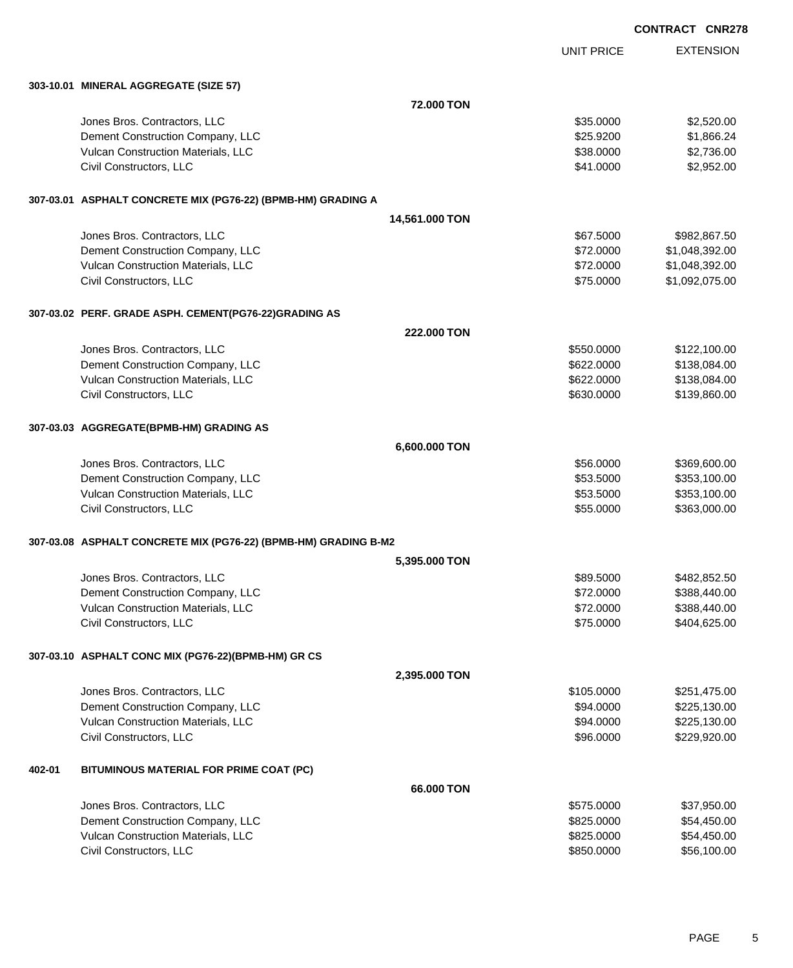|        |                                                                   |                |                   | <b>CONTRACT CNR278</b> |
|--------|-------------------------------------------------------------------|----------------|-------------------|------------------------|
|        |                                                                   |                | <b>UNIT PRICE</b> | <b>EXTENSION</b>       |
|        | 303-10.01 MINERAL AGGREGATE (SIZE 57)                             |                |                   |                        |
|        |                                                                   | 72.000 TON     |                   |                        |
|        | Jones Bros. Contractors, LLC                                      |                | \$35.0000         | \$2,520.00             |
|        | Dement Construction Company, LLC                                  |                | \$25.9200         | \$1,866.24             |
|        | Vulcan Construction Materials, LLC                                |                | \$38.0000         | \$2,736.00             |
|        | Civil Constructors, LLC                                           |                | \$41.0000         | \$2,952.00             |
|        | 307-03.01 ASPHALT CONCRETE MIX (PG76-22) (BPMB-HM) GRADING A      |                |                   |                        |
|        |                                                                   | 14,561.000 TON |                   |                        |
|        | Jones Bros. Contractors, LLC                                      |                | \$67.5000         | \$982,867.50           |
|        | Dement Construction Company, LLC                                  |                | \$72.0000         | \$1,048,392.00         |
|        | Vulcan Construction Materials, LLC                                |                | \$72.0000         | \$1,048,392.00         |
|        | Civil Constructors, LLC                                           |                | \$75.0000         | \$1,092,075.00         |
|        | 307-03.02 PERF. GRADE ASPH. CEMENT(PG76-22)GRADING AS             |                |                   |                        |
|        |                                                                   | 222,000 TON    |                   |                        |
|        | Jones Bros. Contractors, LLC                                      |                | \$550.0000        | \$122,100.00           |
|        | Dement Construction Company, LLC                                  |                | \$622.0000        | \$138,084.00           |
|        | Vulcan Construction Materials, LLC                                |                | \$622.0000        | \$138,084.00           |
|        | Civil Constructors, LLC                                           |                | \$630.0000        | \$139,860.00           |
|        | 307-03.03 AGGREGATE(BPMB-HM) GRADING AS                           |                |                   |                        |
|        |                                                                   | 6,600.000 TON  |                   |                        |
|        | Jones Bros. Contractors, LLC                                      |                | \$56.0000         | \$369,600.00           |
|        | Dement Construction Company, LLC                                  |                | \$53.5000         | \$353,100.00           |
|        | Vulcan Construction Materials, LLC                                |                | \$53.5000         | \$353,100.00           |
|        | Civil Constructors, LLC                                           |                | \$55.0000         | \$363,000.00           |
|        | 307-03.08   ASPHALT CONCRETE MIX (PG76-22) (BPMB-HM) GRADING B-M2 |                |                   |                        |
|        |                                                                   | 5,395.000 TON  |                   |                        |
|        | Jones Bros. Contractors, LLC                                      |                | \$89.5000         | \$482,852.50           |
|        | Dement Construction Company, LLC                                  |                | \$72.0000         | \$388,440.00           |
|        | Vulcan Construction Materials, LLC                                |                | \$72.0000         | \$388,440.00           |
|        | Civil Constructors, LLC                                           |                | \$75.0000         | \$404,625.00           |
|        | 307-03.10 ASPHALT CONC MIX (PG76-22)(BPMB-HM) GR CS               |                |                   |                        |
|        |                                                                   | 2,395.000 TON  |                   |                        |
|        | Jones Bros. Contractors, LLC                                      |                | \$105.0000        | \$251,475.00           |
|        | Dement Construction Company, LLC                                  |                | \$94.0000         | \$225,130.00           |
|        | Vulcan Construction Materials, LLC                                |                | \$94.0000         | \$225,130.00           |
|        | Civil Constructors, LLC                                           |                | \$96.0000         | \$229,920.00           |
| 402-01 | BITUMINOUS MATERIAL FOR PRIME COAT (PC)                           |                |                   |                        |
|        |                                                                   | 66.000 TON     |                   |                        |
|        | Jones Bros. Contractors, LLC                                      |                | \$575.0000        | \$37,950.00            |
|        | Dement Construction Company, LLC                                  |                | \$825.0000        | \$54,450.00            |
|        | Vulcan Construction Materials, LLC                                |                | \$825.0000        | \$54,450.00            |
|        | Civil Constructors, LLC                                           |                | \$850.0000        | \$56,100.00            |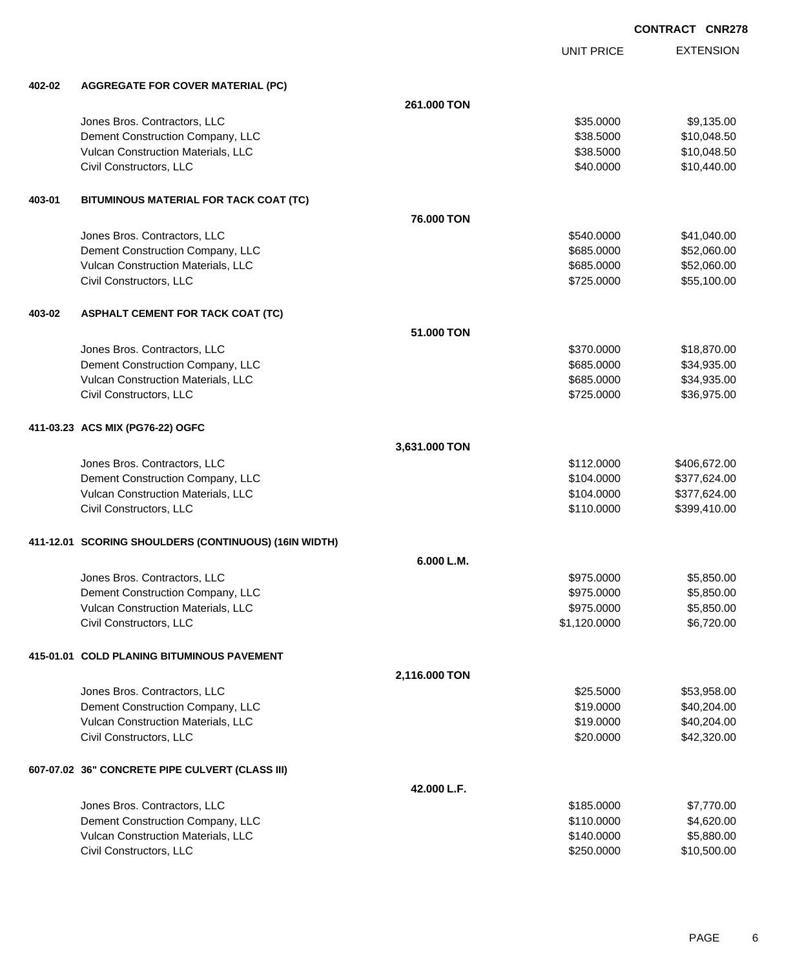EXTENSION

|        |                                                       |               |                   | <b>CONTRACT CNR2</b> |
|--------|-------------------------------------------------------|---------------|-------------------|----------------------|
|        |                                                       |               | <b>UNIT PRICE</b> | <b>EXTENSION</b>     |
| 402-02 | <b>AGGREGATE FOR COVER MATERIAL (PC)</b>              |               |                   |                      |
|        |                                                       | 261.000 TON   |                   |                      |
|        | Jones Bros. Contractors, LLC                          |               | \$35.0000         | \$9,135.00           |
|        | Dement Construction Company, LLC                      |               | \$38.5000         | \$10,048.50          |
|        | Vulcan Construction Materials, LLC                    |               | \$38.5000         | \$10,048.50          |
|        | Civil Constructors, LLC                               |               | \$40.0000         | \$10,440.00          |
| 403-01 | BITUMINOUS MATERIAL FOR TACK COAT (TC)                |               |                   |                      |
|        |                                                       | 76.000 TON    |                   |                      |
|        | Jones Bros. Contractors, LLC                          |               | \$540.0000        | \$41,040.00          |
|        | Dement Construction Company, LLC                      |               | \$685.0000        | \$52,060.00          |
|        | Vulcan Construction Materials, LLC                    |               | \$685.0000        | \$52,060.00          |
|        | Civil Constructors, LLC                               |               | \$725.0000        | \$55,100.00          |
| 403-02 | <b>ASPHALT CEMENT FOR TACK COAT (TC)</b>              |               |                   |                      |
|        |                                                       | 51.000 TON    |                   |                      |
|        | Jones Bros. Contractors, LLC                          |               | \$370.0000        | \$18,870.00          |
|        | Dement Construction Company, LLC                      |               | \$685.0000        | \$34,935.00          |
|        | Vulcan Construction Materials, LLC                    |               | \$685.0000        | \$34,935.00          |
|        | Civil Constructors, LLC                               |               | \$725.0000        | \$36,975.00          |
|        | 411-03.23 ACS MIX (PG76-22) OGFC                      |               |                   |                      |
|        |                                                       | 3,631.000 TON |                   |                      |
|        | Jones Bros. Contractors, LLC                          |               | \$112.0000        | \$406,672.00         |
|        | Dement Construction Company, LLC                      |               | \$104.0000        | \$377,624.00         |
|        | Vulcan Construction Materials, LLC                    |               | \$104.0000        | \$377,624.00         |
|        | Civil Constructors, LLC                               |               | \$110.0000        | \$399,410.00         |
|        | 411-12.01 SCORING SHOULDERS (CONTINUOUS) (16IN WIDTH) |               |                   |                      |
|        |                                                       | 6.000 L.M.    |                   |                      |
|        | Jones Bros. Contractors, LLC                          |               | \$975.0000        | \$5,850.00           |
|        | Dement Construction Company, LLC                      |               | \$975.0000        | \$5,850.00           |
|        | Vulcan Construction Materials, LLC                    |               | \$975.0000        | \$5,850.00           |
|        | Civil Constructors, LLC                               |               | \$1,120.0000      | \$6,720.00           |
|        | 415-01.01 COLD PLANING BITUMINOUS PAVEMENT            |               |                   |                      |
|        |                                                       | 2,116.000 TON |                   |                      |
|        | Jones Bros. Contractors, LLC                          |               | \$25.5000         | \$53,958.00          |
|        | Dement Construction Company, LLC                      |               | \$19.0000         | \$40,204.00          |
|        | Vulcan Construction Materials, LLC                    |               | \$19.0000         | \$40,204.00          |
|        | Civil Constructors, LLC                               |               | \$20.0000         | \$42,320.00          |
|        | 607-07.02 36" CONCRETE PIPE CULVERT (CLASS III)       |               |                   |                      |
|        |                                                       | 42.000 L.F.   |                   |                      |
|        | Jones Bros. Contractors, LLC                          |               | \$185.0000        | \$7,770.00           |
|        | Dement Construction Company, LLC                      |               | \$110.0000        | \$4,620.00           |
|        | Vulcan Construction Materials, LLC                    |               | \$140.0000        | \$5,880.00           |

Civil Constructors, LLC 610,500.00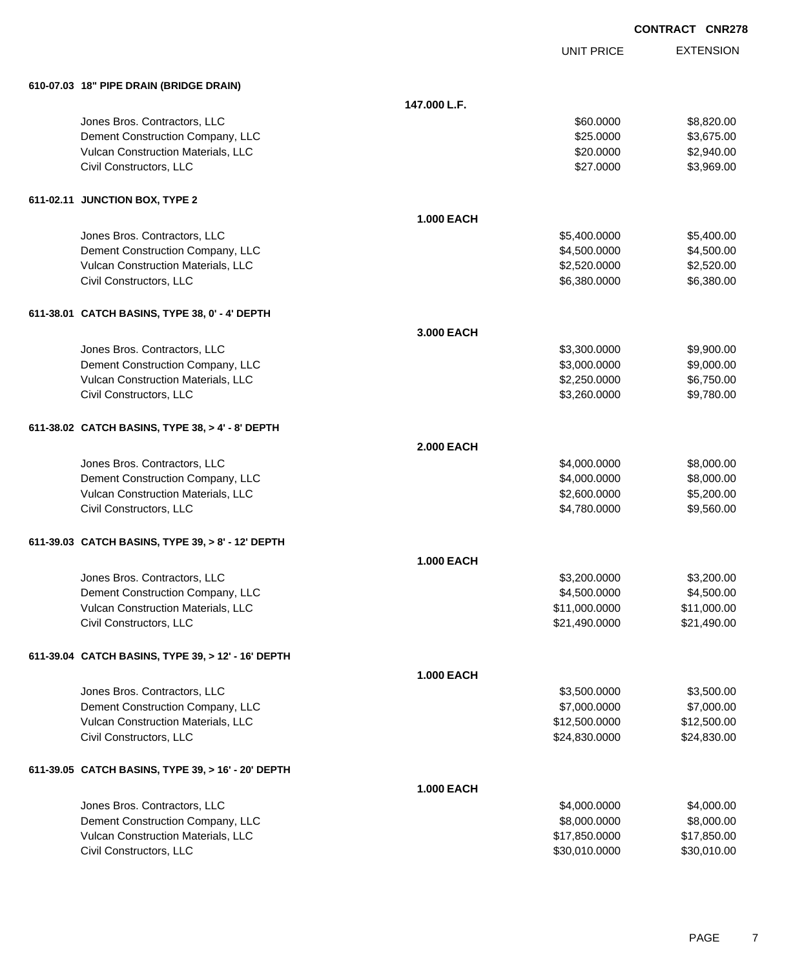| CONTRACT CNR278 |  |
|-----------------|--|
|                 |  |

|                                                    |                   | <b>UNIT PRICE</b> | <b>EXTENSION</b> |
|----------------------------------------------------|-------------------|-------------------|------------------|
| 610-07.03 18" PIPE DRAIN (BRIDGE DRAIN)            |                   |                   |                  |
|                                                    | 147.000 L.F.      |                   |                  |
| Jones Bros. Contractors, LLC                       |                   | \$60.0000         | \$8,820.00       |
| Dement Construction Company, LLC                   |                   | \$25.0000         | \$3,675.00       |
| Vulcan Construction Materials, LLC                 |                   | \$20.0000         | \$2,940.00       |
| Civil Constructors, LLC                            |                   | \$27.0000         | \$3,969.00       |
| 611-02.11 JUNCTION BOX, TYPE 2                     |                   |                   |                  |
|                                                    | <b>1.000 EACH</b> |                   |                  |
| Jones Bros. Contractors, LLC                       |                   | \$5,400.0000      | \$5,400.00       |
| Dement Construction Company, LLC                   |                   | \$4,500.0000      | \$4,500.00       |
| Vulcan Construction Materials, LLC                 |                   | \$2,520.0000      | \$2,520.00       |
| Civil Constructors, LLC                            |                   | \$6,380.0000      | \$6,380.00       |
| 611-38.01 CATCH BASINS, TYPE 38, 0' - 4' DEPTH     |                   |                   |                  |
|                                                    | 3.000 EACH        |                   |                  |
| Jones Bros. Contractors, LLC                       |                   | \$3,300.0000      | \$9,900.00       |
| Dement Construction Company, LLC                   |                   | \$3,000.0000      | \$9,000.00       |
| Vulcan Construction Materials, LLC                 |                   | \$2,250.0000      | \$6,750.00       |
| Civil Constructors, LLC                            |                   | \$3,260.0000      | \$9,780.00       |
| 611-38.02 CATCH BASINS, TYPE 38, > 4' - 8' DEPTH   |                   |                   |                  |
|                                                    | <b>2.000 EACH</b> |                   |                  |
| Jones Bros. Contractors, LLC                       |                   | \$4,000.0000      | \$8,000.00       |
| Dement Construction Company, LLC                   |                   | \$4,000.0000      | \$8,000.00       |
| Vulcan Construction Materials, LLC                 |                   | \$2,600.0000      | \$5,200.00       |
| Civil Constructors, LLC                            |                   | \$4,780.0000      | \$9,560.00       |
| 611-39.03 CATCH BASINS, TYPE 39, > 8' - 12' DEPTH  |                   |                   |                  |
|                                                    | <b>1.000 EACH</b> |                   |                  |
| Jones Bros. Contractors, LLC                       |                   | \$3,200.0000      | \$3,200.00       |
| Dement Construction Company, LLC                   |                   | \$4,500.0000      | \$4,500.00       |
| Vulcan Construction Materials, LLC                 |                   | \$11,000.0000     | \$11,000.00      |
| Civil Constructors, LLC                            |                   | \$21,490.0000     | \$21,490.00      |
| 611-39.04 CATCH BASINS, TYPE 39, > 12' - 16' DEPTH |                   |                   |                  |
|                                                    | <b>1.000 EACH</b> |                   |                  |
| Jones Bros. Contractors, LLC                       |                   | \$3,500.0000      | \$3,500.00       |
| Dement Construction Company, LLC                   |                   | \$7,000.0000      | \$7,000.00       |
| Vulcan Construction Materials, LLC                 |                   | \$12,500.0000     | \$12,500.00      |
| Civil Constructors, LLC                            |                   | \$24,830.0000     | \$24,830.00      |
| 611-39.05 CATCH BASINS, TYPE 39, > 16' - 20' DEPTH |                   |                   |                  |
|                                                    | <b>1.000 EACH</b> |                   |                  |
| Jones Bros. Contractors, LLC                       |                   | \$4,000.0000      | \$4,000.00       |
| Dement Construction Company, LLC                   |                   | \$8,000.0000      | \$8,000.00       |
| Vulcan Construction Materials, LLC                 |                   | \$17,850.0000     | \$17,850.00      |
| Civil Constructors, LLC                            |                   | \$30,010.0000     | \$30,010.00      |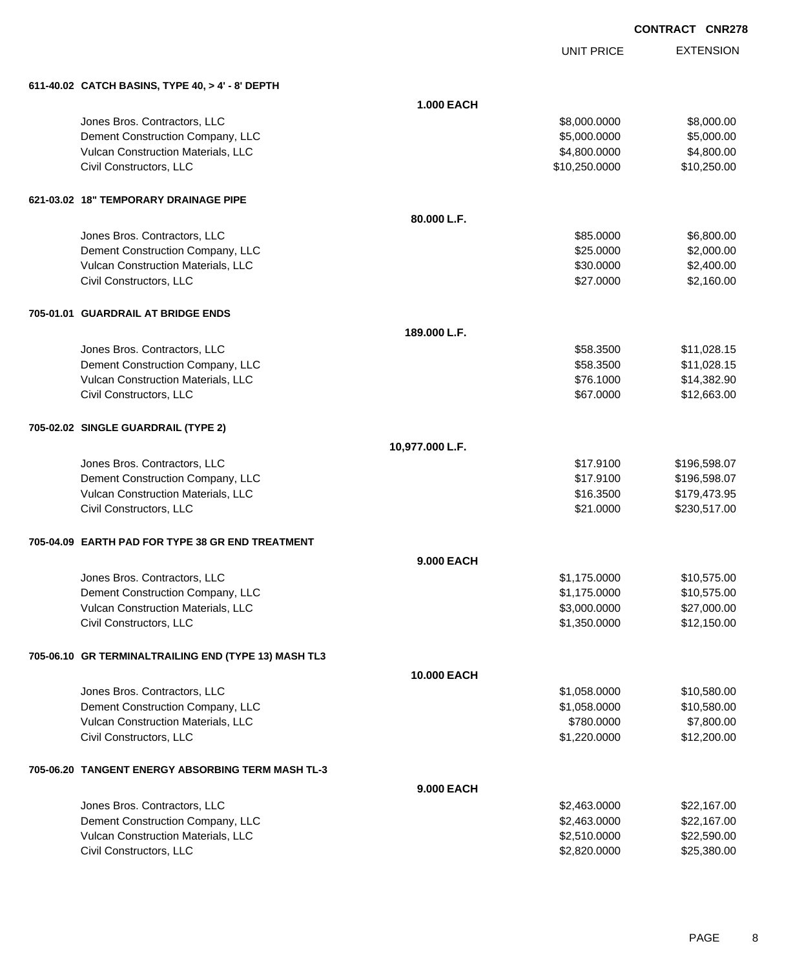UNIT PRICE

EXTENSION

| 611-40.02 CATCH BASINS, TYPE 40, > 4' - 8' DEPTH     |                   |               |              |
|------------------------------------------------------|-------------------|---------------|--------------|
|                                                      | <b>1.000 EACH</b> |               |              |
| Jones Bros. Contractors, LLC                         |                   | \$8,000.0000  | \$8,000.00   |
| Dement Construction Company, LLC                     |                   | \$5,000.0000  | \$5,000.00   |
| Vulcan Construction Materials, LLC                   |                   | \$4,800.0000  | \$4,800.00   |
| Civil Constructors, LLC                              |                   | \$10,250.0000 | \$10,250.00  |
| 621-03.02 18" TEMPORARY DRAINAGE PIPE                |                   |               |              |
|                                                      | 80.000 L.F.       |               |              |
| Jones Bros. Contractors, LLC                         |                   | \$85.0000     | \$6,800.00   |
| Dement Construction Company, LLC                     |                   | \$25.0000     | \$2,000.00   |
| Vulcan Construction Materials, LLC                   |                   | \$30.0000     | \$2,400.00   |
| Civil Constructors, LLC                              |                   | \$27.0000     | \$2,160.00   |
| 705-01.01 GUARDRAIL AT BRIDGE ENDS                   |                   |               |              |
|                                                      | 189.000 L.F.      |               |              |
| Jones Bros. Contractors, LLC                         |                   | \$58.3500     | \$11,028.15  |
| Dement Construction Company, LLC                     |                   | \$58.3500     | \$11,028.15  |
| Vulcan Construction Materials, LLC                   |                   | \$76.1000     | \$14,382.90  |
| Civil Constructors, LLC                              |                   | \$67.0000     | \$12,663.00  |
| 705-02.02 SINGLE GUARDRAIL (TYPE 2)                  |                   |               |              |
|                                                      | 10,977.000 L.F.   |               |              |
| Jones Bros. Contractors, LLC                         |                   | \$17.9100     | \$196,598.07 |
| Dement Construction Company, LLC                     |                   | \$17.9100     | \$196,598.07 |
| Vulcan Construction Materials, LLC                   |                   | \$16.3500     | \$179,473.95 |
| Civil Constructors, LLC                              |                   | \$21.0000     | \$230,517.00 |
| 705-04.09 EARTH PAD FOR TYPE 38 GR END TREATMENT     |                   |               |              |
|                                                      | 9.000 EACH        |               |              |
| Jones Bros. Contractors, LLC                         |                   | \$1,175.0000  | \$10,575.00  |
| Dement Construction Company, LLC                     |                   | \$1,175.0000  | \$10,575.00  |
| Vulcan Construction Materials, LLC                   |                   | \$3,000.0000  | \$27,000.00  |
| Civil Constructors, LLC                              |                   | \$1,350.0000  | \$12,150.00  |
| 705-06.10 GR TERMINALTRAILING END (TYPE 13) MASH TL3 |                   |               |              |
|                                                      | 10.000 EACH       |               |              |
| Jones Bros. Contractors, LLC                         |                   | \$1,058.0000  | \$10,580.00  |
| Dement Construction Company, LLC                     |                   | \$1,058.0000  | \$10,580.00  |
| Vulcan Construction Materials, LLC                   |                   | \$780.0000    | \$7,800.00   |
| Civil Constructors, LLC                              |                   | \$1,220.0000  | \$12,200.00  |
| 705-06.20   TANGENT ENERGY ABSORBING TERM MASH TL-3  |                   |               |              |
|                                                      | 9.000 EACH        |               |              |
| Jones Bros. Contractors, LLC                         |                   | \$2,463.0000  | \$22,167.00  |
| Dement Construction Company, LLC                     |                   | \$2,463.0000  | \$22,167.00  |
| Vulcan Construction Materials, LLC                   |                   | \$2,510.0000  | \$22,590.00  |
| Civil Constructors, LLC                              |                   | \$2,820.0000  | \$25,380.00  |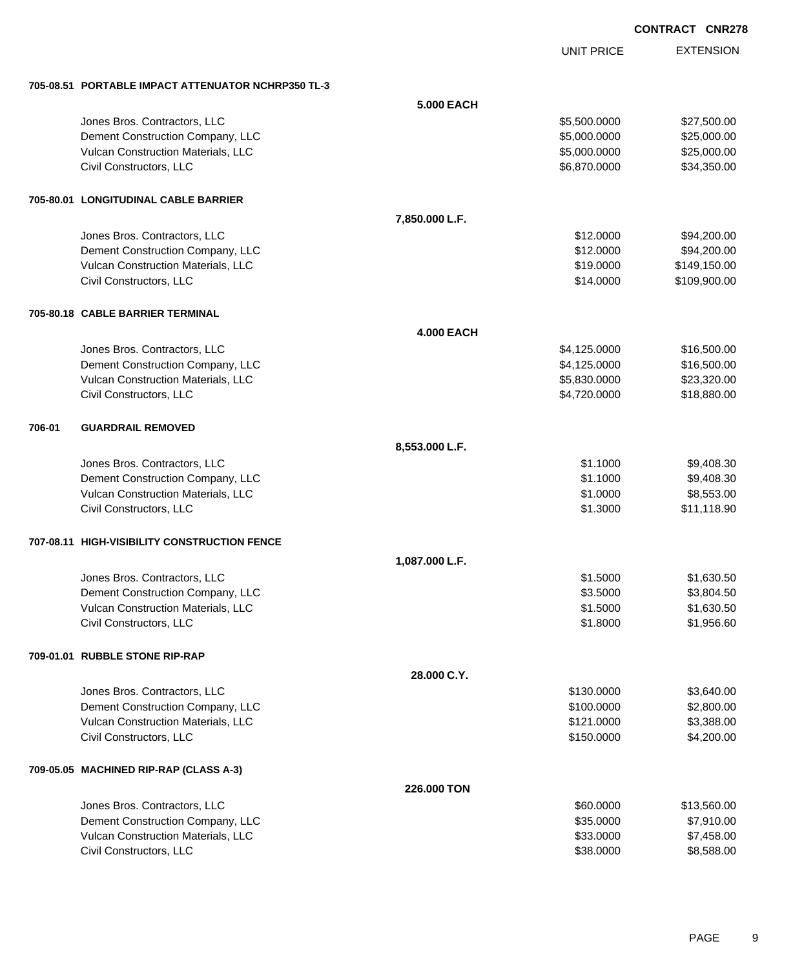UNIT PRICE

EXTENSION

**705-08.51 PORTABLE IMPACT ATTENUATOR NCHRP350 TL-3**

|        | 705-08.51 PORTABLE IMPACT ATTENUATOR NCHRP350 TL-3 |                    |              |              |
|--------|----------------------------------------------------|--------------------|--------------|--------------|
|        |                                                    | 5.000 EACH         |              |              |
|        | Jones Bros. Contractors, LLC                       |                    | \$5,500.0000 | \$27,500.00  |
|        | Dement Construction Company, LLC                   |                    | \$5,000.0000 | \$25,000.00  |
|        | Vulcan Construction Materials, LLC                 |                    | \$5,000.0000 | \$25,000.00  |
|        | Civil Constructors, LLC                            |                    | \$6,870.0000 | \$34,350.00  |
|        | 705-80.01 LONGITUDINAL CABLE BARRIER               |                    |              |              |
|        |                                                    | 7,850.000 L.F.     |              |              |
|        | Jones Bros. Contractors, LLC                       |                    | \$12.0000    | \$94,200.00  |
|        | Dement Construction Company, LLC                   |                    | \$12.0000    | \$94,200.00  |
|        | Vulcan Construction Materials, LLC                 |                    | \$19.0000    | \$149,150.00 |
|        | Civil Constructors, LLC                            |                    | \$14.0000    | \$109,900.00 |
|        | 705-80.18 CABLE BARRIER TERMINAL                   |                    |              |              |
|        |                                                    | <b>4.000 EACH</b>  |              |              |
|        | Jones Bros. Contractors, LLC                       |                    | \$4,125.0000 | \$16,500.00  |
|        | Dement Construction Company, LLC                   |                    | \$4,125.0000 | \$16,500.00  |
|        | Vulcan Construction Materials, LLC                 |                    | \$5,830.0000 | \$23,320.00  |
|        | Civil Constructors, LLC                            |                    | \$4,720.0000 | \$18,880.00  |
| 706-01 | <b>GUARDRAIL REMOVED</b>                           |                    |              |              |
|        |                                                    | 8,553.000 L.F.     |              |              |
|        | Jones Bros. Contractors, LLC                       |                    | \$1.1000     | \$9,408.30   |
|        | Dement Construction Company, LLC                   |                    | \$1.1000     | \$9,408.30   |
|        | Vulcan Construction Materials, LLC                 |                    | \$1.0000     | \$8,553.00   |
|        | Civil Constructors, LLC                            |                    | \$1.3000     | \$11,118.90  |
|        | 707-08.11 HIGH-VISIBILITY CONSTRUCTION FENCE       |                    |              |              |
|        |                                                    | 1,087.000 L.F.     |              |              |
|        | Jones Bros. Contractors, LLC                       |                    | \$1.5000     | \$1,630.50   |
|        | Dement Construction Company, LLC                   |                    | \$3.5000     | \$3,804.50   |
|        | Vulcan Construction Materials, LLC                 |                    | \$1.5000     | \$1,630.50   |
|        | Civil Constructors, LLC                            |                    | \$1.8000     | \$1,956.60   |
|        | 709-01.01 RUBBLE STONE RIP-RAP                     |                    |              |              |
|        |                                                    | 28,000 C.Y.        |              |              |
|        | Jones Bros. Contractors, LLC                       |                    | \$130.0000   | \$3,640.00   |
|        | Dement Construction Company, LLC                   |                    | \$100.0000   | \$2,800.00   |
|        | Vulcan Construction Materials, LLC                 |                    | \$121.0000   | \$3,388.00   |
|        | Civil Constructors, LLC                            |                    | \$150.0000   | \$4,200.00   |
|        | 709-05.05 MACHINED RIP-RAP (CLASS A-3)             |                    |              |              |
|        |                                                    | <b>226.000 TON</b> |              |              |
|        | Jones Bros. Contractors, LLC                       |                    | \$60.0000    | \$13,560.00  |
|        | Dement Construction Company, LLC                   |                    | \$35.0000    | \$7,910.00   |
|        | Vulcan Construction Materials, LLC                 |                    | \$33.0000    | \$7,458.00   |
|        | Civil Constructors, LLC                            |                    | \$38.0000    | \$8,588.00   |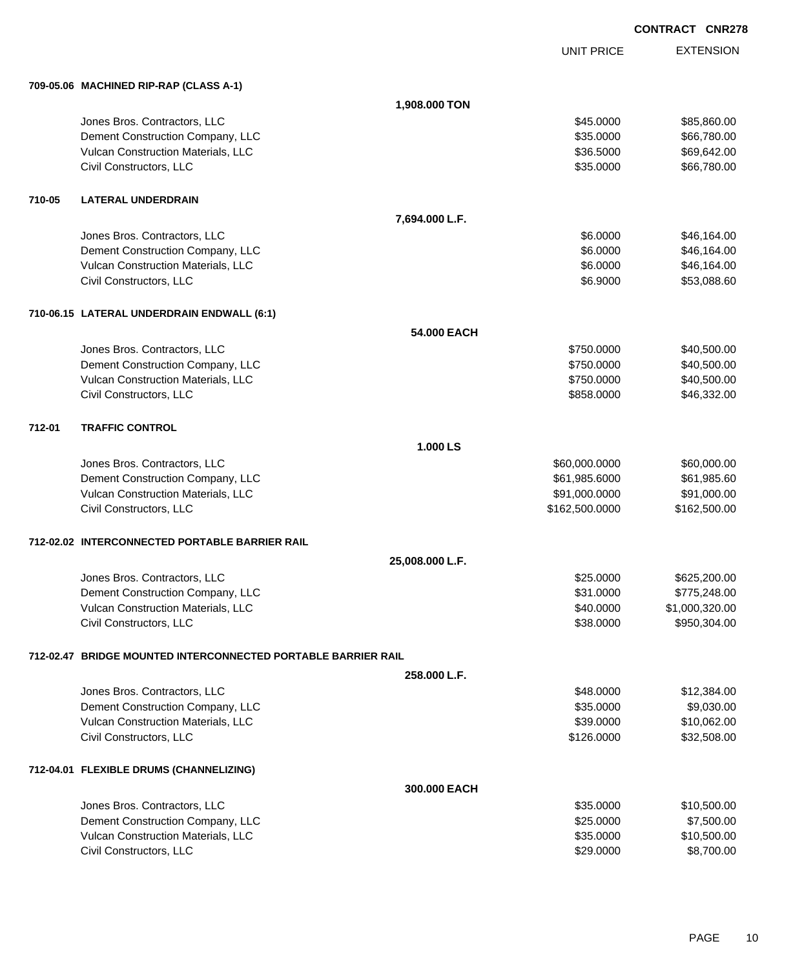EXTENSION **CONTRACT CNR278** UNIT PRICE **709-05.06 MACHINED RIP-RAP (CLASS A-1) 1,908.000 TON** dones Bros. Contractors, LLC 60000 \$85,860.00 Dement Construction Company, LLC 6. The matrix of the state of the state of the state of the state of the state of the state of the state of the state of the state of the state of the state of the state of the state of the Vulcan Construction Materials, LLC \$36.5000 \$69,642.00 Civil Constructors, LLC 666,780.00 **710-05 LATERAL UNDERDRAIN 7,694.000 L.F.** Jones Bros. Contractors, LLC \$6.0000 \$46,164.00 Dement Construction Company, LLC 66.000 \$46,164.00 Vulcan Construction Materials, LLC 66,164.00 Civil Constructors, LLC 6.6000 \$53,088.60 **710-06.15 LATERAL UNDERDRAIN ENDWALL (6:1) 54.000 EACH** Jones Bros. Contractors, LLC \$750.0000 \$40,500.00 Dement Construction Company, LLC  $$750.0000$   $$40,500.00$ Vulcan Construction Materials, LLC 60000 \$40,500.00 Civil Constructors, LLC 646,332.00 **712-01 TRAFFIC CONTROL 1.000 LS** Jones Bros. Contractors, LLC \$60,000.0000 \$60,000.00 Dement Construction Company, LLC 61,985.6000 \$61,985.6000 \$61,985.6000 \$61,985.600 Vulcan Construction Materials, LLC 600000 \$91,000.000 \$91,000.000 \$91,000.000 Civil Constructors, LLC 6. 2012 12:00:000 \$162,500.000 \$162,500.000 \$162,500.000 \$162,500.000 \$162,500.00 **712-02.02 INTERCONNECTED PORTABLE BARRIER RAIL 25,008.000 L.F.** Jones Bros. Contractors, LLC \$25.0000 \$625,200.00 Dement Construction Company, LLC 6. The construction Company, LLC 6. The construction Company, LLC 6. The construction of the construction of the construction Company, LLC 6. The construction of the construction of the con Vulcan Construction Materials, LLC 60000 \$1,000,320.00 Civil Constructors, LLC 6. 2012 12:00 12:00 13950,304.00 **712-02.47 BRIDGE MOUNTED INTERCONNECTED PORTABLE BARRIER RAIL 258.000 L.F.** Jones Bros. Contractors, LLC \$48.0000 \$12,384.00 Dement Construction Company, LLC 6. The matrix of the state of the state of the state of the state of the state of the state of the state of the state of the state of the state of the state of the state of the state of the Vulcan Construction Materials, LLC 66 and the state of the state of the state of the state of the state of the state of the state of the state of the state of the state of the state of the state of the state of the state o Civil Constructors, LLC 632,508.00 **712-04.01 FLEXIBLE DRUMS (CHANNELIZING) 300.000 EACH**

| Jones Bros. Contractors, LLC              | \$35,0000 | \$10,500.00 |
|-------------------------------------------|-----------|-------------|
| Dement Construction Company, LLC          | \$25,0000 | \$7,500.00  |
| <b>Vulcan Construction Materials, LLC</b> | \$35,0000 | \$10,500.00 |
| Civil Constructors, LLC                   | \$29,0000 | \$8,700.00  |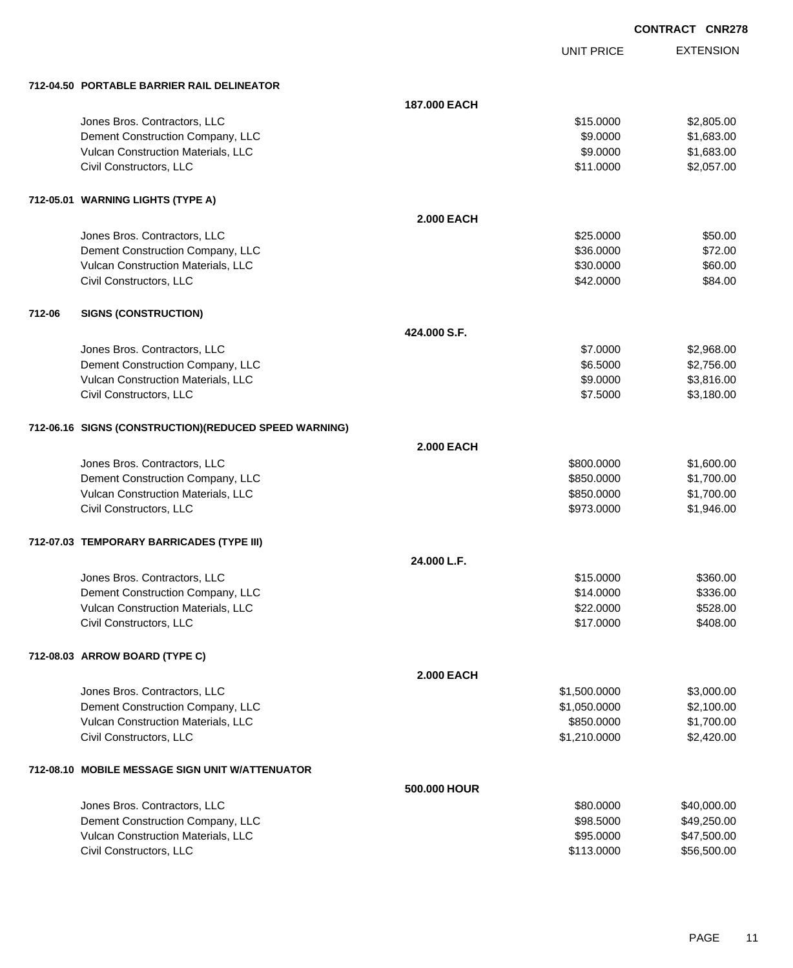|        |                                                       |                   | <b>UNIT PRICE</b> | <b>EXTENSION</b> |
|--------|-------------------------------------------------------|-------------------|-------------------|------------------|
|        | 712-04.50 PORTABLE BARRIER RAIL DELINEATOR            |                   |                   |                  |
|        |                                                       | 187,000 EACH      |                   |                  |
|        | Jones Bros. Contractors, LLC                          |                   | \$15.0000         | \$2,805.00       |
|        | Dement Construction Company, LLC                      |                   | \$9.0000          | \$1,683.00       |
|        | Vulcan Construction Materials, LLC                    |                   | \$9.0000          | \$1,683.00       |
|        | Civil Constructors, LLC                               |                   | \$11.0000         | \$2,057.00       |
|        | 712-05.01 WARNING LIGHTS (TYPE A)                     |                   |                   |                  |
|        |                                                       | <b>2.000 EACH</b> |                   |                  |
|        | Jones Bros. Contractors, LLC                          |                   | \$25.0000         | \$50.00          |
|        | Dement Construction Company, LLC                      |                   | \$36.0000         | \$72.00          |
|        | Vulcan Construction Materials, LLC                    |                   | \$30.0000         | \$60.00          |
|        | Civil Constructors, LLC                               |                   | \$42.0000         | \$84.00          |
| 712-06 | <b>SIGNS (CONSTRUCTION)</b>                           |                   |                   |                  |
|        |                                                       | 424,000 S.F.      |                   |                  |
|        | Jones Bros. Contractors, LLC                          |                   | \$7.0000          | \$2,968.00       |
|        | Dement Construction Company, LLC                      |                   | \$6.5000          | \$2,756.00       |
|        | Vulcan Construction Materials, LLC                    |                   | \$9.0000          | \$3,816.00       |
|        | Civil Constructors, LLC                               |                   | \$7.5000          | \$3,180.00       |
|        | 712-06.16 SIGNS (CONSTRUCTION)(REDUCED SPEED WARNING) |                   |                   |                  |
|        |                                                       | <b>2.000 EACH</b> |                   |                  |
|        | Jones Bros. Contractors, LLC                          |                   | \$800.0000        | \$1,600.00       |
|        | Dement Construction Company, LLC                      |                   | \$850.0000        | \$1,700.00       |
|        | Vulcan Construction Materials, LLC                    |                   | \$850.0000        | \$1,700.00       |
|        | Civil Constructors, LLC                               |                   | \$973.0000        | \$1,946.00       |
|        | 712-07.03 TEMPORARY BARRICADES (TYPE III)             |                   |                   |                  |
|        |                                                       | 24.000 L.F.       |                   |                  |
|        | Jones Bros. Contractors, LLC                          |                   | \$15,0000         | \$360.00         |
|        | Dement Construction Company, LLC                      |                   | \$14.0000         | \$336.00         |
|        | Vulcan Construction Materials, LLC                    |                   | \$22.0000         | \$528.00         |
|        | Civil Constructors, LLC                               |                   | \$17.0000         | \$408.00         |
|        | 712-08.03 ARROW BOARD (TYPE C)                        |                   |                   |                  |
|        |                                                       | <b>2.000 EACH</b> |                   |                  |
|        | Jones Bros. Contractors, LLC                          |                   | \$1,500.0000      | \$3,000.00       |
|        | Dement Construction Company, LLC                      |                   | \$1,050.0000      | \$2,100.00       |
|        | Vulcan Construction Materials, LLC                    |                   | \$850.0000        | \$1,700.00       |
|        | Civil Constructors, LLC                               |                   | \$1,210.0000      | \$2,420.00       |
|        | 712-08.10 MOBILE MESSAGE SIGN UNIT W/ATTENUATOR       |                   |                   |                  |
|        |                                                       | 500.000 HOUR      |                   |                  |
|        | Jones Bros. Contractors, LLC                          |                   | \$80.0000         | \$40,000.00      |
|        | Dement Construction Company, LLC                      |                   | \$98.5000         | \$49,250.00      |
|        | Vulcan Construction Materials, LLC                    |                   | \$95.0000         | \$47,500.00      |

Civil Constructors, LLC 656,500.00 \$56,500.00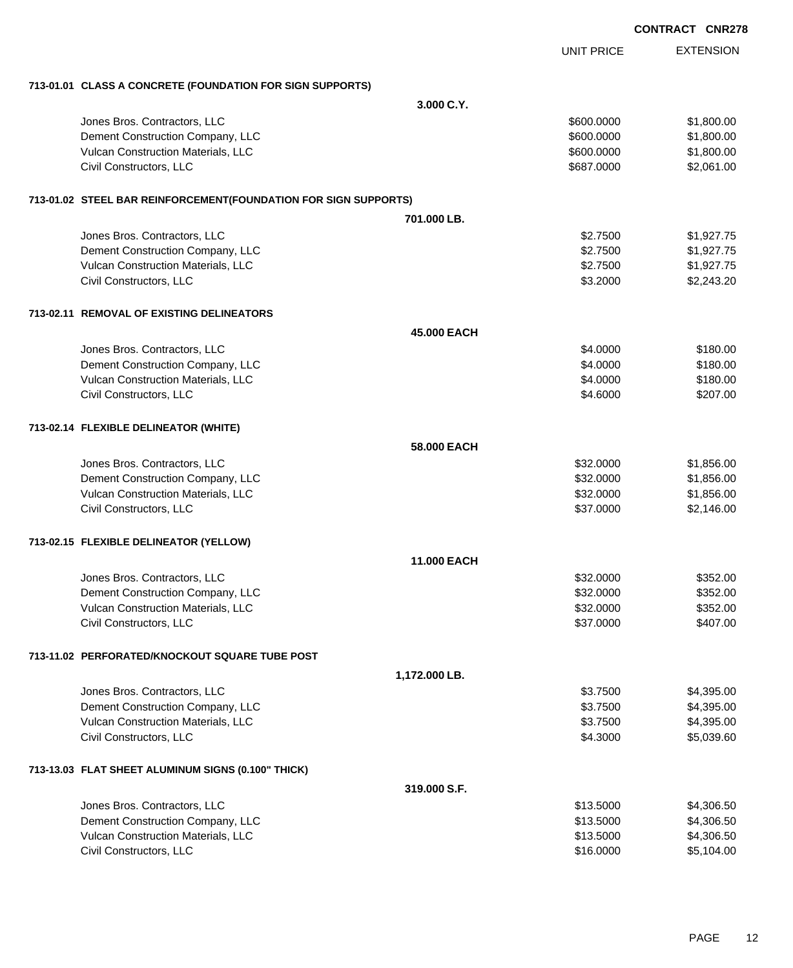|                                                                 |                    |                   | <b>CONTRACT CNR27</b> |
|-----------------------------------------------------------------|--------------------|-------------------|-----------------------|
|                                                                 |                    | <b>UNIT PRICE</b> | <b>EXTENSION</b>      |
| 713-01.01 CLASS A CONCRETE (FOUNDATION FOR SIGN SUPPORTS)       |                    |                   |                       |
|                                                                 | 3.000 C.Y.         |                   |                       |
| Jones Bros. Contractors, LLC                                    |                    | \$600.0000        | \$1,800.00            |
| Dement Construction Company, LLC                                |                    | \$600.0000        | \$1,800.00            |
| Vulcan Construction Materials, LLC                              |                    | \$600.0000        | \$1,800.00            |
| Civil Constructors, LLC                                         |                    | \$687.0000        | \$2,061.00            |
| 713-01.02 STEEL BAR REINFORCEMENT(FOUNDATION FOR SIGN SUPPORTS) |                    |                   |                       |
|                                                                 | 701.000 LB.        |                   |                       |
| Jones Bros. Contractors, LLC                                    |                    | \$2.7500          | \$1,927.75            |
| Dement Construction Company, LLC                                |                    | \$2.7500          | \$1,927.75            |
| Vulcan Construction Materials, LLC                              |                    | \$2.7500          | \$1,927.75            |
| Civil Constructors, LLC                                         |                    | \$3.2000          | \$2,243.20            |
| 713-02.11 REMOVAL OF EXISTING DELINEATORS                       |                    |                   |                       |
|                                                                 | 45.000 EACH        |                   |                       |
| Jones Bros. Contractors, LLC                                    |                    | \$4.0000          | \$180.00              |
| Dement Construction Company, LLC                                |                    | \$4.0000          | \$180.00              |
| Vulcan Construction Materials, LLC                              |                    | \$4.0000          | \$180.00              |
| Civil Constructors, LLC                                         |                    | \$4.6000          | \$207.00              |
| 713-02.14 FLEXIBLE DELINEATOR (WHITE)                           |                    |                   |                       |
|                                                                 | 58,000 EACH        |                   |                       |
| Jones Bros. Contractors, LLC                                    |                    | \$32.0000         | \$1,856.00            |
| Dement Construction Company, LLC                                |                    | \$32.0000         | \$1,856.00            |
| Vulcan Construction Materials, LLC                              |                    | \$32.0000         | \$1,856.00            |
| Civil Constructors, LLC                                         |                    | \$37.0000         | \$2,146.00            |
| 713-02.15 FLEXIBLE DELINEATOR (YELLOW)                          |                    |                   |                       |
|                                                                 | <b>11.000 EACH</b> |                   |                       |
| Jones Bros. Contractors, LLC                                    |                    | \$32.0000         | \$352.00              |
| Dement Construction Company, LLC                                |                    | \$32.0000         | \$352.00              |
| Vulcan Construction Materials, LLC                              |                    | \$32.0000         | \$352.00              |
| Civil Constructors, LLC                                         |                    | \$37.0000         | \$407.00              |
| 713-11.02 PERFORATED/KNOCKOUT SQUARE TUBE POST                  |                    |                   |                       |
|                                                                 | 1,172.000 LB.      |                   |                       |
| Jones Bros. Contractors, LLC                                    |                    | \$3.7500          | \$4,395.00            |
| Dement Construction Company, LLC                                |                    | \$3.7500          | \$4,395.00            |
| Vulcan Construction Materials, LLC                              |                    | \$3.7500          | \$4,395.00            |
| Civil Constructors, LLC                                         |                    | \$4.3000          | \$5,039.60            |
| 713-13.03 FLAT SHEET ALUMINUM SIGNS (0.100" THICK)              |                    |                   |                       |
|                                                                 | 319.000 S.F.       |                   |                       |
| Jones Bros. Contractors, LLC                                    |                    | \$13.5000         | \$4,306.50            |
| Dement Construction Company, LLC                                |                    | \$13.5000         | \$4,306.50            |
| Vulcan Construction Materials, LLC                              |                    | \$13.5000         | \$4,306.50            |
| Civil Constructors, LLC                                         |                    | \$16.0000         | \$5,104.00            |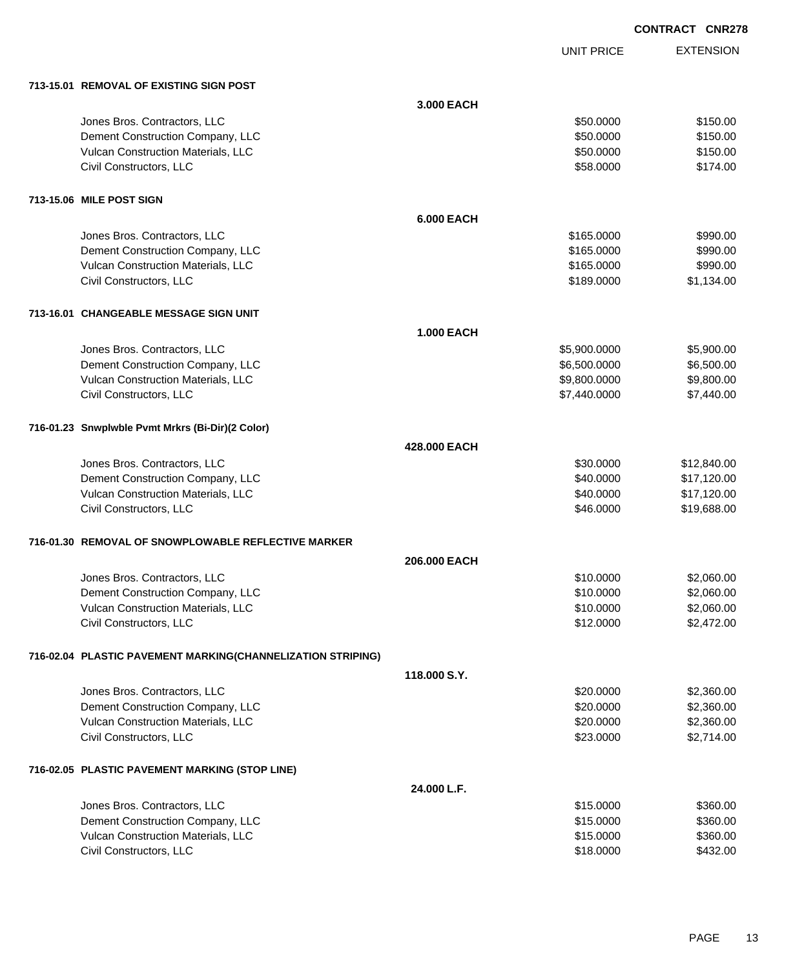|                                                             |                   | <b>UNIT PRICE</b> | <b>EXTENSION</b> |
|-------------------------------------------------------------|-------------------|-------------------|------------------|
| 713-15.01 REMOVAL OF EXISTING SIGN POST                     |                   |                   |                  |
|                                                             | 3.000 EACH        |                   |                  |
| Jones Bros. Contractors, LLC                                |                   | \$50.0000         | \$150.00         |
| Dement Construction Company, LLC                            |                   | \$50.0000         | \$150.00         |
| Vulcan Construction Materials, LLC                          |                   | \$50.0000         | \$150.00         |
| Civil Constructors, LLC                                     |                   | \$58.0000         | \$174.00         |
| 713-15.06 MILE POST SIGN                                    |                   |                   |                  |
|                                                             | <b>6.000 EACH</b> |                   |                  |
| Jones Bros. Contractors, LLC                                |                   | \$165.0000        | \$990.00         |
| Dement Construction Company, LLC                            |                   | \$165.0000        | \$990.00         |
| Vulcan Construction Materials, LLC                          |                   | \$165.0000        | \$990.00         |
| Civil Constructors, LLC                                     |                   | \$189.0000        | \$1,134.00       |
| 713-16.01 CHANGEABLE MESSAGE SIGN UNIT                      |                   |                   |                  |
|                                                             | <b>1.000 EACH</b> |                   |                  |
| Jones Bros. Contractors, LLC                                |                   | \$5,900.0000      | \$5,900.00       |
| Dement Construction Company, LLC                            |                   | \$6,500.0000      | \$6,500.00       |
| Vulcan Construction Materials, LLC                          |                   | \$9,800.0000      | \$9,800.00       |
| Civil Constructors, LLC                                     |                   | \$7,440.0000      | \$7,440.00       |
| 716-01.23 Snwplwble Pvmt Mrkrs (Bi-Dir)(2 Color)            |                   |                   |                  |
|                                                             | 428,000 EACH      |                   |                  |
| Jones Bros. Contractors, LLC                                |                   | \$30.0000         | \$12,840.00      |
| Dement Construction Company, LLC                            |                   | \$40.0000         | \$17,120.00      |
| Vulcan Construction Materials, LLC                          |                   | \$40.0000         | \$17,120.00      |
| Civil Constructors, LLC                                     |                   | \$46.0000         | \$19,688.00      |
| 716-01.30 REMOVAL OF SNOWPLOWABLE REFLECTIVE MARKER         |                   |                   |                  |
|                                                             | 206.000 EACH      |                   |                  |
| Jones Bros. Contractors, LLC                                |                   | \$10.0000         | \$2,060.00       |
| Dement Construction Company, LLC                            |                   | \$10.0000         | \$2,060.00       |
| Vulcan Construction Materials, LLC                          |                   | \$10.0000         | \$2,060.00       |
| Civil Constructors, LLC                                     |                   | \$12.0000         | \$2,472.00       |
| 716-02.04 PLASTIC PAVEMENT MARKING(CHANNELIZATION STRIPING) |                   |                   |                  |
|                                                             | 118,000 S.Y.      |                   |                  |
| Jones Bros. Contractors, LLC                                |                   | \$20.0000         | \$2,360.00       |
| Dement Construction Company, LLC                            |                   | \$20.0000         | \$2,360.00       |
| Vulcan Construction Materials, LLC                          |                   | \$20.0000         | \$2,360.00       |
| Civil Constructors, LLC                                     |                   | \$23.0000         | \$2,714.00       |
| 716-02.05 PLASTIC PAVEMENT MARKING (STOP LINE)              |                   |                   |                  |
|                                                             | 24.000 L.F.       |                   |                  |
| Jones Bros. Contractors, LLC                                |                   | \$15.0000         | \$360.00         |
| Dement Construction Company, LLC                            |                   | \$15.0000         | \$360.00         |
| Vulcan Construction Materials, LLC                          |                   | \$15.0000         | \$360.00         |
| Civil Constructors, LLC                                     |                   | \$18.0000         | \$432.00         |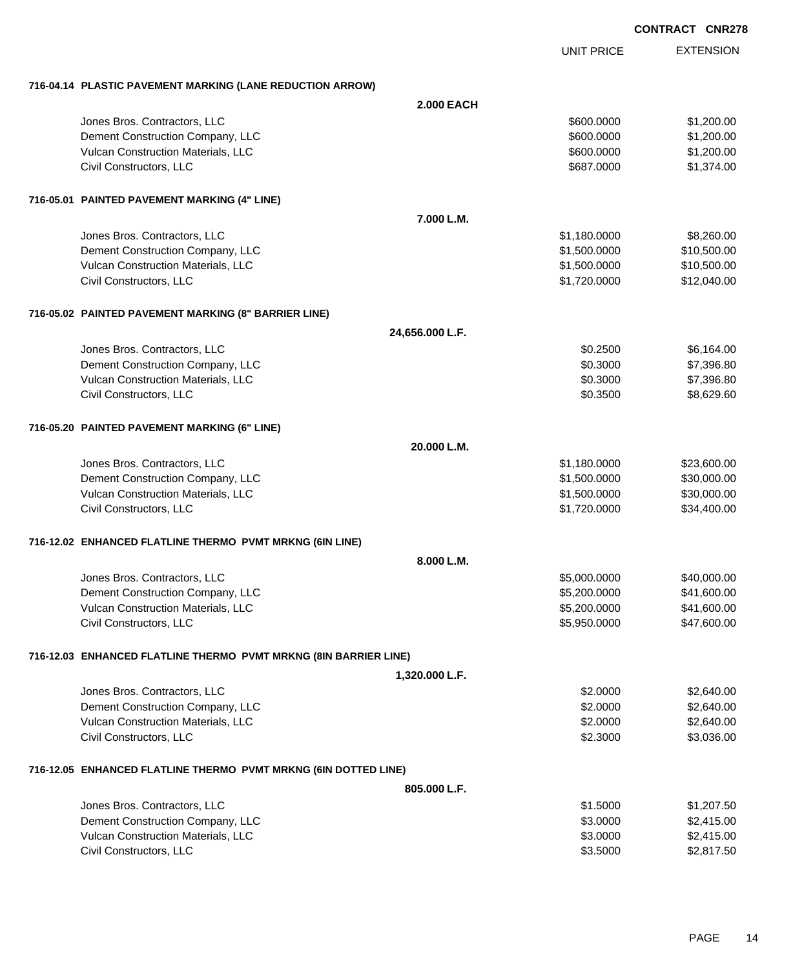| <b>CONTRACT CNR278</b> |  |
|------------------------|--|
|------------------------|--|

EXTENSION UNIT PRICE **716-04.14 PLASTIC PAVEMENT MARKING (LANE REDUCTION ARROW) 2.000 EACH** dones Bros. Contractors, LLC 600.000 \$1,200.00 \$1,200.00 \$1,200.00 \$1,200.00 \$1,200.00 \$1,200.00 \$1,200.00 \$1,200.00 \$1,200.00 \$1,200.00 \$1,200.00 \$1,200.00 \$1,200.00 \$1,200.00 \$1,200.00 \$1,200.00 \$1,200.00 \$1,200.00 \$1,20 Dement Construction Company, LLC 600000 \$1,200.000 \$1,200.000 \$1,200.000 Vulcan Construction Materials, LLC 600000 \$1,200.000 \$1,200.000 \$1,200.000 Civil Constructors, LLC 687.0000 \$1,374.00 **716-05.01 PAINTED PAVEMENT MARKING (4" LINE) 7.000 L.M.** Jones Bros. Contractors, LLC \$1,180.0000 \$8,260.00 Dement Construction Company, LLC  $$1,500.0000$   $$10,500.00$ Vulcan Construction Materials, LLC 60000 \$10,500.000 \$10,500.000 \$10,500.000 \$10,500.00 Civil Constructors, LLC \$1,720.0000 \$12,040.00 **716-05.02 PAINTED PAVEMENT MARKING (8" BARRIER LINE) 24,656.000 L.F.** dones Bros. Contractors, LLC 6.164.00 Dement Construction Company, LLC 60.3000 \$7,396.80 Vulcan Construction Materials, LLC 60.3000 \$7,396.80 Civil Constructors, LLC 68,629.60 **716-05.20 PAINTED PAVEMENT MARKING (6" LINE) 20.000 L.M.** Jones Bros. Contractors, LLC \$1,180.0000 \$23,600.00 Dement Construction Company, LLC 6. The matrix of the state of the state  $$1,500.0000$  \$30,000.00 Vulcan Construction Materials, LLC 600000 \$30,000.000 \$30,000.000 \$30,000.00 Civil Constructors, LLC \$1,720.0000 \$34,400.00 **716-12.02 ENHANCED FLATLINE THERMO PVMT MRKNG (6IN LINE) 8.000 L.M.** Jones Bros. Contractors, LLC \$5,000.0000 \$40,000.00 Dement Construction Company, LLC 66, 200.000 \$5,200.0000 \$41,600.00 Vulcan Construction Materials, LLC 600.000 \$41,600.00 \$41,600.00 Civil Constructors, LLC 647,600.00 **716-12.03 ENHANCED FLATLINE THERMO PVMT MRKNG (8IN BARRIER LINE) 1,320.000 L.F.** Jones Bros. Contractors, LLC \$2.0000 \$2,640.00 Dement Construction Company, LLC 6.000 \$2.0000 \$2,640.00 Vulcan Construction Materials, LLC 60000 \$2,640.00 Civil Constructors, LLC 6.000 \$3,036.00 **716-12.05 ENHANCED FLATLINE THERMO PVMT MRKNG (6IN DOTTED LINE) 805.000 L.F.** Jones Bros. Contractors, LLC \$1.5000 \$1,207.50 Dement Construction Company, LLC 6 and the state of the state of the state of the state of the state of the state of the state of the state of the state of the state of the state of the state of the state of the state of t Vulcan Construction Materials, LLC 6. The Construction Materials, LLC 63.0000 \$2,415.00 Civil Constructors, LLC 63.5000 \$2,817.50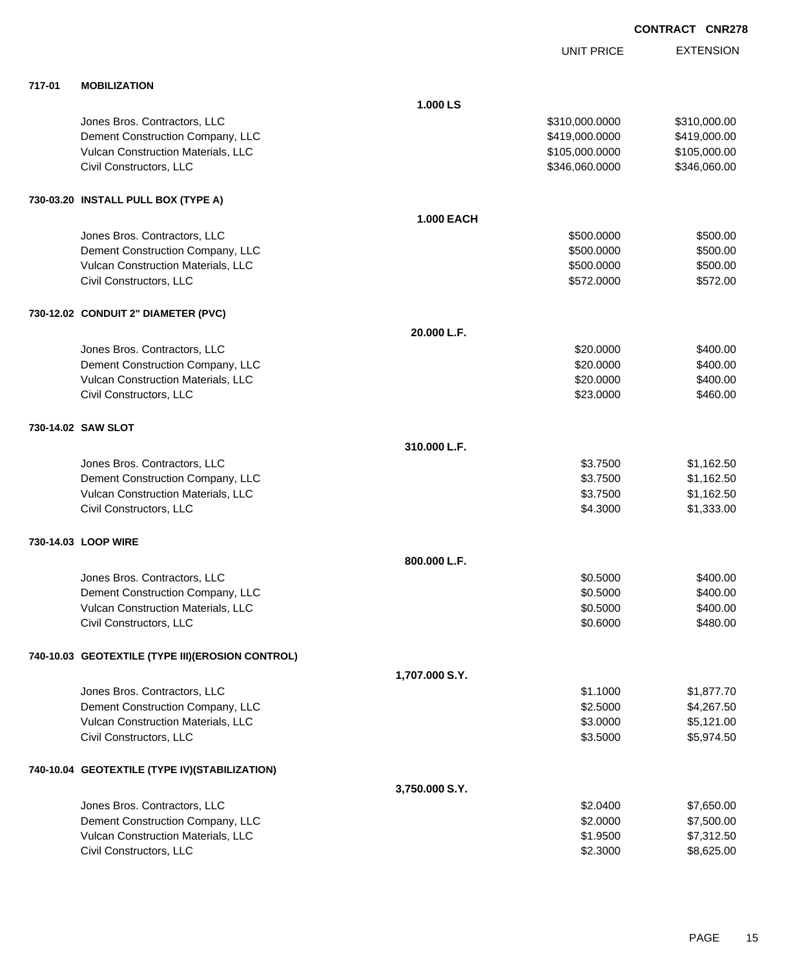|        |                                                   |                   | <b>UNIT PRICE</b> | <b>EXTENSION</b> |
|--------|---------------------------------------------------|-------------------|-------------------|------------------|
| 717-01 | <b>MOBILIZATION</b>                               |                   |                   |                  |
|        |                                                   | 1.000 LS          |                   |                  |
|        | Jones Bros. Contractors, LLC                      |                   | \$310,000.0000    | \$310,000.00     |
|        | Dement Construction Company, LLC                  |                   | \$419,000.0000    | \$419,000.00     |
|        | Vulcan Construction Materials, LLC                |                   | \$105,000.0000    | \$105,000.00     |
|        | Civil Constructors, LLC                           |                   | \$346,060.0000    | \$346,060.00     |
|        | 730-03.20 INSTALL PULL BOX (TYPE A)               |                   |                   |                  |
|        |                                                   | <b>1.000 EACH</b> |                   |                  |
|        | Jones Bros. Contractors, LLC                      |                   | \$500.0000        | \$500.00         |
|        | Dement Construction Company, LLC                  |                   | \$500.0000        | \$500.00         |
|        | Vulcan Construction Materials, LLC                |                   | \$500.0000        | \$500.00         |
|        | Civil Constructors, LLC                           |                   | \$572.0000        | \$572.00         |
|        | 730-12.02 CONDUIT 2" DIAMETER (PVC)               |                   |                   |                  |
|        |                                                   | 20.000 L.F.       |                   |                  |
|        | Jones Bros. Contractors, LLC                      |                   | \$20.0000         | \$400.00         |
|        | Dement Construction Company, LLC                  |                   | \$20.0000         | \$400.00         |
|        | Vulcan Construction Materials, LLC                |                   | \$20.0000         | \$400.00         |
|        | Civil Constructors, LLC                           |                   | \$23.0000         | \$460.00         |
|        | 730-14.02 SAW SLOT                                |                   |                   |                  |
|        |                                                   | 310.000 L.F.      |                   |                  |
|        | Jones Bros. Contractors, LLC                      |                   | \$3.7500          | \$1,162.50       |
|        | Dement Construction Company, LLC                  |                   | \$3.7500          | \$1,162.50       |
|        | Vulcan Construction Materials, LLC                |                   | \$3.7500          | \$1,162.50       |
|        | Civil Constructors, LLC                           |                   | \$4.3000          | \$1,333.00       |
|        | 730-14.03 LOOP WIRE                               |                   |                   |                  |
|        |                                                   | 800.000 L.F.      |                   |                  |
|        | Jones Bros. Contractors, LLC                      |                   | \$0.5000          | \$400.00         |
|        | Dement Construction Company, LLC                  |                   | \$0.5000          | \$400.00         |
|        | Vulcan Construction Materials, LLC                |                   | \$0.5000          | \$400.00         |
|        | Civil Constructors, LLC                           |                   | \$0.6000          | \$480.00         |
|        | 740-10.03 GEOTEXTILE (TYPE III) (EROSION CONTROL) |                   |                   |                  |
|        |                                                   | 1,707.000 S.Y.    |                   |                  |
|        | Jones Bros. Contractors, LLC                      |                   | \$1.1000          | \$1,877.70       |
|        | Dement Construction Company, LLC                  |                   | \$2.5000          | \$4,267.50       |
|        | Vulcan Construction Materials, LLC                |                   | \$3.0000          | \$5,121.00       |
|        | Civil Constructors, LLC                           |                   | \$3.5000          | \$5,974.50       |
|        | 740-10.04 GEOTEXTILE (TYPE IV) (STABILIZATION)    |                   |                   |                  |
|        |                                                   | 3,750.000 S.Y.    |                   |                  |
|        | Jones Bros. Contractors, LLC                      |                   | \$2.0400          | \$7,650.00       |
|        | Dement Construction Company, LLC                  |                   | \$2.0000          | \$7,500.00       |
|        | Vulcan Construction Materials, LLC                |                   | \$1.9500          | \$7,312.50       |
|        | Civil Constructors, LLC                           |                   | \$2.3000          | \$8,625.00       |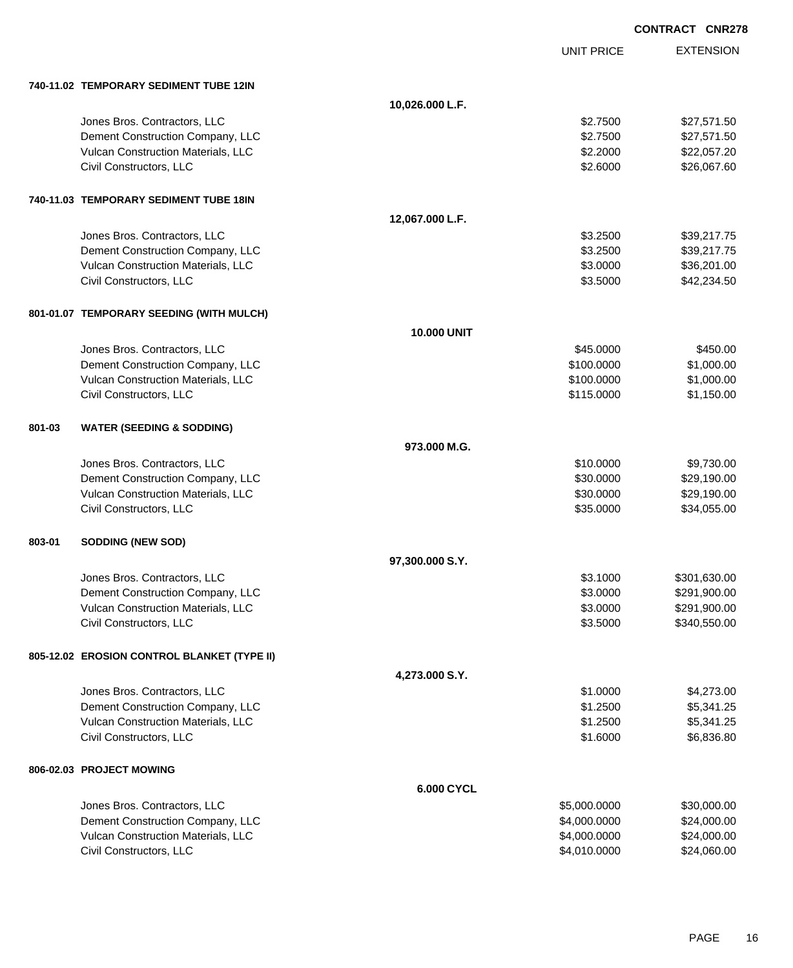|        |                                             |                    |                   | <b>CONTRACT CNR278</b> |
|--------|---------------------------------------------|--------------------|-------------------|------------------------|
|        |                                             |                    | <b>UNIT PRICE</b> | <b>EXTENSION</b>       |
|        | 740-11.02 TEMPORARY SEDIMENT TUBE 12IN      |                    |                   |                        |
|        |                                             | 10,026.000 L.F.    |                   |                        |
|        | Jones Bros. Contractors, LLC                |                    | \$2.7500          | \$27,571.50            |
|        | Dement Construction Company, LLC            |                    | \$2.7500          | \$27,571.50            |
|        | Vulcan Construction Materials, LLC          |                    | \$2.2000          | \$22,057.20            |
|        | Civil Constructors, LLC                     |                    | \$2.6000          | \$26,067.60            |
|        | 740-11.03 TEMPORARY SEDIMENT TUBE 18IN      |                    |                   |                        |
|        |                                             | 12,067.000 L.F.    |                   |                        |
|        | Jones Bros. Contractors, LLC                |                    | \$3.2500          | \$39,217.75            |
|        | Dement Construction Company, LLC            |                    | \$3.2500          | \$39,217.75            |
|        | Vulcan Construction Materials, LLC          |                    | \$3.0000          | \$36,201.00            |
|        | Civil Constructors, LLC                     |                    | \$3.5000          | \$42,234.50            |
|        | 801-01.07 TEMPORARY SEEDING (WITH MULCH)    |                    |                   |                        |
|        |                                             | <b>10.000 UNIT</b> |                   |                        |
|        | Jones Bros. Contractors, LLC                |                    | \$45.0000         | \$450.00               |
|        | Dement Construction Company, LLC            |                    | \$100.0000        | \$1,000.00             |
|        | Vulcan Construction Materials, LLC          |                    | \$100.0000        | \$1,000.00             |
|        | Civil Constructors, LLC                     |                    | \$115.0000        | \$1,150.00             |
| 801-03 | <b>WATER (SEEDING &amp; SODDING)</b>        |                    |                   |                        |
|        |                                             | 973,000 M.G.       |                   |                        |
|        | Jones Bros. Contractors, LLC                |                    | \$10.0000         | \$9,730.00             |
|        | Dement Construction Company, LLC            |                    | \$30.0000         | \$29,190.00            |
|        | Vulcan Construction Materials, LLC          |                    | \$30.0000         | \$29,190.00            |
|        | Civil Constructors, LLC                     |                    | \$35.0000         | \$34,055.00            |
| 803-01 | <b>SODDING (NEW SOD)</b>                    |                    |                   |                        |
|        |                                             | 97,300.000 S.Y.    |                   |                        |
|        | Jones Bros. Contractors, LLC                |                    | \$3.1000          | \$301,630.00           |
|        | Dement Construction Company, LLC            |                    | \$3.0000          | \$291,900.00           |
|        | Vulcan Construction Materials, LLC          |                    | \$3.0000          | \$291,900.00           |
|        | Civil Constructors, LLC                     |                    | \$3.5000          | \$340,550.00           |
|        | 805-12.02 EROSION CONTROL BLANKET (TYPE II) |                    |                   |                        |
|        |                                             | 4,273.000 S.Y.     |                   |                        |
|        | Jones Bros. Contractors, LLC                |                    | \$1.0000          | \$4,273.00             |
|        | Dement Construction Company, LLC            |                    | \$1.2500          | \$5,341.25             |
|        | Vulcan Construction Materials, LLC          |                    | \$1.2500          | \$5,341.25             |
|        | Civil Constructors, LLC                     |                    | \$1.6000          | \$6,836.80             |
|        | 806-02.03 PROJECT MOWING                    |                    |                   |                        |
|        |                                             | 6.000 CYCL         |                   |                        |
|        | Jones Bros. Contractors, LLC                |                    | \$5,000.0000      | \$30,000.00            |
|        | Dement Construction Company, LLC            |                    | \$4,000.0000      | \$24,000.00            |
|        | Vulcan Construction Materials, LLC          |                    | \$4,000.0000      | \$24,000.00            |
|        | Civil Constructors, LLC                     |                    | \$4,010.0000      | \$24,060.00            |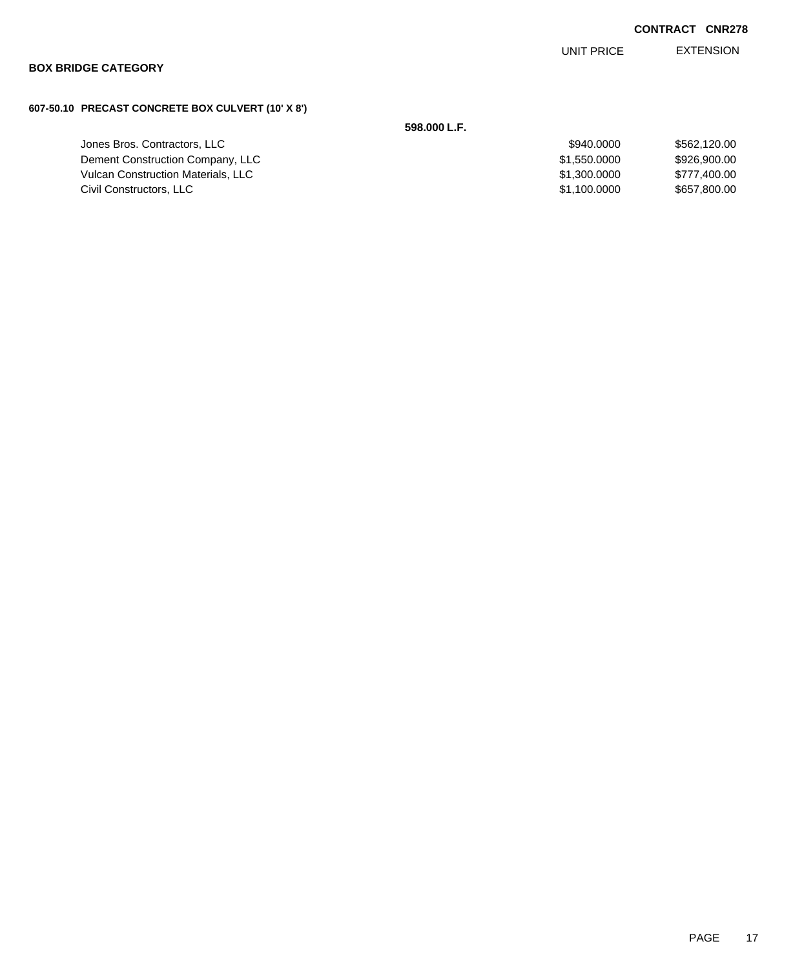UNIT PRICE EXTENSION

## **BOX BRIDGE CATEGORY**

## **607-50.10 PRECAST CONCRETE BOX CULVERT (10' X 8')**

# **598.000 L.F.**

| Jones Bros. Contractors, LLC              | \$940,0000   | \$562,120,00 |
|-------------------------------------------|--------------|--------------|
| Dement Construction Company, LLC          | \$1,550,0000 | \$926,900.00 |
| <b>Vulcan Construction Materials, LLC</b> | \$1,300,0000 | \$777.400.00 |
| Civil Constructors, LLC                   | \$1,100,0000 | \$657,800.00 |
|                                           |              |              |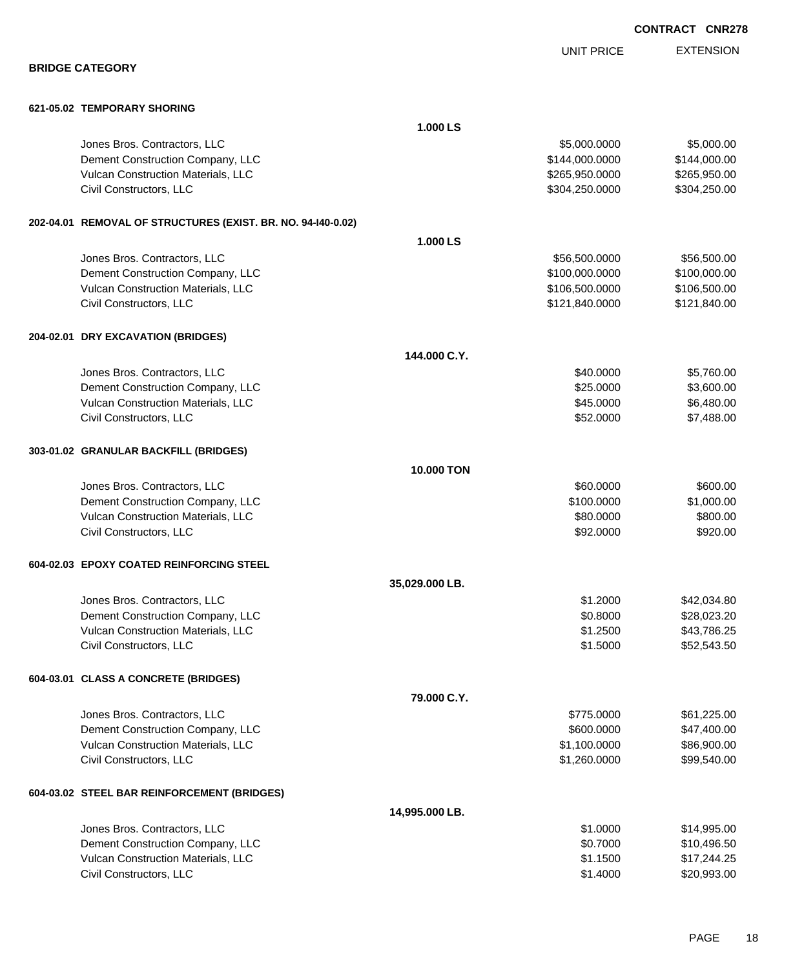|                                                              |                   | <b>UNIT PRICE</b> | <b>EXTENSION</b> |
|--------------------------------------------------------------|-------------------|-------------------|------------------|
| <b>BRIDGE CATEGORY</b>                                       |                   |                   |                  |
| 621-05.02 TEMPORARY SHORING                                  |                   |                   |                  |
|                                                              | 1.000 LS          |                   |                  |
| Jones Bros. Contractors, LLC                                 |                   | \$5,000.0000      | \$5,000.00       |
| Dement Construction Company, LLC                             |                   | \$144,000.0000    | \$144,000.00     |
| Vulcan Construction Materials, LLC                           |                   | \$265,950.0000    | \$265,950.00     |
| Civil Constructors, LLC                                      |                   | \$304,250.0000    | \$304,250.00     |
| 202-04.01 REMOVAL OF STRUCTURES (EXIST. BR. NO. 94-140-0.02) |                   |                   |                  |
|                                                              | 1.000 LS          |                   |                  |
| Jones Bros. Contractors, LLC                                 |                   | \$56,500.0000     | \$56,500.00      |
| Dement Construction Company, LLC                             |                   | \$100,000.0000    | \$100,000.00     |
| Vulcan Construction Materials, LLC                           |                   | \$106,500.0000    | \$106,500.00     |
| Civil Constructors, LLC                                      |                   | \$121,840.0000    | \$121,840.00     |
| 204-02.01 DRY EXCAVATION (BRIDGES)                           |                   |                   |                  |
|                                                              | 144.000 C.Y.      |                   |                  |
| Jones Bros. Contractors, LLC                                 |                   | \$40.0000         | \$5,760.00       |
| Dement Construction Company, LLC                             |                   | \$25.0000         | \$3,600.00       |
| Vulcan Construction Materials, LLC                           |                   | \$45.0000         | \$6,480.00       |
| Civil Constructors, LLC                                      |                   | \$52.0000         | \$7,488.00       |
| 303-01.02 GRANULAR BACKFILL (BRIDGES)                        |                   |                   |                  |
|                                                              | <b>10.000 TON</b> |                   |                  |
| Jones Bros. Contractors, LLC                                 |                   | \$60.0000         | \$600.00         |
| Dement Construction Company, LLC                             |                   | \$100.0000        | \$1,000.00       |
| Vulcan Construction Materials, LLC                           |                   | \$80.0000         | \$800.00         |
| Civil Constructors, LLC                                      |                   | \$92.0000         | \$920.00         |
| 604-02.03 EPOXY COATED REINFORCING STEEL                     |                   |                   |                  |
|                                                              | 35,029.000 LB.    |                   |                  |
| Jones Bros. Contractors, LLC                                 |                   | \$1.2000          | \$42,034.80      |
| Dement Construction Company, LLC                             |                   | \$0.8000          | \$28,023.20      |
| Vulcan Construction Materials, LLC                           |                   | \$1.2500          | \$43,786.25      |
| Civil Constructors, LLC                                      |                   | \$1.5000          | \$52,543.50      |
| 604-03.01 CLASS A CONCRETE (BRIDGES)                         |                   |                   |                  |
|                                                              | 79.000 C.Y.       |                   |                  |
| Jones Bros. Contractors, LLC                                 |                   | \$775.0000        | \$61,225.00      |
| Dement Construction Company, LLC                             |                   | \$600.0000        | \$47,400.00      |
| Vulcan Construction Materials, LLC                           |                   | \$1,100.0000      | \$86,900.00      |
| Civil Constructors, LLC                                      |                   | \$1,260.0000      | \$99,540.00      |
| 604-03.02 STEEL BAR REINFORCEMENT (BRIDGES)                  |                   |                   |                  |

| 14.995.000 LB.                            |          |             |
|-------------------------------------------|----------|-------------|
| Jones Bros. Contractors, LLC              | \$1,0000 | \$14.995.00 |
| Dement Construction Company, LLC          | \$0.7000 | \$10.496.50 |
| <b>Vulcan Construction Materials, LLC</b> | \$1.1500 | \$17.244.25 |
| Civil Constructors, LLC                   | \$1,4000 | \$20,993.00 |

EXTENSION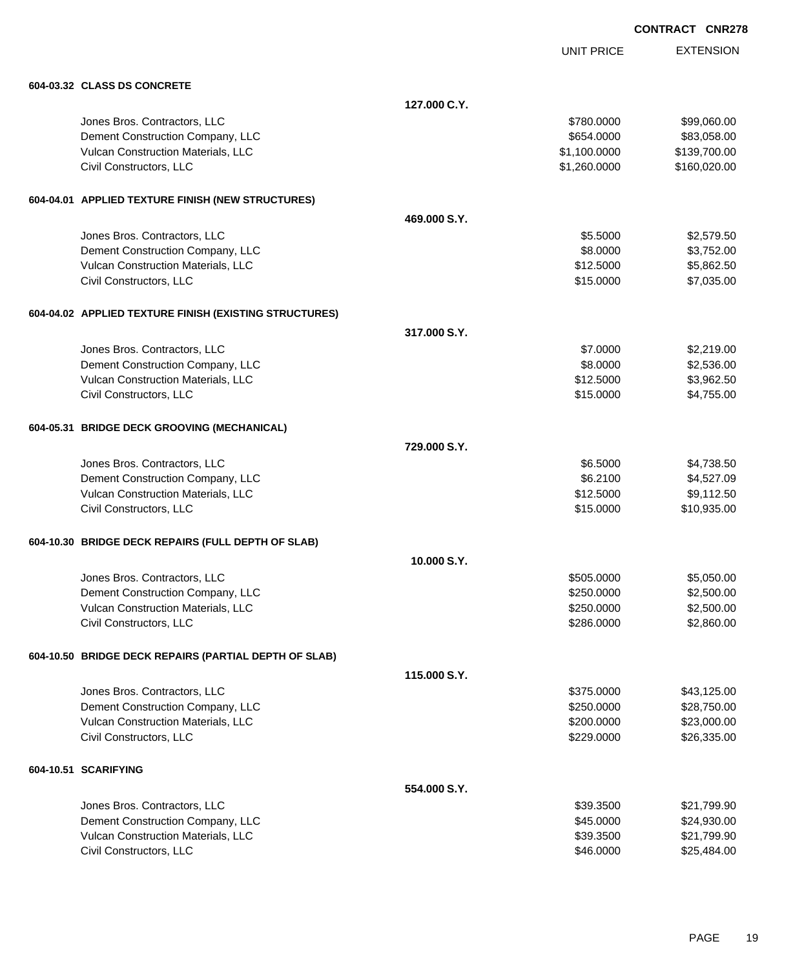EXTENSION **CONTRACT CNR278**

UNIT PRICE

| 604-03.32 CLASS DS CONCRETE                            |              |              |              |
|--------------------------------------------------------|--------------|--------------|--------------|
|                                                        | 127.000 C.Y. |              |              |
| Jones Bros. Contractors, LLC                           |              | \$780.0000   | \$99,060.00  |
| Dement Construction Company, LLC                       |              | \$654.0000   | \$83,058.00  |
| Vulcan Construction Materials, LLC                     |              | \$1,100.0000 | \$139,700.00 |
| Civil Constructors, LLC                                |              | \$1,260.0000 | \$160,020.00 |
|                                                        |              |              |              |
| 604-04.01 APPLIED TEXTURE FINISH (NEW STRUCTURES)      |              |              |              |
|                                                        | 469,000 S.Y. |              |              |
| Jones Bros. Contractors, LLC                           |              | \$5.5000     | \$2,579.50   |
| Dement Construction Company, LLC                       |              | \$8.0000     | \$3,752.00   |
| Vulcan Construction Materials, LLC                     |              | \$12.5000    | \$5,862.50   |
| Civil Constructors, LLC                                |              | \$15.0000    | \$7,035.00   |
| 604-04.02 APPLIED TEXTURE FINISH (EXISTING STRUCTURES) |              |              |              |
|                                                        | 317.000 S.Y. |              |              |
| Jones Bros. Contractors, LLC                           |              | \$7.0000     | \$2,219.00   |
| Dement Construction Company, LLC                       |              | \$8.0000     | \$2,536.00   |
| Vulcan Construction Materials, LLC                     |              | \$12.5000    | \$3,962.50   |
| Civil Constructors, LLC                                |              | \$15.0000    | \$4,755.00   |
| 604-05.31 BRIDGE DECK GROOVING (MECHANICAL)            |              |              |              |
|                                                        | 729,000 S.Y. |              |              |
| Jones Bros. Contractors, LLC                           |              | \$6.5000     | \$4,738.50   |
| Dement Construction Company, LLC                       |              | \$6.2100     | \$4,527.09   |
| Vulcan Construction Materials, LLC                     |              | \$12.5000    | \$9,112.50   |
| Civil Constructors, LLC                                |              | \$15.0000    | \$10,935.00  |
| 604-10.30 BRIDGE DECK REPAIRS (FULL DEPTH OF SLAB)     |              |              |              |
|                                                        | 10.000 S.Y.  |              |              |
| Jones Bros. Contractors, LLC                           |              | \$505.0000   | \$5,050.00   |
| Dement Construction Company, LLC                       |              | \$250.0000   | \$2,500.00   |
| Vulcan Construction Materials, LLC                     |              | \$250.0000   | \$2,500.00   |
| Civil Constructors, LLC                                |              | \$286.0000   | \$2,860.00   |
|                                                        |              |              |              |
| 604-10.50 BRIDGE DECK REPAIRS (PARTIAL DEPTH OF SLAB)  | 115,000 S.Y. |              |              |
| Jones Bros. Contractors, LLC                           |              | \$375.0000   | \$43,125.00  |
| Dement Construction Company, LLC                       |              | \$250.0000   | \$28,750.00  |
| Vulcan Construction Materials, LLC                     |              | \$200.0000   | \$23,000.00  |
| Civil Constructors, LLC                                |              | \$229.0000   | \$26,335.00  |
|                                                        |              |              |              |
| 604-10.51 SCARIFYING                                   |              |              |              |
|                                                        | 554,000 S.Y. |              |              |
| Jones Bros. Contractors, LLC                           |              | \$39.3500    | \$21,799.90  |
| Dement Construction Company, LLC                       |              | \$45.0000    | \$24,930.00  |
| Vulcan Construction Materials, LLC                     |              | \$39.3500    | \$21,799.90  |
| Civil Constructors, LLC                                |              | \$46.0000    | \$25,484.00  |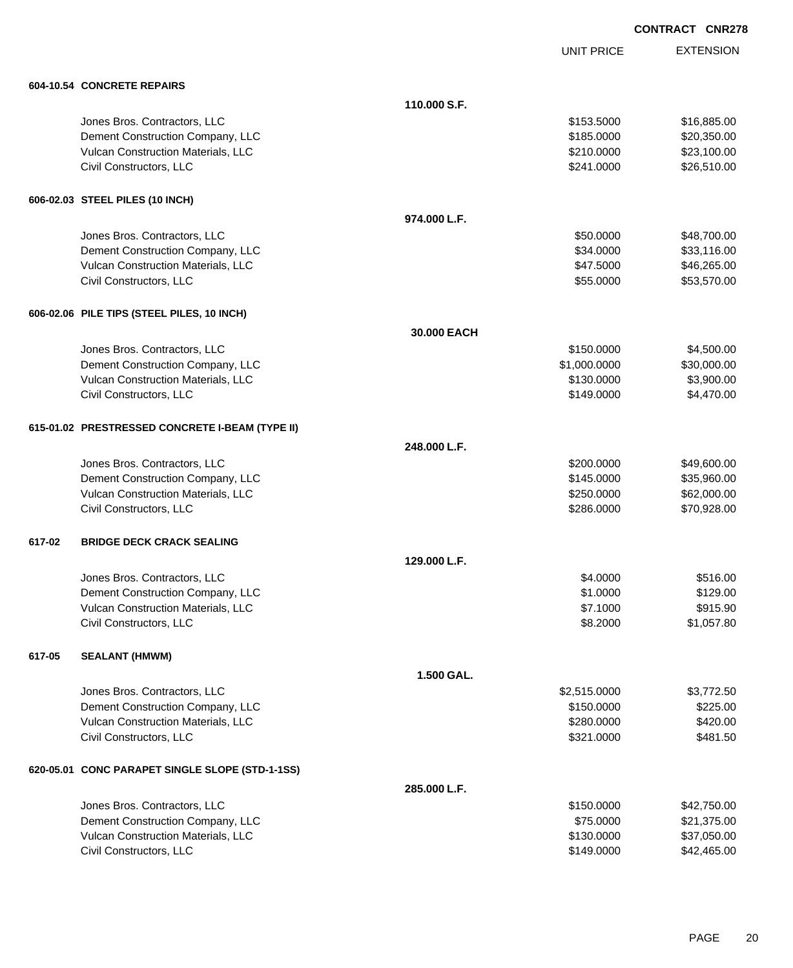UNIT PRICE

EXTENSION

|        | 604-10.54 CONCRETE REPAIRS                      |              |              |             |
|--------|-------------------------------------------------|--------------|--------------|-------------|
|        |                                                 | 110.000 S.F. |              |             |
|        | Jones Bros. Contractors, LLC                    |              | \$153.5000   | \$16,885.00 |
|        | Dement Construction Company, LLC                |              | \$185.0000   | \$20,350.00 |
|        | Vulcan Construction Materials, LLC              |              | \$210.0000   | \$23,100.00 |
|        | Civil Constructors, LLC                         |              | \$241.0000   | \$26,510.00 |
|        | 606-02.03 STEEL PILES (10 INCH)                 |              |              |             |
|        |                                                 | 974.000 L.F. |              |             |
|        | Jones Bros. Contractors, LLC                    |              | \$50.0000    | \$48,700.00 |
|        | Dement Construction Company, LLC                |              | \$34.0000    | \$33,116.00 |
|        | Vulcan Construction Materials, LLC              |              | \$47.5000    | \$46,265.00 |
|        | Civil Constructors, LLC                         |              | \$55.0000    | \$53,570.00 |
|        | 606-02.06 PILE TIPS (STEEL PILES, 10 INCH)      |              |              |             |
|        |                                                 | 30.000 EACH  |              |             |
|        | Jones Bros. Contractors, LLC                    |              | \$150.0000   | \$4,500.00  |
|        | Dement Construction Company, LLC                |              | \$1,000.0000 | \$30,000.00 |
|        | Vulcan Construction Materials, LLC              |              | \$130.0000   | \$3,900.00  |
|        | Civil Constructors, LLC                         |              | \$149.0000   | \$4,470.00  |
|        | 615-01.02 PRESTRESSED CONCRETE I-BEAM (TYPE II) |              |              |             |
|        |                                                 | 248.000 L.F. |              |             |
|        | Jones Bros. Contractors, LLC                    |              | \$200.0000   | \$49,600.00 |
|        | Dement Construction Company, LLC                |              | \$145.0000   | \$35,960.00 |
|        | Vulcan Construction Materials, LLC              |              | \$250.0000   | \$62,000.00 |
|        | Civil Constructors, LLC                         |              | \$286.0000   | \$70,928.00 |
| 617-02 | <b>BRIDGE DECK CRACK SEALING</b>                |              |              |             |
|        |                                                 | 129.000 L.F. |              |             |
|        | Jones Bros. Contractors, LLC                    |              | \$4.0000     | \$516.00    |
|        | Dement Construction Company, LLC                |              | \$1.0000     | \$129.00    |
|        | Vulcan Construction Materials, LLC              |              | \$7.1000     | \$915.90    |
|        | Civil Constructors, LLC                         |              | \$8.2000     | \$1,057.80  |
| 617-05 | <b>SEALANT (HMWM)</b>                           |              |              |             |
|        |                                                 | 1.500 GAL.   |              |             |
|        | Jones Bros. Contractors, LLC                    |              | \$2,515.0000 | \$3,772.50  |
|        | Dement Construction Company, LLC                |              | \$150.0000   | \$225.00    |
|        | Vulcan Construction Materials, LLC              |              | \$280.0000   | \$420.00    |
|        | Civil Constructors, LLC                         |              | \$321.0000   | \$481.50    |
|        | 620-05.01 CONC PARAPET SINGLE SLOPE (STD-1-1SS) |              |              |             |
|        |                                                 | 285.000 L.F. |              |             |
|        | Jones Bros. Contractors, LLC                    |              | \$150.0000   | \$42,750.00 |
|        | Dement Construction Company, LLC                |              | \$75.0000    | \$21,375.00 |
|        | Vulcan Construction Materials, LLC              |              | \$130.0000   | \$37,050.00 |
|        | Civil Constructors, LLC                         |              | \$149.0000   | \$42,465.00 |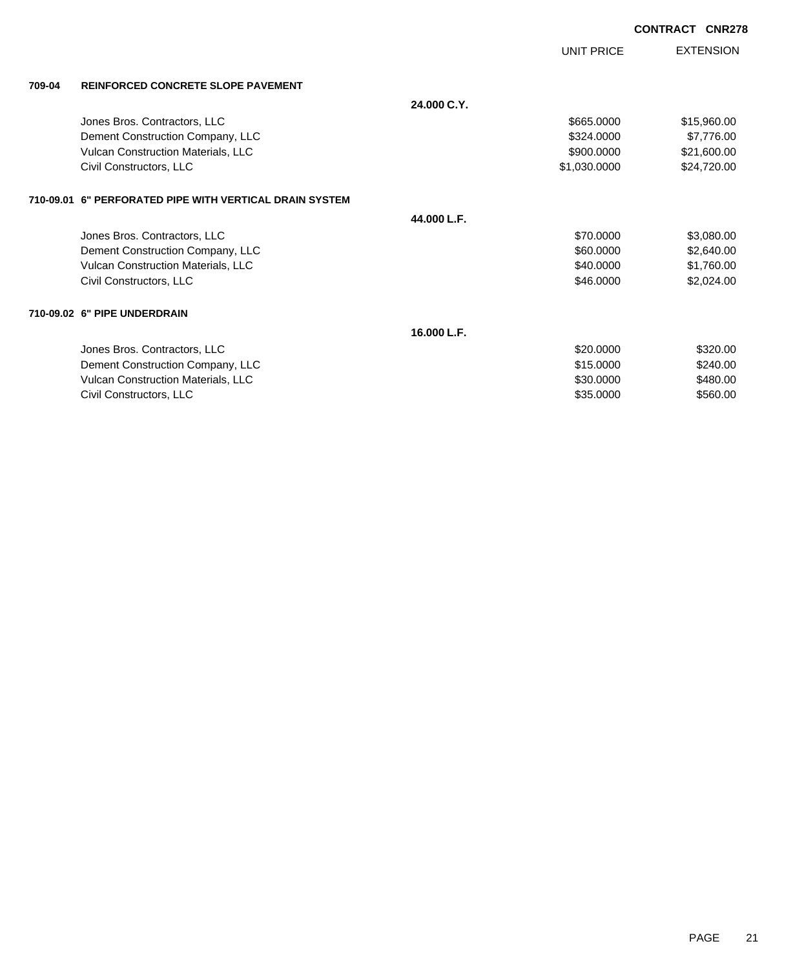|        |                                                         |             |                   | <b>CONTRACT CNR278</b> |                  |
|--------|---------------------------------------------------------|-------------|-------------------|------------------------|------------------|
|        |                                                         |             | <b>UNIT PRICE</b> |                        | <b>EXTENSION</b> |
| 709-04 | <b>REINFORCED CONCRETE SLOPE PAVEMENT</b>               |             |                   |                        |                  |
|        |                                                         | 24.000 C.Y. |                   |                        |                  |
|        | Jones Bros. Contractors, LLC                            |             | \$665,0000        |                        | \$15,960.00      |
|        | Dement Construction Company, LLC                        |             | \$324,0000        |                        | \$7,776.00       |
|        | Vulcan Construction Materials, LLC                      |             | \$900.0000        |                        | \$21,600.00      |
|        | Civil Constructors, LLC                                 |             | \$1,030.0000      |                        | \$24,720.00      |
|        | 710-09.01 6" PERFORATED PIPE WITH VERTICAL DRAIN SYSTEM |             |                   |                        |                  |
|        |                                                         | 44.000 L.F. |                   |                        |                  |
|        | Jones Bros. Contractors, LLC                            |             | \$70,0000         |                        | \$3,080.00       |
|        | Dement Construction Company, LLC                        |             | \$60.0000         |                        | \$2,640.00       |
|        | Vulcan Construction Materials, LLC                      |             | \$40,0000         |                        | \$1,760.00       |
|        | Civil Constructors, LLC                                 |             | \$46.0000         |                        | \$2,024.00       |
|        | 710-09.02 6" PIPE UNDERDRAIN                            |             |                   |                        |                  |
|        |                                                         | 16.000 L.F. |                   |                        |                  |
|        | Jones Bros. Contractors, LLC                            |             | \$20,0000         |                        | \$320.00         |
|        | Dement Construction Company, LLC                        |             | \$15.0000         |                        | \$240.00         |
|        | Vulcan Construction Materials, LLC                      |             | \$30.0000         |                        | \$480.00         |
|        | Civil Constructors, LLC                                 |             | \$35.0000         |                        | \$560.00         |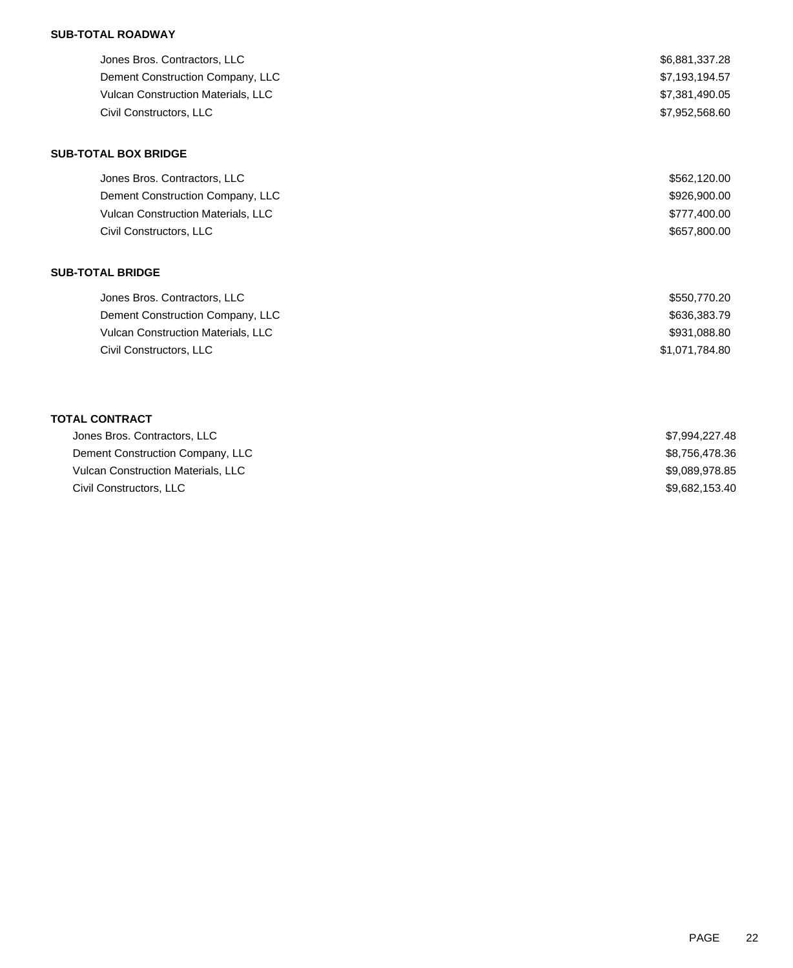## **SUB-TOTAL ROADWAY**

| Jones Bros. Contractors, LLC              | \$6,881,337.28 |
|-------------------------------------------|----------------|
| Dement Construction Company, LLC          | \$7,193,194.57 |
| <b>Vulcan Construction Materials, LLC</b> | \$7,381,490.05 |
| Civil Constructors, LLC                   | \$7,952,568.60 |
| <b>SUB-TOTAL BOX BRIDGE</b>               |                |

| Jones Bros. Contractors, LLC              | \$562.120.00 |
|-------------------------------------------|--------------|
| Dement Construction Company, LLC          | \$926,900.00 |
| <b>Vulcan Construction Materials, LLC</b> | \$777,400.00 |
| Civil Constructors, LLC                   | \$657,800.00 |

### **SUB-TOTAL BRIDGE**

| Jones Bros. Contractors, LLC              | \$550,770.20   |
|-------------------------------------------|----------------|
| Dement Construction Company, LLC          | \$636,383.79   |
| <b>Vulcan Construction Materials, LLC</b> | \$931,088.80   |
| Civil Constructors, LLC                   | \$1,071,784.80 |

## **TOTAL CONTRACT**

| Jones Bros. Contractors, LLC       | \$7,994,227.48 |
|------------------------------------|----------------|
| Dement Construction Company, LLC   | \$8,756,478.36 |
| Vulcan Construction Materials. LLC | \$9,089,978.85 |
| Civil Constructors, LLC            | \$9.682.153.40 |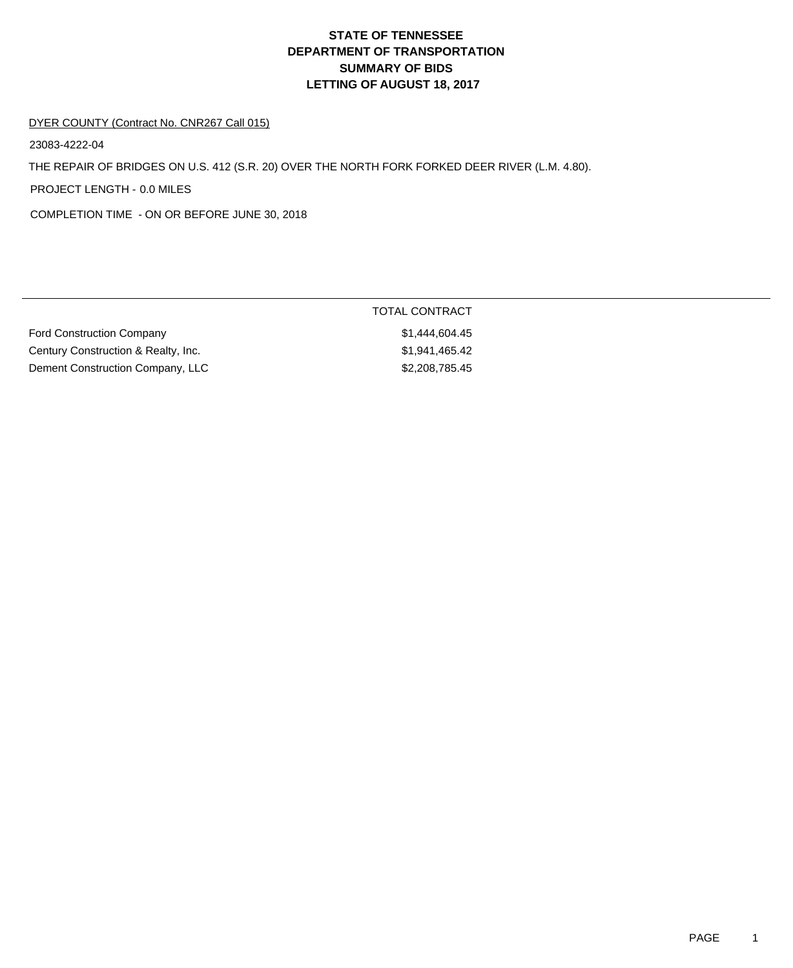## **DEPARTMENT OF TRANSPORTATION SUMMARY OF BIDS LETTING OF AUGUST 18, 2017 STATE OF TENNESSEE**

TOTAL CONTRACT

#### DYER COUNTY (Contract No. CNR267 Call 015)

23083-4222-04

THE REPAIR OF BRIDGES ON U.S. 412 (S.R. 20) OVER THE NORTH FORK FORKED DEER RIVER (L.M. 4.80).

PROJECT LENGTH - 0.0 MILES

COMPLETION TIME - ON OR BEFORE JUNE 30, 2018

| <b>Ford Construction Company</b>    | \$1,444,604.45 |
|-------------------------------------|----------------|
| Century Construction & Realty, Inc. | \$1,941,465.42 |
| Dement Construction Company, LLC    | \$2,208,785.45 |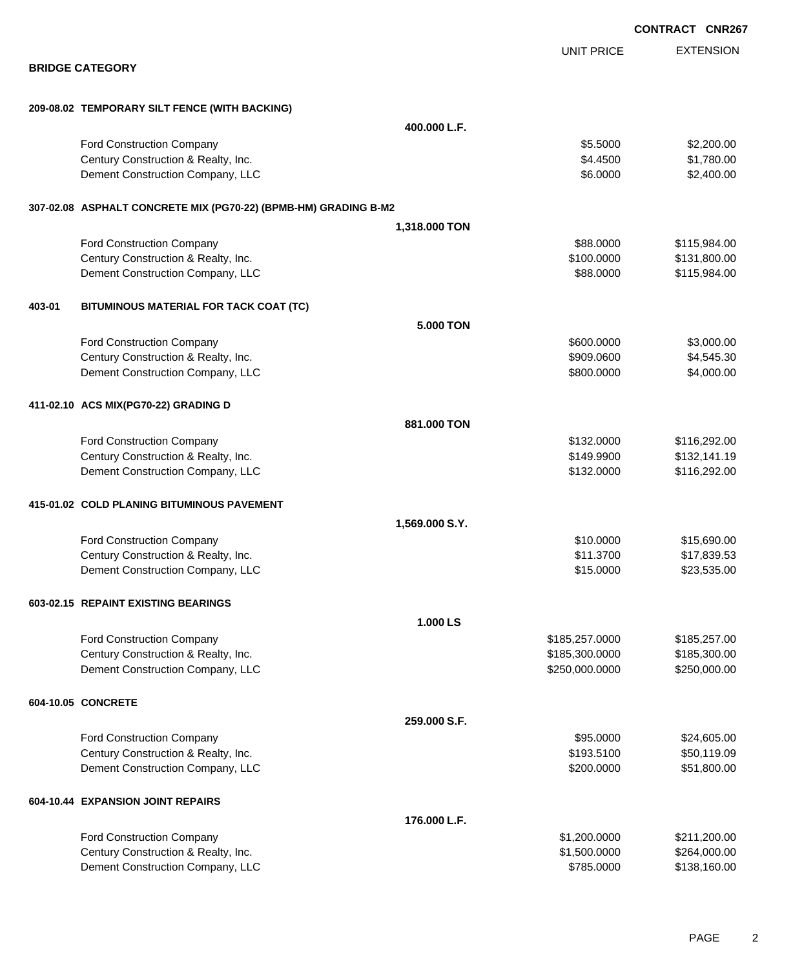|        |                                                                 |                  |                   | <b>CONTRACT CNR267</b> |
|--------|-----------------------------------------------------------------|------------------|-------------------|------------------------|
|        |                                                                 |                  | <b>UNIT PRICE</b> | <b>EXTENSION</b>       |
|        | <b>BRIDGE CATEGORY</b>                                          |                  |                   |                        |
|        | 209-08.02 TEMPORARY SILT FENCE (WITH BACKING)                   |                  |                   |                        |
|        |                                                                 | 400.000 L.F.     |                   |                        |
|        | <b>Ford Construction Company</b>                                |                  | \$5.5000          | \$2,200.00             |
|        | Century Construction & Realty, Inc.                             |                  | \$4.4500          | \$1,780.00             |
|        | Dement Construction Company, LLC                                |                  | \$6.0000          | \$2,400.00             |
|        | 307-02.08 ASPHALT CONCRETE MIX (PG70-22) (BPMB-HM) GRADING B-M2 |                  |                   |                        |
|        |                                                                 | 1,318.000 TON    |                   |                        |
|        | Ford Construction Company                                       |                  | \$88.0000         | \$115,984.00           |
|        | Century Construction & Realty, Inc.                             |                  | \$100.0000        | \$131,800.00           |
|        | Dement Construction Company, LLC                                |                  | \$88.0000         | \$115,984.00           |
| 403-01 | BITUMINOUS MATERIAL FOR TACK COAT (TC)                          |                  |                   |                        |
|        |                                                                 | <b>5.000 TON</b> |                   |                        |
|        | <b>Ford Construction Company</b>                                |                  | \$600.0000        | \$3,000.00             |
|        | Century Construction & Realty, Inc.                             |                  | \$909.0600        | \$4,545.30             |
|        | Dement Construction Company, LLC                                |                  | \$800.0000        | \$4,000.00             |
|        | 411-02.10 ACS MIX(PG70-22) GRADING D                            |                  |                   |                        |
|        |                                                                 | 881.000 TON      |                   |                        |
|        | Ford Construction Company                                       |                  | \$132.0000        | \$116,292.00           |
|        | Century Construction & Realty, Inc.                             |                  | \$149.9900        | \$132,141.19           |
|        | Dement Construction Company, LLC                                |                  | \$132.0000        | \$116,292.00           |
|        | 415-01.02 COLD PLANING BITUMINOUS PAVEMENT                      |                  |                   |                        |
|        |                                                                 | 1,569.000 S.Y.   |                   |                        |
|        | Ford Construction Company                                       |                  | \$10.0000         | \$15,690.00            |
|        | Century Construction & Realty, Inc.                             |                  | \$11.3700         | \$17,839.53            |
|        | Dement Construction Company, LLC                                |                  | \$15.0000         | \$23,535.00            |
|        | 603-02.15 REPAINT EXISTING BEARINGS                             |                  |                   |                        |
|        |                                                                 | 1.000 LS         |                   |                        |
|        | Ford Construction Company                                       |                  | \$185,257.0000    | \$185,257.00           |
|        | Century Construction & Realty, Inc.                             |                  | \$185,300.0000    | \$185,300.00           |
|        | Dement Construction Company, LLC                                |                  | \$250,000.0000    | \$250,000.00           |
|        | 604-10.05 CONCRETE                                              |                  |                   |                        |
|        |                                                                 | 259.000 S.F.     |                   |                        |
|        | Ford Construction Company                                       |                  | \$95.0000         | \$24,605.00            |
|        | Century Construction & Realty, Inc.                             |                  | \$193.5100        | \$50,119.09            |
|        | Dement Construction Company, LLC                                |                  | \$200.0000        | \$51,800.00            |
|        | 604-10.44 EXPANSION JOINT REPAIRS                               |                  |                   |                        |
|        |                                                                 | 176.000 L.F.     |                   |                        |
|        | Ford Construction Company                                       |                  | \$1,200.0000      | \$211,200.00           |
|        | Century Construction & Realty, Inc.                             |                  | \$1,500.0000      | \$264,000.00           |
|        | Dement Construction Company, LLC                                |                  | \$785.0000        | \$138,160.00           |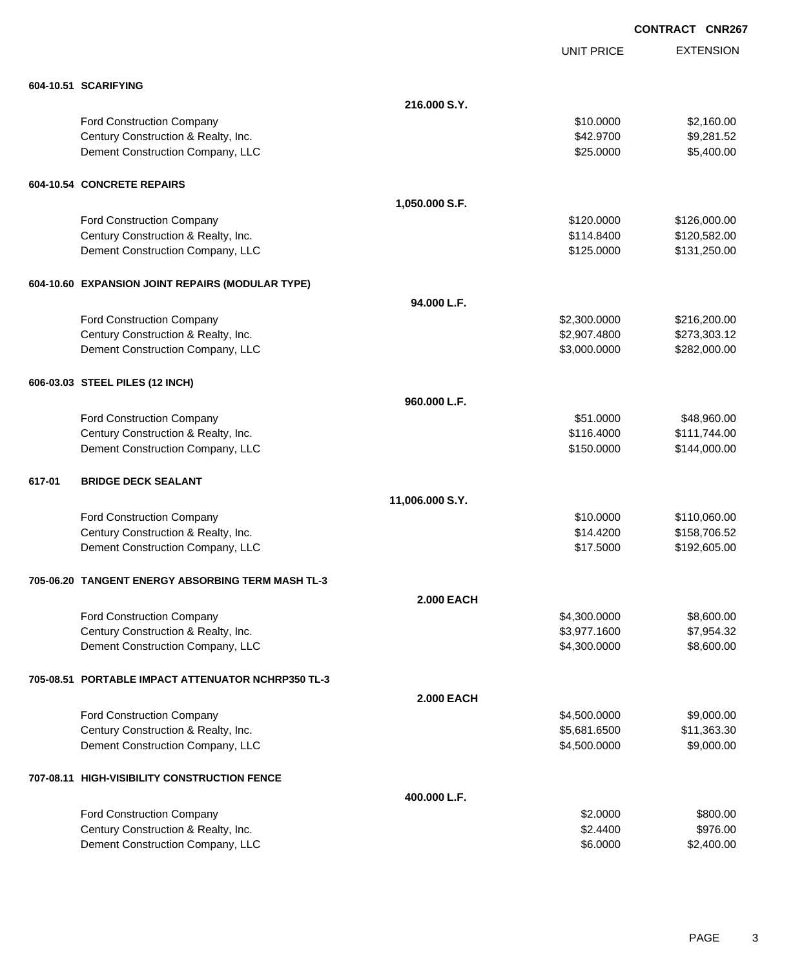EXTENSION **CONTRACT CNR267** UNIT PRICE **604-10.51 SCARIFYING 216.000 S.Y.** Ford Construction Company 61 (1990) 12:0000 \$2,160.00 Century Construction & Realty, Inc. \$42.9700 \$9,281.52 Dement Construction Company, LLC 6 and the state of the state of the state  $\frac{1}{25.0000}$  \$5,400.00 **604-10.54 CONCRETE REPAIRS 1,050.000 S.F.** Ford Construction Company **6126,000.00** \$126,000.00 Century Construction & Realty, Inc. **6. 120,582.00** \$114.8400 \$120,582.00 Dement Construction Company, LLC **but a struction Company, LLC**  $$125.0000$  \$131,250.00 **604-10.60 EXPANSION JOINT REPAIRS (MODULAR TYPE) 94.000 L.F.** Ford Construction Company **62,300.000** \$216,200.00 Century Construction & Realty, Inc. 6. 2007. 2012 12:00:00 \$2,907.4800 \$273,303.12 Dement Construction Company, LLC 66 and the state of the state of the state  $$3,000.0000$  \$282,000.000 \$282,000.00 **606-03.03 STEEL PILES (12 INCH) 960.000 L.F.** Ford Construction Company 648,960.00 Century Construction & Realty, Inc. **Example 20 and Structure 20 and Structure 20 and Structure 3111,744.00** \$111,744.00 Dement Construction Company, LLC **1996 and 1997** \$150.0000 \$144,000.00 **617-01 BRIDGE DECK SEALANT 11,006.000 S.Y.** Ford Construction Company **6110,060.00** \$110,060.00 Century Construction & Realty, Inc. \$158,706.52 Dement Construction Company, LLC 6. The matrix of the state of the state of the state  $$17.5000$  \$192,605.00 **705-06.20 TANGENT ENERGY ABSORBING TERM MASH TL-3 2.000 EACH** Ford Construction Company 68,600.00 \$8,600.00 \$8,600.00 \$8,600.00 \$8,600.00 \$8,600.00 \$8,600.00 \$8,600.00 \$8,600 Century Construction & Realty, Inc. \$3,977.1600 \$7,954.32 Dement Construction Company, LLC 66 and the construction Company, LLC 66,600.000 \$8,600.00 **705-08.51 PORTABLE IMPACT ATTENUATOR NCHRP350 TL-3 2.000 EACH** Ford Construction Company 64,500.000 \$9,000.00 Century Construction & Realty, Inc.  $$5,681.6500$  \$11,363.30 Dement Construction Company, LLC 6 and the state of the state of the state of the state of the state of the state of the state of the state of the state of the state of the state of the state of the state of the state of t **707-08.11 HIGH-VISIBILITY CONSTRUCTION FENCE 400.000 L.F.** Ford Construction Company **\$800.00** \$800.00 Century Construction & Realty, Inc. 6. The Construction of Realty, Inc. 6. The Construction of Realty, Inc. 6. Dement Construction Company, LLC 6.0000 \$2,400.00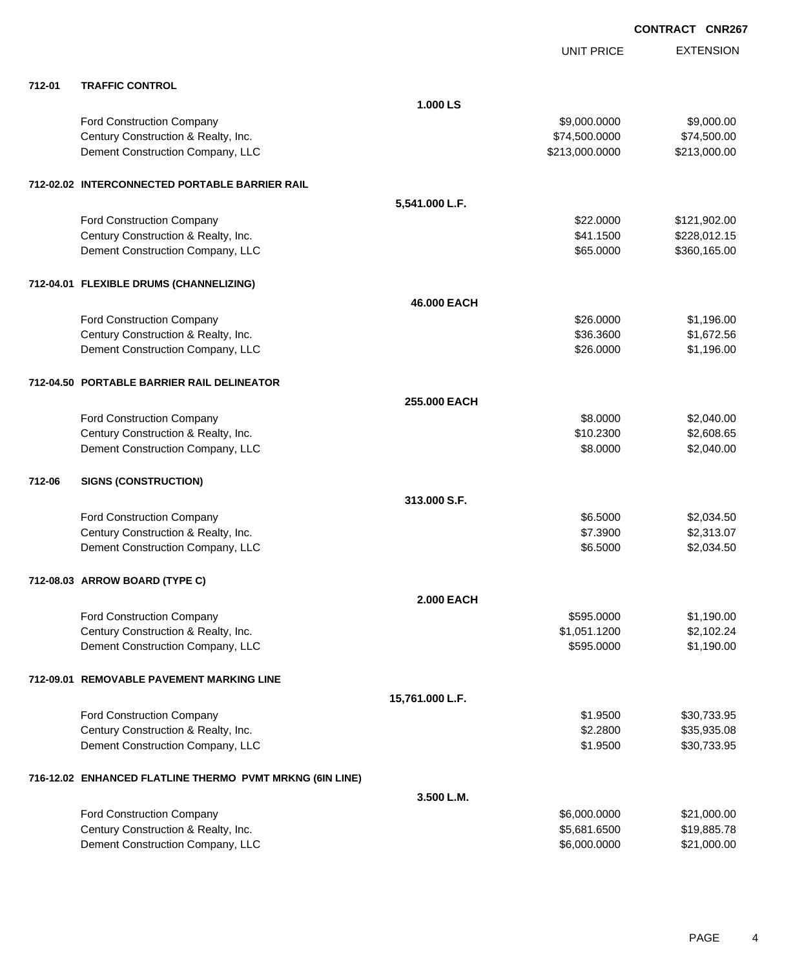|        |                                                          |                   | <b>UNIT PRICE</b> | <b>EXTENSION</b> |
|--------|----------------------------------------------------------|-------------------|-------------------|------------------|
| 712-01 | <b>TRAFFIC CONTROL</b>                                   |                   |                   |                  |
|        |                                                          | 1.000 LS          |                   |                  |
|        | Ford Construction Company                                |                   | \$9,000.0000      | \$9,000.00       |
|        | Century Construction & Realty, Inc.                      |                   | \$74,500.0000     | \$74,500.00      |
|        | Dement Construction Company, LLC                         |                   | \$213,000.0000    | \$213,000.00     |
|        | 712-02.02 INTERCONNECTED PORTABLE BARRIER RAIL           |                   |                   |                  |
|        |                                                          | 5,541.000 L.F.    |                   |                  |
|        | Ford Construction Company                                |                   | \$22.0000         | \$121,902.00     |
|        | Century Construction & Realty, Inc.                      |                   | \$41.1500         | \$228,012.15     |
|        | Dement Construction Company, LLC                         |                   | \$65.0000         | \$360,165.00     |
|        | 712-04.01 FLEXIBLE DRUMS (CHANNELIZING)                  |                   |                   |                  |
|        |                                                          | 46.000 EACH       |                   |                  |
|        | Ford Construction Company                                |                   | \$26.0000         | \$1,196.00       |
|        | Century Construction & Realty, Inc.                      |                   | \$36.3600         | \$1,672.56       |
|        | Dement Construction Company, LLC                         |                   | \$26.0000         | \$1,196.00       |
|        | 712-04.50 PORTABLE BARRIER RAIL DELINEATOR               |                   |                   |                  |
|        |                                                          | 255.000 EACH      |                   |                  |
|        | Ford Construction Company                                |                   | \$8.0000          | \$2,040.00       |
|        | Century Construction & Realty, Inc.                      |                   | \$10.2300         | \$2,608.65       |
|        | Dement Construction Company, LLC                         |                   | \$8.0000          | \$2,040.00       |
| 712-06 | <b>SIGNS (CONSTRUCTION)</b>                              |                   |                   |                  |
|        |                                                          | 313.000 S.F.      |                   |                  |
|        | Ford Construction Company                                |                   | \$6.5000          | \$2,034.50       |
|        | Century Construction & Realty, Inc.                      |                   | \$7.3900          | \$2,313.07       |
|        | Dement Construction Company, LLC                         |                   | \$6.5000          | \$2,034.50       |
|        | 712-08.03 ARROW BOARD (TYPE C)                           |                   |                   |                  |
|        |                                                          | <b>2.000 EACH</b> |                   |                  |
|        | <b>Ford Construction Company</b>                         |                   | \$595.0000        | \$1,190.00       |
|        | Century Construction & Realty, Inc.                      |                   | \$1,051.1200      | \$2,102.24       |
|        | Dement Construction Company, LLC                         |                   | \$595.0000        | \$1,190.00       |
|        | 712-09.01 REMOVABLE PAVEMENT MARKING LINE                |                   |                   |                  |
|        |                                                          | 15,761.000 L.F.   |                   |                  |
|        | Ford Construction Company                                |                   | \$1.9500          | \$30,733.95      |
|        | Century Construction & Realty, Inc.                      |                   | \$2.2800          | \$35,935.08      |
|        | Dement Construction Company, LLC                         |                   | \$1.9500          | \$30,733.95      |
|        | 716-12.02 ENHANCED FLATLINE THERMO PVMT MRKNG (6IN LINE) |                   |                   |                  |
|        |                                                          | 3.500 L.M.        |                   |                  |
|        | Ford Construction Company                                |                   | \$6,000.0000      | \$21,000.00      |
|        | Century Construction & Realty, Inc.                      |                   | \$5,681.6500      | \$19,885.78      |
|        | Dement Construction Company, LLC                         |                   | \$6,000.0000      | \$21,000.00      |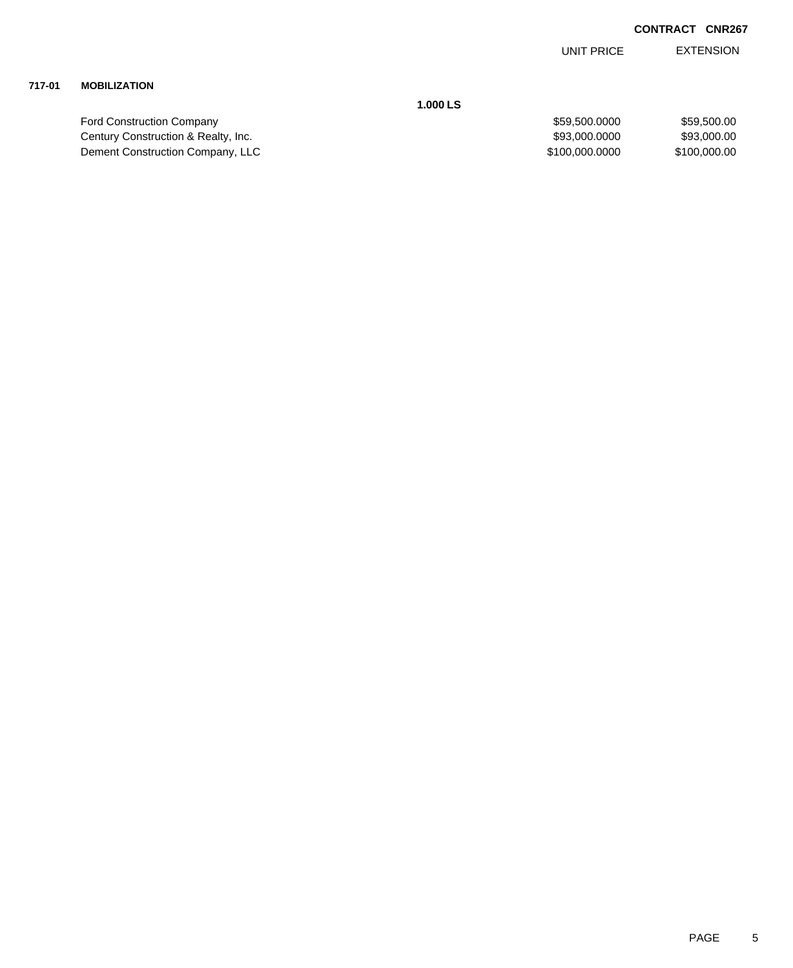EXTENSION UNIT PRICE

## **717-01 MOBILIZATION**

**1.000 LS**

| <b>Ford Construction Company</b>    | \$59.500.0000  | \$59,500.00  |
|-------------------------------------|----------------|--------------|
| Century Construction & Realty, Inc. | \$93,000,0000  | \$93,000.00  |
| Dement Construction Company, LLC    | \$100.000.0000 | \$100,000,00 |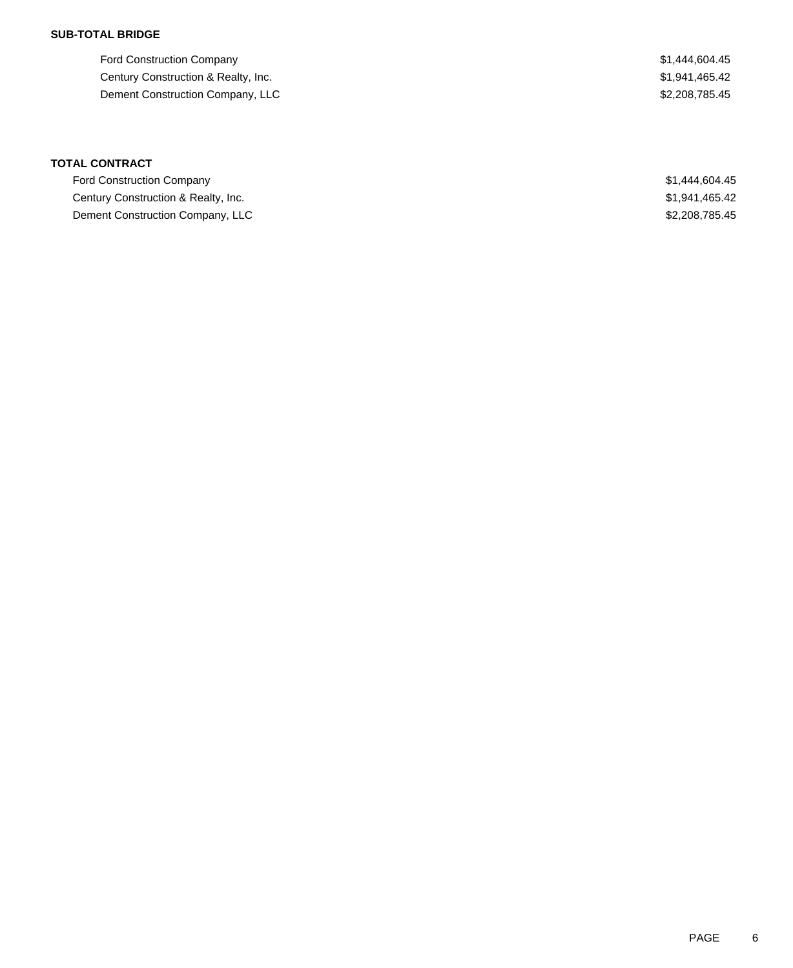### **SUB-TOTAL BRIDGE**

Ford Construction Company  $$1,444,604.45$ Century Construction & Realty, Inc. 6. The Construction of Realty, Inc. 6. The Construction of Realty, Inc. Dement Construction Company, LLC \$2,208,785.45

## **TOTAL CONTRACT**

| <b>Ford Construction Company</b>    | \$1,444,604.45 |
|-------------------------------------|----------------|
| Century Construction & Realty, Inc. | \$1,941,465.42 |
| Dement Construction Company, LLC    | \$2,208,785,45 |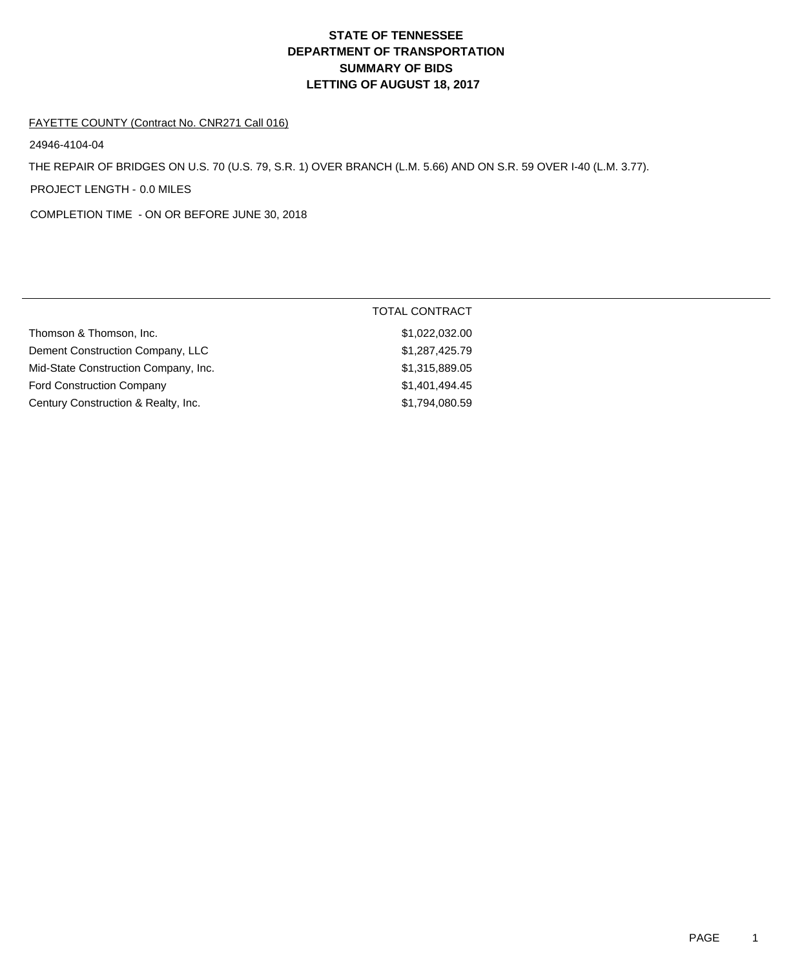## **DEPARTMENT OF TRANSPORTATION SUMMARY OF BIDS LETTING OF AUGUST 18, 2017 STATE OF TENNESSEE**

#### FAYETTE COUNTY (Contract No. CNR271 Call 016)

24946-4104-04

THE REPAIR OF BRIDGES ON U.S. 70 (U.S. 79, S.R. 1) OVER BRANCH (L.M. 5.66) AND ON S.R. 59 OVER I-40 (L.M. 3.77).

PROJECT LENGTH - 0.0 MILES

COMPLETION TIME - ON OR BEFORE JUNE 30, 2018

|                                      | <b>TOTAL CONTRACT</b> |
|--------------------------------------|-----------------------|
| Thomson & Thomson, Inc.              | \$1,022,032.00        |
| Dement Construction Company, LLC     | \$1,287,425.79        |
| Mid-State Construction Company, Inc. | \$1,315,889.05        |
| <b>Ford Construction Company</b>     | \$1,401,494.45        |
| Century Construction & Realty, Inc.  | \$1,794,080.59        |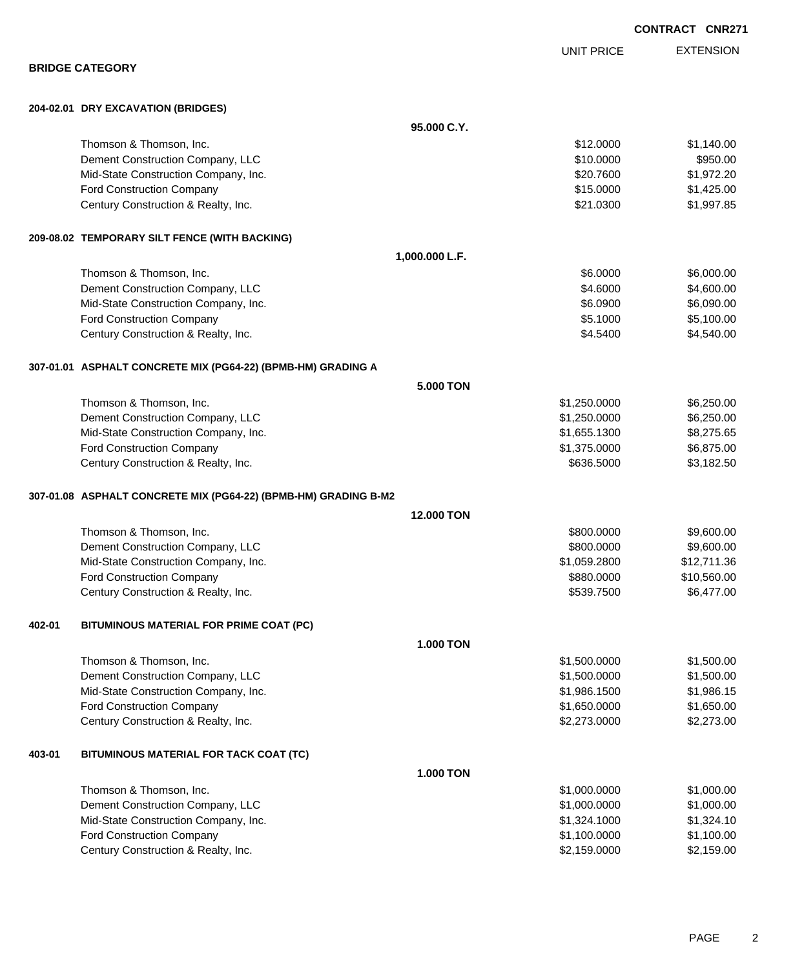|        |                                                                 |                  |                   | <b>CONTRACT CNR271</b> |
|--------|-----------------------------------------------------------------|------------------|-------------------|------------------------|
|        |                                                                 |                  | <b>UNIT PRICE</b> | <b>EXTENSION</b>       |
|        | <b>BRIDGE CATEGORY</b>                                          |                  |                   |                        |
|        | 204-02.01 DRY EXCAVATION (BRIDGES)                              |                  |                   |                        |
|        |                                                                 | 95.000 C.Y.      |                   |                        |
|        | Thomson & Thomson, Inc.                                         |                  | \$12.0000         | \$1,140.00             |
|        | Dement Construction Company, LLC                                |                  | \$10.0000         | \$950.00               |
|        | Mid-State Construction Company, Inc.                            |                  | \$20.7600         | \$1,972.20             |
|        | Ford Construction Company                                       |                  | \$15.0000         | \$1,425.00             |
|        | Century Construction & Realty, Inc.                             |                  | \$21.0300         | \$1,997.85             |
|        | 209-08.02 TEMPORARY SILT FENCE (WITH BACKING)                   |                  |                   |                        |
|        |                                                                 | 1,000.000 L.F.   |                   |                        |
|        | Thomson & Thomson, Inc.                                         |                  | \$6.0000          | \$6,000.00             |
|        | Dement Construction Company, LLC                                |                  | \$4.6000          | \$4,600.00             |
|        | Mid-State Construction Company, Inc.                            |                  | \$6.0900          | \$6,090.00             |
|        | Ford Construction Company                                       |                  | \$5.1000          | \$5,100.00             |
|        | Century Construction & Realty, Inc.                             |                  | \$4.5400          | \$4,540.00             |
|        | 307-01.01 ASPHALT CONCRETE MIX (PG64-22) (BPMB-HM) GRADING A    |                  |                   |                        |
|        |                                                                 | 5,000 TON        |                   |                        |
|        | Thomson & Thomson, Inc.                                         |                  | \$1,250.0000      | \$6,250.00             |
|        | Dement Construction Company, LLC                                |                  | \$1,250.0000      | \$6,250.00             |
|        | Mid-State Construction Company, Inc.                            |                  | \$1,655.1300      | \$8,275.65             |
|        | Ford Construction Company                                       |                  | \$1,375.0000      | \$6,875.00             |
|        | Century Construction & Realty, Inc.                             |                  | \$636.5000        | \$3,182.50             |
|        | 307-01.08 ASPHALT CONCRETE MIX (PG64-22) (BPMB-HM) GRADING B-M2 |                  |                   |                        |
|        |                                                                 | 12.000 TON       |                   |                        |
|        | Thomson & Thomson, Inc.                                         |                  | \$800,0000        | \$9,600.00             |
|        | Dement Construction Company, LLC                                |                  | \$800.0000        | \$9,600.00             |
|        | Mid-State Construction Company, Inc.                            |                  | \$1,059.2800      | \$12,711.36            |
|        | Ford Construction Company                                       |                  | \$880.0000        | \$10,560.00            |
|        | Century Construction & Realty, Inc.                             |                  | \$539.7500        | \$6,477.00             |
| 402-01 | BITUMINOUS MATERIAL FOR PRIME COAT (PC)                         |                  |                   |                        |
|        |                                                                 | <b>1.000 TON</b> |                   |                        |
|        | Thomson & Thomson, Inc.                                         |                  | \$1,500.0000      | \$1,500.00             |
|        | Dement Construction Company, LLC                                |                  | \$1,500.0000      | \$1,500.00             |
|        | Mid-State Construction Company, Inc.                            |                  | \$1,986.1500      | \$1,986.15             |
|        | Ford Construction Company                                       |                  | \$1,650.0000      | \$1,650.00             |
|        | Century Construction & Realty, Inc.                             |                  | \$2,273.0000      | \$2,273.00             |
| 403-01 | BITUMINOUS MATERIAL FOR TACK COAT (TC)                          |                  |                   |                        |
|        |                                                                 | <b>1.000 TON</b> |                   |                        |
|        | Thomson & Thomson, Inc.                                         |                  | \$1,000.0000      | \$1,000.00             |
|        | Dement Construction Company, LLC                                |                  | \$1,000.0000      | \$1,000.00             |
|        | Mid-State Construction Company, Inc.                            |                  | \$1,324.1000      | \$1,324.10             |
|        | Ford Construction Company                                       |                  | \$1,100.0000      | \$1,100.00             |
|        | Century Construction & Realty, Inc.                             |                  | \$2,159.0000      | \$2,159.00             |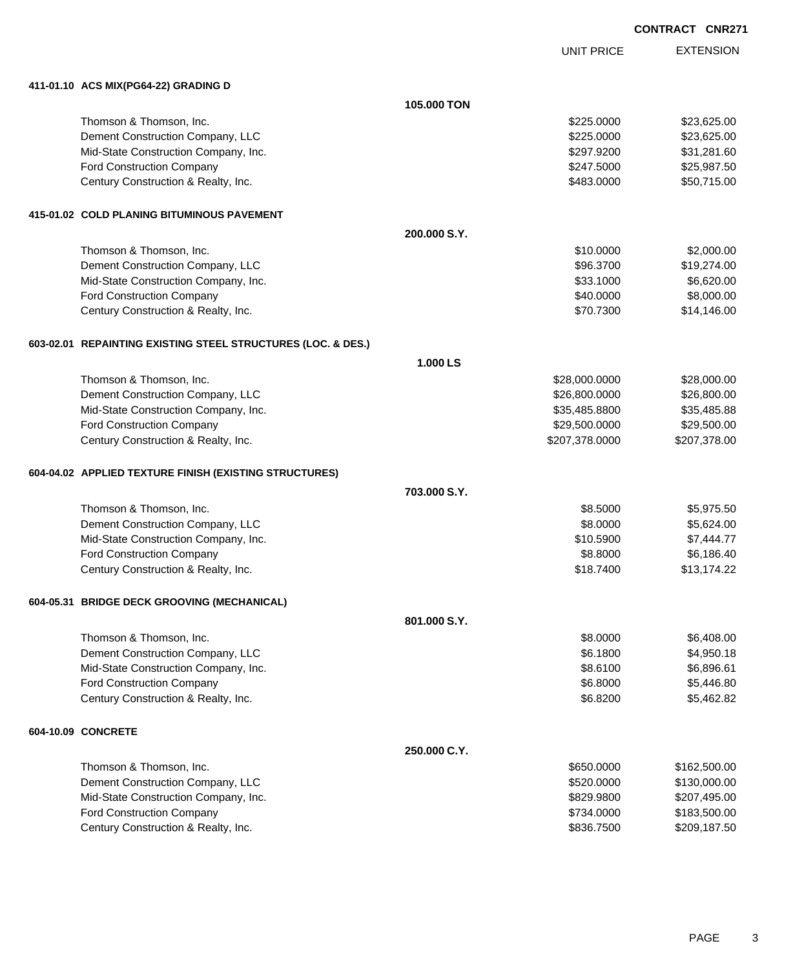UNIT PRICE EXTENSION

| 411-01.10 ACS MIX(PG64-22) GRADING D                         |              |                |              |
|--------------------------------------------------------------|--------------|----------------|--------------|
|                                                              | 105.000 TON  |                |              |
| Thomson & Thomson, Inc.                                      |              | \$225.0000     | \$23,625.00  |
| Dement Construction Company, LLC                             |              | \$225.0000     | \$23,625.00  |
| Mid-State Construction Company, Inc.                         |              | \$297.9200     | \$31,281.60  |
| Ford Construction Company                                    |              | \$247.5000     | \$25,987.50  |
| Century Construction & Realty, Inc.                          |              | \$483.0000     | \$50,715.00  |
| 415-01.02 COLD PLANING BITUMINOUS PAVEMENT                   |              |                |              |
|                                                              | 200.000 S.Y. |                |              |
| Thomson & Thomson, Inc.                                      |              | \$10.0000      | \$2,000.00   |
| Dement Construction Company, LLC                             |              | \$96.3700      | \$19,274.00  |
| Mid-State Construction Company, Inc.                         |              | \$33.1000      | \$6,620.00   |
| Ford Construction Company                                    |              | \$40.0000      | \$8,000.00   |
| Century Construction & Realty, Inc.                          |              | \$70.7300      | \$14,146.00  |
| 603-02.01 REPAINTING EXISTING STEEL STRUCTURES (LOC. & DES.) |              |                |              |
|                                                              | 1.000 LS     |                |              |
| Thomson & Thomson, Inc.                                      |              | \$28,000.0000  | \$28,000.00  |
| Dement Construction Company, LLC                             |              | \$26,800.0000  | \$26,800.00  |
| Mid-State Construction Company, Inc.                         |              | \$35,485.8800  | \$35,485.88  |
| Ford Construction Company                                    |              | \$29,500.0000  | \$29,500.00  |
| Century Construction & Realty, Inc.                          |              | \$207,378.0000 | \$207,378.00 |
| 604-04.02 APPLIED TEXTURE FINISH (EXISTING STRUCTURES)       |              |                |              |
|                                                              | 703,000 S.Y. |                |              |
| Thomson & Thomson, Inc.                                      |              | \$8.5000       | \$5,975.50   |
| Dement Construction Company, LLC                             |              | \$8.0000       | \$5,624.00   |
| Mid-State Construction Company, Inc.                         |              | \$10.5900      | \$7,444.77   |
| Ford Construction Company                                    |              | \$8.8000       | \$6,186.40   |
| Century Construction & Realty, Inc.                          |              | \$18.7400      | \$13,174.22  |
| 604-05.31 BRIDGE DECK GROOVING (MECHANICAL)                  |              |                |              |
|                                                              | 801.000 S.Y. |                |              |
| Thomson & Thomson, Inc.                                      |              | \$8.0000       | \$6,408.00   |
| Dement Construction Company, LLC                             |              | \$6.1800       | \$4,950.18   |
| Mid-State Construction Company, Inc.                         |              | \$8.6100       | \$6,896.61   |
| Ford Construction Company                                    |              | \$6.8000       | \$5,446.80   |
| Century Construction & Realty, Inc.                          |              | \$6.8200       | \$5,462.82   |
| 604-10.09 CONCRETE                                           |              |                |              |
|                                                              | 250.000 C.Y. |                |              |
| Thomson & Thomson, Inc.                                      |              | \$650.0000     | \$162,500.00 |
| Dement Construction Company, LLC                             |              | \$520.0000     | \$130,000.00 |
| Mid-State Construction Company, Inc.                         |              | \$829.9800     | \$207,495.00 |
| Ford Construction Company                                    |              | \$734.0000     | \$183,500.00 |
| Century Construction & Realty, Inc.                          |              | \$836.7500     | \$209,187.50 |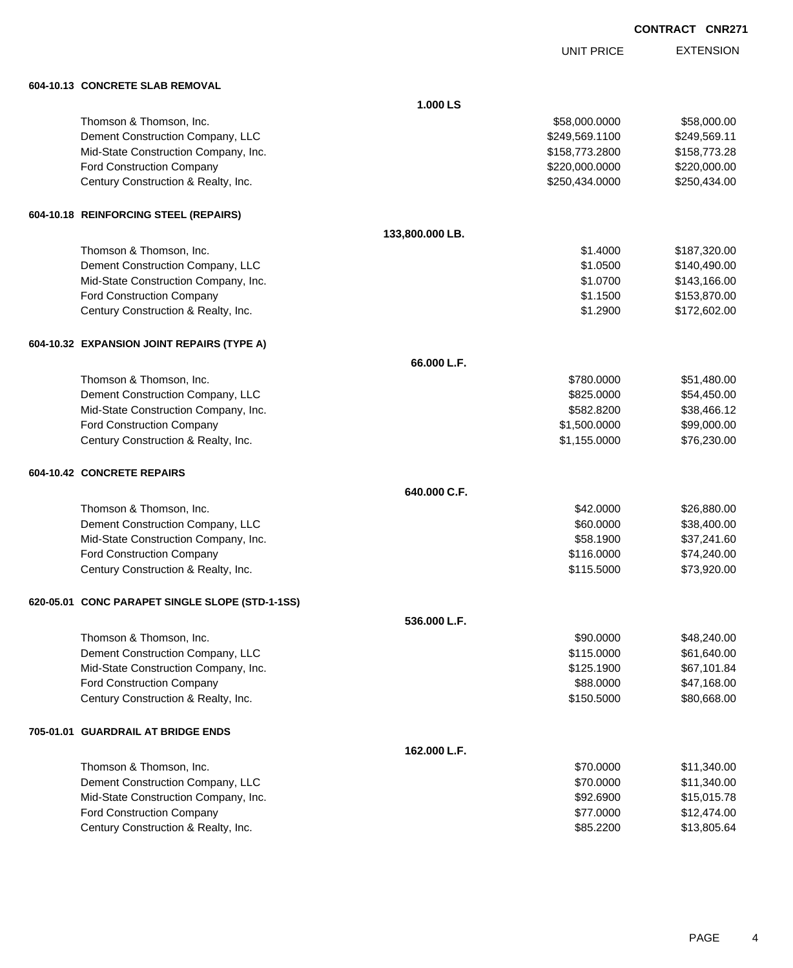UNIT PRICE

EXTENSION

| 604-10.13 CONCRETE SLAB REMOVAL |  |
|---------------------------------|--|
|                                 |  |

| 604-10.13 CONCRETE SLAB REMOVAL                 |                 |                |              |
|-------------------------------------------------|-----------------|----------------|--------------|
|                                                 | 1.000 LS        |                |              |
| Thomson & Thomson, Inc.                         |                 | \$58,000.0000  | \$58,000.00  |
| Dement Construction Company, LLC                |                 | \$249,569.1100 | \$249,569.11 |
| Mid-State Construction Company, Inc.            |                 | \$158,773.2800 | \$158,773.28 |
| Ford Construction Company                       |                 | \$220,000.0000 | \$220,000.00 |
| Century Construction & Realty, Inc.             |                 | \$250,434.0000 | \$250,434.00 |
| 604-10.18 REINFORCING STEEL (REPAIRS)           |                 |                |              |
|                                                 | 133,800.000 LB. |                |              |
| Thomson & Thomson, Inc.                         |                 | \$1,4000       | \$187,320.00 |
| Dement Construction Company, LLC                |                 | \$1.0500       | \$140,490.00 |
| Mid-State Construction Company, Inc.            |                 | \$1.0700       | \$143,166.00 |
| Ford Construction Company                       |                 | \$1.1500       | \$153,870.00 |
| Century Construction & Realty, Inc.             |                 | \$1.2900       | \$172,602.00 |
| 604-10.32 EXPANSION JOINT REPAIRS (TYPE A)      |                 |                |              |
|                                                 | 66.000 L.F.     |                |              |
| Thomson & Thomson, Inc.                         |                 | \$780.0000     | \$51,480.00  |
| Dement Construction Company, LLC                |                 | \$825.0000     | \$54,450.00  |
| Mid-State Construction Company, Inc.            |                 | \$582.8200     | \$38,466.12  |
| <b>Ford Construction Company</b>                |                 | \$1,500.0000   | \$99,000.00  |
| Century Construction & Realty, Inc.             |                 | \$1,155.0000   | \$76,230.00  |
| 604-10.42 CONCRETE REPAIRS                      |                 |                |              |
|                                                 | 640.000 C.F.    |                |              |
| Thomson & Thomson, Inc.                         |                 | \$42.0000      | \$26,880.00  |
| Dement Construction Company, LLC                |                 | \$60.0000      | \$38,400.00  |
| Mid-State Construction Company, Inc.            |                 | \$58.1900      | \$37,241.60  |
| Ford Construction Company                       |                 | \$116.0000     | \$74,240.00  |
| Century Construction & Realty, Inc.             |                 | \$115.5000     | \$73,920.00  |
| 620-05.01 CONC PARAPET SINGLE SLOPE (STD-1-1SS) |                 |                |              |
|                                                 | 536.000 L.F.    |                |              |
| Thomson & Thomson, Inc.                         |                 | \$90.0000      | \$48,240.00  |
| Dement Construction Company, LLC                |                 | \$115.0000     | \$61,640.00  |
| Mid-State Construction Company, Inc.            |                 | \$125.1900     | \$67,101.84  |
| Ford Construction Company                       |                 | \$88.0000      | \$47,168.00  |
| Century Construction & Realty, Inc.             |                 | \$150.5000     | \$80,668.00  |
| 705-01.01 GUARDRAIL AT BRIDGE ENDS              |                 |                |              |
|                                                 | 162.000 L.F.    |                |              |
| Thomson & Thomson, Inc.                         |                 | \$70.0000      | \$11,340.00  |
| Dement Construction Company, LLC                |                 | \$70.0000      | \$11,340.00  |
| Mid-State Construction Company, Inc.            |                 | \$92.6900      | \$15,015.78  |
| Ford Construction Company                       |                 | \$77.0000      | \$12,474.00  |
| Century Construction & Realty, Inc.             |                 | \$85.2200      | \$13,805.64  |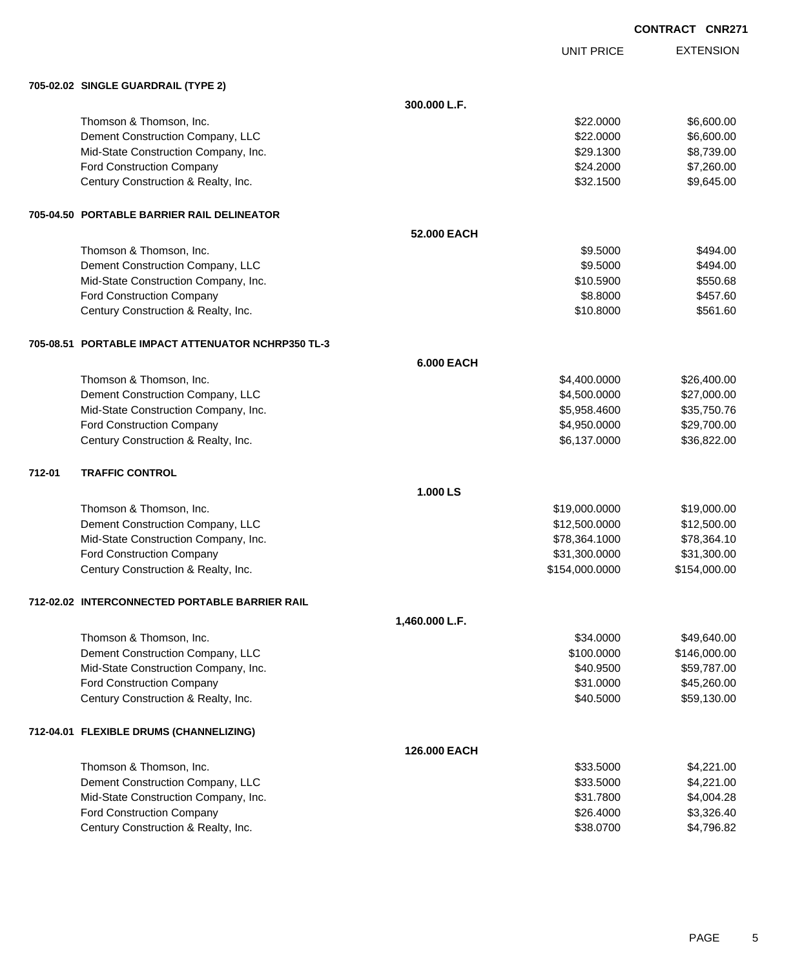|        |                                                    |                   |                   | CONTRACT CNR271 |                  |
|--------|----------------------------------------------------|-------------------|-------------------|-----------------|------------------|
|        |                                                    |                   | <b>UNIT PRICE</b> |                 | <b>EXTENSION</b> |
|        | 705-02.02 SINGLE GUARDRAIL (TYPE 2)                |                   |                   |                 |                  |
|        |                                                    | 300.000 L.F.      |                   |                 |                  |
|        | Thomson & Thomson, Inc.                            |                   | \$22.0000         |                 | \$6,600.00       |
|        | Dement Construction Company, LLC                   |                   | \$22.0000         |                 | \$6,600.00       |
|        | Mid-State Construction Company, Inc.               |                   | \$29.1300         |                 | \$8,739.00       |
|        | Ford Construction Company                          |                   | \$24.2000         |                 | \$7,260.00       |
|        | Century Construction & Realty, Inc.                |                   | \$32.1500         |                 | \$9,645.00       |
|        | 705-04.50 PORTABLE BARRIER RAIL DELINEATOR         |                   |                   |                 |                  |
|        |                                                    | 52.000 EACH       |                   |                 |                  |
|        | Thomson & Thomson, Inc.                            |                   | \$9.5000          |                 | \$494.00         |
|        | Dement Construction Company, LLC                   |                   | \$9.5000          |                 | \$494.00         |
|        | Mid-State Construction Company, Inc.               |                   | \$10.5900         |                 | \$550.68         |
|        | Ford Construction Company                          |                   | \$8.8000          |                 | \$457.60         |
|        | Century Construction & Realty, Inc.                |                   | \$10.8000         |                 | \$561.60         |
|        | 705-08.51 PORTABLE IMPACT ATTENUATOR NCHRP350 TL-3 |                   |                   |                 |                  |
|        |                                                    | <b>6.000 EACH</b> |                   |                 |                  |
|        | Thomson & Thomson, Inc.                            |                   | \$4,400.0000      |                 | \$26,400.00      |
|        | Dement Construction Company, LLC                   |                   | \$4,500.0000      |                 | \$27,000.00      |
|        | Mid-State Construction Company, Inc.               |                   | \$5,958.4600      |                 | \$35,750.76      |
|        | Ford Construction Company                          |                   | \$4,950.0000      |                 | \$29,700.00      |
|        | Century Construction & Realty, Inc.                |                   | \$6,137.0000      |                 | \$36,822.00      |
| 712-01 | <b>TRAFFIC CONTROL</b>                             |                   |                   |                 |                  |
|        |                                                    | 1.000 LS          |                   |                 |                  |
|        | Thomson & Thomson, Inc.                            |                   | \$19,000.0000     |                 | \$19,000.00      |
|        | Dement Construction Company, LLC                   |                   | \$12,500.0000     |                 | \$12,500.00      |
|        | Mid-State Construction Company, Inc.               |                   | \$78,364.1000     |                 | \$78,364.10      |
|        | <b>Ford Construction Company</b>                   |                   | \$31,300.0000     |                 | \$31,300.00      |
|        | Century Construction & Realty, Inc.                |                   | \$154,000.0000    |                 | \$154,000.00     |
|        | 712-02.02 INTERCONNECTED PORTABLE BARRIER RAIL     |                   |                   |                 |                  |
|        |                                                    | 1,460.000 L.F.    |                   |                 |                  |
|        | Thomson & Thomson, Inc.                            |                   | \$34.0000         |                 | \$49,640.00      |
|        | Dement Construction Company, LLC                   |                   | \$100.0000        |                 | \$146,000.00     |
|        | Mid-State Construction Company, Inc.               |                   | \$40.9500         |                 | \$59,787.00      |
|        | Ford Construction Company                          |                   | \$31.0000         |                 | \$45,260.00      |
|        | Century Construction & Realty, Inc.                |                   | \$40.5000         |                 | \$59,130.00      |
|        | 712-04.01 FLEXIBLE DRUMS (CHANNELIZING)            |                   |                   |                 |                  |
|        |                                                    | 126.000 EACH      |                   |                 |                  |
|        | Thomson & Thomson, Inc.                            |                   | \$33.5000         |                 | \$4,221.00       |
|        | Dement Construction Company, LLC                   |                   | \$33.5000         |                 | \$4,221.00       |
|        | Mid-State Construction Company, Inc.               |                   | \$31.7800         |                 | \$4,004.28       |
|        | Ford Construction Company                          |                   | \$26.4000         |                 | \$3,326.40       |

Century Construction & Realty, Inc. 6. The Construction & Realty, Inc. 6. The Construction & Realty, Inc.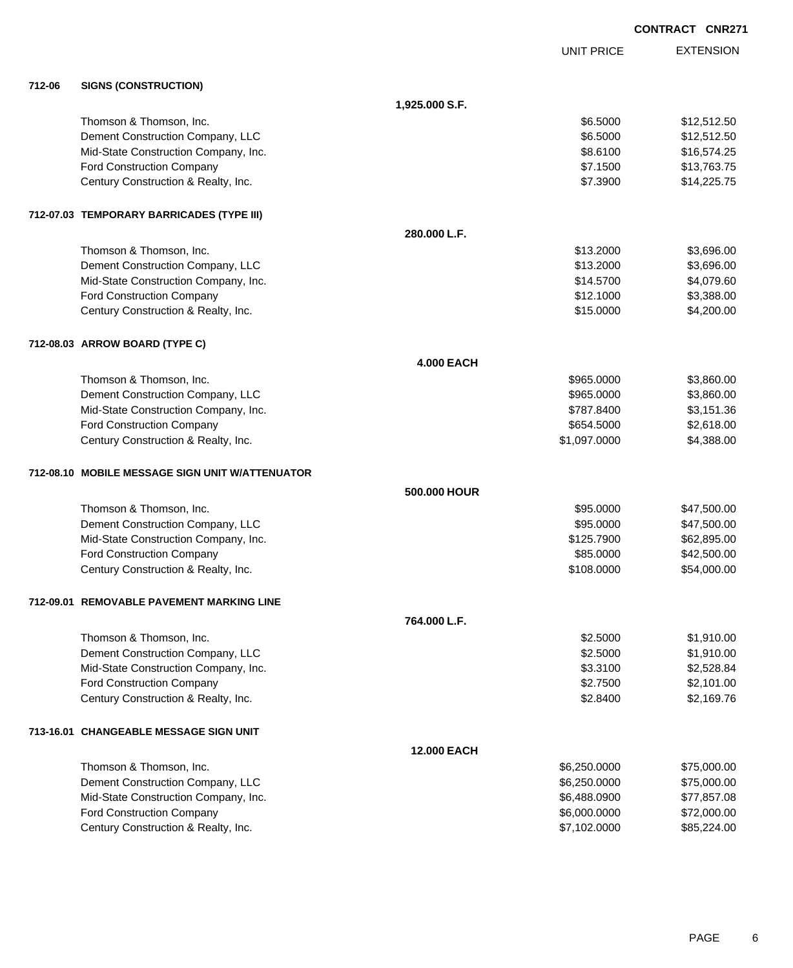|        |                                                 |                    |                   | <b>CONTRACT CNR271</b> |
|--------|-------------------------------------------------|--------------------|-------------------|------------------------|
|        |                                                 |                    | <b>UNIT PRICE</b> | <b>EXTENSION</b>       |
| 712-06 | <b>SIGNS (CONSTRUCTION)</b>                     |                    |                   |                        |
|        |                                                 | 1,925.000 S.F.     |                   |                        |
|        | Thomson & Thomson, Inc.                         |                    | \$6.5000          | \$12,512.50            |
|        | Dement Construction Company, LLC                |                    | \$6.5000          | \$12,512.50            |
|        | Mid-State Construction Company, Inc.            |                    | \$8.6100          | \$16,574.25            |
|        | Ford Construction Company                       |                    | \$7.1500          | \$13,763.75            |
|        | Century Construction & Realty, Inc.             |                    | \$7,3900          | \$14,225.75            |
|        | 712-07.03 TEMPORARY BARRICADES (TYPE III)       |                    |                   |                        |
|        |                                                 | 280.000 L.F.       |                   |                        |
|        | Thomson & Thomson, Inc.                         |                    | \$13.2000         | \$3,696.00             |
|        | Dement Construction Company, LLC                |                    | \$13.2000         | \$3,696.00             |
|        | Mid-State Construction Company, Inc.            |                    | \$14.5700         | \$4,079.60             |
|        | <b>Ford Construction Company</b>                |                    | \$12.1000         | \$3,388.00             |
|        | Century Construction & Realty, Inc.             |                    | \$15.0000         | \$4,200.00             |
|        | 712-08.03 ARROW BOARD (TYPE C)                  |                    |                   |                        |
|        |                                                 | <b>4.000 EACH</b>  |                   |                        |
|        | Thomson & Thomson, Inc.                         |                    | \$965.0000        | \$3,860.00             |
|        | Dement Construction Company, LLC                |                    | \$965.0000        | \$3,860.00             |
|        | Mid-State Construction Company, Inc.            |                    | \$787.8400        | \$3,151.36             |
|        | Ford Construction Company                       |                    | \$654.5000        | \$2,618.00             |
|        | Century Construction & Realty, Inc.             |                    | \$1,097.0000      | \$4,388.00             |
|        | 712-08.10 MOBILE MESSAGE SIGN UNIT W/ATTENUATOR |                    |                   |                        |
|        |                                                 | 500.000 HOUR       |                   |                        |
|        | Thomson & Thomson, Inc.                         |                    | \$95,0000         | \$47,500.00            |
|        | Dement Construction Company, LLC                |                    | \$95.0000         | \$47,500.00            |
|        | Mid-State Construction Company, Inc.            |                    | \$125.7900        | \$62,895.00            |
|        | <b>Ford Construction Company</b>                |                    | \$85,0000         | \$42,500.00            |
|        | Century Construction & Realty, Inc.             |                    | \$108.0000        | \$54,000.00            |
|        | 712-09.01 REMOVABLE PAVEMENT MARKING LINE       |                    |                   |                        |
|        |                                                 | 764.000 L.F.       |                   |                        |
|        | Thomson & Thomson, Inc.                         |                    | \$2.5000          | \$1,910.00             |
|        | Dement Construction Company, LLC                |                    | \$2.5000          | \$1,910.00             |
|        | Mid-State Construction Company, Inc.            |                    | \$3.3100          | \$2,528.84             |
|        | Ford Construction Company                       |                    | \$2.7500          | \$2,101.00             |
|        | Century Construction & Realty, Inc.             |                    | \$2.8400          | \$2,169.76             |
|        | 713-16.01 CHANGEABLE MESSAGE SIGN UNIT          |                    |                   |                        |
|        |                                                 | <b>12.000 EACH</b> |                   |                        |
|        | Thomson & Thomson, Inc.                         |                    | \$6,250.0000      | \$75,000.00            |
|        | Dement Construction Company, LLC                |                    | \$6,250.0000      | \$75,000.00            |
|        | Mid-State Construction Company, Inc.            |                    | \$6,488.0900      | \$77,857.08            |
|        | Ford Construction Company                       |                    | \$6,000.0000      | \$72,000.00            |
|        | Century Construction & Realty, Inc.             |                    | \$7,102.0000      | \$85,224.00            |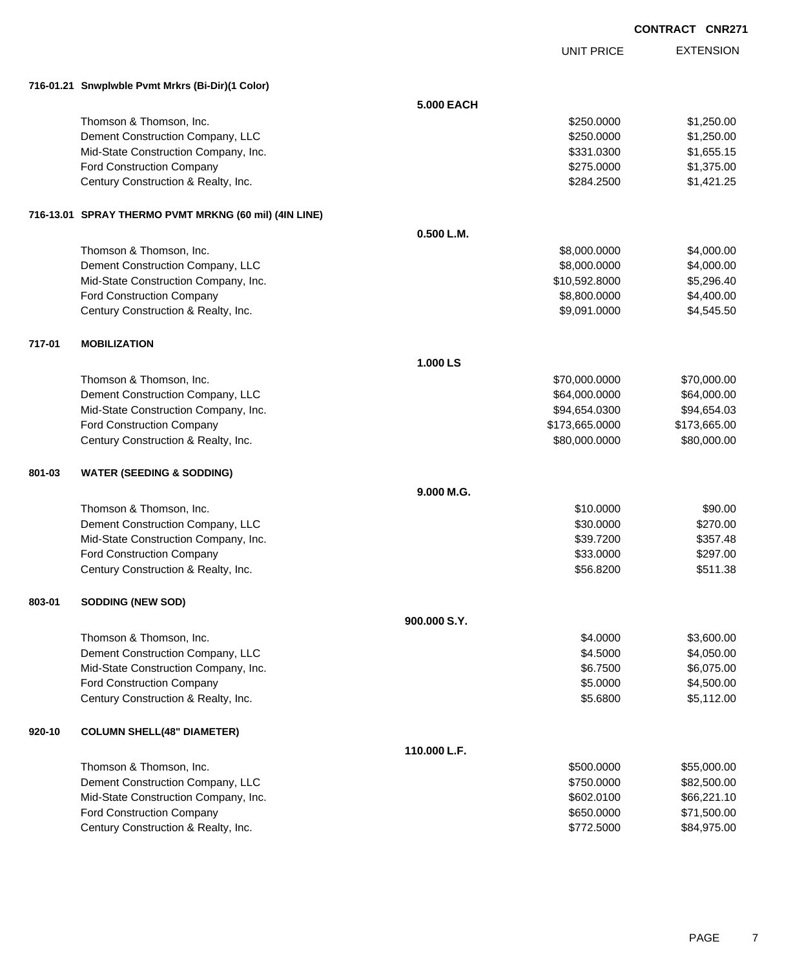|        |                                                                  |              | <b>UNIT PRICE</b>      | <b>EXTENSION</b>     |
|--------|------------------------------------------------------------------|--------------|------------------------|----------------------|
|        | 716-01.21 Snwplwble Pvmt Mrkrs (Bi-Dir)(1 Color)                 |              |                        |                      |
|        |                                                                  | 5.000 EACH   |                        |                      |
|        | Thomson & Thomson, Inc.                                          |              | \$250,0000             | \$1,250.00           |
|        | Dement Construction Company, LLC                                 |              | \$250.0000             | \$1,250.00           |
|        | Mid-State Construction Company, Inc.                             |              | \$331.0300             | \$1,655.15           |
|        | Ford Construction Company                                        |              | \$275.0000             | \$1,375.00           |
|        | Century Construction & Realty, Inc.                              |              | \$284.2500             | \$1,421.25           |
|        |                                                                  |              |                        |                      |
|        | 716-13.01 SPRAY THERMO PVMT MRKNG (60 mil) (4IN LINE)            |              |                        |                      |
|        |                                                                  | 0.500 L.M.   |                        |                      |
|        | Thomson & Thomson, Inc.                                          |              | \$8,000.0000           | \$4,000.00           |
|        | Dement Construction Company, LLC                                 |              | \$8,000.0000           | \$4,000.00           |
|        | Mid-State Construction Company, Inc.                             |              | \$10,592.8000          | \$5,296.40           |
|        | Ford Construction Company                                        |              | \$8,800.0000           | \$4,400.00           |
|        | Century Construction & Realty, Inc.                              |              | \$9,091.0000           | \$4,545.50           |
| 717-01 | <b>MOBILIZATION</b>                                              |              |                        |                      |
|        |                                                                  | 1.000 LS     |                        |                      |
|        | Thomson & Thomson, Inc.                                          |              | \$70,000.0000          | \$70,000.00          |
|        | Dement Construction Company, LLC                                 |              | \$64,000.0000          | \$64,000.00          |
|        | Mid-State Construction Company, Inc.                             |              | \$94,654.0300          | \$94,654.03          |
|        | Ford Construction Company                                        |              | \$173,665.0000         | \$173,665.00         |
|        | Century Construction & Realty, Inc.                              |              | \$80,000.0000          | \$80,000.00          |
|        |                                                                  |              |                        |                      |
| 801-03 | <b>WATER (SEEDING &amp; SODDING)</b>                             | 9.000 M.G.   |                        |                      |
|        | Thomson & Thomson, Inc.                                          |              | \$10.0000              | \$90.00              |
|        | Dement Construction Company, LLC                                 |              |                        |                      |
|        | Mid-State Construction Company, Inc.                             |              | \$30.0000<br>\$39.7200 | \$270.00             |
|        |                                                                  |              | \$33.0000              | \$357.48<br>\$297.00 |
|        | Ford Construction Company<br>Century Construction & Realty, Inc. |              |                        |                      |
|        |                                                                  |              | \$56.8200              | \$511.38             |
| 803-01 | SODDING (NEW SOD)                                                |              |                        |                      |
|        |                                                                  | 900,000 S.Y. |                        |                      |
|        | Thomson & Thomson, Inc.                                          |              | \$4.0000               | \$3,600.00           |
|        | Dement Construction Company, LLC                                 |              | \$4.5000               | \$4,050.00           |
|        | Mid-State Construction Company, Inc.                             |              | \$6.7500               | \$6,075.00           |
|        | Ford Construction Company                                        |              | \$5.0000               | \$4,500.00           |
|        | Century Construction & Realty, Inc.                              |              | \$5.6800               | \$5,112.00           |
| 920-10 | <b>COLUMN SHELL(48" DIAMETER)</b>                                |              |                        |                      |
|        |                                                                  | 110.000 L.F. |                        |                      |
|        | Thomson & Thomson, Inc.                                          |              | \$500.0000             | \$55,000.00          |
|        | Dement Construction Company, LLC                                 |              | \$750.0000             | \$82,500.00          |
|        | Mid-State Construction Company, Inc.                             |              | \$602.0100             | \$66,221.10          |
|        | Ford Construction Company                                        |              | \$650.0000             | \$71,500.00          |
|        | Century Construction & Realty, Inc.                              |              | \$772.5000             | \$84,975.00          |
|        |                                                                  |              |                        |                      |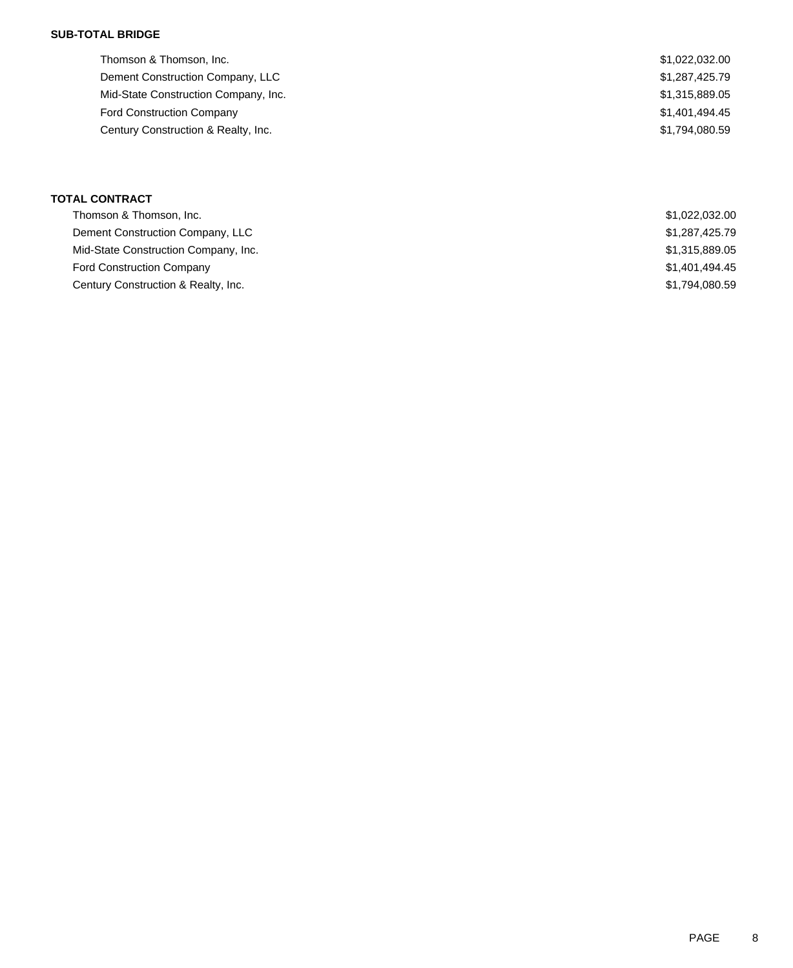### **SUB-TOTAL BRIDGE**

| Thomson & Thomson, Inc.              | \$1,022,032.00 |
|--------------------------------------|----------------|
| Dement Construction Company, LLC     | \$1,287,425.79 |
| Mid-State Construction Company, Inc. | \$1,315,889.05 |
| <b>Ford Construction Company</b>     | \$1,401,494.45 |
| Century Construction & Realty, Inc.  | \$1,794,080.59 |
|                                      |                |

### **TOTAL CONTRACT**

| Thomson & Thomson, Inc.              | \$1,022,032.00 |
|--------------------------------------|----------------|
| Dement Construction Company, LLC     | \$1,287,425.79 |
| Mid-State Construction Company, Inc. | \$1,315,889.05 |
| <b>Ford Construction Company</b>     | \$1,401,494.45 |
| Century Construction & Realty, Inc.  | \$1,794,080.59 |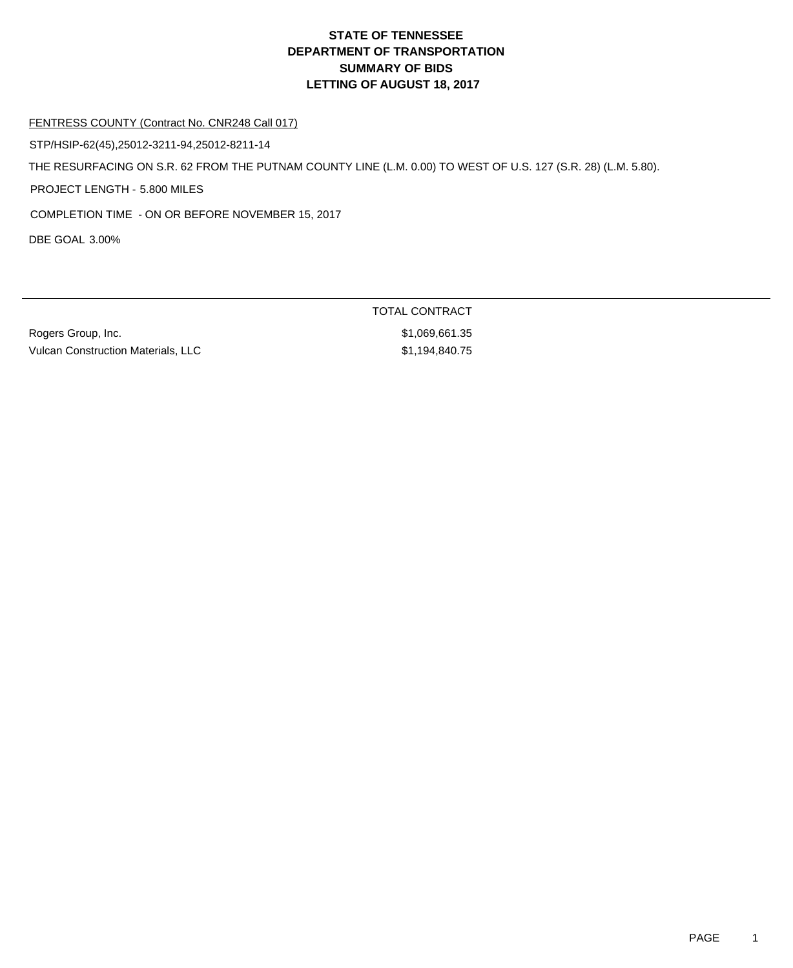## **DEPARTMENT OF TRANSPORTATION SUMMARY OF BIDS LETTING OF AUGUST 18, 2017 STATE OF TENNESSEE**

#### FENTRESS COUNTY (Contract No. CNR248 Call 017)

STP/HSIP-62(45),25012-3211-94,25012-8211-14

THE RESURFACING ON S.R. 62 FROM THE PUTNAM COUNTY LINE (L.M. 0.00) TO WEST OF U.S. 127 (S.R. 28) (L.M. 5.80).

PROJECT LENGTH - 5.800 MILES

COMPLETION TIME - ON OR BEFORE NOVEMBER 15, 2017

DBE GOAL 3.00%

Rogers Group, Inc. 6. The Contract of the Contract of the Street Street Street Street Street Street Street Street Street Street Street Street Street Street Street Street Street Street Street Street Street Street Street Str Vulcan Construction Materials, LLC \$1,194,840.75

TOTAL CONTRACT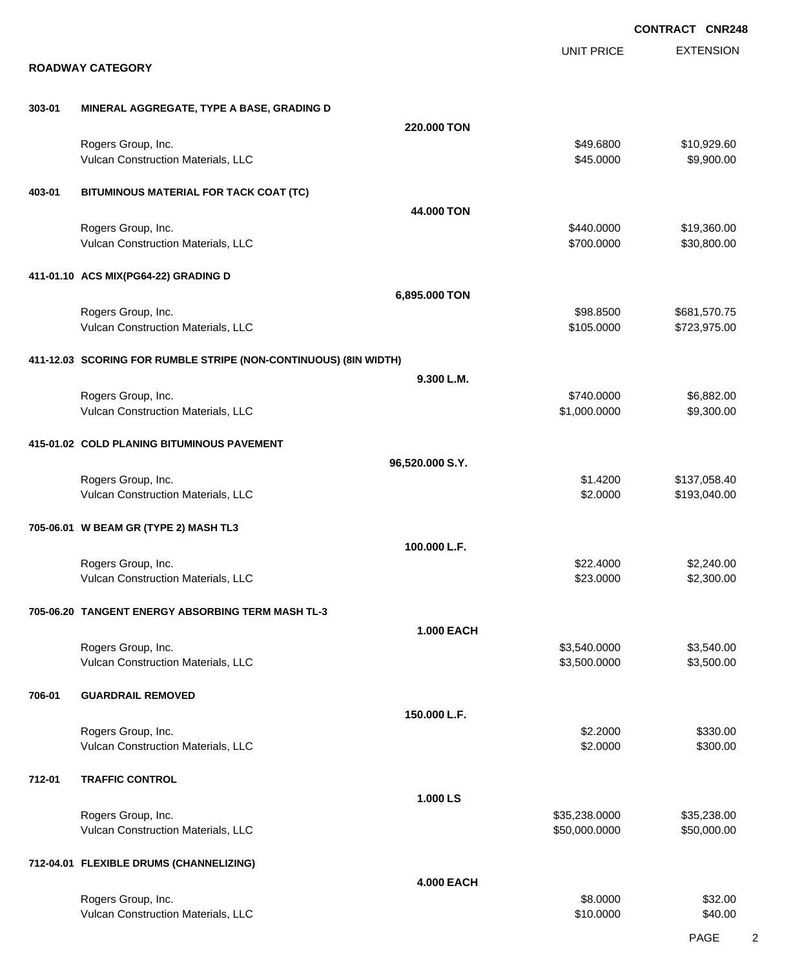|        |                                                                  |                   |                          | <b>CONTRACT CNR248</b>       |
|--------|------------------------------------------------------------------|-------------------|--------------------------|------------------------------|
|        |                                                                  |                   | <b>UNIT PRICE</b>        | <b>EXTENSION</b>             |
|        | <b>ROADWAY CATEGORY</b>                                          |                   |                          |                              |
| 303-01 | MINERAL AGGREGATE, TYPE A BASE, GRADING D                        |                   |                          |                              |
|        |                                                                  | 220.000 TON       |                          |                              |
|        | Rogers Group, Inc.<br>Vulcan Construction Materials, LLC         |                   | \$49.6800<br>\$45.0000   | \$10,929.60<br>\$9,900.00    |
| 403-01 | BITUMINOUS MATERIAL FOR TACK COAT (TC)                           |                   |                          |                              |
|        |                                                                  | 44.000 TON        |                          |                              |
|        | Rogers Group, Inc.<br>Vulcan Construction Materials, LLC         |                   | \$440.0000<br>\$700.0000 | \$19,360.00<br>\$30,800.00   |
|        | 411-01.10 ACS MIX(PG64-22) GRADING D                             |                   |                          |                              |
|        |                                                                  | 6,895.000 TON     |                          |                              |
|        | Rogers Group, Inc.<br>Vulcan Construction Materials, LLC         |                   | \$98.8500<br>\$105.0000  | \$681,570.75<br>\$723,975.00 |
|        | 411-12.03 SCORING FOR RUMBLE STRIPE (NON-CONTINUOUS) (8IN WIDTH) |                   |                          |                              |
|        |                                                                  | 9.300 L.M.        |                          |                              |
|        | Rogers Group, Inc.                                               |                   | \$740.0000               | \$6,882.00                   |
|        | Vulcan Construction Materials, LLC                               |                   | \$1,000.0000             | \$9,300.00                   |
|        | 415-01.02 COLD PLANING BITUMINOUS PAVEMENT                       |                   |                          |                              |
|        |                                                                  | 96,520.000 S.Y.   |                          |                              |
|        | Rogers Group, Inc.<br>Vulcan Construction Materials, LLC         |                   | \$1.4200<br>\$2.0000     | \$137,058.40<br>\$193,040.00 |
|        |                                                                  |                   |                          |                              |
|        | 705-06.01 W BEAM GR (TYPE 2) MASH TL3                            |                   |                          |                              |
|        |                                                                  | 100.000 L.F.      |                          |                              |
|        | Rogers Group, Inc.<br>Vulcan Construction Materials, LLC         |                   | \$22.4000<br>\$23.0000   | \$2,240.00<br>\$2,300.00     |
|        |                                                                  |                   |                          |                              |
|        | 705-06.20 TANGENT ENERGY ABSORBING TERM MASH TL-3                |                   |                          |                              |
|        | Rogers Group, Inc.                                               | <b>1.000 EACH</b> | \$3,540.0000             | \$3,540.00                   |
|        | Vulcan Construction Materials, LLC                               |                   | \$3,500.0000             | \$3,500.00                   |
| 706-01 | <b>GUARDRAIL REMOVED</b>                                         |                   |                          |                              |
|        |                                                                  | 150.000 L.F.      |                          |                              |
|        | Rogers Group, Inc.                                               |                   | \$2.2000                 | \$330.00                     |
|        | Vulcan Construction Materials, LLC                               |                   | \$2.0000                 | \$300.00                     |
| 712-01 | <b>TRAFFIC CONTROL</b>                                           |                   |                          |                              |
|        |                                                                  | 1.000 LS          |                          |                              |
|        | Rogers Group, Inc.                                               |                   | \$35,238.0000            | \$35,238.00                  |
|        | Vulcan Construction Materials, LLC                               |                   | \$50,000.0000            | \$50,000.00                  |
|        | 712-04.01 FLEXIBLE DRUMS (CHANNELIZING)                          |                   |                          |                              |
|        |                                                                  | <b>4.000 EACH</b> |                          |                              |
|        | Rogers Group, Inc.                                               |                   | \$8.0000                 | \$32.00                      |
|        | Vulcan Construction Materials, LLC                               |                   | \$10.0000                | \$40.00                      |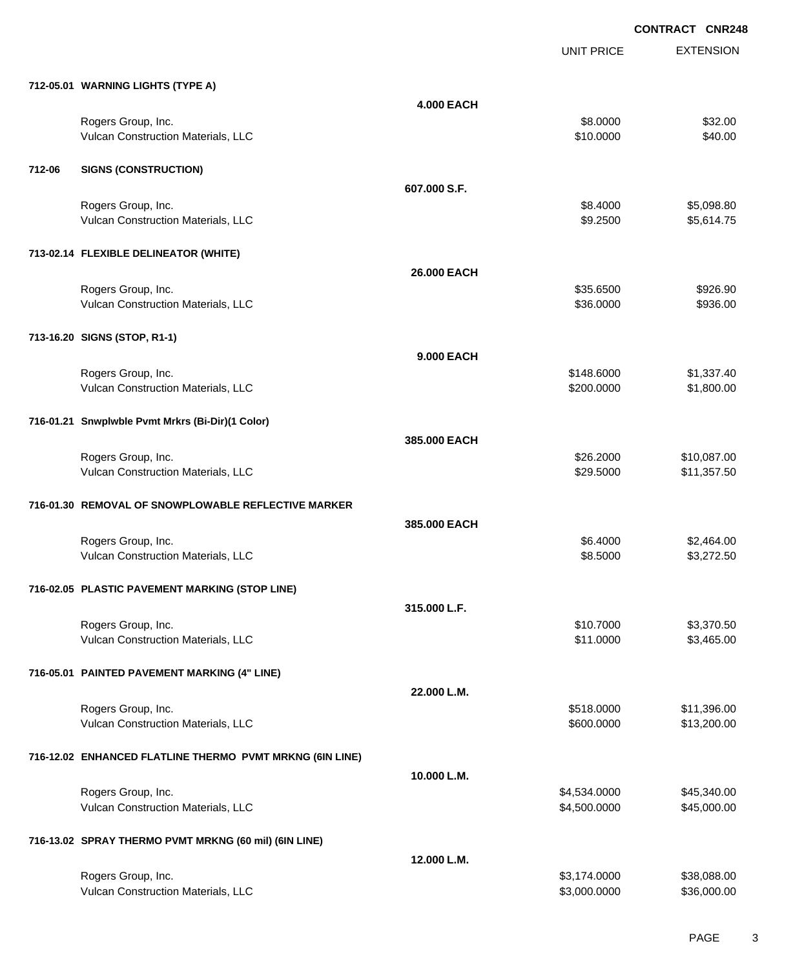UNIT PRICE

EXTENSION

|        | 712-05.01 WARNING LIGHTS (TYPE A)                        |                   |              |             |
|--------|----------------------------------------------------------|-------------------|--------------|-------------|
|        |                                                          | <b>4.000 EACH</b> |              |             |
|        | Rogers Group, Inc.                                       |                   | \$8.0000     | \$32.00     |
|        | Vulcan Construction Materials, LLC                       |                   | \$10.0000    | \$40.00     |
|        |                                                          |                   |              |             |
| 712-06 | <b>SIGNS (CONSTRUCTION)</b>                              |                   |              |             |
|        |                                                          | 607.000 S.F.      |              |             |
|        | Rogers Group, Inc.                                       |                   | \$8.4000     | \$5,098.80  |
|        | Vulcan Construction Materials, LLC                       |                   | \$9.2500     | \$5,614.75  |
|        |                                                          |                   |              |             |
|        | 713-02.14 FLEXIBLE DELINEATOR (WHITE)                    |                   |              |             |
|        |                                                          | 26.000 EACH       |              |             |
|        |                                                          |                   | \$35.6500    | \$926.90    |
|        | Rogers Group, Inc.<br>Vulcan Construction Materials, LLC |                   | \$36.0000    | \$936.00    |
|        |                                                          |                   |              |             |
|        | 713-16.20 SIGNS (STOP, R1-1)                             |                   |              |             |
|        |                                                          |                   |              |             |
|        |                                                          | 9.000 EACH        |              |             |
|        | Rogers Group, Inc.                                       |                   | \$148.6000   | \$1,337.40  |
|        | Vulcan Construction Materials, LLC                       |                   | \$200.0000   | \$1,800.00  |
|        |                                                          |                   |              |             |
|        | 716-01.21 Snwplwble Pvmt Mrkrs (Bi-Dir)(1 Color)         |                   |              |             |
|        |                                                          | 385.000 EACH      |              |             |
|        | Rogers Group, Inc.                                       |                   | \$26.2000    | \$10,087.00 |
|        | Vulcan Construction Materials, LLC                       |                   | \$29.5000    | \$11,357.50 |
|        |                                                          |                   |              |             |
|        | 716-01.30 REMOVAL OF SNOWPLOWABLE REFLECTIVE MARKER      |                   |              |             |
|        |                                                          | 385.000 EACH      |              |             |
|        | Rogers Group, Inc.                                       |                   | \$6.4000     | \$2,464.00  |
|        | Vulcan Construction Materials, LLC                       |                   | \$8.5000     | \$3,272.50  |
|        |                                                          |                   |              |             |
|        | 716-02.05 PLASTIC PAVEMENT MARKING (STOP LINE)           |                   |              |             |
|        |                                                          | 315.000 L.F.      |              |             |
|        | Rogers Group, Inc.                                       |                   | \$10.7000    | \$3,370.50  |
|        | Vulcan Construction Materials, LLC                       |                   | \$11.0000    | \$3,465.00  |
|        |                                                          |                   |              |             |
|        | 716-05.01 PAINTED PAVEMENT MARKING (4" LINE)             |                   |              |             |
|        |                                                          | 22.000 L.M.       |              |             |
|        | Rogers Group, Inc.                                       |                   | \$518.0000   | \$11,396.00 |
|        | Vulcan Construction Materials, LLC                       |                   | \$600.0000   | \$13,200.00 |
|        |                                                          |                   |              |             |
|        | 716-12.02 ENHANCED FLATLINE THERMO PVMT MRKNG (6IN LINE) |                   |              |             |
|        |                                                          |                   |              |             |
|        |                                                          | 10.000 L.M.       |              |             |
|        | Rogers Group, Inc.                                       |                   | \$4,534.0000 | \$45,340.00 |
|        | Vulcan Construction Materials, LLC                       |                   | \$4,500.0000 | \$45,000.00 |
|        |                                                          |                   |              |             |
|        | 716-13.02 SPRAY THERMO PVMT MRKNG (60 mil) (6IN LINE)    |                   |              |             |

|                                           | 12.000 L.M.  |             |
|-------------------------------------------|--------------|-------------|
| Rogers Group, Inc.                        | \$3.174.0000 | \$38,088.00 |
| <b>Vulcan Construction Materials, LLC</b> | \$3,000,0000 | \$36,000.00 |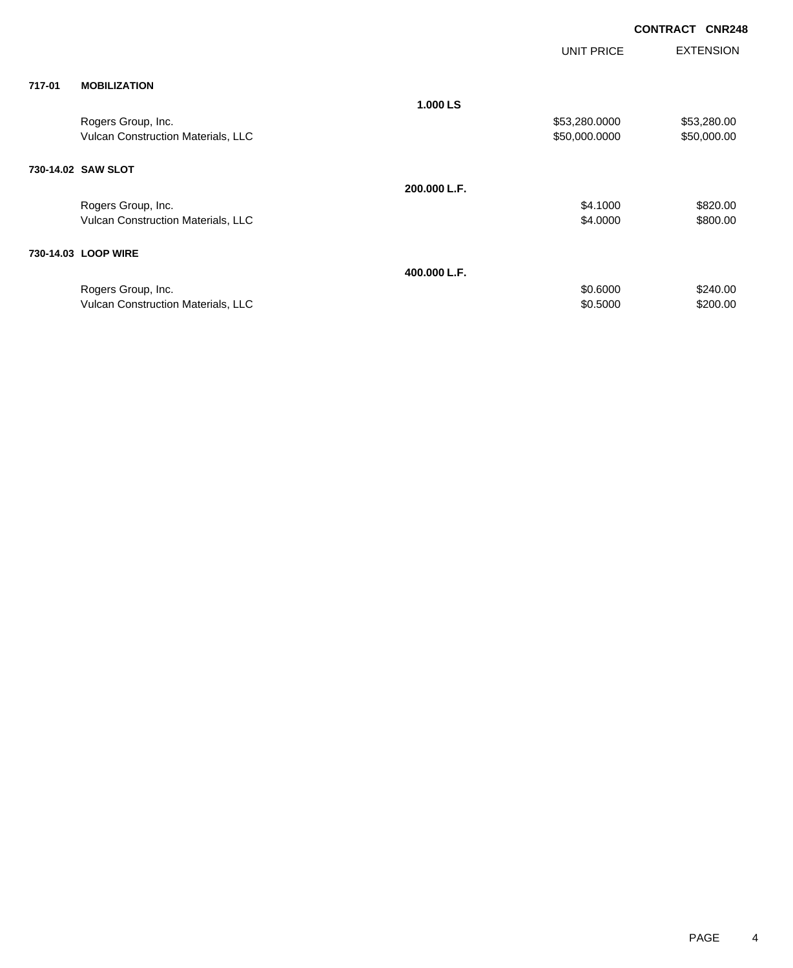|        |                                    |              | UNIT PRICE    | <b>EXTENSION</b> |
|--------|------------------------------------|--------------|---------------|------------------|
| 717-01 | <b>MOBILIZATION</b>                |              |               |                  |
|        |                                    | 1.000 LS     |               |                  |
|        | Rogers Group, Inc.                 |              | \$53,280.0000 | \$53,280.00      |
|        | Vulcan Construction Materials, LLC |              | \$50,000.0000 | \$50,000.00      |
|        | 730-14.02 SAW SLOT                 |              |               |                  |
|        |                                    | 200.000 L.F. |               |                  |
|        | Rogers Group, Inc.                 |              | \$4.1000      | \$820.00         |
|        | Vulcan Construction Materials, LLC |              | \$4.0000      | \$800.00         |
|        | 730-14.03 LOOP WIRE                |              |               |                  |
|        |                                    | 400.000 L.F. |               |                  |
|        | Rogers Group, Inc.                 |              | \$0.6000      | \$240.00         |
|        | Vulcan Construction Materials, LLC |              | \$0.5000      | \$200.00         |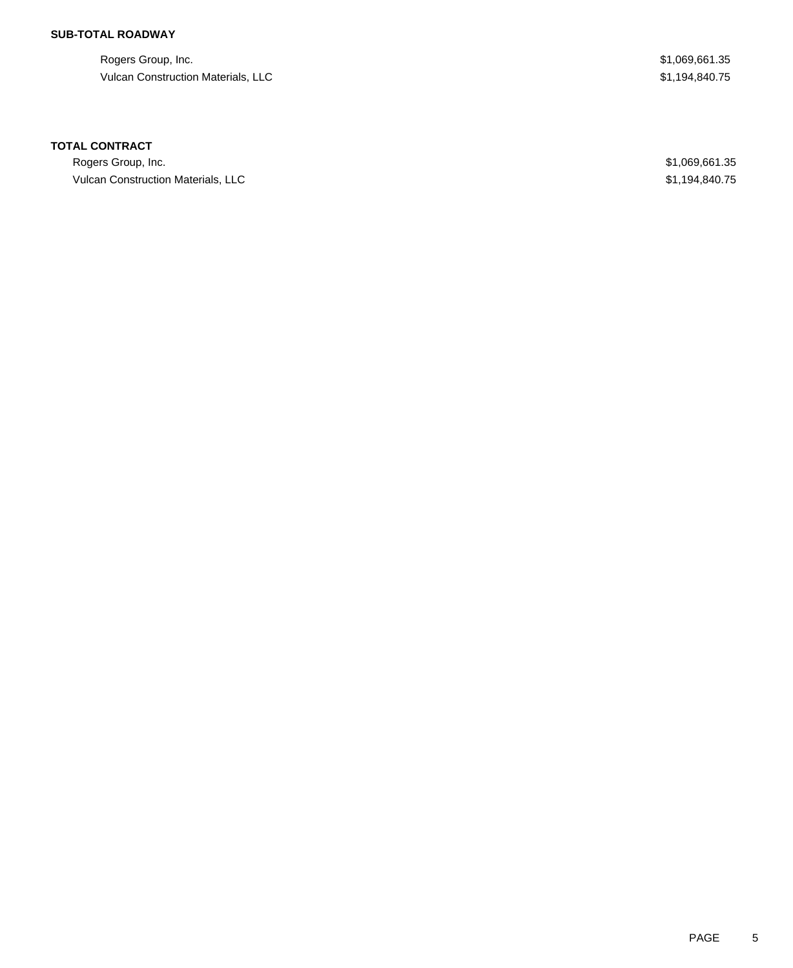## **SUB-TOTAL ROADWAY**

Rogers Group, Inc. \$1,069,661.35 Vulcan Construction Materials, LLC 61,194,840.75

### **TOTAL CONTRACT**

Rogers Group, Inc. \$1,069,661.35 Vulcan Construction Materials, LLC **1994,840.75** S1,194,840.75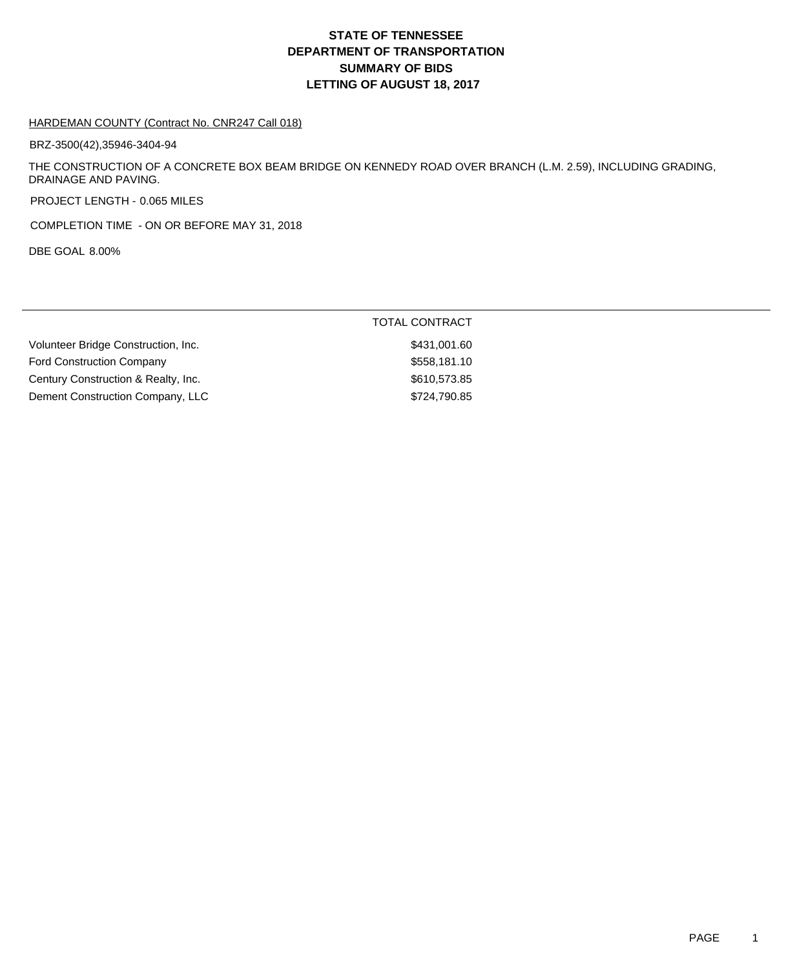## **DEPARTMENT OF TRANSPORTATION SUMMARY OF BIDS LETTING OF AUGUST 18, 2017 STATE OF TENNESSEE**

#### HARDEMAN COUNTY (Contract No. CNR247 Call 018)

BRZ-3500(42),35946-3404-94

THE CONSTRUCTION OF A CONCRETE BOX BEAM BRIDGE ON KENNEDY ROAD OVER BRANCH (L.M. 2.59), INCLUDING GRADING, DRAINAGE AND PAVING.

PROJECT LENGTH - 0.065 MILES

COMPLETION TIME - ON OR BEFORE MAY 31, 2018

DBE GOAL 8.00%

|                                     | <b>TOTAL CONTRACT</b> |
|-------------------------------------|-----------------------|
| Volunteer Bridge Construction, Inc. | \$431,001.60          |
| <b>Ford Construction Company</b>    | \$558,181.10          |
| Century Construction & Realty, Inc. | \$610,573.85          |
| Dement Construction Company, LLC    | \$724,790.85          |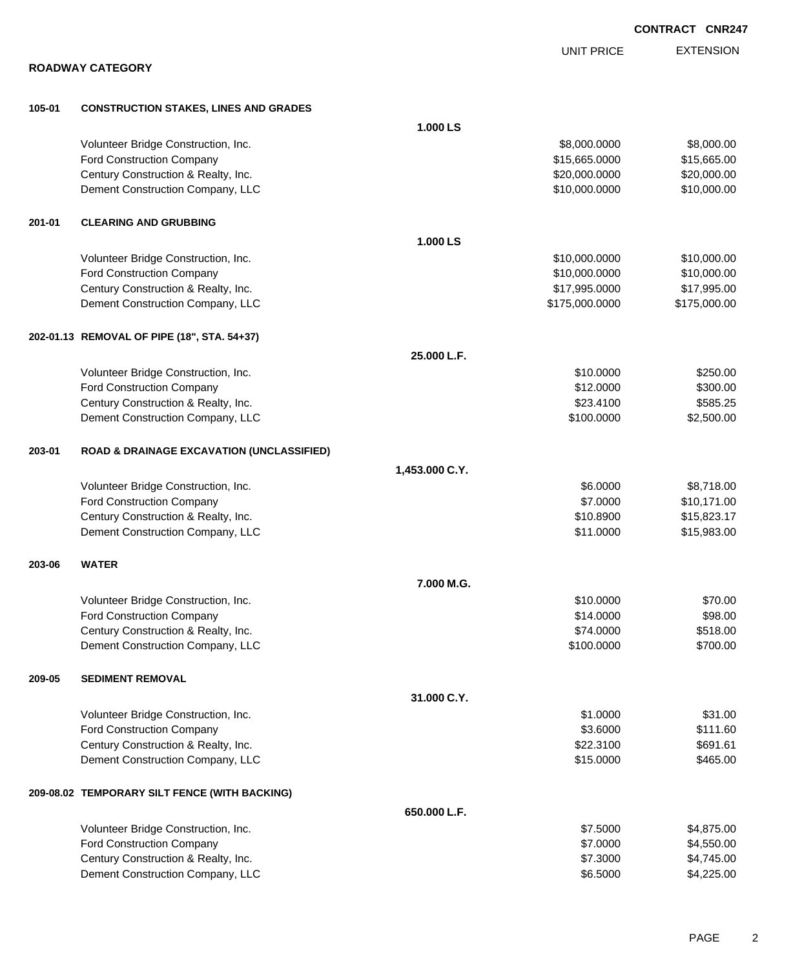EXTENSION UNIT PRICE **ROADWAY CATEGORY 105-01 CONSTRUCTION STAKES, LINES AND GRADES 1.000 LS** Volunteer Bridge Construction, Inc. 6. The Construction of the Construction, Inc. 6. The Construction of the Construction, Inc. 6. The Construction of the Construction of the Construction of the Construction of the Constru Ford Construction Company 615,665.000 \$15,665.000 \$15,665.000 \$15,665.000 Century Construction & Realty, Inc. 6. The Construction of Realty, Inc. 6. The Construction of Realty, Inc. 6. The Construction of Realty, Inc. 6. The Construction of Realty, Inc. 6. The Construction of Realty, Inc. 6. The Dement Construction Company, LLC 6 and the state of the state of the state  $$10,000.000$  \$10,000.000 \$10,000.00 **201-01 CLEARING AND GRUBBING 1.000 LS** Volunteer Bridge Construction, Inc. 6. 2010 12:30 12:30 12:30 12:30 12:31 12:32 12:32 12:32 12:32 12:32 12:32 12:32 12:32 12:32 12:32 12:32 12:32 12:32 12:32 12:32 12:32 12:32 12:32 12:32 12:32 12:32 12:32 12:32 12:32 12:3 Ford Construction Company 610,000.000 \$10,000.000 \$10,000.000 \$10,000.000 \$10,000.00 Century Construction & Realty, Inc. 6. The Construction of Realty, Inc. 6. The Construction of Realty, Inc. 6. The Construction of Realty, Inc. 6. The Construction of Realty, Inc. 6. The Construction of Realty, Inc. 6. The Dement Construction Company, LLC 6. The matrix of the state of the state  $$175,000.0000$  \$175,000.000 **202-01.13 REMOVAL OF PIPE (18", STA. 54+37) 25.000 L.F.** Volunteer Bridge Construction, Inc. 6250.00 Ford Construction Company 6300.00 \$300.00 \$300.00 \$300.00 \$300.00 \$300.00 \$300.00 \$300.00 \$300.00 \$300.00 \$300 Century Construction & Realty, Inc. 6. The Construction of Realty, Inc. 6. The Construction of Realty, Inc. 6. Dement Construction Company, LLC 6 and the state of the state of the state of the state of the state of the state of the state of the state of the state of the state of the state of the state of the state of the state of t **203-01 ROAD & DRAINAGE EXCAVATION (UNCLASSIFIED) 1,453.000 C.Y.** Volunteer Bridge Construction, Inc. 68.718.00 \$8,718.00 \$8,718.00 Ford Construction Company 610,171.00 Century Construction & Realty, Inc.  $$15,823.17$ Dement Construction Company, LLC 6 and the state of the state of the state of the state of the state of the state of the state of the state of the state of the state of the state of the state of the state of the state of t **203-06 WATER 7.000 M.G.** Volunteer Bridge Construction, Inc. 6. The Construction of the Construction of the Construction, Inc. 6. The Construction of the Construction of the Construction, Inc. 6. The Construction of the Construction of the Constru Ford Construction Company  $$98.00$ Century Construction & Realty, Inc. 6. The Construction of Realty, Inc. 6. The Construction of Realty, Inc. 6. Dement Construction Company, LLC 6 and the state of the state of the state of the state of the state of the state of the state of the state of the state of the state of the state of the state of the state of the state of t **209-05 SEDIMENT REMOVAL 31.000 C.Y.** Volunteer Bridge Construction, Inc. 631.000 \$31.00 Ford Construction Company 6111.60 Century Construction & Realty, Inc. 691.61 and the construction of Realty, Inc. 691.61 Dement Construction Company, LLC **\$15.0000 \$465.00** \$465.00 **209-08.02 TEMPORARY SILT FENCE (WITH BACKING) 650.000 L.F.** Volunteer Bridge Construction, Inc. \$7.5000 \$4,875.00 Ford Construction Company 64,550.00 \$4,550.00 Century Construction & Realty, Inc. 6. 2012 12:3000 \$4,745.00

Dement Construction Company, LLC 6.6000 \$4,225.00

**CONTRACT CNR247**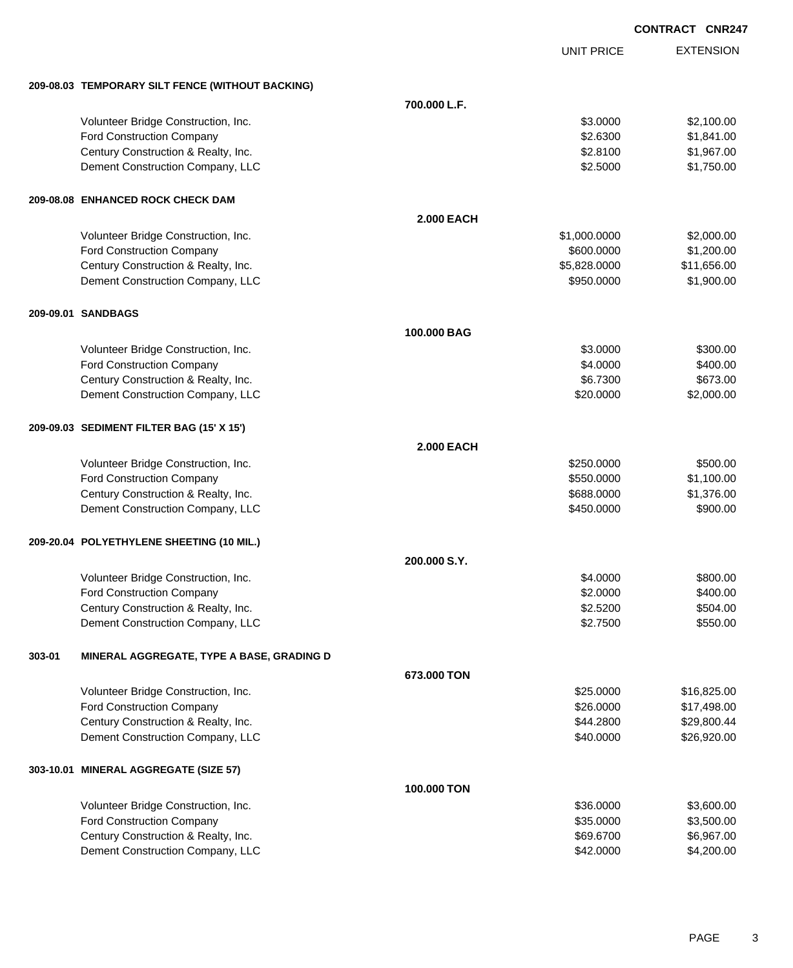|        |                                                  |                   |                   | <b>CONTRACT CNR247</b> |
|--------|--------------------------------------------------|-------------------|-------------------|------------------------|
|        |                                                  |                   | <b>UNIT PRICE</b> | <b>EXTENSION</b>       |
|        | 209-08.03 TEMPORARY SILT FENCE (WITHOUT BACKING) |                   |                   |                        |
|        |                                                  | 700.000 L.F.      |                   |                        |
|        | Volunteer Bridge Construction, Inc.              |                   | \$3.0000          | \$2,100.00             |
|        | Ford Construction Company                        |                   | \$2.6300          | \$1,841.00             |
|        | Century Construction & Realty, Inc.              |                   | \$2.8100          | \$1,967.00             |
|        | Dement Construction Company, LLC                 |                   | \$2.5000          | \$1,750.00             |
|        | 209-08.08 ENHANCED ROCK CHECK DAM                |                   |                   |                        |
|        |                                                  | <b>2.000 EACH</b> |                   |                        |
|        | Volunteer Bridge Construction, Inc.              |                   | \$1,000.0000      | \$2,000.00             |
|        | Ford Construction Company                        |                   | \$600.0000        | \$1,200.00             |
|        | Century Construction & Realty, Inc.              |                   | \$5,828.0000      | \$11,656.00            |
|        | Dement Construction Company, LLC                 |                   | \$950.0000        | \$1,900.00             |
|        | 209-09.01 SANDBAGS                               |                   |                   |                        |
|        |                                                  | 100,000 BAG       |                   |                        |
|        | Volunteer Bridge Construction, Inc.              |                   | \$3.0000          | \$300.00               |
|        | Ford Construction Company                        |                   | \$4.0000          | \$400.00               |
|        | Century Construction & Realty, Inc.              |                   | \$6.7300          | \$673.00               |
|        | Dement Construction Company, LLC                 |                   | \$20.0000         | \$2,000.00             |
|        | 209-09.03 SEDIMENT FILTER BAG (15' X 15')        |                   |                   |                        |
|        |                                                  | <b>2.000 EACH</b> |                   |                        |
|        | Volunteer Bridge Construction, Inc.              |                   | \$250.0000        | \$500.00               |
|        | Ford Construction Company                        |                   | \$550.0000        | \$1,100.00             |
|        | Century Construction & Realty, Inc.              |                   | \$688.0000        | \$1,376.00             |
|        | Dement Construction Company, LLC                 |                   | \$450.0000        | \$900.00               |
|        | 209-20.04 POLYETHYLENE SHEETING (10 MIL.)        |                   |                   |                        |
|        |                                                  | 200.000 S.Y.      |                   |                        |
|        | Volunteer Bridge Construction, Inc.              |                   | \$4.0000          | \$800.00               |
|        | <b>Ford Construction Company</b>                 |                   | \$2.0000          | \$400.00               |
|        | Century Construction & Realty, Inc.              |                   | \$2.5200          | \$504.00               |
|        | Dement Construction Company, LLC                 |                   | \$2.7500          | \$550.00               |
| 303-01 | MINERAL AGGREGATE, TYPE A BASE, GRADING D        |                   |                   |                        |
|        |                                                  | 673.000 TON       |                   |                        |
|        | Volunteer Bridge Construction, Inc.              |                   | \$25.0000         | \$16,825.00            |
|        | Ford Construction Company                        |                   | \$26.0000         | \$17,498.00            |
|        | Century Construction & Realty, Inc.              |                   | \$44.2800         | \$29,800.44            |
|        | Dement Construction Company, LLC                 |                   | \$40.0000         | \$26,920.00            |
|        | 303-10.01 MINERAL AGGREGATE (SIZE 57)            |                   |                   |                        |
|        |                                                  | 100.000 TON       |                   |                        |
|        | Volunteer Bridge Construction, Inc.              |                   | \$36.0000         | \$3,600.00             |
|        | Ford Construction Company                        |                   | \$35.0000         | \$3,500.00             |
|        | Century Construction & Realty, Inc.              |                   | \$69.6700         | \$6,967.00             |
|        | Dement Construction Company, LLC                 |                   | \$42.0000         | \$4,200.00             |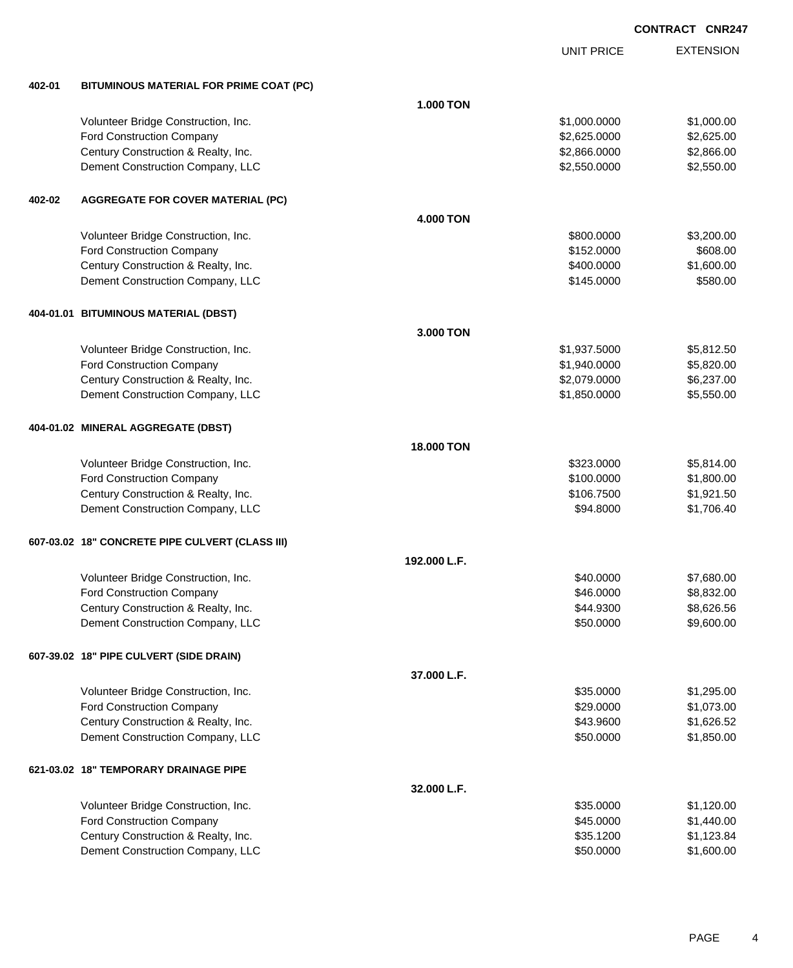|        |                                                 |                   | <b>UNIT PRICE</b> | <b>EXTENSION</b> |
|--------|-------------------------------------------------|-------------------|-------------------|------------------|
| 402-01 | BITUMINOUS MATERIAL FOR PRIME COAT (PC)         |                   |                   |                  |
|        |                                                 | <b>1.000 TON</b>  |                   |                  |
|        | Volunteer Bridge Construction, Inc.             |                   | \$1,000.0000      | \$1,000.00       |
|        | Ford Construction Company                       |                   | \$2,625.0000      | \$2,625.00       |
|        | Century Construction & Realty, Inc.             |                   | \$2,866.0000      | \$2,866.00       |
|        | Dement Construction Company, LLC                |                   | \$2,550.0000      | \$2,550.00       |
| 402-02 | <b>AGGREGATE FOR COVER MATERIAL (PC)</b>        |                   |                   |                  |
|        |                                                 | 4.000 TON         |                   |                  |
|        | Volunteer Bridge Construction, Inc.             |                   | \$800.0000        | \$3,200.00       |
|        | <b>Ford Construction Company</b>                |                   | \$152.0000        | \$608.00         |
|        | Century Construction & Realty, Inc.             |                   | \$400.0000        | \$1,600.00       |
|        | Dement Construction Company, LLC                |                   | \$145.0000        | \$580.00         |
|        | 404-01.01 BITUMINOUS MATERIAL (DBST)            |                   |                   |                  |
|        |                                                 | 3.000 TON         |                   |                  |
|        | Volunteer Bridge Construction, Inc.             |                   | \$1,937.5000      | \$5,812.50       |
|        | <b>Ford Construction Company</b>                |                   | \$1,940.0000      | \$5,820.00       |
|        | Century Construction & Realty, Inc.             |                   | \$2,079.0000      | \$6,237.00       |
|        | Dement Construction Company, LLC                |                   | \$1,850.0000      | \$5,550.00       |
|        | 404-01.02 MINERAL AGGREGATE (DBST)              |                   |                   |                  |
|        |                                                 | <b>18.000 TON</b> |                   |                  |
|        | Volunteer Bridge Construction, Inc.             |                   | \$323.0000        | \$5,814.00       |
|        | <b>Ford Construction Company</b>                |                   | \$100.0000        | \$1,800.00       |
|        | Century Construction & Realty, Inc.             |                   | \$106.7500        | \$1,921.50       |
|        | Dement Construction Company, LLC                |                   | \$94.8000         | \$1,706.40       |
|        | 607-03.02 18" CONCRETE PIPE CULVERT (CLASS III) |                   |                   |                  |
|        |                                                 | 192.000 L.F.      |                   |                  |
|        | Volunteer Bridge Construction, Inc.             |                   | \$40.0000         | \$7,680.00       |
|        | <b>Ford Construction Company</b>                |                   | \$46.0000         | \$8,832.00       |
|        | Century Construction & Realty, Inc.             |                   | \$44.9300         | \$8,626.56       |
|        | Dement Construction Company, LLC                |                   | \$50.0000         | \$9,600.00       |
|        | 607-39.02 18" PIPE CULVERT (SIDE DRAIN)         |                   |                   |                  |
|        |                                                 | 37.000 L.F.       |                   |                  |
|        | Volunteer Bridge Construction, Inc.             |                   | \$35.0000         | \$1,295.00       |
|        | <b>Ford Construction Company</b>                |                   | \$29.0000         | \$1,073.00       |
|        | Century Construction & Realty, Inc.             |                   | \$43.9600         | \$1,626.52       |
|        | Dement Construction Company, LLC                |                   | \$50.0000         | \$1,850.00       |
|        | 621-03.02 18" TEMPORARY DRAINAGE PIPE           |                   |                   |                  |
|        |                                                 | 32.000 L.F.       |                   |                  |
|        | Volunteer Bridge Construction, Inc.             |                   | \$35.0000         | \$1,120.00       |
|        | <b>Ford Construction Company</b>                |                   | \$45.0000         | \$1,440.00       |
|        | Century Construction & Realty, Inc.             |                   | \$35.1200         | \$1,123.84       |
|        | Dement Construction Company, LLC                |                   | \$50.0000         | \$1,600.00       |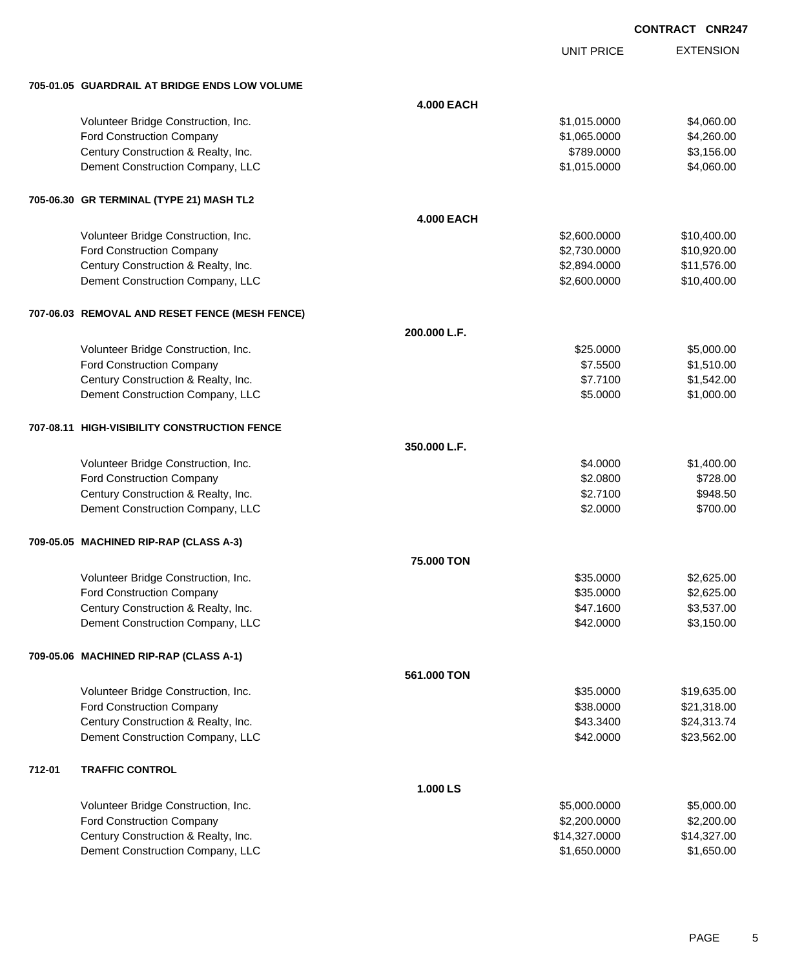| CONTRACT CNR247 |
|-----------------|
|                 |

UNIT PRICE

EXTENSION

|        | 705-01.05 GUARDRAIL AT BRIDGE ENDS LOW VOLUME                           |                   |                      |                          |
|--------|-------------------------------------------------------------------------|-------------------|----------------------|--------------------------|
|        |                                                                         | <b>4.000 EACH</b> |                      |                          |
|        | Volunteer Bridge Construction, Inc.                                     |                   | \$1,015.0000         | \$4,060.00               |
|        | Ford Construction Company                                               |                   | \$1,065.0000         | \$4,260.00               |
|        | Century Construction & Realty, Inc.                                     |                   | \$789.0000           | \$3,156.00               |
|        | Dement Construction Company, LLC                                        |                   | \$1,015.0000         | \$4,060.00               |
|        |                                                                         |                   |                      |                          |
|        | 705-06.30 GR TERMINAL (TYPE 21) MASH TL2                                |                   |                      |                          |
|        |                                                                         | <b>4.000 EACH</b> |                      |                          |
|        |                                                                         |                   |                      |                          |
|        | Volunteer Bridge Construction, Inc.                                     |                   | \$2,600.0000         | \$10,400.00              |
|        | Ford Construction Company                                               |                   | \$2,730.0000         | \$10,920.00              |
|        | Century Construction & Realty, Inc.                                     |                   | \$2,894.0000         | \$11,576.00              |
|        | Dement Construction Company, LLC                                        |                   | \$2,600.0000         | \$10,400.00              |
|        | 707-06.03 REMOVAL AND RESET FENCE (MESH FENCE)                          |                   |                      |                          |
|        |                                                                         | 200.000 L.F.      |                      |                          |
|        |                                                                         |                   |                      |                          |
|        | Volunteer Bridge Construction, Inc.                                     |                   | \$25.0000            | \$5,000.00               |
|        | Ford Construction Company                                               |                   | \$7.5500             | \$1,510.00<br>\$1,542.00 |
|        | Century Construction & Realty, Inc.<br>Dement Construction Company, LLC |                   | \$7.7100<br>\$5.0000 | \$1,000.00               |
|        |                                                                         |                   |                      |                          |
|        | 707-08.11 HIGH-VISIBILITY CONSTRUCTION FENCE                            |                   |                      |                          |
|        |                                                                         | 350.000 L.F.      |                      |                          |
|        | Volunteer Bridge Construction, Inc.                                     |                   | \$4.0000             | \$1,400.00               |
|        | Ford Construction Company                                               |                   | \$2.0800             | \$728.00                 |
|        | Century Construction & Realty, Inc.                                     |                   | \$2.7100             | \$948.50                 |
|        | Dement Construction Company, LLC                                        |                   | \$2.0000             | \$700.00                 |
|        |                                                                         |                   |                      |                          |
|        | 709-05.05 MACHINED RIP-RAP (CLASS A-3)                                  |                   |                      |                          |
|        |                                                                         | 75.000 TON        |                      |                          |
|        | Volunteer Bridge Construction, Inc.                                     |                   | \$35.0000            | \$2,625.00               |
|        | Ford Construction Company                                               |                   | \$35.0000            | \$2,625.00               |
|        | Century Construction & Realty, Inc.                                     |                   | \$47.1600            | \$3,537.00               |
|        | Dement Construction Company, LLC                                        |                   | \$42.0000            | \$3,150.00               |
|        |                                                                         |                   |                      |                          |
|        | 709-05.06 MACHINED RIP-RAP (CLASS A-1)                                  |                   |                      |                          |
|        |                                                                         | 561.000 TON       |                      |                          |
|        | Volunteer Bridge Construction, Inc.                                     |                   | \$35.0000            | \$19,635.00              |
|        | Ford Construction Company                                               |                   | \$38.0000            | \$21,318.00              |
|        | Century Construction & Realty, Inc.                                     |                   | \$43.3400            | \$24,313.74              |
|        | Dement Construction Company, LLC                                        |                   | \$42.0000            | \$23,562.00              |
|        |                                                                         |                   |                      |                          |
| 712-01 | <b>TRAFFIC CONTROL</b>                                                  |                   |                      |                          |
|        |                                                                         | 1.000 LS          |                      |                          |
|        | Volunteer Bridge Construction, Inc.                                     |                   | \$5,000.0000         | \$5,000.00               |
|        | Ford Construction Company                                               |                   | \$2,200.0000         | \$2,200.00               |
|        | Century Construction & Realty, Inc.                                     |                   | \$14,327.0000        | \$14,327.00              |
|        | Dement Construction Company, LLC                                        |                   | \$1,650.0000         | \$1,650.00               |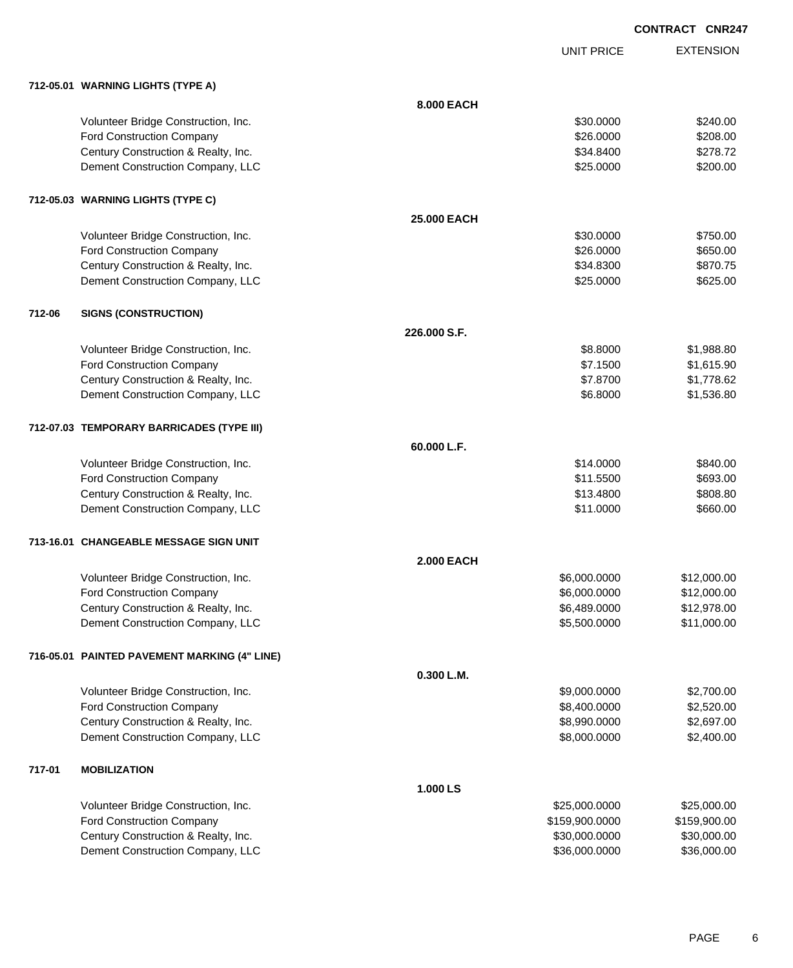UNIT PRICE EXTENSION

|        | 712-05.01 WARNING LIGHTS (TYPE A)            |                   |                |              |
|--------|----------------------------------------------|-------------------|----------------|--------------|
|        |                                              | 8.000 EACH        |                |              |
|        | Volunteer Bridge Construction, Inc.          |                   | \$30.0000      | \$240.00     |
|        | <b>Ford Construction Company</b>             |                   | \$26.0000      | \$208.00     |
|        | Century Construction & Realty, Inc.          |                   | \$34.8400      | \$278.72     |
|        | Dement Construction Company, LLC             |                   | \$25.0000      | \$200.00     |
|        | 712-05.03 WARNING LIGHTS (TYPE C)            |                   |                |              |
|        |                                              | 25.000 EACH       |                |              |
|        | Volunteer Bridge Construction, Inc.          |                   | \$30,0000      | \$750.00     |
|        | <b>Ford Construction Company</b>             |                   | \$26.0000      | \$650.00     |
|        | Century Construction & Realty, Inc.          |                   | \$34.8300      | \$870.75     |
|        | Dement Construction Company, LLC             |                   | \$25.0000      | \$625.00     |
| 712-06 | <b>SIGNS (CONSTRUCTION)</b>                  |                   |                |              |
|        |                                              | 226,000 S.F.      |                |              |
|        | Volunteer Bridge Construction, Inc.          |                   | \$8.8000       | \$1,988.80   |
|        | <b>Ford Construction Company</b>             |                   | \$7.1500       | \$1,615.90   |
|        | Century Construction & Realty, Inc.          |                   | \$7.8700       | \$1,778.62   |
|        | Dement Construction Company, LLC             |                   | \$6.8000       | \$1,536.80   |
|        | 712-07.03 TEMPORARY BARRICADES (TYPE III)    |                   |                |              |
|        |                                              | 60.000 L.F.       |                |              |
|        | Volunteer Bridge Construction, Inc.          |                   | \$14.0000      | \$840.00     |
|        | <b>Ford Construction Company</b>             |                   | \$11.5500      | \$693.00     |
|        | Century Construction & Realty, Inc.          |                   | \$13.4800      | \$808.80     |
|        | Dement Construction Company, LLC             |                   | \$11.0000      | \$660.00     |
|        | 713-16.01 CHANGEABLE MESSAGE SIGN UNIT       |                   |                |              |
|        |                                              | <b>2.000 EACH</b> |                |              |
|        | Volunteer Bridge Construction, Inc.          |                   | \$6,000.0000   | \$12,000.00  |
|        | <b>Ford Construction Company</b>             |                   | \$6,000.0000   | \$12,000.00  |
|        | Century Construction & Realty, Inc.          |                   | \$6,489.0000   | \$12,978.00  |
|        | Dement Construction Company, LLC             |                   | \$5,500.0000   | \$11,000.00  |
|        | 716-05.01 PAINTED PAVEMENT MARKING (4" LINE) |                   |                |              |
|        |                                              | 0.300 L.M.        |                |              |
|        | Volunteer Bridge Construction, Inc.          |                   | \$9,000.0000   | \$2,700.00   |
|        | Ford Construction Company                    |                   | \$8,400.0000   | \$2,520.00   |
|        | Century Construction & Realty, Inc.          |                   | \$8,990.0000   | \$2,697.00   |
|        | Dement Construction Company, LLC             |                   | \$8,000.0000   | \$2,400.00   |
| 717-01 | <b>MOBILIZATION</b>                          |                   |                |              |
|        |                                              | 1.000 LS          |                |              |
|        | Volunteer Bridge Construction, Inc.          |                   | \$25,000.0000  | \$25,000.00  |
|        | <b>Ford Construction Company</b>             |                   | \$159,900.0000 | \$159,900.00 |
|        | Century Construction & Realty, Inc.          |                   | \$30,000.0000  | \$30,000.00  |
|        | Dement Construction Company, LLC             |                   | \$36,000.0000  | \$36,000.00  |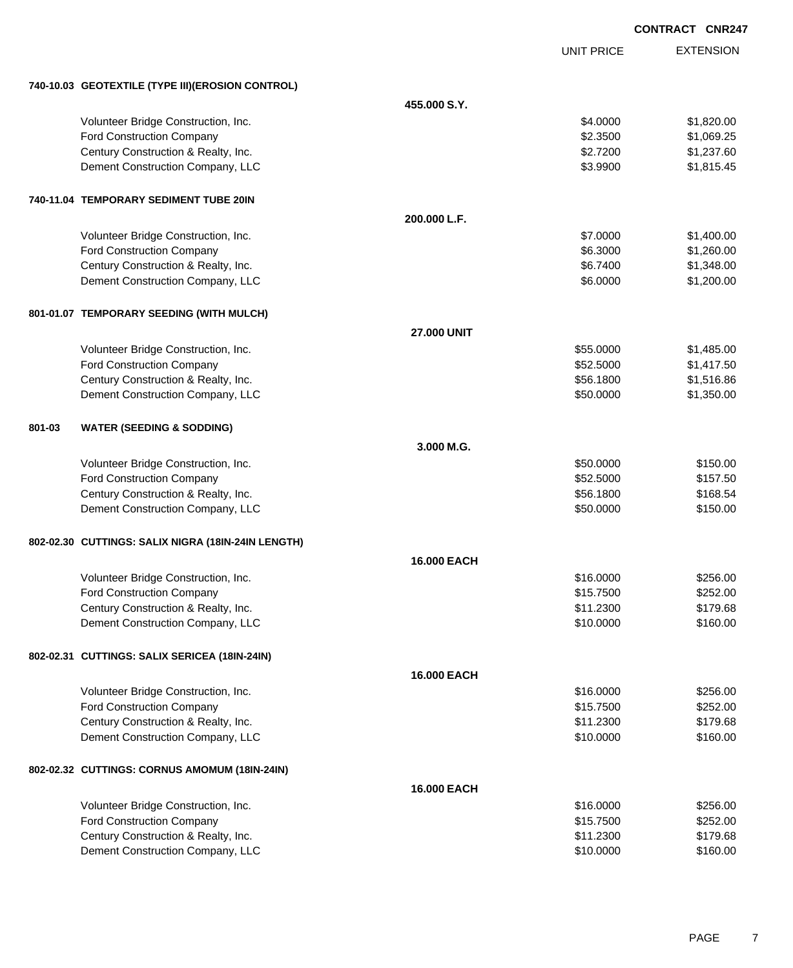|        |                                                    |                    |                   | <b>CONTRACT CNR247</b> |
|--------|----------------------------------------------------|--------------------|-------------------|------------------------|
|        |                                                    |                    | <b>UNIT PRICE</b> | <b>EXTENSION</b>       |
|        | 740-10.03 GEOTEXTILE (TYPE III) (EROSION CONTROL)  |                    |                   |                        |
|        |                                                    | 455.000 S.Y.       |                   |                        |
|        | Volunteer Bridge Construction, Inc.                |                    | \$4.0000          | \$1,820.00             |
|        | Ford Construction Company                          |                    | \$2.3500          | \$1,069.25             |
|        | Century Construction & Realty, Inc.                |                    | \$2.7200          | \$1,237.60             |
|        | Dement Construction Company, LLC                   |                    | \$3.9900          | \$1,815.45             |
|        | 740-11.04 TEMPORARY SEDIMENT TUBE 20IN             |                    |                   |                        |
|        |                                                    | 200.000 L.F.       |                   |                        |
|        | Volunteer Bridge Construction, Inc.                |                    | \$7.0000          | \$1,400.00             |
|        | Ford Construction Company                          |                    | \$6.3000          | \$1,260.00             |
|        | Century Construction & Realty, Inc.                |                    | \$6.7400          | \$1,348.00             |
|        | Dement Construction Company, LLC                   |                    | \$6.0000          | \$1,200.00             |
|        | 801-01.07 TEMPORARY SEEDING (WITH MULCH)           |                    |                   |                        |
|        |                                                    | <b>27.000 UNIT</b> |                   |                        |
|        | Volunteer Bridge Construction, Inc.                |                    | \$55.0000         | \$1,485.00             |
|        | Ford Construction Company                          |                    | \$52.5000         | \$1,417.50             |
|        | Century Construction & Realty, Inc.                |                    | \$56.1800         | \$1,516.86             |
|        | Dement Construction Company, LLC                   |                    | \$50.0000         | \$1,350.00             |
| 801-03 | <b>WATER (SEEDING &amp; SODDING)</b>               |                    |                   |                        |
|        |                                                    | 3.000 M.G.         |                   |                        |
|        | Volunteer Bridge Construction, Inc.                |                    | \$50.0000         | \$150.00               |
|        | Ford Construction Company                          |                    | \$52.5000         | \$157.50               |
|        | Century Construction & Realty, Inc.                |                    | \$56.1800         | \$168.54               |
|        | Dement Construction Company, LLC                   |                    | \$50.0000         | \$150.00               |
|        | 802-02.30 CUTTINGS: SALIX NIGRA (18IN-24IN LENGTH) |                    |                   |                        |
|        |                                                    | <b>16,000 EACH</b> |                   |                        |
|        | Volunteer Bridge Construction, Inc.                |                    | \$16.0000         | \$256.00               |
|        | Ford Construction Company                          |                    | \$15.7500         | \$252.00               |
|        | Century Construction & Realty, Inc.                |                    | \$11.2300         | \$179.68               |
|        | Dement Construction Company, LLC                   |                    | \$10.0000         | \$160.00               |
|        | 802-02.31 CUTTINGS: SALIX SERICEA (18IN-24IN)      |                    |                   |                        |
|        |                                                    | 16.000 EACH        |                   |                        |
|        | Volunteer Bridge Construction, Inc.                |                    | \$16.0000         | \$256.00               |
|        | Ford Construction Company                          |                    | \$15.7500         | \$252.00               |
|        | Century Construction & Realty, Inc.                |                    | \$11.2300         | \$179.68               |
|        | Dement Construction Company, LLC                   |                    | \$10.0000         | \$160.00               |
|        | 802-02.32 CUTTINGS: CORNUS AMOMUM (18IN-24IN)      |                    |                   |                        |
|        |                                                    | 16.000 EACH        |                   |                        |
|        | Volunteer Bridge Construction, Inc.                |                    | \$16.0000         | \$256.00               |
|        | Ford Construction Company                          |                    | \$15.7500         | \$252.00               |
|        | Century Construction & Realty, Inc.                |                    | \$11.2300         | \$179.68               |
|        | Dement Construction Company, LLC                   |                    | \$10.0000         | \$160.00               |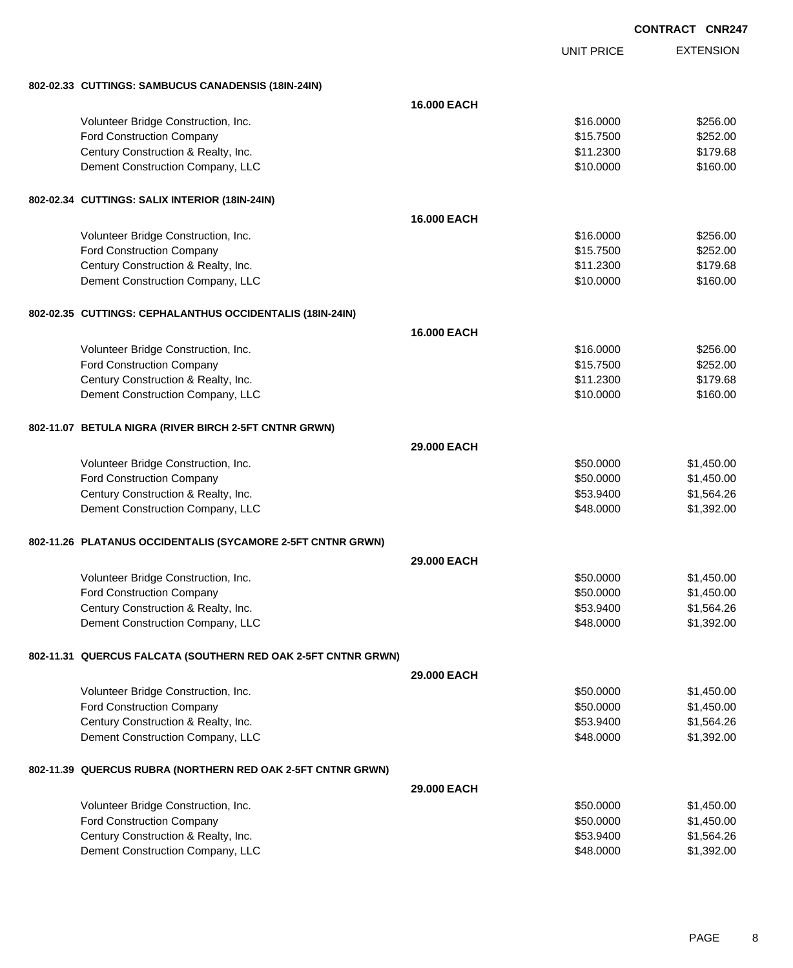| CONTRACT CNR247 |  |
|-----------------|--|
|                 |  |

|                                                               |             | <b>UNIT PRICE</b> | <b>EXTENSION</b> |
|---------------------------------------------------------------|-------------|-------------------|------------------|
| 802-02.33 CUTTINGS: SAMBUCUS CANADENSIS (18IN-24IN)           |             |                   |                  |
|                                                               | 16,000 EACH |                   |                  |
| Volunteer Bridge Construction, Inc.                           |             | \$16,0000         | \$256.00         |
| Ford Construction Company                                     |             | \$15.7500         | \$252.00         |
| Century Construction & Realty, Inc.                           |             | \$11.2300         | \$179.68         |
| Dement Construction Company, LLC                              |             | \$10.0000         | \$160.00         |
| 802-02.34 CUTTINGS: SALIX INTERIOR (18IN-24IN)                |             |                   |                  |
|                                                               | 16,000 EACH |                   |                  |
| Volunteer Bridge Construction, Inc.                           |             | \$16.0000         | \$256.00         |
| Ford Construction Company                                     |             | \$15.7500         | \$252.00         |
| Century Construction & Realty, Inc.                           |             | \$11.2300         | \$179.68         |
| Dement Construction Company, LLC                              |             | \$10.0000         | \$160.00         |
| 802-02.35 CUTTINGS: CEPHALANTHUS OCCIDENTALIS (18IN-24IN)     |             |                   |                  |
|                                                               | 16,000 EACH |                   |                  |
| Volunteer Bridge Construction, Inc.                           |             | \$16.0000         | \$256.00         |
| Ford Construction Company                                     |             | \$15.7500         | \$252.00         |
| Century Construction & Realty, Inc.                           |             | \$11.2300         | \$179.68         |
| Dement Construction Company, LLC                              |             | \$10.0000         | \$160.00         |
| 802-11.07 BETULA NIGRA (RIVER BIRCH 2-5FT CNTNR GRWN)         |             |                   |                  |
|                                                               | 29,000 EACH |                   |                  |
| Volunteer Bridge Construction, Inc.                           |             | \$50.0000         | \$1,450.00       |
| Ford Construction Company                                     |             | \$50.0000         | \$1,450.00       |
| Century Construction & Realty, Inc.                           |             | \$53.9400         | \$1,564.26       |
| Dement Construction Company, LLC                              |             | \$48.0000         | \$1,392.00       |
| 802-11.26 PLATANUS OCCIDENTALIS (SYCAMORE 2-5FT CNTNR GRWN)   |             |                   |                  |
|                                                               | 29.000 EACH |                   |                  |
| Volunteer Bridge Construction, Inc.                           |             | \$50.0000         | \$1,450.00       |
| Ford Construction Company                                     |             | \$50.0000         | \$1,450.00       |
| Century Construction & Realty, Inc.                           |             | \$53.9400         | \$1,564.26       |
| Dement Construction Company, LLC                              |             | \$48.0000         | \$1,392.00       |
| 802-11.31 QUERCUS FALCATA (SOUTHERN RED OAK 2-5FT CNTNR GRWN) |             |                   |                  |
|                                                               | 29.000 EACH |                   |                  |
| Volunteer Bridge Construction, Inc.                           |             | \$50.0000         | \$1,450.00       |
| Ford Construction Company                                     |             | \$50.0000         | \$1,450.00       |
| Century Construction & Realty, Inc.                           |             | \$53.9400         | \$1,564.26       |
| Dement Construction Company, LLC                              |             | \$48.0000         | \$1,392.00       |
| 802-11.39 QUERCUS RUBRA (NORTHERN RED OAK 2-5FT CNTNR GRWN)   |             |                   |                  |
|                                                               | 29.000 EACH |                   |                  |
| Volunteer Bridge Construction, Inc.                           |             | \$50.0000         | \$1,450.00       |
| Ford Construction Company                                     |             | \$50.0000         | \$1,450.00       |
| Century Construction & Realty, Inc.                           |             | \$53.9400         | \$1,564.26       |
| Dement Construction Company, LLC                              |             | \$48.0000         | \$1,392.00       |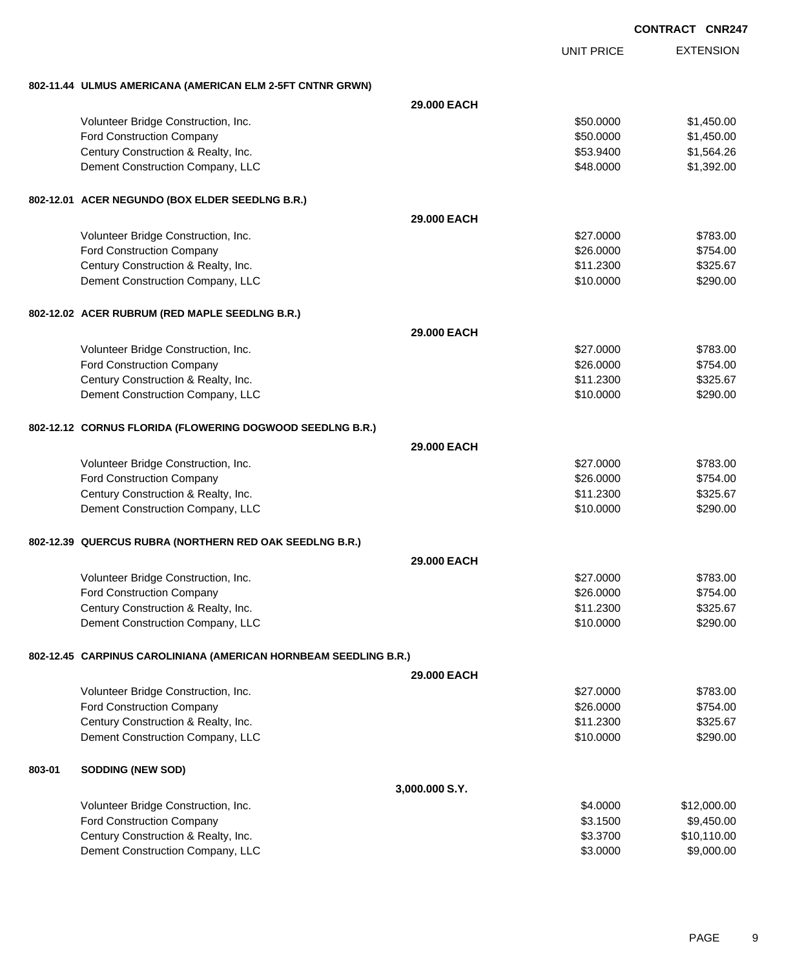| <b>CONTRACT</b> | <b>CNR247</b> |
|-----------------|---------------|

EXTENSION **CONTRACT CNR247** UNIT PRICE **802-11.44 ULMUS AMERICANA (AMERICAN ELM 2-5FT CNTNR GRWN) 29.000 EACH** Volunteer Bridge Construction, Inc. 6. The Construction of the Construction of the Construction, Inc. 6. The Construction of the Construction of the Construction, Inc. 6. The Construction of the Construction of the Constru Ford Construction Company 61,450.00 \$1,450.00 \$1,450.00 \$1,450.00 \$1,450.00 \$1,450.00 \$1,450.00 \$1,450.00 \$1,450.00 \$1,450.00 \$1,450.00 \$1,450.00 \$1,450.00 \$1,450.00 \$1,450.00 \$1,450.00 \$1,450.00 \$1,450.00 \$1,450.00 \$1,450 Century Construction & Realty, Inc. \$53.9400 \$1,564.26 Dement Construction Company, LLC 688.0000 \$1,392.00 **802-12.01 ACER NEGUNDO (BOX ELDER SEEDLNG B.R.) 29.000 EACH** Volunteer Bridge Construction, Inc. 6783.00 \$783.00 Ford Construction Company 6754.00 Century Construction & Realty, Inc. 6325.67 Dement Construction Company, LLC 6 and the state of the state of the state of the state of the state of the state of the state of the state of the state of the state of the state of the state of the state of the state of t **802-12.02 ACER RUBRUM (RED MAPLE SEEDLNG B.R.) 29.000 EACH** Volunteer Bridge Construction, Inc. 6783.00 \$783.00 Ford Construction Company 6754.00 Century Construction & Realty, Inc. \$11.2300 \$325.67 Dement Construction Company, LLC 60000 \$290.00 **802-12.12 CORNUS FLORIDA (FLOWERING DOGWOOD SEEDLNG B.R.) 29.000 EACH** Volunteer Bridge Construction, Inc. 6783.00 \$783.00 Ford Construction Company 6754.00 Century Construction & Realty, Inc.  $$325.67$ Dement Construction Company, LLC 6. The construction Company, LLC 6. The construction Company, LLC 6. The construction of the construction of the construction Company, LLC 6. The construction of the construction of the con **802-12.39 QUERCUS RUBRA (NORTHERN RED OAK SEEDLNG B.R.) 29.000 EACH** Volunteer Bridge Construction, Inc. 6783.00 Ford Construction Company 6754.00 Century Construction & Realty, Inc.  $$325.67$ Dement Construction Company, LLC 6 and the state of the state of the state of the state of the state of the state of the state of the state of the state of the state of the state of the state of the state of the state of t **802-12.45 CARPINUS CAROLINIANA (AMERICAN HORNBEAM SEEDLING B.R.) 29.000 EACH** Volunteer Bridge Construction, Inc. 6783.00 Ford Construction Company 6754.00 Century Construction & Realty, Inc.  $$325.67$ Dement Construction Company, LLC 6. The construction Company, LLC 6. The construction Company, LLC 6. The construction of the construction of the construction Company, LLC 6. The construction of the construction of the con **803-01 SODDING (NEW SOD) 3,000.000 S.Y.** Volunteer Bridge Construction, Inc. 612,000.00 \$12,000.00 \$12,000.00 \$12,000.00 Ford Construction Company 69,450.00 \$9,450.00 \$9,450.00 \$9,450.00 \$9,450.00 \$9,450.00 \$9,450.00 \$9,450.00 \$9,450 Century Construction & Realty, Inc. 6. 2010 12:33700 \$10,110.00 Dement Construction Company, LLC 6 and the state of the state of the state  $$3.0000$  \$9,000.00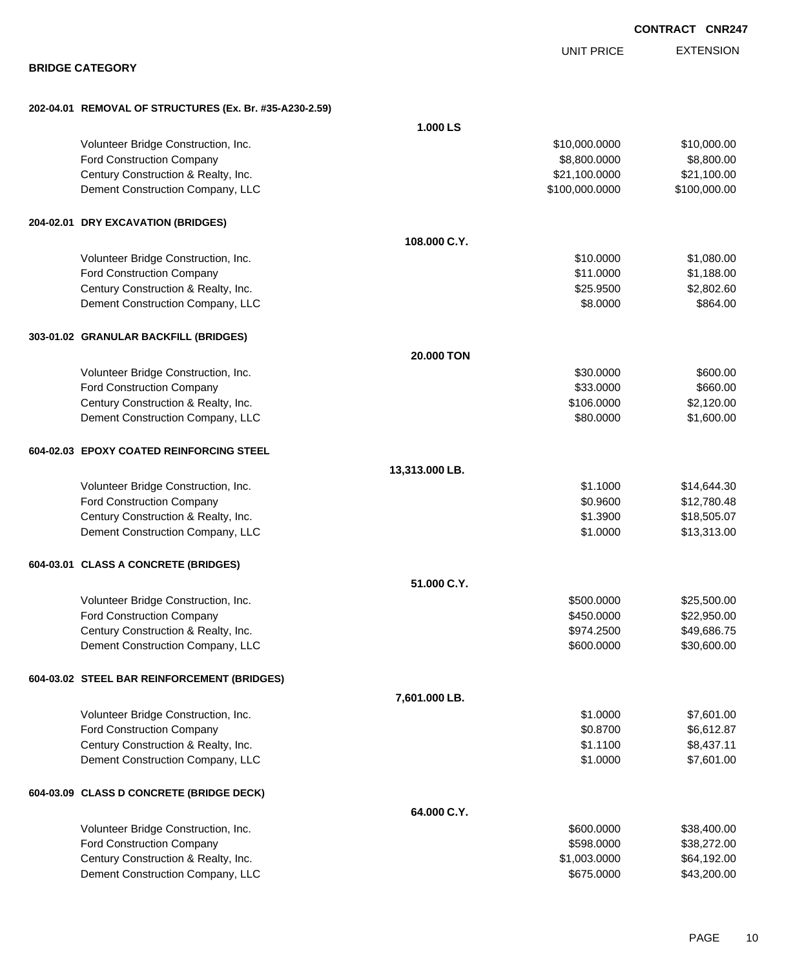|                                                         |                   | <b>UNIT PRICE</b> | <b>EXTENSION</b> |
|---------------------------------------------------------|-------------------|-------------------|------------------|
| <b>BRIDGE CATEGORY</b>                                  |                   |                   |                  |
| 202-04.01 REMOVAL OF STRUCTURES (Ex. Br. #35-A230-2.59) |                   |                   |                  |
|                                                         | 1.000 LS          |                   |                  |
| Volunteer Bridge Construction, Inc.                     |                   | \$10,000.0000     | \$10,000.00      |
| Ford Construction Company                               |                   | \$8,800.0000      | \$8,800.00       |
| Century Construction & Realty, Inc.                     |                   | \$21,100.0000     | \$21,100.00      |
| Dement Construction Company, LLC                        |                   | \$100,000.0000    | \$100,000.00     |
| 204-02.01 DRY EXCAVATION (BRIDGES)                      |                   |                   |                  |
|                                                         | 108.000 C.Y.      |                   |                  |
| Volunteer Bridge Construction, Inc.                     |                   | \$10.0000         | \$1,080.00       |
| Ford Construction Company                               |                   | \$11.0000         | \$1,188.00       |
| Century Construction & Realty, Inc.                     |                   | \$25.9500         | \$2,802.60       |
| Dement Construction Company, LLC                        |                   | \$8.0000          | \$864.00         |
| 303-01.02 GRANULAR BACKFILL (BRIDGES)                   |                   |                   |                  |
|                                                         | <b>20,000 TON</b> |                   |                  |
| Volunteer Bridge Construction, Inc.                     |                   | \$30.0000         | \$600.00         |
| Ford Construction Company                               |                   | \$33.0000         | \$660.00         |
| Century Construction & Realty, Inc.                     |                   | \$106.0000        | \$2,120.00       |
| Dement Construction Company, LLC                        |                   | \$80.0000         | \$1,600.00       |
| 604-02.03 EPOXY COATED REINFORCING STEEL                |                   |                   |                  |
|                                                         | 13,313.000 LB.    |                   |                  |
| Volunteer Bridge Construction, Inc.                     |                   | \$1.1000          | \$14,644.30      |
| Ford Construction Company                               |                   | \$0.9600          | \$12,780.48      |
| Century Construction & Realty, Inc.                     |                   | \$1.3900          | \$18,505.07      |
| Dement Construction Company, LLC                        |                   | \$1.0000          | \$13,313.00      |
| 604-03.01 CLASS A CONCRETE (BRIDGES)                    |                   |                   |                  |
|                                                         | 51.000 C.Y.       |                   |                  |
| Volunteer Bridge Construction, Inc.                     |                   | \$500.0000        | \$25,500.00      |
| Ford Construction Company                               |                   | \$450.0000        | \$22,950.00      |
| Century Construction & Realty, Inc.                     |                   | \$974.2500        | \$49,686.75      |
| Dement Construction Company, LLC                        |                   | \$600.0000        | \$30,600.00      |
| 604-03.02 STEEL BAR REINFORCEMENT (BRIDGES)             |                   |                   |                  |
|                                                         | 7,601.000 LB.     |                   |                  |
| Volunteer Bridge Construction, Inc.                     |                   | \$1.0000          | \$7,601.00       |
| Ford Construction Company                               |                   | \$0.8700          | \$6,612.87       |
| Century Construction & Realty, Inc.                     |                   | \$1.1100          | \$8,437.11       |
| Dement Construction Company, LLC                        |                   | \$1.0000          | \$7,601.00       |
| 604-03.09 CLASS D CONCRETE (BRIDGE DECK)                |                   |                   |                  |
|                                                         | 64.000 C.Y.       |                   |                  |
| Volunteer Bridge Construction, Inc.                     |                   | \$600.0000        | \$38,400.00      |
| Ford Construction Company                               |                   | \$598.0000        | \$38,272.00      |
| Century Construction & Realty, Inc.                     |                   | \$1,003.0000      | \$64,192.00      |
| Dement Construction Company, LLC                        |                   | \$675.0000        | \$43,200.00      |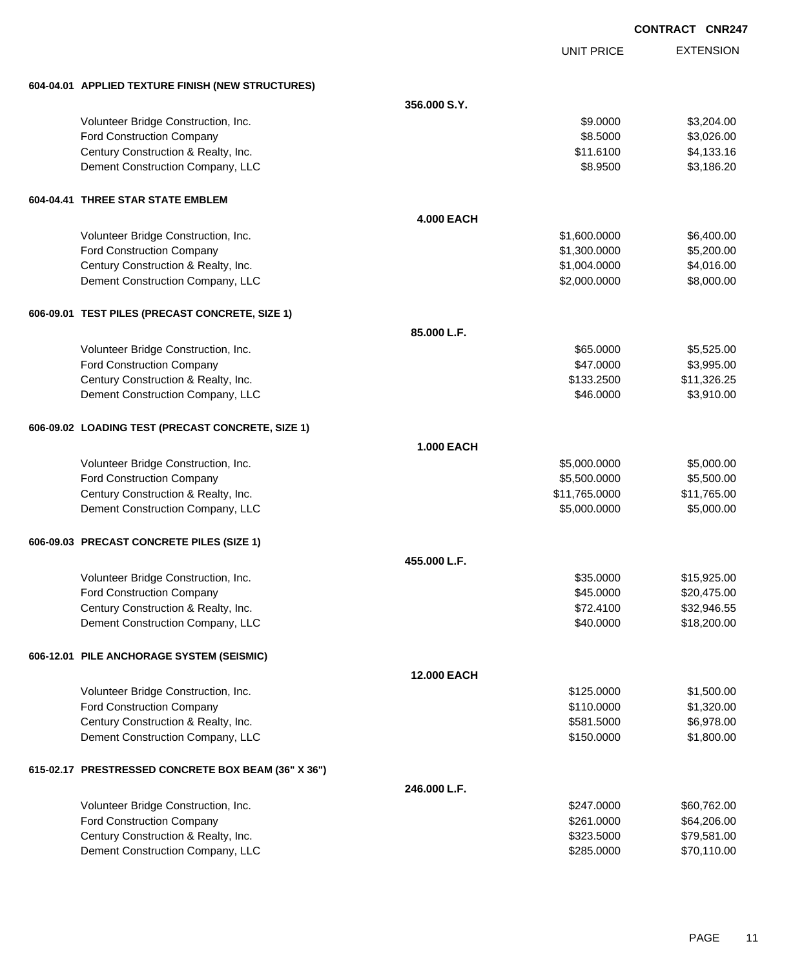|                                                     |                    |                   | <b>CONTRACT CNR247</b> |                  |
|-----------------------------------------------------|--------------------|-------------------|------------------------|------------------|
|                                                     |                    | <b>UNIT PRICE</b> |                        | <b>EXTENSION</b> |
| 604-04.01 APPLIED TEXTURE FINISH (NEW STRUCTURES)   |                    |                   |                        |                  |
|                                                     | 356,000 S.Y.       |                   |                        |                  |
| Volunteer Bridge Construction, Inc.                 |                    | \$9.0000          |                        | \$3,204.00       |
| Ford Construction Company                           |                    | \$8.5000          |                        | \$3,026.00       |
| Century Construction & Realty, Inc.                 |                    | \$11.6100         |                        | \$4,133.16       |
| Dement Construction Company, LLC                    |                    | \$8.9500          |                        | \$3,186.20       |
| 604-04.41 THREE STAR STATE EMBLEM                   |                    |                   |                        |                  |
|                                                     | <b>4.000 EACH</b>  |                   |                        |                  |
| Volunteer Bridge Construction, Inc.                 |                    | \$1,600.0000      |                        | \$6,400.00       |
| Ford Construction Company                           |                    | \$1,300.0000      |                        | \$5,200.00       |
| Century Construction & Realty, Inc.                 |                    | \$1,004.0000      |                        | \$4,016.00       |
| Dement Construction Company, LLC                    |                    | \$2,000.0000      |                        | \$8,000.00       |
| 606-09.01 TEST PILES (PRECAST CONCRETE, SIZE 1)     |                    |                   |                        |                  |
|                                                     | 85.000 L.F.        |                   |                        |                  |
| Volunteer Bridge Construction, Inc.                 |                    | \$65.0000         |                        | \$5,525.00       |
| Ford Construction Company                           |                    | \$47.0000         |                        | \$3,995.00       |
| Century Construction & Realty, Inc.                 |                    | \$133.2500        |                        | \$11,326.25      |
| Dement Construction Company, LLC                    |                    | \$46.0000         |                        | \$3,910.00       |
| 606-09.02 LOADING TEST (PRECAST CONCRETE, SIZE 1)   |                    |                   |                        |                  |
|                                                     | <b>1.000 EACH</b>  |                   |                        |                  |
| Volunteer Bridge Construction, Inc.                 |                    | \$5,000.0000      |                        | \$5,000.00       |
| Ford Construction Company                           |                    | \$5,500.0000      |                        | \$5,500.00       |
| Century Construction & Realty, Inc.                 |                    | \$11,765.0000     |                        | \$11,765.00      |
| Dement Construction Company, LLC                    |                    | \$5,000.0000      |                        | \$5,000.00       |
| 606-09.03 PRECAST CONCRETE PILES (SIZE 1)           |                    |                   |                        |                  |
|                                                     | 455,000 L.F.       |                   |                        |                  |
| Volunteer Bridge Construction, Inc.                 |                    | \$35.0000         |                        | \$15,925.00      |
| Ford Construction Company                           |                    | \$45.0000         |                        | \$20,475.00      |
| Century Construction & Realty, Inc.                 |                    | \$72.4100         |                        | \$32,946.55      |
| Dement Construction Company, LLC                    |                    | \$40.0000         |                        | \$18,200.00      |
| 606-12.01 PILE ANCHORAGE SYSTEM (SEISMIC)           |                    |                   |                        |                  |
|                                                     | <b>12.000 EACH</b> |                   |                        |                  |
| Volunteer Bridge Construction, Inc.                 |                    | \$125.0000        |                        | \$1,500.00       |
| Ford Construction Company                           |                    | \$110.0000        |                        | \$1,320.00       |
| Century Construction & Realty, Inc.                 |                    | \$581.5000        |                        | \$6,978.00       |
| Dement Construction Company, LLC                    |                    | \$150.0000        |                        | \$1,800.00       |
| 615-02.17 PRESTRESSED CONCRETE BOX BEAM (36" X 36") |                    |                   |                        |                  |
|                                                     | 246.000 L.F.       |                   |                        |                  |
| Volunteer Bridge Construction, Inc.                 |                    | \$247.0000        |                        | \$60,762.00      |
| Ford Construction Company                           |                    | \$261.0000        |                        | \$64,206.00      |
| Century Construction & Realty, Inc.                 |                    | \$323.5000        |                        | \$79,581.00      |
| Dement Construction Company, LLC                    |                    | \$285.0000        |                        | \$70,110.00      |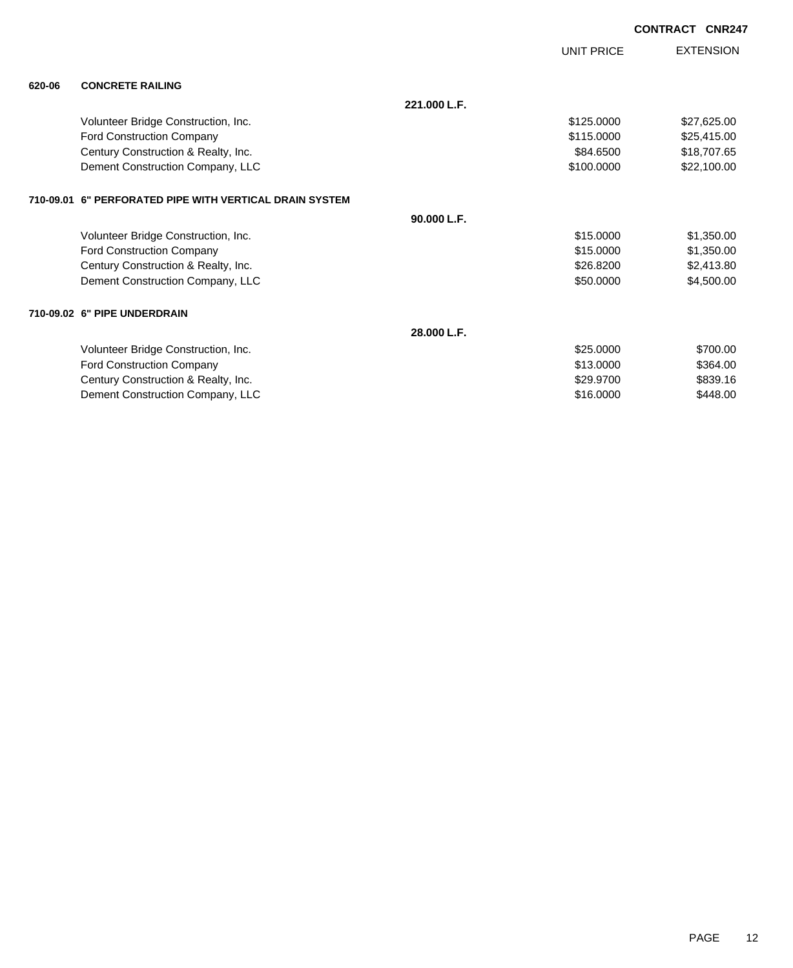|        |                                                         |              | UNIT PRICE | <b>EXTENSION</b> |
|--------|---------------------------------------------------------|--------------|------------|------------------|
| 620-06 | <b>CONCRETE RAILING</b>                                 |              |            |                  |
|        |                                                         | 221.000 L.F. |            |                  |
|        | Volunteer Bridge Construction, Inc.                     |              | \$125.0000 | \$27,625.00      |
|        | Ford Construction Company                               |              | \$115.0000 | \$25,415.00      |
|        | Century Construction & Realty, Inc.                     |              | \$84.6500  | \$18,707.65      |
|        | Dement Construction Company, LLC                        |              | \$100.0000 | \$22,100.00      |
|        | 710-09.01 6" PERFORATED PIPE WITH VERTICAL DRAIN SYSTEM |              |            |                  |
|        |                                                         | 90.000 L.F.  |            |                  |
|        | Volunteer Bridge Construction, Inc.                     |              | \$15,0000  | \$1,350.00       |
|        | <b>Ford Construction Company</b>                        |              | \$15.0000  | \$1,350.00       |
|        | Century Construction & Realty, Inc.                     |              | \$26.8200  | \$2,413.80       |
|        | Dement Construction Company, LLC                        |              | \$50.0000  | \$4,500.00       |
|        | 710-09.02 6" PIPE UNDERDRAIN                            |              |            |                  |
|        |                                                         | 28.000 L.F.  |            |                  |
|        | Volunteer Bridge Construction, Inc.                     |              | \$25.0000  | \$700.00         |
|        | Ford Construction Company                               |              | \$13.0000  | \$364.00         |
|        | Century Construction & Realty, Inc.                     |              | \$29,9700  | \$839.16         |
|        | Dement Construction Company, LLC                        |              | \$16.0000  | \$448.00         |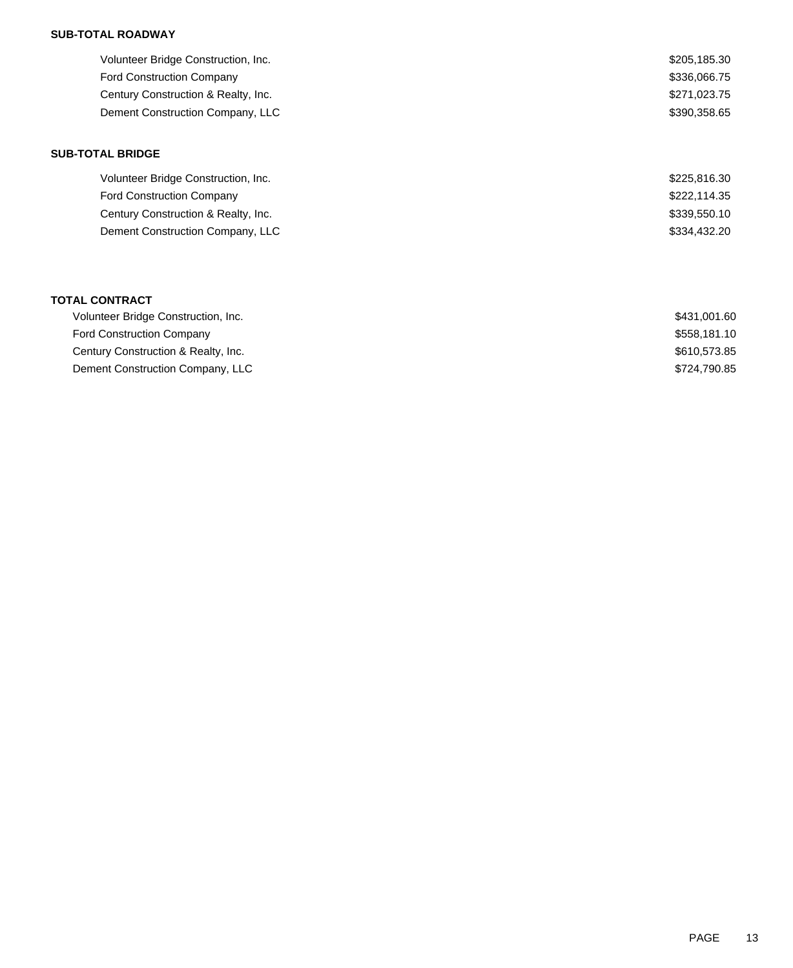## **SUB-TOTAL ROADWAY**

| \$205,185.30 |
|--------------|
| \$336,066.75 |
| \$271,023.75 |
| \$390.358.65 |
|              |

## **SUB-TOTAL BRIDGE**

| Volunteer Bridge Construction, Inc. | \$225,816.30 |
|-------------------------------------|--------------|
| <b>Ford Construction Company</b>    | \$222,114.35 |
| Century Construction & Realty, Inc. | \$339,550.10 |
| Dement Construction Company, LLC    | \$334,432,20 |

### **TOTAL CONTRACT**

| Volunteer Bridge Construction, Inc. | \$431.001.60 |
|-------------------------------------|--------------|
| <b>Ford Construction Company</b>    | \$558.181.10 |
| Century Construction & Realty, Inc. | \$610.573.85 |
| Dement Construction Company, LLC    | \$724,790.85 |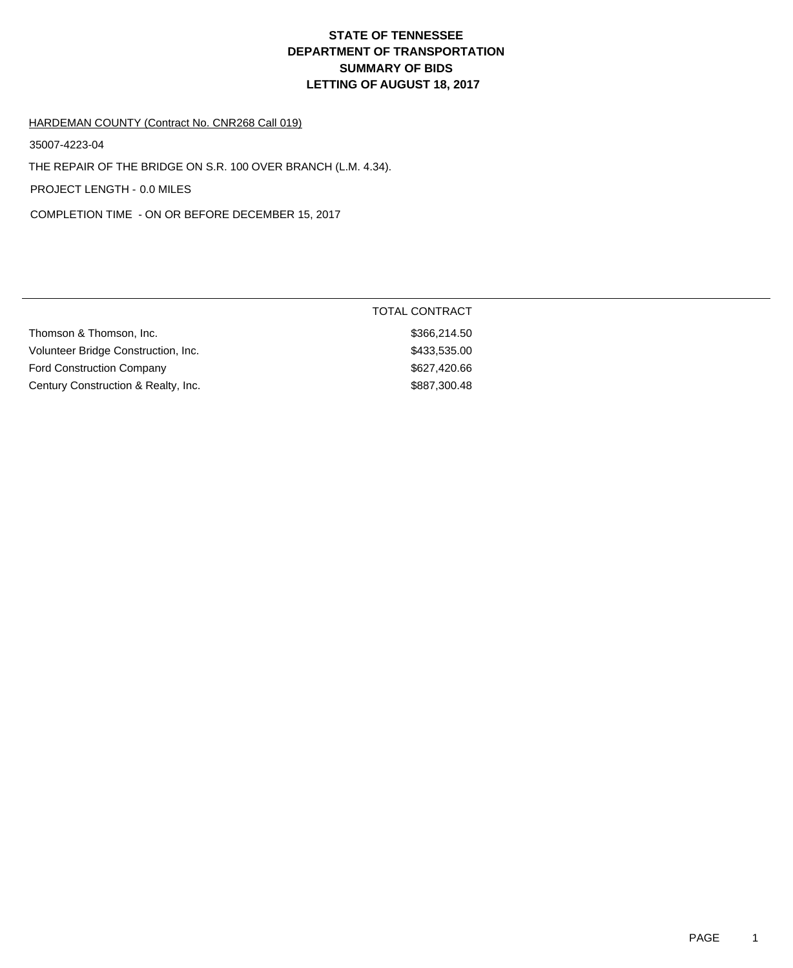# **DEPARTMENT OF TRANSPORTATION SUMMARY OF BIDS LETTING OF AUGUST 18, 2017 STATE OF TENNESSEE**

#### HARDEMAN COUNTY (Contract No. CNR268 Call 019)

35007-4223-04

THE REPAIR OF THE BRIDGE ON S.R. 100 OVER BRANCH (L.M. 4.34).

PROJECT LENGTH - 0.0 MILES

COMPLETION TIME - ON OR BEFORE DECEMBER 15, 2017

|                                     | <b>TOTAL CONTRACT</b> |
|-------------------------------------|-----------------------|
| Thomson & Thomson, Inc.             | \$366,214,50          |
| Volunteer Bridge Construction, Inc. | \$433,535.00          |
| <b>Ford Construction Company</b>    | \$627,420.66          |
| Century Construction & Realty, Inc. | \$887,300.48          |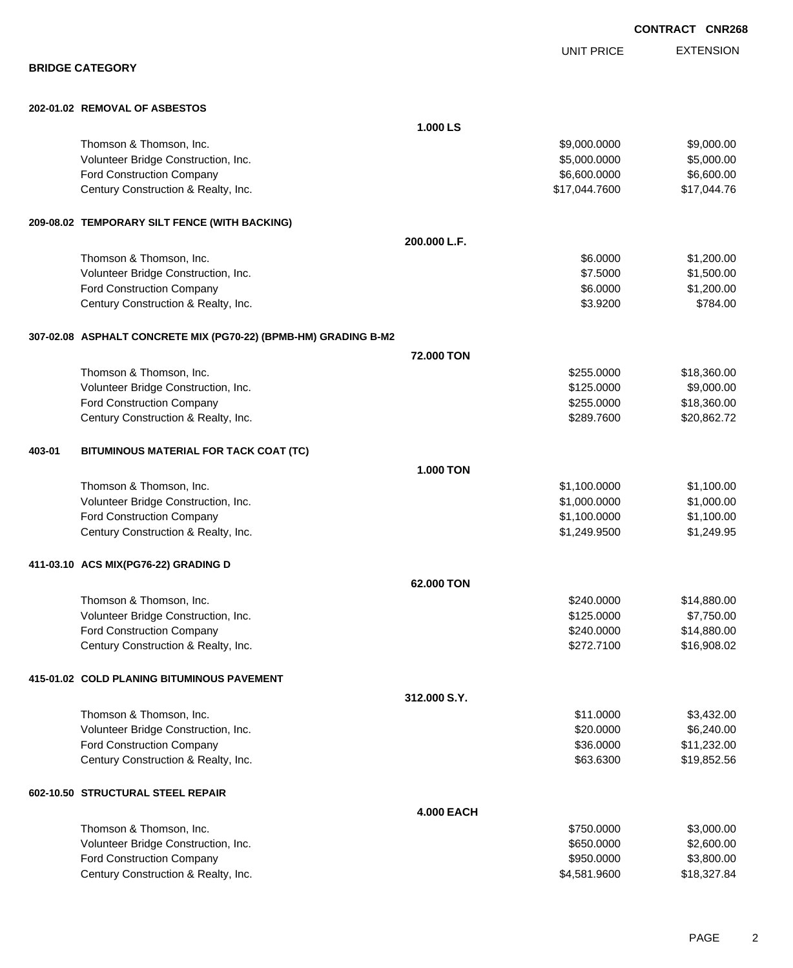EXTENSION UNIT PRICE **BRIDGE CATEGORY 202-01.02 REMOVAL OF ASBESTOS 1.000 LS** Thomson & Thomson, Inc. 6. The matrix of the state of the state of the state of the state of the state of the state of the state of the state of the state of the state of the state of the state of the state of the state of Volunteer Bridge Construction, Inc. 6. 2012 12:30 12:30 12:30 13:30 13:30 14:30 14:30 15:3000.000 \$5,000.000 \$5,000.00 Ford Construction Company 6,600.000 \$6,600.000 \$6,600.000 \$6,600.000 \$6,600.000 \$6,600.00 Century Construction & Realty, Inc.  $$17,044.7600$  \$17,044.7600 \$17,044.76 **209-08.02 TEMPORARY SILT FENCE (WITH BACKING) 200.000 L.F.** Thomson & Thomson, Inc. \$6.0000 \$1,200.00 Volunteer Bridge Construction, Inc. 63.1500.00 \$1,500.00 \$1,500.00 \$1,500.00 Ford Construction Company 6.0000 \$1,200.00 Century Construction & Realty, Inc. 6784.00 \$784.00 **307-02.08 ASPHALT CONCRETE MIX (PG70-22) (BPMB-HM) GRADING B-M2 72.000 TON** Thomson & Thomson, Inc. 6. The matrix of the state of the state of the state of the state of the state of the state of the state of the state of the state of the state of the state of the state of the state of the state of Volunteer Bridge Construction, Inc. 6. The Construction of the Construction of the Construction, Inc. 6. The Construction of the Construction of the Construction, Inc. 6. The Construction of the Construction of the Constru Ford Construction Company 618,360.00 \$18,360.00 Century Construction & Realty, Inc. 629.862.72 **403-01 BITUMINOUS MATERIAL FOR TACK COAT (TC) 1.000 TON** Thomson & Thomson, Inc. 6. The matrix of the state of the state of the state of the state of the state of the state of the state of the state of the state of the state of the state of the state of the state of the state of Volunteer Bridge Construction, Inc. 6. 2012 12:30 12:30 12:30 12:30 12:30 12:30 12:31 12:31 12:32 12:31 12:31 12:31 12:32 12:31 12:32 12:32 12:32 12:32 12:32 12:32 12:32 12:32 12:32 12:32 12:32 12:32 12:32 12:32 12:32 12:3 Ford Construction Company 61,100.000 \$1,100.000 \$1,100.000 \$1,100.000 \$1,100.000 \$1,100.00 Century Construction & Realty, Inc.  $$1,249.9500$   $$1,249.9500$ **411-03.10 ACS MIX(PG76-22) GRADING D 62.000 TON** Thomson & Thomson, Inc. 6. The matrix of the state of the state of the state of the state of the state of the state of the state of the state of the state of the state of the state of the state of the state of the state of Volunteer Bridge Construction, Inc. 67750.000 \$7,750.00 Ford Construction Company 614,880.00 Century Construction & Realty, Inc. 6. The Construction of Realty, Inc. 6. The Construction of Realty, Inc. 6. The Construction of Realty, Inc. 6. The Construction of Realty, Inc. 6. The Construction of Realty, Inc. 6. The **415-01.02 COLD PLANING BITUMINOUS PAVEMENT 312.000 S.Y.** Thomson & Thomson, Inc. 6. The matrix of the state of the state of the state of the state of the state of the state of the state of the state of the state of the state of the state of the state of the state of the state of Volunteer Bridge Construction, Inc. 6. 20.000 \$6,240.00 Ford Construction Company 611,232.00 Century Construction & Realty, Inc.  $$19,852.56$ **602-10.50 STRUCTURAL STEEL REPAIR 4.000 EACH** Thomson & Thomson, Inc. 6. The matrix of the state of the state of the state of the state of the state of the state of the state of the state of the state of the state of the state of the state of the state of the state of Volunteer Bridge Construction, Inc. 6650.000 \$2,600.00

Ford Construction Company 63,800.00 \$3,800.00 \$3,800.00 \$3,800.00 \$3,800.00 \$3,800.00 \$3,800.00 \$3,800.00 \$3,800 Century Construction & Realty, Inc. \$4,581.9600 \$18,327.84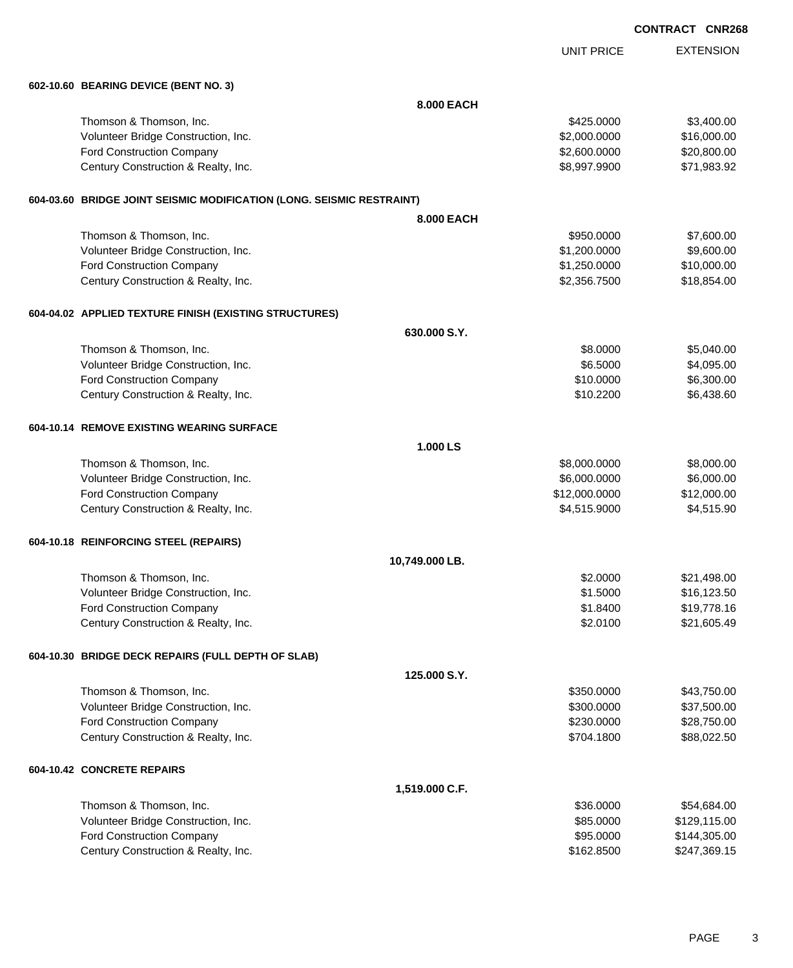|                                                                       |                |                   | <b>CONTRACT CNR268</b> |
|-----------------------------------------------------------------------|----------------|-------------------|------------------------|
|                                                                       |                | <b>UNIT PRICE</b> | <b>EXTENSION</b>       |
| 602-10.60 BEARING DEVICE (BENT NO. 3)                                 |                |                   |                        |
|                                                                       | 8.000 EACH     |                   |                        |
| Thomson & Thomson, Inc.                                               |                | \$425.0000        | \$3,400.00             |
| Volunteer Bridge Construction, Inc.                                   |                | \$2,000.0000      | \$16,000.00            |
| Ford Construction Company                                             |                | \$2,600.0000      | \$20,800.00            |
| Century Construction & Realty, Inc.                                   |                | \$8,997.9900      | \$71,983.92            |
| 604-03.60 BRIDGE JOINT SEISMIC MODIFICATION (LONG. SEISMIC RESTRAINT) |                |                   |                        |
|                                                                       | 8,000 EACH     |                   |                        |
| Thomson & Thomson, Inc.                                               |                | \$950.0000        | \$7,600.00             |
| Volunteer Bridge Construction, Inc.                                   |                | \$1,200.0000      | \$9,600.00             |
| Ford Construction Company                                             |                | \$1,250.0000      | \$10,000.00            |
| Century Construction & Realty, Inc.                                   |                | \$2,356.7500      | \$18,854.00            |
| 604-04.02 APPLIED TEXTURE FINISH (EXISTING STRUCTURES)                |                |                   |                        |
|                                                                       | 630.000 S.Y.   |                   |                        |
| Thomson & Thomson, Inc.                                               |                | \$8.0000          | \$5,040.00             |
| Volunteer Bridge Construction, Inc.                                   |                | \$6.5000          | \$4,095.00             |
| Ford Construction Company                                             |                | \$10.0000         | \$6,300.00             |
| Century Construction & Realty, Inc.                                   |                | \$10.2200         | \$6,438.60             |
| 604-10.14 REMOVE EXISTING WEARING SURFACE                             |                |                   |                        |
|                                                                       | 1.000 LS       |                   |                        |
| Thomson & Thomson, Inc.                                               |                | \$8,000.0000      | \$8,000.00             |
| Volunteer Bridge Construction, Inc.                                   |                | \$6,000.0000      | \$6,000.00             |
| Ford Construction Company                                             |                | \$12,000.0000     | \$12,000.00            |
| Century Construction & Realty, Inc.                                   |                | \$4,515.9000      | \$4,515.90             |
| 604-10.18 REINFORCING STEEL (REPAIRS)                                 |                |                   |                        |
|                                                                       | 10,749.000 LB. |                   |                        |
| Thomson & Thomson, Inc.                                               |                | \$2.0000          | \$21,498.00            |
| Volunteer Bridge Construction, Inc.                                   |                | \$1.5000          | \$16,123.50            |
| Ford Construction Company                                             |                | \$1.8400          | \$19,778.16            |
| Century Construction & Realty, Inc.                                   |                | \$2.0100          | \$21,605.49            |
| 604-10.30 BRIDGE DECK REPAIRS (FULL DEPTH OF SLAB)                    |                |                   |                        |
|                                                                       | 125.000 S.Y.   |                   |                        |
| Thomson & Thomson, Inc.                                               |                | \$350.0000        | \$43,750.00            |
| Volunteer Bridge Construction, Inc.                                   |                | \$300.0000        | \$37,500.00            |
| Ford Construction Company                                             |                | \$230.0000        | \$28,750.00            |
| Century Construction & Realty, Inc.                                   |                | \$704.1800        | \$88,022.50            |
| 604-10.42 CONCRETE REPAIRS                                            |                |                   |                        |
|                                                                       | 1,519.000 C.F. |                   |                        |
| Thomson & Thomson, Inc.                                               |                | \$36.0000         | \$54,684.00            |
| Volunteer Bridge Construction, Inc.                                   |                | \$85.0000         | \$129,115.00           |
| Ford Construction Company                                             |                | \$95.0000         | \$144,305.00           |
| Century Construction & Realty, Inc.                                   |                | \$162.8500        | \$247,369.15           |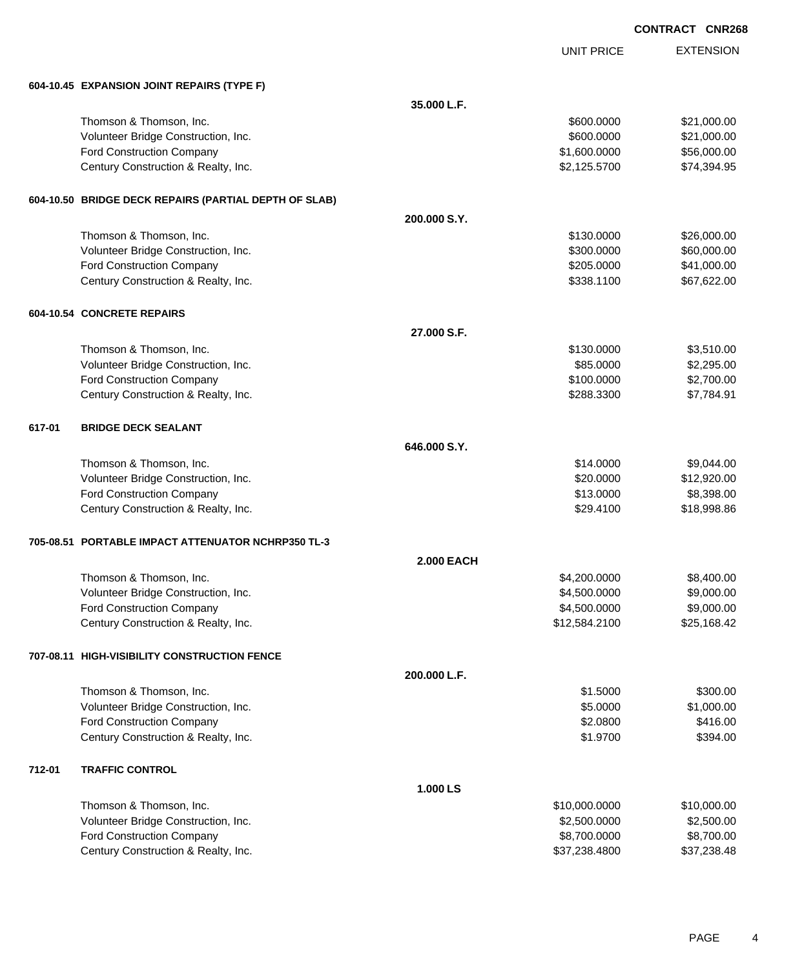|        |                                                       |                   |                   | <b>CONTRACT CNR26</b> |
|--------|-------------------------------------------------------|-------------------|-------------------|-----------------------|
|        |                                                       |                   | <b>UNIT PRICE</b> | <b>EXTENSION</b>      |
|        | 604-10.45 EXPANSION JOINT REPAIRS (TYPE F)            |                   |                   |                       |
|        |                                                       | 35.000 L.F.       |                   |                       |
|        | Thomson & Thomson, Inc.                               |                   | \$600.0000        | \$21,000.00           |
|        | Volunteer Bridge Construction, Inc.                   |                   | \$600.0000        | \$21,000.00           |
|        | <b>Ford Construction Company</b>                      |                   | \$1,600.0000      | \$56,000.00           |
|        | Century Construction & Realty, Inc.                   |                   | \$2,125.5700      | \$74,394.95           |
|        | 604-10.50 BRIDGE DECK REPAIRS (PARTIAL DEPTH OF SLAB) |                   |                   |                       |
|        |                                                       | 200.000 S.Y.      |                   |                       |
|        | Thomson & Thomson, Inc.                               |                   | \$130.0000        | \$26,000.00           |
|        | Volunteer Bridge Construction, Inc.                   |                   | \$300.0000        | \$60,000.00           |
|        | Ford Construction Company                             |                   | \$205.0000        | \$41,000.00           |
|        | Century Construction & Realty, Inc.                   |                   | \$338.1100        | \$67,622.00           |
|        | 604-10.54 CONCRETE REPAIRS                            |                   |                   |                       |
|        |                                                       | 27.000 S.F.       |                   |                       |
|        | Thomson & Thomson, Inc.                               |                   | \$130.0000        | \$3,510.00            |
|        | Volunteer Bridge Construction, Inc.                   |                   | \$85.0000         | \$2,295.00            |
|        | <b>Ford Construction Company</b>                      |                   | \$100.0000        | \$2,700.00            |
|        | Century Construction & Realty, Inc.                   |                   | \$288.3300        | \$7,784.91            |
| 617-01 | <b>BRIDGE DECK SEALANT</b>                            |                   |                   |                       |
|        |                                                       | 646,000 S.Y.      |                   |                       |
|        | Thomson & Thomson, Inc.                               |                   | \$14.0000         | \$9,044.00            |
|        | Volunteer Bridge Construction, Inc.                   |                   | \$20.0000         | \$12,920.00           |
|        | Ford Construction Company                             |                   | \$13.0000         | \$8,398.00            |
|        | Century Construction & Realty, Inc.                   |                   | \$29.4100         | \$18,998.86           |
|        | 705-08.51 PORTABLE IMPACT ATTENUATOR NCHRP350 TL-3    |                   |                   |                       |
|        |                                                       | <b>2.000 EACH</b> |                   |                       |
|        | Thomson & Thomson, Inc.                               |                   | \$4,200.0000      | \$8,400.00            |
|        | Volunteer Bridge Construction, Inc.                   |                   | \$4,500.0000      | \$9,000.00            |
|        | <b>Ford Construction Company</b>                      |                   | \$4,500.0000      | \$9,000.00            |
|        | Century Construction & Realty, Inc.                   |                   | \$12,584.2100     | \$25,168.42           |
|        | 707-08.11 HIGH-VISIBILITY CONSTRUCTION FENCE          |                   |                   |                       |
|        |                                                       | 200.000 L.F.      |                   |                       |
|        | Thomson & Thomson, Inc.                               |                   | \$1.5000          | \$300.00              |
|        | Volunteer Bridge Construction, Inc.                   |                   | \$5.0000          | \$1,000.00            |
|        | Ford Construction Company                             |                   | \$2.0800          | \$416.00              |
|        | Century Construction & Realty, Inc.                   |                   | \$1.9700          | \$394.00              |
| 712-01 | <b>TRAFFIC CONTROL</b>                                |                   |                   |                       |
|        |                                                       | 1.000LS           |                   |                       |
|        | Thomson & Thomson, Inc.                               |                   | \$10,000.0000     | \$10,000.00           |
|        | Volunteer Bridge Construction, Inc.                   |                   | \$2,500.0000      | \$2,500.00            |
|        | Ford Construction Company                             |                   | \$8,700.0000      | \$8,700.00            |
|        | Century Construction & Realty, Inc.                   |                   | \$37,238.4800     | \$37,238.48           |

268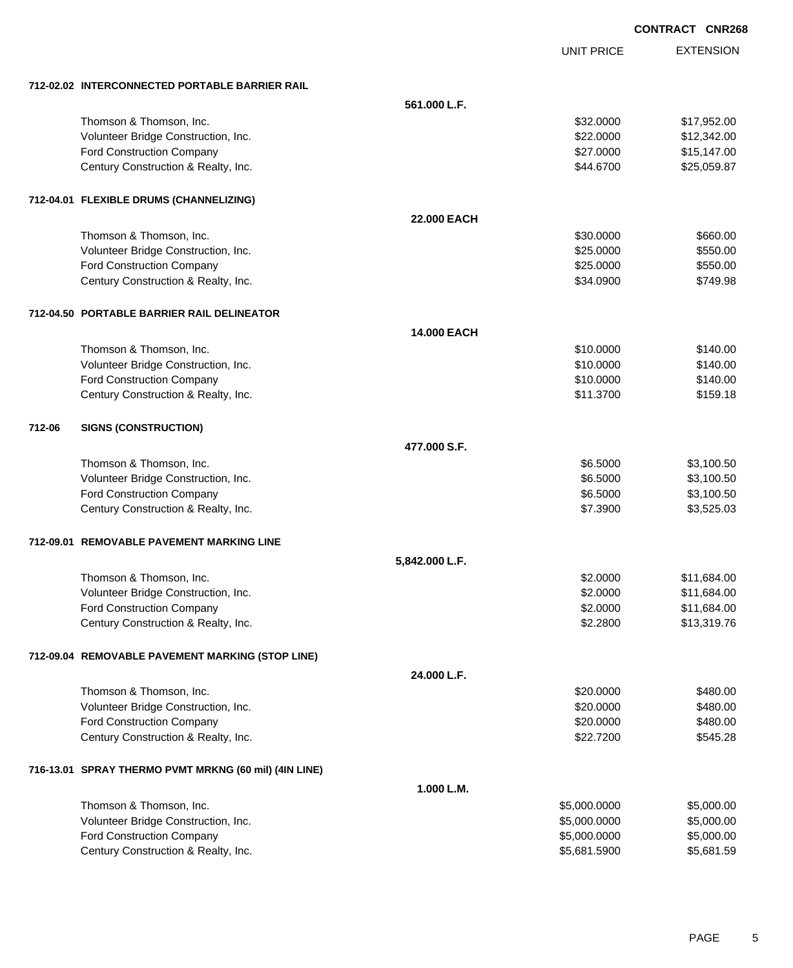| <b>CONTRACT CNR268</b> |  |
|------------------------|--|
|                        |  |

UNIT PRICE

EXTENSION

| 712-02.02 INTERCONNECTED PORTABLE BARRIER RAIL |
|------------------------------------------------|
|                                                |

|        | 712-02.02 INTERCONNECTED PORTABLE BARRIER RAIL        |                |              |             |
|--------|-------------------------------------------------------|----------------|--------------|-------------|
|        |                                                       | 561.000 L.F.   |              |             |
|        | Thomson & Thomson, Inc.                               |                | \$32.0000    | \$17,952.00 |
|        | Volunteer Bridge Construction, Inc.                   |                | \$22.0000    | \$12,342.00 |
|        | <b>Ford Construction Company</b>                      |                | \$27.0000    | \$15,147.00 |
|        | Century Construction & Realty, Inc.                   |                | \$44.6700    | \$25,059.87 |
|        | 712-04.01 FLEXIBLE DRUMS (CHANNELIZING)               |                |              |             |
|        |                                                       | 22.000 EACH    |              |             |
|        | Thomson & Thomson, Inc.                               |                | \$30.0000    | \$660.00    |
|        | Volunteer Bridge Construction, Inc.                   |                | \$25.0000    | \$550.00    |
|        | Ford Construction Company                             |                | \$25.0000    | \$550.00    |
|        | Century Construction & Realty, Inc.                   |                | \$34.0900    | \$749.98    |
|        | 712-04.50 PORTABLE BARRIER RAIL DELINEATOR            |                |              |             |
|        |                                                       | 14.000 EACH    |              |             |
|        | Thomson & Thomson, Inc.                               |                | \$10.0000    | \$140.00    |
|        | Volunteer Bridge Construction, Inc.                   |                | \$10.0000    | \$140.00    |
|        | <b>Ford Construction Company</b>                      |                | \$10.0000    | \$140.00    |
|        | Century Construction & Realty, Inc.                   |                | \$11.3700    | \$159.18    |
| 712-06 | <b>SIGNS (CONSTRUCTION)</b>                           |                |              |             |
|        |                                                       | 477.000 S.F.   |              |             |
|        | Thomson & Thomson, Inc.                               |                | \$6.5000     | \$3,100.50  |
|        | Volunteer Bridge Construction, Inc.                   |                | \$6.5000     | \$3,100.50  |
|        | <b>Ford Construction Company</b>                      |                | \$6.5000     | \$3,100.50  |
|        | Century Construction & Realty, Inc.                   |                | \$7.3900     | \$3,525.03  |
|        | 712-09.01 REMOVABLE PAVEMENT MARKING LINE             |                |              |             |
|        |                                                       | 5,842.000 L.F. |              |             |
|        | Thomson & Thomson, Inc.                               |                | \$2.0000     | \$11,684.00 |
|        | Volunteer Bridge Construction, Inc.                   |                | \$2.0000     | \$11,684.00 |
|        | <b>Ford Construction Company</b>                      |                | \$2.0000     | \$11,684.00 |
|        | Century Construction & Realty, Inc.                   |                | \$2.2800     | \$13,319.76 |
|        | 712-09.04 REMOVABLE PAVEMENT MARKING (STOP LINE)      |                |              |             |
|        |                                                       | 24.000 L.F.    |              |             |
|        | Thomson & Thomson, Inc.                               |                | \$20.0000    | \$480.00    |
|        | Volunteer Bridge Construction, Inc.                   |                | \$20.0000    | \$480.00    |
|        | <b>Ford Construction Company</b>                      |                | \$20.0000    | \$480.00    |
|        | Century Construction & Realty, Inc.                   |                | \$22.7200    | \$545.28    |
|        | 716-13.01 SPRAY THERMO PVMT MRKNG (60 mil) (4IN LINE) |                |              |             |
|        |                                                       | 1.000 L.M.     |              |             |
|        | Thomson & Thomson, Inc.                               |                | \$5,000.0000 | \$5,000.00  |
|        | Volunteer Bridge Construction, Inc.                   |                | \$5,000.0000 | \$5,000.00  |
|        | <b>Ford Construction Company</b>                      |                | \$5,000.0000 | \$5,000.00  |
|        | Century Construction & Realty, Inc.                   |                | \$5,681.5900 | \$5,681.59  |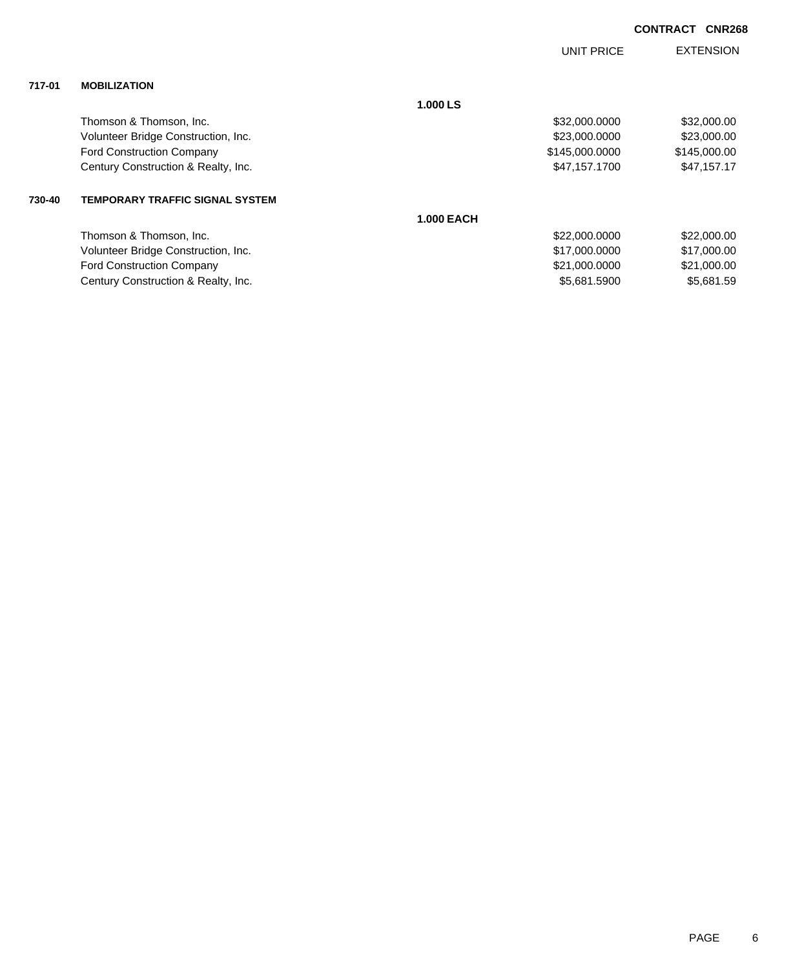|        |                                        |                   | UNIT PRICE     | <b>EXTENSION</b> |
|--------|----------------------------------------|-------------------|----------------|------------------|
| 717-01 | <b>MOBILIZATION</b>                    |                   |                |                  |
|        |                                        | 1.000 LS          |                |                  |
|        | Thomson & Thomson, Inc.                |                   | \$32,000.0000  | \$32,000.00      |
|        | Volunteer Bridge Construction, Inc.    |                   | \$23,000.0000  | \$23,000.00      |
|        | <b>Ford Construction Company</b>       |                   | \$145,000.0000 | \$145,000.00     |
|        | Century Construction & Realty, Inc.    |                   | \$47,157.1700  | \$47,157.17      |
| 730-40 | <b>TEMPORARY TRAFFIC SIGNAL SYSTEM</b> |                   |                |                  |
|        |                                        | <b>1.000 EACH</b> |                |                  |
|        | Thomson & Thomson, Inc.                |                   | \$22,000.0000  | \$22,000.00      |
|        | Volunteer Bridge Construction, Inc.    |                   | \$17,000.0000  | \$17,000.00      |
|        | <b>Ford Construction Company</b>       |                   | \$21,000.0000  | \$21,000.00      |

Century Construction & Realty, Inc. 6. The Construction of Realty, Inc. 65,681.5900 \$5,681.5900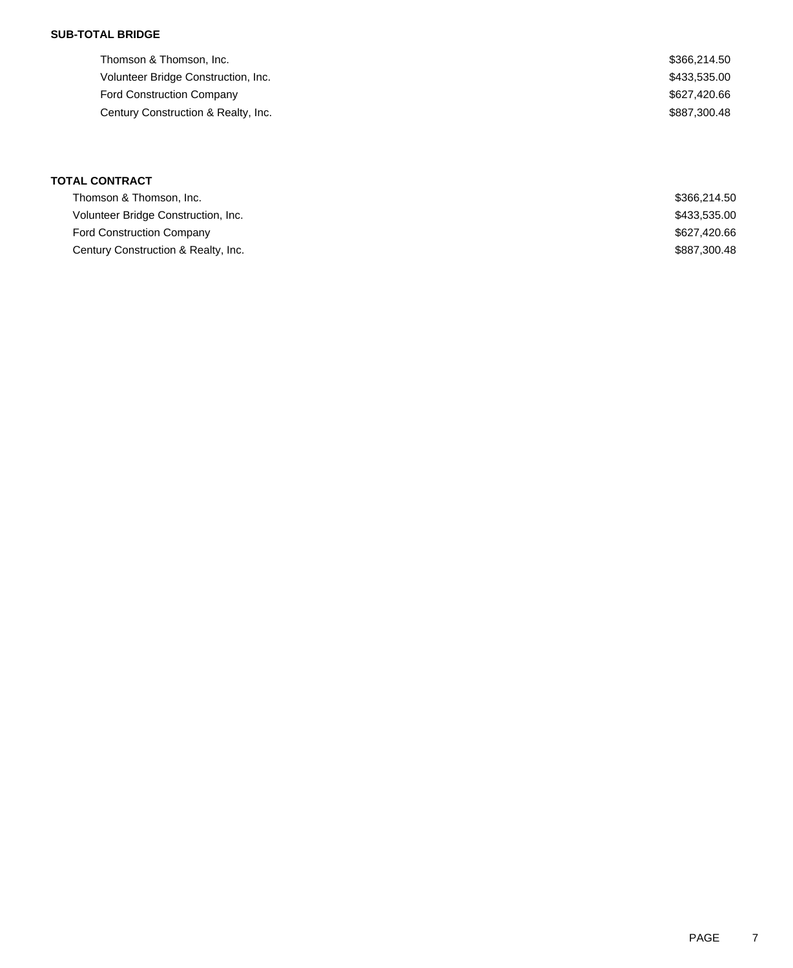## **SUB-TOTAL BRIDGE**

| Thomson & Thomson, Inc.             | \$366,214.50 |
|-------------------------------------|--------------|
| Volunteer Bridge Construction, Inc. | \$433,535.00 |
| <b>Ford Construction Company</b>    | \$627,420.66 |
| Century Construction & Realty, Inc. | \$887,300,48 |
|                                     |              |

# **TOTAL CONTRACT** Thomson & Thomson, Inc. \$366,214.50 Volunteer Bridge Construction, Inc. 66 and 2012 12:00 and 2012 12:00 and 2012 12:00 and 2013 13:00 and 2013 13:00 Ford Construction Company **\$627,420.66** Century Construction & Realty, Inc. 6. The Construction of Realty, Inc. 6. The Construction of Realty, Inc.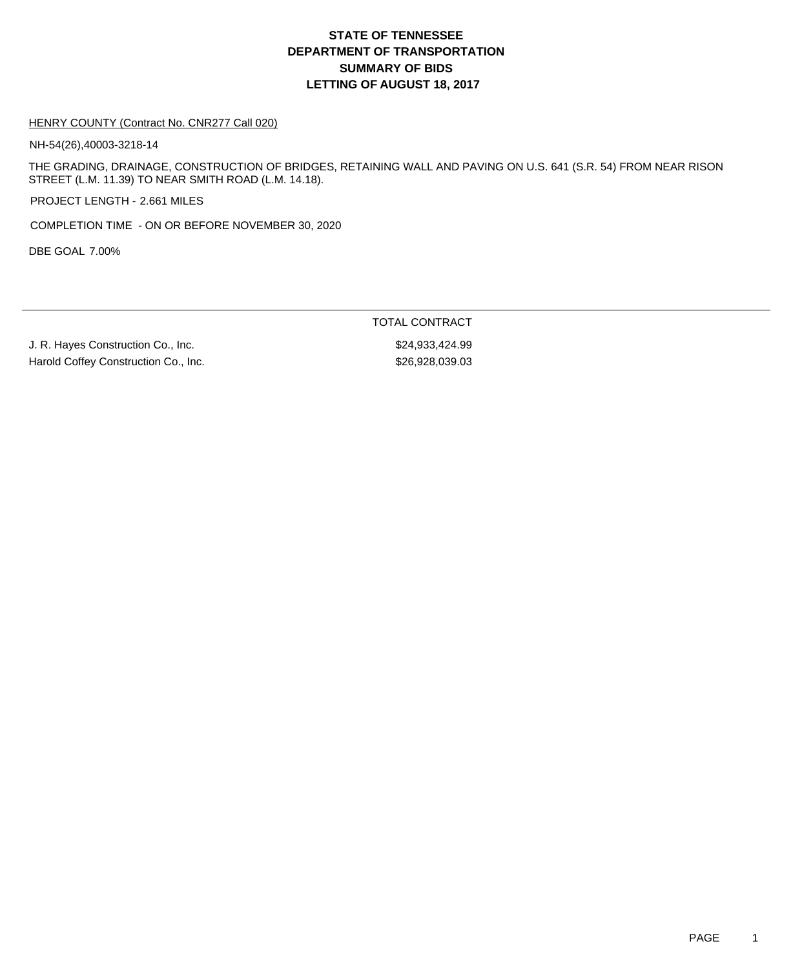# **DEPARTMENT OF TRANSPORTATION SUMMARY OF BIDS LETTING OF AUGUST 18, 2017 STATE OF TENNESSEE**

#### HENRY COUNTY (Contract No. CNR277 Call 020)

NH-54(26),40003-3218-14

THE GRADING, DRAINAGE, CONSTRUCTION OF BRIDGES, RETAINING WALL AND PAVING ON U.S. 641 (S.R. 54) FROM NEAR RISON STREET (L.M. 11.39) TO NEAR SMITH ROAD (L.M. 14.18).

PROJECT LENGTH - 2.661 MILES

COMPLETION TIME - ON OR BEFORE NOVEMBER 30, 2020

DBE GOAL 7.00%

J. R. Hayes Construction Co., Inc. 6. The state of the state of the state of the state of the state of the state of the state of the state of the state of the state of the state of the state of the state of the state of th Harold Coffey Construction Co., Inc. 67 (1996) 1996, 1997 (\$26,928,039.03

TOTAL CONTRACT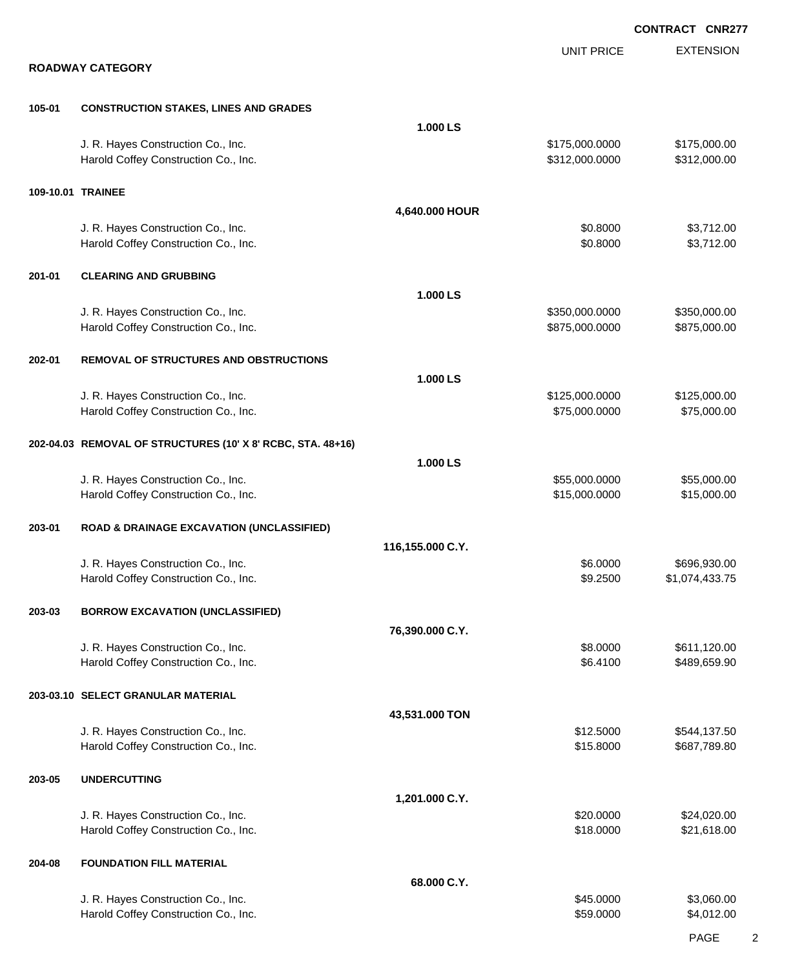|        |                                                             |                  |                   | <b>CONTRACT CNR277</b> |
|--------|-------------------------------------------------------------|------------------|-------------------|------------------------|
|        |                                                             |                  | <b>UNIT PRICE</b> | <b>EXTENSION</b>       |
|        | <b>ROADWAY CATEGORY</b>                                     |                  |                   |                        |
| 105-01 | <b>CONSTRUCTION STAKES, LINES AND GRADES</b>                |                  |                   |                        |
|        |                                                             | 1.000 LS         |                   |                        |
|        | J. R. Hayes Construction Co., Inc.                          |                  | \$175,000.0000    | \$175,000.00           |
|        | Harold Coffey Construction Co., Inc.                        |                  | \$312,000.0000    | \$312,000.00           |
|        | 109-10.01 TRAINEE                                           |                  |                   |                        |
|        |                                                             | 4,640.000 HOUR   |                   |                        |
|        | J. R. Hayes Construction Co., Inc.                          |                  | \$0.8000          | \$3,712.00             |
|        | Harold Coffey Construction Co., Inc.                        |                  | \$0.8000          | \$3,712.00             |
| 201-01 | <b>CLEARING AND GRUBBING</b>                                |                  |                   |                        |
|        |                                                             | 1.000LS          |                   |                        |
|        | J. R. Hayes Construction Co., Inc.                          |                  | \$350,000.0000    | \$350,000.00           |
|        | Harold Coffey Construction Co., Inc.                        |                  | \$875,000.0000    | \$875,000.00           |
| 202-01 | <b>REMOVAL OF STRUCTURES AND OBSTRUCTIONS</b>               |                  |                   |                        |
|        |                                                             | 1.000 LS         |                   |                        |
|        | J. R. Hayes Construction Co., Inc.                          |                  | \$125,000.0000    | \$125,000.00           |
|        | Harold Coffey Construction Co., Inc.                        |                  | \$75,000.0000     | \$75,000.00            |
|        | 202-04.03 REMOVAL OF STRUCTURES (10' X 8' RCBC, STA. 48+16) |                  |                   |                        |
|        |                                                             | 1.000 LS         |                   |                        |
|        | J. R. Hayes Construction Co., Inc.                          |                  | \$55,000.0000     | \$55,000.00            |
|        | Harold Coffey Construction Co., Inc.                        |                  | \$15,000.0000     | \$15,000.00            |
| 203-01 | <b>ROAD &amp; DRAINAGE EXCAVATION (UNCLASSIFIED)</b>        |                  |                   |                        |
|        |                                                             | 116,155.000 C.Y. |                   |                        |
|        | J. R. Hayes Construction Co., Inc.                          |                  | \$6.0000          | \$696,930.00           |
|        | Harold Coffey Construction Co., Inc.                        |                  | \$9.2500          | \$1,074,433.75         |
| 203-03 | <b>BORROW EXCAVATION (UNCLASSIFIED)</b>                     |                  |                   |                        |
|        |                                                             | 76,390.000 C.Y.  |                   |                        |
|        | J. R. Hayes Construction Co., Inc.                          |                  | \$8.0000          | \$611,120.00           |
|        | Harold Coffey Construction Co., Inc.                        |                  | \$6.4100          | \$489,659.90           |
|        | 203-03.10 SELECT GRANULAR MATERIAL                          |                  |                   |                        |
|        |                                                             | 43,531.000 TON   |                   |                        |
|        | J. R. Hayes Construction Co., Inc.                          |                  | \$12.5000         | \$544,137.50           |
|        | Harold Coffey Construction Co., Inc.                        |                  | \$15.8000         | \$687,789.80           |
| 203-05 | <b>UNDERCUTTING</b>                                         |                  |                   |                        |
|        |                                                             | 1,201.000 C.Y.   |                   |                        |
|        | J. R. Hayes Construction Co., Inc.                          |                  | \$20.0000         | \$24,020.00            |
|        | Harold Coffey Construction Co., Inc.                        |                  | \$18.0000         | \$21,618.00            |
| 204-08 | <b>FOUNDATION FILL MATERIAL</b>                             |                  |                   |                        |
|        |                                                             | 68.000 C.Y.      |                   |                        |
|        | J. R. Hayes Construction Co., Inc.                          |                  | \$45.0000         | \$3,060.00             |
|        | Harold Coffey Construction Co., Inc.                        |                  | \$59.0000         | \$4,012.00             |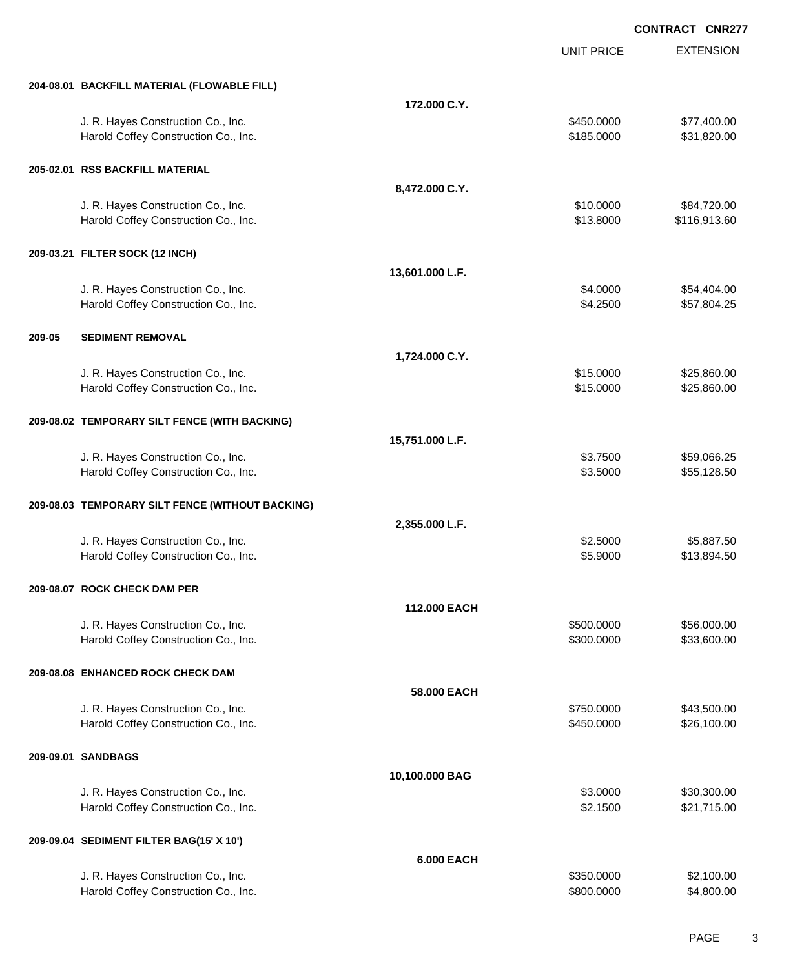|        |                                                                            |                   | <b>UNIT PRICE</b>        | <b>EXTENSION</b>         |
|--------|----------------------------------------------------------------------------|-------------------|--------------------------|--------------------------|
|        | 204-08.01 BACKFILL MATERIAL (FLOWABLE FILL)                                |                   |                          |                          |
|        |                                                                            | 172.000 C.Y.      |                          |                          |
|        | J. R. Hayes Construction Co., Inc.                                         |                   | \$450.0000               | \$77,400.00              |
|        | Harold Coffey Construction Co., Inc.                                       |                   | \$185.0000               | \$31,820.00              |
|        | 205-02.01 RSS BACKFILL MATERIAL                                            |                   |                          |                          |
|        |                                                                            | 8,472.000 C.Y.    |                          |                          |
|        | J. R. Hayes Construction Co., Inc.                                         |                   | \$10.0000                | \$84,720.00              |
|        | Harold Coffey Construction Co., Inc.                                       |                   | \$13.8000                | \$116,913.60             |
|        | 209-03.21 FILTER SOCK (12 INCH)                                            |                   |                          |                          |
|        |                                                                            | 13,601.000 L.F.   |                          |                          |
|        | J. R. Hayes Construction Co., Inc.                                         |                   | \$4.0000                 | \$54,404.00              |
|        | Harold Coffey Construction Co., Inc.                                       |                   | \$4.2500                 | \$57,804.25              |
| 209-05 | <b>SEDIMENT REMOVAL</b>                                                    |                   |                          |                          |
|        |                                                                            | 1,724.000 C.Y.    |                          |                          |
|        | J. R. Hayes Construction Co., Inc.                                         |                   | \$15.0000                | \$25,860.00              |
|        | Harold Coffey Construction Co., Inc.                                       |                   | \$15.0000                | \$25,860.00              |
|        | 209-08.02 TEMPORARY SILT FENCE (WITH BACKING)                              |                   |                          |                          |
|        |                                                                            | 15,751.000 L.F.   |                          |                          |
|        | J. R. Hayes Construction Co., Inc.                                         |                   | \$3.7500                 | \$59,066.25              |
|        | Harold Coffey Construction Co., Inc.                                       |                   | \$3.5000                 | \$55,128.50              |
|        | 209-08.03 TEMPORARY SILT FENCE (WITHOUT BACKING)                           |                   |                          |                          |
|        |                                                                            | 2,355.000 L.F.    |                          |                          |
|        | J. R. Hayes Construction Co., Inc.                                         |                   | \$2.5000                 | \$5,887.50               |
|        | Harold Coffey Construction Co., Inc.                                       |                   | \$5.9000                 | \$13,894.50              |
|        | 209-08.07 ROCK CHECK DAM PER                                               |                   |                          |                          |
|        |                                                                            | 112.000 EACH      |                          |                          |
|        | J. R. Hayes Construction Co., Inc.                                         |                   | \$500.0000               | \$56,000.00              |
|        | Harold Coffey Construction Co., Inc.                                       |                   | \$300.0000               | \$33,600.00              |
|        | 209-08.08 ENHANCED ROCK CHECK DAM                                          |                   |                          |                          |
|        |                                                                            | 58.000 EACH       |                          |                          |
|        | J. R. Hayes Construction Co., Inc.                                         |                   | \$750.0000               | \$43,500.00              |
|        | Harold Coffey Construction Co., Inc.                                       |                   | \$450.0000               | \$26,100.00              |
|        | 209-09.01 SANDBAGS                                                         |                   |                          |                          |
|        |                                                                            | 10,100.000 BAG    |                          |                          |
|        | J. R. Hayes Construction Co., Inc.                                         |                   | \$3.0000                 | \$30,300.00              |
|        | Harold Coffey Construction Co., Inc.                                       |                   | \$2.1500                 | \$21,715.00              |
|        | 209-09.04 SEDIMENT FILTER BAG(15' X 10')                                   |                   |                          |                          |
|        |                                                                            | <b>6.000 EACH</b> |                          |                          |
|        | J. R. Hayes Construction Co., Inc.<br>Harold Coffey Construction Co., Inc. |                   | \$350.0000<br>\$800.0000 | \$2,100.00<br>\$4,800.00 |
|        |                                                                            |                   |                          |                          |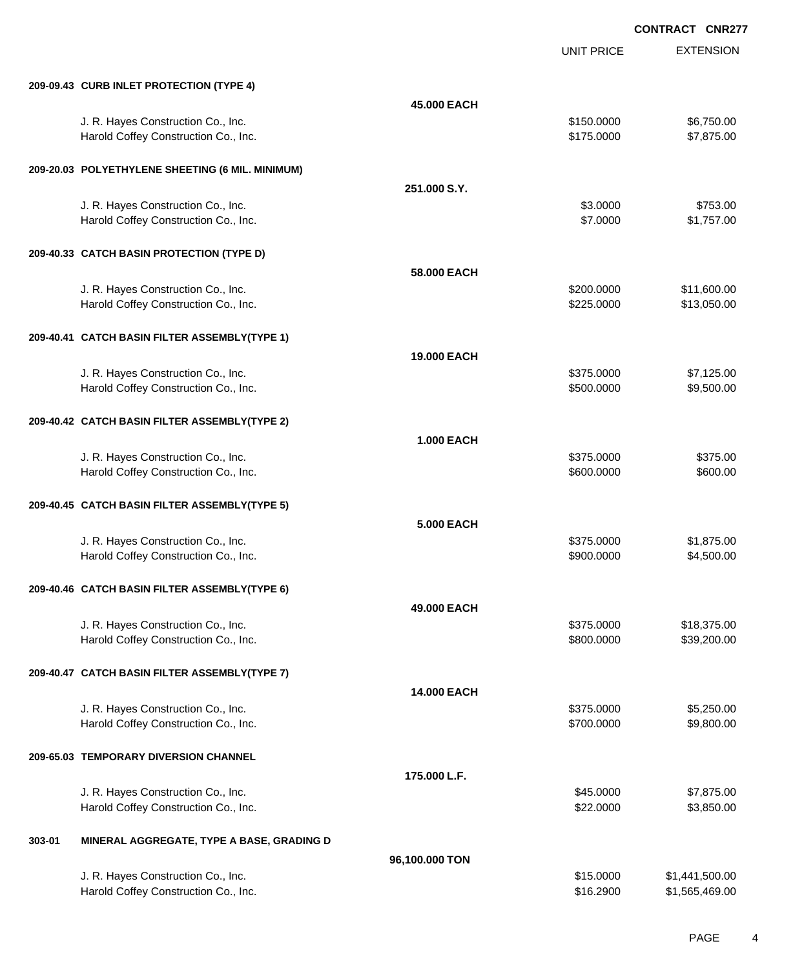UNIT PRICE

EXTENSION

|        | 209-09.43 CURB INLET PROTECTION (TYPE 4)                                   |                    |                          |                            |
|--------|----------------------------------------------------------------------------|--------------------|--------------------------|----------------------------|
|        |                                                                            | 45.000 EACH        |                          |                            |
|        | J. R. Hayes Construction Co., Inc.<br>Harold Coffey Construction Co., Inc. |                    | \$150.0000<br>\$175.0000 | \$6,750.00<br>\$7,875.00   |
|        | 209-20.03 POLYETHYLENE SHEETING (6 MIL. MINIMUM)                           |                    |                          |                            |
|        |                                                                            | 251.000 S.Y.       |                          |                            |
|        | J. R. Hayes Construction Co., Inc.                                         |                    | \$3.0000                 | \$753.00                   |
|        | Harold Coffey Construction Co., Inc.                                       |                    | \$7.0000                 | \$1,757.00                 |
|        | 209-40.33 CATCH BASIN PROTECTION (TYPE D)                                  |                    |                          |                            |
|        |                                                                            | 58.000 EACH        |                          |                            |
|        | J. R. Hayes Construction Co., Inc.<br>Harold Coffey Construction Co., Inc. |                    | \$200.0000<br>\$225.0000 | \$11,600.00<br>\$13,050.00 |
|        | 209-40.41 CATCH BASIN FILTER ASSEMBLY(TYPE 1)                              |                    |                          |                            |
|        |                                                                            | <b>19.000 EACH</b> |                          |                            |
|        | J. R. Hayes Construction Co., Inc.                                         |                    | \$375.0000               | \$7,125.00                 |
|        | Harold Coffey Construction Co., Inc.                                       |                    | \$500.0000               | \$9,500.00                 |
|        | 209-40.42 CATCH BASIN FILTER ASSEMBLY(TYPE 2)                              |                    |                          |                            |
|        |                                                                            | <b>1.000 EACH</b>  |                          |                            |
|        | J. R. Hayes Construction Co., Inc.<br>Harold Coffey Construction Co., Inc. |                    | \$375.0000<br>\$600.0000 | \$375.00<br>\$600.00       |
|        | 209-40.45 CATCH BASIN FILTER ASSEMBLY(TYPE 5)                              |                    |                          |                            |
|        |                                                                            | <b>5.000 EACH</b>  |                          |                            |
|        | J. R. Hayes Construction Co., Inc.                                         |                    | \$375.0000               | \$1,875.00                 |
|        | Harold Coffey Construction Co., Inc.                                       |                    | \$900.0000               | \$4,500.00                 |
|        | 209-40.46 CATCH BASIN FILTER ASSEMBLY(TYPE 6)                              |                    |                          |                            |
|        |                                                                            | 49,000 EACH        |                          |                            |
|        | J. R. Hayes Construction Co., Inc.                                         |                    | \$375.0000               | \$18,375.00                |
|        | Harold Coffey Construction Co., Inc.                                       |                    | \$800.0000               | \$39,200.00                |
|        | 209-40.47 CATCH BASIN FILTER ASSEMBLY(TYPE 7)                              |                    |                          |                            |
|        |                                                                            | 14.000 EACH        |                          |                            |
|        | J. R. Hayes Construction Co., Inc.                                         |                    | \$375.0000               | \$5,250.00                 |
|        | Harold Coffey Construction Co., Inc.                                       |                    | \$700.0000               | \$9,800.00                 |
|        | 209-65.03 TEMPORARY DIVERSION CHANNEL                                      |                    |                          |                            |
|        |                                                                            | 175.000 L.F.       |                          |                            |
|        | J. R. Hayes Construction Co., Inc.                                         |                    | \$45.0000                | \$7,875.00                 |
|        | Harold Coffey Construction Co., Inc.                                       |                    | \$22.0000                | \$3,850.00                 |
| 303-01 | MINERAL AGGREGATE, TYPE A BASE, GRADING D                                  |                    |                          |                            |
|        |                                                                            | 96,100.000 TON     |                          |                            |
|        | J. R. Hayes Construction Co., Inc.                                         |                    | \$15.0000                | \$1,441,500.00             |
|        | Harold Coffey Construction Co., Inc.                                       |                    | \$16.2900                | \$1,565,469.00             |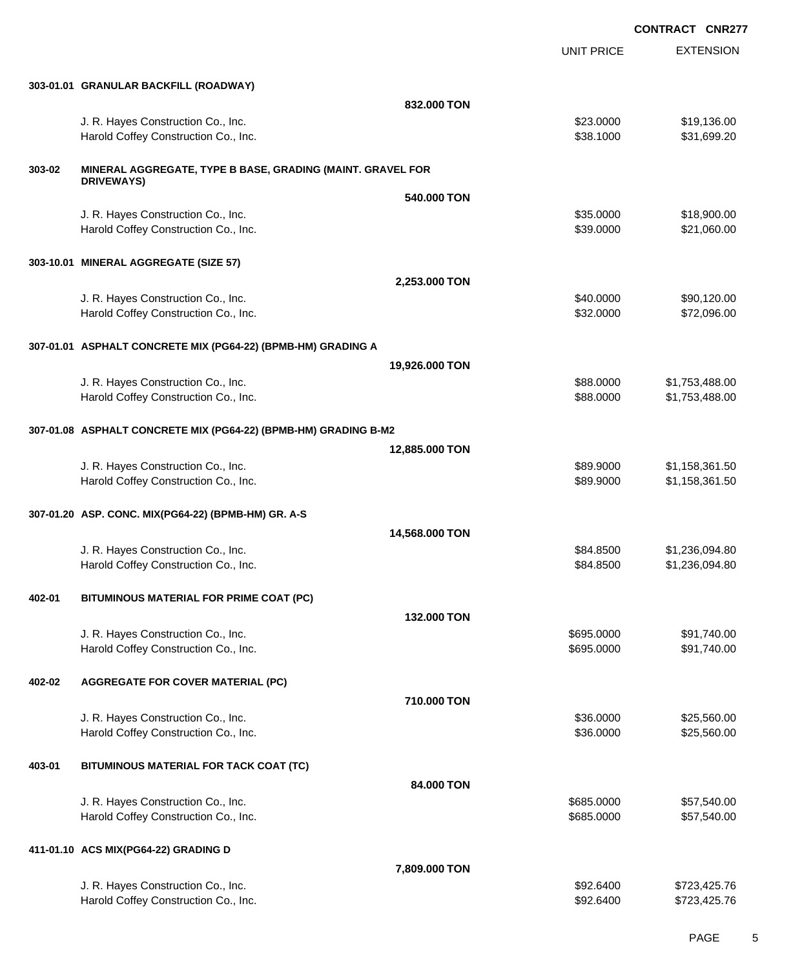EXTENSION **CONTRACT CNR277** UNIT PRICE **303-01.01 GRANULAR BACKFILL (ROADWAY) 832.000 TON** J. R. Hayes Construction Co., Inc. \$23.0000 \$19,136.00 Harold Coffey Construction Co., Inc. 6. 2010. The state of the state of the state of the state of the state of the state of the state of the state of the state of the state of the state of the state of the state of the sta **303-02 MINERAL AGGREGATE, TYPE B BASE, GRADING (MAINT. GRAVEL FOR DRIVEWAYS) 540.000 TON** J. R. Hayes Construction Co., Inc. 6. 2000 \$18,900.00 \$18,900.00 Harold Coffey Construction Co., Inc. 6. The Construction Co., Inc. 6. The Construction Co., Inc. 6. The Const **303-10.01 MINERAL AGGREGATE (SIZE 57) 2,253.000 TON** J. R. Hayes Construction Co., Inc. 6. The Construction Co., Inc. \$40.0000 \$90,120.00 Harold Coffey Construction Co., Inc. 6. The Construction Co., Inc. 6. The Construction Co., Inc. 6. The Const **307-01.01 ASPHALT CONCRETE MIX (PG64-22) (BPMB-HM) GRADING A 19,926.000 TON** J. R. Hayes Construction Co., Inc. 6. The Construction Co., Inc. \$88.0000 \$1,753,488.000 \$1,753,488.00 Harold Coffey Construction Co., Inc. 6. The Construction Co., Inc. \$88.0000 \$1,753,488.00 **307-01.08 ASPHALT CONCRETE MIX (PG64-22) (BPMB-HM) GRADING B-M2 12,885.000 TON** J. R. Hayes Construction Co., Inc. 6. The Construction Co., Inc. \$89.9000 \$1,158,361.50 Harold Coffey Construction Co., Inc. 6. The Construction Co., Inc. 6. The Construction Co., Inc. 6. The Const **307-01.20 ASP. CONC. MIX(PG64-22) (BPMB-HM) GR. A-S 14,568.000 TON** J. R. Hayes Construction Co., Inc. \$84.8500 \$1,236,094.80 Harold Coffey Construction Co., Inc. 6. The Construction Co., Inc. \$84.8500 \$1,236,094.80 **402-01 BITUMINOUS MATERIAL FOR PRIME COAT (PC) 132.000 TON** J. R. Hayes Construction Co., Inc. 6995.0000 \$91,740.00 Harold Coffey Construction Co., Inc. 6. The Construction Co., Inc. 6. The Construction Co., Inc. 691,740.00 **402-02 AGGREGATE FOR COVER MATERIAL (PC) 710.000 TON** J. R. Hayes Construction Co., Inc. 6. The Construction Co., Inc. \$36.000 \$25,560.00 Harold Coffey Construction Co., Inc. 6. The Construction Co., Inc. \$36.000 \$25,560.00 **403-01 BITUMINOUS MATERIAL FOR TACK COAT (TC) 84.000 TON** J. R. Hayes Construction Co., Inc. 6. The Construction Co., Inc. \$685.0000 \$57,540.00 Harold Coffey Construction Co., Inc. 6685.0000 \$57,540.00 **411-01.10 ACS MIX(PG64-22) GRADING D 7,809.000 TON**

J. R. Hayes Construction Co., Inc. \$92.6400 \$723,425.76 Harold Coffey Construction Co., Inc. 6. The Construction Co., Inc. \$92.6400 \$723,425.76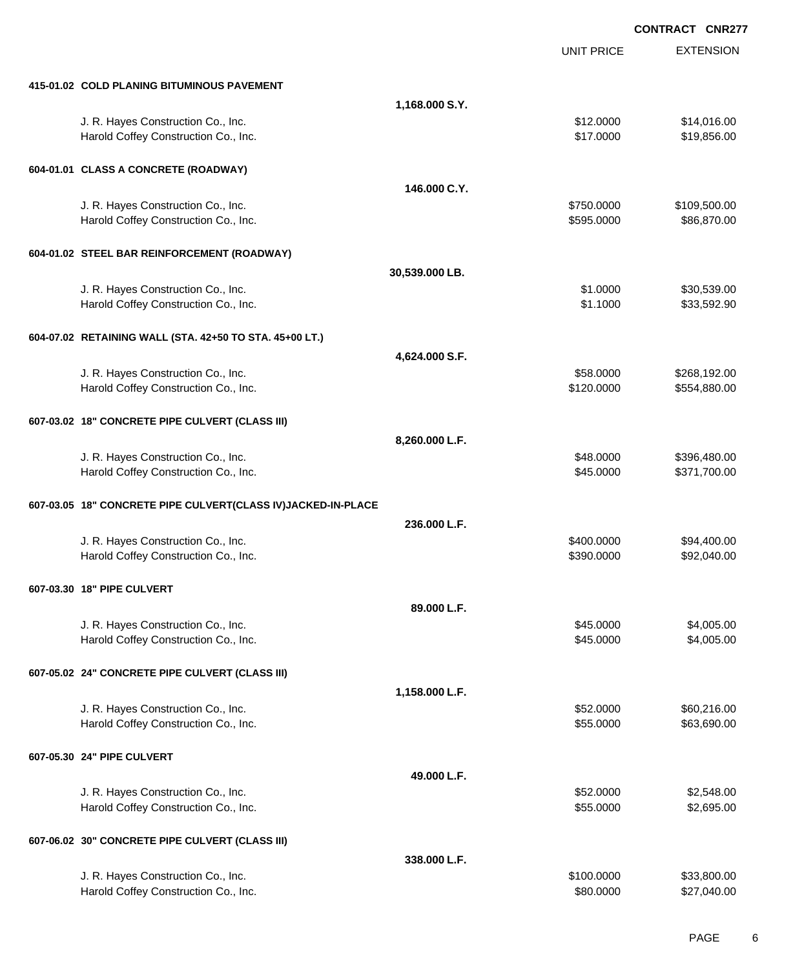|                                                                            |                | <b>CONTRACT CNR277</b> |                              |  |
|----------------------------------------------------------------------------|----------------|------------------------|------------------------------|--|
|                                                                            |                | <b>UNIT PRICE</b>      | <b>EXTENSION</b>             |  |
| 415-01.02 COLD PLANING BITUMINOUS PAVEMENT                                 |                |                        |                              |  |
|                                                                            | 1,168.000 S.Y. |                        |                              |  |
| J. R. Hayes Construction Co., Inc.                                         |                | \$12.0000              | \$14,016.00                  |  |
| Harold Coffey Construction Co., Inc.                                       |                | \$17.0000              | \$19,856.00                  |  |
| 604-01.01 CLASS A CONCRETE (ROADWAY)                                       |                |                        |                              |  |
|                                                                            | 146.000 C.Y.   |                        |                              |  |
| J. R. Hayes Construction Co., Inc.                                         |                | \$750.0000             | \$109,500.00                 |  |
| Harold Coffey Construction Co., Inc.                                       |                | \$595.0000             | \$86,870.00                  |  |
| 604-01.02 STEEL BAR REINFORCEMENT (ROADWAY)                                |                |                        |                              |  |
|                                                                            | 30,539.000 LB. |                        |                              |  |
| J. R. Hayes Construction Co., Inc.                                         |                | \$1.0000               | \$30,539.00                  |  |
| Harold Coffey Construction Co., Inc.                                       |                | \$1.1000               | \$33,592.90                  |  |
| 604-07.02 RETAINING WALL (STA. 42+50 TO STA. 45+00 LT.)                    |                |                        |                              |  |
|                                                                            | 4,624.000 S.F. |                        |                              |  |
| J. R. Hayes Construction Co., Inc.                                         |                | \$58.0000              | \$268,192.00                 |  |
| Harold Coffey Construction Co., Inc.                                       |                | \$120.0000             | \$554,880.00                 |  |
| 607-03.02 18" CONCRETE PIPE CULVERT (CLASS III)                            |                |                        |                              |  |
|                                                                            | 8,260.000 L.F. |                        |                              |  |
| J. R. Hayes Construction Co., Inc.<br>Harold Coffey Construction Co., Inc. |                | \$48.0000<br>\$45.0000 | \$396,480.00<br>\$371,700.00 |  |
|                                                                            |                |                        |                              |  |
| 607-03.05 18" CONCRETE PIPE CULVERT(CLASS IV)JACKED-IN-PLACE               | 236.000 L.F.   |                        |                              |  |
| J. R. Hayes Construction Co., Inc.                                         |                | \$400.0000             | \$94,400.00                  |  |
| Harold Coffey Construction Co., Inc.                                       |                | \$390.0000             | \$92,040.00                  |  |
| 607-03.30 18" PIPE CULVERT                                                 |                |                        |                              |  |
|                                                                            | 89.000 L.F.    |                        |                              |  |
| J. R. Hayes Construction Co., Inc.                                         |                | \$45.0000              | \$4,005.00                   |  |
| Harold Coffey Construction Co., Inc.                                       |                | \$45.0000              | \$4,005.00                   |  |
| 607-05.02 24" CONCRETE PIPE CULVERT (CLASS III)                            |                |                        |                              |  |
|                                                                            | 1,158.000 L.F. |                        |                              |  |
| J. R. Hayes Construction Co., Inc.                                         |                | \$52.0000              | \$60,216.00                  |  |
| Harold Coffey Construction Co., Inc.                                       |                | \$55.0000              | \$63,690.00                  |  |
| 607-05.30 24" PIPE CULVERT                                                 |                |                        |                              |  |
|                                                                            | 49.000 L.F.    |                        |                              |  |
| J. R. Hayes Construction Co., Inc.                                         |                | \$52.0000              | \$2,548.00                   |  |
| Harold Coffey Construction Co., Inc.                                       |                | \$55.0000              | \$2,695.00                   |  |
| 607-06.02 30" CONCRETE PIPE CULVERT (CLASS III)                            |                |                        |                              |  |
|                                                                            | 338.000 L.F.   |                        |                              |  |
| J. R. Hayes Construction Co., Inc.                                         |                | \$100.0000             | \$33,800.00                  |  |
| Harold Coffey Construction Co., Inc.                                       |                | \$80.0000              | \$27,040.00                  |  |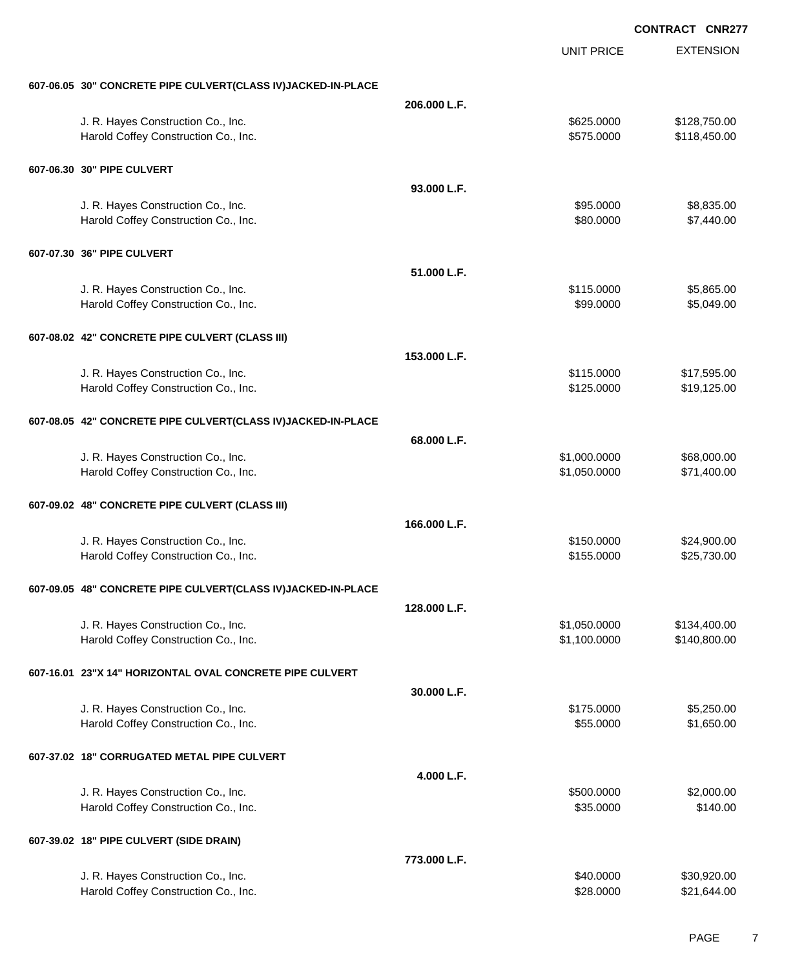|                                                              |              | <b>UNIT PRICE</b> | <b>EXTENSION</b> |
|--------------------------------------------------------------|--------------|-------------------|------------------|
| 607-06.05 30" CONCRETE PIPE CULVERT(CLASS IV)JACKED-IN-PLACE |              |                   |                  |
|                                                              | 206.000 L.F. |                   |                  |
| J. R. Hayes Construction Co., Inc.                           |              | \$625.0000        | \$128,750.00     |
| Harold Coffey Construction Co., Inc.                         |              | \$575.0000        | \$118,450.00     |
| 607-06.30 30" PIPE CULVERT                                   |              |                   |                  |
|                                                              | 93.000 L.F.  |                   |                  |
| J. R. Hayes Construction Co., Inc.                           |              | \$95.0000         | \$8,835.00       |
| Harold Coffey Construction Co., Inc.                         |              | \$80.0000         | \$7,440.00       |
| 607-07.30 36" PIPE CULVERT                                   |              |                   |                  |
|                                                              | 51.000 L.F.  |                   |                  |
| J. R. Hayes Construction Co., Inc.                           |              | \$115.0000        | \$5,865.00       |
| Harold Coffey Construction Co., Inc.                         |              | \$99.0000         | \$5,049.00       |
| 607-08.02 42" CONCRETE PIPE CULVERT (CLASS III)              |              |                   |                  |
|                                                              | 153.000 L.F. |                   |                  |
| J. R. Hayes Construction Co., Inc.                           |              | \$115.0000        | \$17,595.00      |
| Harold Coffey Construction Co., Inc.                         |              | \$125.0000        | \$19,125.00      |
| 607-08.05 42" CONCRETE PIPE CULVERT(CLASS IV)JACKED-IN-PLACE |              |                   |                  |
|                                                              | 68.000 L.F.  |                   |                  |
| J. R. Hayes Construction Co., Inc.                           |              | \$1,000.0000      | \$68,000.00      |
| Harold Coffey Construction Co., Inc.                         |              | \$1,050.0000      | \$71,400.00      |
| 607-09.02 48" CONCRETE PIPE CULVERT (CLASS III)              |              |                   |                  |
|                                                              | 166.000 L.F. |                   |                  |
| J. R. Hayes Construction Co., Inc.                           |              | \$150.0000        | \$24,900.00      |
| Harold Coffey Construction Co., Inc.                         |              | \$155.0000        | \$25,730.00      |
| 607-09.05 48" CONCRETE PIPE CULVERT(CLASS IV)JACKED-IN-PLACE |              |                   |                  |
|                                                              | 128.000 L.F. |                   |                  |
| J. R. Hayes Construction Co., Inc.                           |              | \$1,050.0000      | \$134,400.00     |
| Harold Coffey Construction Co., Inc.                         |              | \$1,100.0000      | \$140,800.00     |
| 607-16.01 23"X 14" HORIZONTAL OVAL CONCRETE PIPE CULVERT     |              |                   |                  |
|                                                              | 30.000 L.F.  |                   |                  |
| J. R. Hayes Construction Co., Inc.                           |              | \$175.0000        | \$5,250.00       |
| Harold Coffey Construction Co., Inc.                         |              | \$55.0000         | \$1,650.00       |
| 607-37.02 18" CORRUGATED METAL PIPE CULVERT                  |              |                   |                  |
|                                                              | 4.000 L.F.   |                   |                  |
| J. R. Hayes Construction Co., Inc.                           |              | \$500.0000        | \$2,000.00       |
| Harold Coffey Construction Co., Inc.                         |              | \$35.0000         | \$140.00         |
| 607-39.02 18" PIPE CULVERT (SIDE DRAIN)                      |              |                   |                  |
|                                                              | 773.000 L.F. |                   |                  |
| J. R. Hayes Construction Co., Inc.                           |              | \$40.0000         | \$30,920.00      |
| Harold Coffey Construction Co., Inc.                         |              | \$28.0000         | \$21,644.00      |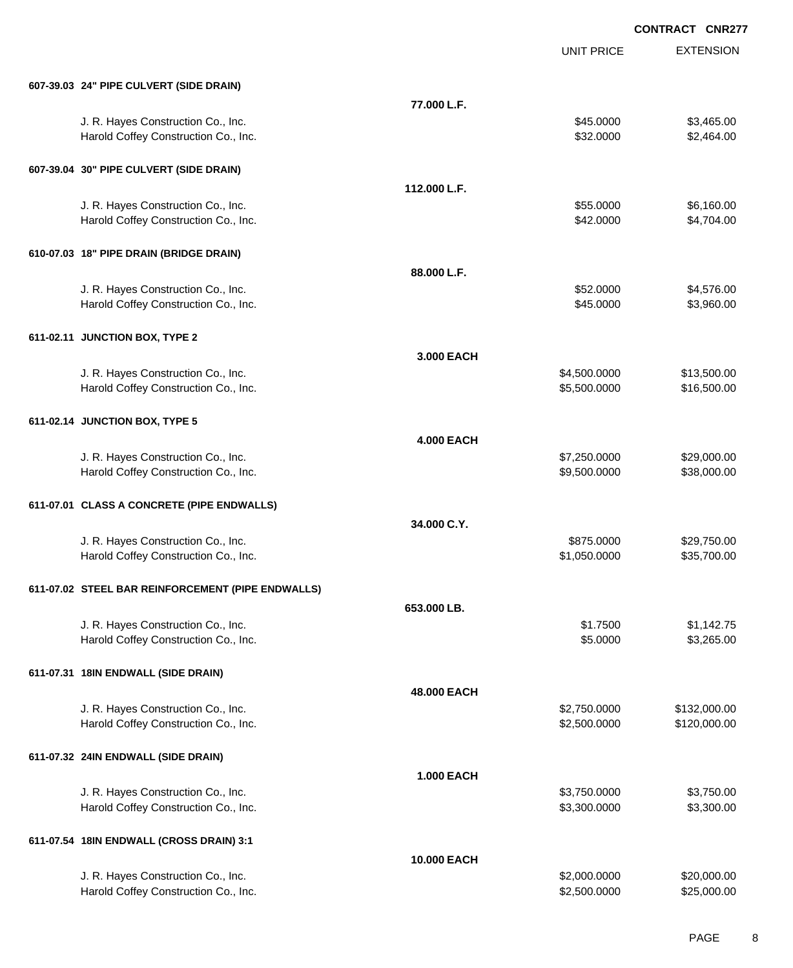EXTENSION **CONTRACT CNR277** UNIT PRICE **607-39.03 24" PIPE CULVERT (SIDE DRAIN) 77.000 L.F.** J. R. Hayes Construction Co., Inc. 6. The Construction Co., Inc. \$45.0000 \$3,465.00 Harold Coffey Construction Co., Inc. 6. The Construction Co., Inc. 6. The Construction Co., Inc. 6. S2.0000 \$2,464.00 **607-39.04 30" PIPE CULVERT (SIDE DRAIN) 112.000 L.F.** J. R. Hayes Construction Co., Inc. 6. The Construction Co., Inc. \$55.0000 \$6,160.00 Harold Coffey Construction Co., Inc. 66 and the construction Co., Inc. 66 and the construction Co., Inc. 66 and the construction Co., Inc. 66 and the construction Co., Inc. 66 and the construction Co., Inc. 66 and the cons **610-07.03 18" PIPE DRAIN (BRIDGE DRAIN) 88.000 L.F.** J. R. Hayes Construction Co., Inc. 6. The Construction Co., Inc. \$52.0000 \$4,576.00 Harold Coffey Construction Co., Inc. 6. The Construction Co., Inc. \$45.0000 \$3,960.00 **611-02.11 JUNCTION BOX, TYPE 2 3.000 EACH** J. R. Hayes Construction Co., Inc. 6. 2010 12:00:000 \$4,500.000 \$13,500.000 \$13,500.00 Harold Coffey Construction Co., Inc. 6. The Construction Co., Inc. \$5,500.000 \$16,500.000 \$16,500.00 **611-02.14 JUNCTION BOX, TYPE 5 4.000 EACH** J. R. Hayes Construction Co., Inc. 6. 2000.00 \$7,250.0000 \$29,000.00 Harold Coffey Construction Co., Inc. 6. The Construction Co., Inc. 6. The Construction Co., Inc. 6. The Const **611-07.01 CLASS A CONCRETE (PIPE ENDWALLS) 34.000 C.Y.** J. R. Hayes Construction Co., Inc. 6. The Construction Co., Inc. \$875.000 \$29,750.00 Harold Coffey Construction Co., Inc. 6. The Construction Co., Inc. 6. The Construction Co., Inc. 6. The Const **611-07.02 STEEL BAR REINFORCEMENT (PIPE ENDWALLS) 653.000 LB.** J. R. Hayes Construction Co., Inc. 6. The construction Co., Inc. 6. The construction Co., Inc. 6. The construction Co., Inc. 6. The construction Co., Inc. 6. The construction Co., Inc. 6. The construction Co., Inc. 6. The Harold Coffey Construction Co., Inc. 6. 2000 \$3,265.00 \$3,265.00 **611-07.31 18IN ENDWALL (SIDE DRAIN) 48.000 EACH** J. R. Hayes Construction Co., Inc. \$2,750.0000 \$132,000.00 Harold Coffey Construction Co., Inc. 6. The Construction Co., Inc. \$2,500.000 \$120,000.00 **611-07.32 24IN ENDWALL (SIDE DRAIN) 1.000 EACH** J. R. Hayes Construction Co., Inc. \$3,750.000 \$3,750.000 \$3,750.000 \$3,750.000 Harold Coffey Construction Co., Inc. 6. 2009. [10] S3,300.000 \$3,300.000 \$3,300.000 \$3,300.00 **611-07.54 18IN ENDWALL (CROSS DRAIN) 3:1 10.000 EACH**

J. R. Hayes Construction Co., Inc. 6. The Construction Co., Inc. \$2,000.000 \$2,000.000 \$20,000.00 Harold Coffey Construction Co., Inc. 6. The Construction Co., Inc. 6. The Construction Co., Inc. 6. The Const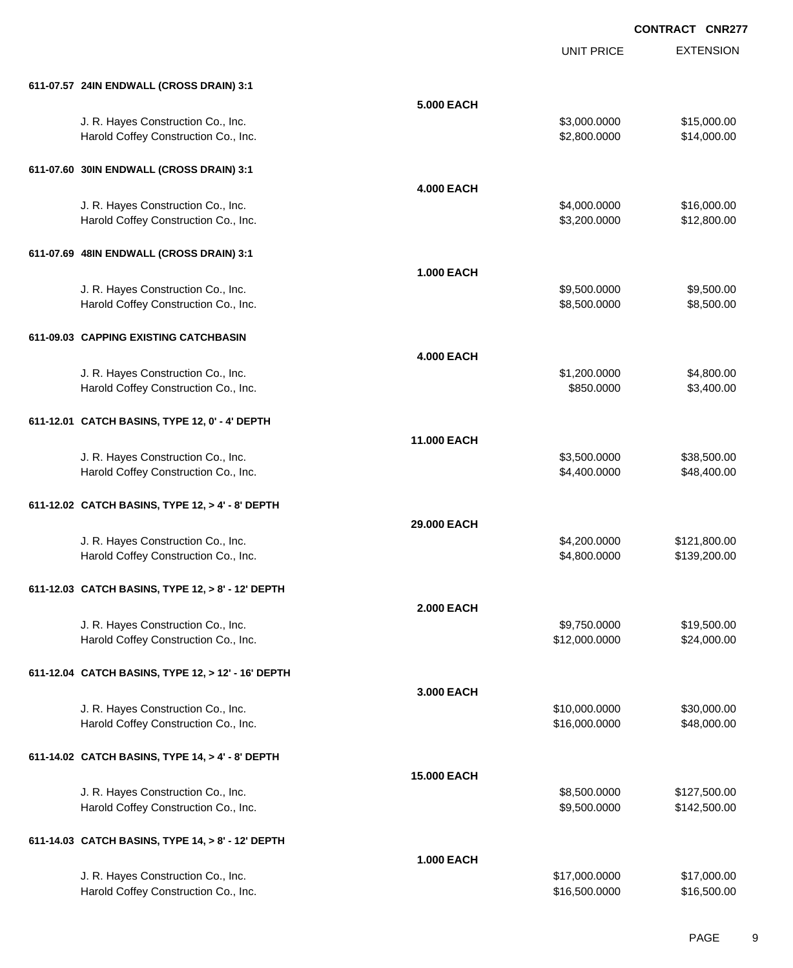|                                                    |                   | <b>UNIT PRICE</b> | <b>EXTENSION</b> |
|----------------------------------------------------|-------------------|-------------------|------------------|
| 611-07.57 24IN ENDWALL (CROSS DRAIN) 3:1           |                   |                   |                  |
|                                                    | <b>5.000 EACH</b> |                   |                  |
| J. R. Hayes Construction Co., Inc.                 |                   | \$3,000.0000      | \$15,000.00      |
| Harold Coffey Construction Co., Inc.               |                   | \$2,800.0000      | \$14,000.00      |
| 611-07.60 30IN ENDWALL (CROSS DRAIN) 3:1           |                   |                   |                  |
|                                                    | <b>4.000 EACH</b> |                   |                  |
| J. R. Hayes Construction Co., Inc.                 |                   | \$4,000.0000      | \$16,000.00      |
| Harold Coffey Construction Co., Inc.               |                   | \$3,200.0000      | \$12,800.00      |
| 611-07.69 48IN ENDWALL (CROSS DRAIN) 3:1           |                   |                   |                  |
|                                                    | <b>1.000 EACH</b> |                   |                  |
| J. R. Hayes Construction Co., Inc.                 |                   | \$9,500.0000      | \$9,500.00       |
| Harold Coffey Construction Co., Inc.               |                   | \$8,500.0000      | \$8,500.00       |
| 611-09.03 CAPPING EXISTING CATCHBASIN              |                   |                   |                  |
|                                                    | <b>4.000 EACH</b> |                   |                  |
| J. R. Hayes Construction Co., Inc.                 |                   | \$1,200.0000      | \$4,800.00       |
| Harold Coffey Construction Co., Inc.               |                   | \$850.0000        | \$3,400.00       |
| 611-12.01 CATCH BASINS, TYPE 12, 0' - 4' DEPTH     |                   |                   |                  |
|                                                    | 11.000 EACH       |                   |                  |
| J. R. Hayes Construction Co., Inc.                 |                   | \$3,500.0000      | \$38,500.00      |
| Harold Coffey Construction Co., Inc.               |                   | \$4,400.0000      | \$48,400.00      |
| 611-12.02 CATCH BASINS, TYPE 12, > 4' - 8' DEPTH   |                   |                   |                  |
|                                                    | 29,000 EACH       |                   |                  |
| J. R. Hayes Construction Co., Inc.                 |                   | \$4,200.0000      | \$121,800.00     |
| Harold Coffey Construction Co., Inc.               |                   | \$4,800.0000      | \$139,200.00     |
| 611-12.03 CATCH BASINS, TYPE 12, > 8' - 12' DEPTH  |                   |                   |                  |
|                                                    | <b>2.000 EACH</b> |                   |                  |
| J. R. Hayes Construction Co., Inc.                 |                   | \$9,750.0000      | \$19,500.00      |
| Harold Coffey Construction Co., Inc.               |                   | \$12,000.0000     | \$24,000.00      |
| 611-12.04 CATCH BASINS, TYPE 12, > 12' - 16' DEPTH |                   |                   |                  |
|                                                    | 3.000 EACH        |                   |                  |
| J. R. Hayes Construction Co., Inc.                 |                   | \$10,000.0000     | \$30,000.00      |
| Harold Coffey Construction Co., Inc.               |                   | \$16,000.0000     | \$48,000.00      |
| 611-14.02 CATCH BASINS, TYPE 14, > 4' - 8' DEPTH   |                   |                   |                  |
|                                                    | 15.000 EACH       |                   |                  |
| J. R. Hayes Construction Co., Inc.                 |                   | \$8,500.0000      | \$127,500.00     |
| Harold Coffey Construction Co., Inc.               |                   | \$9,500.0000      | \$142,500.00     |
| 611-14.03 CATCH BASINS, TYPE 14, > 8' - 12' DEPTH  |                   |                   |                  |
|                                                    | <b>1.000 EACH</b> |                   |                  |
| J. R. Hayes Construction Co., Inc.                 |                   | \$17,000.0000     | \$17,000.00      |
| Harold Coffey Construction Co., Inc.               |                   | \$16,500.0000     | \$16,500.00      |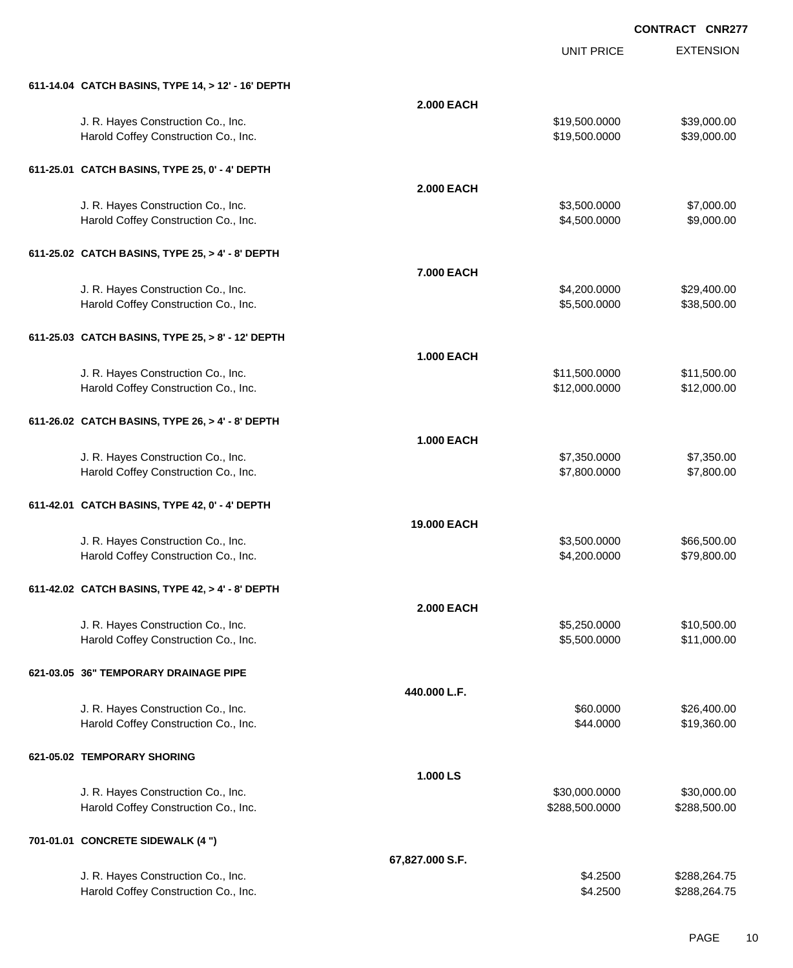|                                                    |                   | <b>UNIT PRICE</b> | <b>EXTENSION</b> |
|----------------------------------------------------|-------------------|-------------------|------------------|
| 611-14.04 CATCH BASINS, TYPE 14, > 12' - 16' DEPTH |                   |                   |                  |
|                                                    | <b>2.000 EACH</b> |                   |                  |
| J. R. Hayes Construction Co., Inc.                 |                   | \$19,500.0000     | \$39,000.00      |
| Harold Coffey Construction Co., Inc.               |                   | \$19,500.0000     | \$39,000.00      |
| 611-25.01 CATCH BASINS, TYPE 25, 0' - 4' DEPTH     |                   |                   |                  |
|                                                    | <b>2.000 EACH</b> |                   |                  |
| J. R. Hayes Construction Co., Inc.                 |                   | \$3,500.0000      | \$7,000.00       |
| Harold Coffey Construction Co., Inc.               |                   | \$4,500.0000      | \$9,000.00       |
| 611-25.02 CATCH BASINS, TYPE 25, > 4' - 8' DEPTH   |                   |                   |                  |
|                                                    | 7.000 EACH        |                   |                  |
| J. R. Hayes Construction Co., Inc.                 |                   | \$4,200.0000      | \$29,400.00      |
| Harold Coffey Construction Co., Inc.               |                   | \$5,500.0000      | \$38,500.00      |
| 611-25.03 CATCH BASINS, TYPE 25, > 8' - 12' DEPTH  |                   |                   |                  |
|                                                    | <b>1.000 EACH</b> |                   |                  |
| J. R. Hayes Construction Co., Inc.                 |                   | \$11,500.0000     | \$11,500.00      |
| Harold Coffey Construction Co., Inc.               |                   | \$12,000.0000     | \$12,000.00      |
| 611-26.02 CATCH BASINS, TYPE 26, > 4' - 8' DEPTH   |                   |                   |                  |
|                                                    | <b>1.000 EACH</b> |                   |                  |
| J. R. Hayes Construction Co., Inc.                 |                   | \$7,350.0000      | \$7,350.00       |
| Harold Coffey Construction Co., Inc.               |                   | \$7,800.0000      | \$7,800.00       |
| 611-42.01 CATCH BASINS, TYPE 42, 0' - 4' DEPTH     |                   |                   |                  |
|                                                    | 19.000 EACH       |                   |                  |
| J. R. Hayes Construction Co., Inc.                 |                   | \$3,500.0000      | \$66,500.00      |
| Harold Coffey Construction Co., Inc.               |                   | \$4,200.0000      | \$79,800.00      |
| 611-42.02 CATCH BASINS, TYPE 42, > 4' - 8' DEPTH   |                   |                   |                  |
|                                                    | <b>2.000 EACH</b> |                   |                  |
| J. R. Hayes Construction Co., Inc.                 |                   | \$5,250.0000      | \$10,500.00      |
| Harold Coffey Construction Co., Inc.               |                   | \$5,500.0000      | \$11,000.00      |
| 621-03.05 36" TEMPORARY DRAINAGE PIPE              |                   |                   |                  |
|                                                    | 440.000 L.F.      |                   |                  |
| J. R. Hayes Construction Co., Inc.                 |                   | \$60.0000         | \$26,400.00      |
| Harold Coffey Construction Co., Inc.               |                   | \$44.0000         | \$19,360.00      |
| 621-05.02 TEMPORARY SHORING                        |                   |                   |                  |
|                                                    | 1.000 LS          |                   |                  |
| J. R. Hayes Construction Co., Inc.                 |                   | \$30,000.0000     | \$30,000.00      |
| Harold Coffey Construction Co., Inc.               |                   | \$288,500.0000    | \$288,500.00     |
| 701-01.01 CONCRETE SIDEWALK (4 ")                  |                   |                   |                  |
|                                                    | 67,827.000 S.F.   |                   |                  |
| J. R. Hayes Construction Co., Inc.                 |                   | \$4.2500          | \$288,264.75     |
| Harold Coffey Construction Co., Inc.               |                   | \$4.2500          | \$288,264.75     |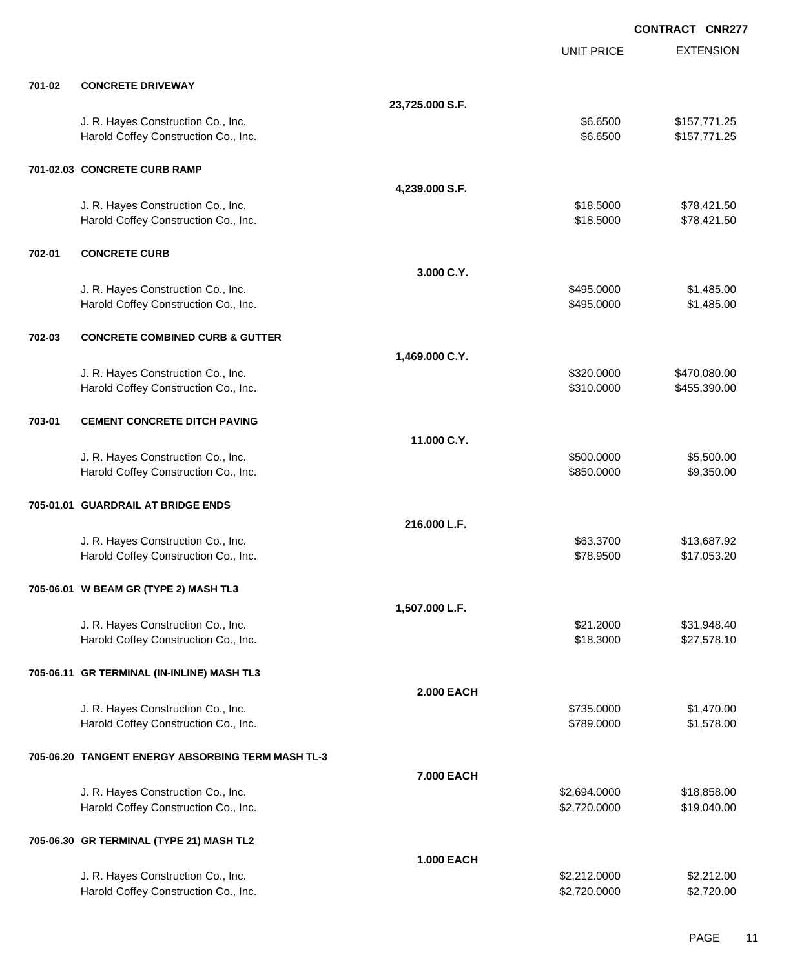EXTENSION **CONTRACT CNR277** UNIT PRICE **701-02 CONCRETE DRIVEWAY 23,725.000 S.F.** J. R. Hayes Construction Co., Inc. 6. The Construction Co., Inc. 6. The Construction Co., Inc. 6. St. 6500 \$157,771.25 Harold Coffey Construction Co., Inc. 6. 2012 12:30 12:30 12:30 12:30 12:30 12:30 12:30 12:30 12:30 12:30 12:30 **701-02.03 CONCRETE CURB RAMP 4,239.000 S.F.** J. R. Hayes Construction Co., Inc. \$18.5000 \$78,421.50 Harold Coffey Construction Co., Inc. 6. 2012. The state of the state of the state of the state of the state of the state of the state of the state of the state of the state of the state of the state of the state of the sta **702-01 CONCRETE CURB 3.000 C.Y.** J. R. Hayes Construction Co., Inc. 6. The Construction Co., Inc. 6. The Construction Co., Inc. 6. St. 485.000 \$1,485.00 Harold Coffey Construction Co., Inc. 6. The Construction Co., Inc. 6. The Construction Co., Inc. 6. The Const **702-03 CONCRETE COMBINED CURB & GUTTER 1,469.000 C.Y.** J. R. Hayes Construction Co., Inc. \$320.0000 \$470,080.00 Harold Coffey Construction Co., Inc. No. 2010. The State of the State of State State State State State State State State State State State State State State State State State State State State State State State State State **703-01 CEMENT CONCRETE DITCH PAVING 11.000 C.Y.** U. R. Hayes Construction Co., Inc. 6. The Construction Co., Inc. 6. The Construction Co., Inc. 6. Separate Construction Co., Inc. 6. Separate Construction Co., Inc. 6. Separate Construction Co., Inc. 6. Separate Constructi Harold Coffey Construction Co., Inc. 6. The Construction Co., Inc. 6. The Construction Co., Inc. 6. The Construction Co., Inc. 6. The Construction Co., Inc. 6. The Construction Co., Inc. 6. The Construction Co., Inc. 6. Th **705-01.01 GUARDRAIL AT BRIDGE ENDS 216.000 L.F.** J. R. Hayes Construction Co., Inc. \$63.3700 \$13,687.92 Harold Coffey Construction Co., Inc. \$78.9500 \$17,053.20 **705-06.01 W BEAM GR (TYPE 2) MASH TL3 1,507.000 L.F.** J. R. Hayes Construction Co., Inc. \$21.2000 \$31,948.40 Harold Coffey Construction Co., Inc. 6. 2012. The state of the state of the state of the state of the state of the state of the state of the state of the state of the state of the state of the state of the state of the sta **705-06.11 GR TERMINAL (IN-INLINE) MASH TL3 2.000 EACH** J. R. Hayes Construction Co., Inc. 6. The Construction Co., Inc. 6. The Construction Co., Inc. 6. The Construction Co., Inc. 6. The Construction Co., Inc. 6. The Construction Co., Inc. 6. The Construction Co., Inc. 6. The Harold Coffey Construction Co., Inc. 6. The Construction Co., Inc. 6. The Construction Co., Inc. 6. The Const **705-06.20 TANGENT ENERGY ABSORBING TERM MASH TL-3 7.000 EACH** J. R. Hayes Construction Co., Inc. \$2,694.0000 \$18,858.00 Harold Coffey Construction Co., Inc. 6. 2.720.000 \$2,720.0000 \$19,040.00 **705-06.30 GR TERMINAL (TYPE 21) MASH TL2 1.000 EACH** J. R. Hayes Construction Co., Inc. 6. 2012.000 \$2,212.000 \$2,212.000 \$2,212.000 \$2,212.000 \$2,212.00 Harold Coffey Construction Co., Inc. 6. The Construction Co., Inc. 6. The Construction Co., Inc. 6. The Const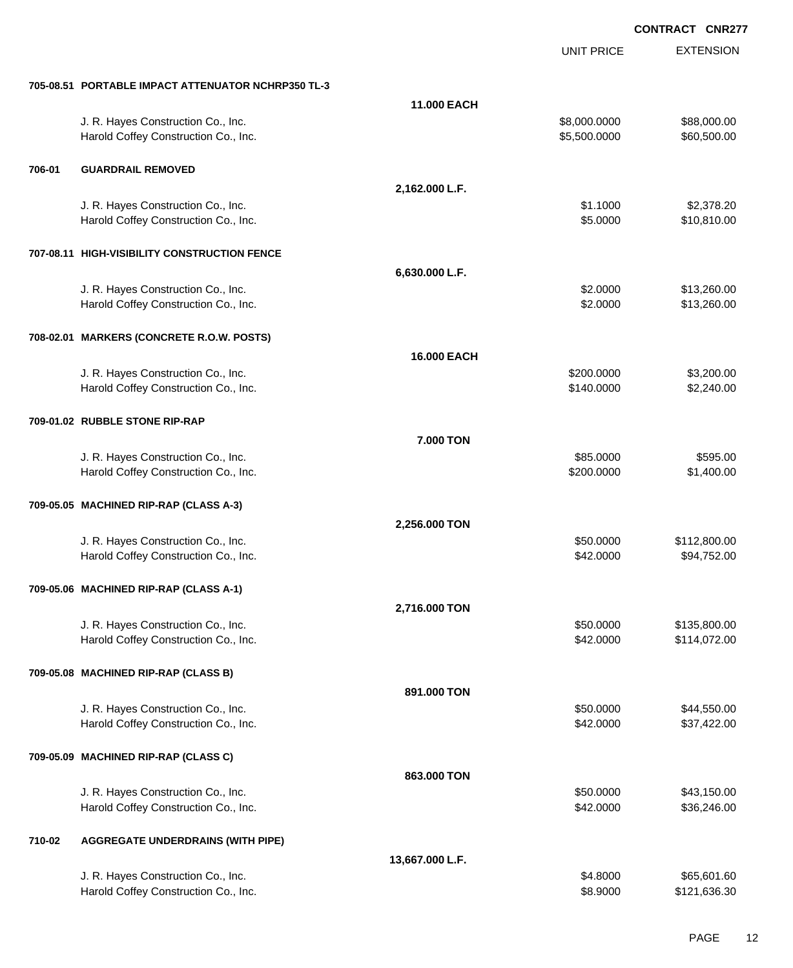|        |                                                    |                 | <b>UNIT PRICE</b> | <b>EXTENSION</b> |
|--------|----------------------------------------------------|-----------------|-------------------|------------------|
|        | 705-08.51 PORTABLE IMPACT ATTENUATOR NCHRP350 TL-3 |                 |                   |                  |
|        |                                                    | 11.000 EACH     |                   |                  |
|        | J. R. Hayes Construction Co., Inc.                 |                 | \$8,000.0000      | \$88,000.00      |
|        |                                                    |                 |                   |                  |
|        | Harold Coffey Construction Co., Inc.               |                 | \$5,500.0000      | \$60,500.00      |
| 706-01 | <b>GUARDRAIL REMOVED</b>                           |                 |                   |                  |
|        |                                                    | 2,162.000 L.F.  |                   |                  |
|        | J. R. Hayes Construction Co., Inc.                 |                 | \$1.1000          | \$2,378.20       |
|        | Harold Coffey Construction Co., Inc.               |                 | \$5.0000          | \$10,810.00      |
|        |                                                    |                 |                   |                  |
|        | 707-08.11 HIGH-VISIBILITY CONSTRUCTION FENCE       |                 |                   |                  |
|        |                                                    | 6,630.000 L.F.  |                   |                  |
|        | J. R. Hayes Construction Co., Inc.                 |                 | \$2.0000          | \$13,260.00      |
|        | Harold Coffey Construction Co., Inc.               |                 | \$2.0000          | \$13,260.00      |
|        | 708-02.01 MARKERS (CONCRETE R.O.W. POSTS)          |                 |                   |                  |
|        |                                                    | 16.000 EACH     |                   |                  |
|        |                                                    |                 |                   |                  |
|        | J. R. Hayes Construction Co., Inc.                 |                 | \$200.0000        | \$3,200.00       |
|        | Harold Coffey Construction Co., Inc.               |                 | \$140.0000        | \$2,240.00       |
|        | 709-01.02 RUBBLE STONE RIP-RAP                     |                 |                   |                  |
|        |                                                    | 7.000 TON       |                   |                  |
|        | J. R. Hayes Construction Co., Inc.                 |                 | \$85.0000         | \$595.00         |
|        | Harold Coffey Construction Co., Inc.               |                 | \$200.0000        | \$1,400.00       |
|        |                                                    |                 |                   |                  |
|        | 709-05.05 MACHINED RIP-RAP (CLASS A-3)             |                 |                   |                  |
|        |                                                    | 2,256.000 TON   |                   |                  |
|        | J. R. Hayes Construction Co., Inc.                 |                 | \$50.0000         | \$112,800.00     |
|        | Harold Coffey Construction Co., Inc.               |                 | \$42.0000         | \$94,752.00      |
|        |                                                    |                 |                   |                  |
|        | 709-05.06 MACHINED RIP-RAP (CLASS A-1)             |                 |                   |                  |
|        |                                                    | 2,716.000 TON   |                   |                  |
|        | J. R. Hayes Construction Co., Inc.                 |                 | \$50.0000         | \$135,800.00     |
|        | Harold Coffey Construction Co., Inc.               |                 | \$42.0000         | \$114,072.00     |
|        |                                                    |                 |                   |                  |
|        | 709-05.08 MACHINED RIP-RAP (CLASS B)               |                 |                   |                  |
|        |                                                    | 891.000 TON     |                   |                  |
|        | J. R. Hayes Construction Co., Inc.                 |                 | \$50.0000         | \$44,550.00      |
|        | Harold Coffey Construction Co., Inc.               |                 | \$42.0000         | \$37,422.00      |
|        | 709-05.09 MACHINED RIP-RAP (CLASS C)               |                 |                   |                  |
|        |                                                    | 863.000 TON     |                   |                  |
|        |                                                    |                 |                   |                  |
|        | J. R. Hayes Construction Co., Inc.                 |                 | \$50.0000         | \$43,150.00      |
|        | Harold Coffey Construction Co., Inc.               |                 | \$42.0000         | \$36,246.00      |
| 710-02 | <b>AGGREGATE UNDERDRAINS (WITH PIPE)</b>           |                 |                   |                  |
|        |                                                    | 13,667.000 L.F. |                   |                  |
|        | J. R. Hayes Construction Co., Inc.                 |                 | \$4.8000          | \$65,601.60      |
|        | Harold Coffey Construction Co., Inc.               |                 | \$8.9000          | \$121,636.30     |
|        |                                                    |                 |                   |                  |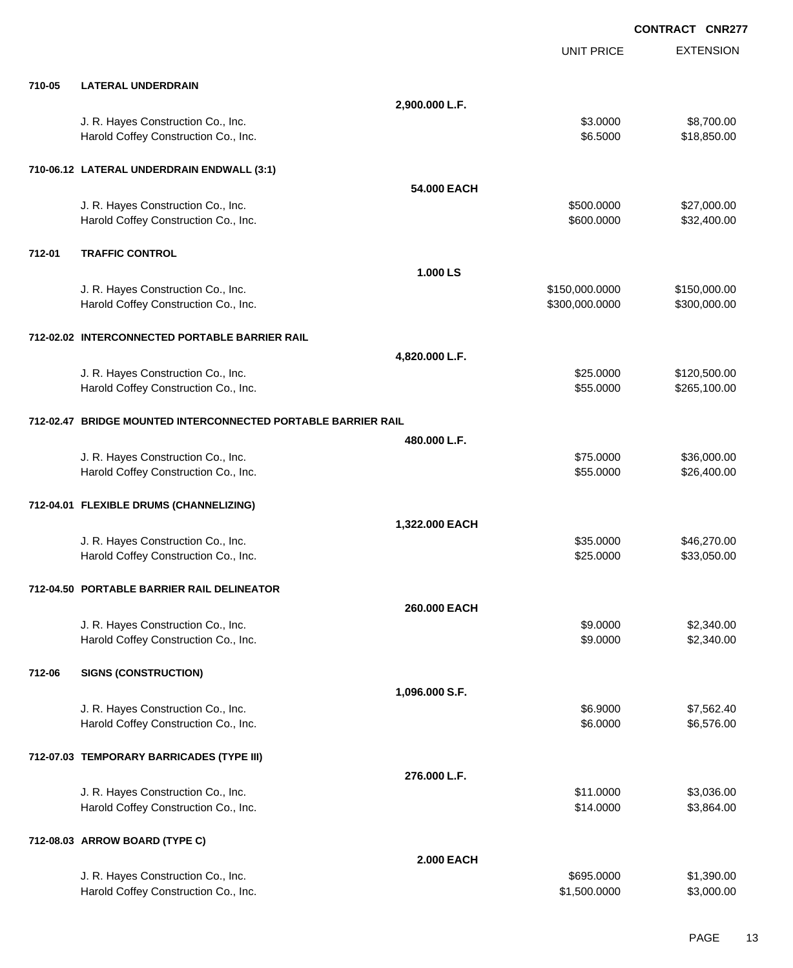EXTENSION **CONTRACT CNR277** UNIT PRICE **710-05 LATERAL UNDERDRAIN 2,900.000 L.F.** J. R. Hayes Construction Co., Inc. \$3.0000 \$8,700.00 Harold Coffey Construction Co., Inc. 6. 1999. The construction Co., Inc. 6. 1999. The construction Co., Inc. 6.18,850.00 **710-06.12 LATERAL UNDERDRAIN ENDWALL (3:1) 54.000 EACH** J. R. Hayes Construction Co., Inc. 6. The Construction Co., Inc. \$500.000 \$27,000.00 Harold Coffey Construction Co., Inc. 632,400.00 \$32,400.00 \$32,400.00 **712-01 TRAFFIC CONTROL 1.000 LS** J. R. Hayes Construction Co., Inc. \$150,000.000 \$150,000.000 \$150,000.000 \$150,000.000 \$150,000.00 Harold Coffey Construction Co., Inc. 6. 200 1000 1000 \$300,000 \$300,000 \$300,000.000 \$300,000.00 **712-02.02 INTERCONNECTED PORTABLE BARRIER RAIL 4,820.000 L.F.** J. R. Hayes Construction Co., Inc. \$25.0000 \$120,500.00 Harold Coffey Construction Co., Inc. 6. The Construction Co., Inc. \$55.0000 \$265,100.00 **712-02.47 BRIDGE MOUNTED INTERCONNECTED PORTABLE BARRIER RAIL 480.000 L.F.** J. R. Hayes Construction Co., Inc. \$75.0000 \$36,000.00 Harold Coffey Construction Co., Inc. 6. The Construction Co., Inc. 6. The Construction Co., Inc. 6. The Const **712-04.01 FLEXIBLE DRUMS (CHANNELIZING) 1,322.000 EACH** J. R. Hayes Construction Co., Inc. \$46,270.00 \$46,270.00 Harold Coffey Construction Co., Inc. 6. The Construction Co., Inc. 6. The Construction Co., Inc. 6. The Const **712-04.50 PORTABLE BARRIER RAIL DELINEATOR 260.000 EACH** J. R. Hayes Construction Co., Inc. \$9.0000 \$2,340.00 Harold Coffey Construction Co., Inc. 6. 2000 \$2,340.00 **712-06 SIGNS (CONSTRUCTION) 1,096.000 S.F.** J. R. Hayes Construction Co., Inc. 66.9000 \$7,562.40 Harold Coffey Construction Co., Inc. 6. 2000 \$6,576.00 \$6.0000 \$6,576.00 **712-07.03 TEMPORARY BARRICADES (TYPE III) 276.000 L.F.** J. R. Hayes Construction Co., Inc. \$10.000 \$3,036.00 Harold Coffey Construction Co., Inc. 6. The Construction Co., Inc. 514.0000 \$3,864.00 **712-08.03 ARROW BOARD (TYPE C) 2.000 EACH** J. R. Hayes Construction Co., Inc. 6. The Construction Co., Inc. 6. The Construction Co., Inc. 6. St. 390.00 Harold Coffey Construction Co., Inc. 63,000.00 \$3,000.00 \$3,000.00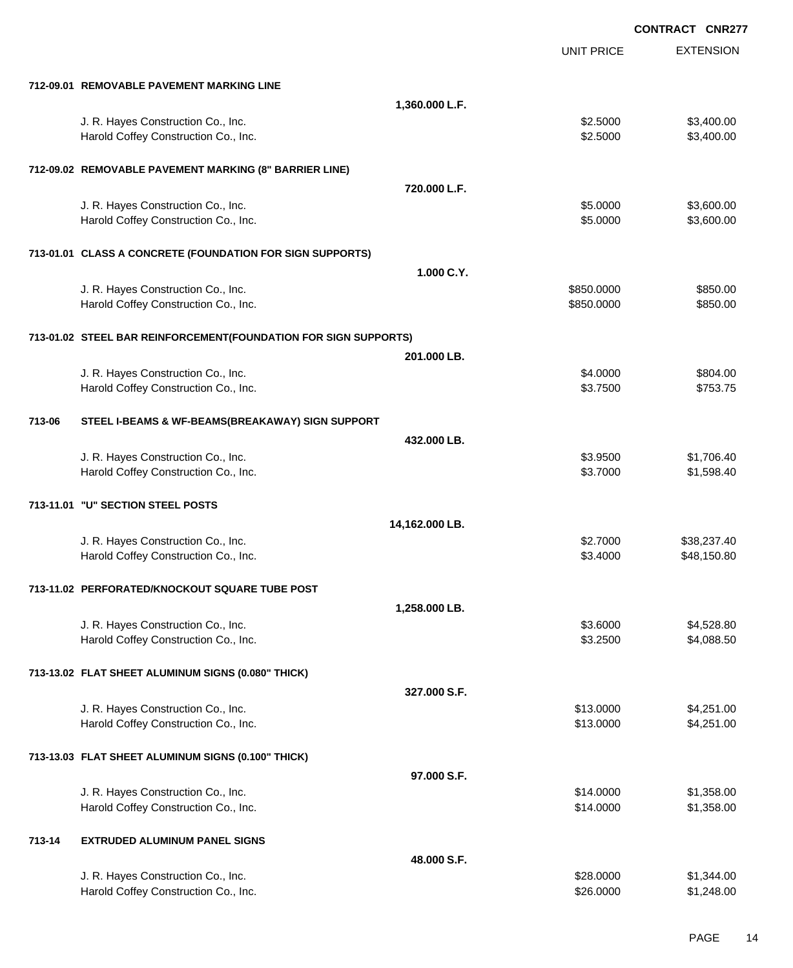|        |                                                                            | CONTRACT CNR277        |                          |
|--------|----------------------------------------------------------------------------|------------------------|--------------------------|
|        |                                                                            | <b>UNIT PRICE</b>      | <b>EXTENSION</b>         |
|        | 712-09.01 REMOVABLE PAVEMENT MARKING LINE                                  |                        |                          |
|        | 1,360.000 L.F.                                                             |                        |                          |
|        | J. R. Hayes Construction Co., Inc.                                         | \$2.5000               | \$3,400.00               |
|        | Harold Coffey Construction Co., Inc.                                       | \$2.5000               | \$3,400.00               |
|        | 712-09.02 REMOVABLE PAVEMENT MARKING (8" BARRIER LINE)                     |                        |                          |
|        | 720.000 L.F.                                                               |                        |                          |
|        | J. R. Hayes Construction Co., Inc.                                         | \$5.0000               | \$3,600.00               |
|        | Harold Coffey Construction Co., Inc.                                       | \$5.0000               | \$3,600.00               |
|        | 713-01.01 CLASS A CONCRETE (FOUNDATION FOR SIGN SUPPORTS)                  |                        |                          |
|        | 1.000 C.Y.                                                                 |                        |                          |
|        | J. R. Hayes Construction Co., Inc.                                         | \$850.0000             | \$850.00                 |
|        | Harold Coffey Construction Co., Inc.                                       | \$850.0000             | \$850.00                 |
|        | 713-01.02 STEEL BAR REINFORCEMENT(FOUNDATION FOR SIGN SUPPORTS)            |                        |                          |
|        | 201.000 LB.                                                                |                        |                          |
|        | J. R. Hayes Construction Co., Inc.                                         | \$4.0000               | \$804.00                 |
|        | Harold Coffey Construction Co., Inc.                                       | \$3.7500               | \$753.75                 |
| 713-06 | STEEL I-BEAMS & WF-BEAMS(BREAKAWAY) SIGN SUPPORT                           |                        |                          |
|        | 432.000 LB.                                                                |                        |                          |
|        | J. R. Hayes Construction Co., Inc.<br>Harold Coffey Construction Co., Inc. | \$3.9500<br>\$3.7000   | \$1,706.40<br>\$1,598.40 |
|        | 713-11.01 "U" SECTION STEEL POSTS                                          |                        |                          |
|        | 14,162.000 LB.                                                             |                        |                          |
|        | J. R. Hayes Construction Co., Inc.                                         | \$2.7000               | \$38,237.40              |
|        | Harold Coffey Construction Co., Inc.                                       | \$3.4000               | \$48,150.80              |
|        | 713-11.02 PERFORATED/KNOCKOUT SQUARE TUBE POST                             |                        |                          |
|        | 1,258.000 LB.                                                              |                        |                          |
|        | J. R. Hayes Construction Co., Inc.                                         | \$3.6000               | \$4,528.80               |
|        | Harold Coffey Construction Co., Inc.                                       | \$3.2500               | \$4,088.50               |
|        | 713-13.02 FLAT SHEET ALUMINUM SIGNS (0.080" THICK)                         |                        |                          |
|        | 327.000 S.F.                                                               |                        |                          |
|        | J. R. Hayes Construction Co., Inc.                                         | \$13.0000              | \$4,251.00               |
|        | Harold Coffey Construction Co., Inc.                                       | \$13.0000              | \$4,251.00               |
|        | 713-13.03 FLAT SHEET ALUMINUM SIGNS (0.100" THICK)                         |                        |                          |
|        | 97.000 S.F.                                                                |                        |                          |
|        | J. R. Hayes Construction Co., Inc.                                         | \$14.0000              | \$1,358.00               |
|        | Harold Coffey Construction Co., Inc.                                       | \$14.0000              | \$1,358.00               |
| 713-14 | <b>EXTRUDED ALUMINUM PANEL SIGNS</b>                                       |                        |                          |
|        | 48.000 S.F.                                                                |                        |                          |
|        | J. R. Hayes Construction Co., Inc.<br>Harold Coffey Construction Co., Inc. | \$28.0000<br>\$26.0000 | \$1,344.00<br>\$1,248.00 |
|        |                                                                            |                        |                          |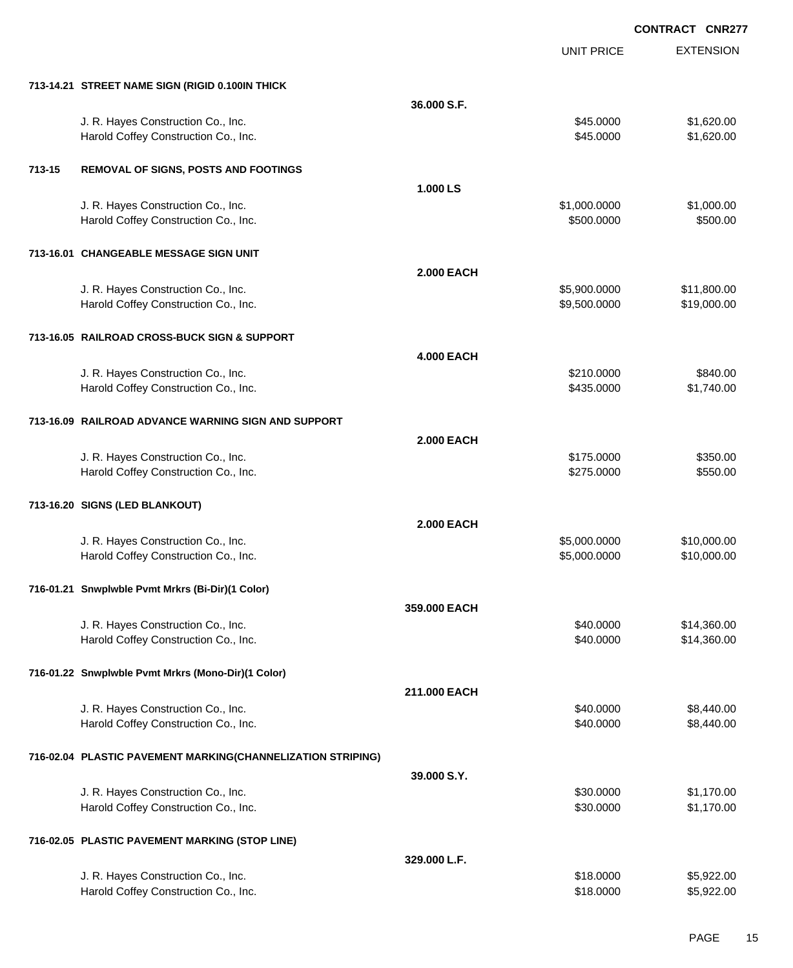|        |                                                             |                   | <b>UNIT PRICE</b> | <b>EXTENSION</b> |
|--------|-------------------------------------------------------------|-------------------|-------------------|------------------|
|        | 713-14.21 STREET NAME SIGN (RIGID 0.100IN THICK             |                   |                   |                  |
|        |                                                             | 36,000 S.F.       |                   |                  |
|        | J. R. Hayes Construction Co., Inc.                          |                   | \$45.0000         | \$1,620.00       |
|        | Harold Coffey Construction Co., Inc.                        |                   | \$45.0000         | \$1,620.00       |
| 713-15 | REMOVAL OF SIGNS, POSTS AND FOOTINGS                        |                   |                   |                  |
|        |                                                             | 1.000 LS          |                   |                  |
|        | J. R. Hayes Construction Co., Inc.                          |                   | \$1,000.0000      | \$1,000.00       |
|        | Harold Coffey Construction Co., Inc.                        |                   | \$500.0000        | \$500.00         |
|        | 713-16.01 CHANGEABLE MESSAGE SIGN UNIT                      |                   |                   |                  |
|        |                                                             | <b>2.000 EACH</b> |                   |                  |
|        | J. R. Hayes Construction Co., Inc.                          |                   | \$5,900.0000      | \$11,800.00      |
|        | Harold Coffey Construction Co., Inc.                        |                   | \$9,500.0000      | \$19,000.00      |
|        | 713-16.05 RAILROAD CROSS-BUCK SIGN & SUPPORT                |                   |                   |                  |
|        |                                                             | <b>4.000 EACH</b> |                   |                  |
|        | J. R. Hayes Construction Co., Inc.                          |                   | \$210.0000        | \$840.00         |
|        | Harold Coffey Construction Co., Inc.                        |                   | \$435.0000        | \$1,740.00       |
|        | 713-16.09 RAILROAD ADVANCE WARNING SIGN AND SUPPORT         |                   |                   |                  |
|        |                                                             | <b>2.000 EACH</b> |                   |                  |
|        | J. R. Hayes Construction Co., Inc.                          |                   | \$175.0000        | \$350.00         |
|        | Harold Coffey Construction Co., Inc.                        |                   | \$275.0000        | \$550.00         |
|        | 713-16.20 SIGNS (LED BLANKOUT)                              |                   |                   |                  |
|        |                                                             | <b>2.000 EACH</b> |                   |                  |
|        | J. R. Hayes Construction Co., Inc.                          |                   | \$5,000.0000      | \$10,000.00      |
|        | Harold Coffey Construction Co., Inc.                        |                   | \$5,000.0000      | \$10,000.00      |
|        | 716-01.21 Snwplwble Pvmt Mrkrs (Bi-Dir)(1 Color)            |                   |                   |                  |
|        |                                                             | 359.000 EACH      |                   |                  |
|        | J. R. Hayes Construction Co., Inc.                          |                   | \$40.0000         | \$14,360.00      |
|        | Harold Coffey Construction Co., Inc.                        |                   | \$40.0000         | \$14,360.00      |
|        | 716-01.22 Snwplwble Pvmt Mrkrs (Mono-Dir)(1 Color)          |                   |                   |                  |
|        |                                                             | 211.000 EACH      |                   |                  |
|        | J. R. Hayes Construction Co., Inc.                          |                   | \$40.0000         | \$8,440.00       |
|        | Harold Coffey Construction Co., Inc.                        |                   | \$40.0000         | \$8,440.00       |
|        | 716-02.04 PLASTIC PAVEMENT MARKING(CHANNELIZATION STRIPING) |                   |                   |                  |
|        |                                                             | 39.000 S.Y.       |                   |                  |
|        | J. R. Hayes Construction Co., Inc.                          |                   | \$30.0000         | \$1,170.00       |
|        | Harold Coffey Construction Co., Inc.                        |                   | \$30.0000         | \$1,170.00       |
|        | 716-02.05 PLASTIC PAVEMENT MARKING (STOP LINE)              |                   |                   |                  |
|        |                                                             | 329.000 L.F.      |                   |                  |
|        | J. R. Hayes Construction Co., Inc.                          |                   | \$18.0000         | \$5,922.00       |
|        | Harold Coffey Construction Co., Inc.                        |                   | \$18.0000         | \$5,922.00       |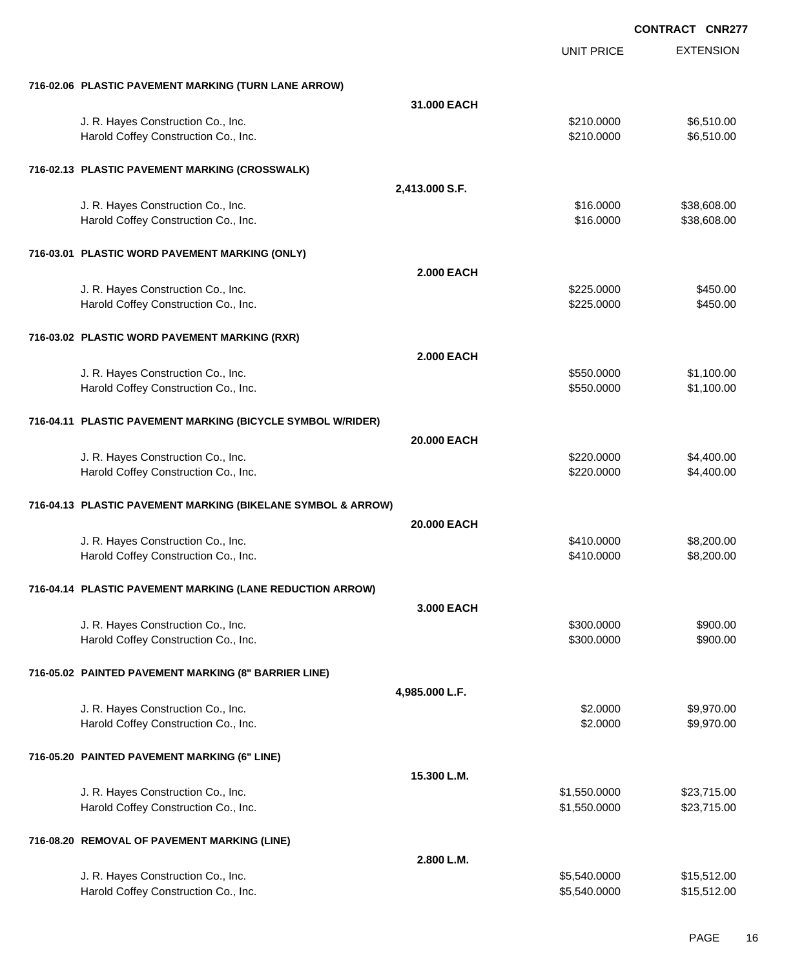EXTENSION **CONTRACT CNR277** UNIT PRICE **716-02.06 PLASTIC PAVEMENT MARKING (TURN LANE ARROW) 31.000 EACH** J. R. Hayes Construction Co., Inc. 6. The Construction Co., Inc. 6. The Construction Co., Inc. 6.510.000 \$6,510.00 Harold Coffey Construction Co., Inc. 6. 2010.000 \$6,510.000 \$6,510.00 **716-02.13 PLASTIC PAVEMENT MARKING (CROSSWALK) 2,413.000 S.F.** J. R. Hayes Construction Co., Inc. \$16.000 \$38,608.00 Harold Coffey Construction Co., Inc. 6. The Construction Co., Inc. 6. The Construction Co., Inc. 638,608.00 **716-03.01 PLASTIC WORD PAVEMENT MARKING (ONLY) 2.000 EACH** J. R. Hayes Construction Co., Inc. 6. The Construction Co., Inc. \$450.00 \$450.00 Harold Coffey Construction Co., Inc. 6450.00 \$450.00 \$450.00 **716-03.02 PLASTIC WORD PAVEMENT MARKING (RXR) 2.000 EACH** J. R. Hayes Construction Co., Inc. 6. The Construction Co., Inc. 6. The Construction Co., Inc. 6. St. 100.00 Harold Coffey Construction Co., Inc. 6. The Construction Co., Inc. 6. The Construction Co., Inc. 6. The Const **716-04.11 PLASTIC PAVEMENT MARKING (BICYCLE SYMBOL W/RIDER) 20.000 EACH** J. R. Hayes Construction Co., Inc. 6. The Construction Co., Inc. 6. The Construction Co., Inc. 6. The Construction Co., Inc. 6. The Construction Co., Inc. 6. The Construction Co., Inc. 6. The Construction Co., Inc. 6. The Harold Coffey Construction Co., Inc. 6. 2009. [10] States and the state of the state of the state of the state of the state of the state of the state of the state of the state of the state of the state of the state of the **716-04.13 PLASTIC PAVEMENT MARKING (BIKELANE SYMBOL & ARROW) 20.000 EACH** U. R. Hayes Construction Co., Inc. 6. The Construction Co., Inc. \$410.0000 \$8,200.00 Harold Coffey Construction Co., Inc. 6. The Construction Co., Inc. 6. The Construction Co., Inc. 58,200.00 **716-04.14 PLASTIC PAVEMENT MARKING (LANE REDUCTION ARROW) 3.000 EACH** U. R. Hayes Construction Co., Inc. 6900.000 \$900.00 \$900.000 \$900.00 Harold Coffey Construction Co., Inc. 6900.000 \$900.00 \$900.000 \$900.00 **716-05.02 PAINTED PAVEMENT MARKING (8" BARRIER LINE) 4,985.000 L.F.** U. R. Hayes Construction Co., Inc. 69,970.00 Harold Coffey Construction Co., Inc. 6. The Construction Co., Inc. 6. The Construction Co., Inc. 6. The Const **716-05.20 PAINTED PAVEMENT MARKING (6" LINE) 15.300 L.M.** J. R. Hayes Construction Co., Inc. 6. The Construction Co., Inc. \$1,550.0000 \$23,715.00 Harold Coffey Construction Co., Inc. 6. The Construction Co., Inc. 6. The Construction Co., Inc. 6. The Const **716-08.20 REMOVAL OF PAVEMENT MARKING (LINE) 2.800 L.M.** J. R. Hayes Construction Co., Inc. \$5,540.0000 \$15,512.00

Harold Coffey Construction Co., Inc. 6. The Construction Co., Inc. 6. The Construction Co., Inc. 6. The Const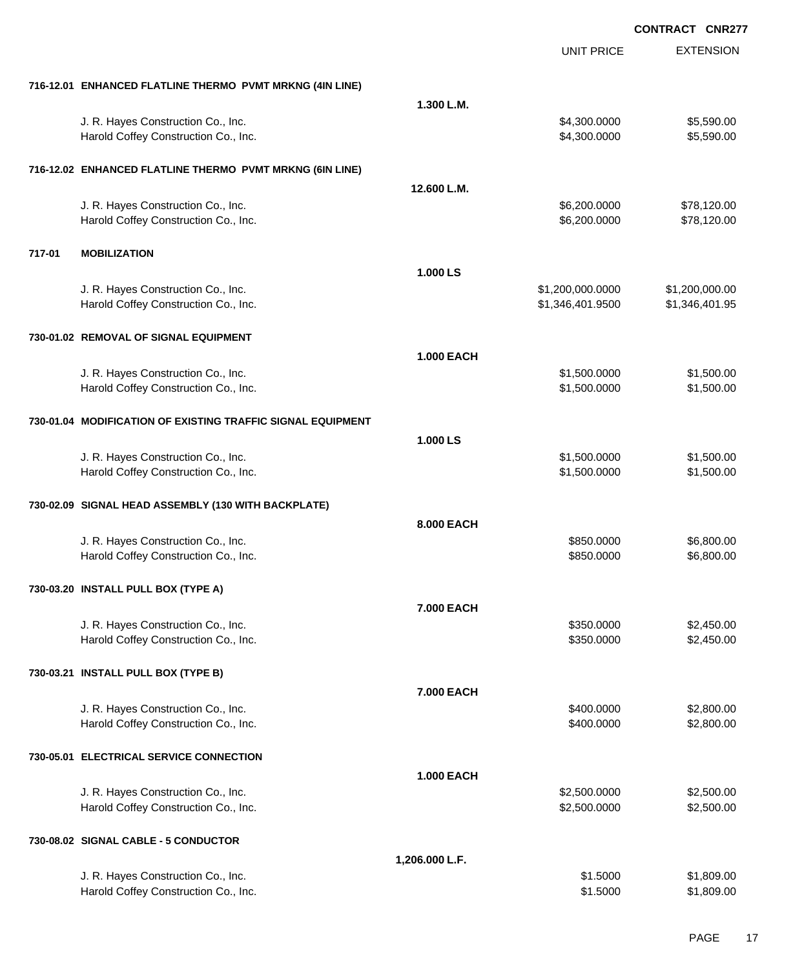|                                                             |                   | <b>UNIT PRICE</b> | <b>EXTENSION</b> |
|-------------------------------------------------------------|-------------------|-------------------|------------------|
| 716-12.01 ENHANCED FLATLINE THERMO PVMT MRKNG (4IN LINE)    |                   |                   |                  |
|                                                             | 1.300 L.M.        |                   |                  |
| J. R. Hayes Construction Co., Inc.                          |                   | \$4,300.0000      | \$5,590.00       |
| Harold Coffey Construction Co., Inc.                        |                   | \$4,300.0000      | \$5,590.00       |
| 716-12.02 ENHANCED FLATLINE THERMO PVMT MRKNG (6IN LINE)    |                   |                   |                  |
|                                                             | 12.600 L.M.       |                   |                  |
| J. R. Hayes Construction Co., Inc.                          |                   | \$6,200.0000      | \$78,120.00      |
| Harold Coffey Construction Co., Inc.                        |                   | \$6,200.0000      | \$78,120.00      |
| <b>MOBILIZATION</b><br>717-01                               |                   |                   |                  |
|                                                             | 1.000 LS          |                   |                  |
| J. R. Hayes Construction Co., Inc.                          |                   | \$1,200,000.0000  | \$1,200,000.00   |
| Harold Coffey Construction Co., Inc.                        |                   | \$1,346,401.9500  | \$1,346,401.95   |
| 730-01.02 REMOVAL OF SIGNAL EQUIPMENT                       |                   |                   |                  |
|                                                             | <b>1.000 EACH</b> |                   |                  |
| J. R. Hayes Construction Co., Inc.                          |                   | \$1,500.0000      | \$1,500.00       |
| Harold Coffey Construction Co., Inc.                        |                   | \$1,500.0000      | \$1,500.00       |
| 730-01.04 MODIFICATION OF EXISTING TRAFFIC SIGNAL EQUIPMENT |                   |                   |                  |
|                                                             | 1.000 LS          |                   |                  |
| J. R. Hayes Construction Co., Inc.                          |                   | \$1,500.0000      | \$1,500.00       |
| Harold Coffey Construction Co., Inc.                        |                   | \$1,500.0000      | \$1,500.00       |
| 730-02.09 SIGNAL HEAD ASSEMBLY (130 WITH BACKPLATE)         |                   |                   |                  |
|                                                             | 8.000 EACH        |                   |                  |
| J. R. Hayes Construction Co., Inc.                          |                   | \$850.0000        | \$6,800.00       |
| Harold Coffey Construction Co., Inc.                        |                   | \$850.0000        | \$6,800.00       |
| 730-03.20 INSTALL PULL BOX (TYPE A)                         |                   |                   |                  |
|                                                             | 7.000 EACH        |                   |                  |
| J. R. Hayes Construction Co., Inc.                          |                   | \$350.0000        | \$2,450.00       |
| Harold Coffey Construction Co., Inc.                        |                   | \$350.0000        | \$2,450.00       |
| 730-03.21 INSTALL PULL BOX (TYPE B)                         |                   |                   |                  |
|                                                             | 7.000 EACH        |                   |                  |
| J. R. Hayes Construction Co., Inc.                          |                   | \$400.0000        | \$2,800.00       |
| Harold Coffey Construction Co., Inc.                        |                   | \$400.0000        | \$2,800.00       |
| 730-05.01 ELECTRICAL SERVICE CONNECTION                     |                   |                   |                  |
|                                                             | <b>1.000 EACH</b> |                   |                  |
| J. R. Hayes Construction Co., Inc.                          |                   | \$2,500.0000      | \$2,500.00       |
| Harold Coffey Construction Co., Inc.                        |                   | \$2,500.0000      | \$2,500.00       |
| 730-08.02 SIGNAL CABLE - 5 CONDUCTOR                        |                   |                   |                  |
|                                                             | 1,206.000 L.F.    |                   |                  |
| J. R. Hayes Construction Co., Inc.                          |                   | \$1.5000          | \$1,809.00       |
| Harold Coffey Construction Co., Inc.                        |                   | \$1.5000          | \$1,809.00       |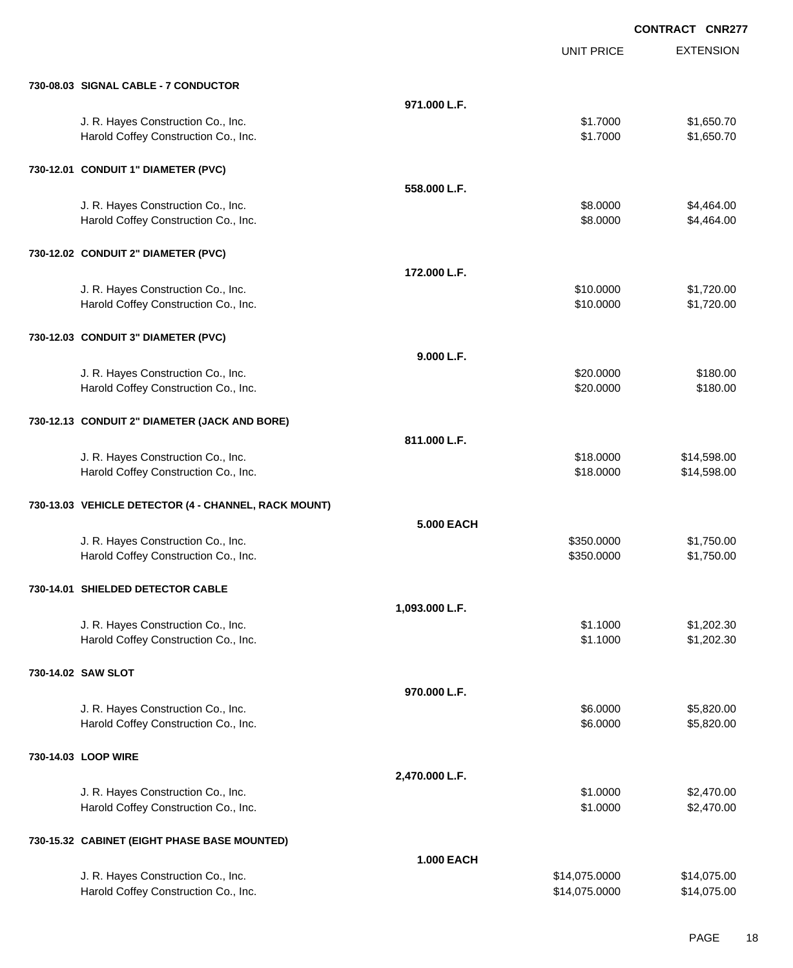|                                                      |                   |                   | <b>CONTRACT CNR277</b> |
|------------------------------------------------------|-------------------|-------------------|------------------------|
|                                                      |                   | <b>UNIT PRICE</b> | <b>EXTENSION</b>       |
| 730-08.03 SIGNAL CABLE - 7 CONDUCTOR                 |                   |                   |                        |
|                                                      | 971.000 L.F.      |                   |                        |
| J. R. Hayes Construction Co., Inc.                   |                   | \$1.7000          | \$1,650.70             |
| Harold Coffey Construction Co., Inc.                 |                   | \$1.7000          | \$1,650.70             |
| 730-12.01 CONDUIT 1" DIAMETER (PVC)                  |                   |                   |                        |
|                                                      | 558,000 L.F.      |                   |                        |
| J. R. Hayes Construction Co., Inc.                   |                   | \$8.0000          | \$4,464.00             |
| Harold Coffey Construction Co., Inc.                 |                   | \$8.0000          | \$4,464.00             |
| 730-12.02 CONDUIT 2" DIAMETER (PVC)                  |                   |                   |                        |
|                                                      | 172.000 L.F.      |                   |                        |
| J. R. Hayes Construction Co., Inc.                   |                   | \$10.0000         | \$1,720.00             |
| Harold Coffey Construction Co., Inc.                 |                   | \$10.0000         | \$1,720.00             |
| 730-12.03 CONDUIT 3" DIAMETER (PVC)                  |                   |                   |                        |
|                                                      | 9.000 L.F.        |                   |                        |
| J. R. Hayes Construction Co., Inc.                   |                   | \$20.0000         | \$180.00               |
| Harold Coffey Construction Co., Inc.                 |                   | \$20.0000         | \$180.00               |
| 730-12.13 CONDUIT 2" DIAMETER (JACK AND BORE)        |                   |                   |                        |
|                                                      | 811.000 L.F.      |                   |                        |
| J. R. Hayes Construction Co., Inc.                   |                   | \$18.0000         | \$14,598.00            |
| Harold Coffey Construction Co., Inc.                 |                   | \$18.0000         | \$14,598.00            |
| 730-13.03 VEHICLE DETECTOR (4 - CHANNEL, RACK MOUNT) |                   |                   |                        |
|                                                      | <b>5.000 EACH</b> |                   |                        |
| J. R. Hayes Construction Co., Inc.                   |                   | \$350.0000        | \$1,750.00             |
| Harold Coffey Construction Co., Inc.                 |                   | \$350.0000        | \$1,750.00             |
| 730-14.01 SHIELDED DETECTOR CABLE                    |                   |                   |                        |
|                                                      | 1,093.000 L.F.    |                   |                        |
| J. R. Hayes Construction Co., Inc.                   |                   | \$1.1000          | \$1,202.30             |
| Harold Coffey Construction Co., Inc.                 |                   | \$1.1000          | \$1,202.30             |
| 730-14.02 SAW SLOT                                   |                   |                   |                        |
|                                                      | 970.000 L.F.      |                   |                        |
| J. R. Hayes Construction Co., Inc.                   |                   | \$6.0000          | \$5,820.00             |
| Harold Coffey Construction Co., Inc.                 |                   | \$6.0000          | \$5,820.00             |
| 730-14.03 LOOP WIRE                                  |                   |                   |                        |
|                                                      | 2,470.000 L.F.    |                   |                        |
| J. R. Hayes Construction Co., Inc.                   |                   | \$1.0000          | \$2,470.00             |
| Harold Coffey Construction Co., Inc.                 |                   | \$1.0000          | \$2,470.00             |
| 730-15.32 CABINET (EIGHT PHASE BASE MOUNTED)         |                   |                   |                        |
|                                                      | <b>1.000 EACH</b> |                   |                        |
| J. R. Hayes Construction Co., Inc.                   |                   | \$14,075.0000     | \$14,075.00            |
| Harold Coffey Construction Co., Inc.                 |                   | \$14,075.0000     | \$14,075.00            |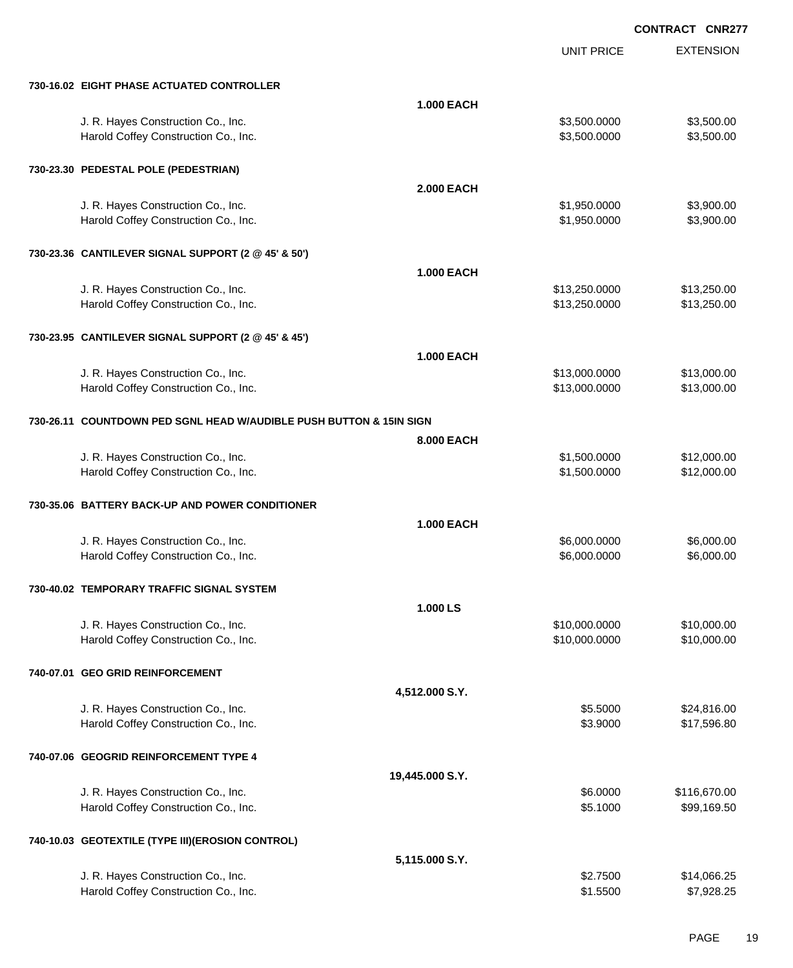UNIT PRICE

EXTENSION

| 730-16.02 EIGHT PHASE ACTUATED CONTROLLER                                  |                   |                                |                            |
|----------------------------------------------------------------------------|-------------------|--------------------------------|----------------------------|
|                                                                            | 1.000 EACH        |                                |                            |
| J. R. Hayes Construction Co., Inc.                                         |                   | \$3,500.0000                   | \$3,500.00                 |
| Harold Coffey Construction Co., Inc.                                       |                   | \$3,500.0000                   | \$3,500.00                 |
|                                                                            |                   |                                |                            |
| 730-23.30 PEDESTAL POLE (PEDESTRIAN)                                       |                   |                                |                            |
|                                                                            | <b>2.000 EACH</b> |                                |                            |
| J. R. Hayes Construction Co., Inc.                                         |                   | \$1,950.0000                   | \$3,900.00                 |
| Harold Coffey Construction Co., Inc.                                       |                   | \$1,950.0000                   | \$3,900.00                 |
|                                                                            |                   |                                |                            |
| 730-23.36 CANTILEVER SIGNAL SUPPORT (2 @ 45' & 50')                        |                   |                                |                            |
|                                                                            | <b>1.000 EACH</b> |                                |                            |
|                                                                            |                   |                                |                            |
| J. R. Hayes Construction Co., Inc.<br>Harold Coffey Construction Co., Inc. |                   | \$13,250.0000<br>\$13,250.0000 | \$13,250.00<br>\$13,250.00 |
|                                                                            |                   |                                |                            |
| 730-23.95 CANTILEVER SIGNAL SUPPORT (2 @ 45' & 45')                        |                   |                                |                            |
|                                                                            |                   |                                |                            |
|                                                                            | <b>1.000 EACH</b> |                                |                            |
| J. R. Hayes Construction Co., Inc.                                         |                   | \$13,000.0000                  | \$13,000.00                |
| Harold Coffey Construction Co., Inc.                                       |                   | \$13,000.0000                  | \$13,000.00                |
|                                                                            |                   |                                |                            |
| 730-26.11 COUNTDOWN PED SGNL HEAD W/AUDIBLE PUSH BUTTON & 15IN SIGN        |                   |                                |                            |
|                                                                            | 8.000 EACH        |                                |                            |
| J. R. Hayes Construction Co., Inc.                                         |                   | \$1,500.0000                   | \$12,000.00                |
| Harold Coffey Construction Co., Inc.                                       |                   | \$1,500.0000                   | \$12,000.00                |
|                                                                            |                   |                                |                            |
| 730-35.06 BATTERY BACK-UP AND POWER CONDITIONER                            |                   |                                |                            |
|                                                                            | 1.000 EACH        |                                |                            |
| J. R. Hayes Construction Co., Inc.                                         |                   | \$6,000.0000                   | \$6,000.00                 |
| Harold Coffey Construction Co., Inc.                                       |                   | \$6,000.0000                   | \$6,000.00                 |
|                                                                            |                   |                                |                            |
| 730-40.02 TEMPORARY TRAFFIC SIGNAL SYSTEM                                  |                   |                                |                            |
|                                                                            | 1.000LS           |                                |                            |
| J. R. Hayes Construction Co., Inc.                                         |                   | \$10,000.0000                  | \$10,000.00                |
| Harold Coffey Construction Co., Inc.                                       |                   | \$10,000.0000                  | \$10,000.00                |
|                                                                            |                   |                                |                            |
| 740-07.01 GEO GRID REINFORCEMENT                                           |                   |                                |                            |
|                                                                            | 4,512.000 S.Y.    |                                |                            |
| J. R. Hayes Construction Co., Inc.                                         |                   | \$5.5000                       | \$24,816.00                |
| Harold Coffey Construction Co., Inc.                                       |                   | \$3.9000                       | \$17,596.80                |
|                                                                            |                   |                                |                            |
| 740-07.06 GEOGRID REINFORCEMENT TYPE 4                                     |                   |                                |                            |
|                                                                            | 19,445.000 S.Y.   |                                |                            |
| J. R. Hayes Construction Co., Inc.                                         |                   | \$6.0000                       | \$116,670.00               |
| Harold Coffey Construction Co., Inc.                                       |                   | \$5.1000                       | \$99,169.50                |
|                                                                            |                   |                                |                            |
| 740-10.03 GEOTEXTILE (TYPE III)(EROSION CONTROL)                           |                   |                                |                            |
|                                                                            | 5,115.000 S.Y.    |                                |                            |
| J. R. Hayes Construction Co., Inc.                                         |                   | \$2.7500                       | \$14,066.25                |
| Harold Coffey Construction Co., Inc.                                       |                   | \$1.5500                       | \$7,928.25                 |
|                                                                            |                   |                                |                            |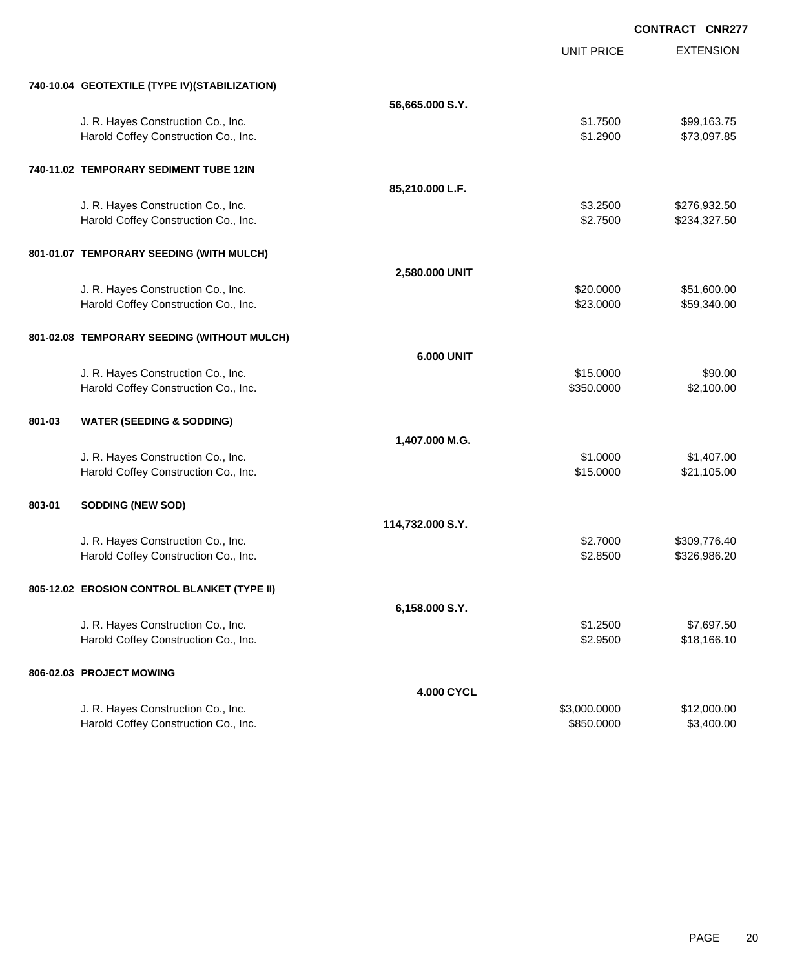|                                                |                   |                   | <b>CONTRACT CNR277</b> |
|------------------------------------------------|-------------------|-------------------|------------------------|
|                                                |                   | <b>UNIT PRICE</b> | <b>EXTENSION</b>       |
| 740-10.04 GEOTEXTILE (TYPE IV) (STABILIZATION) |                   |                   |                        |
|                                                | 56,665.000 S.Y.   |                   |                        |
| J. R. Hayes Construction Co., Inc.             |                   | \$1.7500          | \$99,163.75            |
| Harold Coffey Construction Co., Inc.           |                   | \$1.2900          | \$73,097.85            |
| 740-11.02 TEMPORARY SEDIMENT TUBE 12IN         |                   |                   |                        |
|                                                | 85,210.000 L.F.   |                   |                        |
| J. R. Hayes Construction Co., Inc.             |                   | \$3.2500          | \$276,932.50           |
| Harold Coffey Construction Co., Inc.           |                   | \$2.7500          | \$234,327.50           |
| 801-01.07 TEMPORARY SEEDING (WITH MULCH)       |                   |                   |                        |
|                                                | 2,580.000 UNIT    |                   |                        |
| J. R. Hayes Construction Co., Inc.             |                   | \$20.0000         | \$51,600.00            |
| Harold Coffey Construction Co., Inc.           |                   | \$23.0000         | \$59,340.00            |
| 801-02.08 TEMPORARY SEEDING (WITHOUT MULCH)    |                   |                   |                        |
|                                                | <b>6.000 UNIT</b> |                   |                        |
| J. R. Hayes Construction Co., Inc.             |                   | \$15.0000         | \$90.00                |
| Harold Coffey Construction Co., Inc.           |                   | \$350.0000        | \$2,100.00             |
| 801-03<br><b>WATER (SEEDING &amp; SODDING)</b> |                   |                   |                        |
|                                                | 1,407.000 M.G.    |                   |                        |
| J. R. Hayes Construction Co., Inc.             |                   | \$1.0000          | \$1,407.00             |
| Harold Coffey Construction Co., Inc.           |                   | \$15.0000         | \$21,105.00            |
| <b>SODDING (NEW SOD)</b><br>803-01             |                   |                   |                        |
|                                                | 114,732.000 S.Y.  |                   |                        |
| J. R. Hayes Construction Co., Inc.             |                   | \$2.7000          | \$309,776.40           |
| Harold Coffey Construction Co., Inc.           |                   | \$2.8500          | \$326,986.20           |
| 805-12.02 EROSION CONTROL BLANKET (TYPE II)    |                   |                   |                        |
|                                                | 6,158.000 S.Y.    |                   |                        |
| J. R. Hayes Construction Co., Inc.             |                   | \$1.2500          | \$7,697.50             |
| Harold Coffey Construction Co., Inc.           |                   | \$2.9500          | \$18,166.10            |
| 806-02.03 PROJECT MOWING                       |                   |                   |                        |
|                                                | 4.000 CYCL        |                   |                        |
| J. R. Hayes Construction Co., Inc.             |                   | \$3,000.0000      | \$12,000.00            |
| Harold Coffey Construction Co., Inc.           |                   | \$850.0000        | \$3,400.00             |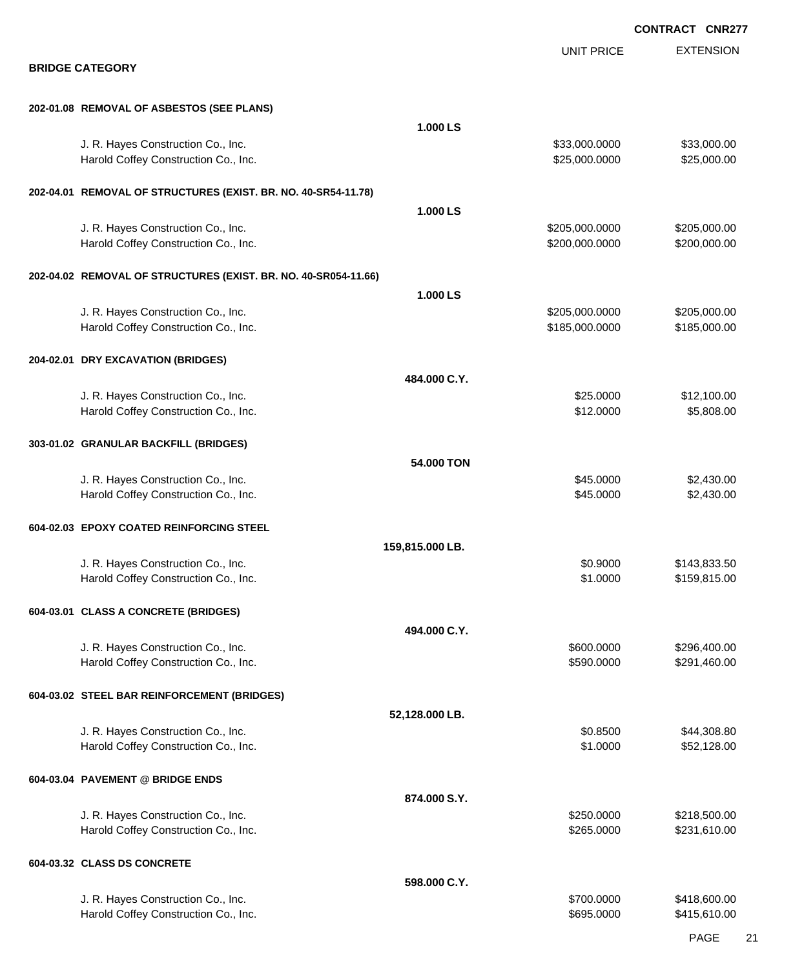|                                                                            |                 |                                  | <b>CONTRACT CNR277</b>       |
|----------------------------------------------------------------------------|-----------------|----------------------------------|------------------------------|
| <b>BRIDGE CATEGORY</b>                                                     |                 | <b>UNIT PRICE</b>                | <b>EXTENSION</b>             |
|                                                                            |                 |                                  |                              |
| 202-01.08 REMOVAL OF ASBESTOS (SEE PLANS)                                  |                 |                                  |                              |
|                                                                            | 1.000 LS        |                                  |                              |
| J. R. Hayes Construction Co., Inc.<br>Harold Coffey Construction Co., Inc. |                 | \$33,000.0000<br>\$25,000.0000   | \$33,000.00<br>\$25,000.00   |
| 202-04.01 REMOVAL OF STRUCTURES (EXIST. BR. NO. 40-SR54-11.78)             |                 |                                  |                              |
|                                                                            | 1.000 LS        |                                  |                              |
| J. R. Hayes Construction Co., Inc.<br>Harold Coffey Construction Co., Inc. |                 | \$205,000.0000<br>\$200,000.0000 | \$205,000.00<br>\$200,000.00 |
| 202-04.02 REMOVAL OF STRUCTURES (EXIST. BR. NO. 40-SR054-11.66)            |                 |                                  |                              |
|                                                                            | 1.000 LS        |                                  |                              |
| J. R. Hayes Construction Co., Inc.<br>Harold Coffey Construction Co., Inc. |                 | \$205,000.0000<br>\$185,000.0000 | \$205,000.00<br>\$185,000.00 |
| 204-02.01 DRY EXCAVATION (BRIDGES)                                         |                 |                                  |                              |
|                                                                            | 484.000 C.Y.    |                                  |                              |
| J. R. Hayes Construction Co., Inc.<br>Harold Coffey Construction Co., Inc. |                 | \$25.0000<br>\$12.0000           | \$12,100.00<br>\$5,808.00    |
| 303-01.02 GRANULAR BACKFILL (BRIDGES)                                      |                 |                                  |                              |
|                                                                            | 54.000 TON      |                                  |                              |
| J. R. Hayes Construction Co., Inc.<br>Harold Coffey Construction Co., Inc. |                 | \$45.0000<br>\$45.0000           | \$2,430.00<br>\$2,430.00     |
| 604-02.03 EPOXY COATED REINFORCING STEEL                                   |                 |                                  |                              |
|                                                                            | 159,815.000 LB. |                                  |                              |
| J. R. Hayes Construction Co., Inc.<br>Harold Coffey Construction Co., Inc. |                 | \$0.9000<br>\$1.0000             | \$143,833.50<br>\$159,815.00 |
| 604-03.01 CLASS A CONCRETE (BRIDGES)                                       |                 |                                  |                              |
|                                                                            | 494.000 C.Y.    |                                  |                              |
| J. R. Hayes Construction Co., Inc.<br>Harold Coffey Construction Co., Inc. |                 | \$600.0000<br>\$590.0000         | \$296,400.00<br>\$291,460.00 |
| 604-03.02 STEEL BAR REINFORCEMENT (BRIDGES)                                |                 |                                  |                              |
|                                                                            | 52,128.000 LB.  |                                  |                              |
| J. R. Hayes Construction Co., Inc.<br>Harold Coffey Construction Co., Inc. |                 | \$0.8500<br>\$1.0000             | \$44,308.80<br>\$52,128.00   |
| 604-03.04 PAVEMENT @ BRIDGE ENDS                                           |                 |                                  |                              |
|                                                                            | 874.000 S.Y.    |                                  |                              |
| J. R. Hayes Construction Co., Inc.<br>Harold Coffey Construction Co., Inc. |                 | \$250.0000<br>\$265.0000         | \$218,500.00<br>\$231,610.00 |
| 604-03.32 CLASS DS CONCRETE                                                |                 |                                  |                              |
|                                                                            | 598.000 C.Y.    |                                  |                              |
| J. R. Hayes Construction Co., Inc.<br>Harold Coffey Construction Co., Inc. |                 | \$700.0000<br>\$695.0000         | \$418,600.00<br>\$415,610.00 |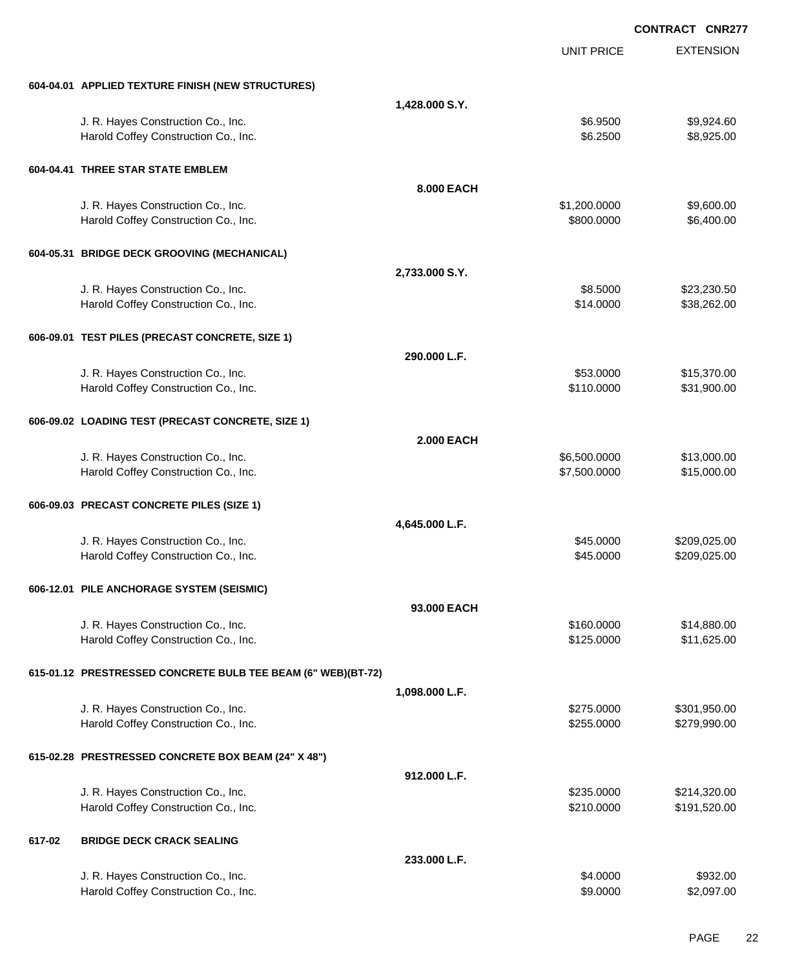|        |                                                              |                   |                   | <b>CONTRACT CNR277</b> |
|--------|--------------------------------------------------------------|-------------------|-------------------|------------------------|
|        |                                                              |                   | <b>UNIT PRICE</b> | <b>EXTENSION</b>       |
|        | 604-04.01 APPLIED TEXTURE FINISH (NEW STRUCTURES)            |                   |                   |                        |
|        |                                                              | 1,428.000 S.Y.    |                   |                        |
|        | J. R. Hayes Construction Co., Inc.                           |                   | \$6.9500          | \$9,924.60             |
|        | Harold Coffey Construction Co., Inc.                         |                   | \$6.2500          | \$8,925.00             |
|        | 604-04.41 THREE STAR STATE EMBLEM                            |                   |                   |                        |
|        |                                                              | <b>8.000 EACH</b> |                   |                        |
|        | J. R. Hayes Construction Co., Inc.                           |                   | \$1,200.0000      | \$9,600.00             |
|        | Harold Coffey Construction Co., Inc.                         |                   | \$800.0000        | \$6,400.00             |
|        | 604-05.31 BRIDGE DECK GROOVING (MECHANICAL)                  |                   |                   |                        |
|        |                                                              | 2,733.000 S.Y.    |                   |                        |
|        | J. R. Hayes Construction Co., Inc.                           |                   | \$8.5000          | \$23,230.50            |
|        | Harold Coffey Construction Co., Inc.                         |                   | \$14.0000         | \$38,262.00            |
|        | 606-09.01 TEST PILES (PRECAST CONCRETE, SIZE 1)              |                   |                   |                        |
|        |                                                              | 290.000 L.F.      |                   |                        |
|        | J. R. Hayes Construction Co., Inc.                           |                   | \$53.0000         | \$15,370.00            |
|        | Harold Coffey Construction Co., Inc.                         |                   | \$110.0000        | \$31,900.00            |
|        | 606-09.02 LOADING TEST (PRECAST CONCRETE, SIZE 1)            |                   |                   |                        |
|        |                                                              | <b>2.000 EACH</b> |                   |                        |
|        | J. R. Hayes Construction Co., Inc.                           |                   | \$6,500.0000      | \$13,000.00            |
|        | Harold Coffey Construction Co., Inc.                         |                   | \$7,500.0000      | \$15,000.00            |
|        | 606-09.03 PRECAST CONCRETE PILES (SIZE 1)                    |                   |                   |                        |
|        |                                                              | 4,645.000 L.F.    |                   |                        |
|        | J. R. Hayes Construction Co., Inc.                           |                   | \$45.0000         | \$209,025.00           |
|        | Harold Coffey Construction Co., Inc.                         |                   | \$45.0000         | \$209,025.00           |
|        | 606-12.01 PILE ANCHORAGE SYSTEM (SEISMIC)                    |                   |                   |                        |
|        |                                                              | 93.000 EACH       |                   |                        |
|        | J. R. Hayes Construction Co., Inc.                           |                   | \$160.0000        | \$14,880.00            |
|        | Harold Coffey Construction Co., Inc.                         |                   | \$125.0000        | \$11,625.00            |
|        | 615-01.12 PRESTRESSED CONCRETE BULB TEE BEAM (6" WEB)(BT-72) |                   |                   |                        |
|        |                                                              | 1,098.000 L.F.    |                   |                        |
|        | J. R. Hayes Construction Co., Inc.                           |                   | \$275.0000        | \$301,950.00           |
|        | Harold Coffey Construction Co., Inc.                         |                   | \$255.0000        | \$279,990.00           |
|        | 615-02.28 PRESTRESSED CONCRETE BOX BEAM (24" X 48")          |                   |                   |                        |
|        |                                                              | 912.000 L.F.      |                   |                        |
|        | J. R. Hayes Construction Co., Inc.                           |                   | \$235.0000        | \$214,320.00           |
|        | Harold Coffey Construction Co., Inc.                         |                   | \$210.0000        | \$191,520.00           |
| 617-02 | <b>BRIDGE DECK CRACK SEALING</b>                             |                   |                   |                        |
|        |                                                              | 233.000 L.F.      |                   |                        |
|        | J. R. Hayes Construction Co., Inc.                           |                   | \$4.0000          | \$932.00               |
|        | Harold Coffey Construction Co., Inc.                         |                   | \$9.0000          | \$2,097.00             |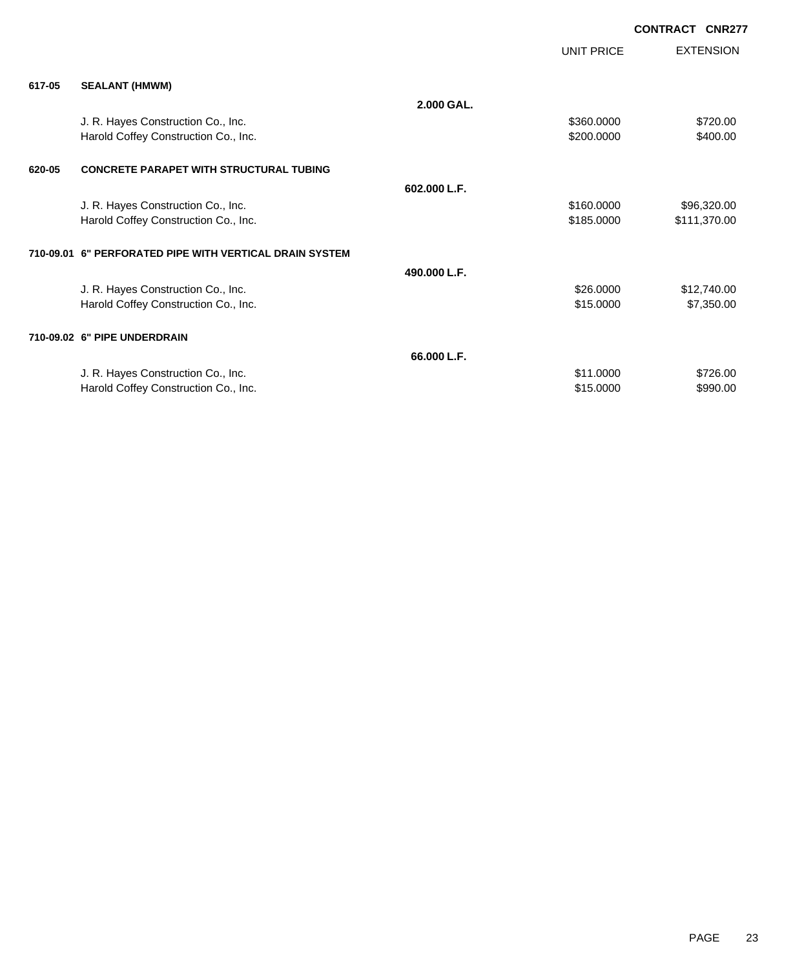|        |                                                         |              |            | <b>CONTRACT</b> | <b>CNR277</b>    |
|--------|---------------------------------------------------------|--------------|------------|-----------------|------------------|
|        |                                                         |              | UNIT PRICE |                 | <b>EXTENSION</b> |
| 617-05 | <b>SEALANT (HMWM)</b>                                   |              |            |                 |                  |
|        |                                                         | 2.000 GAL.   |            |                 |                  |
|        | J. R. Hayes Construction Co., Inc.                      |              | \$360.0000 |                 | \$720.00         |
|        | Harold Coffey Construction Co., Inc.                    |              | \$200.0000 |                 | \$400.00         |
| 620-05 | <b>CONCRETE PARAPET WITH STRUCTURAL TUBING</b>          |              |            |                 |                  |
|        |                                                         | 602.000 L.F. |            |                 |                  |
|        | J. R. Hayes Construction Co., Inc.                      |              | \$160.0000 |                 | \$96,320.00      |
|        | Harold Coffey Construction Co., Inc.                    |              | \$185.0000 |                 | \$111,370.00     |
|        | 710-09.01 6" PERFORATED PIPE WITH VERTICAL DRAIN SYSTEM |              |            |                 |                  |
|        |                                                         | 490.000 L.F. |            |                 |                  |
|        | J. R. Hayes Construction Co., Inc.                      |              | \$26.0000  |                 | \$12,740.00      |
|        | Harold Coffey Construction Co., Inc.                    |              | \$15.0000  |                 | \$7,350.00       |
|        | 710-09.02 6" PIPE UNDERDRAIN                            |              |            |                 |                  |
|        |                                                         | 66.000 L.F.  |            |                 |                  |

J. R. Hayes Construction Co., Inc. 6726.00 Harold Coffey Construction Co., Inc. 6990.00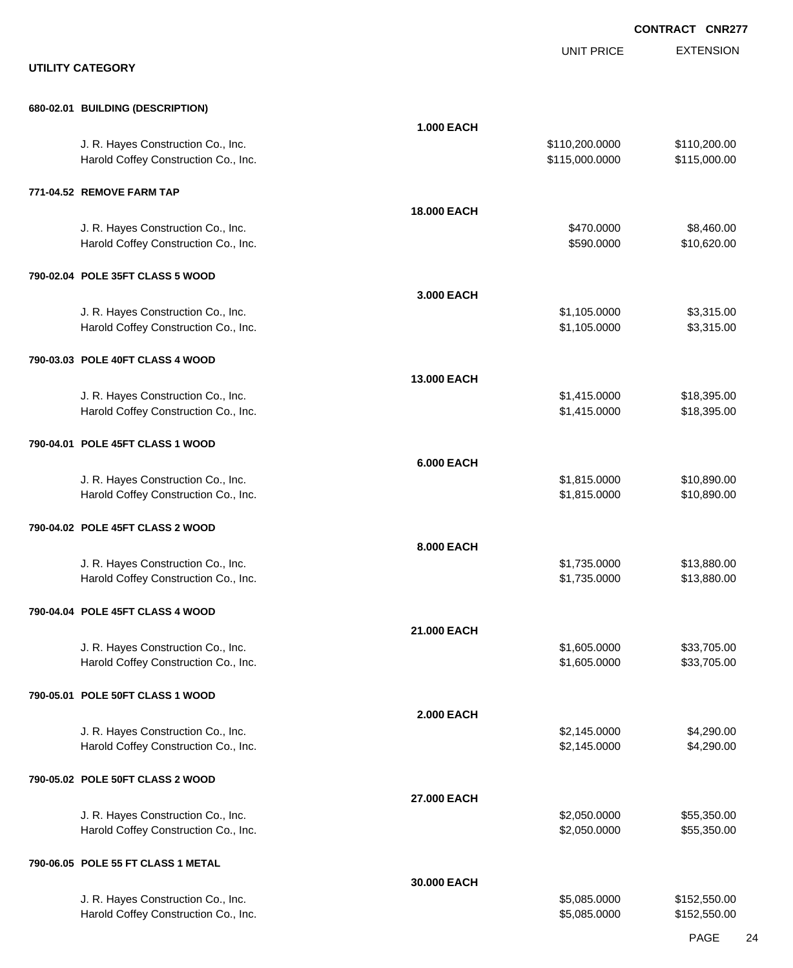|                                                                            |                    |                                  | <b>CONTRACT CNR277</b>       |
|----------------------------------------------------------------------------|--------------------|----------------------------------|------------------------------|
| <b>UTILITY CATEGORY</b>                                                    |                    | <b>UNIT PRICE</b>                | <b>EXTENSION</b>             |
| 680-02.01 BUILDING (DESCRIPTION)                                           |                    |                                  |                              |
|                                                                            | <b>1.000 EACH</b>  |                                  |                              |
| J. R. Hayes Construction Co., Inc.<br>Harold Coffey Construction Co., Inc. |                    | \$110,200.0000<br>\$115,000.0000 | \$110,200.00<br>\$115,000.00 |
| 771-04.52 REMOVE FARM TAP                                                  |                    |                                  |                              |
|                                                                            | <b>18.000 EACH</b> |                                  |                              |
| J. R. Hayes Construction Co., Inc.<br>Harold Coffey Construction Co., Inc. |                    | \$470.0000<br>\$590.0000         | \$8,460.00<br>\$10,620.00    |
| 790-02.04 POLE 35FT CLASS 5 WOOD                                           |                    |                                  |                              |
|                                                                            | 3.000 EACH         |                                  |                              |
| J. R. Hayes Construction Co., Inc.<br>Harold Coffey Construction Co., Inc. |                    | \$1,105.0000<br>\$1,105.0000     | \$3,315.00<br>\$3,315.00     |
| 790-03.03 POLE 40FT CLASS 4 WOOD                                           |                    |                                  |                              |
| J. R. Hayes Construction Co., Inc.                                         | 13.000 EACH        | \$1,415.0000                     | \$18,395.00                  |
| Harold Coffey Construction Co., Inc.                                       |                    | \$1,415.0000                     | \$18,395.00                  |
| 790-04.01 POLE 45FT CLASS 1 WOOD                                           | <b>6.000 EACH</b>  |                                  |                              |
| J. R. Hayes Construction Co., Inc.                                         |                    | \$1,815.0000                     | \$10,890.00                  |
| Harold Coffey Construction Co., Inc.                                       |                    | \$1,815.0000                     | \$10,890.00                  |
| 790-04.02 POLE 45FT CLASS 2 WOOD                                           | 8.000 EACH         |                                  |                              |
| J. R. Hayes Construction Co., Inc.                                         |                    | \$1,735.0000                     | \$13,880.00                  |
| Harold Coffey Construction Co., Inc.                                       |                    | \$1,735.0000                     | \$13,880.00                  |
| 790-04.04 POLE 45FT CLASS 4 WOOD                                           |                    |                                  |                              |
| J. R. Hayes Construction Co., Inc.                                         | 21.000 EACH        | \$1,605.0000                     | \$33,705.00                  |
| Harold Coffey Construction Co., Inc.                                       |                    | \$1,605.0000                     | \$33,705.00                  |
| 790-05.01 POLE 50FT CLASS 1 WOOD                                           | <b>2.000 EACH</b>  |                                  |                              |
| J. R. Hayes Construction Co., Inc.                                         |                    | \$2,145.0000                     | \$4,290.00                   |
| Harold Coffey Construction Co., Inc.                                       |                    | \$2,145.0000                     | \$4,290.00                   |
| 790-05.02 POLE 50FT CLASS 2 WOOD                                           | 27.000 EACH        |                                  |                              |
| J. R. Hayes Construction Co., Inc.                                         |                    | \$2,050.0000                     | \$55,350.00                  |
| Harold Coffey Construction Co., Inc.                                       |                    | \$2,050.0000                     | \$55,350.00                  |
| 790-06.05 POLE 55 FT CLASS 1 METAL                                         | 30.000 EACH        |                                  |                              |
| J. R. Hayes Construction Co., Inc.                                         |                    | \$5,085.0000                     | \$152,550.00                 |
| Harold Coffey Construction Co., Inc.                                       |                    | \$5,085.0000                     | \$152,550.00                 |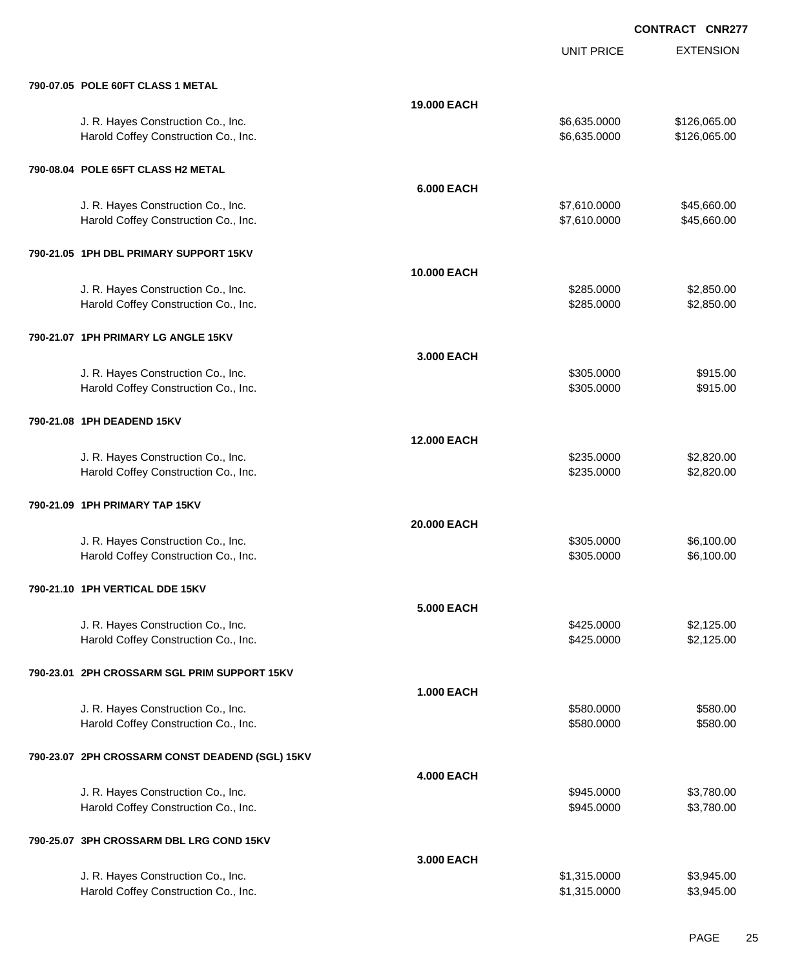|                                                 |                    | <b>UNIT PRICE</b> | <b>EXTENSION</b> |
|-------------------------------------------------|--------------------|-------------------|------------------|
| 790-07.05 POLE 60FT CLASS 1 METAL               |                    |                   |                  |
|                                                 | 19.000 EACH        |                   |                  |
| J. R. Hayes Construction Co., Inc.              |                    | \$6,635.0000      | \$126,065.00     |
| Harold Coffey Construction Co., Inc.            |                    | \$6,635.0000      | \$126,065.00     |
| 790-08.04 POLE 65FT CLASS H2 METAL              |                    |                   |                  |
|                                                 | <b>6.000 EACH</b>  |                   |                  |
| J. R. Hayes Construction Co., Inc.              |                    | \$7,610.0000      | \$45,660.00      |
| Harold Coffey Construction Co., Inc.            |                    | \$7,610.0000      | \$45,660.00      |
| 790-21.05 1PH DBL PRIMARY SUPPORT 15KV          |                    |                   |                  |
|                                                 | <b>10.000 EACH</b> |                   |                  |
| J. R. Hayes Construction Co., Inc.              |                    | \$285,0000        | \$2,850.00       |
| Harold Coffey Construction Co., Inc.            |                    | \$285.0000        | \$2,850.00       |
| 790-21.07 1PH PRIMARY LG ANGLE 15KV             |                    |                   |                  |
|                                                 | 3.000 EACH         |                   |                  |
| J. R. Hayes Construction Co., Inc.              |                    | \$305.0000        | \$915.00         |
| Harold Coffey Construction Co., Inc.            |                    | \$305.0000        | \$915.00         |
| 790-21.08 1PH DEADEND 15KV                      |                    |                   |                  |
|                                                 | <b>12.000 EACH</b> |                   |                  |
| J. R. Hayes Construction Co., Inc.              |                    | \$235.0000        | \$2,820.00       |
| Harold Coffey Construction Co., Inc.            |                    | \$235.0000        | \$2,820.00       |
| 790-21.09 1PH PRIMARY TAP 15KV                  |                    |                   |                  |
|                                                 | 20,000 EACH        |                   |                  |
| J. R. Hayes Construction Co., Inc.              |                    | \$305.0000        | \$6,100.00       |
| Harold Coffey Construction Co., Inc.            |                    | \$305.0000        | \$6,100.00       |
| 790-21.10 1PH VERTICAL DDE 15KV                 |                    |                   |                  |
|                                                 | <b>5.000 EACH</b>  |                   |                  |
| J. R. Hayes Construction Co., Inc.              |                    | \$425.0000        | \$2,125.00       |
| Harold Coffey Construction Co., Inc.            |                    | \$425.0000        | \$2,125.00       |
| 790-23.01 2PH CROSSARM SGL PRIM SUPPORT 15KV    |                    |                   |                  |
|                                                 | <b>1.000 EACH</b>  |                   |                  |
| J. R. Hayes Construction Co., Inc.              |                    | \$580.0000        | \$580.00         |
| Harold Coffey Construction Co., Inc.            |                    | \$580.0000        | \$580.00         |
| 790-23.07 2PH CROSSARM CONST DEADEND (SGL) 15KV |                    |                   |                  |
|                                                 | <b>4.000 EACH</b>  |                   |                  |
| J. R. Hayes Construction Co., Inc.              |                    | \$945.0000        | \$3,780.00       |
| Harold Coffey Construction Co., Inc.            |                    | \$945.0000        | \$3,780.00       |
| 790-25.07 3PH CROSSARM DBL LRG COND 15KV        |                    |                   |                  |
|                                                 | 3.000 EACH         |                   |                  |
| J. R. Hayes Construction Co., Inc.              |                    | \$1,315.0000      | \$3,945.00       |
| Harold Coffey Construction Co., Inc.            |                    | \$1,315.0000      | \$3,945.00       |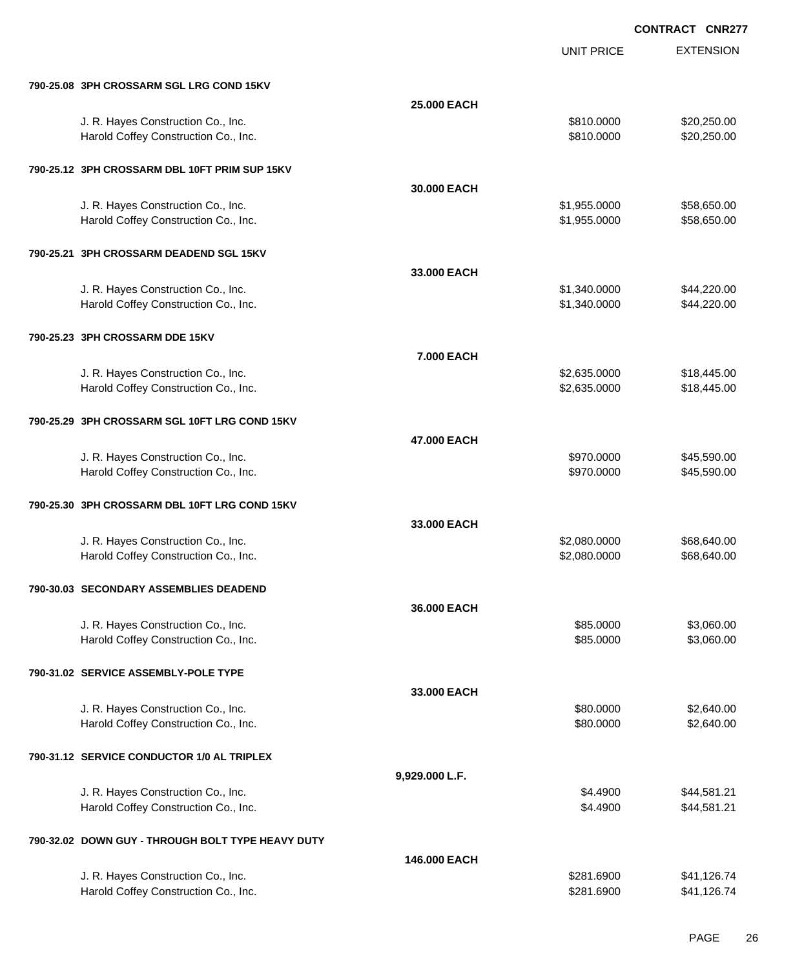|                                                   |                   | <b>UNIT PRICE</b> | <b>EXTENSION</b> |
|---------------------------------------------------|-------------------|-------------------|------------------|
| 790-25.08 3PH CROSSARM SGL LRG COND 15KV          |                   |                   |                  |
|                                                   | 25.000 EACH       |                   |                  |
| J. R. Hayes Construction Co., Inc.                |                   | \$810.0000        | \$20,250.00      |
| Harold Coffey Construction Co., Inc.              |                   | \$810.0000        | \$20,250.00      |
| 790-25.12 3PH CROSSARM DBL 10FT PRIM SUP 15KV     |                   |                   |                  |
|                                                   | 30,000 EACH       |                   |                  |
| J. R. Hayes Construction Co., Inc.                |                   | \$1,955.0000      | \$58,650.00      |
| Harold Coffey Construction Co., Inc.              |                   | \$1,955.0000      | \$58,650.00      |
| 790-25.21 3PH CROSSARM DEADEND SGL 15KV           |                   |                   |                  |
|                                                   | 33.000 EACH       |                   |                  |
| J. R. Hayes Construction Co., Inc.                |                   | \$1,340.0000      | \$44,220.00      |
| Harold Coffey Construction Co., Inc.              |                   | \$1,340.0000      | \$44,220.00      |
| 790-25.23 3PH CROSSARM DDE 15KV                   |                   |                   |                  |
|                                                   | <b>7.000 EACH</b> |                   |                  |
| J. R. Hayes Construction Co., Inc.                |                   | \$2,635.0000      | \$18,445.00      |
| Harold Coffey Construction Co., Inc.              |                   | \$2,635.0000      | \$18,445.00      |
| 790-25.29 3PH CROSSARM SGL 10FT LRG COND 15KV     |                   |                   |                  |
|                                                   | 47.000 EACH       |                   |                  |
| J. R. Hayes Construction Co., Inc.                |                   | \$970.0000        | \$45,590.00      |
| Harold Coffey Construction Co., Inc.              |                   | \$970.0000        | \$45,590.00      |
| 790-25.30 3PH CROSSARM DBL 10FT LRG COND 15KV     |                   |                   |                  |
|                                                   | 33,000 EACH       |                   |                  |
| J. R. Hayes Construction Co., Inc.                |                   | \$2,080.0000      | \$68,640.00      |
| Harold Coffey Construction Co., Inc.              |                   | \$2,080.0000      | \$68,640.00      |
| 790-30.03 SECONDARY ASSEMBLIES DEADEND            |                   |                   |                  |
|                                                   | 36.000 EACH       |                   |                  |
| J. R. Hayes Construction Co., Inc.                |                   | \$85.0000         | \$3,060.00       |
| Harold Coffey Construction Co., Inc.              |                   | \$85.0000         | \$3,060.00       |
| 790-31.02 SERVICE ASSEMBLY-POLE TYPE              |                   |                   |                  |
|                                                   | 33.000 EACH       |                   |                  |
| J. R. Hayes Construction Co., Inc.                |                   | \$80.0000         | \$2,640.00       |
| Harold Coffey Construction Co., Inc.              |                   | \$80.0000         | \$2,640.00       |
| 790-31.12 SERVICE CONDUCTOR 1/0 AL TRIPLEX        |                   |                   |                  |
|                                                   | 9,929.000 L.F.    |                   |                  |
| J. R. Hayes Construction Co., Inc.                |                   | \$4.4900          | \$44,581.21      |
| Harold Coffey Construction Co., Inc.              |                   | \$4.4900          | \$44,581.21      |
| 790-32.02 DOWN GUY - THROUGH BOLT TYPE HEAVY DUTY |                   |                   |                  |
|                                                   | 146.000 EACH      |                   |                  |
| J. R. Hayes Construction Co., Inc.                |                   | \$281.6900        | \$41,126.74      |
| Harold Coffey Construction Co., Inc.              |                   | \$281.6900        | \$41,126.74      |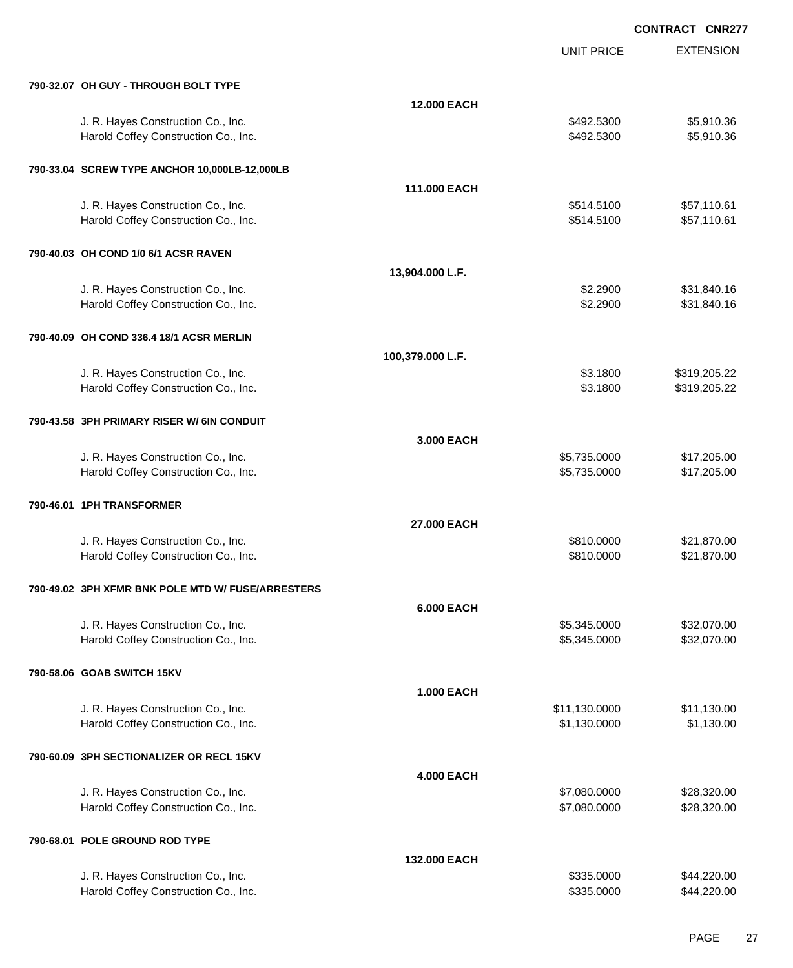UNIT PRICE

EXTENSION

| 790-32.07 OH GUY - THROUGH BOLT TYPE                                       |                    |                              |                              |
|----------------------------------------------------------------------------|--------------------|------------------------------|------------------------------|
|                                                                            | <b>12.000 EACH</b> |                              |                              |
| J. R. Hayes Construction Co., Inc.<br>Harold Coffey Construction Co., Inc. |                    | \$492.5300<br>\$492.5300     | \$5,910.36<br>\$5,910.36     |
| 790-33.04 SCREW TYPE ANCHOR 10,000LB-12,000LB                              |                    |                              |                              |
|                                                                            | 111.000 EACH       |                              |                              |
| J. R. Hayes Construction Co., Inc.                                         |                    | \$514.5100                   | \$57,110.61                  |
| Harold Coffey Construction Co., Inc.                                       |                    | \$514.5100                   | \$57,110.61                  |
| 790-40.03 OH COND 1/0 6/1 ACSR RAVEN                                       |                    |                              |                              |
|                                                                            | 13,904.000 L.F.    |                              |                              |
| J. R. Hayes Construction Co., Inc.<br>Harold Coffey Construction Co., Inc. |                    | \$2.2900<br>\$2.2900         | \$31,840.16<br>\$31,840.16   |
|                                                                            |                    |                              |                              |
| 790-40.09 OH COND 336.4 18/1 ACSR MERLIN                                   |                    |                              |                              |
|                                                                            | 100,379.000 L.F.   |                              |                              |
| J. R. Hayes Construction Co., Inc.<br>Harold Coffey Construction Co., Inc. |                    | \$3.1800<br>\$3.1800         | \$319,205.22<br>\$319,205.22 |
|                                                                            |                    |                              |                              |
| 790-43.58 3PH PRIMARY RISER W/ 6IN CONDUIT                                 |                    |                              |                              |
|                                                                            | 3.000 EACH         |                              |                              |
| J. R. Hayes Construction Co., Inc.<br>Harold Coffey Construction Co., Inc. |                    | \$5,735.0000<br>\$5,735.0000 | \$17,205.00<br>\$17,205.00   |
|                                                                            |                    |                              |                              |
| 790-46.01 1PH TRANSFORMER                                                  |                    |                              |                              |
|                                                                            | 27.000 EACH        |                              |                              |
| J. R. Hayes Construction Co., Inc.<br>Harold Coffey Construction Co., Inc. |                    | \$810.0000<br>\$810.0000     | \$21,870.00<br>\$21,870.00   |
|                                                                            |                    |                              |                              |
| 790-49.02 3PH XFMR BNK POLE MTD W/ FUSE/ARRESTERS                          |                    |                              |                              |
|                                                                            | <b>6.000 EACH</b>  |                              |                              |
| J. R. Hayes Construction Co., Inc.                                         |                    | \$5,345.0000                 | \$32,070.00                  |
| Harold Coffey Construction Co., Inc.                                       |                    | \$5,345.0000                 | \$32,070.00                  |
| 790-58.06 GOAB SWITCH 15KV                                                 |                    |                              |                              |
|                                                                            | 1.000 EACH         |                              |                              |
| J. R. Hayes Construction Co., Inc.                                         |                    | \$11,130.0000                | \$11,130.00                  |
| Harold Coffey Construction Co., Inc.                                       |                    | \$1,130.0000                 | \$1,130.00                   |
| 790-60.09 3PH SECTIONALIZER OR RECL 15KV                                   |                    |                              |                              |
|                                                                            | <b>4.000 EACH</b>  |                              |                              |
| J. R. Hayes Construction Co., Inc.                                         |                    | \$7,080.0000                 | \$28,320.00                  |
| Harold Coffey Construction Co., Inc.                                       |                    | \$7,080.0000                 | \$28,320.00                  |
| 790-68.01 POLE GROUND ROD TYPE                                             |                    |                              |                              |
|                                                                            | 132.000 EACH       |                              |                              |
| J. R. Hayes Construction Co., Inc.                                         |                    | \$335.0000                   | \$44,220.00                  |

Harold Coffey Construction Co., Inc. 66 and the state of the state of the state state state state state state state state state state state state state state state state state state state state state state state state stat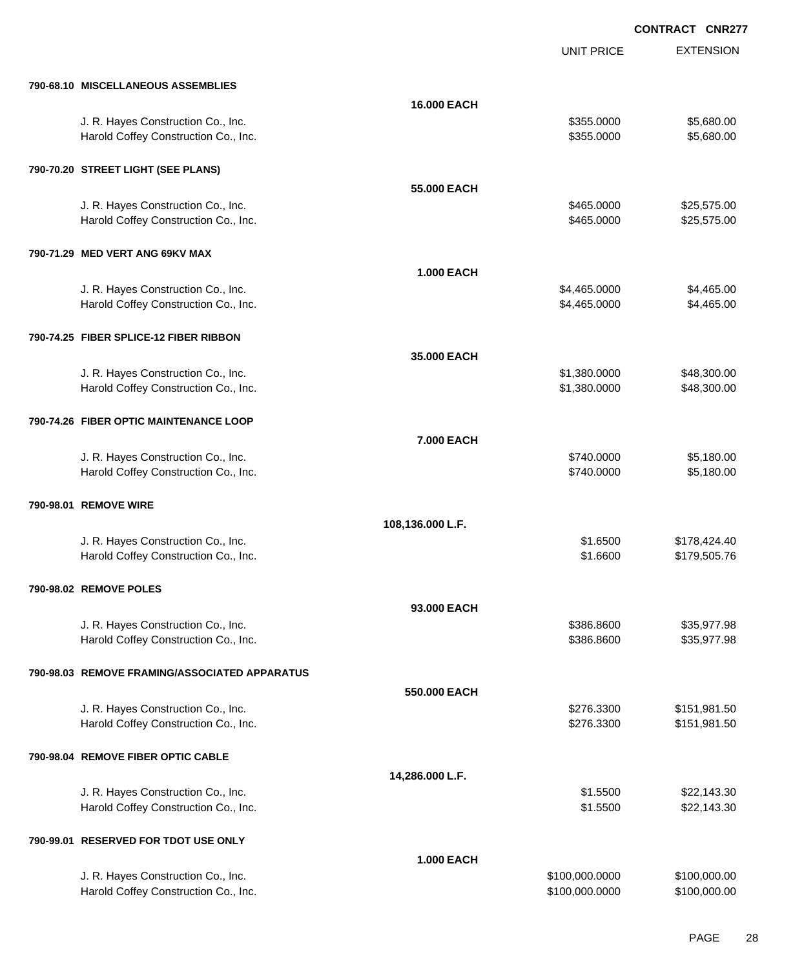|                                               |                    | <b>UNIT PRICE</b> | <b>EXTENSION</b> |
|-----------------------------------------------|--------------------|-------------------|------------------|
| 790-68.10 MISCELLANEOUS ASSEMBLIES            |                    |                   |                  |
|                                               | <b>16.000 EACH</b> |                   |                  |
| J. R. Hayes Construction Co., Inc.            |                    | \$355.0000        | \$5,680.00       |
| Harold Coffey Construction Co., Inc.          |                    | \$355.0000        | \$5,680.00       |
| 790-70.20 STREET LIGHT (SEE PLANS)            |                    |                   |                  |
|                                               | 55,000 EACH        |                   |                  |
| J. R. Hayes Construction Co., Inc.            |                    | \$465.0000        | \$25,575.00      |
| Harold Coffey Construction Co., Inc.          |                    | \$465.0000        | \$25,575.00      |
| 790-71.29 MED VERT ANG 69KV MAX               |                    |                   |                  |
|                                               | <b>1.000 EACH</b>  |                   |                  |
| J. R. Hayes Construction Co., Inc.            |                    | \$4,465.0000      | \$4,465.00       |
| Harold Coffey Construction Co., Inc.          |                    | \$4,465.0000      | \$4,465.00       |
| 790-74.25 FIBER SPLICE-12 FIBER RIBBON        |                    |                   |                  |
|                                               | 35.000 EACH        |                   |                  |
| J. R. Hayes Construction Co., Inc.            |                    | \$1,380.0000      | \$48,300.00      |
| Harold Coffey Construction Co., Inc.          |                    | \$1,380.0000      | \$48,300.00      |
| 790-74.26 FIBER OPTIC MAINTENANCE LOOP        |                    |                   |                  |
|                                               | 7.000 EACH         |                   |                  |
| J. R. Hayes Construction Co., Inc.            |                    | \$740.0000        | \$5,180.00       |
| Harold Coffey Construction Co., Inc.          |                    | \$740.0000        | \$5,180.00       |
| 790-98.01 REMOVE WIRE                         |                    |                   |                  |
|                                               | 108,136.000 L.F.   |                   |                  |
| J. R. Hayes Construction Co., Inc.            |                    | \$1.6500          | \$178,424.40     |
| Harold Coffey Construction Co., Inc.          |                    | \$1.6600          | \$179,505.76     |
| 790-98.02 REMOVE POLES                        |                    |                   |                  |
|                                               | 93.000 EACH        |                   |                  |
| J. R. Hayes Construction Co., Inc.            |                    | \$386.8600        | \$35,977.98      |
| Harold Coffey Construction Co., Inc.          |                    | \$386.8600        | \$35,977.98      |
| 790-98.03 REMOVE FRAMING/ASSOCIATED APPARATUS |                    |                   |                  |
|                                               | 550.000 EACH       |                   |                  |
| J. R. Hayes Construction Co., Inc.            |                    | \$276.3300        | \$151,981.50     |
| Harold Coffey Construction Co., Inc.          |                    | \$276.3300        | \$151,981.50     |
| 790-98.04 REMOVE FIBER OPTIC CABLE            |                    |                   |                  |
|                                               | 14,286.000 L.F.    |                   |                  |
| J. R. Hayes Construction Co., Inc.            |                    | \$1.5500          | \$22,143.30      |
| Harold Coffey Construction Co., Inc.          |                    | \$1.5500          | \$22,143.30      |
|                                               |                    |                   |                  |
| 790-99.01 RESERVED FOR TDOT USE ONLY          |                    |                   |                  |
| J. R. Hayes Construction Co., Inc.            | <b>1.000 EACH</b>  | \$100,000.0000    | \$100,000.00     |
| Harold Coffey Construction Co., Inc.          |                    | \$100,000.0000    | \$100,000.00     |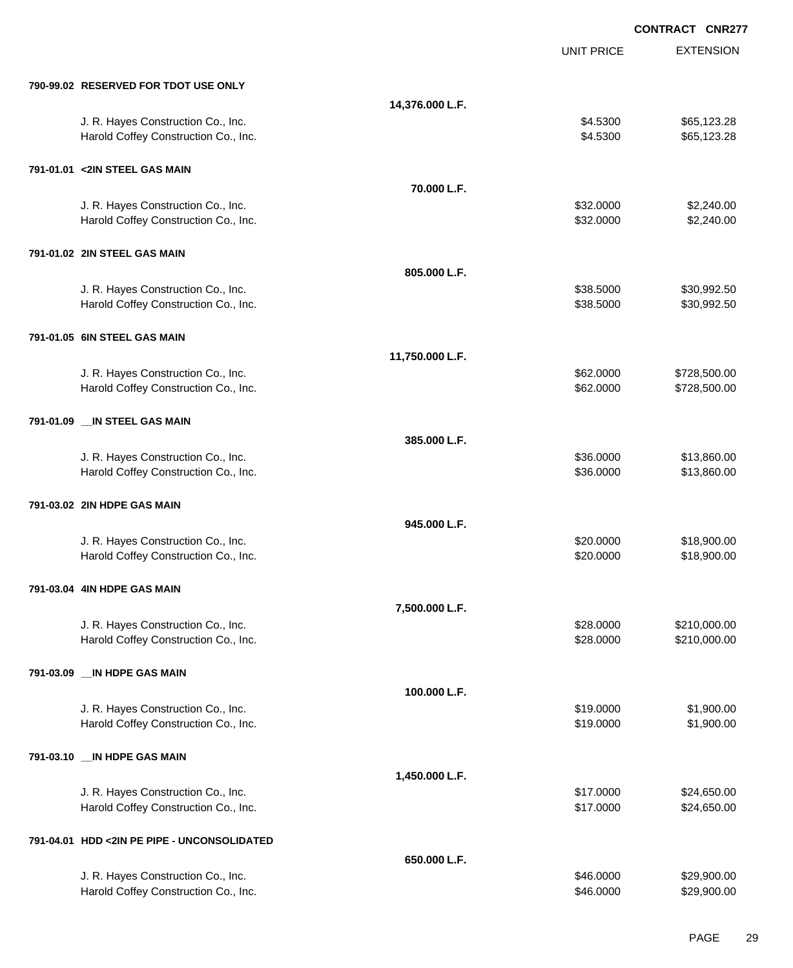EXTENSION **CONTRACT CNR277** UNIT PRICE **790-99.02 RESERVED FOR TDOT USE ONLY 14,376.000 L.F.** J. R. Hayes Construction Co., Inc. 665,123.28 Harold Coffey Construction Co., Inc. 665,123.28 **791-01.01 <2IN STEEL GAS MAIN 70.000 L.F.** J. R. Hayes Construction Co., Inc. \$32.000 \$2,240.00 Harold Coffey Construction Co., Inc. 6. 2010. The state of the state of the state of the state of the state of the state of the state of the state of the state of the state of the state of the state of the state of the sta **791-01.02 2IN STEEL GAS MAIN 805.000 L.F.** J. R. Hayes Construction Co., Inc. 6. The Construction Co., Inc. \$38.5000 \$30,992.50 Harold Coffey Construction Co., Inc. 6. 2008. The state of the state of the state of the state of the state of the state of the state of the state of the state of the state of the state of the state of the state of the sta **791-01.05 6IN STEEL GAS MAIN 11,750.000 L.F.** J. R. Hayes Construction Co., Inc. \$62.000 \$728,500.00 Harold Coffey Construction Co., Inc. 662.000 \$728,500.00 \$728,500.00 **791-01.09 \_\_IN STEEL GAS MAIN 385.000 L.F.** J. R. Hayes Construction Co., Inc. 6. The Construction Co., Inc. \$13,860.000 \$13,860.00 Harold Coffey Construction Co., Inc. 6. 2010 12:00:00 \$13,860.000 \$13,860.00 **791-03.02 2IN HDPE GAS MAIN 945.000 L.F.** J. R. Hayes Construction Co., Inc. 6. 20.000 \$18,900.00 \$18,900.00 Harold Coffey Construction Co., Inc. 6. The Construction Co., Inc. 6. The Construction Co., Inc. 6. The Const **791-03.04 4IN HDPE GAS MAIN 7,500.000 L.F.** J. R. Hayes Construction Co., Inc. \$28.0000 \$210,000.00 Harold Coffey Construction Co., Inc. 6. 2000 \$210,000.00 \$210,000.00 **791-03.09 \_\_IN HDPE GAS MAIN 100.000 L.F.** J. R. Hayes Construction Co., Inc. \$1,900.00 \$1,900.00 \$1,900.00 Harold Coffey Construction Co., Inc. 6. The Construction Co., Inc. \$19.0000 \$1,900.00 **791-03.10 \_\_IN HDPE GAS MAIN 1,450.000 L.F.** J. R. Hayes Construction Co., Inc. \$17.0000 \$24,650.00 Harold Coffey Construction Co., Inc. 6. The Construction Co., Inc. 6. The Construction Co., Inc. 6. The Const **791-04.01 HDD <2IN PE PIPE - UNCONSOLIDATED 650.000 L.F.** J. R. Hayes Construction Co., Inc. 6. The Construction Co., Inc. \$46.0000 \$29,900.00

Harold Coffey Construction Co., Inc. 6. The Construction Co., Inc. 6. The Construction Co., Inc. 6. The Const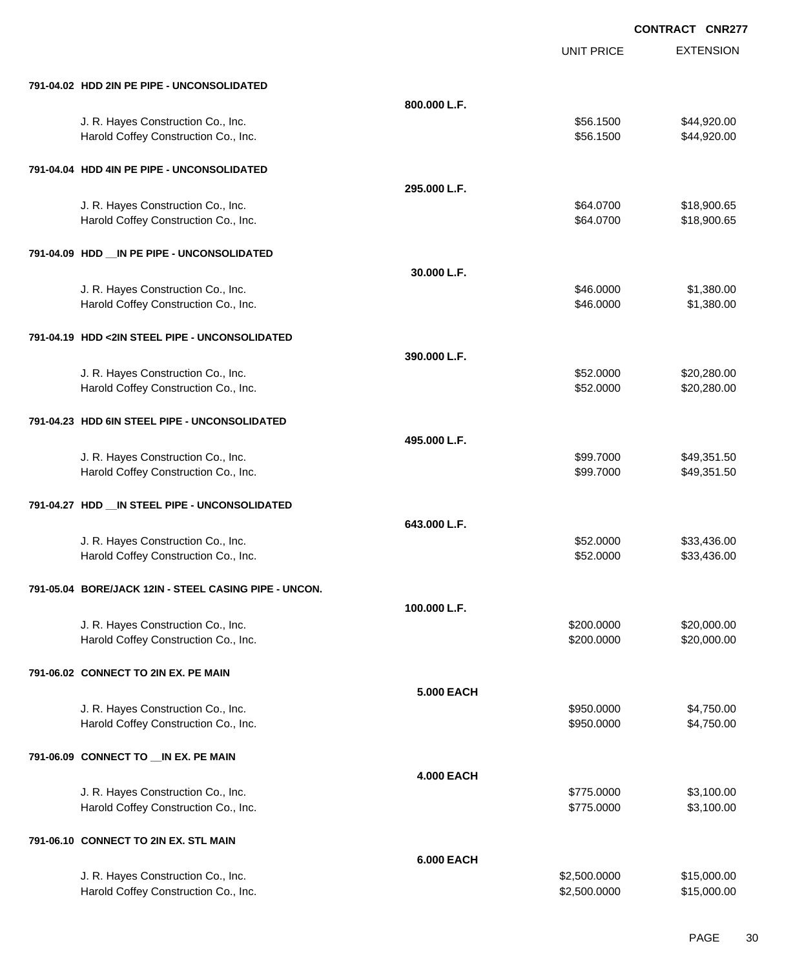|                                                       |                   | <b>UNIT PRICE</b> | <b>EXTENSION</b> |
|-------------------------------------------------------|-------------------|-------------------|------------------|
| 791-04.02 HDD 2IN PE PIPE - UNCONSOLIDATED            |                   |                   |                  |
|                                                       | 800.000 L.F.      |                   |                  |
| J. R. Hayes Construction Co., Inc.                    |                   | \$56.1500         | \$44,920.00      |
| Harold Coffey Construction Co., Inc.                  |                   | \$56.1500         | \$44,920.00      |
| 791-04.04 HDD 4IN PE PIPE - UNCONSOLIDATED            |                   |                   |                  |
|                                                       | 295,000 L.F.      |                   |                  |
| J. R. Hayes Construction Co., Inc.                    |                   | \$64.0700         | \$18,900.65      |
| Harold Coffey Construction Co., Inc.                  |                   | \$64.0700         | \$18,900.65      |
| 791-04.09 HDD __ IN PE PIPE - UNCONSOLIDATED          |                   |                   |                  |
|                                                       | 30.000 L.F.       |                   |                  |
| J. R. Hayes Construction Co., Inc.                    |                   | \$46.0000         | \$1,380.00       |
| Harold Coffey Construction Co., Inc.                  |                   | \$46.0000         | \$1,380.00       |
| 791-04.19 HDD <2IN STEEL PIPE - UNCONSOLIDATED        |                   |                   |                  |
|                                                       | 390.000 L.F.      |                   |                  |
| J. R. Hayes Construction Co., Inc.                    |                   | \$52.0000         | \$20,280.00      |
| Harold Coffey Construction Co., Inc.                  |                   | \$52.0000         | \$20,280.00      |
| 791-04.23 HDD 6IN STEEL PIPE - UNCONSOLIDATED         |                   |                   |                  |
|                                                       | 495.000 L.F.      |                   |                  |
| J. R. Hayes Construction Co., Inc.                    |                   | \$99.7000         | \$49,351.50      |
| Harold Coffey Construction Co., Inc.                  |                   | \$99.7000         | \$49,351.50      |
| 791-04.27 HDD __ IN STEEL PIPE - UNCONSOLIDATED       |                   |                   |                  |
|                                                       | 643.000 L.F.      |                   |                  |
| J. R. Hayes Construction Co., Inc.                    |                   | \$52.0000         | \$33,436.00      |
| Harold Coffey Construction Co., Inc.                  |                   | \$52.0000         | \$33,436.00      |
| 791-05.04 BORE/JACK 12IN - STEEL CASING PIPE - UNCON. |                   |                   |                  |
|                                                       | 100.000 L.F.      |                   |                  |
| J. R. Hayes Construction Co., Inc.                    |                   | \$200.0000        | \$20,000.00      |
| Harold Coffey Construction Co., Inc.                  |                   | \$200.0000        | \$20,000.00      |
| 791-06.02 CONNECT TO 2IN EX. PE MAIN                  |                   |                   |                  |
|                                                       | <b>5.000 EACH</b> |                   |                  |
| J. R. Hayes Construction Co., Inc.                    |                   | \$950.0000        | \$4,750.00       |
| Harold Coffey Construction Co., Inc.                  |                   | \$950.0000        | \$4,750.00       |
| 791-06.09 CONNECT TO __ IN EX. PE MAIN                |                   |                   |                  |
|                                                       | <b>4.000 EACH</b> |                   |                  |
| J. R. Hayes Construction Co., Inc.                    |                   | \$775.0000        | \$3,100.00       |
| Harold Coffey Construction Co., Inc.                  |                   | \$775.0000        | \$3,100.00       |
| 791-06.10 CONNECT TO 2IN EX. STL MAIN                 |                   |                   |                  |
|                                                       | <b>6.000 EACH</b> |                   |                  |
| J. R. Hayes Construction Co., Inc.                    |                   | \$2,500.0000      | \$15,000.00      |
| Harold Coffey Construction Co., Inc.                  |                   | \$2,500.0000      | \$15,000.00      |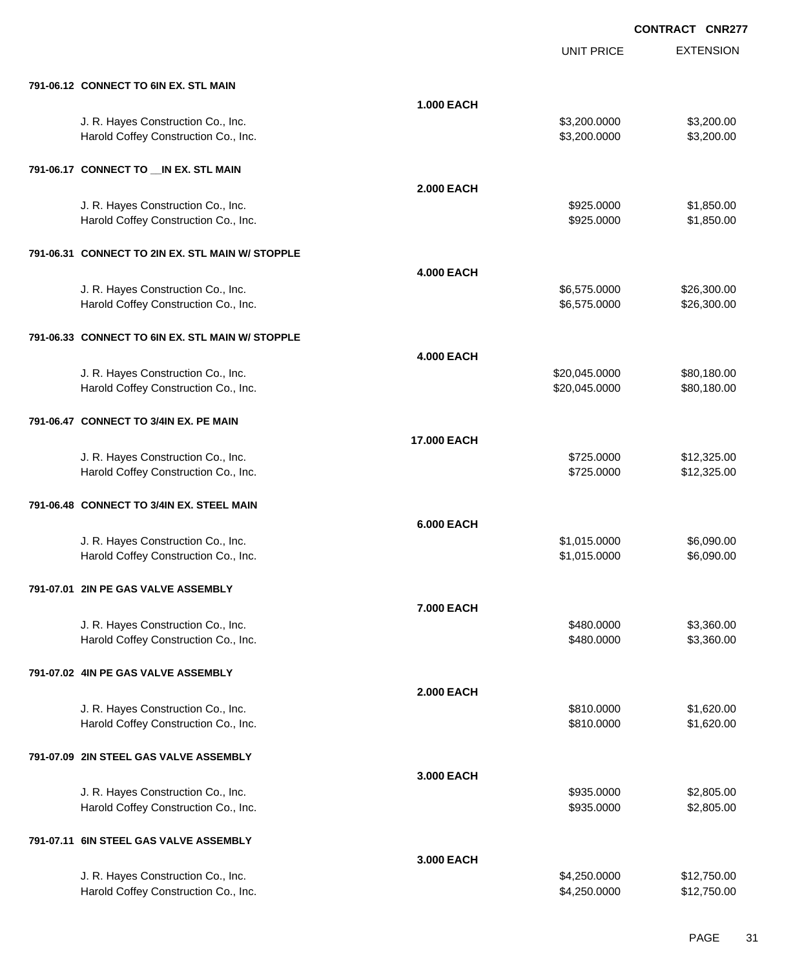|                                                  |                    | <b>UNIT PRICE</b> | <b>EXTENSION</b> |
|--------------------------------------------------|--------------------|-------------------|------------------|
| 791-06.12 CONNECT TO 6IN EX. STL MAIN            |                    |                   |                  |
|                                                  | <b>1.000 EACH</b>  |                   |                  |
| J. R. Hayes Construction Co., Inc.               |                    | \$3,200.0000      | \$3,200.00       |
| Harold Coffey Construction Co., Inc.             |                    | \$3,200.0000      | \$3,200.00       |
| 791-06.17 CONNECT TO __ IN EX. STL MAIN          |                    |                   |                  |
|                                                  | <b>2.000 EACH</b>  |                   |                  |
| J. R. Hayes Construction Co., Inc.               |                    | \$925.0000        | \$1,850.00       |
| Harold Coffey Construction Co., Inc.             |                    | \$925.0000        | \$1,850.00       |
| 791-06.31 CONNECT TO 2IN EX. STL MAIN W/ STOPPLE |                    |                   |                  |
|                                                  | <b>4.000 EACH</b>  |                   |                  |
| J. R. Hayes Construction Co., Inc.               |                    | \$6,575.0000      | \$26,300.00      |
| Harold Coffey Construction Co., Inc.             |                    | \$6,575.0000      | \$26,300.00      |
| 791-06.33 CONNECT TO 6IN EX. STL MAIN W/ STOPPLE |                    |                   |                  |
|                                                  | <b>4.000 EACH</b>  |                   |                  |
| J. R. Hayes Construction Co., Inc.               |                    | \$20,045.0000     | \$80,180.00      |
| Harold Coffey Construction Co., Inc.             |                    | \$20,045.0000     | \$80,180.00      |
| 791-06.47 CONNECT TO 3/4IN EX. PE MAIN           |                    |                   |                  |
|                                                  | <b>17.000 EACH</b> |                   |                  |
| J. R. Hayes Construction Co., Inc.               |                    | \$725.0000        | \$12,325.00      |
| Harold Coffey Construction Co., Inc.             |                    | \$725.0000        | \$12,325.00      |
| 791-06.48 CONNECT TO 3/4IN EX. STEEL MAIN        |                    |                   |                  |
|                                                  | <b>6.000 EACH</b>  |                   |                  |
| J. R. Hayes Construction Co., Inc.               |                    | \$1,015.0000      | \$6,090.00       |
| Harold Coffey Construction Co., Inc.             |                    | \$1,015.0000      | \$6,090.00       |
| 791-07.01   2IN PE GAS VALVE ASSEMBLY            |                    |                   |                  |
|                                                  | 7.000 EACH         |                   |                  |
| J. R. Hayes Construction Co., Inc.               |                    | \$480.0000        | \$3,360.00       |
| Harold Coffey Construction Co., Inc.             |                    | \$480.0000        | \$3,360.00       |
| 791-07.02 4IN PE GAS VALVE ASSEMBLY              |                    |                   |                  |
|                                                  | <b>2.000 EACH</b>  |                   |                  |
| J. R. Hayes Construction Co., Inc.               |                    | \$810.0000        | \$1,620.00       |
| Harold Coffey Construction Co., Inc.             |                    | \$810.0000        | \$1,620.00       |
| 791-07.09 2IN STEEL GAS VALVE ASSEMBLY           |                    |                   |                  |
|                                                  | 3.000 EACH         |                   |                  |
| J. R. Hayes Construction Co., Inc.               |                    | \$935.0000        | \$2,805.00       |
| Harold Coffey Construction Co., Inc.             |                    | \$935.0000        | \$2,805.00       |
| 791-07.11 6IN STEEL GAS VALVE ASSEMBLY           |                    |                   |                  |
|                                                  | 3.000 EACH         |                   |                  |
| J. R. Hayes Construction Co., Inc.               |                    | \$4,250.0000      | \$12,750.00      |
| Harold Coffey Construction Co., Inc.             |                    | \$4,250.0000      | \$12,750.00      |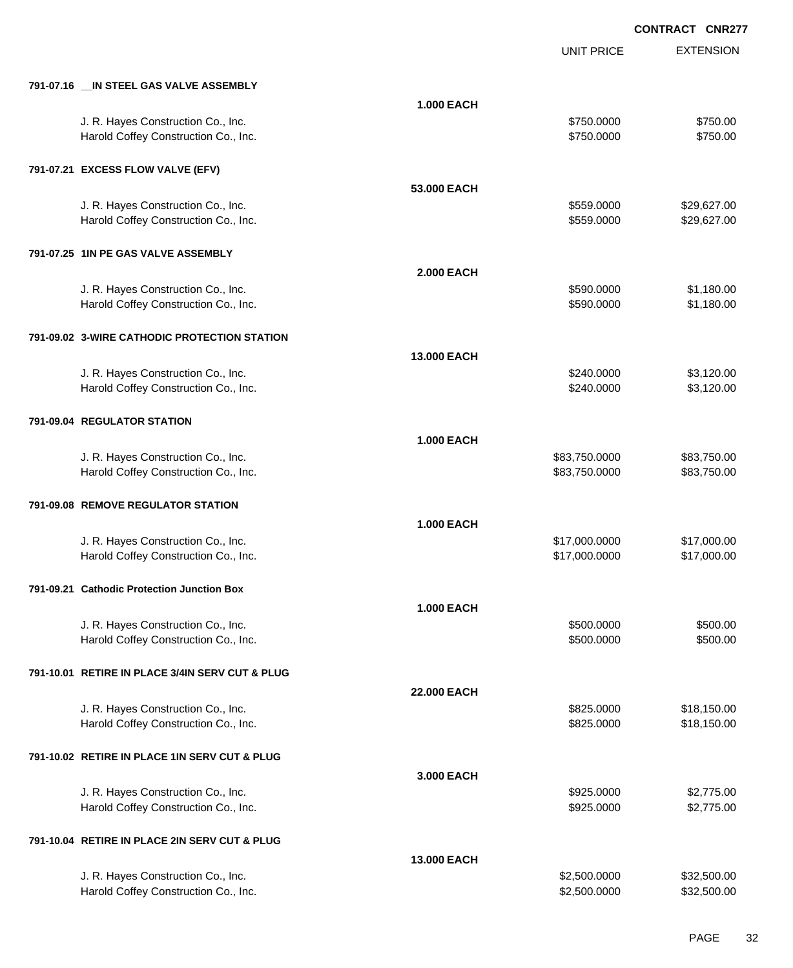|                                                 |                   | <b>UNIT PRICE</b> | <b>EXTENSION</b> |
|-------------------------------------------------|-------------------|-------------------|------------------|
| 791-07.16 __ IN STEEL GAS VALVE ASSEMBLY        |                   |                   |                  |
|                                                 | <b>1.000 EACH</b> |                   |                  |
| J. R. Hayes Construction Co., Inc.              |                   | \$750.0000        | \$750.00         |
| Harold Coffey Construction Co., Inc.            |                   | \$750.0000        | \$750.00         |
| 791-07.21 EXCESS FLOW VALVE (EFV)               |                   |                   |                  |
|                                                 | 53.000 EACH       |                   |                  |
| J. R. Hayes Construction Co., Inc.              |                   | \$559.0000        | \$29,627.00      |
| Harold Coffey Construction Co., Inc.            |                   | \$559.0000        | \$29,627.00      |
| 791-07.25 1IN PE GAS VALVE ASSEMBLY             |                   |                   |                  |
|                                                 | <b>2.000 EACH</b> |                   |                  |
| J. R. Hayes Construction Co., Inc.              |                   | \$590.0000        | \$1,180.00       |
| Harold Coffey Construction Co., Inc.            |                   | \$590.0000        | \$1,180.00       |
| 791-09.02 3-WIRE CATHODIC PROTECTION STATION    |                   |                   |                  |
|                                                 | 13.000 EACH       |                   |                  |
| J. R. Hayes Construction Co., Inc.              |                   | \$240.0000        | \$3,120.00       |
| Harold Coffey Construction Co., Inc.            |                   | \$240.0000        | \$3,120.00       |
| 791-09.04 REGULATOR STATION                     |                   |                   |                  |
|                                                 | <b>1.000 EACH</b> |                   |                  |
| J. R. Hayes Construction Co., Inc.              |                   | \$83,750.0000     | \$83,750.00      |
| Harold Coffey Construction Co., Inc.            |                   | \$83,750.0000     | \$83,750.00      |
| 791-09.08 REMOVE REGULATOR STATION              |                   |                   |                  |
|                                                 | <b>1.000 EACH</b> |                   |                  |
| J. R. Hayes Construction Co., Inc.              |                   | \$17,000.0000     | \$17,000.00      |
| Harold Coffey Construction Co., Inc.            |                   | \$17,000.0000     | \$17,000.00      |
| 791-09.21 Cathodic Protection Junction Box      |                   |                   |                  |
|                                                 | <b>1.000 EACH</b> |                   |                  |
| J. R. Hayes Construction Co., Inc.              |                   | \$500.0000        | \$500.00         |
| Harold Coffey Construction Co., Inc.            |                   | \$500.0000        | \$500.00         |
| 791-10.01 RETIRE IN PLACE 3/4IN SERV CUT & PLUG |                   |                   |                  |
|                                                 | 22.000 EACH       |                   |                  |
| J. R. Hayes Construction Co., Inc.              |                   | \$825.0000        | \$18,150.00      |
| Harold Coffey Construction Co., Inc.            |                   | \$825.0000        | \$18,150.00      |
| 791-10.02 RETIRE IN PLACE 1IN SERV CUT & PLUG   |                   |                   |                  |
|                                                 | 3.000 EACH        |                   |                  |
| J. R. Hayes Construction Co., Inc.              |                   | \$925.0000        | \$2,775.00       |
| Harold Coffey Construction Co., Inc.            |                   | \$925.0000        | \$2,775.00       |
| 791-10.04 RETIRE IN PLACE 2IN SERV CUT & PLUG   |                   |                   |                  |
|                                                 | 13.000 EACH       |                   |                  |
| J. R. Hayes Construction Co., Inc.              |                   | \$2,500.0000      | \$32,500.00      |
| Harold Coffey Construction Co., Inc.            |                   | \$2,500.0000      | \$32,500.00      |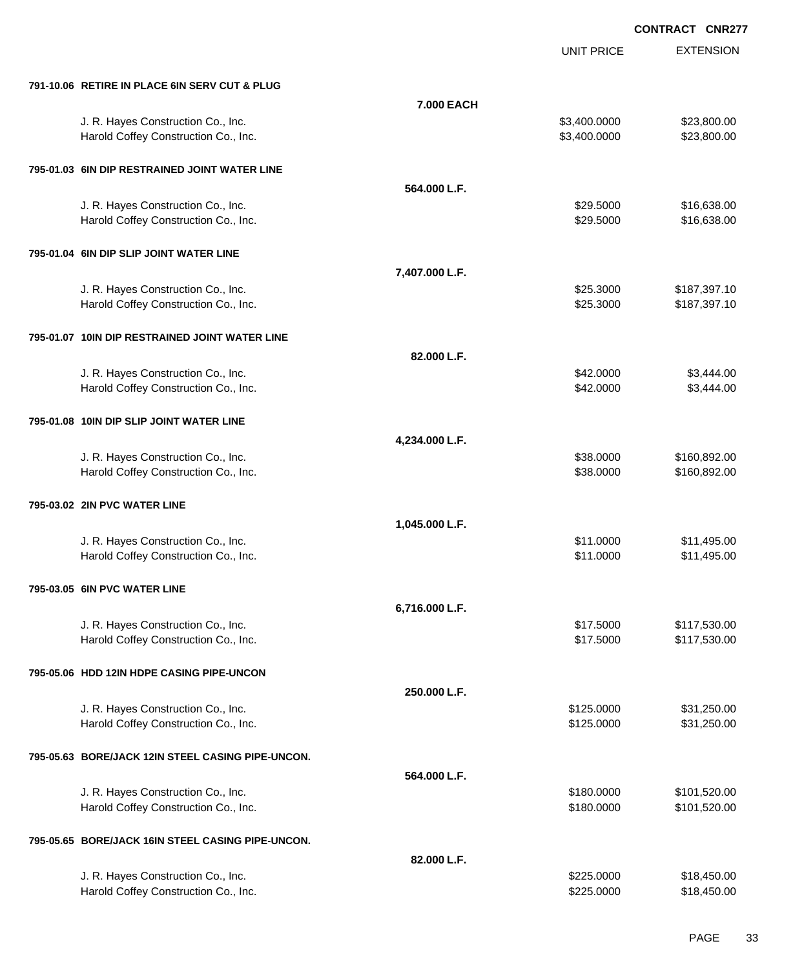UNIT PRICE

EXTENSION

| 791-10.06 RETIRE IN PLACE 6IN SERV CUT & PLUG                              |                |                        |                              |
|----------------------------------------------------------------------------|----------------|------------------------|------------------------------|
|                                                                            | 7.000 EACH     |                        |                              |
| J. R. Hayes Construction Co., Inc.                                         |                | \$3,400.0000           | \$23,800.00                  |
| Harold Coffey Construction Co., Inc.                                       |                | \$3,400.0000           | \$23,800.00                  |
|                                                                            |                |                        |                              |
| 795-01.03 6IN DIP RESTRAINED JOINT WATER LINE                              |                |                        |                              |
|                                                                            | 564.000 L.F.   |                        |                              |
| J. R. Hayes Construction Co., Inc.                                         |                | \$29.5000              | \$16,638.00                  |
| Harold Coffey Construction Co., Inc.                                       |                | \$29.5000              | \$16,638.00                  |
|                                                                            |                |                        |                              |
| 795-01.04 6IN DIP SLIP JOINT WATER LINE                                    |                |                        |                              |
|                                                                            | 7,407.000 L.F. |                        |                              |
| J. R. Hayes Construction Co., Inc.                                         |                | \$25.3000              | \$187,397.10                 |
| Harold Coffey Construction Co., Inc.                                       |                | \$25.3000              | \$187,397.10                 |
| 795-01.07 10IN DIP RESTRAINED JOINT WATER LINE                             |                |                        |                              |
|                                                                            | 82.000 L.F.    |                        |                              |
| J. R. Hayes Construction Co., Inc.                                         |                | \$42.0000              | \$3,444.00                   |
| Harold Coffey Construction Co., Inc.                                       |                | \$42.0000              | \$3,444.00                   |
|                                                                            |                |                        |                              |
| 795-01.08 10IN DIP SLIP JOINT WATER LINE                                   |                |                        |                              |
|                                                                            | 4,234.000 L.F. |                        |                              |
| J. R. Hayes Construction Co., Inc.                                         |                | \$38.0000              | \$160,892.00                 |
| Harold Coffey Construction Co., Inc.                                       |                | \$38.0000              | \$160,892.00                 |
|                                                                            |                |                        |                              |
| 795-03.02 2IN PVC WATER LINE                                               |                |                        |                              |
|                                                                            | 1,045.000 L.F. |                        |                              |
| J. R. Hayes Construction Co., Inc.                                         |                | \$11.0000              | \$11,495.00                  |
| Harold Coffey Construction Co., Inc.                                       |                | \$11.0000              | \$11,495.00                  |
| 795-03.05 6IN PVC WATER LINE                                               |                |                        |                              |
|                                                                            | 6,716.000 L.F. |                        |                              |
|                                                                            |                |                        |                              |
| J. R. Hayes Construction Co., Inc.<br>Harold Coffey Construction Co., Inc. |                | \$17.5000<br>\$17.5000 | \$117,530.00<br>\$117,530.00 |
|                                                                            |                |                        |                              |
| 795-05.06 HDD 12IN HDPE CASING PIPE-UNCON                                  |                |                        |                              |
|                                                                            | 250.000 L.F.   |                        |                              |
| J. R. Hayes Construction Co., Inc.                                         |                | \$125.0000             | \$31,250.00                  |
| Harold Coffey Construction Co., Inc.                                       |                | \$125.0000             | \$31,250.00                  |
|                                                                            |                |                        |                              |
| 795-05.63 BORE/JACK 12IN STEEL CASING PIPE-UNCON.                          |                |                        |                              |
|                                                                            | 564.000 L.F.   |                        |                              |
| J. R. Hayes Construction Co., Inc.                                         |                | \$180.0000             | \$101,520.00                 |
| Harold Coffey Construction Co., Inc.                                       |                | \$180.0000             | \$101,520.00                 |
| 795-05.65 BORE/JACK 16IN STEEL CASING PIPE-UNCON.                          |                |                        |                              |
|                                                                            | 82.000 L.F.    |                        |                              |
| J. R. Hayes Construction Co., Inc.                                         |                | \$225.0000             | \$18,450.00                  |
| Harold Coffey Construction Co., Inc.                                       |                | \$225.0000             | \$18,450.00                  |
|                                                                            |                |                        |                              |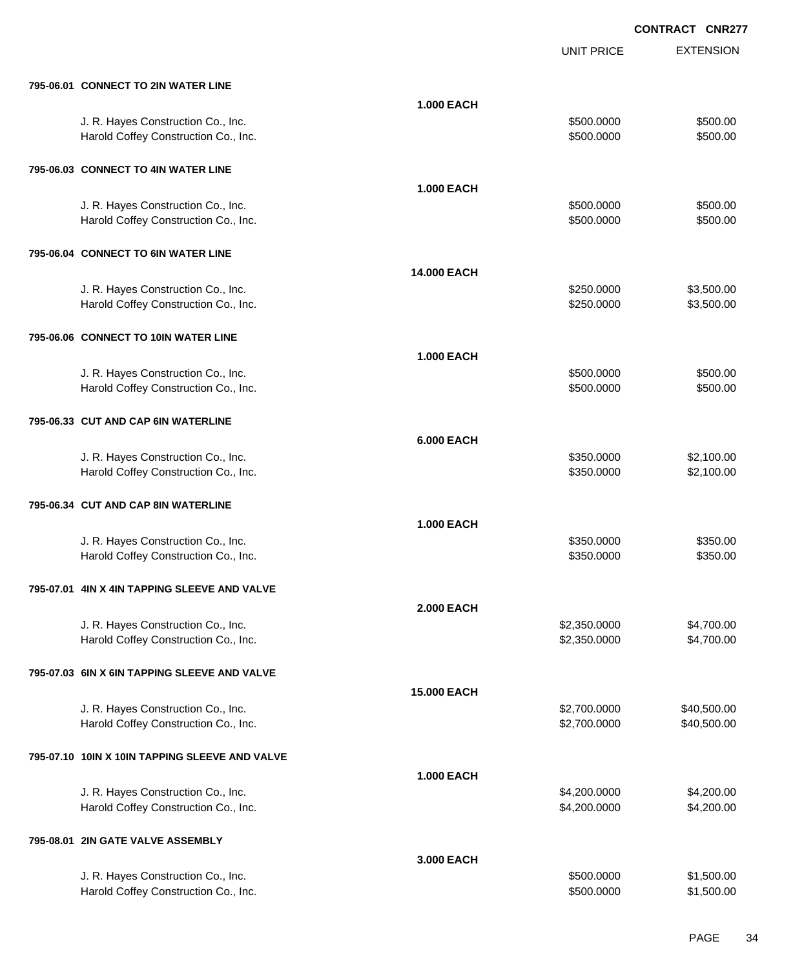|                                                |                    | <b>UNIT PRICE</b> | <b>EXTENSION</b> |
|------------------------------------------------|--------------------|-------------------|------------------|
| 795-06.01 CONNECT TO 2IN WATER LINE            |                    |                   |                  |
|                                                | <b>1.000 EACH</b>  |                   |                  |
| J. R. Hayes Construction Co., Inc.             |                    | \$500.0000        | \$500.00         |
| Harold Coffey Construction Co., Inc.           |                    | \$500.0000        | \$500.00         |
| 795-06.03 CONNECT TO 4IN WATER LINE            |                    |                   |                  |
|                                                | <b>1.000 EACH</b>  |                   |                  |
| J. R. Hayes Construction Co., Inc.             |                    | \$500.0000        | \$500.00         |
| Harold Coffey Construction Co., Inc.           |                    | \$500.0000        | \$500.00         |
| 795-06.04 CONNECT TO 6IN WATER LINE            |                    |                   |                  |
|                                                | <b>14.000 EACH</b> |                   |                  |
| J. R. Hayes Construction Co., Inc.             |                    | \$250.0000        | \$3,500.00       |
| Harold Coffey Construction Co., Inc.           |                    | \$250.0000        | \$3,500.00       |
| 795-06.06 CONNECT TO 10IN WATER LINE           |                    |                   |                  |
|                                                | <b>1.000 EACH</b>  |                   |                  |
| J. R. Hayes Construction Co., Inc.             |                    | \$500.0000        | \$500.00         |
| Harold Coffey Construction Co., Inc.           |                    | \$500.0000        | \$500.00         |
| 795-06.33 CUT AND CAP 6IN WATERLINE            |                    |                   |                  |
|                                                | <b>6.000 EACH</b>  |                   |                  |
| J. R. Hayes Construction Co., Inc.             |                    | \$350.0000        | \$2,100.00       |
| Harold Coffey Construction Co., Inc.           |                    | \$350.0000        | \$2,100.00       |
| 795-06.34 CUT AND CAP 8IN WATERLINE            |                    |                   |                  |
|                                                | <b>1.000 EACH</b>  |                   |                  |
| J. R. Hayes Construction Co., Inc.             |                    | \$350.0000        | \$350.00         |
| Harold Coffey Construction Co., Inc.           |                    | \$350.0000        | \$350.00         |
| 795-07.01 4IN X 4IN TAPPING SLEEVE AND VALVE   |                    |                   |                  |
|                                                | <b>2.000 EACH</b>  |                   |                  |
| J. R. Hayes Construction Co., Inc.             |                    | \$2,350.0000      | \$4,700.00       |
| Harold Coffey Construction Co., Inc.           |                    | \$2,350.0000      | \$4,700.00       |
| 795-07.03 6IN X 6IN TAPPING SLEEVE AND VALVE   |                    |                   |                  |
|                                                | <b>15.000 EACH</b> |                   |                  |
| J. R. Hayes Construction Co., Inc.             |                    | \$2,700.0000      | \$40,500.00      |
| Harold Coffey Construction Co., Inc.           |                    | \$2,700.0000      | \$40,500.00      |
| 795-07.10 10IN X 10IN TAPPING SLEEVE AND VALVE |                    |                   |                  |
|                                                | <b>1.000 EACH</b>  |                   |                  |
| J. R. Hayes Construction Co., Inc.             |                    | \$4,200.0000      | \$4,200.00       |
| Harold Coffey Construction Co., Inc.           |                    | \$4,200.0000      | \$4,200.00       |
| 795-08.01 2IN GATE VALVE ASSEMBLY              |                    |                   |                  |
|                                                | 3.000 EACH         |                   |                  |
| J. R. Hayes Construction Co., Inc.             |                    | \$500.0000        | \$1,500.00       |
| Harold Coffey Construction Co., Inc.           |                    | \$500.0000        | \$1,500.00       |
|                                                |                    |                   |                  |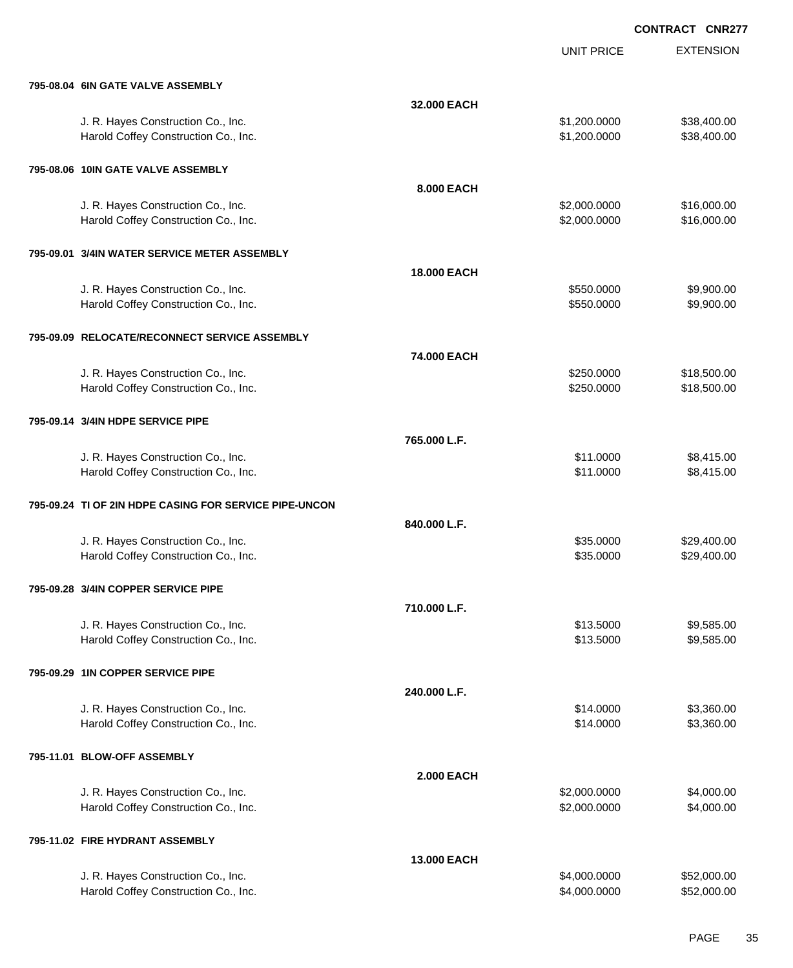UNIT PRICE

EXTENSION

| 795-08.04 6IN GATE VALVE ASSEMBLY                                          |                    |                              |                            |
|----------------------------------------------------------------------------|--------------------|------------------------------|----------------------------|
|                                                                            | 32.000 EACH        |                              |                            |
| J. R. Hayes Construction Co., Inc.                                         |                    | \$1,200.0000                 | \$38,400.00                |
| Harold Coffey Construction Co., Inc.                                       |                    | \$1,200.0000                 | \$38,400.00                |
|                                                                            |                    |                              |                            |
| 795-08.06 10IN GATE VALVE ASSEMBLY                                         |                    |                              |                            |
|                                                                            | 8.000 EACH         |                              |                            |
|                                                                            |                    |                              |                            |
| J. R. Hayes Construction Co., Inc.<br>Harold Coffey Construction Co., Inc. |                    | \$2,000.0000<br>\$2,000.0000 | \$16,000.00<br>\$16,000.00 |
|                                                                            |                    |                              |                            |
| 795-09.01 3/4IN WATER SERVICE METER ASSEMBLY                               |                    |                              |                            |
|                                                                            |                    |                              |                            |
|                                                                            | <b>18,000 EACH</b> |                              |                            |
| J. R. Hayes Construction Co., Inc.                                         |                    | \$550.0000                   | \$9,900.00                 |
| Harold Coffey Construction Co., Inc.                                       |                    | \$550.0000                   | \$9,900.00                 |
|                                                                            |                    |                              |                            |
| 795-09.09 RELOCATE/RECONNECT SERVICE ASSEMBLY                              |                    |                              |                            |
|                                                                            | 74.000 EACH        |                              |                            |
| J. R. Hayes Construction Co., Inc.                                         |                    | \$250.0000                   | \$18,500.00                |
| Harold Coffey Construction Co., Inc.                                       |                    | \$250.0000                   | \$18,500.00                |
|                                                                            |                    |                              |                            |
| 795-09.14 3/4IN HDPE SERVICE PIPE                                          |                    |                              |                            |
|                                                                            | 765.000 L.F.       |                              |                            |
| J. R. Hayes Construction Co., Inc.                                         |                    | \$11.0000                    | \$8,415.00                 |
| Harold Coffey Construction Co., Inc.                                       |                    | \$11.0000                    | \$8,415.00                 |
|                                                                            |                    |                              |                            |
| 795-09.24 TI OF 2IN HDPE CASING FOR SERVICE PIPE-UNCON                     |                    |                              |                            |
|                                                                            | 840.000 L.F.       |                              |                            |
| J. R. Hayes Construction Co., Inc.                                         |                    | \$35.0000                    | \$29,400.00                |
| Harold Coffey Construction Co., Inc.                                       |                    | \$35.0000                    | \$29,400.00                |
|                                                                            |                    |                              |                            |
| 795-09.28 3/4IN COPPER SERVICE PIPE                                        |                    |                              |                            |
|                                                                            |                    |                              |                            |
|                                                                            | 710.000 L.F.       |                              |                            |
| J. R. Hayes Construction Co., Inc.                                         |                    | \$13.5000                    | \$9,585.00                 |
| Harold Coffey Construction Co., Inc.                                       |                    | \$13.5000                    | \$9,585.00                 |
|                                                                            |                    |                              |                            |
| 795-09.29 1IN COPPER SERVICE PIPE                                          |                    |                              |                            |
|                                                                            | 240.000 L.F.       |                              |                            |
| J. R. Hayes Construction Co., Inc.                                         |                    | \$14.0000                    | \$3,360.00                 |
| Harold Coffey Construction Co., Inc.                                       |                    | \$14.0000                    | \$3,360.00                 |
|                                                                            |                    |                              |                            |
| 795-11.01 BLOW-OFF ASSEMBLY                                                |                    |                              |                            |
|                                                                            | <b>2.000 EACH</b>  |                              |                            |
| J. R. Hayes Construction Co., Inc.                                         |                    | \$2,000.0000                 | \$4,000.00                 |
| Harold Coffey Construction Co., Inc.                                       |                    | \$2,000.0000                 | \$4,000.00                 |
|                                                                            |                    |                              |                            |
| 795-11.02 FIRE HYDRANT ASSEMBLY                                            |                    |                              |                            |
|                                                                            | 13.000 EACH        |                              |                            |
| J. R. Hayes Construction Co., Inc.                                         |                    | \$4,000.0000                 | \$52,000.00                |
| Harold Coffey Construction Co., Inc.                                       |                    | \$4,000.0000                 | \$52,000.00                |
|                                                                            |                    |                              |                            |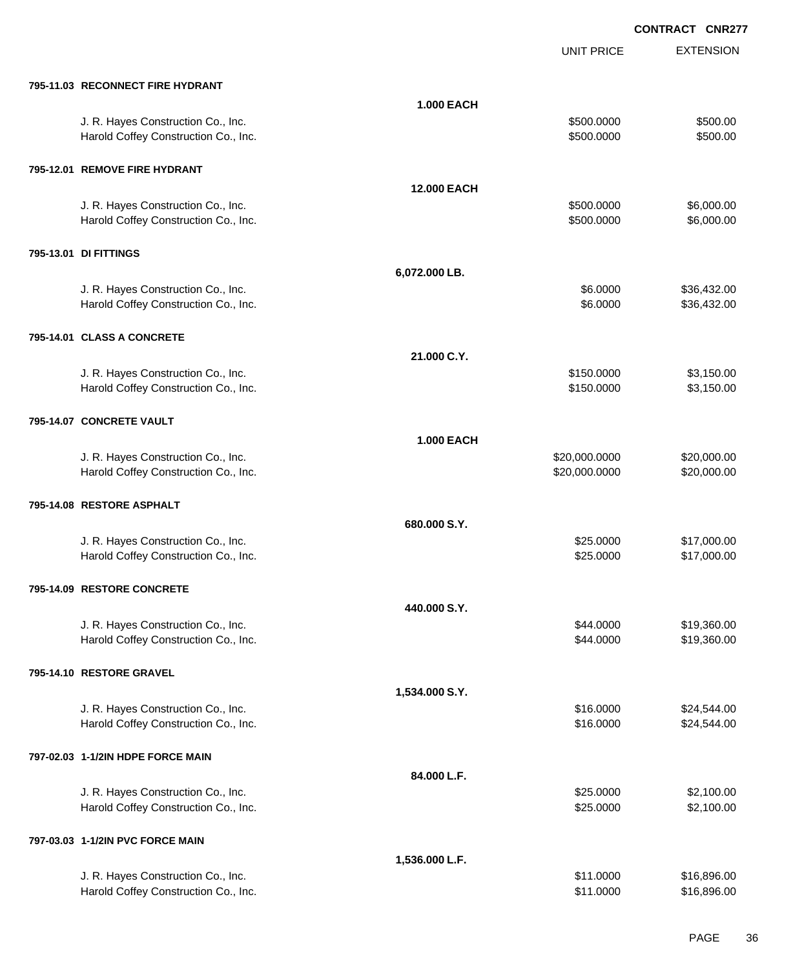UNIT PRICE

EXTENSION

| 795-11.03 RECONNECT FIRE HYDRANT |  |
|----------------------------------|--|
|                                  |  |

| 795-11.03 RECONNECT FIRE HYDRANT                                           |                   |                                |                            |
|----------------------------------------------------------------------------|-------------------|--------------------------------|----------------------------|
|                                                                            | 1.000 EACH        |                                |                            |
| J. R. Hayes Construction Co., Inc.<br>Harold Coffey Construction Co., Inc. |                   | \$500.0000<br>\$500.0000       | \$500.00<br>\$500.00       |
| 795-12.01 REMOVE FIRE HYDRANT                                              |                   |                                |                            |
|                                                                            | 12.000 EACH       |                                |                            |
| J. R. Hayes Construction Co., Inc.<br>Harold Coffey Construction Co., Inc. |                   | \$500.0000<br>\$500.0000       | \$6,000.00<br>\$6,000.00   |
| 795-13.01 DI FITTINGS                                                      |                   |                                |                            |
|                                                                            | 6,072.000 LB.     |                                |                            |
| J. R. Hayes Construction Co., Inc.<br>Harold Coffey Construction Co., Inc. |                   | \$6.0000<br>\$6.0000           | \$36,432.00<br>\$36,432.00 |
| 795-14.01 CLASS A CONCRETE                                                 |                   |                                |                            |
|                                                                            | 21.000 C.Y.       |                                |                            |
| J. R. Hayes Construction Co., Inc.<br>Harold Coffey Construction Co., Inc. |                   | \$150.0000<br>\$150.0000       | \$3,150.00<br>\$3,150.00   |
| 795-14.07 CONCRETE VAULT                                                   |                   |                                |                            |
|                                                                            | <b>1.000 EACH</b> |                                |                            |
| J. R. Hayes Construction Co., Inc.<br>Harold Coffey Construction Co., Inc. |                   | \$20,000.0000<br>\$20,000.0000 | \$20,000.00<br>\$20,000.00 |
| 795-14.08 RESTORE ASPHALT                                                  |                   |                                |                            |
|                                                                            | 680.000 S.Y.      |                                |                            |
| J. R. Hayes Construction Co., Inc.                                         |                   | \$25.0000                      | \$17,000.00                |
| Harold Coffey Construction Co., Inc.                                       |                   | \$25.0000                      | \$17,000.00                |
| 795-14.09 RESTORE CONCRETE                                                 |                   |                                |                            |
|                                                                            | 440.000 S.Y.      |                                |                            |
| J. R. Hayes Construction Co., Inc.                                         |                   | \$44.0000                      | \$19,360.00                |
| Harold Coffey Construction Co., Inc.                                       |                   | \$44.0000                      | \$19,360.00                |
| 795-14.10 RESTORE GRAVEL                                                   |                   |                                |                            |
|                                                                            | 1,534.000 S.Y.    |                                |                            |
| J. R. Hayes Construction Co., Inc.                                         |                   | \$16.0000                      | \$24,544.00                |
| Harold Coffey Construction Co., Inc.                                       |                   | \$16.0000                      | \$24,544.00                |
| 797-02.03 1-1/2IN HDPE FORCE MAIN                                          |                   |                                |                            |
|                                                                            | 84.000 L.F.       |                                |                            |
| J. R. Hayes Construction Co., Inc.                                         |                   | \$25.0000                      | \$2,100.00                 |
| Harold Coffey Construction Co., Inc.                                       |                   | \$25.0000                      | \$2,100.00                 |
|                                                                            |                   |                                |                            |
| 797-03.03 1-1/2IN PVC FORCE MAIN                                           |                   |                                |                            |
|                                                                            | 1,536.000 L.F.    |                                |                            |
| J. R. Hayes Construction Co., Inc.<br>Harold Coffey Construction Co., Inc. |                   | \$11.0000<br>\$11.0000         | \$16,896.00<br>\$16,896.00 |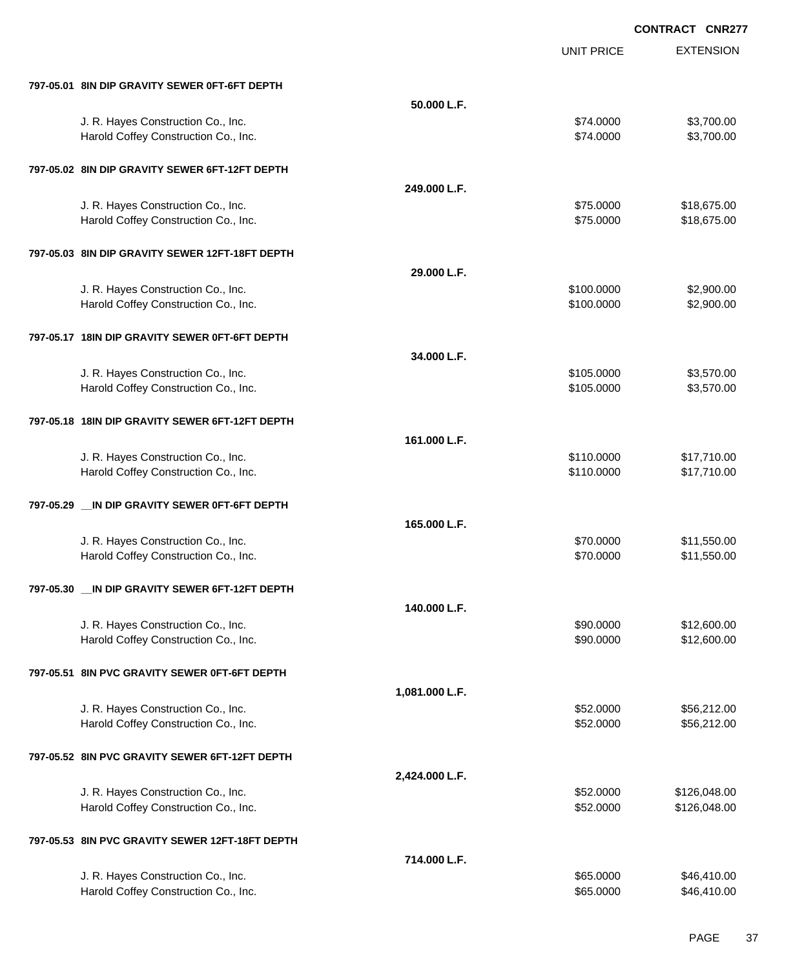EXTENSION **CONTRACT CNR277** UNIT PRICE **797-05.01 8IN DIP GRAVITY SEWER 0FT-6FT DEPTH 50.000 L.F.** J. R. Hayes Construction Co., Inc. \$7,700.00 \$3,700.00 \$3,700.00 Harold Coffey Construction Co., Inc. 6. The Construction Co., Inc. \$7,700.00 \$3,700.00 **797-05.02 8IN DIP GRAVITY SEWER 6FT-12FT DEPTH 249.000 L.F.** J. R. Hayes Construction Co., Inc. \$75.000 \$18,675.00 Harold Coffey Construction Co., Inc. 6. 2010 12:30 12:30 12:30 12:30 12:30 12:30 12:30 12:30 12:30 12:30 12:30 **797-05.03 8IN DIP GRAVITY SEWER 12FT-18FT DEPTH 29.000 L.F.** J. R. Hayes Construction Co., Inc. 6. 2008. The construction Co., Inc. 6. 2009. The construction Co., Inc. 6. 2009. The construction Co., Inc. 6. 2009. The construction Co., Inc. 6. 2009. The construction Co., Inc. 6. 2009 Harold Coffey Construction Co., Inc. 6. 2000.000 \$2,900.00 \$2,900.00 **797-05.17 18IN DIP GRAVITY SEWER 0FT-6FT DEPTH 34.000 L.F.** J. R. Hayes Construction Co., Inc. 6. 2012. The state of the state of the state of the state of the state of the state of the state of the state of the state of the state of the state of the state of the state of the state Harold Coffey Construction Co., Inc. 6. The Construction Co., Inc. 6. The Construction Co., Inc. 6. The Const **797-05.18 18IN DIP GRAVITY SEWER 6FT-12FT DEPTH 161.000 L.F.** J. R. Hayes Construction Co., Inc. 6. The Construction Co., Inc. 6. The Construction Co., Inc. 6. The Construction Co., Inc. 6. The Construction Co., Inc. 6. The Construction Co., Inc. 6. The Construction Co., Inc. 6. The Harold Coffey Construction Co., Inc. 6. 2010. The state of the state of the state of the state of the state of the state of the state of the state of the state of the state of the state of the state of the state of the sta **797-05.29 \_\_IN DIP GRAVITY SEWER 0FT-6FT DEPTH 165.000 L.F.** J. R. Hayes Construction Co., Inc. 6. The Construction Co., Inc. 6. The Construction Co., Inc. 6. The Construction Co., Inc. 6. The Construction Co., Inc. 6. The Construction Co., Inc. 6. The Construction Co., Inc. 6. The Harold Coffey Construction Co., Inc. 6. The Construction Co., Inc. \$71,550.00 **797-05.30 \_\_IN DIP GRAVITY SEWER 6FT-12FT DEPTH 140.000 L.F.** J. R. Hayes Construction Co., Inc. \$90.000 \$12,600.00 \$12,600.00 Harold Coffey Construction Co., Inc. 6. 2002. The state of the state of the state of the state of the state of the state of the state of the state of the state of the state of the state of the state of the state of the sta **797-05.51 8IN PVC GRAVITY SEWER 0FT-6FT DEPTH 1,081.000 L.F.** J. R. Hayes Construction Co., Inc. 6. The Construction Co., Inc. \$56,212.00 Harold Coffey Construction Co., Inc. 6. The Construction Co., Inc. 6. The Construction Co., Inc. 6. The Const **797-05.52 8IN PVC GRAVITY SEWER 6FT-12FT DEPTH 2,424.000 L.F.** J. R. Hayes Construction Co., Inc. \$52.000 \$126,048.00 Harold Coffey Construction Co., Inc. 6. 2010 12:00 12:00 12:00 12:00 12:00 12:00 12:00 12:00 12:00 12:00 12:00 **797-05.53 8IN PVC GRAVITY SEWER 12FT-18FT DEPTH 714.000 L.F.** J. R. Hayes Construction Co., Inc. 665.000 \$46,410.00

Harold Coffey Construction Co., Inc. 665.0000 \$46,410.00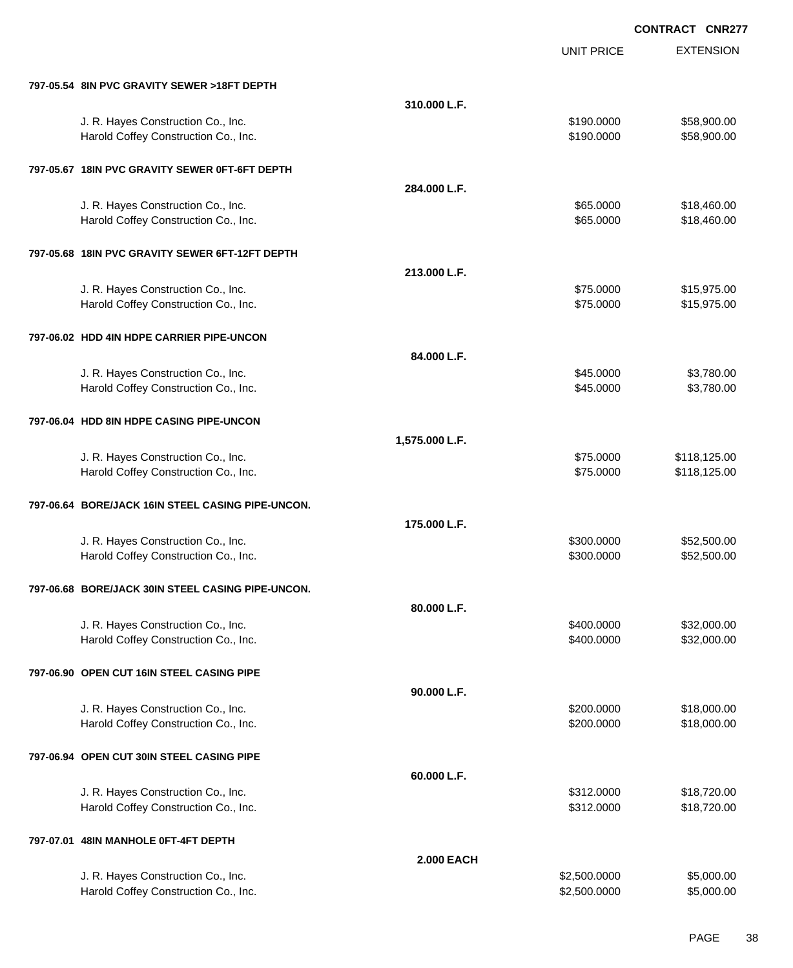|                                                   |                   | <b>UNIT PRICE</b> | <b>EXTENSION</b> |
|---------------------------------------------------|-------------------|-------------------|------------------|
| 797-05.54 8IN PVC GRAVITY SEWER >18FT DEPTH       |                   |                   |                  |
|                                                   | 310.000 L.F.      |                   |                  |
| J. R. Hayes Construction Co., Inc.                |                   | \$190.0000        | \$58,900.00      |
| Harold Coffey Construction Co., Inc.              |                   | \$190.0000        | \$58,900.00      |
| 797-05.67 18IN PVC GRAVITY SEWER 0FT-6FT DEPTH    |                   |                   |                  |
|                                                   | 284.000 L.F.      |                   |                  |
| J. R. Hayes Construction Co., Inc.                |                   | \$65.0000         | \$18,460.00      |
| Harold Coffey Construction Co., Inc.              |                   | \$65.0000         | \$18,460.00      |
| 797-05.68 18IN PVC GRAVITY SEWER 6FT-12FT DEPTH   |                   |                   |                  |
|                                                   | 213.000 L.F.      |                   |                  |
| J. R. Hayes Construction Co., Inc.                |                   | \$75.0000         | \$15,975.00      |
| Harold Coffey Construction Co., Inc.              |                   | \$75.0000         | \$15,975.00      |
| 797-06.02 HDD 4IN HDPE CARRIER PIPE-UNCON         |                   |                   |                  |
|                                                   | 84.000 L.F.       |                   |                  |
| J. R. Hayes Construction Co., Inc.                |                   | \$45.0000         | \$3,780.00       |
| Harold Coffey Construction Co., Inc.              |                   | \$45.0000         | \$3,780.00       |
| 797-06.04 HDD 8IN HDPE CASING PIPE-UNCON          |                   |                   |                  |
|                                                   | 1,575.000 L.F.    |                   |                  |
| J. R. Hayes Construction Co., Inc.                |                   | \$75.0000         | \$118,125.00     |
| Harold Coffey Construction Co., Inc.              |                   | \$75.0000         | \$118,125.00     |
| 797-06.64 BORE/JACK 16IN STEEL CASING PIPE-UNCON. |                   |                   |                  |
|                                                   | 175.000 L.F.      |                   |                  |
| J. R. Hayes Construction Co., Inc.                |                   | \$300.0000        | \$52,500.00      |
| Harold Coffey Construction Co., Inc.              |                   | \$300.0000        | \$52,500.00      |
| 797-06.68 BORE/JACK 30IN STEEL CASING PIPE-UNCON. |                   |                   |                  |
|                                                   | 80.000 L.F.       |                   |                  |
| J. R. Hayes Construction Co., Inc.                |                   | \$400.0000        | \$32,000.00      |
| Harold Coffey Construction Co., Inc.              |                   | \$400.0000        | \$32,000.00      |
| 797-06.90 OPEN CUT 16IN STEEL CASING PIPE         |                   |                   |                  |
|                                                   | 90.000 L.F.       |                   |                  |
| J. R. Hayes Construction Co., Inc.                |                   | \$200.0000        | \$18,000.00      |
| Harold Coffey Construction Co., Inc.              |                   | \$200.0000        | \$18,000.00      |
| 797-06.94 OPEN CUT 30IN STEEL CASING PIPE         |                   |                   |                  |
|                                                   | 60.000 L.F.       |                   |                  |
| J. R. Hayes Construction Co., Inc.                |                   | \$312.0000        | \$18,720.00      |
| Harold Coffey Construction Co., Inc.              |                   | \$312.0000        | \$18,720.00      |
| 797-07.01 48IN MANHOLE 0FT-4FT DEPTH              |                   |                   |                  |
|                                                   | <b>2.000 EACH</b> |                   |                  |
| J. R. Hayes Construction Co., Inc.                |                   | \$2,500.0000      | \$5,000.00       |
| Harold Coffey Construction Co., Inc.              |                   | \$2,500.0000      | \$5,000.00       |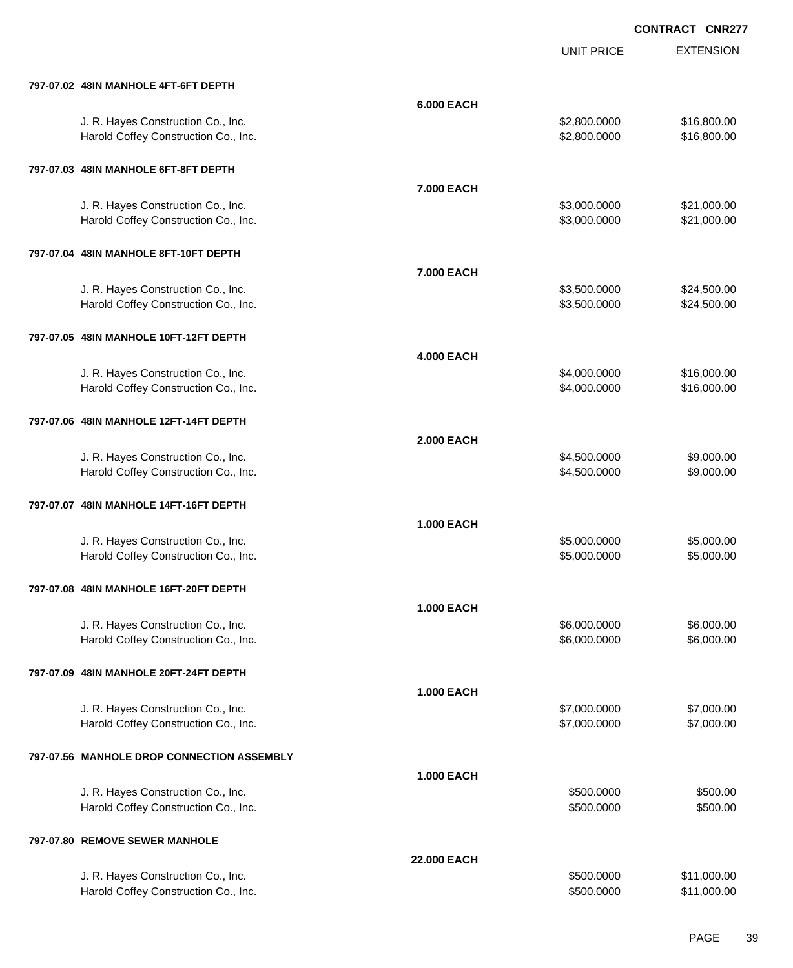|                                            |                   | <b>UNIT PRICE</b> | <b>EXTENSION</b> |
|--------------------------------------------|-------------------|-------------------|------------------|
| 797-07.02 48IN MANHOLE 4FT-6FT DEPTH       |                   |                   |                  |
|                                            | 6.000 EACH        |                   |                  |
| J. R. Hayes Construction Co., Inc.         |                   | \$2,800.0000      | \$16,800.00      |
| Harold Coffey Construction Co., Inc.       |                   | \$2,800.0000      | \$16,800.00      |
| 797-07.03 48IN MANHOLE 6FT-8FT DEPTH       |                   |                   |                  |
|                                            | 7.000 EACH        |                   |                  |
| J. R. Hayes Construction Co., Inc.         |                   | \$3,000.0000      | \$21,000.00      |
| Harold Coffey Construction Co., Inc.       |                   | \$3,000.0000      | \$21,000.00      |
| 797-07.04 48IN MANHOLE 8FT-10FT DEPTH      |                   |                   |                  |
|                                            | 7.000 EACH        |                   |                  |
| J. R. Hayes Construction Co., Inc.         |                   | \$3,500.0000      | \$24,500.00      |
| Harold Coffey Construction Co., Inc.       |                   | \$3,500.0000      | \$24,500.00      |
| 797-07.05 48IN MANHOLE 10FT-12FT DEPTH     |                   |                   |                  |
|                                            | <b>4.000 EACH</b> |                   |                  |
| J. R. Hayes Construction Co., Inc.         |                   | \$4,000.0000      | \$16,000.00      |
| Harold Coffey Construction Co., Inc.       |                   | \$4,000.0000      | \$16,000.00      |
| 797-07.06 48IN MANHOLE 12FT-14FT DEPTH     |                   |                   |                  |
|                                            | <b>2.000 EACH</b> |                   |                  |
| J. R. Hayes Construction Co., Inc.         |                   | \$4,500.0000      | \$9,000.00       |
| Harold Coffey Construction Co., Inc.       |                   | \$4,500.0000      | \$9,000.00       |
| 797-07.07 48IN MANHOLE 14FT-16FT DEPTH     |                   |                   |                  |
|                                            | <b>1.000 EACH</b> |                   |                  |
| J. R. Hayes Construction Co., Inc.         |                   | \$5,000.0000      | \$5,000.00       |
| Harold Coffey Construction Co., Inc.       |                   | \$5,000.0000      | \$5,000.00       |
| 797-07.08 48IN MANHOLE 16FT-20FT DEPTH     |                   |                   |                  |
|                                            | <b>1.000 EACH</b> |                   |                  |
| J. R. Hayes Construction Co., Inc.         |                   | \$6,000.0000      | \$6,000.00       |
| Harold Coffey Construction Co., Inc.       |                   | \$6,000.0000      | \$6,000.00       |
| 797-07.09 48IN MANHOLE 20FT-24FT DEPTH     |                   |                   |                  |
|                                            | <b>1.000 EACH</b> |                   |                  |
| J. R. Hayes Construction Co., Inc.         |                   | \$7,000.0000      | \$7,000.00       |
| Harold Coffey Construction Co., Inc.       |                   | \$7,000.0000      | \$7,000.00       |
| 797-07.56 MANHOLE DROP CONNECTION ASSEMBLY |                   |                   |                  |
|                                            | <b>1.000 EACH</b> |                   |                  |
| J. R. Hayes Construction Co., Inc.         |                   | \$500.0000        | \$500.00         |
| Harold Coffey Construction Co., Inc.       |                   | \$500.0000        | \$500.00         |
| 797-07.80 REMOVE SEWER MANHOLE             |                   |                   |                  |
|                                            | 22.000 EACH       |                   |                  |
| J. R. Hayes Construction Co., Inc.         |                   | \$500.0000        | \$11,000.00      |
| Harold Coffey Construction Co., Inc.       |                   | \$500.0000        | \$11,000.00      |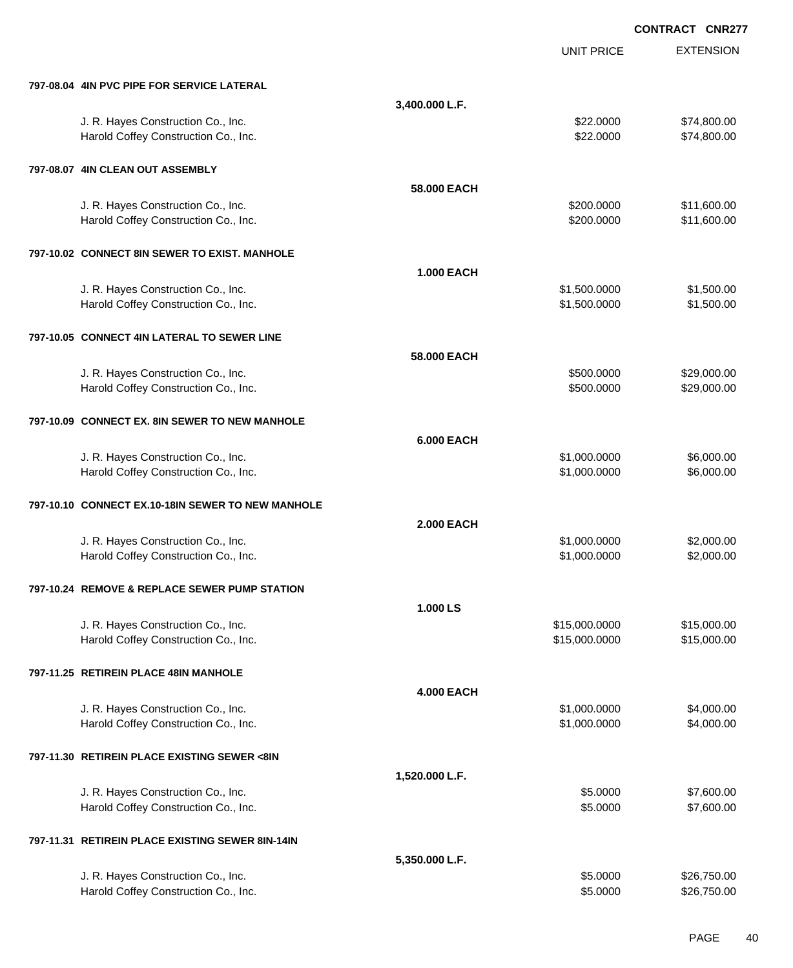EXTENSION **CONTRACT CNR277** UNIT PRICE **797-08.04 4IN PVC PIPE FOR SERVICE LATERAL 3,400.000 L.F.** J. R. Hayes Construction Co., Inc. 6. The Construction Co., Inc. \$22.0000 \$74,800.00 Harold Coffey Construction Co., Inc. 6. 2010. The state of the state of the state of the state of the state of the state of the state of the state of the state of the state of the state of the state of the state of the sta **797-08.07 4IN CLEAN OUT ASSEMBLY 58.000 EACH** J. R. Hayes Construction Co., Inc. \$11,600.00 \$11,600.00 \$11,600.00 Harold Coffey Construction Co., Inc. 6. 200.000 \$11,600.00 **797-10.02 CONNECT 8IN SEWER TO EXIST. MANHOLE 1.000 EACH** J. R. Hayes Construction Co., Inc. \$1,500.000 \$1,500.000 \$1,500.000 \$1,500.000 Harold Coffey Construction Co., Inc. 6. The Construction Co., Inc. \$1,500.000 \$1,500.000 \$1,500.00 **797-10.05 CONNECT 4IN LATERAL TO SEWER LINE 58.000 EACH** J. R. Hayes Construction Co., Inc. 6. 2000.000 \$29,000.00 \$29,000.00 Harold Coffey Construction Co., Inc. 6. The Construction Co., Inc. 6. The Construction Co., Inc. 6. The Const **797-10.09 CONNECT EX. 8IN SEWER TO NEW MANHOLE 6.000 EACH** J. R. Hayes Construction Co., Inc. 6. 2010 11:00:000 \$6,000.000 \$6,000.000 \$6,000.000 \$6,000.00 Harold Coffey Construction Co., Inc. 6. 2010 11:30 12:30 12:30 12:30 12:30 12:30 12:30 12:30 12:30 12:30 12:30 **797-10.10 CONNECT EX.10-18IN SEWER TO NEW MANHOLE 2.000 EACH** J. R. Hayes Construction Co., Inc. \$1,000.000 \$2,000.000 \$2,000.000 \$2,000.000 \$2,000.00 Harold Coffey Construction Co., Inc. 6. The Construction Co., Inc. 51,000.000 \$2,000.000 \$2,000.00 **797-10.24 REMOVE & REPLACE SEWER PUMP STATION 1.000 LS** J. R. Hayes Construction Co., Inc. 6. 2010 12:00:000 \$15,000.000 \$15,000.000 \$15,000.000 \$15,000.00 Harold Coffey Construction Co., Inc. 6. 2010 12:00:000 \$15,000.000 \$15,000.000 \$15,000.00 **797-11.25 RETIREIN PLACE 48IN MANHOLE 4.000 EACH** J. R. Hayes Construction Co., Inc. 6. 2010 12:00:000 \$4,000.000 \$4,000.000 \$4,000.000 \$4,000.00 Harold Coffey Construction Co., Inc. 6. The Construction Co., Inc. \$1,000.000 \$4,000.000 \$4,000.00 **797-11.30 RETIREIN PLACE EXISTING SEWER <8IN 1,520.000 L.F.** J. R. Hayes Construction Co., Inc. 6. The construction Co., Inc. 6. The construction Co., Inc. 6. The construction Co., Inc. 6. The construction Co., Inc. 6. The construction Co., Inc. 6. The construction Co., Inc. 6. The Harold Coffey Construction Co., Inc. 6. 2000 \$7,600.00 \$7,600.00 **797-11.31 RETIREIN PLACE EXISTING SEWER 8IN-14IN 5,350.000 L.F.** J. R. Hayes Construction Co., Inc. 6. The Construction Co., Inc. 6. The Construction Co., Inc. 626,750.00

Harold Coffey Construction Co., Inc. 6. The Construction Co., Inc. 6. The Construction Co., Inc. 6. The Const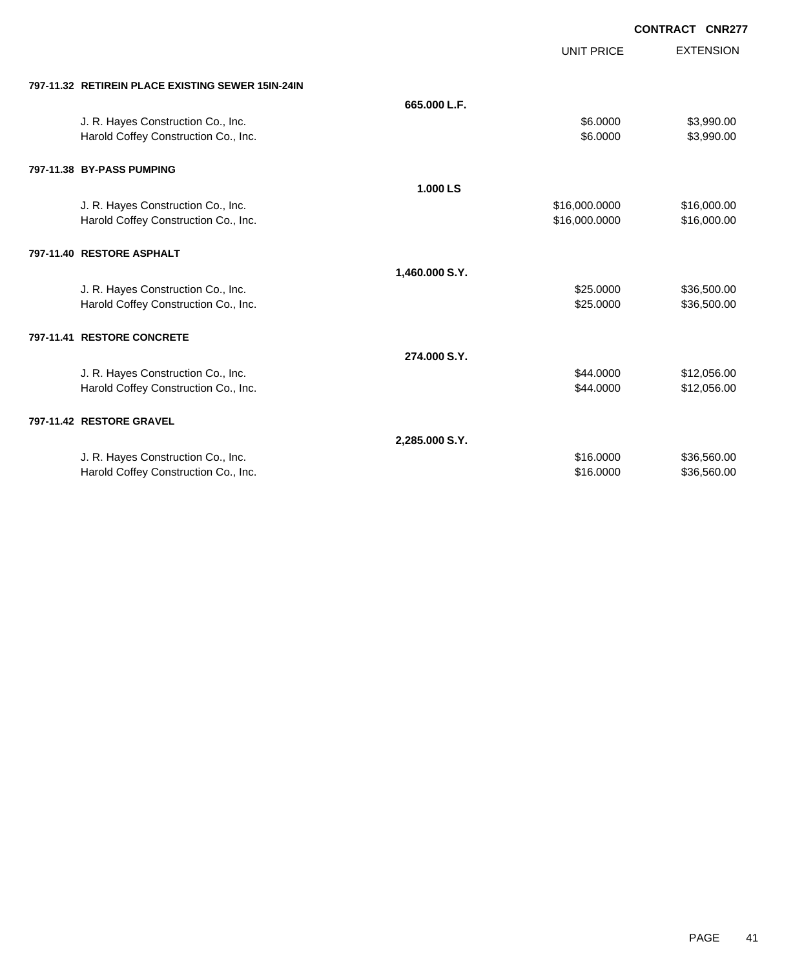UNIT PRICE EXTENSION

|  | 797-11.32 RETIREIN PLACE EXISTING SEWER 15IN-24IN |
|--|---------------------------------------------------|
|  |                                                   |

| 797-11.32   RETIREIN PLACE EXISTING SEWER 15IN-24IN |                |               |             |
|-----------------------------------------------------|----------------|---------------|-------------|
|                                                     | 665,000 L.F.   |               |             |
| J. R. Hayes Construction Co., Inc.                  |                | \$6.0000      | \$3,990.00  |
| Harold Coffey Construction Co., Inc.                |                | \$6.0000      | \$3,990.00  |
| 797-11.38 BY-PASS PUMPING                           |                |               |             |
|                                                     | 1.000 LS       |               |             |
| J. R. Hayes Construction Co., Inc.                  |                | \$16,000.0000 | \$16,000.00 |
| Harold Coffey Construction Co., Inc.                |                | \$16,000.0000 | \$16,000.00 |
| 797-11.40 RESTORE ASPHALT                           |                |               |             |
|                                                     | 1,460.000 S.Y. |               |             |
| J. R. Hayes Construction Co., Inc.                  |                | \$25.0000     | \$36,500.00 |
| Harold Coffey Construction Co., Inc.                |                | \$25.0000     | \$36,500.00 |
| 797-11.41 RESTORE CONCRETE                          |                |               |             |
|                                                     | 274.000 S.Y.   |               |             |
| J. R. Hayes Construction Co., Inc.                  |                | \$44.0000     | \$12,056.00 |
| Harold Coffey Construction Co., Inc.                |                | \$44.0000     | \$12,056.00 |
| 797-11.42 RESTORE GRAVEL                            |                |               |             |
|                                                     | 2,285.000 S.Y. |               |             |
| J. R. Hayes Construction Co., Inc.                  |                | \$16,0000     | \$36,560.00 |
| Harold Coffey Construction Co., Inc.                |                | \$16.0000     | \$36,560.00 |
|                                                     |                |               |             |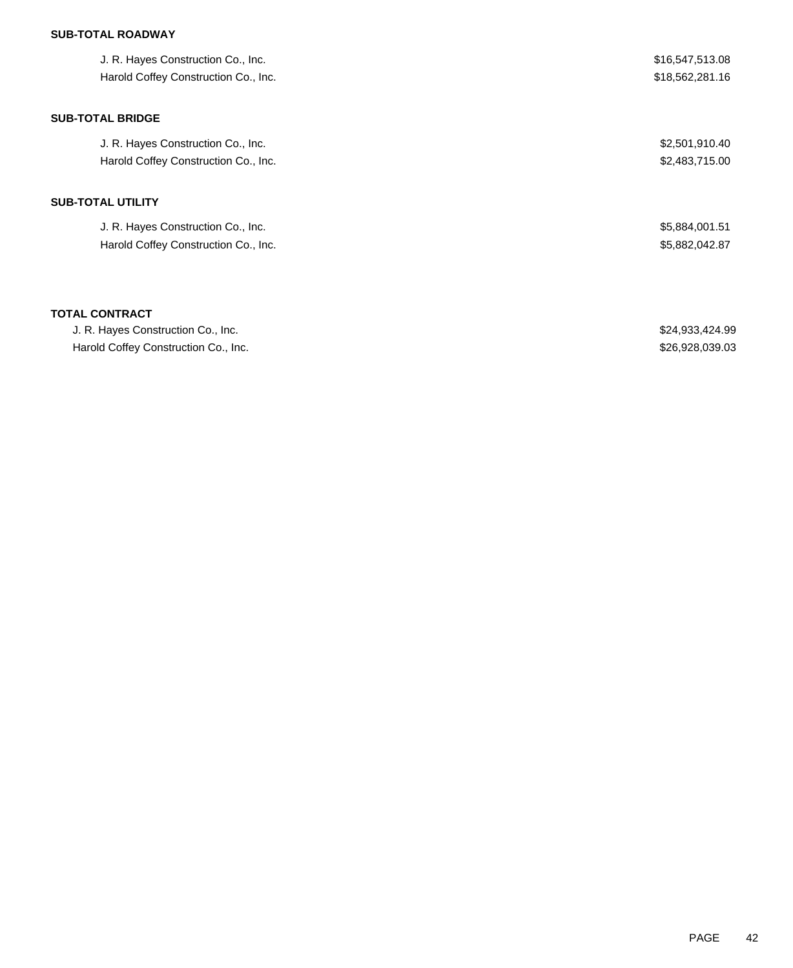## **SUB-TOTAL ROADWAY**

| J. R. Hayes Construction Co., Inc.<br>Harold Coffey Construction Co., Inc. | \$16,547,513.08<br>\$18,562,281.16 |
|----------------------------------------------------------------------------|------------------------------------|
| <b>SUB-TOTAL BRIDGE</b>                                                    |                                    |
| J. R. Hayes Construction Co., Inc.                                         | \$2,501,910.40                     |
| Harold Coffey Construction Co., Inc.                                       | \$2,483,715.00                     |
| SUB-TOTAL UTILITY                                                          |                                    |
| J. R. Hayes Construction Co., Inc.                                         | \$5,884,001.51                     |
| Harold Coffey Construction Co., Inc.                                       | \$5,882,042.87                     |
|                                                                            |                                    |
|                                                                            |                                    |

### **TOTAL CONTRACT**

| J. R. Hayes Construction Co., Inc.   | \$24,933,424.99 |
|--------------------------------------|-----------------|
| Harold Coffey Construction Co., Inc. | \$26,928,039.03 |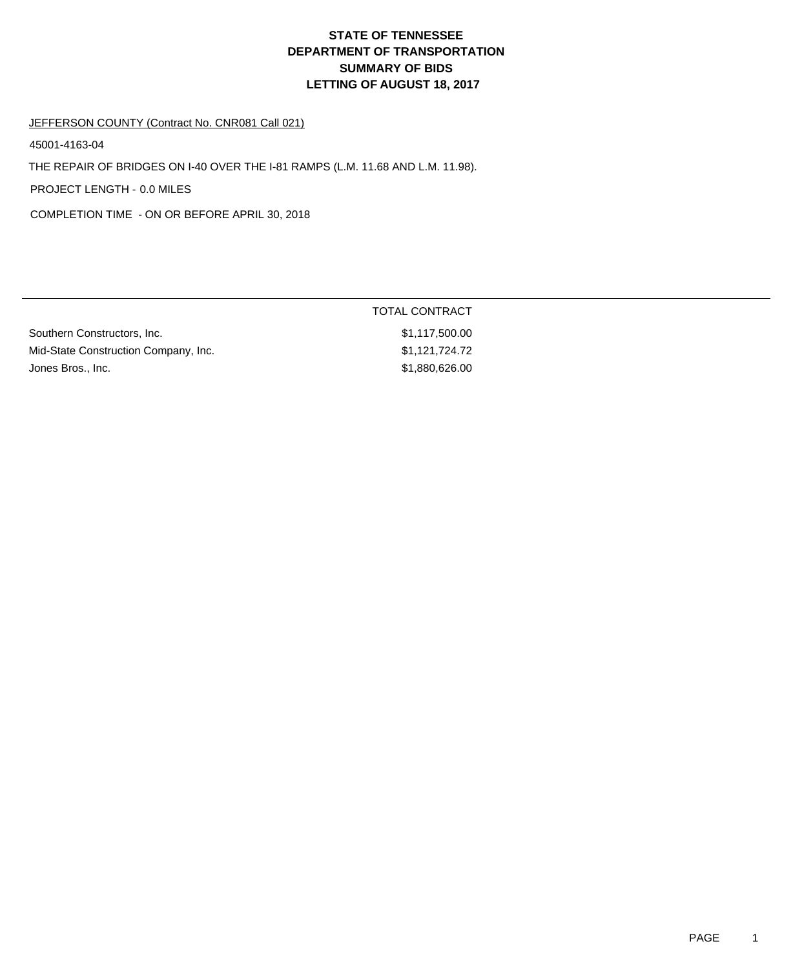# **DEPARTMENT OF TRANSPORTATION SUMMARY OF BIDS LETTING OF AUGUST 18, 2017 STATE OF TENNESSEE**

#### JEFFERSON COUNTY (Contract No. CNR081 Call 021)

45001-4163-04

THE REPAIR OF BRIDGES ON I-40 OVER THE I-81 RAMPS (L.M. 11.68 AND L.M. 11.98).

PROJECT LENGTH - 0.0 MILES

COMPLETION TIME - ON OR BEFORE APRIL 30, 2018

|                                      | TOTAL CONTRACT |
|--------------------------------------|----------------|
| Southern Constructors, Inc.          | \$1,117,500.00 |
| Mid-State Construction Company, Inc. | \$1,121,724.72 |
| Jones Bros., Inc.                    | \$1,880,626.00 |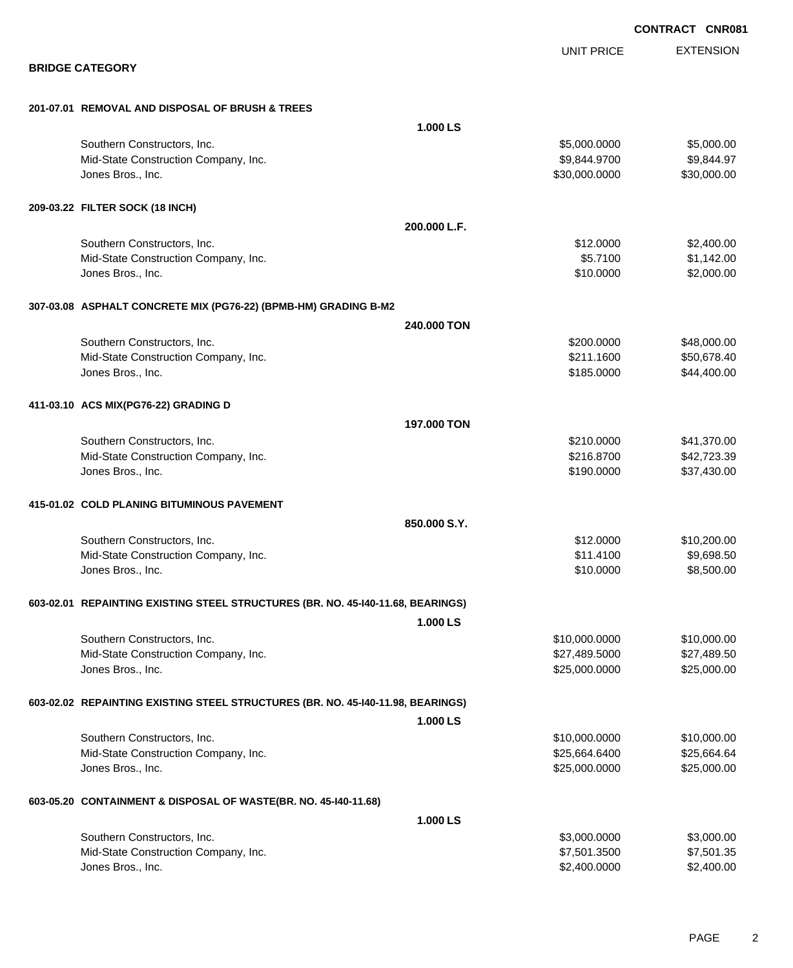|                                                                                 |              |                   | <b>CONTRACT CNR081</b> |                  |
|---------------------------------------------------------------------------------|--------------|-------------------|------------------------|------------------|
|                                                                                 |              | <b>UNIT PRICE</b> |                        | <b>EXTENSION</b> |
| <b>BRIDGE CATEGORY</b>                                                          |              |                   |                        |                  |
| 201-07.01 REMOVAL AND DISPOSAL OF BRUSH & TREES                                 |              |                   |                        |                  |
|                                                                                 | 1.000 LS     |                   |                        |                  |
| Southern Constructors, Inc.                                                     |              | \$5,000.0000      |                        | \$5,000.00       |
| Mid-State Construction Company, Inc.                                            |              | \$9,844.9700      |                        | \$9,844.97       |
| Jones Bros., Inc.                                                               |              | \$30,000.0000     |                        | \$30,000.00      |
| 209-03.22 FILTER SOCK (18 INCH)                                                 |              |                   |                        |                  |
|                                                                                 | 200.000 L.F. |                   |                        |                  |
| Southern Constructors, Inc.                                                     |              | \$12.0000         |                        | \$2,400.00       |
| Mid-State Construction Company, Inc.                                            |              | \$5.7100          |                        | \$1,142.00       |
| Jones Bros., Inc.                                                               |              | \$10.0000         |                        | \$2,000.00       |
| 307-03.08 ASPHALT CONCRETE MIX (PG76-22) (BPMB-HM) GRADING B-M2                 |              |                   |                        |                  |
|                                                                                 | 240.000 TON  |                   |                        |                  |
| Southern Constructors, Inc.                                                     |              | \$200.0000        |                        | \$48,000.00      |
| Mid-State Construction Company, Inc.                                            |              | \$211.1600        |                        | \$50,678.40      |
| Jones Bros., Inc.                                                               |              | \$185.0000        |                        | \$44,400.00      |
| 411-03.10 ACS MIX(PG76-22) GRADING D                                            |              |                   |                        |                  |
|                                                                                 | 197.000 TON  |                   |                        |                  |
| Southern Constructors, Inc.                                                     |              | \$210.0000        |                        | \$41,370.00      |
| Mid-State Construction Company, Inc.                                            |              | \$216.8700        |                        | \$42,723.39      |
| Jones Bros., Inc.                                                               |              | \$190.0000        |                        | \$37,430.00      |
| 415-01.02 COLD PLANING BITUMINOUS PAVEMENT                                      |              |                   |                        |                  |
|                                                                                 | 850.000 S.Y. |                   |                        |                  |
| Southern Constructors, Inc.                                                     |              | \$12.0000         |                        | \$10,200.00      |
| Mid-State Construction Company, Inc.                                            |              | \$11.4100         |                        | \$9,698.50       |
| Jones Bros., Inc.                                                               |              | \$10.0000         |                        | \$8,500.00       |
| 603-02.01 REPAINTING EXISTING STEEL STRUCTURES (BR. NO. 45-140-11.68, BEARINGS) |              |                   |                        |                  |
|                                                                                 | 1.000 LS     |                   |                        |                  |
| Southern Constructors, Inc.                                                     |              | \$10,000.0000     |                        | \$10,000.00      |
| Mid-State Construction Company, Inc.                                            |              | \$27,489.5000     |                        | \$27,489.50      |
| Jones Bros., Inc.                                                               |              | \$25,000.0000     |                        | \$25,000.00      |
| 603-02.02 REPAINTING EXISTING STEEL STRUCTURES (BR. NO. 45-140-11.98, BEARINGS) |              |                   |                        |                  |
|                                                                                 | 1.000 LS     |                   |                        |                  |
| Southern Constructors, Inc.                                                     |              | \$10,000.0000     |                        | \$10,000.00      |
| Mid-State Construction Company, Inc.                                            |              | \$25,664.6400     |                        | \$25,664.64      |
| Jones Bros., Inc.                                                               |              | \$25,000.0000     |                        | \$25,000.00      |
| 603-05.20 CONTAINMENT & DISPOSAL OF WASTE(BR. NO. 45-140-11.68)                 |              |                   |                        |                  |
|                                                                                 | 1.000 LS     |                   |                        |                  |
| Southern Constructors, Inc.                                                     |              | \$3,000.0000      |                        | \$3,000.00       |
| Mid-State Construction Company, Inc.                                            |              | \$7,501.3500      |                        | \$7,501.35       |

Jones Bros., Inc. \$2,400.0000 \$2,400.00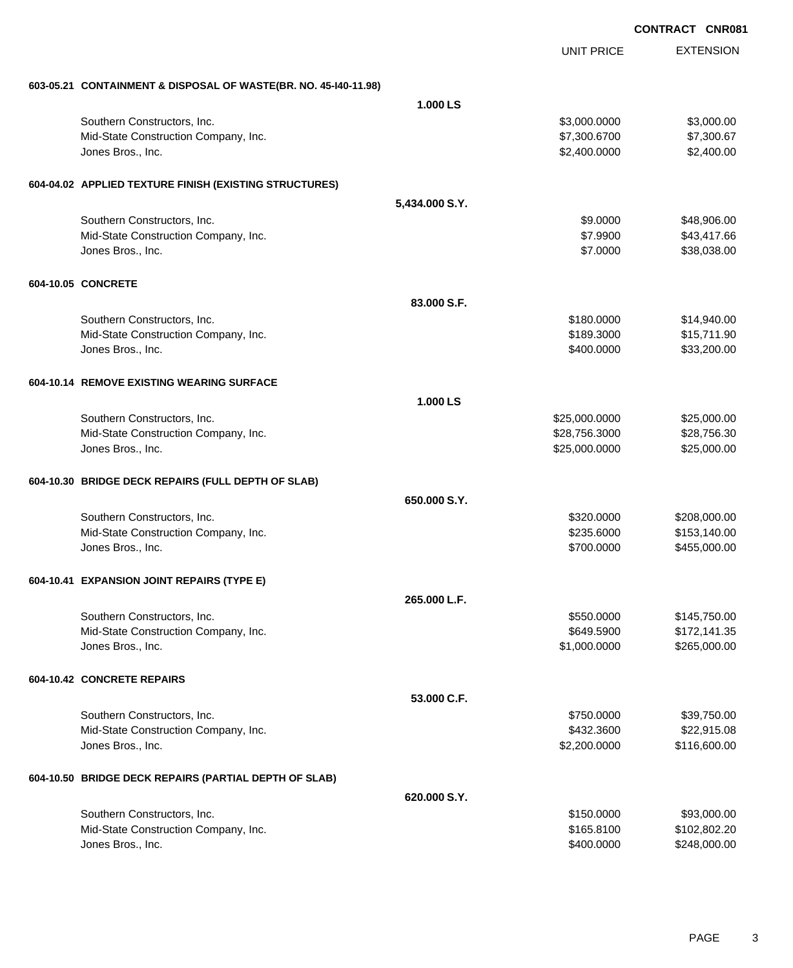|                                                                 |                |                   | <b>CONTRACT CNR081</b> |                  |
|-----------------------------------------------------------------|----------------|-------------------|------------------------|------------------|
|                                                                 |                | <b>UNIT PRICE</b> |                        | <b>EXTENSION</b> |
| 603-05.21 CONTAINMENT & DISPOSAL OF WASTE(BR. NO. 45-140-11.98) |                |                   |                        |                  |
|                                                                 | 1.000 LS       |                   |                        |                  |
| Southern Constructors, Inc.                                     |                | \$3,000.0000      |                        | \$3,000.00       |
| Mid-State Construction Company, Inc.                            |                | \$7,300.6700      |                        | \$7,300.67       |
| Jones Bros., Inc.                                               |                | \$2,400.0000      |                        | \$2,400.00       |
| 604-04.02 APPLIED TEXTURE FINISH (EXISTING STRUCTURES)          |                |                   |                        |                  |
|                                                                 | 5,434.000 S.Y. |                   |                        |                  |
| Southern Constructors, Inc.                                     |                | \$9.0000          |                        | \$48,906.00      |
| Mid-State Construction Company, Inc.                            |                | \$7.9900          |                        | \$43,417.66      |
| Jones Bros., Inc.                                               |                | \$7.0000          |                        | \$38,038.00      |
| 604-10.05 CONCRETE                                              |                |                   |                        |                  |
|                                                                 | 83,000 S.F.    |                   |                        |                  |
| Southern Constructors, Inc.                                     |                | \$180.0000        |                        | \$14,940.00      |
| Mid-State Construction Company, Inc.                            |                | \$189.3000        |                        | \$15,711.90      |
| Jones Bros., Inc.                                               |                | \$400.0000        |                        | \$33,200.00      |
| 604-10.14 REMOVE EXISTING WEARING SURFACE                       |                |                   |                        |                  |
|                                                                 | 1.000 LS       |                   |                        |                  |
| Southern Constructors, Inc.                                     |                | \$25,000.0000     |                        | \$25,000.00      |
| Mid-State Construction Company, Inc.                            |                | \$28,756.3000     |                        | \$28,756.30      |
| Jones Bros., Inc.                                               |                | \$25,000.0000     |                        | \$25,000.00      |
| 604-10.30 BRIDGE DECK REPAIRS (FULL DEPTH OF SLAB)              |                |                   |                        |                  |
|                                                                 | 650,000 S.Y.   |                   |                        |                  |
| Southern Constructors, Inc.                                     |                | \$320.0000        |                        | \$208,000.00     |
| Mid-State Construction Company, Inc.                            |                | \$235.6000        |                        | \$153,140.00     |
| Jones Bros., Inc.                                               |                | \$700.0000        |                        | \$455,000.00     |
| 604-10.41 EXPANSION JOINT REPAIRS (TYPE E)                      |                |                   |                        |                  |
|                                                                 | 265.000 L.F.   |                   |                        |                  |
| Southern Constructors, Inc.                                     |                | \$550.0000        |                        | \$145,750.00     |
| Mid-State Construction Company, Inc.                            |                | \$649.5900        |                        | \$172,141.35     |
| Jones Bros., Inc.                                               |                | \$1,000.0000      |                        | \$265,000.00     |
| 604-10.42 CONCRETE REPAIRS                                      |                |                   |                        |                  |
|                                                                 | 53.000 C.F.    |                   |                        |                  |
| Southern Constructors, Inc.                                     |                | \$750.0000        |                        | \$39,750.00      |
| Mid-State Construction Company, Inc.                            |                | \$432.3600        |                        | \$22,915.08      |
| Jones Bros., Inc.                                               |                | \$2,200.0000      |                        | \$116,600.00     |
| 604-10.50 BRIDGE DECK REPAIRS (PARTIAL DEPTH OF SLAB)           |                |                   |                        |                  |
|                                                                 | 620.000 S.Y.   |                   |                        |                  |
| Southern Constructors, Inc.                                     |                | \$150.0000        |                        | \$93,000.00      |
| Mid-State Construction Company, Inc.                            |                | \$165.8100        |                        | \$102,802.20     |
| Jones Bros., Inc.                                               |                | \$400.0000        |                        | \$248,000.00     |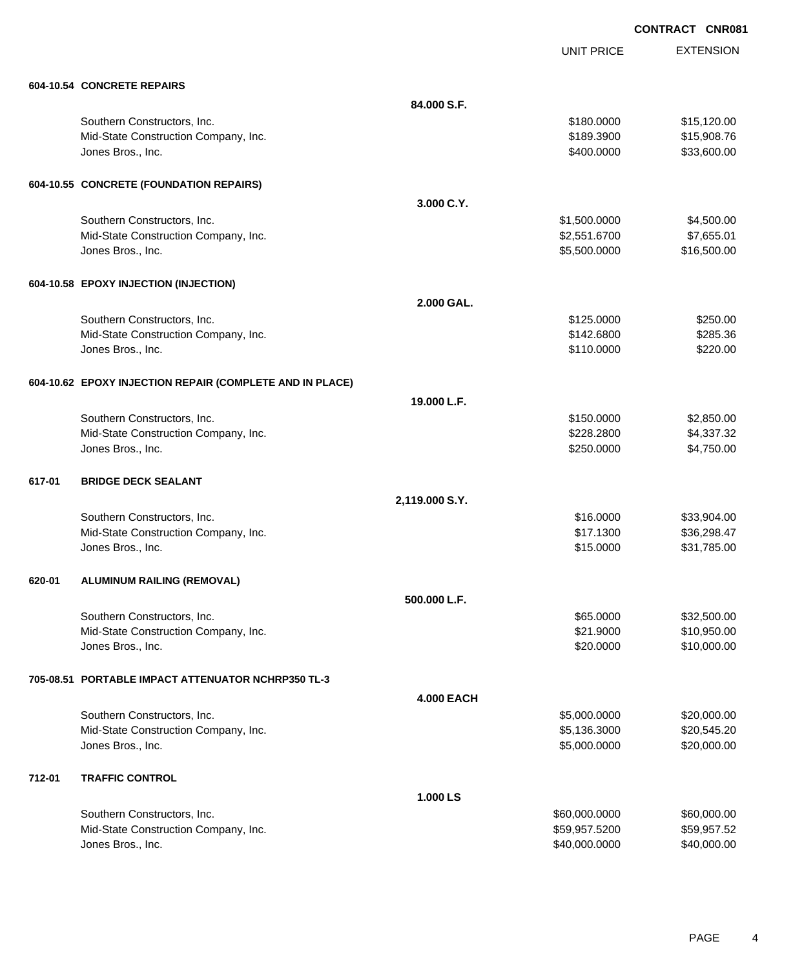UNIT PRICE

EXTENSION

| 604-10.54 CONCRETE REPAIRS           |                           |  |
|--------------------------------------|---------------------------|--|
|                                      | 84.000 S.F.               |  |
| Southern Constructors, Inc.          | \$180,0000<br>\$15,120.00 |  |
| Mid-State Construction Company, Inc. | \$15,908.76<br>\$189,3900 |  |
| Jones Bros., Inc.                    | \$400,0000<br>\$33,600.00 |  |

## **604-10.55 CONCRETE (FOUNDATION REPAIRS)**

|        | 004-10.33 CONCRETE (FOUNDATION REPAIRS)                  |                   |               |             |
|--------|----------------------------------------------------------|-------------------|---------------|-------------|
|        |                                                          | 3.000 C.Y.        |               |             |
|        | Southern Constructors, Inc.                              |                   | \$1,500.0000  | \$4,500.00  |
|        | Mid-State Construction Company, Inc.                     |                   | \$2,551.6700  | \$7,655.01  |
|        | Jones Bros., Inc.                                        |                   | \$5,500.0000  | \$16,500.00 |
|        | 604-10.58 EPOXY INJECTION (INJECTION)                    |                   |               |             |
|        |                                                          | 2.000 GAL.        |               |             |
|        | Southern Constructors, Inc.                              |                   | \$125.0000    | \$250.00    |
|        | Mid-State Construction Company, Inc.                     |                   | \$142.6800    | \$285.36    |
|        | Jones Bros., Inc.                                        |                   | \$110.0000    | \$220.00    |
|        | 604-10.62 EPOXY INJECTION REPAIR (COMPLETE AND IN PLACE) |                   |               |             |
|        |                                                          | 19.000 L.F.       |               |             |
|        | Southern Constructors, Inc.                              |                   | \$150.0000    | \$2,850.00  |
|        | Mid-State Construction Company, Inc.                     |                   | \$228.2800    | \$4,337.32  |
|        | Jones Bros., Inc.                                        |                   | \$250.0000    | \$4,750.00  |
| 617-01 | <b>BRIDGE DECK SEALANT</b>                               |                   |               |             |
|        |                                                          | 2,119.000 S.Y.    |               |             |
|        | Southern Constructors, Inc.                              |                   | \$16.0000     | \$33,904.00 |
|        | Mid-State Construction Company, Inc.                     |                   | \$17.1300     | \$36,298.47 |
|        | Jones Bros., Inc.                                        |                   | \$15.0000     | \$31,785.00 |
| 620-01 | <b>ALUMINUM RAILING (REMOVAL)</b>                        |                   |               |             |
|        |                                                          | 500.000 L.F.      |               |             |
|        | Southern Constructors, Inc.                              |                   | \$65.0000     | \$32,500.00 |
|        | Mid-State Construction Company, Inc.                     |                   | \$21.9000     | \$10,950.00 |
|        | Jones Bros., Inc.                                        |                   | \$20.0000     | \$10,000.00 |
|        | 705-08.51 PORTABLE IMPACT ATTENUATOR NCHRP350 TL-3       |                   |               |             |
|        |                                                          | <b>4.000 EACH</b> |               |             |
|        | Southern Constructors, Inc.                              |                   | \$5,000.0000  | \$20,000.00 |
|        | Mid-State Construction Company, Inc.                     |                   | \$5,136.3000  | \$20,545.20 |
|        | Jones Bros., Inc.                                        |                   | \$5,000.0000  | \$20,000.00 |
| 712-01 | <b>TRAFFIC CONTROL</b>                                   |                   |               |             |
|        |                                                          | 1.000 LS          |               |             |
|        | Southern Constructors, Inc.                              |                   | \$60,000.0000 | \$60,000.00 |

Mid-State Construction Company, Inc. 6. The State Construction Company, Inc. 6. The State State of the State State State State State State State State State State State State State State State State State State State State Jones Bros., Inc. \$40,000.0000 \$40,000.00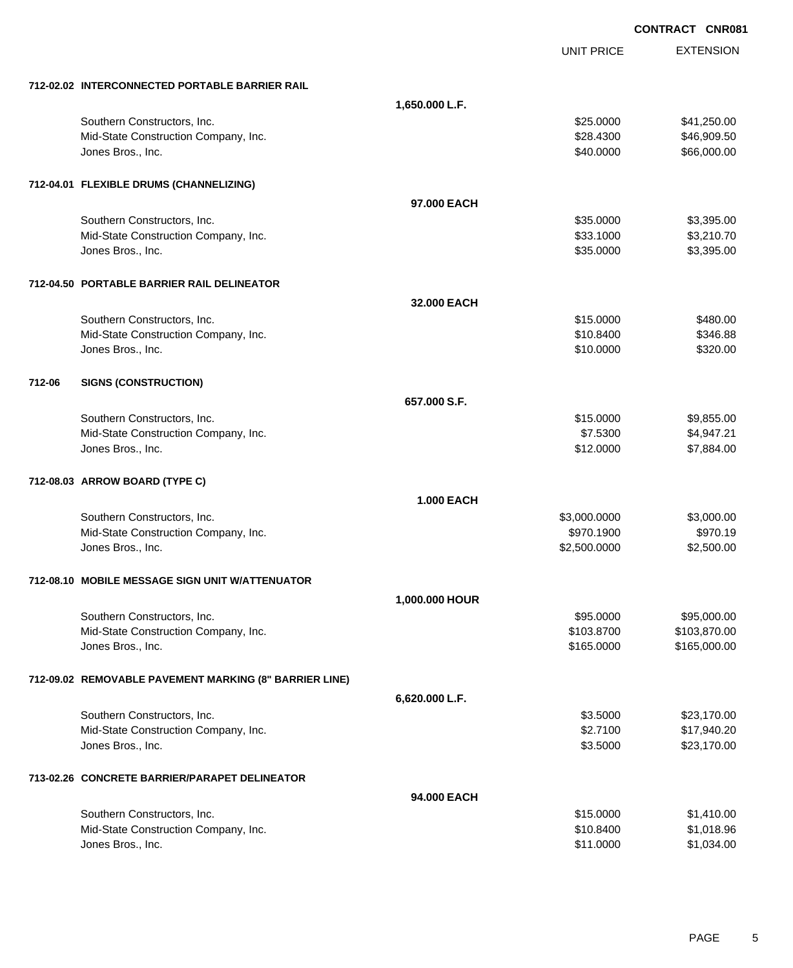|        |                                                        |                   |                   | <b>CONTRACT CNR081</b> |
|--------|--------------------------------------------------------|-------------------|-------------------|------------------------|
|        |                                                        |                   | <b>UNIT PRICE</b> | <b>EXTENSION</b>       |
|        | 712-02.02 INTERCONNECTED PORTABLE BARRIER RAIL         |                   |                   |                        |
|        |                                                        | 1,650.000 L.F.    |                   |                        |
|        | Southern Constructors, Inc.                            |                   | \$25.0000         | \$41,250.00            |
|        | Mid-State Construction Company, Inc.                   |                   | \$28.4300         | \$46,909.50            |
|        | Jones Bros., Inc.                                      |                   | \$40.0000         | \$66,000.00            |
|        | 712-04.01 FLEXIBLE DRUMS (CHANNELIZING)                |                   |                   |                        |
|        |                                                        | 97,000 EACH       |                   |                        |
|        | Southern Constructors, Inc.                            |                   | \$35.0000         | \$3,395.00             |
|        | Mid-State Construction Company, Inc.                   |                   | \$33.1000         | \$3,210.70             |
|        | Jones Bros., Inc.                                      |                   | \$35.0000         | \$3,395.00             |
|        | 712-04.50 PORTABLE BARRIER RAIL DELINEATOR             |                   |                   |                        |
|        |                                                        | 32,000 EACH       |                   |                        |
|        | Southern Constructors, Inc.                            |                   | \$15.0000         | \$480.00               |
|        | Mid-State Construction Company, Inc.                   |                   | \$10.8400         | \$346.88               |
|        | Jones Bros., Inc.                                      |                   | \$10.0000         | \$320.00               |
| 712-06 | <b>SIGNS (CONSTRUCTION)</b>                            |                   |                   |                        |
|        |                                                        | 657.000 S.F.      |                   |                        |
|        | Southern Constructors, Inc.                            |                   | \$15.0000         | \$9,855.00             |
|        | Mid-State Construction Company, Inc.                   |                   | \$7.5300          | \$4,947.21             |
|        | Jones Bros., Inc.                                      |                   | \$12.0000         | \$7,884.00             |
|        | 712-08.03 ARROW BOARD (TYPE C)                         |                   |                   |                        |
|        |                                                        | <b>1.000 EACH</b> |                   |                        |
|        | Southern Constructors, Inc.                            |                   | \$3,000.0000      | \$3,000.00             |
|        | Mid-State Construction Company, Inc.                   |                   | \$970.1900        | \$970.19               |
|        | Jones Bros., Inc.                                      |                   | \$2,500.0000      | \$2,500.00             |
|        | 712-08.10 MOBILE MESSAGE SIGN UNIT W/ATTENUATOR        |                   |                   |                        |
|        |                                                        | 1,000.000 HOUR    |                   |                        |
|        | Southern Constructors, Inc.                            |                   | \$95.0000         | \$95,000.00            |
|        | Mid-State Construction Company, Inc.                   |                   | \$103.8700        | \$103,870.00           |
|        | Jones Bros., Inc.                                      |                   | \$165.0000        | \$165,000.00           |
|        | 712-09.02 REMOVABLE PAVEMENT MARKING (8" BARRIER LINE) |                   |                   |                        |
|        |                                                        | 6,620.000 L.F.    |                   |                        |
|        | Southern Constructors, Inc.                            |                   | \$3.5000          | \$23,170.00            |
|        | Mid-State Construction Company, Inc.                   |                   | \$2.7100          | \$17,940.20            |
|        | Jones Bros., Inc.                                      |                   | \$3.5000          | \$23,170.00            |
|        | 713-02.26 CONCRETE BARRIER/PARAPET DELINEATOR          |                   |                   |                        |
|        |                                                        | 94.000 EACH       |                   |                        |
|        | Southern Constructors, Inc.                            |                   | \$15.0000         | \$1,410.00             |
|        | Mid-State Construction Company, Inc.                   |                   | \$10.8400         | \$1,018.96             |
|        | Jones Bros., Inc.                                      |                   | \$11.0000         | \$1,034.00             |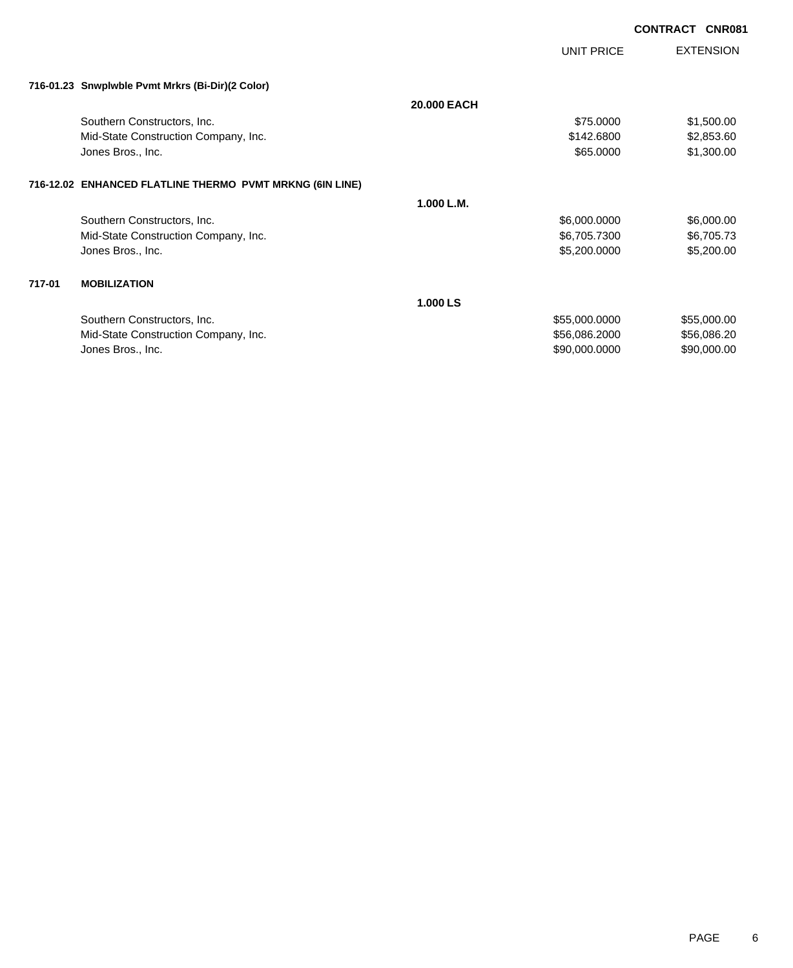|        |                                                          |                    | UNIT PRICE    | <b>EXTENSION</b> |
|--------|----------------------------------------------------------|--------------------|---------------|------------------|
|        | 716-01.23 Snwplwble Pvmt Mrkrs (Bi-Dir)(2 Color)         |                    |               |                  |
|        |                                                          | <b>20,000 EACH</b> |               |                  |
|        | Southern Constructors, Inc.                              |                    | \$75.0000     | \$1,500.00       |
|        | Mid-State Construction Company, Inc.                     |                    | \$142.6800    | \$2,853.60       |
|        | Jones Bros., Inc.                                        |                    | \$65.0000     | \$1,300.00       |
|        | 716-12.02 ENHANCED FLATLINE THERMO PVMT MRKNG (6IN LINE) |                    |               |                  |
|        |                                                          | 1.000 L.M.         |               |                  |
|        | Southern Constructors, Inc.                              |                    | \$6,000.0000  | \$6,000.00       |
|        | Mid-State Construction Company, Inc.                     |                    | \$6,705.7300  | \$6,705.73       |
|        | Jones Bros., Inc.                                        |                    | \$5,200.0000  | \$5,200.00       |
| 717-01 | <b>MOBILIZATION</b>                                      |                    |               |                  |
|        |                                                          | 1.000 LS           |               |                  |
|        | Southern Constructors, Inc.                              |                    | \$55,000.0000 | \$55,000.00      |
|        | Mid-State Construction Company, Inc.                     |                    | \$56,086.2000 | \$56,086.20      |
|        | Jones Bros., Inc.                                        |                    | \$90,000.0000 | \$90,000.00      |
|        |                                                          |                    |               |                  |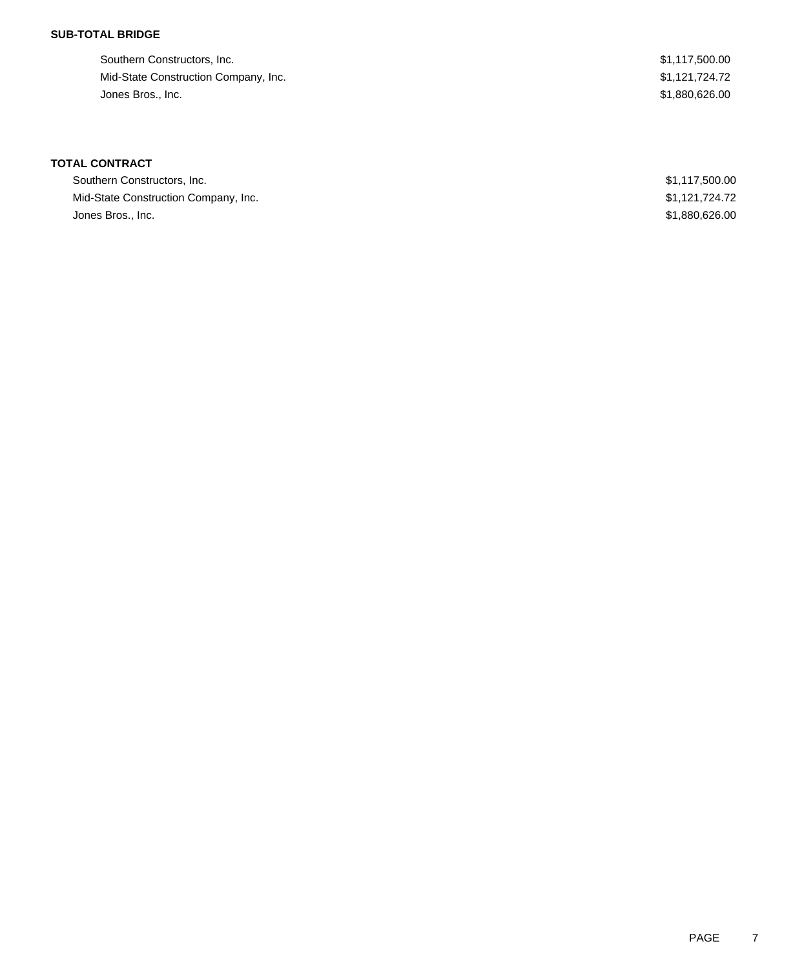### **SUB-TOTAL BRIDGE**

| Southern Constructors, Inc.          | \$1,117,500.00 |
|--------------------------------------|----------------|
| Mid-State Construction Company, Inc. | \$1,121,724.72 |
| Jones Bros., Inc.                    | \$1,880,626.00 |

# **TOTAL CONTRACT**

| Southern Constructors, Inc.          | \$1,117,500.00 |
|--------------------------------------|----------------|
| Mid-State Construction Company, Inc. | \$1.121.724.72 |
| Jones Bros., Inc.                    | \$1,880,626,00 |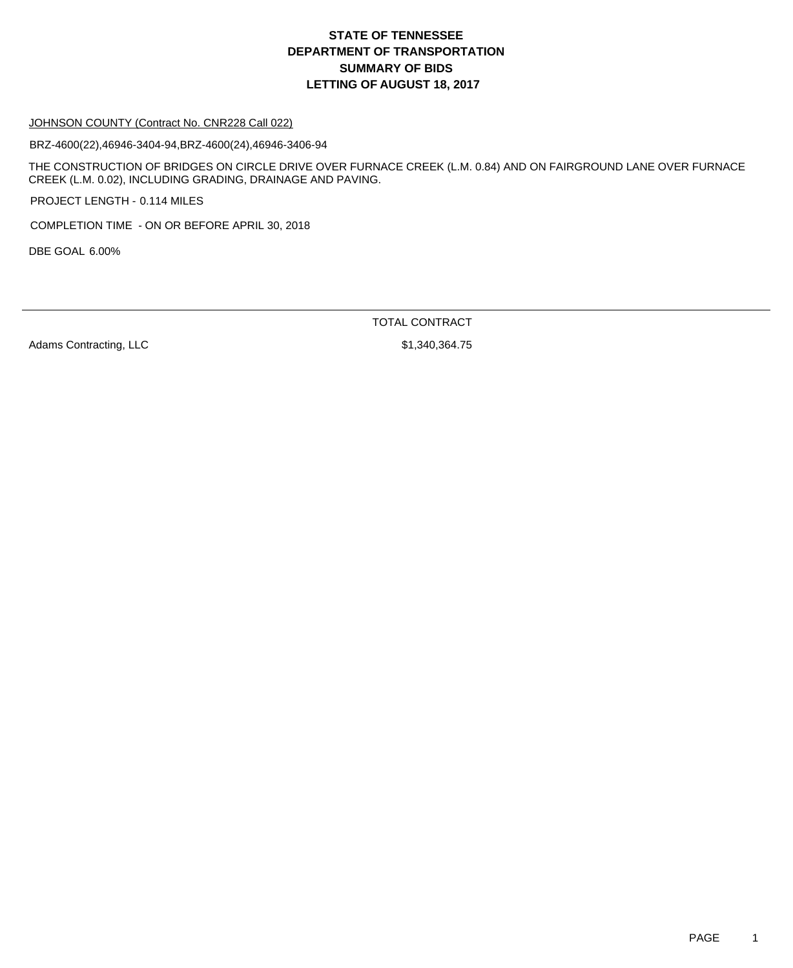## **DEPARTMENT OF TRANSPORTATION SUMMARY OF BIDS LETTING OF AUGUST 18, 2017 STATE OF TENNESSEE**

#### JOHNSON COUNTY (Contract No. CNR228 Call 022)

BRZ-4600(22),46946-3404-94,BRZ-4600(24),46946-3406-94

THE CONSTRUCTION OF BRIDGES ON CIRCLE DRIVE OVER FURNACE CREEK (L.M. 0.84) AND ON FAIRGROUND LANE OVER FURNACE CREEK (L.M. 0.02), INCLUDING GRADING, DRAINAGE AND PAVING.

PROJECT LENGTH - 0.114 MILES

COMPLETION TIME - ON OR BEFORE APRIL 30, 2018

DBE GOAL 6.00%

TOTAL CONTRACT

Adams Contracting, LLC \$1,340,364.75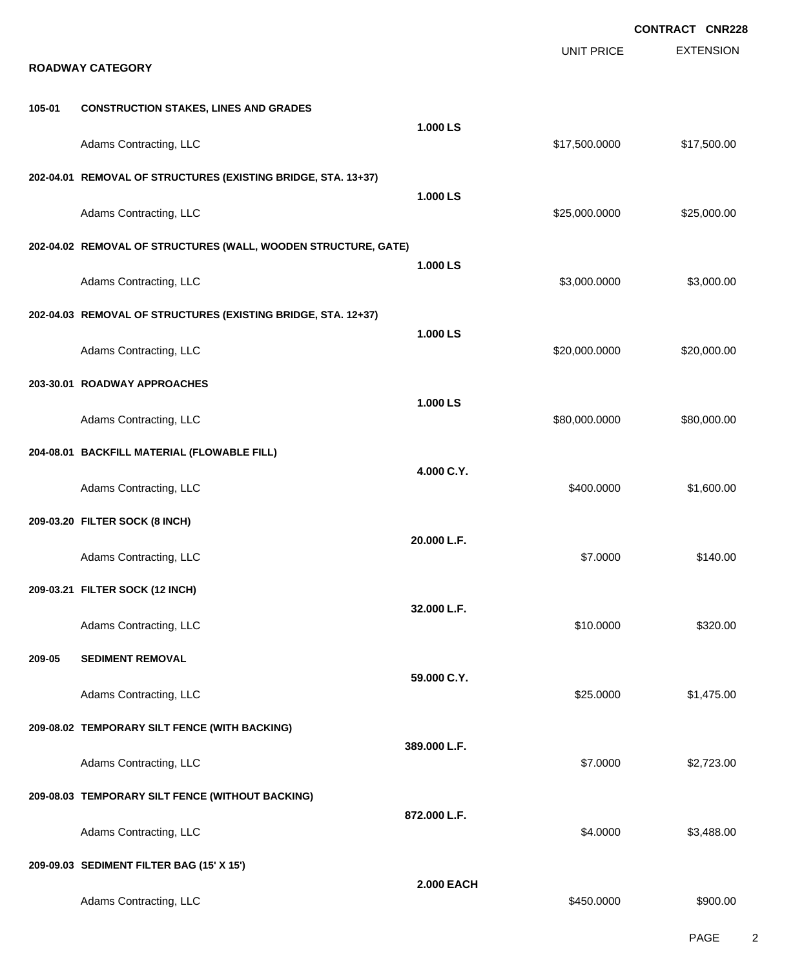|        |                                                                |                   |                   | <b>CONTRACT CNR228</b> |
|--------|----------------------------------------------------------------|-------------------|-------------------|------------------------|
|        | <b>ROADWAY CATEGORY</b>                                        |                   | <b>UNIT PRICE</b> | <b>EXTENSION</b>       |
| 105-01 | <b>CONSTRUCTION STAKES, LINES AND GRADES</b>                   |                   |                   |                        |
|        | Adams Contracting, LLC                                         | 1.000 LS          | \$17,500.0000     | \$17,500.00            |
|        | 202-04.01 REMOVAL OF STRUCTURES (EXISTING BRIDGE, STA. 13+37)  | 1.000 LS          |                   |                        |
|        | Adams Contracting, LLC                                         |                   | \$25,000.0000     | \$25,000.00            |
|        | 202-04.02 REMOVAL OF STRUCTURES (WALL, WOODEN STRUCTURE, GATE) |                   |                   |                        |
|        | Adams Contracting, LLC                                         | 1.000 LS          | \$3,000.0000      | \$3,000.00             |
|        | 202-04.03 REMOVAL OF STRUCTURES (EXISTING BRIDGE, STA. 12+37)  |                   |                   |                        |
|        | Adams Contracting, LLC                                         | 1.000 LS          | \$20,000.0000     | \$20,000.00            |
|        | 203-30.01 ROADWAY APPROACHES                                   |                   |                   |                        |
|        | Adams Contracting, LLC                                         | 1.000 LS          | \$80,000.0000     | \$80,000.00            |
|        | 204-08.01 BACKFILL MATERIAL (FLOWABLE FILL)                    |                   |                   |                        |
|        | Adams Contracting, LLC                                         | 4.000 C.Y.        | \$400.0000        | \$1,600.00             |
|        | 209-03.20 FILTER SOCK (8 INCH)                                 |                   |                   |                        |
|        | Adams Contracting, LLC                                         | 20.000 L.F.       | \$7,0000          | \$140.00               |
|        | 209-03.21 FILTER SOCK (12 INCH)                                |                   |                   |                        |
|        | Adams Contracting, LLC                                         | 32.000 L.F.       | \$10.0000         | \$320.00               |
| 209-05 | <b>SEDIMENT REMOVAL</b>                                        |                   |                   |                        |
|        | Adams Contracting, LLC                                         | 59.000 C.Y.       | \$25.0000         | \$1,475.00             |
|        | 209-08.02 TEMPORARY SILT FENCE (WITH BACKING)                  |                   |                   |                        |
|        | Adams Contracting, LLC                                         | 389.000 L.F.      | \$7.0000          | \$2,723.00             |
|        | 209-08.03 TEMPORARY SILT FENCE (WITHOUT BACKING)               |                   |                   |                        |
|        | Adams Contracting, LLC                                         | 872.000 L.F.      | \$4.0000          | \$3,488.00             |
|        | 209-09.03 SEDIMENT FILTER BAG (15' X 15')                      |                   |                   |                        |
|        | Adams Contracting, LLC                                         | <b>2.000 EACH</b> | \$450.0000        | \$900.00               |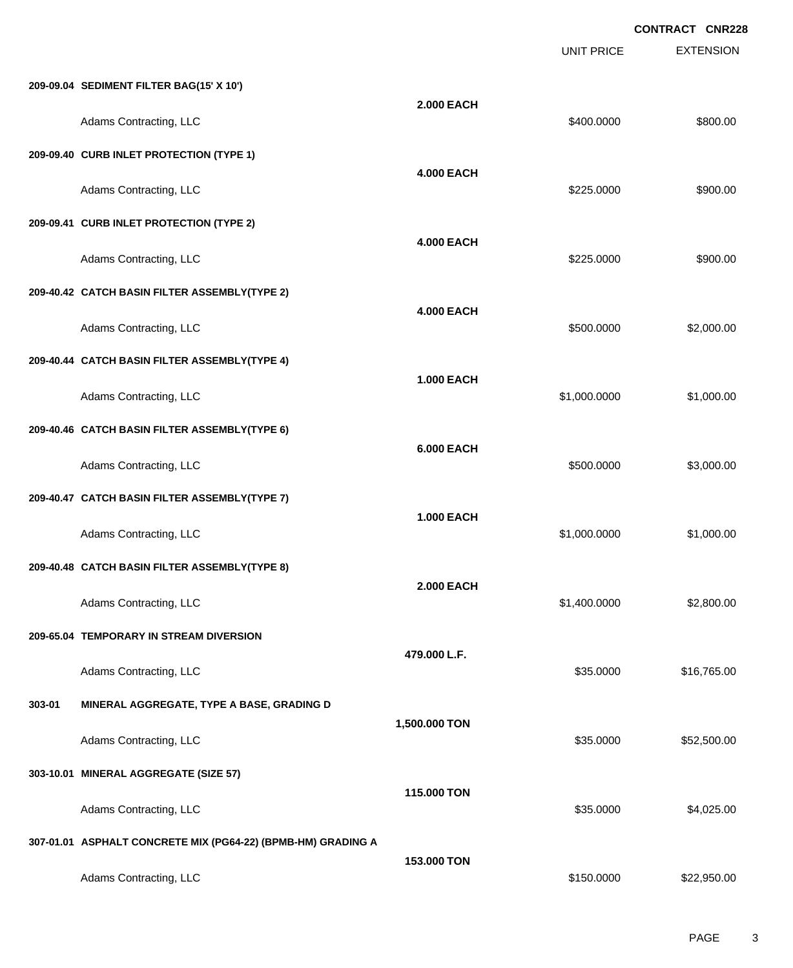|        |                                                              |                   | <b>UNIT PRICE</b> | <b>EXTENSION</b> |
|--------|--------------------------------------------------------------|-------------------|-------------------|------------------|
|        | 209-09.04 SEDIMENT FILTER BAG(15' X 10')                     |                   |                   |                  |
|        | Adams Contracting, LLC                                       | <b>2.000 EACH</b> | \$400.0000        | \$800.00         |
|        | 209-09.40 CURB INLET PROTECTION (TYPE 1)                     |                   |                   |                  |
|        | Adams Contracting, LLC                                       | <b>4.000 EACH</b> | \$225.0000        | \$900.00         |
|        | 209-09.41 CURB INLET PROTECTION (TYPE 2)                     |                   |                   |                  |
|        | Adams Contracting, LLC                                       | <b>4.000 EACH</b> | \$225.0000        | \$900.00         |
|        | 209-40.42 CATCH BASIN FILTER ASSEMBLY(TYPE 2)                |                   |                   |                  |
|        | Adams Contracting, LLC                                       | <b>4.000 EACH</b> | \$500.0000        | \$2,000.00       |
|        | 209-40.44 CATCH BASIN FILTER ASSEMBLY(TYPE 4)                |                   |                   |                  |
|        | Adams Contracting, LLC                                       | <b>1.000 EACH</b> | \$1,000.0000      | \$1,000.00       |
|        | 209-40.46 CATCH BASIN FILTER ASSEMBLY(TYPE 6)                |                   |                   |                  |
|        | Adams Contracting, LLC                                       | <b>6.000 EACH</b> | \$500.0000        | \$3,000.00       |
|        | 209-40.47 CATCH BASIN FILTER ASSEMBLY(TYPE 7)                |                   |                   |                  |
|        | Adams Contracting, LLC                                       | <b>1.000 EACH</b> | \$1,000.0000      | \$1,000.00       |
|        | 209-40.48 CATCH BASIN FILTER ASSEMBLY(TYPE 8)                |                   |                   |                  |
|        | Adams Contracting, LLC                                       | <b>2.000 EACH</b> | \$1,400.0000      | \$2,800.00       |
|        | 209-65.04 TEMPORARY IN STREAM DIVERSION                      |                   |                   |                  |
|        | Adams Contracting, LLC                                       | 479.000 L.F.      | \$35.0000         | \$16,765.00      |
| 303-01 | MINERAL AGGREGATE, TYPE A BASE, GRADING D                    |                   |                   |                  |
|        | Adams Contracting, LLC                                       | 1,500.000 TON     | \$35.0000         | \$52,500.00      |
|        | 303-10.01 MINERAL AGGREGATE (SIZE 57)                        |                   |                   |                  |
|        | Adams Contracting, LLC                                       | 115.000 TON       | \$35.0000         | \$4,025.00       |
|        | 307-01.01 ASPHALT CONCRETE MIX (PG64-22) (BPMB-HM) GRADING A |                   |                   |                  |
|        | Adams Contracting, LLC                                       | 153.000 TON       | \$150.0000        | \$22,950.00      |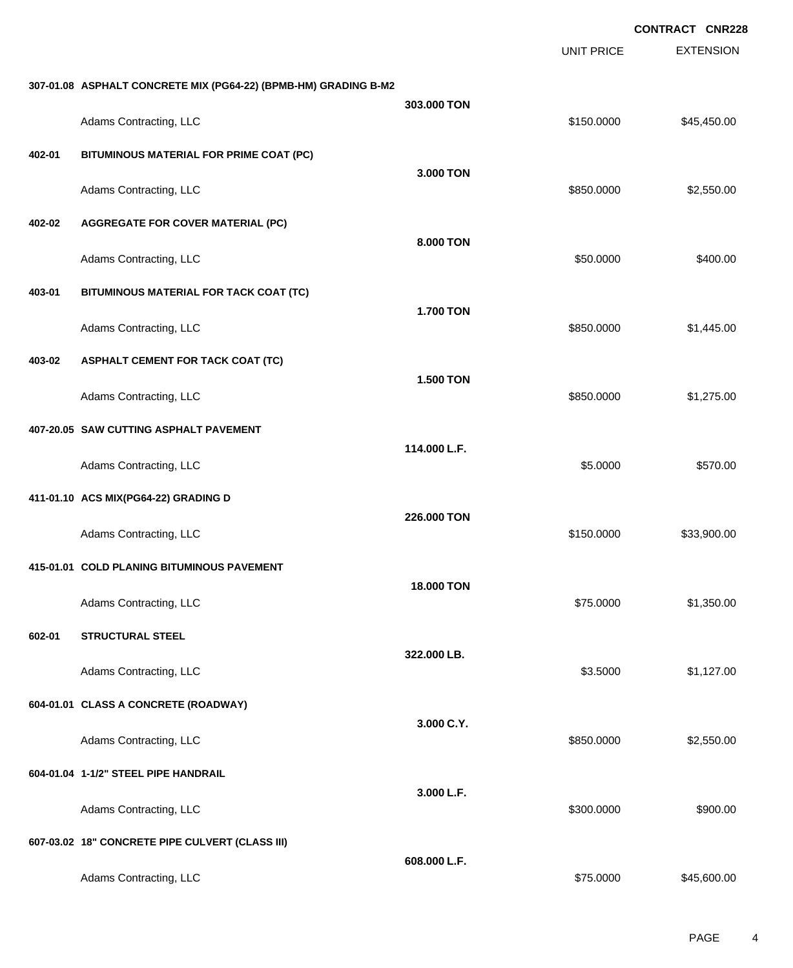|        |                                                                 |                  | <b>UNIT PRICE</b> | <b>EXTENSION</b> |
|--------|-----------------------------------------------------------------|------------------|-------------------|------------------|
|        | 307-01.08 ASPHALT CONCRETE MIX (PG64-22) (BPMB-HM) GRADING B-M2 |                  |                   |                  |
|        | Adams Contracting, LLC                                          | 303.000 TON      | \$150.0000        | \$45,450.00      |
| 402-01 | BITUMINOUS MATERIAL FOR PRIME COAT (PC)                         |                  |                   |                  |
|        | Adams Contracting, LLC                                          | 3.000 TON        | \$850.0000        | \$2,550.00       |
| 402-02 | <b>AGGREGATE FOR COVER MATERIAL (PC)</b>                        |                  |                   |                  |
|        | Adams Contracting, LLC                                          | 8.000 TON        | \$50.0000         | \$400.00         |
| 403-01 | BITUMINOUS MATERIAL FOR TACK COAT (TC)                          |                  |                   |                  |
|        | Adams Contracting, LLC                                          | <b>1.700 TON</b> | \$850.0000        | \$1,445.00       |
| 403-02 | <b>ASPHALT CEMENT FOR TACK COAT (TC)</b>                        |                  |                   |                  |
|        | Adams Contracting, LLC                                          | <b>1.500 TON</b> | \$850.0000        | \$1,275.00       |
|        | 407-20.05 SAW CUTTING ASPHALT PAVEMENT                          |                  |                   |                  |
|        | Adams Contracting, LLC                                          | 114.000 L.F.     | \$5.0000          | \$570.00         |
|        | 411-01.10 ACS MIX(PG64-22) GRADING D                            |                  |                   |                  |
|        | Adams Contracting, LLC                                          | 226.000 TON      | \$150.0000        | \$33,900.00      |
|        | 415-01.01 COLD PLANING BITUMINOUS PAVEMENT                      |                  |                   |                  |
|        | Adams Contracting, LLC                                          | 18.000 TON       | \$75.0000         | \$1,350.00       |
| 602-01 | <b>STRUCTURAL STEEL</b>                                         |                  |                   |                  |
|        | Adams Contracting, LLC                                          | 322.000 LB.      | \$3.5000          | \$1,127.00       |
|        | 604-01.01 CLASS A CONCRETE (ROADWAY)                            |                  |                   |                  |
|        | Adams Contracting, LLC                                          | 3.000 C.Y.       | \$850.0000        | \$2,550.00       |
|        | 604-01.04 1-1/2" STEEL PIPE HANDRAIL                            |                  |                   |                  |
|        | Adams Contracting, LLC                                          | 3.000 L.F.       | \$300.0000        | \$900.00         |
|        | 607-03.02 18" CONCRETE PIPE CULVERT (CLASS III)                 |                  |                   |                  |
|        |                                                                 | 608.000 L.F.     |                   |                  |
|        | Adams Contracting, LLC                                          |                  | \$75.0000         | \$45,600.00      |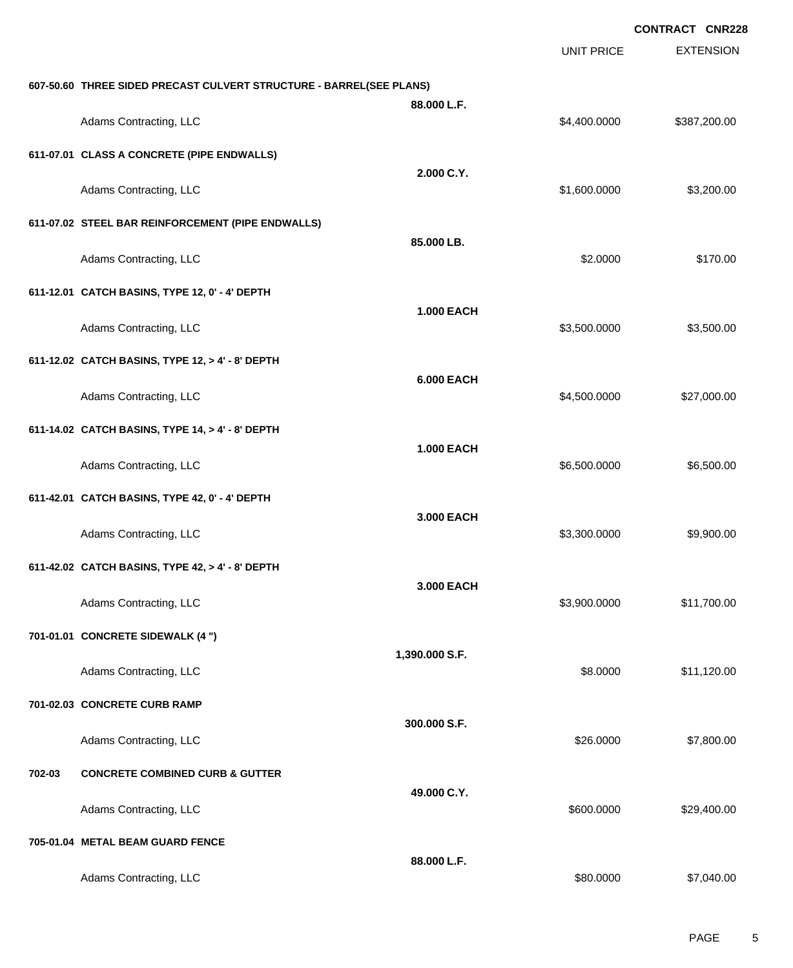|        |                                                                     |                   |                   | <b>CONTRACT CNR228</b> |
|--------|---------------------------------------------------------------------|-------------------|-------------------|------------------------|
|        |                                                                     |                   | <b>UNIT PRICE</b> | <b>EXTENSION</b>       |
|        | 607-50.60 THREE SIDED PRECAST CULVERT STRUCTURE - BARREL(SEE PLANS) |                   |                   |                        |
|        | Adams Contracting, LLC                                              | 88.000 L.F.       | \$4,400.0000      | \$387,200.00           |
|        | 611-07.01 CLASS A CONCRETE (PIPE ENDWALLS)                          |                   |                   |                        |
|        | Adams Contracting, LLC                                              | 2.000 C.Y.        | \$1,600.0000      | \$3,200.00             |
|        | 611-07.02 STEEL BAR REINFORCEMENT (PIPE ENDWALLS)                   |                   |                   |                        |
|        | Adams Contracting, LLC                                              | 85.000 LB.        | \$2.0000          | \$170.00               |
|        | 611-12.01 CATCH BASINS, TYPE 12, 0' - 4' DEPTH                      |                   |                   |                        |
|        | Adams Contracting, LLC                                              | <b>1.000 EACH</b> | \$3,500.0000      | \$3,500.00             |
|        | 611-12.02 CATCH BASINS, TYPE 12, > 4' - 8' DEPTH                    |                   |                   |                        |
|        | Adams Contracting, LLC                                              | <b>6.000 EACH</b> | \$4,500.0000      | \$27,000.00            |
|        | 611-14.02 CATCH BASINS, TYPE 14, > 4' - 8' DEPTH                    |                   |                   |                        |
|        | Adams Contracting, LLC                                              | <b>1.000 EACH</b> | \$6,500.0000      | \$6,500.00             |
|        | 611-42.01 CATCH BASINS, TYPE 42, 0' - 4' DEPTH                      |                   |                   |                        |
|        | Adams Contracting, LLC                                              | 3.000 EACH        | \$3,300.0000      | \$9,900.00             |
|        | 611-42.02 CATCH BASINS, TYPE 42, > 4' - 8' DEPTH                    |                   |                   |                        |
|        | Adams Contracting, LLC                                              | 3.000 EACH        | \$3,900.0000      | \$11,700.00            |
|        | 701-01.01 CONCRETE SIDEWALK (4 ")                                   |                   |                   |                        |
|        | Adams Contracting, LLC                                              | 1,390.000 S.F.    | \$8.0000          | \$11,120.00            |
|        | 701-02.03 CONCRETE CURB RAMP                                        |                   |                   |                        |
|        | Adams Contracting, LLC                                              | 300.000 S.F.      | \$26.0000         | \$7,800.00             |
| 702-03 | <b>CONCRETE COMBINED CURB &amp; GUTTER</b>                          |                   |                   |                        |
|        | Adams Contracting, LLC                                              | 49.000 C.Y.       | \$600.0000        | \$29,400.00            |
|        | 705-01.04 METAL BEAM GUARD FENCE                                    |                   |                   |                        |
|        | Adams Contracting, LLC                                              | 88.000 L.F.       | \$80.0000         | \$7,040.00             |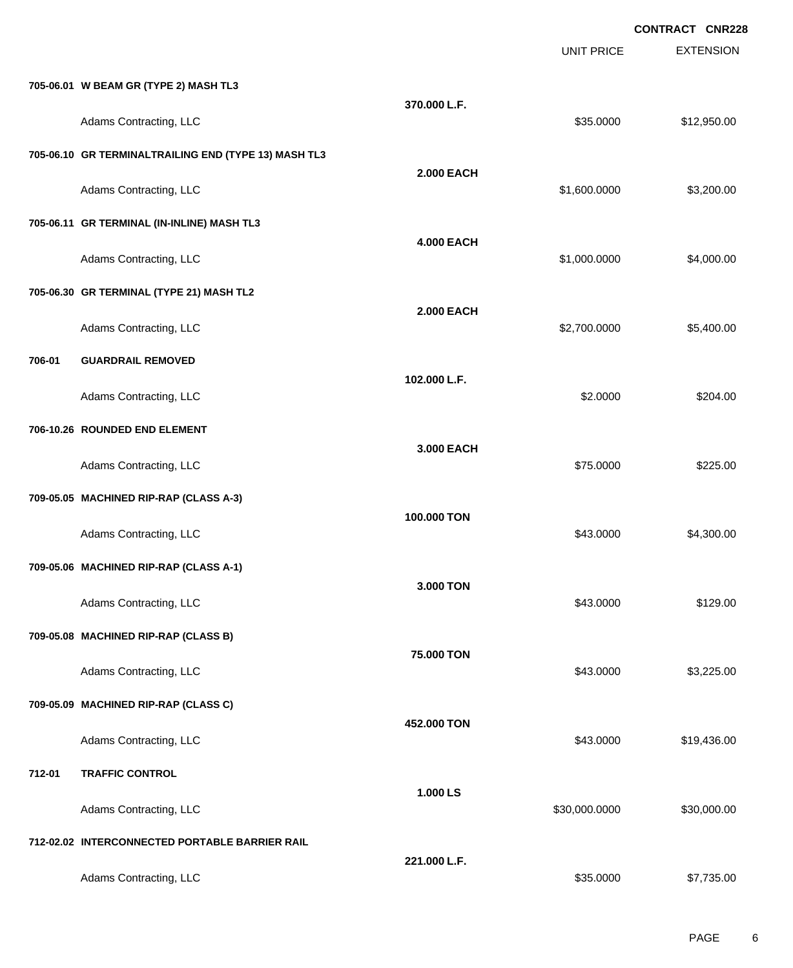|        |                                                      |                   |                   | <b>CONTRACT CNR228</b> |
|--------|------------------------------------------------------|-------------------|-------------------|------------------------|
|        |                                                      |                   | <b>UNIT PRICE</b> | <b>EXTENSION</b>       |
|        | 705-06.01 W BEAM GR (TYPE 2) MASH TL3                |                   |                   |                        |
|        | Adams Contracting, LLC                               | 370.000 L.F.      | \$35.0000         | \$12,950.00            |
|        | 705-06.10 GR TERMINALTRAILING END (TYPE 13) MASH TL3 |                   |                   |                        |
|        | Adams Contracting, LLC                               | <b>2.000 EACH</b> | \$1,600.0000      | \$3,200.00             |
|        | 705-06.11 GR TERMINAL (IN-INLINE) MASH TL3           |                   |                   |                        |
|        | Adams Contracting, LLC                               | <b>4.000 EACH</b> | \$1,000.0000      | \$4,000.00             |
|        | 705-06.30 GR TERMINAL (TYPE 21) MASH TL2             |                   |                   |                        |
|        | Adams Contracting, LLC                               | <b>2.000 EACH</b> | \$2,700.0000      | \$5,400.00             |
| 706-01 | <b>GUARDRAIL REMOVED</b>                             |                   |                   |                        |
|        | Adams Contracting, LLC                               | 102.000 L.F.      | \$2.0000          | \$204.00               |
|        | 706-10.26 ROUNDED END ELEMENT                        |                   |                   |                        |
|        | Adams Contracting, LLC                               | 3.000 EACH        | \$75.0000         | \$225.00               |
|        | 709-05.05 MACHINED RIP-RAP (CLASS A-3)               |                   |                   |                        |
|        | Adams Contracting, LLC                               | 100.000 TON       | \$43.0000         | \$4,300.00             |
|        | 709-05.06 MACHINED RIP-RAP (CLASS A-1)               |                   |                   |                        |
|        | Adams Contracting, LLC                               | 3.000 TON         | \$43.0000         | \$129.00               |
|        | 709-05.08 MACHINED RIP-RAP (CLASS B)                 |                   |                   |                        |
|        | Adams Contracting, LLC                               | 75.000 TON        | \$43.0000         | \$3,225.00             |
|        | 709-05.09 MACHINED RIP-RAP (CLASS C)                 |                   |                   |                        |
|        | Adams Contracting, LLC                               | 452.000 TON       | \$43.0000         | \$19,436.00            |
| 712-01 | <b>TRAFFIC CONTROL</b>                               |                   |                   |                        |
|        | Adams Contracting, LLC                               | 1.000 LS          | \$30,000.0000     | \$30,000.00            |
|        | 712-02.02 INTERCONNECTED PORTABLE BARRIER RAIL       |                   |                   |                        |
|        | Adams Contracting, LLC                               | 221.000 L.F.      | \$35.0000         | \$7,735.00             |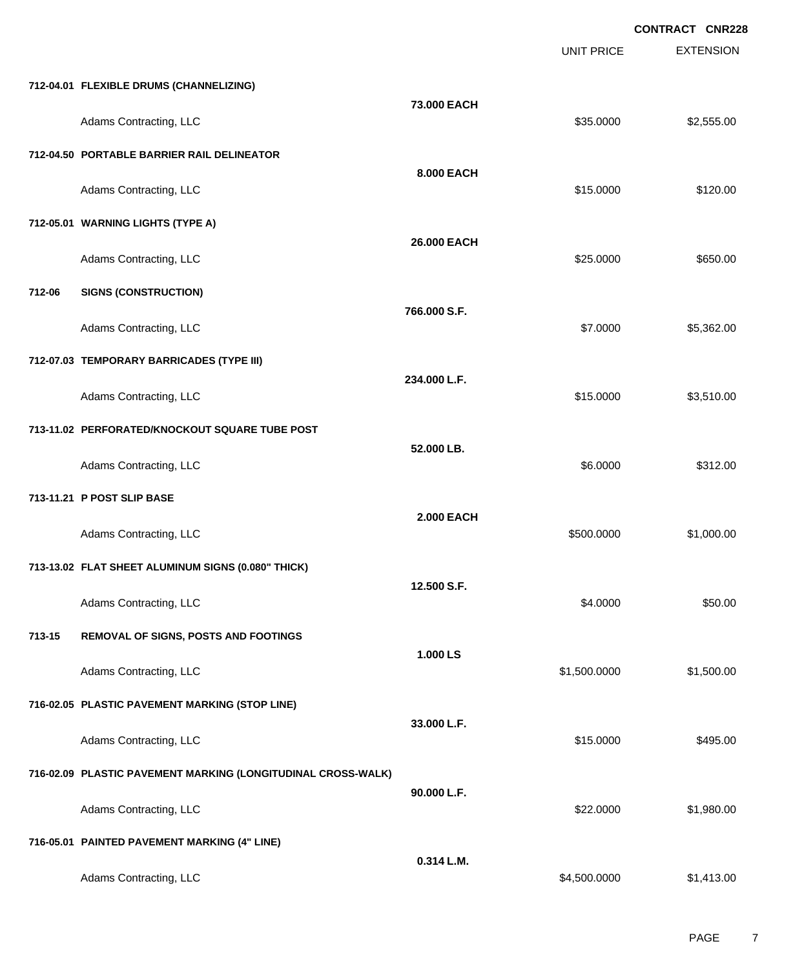EXTENSION **CONTRACT CNR228** UNIT PRICE **712-04.01 FLEXIBLE DRUMS (CHANNELIZING) 73.000 EACH** Adams Contracting, LLC 6. The state of the state of the state of the state of the state of the state of the state of the state of the state of the state of the state of the state of the state of the state of the state of t **712-04.50 PORTABLE BARRIER RAIL DELINEATOR 8.000 EACH** Adams Contracting, LLC 6120.00 **712-05.01 WARNING LIGHTS (TYPE A) 26.000 EACH** Adams Contracting, LLC 6650.00 \$650.00 **712-06 SIGNS (CONSTRUCTION) 766.000 S.F.** Adams Contracting, LLC 65,362.00 **712-07.03 TEMPORARY BARRICADES (TYPE III) 234.000 L.F.** Adams Contracting, LLC 63,510.00 **713-11.02 PERFORATED/KNOCKOUT SQUARE TUBE POST 52.000 LB.** Adams Contracting, LLC 6312.00 **713-11.21 P POST SLIP BASE 2.000 EACH** Adams Contracting, LLC 61,000.00 \$1,000.00 **713-13.02 FLAT SHEET ALUMINUM SIGNS (0.080" THICK) 12.500 S.F.** Adams Contracting, LLC 6000 \$50.00 **713-15 REMOVAL OF SIGNS, POSTS AND FOOTINGS 1.000 LS** Adams Contracting, LLC 61,500.000 \$1,500.000 \$1,500.000 \$1,500.000 \$1,500.000 \$1,500.00 **716-02.05 PLASTIC PAVEMENT MARKING (STOP LINE) 33.000 L.F.** Adams Contracting, LLC 6495.00 **716-02.09 PLASTIC PAVEMENT MARKING (LONGITUDINAL CROSS-WALK) 90.000 L.F.** Adams Contracting, LLC 6. The state of the state of the state of the state of the state of the state of the state of the state of the state of the state of the state of the state of the state of the state of the state of t **716-05.01 PAINTED PAVEMENT MARKING (4" LINE) 0.314 L.M.**

Adams Contracting, LLC 6.1.413.00

PAGE 7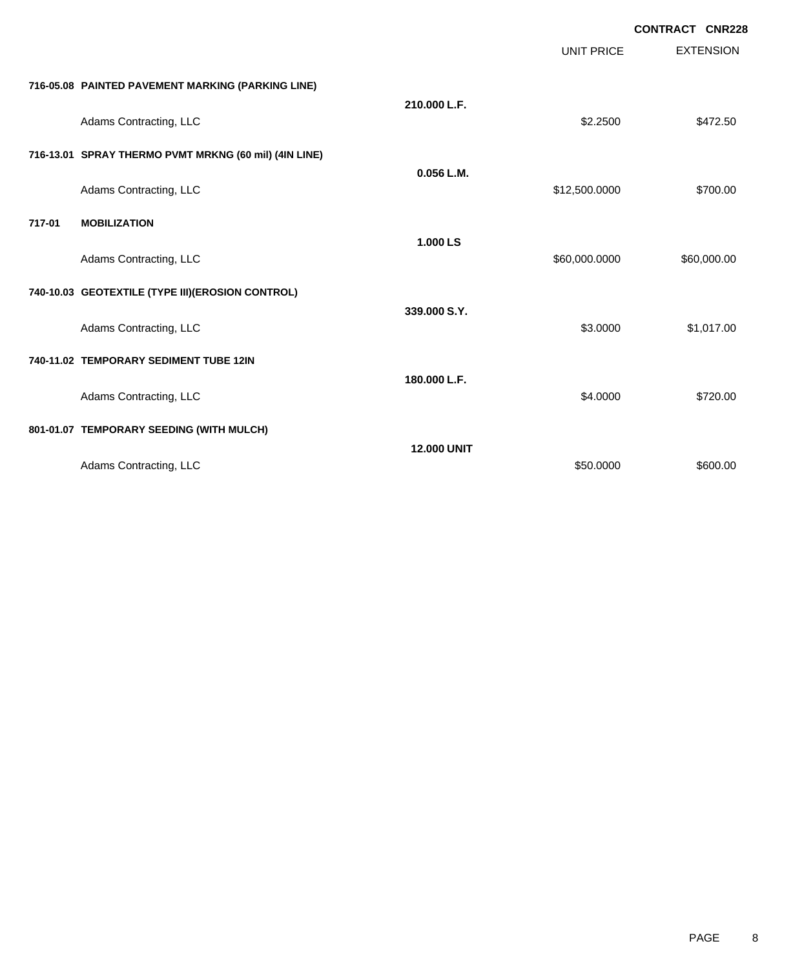|        |                                                       |                    | <b>UNIT PRICE</b> | <b>CONTRACT CNR228</b><br><b>EXTENSION</b> |
|--------|-------------------------------------------------------|--------------------|-------------------|--------------------------------------------|
|        | 716-05.08 PAINTED PAVEMENT MARKING (PARKING LINE)     |                    |                   |                                            |
|        | Adams Contracting, LLC                                | 210.000 L.F.       | \$2.2500          | \$472.50                                   |
|        | 716-13.01 SPRAY THERMO PVMT MRKNG (60 mil) (4IN LINE) |                    |                   |                                            |
|        | Adams Contracting, LLC                                | 0.056 L.M.         | \$12,500.0000     | \$700.00                                   |
| 717-01 | <b>MOBILIZATION</b>                                   |                    |                   |                                            |
|        | Adams Contracting, LLC                                | 1.000 LS           | \$60,000.0000     | \$60,000.00                                |
|        | 740-10.03 GEOTEXTILE (TYPE III) (EROSION CONTROL)     |                    |                   |                                            |
|        | Adams Contracting, LLC                                | 339,000 S.Y.       | \$3.0000          | \$1,017.00                                 |
|        | 740-11.02 TEMPORARY SEDIMENT TUBE 12IN                |                    |                   |                                            |
|        | Adams Contracting, LLC                                | 180.000 L.F.       | \$4.0000          | \$720.00                                   |
|        | 801-01.07 TEMPORARY SEEDING (WITH MULCH)              |                    |                   |                                            |
|        | Adams Contracting, LLC                                | <b>12,000 UNIT</b> | \$50.0000         | \$600.00                                   |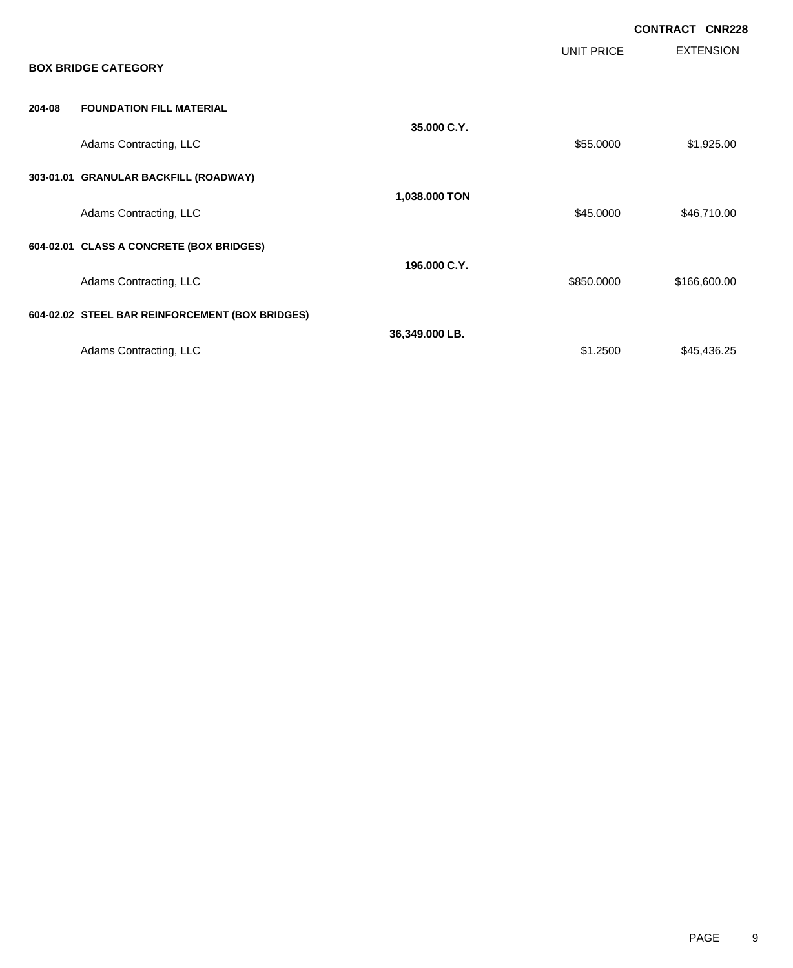|        |                                                 |                |            | <b>CONTRACT CNR228</b> |                  |
|--------|-------------------------------------------------|----------------|------------|------------------------|------------------|
|        | <b>BOX BRIDGE CATEGORY</b>                      |                | UNIT PRICE |                        | <b>EXTENSION</b> |
| 204-08 | <b>FOUNDATION FILL MATERIAL</b>                 |                |            |                        |                  |
|        | Adams Contracting, LLC                          | 35,000 C.Y.    | \$55.0000  |                        | \$1,925.00       |
|        | 303-01.01 GRANULAR BACKFILL (ROADWAY)           |                |            |                        |                  |
|        | Adams Contracting, LLC                          | 1,038.000 TON  | \$45.0000  |                        | \$46,710.00      |
|        | 604-02.01 CLASS A CONCRETE (BOX BRIDGES)        |                |            |                        |                  |
|        | Adams Contracting, LLC                          | 196.000 C.Y.   | \$850.0000 |                        | \$166,600.00     |
|        | 604-02.02 STEEL BAR REINFORCEMENT (BOX BRIDGES) |                |            |                        |                  |
|        | Adams Contracting, LLC                          | 36,349.000 LB. | \$1.2500   |                        | \$45,436.25      |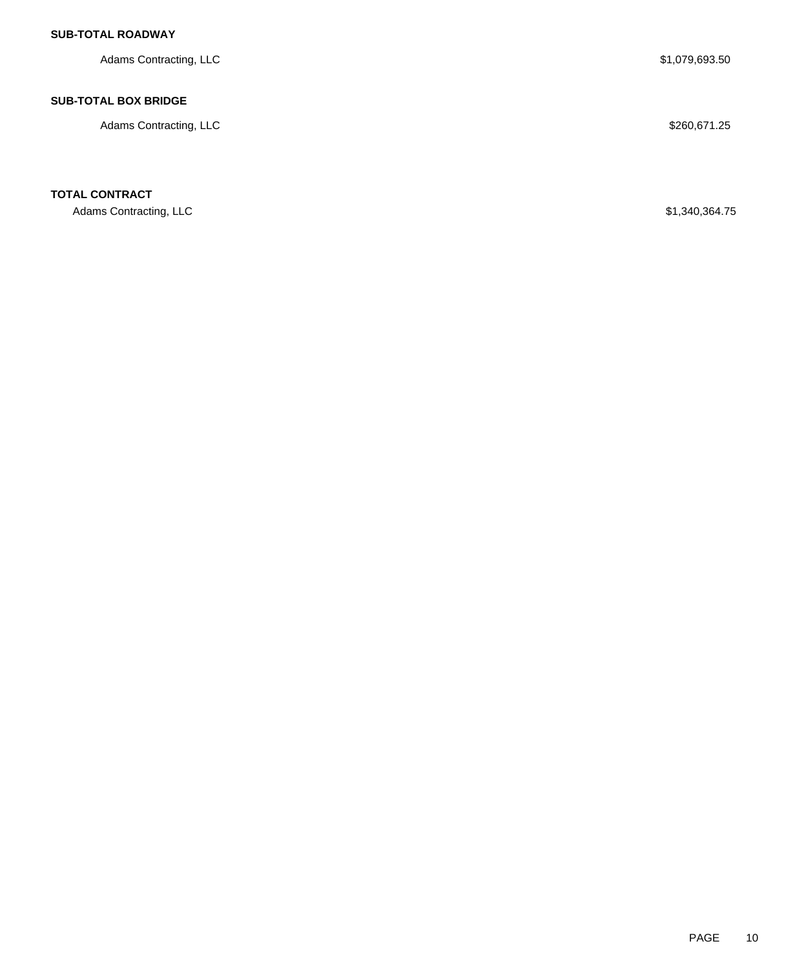## **SUB-TOTAL ROADWAY**

Adams Contracting, LLC \$1,079,693.50

### **SUB-TOTAL BOX BRIDGE**

Adams Contracting, LLC \$260,671.25

**TOTAL CONTRACT**

Adams Contracting, LLC \$1,340,364.75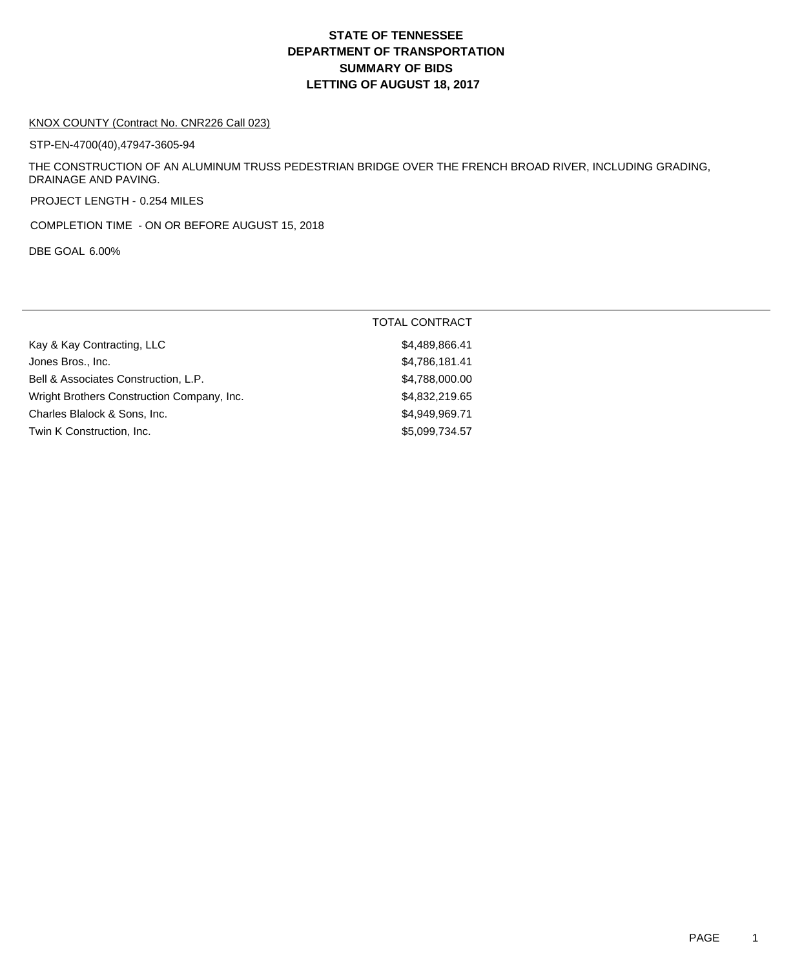# **DEPARTMENT OF TRANSPORTATION SUMMARY OF BIDS LETTING OF AUGUST 18, 2017 STATE OF TENNESSEE**

#### KNOX COUNTY (Contract No. CNR226 Call 023)

STP-EN-4700(40),47947-3605-94

THE CONSTRUCTION OF AN ALUMINUM TRUSS PEDESTRIAN BRIDGE OVER THE FRENCH BROAD RIVER, INCLUDING GRADING, DRAINAGE AND PAVING.

PROJECT LENGTH - 0.254 MILES

COMPLETION TIME - ON OR BEFORE AUGUST 15, 2018

DBE GOAL 6.00%

|                                            | <b>TOTAL CONTRACT</b> |
|--------------------------------------------|-----------------------|
| Kay & Kay Contracting, LLC                 | \$4,489,866.41        |
| Jones Bros., Inc.                          | \$4,786,181.41        |
| Bell & Associates Construction, L.P.       | \$4,788,000.00        |
| Wright Brothers Construction Company, Inc. | \$4,832,219.65        |
| Charles Blalock & Sons, Inc.               | \$4.949.969.71        |
| Twin K Construction, Inc.                  | \$5,099,734.57        |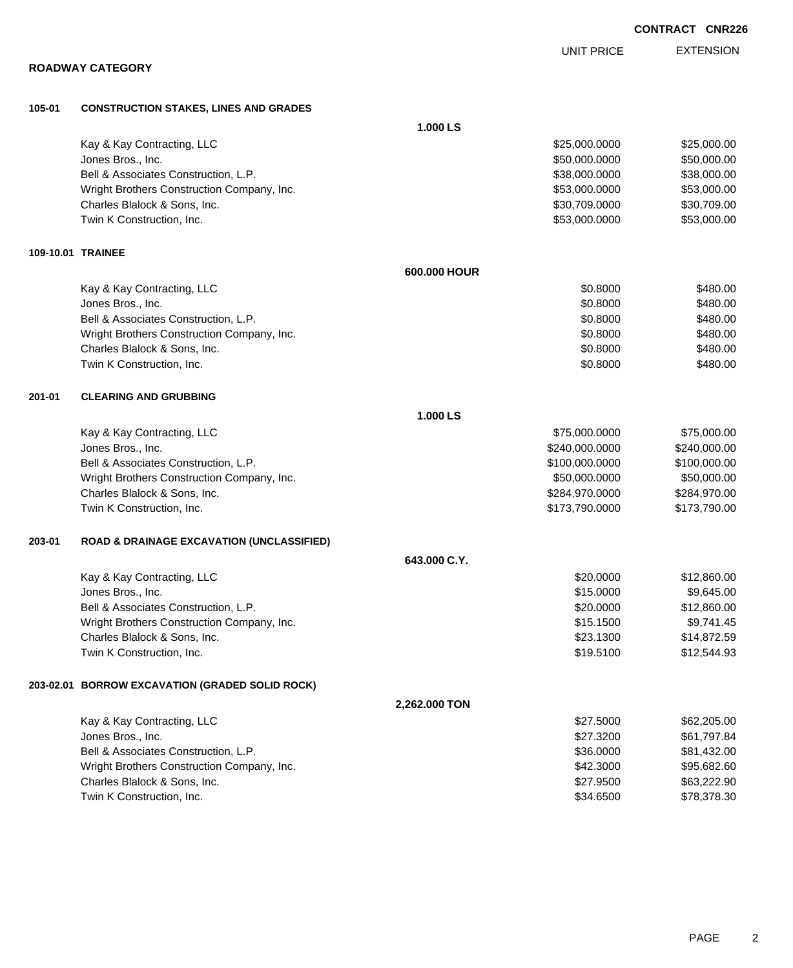PAGE 2

|  |  |  |  | <b>ROADWAY CATEGORY</b> |  |
|--|--|--|--|-------------------------|--|
|--|--|--|--|-------------------------|--|

|                            | <b>1.000 LS</b> |               |             |
|----------------------------|-----------------|---------------|-------------|
| Kay & Kay Contracting, LLC |                 | \$25,000.0000 | \$25,000.00 |

**105-01 CONSTRUCTION STAKES, LINES AND GRADES**

|        | Jones Bros., Inc.                                    |               | \$50,000.0000  | \$50,000.00  |
|--------|------------------------------------------------------|---------------|----------------|--------------|
|        | Bell & Associates Construction, L.P.                 |               | \$38,000.0000  | \$38,000.00  |
|        | Wright Brothers Construction Company, Inc.           |               | \$53,000.0000  | \$53,000.00  |
|        | Charles Blalock & Sons, Inc.                         |               | \$30,709.0000  | \$30,709.00  |
|        | Twin K Construction, Inc.                            |               | \$53,000.0000  | \$53,000.00  |
|        | 109-10.01 TRAINEE                                    |               |                |              |
|        |                                                      | 600.000 HOUR  |                |              |
|        | Kay & Kay Contracting, LLC                           |               | \$0.8000       | \$480.00     |
|        | Jones Bros., Inc.                                    |               | \$0.8000       | \$480.00     |
|        | Bell & Associates Construction, L.P.                 |               | \$0.8000       | \$480.00     |
|        | Wright Brothers Construction Company, Inc.           |               | \$0.8000       | \$480.00     |
|        | Charles Blalock & Sons, Inc.                         |               | \$0.8000       | \$480.00     |
|        | Twin K Construction, Inc.                            |               | \$0.8000       | \$480.00     |
| 201-01 | <b>CLEARING AND GRUBBING</b>                         |               |                |              |
|        |                                                      | 1.000 LS      |                |              |
|        | Kay & Kay Contracting, LLC                           |               | \$75,000.0000  | \$75,000.00  |
|        | Jones Bros., Inc.                                    |               | \$240,000.0000 | \$240,000.00 |
|        | Bell & Associates Construction, L.P.                 |               | \$100,000.0000 | \$100,000.00 |
|        | Wright Brothers Construction Company, Inc.           |               | \$50,000.0000  | \$50,000.00  |
|        | Charles Blalock & Sons, Inc.                         |               | \$284,970.0000 | \$284,970.00 |
|        | Twin K Construction, Inc.                            |               | \$173,790.0000 | \$173,790.00 |
| 203-01 | <b>ROAD &amp; DRAINAGE EXCAVATION (UNCLASSIFIED)</b> |               |                |              |
|        |                                                      | 643.000 C.Y.  |                |              |
|        | Kay & Kay Contracting, LLC                           |               | \$20.0000      | \$12,860.00  |
|        | Jones Bros., Inc.                                    |               | \$15.0000      | \$9,645.00   |
|        | Bell & Associates Construction, L.P.                 |               | \$20.0000      | \$12,860.00  |
|        | Wright Brothers Construction Company, Inc.           |               | \$15.1500      | \$9,741.45   |
|        | Charles Blalock & Sons, Inc.                         |               | \$23.1300      | \$14,872.59  |
|        | Twin K Construction, Inc.                            |               | \$19.5100      | \$12,544.93  |
|        | 203-02.01 BORROW EXCAVATION (GRADED SOLID ROCK)      |               |                |              |
|        |                                                      | 2,262.000 TON |                |              |
|        | Kay & Kay Contracting, LLC                           |               | \$27.5000      | \$62,205.00  |
|        | Jones Bros., Inc.                                    |               | \$27.3200      | \$61,797.84  |
|        | Bell & Associates Construction, L.P.                 |               | \$36.0000      | \$81,432.00  |
|        | Wright Brothers Construction Company, Inc.           |               | \$42.3000      | \$95,682.60  |
|        | Charles Blalock & Sons, Inc.                         |               | \$27.9500      | \$63,222.90  |
|        | Twin K Construction, Inc.                            |               | \$34.6500      | \$78,378.30  |

**CONTRACT CNR226**

EXTENSION UNIT PRICE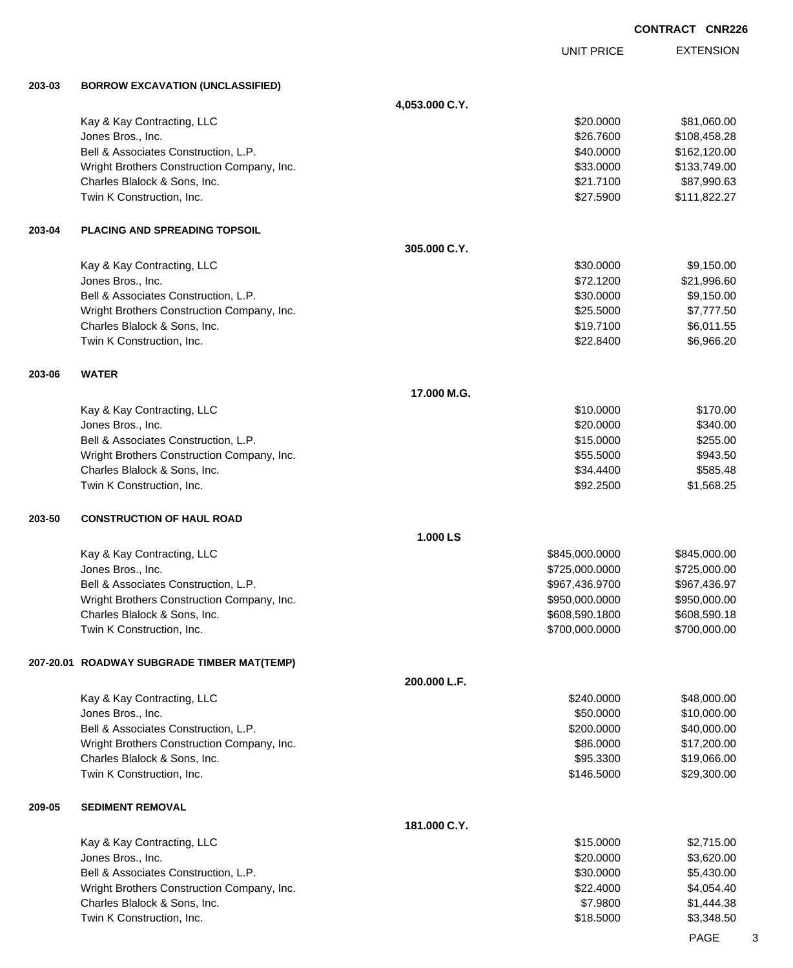EXTENSION **CONTRACT CNR226** UNIT PRICE **203-03 BORROW EXCAVATION (UNCLASSIFIED) 4,053.000 C.Y.** Kay & Kay Contracting, LLC 60000 \$81,060.00 Jones Bros., Inc. \$26.7600 \$108,458.28 Bell & Associates Construction, L.P. \$40.0000 \$162,120.00 Wright Brothers Construction Company, Inc. 6. 2012 12:30 12:30 12:30 133,749.00 \$133,749.00 Charles Blalock & Sons, Inc. \$21.7100 \$87,990.63 Twin K Construction, Inc. \$27.5900 \$111,822.27 **203-04 PLACING AND SPREADING TOPSOIL 305.000 C.Y.** Kay & Kay Contracting, LLC 6 and the state of the state of the state of the state of the state of the state of the state of the state of the state of the state of the state of the state of the state of the state of the sta Jones Bros., Inc. \$72.1200 \$21,996.60 Bell & Associates Construction, L.P. \$30.000 \$9,150.00 Wright Brothers Construction Company, Inc.  $$25.5000$   $$7,777.50$ Charles Blalock & Sons, Inc. \$19.7100 \$6,011.55 Twin K Construction, Inc. 6. The Construction of the Construction, Inc. 6.966.20 \$6,966.20 **203-06 WATER 17.000 M.G.** Kay & Kay Contracting, LLC **\$10.0000 \$170.00** Jones Bros., Inc. \$20.0000 \$340.00 Bell & Associates Construction, L.P. \$15.000 \$255.00 Wright Brothers Construction Company, Inc. 6. The State of the State of the State of State State State State State State State State State State State State State State State State State State State State State State State Charles Blalock & Sons, Inc. \$585.48 Twin K Construction, Inc. 68.25 **203-50 CONSTRUCTION OF HAUL ROAD 1.000 LS** Kay & Kay Contracting, LLC 6. The Contraction of the Contraction of the Contraction of the S845,000.000 \$845,000.000 \$845,000.00 Jones Bros., Inc. \$725,000.0000 \$725,000.00 Bell & Associates Construction, L.P. \$967,436.9700 \$967,436.9700 \$967,436.9700 Wright Brothers Construction Company, Inc. 6. 2012 12:30 12:30 12:30 12:30 12:30 12:30 12:30 12:30 12:30 12:30 Charles Blalock & Sons, Inc. \$608,590.1800 \$608,590.1800 \$608,590.1800 \$608,590.18 Twin K Construction, Inc. 6. The Construction of the Construction of the Construction, Inc. 6. The Construction of the Construction of the Construction of the Construction of the Construction of the Construction of the Con **207-20.01 ROADWAY SUBGRADE TIMBER MAT(TEMP) 200.000 L.F.** Kay & Kay Contracting, LLC 6 and the Contraction of the Contraction of the Contraction of the Contraction of the Contraction of the Contraction of the Contraction of the Contraction of the Contraction of the Contraction of Jones Bros., Inc. \$50.0000 \$10,000.00 Bell & Associates Construction, L.P. \$40,000.00 \$40,000.00 \$40,000.00 Wright Brothers Construction Company, Inc. 6. The Construction Company, Inc. \$86.0000 \$17,200.00 Charles Blalock & Sons, Inc. \$95.3300 \$19,066.00 Twin K Construction, Inc. 629,300.00 \$29,300.00 \$29,300.00 \$29,300.00 \$29,300.00 **209-05 SEDIMENT REMOVAL 181.000 C.Y.** Kay & Kay Contracting, LLC 6 and the Contraction of the Contraction of the Contraction of the S1,715.000 \$2,715.000 \$2,715.00 Jones Bros., Inc. \$20.0000 \$3,620.00 Bell & Associates Construction, L.P. \$30.000 \$5,430.00 Wright Brothers Construction Company, Inc. 6. 2012 12:30 12:30 12:30 12:30 12:30 12:30 12:4000 \$4,054.40 Charles Blalock & Sons, Inc. \$7.9800 \$1,444.38

Twin K Construction, Inc. \$18.5000 \$3,348.50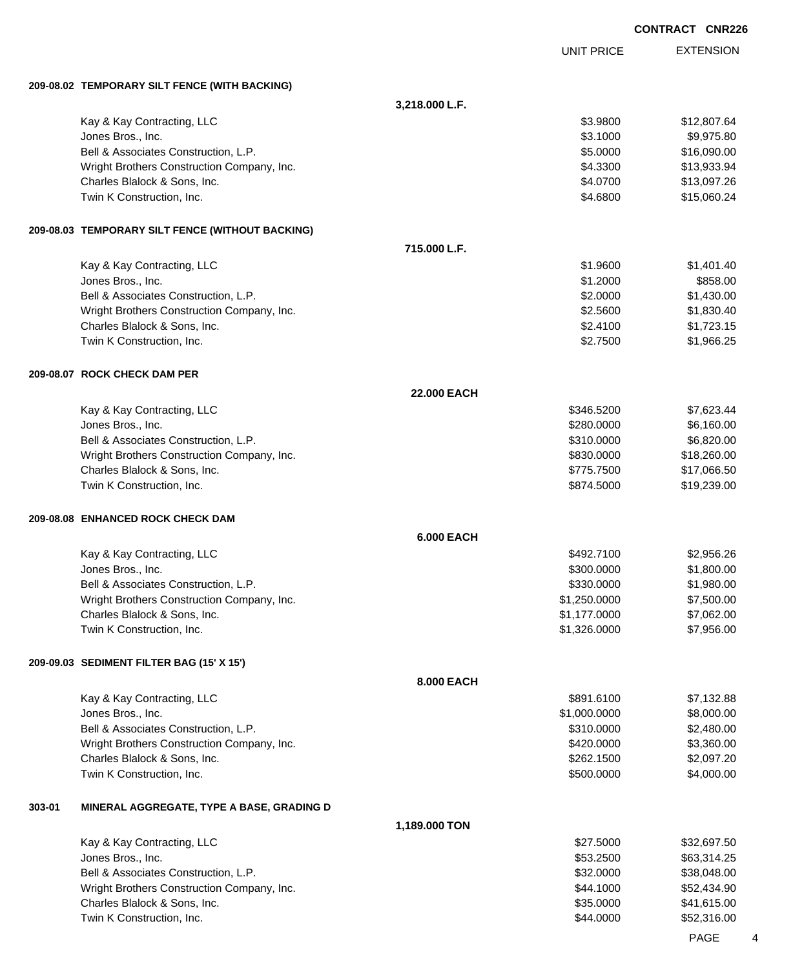|        |                                                  |                    |                   | <b>CONTRACT CNR226</b> |                  |
|--------|--------------------------------------------------|--------------------|-------------------|------------------------|------------------|
|        |                                                  |                    | <b>UNIT PRICE</b> |                        | <b>EXTENSION</b> |
|        | 209-08.02 TEMPORARY SILT FENCE (WITH BACKING)    |                    |                   |                        |                  |
|        |                                                  | 3,218.000 L.F.     |                   |                        |                  |
|        | Kay & Kay Contracting, LLC                       |                    | \$3.9800          |                        | \$12,807.64      |
|        | Jones Bros., Inc.                                |                    | \$3.1000          |                        | \$9,975.80       |
|        | Bell & Associates Construction, L.P.             |                    | \$5.0000          |                        | \$16,090.00      |
|        | Wright Brothers Construction Company, Inc.       |                    | \$4.3300          |                        | \$13,933.94      |
|        | Charles Blalock & Sons, Inc.                     |                    | \$4.0700          |                        | \$13,097.26      |
|        | Twin K Construction, Inc.                        |                    | \$4.6800          |                        | \$15,060.24      |
|        | 209-08.03 TEMPORARY SILT FENCE (WITHOUT BACKING) |                    |                   |                        |                  |
|        |                                                  | 715.000 L.F.       |                   |                        |                  |
|        | Kay & Kay Contracting, LLC                       |                    | \$1.9600          |                        | \$1,401.40       |
|        | Jones Bros., Inc.                                |                    | \$1.2000          |                        | \$858.00         |
|        | Bell & Associates Construction, L.P.             |                    | \$2.0000          |                        | \$1,430.00       |
|        | Wright Brothers Construction Company, Inc.       |                    | \$2.5600          |                        | \$1,830.40       |
|        | Charles Blalock & Sons, Inc.                     |                    | \$2.4100          |                        | \$1,723.15       |
|        | Twin K Construction, Inc.                        |                    | \$2.7500          |                        | \$1,966.25       |
|        | 209-08.07 ROCK CHECK DAM PER                     |                    |                   |                        |                  |
|        |                                                  | <b>22.000 EACH</b> |                   |                        |                  |
|        | Kay & Kay Contracting, LLC                       |                    | \$346.5200        |                        | \$7,623.44       |
|        | Jones Bros., Inc.                                |                    | \$280.0000        |                        | \$6,160.00       |
|        | Bell & Associates Construction, L.P.             |                    | \$310.0000        |                        | \$6,820.00       |
|        | Wright Brothers Construction Company, Inc.       |                    | \$830.0000        |                        | \$18,260.00      |
|        | Charles Blalock & Sons, Inc.                     |                    | \$775.7500        |                        | \$17,066.50      |
|        | Twin K Construction, Inc.                        |                    | \$874.5000        |                        | \$19,239.00      |
|        | 209-08.08 ENHANCED ROCK CHECK DAM                |                    |                   |                        |                  |
|        |                                                  | <b>6.000 EACH</b>  |                   |                        |                  |
|        | Kay & Kay Contracting, LLC                       |                    | \$492.7100        |                        | \$2,956.26       |
|        | Jones Bros., Inc.                                |                    | \$300.0000        |                        | \$1,800.00       |
|        | Bell & Associates Construction, L.P.             |                    | \$330.0000        |                        | \$1,980.00       |
|        | Wright Brothers Construction Company, Inc.       |                    | \$1,250.0000      |                        | \$7,500.00       |
|        | Charles Blalock & Sons, Inc.                     |                    | \$1,177.0000      |                        | \$7,062.00       |
|        | Twin K Construction, Inc.                        |                    | \$1,326.0000      |                        | \$7,956.00       |
|        | 209-09.03 SEDIMENT FILTER BAG (15' X 15')        |                    |                   |                        |                  |
|        |                                                  | 8.000 EACH         |                   |                        |                  |
|        | Kay & Kay Contracting, LLC                       |                    | \$891.6100        |                        | \$7,132.88       |
|        | Jones Bros., Inc.                                |                    | \$1,000.0000      |                        | \$8,000.00       |
|        | Bell & Associates Construction, L.P.             |                    | \$310.0000        |                        | \$2,480.00       |
|        | Wright Brothers Construction Company, Inc.       |                    | \$420.0000        |                        | \$3,360.00       |
|        | Charles Blalock & Sons, Inc.                     |                    | \$262.1500        |                        | \$2,097.20       |
|        | Twin K Construction, Inc.                        |                    | \$500.0000        |                        | \$4,000.00       |
| 303-01 | MINERAL AGGREGATE, TYPE A BASE, GRADING D        |                    |                   |                        |                  |
|        |                                                  | 1,189.000 TON      |                   |                        |                  |
|        | Kay & Kay Contracting, LLC                       |                    | \$27.5000         |                        | \$32,697.50      |
|        | Jones Bros., Inc.                                |                    | \$53.2500         |                        | \$63,314.25      |
|        | Bell & Associates Construction, L.P.             |                    | \$32.0000         |                        | \$38,048.00      |
|        | Wright Brothers Construction Company, Inc.       |                    | \$44.1000         |                        | \$52,434.90      |
|        | Charles Blalock & Sons, Inc.                     |                    | \$35.0000         |                        | \$41,615.00      |
|        | Twin K Construction, Inc.                        |                    | \$44.0000         |                        | \$52,316.00      |

PAGE 4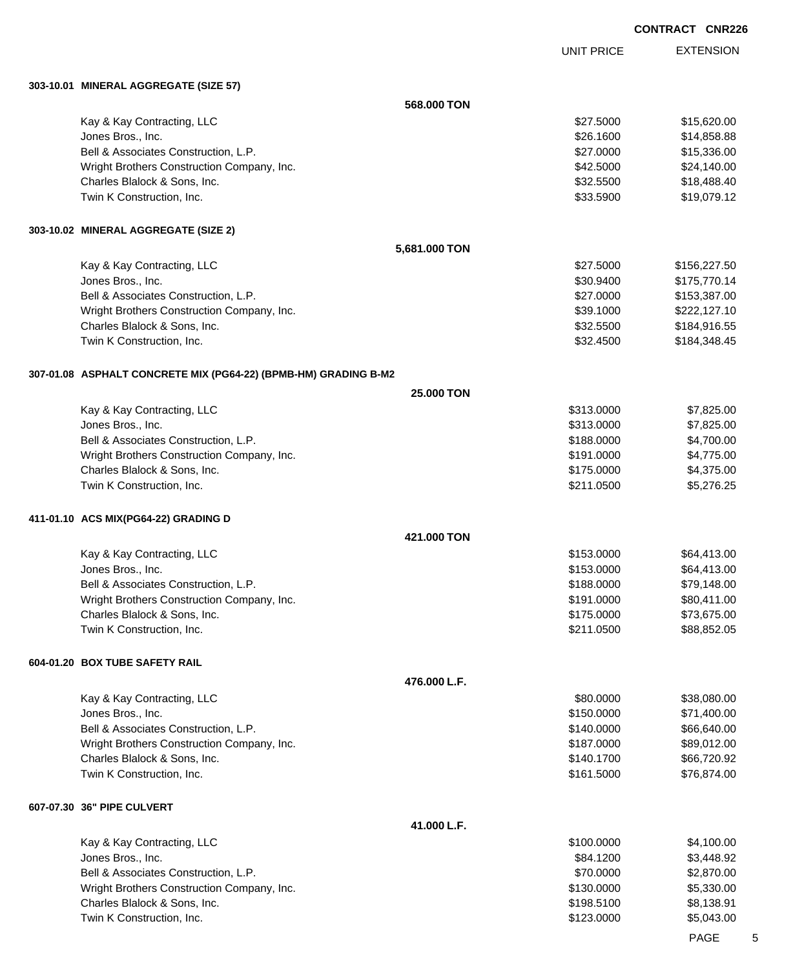UNIT PRICE

EXTENSION

**303-10.01 MINERAL AGGREGATE (SIZE 57)**

| 303-10.01   MINERAL AGGREGATE (SIZE 57)                         |               |            |              |
|-----------------------------------------------------------------|---------------|------------|--------------|
|                                                                 | 568,000 TON   |            |              |
| Kay & Kay Contracting, LLC                                      |               | \$27.5000  | \$15,620.00  |
| Jones Bros., Inc.                                               |               | \$26.1600  | \$14,858.88  |
| Bell & Associates Construction, L.P.                            |               | \$27.0000  | \$15,336.00  |
| Wright Brothers Construction Company, Inc.                      |               | \$42.5000  | \$24,140.00  |
| Charles Blalock & Sons, Inc.                                    |               | \$32.5500  | \$18,488.40  |
| Twin K Construction, Inc.                                       |               | \$33.5900  | \$19,079.12  |
| 303-10.02 MINERAL AGGREGATE (SIZE 2)                            |               |            |              |
|                                                                 | 5,681.000 TON |            |              |
| Kay & Kay Contracting, LLC                                      |               | \$27.5000  | \$156,227.50 |
| Jones Bros., Inc.                                               |               | \$30.9400  | \$175,770.14 |
| Bell & Associates Construction, L.P.                            |               | \$27.0000  | \$153,387.00 |
| Wright Brothers Construction Company, Inc.                      |               | \$39.1000  | \$222,127.10 |
| Charles Blalock & Sons, Inc.                                    |               | \$32.5500  | \$184,916.55 |
| Twin K Construction, Inc.                                       |               | \$32.4500  | \$184,348.45 |
| 307-01.08 ASPHALT CONCRETE MIX (PG64-22) (BPMB-HM) GRADING B-M2 |               |            |              |
|                                                                 | 25.000 TON    |            |              |
| Kay & Kay Contracting, LLC                                      |               | \$313.0000 | \$7,825.00   |
| Jones Bros., Inc.                                               |               | \$313.0000 | \$7,825.00   |
| Bell & Associates Construction, L.P.                            |               | \$188.0000 | \$4,700.00   |
| Wright Brothers Construction Company, Inc.                      |               | \$191.0000 | \$4,775.00   |
| Charles Blalock & Sons, Inc.                                    |               | \$175.0000 | \$4,375.00   |
| Twin K Construction, Inc.                                       |               | \$211.0500 | \$5,276.25   |
| 411-01.10 ACS MIX(PG64-22) GRADING D                            |               |            |              |
|                                                                 | 421.000 TON   |            |              |
| Kay & Kay Contracting, LLC                                      |               | \$153.0000 | \$64,413.00  |
| Jones Bros., Inc.                                               |               | \$153.0000 | \$64,413.00  |
| Bell & Associates Construction, L.P.                            |               | \$188.0000 | \$79,148.00  |
| Wright Brothers Construction Company, Inc.                      |               | \$191.0000 | \$80,411.00  |
| Charles Blalock & Sons, Inc.                                    |               | \$175.0000 | \$73,675.00  |
| Twin K Construction, Inc.                                       |               | \$211.0500 | \$88,852.05  |
| 604-01.20 BOX TUBE SAFETY RAIL                                  |               |            |              |
|                                                                 | 476.000 L.F.  |            |              |
| Kay & Kay Contracting, LLC                                      |               | \$80.0000  | \$38,080.00  |
| Jones Bros., Inc.                                               |               | \$150.0000 | \$71,400.00  |
| Bell & Associates Construction, L.P.                            |               | \$140.0000 | \$66,640.00  |
| Wright Brothers Construction Company, Inc.                      |               | \$187.0000 | \$89,012.00  |
| Charles Blalock & Sons, Inc.                                    |               | \$140.1700 | \$66,720.92  |
| Twin K Construction, Inc.                                       |               | \$161.5000 | \$76,874.00  |
| 607-07.30 36" PIPE CULVERT                                      |               |            |              |
|                                                                 | 41.000 L.F.   |            |              |
| Kay & Kay Contracting, LLC                                      |               | \$100.0000 | \$4,100.00   |
| Jones Bros., Inc.                                               |               | \$84.1200  | \$3,448.92   |
| Bell & Associates Construction, L.P.                            |               | \$70.0000  | \$2,870.00   |
| Wright Brothers Construction Company, Inc.                      |               | \$130.0000 | \$5,330.00   |
| Charles Blalock & Sons, Inc.                                    |               | \$198.5100 | \$8,138.91   |
| Twin K Construction, Inc.                                       |               | \$123.0000 | \$5,043.00   |
|                                                                 |               |            |              |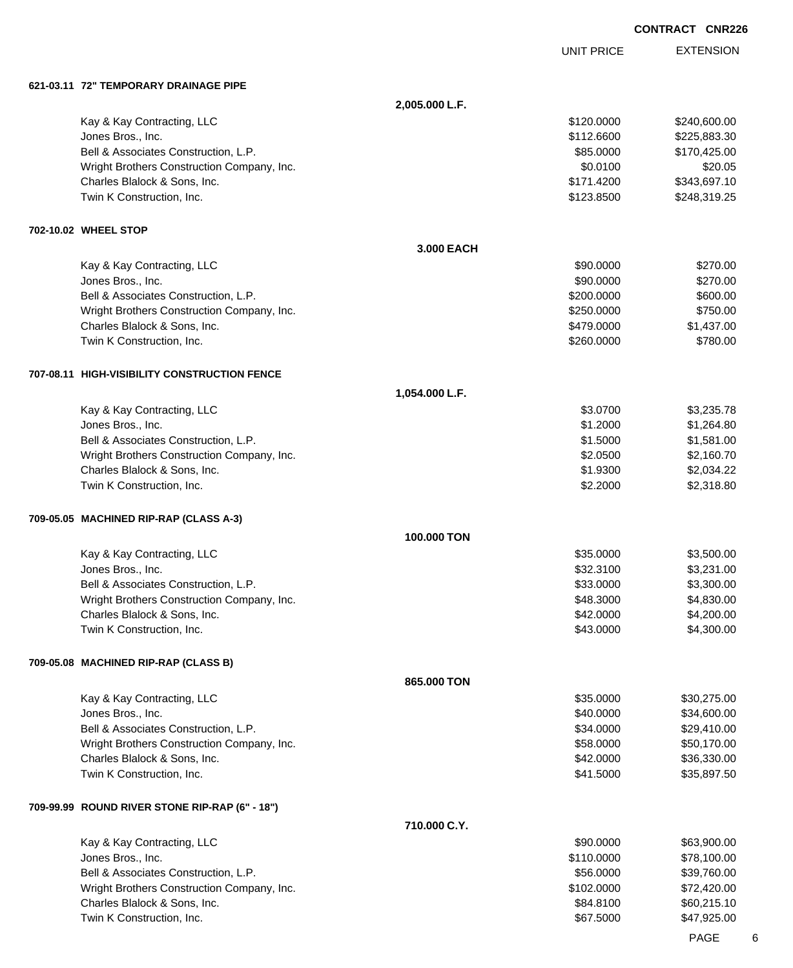|                                                                            |                |                          | <b>CONTRACT CNR226</b>     |
|----------------------------------------------------------------------------|----------------|--------------------------|----------------------------|
|                                                                            |                | <b>UNIT PRICE</b>        | <b>EXTENSION</b>           |
| 621-03.11   72" TEMPORARY DRAINAGE PIPE                                    |                |                          |                            |
|                                                                            | 2,005.000 L.F. |                          |                            |
| Kay & Kay Contracting, LLC                                                 |                | \$120.0000               | \$240,600.00               |
| Jones Bros., Inc.                                                          |                | \$112.6600               | \$225,883.30               |
| Bell & Associates Construction, L.P.                                       |                | \$85.0000                | \$170,425.00               |
| Wright Brothers Construction Company, Inc.                                 |                | \$0.0100                 | \$20.05                    |
| Charles Blalock & Sons, Inc.                                               |                | \$171.4200               | \$343,697.10               |
| Twin K Construction, Inc.                                                  |                | \$123.8500               | \$248,319.25               |
| 702-10.02 WHEEL STOP                                                       |                |                          |                            |
|                                                                            | 3.000 EACH     |                          |                            |
| Kay & Kay Contracting, LLC                                                 |                | \$90.0000                | \$270.00                   |
| Jones Bros., Inc.                                                          |                | \$90.0000                | \$270.00                   |
| Bell & Associates Construction, L.P.                                       |                | \$200.0000               | \$600.00                   |
| Wright Brothers Construction Company, Inc.                                 |                | \$250.0000               | \$750.00                   |
| Charles Blalock & Sons, Inc.<br>Twin K Construction, Inc.                  |                | \$479.0000<br>\$260.0000 | \$1,437.00<br>\$780.00     |
|                                                                            |                |                          |                            |
| 707-08.11 HIGH-VISIBILITY CONSTRUCTION FENCE                               |                |                          |                            |
|                                                                            | 1,054.000 L.F. |                          |                            |
| Kay & Kay Contracting, LLC                                                 |                | \$3.0700                 | \$3,235.78                 |
| Jones Bros., Inc.                                                          |                | \$1.2000                 | \$1,264.80                 |
| Bell & Associates Construction, L.P.                                       |                | \$1.5000                 | \$1,581.00                 |
| Wright Brothers Construction Company, Inc.<br>Charles Blalock & Sons, Inc. |                | \$2.0500<br>\$1.9300     | \$2,160.70<br>\$2,034.22   |
| Twin K Construction, Inc.                                                  |                | \$2.2000                 | \$2,318.80                 |
| 709-05.05 MACHINED RIP-RAP (CLASS A-3)                                     |                |                          |                            |
|                                                                            | 100.000 TON    |                          |                            |
| Kay & Kay Contracting, LLC                                                 |                | \$35.0000                | \$3,500.00                 |
| Jones Bros., Inc.                                                          |                | \$32.3100                | \$3,231.00                 |
| Bell & Associates Construction, L.P.                                       |                | \$33.0000                | \$3,300.00                 |
| Wright Brothers Construction Company, Inc.                                 |                | \$48.3000                | \$4,830.00                 |
| Charles Blalock & Sons, Inc.                                               |                | \$42.0000                | \$4,200.00                 |
| Twin K Construction, Inc.                                                  |                | \$43.0000                | \$4,300.00                 |
| 709-05.08 MACHINED RIP-RAP (CLASS B)                                       |                |                          |                            |
|                                                                            | 865.000 TON    |                          |                            |
| Kay & Kay Contracting, LLC                                                 |                | \$35.0000                | \$30,275.00                |
| Jones Bros., Inc.                                                          |                | \$40.0000                | \$34,600.00                |
| Bell & Associates Construction, L.P.                                       |                | \$34.0000                | \$29,410.00                |
| Wright Brothers Construction Company, Inc.                                 |                | \$58.0000                | \$50,170.00                |
| Charles Blalock & Sons, Inc.<br>Twin K Construction, Inc.                  |                | \$42.0000<br>\$41.5000   | \$36,330.00<br>\$35,897.50 |
|                                                                            |                |                          |                            |
| 709-99.99 ROUND RIVER STONE RIP-RAP (6" - 18")                             | 710.000 C.Y.   |                          |                            |
| Kay & Kay Contracting, LLC                                                 |                | \$90.0000                | \$63,900.00                |
| Jones Bros., Inc.                                                          |                | \$110.0000               | \$78,100.00                |
| Bell & Associates Construction, L.P.                                       |                | \$56.0000                | \$39,760.00                |
| Wright Brothers Construction Company, Inc.                                 |                | \$102.0000               | \$72,420.00                |
| Charles Blalock & Sons, Inc.                                               |                | \$84.8100                | \$60,215.10                |
| Twin K Construction, Inc.                                                  |                | \$67.5000                | \$47,925.00                |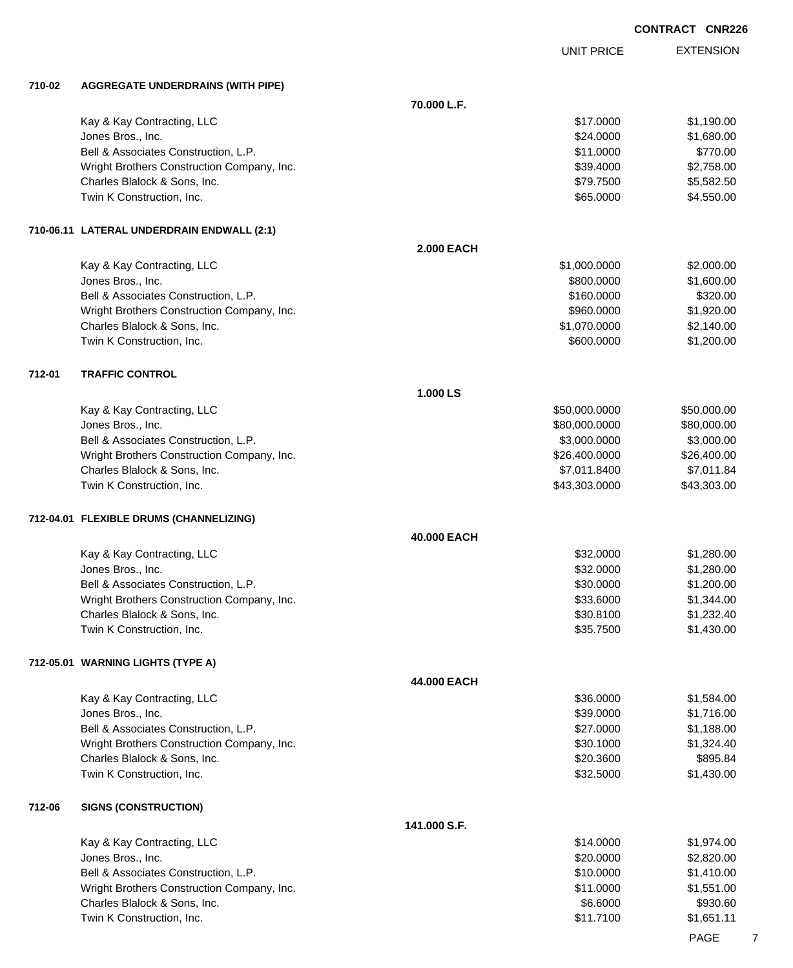|        |                                            |                   | <b>UNIT PRICE</b> | <b>EXTENSION</b> |
|--------|--------------------------------------------|-------------------|-------------------|------------------|
| 710-02 | <b>AGGREGATE UNDERDRAINS (WITH PIPE)</b>   |                   |                   |                  |
|        |                                            | 70.000 L.F.       |                   |                  |
|        | Kay & Kay Contracting, LLC                 |                   | \$17.0000         | \$1,190.00       |
|        | Jones Bros., Inc.                          |                   | \$24.0000         | \$1,680.00       |
|        | Bell & Associates Construction, L.P.       |                   | \$11.0000         | \$770.00         |
|        | Wright Brothers Construction Company, Inc. |                   | \$39.4000         | \$2,758.00       |
|        | Charles Blalock & Sons, Inc.               |                   | \$79.7500         | \$5,582.50       |
|        | Twin K Construction, Inc.                  |                   | \$65.0000         | \$4,550.00       |
|        | 710-06.11 LATERAL UNDERDRAIN ENDWALL (2:1) |                   |                   |                  |
|        |                                            | <b>2.000 EACH</b> |                   |                  |
|        | Kay & Kay Contracting, LLC                 |                   | \$1,000.0000      | \$2,000.00       |
|        | Jones Bros., Inc.                          |                   | \$800.0000        | \$1,600.00       |
|        | Bell & Associates Construction, L.P.       |                   | \$160.0000        | \$320.00         |
|        | Wright Brothers Construction Company, Inc. |                   | \$960.0000        | \$1,920.00       |
|        | Charles Blalock & Sons, Inc.               |                   | \$1,070.0000      | \$2,140.00       |
|        | Twin K Construction, Inc.                  |                   | \$600.0000        | \$1,200.00       |
| 712-01 | <b>TRAFFIC CONTROL</b>                     |                   |                   |                  |
|        |                                            | 1.000 LS          |                   |                  |
|        | Kay & Kay Contracting, LLC                 |                   | \$50,000.0000     | \$50,000.00      |
|        | Jones Bros., Inc.                          |                   | \$80,000.0000     | \$80,000.00      |
|        | Bell & Associates Construction, L.P.       |                   | \$3,000.0000      | \$3,000.00       |
|        | Wright Brothers Construction Company, Inc. |                   | \$26,400.0000     | \$26,400.00      |
|        | Charles Blalock & Sons, Inc.               |                   | \$7,011.8400      | \$7,011.84       |
|        | Twin K Construction, Inc.                  |                   | \$43,303.0000     | \$43,303.00      |
|        | 712-04.01 FLEXIBLE DRUMS (CHANNELIZING)    |                   |                   |                  |
|        |                                            | 40.000 EACH       |                   |                  |
|        | Kay & Kay Contracting, LLC                 |                   | \$32.0000         | \$1,280.00       |
|        | Jones Bros., Inc.                          |                   | \$32.0000         | \$1,280.00       |
|        | Bell & Associates Construction, L.P        |                   | \$30.0000         | \$1,200.00       |
|        | Wright Brothers Construction Company, Inc. |                   | \$33.6000         | \$1,344.00       |
|        | Charles Blalock & Sons, Inc.               |                   | \$30.8100         | \$1,232.40       |
|        | Twin K Construction, Inc.                  |                   | \$35.7500         | \$1,430.00       |
|        | 712-05.01 WARNING LIGHTS (TYPE A)          |                   |                   |                  |
|        |                                            | 44.000 EACH       |                   |                  |
|        | Kay & Kay Contracting, LLC                 |                   | \$36.0000         | \$1,584.00       |
|        | Jones Bros., Inc.                          |                   | \$39.0000         | \$1,716.00       |
|        | Bell & Associates Construction, L.P.       |                   | \$27.0000         | \$1,188.00       |
|        | Wright Brothers Construction Company, Inc. |                   | \$30.1000         | \$1,324.40       |
|        | Charles Blalock & Sons, Inc.               |                   | \$20.3600         | \$895.84         |
|        | Twin K Construction, Inc.                  |                   | \$32.5000         | \$1,430.00       |
| 712-06 | <b>SIGNS (CONSTRUCTION)</b>                |                   |                   |                  |
|        |                                            | 141.000 S.F.      |                   |                  |
|        | Kay & Kay Contracting, LLC                 |                   | \$14.0000         | \$1,974.00       |
|        | Jones Bros., Inc.                          |                   | \$20.0000         | \$2,820.00       |
|        | Bell & Associates Construction, L.P.       |                   | \$10.0000         | \$1,410.00       |
|        | Wright Brothers Construction Company, Inc. |                   | \$11.0000         | \$1,551.00       |
|        | Charles Blalock & Sons, Inc.               |                   | \$6.6000          | \$930.60         |
|        | Twin K Construction, Inc.                  |                   | \$11.7100         | \$1,651.11       |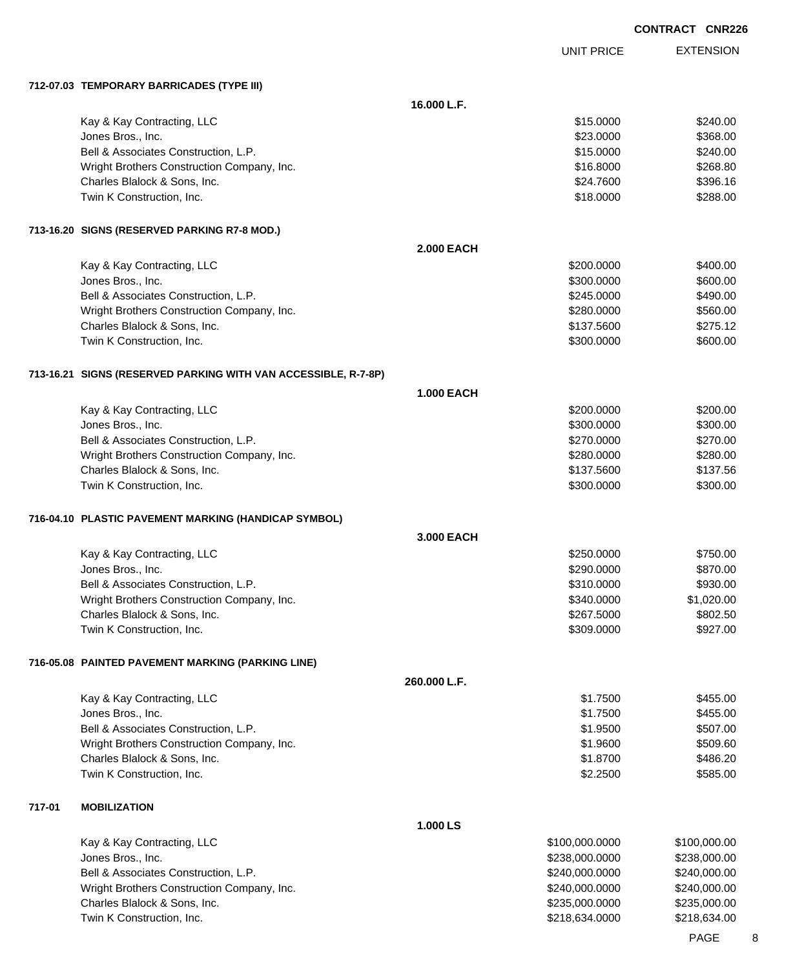|        |                                                                  |                   |                   | <b>CONTRACT CNR226</b> |
|--------|------------------------------------------------------------------|-------------------|-------------------|------------------------|
|        |                                                                  |                   | <b>UNIT PRICE</b> | <b>EXTENSION</b>       |
|        | 712-07.03 TEMPORARY BARRICADES (TYPE III)                        |                   |                   |                        |
|        |                                                                  | 16.000 L.F.       |                   |                        |
|        | Kay & Kay Contracting, LLC                                       |                   | \$15.0000         | \$240.00               |
|        | Jones Bros., Inc.                                                |                   | \$23.0000         | \$368.00               |
|        | Bell & Associates Construction, L.P.                             |                   | \$15.0000         | \$240.00               |
|        | Wright Brothers Construction Company, Inc.                       |                   | \$16.8000         | \$268.80               |
|        | Charles Blalock & Sons, Inc.                                     |                   | \$24.7600         | \$396.16               |
|        | Twin K Construction, Inc.                                        |                   | \$18.0000         | \$288.00               |
|        | 713-16.20 SIGNS (RESERVED PARKING R7-8 MOD.)                     |                   |                   |                        |
|        |                                                                  | <b>2.000 EACH</b> |                   |                        |
|        | Kay & Kay Contracting, LLC                                       |                   | \$200.0000        | \$400.00               |
|        | Jones Bros., Inc.                                                |                   | \$300.0000        | \$600.00               |
|        | Bell & Associates Construction, L.P.                             |                   | \$245.0000        | \$490.00               |
|        | Wright Brothers Construction Company, Inc.                       |                   | \$280.0000        | \$560.00               |
|        | Charles Blalock & Sons, Inc.                                     |                   | \$137.5600        | \$275.12               |
|        | Twin K Construction, Inc.                                        |                   | \$300.0000        | \$600.00               |
|        | 713-16.21   SIGNS (RESERVED PARKING WITH VAN ACCESSIBLE, R-7-8P) |                   |                   |                        |
|        |                                                                  | <b>1.000 EACH</b> |                   |                        |
|        | Kay & Kay Contracting, LLC                                       |                   | \$200.0000        | \$200.00               |
|        | Jones Bros., Inc.                                                |                   | \$300.0000        | \$300.00               |
|        | Bell & Associates Construction, L.P.                             |                   | \$270.0000        | \$270.00               |
|        | Wright Brothers Construction Company, Inc.                       |                   | \$280.0000        | \$280.00               |
|        | Charles Blalock & Sons, Inc.                                     |                   | \$137.5600        | \$137.56               |
|        | Twin K Construction, Inc.                                        |                   | \$300.0000        | \$300.00               |
|        | 716-04.10 PLASTIC PAVEMENT MARKING (HANDICAP SYMBOL)             |                   |                   |                        |
|        |                                                                  | 3.000 EACH        |                   |                        |
|        | Kay & Kay Contracting, LLC                                       |                   | \$250.0000        | \$750.00               |
|        | Jones Bros., Inc.                                                |                   | \$290.0000        | \$870.00               |
|        | Bell & Associates Construction, L.P.                             |                   | \$310.0000        | \$930.00               |
|        | Wright Brothers Construction Company, Inc.                       |                   | \$340.0000        | \$1,020.00             |
|        | Charles Blalock & Sons, Inc.                                     |                   | \$267.5000        | \$802.50               |
|        | Twin K Construction, Inc.                                        |                   | \$309.0000        | \$927.00               |
|        | 716-05.08 PAINTED PAVEMENT MARKING (PARKING LINE)                |                   |                   |                        |
|        |                                                                  | 260.000 L.F.      |                   |                        |
|        | Kay & Kay Contracting, LLC                                       |                   | \$1.7500          | \$455.00               |
|        | Jones Bros., Inc.                                                |                   | \$1.7500          | \$455.00               |
|        | Bell & Associates Construction, L.P.                             |                   | \$1.9500          | \$507.00               |
|        | Wright Brothers Construction Company, Inc.                       |                   | \$1.9600          | \$509.60               |
|        | Charles Blalock & Sons, Inc.                                     |                   | \$1.8700          | \$486.20               |
|        | Twin K Construction, Inc.                                        |                   | \$2.2500          | \$585.00               |
| 717-01 | <b>MOBILIZATION</b>                                              |                   |                   |                        |
|        |                                                                  | 1.000 LS          |                   |                        |
|        | Kay & Kay Contracting, LLC                                       |                   | \$100,000.0000    | \$100,000.00           |
|        | Jones Bros., Inc.                                                |                   | \$238,000.0000    | \$238,000.00           |
|        | Bell & Associates Construction, L.P.                             |                   | \$240,000.0000    | \$240,000.00           |
|        | Wright Brothers Construction Company, Inc.                       |                   | \$240,000.0000    | \$240,000.00           |
|        | Charles Blalock & Sons, Inc.                                     |                   | \$235,000.0000    | \$235,000.00           |

Twin K Construction, Inc. 634.000 \$218,634.000 \$218,634.000 \$218,634.000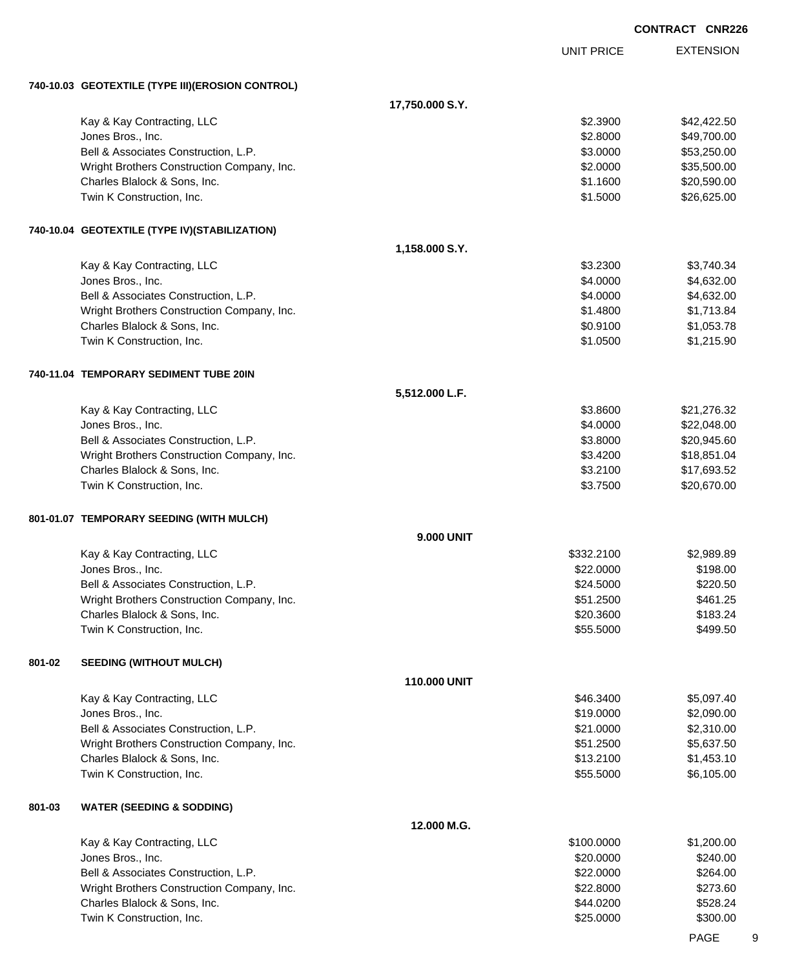|        |                                                  |                   |                   | <b>CONTRACT CNR226</b> |  |
|--------|--------------------------------------------------|-------------------|-------------------|------------------------|--|
|        |                                                  |                   | <b>UNIT PRICE</b> | <b>EXTENSION</b>       |  |
|        | 740-10.03 GEOTEXTILE (TYPE III)(EROSION CONTROL) |                   |                   |                        |  |
|        |                                                  | 17,750.000 S.Y.   |                   |                        |  |
|        | Kay & Kay Contracting, LLC                       |                   | \$2.3900          | \$42,422.50            |  |
|        | Jones Bros., Inc.                                |                   | \$2.8000          | \$49,700.00            |  |
|        | Bell & Associates Construction, L.P.             |                   | \$3.0000          | \$53,250.00            |  |
|        | Wright Brothers Construction Company, Inc.       |                   | \$2.0000          | \$35,500.00            |  |
|        | Charles Blalock & Sons, Inc.                     |                   | \$1.1600          | \$20,590.00            |  |
|        | Twin K Construction, Inc.                        |                   | \$1.5000          | \$26,625.00            |  |
|        | 740-10.04 GEOTEXTILE (TYPE IV)(STABILIZATION)    |                   |                   |                        |  |
|        |                                                  | 1,158.000 S.Y.    |                   |                        |  |
|        | Kay & Kay Contracting, LLC                       |                   | \$3.2300          | \$3,740.34             |  |
|        | Jones Bros., Inc.                                |                   | \$4.0000          | \$4,632.00             |  |
|        | Bell & Associates Construction, L.P.             |                   | \$4.0000          | \$4,632.00             |  |
|        | Wright Brothers Construction Company, Inc.       |                   | \$1.4800          | \$1,713.84             |  |
|        | Charles Blalock & Sons, Inc.                     |                   | \$0.9100          | \$1,053.78             |  |
|        | Twin K Construction, Inc.                        |                   | \$1.0500          | \$1,215.90             |  |
|        | 740-11.04 TEMPORARY SEDIMENT TUBE 20IN           |                   |                   |                        |  |
|        |                                                  | 5,512.000 L.F.    |                   |                        |  |
|        | Kay & Kay Contracting, LLC                       |                   | \$3.8600          | \$21,276.32            |  |
|        | Jones Bros., Inc.                                |                   | \$4.0000          | \$22,048.00            |  |
|        | Bell & Associates Construction, L.P.             |                   | \$3.8000          | \$20,945.60            |  |
|        | Wright Brothers Construction Company, Inc.       |                   | \$3.4200          | \$18,851.04            |  |
|        | Charles Blalock & Sons, Inc.                     |                   | \$3.2100          | \$17,693.52            |  |
|        | Twin K Construction, Inc.                        |                   | \$3.7500          | \$20,670.00            |  |
|        | 801-01.07 TEMPORARY SEEDING (WITH MULCH)         |                   |                   |                        |  |
|        |                                                  | <b>9.000 UNIT</b> |                   |                        |  |
|        | Kay & Kay Contracting, LLC                       |                   | \$332.2100        | \$2,989.89             |  |
|        | Jones Bros., Inc.                                |                   | \$22.0000         | \$198.00               |  |
|        | Bell & Associates Construction, L.P.             |                   | \$24.5000         | \$220.50               |  |
|        | Wright Brothers Construction Company, Inc.       |                   | \$51.2500         | \$461.25               |  |
|        | Charles Blalock & Sons, Inc.                     |                   | \$20.3600         | \$183.24               |  |
|        | Twin K Construction, Inc.                        |                   | \$55.5000         | \$499.50               |  |
| 801-02 | <b>SEEDING (WITHOUT MULCH)</b>                   |                   |                   |                        |  |
|        |                                                  | 110.000 UNIT      |                   |                        |  |
|        | Kay & Kay Contracting, LLC                       |                   | \$46.3400         | \$5,097.40             |  |
|        | Jones Bros., Inc.                                |                   | \$19.0000         | \$2,090.00             |  |
|        | Bell & Associates Construction, L.P.             |                   | \$21.0000         | \$2,310.00             |  |
|        | Wright Brothers Construction Company, Inc.       |                   | \$51.2500         | \$5,637.50             |  |
|        | Charles Blalock & Sons, Inc.                     |                   | \$13.2100         | \$1,453.10             |  |
|        | Twin K Construction, Inc.                        |                   | \$55.5000         | \$6,105.00             |  |
| 801-03 | <b>WATER (SEEDING &amp; SODDING)</b>             |                   |                   |                        |  |
|        |                                                  | 12.000 M.G.       |                   |                        |  |
|        | Kay & Kay Contracting, LLC                       |                   | \$100.0000        | \$1,200.00             |  |
|        | Jones Bros., Inc.                                |                   | \$20.0000         | \$240.00               |  |
|        | Bell & Associates Construction, L.P.             |                   | \$22.0000         | \$264.00               |  |
|        | Wright Brothers Construction Company, Inc.       |                   | \$22.8000         | \$273.60               |  |
|        | Charles Blalock & Sons, Inc.                     |                   | \$44.0200         | \$528.24               |  |
|        | Twin K Construction, Inc.                        |                   | \$25.0000         | \$300.00               |  |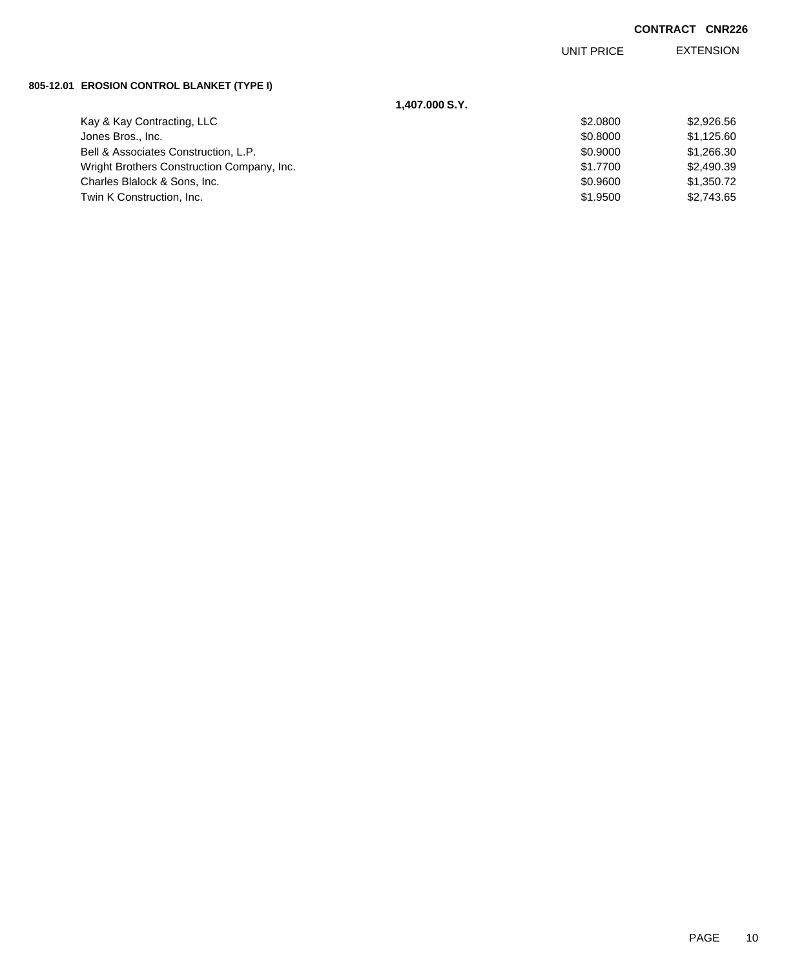EXTENSION UNIT PRICE

### **805-12.01 EROSION CONTROL BLANKET (TYPE I)**

| 1,407.000 S.Y.                             |          |            |
|--------------------------------------------|----------|------------|
| Kay & Kay Contracting, LLC                 | \$2,0800 | \$2,926.56 |
| Jones Bros., Inc.                          | \$0.8000 | \$1,125.60 |
| Bell & Associates Construction, L.P.       | \$0.9000 | \$1,266.30 |
| Wright Brothers Construction Company, Inc. | \$1,7700 | \$2,490.39 |
| Charles Blalock & Sons, Inc.               | \$0.9600 | \$1,350.72 |
| Twin K Construction, Inc.                  | \$1,9500 | \$2,743.65 |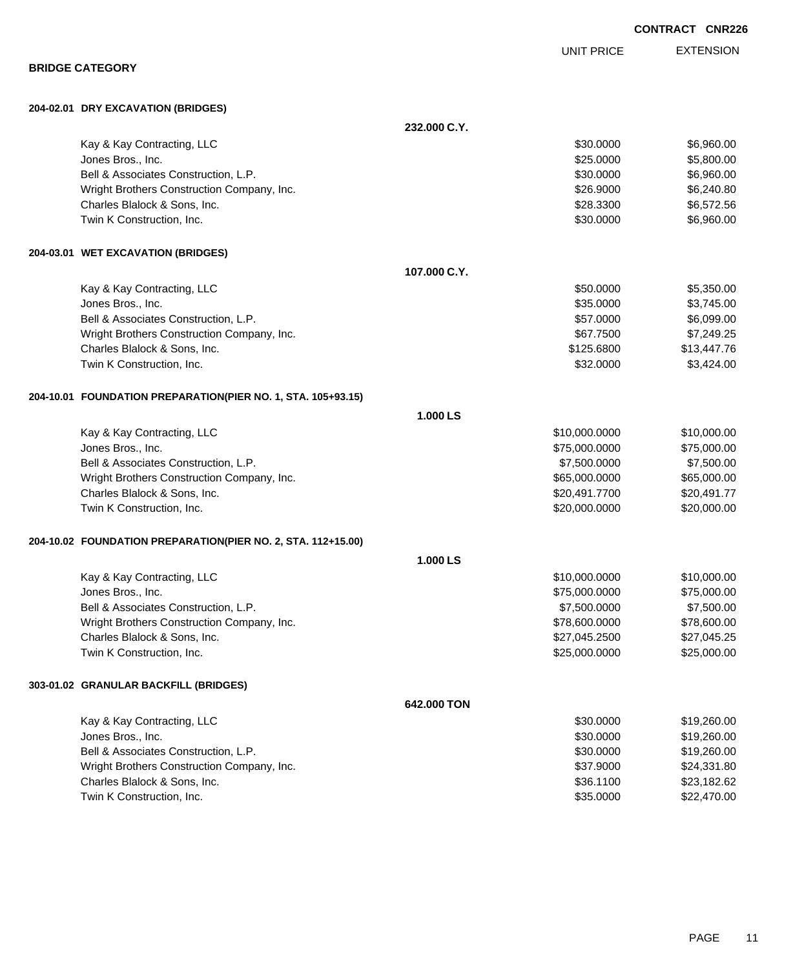|                                                              |              | <b>UNIT PRICE</b> | <b>EXTENSION</b> |
|--------------------------------------------------------------|--------------|-------------------|------------------|
| <b>BRIDGE CATEGORY</b>                                       |              |                   |                  |
| 204-02.01 DRY EXCAVATION (BRIDGES)                           |              |                   |                  |
|                                                              | 232.000 C.Y. |                   |                  |
| Kay & Kay Contracting, LLC                                   |              | \$30.0000         | \$6,960.00       |
| Jones Bros., Inc.                                            |              | \$25.0000         | \$5,800.00       |
| Bell & Associates Construction, L.P.                         |              | \$30.0000         | \$6,960.00       |
| Wright Brothers Construction Company, Inc.                   |              | \$26.9000         | \$6,240.80       |
| Charles Blalock & Sons, Inc.                                 |              | \$28.3300         | \$6,572.56       |
| Twin K Construction, Inc.                                    |              | \$30.0000         | \$6,960.00       |
| 204-03.01 WET EXCAVATION (BRIDGES)                           |              |                   |                  |
|                                                              | 107.000 C.Y. |                   |                  |
| Kay & Kay Contracting, LLC                                   |              | \$50.0000         | \$5,350.00       |
| Jones Bros., Inc.                                            |              | \$35.0000         | \$3,745.00       |
| Bell & Associates Construction, L.P.                         |              | \$57.0000         | \$6,099.00       |
| Wright Brothers Construction Company, Inc.                   |              | \$67.7500         | \$7,249.25       |
| Charles Blalock & Sons, Inc.                                 |              | \$125.6800        | \$13,447.76      |
| Twin K Construction, Inc.                                    |              | \$32.0000         | \$3,424.00       |
| 204-10.01 FOUNDATION PREPARATION(PIER NO. 1, STA. 105+93.15) |              |                   |                  |
|                                                              | 1.000 LS     |                   |                  |
| Kay & Kay Contracting, LLC                                   |              | \$10,000.0000     | \$10,000.00      |
| Jones Bros., Inc.                                            |              | \$75,000.0000     | \$75,000.00      |
| Bell & Associates Construction, L.P.                         |              | \$7,500.0000      | \$7,500.00       |
| Wright Brothers Construction Company, Inc.                   |              | \$65,000.0000     | \$65,000.00      |
| Charles Blalock & Sons, Inc.                                 |              | \$20,491.7700     | \$20,491.77      |
| Twin K Construction, Inc.                                    |              | \$20,000.0000     | \$20,000.00      |
| 204-10.02 FOUNDATION PREPARATION(PIER NO. 2, STA. 112+15.00) |              |                   |                  |
|                                                              | 1.000 LS     |                   |                  |
| Kay & Kay Contracting, LLC                                   |              | \$10,000.0000     | \$10,000.00      |
| Jones Bros., Inc.                                            |              | \$75,000.0000     | \$75,000.00      |
| Bell & Associates Construction, L.P.                         |              | \$7,500.0000      | \$7,500.00       |
| Wright Brothers Construction Company, Inc.                   |              | \$78,600.0000     | \$78,600.00      |
| Charles Blalock & Sons, Inc.                                 |              | \$27,045.2500     | \$27,045.25      |
| Twin K Construction, Inc.                                    |              | \$25,000.0000     | \$25,000.00      |
| 303-01.02 GRANULAR BACKFILL (BRIDGES)                        |              |                   |                  |
|                                                              | 642.000 TON  |                   |                  |
| Kay & Kay Contracting, LLC                                   |              | \$30.0000         | \$19,260.00      |
| Jones Bros., Inc.                                            |              | \$30.0000         | \$19,260.00      |
| Bell & Associates Construction, L.P.                         |              | \$30.0000         | \$19,260.00      |
| Wright Brothers Construction Company, Inc.                   |              | \$37.9000         | \$24,331.80      |
| Charles Blalock & Sons, Inc.                                 |              | \$36.1100         | \$23,182.62      |
| Twin K Construction, Inc.                                    |              | \$35.0000         | \$22,470.00      |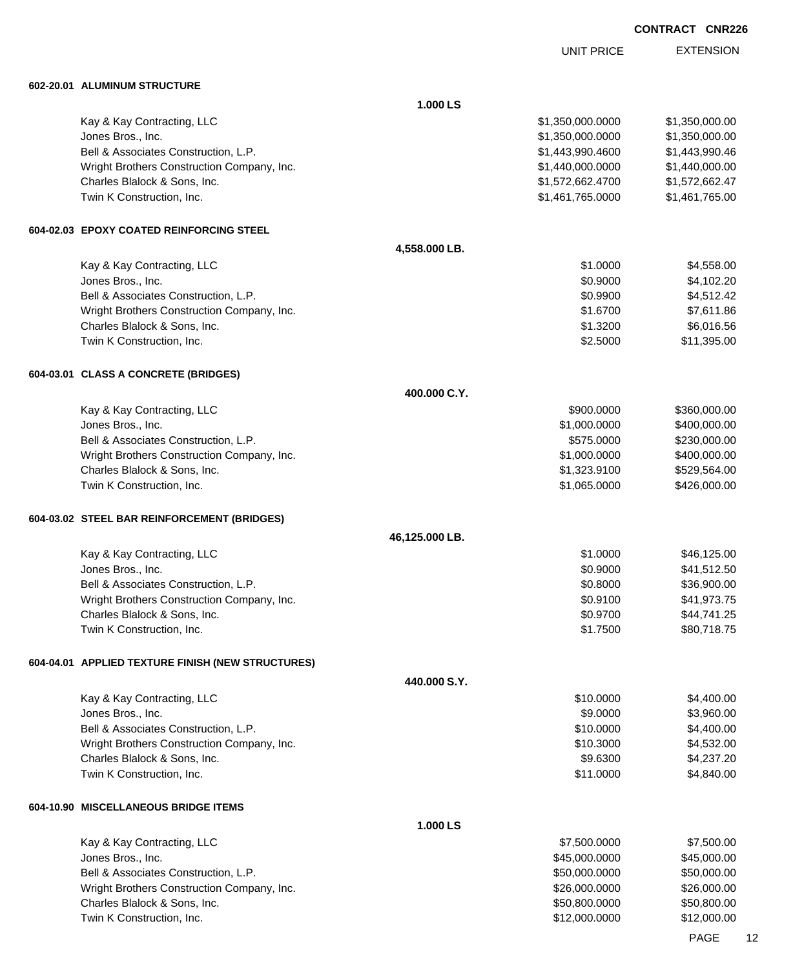UNIT PRICE

EXTENSION

| 602-20.01 ALUMINUM STRUCTURE                      |                |                  |                |
|---------------------------------------------------|----------------|------------------|----------------|
|                                                   | 1.000 LS       |                  |                |
| Kay & Kay Contracting, LLC                        |                | \$1,350,000.0000 | \$1,350,000.00 |
| Jones Bros., Inc.                                 |                | \$1,350,000.0000 | \$1,350,000.00 |
| Bell & Associates Construction, L.P.              |                | \$1,443,990.4600 | \$1,443,990.46 |
| Wright Brothers Construction Company, Inc.        |                | \$1,440,000.0000 | \$1,440,000.00 |
| Charles Blalock & Sons, Inc.                      |                | \$1,572,662.4700 | \$1,572,662.47 |
| Twin K Construction, Inc.                         |                | \$1,461,765.0000 | \$1,461,765.00 |
| 604-02.03 EPOXY COATED REINFORCING STEEL          |                |                  |                |
|                                                   | 4,558.000 LB.  |                  |                |
| Kay & Kay Contracting, LLC                        |                | \$1.0000         | \$4,558.00     |
| Jones Bros., Inc.                                 |                | \$0.9000         | \$4,102.20     |
| Bell & Associates Construction, L.P.              |                | \$0.9900         | \$4,512.42     |
| Wright Brothers Construction Company, Inc.        |                | \$1.6700         | \$7,611.86     |
| Charles Blalock & Sons, Inc.                      |                | \$1.3200         | \$6,016.56     |
| Twin K Construction, Inc.                         |                | \$2.5000         | \$11,395.00    |
| 604-03.01 CLASS A CONCRETE (BRIDGES)              |                |                  |                |
|                                                   | 400.000 C.Y.   |                  |                |
| Kay & Kay Contracting, LLC                        |                | \$900.0000       | \$360,000.00   |
| Jones Bros., Inc.                                 |                | \$1,000.0000     | \$400,000.00   |
| Bell & Associates Construction, L.P.              |                | \$575.0000       | \$230,000.00   |
| Wright Brothers Construction Company, Inc.        |                | \$1,000.0000     | \$400,000.00   |
| Charles Blalock & Sons, Inc.                      |                | \$1,323.9100     | \$529,564.00   |
| Twin K Construction, Inc.                         |                | \$1,065.0000     | \$426,000.00   |
| 604-03.02 STEEL BAR REINFORCEMENT (BRIDGES)       |                |                  |                |
|                                                   | 46,125.000 LB. |                  |                |
| Kay & Kay Contracting, LLC                        |                | \$1.0000         | \$46,125.00    |
| Jones Bros., Inc.                                 |                | \$0.9000         | \$41,512.50    |
| Bell & Associates Construction, L.P.              |                | \$0.8000         | \$36,900.00    |
| Wright Brothers Construction Company, Inc.        |                | \$0.9100         | \$41,973.75    |
| Charles Blalock & Sons, Inc.                      |                | \$0.9700         | \$44,741.25    |
| Twin K Construction, Inc.                         |                | \$1.7500         | \$80,718.75    |
| 604-04.01 APPLIED TEXTURE FINISH (NEW STRUCTURES) |                |                  |                |
|                                                   | 440.000 S.Y.   |                  |                |
| Kay & Kay Contracting, LLC                        |                | \$10.0000        | \$4,400.00     |
| Jones Bros., Inc.                                 |                | \$9.0000         | \$3,960.00     |
| Bell & Associates Construction, L.P.              |                | \$10.0000        | \$4,400.00     |
| Wright Brothers Construction Company, Inc.        |                | \$10.3000        | \$4,532.00     |
| Charles Blalock & Sons, Inc.                      |                | \$9.6300         | \$4,237.20     |
| Twin K Construction, Inc.                         |                | \$11.0000        | \$4,840.00     |
| 604-10.90 MISCELLANEOUS BRIDGE ITEMS              |                |                  |                |
|                                                   | 1.000 LS       |                  |                |
| Kay & Kay Contracting, LLC                        |                | \$7,500.0000     | \$7,500.00     |
| Jones Bros., Inc.                                 |                | \$45,000.0000    | \$45,000.00    |
| Bell & Associates Construction, L.P.              |                | \$50,000.0000    | \$50,000.00    |
| Wright Brothers Construction Company, Inc.        |                | \$26,000.0000    | \$26,000.00    |
| Charles Blalock & Sons, Inc.                      |                | \$50,800.0000    | \$50,800.00    |
| Twin K Construction, Inc.                         |                | \$12,000.0000    | \$12,000.00    |
|                                                   |                |                  |                |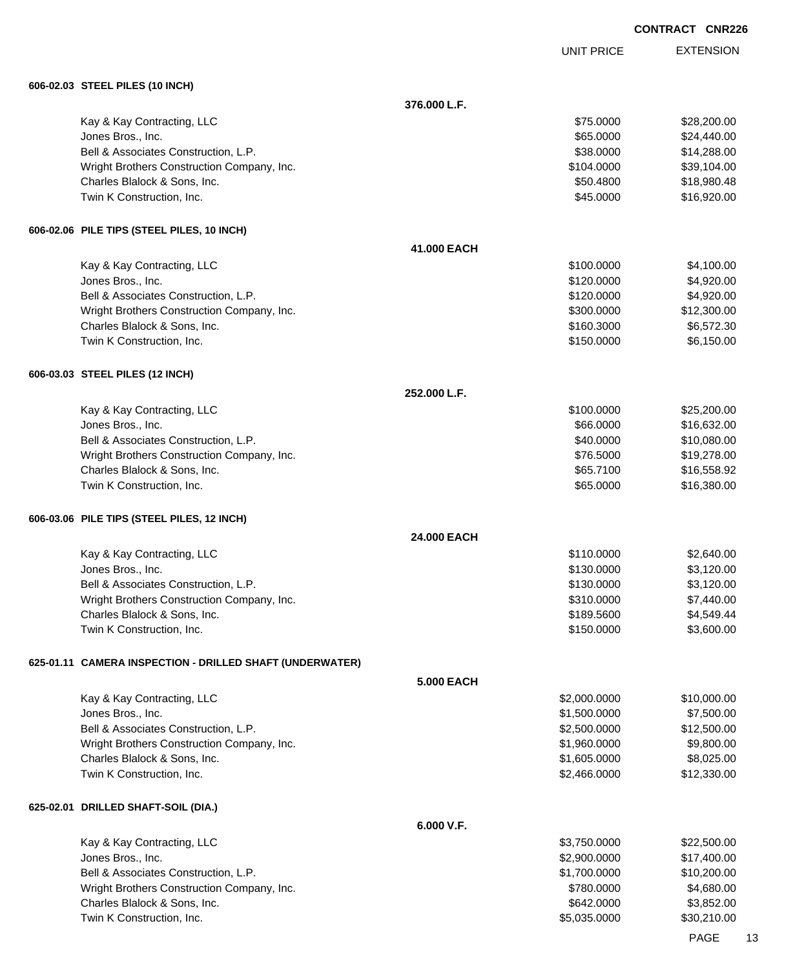EXTENSION **CONTRACT CNR226** UNIT PRICE **606-02.03 STEEL PILES (10 INCH) 376.000 L.F.** Kay & Kay Contracting, LLC 6 and the Contraction of the Contraction of the Contraction of the S28,200.00 \$28,200.00 Jones Bros., Inc. \$65.0000 \$24,440.00 Bell & Associates Construction, L.P. \$14,288.00 \$14,288.00 Wright Brothers Construction Company, Inc. 639,104.000 \$104.000 \$39,104.00 Charles Blalock & Sons, Inc. \$50.4800 \$18,980.48 Twin K Construction, Inc. 6. The Construction, Inc. 6. The Construction of the Construction, Inc. 6. The Const **606-02.06 PILE TIPS (STEEL PILES, 10 INCH) 41.000 EACH** Kay & Kay Contracting, LLC 6. The Contraction of the Contraction of the Contraction of the Contraction of the Contraction of the Contraction of the Contraction of the Contraction of the Contraction of the Contraction of th Jones Bros., Inc. \$120.0000 \$4,920.00 Bell & Associates Construction, L.P.  $$4,920.00$ Wright Brothers Construction Company, Inc. 6. 2002. The state of the state of the state of the state of the state of the state of the state of the state of the state of the state of the state of the state of the state of t Charles Blalock & Sons, Inc. 6. 2012 12:30 12:30 12:30 12:30 12:30 12:30 12:30 12:30 12:30 12:30 12:30 12:30 1 Twin K Construction, Inc. 6. The Construction of the Construction of the Construction, Inc. 6.150.000 \$6,150.00 **606-03.03 STEEL PILES (12 INCH) 252.000 L.F.** Kay & Kay Contracting, LLC 6 and the Contraction of the Contraction of the Contraction of the S25,200.000 \$25,200.00 Jones Bros., Inc. \$66.0000 \$16,632.00 Bell & Associates Construction, L.P.  $$40.0000$  \$10,080.00 Wright Brothers Construction Company, Inc.  $$76.5000$  \$19,278.00 Charles Blalock & Sons, Inc. \$65.7100 \$16,558.92 Twin K Construction, Inc. 665.000 \$16,380.00 **606-03.06 PILE TIPS (STEEL PILES, 12 INCH) 24.000 EACH** Kay & Kay Contracting, LLC 6.640.000 \$2,640.00 Jones Bros., Inc. \$130.0000 \$3,120.00 Bell & Associates Construction, L.P.  $$130.0000$  \$3,120.00 Wright Brothers Construction Company, Inc. 6310.000 \$7,440.00 Charles Blalock & Sons, Inc. 6. 2012 12:30 12:30 12:30 12:30 12:30 12:30 12:30 12:30 12:30 12:30 12:30 12:30 13:44 Twin K Construction, Inc. 6. The construction of the construction of the construction of the construction. Inc. **625-01.11 CAMERA INSPECTION - DRILLED SHAFT (UNDERWATER) 5.000 EACH** Kay & Kay Contracting, LLC 6000000 \$10,000.000 \$2,000.000 \$10,000.000 \$10,000.00 Jones Bros., Inc. \$1,500.0000 \$7,500.00 Bell & Associates Construction, L.P. \$2,500.000 \$2,500.000 \$12,500.00 Wright Brothers Construction Company, Inc. 6. The Construction Company, Inc. 6. The Construction Company, Inc. 59,800.00 Charles Blalock & Sons, Inc. 6. 2012 12:00:000 \$8,025.000 \$8,025.000 \$8,025.000 \$8,025.00 Twin K Construction, Inc. 6. The Construction, Inc. 6. The Construction of the Construction, Inc. 6. The Const **625-02.01 DRILLED SHAFT-SOIL (DIA.) 6.000 V.F.** Kay & Kay Contracting, LLC 6 and the state of the state of the state of the state of the state of the state of the state of the state of the state of the state of the state of the state of the state of the state of the sta Jones Bros., Inc. \$2,900.0000 \$17,400.00 Bell & Associates Construction, L.P. \$1,700.0000 \$1,700.0000 \$10,200.00 Wright Brothers Construction Company, Inc. 6. The Construction Company, Inc. 6780.000 \$4,680.00

Charles Blalock & Sons, Inc. 6. 2010 12:30 12:30 12:30 12:30 12:30 12:30 12:30 12:30 12:30 12:30 13:30 14:30 1 Twin K Construction, Inc. 630,210.00 \$30,210.00 \$5,035.0000 \$30,210.00

PAGE 13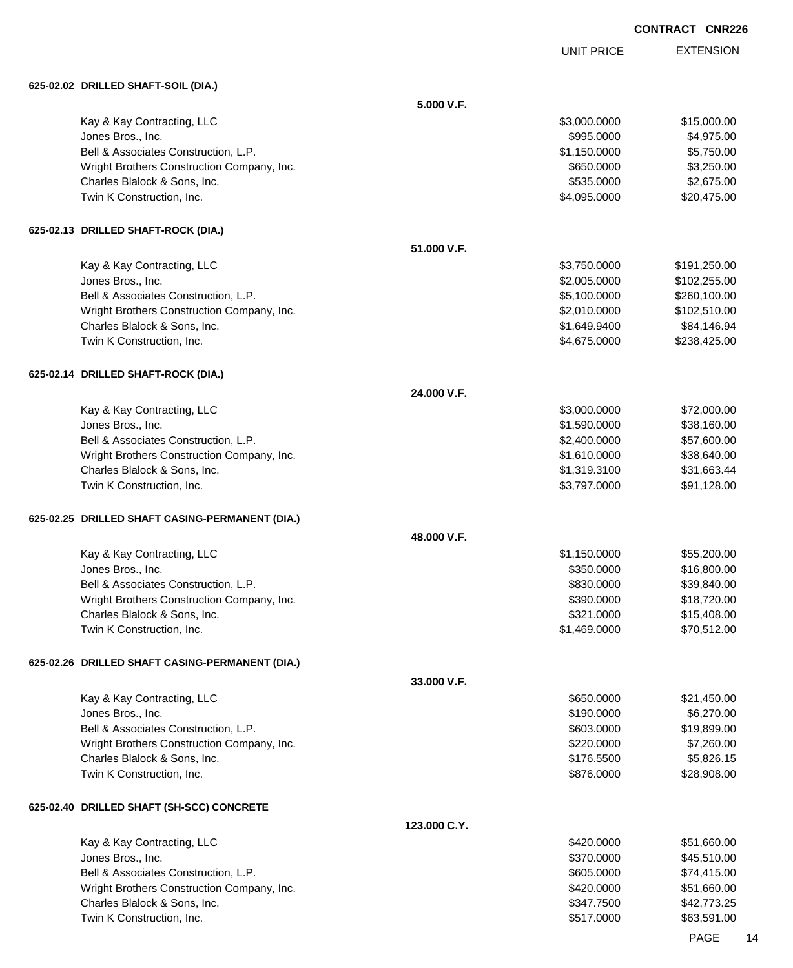UNIT PRICE EXTENSION

| 625-02.02 DRILLED SHAFT-SOIL (DIA.)                       |              |                          |                           |
|-----------------------------------------------------------|--------------|--------------------------|---------------------------|
|                                                           | 5.000 V.F.   |                          |                           |
| Kay & Kay Contracting, LLC                                |              | \$3,000.0000             | \$15,000.00               |
| Jones Bros., Inc.                                         |              | \$995.0000               | \$4,975.00                |
| Bell & Associates Construction, L.P.                      |              | \$1,150.0000             | \$5,750.00                |
| Wright Brothers Construction Company, Inc.                |              | \$650.0000               | \$3,250.00                |
| Charles Blalock & Sons, Inc.                              |              | \$535.0000               | \$2,675.00                |
| Twin K Construction, Inc.                                 |              | \$4,095.0000             | \$20,475.00               |
| 625-02.13 DRILLED SHAFT-ROCK (DIA.)                       |              |                          |                           |
|                                                           | 51.000 V.F.  |                          |                           |
| Kay & Kay Contracting, LLC                                |              | \$3,750.0000             | \$191,250.00              |
| Jones Bros., Inc.                                         |              | \$2,005.0000             | \$102,255.00              |
| Bell & Associates Construction, L.P.                      |              | \$5,100.0000             | \$260,100.00              |
| Wright Brothers Construction Company, Inc.                |              | \$2,010.0000             | \$102,510.00              |
| Charles Blalock & Sons, Inc.                              |              | \$1,649.9400             | \$84,146.94               |
| Twin K Construction, Inc.                                 |              | \$4,675.0000             | \$238,425.00              |
| 625-02.14 DRILLED SHAFT-ROCK (DIA.)                       |              |                          |                           |
|                                                           | 24.000 V.F.  |                          |                           |
| Kay & Kay Contracting, LLC                                |              | \$3,000.0000             | \$72,000.00               |
| Jones Bros., Inc.                                         |              | \$1,590.0000             | \$38,160.00               |
| Bell & Associates Construction, L.P.                      |              | \$2,400.0000             | \$57,600.00               |
| Wright Brothers Construction Company, Inc.                |              | \$1,610.0000             | \$38,640.00               |
| Charles Blalock & Sons, Inc.                              |              | \$1,319.3100             | \$31,663.44               |
| Twin K Construction, Inc.                                 |              | \$3,797.0000             | \$91,128.00               |
| 625-02.25 DRILLED SHAFT CASING-PERMANENT (DIA.)           |              |                          |                           |
|                                                           | 48.000 V.F.  |                          |                           |
| Kay & Kay Contracting, LLC                                |              | \$1,150.0000             | \$55,200.00               |
| Jones Bros., Inc.                                         |              | \$350.0000               | \$16,800.00               |
| Bell & Associates Construction, L.P.                      |              | \$830.0000               | \$39,840.00               |
| Wright Brothers Construction Company, Inc.                |              | \$390.0000               | \$18,720.00               |
| Charles Blalock & Sons, Inc.                              |              | \$321.0000               | \$15,408.00               |
| Twin K Construction, Inc.                                 |              | \$1,469.0000             | \$70,512.00               |
| 625-02.26 DRILLED SHAFT CASING-PERMANENT (DIA.)           |              |                          |                           |
|                                                           | 33.000 V.F.  |                          |                           |
| Kay & Kay Contracting, LLC                                |              | \$650.0000               | \$21,450.00               |
| Jones Bros., Inc.                                         |              | \$190.0000               | \$6,270.00                |
| Bell & Associates Construction, L.P.                      |              | \$603.0000               | \$19,899.00               |
| Wright Brothers Construction Company, Inc.                |              | \$220.0000               | \$7,260.00                |
| Charles Blalock & Sons, Inc.<br>Twin K Construction, Inc. |              | \$176.5500<br>\$876.0000 | \$5,826.15<br>\$28,908.00 |
|                                                           |              |                          |                           |
| 625-02.40 DRILLED SHAFT (SH-SCC) CONCRETE                 | 123.000 C.Y. |                          |                           |
| Kay & Kay Contracting, LLC                                |              | \$420.0000               | \$51,660.00               |
| Jones Bros., Inc.                                         |              | \$370.0000               | \$45,510.00               |
| Bell & Associates Construction, L.P.                      |              | \$605.0000               | \$74,415.00               |
| Wright Brothers Construction Company, Inc.                |              | \$420.0000               | \$51,660.00               |
| Charles Blalock & Sons, Inc.                              |              | \$347.7500               | \$42,773.25               |
| Twin K Construction, Inc.                                 |              | \$517.0000               | \$63,591.00               |
|                                                           |              |                          |                           |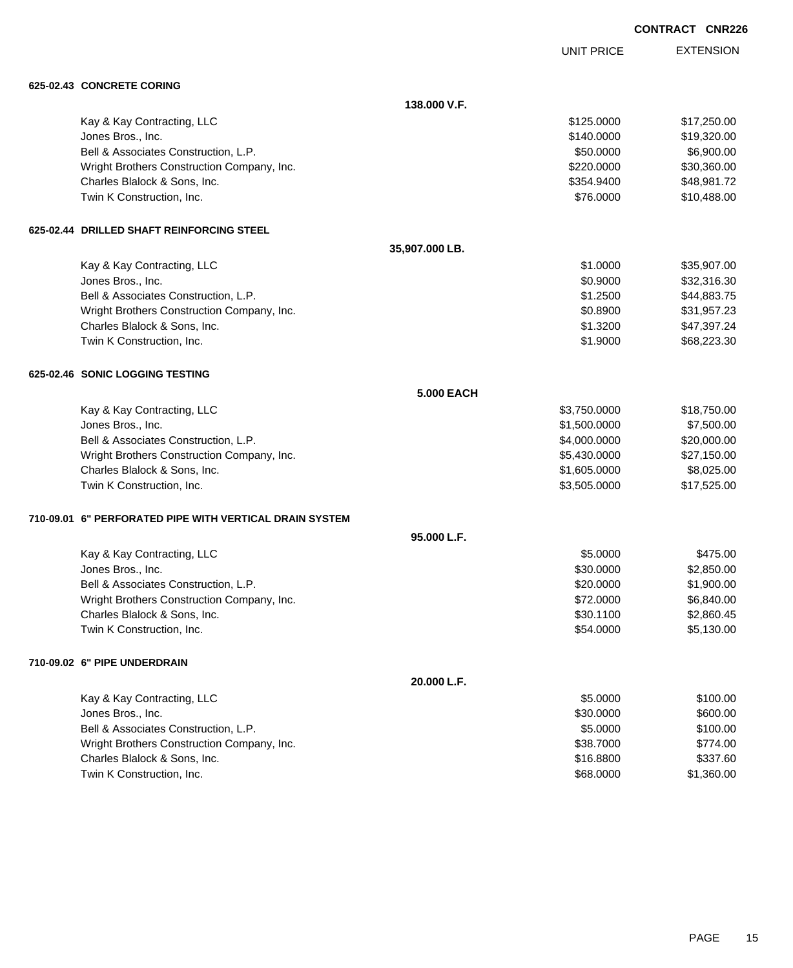|  | <b>CONTRACT CNR226</b> |
|--|------------------------|
|  |                        |

UNIT PRICE

EXTENSION

| 625-02.43 CONCRETE CORING                               |                   |              |             |
|---------------------------------------------------------|-------------------|--------------|-------------|
|                                                         | 138.000 V.F.      |              |             |
| Kay & Kay Contracting, LLC                              |                   | \$125.0000   | \$17,250.00 |
| Jones Bros., Inc.                                       |                   | \$140.0000   | \$19,320.00 |
| Bell & Associates Construction, L.P.                    |                   | \$50.0000    | \$6,900.00  |
| Wright Brothers Construction Company, Inc.              |                   | \$220.0000   | \$30,360.00 |
| Charles Blalock & Sons, Inc.                            |                   | \$354.9400   | \$48,981.72 |
| Twin K Construction, Inc.                               |                   | \$76.0000    | \$10,488.00 |
| 625-02.44 DRILLED SHAFT REINFORCING STEEL               |                   |              |             |
|                                                         | 35,907.000 LB.    |              |             |
| Kay & Kay Contracting, LLC                              |                   | \$1.0000     | \$35,907.00 |
| Jones Bros., Inc.                                       |                   | \$0.9000     | \$32,316.30 |
| Bell & Associates Construction, L.P.                    |                   | \$1.2500     | \$44,883.75 |
| Wright Brothers Construction Company, Inc.              |                   | \$0.8900     | \$31,957.23 |
| Charles Blalock & Sons, Inc.                            |                   | \$1.3200     | \$47,397.24 |
| Twin K Construction, Inc.                               |                   | \$1.9000     | \$68,223.30 |
| 625-02.46 SONIC LOGGING TESTING                         |                   |              |             |
|                                                         | <b>5.000 EACH</b> |              |             |
| Kay & Kay Contracting, LLC                              |                   | \$3,750.0000 | \$18,750.00 |
| Jones Bros., Inc.                                       |                   | \$1,500.0000 | \$7,500.00  |
| Bell & Associates Construction, L.P.                    |                   | \$4,000.0000 | \$20,000.00 |
| Wright Brothers Construction Company, Inc.              |                   | \$5,430.0000 | \$27,150.00 |
| Charles Blalock & Sons, Inc.                            |                   | \$1,605.0000 | \$8,025.00  |
| Twin K Construction, Inc.                               |                   | \$3,505.0000 | \$17,525.00 |
| 710-09.01 6" PERFORATED PIPE WITH VERTICAL DRAIN SYSTEM |                   |              |             |
|                                                         | 95.000 L.F.       |              |             |
| Kay & Kay Contracting, LLC                              |                   | \$5.0000     | \$475.00    |
| Jones Bros., Inc.                                       |                   | \$30.0000    | \$2,850.00  |
| Bell & Associates Construction, L.P.                    |                   | \$20.0000    | \$1,900.00  |
| Wright Brothers Construction Company, Inc.              |                   | \$72.0000    | \$6,840.00  |
| Charles Blalock & Sons, Inc.                            |                   | \$30.1100    | \$2,860.45  |
| Twin K Construction, Inc.                               |                   | \$54.0000    | \$5,130.00  |
| 710-09.02 6" PIPE UNDERDRAIN                            |                   |              |             |
|                                                         | 20.000 L.F.       |              |             |
| Kay & Kay Contracting, LLC                              |                   | \$5.0000     | \$100.00    |
| Jones Bros., Inc.                                       |                   | \$30.0000    | \$600.00    |
| Bell & Associates Construction, L.P.                    |                   | \$5.0000     | \$100.00    |
| Wright Brothers Construction Company, Inc.              |                   | \$38.7000    | \$774.00    |
| Charles Blalock & Sons, Inc.                            |                   | \$16.8800    | \$337.60    |
| Twin K Construction, Inc.                               |                   | \$68.0000    | \$1,360.00  |
|                                                         |                   |              |             |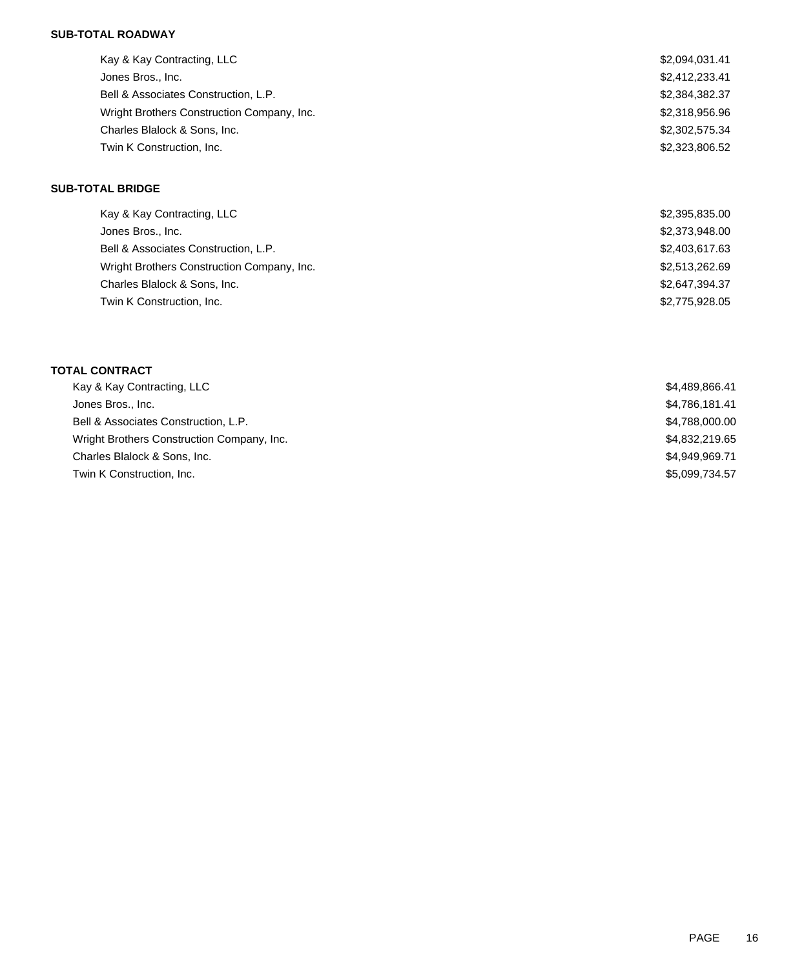## **SUB-TOTAL ROADWAY**

| Kay & Kay Contracting, LLC                 | \$2,094,031.41 |
|--------------------------------------------|----------------|
| Jones Bros., Inc.                          | \$2,412,233.41 |
| Bell & Associates Construction, L.P.       | \$2,384,382.37 |
| Wright Brothers Construction Company, Inc. | \$2,318,956.96 |
| Charles Blalock & Sons, Inc.               | \$2,302,575.34 |
| Twin K Construction, Inc.                  | \$2,323,806.52 |
|                                            |                |

## **SUB-TOTAL BRIDGE**

| Kay & Kay Contracting, LLC                 | \$2,395,835.00 |
|--------------------------------------------|----------------|
| Jones Bros., Inc.                          | \$2,373,948.00 |
| Bell & Associates Construction, L.P.       | \$2,403,617.63 |
| Wright Brothers Construction Company, Inc. | \$2,513,262.69 |
| Charles Blalock & Sons, Inc.               | \$2,647,394.37 |
| Twin K Construction, Inc.                  | \$2,775,928.05 |

# **TOTAL CONTRACT**

| Kay & Kay Contracting, LLC                 | \$4,489,866.41 |
|--------------------------------------------|----------------|
| Jones Bros., Inc.                          | \$4,786,181.41 |
| Bell & Associates Construction, L.P.       | \$4,788,000.00 |
| Wright Brothers Construction Company, Inc. | \$4,832,219.65 |
| Charles Blalock & Sons, Inc.               | \$4,949,969.71 |
| Twin K Construction, Inc.                  | \$5,099,734.57 |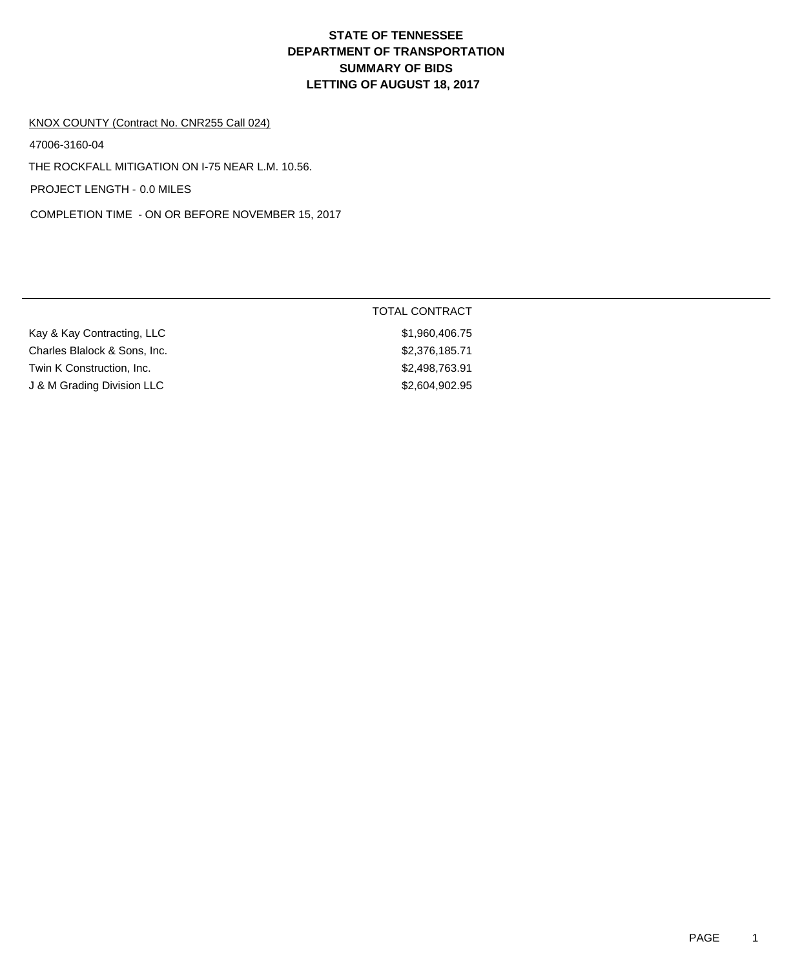# **DEPARTMENT OF TRANSPORTATION SUMMARY OF BIDS LETTING OF AUGUST 18, 2017 STATE OF TENNESSEE**

# KNOX COUNTY (Contract No. CNR255 Call 024)

47006-3160-04

THE ROCKFALL MITIGATION ON I-75 NEAR L.M. 10.56.

PROJECT LENGTH - 0.0 MILES

COMPLETION TIME - ON OR BEFORE NOVEMBER 15, 2017

|                              | TOTAL CONTRACT |
|------------------------------|----------------|
| Kay & Kay Contracting, LLC   | \$1,960,406.75 |
| Charles Blalock & Sons, Inc. | \$2,376,185.71 |
| Twin K Construction, Inc.    | \$2,498,763.91 |
| J & M Grading Division LLC   | \$2,604,902.95 |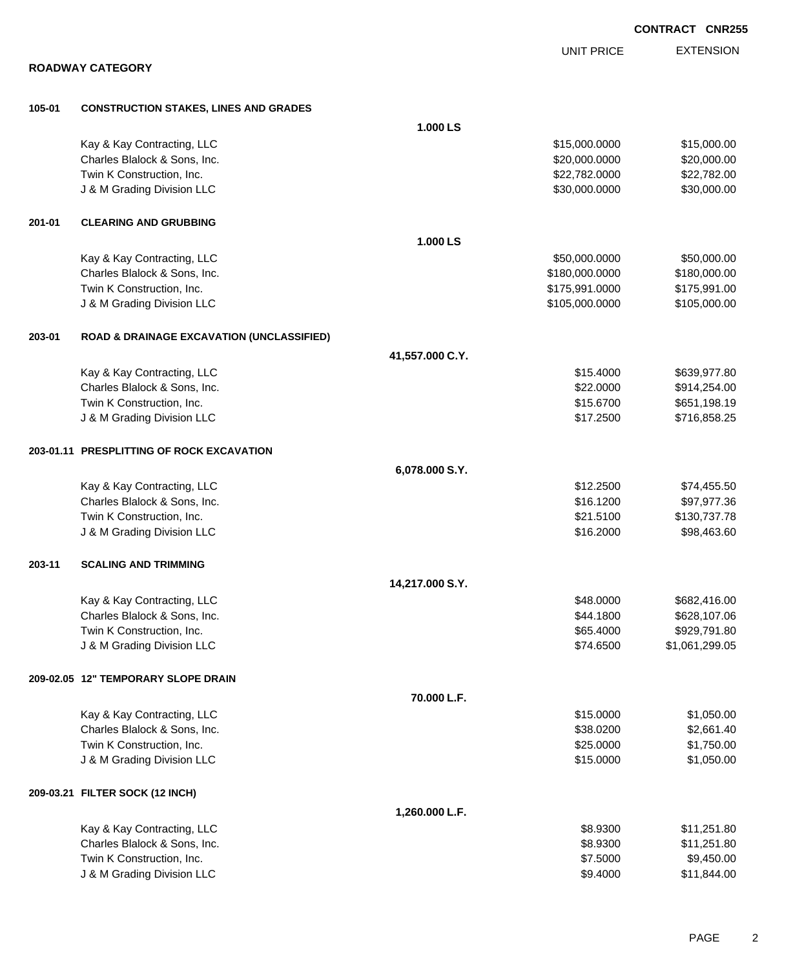|        |                                                         |                 |                                | <b>CONTRACT CNR255</b>      |
|--------|---------------------------------------------------------|-----------------|--------------------------------|-----------------------------|
|        |                                                         |                 | <b>UNIT PRICE</b>              | <b>EXTENSION</b>            |
|        | <b>ROADWAY CATEGORY</b>                                 |                 |                                |                             |
|        |                                                         |                 |                                |                             |
| 105-01 | <b>CONSTRUCTION STAKES, LINES AND GRADES</b>            |                 |                                |                             |
|        |                                                         | 1.000 LS        |                                |                             |
|        | Kay & Kay Contracting, LLC                              |                 | \$15,000.0000                  | \$15,000.00                 |
|        | Charles Blalock & Sons, Inc.                            |                 | \$20,000.0000                  | \$20,000.00                 |
|        | Twin K Construction, Inc.<br>J & M Grading Division LLC |                 | \$22,782.0000<br>\$30,000.0000 | \$22,782.00<br>\$30,000.00  |
|        |                                                         |                 |                                |                             |
| 201-01 | <b>CLEARING AND GRUBBING</b>                            |                 |                                |                             |
|        |                                                         | 1.000 LS        |                                |                             |
|        | Kay & Kay Contracting, LLC                              |                 | \$50,000.0000                  | \$50,000.00                 |
|        | Charles Blalock & Sons, Inc.                            |                 | \$180,000.0000                 | \$180,000.00                |
|        | Twin K Construction, Inc.                               |                 | \$175,991.0000                 | \$175,991.00                |
|        | J & M Grading Division LLC                              |                 | \$105,000.0000                 | \$105,000.00                |
| 203-01 | <b>ROAD &amp; DRAINAGE EXCAVATION (UNCLASSIFIED)</b>    |                 |                                |                             |
|        |                                                         | 41,557.000 C.Y. |                                |                             |
|        | Kay & Kay Contracting, LLC                              |                 | \$15.4000                      | \$639,977.80                |
|        | Charles Blalock & Sons, Inc.                            |                 | \$22.0000                      | \$914,254.00                |
|        | Twin K Construction, Inc.                               |                 | \$15.6700                      | \$651,198.19                |
|        | J & M Grading Division LLC                              |                 | \$17.2500                      | \$716,858.25                |
|        |                                                         |                 |                                |                             |
|        | 203-01.11 PRESPLITTING OF ROCK EXCAVATION               |                 |                                |                             |
|        |                                                         | 6,078.000 S.Y.  |                                |                             |
|        | Kay & Kay Contracting, LLC                              |                 | \$12.2500                      | \$74,455.50                 |
|        | Charles Blalock & Sons, Inc.                            |                 | \$16.1200                      | \$97,977.36                 |
|        | Twin K Construction, Inc.                               |                 | \$21.5100<br>\$16.2000         | \$130,737.78<br>\$98,463.60 |
|        | J & M Grading Division LLC                              |                 |                                |                             |
| 203-11 | <b>SCALING AND TRIMMING</b>                             |                 |                                |                             |
|        |                                                         | 14,217.000 S.Y. |                                |                             |
|        | Kay & Kay Contracting, LLC                              |                 | \$48.0000                      | \$682,416.00                |
|        | Charles Blalock & Sons, Inc.                            |                 | \$44.1800                      | \$628,107.06                |
|        | Twin K Construction, Inc.                               |                 | \$65.4000                      | \$929,791.80                |
|        | J & M Grading Division LLC                              |                 | \$74.6500                      | \$1,061,299.05              |
|        | 209-02.05 12" TEMPORARY SLOPE DRAIN                     |                 |                                |                             |
|        |                                                         | 70.000 L.F.     |                                |                             |
|        | Kay & Kay Contracting, LLC                              |                 | \$15.0000                      | \$1,050.00                  |
|        | Charles Blalock & Sons, Inc.                            |                 | \$38.0200                      | \$2,661.40                  |
|        | Twin K Construction, Inc.                               |                 | \$25.0000                      | \$1,750.00                  |
|        | J & M Grading Division LLC                              |                 | \$15.0000                      | \$1,050.00                  |
|        |                                                         |                 |                                |                             |
|        | 209-03.21 FILTER SOCK (12 INCH)                         | 1,260.000 L.F.  |                                |                             |
|        | Kay & Kay Contracting, LLC                              |                 | \$8.9300                       | \$11,251.80                 |
|        | Charles Blalock & Sons, Inc.                            |                 | \$8.9300                       | \$11,251.80                 |
|        | Twin K Construction, Inc.                               |                 | \$7.5000                       | \$9,450.00                  |
|        | J & M Grading Division LLC                              |                 | \$9.4000                       | \$11,844.00                 |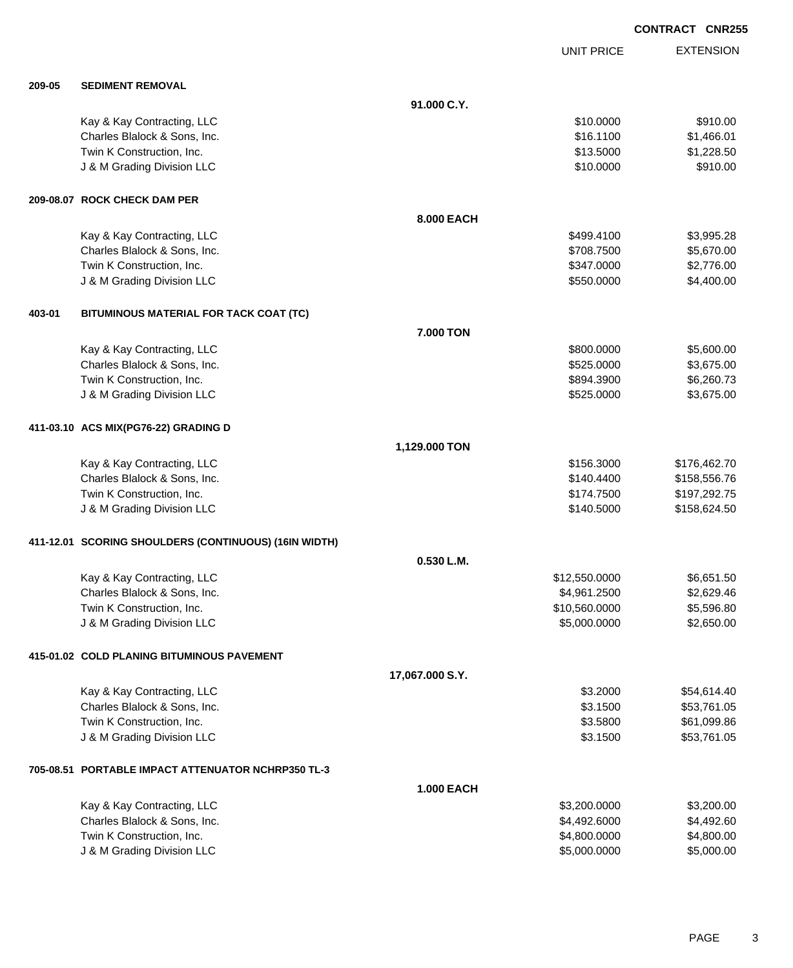EXTENSION **CONTRACT CNR255** UNIT PRICE **91.000 C.Y.** Kay & Kay Contracting, LLC \$10.0000 \$910.00 Charles Blalock & Sons, Inc. \$16.1100 \$1,466.01 Twin K Construction, Inc. 6. The State of the State of the State of the State of State of State of State of St J & M Grading Division LLC \$10.000 \$910.00 **8.000 EACH** Kay & Kay Contracting, LLC 6 and the Contraction of the Contraction of the Contraction of the S3,995.28 Charles Blalock & Sons, Inc. 6. 2008. The State of the State of the State of the State of the State of the State of the State of the State of the State of the State of the State of the State of the State of the State of th Twin K Construction, Inc. 6347.0000 \$2,776.00 J & M Grading Division LLC 64,400.00

## **403-01 BITUMINOUS MATERIAL FOR TACK COAT (TC)**

**209-05 SEDIMENT REMOVAL**

**209-08.07 ROCK CHECK DAM PER**

|                                      | 7.000 TON  |            |
|--------------------------------------|------------|------------|
| Kay & Kay Contracting, LLC           | \$800,0000 | \$5,600.00 |
| Charles Blalock & Sons, Inc.         | \$525,0000 | \$3,675.00 |
| Twin K Construction, Inc.            | \$894.3900 | \$6,260.73 |
| J & M Grading Division LLC           | \$525,0000 | \$3,675.00 |
| 411-03.10 ACS MIX(PG76-22) GRADING D |            |            |

|                              | 1,129.000 TON |              |
|------------------------------|---------------|--------------|
| Kay & Kay Contracting, LLC   | \$156,3000    | \$176.462.70 |
| Charles Blalock & Sons, Inc. | \$140,4400    | \$158,556.76 |
| Twin K Construction, Inc.    | \$174.7500    | \$197,292.75 |
| J & M Grading Division LLC   | \$140,5000    | \$158,624,50 |
|                              |               |              |

## **411-12.01 SCORING SHOULDERS (CONTINUOUS) (16IN WIDTH)**

| \$12,550,0000 | \$6.651.50 |
|---------------|------------|
| \$4.961.2500  | \$2,629,46 |
| \$10,560,0000 | \$5,596.80 |
| \$5,000,0000  | \$2,650,00 |
|               |            |

### **415-01.02 COLD PLANING BITUMINOUS PAVEMENT**

|                              | 17,067.000 S.Y. |             |
|------------------------------|-----------------|-------------|
| Kay & Kay Contracting, LLC   | \$3,2000        | \$54.614.40 |
| Charles Blalock & Sons, Inc. | \$3.1500        | \$53,761.05 |
| Twin K Construction, Inc.    | \$3.5800        | \$61,099.86 |
| J & M Grading Division LLC   | \$3.1500        | \$53,761.05 |

## **705-08.51 PORTABLE IMPACT ATTENUATOR NCHRP350 TL-3**

|                              | <b>1.000 EACH</b> |            |
|------------------------------|-------------------|------------|
| Kay & Kay Contracting, LLC   | \$3,200.0000      | \$3,200.00 |
| Charles Blalock & Sons, Inc. | \$4.492.6000      | \$4,492,60 |
| Twin K Construction, Inc.    | \$4,800,0000      | \$4,800,00 |
| J & M Grading Division LLC   | \$5,000,0000      | \$5,000.00 |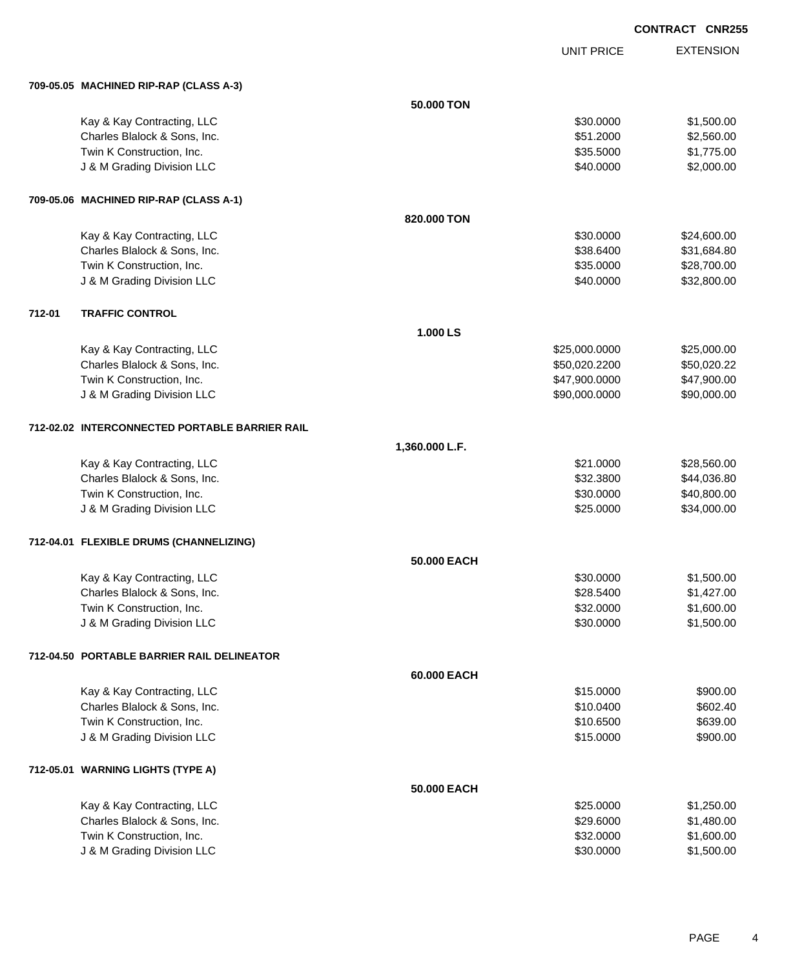UNIT PRICE EXTENSION

|        | 709-05.05 MACHINED RIP-RAP (CLASS A-3)                     |                |                        |                          |
|--------|------------------------------------------------------------|----------------|------------------------|--------------------------|
|        |                                                            | 50.000 TON     |                        |                          |
|        | Kay & Kay Contracting, LLC                                 |                | \$30.0000              | \$1,500.00               |
|        | Charles Blalock & Sons, Inc.                               |                | \$51.2000              | \$2,560.00               |
|        | Twin K Construction, Inc.                                  |                | \$35.5000              | \$1,775.00               |
|        | J & M Grading Division LLC                                 |                | \$40.0000              | \$2,000.00               |
|        |                                                            |                |                        |                          |
|        | 709-05.06 MACHINED RIP-RAP (CLASS A-1)                     |                |                        |                          |
|        |                                                            | 820.000 TON    |                        |                          |
|        | Kay & Kay Contracting, LLC                                 |                | \$30.0000              | \$24,600.00              |
|        | Charles Blalock & Sons, Inc.                               |                | \$38.6400              | \$31,684.80              |
|        | Twin K Construction, Inc.                                  |                | \$35.0000              | \$28,700.00              |
|        | J & M Grading Division LLC                                 |                | \$40.0000              | \$32,800.00              |
|        |                                                            |                |                        |                          |
| 712-01 | <b>TRAFFIC CONTROL</b>                                     |                |                        |                          |
|        |                                                            | 1.000LS        |                        |                          |
|        | Kay & Kay Contracting, LLC                                 |                | \$25,000.0000          | \$25,000.00              |
|        | Charles Blalock & Sons, Inc.                               |                | \$50,020.2200          | \$50,020.22              |
|        | Twin K Construction, Inc.                                  |                | \$47,900.0000          | \$47,900.00              |
|        | J & M Grading Division LLC                                 |                | \$90,000.0000          | \$90,000.00              |
|        |                                                            |                |                        |                          |
|        | 712-02.02 INTERCONNECTED PORTABLE BARRIER RAIL             |                |                        |                          |
|        |                                                            | 1,360.000 L.F. |                        |                          |
|        | Kay & Kay Contracting, LLC                                 |                | \$21.0000              | \$28,560.00              |
|        | Charles Blalock & Sons, Inc.                               |                | \$32.3800              | \$44,036.80              |
|        | Twin K Construction, Inc.                                  |                | \$30.0000              | \$40,800.00              |
|        | J & M Grading Division LLC                                 |                | \$25.0000              | \$34,000.00              |
|        |                                                            |                |                        |                          |
|        | 712-04.01 FLEXIBLE DRUMS (CHANNELIZING)                    |                |                        |                          |
|        |                                                            | 50.000 EACH    |                        |                          |
|        | Kay & Kay Contracting, LLC                                 |                | \$30.0000              | \$1,500.00               |
|        | Charles Blalock & Sons, Inc.                               |                | \$28.5400              | \$1,427.00               |
|        | Twin K Construction, Inc.                                  |                | \$32.0000              | \$1,600.00               |
|        | J & M Grading Division LLC                                 |                | \$30.0000              | \$1,500.00               |
|        | 712-04.50 PORTABLE BARRIER RAIL DELINEATOR                 |                |                        |                          |
|        |                                                            |                |                        |                          |
|        |                                                            | 60.000 EACH    |                        |                          |
|        | Kay & Kay Contracting, LLC                                 |                | \$15.0000              | \$900.00                 |
|        | Charles Blalock & Sons, Inc.                               |                | \$10.0400              | \$602.40                 |
|        | Twin K Construction, Inc.                                  |                | \$10.6500              | \$639.00                 |
|        | J & M Grading Division LLC                                 |                | \$15.0000              | \$900.00                 |
|        | 712-05.01 WARNING LIGHTS (TYPE A)                          |                |                        |                          |
|        |                                                            | 50.000 EACH    |                        |                          |
|        |                                                            |                |                        |                          |
|        | Kay & Kay Contracting, LLC<br>Charles Blalock & Sons, Inc. |                | \$25.0000<br>\$29.6000 | \$1,250.00<br>\$1,480.00 |
|        | Twin K Construction, Inc.                                  |                | \$32.0000              | \$1,600.00               |
|        | J & M Grading Division LLC                                 |                | \$30.0000              | \$1,500.00               |
|        |                                                            |                |                        |                          |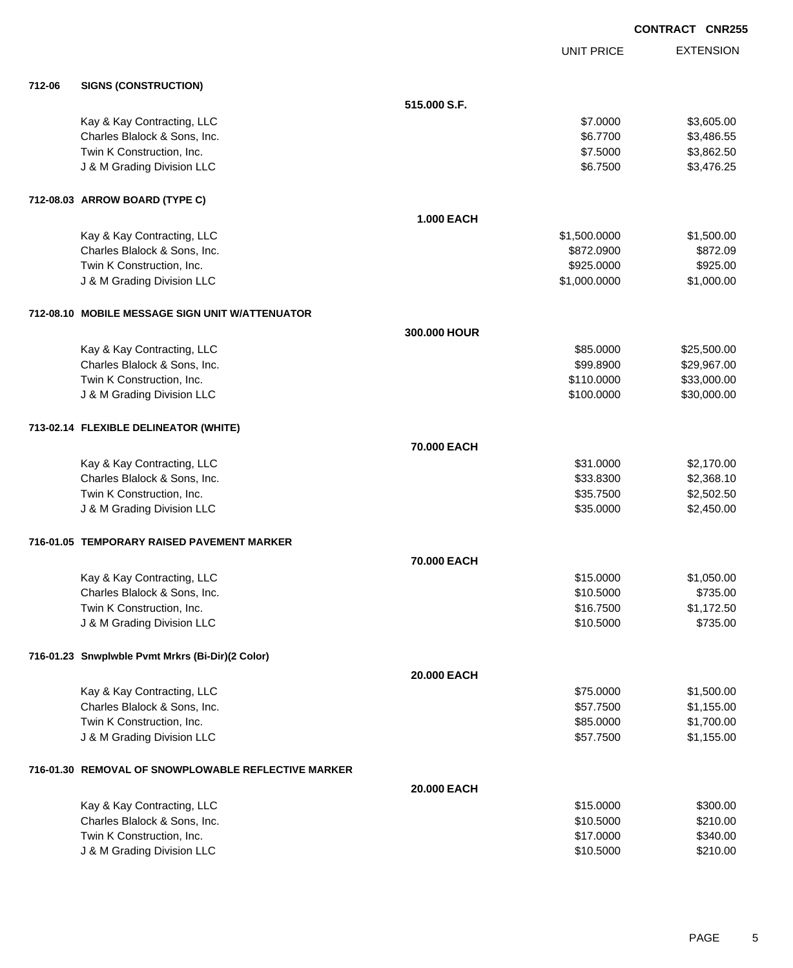|        |                                                     |                   |                   | <b>CONTRACT CNR255</b> |
|--------|-----------------------------------------------------|-------------------|-------------------|------------------------|
|        |                                                     |                   | <b>UNIT PRICE</b> | <b>EXTENSION</b>       |
| 712-06 | <b>SIGNS (CONSTRUCTION)</b>                         |                   |                   |                        |
|        |                                                     | 515.000 S.F.      |                   |                        |
|        | Kay & Kay Contracting, LLC                          |                   | \$7.0000          | \$3,605.00             |
|        | Charles Blalock & Sons, Inc.                        |                   | \$6.7700          | \$3,486.55             |
|        | Twin K Construction, Inc.                           |                   | \$7.5000          | \$3,862.50             |
|        | J & M Grading Division LLC                          |                   | \$6.7500          | \$3,476.25             |
|        | 712-08.03 ARROW BOARD (TYPE C)                      |                   |                   |                        |
|        |                                                     | <b>1.000 EACH</b> |                   |                        |
|        | Kay & Kay Contracting, LLC                          |                   | \$1,500.0000      | \$1,500.00             |
|        | Charles Blalock & Sons, Inc.                        |                   | \$872.0900        | \$872.09               |
|        | Twin K Construction, Inc.                           |                   | \$925.0000        | \$925.00               |
|        | J & M Grading Division LLC                          |                   | \$1,000.0000      | \$1,000.00             |
|        | 712-08.10 MOBILE MESSAGE SIGN UNIT W/ATTENUATOR     |                   |                   |                        |
|        |                                                     | 300.000 HOUR      |                   |                        |
|        | Kay & Kay Contracting, LLC                          |                   | \$85.0000         | \$25,500.00            |
|        | Charles Blalock & Sons, Inc.                        |                   | \$99.8900         | \$29,967.00            |
|        | Twin K Construction, Inc.                           |                   | \$110.0000        | \$33,000.00            |
|        | J & M Grading Division LLC                          |                   | \$100.0000        | \$30,000.00            |
|        | 713-02.14 FLEXIBLE DELINEATOR (WHITE)               |                   |                   |                        |
|        |                                                     | 70.000 EACH       |                   |                        |
|        | Kay & Kay Contracting, LLC                          |                   | \$31.0000         | \$2,170.00             |
|        | Charles Blalock & Sons, Inc.                        |                   | \$33.8300         | \$2,368.10             |
|        | Twin K Construction, Inc.                           |                   | \$35.7500         | \$2,502.50             |
|        | J & M Grading Division LLC                          |                   | \$35.0000         | \$2,450.00             |
|        | 716-01.05 TEMPORARY RAISED PAVEMENT MARKER          |                   |                   |                        |
|        |                                                     | 70.000 EACH       |                   |                        |
|        | Kay & Kay Contracting, LLC                          |                   | \$15.0000         | \$1,050.00             |
|        | Charles Blalock & Sons, Inc.                        |                   | \$10.5000         | \$735.00               |
|        | Twin K Construction, Inc.                           |                   | \$16.7500         | \$1,172.50             |
|        | J & M Grading Division LLC                          |                   | \$10.5000         | \$735.00               |
|        | 716-01.23 Snwplwble Pvmt Mrkrs (Bi-Dir)(2 Color)    |                   |                   |                        |
|        |                                                     | 20.000 EACH       |                   |                        |
|        | Kay & Kay Contracting, LLC                          |                   | \$75.0000         | \$1,500.00             |
|        | Charles Blalock & Sons, Inc.                        |                   | \$57.7500         | \$1,155.00             |
|        | Twin K Construction, Inc.                           |                   | \$85.0000         | \$1,700.00             |
|        | J & M Grading Division LLC                          |                   | \$57.7500         | \$1,155.00             |
|        | 716-01.30 REMOVAL OF SNOWPLOWABLE REFLECTIVE MARKER |                   |                   |                        |
|        |                                                     | 20.000 EACH       |                   |                        |
|        | Kay & Kay Contracting, LLC                          |                   | \$15.0000         | \$300.00               |
|        | Charles Blalock & Sons, Inc.                        |                   | \$10.5000         | \$210.00               |
|        | Twin K Construction, Inc.                           |                   | \$17.0000         | \$340.00               |
|        | J & M Grading Division LLC                          |                   | \$10.5000         | \$210.00               |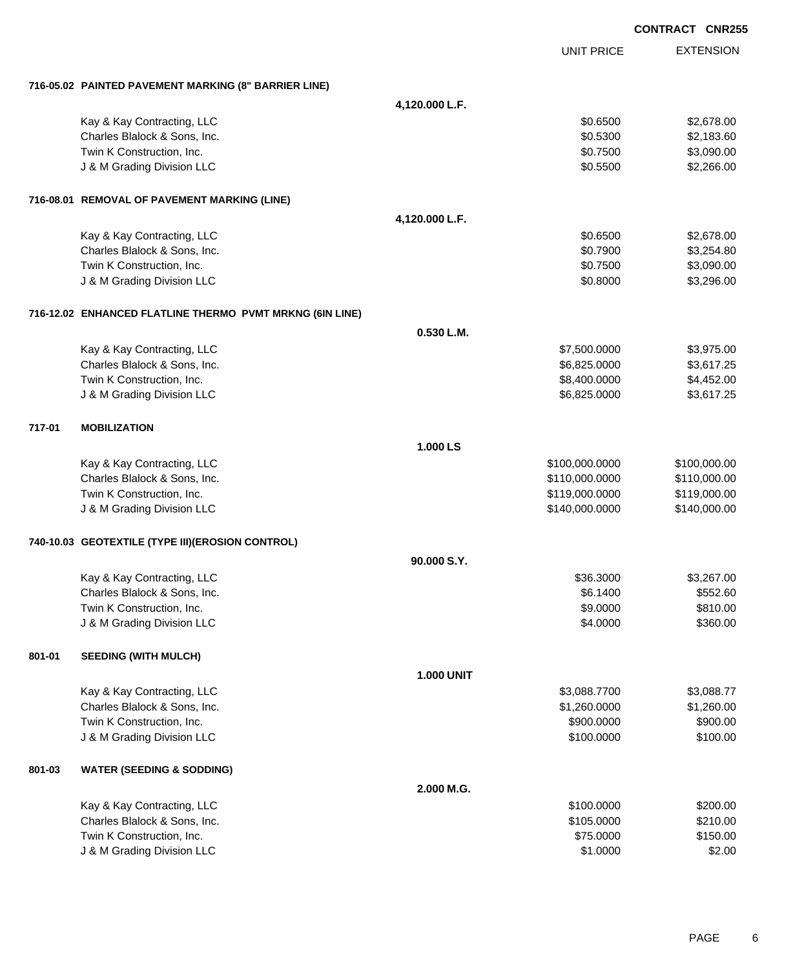|        |                                                            |                   |                                  | <b>CONTRACT CNR255</b> |                              |
|--------|------------------------------------------------------------|-------------------|----------------------------------|------------------------|------------------------------|
|        |                                                            |                   | <b>UNIT PRICE</b>                |                        | <b>EXTENSION</b>             |
|        | 716-05.02 PAINTED PAVEMENT MARKING (8" BARRIER LINE)       |                   |                                  |                        |                              |
|        |                                                            | 4,120.000 L.F.    |                                  |                        |                              |
|        | Kay & Kay Contracting, LLC                                 |                   | \$0.6500                         |                        | \$2,678.00                   |
|        | Charles Blalock & Sons, Inc.                               |                   | \$0.5300                         |                        | \$2,183.60                   |
|        | Twin K Construction, Inc.                                  |                   | \$0.7500                         |                        | \$3,090.00                   |
|        | J & M Grading Division LLC                                 |                   | \$0.5500                         |                        | \$2,266.00                   |
|        | 716-08.01 REMOVAL OF PAVEMENT MARKING (LINE)               |                   |                                  |                        |                              |
|        |                                                            | 4,120.000 L.F.    |                                  |                        |                              |
|        | Kay & Kay Contracting, LLC                                 |                   | \$0.6500                         |                        | \$2,678.00                   |
|        | Charles Blalock & Sons, Inc.                               |                   | \$0.7900                         |                        | \$3,254.80                   |
|        | Twin K Construction, Inc.                                  |                   | \$0.7500                         |                        | \$3,090.00                   |
|        | J & M Grading Division LLC                                 |                   | \$0.8000                         |                        | \$3,296.00                   |
|        | 716-12.02 ENHANCED FLATLINE THERMO PVMT MRKNG (6IN LINE)   |                   |                                  |                        |                              |
|        |                                                            | 0.530 L.M.        |                                  |                        |                              |
|        | Kay & Kay Contracting, LLC                                 |                   | \$7,500.0000                     |                        | \$3,975.00                   |
|        | Charles Blalock & Sons, Inc.                               |                   | \$6,825.0000                     |                        | \$3,617.25                   |
|        | Twin K Construction, Inc.<br>J & M Grading Division LLC    |                   | \$8,400.0000<br>\$6,825.0000     |                        | \$4,452.00<br>\$3,617.25     |
|        |                                                            |                   |                                  |                        |                              |
| 717-01 | <b>MOBILIZATION</b>                                        |                   |                                  |                        |                              |
|        |                                                            | 1.000 LS          |                                  |                        |                              |
|        | Kay & Kay Contracting, LLC                                 |                   | \$100,000.0000                   |                        | \$100,000.00                 |
|        | Charles Blalock & Sons, Inc.<br>Twin K Construction, Inc.  |                   | \$110,000.0000<br>\$119,000.0000 |                        | \$110,000.00<br>\$119,000.00 |
|        | J & M Grading Division LLC                                 |                   | \$140,000.0000                   |                        | \$140,000.00                 |
|        |                                                            |                   |                                  |                        |                              |
|        | 740-10.03 GEOTEXTILE (TYPE III) (EROSION CONTROL)          |                   |                                  |                        |                              |
|        |                                                            | 90.000 S.Y.       |                                  |                        |                              |
|        | Kay & Kay Contracting, LLC                                 |                   | \$36.3000<br>\$6.1400            |                        | \$3,267.00                   |
|        | Charles Blalock & Sons, Inc.<br>Twin K Construction, Inc.  |                   | \$9.0000                         |                        | \$552.60<br>\$810.00         |
|        | J & M Grading Division LLC                                 |                   | \$4.0000                         |                        | \$360.00                     |
|        |                                                            |                   |                                  |                        |                              |
| 801-01 | <b>SEEDING (WITH MULCH)</b>                                |                   |                                  |                        |                              |
|        |                                                            | <b>1.000 UNIT</b> |                                  |                        |                              |
|        | Kay & Kay Contracting, LLC<br>Charles Blalock & Sons, Inc. |                   | \$3,088.7700<br>\$1,260.0000     |                        | \$3,088.77<br>\$1,260.00     |
|        | Twin K Construction, Inc.                                  |                   | \$900.0000                       |                        | \$900.00                     |
|        | J & M Grading Division LLC                                 |                   | \$100.0000                       |                        | \$100.00                     |
| 801-03 | <b>WATER (SEEDING &amp; SODDING)</b>                       |                   |                                  |                        |                              |
|        |                                                            | 2.000 M.G.        |                                  |                        |                              |
|        | Kay & Kay Contracting, LLC                                 |                   | \$100.0000                       |                        | \$200.00                     |
|        | Charles Blalock & Sons, Inc.                               |                   | \$105.0000                       |                        | \$210.00                     |
|        | Twin K Construction, Inc.                                  |                   | \$75.0000                        |                        | \$150.00                     |
|        | J & M Grading Division LLC                                 |                   | \$1.0000                         |                        | \$2.00                       |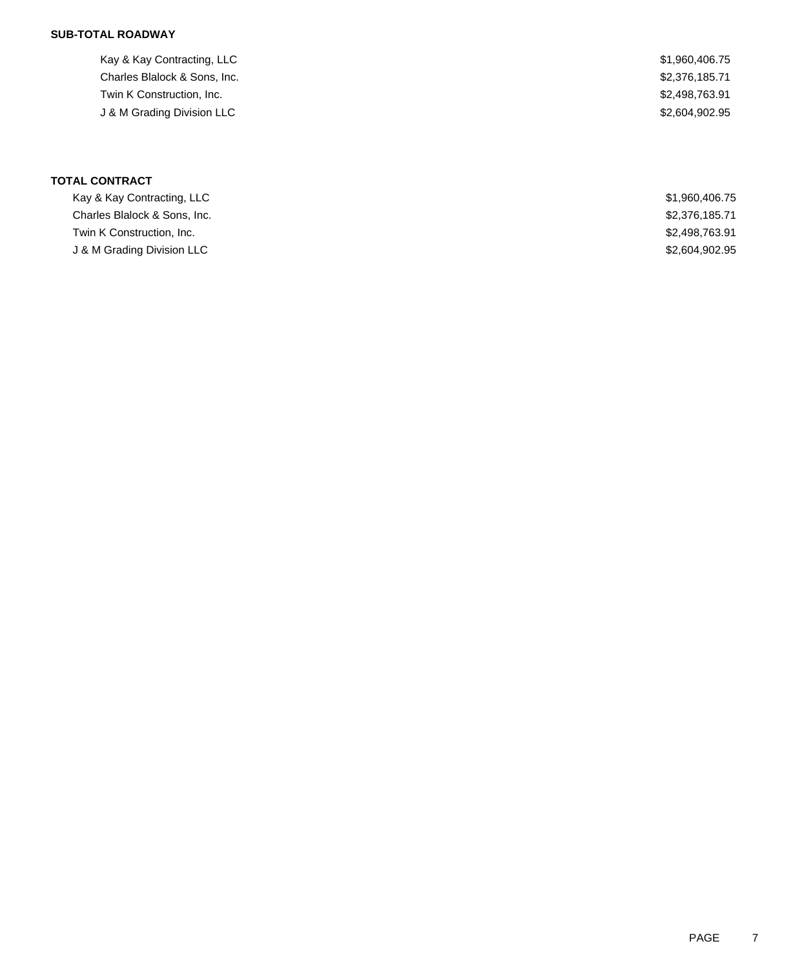# **SUB-TOTAL ROADWAY**

Kay & Kay Contracting, LLC 61, 1960,406.75 Charles Blalock & Sons, Inc. 6. The Charles Blalock & Sons, Inc. 6. The Charles Blalock & Sons, Inc. Twin K Construction, Inc. 63.91 J & M Grading Division LLC \$2,604,902.95

**TOTAL CONTRACT**

| Kay & Kay Contracting, LLC   | \$1,960,406.75 |
|------------------------------|----------------|
| Charles Blalock & Sons, Inc. | \$2,376,185.71 |
| Twin K Construction, Inc.    | \$2,498,763.91 |
| J & M Grading Division LLC   | \$2,604,902.95 |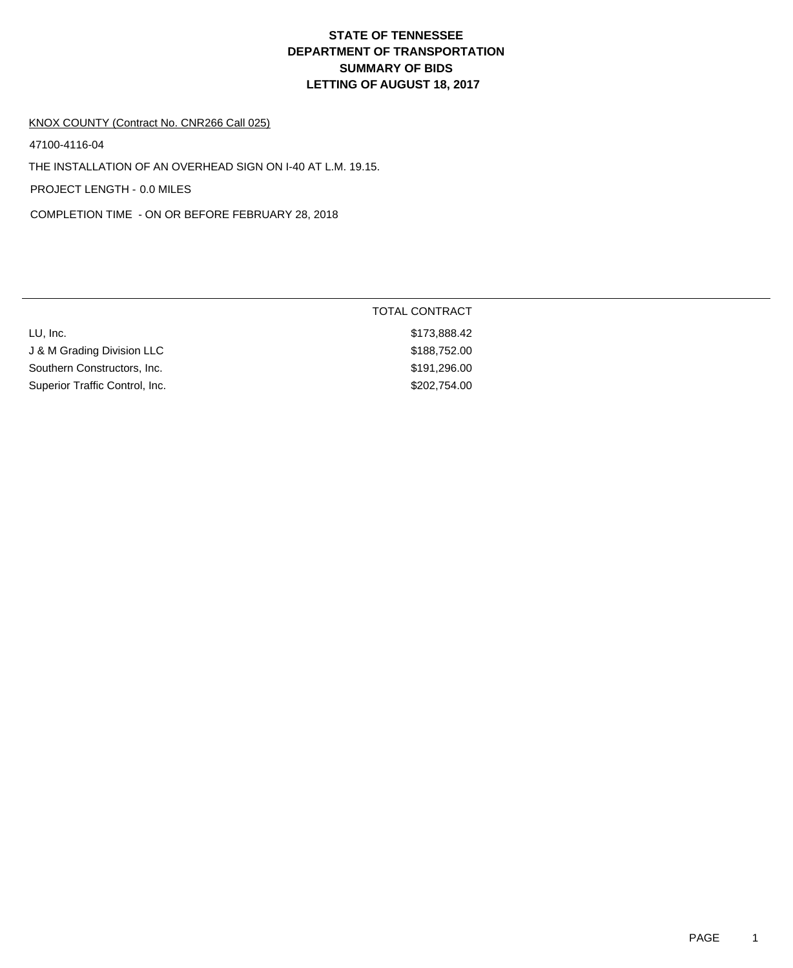# **DEPARTMENT OF TRANSPORTATION SUMMARY OF BIDS LETTING OF AUGUST 18, 2017 STATE OF TENNESSEE**

#### KNOX COUNTY (Contract No. CNR266 Call 025)

47100-4116-04

THE INSTALLATION OF AN OVERHEAD SIGN ON I-40 AT L.M. 19.15.

PROJECT LENGTH - 0.0 MILES

COMPLETION TIME - ON OR BEFORE FEBRUARY 28, 2018

|                                | <b>TOTAL CONTRACT</b> |  |
|--------------------------------|-----------------------|--|
| LU, Inc.                       | \$173,888.42          |  |
| J & M Grading Division LLC     | \$188,752.00          |  |
| Southern Constructors, Inc.    | \$191,296.00          |  |
| Superior Traffic Control, Inc. | \$202,754.00          |  |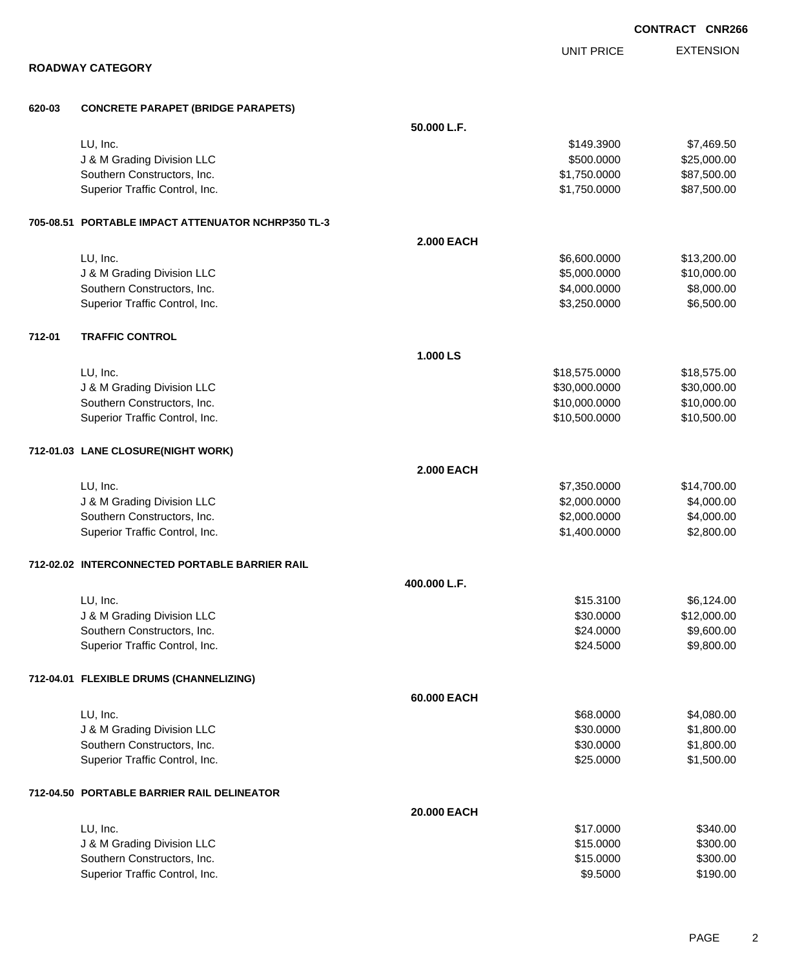|        |                                                    |                   |                   | <b>CONTRACT CNR266</b> |
|--------|----------------------------------------------------|-------------------|-------------------|------------------------|
|        |                                                    |                   | <b>UNIT PRICE</b> | <b>EXTENSION</b>       |
|        | <b>ROADWAY CATEGORY</b>                            |                   |                   |                        |
| 620-03 | <b>CONCRETE PARAPET (BRIDGE PARAPETS)</b>          |                   |                   |                        |
|        |                                                    | 50.000 L.F.       |                   |                        |
|        | LU, Inc.                                           |                   | \$149.3900        | \$7,469.50             |
|        | J & M Grading Division LLC                         |                   | \$500.0000        | \$25,000.00            |
|        | Southern Constructors, Inc.                        |                   | \$1,750.0000      | \$87,500.00            |
|        | Superior Traffic Control, Inc.                     |                   | \$1,750.0000      | \$87,500.00            |
|        | 705-08.51 PORTABLE IMPACT ATTENUATOR NCHRP350 TL-3 |                   |                   |                        |
|        |                                                    | <b>2.000 EACH</b> |                   |                        |
|        | LU, Inc.                                           |                   | \$6,600.0000      | \$13,200.00            |
|        | J & M Grading Division LLC                         |                   | \$5,000.0000      | \$10,000.00            |
|        | Southern Constructors, Inc.                        |                   | \$4,000.0000      | \$8,000.00             |
|        | Superior Traffic Control, Inc.                     |                   | \$3,250.0000      | \$6,500.00             |
| 712-01 | <b>TRAFFIC CONTROL</b>                             |                   |                   |                        |
|        |                                                    | 1.000 LS          |                   |                        |
|        | LU, Inc.                                           |                   | \$18,575.0000     | \$18,575.00            |
|        | J & M Grading Division LLC                         |                   | \$30,000.0000     | \$30,000.00            |
|        | Southern Constructors, Inc.                        |                   | \$10,000.0000     | \$10,000.00            |
|        | Superior Traffic Control, Inc.                     |                   | \$10,500.0000     | \$10,500.00            |
|        | 712-01.03 LANE CLOSURE(NIGHT WORK)                 |                   |                   |                        |
|        |                                                    | <b>2.000 EACH</b> |                   |                        |
|        | LU, Inc.                                           |                   | \$7,350.0000      | \$14,700.00            |
|        | J & M Grading Division LLC                         |                   | \$2,000.0000      | \$4,000.00             |
|        | Southern Constructors, Inc.                        |                   | \$2,000.0000      | \$4,000.00             |
|        | Superior Traffic Control, Inc.                     |                   | \$1,400.0000      | \$2,800.00             |
|        | 712-02.02 INTERCONNECTED PORTABLE BARRIER RAIL     |                   |                   |                        |
|        |                                                    | 400.000 L.F.      |                   |                        |
|        | LU, Inc.                                           |                   | \$15.3100         | \$6,124.00             |
|        | J & M Grading Division LLC                         |                   | \$30.0000         | \$12,000.00            |
|        | Southern Constructors, Inc.                        |                   | \$24.0000         | \$9,600.00             |
|        | Superior Traffic Control, Inc.                     |                   | \$24.5000         | \$9,800.00             |
|        | 712-04.01 FLEXIBLE DRUMS (CHANNELIZING)            |                   |                   |                        |
|        |                                                    | 60.000 EACH       |                   |                        |
|        | LU, Inc.                                           |                   | \$68.0000         | \$4,080.00             |
|        | J & M Grading Division LLC                         |                   | \$30.0000         | \$1,800.00             |
|        | Southern Constructors, Inc.                        |                   | \$30.0000         | \$1,800.00             |
|        | Superior Traffic Control, Inc.                     |                   | \$25.0000         | \$1,500.00             |
|        | 712-04.50 PORTABLE BARRIER RAIL DELINEATOR         |                   |                   |                        |
|        |                                                    | 20,000 EACH       |                   |                        |
|        | LU, Inc.                                           |                   | \$17.0000         | \$340.00               |
|        | J & M Grading Division LLC                         |                   | \$15.0000         | \$300.00               |
|        | Southern Constructors, Inc.                        |                   | \$15.0000         | \$300.00               |
|        | Superior Traffic Control, Inc.                     |                   | \$9.5000          | \$190.00               |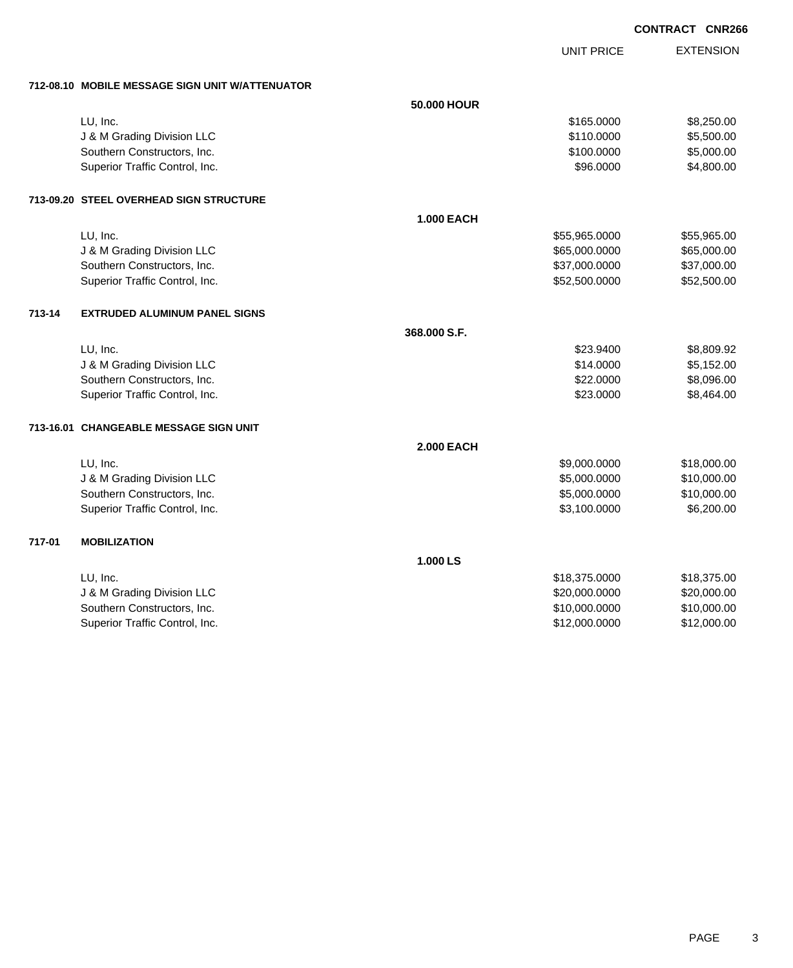UNIT PRICE EXTENSION

**712-08.10 MOBILE MESSAGE SIGN UNIT W/ATTENUATOR**

|        | 712-08.10 MUBILE MESSAGE SIGN UNIT WATTENUATUR |                   |               |             |
|--------|------------------------------------------------|-------------------|---------------|-------------|
|        |                                                | 50.000 HOUR       |               |             |
|        | LU, Inc.                                       |                   | \$165.0000    | \$8,250.00  |
|        | J & M Grading Division LLC                     |                   | \$110.0000    | \$5,500.00  |
|        | Southern Constructors, Inc.                    |                   | \$100.0000    | \$5,000.00  |
|        | Superior Traffic Control, Inc.                 |                   | \$96.0000     | \$4,800.00  |
|        | 713-09.20 STEEL OVERHEAD SIGN STRUCTURE        |                   |               |             |
|        |                                                | <b>1.000 EACH</b> |               |             |
|        | LU, Inc.                                       |                   | \$55,965.0000 | \$55,965.00 |
|        | J & M Grading Division LLC                     |                   | \$65,000.0000 | \$65,000.00 |
|        | Southern Constructors, Inc.                    |                   | \$37,000.0000 | \$37,000.00 |
|        | Superior Traffic Control, Inc.                 |                   | \$52,500.0000 | \$52,500.00 |
| 713-14 | <b>EXTRUDED ALUMINUM PANEL SIGNS</b>           |                   |               |             |
|        |                                                | 368.000 S.F.      |               |             |
|        | LU, Inc.                                       |                   | \$23.9400     | \$8,809.92  |
|        | J & M Grading Division LLC                     |                   | \$14.0000     | \$5,152.00  |
|        | Southern Constructors, Inc.                    |                   | \$22.0000     | \$8,096.00  |
|        | Superior Traffic Control, Inc.                 |                   | \$23.0000     | \$8,464.00  |
|        | 713-16.01 CHANGEABLE MESSAGE SIGN UNIT         |                   |               |             |
|        |                                                | <b>2.000 EACH</b> |               |             |
|        | LU, Inc.                                       |                   | \$9,000.0000  | \$18,000.00 |
|        | J & M Grading Division LLC                     |                   | \$5,000.0000  | \$10,000.00 |
|        | Southern Constructors, Inc.                    |                   | \$5,000.0000  | \$10,000.00 |
|        | Superior Traffic Control, Inc.                 |                   | \$3,100.0000  | \$6,200.00  |
| 717-01 | <b>MOBILIZATION</b>                            |                   |               |             |
|        |                                                | 1.000 LS          |               |             |
|        | LU, Inc.                                       |                   | \$18,375.0000 | \$18,375.00 |
|        | J & M Grading Division LLC                     |                   | \$20,000.0000 | \$20,000.00 |
|        | Southern Constructors, Inc.                    |                   | \$10,000.0000 | \$10,000.00 |
|        | Superior Traffic Control, Inc.                 |                   | \$12,000.0000 | \$12,000.00 |
|        |                                                |                   |               |             |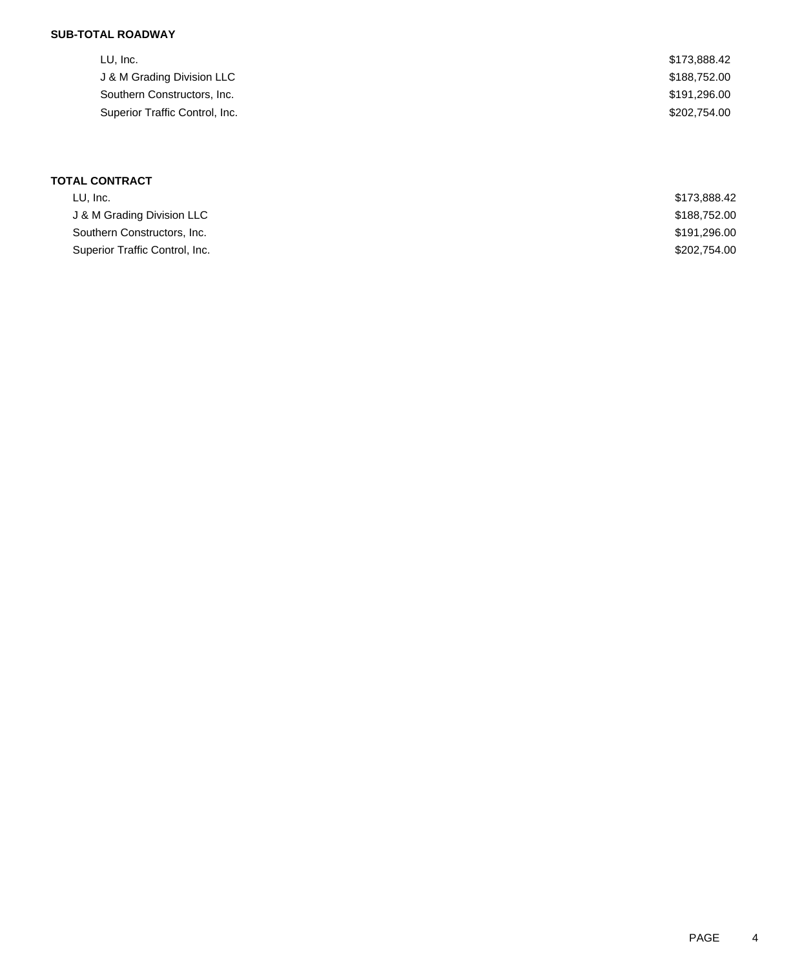# **SUB-TOTAL ROADWAY**

| LU, Inc.                       | \$173,888.42 |
|--------------------------------|--------------|
| J & M Grading Division LLC     | \$188,752.00 |
| Southern Constructors, Inc.    | \$191,296.00 |
| Superior Traffic Control, Inc. | \$202.754.00 |
|                                |              |

## **TOTAL CONTRACT**

| LU. Inc.                       | \$173,888,42 |
|--------------------------------|--------------|
| J & M Grading Division LLC     | \$188,752.00 |
| Southern Constructors, Inc.    | \$191,296.00 |
| Superior Traffic Control, Inc. | \$202,754,00 |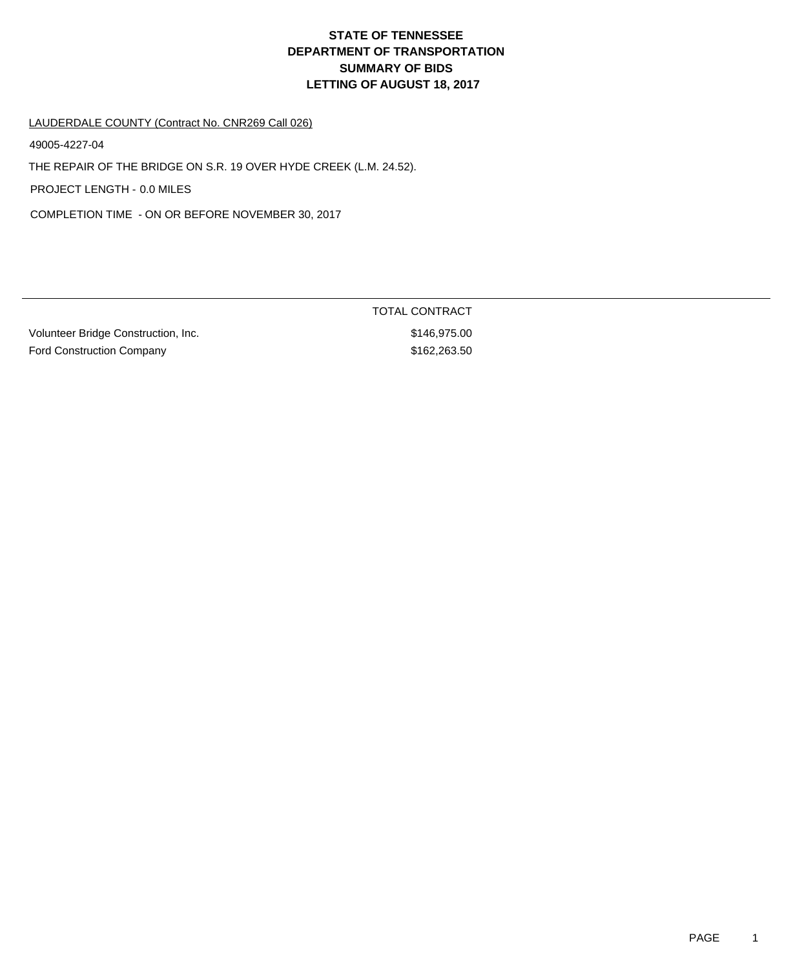# **DEPARTMENT OF TRANSPORTATION SUMMARY OF BIDS LETTING OF AUGUST 18, 2017 STATE OF TENNESSEE**

LAUDERDALE COUNTY (Contract No. CNR269 Call 026)

49005-4227-04

THE REPAIR OF THE BRIDGE ON S.R. 19 OVER HYDE CREEK (L.M. 24.52).

PROJECT LENGTH - 0.0 MILES

COMPLETION TIME - ON OR BEFORE NOVEMBER 30, 2017

Volunteer Bridge Construction, Inc. 6746,975.00 Ford Construction Company **\$162,263.50** 

TOTAL CONTRACT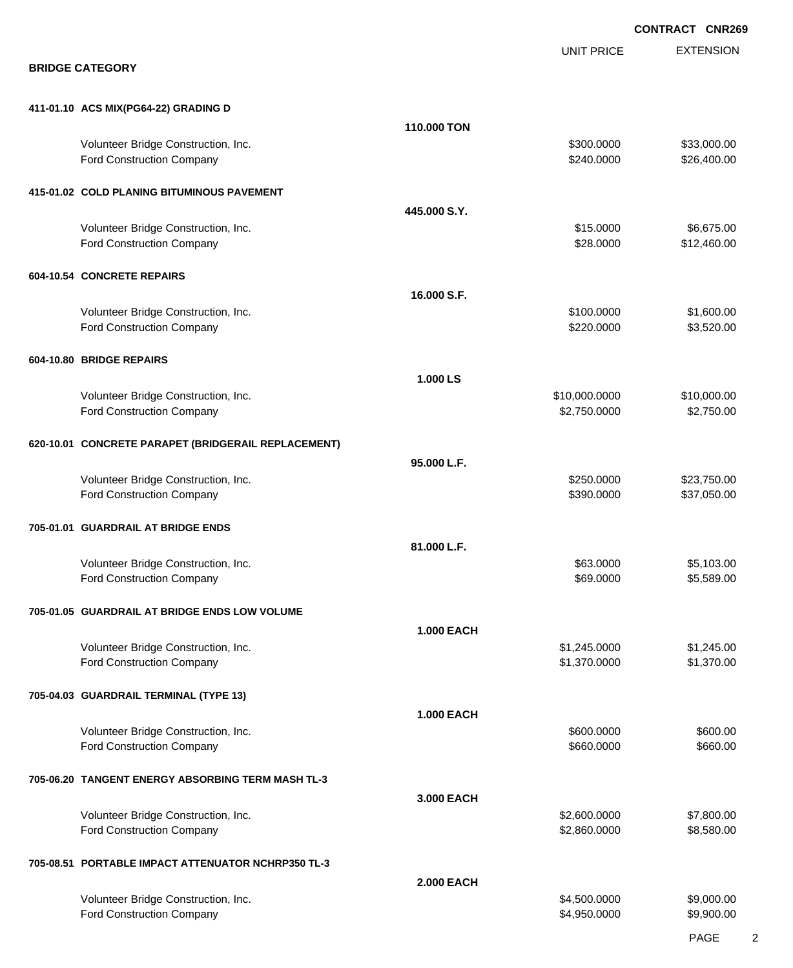|                                                                         |                   |                              | <b>CONTRACT CNR269</b>     |
|-------------------------------------------------------------------------|-------------------|------------------------------|----------------------------|
|                                                                         |                   | <b>UNIT PRICE</b>            | <b>EXTENSION</b>           |
| <b>BRIDGE CATEGORY</b>                                                  |                   |                              |                            |
| 411-01.10 ACS MIX(PG64-22) GRADING D                                    |                   |                              |                            |
|                                                                         | 110.000 TON       |                              |                            |
| Volunteer Bridge Construction, Inc.<br>Ford Construction Company        |                   | \$300.0000<br>\$240.0000     | \$33,000.00<br>\$26,400.00 |
| 415-01.02 COLD PLANING BITUMINOUS PAVEMENT                              |                   |                              |                            |
|                                                                         | 445,000 S.Y.      |                              |                            |
| Volunteer Bridge Construction, Inc.<br><b>Ford Construction Company</b> |                   | \$15.0000<br>\$28.0000       | \$6,675.00<br>\$12,460.00  |
| 604-10.54 CONCRETE REPAIRS                                              |                   |                              |                            |
|                                                                         | 16,000 S.F.       |                              |                            |
| Volunteer Bridge Construction, Inc.<br><b>Ford Construction Company</b> |                   | \$100.0000<br>\$220.0000     | \$1,600.00<br>\$3,520.00   |
| 604-10.80 BRIDGE REPAIRS                                                |                   |                              |                            |
|                                                                         | 1.000 LS          |                              |                            |
| Volunteer Bridge Construction, Inc.                                     |                   | \$10,000.0000                | \$10,000.00                |
| <b>Ford Construction Company</b>                                        |                   | \$2,750.0000                 | \$2,750.00                 |
| 620-10.01 CONCRETE PARAPET (BRIDGERAIL REPLACEMENT)                     |                   |                              |                            |
|                                                                         | 95.000 L.F.       |                              |                            |
| Volunteer Bridge Construction, Inc.<br>Ford Construction Company        |                   | \$250.0000<br>\$390.0000     | \$23,750.00<br>\$37,050.00 |
| 705-01.01 GUARDRAIL AT BRIDGE ENDS                                      |                   |                              |                            |
|                                                                         | 81.000 L.F.       |                              |                            |
| Volunteer Bridge Construction, Inc.                                     |                   | \$63.0000                    | \$5,103.00                 |
| <b>Ford Construction Company</b>                                        |                   | \$69.0000                    | \$5,589.00                 |
| 705-01.05 GUARDRAIL AT BRIDGE ENDS LOW VOLUME                           |                   |                              |                            |
|                                                                         | <b>1.000 EACH</b> |                              |                            |
| Volunteer Bridge Construction, Inc.<br><b>Ford Construction Company</b> |                   | \$1,245.0000<br>\$1,370.0000 | \$1,245.00<br>\$1,370.00   |
| 705-04.03 GUARDRAIL TERMINAL (TYPE 13)                                  |                   |                              |                            |
|                                                                         | <b>1.000 EACH</b> |                              |                            |
| Volunteer Bridge Construction, Inc.                                     |                   | \$600.0000                   | \$600.00                   |
| <b>Ford Construction Company</b>                                        |                   | \$660.0000                   | \$660.00                   |
| 705-06.20 TANGENT ENERGY ABSORBING TERM MASH TL-3                       |                   |                              |                            |
|                                                                         | 3.000 EACH        |                              |                            |
| Volunteer Bridge Construction, Inc.<br><b>Ford Construction Company</b> |                   | \$2,600.0000<br>\$2,860.0000 | \$7,800.00<br>\$8,580.00   |
| 705-08.51 PORTABLE IMPACT ATTENUATOR NCHRP350 TL-3                      |                   |                              |                            |
|                                                                         | 2.000 EACH        |                              |                            |
| Volunteer Bridge Construction, Inc.                                     |                   | \$4,500.0000                 | \$9,000.00                 |
| <b>Ford Construction Company</b>                                        |                   | \$4,950.0000                 | \$9,900.00                 |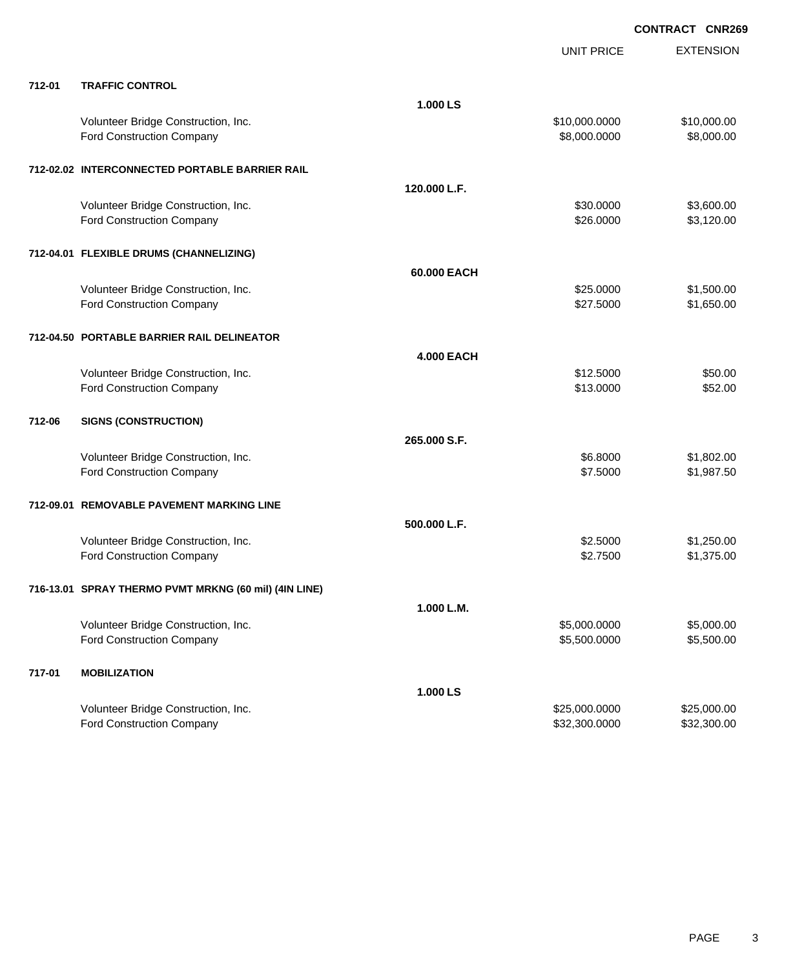|        |                                                       |                   | <b>UNIT PRICE</b> | <b>EXTENSION</b> |
|--------|-------------------------------------------------------|-------------------|-------------------|------------------|
| 712-01 | <b>TRAFFIC CONTROL</b>                                |                   |                   |                  |
|        |                                                       | 1.000 LS          |                   |                  |
|        | Volunteer Bridge Construction, Inc.                   |                   | \$10,000.0000     | \$10,000.00      |
|        | Ford Construction Company                             |                   | \$8,000.0000      | \$8,000.00       |
|        |                                                       |                   |                   |                  |
|        | 712-02.02 INTERCONNECTED PORTABLE BARRIER RAIL        |                   |                   |                  |
|        |                                                       | 120.000 L.F.      |                   |                  |
|        | Volunteer Bridge Construction, Inc.                   |                   | \$30.0000         | \$3,600.00       |
|        | Ford Construction Company                             |                   | \$26.0000         | \$3,120.00       |
|        |                                                       |                   |                   |                  |
|        | 712-04.01 FLEXIBLE DRUMS (CHANNELIZING)               |                   |                   |                  |
|        |                                                       | 60.000 EACH       |                   |                  |
|        | Volunteer Bridge Construction, Inc.                   |                   | \$25.0000         | \$1,500.00       |
|        | Ford Construction Company                             |                   | \$27.5000         | \$1,650.00       |
|        |                                                       |                   |                   |                  |
|        | 712-04.50 PORTABLE BARRIER RAIL DELINEATOR            |                   |                   |                  |
|        |                                                       | <b>4.000 EACH</b> |                   |                  |
|        | Volunteer Bridge Construction, Inc.                   |                   | \$12.5000         | \$50.00          |
|        | <b>Ford Construction Company</b>                      |                   | \$13.0000         | \$52.00          |
|        |                                                       |                   |                   |                  |
| 712-06 | <b>SIGNS (CONSTRUCTION)</b>                           |                   |                   |                  |
|        |                                                       | 265.000 S.F.      |                   |                  |
|        | Volunteer Bridge Construction, Inc.                   |                   | \$6.8000          | \$1,802.00       |
|        | <b>Ford Construction Company</b>                      |                   | \$7.5000          | \$1,987.50       |
|        |                                                       |                   |                   |                  |
|        | 712-09.01 REMOVABLE PAVEMENT MARKING LINE             |                   |                   |                  |
|        |                                                       | 500.000 L.F.      |                   |                  |
|        | Volunteer Bridge Construction, Inc.                   |                   | \$2.5000          | \$1,250.00       |
|        | Ford Construction Company                             |                   | \$2.7500          | \$1,375.00       |
|        |                                                       |                   |                   |                  |
|        | 716-13.01 SPRAY THERMO PVMT MRKNG (60 mil) (4IN LINE) |                   |                   |                  |
|        |                                                       | 1.000 L.M.        |                   |                  |
|        | Volunteer Bridge Construction, Inc.                   |                   | \$5,000.0000      | \$5,000.00       |
|        | Ford Construction Company                             |                   | \$5,500.0000      | \$5,500.00       |
|        |                                                       |                   |                   |                  |
| 717-01 | <b>MOBILIZATION</b>                                   |                   |                   |                  |
|        |                                                       | 1.000 LS          |                   |                  |
|        | Volunteer Bridge Construction, Inc.                   |                   | \$25,000.0000     | \$25,000.00      |
|        | <b>Ford Construction Company</b>                      |                   | \$32,300.0000     | \$32,300.00      |
|        |                                                       |                   |                   |                  |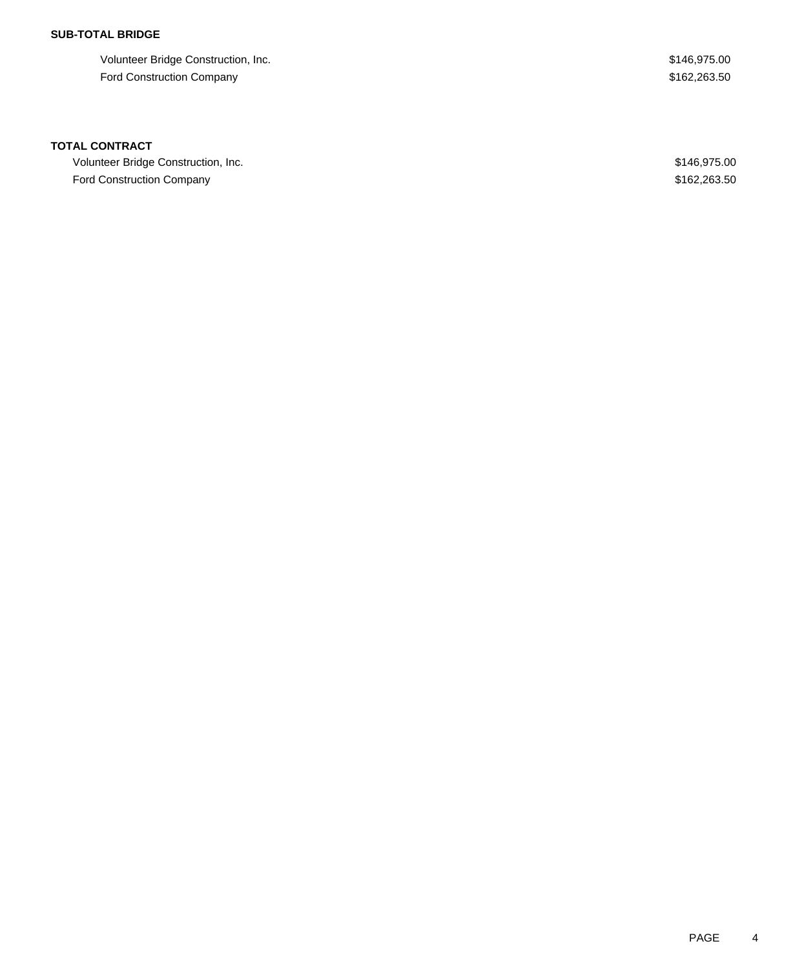## **SUB-TOTAL BRIDGE**

Volunteer Bridge Construction, Inc. 6. 2012 12:30 12:30 12:30 12:31 12:32 13:32 13:32 13:32 13:32 146,975.00 Ford Construction Company **\$162,263.50** \$162,263.50

## **TOTAL CONTRACT**

Volunteer Bridge Construction, Inc. 6. 2012 12:30 and 2013 12:30 and 2013 12:30 and 2013 12:30 and 2013 12:30 Ford Construction Company **\$162,263.50**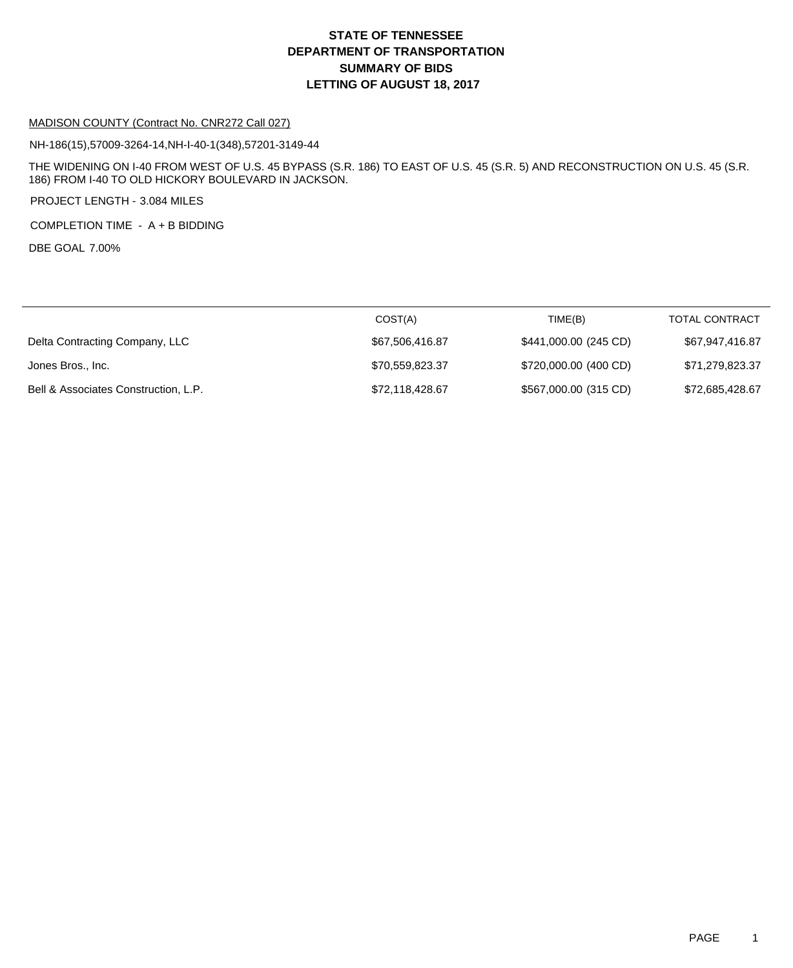# **DEPARTMENT OF TRANSPORTATION SUMMARY OF BIDS LETTING OF AUGUST 18, 2017 STATE OF TENNESSEE**

#### MADISON COUNTY (Contract No. CNR272 Call 027)

NH-186(15),57009-3264-14,NH-I-40-1(348),57201-3149-44

THE WIDENING ON I-40 FROM WEST OF U.S. 45 BYPASS (S.R. 186) TO EAST OF U.S. 45 (S.R. 5) AND RECONSTRUCTION ON U.S. 45 (S.R. 186) FROM I-40 TO OLD HICKORY BOULEVARD IN JACKSON.

PROJECT LENGTH - 3.084 MILES

COMPLETION TIME - A + B BIDDING

DBE GOAL 7.00%

|                                      | COST(A)         | TIME(B)               | <b>TOTAL CONTRACT</b> |
|--------------------------------------|-----------------|-----------------------|-----------------------|
| Delta Contracting Company, LLC       | \$67,506,416.87 | \$441,000.00 (245 CD) | \$67,947,416.87       |
| Jones Bros., Inc.                    | \$70,559,823.37 | \$720,000.00 (400 CD) | \$71,279,823.37       |
| Bell & Associates Construction, L.P. | \$72,118,428.67 | \$567,000.00 (315 CD) | \$72,685,428.67       |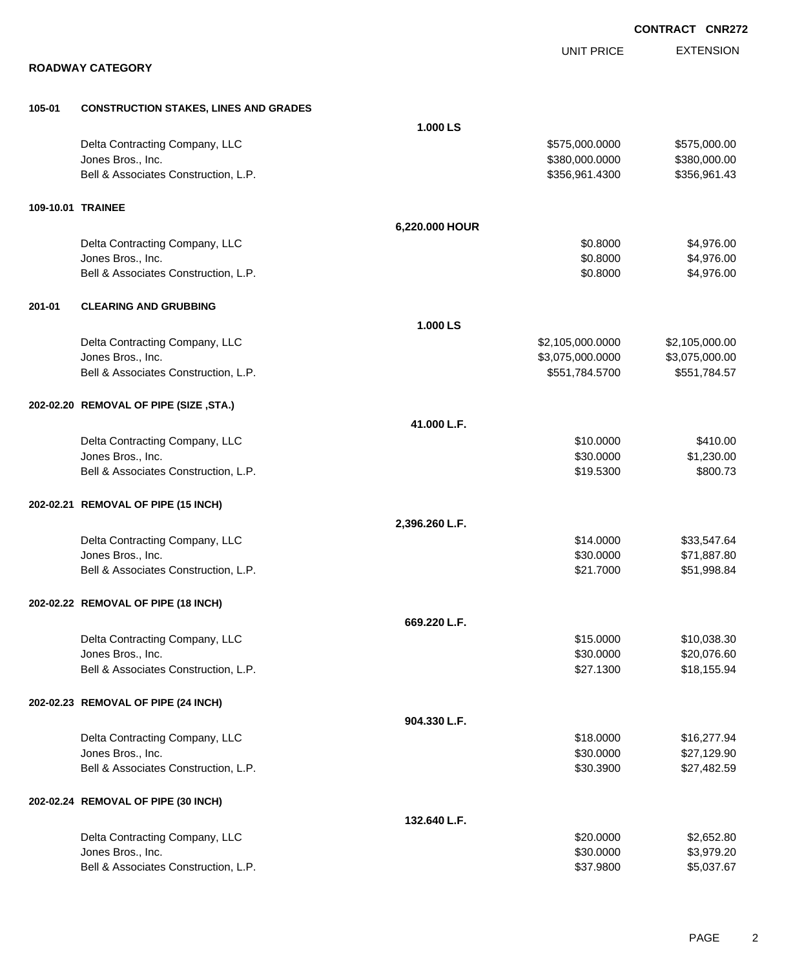|        |                                              |                | <b>CONTRACT CNR272</b> |                  |  |
|--------|----------------------------------------------|----------------|------------------------|------------------|--|
|        |                                              |                | <b>UNIT PRICE</b>      | <b>EXTENSION</b> |  |
|        | <b>ROADWAY CATEGORY</b>                      |                |                        |                  |  |
| 105-01 | <b>CONSTRUCTION STAKES, LINES AND GRADES</b> |                |                        |                  |  |
|        |                                              | 1.000 LS       |                        |                  |  |
|        | Delta Contracting Company, LLC               |                | \$575,000.0000         | \$575,000.00     |  |
|        | Jones Bros., Inc.                            |                | \$380,000.0000         | \$380,000.00     |  |
|        | Bell & Associates Construction, L.P.         |                | \$356,961.4300         | \$356,961.43     |  |
|        | 109-10.01 TRAINEE                            |                |                        |                  |  |
|        |                                              | 6,220.000 HOUR |                        |                  |  |
|        | Delta Contracting Company, LLC               |                | \$0.8000               | \$4,976.00       |  |
|        | Jones Bros., Inc.                            |                | \$0.8000               | \$4,976.00       |  |
|        | Bell & Associates Construction, L.P.         |                | \$0.8000               | \$4,976.00       |  |
| 201-01 | <b>CLEARING AND GRUBBING</b>                 |                |                        |                  |  |
|        |                                              | 1.000 LS       |                        |                  |  |
|        | Delta Contracting Company, LLC               |                | \$2,105,000.0000       | \$2,105,000.00   |  |
|        | Jones Bros., Inc.                            |                | \$3,075,000.0000       | \$3,075,000.00   |  |
|        | Bell & Associates Construction, L.P.         |                | \$551,784.5700         | \$551,784.57     |  |
|        | 202-02.20 REMOVAL OF PIPE (SIZE, STA.)       |                |                        |                  |  |
|        |                                              | 41.000 L.F.    |                        |                  |  |
|        | Delta Contracting Company, LLC               |                | \$10.0000              | \$410.00         |  |
|        | Jones Bros., Inc.                            |                | \$30.0000              | \$1,230.00       |  |
|        | Bell & Associates Construction, L.P.         |                | \$19.5300              | \$800.73         |  |
|        | 202-02.21 REMOVAL OF PIPE (15 INCH)          |                |                        |                  |  |
|        |                                              | 2,396.260 L.F. |                        |                  |  |
|        | Delta Contracting Company, LLC               |                | \$14.0000              | \$33,547.64      |  |
|        | Jones Bros., Inc.                            |                | \$30.0000              | \$71,887.80      |  |
|        | Bell & Associates Construction, L.P.         |                | \$21.7000              | \$51,998.84      |  |
|        | 202-02.22 REMOVAL OF PIPE (18 INCH)          |                |                        |                  |  |
|        |                                              | 669.220 L.F.   |                        |                  |  |
|        | Delta Contracting Company, LLC               |                | \$15.0000              | \$10,038.30      |  |
|        | Jones Bros., Inc.                            |                | \$30.0000              | \$20,076.60      |  |
|        | Bell & Associates Construction, L.P.         |                | \$27.1300              | \$18,155.94      |  |
|        | 202-02.23 REMOVAL OF PIPE (24 INCH)          |                |                        |                  |  |
|        |                                              | 904.330 L.F.   |                        |                  |  |
|        | Delta Contracting Company, LLC               |                | \$18.0000              | \$16,277.94      |  |
|        | Jones Bros., Inc.                            |                | \$30.0000              | \$27,129.90      |  |
|        | Bell & Associates Construction, L.P.         |                | \$30.3900              | \$27,482.59      |  |
|        | 202-02.24 REMOVAL OF PIPE (30 INCH)          |                |                        |                  |  |
|        |                                              | 132.640 L.F.   |                        |                  |  |
|        | Delta Contracting Company, LLC               |                | \$20.0000              | \$2,652.80       |  |
|        | Jones Bros., Inc.                            |                | \$30.0000              | \$3,979.20       |  |
|        | Bell & Associates Construction, L.P.         |                | \$37.9800              | \$5,037.67       |  |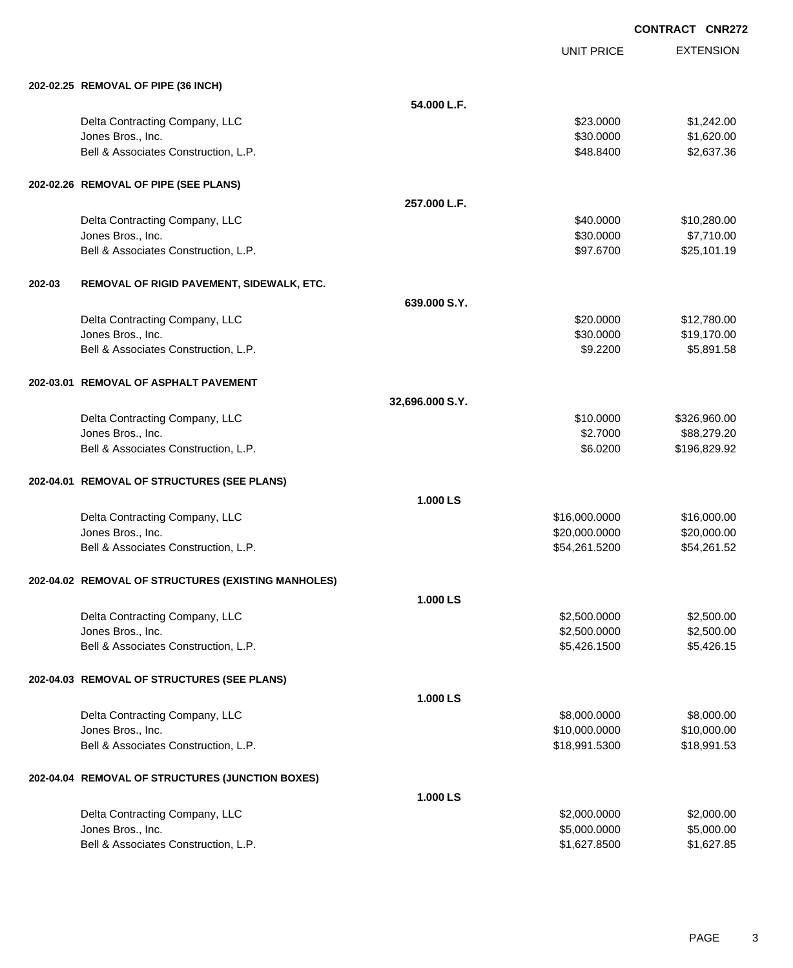UNIT PRICE EXTENSION

|        | 202-02.25 REMOVAL OF PIPE (36 INCH)                       |                 |                              |                          |
|--------|-----------------------------------------------------------|-----------------|------------------------------|--------------------------|
|        |                                                           | 54.000 L.F.     |                              |                          |
|        | Delta Contracting Company, LLC                            |                 | \$23.0000                    | \$1,242.00               |
|        | Jones Bros., Inc.                                         |                 | \$30.0000                    | \$1,620.00               |
|        | Bell & Associates Construction, L.P.                      |                 | \$48.8400                    | \$2,637.36               |
|        | 202-02.26 REMOVAL OF PIPE (SEE PLANS)                     |                 |                              |                          |
|        |                                                           | 257.000 L.F.    |                              |                          |
|        | Delta Contracting Company, LLC                            |                 | \$40.0000                    | \$10,280.00              |
|        | Jones Bros., Inc.                                         |                 | \$30.0000                    | \$7,710.00               |
|        | Bell & Associates Construction, L.P.                      |                 | \$97.6700                    | \$25,101.19              |
| 202-03 | REMOVAL OF RIGID PAVEMENT, SIDEWALK, ETC.                 |                 |                              |                          |
|        |                                                           | 639,000 S.Y.    |                              |                          |
|        | Delta Contracting Company, LLC                            |                 | \$20.0000                    | \$12,780.00              |
|        | Jones Bros., Inc.                                         |                 | \$30.0000                    | \$19,170.00              |
|        | Bell & Associates Construction, L.P.                      |                 | \$9.2200                     | \$5,891.58               |
|        | 202-03.01 REMOVAL OF ASPHALT PAVEMENT                     |                 |                              |                          |
|        |                                                           | 32,696.000 S.Y. |                              |                          |
|        | Delta Contracting Company, LLC                            |                 | \$10.0000                    | \$326,960.00             |
|        | Jones Bros., Inc.                                         |                 | \$2.7000                     | \$88,279.20              |
|        | Bell & Associates Construction, L.P.                      |                 | \$6.0200                     | \$196,829.92             |
|        | 202-04.01 REMOVAL OF STRUCTURES (SEE PLANS)               |                 |                              |                          |
|        |                                                           | 1.000 LS        |                              |                          |
|        | Delta Contracting Company, LLC                            |                 | \$16,000.0000                | \$16,000.00              |
|        | Jones Bros., Inc.                                         |                 | \$20,000.0000                | \$20,000.00              |
|        | Bell & Associates Construction, L.P.                      |                 | \$54,261.5200                | \$54,261.52              |
|        | 202-04.02 REMOVAL OF STRUCTURES (EXISTING MANHOLES)       |                 |                              |                          |
|        |                                                           | 1.000 LS        |                              |                          |
|        | Delta Contracting Company, LLC                            |                 | \$2,500.0000                 | \$2,500.00               |
|        | Jones Bros., Inc.<br>Bell & Associates Construction, L.P. |                 | \$2,500.0000<br>\$5,426.1500 | \$2,500.00<br>\$5,426.15 |
|        |                                                           |                 |                              |                          |
|        | 202-04.03 REMOVAL OF STRUCTURES (SEE PLANS)               |                 |                              |                          |
|        |                                                           | 1.000 LS        |                              |                          |
|        | Delta Contracting Company, LLC                            |                 | \$8,000.0000                 | \$8,000.00               |
|        | Jones Bros., Inc.                                         |                 | \$10,000.0000                | \$10,000.00              |
|        | Bell & Associates Construction, L.P.                      |                 | \$18,991.5300                | \$18,991.53              |
|        | 202-04.04 REMOVAL OF STRUCTURES (JUNCTION BOXES)          |                 |                              |                          |
|        |                                                           | 1.000 LS        |                              |                          |
|        | Delta Contracting Company, LLC                            |                 | \$2,000.0000                 | \$2,000.00               |
|        | Jones Bros., Inc.<br>Bell & Associates Construction, L.P. |                 | \$5,000.0000<br>\$1,627.8500 | \$5,000.00<br>\$1,627.85 |
|        |                                                           |                 |                              |                          |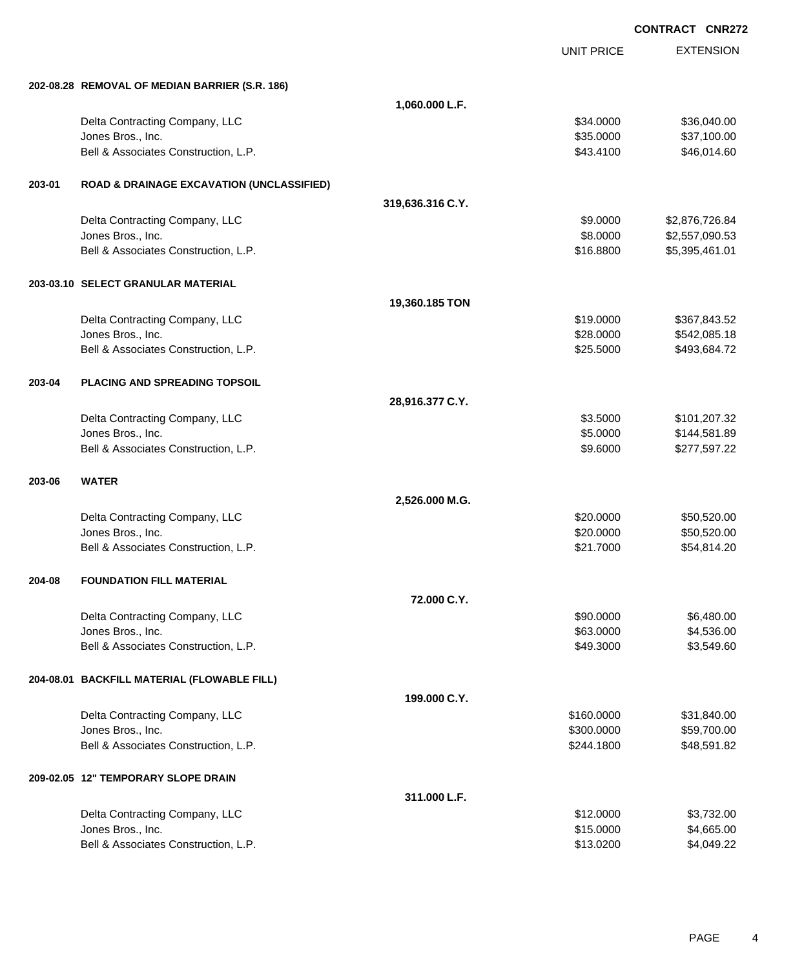EXTENSION **CONTRACT CNR272** UNIT PRICE **202-08.28 REMOVAL OF MEDIAN BARRIER (S.R. 186) 1,060.000 L.F.** Delta Contracting Company, LLC \$34.0000 \$36,040.00 Jones Bros., Inc. \$35.0000 \$37,100.00 Bell & Associates Construction, L.P.  $$46,014.60$ **203-01 ROAD & DRAINAGE EXCAVATION (UNCLASSIFIED) 319,636.316 C.Y.** Delta Contracting Company, LLC 6.84 Jones Bros., Inc. \$8.0000 \$2,557,090.53 Bell & Associates Construction, L.P.  $$16.8800$   $$5,395,461.01$ **203-03.10 SELECT GRANULAR MATERIAL 19,360.185 TON** Delta Contracting Company, LLC **6.19.1000 \$367,843.52** \$19.0000 \$367,843.52 Jones Bros., Inc. \$28.0000 \$542,085.18 Bell & Associates Construction, L.P. \$25.5000 \$493,684.72 **203-04 PLACING AND SPREADING TOPSOIL 28,916.377 C.Y.** Delta Contracting Company, LLC **6.6 and 7.6 and 7.6 and 7.6 and 7.6 and 7.6 and 7.6 and 7.6 and 7.6 and 7.6 and 7.6 and 7.6 and 7.6 and 7.6 and 7.6 and 7.6 and 7.6 and 7.6 and 7.6 and 7.6 and 7.6 and 7.6 and 7.6 and 7.6 an** Jones Bros., Inc. \$5.0000 \$144,581.89 Bell & Associates Construction, L.P.  $$9.6000$  \$277,597.22 **203-06 WATER 2,526.000 M.G.** Delta Contracting Company, LLC **6.620.000 \$50,520.00** \$50,520.00 Jones Bros., Inc. \$20.0000 \$50,520.00 Bell & Associates Construction, L.P.  $$54,814.20$ **204-08 FOUNDATION FILL MATERIAL 72.000 C.Y.** Delta Contracting Company, LLC **6.480.000 \$6,480.00** \$6,480.00 Jones Bros., Inc. \$63.0000 \$4,536.00 Bell & Associates Construction, L.P. \$49.3000 \$3,549.60 **204-08.01 BACKFILL MATERIAL (FLOWABLE FILL) 199.000 C.Y.** Delta Contracting Company, LLC **but a struck of the struck of the struck of the struck of the struck of the struck of the struck of the struck of the struck of the struck of the struck of the struck of the struck of the st** Jones Bros., Inc. \$300.0000 \$59,700.00 Bell & Associates Construction, L.P. \$48,591.82 (\$244.1800 \$48,591.82 **209-02.05 12" TEMPORARY SLOPE DRAIN 311.000 L.F.** Delta Contracting Company, LLC 61 and the state of the state of the state of the state of the state of the state of the state of the state of the state of the state of the state of the state of the state of the state of th Jones Bros., Inc. \$15.0000 \$4,665.00

Bell & Associates Construction, L.P. \$13.0200 \$4,049.22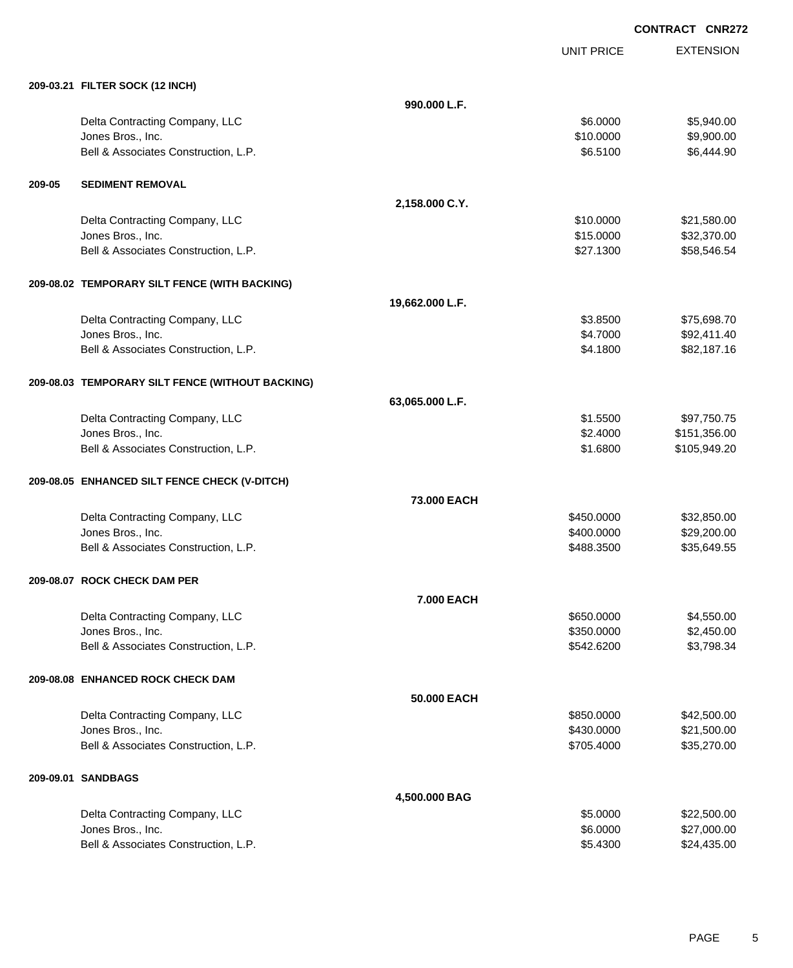UNIT PRICE EXTENSION

|        | 209-03.21 FILTER SOCK (12 INCH)                  |                   |            |              |
|--------|--------------------------------------------------|-------------------|------------|--------------|
|        |                                                  | 990.000 L.F.      |            |              |
|        | Delta Contracting Company, LLC                   |                   | \$6.0000   | \$5,940.00   |
|        | Jones Bros., Inc.                                |                   | \$10.0000  | \$9,900.00   |
|        | Bell & Associates Construction, L.P.             |                   | \$6.5100   | \$6,444.90   |
| 209-05 | <b>SEDIMENT REMOVAL</b>                          |                   |            |              |
|        |                                                  | 2,158.000 C.Y.    |            |              |
|        | Delta Contracting Company, LLC                   |                   | \$10.0000  | \$21,580.00  |
|        | Jones Bros., Inc.                                |                   | \$15.0000  | \$32,370.00  |
|        | Bell & Associates Construction, L.P.             |                   | \$27.1300  | \$58,546.54  |
|        | 209-08.02 TEMPORARY SILT FENCE (WITH BACKING)    |                   |            |              |
|        |                                                  | 19,662.000 L.F.   |            |              |
|        | Delta Contracting Company, LLC                   |                   | \$3.8500   | \$75,698.70  |
|        | Jones Bros., Inc.                                |                   | \$4.7000   | \$92,411.40  |
|        | Bell & Associates Construction, L.P.             |                   | \$4.1800   | \$82,187.16  |
|        | 209-08.03 TEMPORARY SILT FENCE (WITHOUT BACKING) |                   |            |              |
|        |                                                  | 63,065.000 L.F.   |            |              |
|        | Delta Contracting Company, LLC                   |                   | \$1.5500   | \$97,750.75  |
|        | Jones Bros., Inc.                                |                   | \$2.4000   | \$151,356.00 |
|        | Bell & Associates Construction, L.P.             |                   | \$1.6800   | \$105,949.20 |
|        | 209-08.05 ENHANCED SILT FENCE CHECK (V-DITCH)    |                   |            |              |
|        |                                                  | 73.000 EACH       |            |              |
|        | Delta Contracting Company, LLC                   |                   | \$450.0000 | \$32,850.00  |
|        | Jones Bros., Inc.                                |                   | \$400.0000 | \$29,200.00  |
|        | Bell & Associates Construction, L.P.             |                   | \$488.3500 | \$35,649.55  |
|        | 209-08.07 ROCK CHECK DAM PER                     |                   |            |              |
|        |                                                  | <b>7.000 EACH</b> |            |              |
|        | Delta Contracting Company, LLC                   |                   | \$650.0000 | \$4,550.00   |
|        | Jones Bros., Inc.                                |                   | \$350.0000 | \$2,450.00   |
|        | Bell & Associates Construction, L.P.             |                   | \$542.6200 | \$3,798.34   |
|        | 209-08.08 ENHANCED ROCK CHECK DAM                |                   |            |              |
|        |                                                  | 50.000 EACH       |            |              |
|        | Delta Contracting Company, LLC                   |                   | \$850.0000 | \$42,500.00  |
|        | Jones Bros., Inc.                                |                   | \$430.0000 | \$21,500.00  |
|        | Bell & Associates Construction, L.P.             |                   | \$705.4000 | \$35,270.00  |
|        | 209-09.01 SANDBAGS                               |                   |            |              |
|        |                                                  | 4,500.000 BAG     |            |              |
|        | Delta Contracting Company, LLC                   |                   | \$5.0000   | \$22,500.00  |
|        | Jones Bros., Inc.                                |                   | \$6.0000   | \$27,000.00  |
|        | Bell & Associates Construction, L.P.             |                   | \$5.4300   | \$24,435.00  |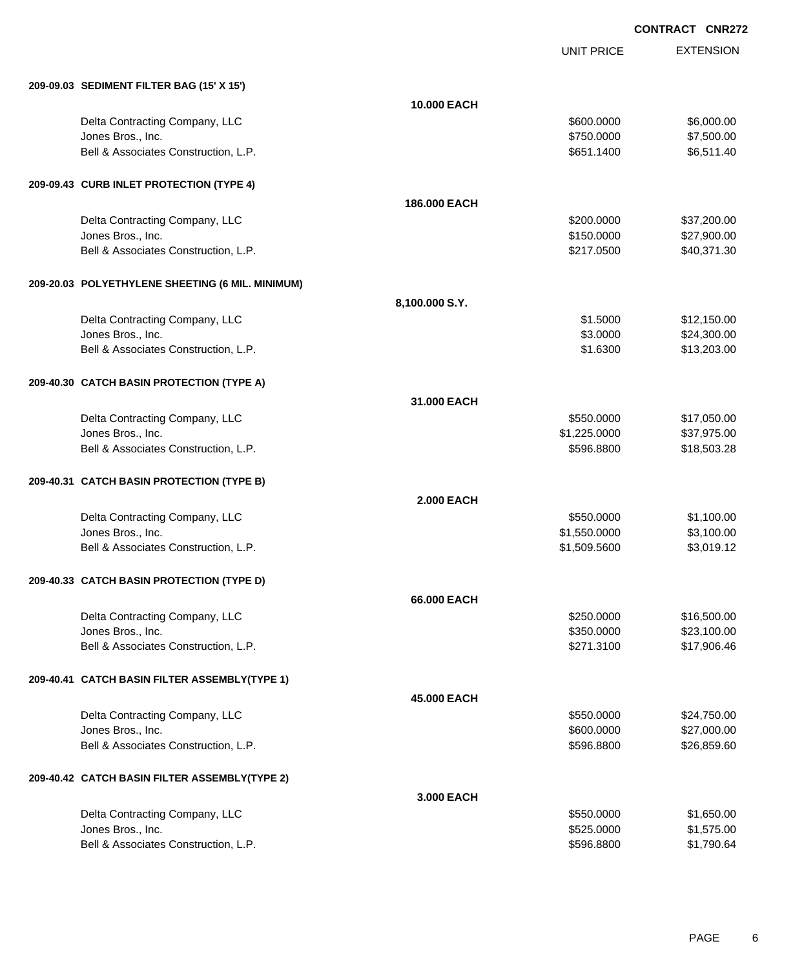UNIT PRICE

EXTENSION

| 209-09.03 SEDIMENT FILTER BAG (15' X 15') |            |            |
|-------------------------------------------|------------|------------|
| <b>10.000 EACH</b>                        |            |            |
| Delta Contracting Company, LLC            | \$600,0000 | \$6,000.00 |
| Jones Bros., Inc.                         | \$750,0000 | \$7,500.00 |
| Bell & Associates Construction, L.P.      | \$651,1400 | \$6,511.40 |

#### **209-09.43 CURB INLET PROTECTION (TYPE 4)**

|  |                                                  | 186.000 EACH      |              |             |
|--|--------------------------------------------------|-------------------|--------------|-------------|
|  | Delta Contracting Company, LLC                   |                   | \$200.0000   | \$37,200.00 |
|  | Jones Bros., Inc.                                |                   | \$150.0000   | \$27,900.00 |
|  | Bell & Associates Construction, L.P.             |                   | \$217.0500   | \$40,371.30 |
|  | 209-20.03 POLYETHYLENE SHEETING (6 MIL. MINIMUM) |                   |              |             |
|  |                                                  | 8,100.000 S.Y.    |              |             |
|  | Delta Contracting Company, LLC                   |                   | \$1.5000     | \$12,150.00 |
|  | Jones Bros., Inc.                                |                   | \$3.0000     | \$24,300.00 |
|  | Bell & Associates Construction, L.P.             |                   | \$1.6300     | \$13,203.00 |
|  | 209-40.30 CATCH BASIN PROTECTION (TYPE A)        |                   |              |             |
|  |                                                  | 31.000 EACH       |              |             |
|  | Delta Contracting Company, LLC                   |                   | \$550.0000   | \$17,050.00 |
|  | Jones Bros., Inc.                                |                   | \$1,225.0000 | \$37,975.00 |
|  | Bell & Associates Construction, L.P.             |                   | \$596.8800   | \$18,503.28 |
|  | 209-40.31 CATCH BASIN PROTECTION (TYPE B)        |                   |              |             |
|  |                                                  | <b>2.000 EACH</b> |              |             |
|  | Delta Contracting Company, LLC                   |                   | \$550.0000   | \$1,100.00  |
|  | Jones Bros., Inc.                                |                   | \$1,550.0000 | \$3,100.00  |
|  | Bell & Associates Construction, L.P.             |                   | \$1,509.5600 | \$3,019.12  |

### **209-40.33 CATCH BASIN PROTECTION (TYPE D)**

|  |                                               | 66,000 EACH |            |             |
|--|-----------------------------------------------|-------------|------------|-------------|
|  | Delta Contracting Company, LLC                |             | \$250.0000 | \$16,500.00 |
|  | Jones Bros., Inc.                             |             | \$350.0000 | \$23,100.00 |
|  | Bell & Associates Construction, L.P.          |             | \$271.3100 | \$17,906.46 |
|  | 209-40.41 CATCH BASIN FILTER ASSEMBLY(TYPE 1) |             |            |             |
|  |                                               | 45,000 EACH |            |             |
|  | Delta Contracting Company, LLC                |             | \$550.0000 | \$24,750.00 |
|  | Jones Bros., Inc.                             |             | \$600.0000 | \$27,000.00 |
|  | Bell & Associates Construction, L.P.          |             | \$596.8800 | \$26,859.60 |
|  | 209-40.42 CATCH BASIN FILTER ASSEMBLY(TYPE 2) |             |            |             |
|  |                                               | 3,000 EACH  |            |             |
|  | Delta Contracting Company, LLC                |             | \$550.0000 | \$1,650.00  |
|  | Jones Bros., Inc.                             |             | \$525.0000 | \$1,575.00  |
|  | Bell & Associates Construction, L.P.          |             | \$596,8800 | \$1,790.64  |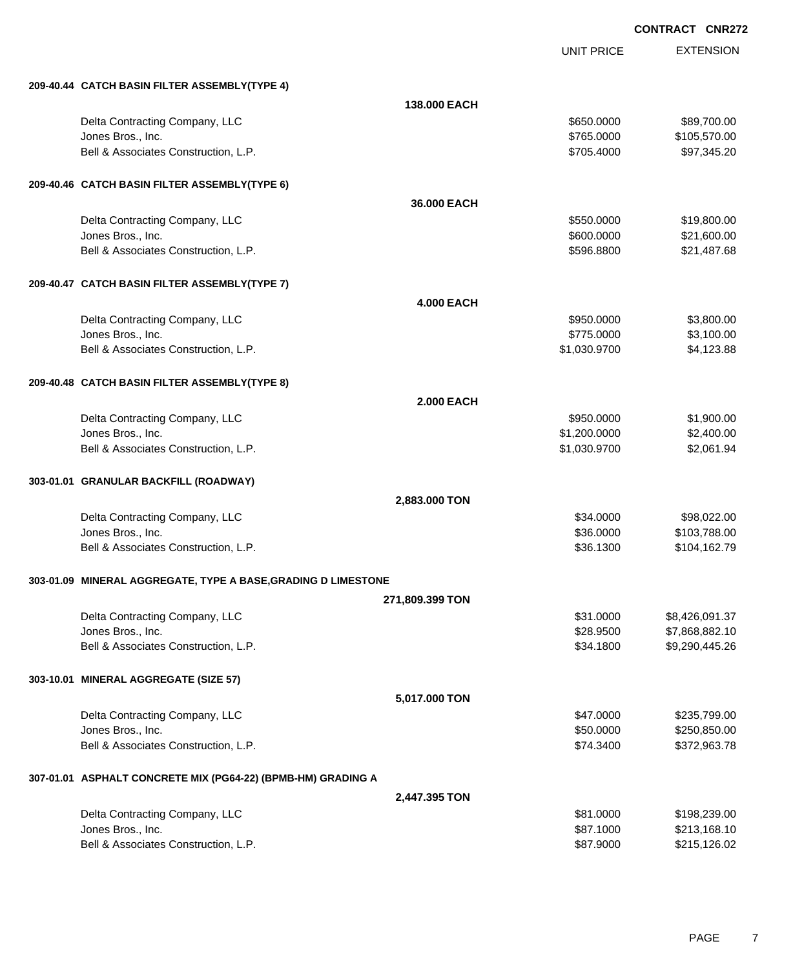UNIT PRICE EXTENSION

| 209-40.44 CATCH BASIN FILTER ASSEMBLY(TYPE 4)                 |                   |                        |                                  |
|---------------------------------------------------------------|-------------------|------------------------|----------------------------------|
|                                                               | 138.000 EACH      |                        |                                  |
| Delta Contracting Company, LLC                                |                   | \$650.0000             | \$89,700.00                      |
| Jones Bros., Inc.                                             |                   | \$765.0000             | \$105,570.00                     |
| Bell & Associates Construction, L.P.                          |                   | \$705.4000             | \$97,345.20                      |
|                                                               |                   |                        |                                  |
| 209-40.46 CATCH BASIN FILTER ASSEMBLY(TYPE 6)                 |                   |                        |                                  |
|                                                               | 36.000 EACH       |                        |                                  |
| Delta Contracting Company, LLC                                |                   | \$550.0000             | \$19,800.00                      |
| Jones Bros., Inc.                                             |                   | \$600.0000             | \$21,600.00                      |
| Bell & Associates Construction, L.P.                          |                   | \$596,8800             | \$21,487.68                      |
| 209-40.47 CATCH BASIN FILTER ASSEMBLY(TYPE 7)                 |                   |                        |                                  |
|                                                               | <b>4.000 EACH</b> |                        |                                  |
| Delta Contracting Company, LLC                                |                   | \$950.0000             | \$3,800.00                       |
| Jones Bros., Inc.                                             |                   | \$775.0000             | \$3,100.00                       |
| Bell & Associates Construction, L.P.                          |                   | \$1,030.9700           | \$4,123.88                       |
| 209-40.48 CATCH BASIN FILTER ASSEMBLY(TYPE 8)                 |                   |                        |                                  |
|                                                               | <b>2.000 EACH</b> |                        |                                  |
| Delta Contracting Company, LLC                                |                   | \$950.0000             | \$1,900.00                       |
| Jones Bros., Inc.                                             |                   | \$1,200.0000           | \$2,400.00                       |
| Bell & Associates Construction, L.P.                          |                   | \$1,030.9700           | \$2,061.94                       |
| 303-01.01 GRANULAR BACKFILL (ROADWAY)                         |                   |                        |                                  |
|                                                               | 2,883.000 TON     |                        |                                  |
| Delta Contracting Company, LLC                                |                   | \$34.0000              | \$98,022.00                      |
| Jones Bros., Inc.                                             |                   | \$36.0000              | \$103,788.00                     |
| Bell & Associates Construction, L.P.                          |                   | \$36.1300              | \$104,162.79                     |
|                                                               |                   |                        |                                  |
| 303-01.09 MINERAL AGGREGATE, TYPE A BASE, GRADING D LIMESTONE |                   |                        |                                  |
|                                                               | 271,809.399 TON   |                        |                                  |
| Delta Contracting Company, LLC                                |                   | \$31.0000              | \$8,426,091.37                   |
| Jones Bros., Inc.<br>Bell & Associates Construction, L.P.     |                   | \$28.9500<br>\$34.1800 | \$7,868,882.10<br>\$9,290,445.26 |
|                                                               |                   |                        |                                  |
| 303-10.01 MINERAL AGGREGATE (SIZE 57)                         |                   |                        |                                  |
|                                                               | 5,017.000 TON     |                        |                                  |
| Delta Contracting Company, LLC                                |                   | \$47.0000              | \$235,799.00                     |
| Jones Bros., Inc.                                             |                   | \$50.0000              | \$250,850.00                     |
| Bell & Associates Construction, L.P.                          |                   | \$74.3400              | \$372,963.78                     |
| 307-01.01 ASPHALT CONCRETE MIX (PG64-22) (BPMB-HM) GRADING A  |                   |                        |                                  |
|                                                               | 2,447.395 TON     |                        |                                  |
| Delta Contracting Company, LLC                                |                   | \$81.0000              | \$198,239.00                     |
| Jones Bros., Inc.                                             |                   | \$87.1000              | \$213,168.10                     |
| Bell & Associates Construction, L.P.                          |                   | \$87.9000              | \$215,126.02                     |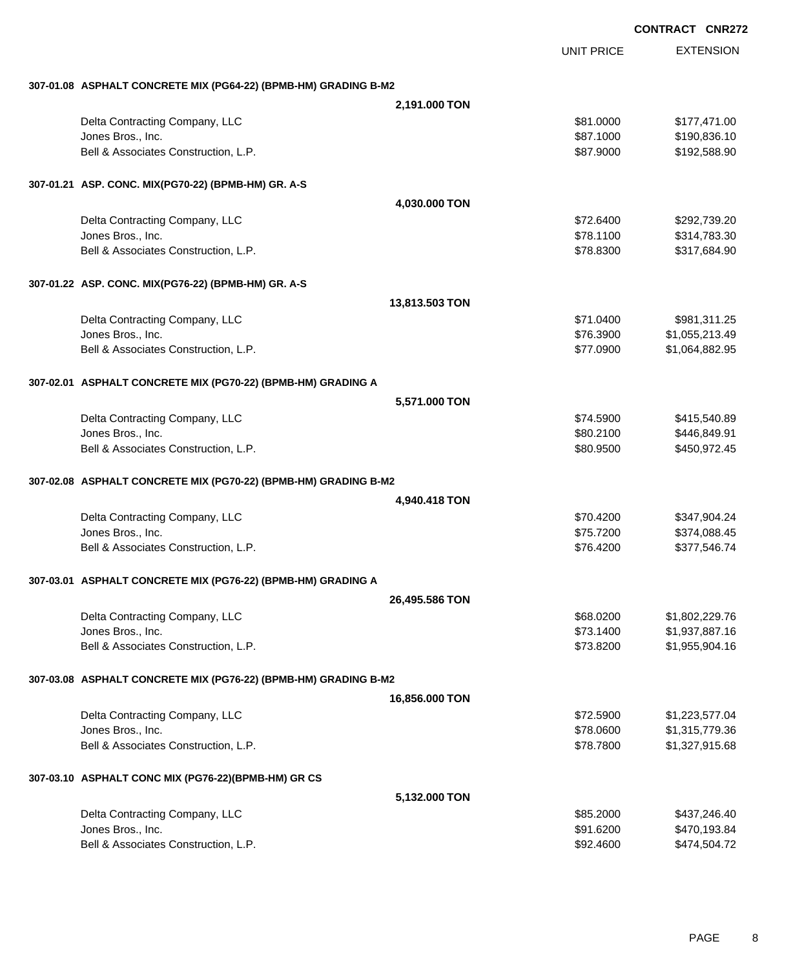|                                                                 |                |                   | <b>CONTRACT CNR272</b> |
|-----------------------------------------------------------------|----------------|-------------------|------------------------|
|                                                                 |                | <b>UNIT PRICE</b> | <b>EXTENSION</b>       |
| 307-01.08 ASPHALT CONCRETE MIX (PG64-22) (BPMB-HM) GRADING B-M2 |                |                   |                        |
|                                                                 | 2,191.000 TON  |                   |                        |
| Delta Contracting Company, LLC                                  |                | \$81.0000         | \$177,471.00           |
| Jones Bros., Inc.                                               |                | \$87.1000         | \$190,836.10           |
| Bell & Associates Construction, L.P.                            |                | \$87.9000         | \$192,588.90           |
| 307-01.21 ASP. CONC. MIX(PG70-22) (BPMB-HM) GR. A-S             |                |                   |                        |
|                                                                 | 4,030.000 TON  |                   |                        |
| Delta Contracting Company, LLC                                  |                | \$72.6400         | \$292,739.20           |
| Jones Bros., Inc.                                               |                | \$78.1100         | \$314,783.30           |
| Bell & Associates Construction, L.P.                            |                | \$78.8300         | \$317,684.90           |
| 307-01.22 ASP. CONC. MIX(PG76-22) (BPMB-HM) GR. A-S             |                |                   |                        |
|                                                                 | 13,813.503 TON |                   |                        |
| Delta Contracting Company, LLC                                  |                | \$71.0400         | \$981,311.25           |
| Jones Bros., Inc.                                               |                | \$76.3900         | \$1,055,213.49         |
| Bell & Associates Construction, L.P.                            |                | \$77.0900         | \$1,064,882.95         |
| 307-02.01 ASPHALT CONCRETE MIX (PG70-22) (BPMB-HM) GRADING A    |                |                   |                        |
|                                                                 | 5,571.000 TON  |                   |                        |
| Delta Contracting Company, LLC                                  |                | \$74.5900         | \$415,540.89           |
| Jones Bros., Inc.                                               |                | \$80.2100         | \$446,849.91           |
| Bell & Associates Construction, L.P.                            |                | \$80.9500         | \$450,972.45           |
| 307-02.08 ASPHALT CONCRETE MIX (PG70-22) (BPMB-HM) GRADING B-M2 |                |                   |                        |
|                                                                 | 4,940.418 TON  |                   |                        |
| Delta Contracting Company, LLC                                  |                | \$70.4200         | \$347,904.24           |
| Jones Bros., Inc.                                               |                | \$75.7200         | \$374,088.45           |
| Bell & Associates Construction, L.P.                            |                | \$76.4200         | \$377,546.74           |
| 307-03.01 ASPHALT CONCRETE MIX (PG76-22) (BPMB-HM) GRADING A    |                |                   |                        |
|                                                                 | 26,495.586 TON |                   |                        |
| Delta Contracting Company, LLC                                  |                | \$68.0200         | \$1,802,229.76         |
| Jones Bros., Inc.                                               |                | \$73.1400         | \$1,937,887.16         |
| Bell & Associates Construction, L.P.                            |                | \$73.8200         | \$1,955,904.16         |
| 307-03.08 ASPHALT CONCRETE MIX (PG76-22) (BPMB-HM) GRADING B-M2 |                |                   |                        |
|                                                                 | 16,856.000 TON |                   |                        |
| Delta Contracting Company, LLC                                  |                | \$72.5900         | \$1,223,577.04         |
| Jones Bros., Inc.                                               |                | \$78.0600         | \$1,315,779.36         |
| Bell & Associates Construction, L.P.                            |                | \$78.7800         | \$1,327,915.68         |
| 307-03.10 ASPHALT CONC MIX (PG76-22)(BPMB-HM) GR CS             |                |                   |                        |
|                                                                 | 5,132.000 TON  |                   |                        |
| Delta Contracting Company, LLC                                  |                | \$85.2000         | \$437,246.40           |
| Jones Bros., Inc.                                               |                | \$91.6200         | \$470,193.84           |
| Bell & Associates Construction, L.P.                            |                | \$92.4600         | \$474,504.72           |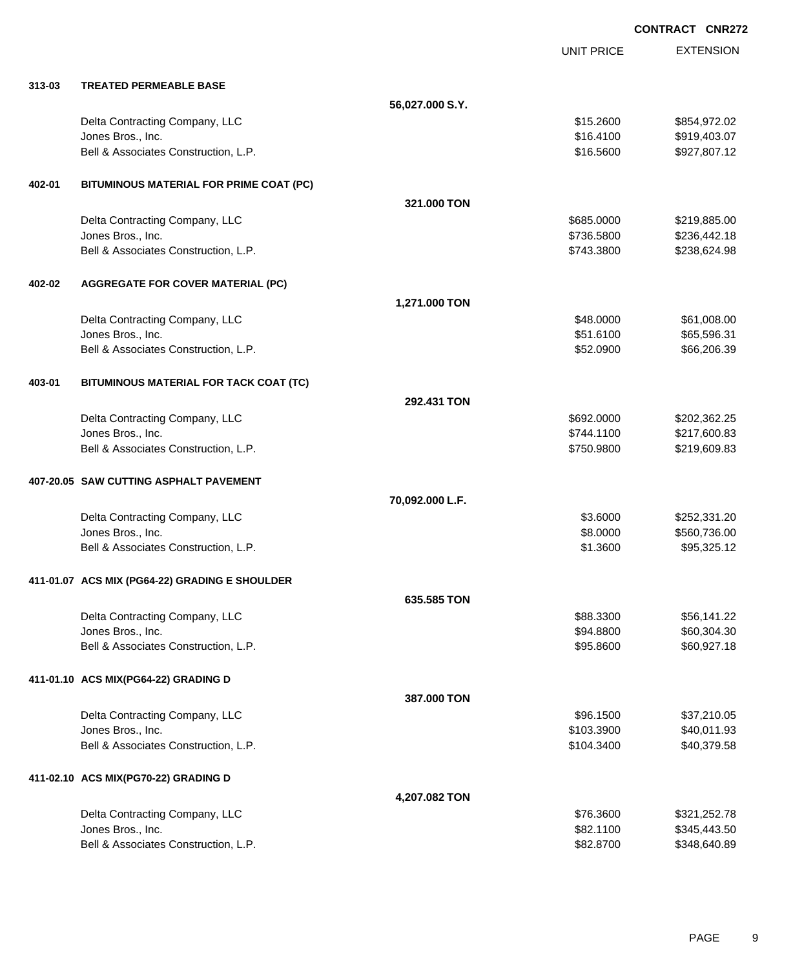|            |                                                |                 | <b>UNIT PRICE</b> | <b>EXTENSION</b> |
|------------|------------------------------------------------|-----------------|-------------------|------------------|
| $313 - 03$ | <b>TREATED PERMEABLE BASE</b>                  |                 |                   |                  |
|            |                                                | 56,027.000 S.Y. |                   |                  |
|            | Delta Contracting Company, LLC                 |                 | \$15.2600         | \$854,972.02     |
|            | Jones Bros., Inc.                              |                 | \$16.4100         | \$919,403.07     |
|            | Bell & Associates Construction, L.P.           |                 | \$16.5600         | \$927,807.12     |
| 402-01     | BITUMINOUS MATERIAL FOR PRIME COAT (PC)        |                 |                   |                  |
|            |                                                | 321,000 TON     |                   |                  |
|            | Delta Contracting Company, LLC                 |                 | \$685.0000        | \$219,885.00     |
|            | Jones Bros., Inc.                              |                 | \$736.5800        | \$236,442.18     |
|            | Bell & Associates Construction, L.P.           |                 | \$743.3800        | \$238,624.98     |
| 402-02     | <b>AGGREGATE FOR COVER MATERIAL (PC)</b>       |                 |                   |                  |
|            |                                                | 1,271.000 TON   |                   |                  |
|            | Delta Contracting Company, LLC                 |                 | \$48.0000         | \$61,008.00      |
|            | Jones Bros., Inc.                              |                 | \$51.6100         | \$65,596.31      |
|            | Bell & Associates Construction, L.P.           |                 | \$52.0900         | \$66,206.39      |
| 403-01     | BITUMINOUS MATERIAL FOR TACK COAT (TC)         |                 |                   |                  |
|            |                                                | 292.431 TON     |                   |                  |
|            | Delta Contracting Company, LLC                 |                 | \$692.0000        | \$202,362.25     |
|            | Jones Bros., Inc.                              |                 | \$744.1100        | \$217,600.83     |
|            | Bell & Associates Construction, L.P.           |                 | \$750.9800        | \$219,609.83     |
|            | 407-20.05 SAW CUTTING ASPHALT PAVEMENT         |                 |                   |                  |
|            |                                                | 70,092.000 L.F. |                   |                  |
|            | Delta Contracting Company, LLC                 |                 | \$3.6000          | \$252,331.20     |
|            | Jones Bros., Inc.                              |                 | \$8.0000          | \$560,736.00     |
|            | Bell & Associates Construction, L.P.           |                 | \$1.3600          | \$95,325.12      |
|            | 411-01.07 ACS MIX (PG64-22) GRADING E SHOULDER |                 |                   |                  |
|            |                                                | 635.585 TON     |                   |                  |
|            | Delta Contracting Company, LLC                 |                 | \$88.3300         | \$56,141.22      |
|            | Jones Bros., Inc.                              |                 | \$94.8800         | \$60,304.30      |
|            | Bell & Associates Construction, L.P.           |                 | \$95.8600         | \$60,927.18      |
|            | 411-01.10 ACS MIX(PG64-22) GRADING D           |                 |                   |                  |
|            |                                                | 387.000 TON     |                   |                  |
|            | Delta Contracting Company, LLC                 |                 | \$96.1500         | \$37,210.05      |
|            | Jones Bros., Inc.                              |                 | \$103.3900        | \$40,011.93      |
|            | Bell & Associates Construction, L.P.           |                 | \$104.3400        | \$40,379.58      |
|            | 411-02.10 ACS MIX(PG70-22) GRADING D           |                 |                   |                  |
|            |                                                | 4,207.082 TON   |                   |                  |
|            | Delta Contracting Company, LLC                 |                 | \$76.3600         | \$321,252.78     |
|            | Jones Bros., Inc.                              |                 | \$82.1100         | \$345,443.50     |
|            | Bell & Associates Construction, L.P.           |                 | \$82.8700         | \$348,640.89     |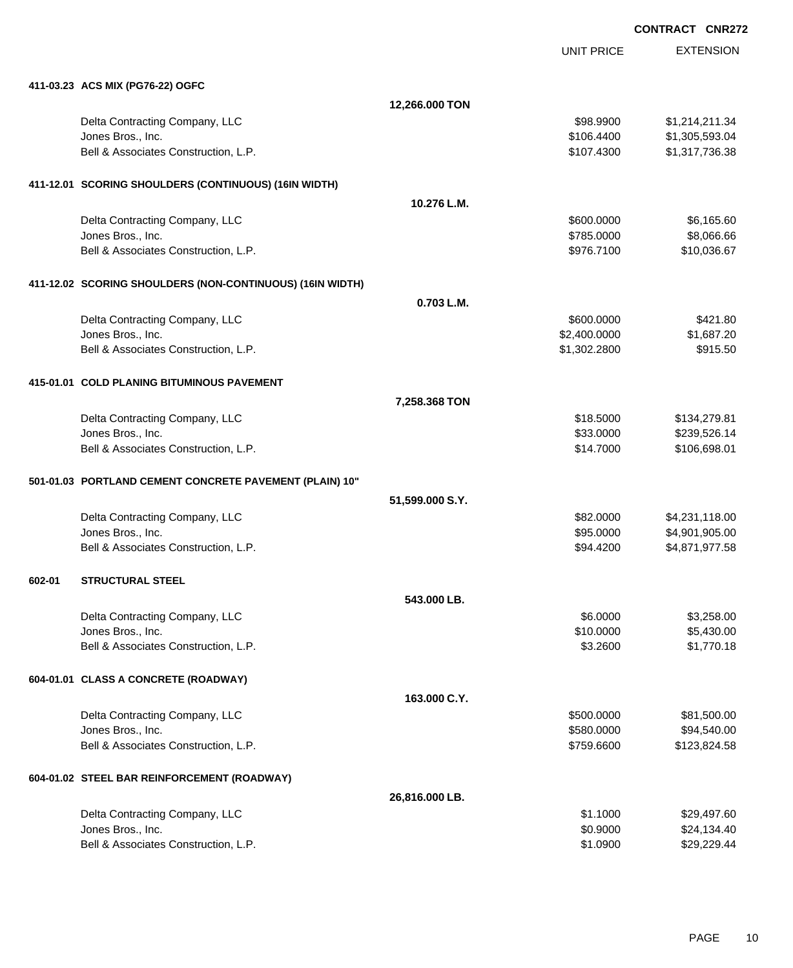|        | 411-03.23 ACS MIX (PG76-22) OGFC                          |                 |              |                |
|--------|-----------------------------------------------------------|-----------------|--------------|----------------|
|        |                                                           | 12,266.000 TON  |              |                |
|        | Delta Contracting Company, LLC                            |                 | \$98.9900    | \$1,214,211.34 |
|        | Jones Bros., Inc.                                         |                 | \$106.4400   | \$1,305,593.04 |
|        | Bell & Associates Construction, L.P.                      |                 | \$107.4300   | \$1,317,736.38 |
|        |                                                           |                 |              |                |
|        | 411-12.01 SCORING SHOULDERS (CONTINUOUS) (16IN WIDTH)     |                 |              |                |
|        |                                                           | 10.276 L.M.     |              |                |
|        | Delta Contracting Company, LLC                            |                 | \$600.0000   | \$6,165.60     |
|        | Jones Bros., Inc.                                         |                 | \$785.0000   | \$8,066.66     |
|        | Bell & Associates Construction, L.P.                      |                 | \$976.7100   | \$10,036.67    |
|        | 411-12.02 SCORING SHOULDERS (NON-CONTINUOUS) (16IN WIDTH) |                 |              |                |
|        |                                                           | 0.703 L.M.      |              |                |
|        | Delta Contracting Company, LLC                            |                 | \$600.0000   | \$421.80       |
|        | Jones Bros., Inc.                                         |                 | \$2,400.0000 | \$1,687.20     |
|        | Bell & Associates Construction, L.P.                      |                 | \$1,302.2800 | \$915.50       |
|        |                                                           |                 |              |                |
|        | 415-01.01 COLD PLANING BITUMINOUS PAVEMENT                |                 |              |                |
|        |                                                           | 7,258.368 TON   |              |                |
|        | Delta Contracting Company, LLC                            |                 | \$18.5000    | \$134,279.81   |
|        | Jones Bros., Inc.                                         |                 | \$33.0000    | \$239,526.14   |
|        | Bell & Associates Construction, L.P.                      |                 | \$14.7000    | \$106,698.01   |
|        | 501-01.03 PORTLAND CEMENT CONCRETE PAVEMENT (PLAIN) 10"   |                 |              |                |
|        |                                                           | 51,599.000 S.Y. |              |                |
|        | Delta Contracting Company, LLC                            |                 | \$82.0000    | \$4,231,118.00 |
|        | Jones Bros., Inc.                                         |                 | \$95.0000    | \$4,901,905.00 |
|        | Bell & Associates Construction, L.P.                      |                 | \$94.4200    | \$4,871,977.58 |
| 602-01 | <b>STRUCTURAL STEEL</b>                                   |                 |              |                |
|        |                                                           | 543.000 LB.     |              |                |
|        | Delta Contracting Company, LLC                            |                 | \$6,0000     | \$3,258.00     |
|        | Jones Bros., Inc.                                         |                 | \$10.0000    | \$5,430.00     |
|        | Bell & Associates Construction, L.P.                      |                 | \$3.2600     | \$1,770.18     |
|        | 604-01.01 CLASS A CONCRETE (ROADWAY)                      |                 |              |                |
|        |                                                           | 163.000 C.Y.    |              |                |
|        | Delta Contracting Company, LLC                            |                 | \$500.0000   | \$81,500.00    |
|        | Jones Bros., Inc.                                         |                 | \$580.0000   | \$94,540.00    |
|        | Bell & Associates Construction, L.P.                      |                 | \$759.6600   | \$123,824.58   |
|        | 604-01.02 STEEL BAR REINFORCEMENT (ROADWAY)               |                 |              |                |
|        |                                                           | 26,816.000 LB.  |              |                |
|        | Delta Contracting Company, LLC                            |                 | \$1.1000     | \$29,497.60    |
|        | Jones Bros., Inc.                                         |                 | \$0.9000     | \$24,134.40    |
|        | Bell & Associates Construction, L.P.                      |                 | \$1.0900     | \$29,229.44    |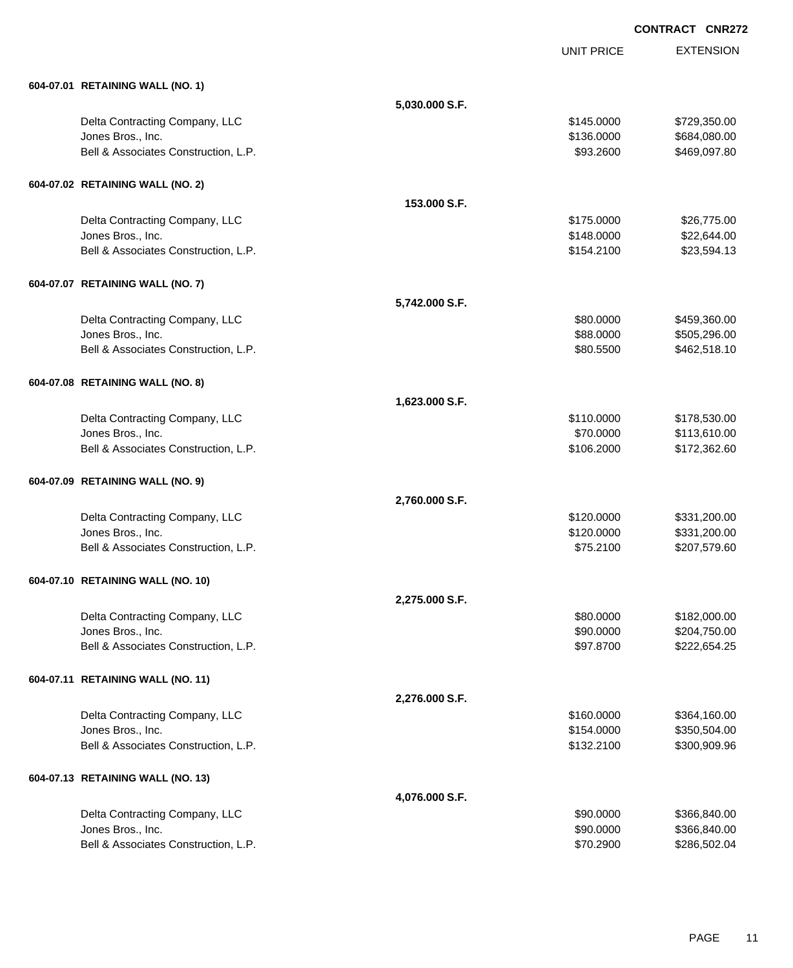|                                      |                | <b>UNIT PRICE</b> | <b>EXTENSION</b> |
|--------------------------------------|----------------|-------------------|------------------|
| 604-07.01 RETAINING WALL (NO. 1)     |                |                   |                  |
|                                      | 5,030.000 S.F. |                   |                  |
| Delta Contracting Company, LLC       |                | \$145.0000        | \$729,350.00     |
| Jones Bros., Inc.                    |                | \$136.0000        | \$684,080.00     |
| Bell & Associates Construction, L.P. |                | \$93.2600         | \$469,097.80     |
| 604-07.02 RETAINING WALL (NO. 2)     |                |                   |                  |
|                                      | 153,000 S.F.   |                   |                  |
| Delta Contracting Company, LLC       |                | \$175.0000        | \$26,775.00      |
| Jones Bros., Inc.                    |                | \$148.0000        | \$22,644.00      |
| Bell & Associates Construction, L.P. |                | \$154.2100        | \$23,594.13      |
| 604-07.07 RETAINING WALL (NO. 7)     |                |                   |                  |
|                                      | 5,742.000 S.F. |                   |                  |
| Delta Contracting Company, LLC       |                | \$80.0000         | \$459,360.00     |
| Jones Bros., Inc.                    |                | \$88.0000         | \$505,296.00     |
| Bell & Associates Construction, L.P. |                | \$80.5500         | \$462,518.10     |
| 604-07.08 RETAINING WALL (NO. 8)     |                |                   |                  |
|                                      | 1,623.000 S.F. |                   |                  |
| Delta Contracting Company, LLC       |                | \$110.0000        | \$178,530.00     |
| Jones Bros., Inc.                    |                | \$70.0000         | \$113,610.00     |
| Bell & Associates Construction, L.P. |                | \$106.2000        | \$172,362.60     |
| 604-07.09 RETAINING WALL (NO. 9)     |                |                   |                  |
|                                      | 2,760.000 S.F. |                   |                  |
| Delta Contracting Company, LLC       |                | \$120.0000        | \$331,200.00     |
| Jones Bros., Inc.                    |                | \$120.0000        | \$331,200.00     |
| Bell & Associates Construction, L.P. |                | \$75.2100         | \$207,579.60     |
| 604-07.10 RETAINING WALL (NO. 10)    |                |                   |                  |
|                                      | 2,275.000 S.F. |                   |                  |
| Delta Contracting Company, LLC       |                | \$80.0000         | \$182,000.00     |
| Jones Bros., Inc.                    |                | \$90.0000         | \$204,750.00     |
| Bell & Associates Construction, L.P. |                | \$97.8700         | \$222,654.25     |
| 604-07.11 RETAINING WALL (NO. 11)    |                |                   |                  |
|                                      | 2,276.000 S.F. |                   |                  |
| Delta Contracting Company, LLC       |                | \$160.0000        | \$364,160.00     |
| Jones Bros., Inc.                    |                | \$154.0000        | \$350,504.00     |
| Bell & Associates Construction, L.P. |                | \$132.2100        | \$300,909.96     |
| 604-07.13 RETAINING WALL (NO. 13)    |                |                   |                  |
|                                      | 4,076.000 S.F. |                   |                  |
| Delta Contracting Company, LLC       |                | \$90.0000         | \$366,840.00     |
| Jones Bros., Inc.                    |                | \$90.0000         | \$366,840.00     |
| Bell & Associates Construction, L.P. |                | \$70.2900         | \$286,502.04     |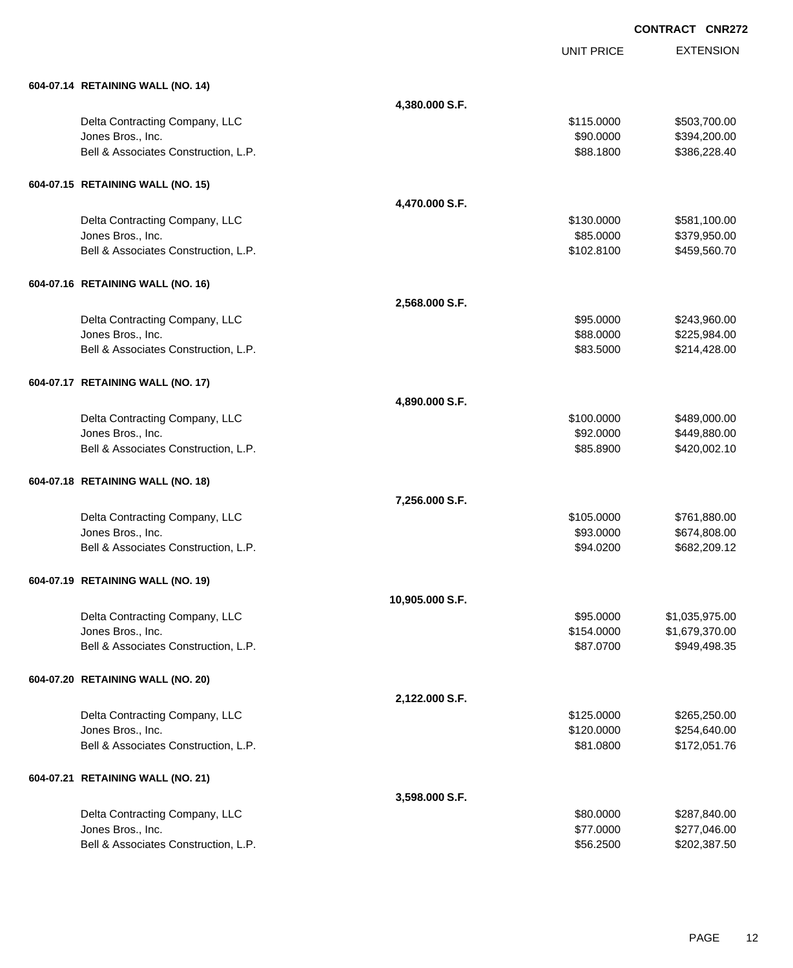|                                                           |                 | <b>UNIT PRICE</b>      | <b>EXTENSION</b>             |
|-----------------------------------------------------------|-----------------|------------------------|------------------------------|
| 604-07.14 RETAINING WALL (NO. 14)                         |                 |                        |                              |
|                                                           | 4,380.000 S.F.  |                        |                              |
| Delta Contracting Company, LLC                            |                 | \$115.0000             | \$503,700.00                 |
| Jones Bros., Inc.                                         |                 | \$90.0000              | \$394,200.00                 |
| Bell & Associates Construction, L.P.                      |                 | \$88.1800              | \$386,228.40                 |
| 604-07.15 RETAINING WALL (NO. 15)                         |                 |                        |                              |
|                                                           | 4,470.000 S.F.  |                        |                              |
| Delta Contracting Company, LLC                            |                 | \$130.0000             | \$581,100.00                 |
| Jones Bros., Inc.                                         |                 | \$85.0000              | \$379,950.00                 |
| Bell & Associates Construction, L.P.                      |                 | \$102.8100             | \$459,560.70                 |
| 604-07.16 RETAINING WALL (NO. 16)                         |                 |                        |                              |
|                                                           | 2,568.000 S.F.  |                        |                              |
| Delta Contracting Company, LLC                            |                 | \$95.0000              | \$243,960.00                 |
| Jones Bros., Inc.                                         |                 | \$88.0000              | \$225,984.00                 |
| Bell & Associates Construction, L.P.                      |                 | \$83.5000              | \$214,428.00                 |
| 604-07.17 RETAINING WALL (NO. 17)                         |                 |                        |                              |
|                                                           | 4,890.000 S.F.  |                        |                              |
| Delta Contracting Company, LLC                            |                 | \$100.0000             | \$489,000.00                 |
| Jones Bros., Inc.                                         |                 | \$92.0000              | \$449,880.00                 |
| Bell & Associates Construction, L.P.                      |                 | \$85.8900              | \$420,002.10                 |
| 604-07.18 RETAINING WALL (NO. 18)                         |                 |                        |                              |
|                                                           | 7,256.000 S.F.  |                        |                              |
| Delta Contracting Company, LLC                            |                 | \$105.0000             | \$761,880.00                 |
| Jones Bros., Inc.                                         |                 | \$93.0000              | \$674,808.00                 |
| Bell & Associates Construction, L.P.                      |                 | \$94.0200              | \$682,209.12                 |
| 604-07.19 RETAINING WALL (NO. 19)                         |                 |                        |                              |
|                                                           | 10,905.000 S.F. |                        |                              |
| Delta Contracting Company, LLC                            |                 | \$95.0000              | \$1,035,975.00               |
| Jones Bros., Inc.                                         |                 | \$154.0000             | \$1,679,370.00               |
| Bell & Associates Construction, L.P.                      |                 | \$87.0700              | \$949,498.35                 |
| 604-07.20 RETAINING WALL (NO. 20)                         |                 |                        |                              |
|                                                           | 2,122.000 S.F.  |                        |                              |
| Delta Contracting Company, LLC                            |                 | \$125.0000             | \$265,250.00                 |
| Jones Bros., Inc.                                         |                 | \$120.0000             | \$254,640.00                 |
| Bell & Associates Construction, L.P.                      |                 | \$81.0800              | \$172,051.76                 |
| 604-07.21 RETAINING WALL (NO. 21)                         |                 |                        |                              |
|                                                           | 3,598.000 S.F.  |                        |                              |
| Delta Contracting Company, LLC                            |                 | \$80.0000              | \$287,840.00                 |
| Jones Bros., Inc.<br>Bell & Associates Construction, L.P. |                 | \$77.0000<br>\$56.2500 | \$277,046.00<br>\$202,387.50 |
|                                                           |                 |                        |                              |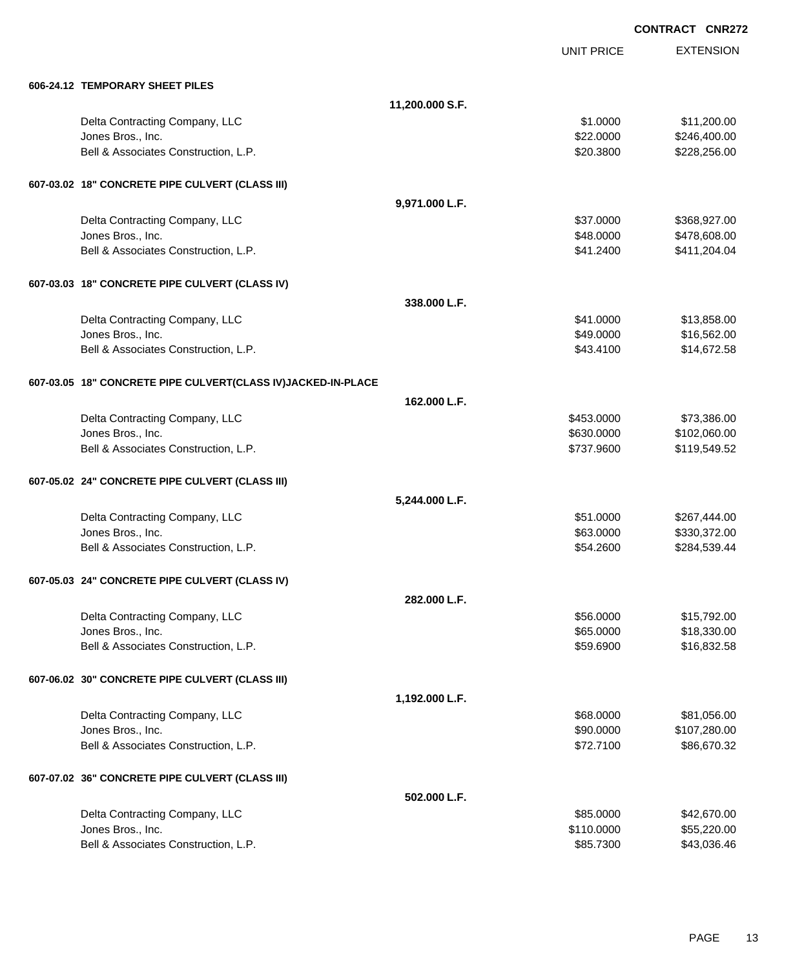**EXTENSION CONTRACT CNR272** UNIT PRICE **606-24.12 TEMPORARY SHEET PILES 11,200.000 S.F.** Delta Contracting Company, LLC 61.000 \$11,200.00 Jones Bros., Inc. \$22.0000 \$246,400.00 Bell & Associates Construction, L.P. \$20.3800 \$228,256.00 **607-03.02 18" CONCRETE PIPE CULVERT (CLASS III) 9,971.000 L.F.** Delta Contracting Company, LLC \$37.0000 \$368,927.00 Jones Bros., Inc. \$48.0000 \$478,608.00 Bell & Associates Construction, L.P. \$41.2400 \$411,204.04 **607-03.03 18" CONCRETE PIPE CULVERT (CLASS IV) 338.000 L.F.** Delta Contracting Company, LLC \$41.0000 \$13,858.00 Jones Bros., Inc. \$49.0000 \$16,562.00 Bell & Associates Construction, L.P. \$43.4100 \$14,672.58 **607-03.05 18" CONCRETE PIPE CULVERT(CLASS IV)JACKED-IN-PLACE 162.000 L.F.** Delta Contracting Company, LLC 6. The contraction of the state of the state of the state of the state of the state of the state of the state of the state of the state of the state of the state of the state of the state of Jones Bros., Inc. \$630.0000 \$102,060.00 Bell & Associates Construction, L.P. \$737.9600 \$119,549.52 **607-05.02 24" CONCRETE PIPE CULVERT (CLASS III) 5,244.000 L.F.** Delta Contracting Company, LLC **but a struck of the struck of the S51.0000** \$267,444.00 Jones Bros., Inc. \$63.0000 \$330,372.00 Bell & Associates Construction, L.P. \$54.2600 \$284,539.44

## **607-05.03 24" CONCRETE PIPE CULVERT (CLASS IV)**

| 007-03.03 Z4 CONCRETE FIFE COEVERT (CEASS IV)   |                |            |              |
|-------------------------------------------------|----------------|------------|--------------|
|                                                 | 282.000 L.F.   |            |              |
| Delta Contracting Company, LLC                  |                | \$56.0000  | \$15,792.00  |
| Jones Bros., Inc.                               |                | \$65.0000  | \$18,330.00  |
| Bell & Associates Construction, L.P.            |                | \$59.6900  | \$16,832.58  |
| 607-06.02 30" CONCRETE PIPE CULVERT (CLASS III) |                |            |              |
|                                                 | 1,192.000 L.F. |            |              |
| Delta Contracting Company, LLC                  |                | \$68.0000  | \$81,056.00  |
| Jones Bros., Inc.                               |                | \$90,0000  | \$107,280.00 |
| Bell & Associates Construction, L.P.            |                | \$72.7100  | \$86,670.32  |
| 607-07.02 36" CONCRETE PIPE CULVERT (CLASS III) |                |            |              |
|                                                 | 502.000 L.F.   |            |              |
| Delta Contracting Company, LLC                  |                | \$85.0000  | \$42,670.00  |
| Jones Bros., Inc.                               |                | \$110.0000 | \$55,220.00  |
| Bell & Associates Construction, L.P.            |                | \$85.7300  | \$43,036.46  |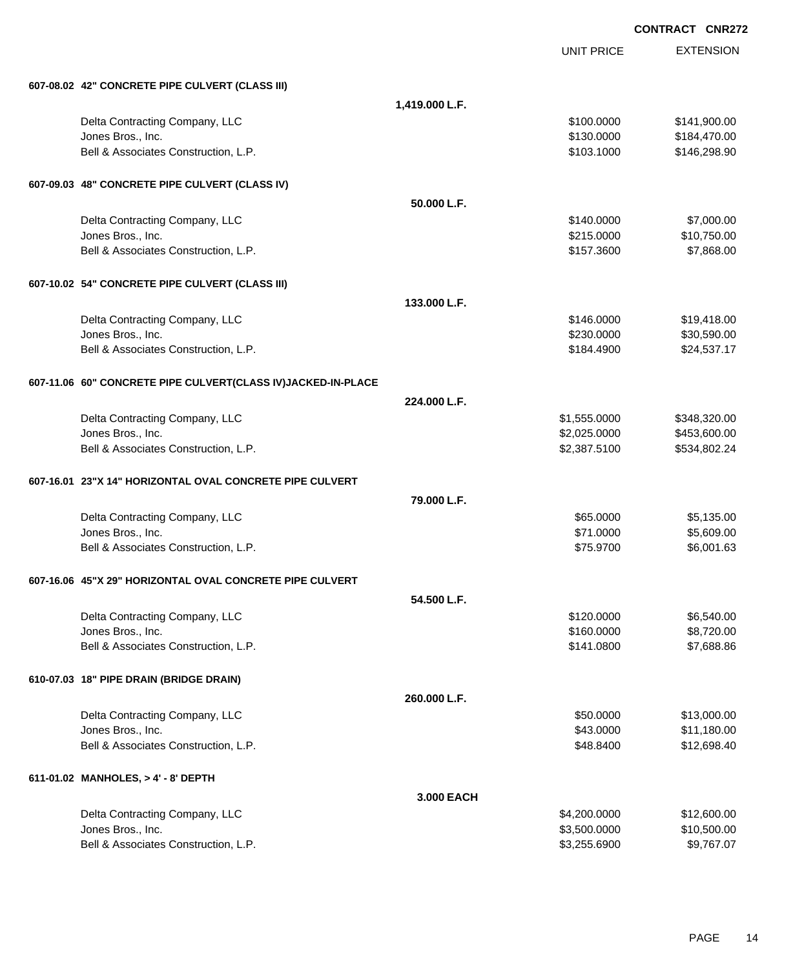| 607-08.02 42" CONCRETE PIPE CULVERT (CLASS III)              |                |                              |                           |
|--------------------------------------------------------------|----------------|------------------------------|---------------------------|
|                                                              | 1,419.000 L.F. |                              |                           |
| Delta Contracting Company, LLC                               |                | \$100.0000                   | \$141,900.00              |
| Jones Bros., Inc.                                            |                | \$130.0000                   | \$184,470.00              |
| Bell & Associates Construction, L.P.                         |                | \$103.1000                   | \$146,298.90              |
| 607-09.03 48" CONCRETE PIPE CULVERT (CLASS IV)               |                |                              |                           |
|                                                              | 50.000 L.F.    |                              |                           |
| Delta Contracting Company, LLC                               |                | \$140.0000                   | \$7,000.00                |
| Jones Bros., Inc.                                            |                | \$215.0000                   | \$10,750.00               |
| Bell & Associates Construction, L.P.                         |                | \$157.3600                   | \$7,868.00                |
| 607-10.02 54" CONCRETE PIPE CULVERT (CLASS III)              |                |                              |                           |
|                                                              | 133.000 L.F.   |                              |                           |
| Delta Contracting Company, LLC                               |                | \$146.0000                   | \$19,418.00               |
| Jones Bros., Inc.                                            |                | \$230.0000                   | \$30,590.00               |
| Bell & Associates Construction, L.P.                         |                | \$184.4900                   | \$24,537.17               |
| 607-11.06 60" CONCRETE PIPE CULVERT(CLASS IV)JACKED-IN-PLACE |                |                              |                           |
|                                                              | 224.000 L.F.   |                              |                           |
| Delta Contracting Company, LLC                               |                | \$1,555.0000                 | \$348,320.00              |
| Jones Bros., Inc.                                            |                | \$2,025.0000                 | \$453,600.00              |
| Bell & Associates Construction, L.P.                         |                | \$2,387.5100                 | \$534,802.24              |
| 607-16.01 23"X 14" HORIZONTAL OVAL CONCRETE PIPE CULVERT     |                |                              |                           |
|                                                              | 79.000 L.F.    |                              |                           |
| Delta Contracting Company, LLC                               |                | \$65.0000                    | \$5,135.00                |
| Jones Bros., Inc.                                            |                | \$71.0000                    | \$5,609.00                |
| Bell & Associates Construction, L.P.                         |                | \$75.9700                    | \$6,001.63                |
| 607-16.06 45"X 29" HORIZONTAL OVAL CONCRETE PIPE CULVERT     |                |                              |                           |
|                                                              | 54.500 L.F.    |                              |                           |
| Delta Contracting Company, LLC                               |                | \$120.0000                   | \$6,540.00                |
| Jones Bros., Inc.                                            |                | \$160.0000                   | \$8,720.00                |
| Bell & Associates Construction, L.P.                         |                | \$141.0800                   | \$7,688.86                |
| 610-07.03 18" PIPE DRAIN (BRIDGE DRAIN)                      |                |                              |                           |
|                                                              | 260.000 L.F.   |                              |                           |
| Delta Contracting Company, LLC                               |                | \$50.0000                    | \$13,000.00               |
| Jones Bros., Inc.                                            |                | \$43.0000                    | \$11,180.00               |
| Bell & Associates Construction, L.P.                         |                | \$48.8400                    | \$12,698.40               |
| 611-01.02 MANHOLES, > 4' - 8' DEPTH                          |                |                              |                           |
|                                                              | 3.000 EACH     |                              |                           |
| Delta Contracting Company, LLC                               |                | \$4,200.0000                 | \$12,600.00               |
| Jones Bros., Inc.<br>Bell & Associates Construction, L.P.    |                | \$3,500.0000<br>\$3,255.6900 | \$10,500.00<br>\$9,767.07 |
|                                                              |                |                              |                           |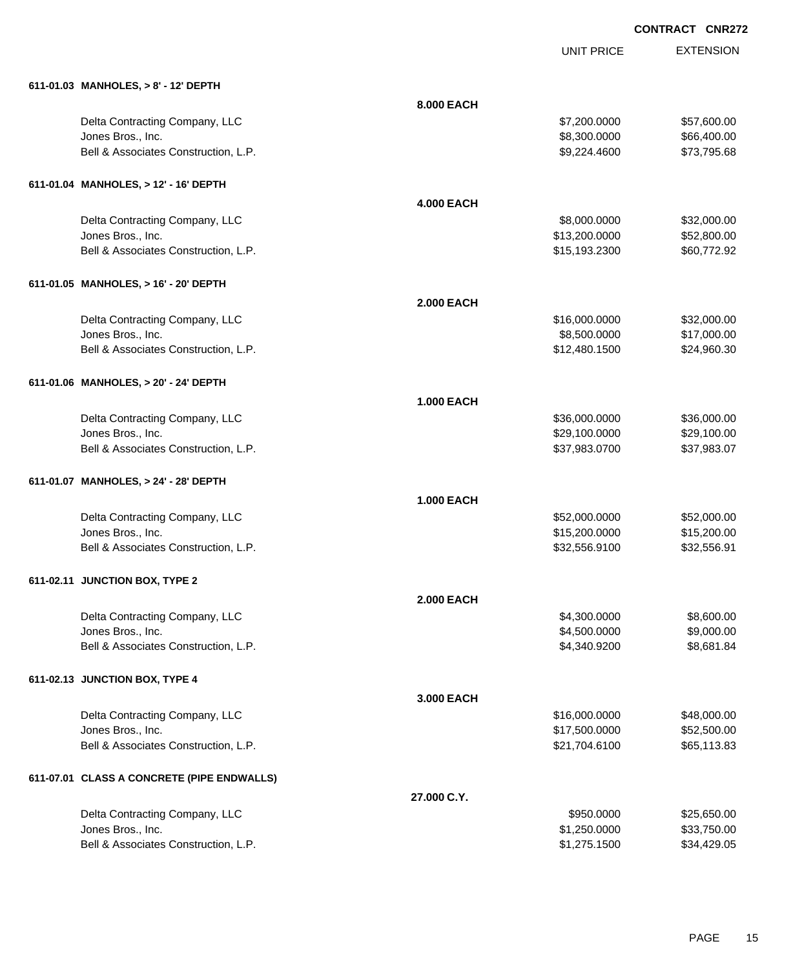| 611-01.03 MANHOLES, > 8' - 12' DEPTH       |                   |               |             |
|--------------------------------------------|-------------------|---------------|-------------|
|                                            | 8.000 EACH        |               |             |
| Delta Contracting Company, LLC             |                   | \$7,200.0000  | \$57,600.00 |
| Jones Bros., Inc.                          |                   | \$8,300.0000  | \$66,400.00 |
| Bell & Associates Construction, L.P.       |                   | \$9,224.4600  | \$73,795.68 |
| 611-01.04 MANHOLES, > 12' - 16' DEPTH      |                   |               |             |
|                                            | <b>4.000 EACH</b> |               |             |
| Delta Contracting Company, LLC             |                   | \$8,000.0000  | \$32,000.00 |
| Jones Bros., Inc.                          |                   | \$13,200.0000 | \$52,800.00 |
| Bell & Associates Construction, L.P.       |                   | \$15,193.2300 | \$60,772.92 |
| 611-01.05 MANHOLES, > 16' - 20' DEPTH      |                   |               |             |
|                                            | <b>2.000 EACH</b> |               |             |
| Delta Contracting Company, LLC             |                   | \$16,000.0000 | \$32,000.00 |
| Jones Bros., Inc.                          |                   | \$8,500.0000  | \$17,000.00 |
| Bell & Associates Construction, L.P.       |                   | \$12,480.1500 | \$24,960.30 |
| 611-01.06 MANHOLES, > 20' - 24' DEPTH      |                   |               |             |
|                                            | <b>1.000 EACH</b> |               |             |
| Delta Contracting Company, LLC             |                   | \$36,000.0000 | \$36,000.00 |
| Jones Bros., Inc.                          |                   | \$29,100.0000 | \$29,100.00 |
| Bell & Associates Construction, L.P.       |                   | \$37,983.0700 | \$37,983.07 |
| 611-01.07 MANHOLES, > 24' - 28' DEPTH      |                   |               |             |
|                                            | <b>1.000 EACH</b> |               |             |
| Delta Contracting Company, LLC             |                   | \$52,000.0000 | \$52,000.00 |
| Jones Bros., Inc.                          |                   | \$15,200.0000 | \$15,200.00 |
| Bell & Associates Construction, L.P.       |                   | \$32,556.9100 | \$32,556.91 |
| 611-02.11 JUNCTION BOX, TYPE 2             |                   |               |             |
|                                            | <b>2.000 EACH</b> |               |             |
| Delta Contracting Company, LLC             |                   | \$4,300.0000  | \$8,600.00  |
| Jones Bros., Inc.                          |                   | \$4,500.0000  | \$9,000.00  |
| Bell & Associates Construction, L.P.       |                   | \$4,340.9200  | \$8,681.84  |
| 611-02.13 JUNCTION BOX, TYPE 4             |                   |               |             |
|                                            | 3.000 EACH        |               |             |
| Delta Contracting Company, LLC             |                   | \$16,000.0000 | \$48,000.00 |
| Jones Bros., Inc.                          |                   | \$17,500.0000 | \$52,500.00 |
| Bell & Associates Construction, L.P.       |                   | \$21,704.6100 | \$65,113.83 |
| 611-07.01 CLASS A CONCRETE (PIPE ENDWALLS) |                   |               |             |
|                                            | 27.000 C.Y.       |               |             |
| Delta Contracting Company, LLC             |                   | \$950.0000    | \$25,650.00 |
| Jones Bros., Inc.                          |                   | \$1,250.0000  | \$33,750.00 |
| Bell & Associates Construction, L.P.       |                   | \$1,275.1500  | \$34,429.05 |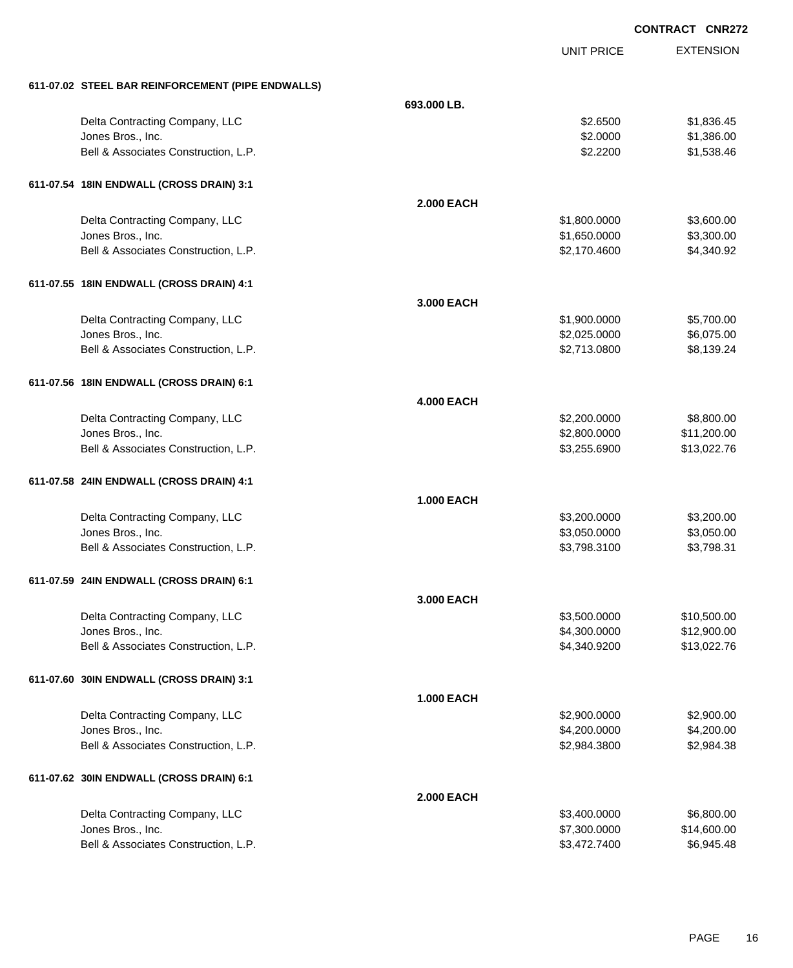EXTENSION **CONTRACT CNR272** UNIT PRICE **611-07.02 STEEL BAR REINFORCEMENT (PIPE ENDWALLS) 693.000 LB.** Delta Contracting Company, LLC **6.6500 \$1,836.45 \$2.6500** \$1,836.45 Jones Bros., Inc. \$2.0000 \$1,386.00 Bell & Associates Construction, L.P.  $$2.2200$   $$1,538.46$ **611-07.54 18IN ENDWALL (CROSS DRAIN) 3:1 2.000 EACH** Delta Contracting Company, LLC 6. The contraction of the contraction of the state of the state of the state of the state of the state of the state of the state of the state of the state of the state of the state of the sta Jones Bros., Inc. \$1,650.0000 \$3,300.00 Bell & Associates Construction, L.P.  $$2,170.4600$   $$4,340.92$ **611-07.55 18IN ENDWALL (CROSS DRAIN) 4:1 3.000 EACH** Delta Contracting Company, LLC 6. The contraction of the contraction of the state of the state of the state of the state of the state of the state of the state of the state of the state of the state of the state of the sta Jones Bros., Inc. \$2,025.0000 \$6,075.00 Bell & Associates Construction, L.P. \$2,713.0800 \$8,139.24 **611-07.56 18IN ENDWALL (CROSS DRAIN) 6:1 4.000 EACH** Delta Contracting Company, LLC 6.0000 \$8,800.00 \$2,200.0000 \$8,800.00 Jones Bros., Inc. \$2,800.0000 \$11,200.00 Bell & Associates Construction, L.P.  $$3,255.6900$   $$13,022.76$ **611-07.58 24IN ENDWALL (CROSS DRAIN) 4:1 1.000 EACH** Delta Contracting Company, LLC 63,200.000 \$3,200.000 \$3,200.000 \$3,200.000 Jones Bros., Inc. \$3,050.0000 \$3,050.00 Bell & Associates Construction, L.P.  $$3,798.3100$   $$3,798.3100$ **611-07.59 24IN ENDWALL (CROSS DRAIN) 6:1 3.000 EACH** Delta Contracting Company, LLC **1996 and 2009** \$3,500.0000 \$10,500.000 \$10,500.00 Jones Bros., Inc. \$4,300.0000 \$12,900.00 Bell & Associates Construction, L.P.  $$4,340.9200$   $$13,022.76$ **611-07.60 30IN ENDWALL (CROSS DRAIN) 3:1 1.000 EACH**

Delta Contracting Company, LLC 6. 2000.000 \$2,900.000 \$2,900.000 \$2,900.000 \$2,900.000 \$2,900.00 Jones Bros., Inc. \$4,200.0000 \$4,200.00 Bell & Associates Construction, L.P. \$2,984.3800 \$2,984.3800 \$2,984.3800 **611-07.62 30IN ENDWALL (CROSS DRAIN) 6:1 2.000 EACH** Delta Contracting Company, LLC 6.500.000 \$6,800.00 \$6,800.000 \$6,800.00 Jones Bros., Inc. \$7,300.0000 \$14,600.00 Bell & Associates Construction, L.P. \$3,472.7400 \$6,945.48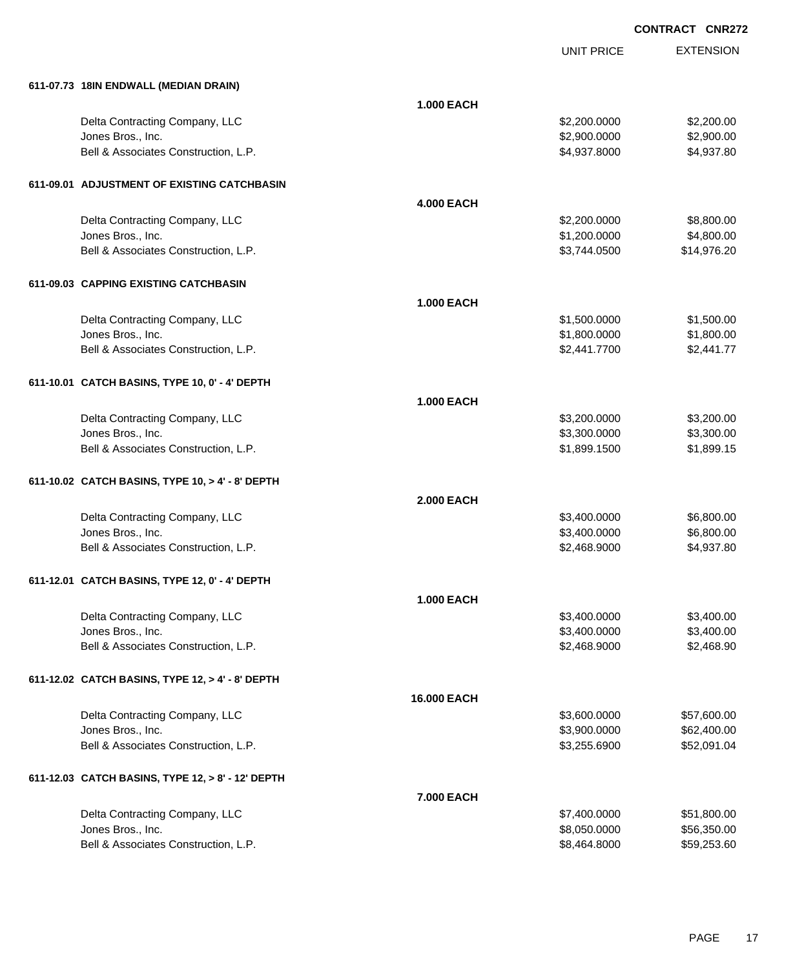| 611-07.73 18IN ENDWALL (MEDIAN DRAIN)             |                    |              |             |
|---------------------------------------------------|--------------------|--------------|-------------|
|                                                   | <b>1.000 EACH</b>  |              |             |
| Delta Contracting Company, LLC                    |                    | \$2,200.0000 | \$2,200.00  |
| Jones Bros., Inc.                                 |                    | \$2,900.0000 | \$2,900.00  |
| Bell & Associates Construction, L.P.              |                    | \$4,937.8000 | \$4,937.80  |
|                                                   |                    |              |             |
| 611-09.01 ADJUSTMENT OF EXISTING CATCHBASIN       |                    |              |             |
|                                                   | <b>4.000 EACH</b>  |              |             |
| Delta Contracting Company, LLC                    |                    | \$2,200.0000 | \$8,800.00  |
| Jones Bros., Inc.                                 |                    | \$1,200.0000 | \$4,800.00  |
| Bell & Associates Construction, L.P.              |                    | \$3,744.0500 | \$14,976.20 |
| 611-09.03 CAPPING EXISTING CATCHBASIN             |                    |              |             |
|                                                   | <b>1.000 EACH</b>  |              |             |
| Delta Contracting Company, LLC                    |                    | \$1,500.0000 | \$1,500.00  |
| Jones Bros., Inc.                                 |                    | \$1,800.0000 | \$1,800.00  |
| Bell & Associates Construction, L.P.              |                    | \$2,441.7700 | \$2,441.77  |
| 611-10.01 CATCH BASINS, TYPE 10, 0' - 4' DEPTH    |                    |              |             |
|                                                   | <b>1.000 EACH</b>  |              |             |
| Delta Contracting Company, LLC                    |                    | \$3,200.0000 | \$3,200.00  |
| Jones Bros., Inc.                                 |                    | \$3,300.0000 | \$3,300.00  |
| Bell & Associates Construction, L.P.              |                    | \$1,899.1500 | \$1,899.15  |
|                                                   |                    |              |             |
| 611-10.02 CATCH BASINS, TYPE 10, > 4' - 8' DEPTH  |                    |              |             |
|                                                   | <b>2.000 EACH</b>  |              |             |
| Delta Contracting Company, LLC                    |                    | \$3,400.0000 | \$6,800.00  |
| Jones Bros., Inc.                                 |                    | \$3,400.0000 | \$6,800.00  |
| Bell & Associates Construction, L.P.              |                    | \$2,468.9000 | \$4,937.80  |
| 611-12.01 CATCH BASINS, TYPE 12, 0' - 4' DEPTH    |                    |              |             |
|                                                   | <b>1.000 EACH</b>  |              |             |
| Delta Contracting Company, LLC                    |                    | \$3,400.0000 | \$3,400.00  |
| Jones Bros., Inc.                                 |                    | \$3,400.0000 | \$3,400.00  |
| Bell & Associates Construction, L.P.              |                    | \$2,468.9000 | \$2,468.90  |
| 611-12.02 CATCH BASINS, TYPE 12, > 4' - 8' DEPTH  |                    |              |             |
|                                                   | <b>16.000 EACH</b> |              |             |
| Delta Contracting Company, LLC                    |                    | \$3,600.0000 | \$57,600.00 |
| Jones Bros., Inc.                                 |                    | \$3,900.0000 | \$62,400.00 |
| Bell & Associates Construction, L.P.              |                    | \$3,255.6900 | \$52,091.04 |
| 611-12.03 CATCH BASINS, TYPE 12, > 8' - 12' DEPTH |                    |              |             |
|                                                   | 7.000 EACH         |              |             |
| Delta Contracting Company, LLC                    |                    | \$7,400.0000 | \$51,800.00 |
| Jones Bros., Inc.                                 |                    | \$8,050.0000 | \$56,350.00 |
| Bell & Associates Construction, L.P.              |                    | \$8,464.8000 | \$59,253.60 |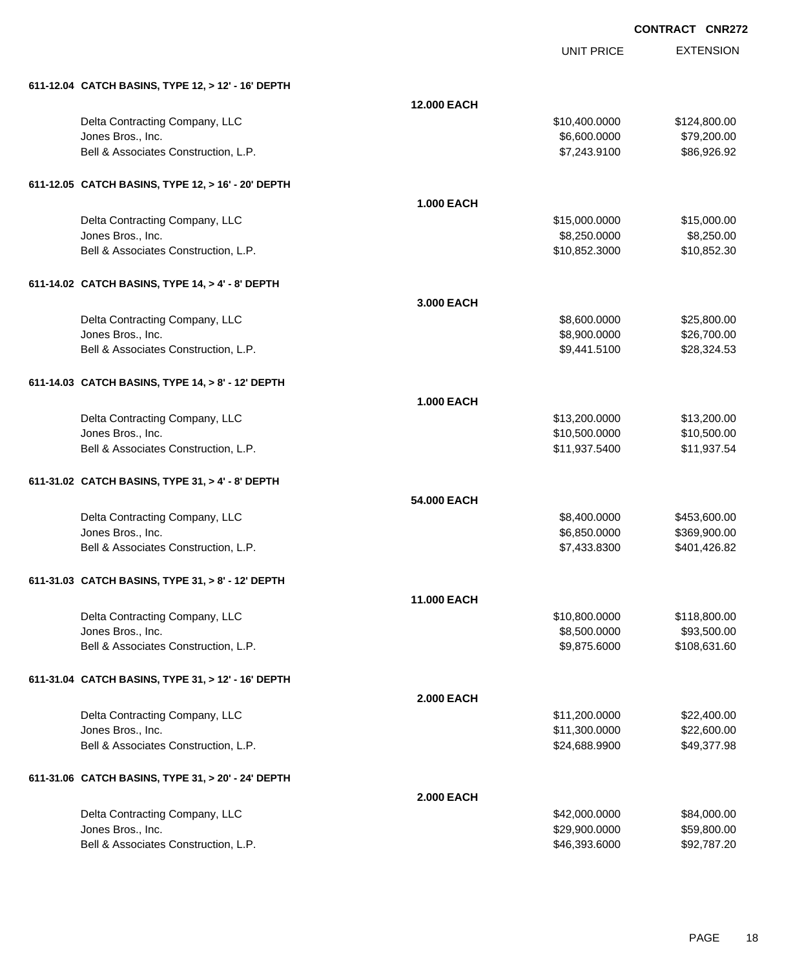| 611-12.04 CATCH BASINS, TYPE 12, > 12' - 16' DEPTH        |                    |                                |                            |
|-----------------------------------------------------------|--------------------|--------------------------------|----------------------------|
|                                                           | <b>12.000 EACH</b> |                                |                            |
| Delta Contracting Company, LLC                            |                    | \$10,400.0000                  | \$124,800.00               |
| Jones Bros., Inc.                                         |                    | \$6,600.0000                   | \$79,200.00                |
| Bell & Associates Construction, L.P.                      |                    | \$7,243.9100                   | \$86,926.92                |
| 611-12.05 CATCH BASINS, TYPE 12, > 16' - 20' DEPTH        |                    |                                |                            |
|                                                           | <b>1.000 EACH</b>  |                                |                            |
| Delta Contracting Company, LLC                            |                    | \$15,000.0000                  | \$15,000.00                |
| Jones Bros., Inc.                                         |                    | \$8,250.0000                   | \$8,250.00                 |
| Bell & Associates Construction, L.P.                      |                    | \$10,852.3000                  | \$10,852.30                |
| 611-14.02 CATCH BASINS, TYPE 14, > 4' - 8' DEPTH          |                    |                                |                            |
|                                                           | 3.000 EACH         |                                |                            |
| Delta Contracting Company, LLC                            |                    | \$8,600.0000                   | \$25,800.00                |
| Jones Bros., Inc.                                         |                    | \$8,900.0000                   | \$26,700.00                |
| Bell & Associates Construction, L.P.                      |                    | \$9,441.5100                   | \$28,324.53                |
| 611-14.03 CATCH BASINS, TYPE 14, > 8' - 12' DEPTH         |                    |                                |                            |
|                                                           | <b>1.000 EACH</b>  |                                |                            |
| Delta Contracting Company, LLC                            |                    | \$13,200.0000                  | \$13,200.00                |
| Jones Bros., Inc.                                         |                    | \$10,500.0000                  | \$10,500.00                |
| Bell & Associates Construction, L.P.                      |                    | \$11,937.5400                  | \$11,937.54                |
| 611-31.02 CATCH BASINS, TYPE 31, > 4' - 8' DEPTH          |                    |                                |                            |
|                                                           | 54.000 EACH        |                                |                            |
| Delta Contracting Company, LLC                            |                    | \$8,400.0000                   | \$453,600.00               |
| Jones Bros., Inc.                                         |                    | \$6,850.0000                   | \$369,900.00               |
| Bell & Associates Construction, L.P.                      |                    | \$7,433.8300                   | \$401,426.82               |
| 611-31.03 CATCH BASINS, TYPE 31, > 8' - 12' DEPTH         |                    |                                |                            |
|                                                           | <b>11.000 EACH</b> |                                |                            |
| Delta Contracting Company, LLC                            |                    | \$10,800.0000                  | \$118,800.00               |
| Jones Bros., Inc.                                         |                    | \$8,500.0000                   | \$93,500.00                |
| Bell & Associates Construction, L.P.                      |                    | \$9,875.6000                   | \$108,631.60               |
| 611-31.04 CATCH BASINS, TYPE 31, > 12' - 16' DEPTH        |                    |                                |                            |
|                                                           | <b>2.000 EACH</b>  |                                |                            |
| Delta Contracting Company, LLC                            |                    | \$11,200.0000                  | \$22,400.00                |
| Jones Bros., Inc.<br>Bell & Associates Construction, L.P. |                    | \$11,300.0000                  | \$22,600.00                |
|                                                           |                    | \$24,688.9900                  | \$49,377.98                |
| 611-31.06 CATCH BASINS, TYPE 31, > 20' - 24' DEPTH        |                    |                                |                            |
|                                                           | <b>2.000 EACH</b>  |                                |                            |
| Delta Contracting Company, LLC                            |                    | \$42,000.0000                  | \$84,000.00                |
| Jones Bros., Inc.<br>Bell & Associates Construction, L.P. |                    | \$29,900.0000<br>\$46,393.6000 | \$59,800.00<br>\$92,787.20 |
|                                                           |                    |                                |                            |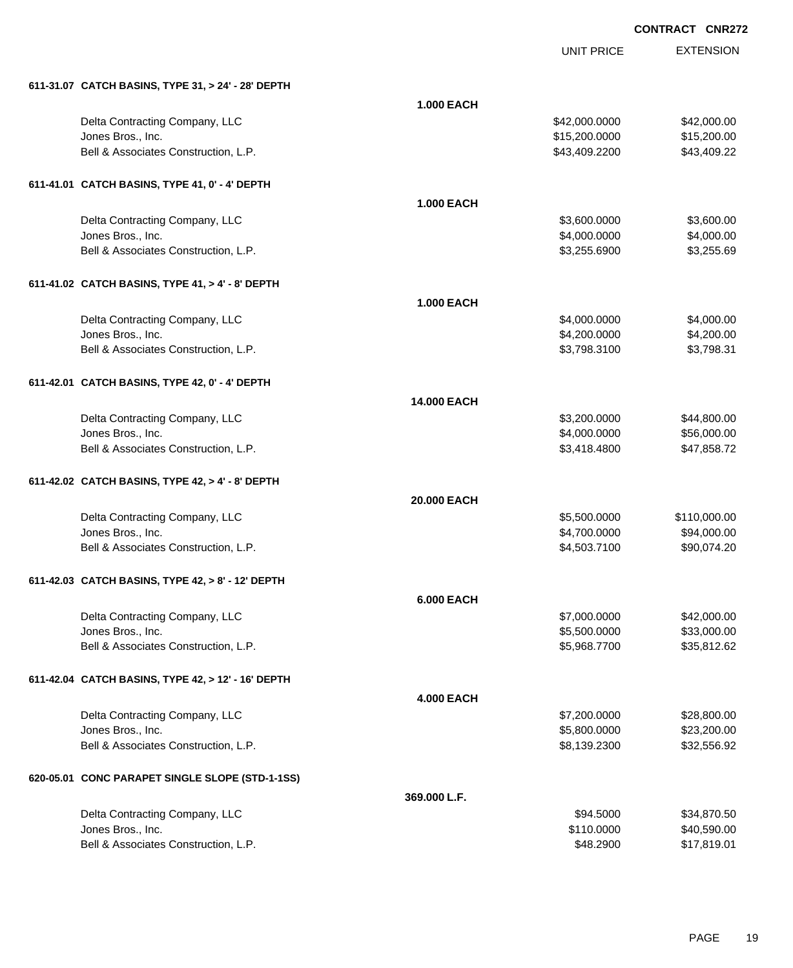|  | 611-31.07 CATCH BASINS, TYPE 31, > 24' - 28' DEPTH |
|--|----------------------------------------------------|

| 611-31.07 CATCH BASINS, TYPE 31, > 24' - 28' DEPTH |                    |               |              |
|----------------------------------------------------|--------------------|---------------|--------------|
|                                                    | <b>1.000 EACH</b>  |               |              |
| Delta Contracting Company, LLC                     |                    | \$42,000.0000 | \$42,000.00  |
| Jones Bros., Inc.                                  |                    | \$15,200.0000 | \$15,200.00  |
| Bell & Associates Construction, L.P.               |                    | \$43,409.2200 | \$43,409.22  |
| 611-41.01 CATCH BASINS, TYPE 41, 0' - 4' DEPTH     |                    |               |              |
|                                                    | <b>1.000 EACH</b>  |               |              |
| Delta Contracting Company, LLC                     |                    | \$3,600.0000  | \$3,600.00   |
| Jones Bros., Inc.                                  |                    | \$4,000.0000  | \$4,000.00   |
| Bell & Associates Construction, L.P.               |                    | \$3,255.6900  | \$3,255.69   |
| 611-41.02 CATCH BASINS, TYPE 41, > 4' - 8' DEPTH   |                    |               |              |
|                                                    | <b>1.000 EACH</b>  |               |              |
| Delta Contracting Company, LLC                     |                    | \$4,000.0000  | \$4,000.00   |
| Jones Bros., Inc.                                  |                    | \$4,200.0000  | \$4,200.00   |
| Bell & Associates Construction, L.P.               |                    | \$3,798.3100  | \$3,798.31   |
| 611-42.01 CATCH BASINS, TYPE 42, 0' - 4' DEPTH     |                    |               |              |
|                                                    | <b>14.000 EACH</b> |               |              |
| Delta Contracting Company, LLC                     |                    | \$3,200.0000  | \$44,800.00  |
| Jones Bros., Inc.                                  |                    | \$4,000.0000  | \$56,000.00  |
| Bell & Associates Construction, L.P.               |                    | \$3,418.4800  | \$47,858.72  |
| 611-42.02 CATCH BASINS, TYPE 42, > 4' - 8' DEPTH   |                    |               |              |
|                                                    | 20.000 EACH        |               |              |
| Delta Contracting Company, LLC                     |                    | \$5,500.0000  | \$110,000.00 |
| Jones Bros., Inc.                                  |                    | \$4,700.0000  | \$94,000.00  |
| Bell & Associates Construction, L.P.               |                    | \$4,503.7100  | \$90,074.20  |
| 611-42.03 CATCH BASINS, TYPE 42, > 8' - 12' DEPTH  |                    |               |              |
|                                                    | <b>6.000 EACH</b>  |               |              |
| Delta Contracting Company, LLC                     |                    | \$7,000.0000  | \$42,000.00  |
| Jones Bros., Inc.                                  |                    | \$5,500.0000  | \$33,000.00  |
| Bell & Associates Construction, L.P.               |                    | \$5,968.7700  | \$35,812.62  |
| 611-42.04 CATCH BASINS, TYPE 42, > 12' - 16' DEPTH |                    |               |              |
|                                                    | <b>4.000 EACH</b>  |               |              |
| Delta Contracting Company, LLC                     |                    | \$7,200.0000  | \$28,800.00  |
| Jones Bros., Inc.                                  |                    | \$5,800.0000  | \$23,200.00  |
| Bell & Associates Construction, L.P.               |                    | \$8,139.2300  | \$32,556.92  |
| 620-05.01 CONC PARAPET SINGLE SLOPE (STD-1-1SS)    |                    |               |              |
|                                                    | 369.000 L.F.       |               |              |
| Delta Contracting Company, LLC                     |                    | \$94.5000     | \$34,870.50  |
| Jones Bros., Inc.                                  |                    | \$110.0000    | \$40,590.00  |
| Bell & Associates Construction, L.P.               |                    | \$48.2900     | \$17,819.01  |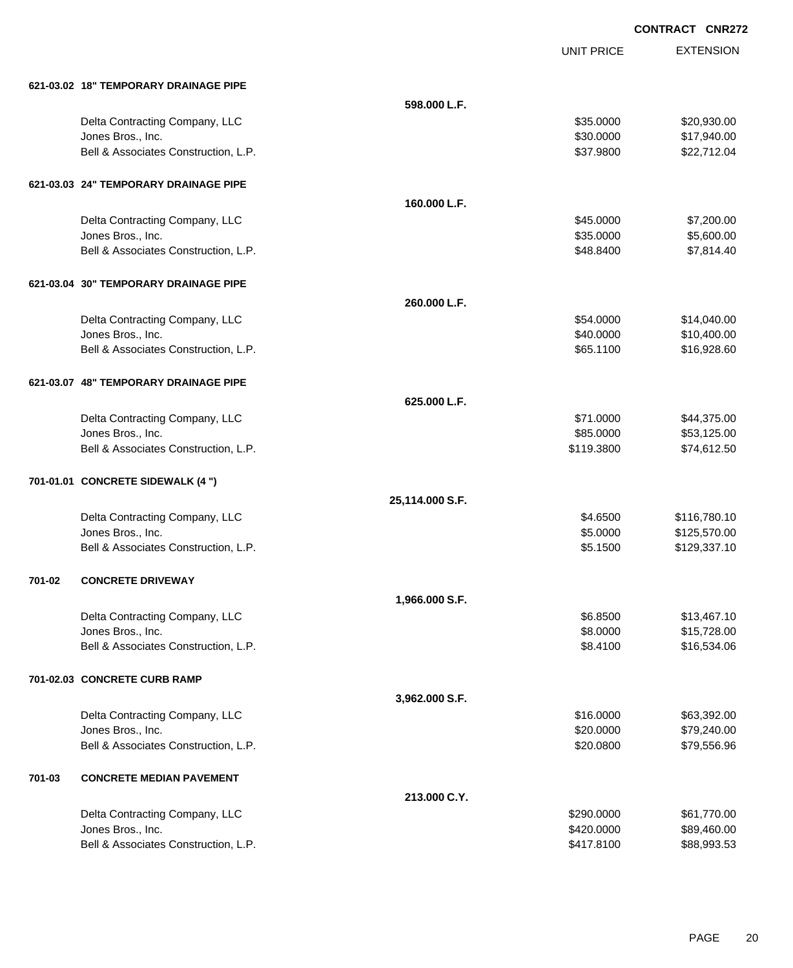|        | 621-03.02 18" TEMPORARY DRAINAGE PIPE |                 |            |              |
|--------|---------------------------------------|-----------------|------------|--------------|
|        |                                       | 598,000 L.F.    |            |              |
|        | Delta Contracting Company, LLC        |                 | \$35.0000  | \$20,930.00  |
|        | Jones Bros., Inc.                     |                 | \$30.0000  | \$17,940.00  |
|        | Bell & Associates Construction, L.P.  |                 | \$37.9800  | \$22,712.04  |
|        | 621-03.03 24" TEMPORARY DRAINAGE PIPE |                 |            |              |
|        |                                       | 160.000 L.F.    |            |              |
|        | Delta Contracting Company, LLC        |                 | \$45.0000  | \$7,200.00   |
|        | Jones Bros., Inc.                     |                 | \$35.0000  | \$5,600.00   |
|        | Bell & Associates Construction, L.P.  |                 | \$48.8400  | \$7,814.40   |
|        | 621-03.04 30" TEMPORARY DRAINAGE PIPE |                 |            |              |
|        |                                       | 260.000 L.F.    |            |              |
|        | Delta Contracting Company, LLC        |                 | \$54.0000  | \$14,040.00  |
|        | Jones Bros., Inc.                     |                 | \$40.0000  | \$10,400.00  |
|        | Bell & Associates Construction, L.P.  |                 | \$65.1100  | \$16,928.60  |
|        | 621-03.07 48" TEMPORARY DRAINAGE PIPE |                 |            |              |
|        |                                       | 625.000 L.F.    |            |              |
|        | Delta Contracting Company, LLC        |                 | \$71.0000  | \$44,375.00  |
|        | Jones Bros., Inc.                     |                 | \$85.0000  | \$53,125.00  |
|        | Bell & Associates Construction, L.P.  |                 | \$119.3800 | \$74,612.50  |
|        | 701-01.01 CONCRETE SIDEWALK (4 ")     |                 |            |              |
|        |                                       | 25,114.000 S.F. |            |              |
|        | Delta Contracting Company, LLC        |                 | \$4.6500   | \$116,780.10 |
|        | Jones Bros., Inc.                     |                 | \$5.0000   | \$125,570.00 |
|        | Bell & Associates Construction, L.P.  |                 | \$5.1500   | \$129,337.10 |
| 701-02 | <b>CONCRETE DRIVEWAY</b>              |                 |            |              |
|        |                                       | 1,966.000 S.F.  |            |              |
|        | Delta Contracting Company, LLC        |                 | \$6.8500   | \$13,467.10  |
|        | Jones Bros., Inc.                     |                 | \$8.0000   | \$15,728.00  |
|        | Bell & Associates Construction, L.P.  |                 | \$8.4100   | \$16,534.06  |
|        | 701-02.03 CONCRETE CURB RAMP          |                 |            |              |
|        |                                       | 3,962.000 S.F.  |            |              |
|        | Delta Contracting Company, LLC        |                 | \$16.0000  | \$63,392.00  |
|        | Jones Bros., Inc.                     |                 | \$20.0000  | \$79,240.00  |
|        | Bell & Associates Construction, L.P.  |                 | \$20.0800  | \$79,556.96  |
| 701-03 | <b>CONCRETE MEDIAN PAVEMENT</b>       |                 |            |              |
|        |                                       | 213.000 C.Y.    |            |              |
|        | Delta Contracting Company, LLC        |                 | \$290.0000 | \$61,770.00  |
|        | Jones Bros., Inc.                     |                 | \$420.0000 | \$89,460.00  |
|        | Bell & Associates Construction, L.P.  |                 | \$417.8100 | \$88,993.53  |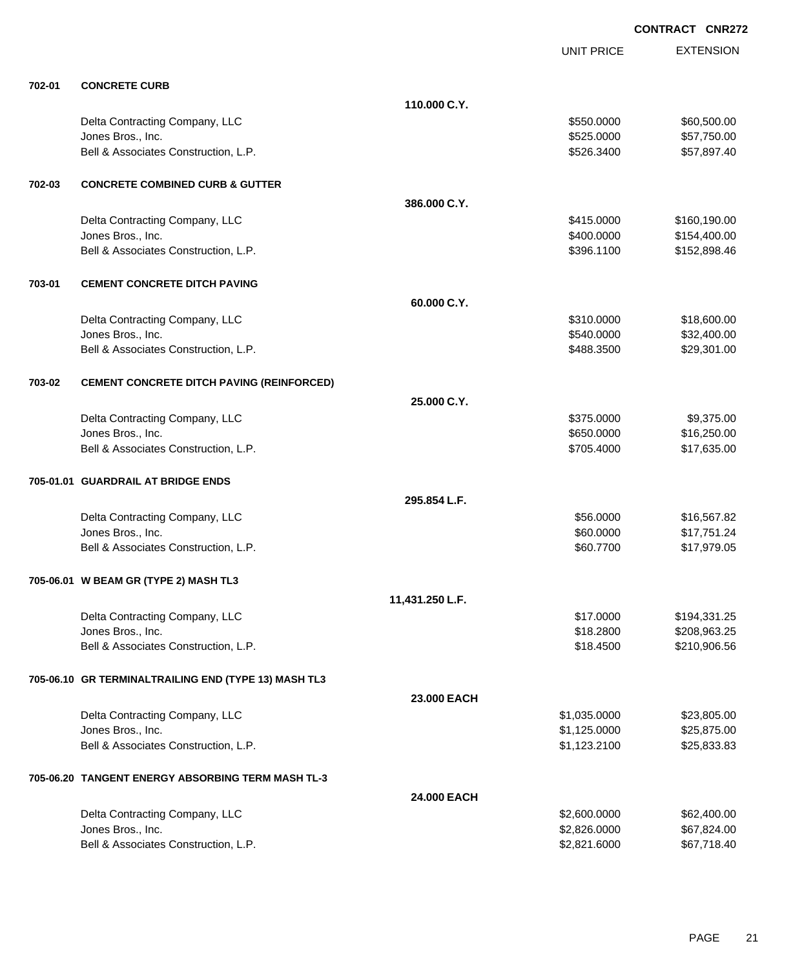|        |                                                      |                 | <b>UNIT PRICE</b> | <b>EXTENSION</b> |
|--------|------------------------------------------------------|-----------------|-------------------|------------------|
| 702-01 | <b>CONCRETE CURB</b>                                 |                 |                   |                  |
|        |                                                      | 110.000 C.Y.    |                   |                  |
|        | Delta Contracting Company, LLC                       |                 | \$550.0000        | \$60,500.00      |
|        | Jones Bros., Inc.                                    |                 | \$525.0000        | \$57,750.00      |
|        | Bell & Associates Construction, L.P.                 |                 | \$526.3400        | \$57,897.40      |
| 702-03 | <b>CONCRETE COMBINED CURB &amp; GUTTER</b>           |                 |                   |                  |
|        |                                                      | 386.000 C.Y.    |                   |                  |
|        | Delta Contracting Company, LLC                       |                 | \$415.0000        | \$160,190.00     |
|        | Jones Bros., Inc.                                    |                 | \$400.0000        | \$154,400.00     |
|        | Bell & Associates Construction, L.P.                 |                 | \$396.1100        | \$152,898.46     |
| 703-01 | <b>CEMENT CONCRETE DITCH PAVING</b>                  |                 |                   |                  |
|        |                                                      | 60.000 C.Y.     |                   |                  |
|        | Delta Contracting Company, LLC                       |                 | \$310.0000        | \$18,600.00      |
|        | Jones Bros., Inc.                                    |                 | \$540.0000        | \$32,400.00      |
|        | Bell & Associates Construction, L.P.                 |                 | \$488.3500        | \$29,301.00      |
| 703-02 | <b>CEMENT CONCRETE DITCH PAVING (REINFORCED)</b>     |                 |                   |                  |
|        |                                                      | 25.000 C.Y.     |                   |                  |
|        | Delta Contracting Company, LLC                       |                 | \$375.0000        | \$9,375.00       |
|        | Jones Bros., Inc.                                    |                 | \$650.0000        | \$16,250.00      |
|        | Bell & Associates Construction, L.P.                 |                 | \$705.4000        | \$17,635.00      |
|        | 705-01.01 GUARDRAIL AT BRIDGE ENDS                   |                 |                   |                  |
|        |                                                      | 295.854 L.F.    |                   |                  |
|        | Delta Contracting Company, LLC                       |                 | \$56.0000         | \$16,567.82      |
|        | Jones Bros., Inc.                                    |                 | \$60.0000         | \$17,751.24      |
|        | Bell & Associates Construction, L.P.                 |                 | \$60.7700         | \$17,979.05      |
|        | 705-06.01 W BEAM GR (TYPE 2) MASH TL3                |                 |                   |                  |
|        |                                                      | 11,431.250 L.F. |                   |                  |
|        | Delta Contracting Company, LLC                       |                 | \$17.0000         | \$194,331.25     |
|        | Jones Bros., Inc.                                    |                 | \$18.2800         | \$208,963.25     |
|        | Bell & Associates Construction, L.P.                 |                 | \$18.4500         | \$210,906.56     |
|        | 705-06.10 GR TERMINALTRAILING END (TYPE 13) MASH TL3 |                 |                   |                  |
|        |                                                      | 23.000 EACH     |                   |                  |
|        | Delta Contracting Company, LLC                       |                 | \$1,035.0000      | \$23,805.00      |
|        | Jones Bros., Inc.                                    |                 | \$1,125.0000      | \$25,875.00      |
|        | Bell & Associates Construction, L.P.                 |                 | \$1,123.2100      | \$25,833.83      |
|        | 705-06.20 TANGENT ENERGY ABSORBING TERM MASH TL-3    |                 |                   |                  |
|        |                                                      | 24.000 EACH     |                   |                  |
|        | Delta Contracting Company, LLC                       |                 | \$2,600.0000      | \$62,400.00      |
|        | Jones Bros., Inc.                                    |                 | \$2,826.0000      | \$67,824.00      |
|        | Bell & Associates Construction, L.P.                 |                 | \$2,821.6000      | \$67,718.40      |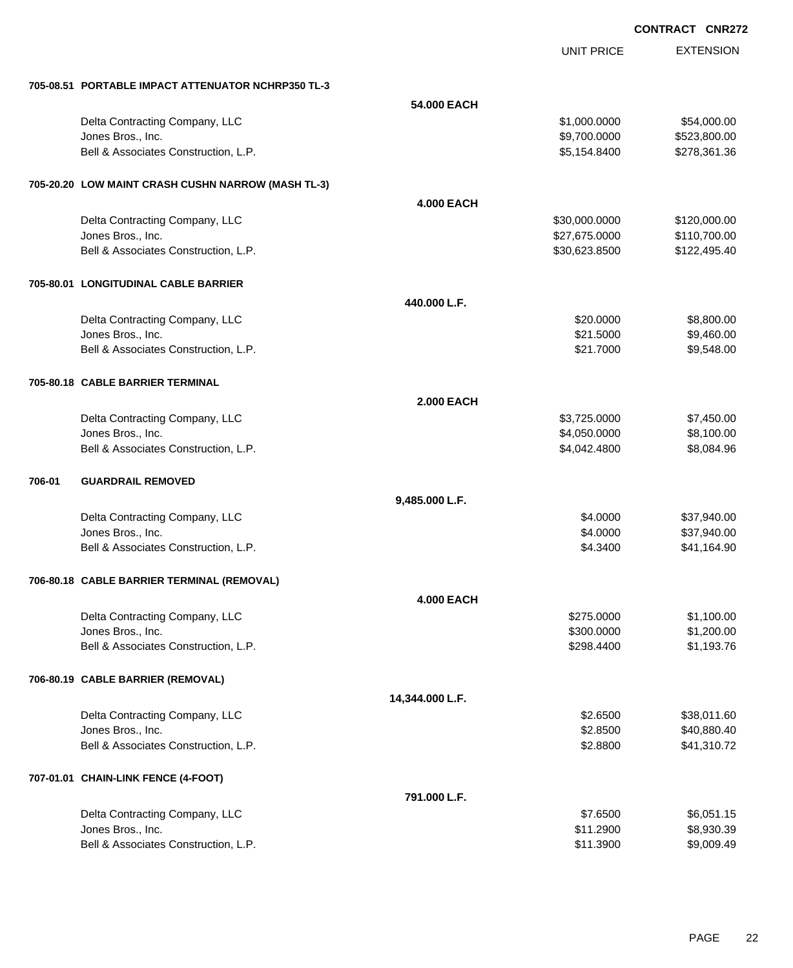|        |                                                           |                   | UNIT PRICE                     | <b>EXTENSION</b>             |
|--------|-----------------------------------------------------------|-------------------|--------------------------------|------------------------------|
|        | 705-08.51 PORTABLE IMPACT ATTENUATOR NCHRP350 TL-3        |                   |                                |                              |
|        |                                                           | 54.000 EACH       |                                |                              |
|        | Delta Contracting Company, LLC                            |                   | \$1,000.0000                   | \$54,000.00                  |
|        | Jones Bros., Inc.                                         |                   | \$9,700.0000                   | \$523,800.00                 |
|        | Bell & Associates Construction, L.P.                      |                   | \$5,154.8400                   | \$278,361.36                 |
|        | 705-20.20 LOW MAINT CRASH CUSHN NARROW (MASH TL-3)        |                   |                                |                              |
|        |                                                           | <b>4.000 EACH</b> |                                |                              |
|        | Delta Contracting Company, LLC                            |                   | \$30,000.0000                  | \$120,000.00                 |
|        | Jones Bros., Inc.<br>Bell & Associates Construction, L.P. |                   | \$27,675.0000<br>\$30,623.8500 | \$110,700.00<br>\$122,495.40 |
|        |                                                           |                   |                                |                              |
|        | 705-80.01 LONGITUDINAL CABLE BARRIER                      |                   |                                |                              |
|        |                                                           | 440.000 L.F.      |                                |                              |
|        | Delta Contracting Company, LLC                            |                   | \$20.0000                      | \$8,800.00                   |
|        | Jones Bros., Inc.<br>Bell & Associates Construction, L.P. |                   | \$21.5000<br>\$21.7000         | \$9,460.00<br>\$9,548.00     |
|        |                                                           |                   |                                |                              |
|        | 705-80.18 CABLE BARRIER TERMINAL                          |                   |                                |                              |
|        |                                                           | <b>2.000 EACH</b> |                                |                              |
|        | Delta Contracting Company, LLC<br>Jones Bros., Inc.       |                   | \$3,725.0000<br>\$4,050.0000   | \$7,450.00<br>\$8,100.00     |
|        | Bell & Associates Construction, L.P.                      |                   | \$4,042.4800                   | \$8,084.96                   |
|        |                                                           |                   |                                |                              |
| 706-01 | <b>GUARDRAIL REMOVED</b>                                  |                   |                                |                              |
|        |                                                           | 9,485.000 L.F.    |                                |                              |
|        | Delta Contracting Company, LLC<br>Jones Bros., Inc.       |                   | \$4.0000<br>\$4.0000           | \$37,940.00<br>\$37,940.00   |
|        | Bell & Associates Construction, L.P.                      |                   | \$4.3400                       | \$41,164.90                  |
|        |                                                           |                   |                                |                              |
|        | 706-80.18 CABLE BARRIER TERMINAL (REMOVAL)                |                   |                                |                              |
|        |                                                           | <b>4.000 EACH</b> |                                |                              |
|        | Delta Contracting Company, LLC<br>Jones Bros., Inc.       |                   | \$275.0000<br>\$300.0000       | \$1,100.00<br>\$1,200.00     |
|        | Bell & Associates Construction, L.P.                      |                   | \$298.4400                     | \$1,193.76                   |
|        |                                                           |                   |                                |                              |
|        | 706-80.19 CABLE BARRIER (REMOVAL)                         |                   |                                |                              |
|        |                                                           | 14,344.000 L.F.   |                                |                              |
|        | Delta Contracting Company, LLC<br>Jones Bros., Inc.       |                   | \$2.6500<br>\$2.8500           | \$38,011.60<br>\$40,880.40   |
|        | Bell & Associates Construction, L.P.                      |                   | \$2.8800                       | \$41,310.72                  |
|        | 707-01.01 CHAIN-LINK FENCE (4-FOOT)                       |                   |                                |                              |
|        |                                                           | 791.000 L.F.      |                                |                              |
|        | Delta Contracting Company, LLC                            |                   | \$7.6500                       | \$6,051.15                   |
|        | Jones Bros., Inc.                                         |                   | \$11.2900                      | \$8,930.39                   |
|        | Bell & Associates Construction, L.P.                      |                   | \$11.3900                      | \$9,009.49                   |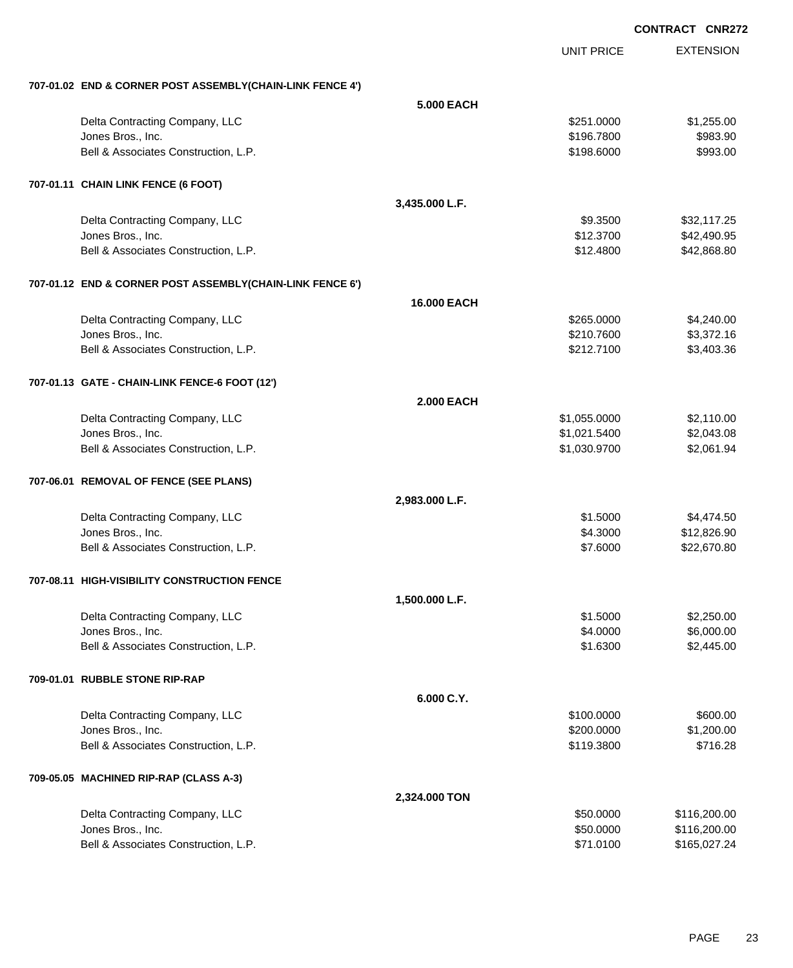|                                                           | <b>UNIT PRICE</b>  | <b>EXTENSION</b> |
|-----------------------------------------------------------|--------------------|------------------|
| 707-01.02 END & CORNER POST ASSEMBLY(CHAIN-LINK FENCE 4') |                    |                  |
|                                                           | 5.000 EACH         |                  |
| Delta Contracting Company, LLC                            | \$251.0000         | \$1,255.00       |
| Jones Bros., Inc.                                         | \$196.7800         | \$983.90         |
| Bell & Associates Construction, L.P.                      | \$198.6000         | \$993.00         |
| 707-01.11 CHAIN LINK FENCE (6 FOOT)                       |                    |                  |
|                                                           | 3,435.000 L.F.     |                  |
| Delta Contracting Company, LLC                            | \$9.3500           | \$32,117.25      |
| Jones Bros., Inc.                                         | \$12.3700          | \$42,490.95      |
| Bell & Associates Construction, L.P.                      | \$12.4800          | \$42,868.80      |
| 707-01.12 END & CORNER POST ASSEMBLY(CHAIN-LINK FENCE 6') |                    |                  |
|                                                           | <b>16,000 EACH</b> |                  |
| Delta Contracting Company, LLC                            | \$265.0000         | \$4,240.00       |
| Jones Bros., Inc.                                         | \$210.7600         | \$3,372.16       |
| Bell & Associates Construction, L.P.                      | \$212.7100         | \$3,403.36       |
| 707-01.13 GATE - CHAIN-LINK FENCE-6 FOOT (12')            |                    |                  |
|                                                           | <b>2.000 EACH</b>  |                  |
| Delta Contracting Company, LLC                            | \$1,055.0000       | \$2,110.00       |
| Jones Bros., Inc.                                         | \$1,021.5400       | \$2,043.08       |
| Bell & Associates Construction, L.P.                      | \$1,030.9700       | \$2,061.94       |
| 707-06.01 REMOVAL OF FENCE (SEE PLANS)                    |                    |                  |
|                                                           | 2,983.000 L.F.     |                  |
| Delta Contracting Company, LLC                            | \$1.5000           | \$4,474.50       |
| Jones Bros., Inc.                                         | \$4.3000           | \$12,826.90      |
| Bell & Associates Construction, L.P.                      | \$7.6000           | \$22,670.80      |
| 707-08.11 HIGH-VISIBILITY CONSTRUCTION FENCE              |                    |                  |
|                                                           | 1,500.000 L.F.     |                  |
| Delta Contracting Company, LLC                            | \$1.5000           | \$2,250.00       |
| Jones Bros., Inc.                                         | \$4.0000           | \$6,000.00       |
| Bell & Associates Construction, L.P.                      | \$1.6300           | \$2,445.00       |
| 709-01.01 RUBBLE STONE RIP-RAP                            |                    |                  |
|                                                           | 6.000 C.Y.         |                  |
| Delta Contracting Company, LLC                            | \$100.0000         | \$600.00         |
| Jones Bros., Inc.                                         | \$200.0000         | \$1,200.00       |
| Bell & Associates Construction, L.P.                      | \$119.3800         | \$716.28         |
| 709-05.05 MACHINED RIP-RAP (CLASS A-3)                    |                    |                  |
|                                                           | 2,324.000 TON      |                  |
| Delta Contracting Company, LLC                            | \$50.0000          | \$116,200.00     |
| Jones Bros., Inc.                                         | \$50.0000          | \$116,200.00     |
| Bell & Associates Construction, L.P.                      | \$71.0100          | \$165,027.24     |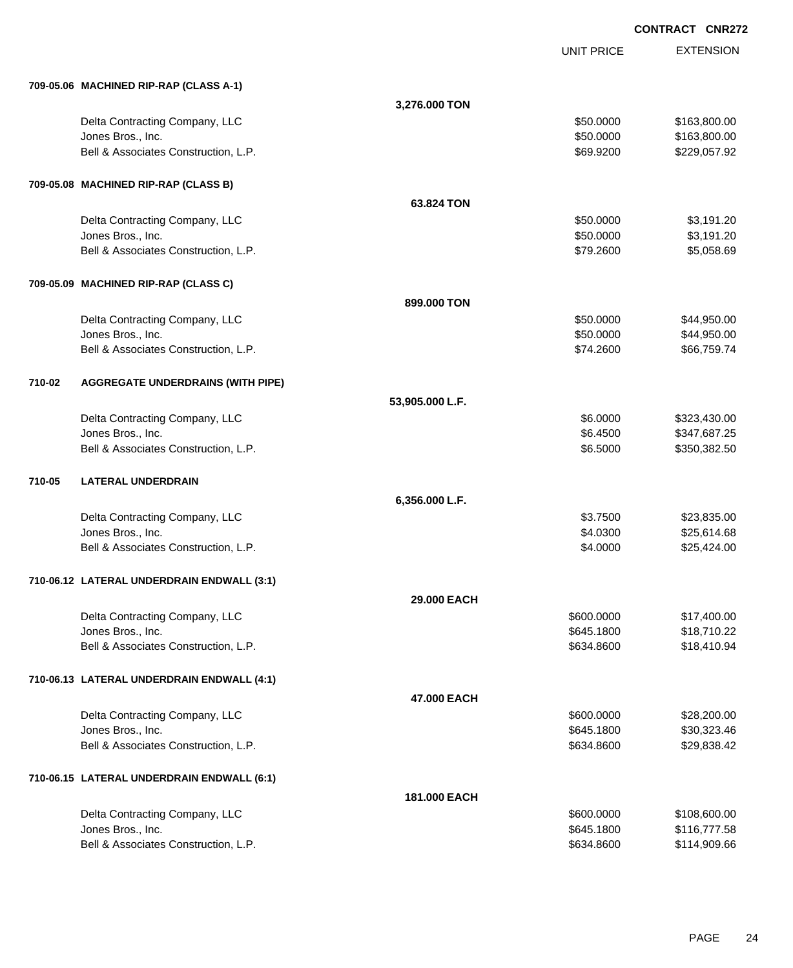|        |                                            |                 | <b>UNIT PRICE</b> | <b>EXTENSION</b> |
|--------|--------------------------------------------|-----------------|-------------------|------------------|
|        | 709-05.06 MACHINED RIP-RAP (CLASS A-1)     |                 |                   |                  |
|        |                                            | 3,276.000 TON   |                   |                  |
|        | Delta Contracting Company, LLC             |                 | \$50.0000         | \$163,800.00     |
|        | Jones Bros., Inc.                          |                 | \$50.0000         | \$163,800.00     |
|        | Bell & Associates Construction, L.P.       |                 | \$69.9200         | \$229,057.92     |
|        | 709-05.08 MACHINED RIP-RAP (CLASS B)       |                 |                   |                  |
|        |                                            | 63.824 TON      |                   |                  |
|        | Delta Contracting Company, LLC             |                 | \$50.0000         | \$3,191.20       |
|        | Jones Bros., Inc.                          |                 | \$50.0000         | \$3,191.20       |
|        | Bell & Associates Construction, L.P.       |                 | \$79.2600         | \$5,058.69       |
|        | 709-05.09 MACHINED RIP-RAP (CLASS C)       |                 |                   |                  |
|        |                                            | 899.000 TON     |                   |                  |
|        | Delta Contracting Company, LLC             |                 | \$50.0000         | \$44,950.00      |
|        | Jones Bros., Inc.                          |                 | \$50.0000         | \$44,950.00      |
|        | Bell & Associates Construction, L.P.       |                 | \$74.2600         | \$66,759.74      |
| 710-02 | <b>AGGREGATE UNDERDRAINS (WITH PIPE)</b>   |                 |                   |                  |
|        |                                            | 53,905.000 L.F. |                   |                  |
|        | Delta Contracting Company, LLC             |                 | \$6.0000          | \$323,430.00     |
|        | Jones Bros., Inc.                          |                 | \$6.4500          | \$347,687.25     |
|        | Bell & Associates Construction, L.P.       |                 | \$6.5000          | \$350,382.50     |
| 710-05 | <b>LATERAL UNDERDRAIN</b>                  |                 |                   |                  |
|        |                                            | 6,356.000 L.F.  |                   |                  |
|        | Delta Contracting Company, LLC             |                 | \$3.7500          | \$23,835.00      |
|        | Jones Bros., Inc.                          |                 | \$4.0300          | \$25,614.68      |
|        | Bell & Associates Construction, L.P.       |                 | \$4.0000          | \$25,424.00      |
|        | 710-06.12 LATERAL UNDERDRAIN ENDWALL (3:1) |                 |                   |                  |
|        |                                            | 29.000 EACH     |                   |                  |
|        | Delta Contracting Company, LLC             |                 | \$600.0000        | \$17,400.00      |
|        | Jones Bros., Inc.                          |                 | \$645.1800        | \$18,710.22      |
|        | Bell & Associates Construction, L.P.       |                 | \$634.8600        | \$18,410.94      |
|        | 710-06.13 LATERAL UNDERDRAIN ENDWALL (4:1) |                 |                   |                  |
|        |                                            | 47.000 EACH     |                   |                  |
|        | Delta Contracting Company, LLC             |                 | \$600.0000        | \$28,200.00      |
|        | Jones Bros., Inc.                          |                 | \$645.1800        | \$30,323.46      |
|        | Bell & Associates Construction, L.P.       |                 | \$634.8600        | \$29,838.42      |
|        | 710-06.15 LATERAL UNDERDRAIN ENDWALL (6:1) |                 |                   |                  |
|        |                                            | 181.000 EACH    |                   |                  |
|        | Delta Contracting Company, LLC             |                 | \$600.0000        | \$108,600.00     |
|        | Jones Bros., Inc.                          |                 | \$645.1800        | \$116,777.58     |
|        | Bell & Associates Construction, L.P.       |                 | \$634.8600        | \$114,909.66     |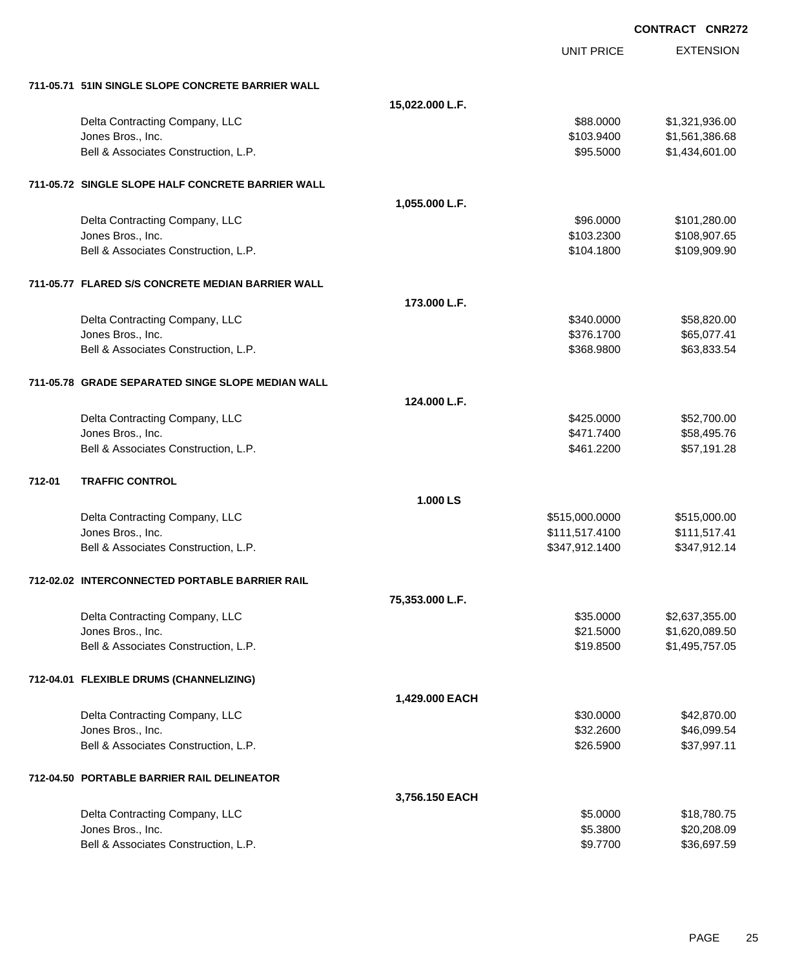EXTENSION **CONTRACT CNR272** UNIT PRICE **711-05.71 51IN SINGLE SLOPE CONCRETE BARRIER WALL 15,022.000 L.F.** Delta Contracting Company, LLC 6. 2012 12:30 12:30 12:30 12:30 12:30 1321,936.000 \$1,321,936.00 Jones Bros., Inc. \$103.9400 \$1,561,386.68 Bell & Associates Construction, L.P.  $$95.5000$  \$1,434,601.00 **711-05.72 SINGLE SLOPE HALF CONCRETE BARRIER WALL 1,055.000 L.F.** Delta Contracting Company, LLC **196.000** \$101,280.00 Jones Bros., Inc. \$103.2300 \$108,907.65 Bell & Associates Construction, L.P. \$109,900.90 \$109,909.90 \$109,909.90 **711-05.77 FLARED S/S CONCRETE MEDIAN BARRIER WALL 173.000 L.F.** Delta Contracting Company, LLC **but a struck of the struck of the struck of the struck of the struck of the struck of the struck of the struck of the struck of the struck of the struck of the struck of the struck of the st** Jones Bros., Inc. \$376.1700 \$65,077.41 Bell & Associates Construction, L.P. \$63,833.54  $$368.9800$  \$63,833.54 **711-05.78 GRADE SEPARATED SINGE SLOPE MEDIAN WALL 124.000 L.F.** Delta Contracting Company, LLC **but a set of the set of the set of the set of the set of the set of the set of the set of the set of the set of the set of the set of the set of the set of the set of the set of the set of t** Jones Bros., Inc. \$471.7400 \$58,495.76 Bell & Associates Construction, L.P.  $$461.2200$   $$57,191.28$ **712-01 TRAFFIC CONTROL 1.000 LS** Delta Contracting Company, LLC 6. 2012 12:00:000 \$515,000.000 \$515,000.000 \$515,000.000 \$515,000.00 Jones Bros., Inc. \$111,517.4100 \$111,517.41 Bell & Associates Construction, L.P. \$347,912.1400 \$347,912.1400 \$347,912.1400 **712-02.02 INTERCONNECTED PORTABLE BARRIER RAIL 75,353.000 L.F.** Delta Contracting Company, LLC 6. The state of the state of the state of the state of the state of the state of the state of the state of the state of the state of the state of the state of the state of the state of the st Jones Bros., Inc. \$21.5000 \$1,620,089.50 Bell & Associates Construction, L.P.  $$1,495,757.05$ **712-04.01 FLEXIBLE DRUMS (CHANNELIZING) 1,429.000 EACH** Delta Contracting Company, LLC \$30.0000 \$42,870.00 Jones Bros., Inc. \$32.2600 \$46,099.54 Bell & Associates Construction, L.P. \$26.5900 \$37,997.11 **712-04.50 PORTABLE BARRIER RAIL DELINEATOR 3,756.150 EACH** Delta Contracting Company, LLC **but a struck of the struck of the struck of the struck of the struck of the struck of the struck of the struck of the struck of the struck of the struck of the struck of the struck of the st** Jones Bros., Inc. \$5.3800 \$20,208.09

Bell & Associates Construction, L.P.  $$9.7700$  \$36,697.59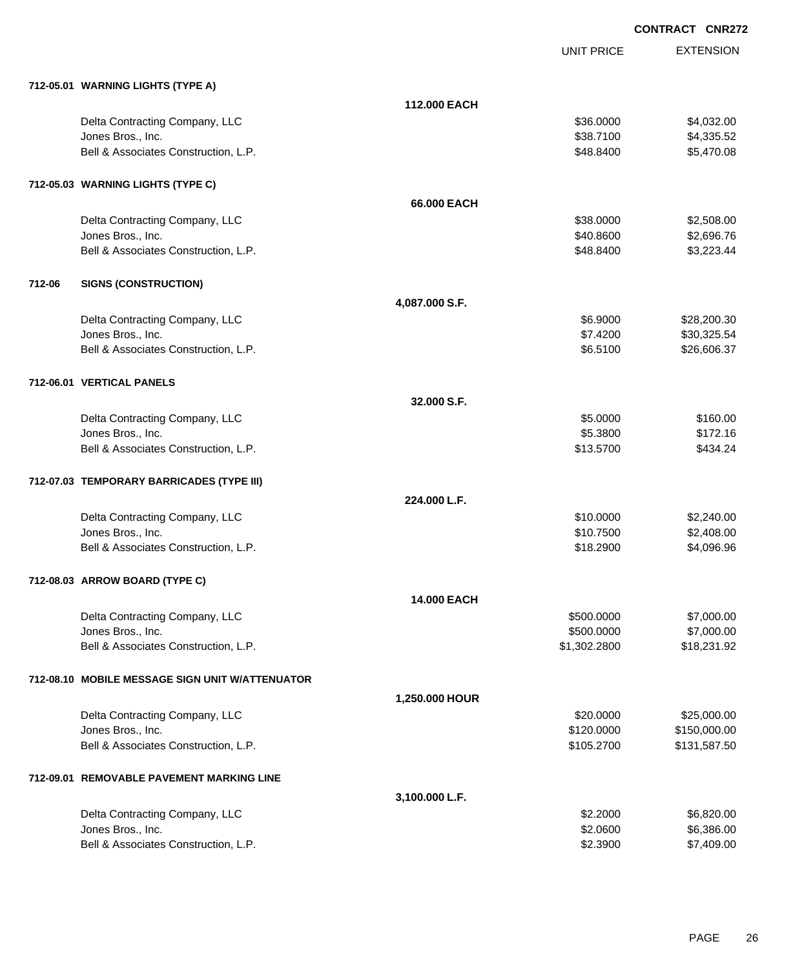|        | 712-05.01 WARNING LIGHTS (TYPE A)                         |                    |                            |                             |
|--------|-----------------------------------------------------------|--------------------|----------------------------|-----------------------------|
|        |                                                           | 112,000 EACH       |                            |                             |
|        | Delta Contracting Company, LLC                            |                    | \$36.0000                  | \$4,032.00                  |
|        | Jones Bros., Inc.                                         |                    | \$38.7100                  | \$4,335.52                  |
|        | Bell & Associates Construction, L.P.                      |                    | \$48.8400                  | \$5,470.08                  |
|        | 712-05.03 WARNING LIGHTS (TYPE C)                         |                    |                            |                             |
|        |                                                           | 66.000 EACH        |                            |                             |
|        | Delta Contracting Company, LLC                            |                    | \$38.0000                  | \$2,508.00                  |
|        | Jones Bros., Inc.                                         |                    | \$40.8600                  | \$2,696.76                  |
|        | Bell & Associates Construction, L.P.                      |                    | \$48.8400                  | \$3,223.44                  |
| 712-06 | <b>SIGNS (CONSTRUCTION)</b>                               |                    |                            |                             |
|        |                                                           | 4,087.000 S.F.     |                            |                             |
|        | Delta Contracting Company, LLC                            |                    | \$6.9000                   | \$28,200.30                 |
|        | Jones Bros., Inc.                                         |                    | \$7.4200                   | \$30,325.54                 |
|        | Bell & Associates Construction, L.P.                      |                    | \$6.5100                   | \$26,606.37                 |
|        | 712-06.01 VERTICAL PANELS                                 |                    |                            |                             |
|        |                                                           | 32.000 S.F.        |                            |                             |
|        | Delta Contracting Company, LLC                            |                    | \$5.0000                   | \$160.00                    |
|        | Jones Bros., Inc.                                         |                    | \$5.3800                   | \$172.16                    |
|        | Bell & Associates Construction, L.P.                      |                    | \$13.5700                  | \$434.24                    |
|        | 712-07.03 TEMPORARY BARRICADES (TYPE III)                 |                    |                            |                             |
|        |                                                           | 224.000 L.F.       |                            |                             |
|        | Delta Contracting Company, LLC                            |                    | \$10.0000                  | \$2,240.00                  |
|        | Jones Bros., Inc.<br>Bell & Associates Construction, L.P. |                    | \$10.7500<br>\$18.2900     | \$2,408.00<br>\$4,096.96    |
|        |                                                           |                    |                            |                             |
|        | 712-08.03 ARROW BOARD (TYPE C)                            |                    |                            |                             |
|        |                                                           | <b>14.000 EACH</b> |                            |                             |
|        | Delta Contracting Company, LLC                            |                    | \$500.0000                 | \$7,000.00                  |
|        | Jones Bros., Inc.<br>Bell & Associates Construction, L.P. |                    | \$500.0000<br>\$1,302.2800 | \$7,000.00<br>\$18,231.92   |
|        |                                                           |                    |                            |                             |
|        | 712-08.10 MOBILE MESSAGE SIGN UNIT W/ATTENUATOR           |                    |                            |                             |
|        |                                                           | 1,250.000 HOUR     |                            |                             |
|        | Delta Contracting Company, LLC<br>Jones Bros., Inc.       |                    | \$20.0000<br>\$120.0000    | \$25,000.00<br>\$150,000.00 |
|        | Bell & Associates Construction, L.P.                      |                    | \$105.2700                 | \$131,587.50                |
|        | 712-09.01 REMOVABLE PAVEMENT MARKING LINE                 |                    |                            |                             |
|        |                                                           | 3,100.000 L.F.     |                            |                             |
|        | Delta Contracting Company, LLC                            |                    | \$2.2000                   | \$6,820.00                  |
|        | Jones Bros., Inc.                                         |                    | \$2.0600                   | \$6,386.00                  |
|        | Bell & Associates Construction, L.P.                      |                    | \$2.3900                   | \$7,409.00                  |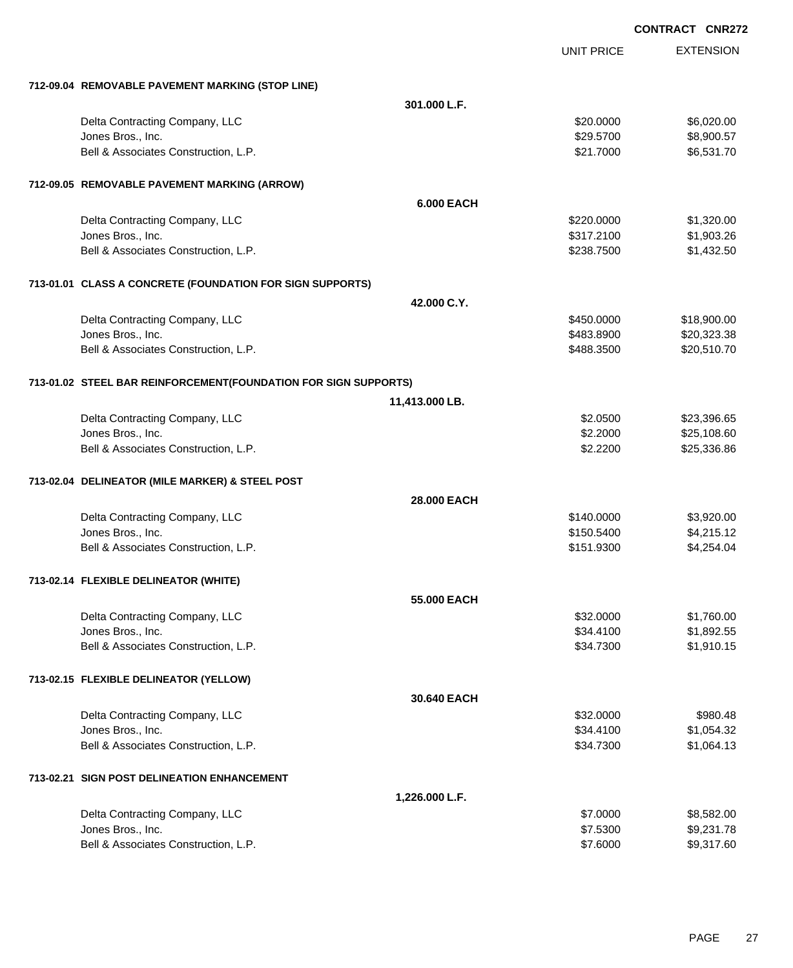|                                                                 |                   |                   | <b>CONTRACT CNR272</b> |
|-----------------------------------------------------------------|-------------------|-------------------|------------------------|
|                                                                 |                   | <b>UNIT PRICE</b> | <b>EXTENSION</b>       |
| 712-09.04 REMOVABLE PAVEMENT MARKING (STOP LINE)                |                   |                   |                        |
|                                                                 | 301.000 L.F.      |                   |                        |
| Delta Contracting Company, LLC                                  |                   | \$20.0000         | \$6,020.00             |
| Jones Bros., Inc.                                               |                   | \$29.5700         | \$8,900.57             |
| Bell & Associates Construction, L.P.                            |                   | \$21.7000         | \$6,531.70             |
| 712-09.05 REMOVABLE PAVEMENT MARKING (ARROW)                    |                   |                   |                        |
|                                                                 | <b>6.000 EACH</b> |                   |                        |
| Delta Contracting Company, LLC                                  |                   | \$220.0000        | \$1,320.00             |
| Jones Bros., Inc.                                               |                   | \$317.2100        | \$1,903.26             |
| Bell & Associates Construction, L.P.                            |                   | \$238.7500        | \$1,432.50             |
| 713-01.01 CLASS A CONCRETE (FOUNDATION FOR SIGN SUPPORTS)       |                   |                   |                        |
|                                                                 | 42.000 C.Y.       |                   |                        |
| Delta Contracting Company, LLC                                  |                   | \$450.0000        | \$18,900.00            |
| Jones Bros., Inc.                                               |                   | \$483.8900        | \$20,323.38            |
| Bell & Associates Construction, L.P.                            |                   | \$488.3500        | \$20,510.70            |
| 713-01.02 STEEL BAR REINFORCEMENT(FOUNDATION FOR SIGN SUPPORTS) |                   |                   |                        |
|                                                                 | 11,413.000 LB.    |                   |                        |
| Delta Contracting Company, LLC                                  |                   | \$2.0500          | \$23,396.65            |
| Jones Bros., Inc.                                               |                   | \$2.2000          | \$25,108.60            |
| Bell & Associates Construction, L.P.                            |                   | \$2.2200          | \$25,336.86            |
| 713-02.04 DELINEATOR (MILE MARKER) & STEEL POST                 |                   |                   |                        |
|                                                                 | 28.000 EACH       |                   |                        |
| Delta Contracting Company, LLC                                  |                   | \$140.0000        | \$3,920.00             |
| Jones Bros., Inc.                                               |                   | \$150.5400        | \$4,215.12             |
| Bell & Associates Construction, L.P.                            |                   | \$151.9300        | \$4,254.04             |
| 713-02.14 FLEXIBLE DELINEATOR (WHITE)                           |                   |                   |                        |
|                                                                 | 55,000 EACH       |                   |                        |
| Delta Contracting Company, LLC                                  |                   | \$32.0000         | \$1,760.00             |
| Jones Bros., Inc.                                               |                   | \$34.4100         | \$1,892.55             |
| Bell & Associates Construction, L.P.                            |                   | \$34.7300         | \$1,910.15             |
| 713-02.15 FLEXIBLE DELINEATOR (YELLOW)                          |                   |                   |                        |
|                                                                 | 30.640 EACH       |                   |                        |
| Delta Contracting Company, LLC                                  |                   | \$32.0000         | \$980.48               |
| Jones Bros., Inc.                                               |                   | \$34.4100         | \$1,054.32             |
| Bell & Associates Construction, L.P.                            |                   | \$34.7300         | \$1,064.13             |
| 713-02.21 SIGN POST DELINEATION ENHANCEMENT                     |                   |                   |                        |
|                                                                 | 1,226.000 L.F.    |                   |                        |
| Delta Contracting Company, LLC                                  |                   | \$7.0000          | \$8,582.00             |
| Jones Bros., Inc.                                               |                   | \$7.5300          | \$9,231.78             |
| Bell & Associates Construction, L.P.                            |                   | \$7.6000          | \$9,317.60             |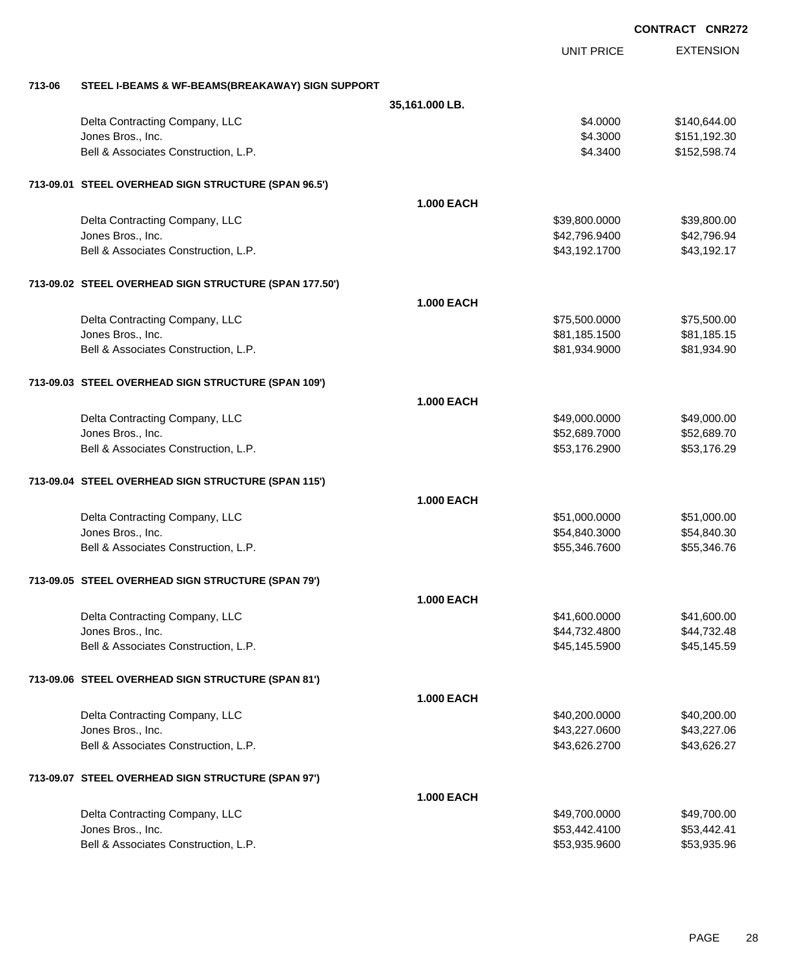|        |                                                        |                   |                   | <b>CONTRACT CNR272</b> |
|--------|--------------------------------------------------------|-------------------|-------------------|------------------------|
|        |                                                        |                   | <b>UNIT PRICE</b> | <b>EXTENSION</b>       |
| 713-06 | STEEL I-BEAMS & WF-BEAMS(BREAKAWAY) SIGN SUPPORT       |                   |                   |                        |
|        |                                                        | 35,161.000 LB.    |                   |                        |
|        | Delta Contracting Company, LLC                         |                   | \$4.0000          | \$140,644.00           |
|        | Jones Bros., Inc.                                      |                   | \$4.3000          | \$151,192.30           |
|        | Bell & Associates Construction, L.P.                   |                   | \$4.3400          | \$152,598.74           |
|        | 713-09.01 STEEL OVERHEAD SIGN STRUCTURE (SPAN 96.5')   |                   |                   |                        |
|        |                                                        | <b>1.000 EACH</b> |                   |                        |
|        | Delta Contracting Company, LLC                         |                   | \$39,800.0000     | \$39,800.00            |
|        | Jones Bros., Inc.                                      |                   | \$42,796.9400     | \$42,796.94            |
|        | Bell & Associates Construction, L.P.                   |                   | \$43,192.1700     | \$43,192.17            |
|        | 713-09.02 STEEL OVERHEAD SIGN STRUCTURE (SPAN 177.50') |                   |                   |                        |
|        |                                                        | <b>1.000 EACH</b> |                   |                        |
|        | Delta Contracting Company, LLC                         |                   | \$75,500.0000     | \$75,500.00            |
|        | Jones Bros., Inc.                                      |                   | \$81,185.1500     | \$81,185.15            |
|        | Bell & Associates Construction, L.P.                   |                   | \$81,934.9000     | \$81,934.90            |
|        | 713-09.03 STEEL OVERHEAD SIGN STRUCTURE (SPAN 109')    |                   |                   |                        |
|        |                                                        | <b>1.000 EACH</b> |                   |                        |
|        | Delta Contracting Company, LLC                         |                   | \$49,000.0000     | \$49,000.00            |
|        | Jones Bros., Inc.                                      |                   | \$52,689.7000     | \$52,689.70            |
|        | Bell & Associates Construction, L.P.                   |                   | \$53,176.2900     | \$53,176.29            |
|        | 713-09.04 STEEL OVERHEAD SIGN STRUCTURE (SPAN 115')    |                   |                   |                        |
|        |                                                        | <b>1.000 EACH</b> |                   |                        |
|        | Delta Contracting Company, LLC                         |                   | \$51,000.0000     | \$51,000.00            |
|        | Jones Bros., Inc.                                      |                   | \$54,840.3000     | \$54,840.30            |
|        | Bell & Associates Construction, L.P.                   |                   | \$55,346.7600     | \$55,346.76            |
|        | 713-09.05 STEEL OVERHEAD SIGN STRUCTURE (SPAN 79')     |                   |                   |                        |
|        |                                                        | <b>1.000 EACH</b> |                   |                        |
|        | Delta Contracting Company, LLC                         |                   | \$41,600.0000     | \$41,600.00            |
|        | Jones Bros., Inc.                                      |                   | \$44,732.4800     | \$44,732.48            |
|        | Bell & Associates Construction, L.P.                   |                   | \$45,145.5900     | \$45,145.59            |
|        | 713-09.06 STEEL OVERHEAD SIGN STRUCTURE (SPAN 81')     |                   |                   |                        |
|        |                                                        | <b>1.000 EACH</b> |                   |                        |
|        | Delta Contracting Company, LLC                         |                   | \$40,200.0000     | \$40,200.00            |
|        | Jones Bros., Inc.                                      |                   | \$43,227.0600     | \$43,227.06            |
|        | Bell & Associates Construction, L.P.                   |                   | \$43,626.2700     | \$43,626.27            |
|        | 713-09.07 STEEL OVERHEAD SIGN STRUCTURE (SPAN 97')     |                   |                   |                        |
|        |                                                        | <b>1.000 EACH</b> |                   |                        |
|        | Delta Contracting Company, LLC                         |                   | \$49,700.0000     | \$49,700.00            |
|        | Jones Bros., Inc.                                      |                   | \$53,442.4100     | \$53,442.41            |
|        | Bell & Associates Construction, L.P.                   |                   | \$53,935.9600     | \$53,935.96            |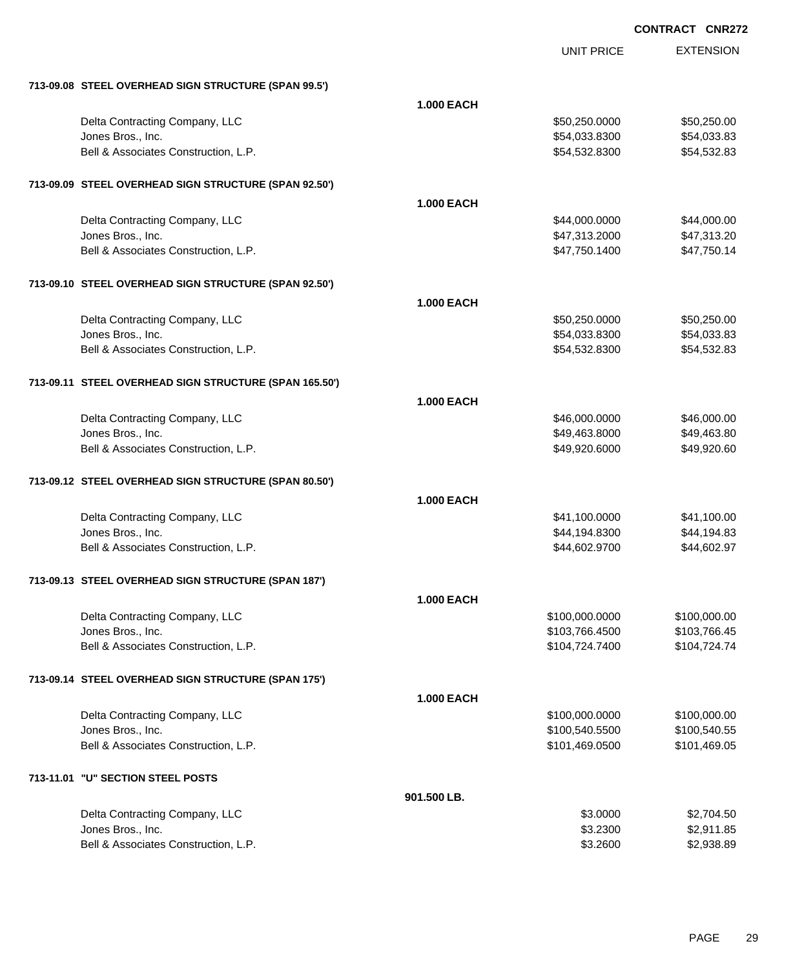|                                                        |                   | <b>UNIT PRICE</b> | <b>EXTENSION</b> |
|--------------------------------------------------------|-------------------|-------------------|------------------|
| 713-09.08 STEEL OVERHEAD SIGN STRUCTURE (SPAN 99.5')   |                   |                   |                  |
|                                                        | <b>1.000 EACH</b> |                   |                  |
| Delta Contracting Company, LLC                         |                   | \$50,250.0000     | \$50,250.00      |
| Jones Bros., Inc.                                      |                   | \$54,033.8300     | \$54,033.83      |
| Bell & Associates Construction, L.P.                   |                   | \$54,532.8300     | \$54,532.83      |
| 713-09.09 STEEL OVERHEAD SIGN STRUCTURE (SPAN 92.50')  |                   |                   |                  |
|                                                        | <b>1.000 EACH</b> |                   |                  |
| Delta Contracting Company, LLC                         |                   | \$44,000.0000     | \$44,000.00      |
| Jones Bros., Inc.                                      |                   | \$47,313.2000     | \$47,313.20      |
| Bell & Associates Construction, L.P.                   |                   | \$47,750.1400     | \$47,750.14      |
| 713-09.10 STEEL OVERHEAD SIGN STRUCTURE (SPAN 92.50')  |                   |                   |                  |
|                                                        | <b>1.000 EACH</b> |                   |                  |
| Delta Contracting Company, LLC                         |                   | \$50,250.0000     | \$50,250.00      |
| Jones Bros., Inc.                                      |                   | \$54,033.8300     | \$54,033.83      |
| Bell & Associates Construction, L.P.                   |                   | \$54,532.8300     | \$54,532.83      |
| 713-09.11 STEEL OVERHEAD SIGN STRUCTURE (SPAN 165.50') |                   |                   |                  |
|                                                        | <b>1.000 EACH</b> |                   |                  |
| Delta Contracting Company, LLC                         |                   | \$46,000.0000     | \$46,000.00      |
| Jones Bros., Inc.                                      |                   | \$49,463.8000     | \$49,463.80      |
| Bell & Associates Construction, L.P.                   |                   | \$49,920.6000     | \$49,920.60      |
| 713-09.12 STEEL OVERHEAD SIGN STRUCTURE (SPAN 80.50')  |                   |                   |                  |
|                                                        | <b>1.000 EACH</b> |                   |                  |
| Delta Contracting Company, LLC                         |                   | \$41,100.0000     | \$41,100.00      |
| Jones Bros., Inc.                                      |                   | \$44,194.8300     | \$44,194.83      |
| Bell & Associates Construction, L.P.                   |                   | \$44,602.9700     | \$44,602.97      |
| 713-09.13 STEEL OVERHEAD SIGN STRUCTURE (SPAN 187')    |                   |                   |                  |
|                                                        | <b>1.000 EACH</b> |                   |                  |
| Delta Contracting Company, LLC                         |                   | \$100,000.0000    | \$100,000.00     |
| Jones Bros., Inc.                                      |                   | \$103,766.4500    | \$103,766.45     |
| Bell & Associates Construction, L.P.                   |                   | \$104,724.7400    | \$104,724.74     |
| 713-09.14 STEEL OVERHEAD SIGN STRUCTURE (SPAN 175')    |                   |                   |                  |
|                                                        | <b>1.000 EACH</b> |                   |                  |
| Delta Contracting Company, LLC                         |                   | \$100,000.0000    | \$100,000.00     |
| Jones Bros., Inc.                                      |                   | \$100,540.5500    | \$100,540.55     |
| Bell & Associates Construction, L.P.                   |                   | \$101,469.0500    | \$101,469.05     |
| 713-11.01 "U" SECTION STEEL POSTS                      |                   |                   |                  |
|                                                        | 901.500 LB.       |                   |                  |
| Delta Contracting Company, LLC                         |                   | \$3.0000          | \$2,704.50       |
| Jones Bros., Inc.                                      |                   | \$3.2300          | \$2,911.85       |
| Bell & Associates Construction, L.P.                   |                   | \$3.2600          | \$2,938.89       |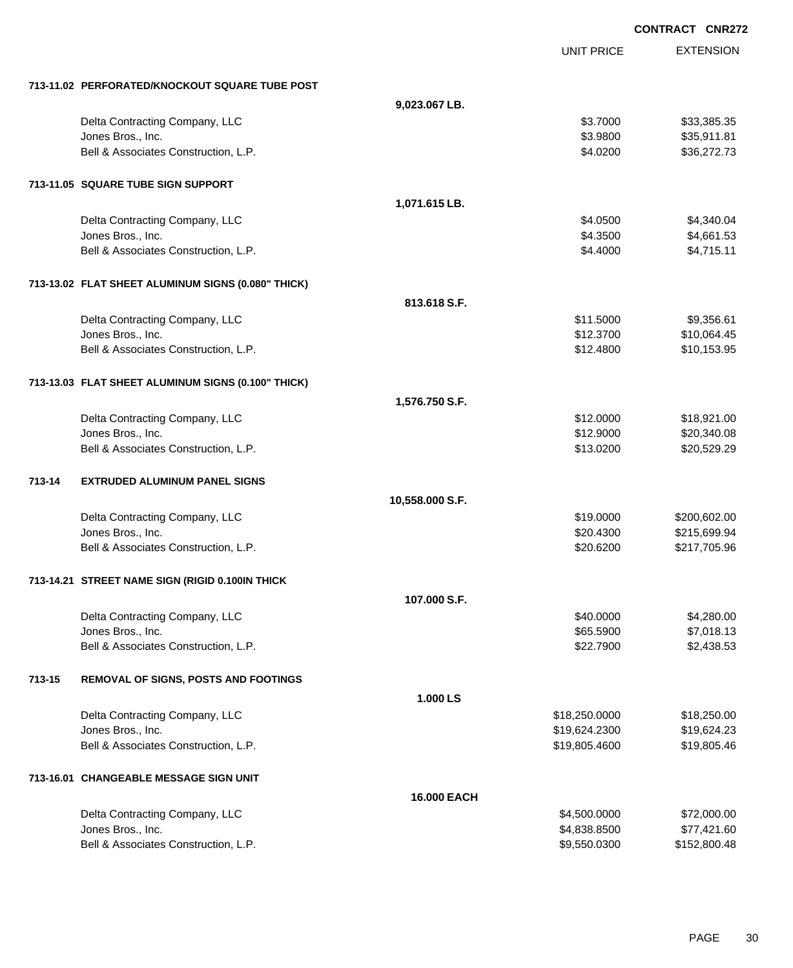|        |                                                    |                 |                   | <b>CONTRACT CNR272</b> |
|--------|----------------------------------------------------|-----------------|-------------------|------------------------|
|        |                                                    |                 | <b>UNIT PRICE</b> | <b>EXTENSION</b>       |
|        | 713-11.02 PERFORATED/KNOCKOUT SQUARE TUBE POST     |                 |                   |                        |
|        |                                                    | 9,023.067 LB.   |                   |                        |
|        | Delta Contracting Company, LLC                     |                 | \$3.7000          | \$33,385.35            |
|        | Jones Bros., Inc.                                  |                 | \$3.9800          | \$35,911.81            |
|        | Bell & Associates Construction, L.P.               |                 | \$4.0200          | \$36,272.73            |
|        | 713-11.05 SQUARE TUBE SIGN SUPPORT                 |                 |                   |                        |
|        |                                                    | 1,071.615 LB.   |                   |                        |
|        | Delta Contracting Company, LLC                     |                 | \$4.0500          | \$4,340.04             |
|        | Jones Bros., Inc.                                  |                 | \$4.3500          | \$4,661.53             |
|        | Bell & Associates Construction, L.P.               |                 | \$4.4000          | \$4,715.11             |
|        | 713-13.02 FLAT SHEET ALUMINUM SIGNS (0.080" THICK) |                 |                   |                        |
|        |                                                    | 813.618 S.F.    |                   |                        |
|        | Delta Contracting Company, LLC                     |                 | \$11.5000         | \$9,356.61             |
|        | Jones Bros., Inc.                                  |                 | \$12.3700         | \$10,064.45            |
|        | Bell & Associates Construction, L.P.               |                 | \$12.4800         | \$10,153.95            |
|        | 713-13.03 FLAT SHEET ALUMINUM SIGNS (0.100" THICK) |                 |                   |                        |
|        |                                                    | 1,576.750 S.F.  |                   |                        |
|        | Delta Contracting Company, LLC                     |                 | \$12.0000         | \$18,921.00            |
|        | Jones Bros., Inc.                                  |                 | \$12.9000         | \$20,340.08            |
|        | Bell & Associates Construction, L.P.               |                 | \$13.0200         | \$20,529.29            |
| 713-14 | <b>EXTRUDED ALUMINUM PANEL SIGNS</b>               |                 |                   |                        |
|        |                                                    | 10,558.000 S.F. |                   |                        |
|        | Delta Contracting Company, LLC                     |                 | \$19.0000         | \$200,602.00           |
|        | Jones Bros., Inc.                                  |                 | \$20.4300         | \$215,699.94           |
|        | Bell & Associates Construction, L.P.               |                 | \$20.6200         | \$217,705.96           |
|        | 713-14.21 STREET NAME SIGN (RIGID 0.100IN THICK    |                 |                   |                        |
|        |                                                    | 107.000 S.F.    |                   |                        |
|        | Delta Contracting Company, LLC                     |                 | \$40.0000         | \$4,280.00             |
|        | Jones Bros., Inc.                                  |                 | \$65.5900         | \$7,018.13             |
|        | Bell & Associates Construction, L.P.               |                 | \$22.7900         | \$2,438.53             |
| 713-15 | REMOVAL OF SIGNS, POSTS AND FOOTINGS               |                 |                   |                        |
|        |                                                    | 1.000 LS        |                   |                        |
|        | Delta Contracting Company, LLC                     |                 | \$18,250.0000     | \$18,250.00            |
|        | Jones Bros., Inc.                                  |                 | \$19,624.2300     | \$19,624.23            |
|        | Bell & Associates Construction, L.P.               |                 | \$19,805.4600     | \$19,805.46            |
|        | 713-16.01 CHANGEABLE MESSAGE SIGN UNIT             |                 |                   |                        |
|        |                                                    | 16.000 EACH     |                   |                        |
|        | Delta Contracting Company, LLC                     |                 | \$4,500.0000      | \$72,000.00            |
|        | Jones Bros., Inc.                                  |                 | \$4,838.8500      | \$77,421.60            |
|        | Bell & Associates Construction, L.P.               |                 | \$9,550.0300      | \$152,800.48           |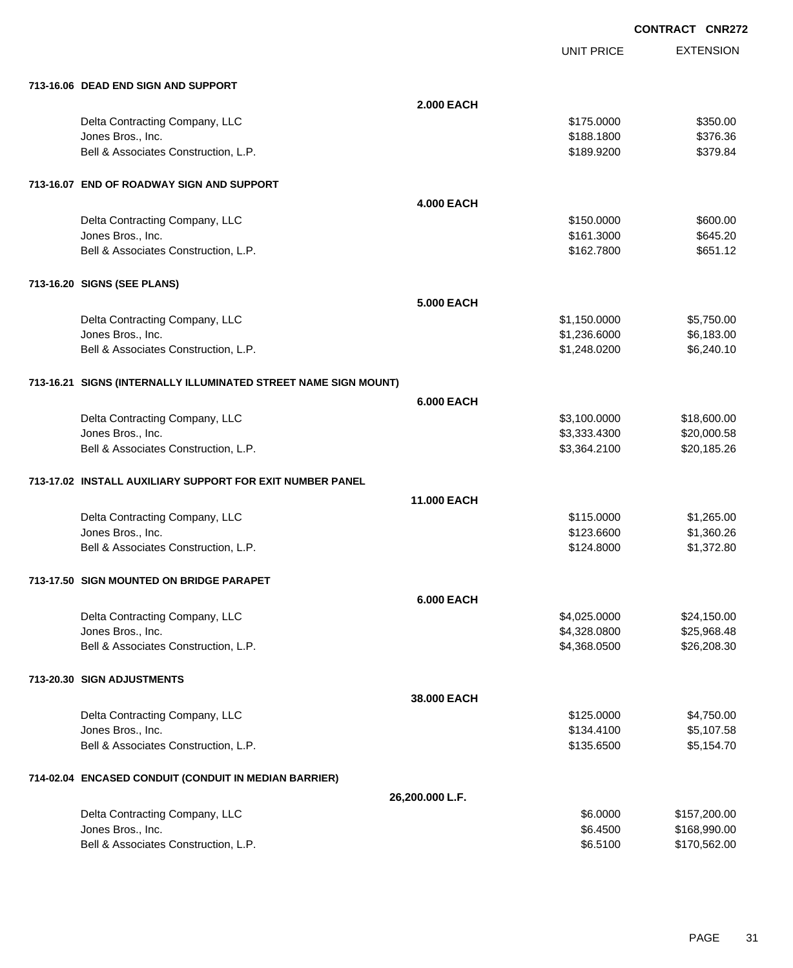| 713-16.06 DEAD END SIGN AND SUPPORT                             |                   |              |              |
|-----------------------------------------------------------------|-------------------|--------------|--------------|
|                                                                 | <b>2.000 EACH</b> |              |              |
| Delta Contracting Company, LLC                                  |                   | \$175.0000   | \$350.00     |
| Jones Bros., Inc.                                               |                   | \$188.1800   | \$376.36     |
| Bell & Associates Construction, L.P.                            |                   | \$189.9200   | \$379.84     |
| 713-16.07 END OF ROADWAY SIGN AND SUPPORT                       |                   |              |              |
|                                                                 | <b>4.000 EACH</b> |              |              |
| Delta Contracting Company, LLC                                  |                   | \$150.0000   | \$600.00     |
| Jones Bros., Inc.                                               |                   | \$161.3000   | \$645.20     |
| Bell & Associates Construction, L.P.                            |                   | \$162.7800   | \$651.12     |
| 713-16.20 SIGNS (SEE PLANS)                                     |                   |              |              |
|                                                                 | <b>5.000 EACH</b> |              |              |
| Delta Contracting Company, LLC                                  |                   | \$1,150.0000 | \$5,750.00   |
| Jones Bros., Inc.                                               |                   | \$1,236.6000 | \$6,183.00   |
| Bell & Associates Construction, L.P.                            |                   | \$1,248.0200 | \$6,240.10   |
| 713-16.21 SIGNS (INTERNALLY ILLUMINATED STREET NAME SIGN MOUNT) |                   |              |              |
|                                                                 | <b>6.000 EACH</b> |              |              |
| Delta Contracting Company, LLC                                  |                   | \$3,100.0000 | \$18,600.00  |
| Jones Bros., Inc.                                               |                   | \$3,333.4300 | \$20,000.58  |
| Bell & Associates Construction, L.P.                            |                   | \$3,364.2100 | \$20,185.26  |
| 713-17.02 INSTALL AUXILIARY SUPPORT FOR EXIT NUMBER PANEL       |                   |              |              |
|                                                                 | 11.000 EACH       |              |              |
| Delta Contracting Company, LLC                                  |                   | \$115.0000   | \$1,265.00   |
| Jones Bros., Inc.                                               |                   | \$123.6600   | \$1,360.26   |
| Bell & Associates Construction, L.P.                            |                   | \$124.8000   | \$1,372.80   |
| 713-17.50 SIGN MOUNTED ON BRIDGE PARAPET                        |                   |              |              |
|                                                                 | <b>6.000 EACH</b> |              |              |
| Delta Contracting Company, LLC                                  |                   | \$4,025.0000 | \$24,150.00  |
| Jones Bros., Inc.                                               |                   | \$4,328.0800 | \$25,968.48  |
| Bell & Associates Construction, L.P.                            |                   | \$4,368.0500 | \$26,208.30  |
| 713-20.30 SIGN ADJUSTMENTS                                      |                   |              |              |
|                                                                 | 38.000 EACH       |              |              |
| Delta Contracting Company, LLC                                  |                   | \$125.0000   | \$4,750.00   |
| Jones Bros., Inc.                                               |                   | \$134.4100   | \$5,107.58   |
| Bell & Associates Construction, L.P.                            |                   | \$135.6500   | \$5,154.70   |
| 714-02.04 ENCASED CONDUIT (CONDUIT IN MEDIAN BARRIER)           |                   |              |              |
|                                                                 | 26,200.000 L.F.   |              |              |
| Delta Contracting Company, LLC                                  |                   | \$6.0000     | \$157,200.00 |
| Jones Bros., Inc.                                               |                   | \$6.4500     | \$168,990.00 |
| Bell & Associates Construction, L.P.                            |                   | \$6.5100     | \$170,562.00 |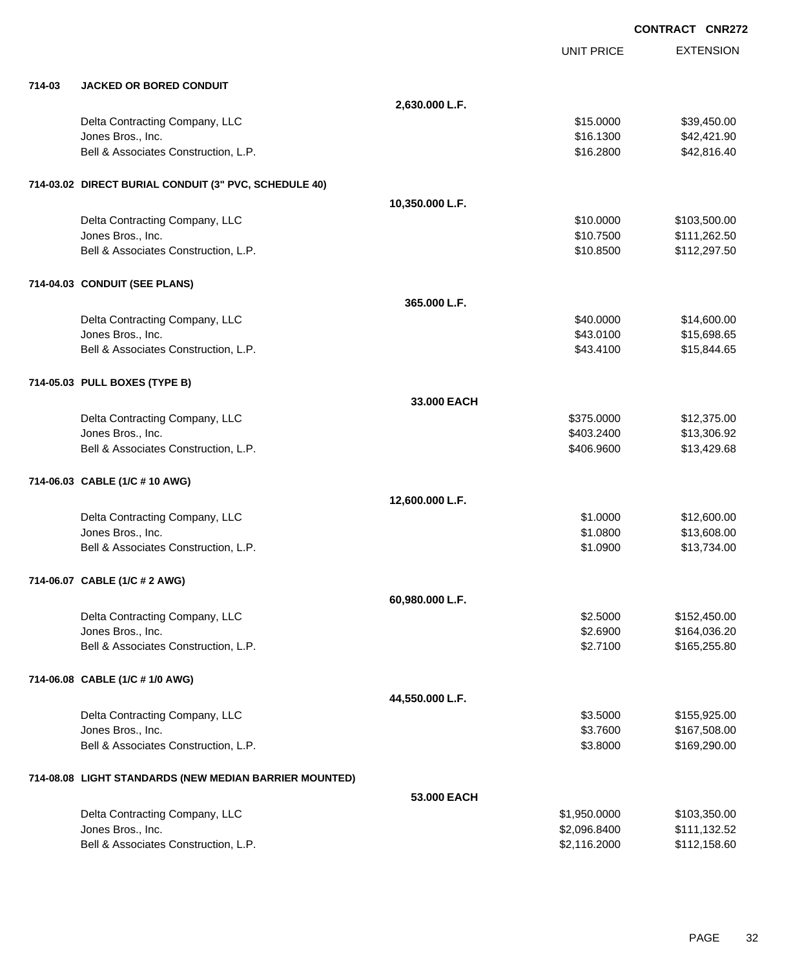EXTENSION **CONTRACT CNR272** UNIT PRICE **714-03 JACKED OR BORED CONDUIT 2,630.000 L.F.** Delta Contracting Company, LLC 61 and the contracting Company, LLC 615.000 \$39,450.00 Jones Bros., Inc. \$16.1300 \$42,421.90 Bell & Associates Construction, L.P.  $$42,816.40$ **714-03.02 DIRECT BURIAL CONDUIT (3" PVC, SCHEDULE 40) 10,350.000 L.F.** Delta Contracting Company, LLC \$10.0000 \$103,500.00 Jones Bros., Inc. \$10.7500 \$111,262.50 Bell & Associates Construction, L.P. \$10.8500 \$112,297.50 **714-04.03 CONDUIT (SEE PLANS) 365.000 L.F.** Delta Contracting Company, LLC **60000 \$14,600.00** \$14,600.00 Jones Bros., Inc. \$43.0100 \$15,698.65 Bell & Associates Construction, L.P. \$43.4100 \$15,844.65 **714-05.03 PULL BOXES (TYPE B) 33.000 EACH** Delta Contracting Company, LLC **but a struck of the struck of the struck of the struck of the struck of the struck of the struck of the struck of the struck of the struck of the struck of the struck of the struck of the st** Jones Bros., Inc. \$403.2400 \$13,306.92 Bell & Associates Construction, L.P.  $$406.9600$  \$13,429.68 **714-06.03 CABLE (1/C # 10 AWG) 12,600.000 L.F.** Delta Contracting Company, LLC **61.0000 \$12,600.00** \$1.0000 \$12,600.00 Jones Bros., Inc. \$1.0800 \$13,608.00 Bell & Associates Construction, L.P.  $$1.0900$  \$13,734.00 **714-06.07 CABLE (1/C # 2 AWG) 60,980.000 L.F.** Delta Contracting Company, LLC **6.6000 \$152,450.00** \$152,450.00 Jones Bros., Inc. \$2.6900 \$164,036.20 Bell & Associates Construction, L.P. \$2.7100 \$165,255.80 **714-06.08 CABLE (1/C # 1/0 AWG) 44,550.000 L.F.** Delta Contracting Company, LLC **6.6 and 5.6 and 5.6 and 5.6 and 5.6 and 5.6 and 5.6 and 5.5000** \$155,925.00 Jones Bros., Inc. \$3.7600 \$167,508.00 Bell & Associates Construction, L.P. \$3.8000 \$169,290.00 **714-08.08 LIGHT STANDARDS (NEW MEDIAN BARRIER MOUNTED) 53.000 EACH** Delta Contracting Company, LLC 6. 2012 12:350.000 \$1,950.0000 \$1,950.000 \$103,350.00

Jones Bros., Inc. \$2,096.8400 \$111,132.52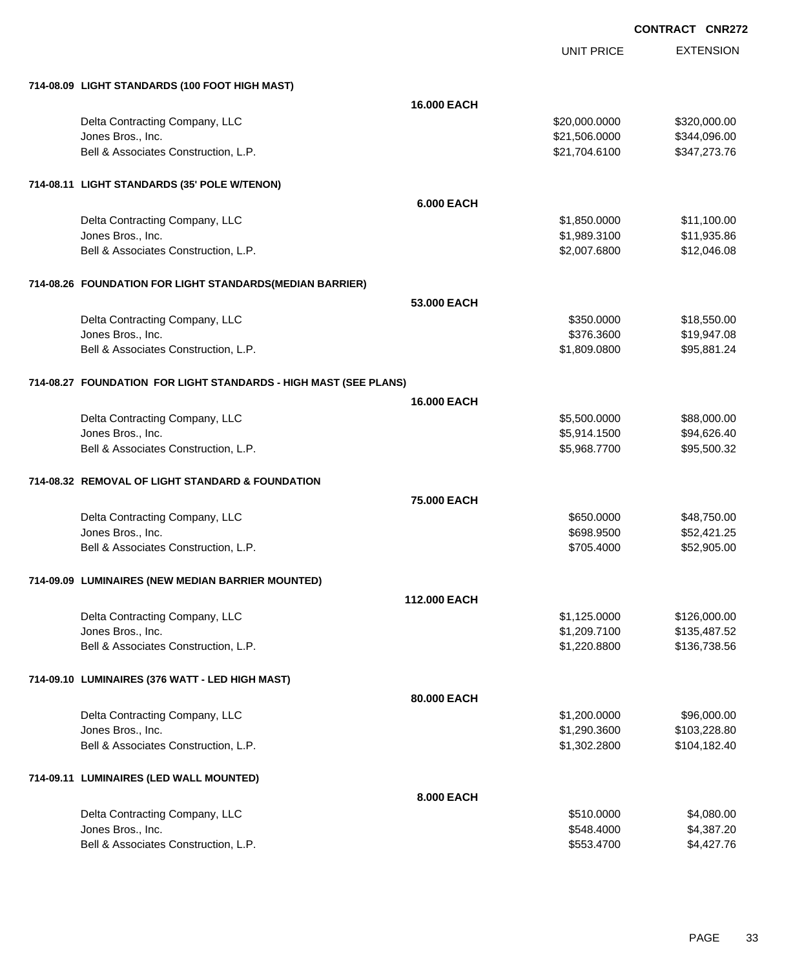EXTENSION **CONTRACT CNR272**

UNIT PRICE

| 714-08.09 LIGHT STANDARDS (100 FOOT HIGH MAST)                   |                    |               |              |
|------------------------------------------------------------------|--------------------|---------------|--------------|
|                                                                  | <b>16.000 EACH</b> |               |              |
| Delta Contracting Company, LLC                                   |                    | \$20,000.0000 | \$320,000.00 |
| Jones Bros., Inc.                                                |                    | \$21,506.0000 | \$344,096.00 |
| Bell & Associates Construction, L.P.                             |                    | \$21,704.6100 | \$347,273.76 |
| 714-08.11 LIGHT STANDARDS (35' POLE W/TENON)                     |                    |               |              |
|                                                                  | <b>6.000 EACH</b>  |               |              |
| Delta Contracting Company, LLC                                   |                    | \$1,850.0000  | \$11,100.00  |
| Jones Bros., Inc.                                                |                    | \$1,989.3100  | \$11,935.86  |
| Bell & Associates Construction, L.P.                             |                    | \$2,007.6800  | \$12,046.08  |
| 714-08.26 FOUNDATION FOR LIGHT STANDARDS(MEDIAN BARRIER)         |                    |               |              |
|                                                                  | 53.000 EACH        |               |              |
| Delta Contracting Company, LLC                                   |                    | \$350.0000    | \$18,550.00  |
| Jones Bros., Inc.                                                |                    | \$376.3600    | \$19,947.08  |
| Bell & Associates Construction, L.P.                             |                    | \$1,809.0800  | \$95,881.24  |
| 714-08.27 FOUNDATION FOR LIGHT STANDARDS - HIGH MAST (SEE PLANS) |                    |               |              |
|                                                                  | <b>16,000 EACH</b> |               |              |
| Delta Contracting Company, LLC                                   |                    | \$5,500.0000  | \$88,000.00  |
| Jones Bros., Inc.                                                |                    | \$5,914.1500  | \$94,626.40  |
| Bell & Associates Construction, L.P.                             |                    | \$5,968.7700  | \$95,500.32  |
| 714-08.32 REMOVAL OF LIGHT STANDARD & FOUNDATION                 |                    |               |              |
|                                                                  | 75.000 EACH        |               |              |
| Delta Contracting Company, LLC                                   |                    | \$650.0000    | \$48,750.00  |
| Jones Bros., Inc.                                                |                    | \$698.9500    | \$52,421.25  |
| Bell & Associates Construction, L.P.                             |                    | \$705.4000    | \$52,905.00  |
| 714-09.09 LUMINAIRES (NEW MEDIAN BARRIER MOUNTED)                |                    |               |              |
|                                                                  | 112.000 EACH       |               |              |
| Delta Contracting Company, LLC                                   |                    | \$1,125.0000  | \$126,000.00 |
| Jones Bros., Inc.                                                |                    | \$1,209.7100  | \$135,487.52 |
| Bell & Associates Construction, L.P.                             |                    | \$1,220.8800  | \$136,738.56 |
| 714-09.10 LUMINAIRES (376 WATT - LED HIGH MAST)                  |                    |               |              |
|                                                                  | 80.000 EACH        |               |              |
| Delta Contracting Company, LLC                                   |                    | \$1,200.0000  | \$96,000.00  |
| Jones Bros., Inc.                                                |                    | \$1,290.3600  | \$103,228.80 |
| Bell & Associates Construction, L.P.                             |                    | \$1,302.2800  | \$104,182.40 |
| 714-09.11 LUMINAIRES (LED WALL MOUNTED)                          |                    |               |              |
|                                                                  | 8.000 EACH         |               |              |
| Delta Contracting Company, LLC                                   |                    | \$510.0000    | \$4,080.00   |
| Jones Bros., Inc.                                                |                    | \$548.4000    | \$4,387.20   |
| Bell & Associates Construction, L.P.                             |                    | \$553.4700    | \$4,427.76   |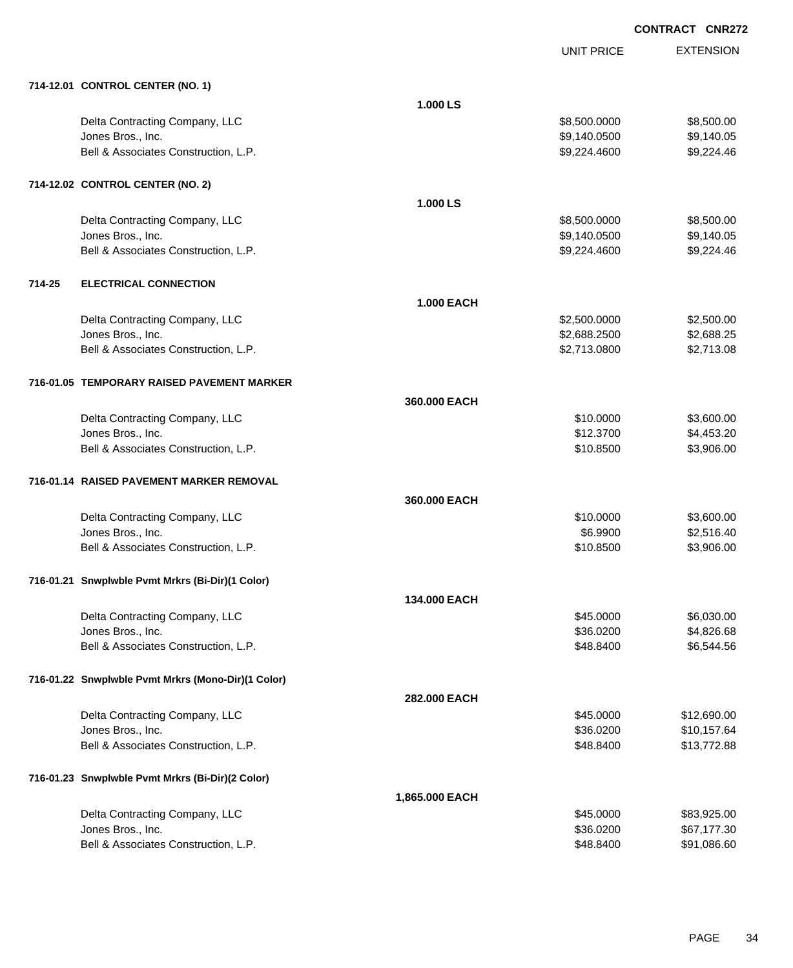|        |                                                    |                   | <b>UNIT PRICE</b> | <b>EXTENSION</b> |
|--------|----------------------------------------------------|-------------------|-------------------|------------------|
|        | 714-12.01 CONTROL CENTER (NO. 1)                   |                   |                   |                  |
|        |                                                    | 1.000 LS          |                   |                  |
|        | Delta Contracting Company, LLC                     |                   | \$8,500.0000      | \$8,500.00       |
|        | Jones Bros., Inc.                                  |                   | \$9,140.0500      | \$9,140.05       |
|        | Bell & Associates Construction, L.P.               |                   | \$9,224.4600      | \$9,224.46       |
|        | 714-12.02 CONTROL CENTER (NO. 2)                   |                   |                   |                  |
|        |                                                    | 1.000 LS          |                   |                  |
|        | Delta Contracting Company, LLC                     |                   | \$8,500.0000      | \$8,500.00       |
|        | Jones Bros., Inc.                                  |                   | \$9,140.0500      | \$9,140.05       |
|        | Bell & Associates Construction, L.P.               |                   | \$9,224.4600      | \$9,224.46       |
| 714-25 | <b>ELECTRICAL CONNECTION</b>                       |                   |                   |                  |
|        |                                                    | <b>1.000 EACH</b> |                   |                  |
|        | Delta Contracting Company, LLC                     |                   | \$2,500.0000      | \$2,500.00       |
|        | Jones Bros., Inc.                                  |                   | \$2,688.2500      | \$2,688.25       |
|        | Bell & Associates Construction, L.P.               |                   | \$2,713.0800      | \$2,713.08       |
|        | 716-01.05 TEMPORARY RAISED PAVEMENT MARKER         |                   |                   |                  |
|        |                                                    | 360,000 EACH      |                   |                  |
|        | Delta Contracting Company, LLC                     |                   | \$10.0000         | \$3,600.00       |
|        | Jones Bros., Inc.                                  |                   | \$12.3700         | \$4,453.20       |
|        | Bell & Associates Construction, L.P.               |                   | \$10.8500         | \$3,906.00       |
|        | 716-01.14 RAISED PAVEMENT MARKER REMOVAL           |                   |                   |                  |
|        |                                                    | 360,000 EACH      |                   |                  |
|        | Delta Contracting Company, LLC                     |                   | \$10.0000         | \$3,600.00       |
|        | Jones Bros., Inc.                                  |                   | \$6.9900          | \$2,516.40       |
|        | Bell & Associates Construction, L.P.               |                   | \$10.8500         | \$3,906.00       |
|        | 716-01.21 Snwplwble Pvmt Mrkrs (Bi-Dir)(1 Color)   |                   |                   |                  |
|        |                                                    | 134.000 EACH      |                   |                  |
|        | Delta Contracting Company, LLC                     |                   | \$45.0000         | \$6,030.00       |
|        | Jones Bros., Inc.                                  |                   | \$36.0200         | \$4,826.68       |
|        | Bell & Associates Construction, L.P.               |                   | \$48.8400         | \$6,544.56       |
|        | 716-01.22 Snwplwble Pvmt Mrkrs (Mono-Dir)(1 Color) |                   |                   |                  |
|        |                                                    | 282.000 EACH      |                   |                  |
|        | Delta Contracting Company, LLC                     |                   | \$45.0000         | \$12,690.00      |
|        | Jones Bros., Inc.                                  |                   | \$36.0200         | \$10,157.64      |
|        | Bell & Associates Construction, L.P.               |                   | \$48.8400         | \$13,772.88      |
|        | 716-01.23 Snwplwble Pvmt Mrkrs (Bi-Dir)(2 Color)   |                   |                   |                  |
|        |                                                    | 1,865.000 EACH    |                   |                  |
|        | Delta Contracting Company, LLC                     |                   | \$45.0000         | \$83,925.00      |
|        | Jones Bros., Inc.                                  |                   | \$36.0200         | \$67,177.30      |
|        | Bell & Associates Construction, L.P.               |                   | \$48.8400         | \$91,086.60      |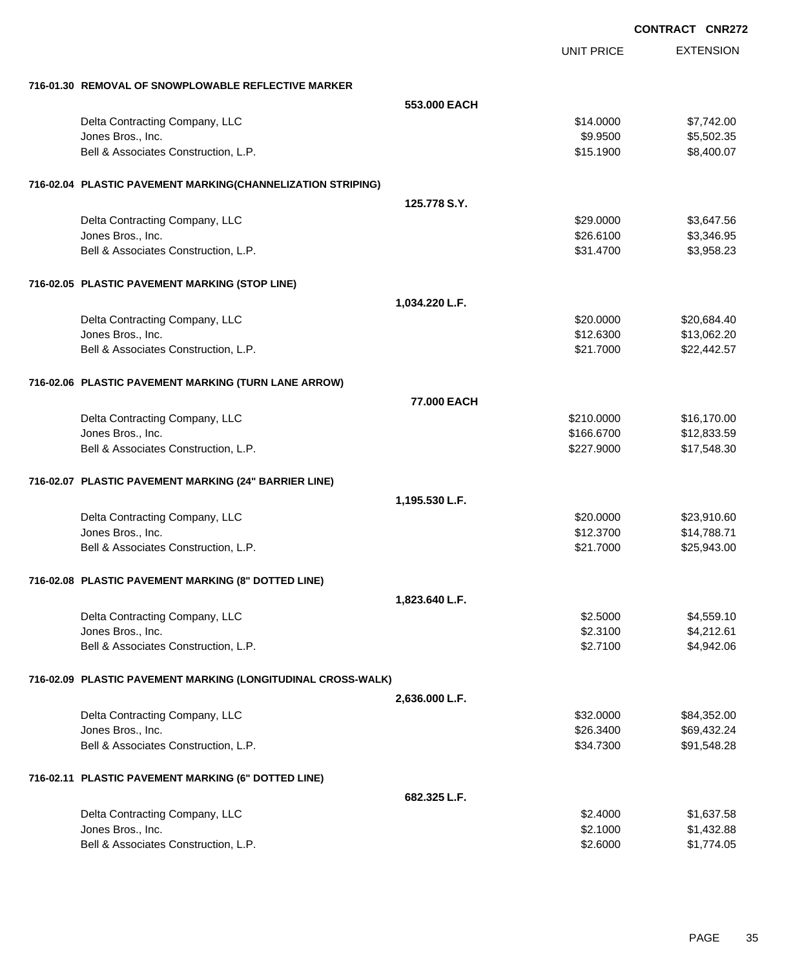|                                                              |                   | <b>CONTRACT CNR272</b> |
|--------------------------------------------------------------|-------------------|------------------------|
|                                                              | <b>UNIT PRICE</b> | <b>EXTENSION</b>       |
| 716-01.30 REMOVAL OF SNOWPLOWABLE REFLECTIVE MARKER          |                   |                        |
|                                                              | 553,000 EACH      |                        |
| Delta Contracting Company, LLC                               | \$14.0000         | \$7,742.00             |
| Jones Bros., Inc.                                            | \$9.9500          | \$5,502.35             |
| Bell & Associates Construction, L.P.                         | \$15.1900         | \$8,400.07             |
| 716-02.04 PLASTIC PAVEMENT MARKING(CHANNELIZATION STRIPING)  |                   |                        |
|                                                              | 125.778 S.Y.      |                        |
| Delta Contracting Company, LLC                               | \$29.0000         | \$3,647.56             |
| Jones Bros., Inc.                                            | \$26.6100         | \$3,346.95             |
| Bell & Associates Construction, L.P.                         | \$31.4700         | \$3,958.23             |
| 716-02.05 PLASTIC PAVEMENT MARKING (STOP LINE)               |                   |                        |
|                                                              | 1,034.220 L.F.    |                        |
| Delta Contracting Company, LLC                               | \$20.0000         | \$20,684.40            |
| Jones Bros., Inc.                                            | \$12.6300         | \$13,062.20            |
| Bell & Associates Construction, L.P.                         | \$21.7000         | \$22,442.57            |
| 716-02.06 PLASTIC PAVEMENT MARKING (TURN LANE ARROW)         |                   |                        |
|                                                              | 77.000 EACH       |                        |
| Delta Contracting Company, LLC                               | \$210.0000        | \$16,170.00            |
| Jones Bros., Inc.                                            | \$166.6700        | \$12,833.59            |
| Bell & Associates Construction, L.P.                         | \$227.9000        | \$17,548.30            |
| 716-02.07 PLASTIC PAVEMENT MARKING (24" BARRIER LINE)        |                   |                        |
|                                                              | 1,195.530 L.F.    |                        |
| Delta Contracting Company, LLC                               | \$20,0000         | \$23,910.60            |
| Jones Bros., Inc.                                            | \$12.3700         | \$14,788.71            |
| Bell & Associates Construction, L.P.                         | \$21.7000         | \$25,943.00            |
| 716-02.08 PLASTIC PAVEMENT MARKING (8" DOTTED LINE)          |                   |                        |
|                                                              | 1,823.640 L.F.    |                        |
| Delta Contracting Company, LLC                               | \$2.5000          | \$4,559.10             |
| Jones Bros., Inc.                                            | \$2.3100          | \$4,212.61             |
| Bell & Associates Construction, L.P.                         | \$2.7100          | \$4,942.06             |
| 716-02.09 PLASTIC PAVEMENT MARKING (LONGITUDINAL CROSS-WALK) |                   |                        |
|                                                              | 2,636.000 L.F.    |                        |
| Delta Contracting Company, LLC                               | \$32.0000         | \$84,352.00            |
| Jones Bros., Inc.                                            | \$26.3400         | \$69,432.24            |
| Bell & Associates Construction, L.P.                         | \$34.7300         | \$91,548.28            |
| 716-02.11 PLASTIC PAVEMENT MARKING (6" DOTTED LINE)          |                   |                        |
|                                                              | 682.325 L.F.      |                        |
| Delta Contracting Company, LLC                               | \$2.4000          | \$1,637.58             |
| Jones Bros., Inc.                                            | \$2.1000          | \$1,432.88             |
| Bell & Associates Construction, L.P.                         | \$2.6000          | \$1,774.05             |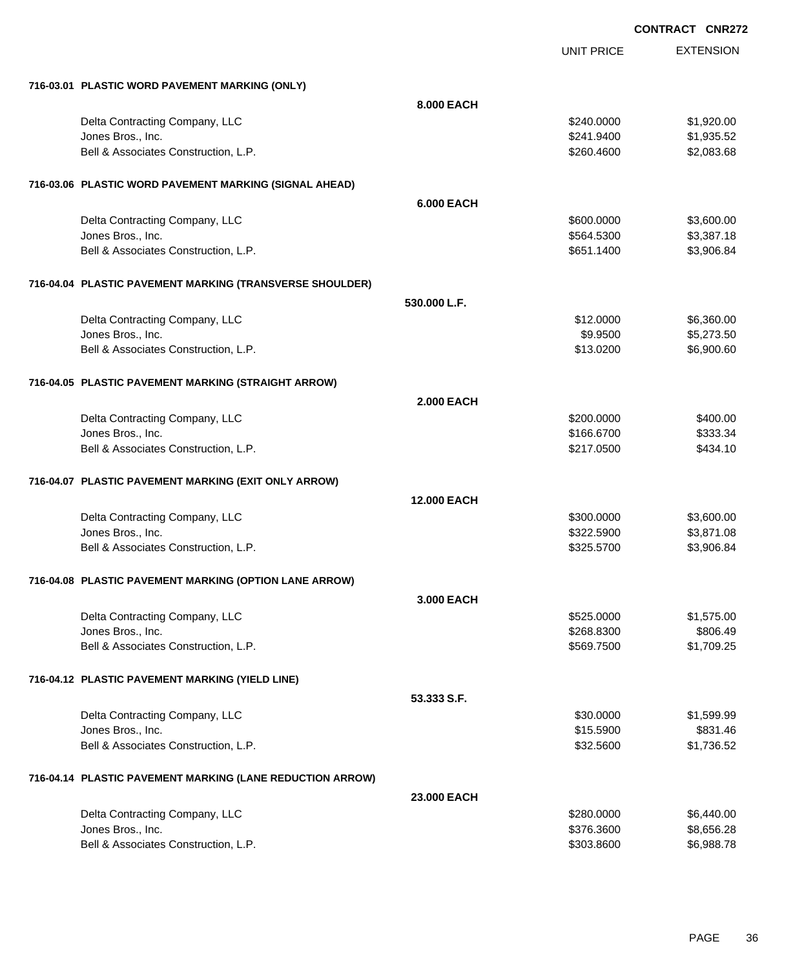EXTENSION **CONTRACT CNR272**

UNIT PRICE

| 716-03.01 PLASTIC WORD PAVEMENT MARKING (ONLY)            |                    |            |            |
|-----------------------------------------------------------|--------------------|------------|------------|
|                                                           | 8,000 EACH         |            |            |
| Delta Contracting Company, LLC                            |                    | \$240.0000 | \$1,920.00 |
| Jones Bros., Inc.                                         |                    | \$241.9400 | \$1,935.52 |
| Bell & Associates Construction, L.P.                      |                    | \$260.4600 | \$2,083.68 |
| 716-03.06 PLASTIC WORD PAVEMENT MARKING (SIGNAL AHEAD)    |                    |            |            |
|                                                           | <b>6.000 EACH</b>  |            |            |
| Delta Contracting Company, LLC                            |                    | \$600,0000 | \$3,600.00 |
| Jones Bros., Inc.                                         |                    | \$564.5300 | \$3,387.18 |
| Bell & Associates Construction, L.P.                      |                    | \$651.1400 | \$3,906.84 |
| 716-04.04 PLASTIC PAVEMENT MARKING (TRANSVERSE SHOULDER)  |                    |            |            |
|                                                           | 530.000 L.F.       |            |            |
| Delta Contracting Company, LLC                            |                    | \$12,0000  | \$6,360.00 |
| Jones Bros., Inc.                                         |                    | \$9.9500   | \$5,273.50 |
| Bell & Associates Construction, L.P.                      |                    | \$13.0200  | \$6,900.60 |
| 716-04.05 PLASTIC PAVEMENT MARKING (STRAIGHT ARROW)       |                    |            |            |
|                                                           | <b>2.000 EACH</b>  |            |            |
| Delta Contracting Company, LLC                            |                    | \$200,0000 | \$400.00   |
| Jones Bros., Inc.                                         |                    | \$166.6700 | \$333.34   |
| Bell & Associates Construction, L.P.                      |                    | \$217.0500 | \$434.10   |
| 716-04.07 PLASTIC PAVEMENT MARKING (EXIT ONLY ARROW)      |                    |            |            |
|                                                           | <b>12.000 EACH</b> |            |            |
| Delta Contracting Company, LLC                            |                    | \$300.0000 | \$3,600.00 |
| Jones Bros., Inc.                                         |                    | \$322.5900 | \$3,871.08 |
| Bell & Associates Construction, L.P.                      |                    | \$325.5700 | \$3,906.84 |
| 716-04.08 PLASTIC PAVEMENT MARKING (OPTION LANE ARROW)    |                    |            |            |
|                                                           | 3,000 EACH         |            |            |
| Delta Contracting Company, LLC                            |                    | \$525,0000 | \$1,575.00 |
| Jones Bros., Inc.                                         |                    | \$268.8300 | \$806.49   |
| Bell & Associates Construction, L.P.                      |                    | \$569.7500 | \$1,709.25 |
| 716-04.12 PLASTIC PAVEMENT MARKING (YIELD LINE)           |                    |            |            |
|                                                           | 53.333 S.F.        |            |            |
| Delta Contracting Company, LLC                            |                    | \$30.0000  | \$1,599.99 |
| Jones Bros., Inc.                                         |                    | \$15.5900  | \$831.46   |
| Bell & Associates Construction, L.P.                      |                    | \$32.5600  | \$1,736.52 |
| 716-04.14 PLASTIC PAVEMENT MARKING (LANE REDUCTION ARROW) |                    |            |            |
|                                                           | 23.000 EACH        |            |            |
| Delta Contracting Company, LLC                            |                    | \$280.0000 | \$6,440.00 |
| Jones Bros., Inc.                                         |                    | \$376.3600 | \$8,656.28 |
| Bell & Associates Construction, L.P.                      |                    | \$303.8600 | \$6,988.78 |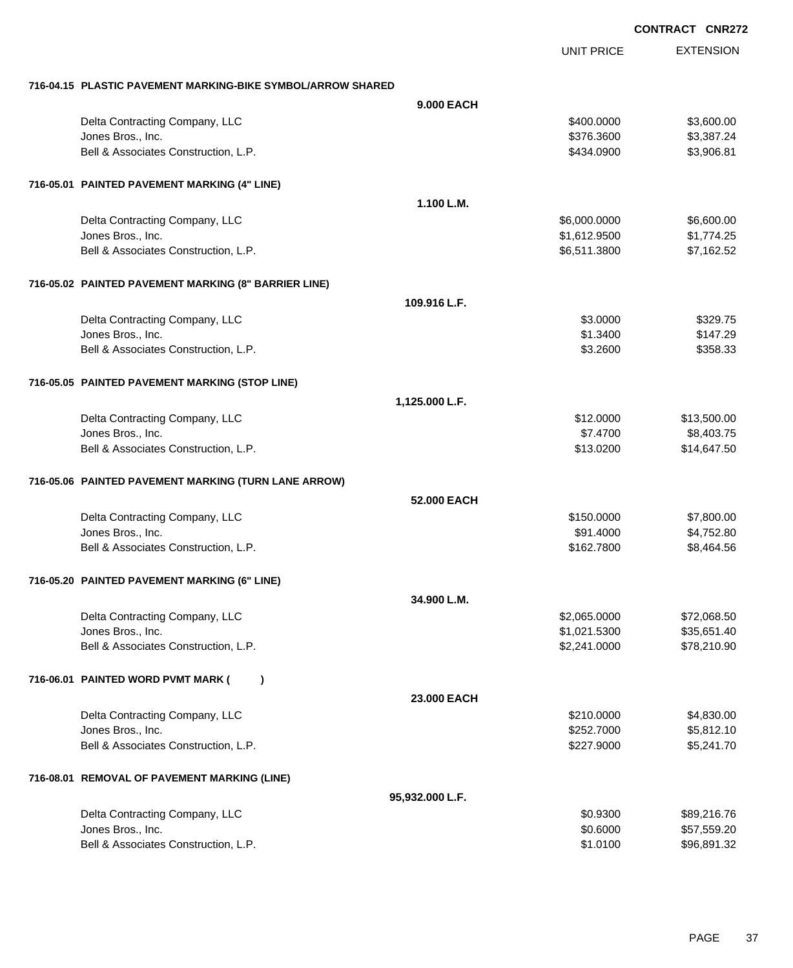|                                                             | <b>UNIT PRICE</b> | <b>EXTENSION</b> |
|-------------------------------------------------------------|-------------------|------------------|
| 716-04.15 PLASTIC PAVEMENT MARKING-BIKE SYMBOL/ARROW SHARED |                   |                  |
| <b>9.000 EACH</b>                                           |                   |                  |
| Delta Contracting Company, LLC                              | \$400.0000        | \$3,600.00       |
| Jones Bros., Inc.                                           | \$376.3600        | \$3,387.24       |
| Bell & Associates Construction, L.P.                        | \$434.0900        | \$3,906.81       |
| 716-05.01 PAINTED PAVEMENT MARKING (4" LINE)                |                   |                  |
| 1.100 L.M.                                                  |                   |                  |
| Delta Contracting Company, LLC                              | \$6,000.0000      | \$6,600.00       |
| Jones Bros., Inc.                                           | \$1,612.9500      | \$1,774.25       |
| Bell & Associates Construction, L.P.                        | \$6,511.3800      | \$7,162.52       |
| 716-05.02 PAINTED PAVEMENT MARKING (8" BARRIER LINE)        |                   |                  |
| 109.916 L.F.                                                |                   |                  |
| Delta Contracting Company, LLC                              | \$3.0000          | \$329.75         |
| Jones Bros., Inc.                                           | \$1.3400          | \$147.29         |
| Bell & Associates Construction, L.P.                        | \$3.2600          | \$358.33         |
| 716-05.05 PAINTED PAVEMENT MARKING (STOP LINE)              |                   |                  |
| 1,125.000 L.F.                                              |                   |                  |
| Delta Contracting Company, LLC                              | \$12.0000         | \$13,500.00      |
| Jones Bros., Inc.                                           | \$7.4700          | \$8,403.75       |
| Bell & Associates Construction, L.P.                        | \$13.0200         | \$14,647.50      |
| 716-05.06 PAINTED PAVEMENT MARKING (TURN LANE ARROW)        |                   |                  |
| 52,000 EACH                                                 |                   |                  |
| Delta Contracting Company, LLC                              | \$150.0000        | \$7,800.00       |
| Jones Bros., Inc.                                           | \$91.4000         | \$4,752.80       |
| Bell & Associates Construction, L.P.                        | \$162.7800        | \$8,464.56       |
| 716-05.20 PAINTED PAVEMENT MARKING (6" LINE)                |                   |                  |
| 34.900 L.M.                                                 |                   |                  |
| Delta Contracting Company, LLC                              | \$2,065.0000      | \$72,068.50      |
| Jones Bros., Inc.                                           | \$1,021.5300      | \$35,651.40      |
| Bell & Associates Construction, L.P.                        | \$2,241.0000      | \$78,210.90      |
| 716-06.01 PAINTED WORD PVMT MARK (<br>$\lambda$             |                   |                  |
| 23.000 EACH                                                 |                   |                  |
| Delta Contracting Company, LLC                              | \$210.0000        | \$4,830.00       |
| Jones Bros., Inc.                                           | \$252.7000        | \$5,812.10       |
| Bell & Associates Construction, L.P.                        | \$227.9000        | \$5,241.70       |
| 716-08.01 REMOVAL OF PAVEMENT MARKING (LINE)                |                   |                  |
| 95,932.000 L.F.                                             |                   |                  |
| Delta Contracting Company, LLC                              | \$0.9300          | \$89,216.76      |
| Jones Bros., Inc.                                           | \$0.6000          | \$57,559.20      |
| Bell & Associates Construction, L.P.                        | \$1.0100          | \$96,891.32      |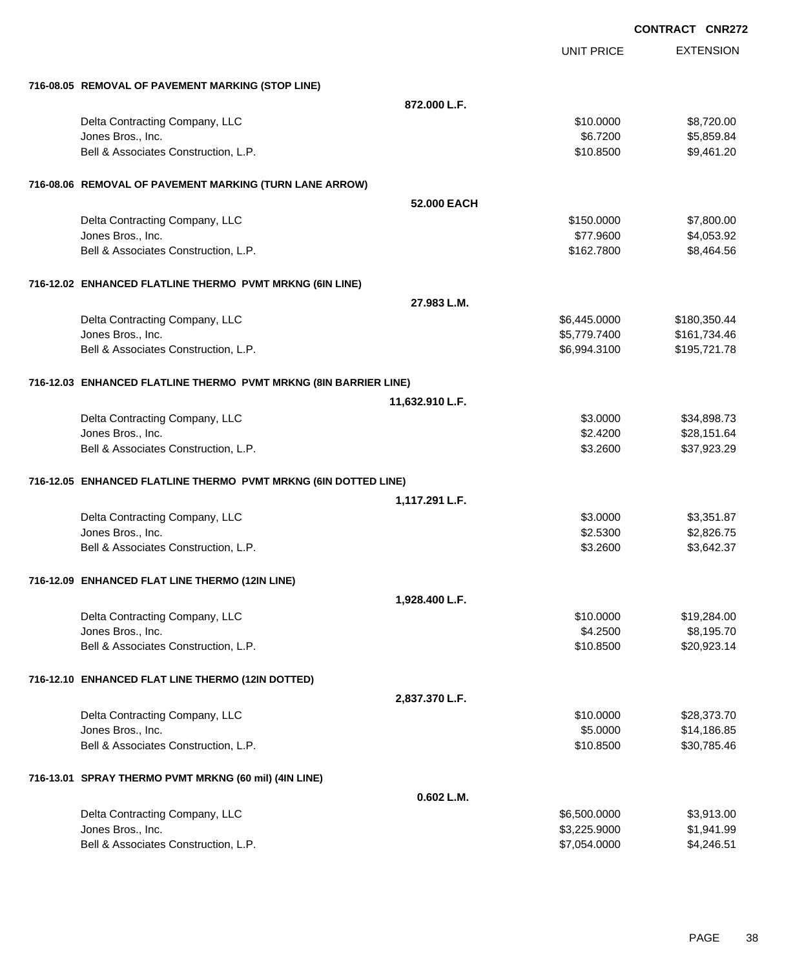|                                                                  |                 |                   | <b>CONTRACT CNR272</b> |
|------------------------------------------------------------------|-----------------|-------------------|------------------------|
|                                                                  |                 | <b>UNIT PRICE</b> | <b>EXTENSION</b>       |
| 716-08.05 REMOVAL OF PAVEMENT MARKING (STOP LINE)                |                 |                   |                        |
|                                                                  | 872.000 L.F.    |                   |                        |
| Delta Contracting Company, LLC                                   |                 | \$10.0000         | \$8,720.00             |
| Jones Bros., Inc.                                                |                 | \$6.7200          | \$5,859.84             |
| Bell & Associates Construction, L.P.                             |                 | \$10.8500         | \$9,461.20             |
| 716-08.06 REMOVAL OF PAVEMENT MARKING (TURN LANE ARROW)          |                 |                   |                        |
|                                                                  | 52.000 EACH     |                   |                        |
| Delta Contracting Company, LLC                                   |                 | \$150.0000        | \$7,800.00             |
| Jones Bros., Inc.                                                |                 | \$77.9600         | \$4,053.92             |
| Bell & Associates Construction, L.P.                             |                 | \$162.7800        | \$8,464.56             |
| 716-12.02 ENHANCED FLATLINE THERMO PVMT MRKNG (6IN LINE)         |                 |                   |                        |
|                                                                  | 27.983 L.M.     |                   |                        |
| Delta Contracting Company, LLC                                   |                 | \$6,445.0000      | \$180,350.44           |
| Jones Bros., Inc.                                                |                 | \$5,779.7400      | \$161,734.46           |
| Bell & Associates Construction, L.P.                             |                 | \$6,994.3100      | \$195,721.78           |
| 716-12.03 ENHANCED FLATLINE THERMO PVMT MRKNG (8IN BARRIER LINE) |                 |                   |                        |
|                                                                  | 11,632.910 L.F. |                   |                        |
| Delta Contracting Company, LLC                                   |                 | \$3.0000          | \$34,898.73            |
| Jones Bros., Inc.                                                |                 | \$2.4200          | \$28,151.64            |
| Bell & Associates Construction, L.P.                             |                 | \$3.2600          | \$37,923.29            |
| 716-12.05 ENHANCED FLATLINE THERMO PVMT MRKNG (6IN DOTTED LINE)  |                 |                   |                        |
|                                                                  | 1,117.291 L.F.  |                   |                        |
| Delta Contracting Company, LLC                                   |                 | \$3.0000          | \$3,351.87             |
| Jones Bros., Inc.                                                |                 | \$2.5300          | \$2,826.75             |
| Bell & Associates Construction, L.P.                             |                 | \$3.2600          | \$3,642.37             |
| 716-12.09 ENHANCED FLAT LINE THERMO (12IN LINE)                  |                 |                   |                        |
|                                                                  | 1,928.400 L.F.  |                   |                        |
| Delta Contracting Company, LLC                                   |                 | \$10.0000         | \$19,284.00            |
| Jones Bros., Inc.                                                |                 | \$4.2500          | \$8,195.70             |
| Bell & Associates Construction, L.P.                             |                 | \$10.8500         | \$20,923.14            |
| 716-12.10 ENHANCED FLAT LINE THERMO (12IN DOTTED)                |                 |                   |                        |
|                                                                  | 2,837.370 L.F.  |                   |                        |
| Delta Contracting Company, LLC                                   |                 | \$10.0000         | \$28,373.70            |
| Jones Bros., Inc.                                                |                 | \$5.0000          | \$14,186.85            |
| Bell & Associates Construction, L.P.                             |                 | \$10.8500         | \$30,785.46            |
| 716-13.01 SPRAY THERMO PVMT MRKNG (60 mil) (4IN LINE)            |                 |                   |                        |
|                                                                  | 0.602 L.M.      |                   |                        |
| Delta Contracting Company, LLC                                   |                 | \$6,500.0000      | \$3,913.00             |
| Jones Bros., Inc.                                                |                 | \$3,225.9000      | \$1,941.99             |
| Bell & Associates Construction, L.P.                             |                 | \$7,054.0000      | \$4,246.51             |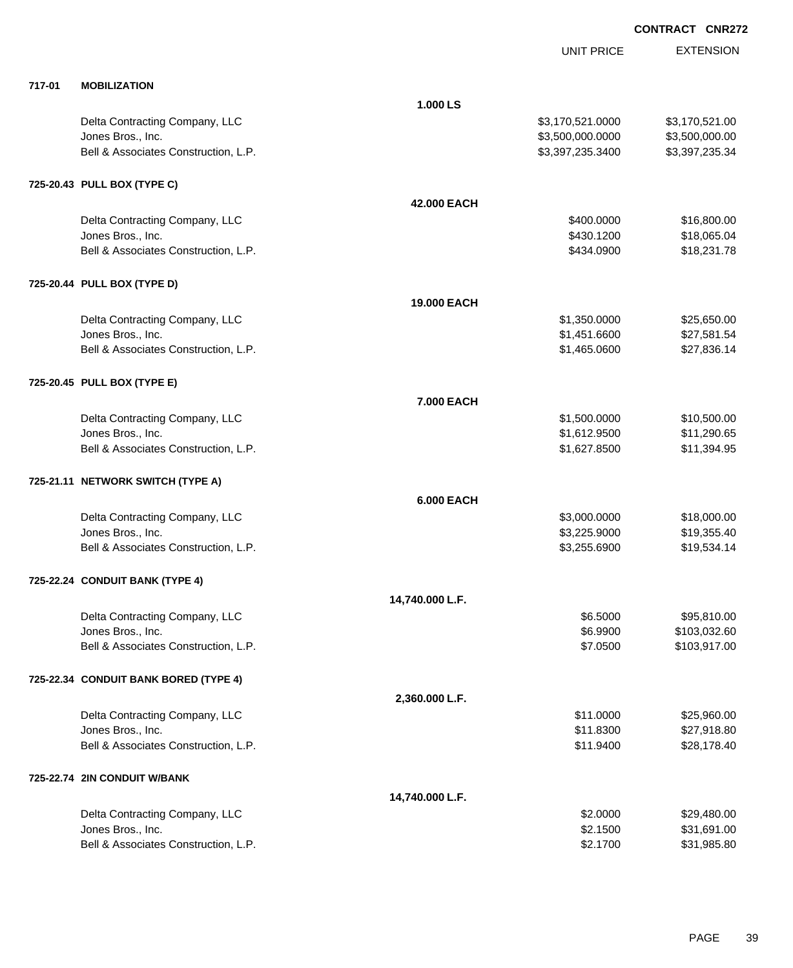|        |                                       |                   | UNIT PRICE       | <b>EXTENSION</b> |
|--------|---------------------------------------|-------------------|------------------|------------------|
| 717-01 | <b>MOBILIZATION</b>                   |                   |                  |                  |
|        |                                       | 1.000 LS          |                  |                  |
|        | Delta Contracting Company, LLC        |                   | \$3,170,521.0000 | \$3,170,521.00   |
|        | Jones Bros., Inc.                     |                   | \$3,500,000.0000 | \$3,500,000.00   |
|        | Bell & Associates Construction, L.P.  |                   | \$3,397,235.3400 | \$3,397,235.34   |
|        | 725-20.43 PULL BOX (TYPE C)           |                   |                  |                  |
|        |                                       | 42.000 EACH       |                  |                  |
|        | Delta Contracting Company, LLC        |                   | \$400.0000       | \$16,800.00      |
|        | Jones Bros., Inc.                     |                   | \$430.1200       | \$18,065.04      |
|        | Bell & Associates Construction, L.P.  |                   | \$434.0900       | \$18,231.78      |
|        | 725-20.44 PULL BOX (TYPE D)           |                   |                  |                  |
|        |                                       | 19.000 EACH       |                  |                  |
|        | Delta Contracting Company, LLC        |                   | \$1,350.0000     | \$25,650.00      |
|        | Jones Bros., Inc.                     |                   | \$1,451.6600     | \$27,581.54      |
|        | Bell & Associates Construction, L.P.  |                   | \$1,465.0600     | \$27,836.14      |
|        | 725-20.45 PULL BOX (TYPE E)           |                   |                  |                  |
|        |                                       | 7.000 EACH        |                  |                  |
|        | Delta Contracting Company, LLC        |                   | \$1,500.0000     | \$10,500.00      |
|        | Jones Bros., Inc.                     |                   | \$1,612.9500     | \$11,290.65      |
|        | Bell & Associates Construction, L.P.  |                   | \$1,627.8500     | \$11,394.95      |
|        | 725-21.11 NETWORK SWITCH (TYPE A)     |                   |                  |                  |
|        |                                       | <b>6.000 EACH</b> |                  |                  |
|        | Delta Contracting Company, LLC        |                   | \$3,000.0000     | \$18,000.00      |
|        | Jones Bros., Inc.                     |                   | \$3,225.9000     | \$19,355.40      |
|        | Bell & Associates Construction, L.P.  |                   | \$3,255.6900     | \$19,534.14      |
|        | 725-22.24 CONDUIT BANK (TYPE 4)       |                   |                  |                  |
|        |                                       | 14,740.000 L.F.   |                  |                  |
|        | Delta Contracting Company, LLC        |                   | \$6.5000         | \$95,810.00      |
|        | Jones Bros., Inc.                     |                   | \$6.9900         | \$103,032.60     |
|        | Bell & Associates Construction, L.P.  |                   | \$7.0500         | \$103,917.00     |
|        | 725-22.34 CONDUIT BANK BORED (TYPE 4) |                   |                  |                  |
|        |                                       | 2,360.000 L.F.    |                  |                  |
|        | Delta Contracting Company, LLC        |                   | \$11.0000        | \$25,960.00      |
|        | Jones Bros., Inc.                     |                   | \$11.8300        | \$27,918.80      |
|        | Bell & Associates Construction, L.P.  |                   | \$11.9400        | \$28,178.40      |
|        | 725-22.74 2IN CONDUIT W/BANK          |                   |                  |                  |
|        |                                       | 14,740.000 L.F.   |                  |                  |
|        | Delta Contracting Company, LLC        |                   | \$2.0000         | \$29,480.00      |
|        | Jones Bros., Inc.                     |                   | \$2.1500         | \$31,691.00      |
|        | Bell & Associates Construction, L.P.  |                   | \$2.1700         | \$31,985.80      |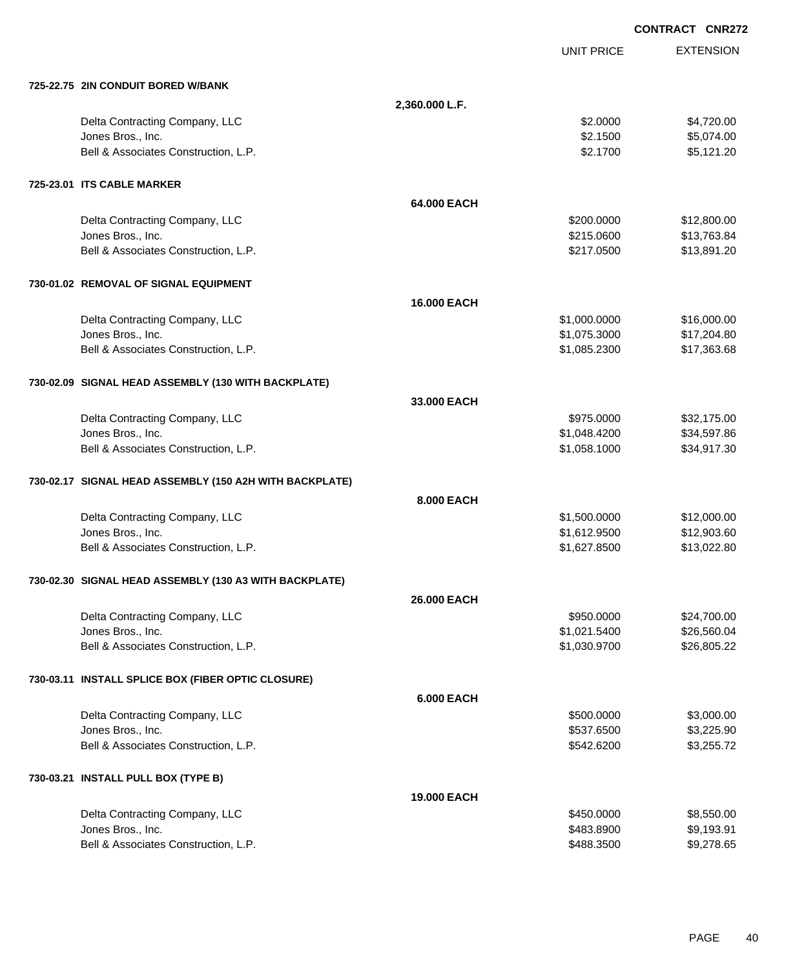|                                                         |                    |                   | <b>CONTRACT CNR272</b> |
|---------------------------------------------------------|--------------------|-------------------|------------------------|
|                                                         |                    | <b>UNIT PRICE</b> | <b>EXTENSION</b>       |
| 725-22.75 2IN CONDUIT BORED W/BANK                      |                    |                   |                        |
|                                                         | 2,360.000 L.F.     |                   |                        |
| Delta Contracting Company, LLC                          |                    | \$2.0000          | \$4,720.00             |
| Jones Bros., Inc.                                       |                    | \$2.1500          | \$5,074.00             |
| Bell & Associates Construction, L.P.                    |                    | \$2.1700          | \$5,121.20             |
| 725-23.01 ITS CABLE MARKER                              |                    |                   |                        |
|                                                         | 64.000 EACH        |                   |                        |
| Delta Contracting Company, LLC                          |                    | \$200.0000        | \$12,800.00            |
| Jones Bros., Inc.                                       |                    | \$215.0600        | \$13,763.84            |
| Bell & Associates Construction, L.P.                    |                    | \$217.0500        | \$13,891.20            |
| 730-01.02 REMOVAL OF SIGNAL EQUIPMENT                   |                    |                   |                        |
|                                                         | <b>16,000 EACH</b> |                   |                        |
| Delta Contracting Company, LLC                          |                    | \$1,000.0000      | \$16,000.00            |
| Jones Bros., Inc.                                       |                    | \$1,075.3000      | \$17,204.80            |
| Bell & Associates Construction, L.P.                    |                    | \$1,085.2300      | \$17,363.68            |
| 730-02.09 SIGNAL HEAD ASSEMBLY (130 WITH BACKPLATE)     |                    |                   |                        |
|                                                         | 33,000 EACH        |                   |                        |
| Delta Contracting Company, LLC                          |                    | \$975.0000        | \$32,175.00            |
| Jones Bros., Inc.                                       |                    | \$1,048.4200      | \$34,597.86            |
| Bell & Associates Construction, L.P.                    |                    | \$1,058.1000      | \$34,917.30            |
| 730-02.17 SIGNAL HEAD ASSEMBLY (150 A2H WITH BACKPLATE) |                    |                   |                        |
|                                                         | 8.000 EACH         |                   |                        |
| Delta Contracting Company, LLC                          |                    | \$1,500.0000      | \$12,000.00            |
| Jones Bros., Inc.                                       |                    | \$1,612.9500      | \$12,903.60            |
| Bell & Associates Construction, L.P.                    |                    | \$1,627.8500      | \$13,022.80            |
| 730-02.30 SIGNAL HEAD ASSEMBLY (130 A3 WITH BACKPLATE)  |                    |                   |                        |
|                                                         | <b>26,000 EACH</b> |                   |                        |
| Delta Contracting Company, LLC                          |                    | \$950.0000        | \$24,700.00            |
| Jones Bros., Inc.                                       |                    | \$1,021.5400      | \$26,560.04            |
| Bell & Associates Construction, L.P.                    |                    | \$1,030.9700      | \$26,805.22            |
| 730-03.11 INSTALL SPLICE BOX (FIBER OPTIC CLOSURE)      |                    |                   |                        |
|                                                         | <b>6.000 EACH</b>  |                   |                        |
| Delta Contracting Company, LLC                          |                    | \$500.0000        | \$3,000.00             |
| Jones Bros., Inc.                                       |                    | \$537.6500        | \$3,225.90             |
| Bell & Associates Construction, L.P.                    |                    | \$542.6200        | \$3,255.72             |
| 730-03.21 INSTALL PULL BOX (TYPE B)                     |                    |                   |                        |
|                                                         | <b>19.000 EACH</b> |                   |                        |
| Delta Contracting Company, LLC                          |                    | \$450.0000        | \$8,550.00             |
| Jones Bros., Inc.                                       |                    | \$483.8900        | \$9,193.91             |
| Bell & Associates Construction, L.P.                    |                    | \$488.3500        | \$9,278.65             |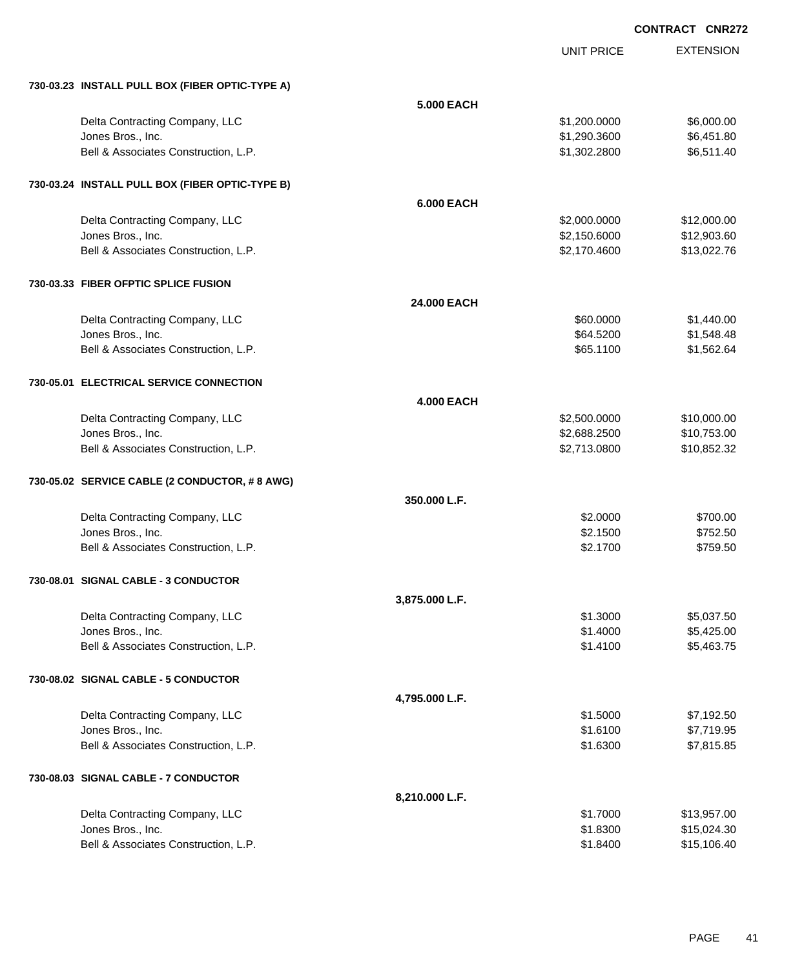UNIT PRICE

EXTENSION

| 730-03.23 INSTALL PULL BOX (FIBER OPTIC-TYPE A)           |                   |              |             |
|-----------------------------------------------------------|-------------------|--------------|-------------|
|                                                           | <b>5.000 EACH</b> |              |             |
| Delta Contracting Company, LLC                            |                   | \$1,200.0000 | \$6,000.00  |
| Jones Bros., Inc.                                         |                   | \$1,290.3600 | \$6,451.80  |
| Bell & Associates Construction, L.P.                      |                   | \$1,302.2800 | \$6,511.40  |
| 730-03.24 INSTALL PULL BOX (FIBER OPTIC-TYPE B)           |                   |              |             |
|                                                           | <b>6.000 EACH</b> |              |             |
| Delta Contracting Company, LLC                            |                   | \$2,000.0000 | \$12,000.00 |
| Jones Bros., Inc.                                         |                   | \$2,150.6000 | \$12,903.60 |
| Bell & Associates Construction, L.P.                      |                   | \$2,170.4600 | \$13,022.76 |
| 730-03.33 FIBER OFPTIC SPLICE FUSION                      |                   |              |             |
|                                                           | 24.000 EACH       |              |             |
| Delta Contracting Company, LLC                            |                   | \$60.0000    | \$1,440.00  |
| Jones Bros., Inc.                                         |                   | \$64.5200    | \$1,548.48  |
| Bell & Associates Construction, L.P.                      |                   | \$65.1100    | \$1,562.64  |
| 730-05.01 ELECTRICAL SERVICE CONNECTION                   |                   |              |             |
|                                                           | <b>4.000 EACH</b> |              |             |
| Delta Contracting Company, LLC                            |                   | \$2,500.0000 | \$10,000.00 |
| Jones Bros., Inc.                                         |                   | \$2,688.2500 | \$10,753.00 |
| Bell & Associates Construction, L.P.                      |                   | \$2,713.0800 | \$10,852.32 |
| 730-05.02 SERVICE CABLE (2 CONDUCTOR, #8 AWG)             |                   |              |             |
|                                                           | 350.000 L.F.      |              |             |
| Delta Contracting Company, LLC                            |                   | \$2.0000     | \$700.00    |
| Jones Bros., Inc.                                         |                   | \$2.1500     | \$752.50    |
| Bell & Associates Construction, L.P.                      |                   | \$2.1700     | \$759.50    |
| 730-08.01 SIGNAL CABLE - 3 CONDUCTOR                      |                   |              |             |
|                                                           | 3,875.000 L.F.    |              |             |
| Delta Contracting Company, LLC                            |                   | \$1.3000     | \$5,037.50  |
| Jones Bros., Inc.                                         |                   | \$1.4000     | \$5,425.00  |
| Bell & Associates Construction, L.P.                      |                   | \$1.4100     | \$5,463.75  |
| 730-08.02 SIGNAL CABLE - 5 CONDUCTOR                      |                   |              |             |
|                                                           | 4,795.000 L.F.    |              |             |
| Delta Contracting Company, LLC                            |                   | \$1.5000     | \$7,192.50  |
| Jones Bros., Inc.                                         |                   | \$1.6100     | \$7,719.95  |
| Bell & Associates Construction, L.P.                      |                   | \$1.6300     | \$7,815.85  |
| 730-08.03 SIGNAL CABLE - 7 CONDUCTOR                      |                   |              |             |
|                                                           | 8,210.000 L.F.    |              |             |
| Delta Contracting Company, LLC                            |                   | \$1.7000     | \$13,957.00 |
| Jones Bros., Inc.<br>Bell & Associates Construction, L.P. |                   | \$1.8300     | \$15,024.30 |
|                                                           |                   | \$1.8400     | \$15,106.40 |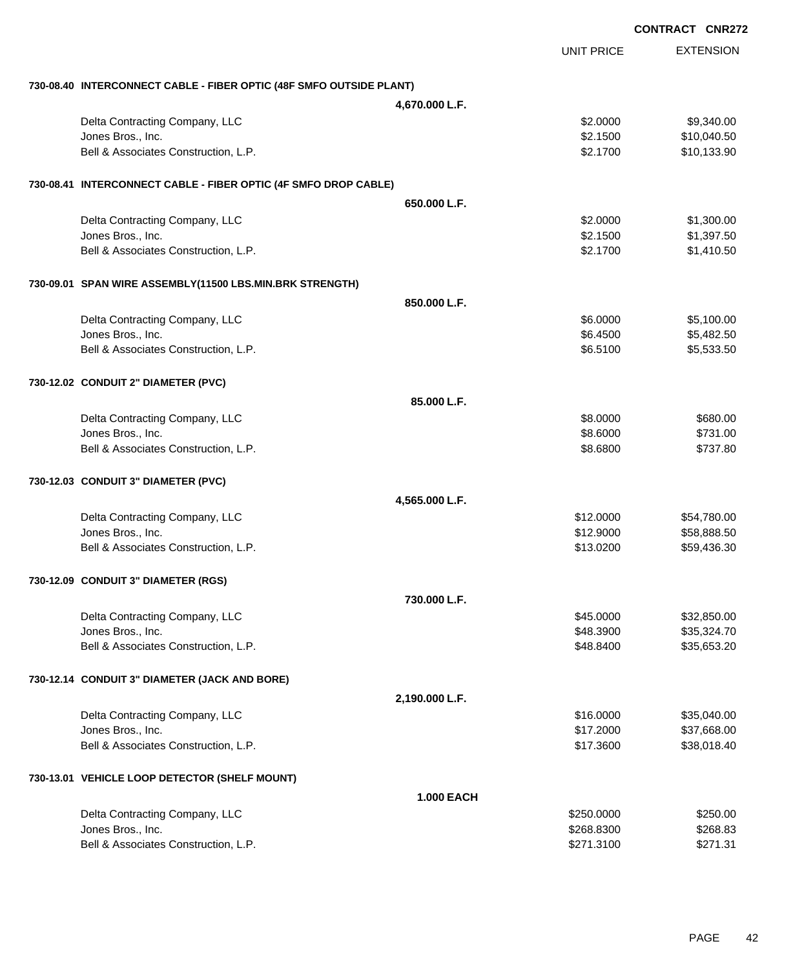|                                                                     |                   |                   | <b>CONTRACT CNR272</b> |
|---------------------------------------------------------------------|-------------------|-------------------|------------------------|
|                                                                     |                   | <b>UNIT PRICE</b> | <b>EXTENSION</b>       |
| 730-08.40 INTERCONNECT CABLE - FIBER OPTIC (48F SMFO OUTSIDE PLANT) |                   |                   |                        |
|                                                                     | 4,670.000 L.F.    |                   |                        |
| Delta Contracting Company, LLC                                      |                   | \$2.0000          | \$9,340.00             |
| Jones Bros., Inc.                                                   |                   | \$2.1500          | \$10,040.50            |
| Bell & Associates Construction, L.P.                                |                   | \$2.1700          | \$10,133.90            |
| 730-08.41 INTERCONNECT CABLE - FIBER OPTIC (4F SMFO DROP CABLE)     |                   |                   |                        |
|                                                                     | 650.000 L.F.      |                   |                        |
| Delta Contracting Company, LLC                                      |                   | \$2.0000          | \$1,300.00             |
| Jones Bros., Inc.                                                   |                   | \$2.1500          | \$1,397.50             |
| Bell & Associates Construction, L.P.                                |                   | \$2.1700          | \$1,410.50             |
| 730-09.01 SPAN WIRE ASSEMBLY(11500 LBS.MIN.BRK STRENGTH)            |                   |                   |                        |
|                                                                     | 850.000 L.F.      |                   |                        |
| Delta Contracting Company, LLC                                      |                   | \$6.0000          | \$5,100.00             |
| Jones Bros., Inc.                                                   |                   | \$6.4500          | \$5,482.50             |
| Bell & Associates Construction, L.P.                                |                   | \$6.5100          | \$5,533.50             |
| 730-12.02 CONDUIT 2" DIAMETER (PVC)                                 |                   |                   |                        |
|                                                                     | 85,000 L.F.       |                   |                        |
| Delta Contracting Company, LLC                                      |                   | \$8.0000          | \$680.00               |
| Jones Bros., Inc.                                                   |                   | \$8.6000          | \$731.00               |
| Bell & Associates Construction, L.P.                                |                   | \$8.6800          | \$737.80               |
| 730-12.03 CONDUIT 3" DIAMETER (PVC)                                 |                   |                   |                        |
|                                                                     | 4,565.000 L.F.    |                   |                        |
| Delta Contracting Company, LLC                                      |                   | \$12.0000         | \$54,780.00            |
| Jones Bros., Inc.                                                   |                   | \$12.9000         | \$58,888.50            |
| Bell & Associates Construction, L.P.                                |                   | \$13.0200         | \$59,436.30            |
| 730-12.09 CONDUIT 3" DIAMETER (RGS)                                 |                   |                   |                        |
|                                                                     | 730.000 L.F.      |                   |                        |
| Delta Contracting Company, LLC                                      |                   | \$45.0000         | \$32,850.00            |
| Jones Bros., Inc.                                                   |                   | \$48.3900         | \$35,324.70            |
| Bell & Associates Construction, L.P.                                |                   | \$48.8400         | \$35,653.20            |
| 730-12.14 CONDUIT 3" DIAMETER (JACK AND BORE)                       |                   |                   |                        |
|                                                                     | 2,190.000 L.F.    |                   |                        |
| Delta Contracting Company, LLC                                      |                   | \$16.0000         | \$35,040.00            |
| Jones Bros., Inc.                                                   |                   | \$17.2000         | \$37,668.00            |
| Bell & Associates Construction, L.P.                                |                   | \$17.3600         | \$38,018.40            |
| 730-13.01 VEHICLE LOOP DETECTOR (SHELF MOUNT)                       |                   |                   |                        |
|                                                                     | <b>1.000 EACH</b> |                   |                        |
| Delta Contracting Company, LLC                                      |                   | \$250.0000        | \$250.00               |
| Jones Bros., Inc.                                                   |                   | \$268.8300        | \$268.83               |
| Bell & Associates Construction, L.P.                                |                   | \$271.3100        | \$271.31               |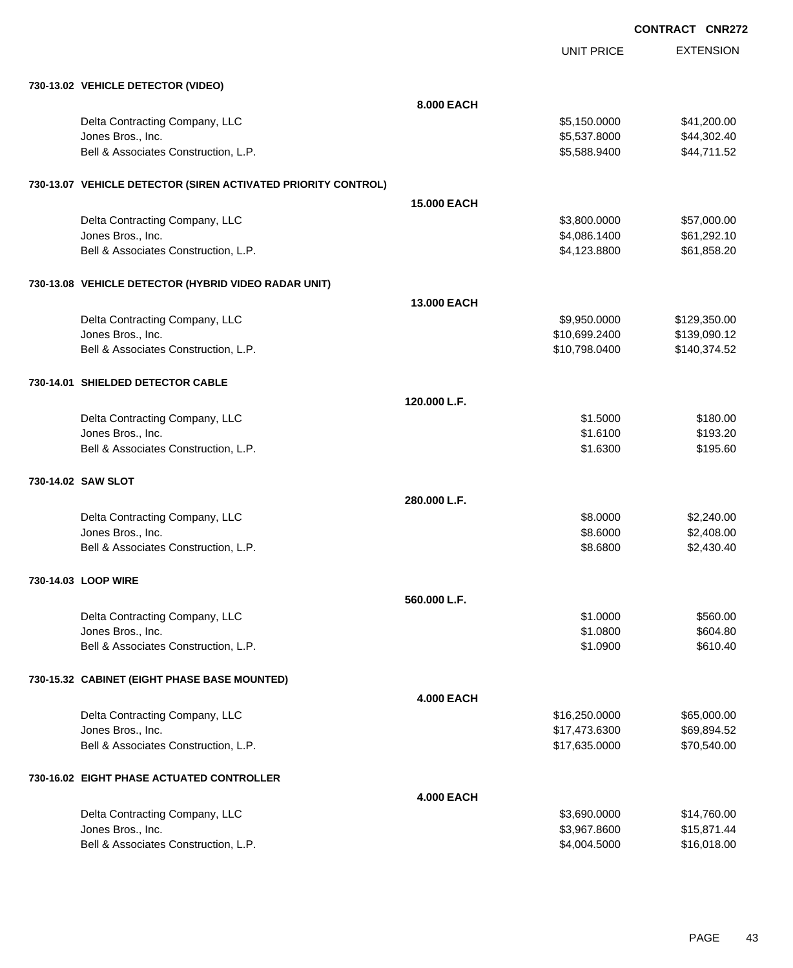| 730-13.02 VEHICLE DETECTOR (VIDEO)                            |                    |               |              |
|---------------------------------------------------------------|--------------------|---------------|--------------|
|                                                               | 8.000 EACH         |               |              |
| Delta Contracting Company, LLC                                |                    | \$5,150.0000  | \$41,200.00  |
| Jones Bros., Inc.                                             |                    | \$5,537.8000  | \$44,302.40  |
| Bell & Associates Construction, L.P.                          |                    | \$5,588.9400  | \$44,711.52  |
| 730-13.07 VEHICLE DETECTOR (SIREN ACTIVATED PRIORITY CONTROL) |                    |               |              |
|                                                               | <b>15.000 EACH</b> |               |              |
| Delta Contracting Company, LLC                                |                    | \$3,800.0000  | \$57,000.00  |
| Jones Bros., Inc.                                             |                    | \$4,086.1400  | \$61,292.10  |
| Bell & Associates Construction, L.P.                          |                    | \$4,123.8800  | \$61,858.20  |
| 730-13.08 VEHICLE DETECTOR (HYBRID VIDEO RADAR UNIT)          |                    |               |              |
|                                                               | <b>13,000 EACH</b> |               |              |
| Delta Contracting Company, LLC                                |                    | \$9,950.0000  | \$129,350.00 |
| Jones Bros., Inc.                                             |                    | \$10,699.2400 | \$139,090.12 |
| Bell & Associates Construction, L.P.                          |                    | \$10,798.0400 | \$140,374.52 |
| 730-14.01 SHIELDED DETECTOR CABLE                             |                    |               |              |
|                                                               | 120.000 L.F.       |               |              |
| Delta Contracting Company, LLC                                |                    | \$1.5000      | \$180.00     |
| Jones Bros., Inc.                                             |                    | \$1.6100      | \$193.20     |
| Bell & Associates Construction, L.P.                          |                    | \$1.6300      | \$195.60     |
| 730-14.02 SAW SLOT                                            |                    |               |              |
|                                                               | 280,000 L.F.       |               |              |
| Delta Contracting Company, LLC                                |                    | \$8.0000      | \$2,240.00   |
| Jones Bros., Inc.                                             |                    | \$8.6000      | \$2,408.00   |
| Bell & Associates Construction, L.P.                          |                    | \$8.6800      | \$2,430.40   |
| 730-14.03 LOOP WIRE                                           |                    |               |              |
|                                                               | 560.000 L.F.       |               |              |
| Delta Contracting Company, LLC                                |                    | \$1.0000      | \$560.00     |
| Jones Bros., Inc.                                             |                    | \$1.0800      | \$604.80     |
| Bell & Associates Construction, L.P.                          |                    | \$1.0900      | \$610.40     |
| 730-15.32 CABINET (EIGHT PHASE BASE MOUNTED)                  |                    |               |              |
|                                                               | <b>4.000 EACH</b>  |               |              |
| Delta Contracting Company, LLC                                |                    | \$16,250.0000 | \$65,000.00  |
| Jones Bros., Inc.                                             |                    | \$17,473.6300 | \$69,894.52  |
| Bell & Associates Construction, L.P.                          |                    | \$17,635.0000 | \$70,540.00  |
| 730-16.02 EIGHT PHASE ACTUATED CONTROLLER                     |                    |               |              |
|                                                               | <b>4.000 EACH</b>  |               |              |
| Delta Contracting Company, LLC                                |                    | \$3,690.0000  | \$14,760.00  |
| Jones Bros., Inc.                                             |                    | \$3,967.8600  | \$15,871.44  |
| Bell & Associates Construction, L.P.                          |                    | \$4,004.5000  | \$16,018.00  |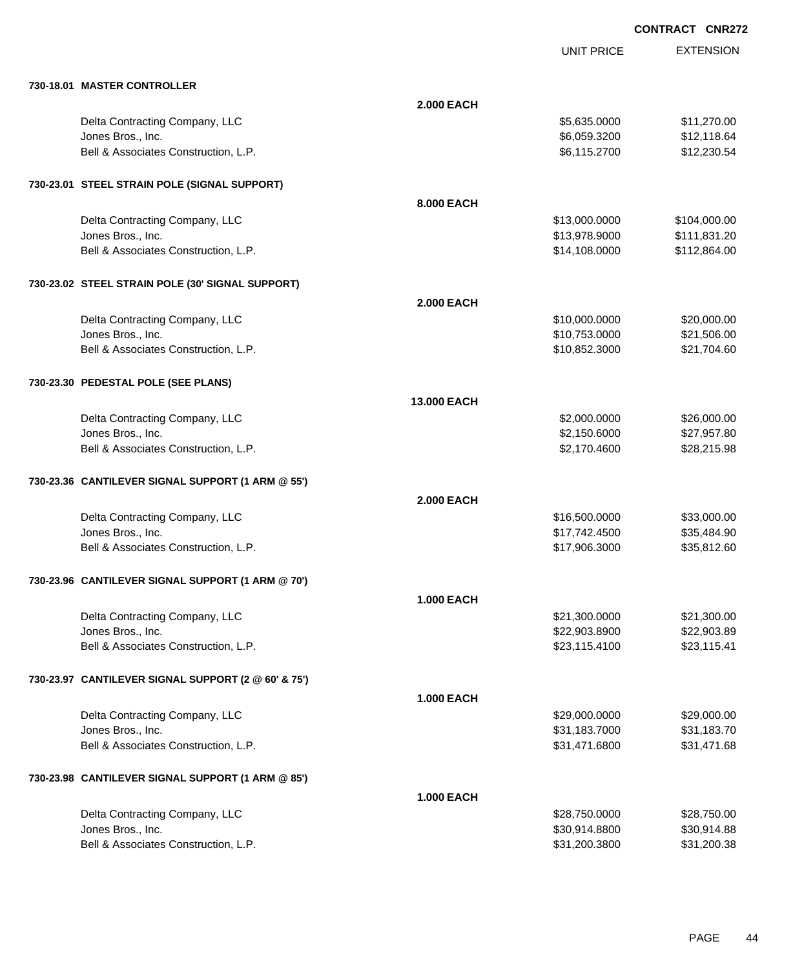| 730-18.01 MASTER CONTROLLER                         |                    |               |              |
|-----------------------------------------------------|--------------------|---------------|--------------|
|                                                     | <b>2.000 EACH</b>  |               |              |
| Delta Contracting Company, LLC                      |                    | \$5,635.0000  | \$11,270.00  |
| Jones Bros., Inc.                                   |                    | \$6,059.3200  | \$12,118.64  |
| Bell & Associates Construction, L.P.                |                    | \$6,115.2700  | \$12,230.54  |
| 730-23.01 STEEL STRAIN POLE (SIGNAL SUPPORT)        |                    |               |              |
|                                                     | 8.000 EACH         |               |              |
| Delta Contracting Company, LLC                      |                    | \$13,000.0000 | \$104,000.00 |
| Jones Bros., Inc.                                   |                    | \$13,978.9000 | \$111,831.20 |
| Bell & Associates Construction, L.P.                |                    | \$14,108.0000 | \$112,864.00 |
| 730-23.02 STEEL STRAIN POLE (30' SIGNAL SUPPORT)    |                    |               |              |
|                                                     | <b>2.000 EACH</b>  |               |              |
| Delta Contracting Company, LLC                      |                    | \$10,000.0000 | \$20,000.00  |
| Jones Bros., Inc.                                   |                    | \$10,753.0000 | \$21,506.00  |
| Bell & Associates Construction, L.P.                |                    | \$10,852.3000 | \$21,704.60  |
| 730-23.30 PEDESTAL POLE (SEE PLANS)                 |                    |               |              |
|                                                     | <b>13,000 EACH</b> |               |              |
| Delta Contracting Company, LLC                      |                    | \$2,000.0000  | \$26,000.00  |
| Jones Bros., Inc.                                   |                    | \$2,150.6000  | \$27,957.80  |
| Bell & Associates Construction, L.P.                |                    | \$2,170.4600  | \$28,215.98  |
| 730-23.36 CANTILEVER SIGNAL SUPPORT (1 ARM @ 55')   |                    |               |              |
|                                                     | <b>2.000 EACH</b>  |               |              |
| Delta Contracting Company, LLC                      |                    | \$16,500.0000 | \$33,000.00  |
| Jones Bros., Inc.                                   |                    | \$17,742.4500 | \$35,484.90  |
| Bell & Associates Construction, L.P.                |                    | \$17,906.3000 | \$35,812.60  |
| 730-23.96 CANTILEVER SIGNAL SUPPORT (1 ARM @ 70')   |                    |               |              |
|                                                     | <b>1.000 EACH</b>  |               |              |
| Delta Contracting Company, LLC                      |                    | \$21,300.0000 | \$21,300.00  |
| Jones Bros., Inc.                                   |                    | \$22,903.8900 | \$22,903.89  |
| Bell & Associates Construction, L.P.                |                    | \$23,115.4100 | \$23,115.41  |
| 730-23.97 CANTILEVER SIGNAL SUPPORT (2 @ 60' & 75') |                    |               |              |
|                                                     | <b>1.000 EACH</b>  |               |              |
| Delta Contracting Company, LLC                      |                    | \$29,000.0000 | \$29,000.00  |
| Jones Bros., Inc.                                   |                    | \$31,183.7000 | \$31,183.70  |
| Bell & Associates Construction, L.P.                |                    | \$31,471.6800 | \$31,471.68  |
| 730-23.98 CANTILEVER SIGNAL SUPPORT (1 ARM @ 85')   |                    |               |              |
|                                                     | <b>1.000 EACH</b>  |               |              |
| Delta Contracting Company, LLC                      |                    | \$28,750.0000 | \$28,750.00  |
| Jones Bros., Inc.                                   |                    | \$30,914.8800 | \$30,914.88  |
| Bell & Associates Construction, L.P.                |                    | \$31,200.3800 | \$31,200.38  |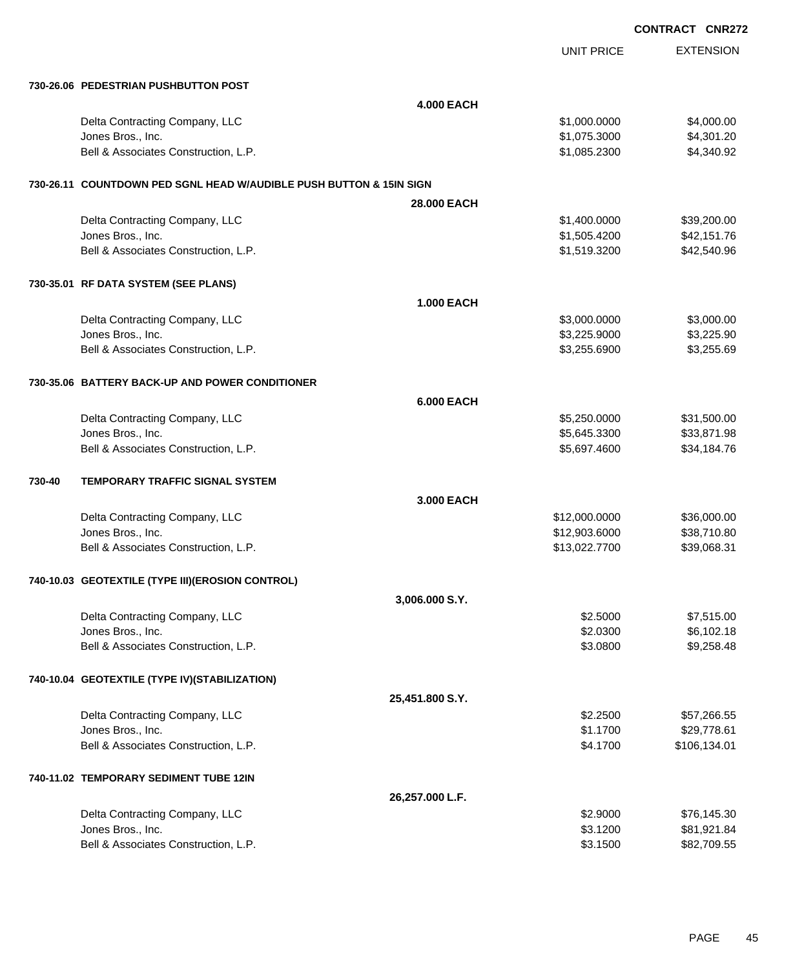| <b>CONTRACT CNR272</b> |  |
|------------------------|--|
|                        |  |

|                                                                     | UNIT PRICE    | <b>EXTENSION</b> |
|---------------------------------------------------------------------|---------------|------------------|
| 730-26.06 PEDESTRIAN PUSHBUTTON POST                                |               |                  |
| <b>4.000 EACH</b>                                                   |               |                  |
| Delta Contracting Company, LLC                                      | \$1,000.0000  | \$4,000.00       |
| Jones Bros., Inc.                                                   | \$1,075.3000  | \$4,301.20       |
| Bell & Associates Construction, L.P.                                | \$1,085.2300  | \$4,340.92       |
| 730-26.11 COUNTDOWN PED SGNL HEAD W/AUDIBLE PUSH BUTTON & 15IN SIGN |               |                  |
| 28,000 EACH                                                         |               |                  |
| Delta Contracting Company, LLC                                      | \$1,400.0000  | \$39,200.00      |
| Jones Bros., Inc.                                                   | \$1,505.4200  | \$42,151.76      |
| Bell & Associates Construction, L.P.                                | \$1,519.3200  | \$42,540.96      |
| 730-35.01 RF DATA SYSTEM (SEE PLANS)                                |               |                  |
| <b>1.000 EACH</b>                                                   |               |                  |
| Delta Contracting Company, LLC                                      | \$3,000.0000  | \$3,000.00       |
| Jones Bros., Inc.                                                   | \$3,225.9000  | \$3,225.90       |
| Bell & Associates Construction, L.P.                                | \$3,255.6900  | \$3,255.69       |
| 730-35.06 BATTERY BACK-UP AND POWER CONDITIONER                     |               |                  |
| <b>6.000 EACH</b>                                                   |               |                  |
| Delta Contracting Company, LLC                                      | \$5,250.0000  | \$31,500.00      |
| Jones Bros., Inc.                                                   | \$5,645.3300  | \$33,871.98      |
| Bell & Associates Construction, L.P.                                | \$5,697.4600  | \$34,184.76      |
| 730-40<br>TEMPORARY TRAFFIC SIGNAL SYSTEM                           |               |                  |
| 3.000 EACH                                                          |               |                  |
| Delta Contracting Company, LLC                                      | \$12,000.0000 | \$36,000.00      |
| Jones Bros., Inc.                                                   | \$12,903.6000 | \$38,710.80      |
| Bell & Associates Construction, L.P.                                | \$13,022.7700 | \$39,068.31      |
| 740-10.03 GEOTEXTILE (TYPE III) (EROSION CONTROL)                   |               |                  |
| 3,006.000 S.Y.                                                      |               |                  |
| Delta Contracting Company, LLC                                      | \$2.5000      | \$7,515.00       |
| Jones Bros., Inc.                                                   | \$2.0300      | \$6,102.18       |
| Bell & Associates Construction, L.P.                                | \$3.0800      | \$9,258.48       |
| 740-10.04 GEOTEXTILE (TYPE IV)(STABILIZATION)                       |               |                  |
| 25,451.800 S.Y.                                                     |               |                  |
| Delta Contracting Company, LLC                                      | \$2.2500      | \$57,266.55      |
| Jones Bros., Inc.                                                   | \$1.1700      | \$29,778.61      |
| Bell & Associates Construction, L.P.                                | \$4.1700      | \$106,134.01     |
| 740-11.02 TEMPORARY SEDIMENT TUBE 12IN                              |               |                  |
| 26,257.000 L.F.                                                     |               |                  |
| Delta Contracting Company, LLC                                      | \$2.9000      | \$76,145.30      |
| Jones Bros., Inc.                                                   | \$3.1200      | \$81,921.84      |
| Bell & Associates Construction, L.P.                                | \$3.1500      | \$82,709.55      |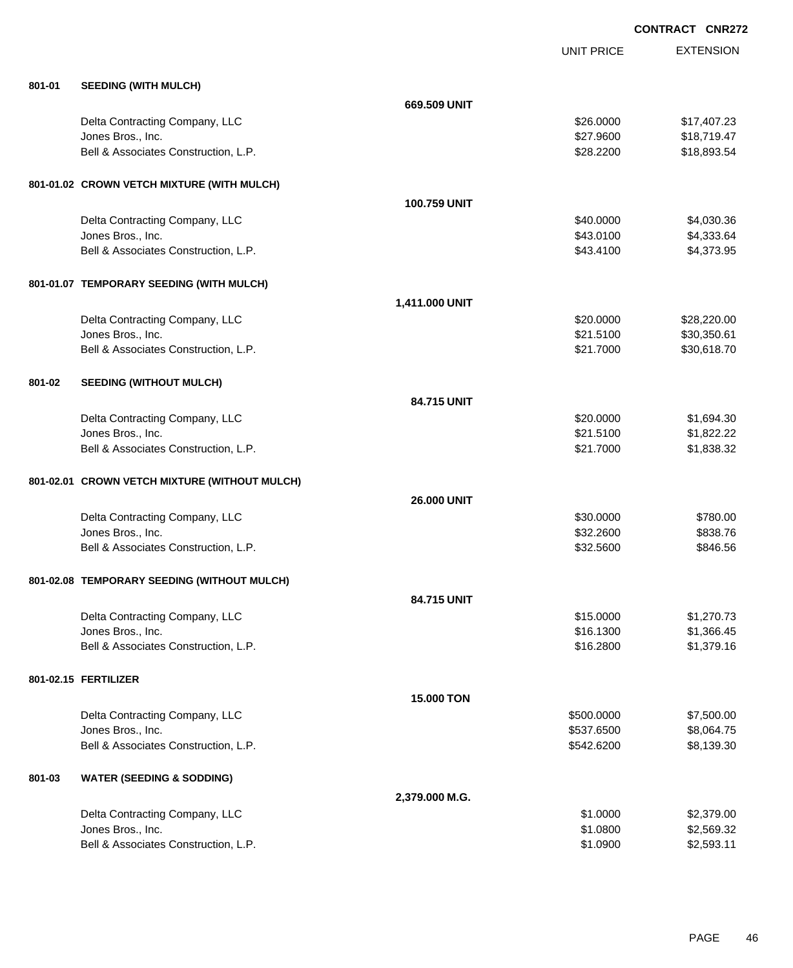| 801-01 | <b>SEEDING (WITH MULCH)</b>                   |                    |            |             |
|--------|-----------------------------------------------|--------------------|------------|-------------|
|        |                                               | 669.509 UNIT       |            |             |
|        | Delta Contracting Company, LLC                |                    | \$26.0000  | \$17,407.23 |
|        | Jones Bros., Inc.                             |                    | \$27.9600  | \$18,719.47 |
|        | Bell & Associates Construction, L.P.          |                    | \$28.2200  | \$18,893.54 |
|        | 801-01.02 CROWN VETCH MIXTURE (WITH MULCH)    |                    |            |             |
|        |                                               | 100.759 UNIT       |            |             |
|        | Delta Contracting Company, LLC                |                    | \$40.0000  | \$4,030.36  |
|        | Jones Bros., Inc.                             |                    | \$43.0100  | \$4,333.64  |
|        | Bell & Associates Construction, L.P.          |                    | \$43.4100  | \$4,373.95  |
|        | 801-01.07 TEMPORARY SEEDING (WITH MULCH)      |                    |            |             |
|        |                                               | 1,411.000 UNIT     |            |             |
|        | Delta Contracting Company, LLC                |                    | \$20.0000  | \$28,220.00 |
|        | Jones Bros., Inc.                             |                    | \$21.5100  | \$30,350.61 |
|        | Bell & Associates Construction, L.P.          |                    | \$21.7000  | \$30,618.70 |
| 801-02 | <b>SEEDING (WITHOUT MULCH)</b>                |                    |            |             |
|        |                                               | 84.715 UNIT        |            |             |
|        | Delta Contracting Company, LLC                |                    | \$20.0000  | \$1,694.30  |
|        | Jones Bros., Inc.                             |                    | \$21.5100  | \$1,822.22  |
|        | Bell & Associates Construction, L.P.          |                    | \$21.7000  | \$1,838.32  |
|        | 801-02.01 CROWN VETCH MIXTURE (WITHOUT MULCH) |                    |            |             |
|        |                                               | <b>26.000 UNIT</b> |            |             |
|        | Delta Contracting Company, LLC                |                    | \$30.0000  | \$780.00    |
|        | Jones Bros., Inc.                             |                    | \$32.2600  | \$838.76    |
|        | Bell & Associates Construction, L.P.          |                    | \$32.5600  | \$846.56    |
|        | 801-02.08 TEMPORARY SEEDING (WITHOUT MULCH)   |                    |            |             |
|        |                                               | 84.715 UNIT        |            |             |
|        | Delta Contracting Company, LLC                |                    | \$15.0000  | \$1,270.73  |
|        | Jones Bros., Inc.                             |                    | \$16.1300  | \$1,366.45  |
|        | Bell & Associates Construction, L.P.          |                    | \$16.2800  | \$1,379.16  |
|        | 801-02.15 FERTILIZER                          |                    |            |             |
|        |                                               | 15.000 TON         |            |             |
|        | Delta Contracting Company, LLC                |                    | \$500.0000 | \$7,500.00  |
|        | Jones Bros., Inc.                             |                    | \$537.6500 | \$8,064.75  |
|        | Bell & Associates Construction, L.P.          |                    | \$542.6200 | \$8,139.30  |
| 801-03 | <b>WATER (SEEDING &amp; SODDING)</b>          |                    |            |             |
|        |                                               | 2,379.000 M.G.     |            |             |
|        | Delta Contracting Company, LLC                |                    | \$1.0000   | \$2,379.00  |
|        | Jones Bros., Inc.                             |                    | \$1.0800   | \$2,569.32  |
|        | Bell & Associates Construction, L.P.          |                    | \$1.0900   | \$2,593.11  |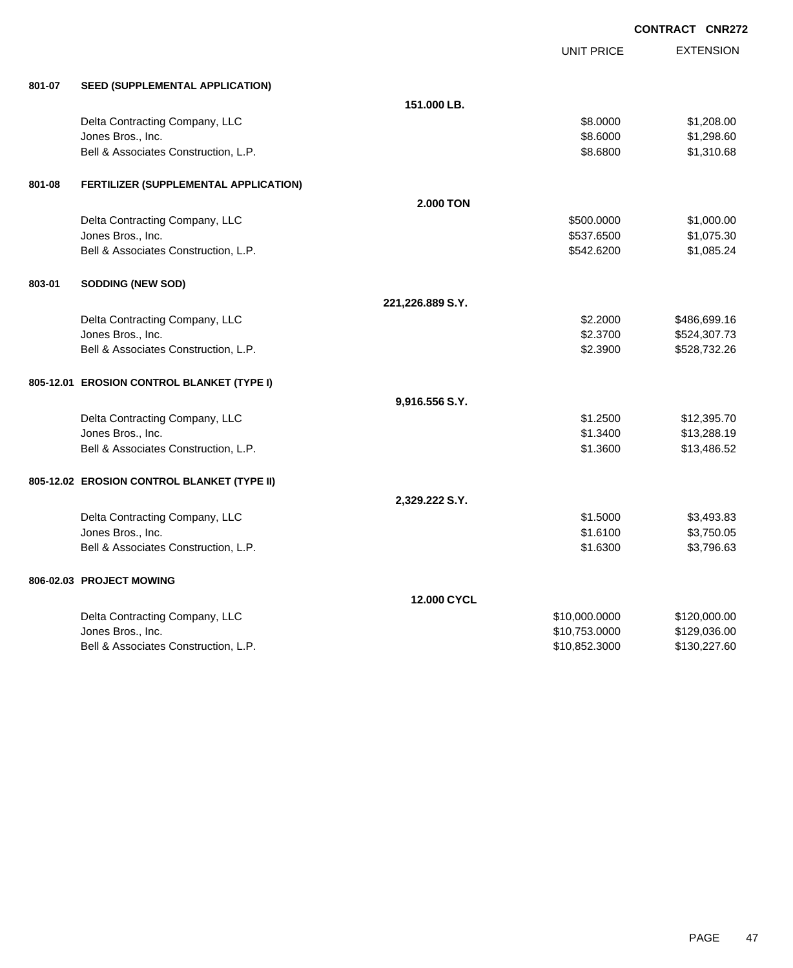|        |                                             |                  |                   | <b>CONTRACT CNR272</b> |  |
|--------|---------------------------------------------|------------------|-------------------|------------------------|--|
|        |                                             |                  | <b>UNIT PRICE</b> | <b>EXTENSION</b>       |  |
| 801-07 | SEED (SUPPLEMENTAL APPLICATION)             |                  |                   |                        |  |
|        |                                             | 151.000 LB.      |                   |                        |  |
|        | Delta Contracting Company, LLC              |                  | \$8.0000          | \$1,208.00             |  |
|        | Jones Bros., Inc.                           |                  | \$8.6000          | \$1,298.60             |  |
|        | Bell & Associates Construction, L.P.        |                  | \$8.6800          | \$1,310.68             |  |
| 801-08 | FERTILIZER (SUPPLEMENTAL APPLICATION)       |                  |                   |                        |  |
|        |                                             | <b>2.000 TON</b> |                   |                        |  |
|        | Delta Contracting Company, LLC              |                  | \$500.0000        | \$1,000.00             |  |
|        | Jones Bros., Inc.                           |                  | \$537.6500        | \$1,075.30             |  |
|        | Bell & Associates Construction, L.P.        |                  | \$542.6200        | \$1,085.24             |  |
| 803-01 | SODDING (NEW SOD)                           |                  |                   |                        |  |
|        |                                             | 221,226.889 S.Y. |                   |                        |  |
|        | Delta Contracting Company, LLC              |                  | \$2.2000          | \$486,699.16           |  |
|        | Jones Bros., Inc.                           |                  | \$2.3700          | \$524,307.73           |  |
|        | Bell & Associates Construction, L.P.        |                  | \$2.3900          | \$528,732.26           |  |
|        | 805-12.01 EROSION CONTROL BLANKET (TYPE I)  |                  |                   |                        |  |
|        |                                             | 9,916.556 S.Y.   |                   |                        |  |
|        | Delta Contracting Company, LLC              |                  | \$1.2500          | \$12,395.70            |  |
|        | Jones Bros., Inc.                           |                  | \$1.3400          | \$13,288.19            |  |
|        | Bell & Associates Construction, L.P.        |                  | \$1.3600          | \$13,486.52            |  |
|        | 805-12.02 EROSION CONTROL BLANKET (TYPE II) |                  |                   |                        |  |
|        |                                             | 2,329.222 S.Y.   |                   |                        |  |
|        | Delta Contracting Company, LLC              |                  | \$1.5000          | \$3,493.83             |  |
|        | Jones Bros., Inc.                           |                  | \$1.6100          | \$3,750.05             |  |
|        | Bell & Associates Construction, L.P.        |                  | \$1.6300          | \$3,796.63             |  |
|        | 806-02.03 PROJECT MOWING                    |                  |                   |                        |  |
|        |                                             | 12.000 CYCL      |                   |                        |  |
|        | Delta Contracting Company, LLC              |                  | \$10,000.0000     | \$120,000.00           |  |
|        | Jones Bros., Inc.                           |                  | \$10,753.0000     | \$129,036.00           |  |
|        | Bell & Associates Construction, L.P.        |                  | \$10,852.3000     | \$130,227.60           |  |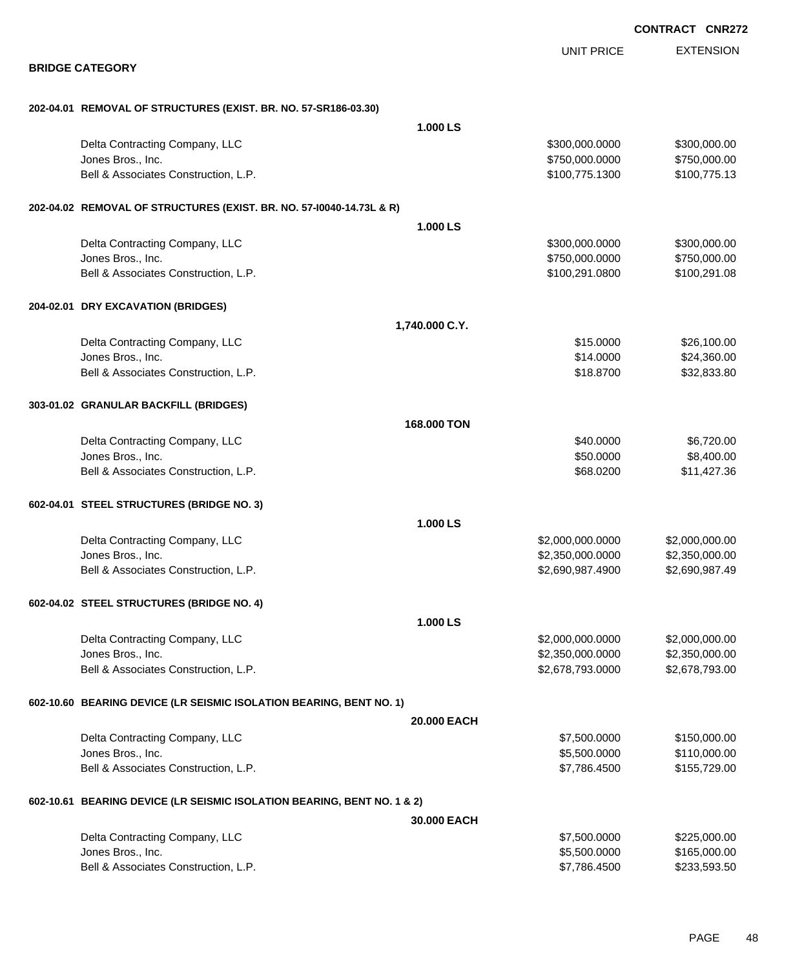|                                                                         |                |                   | CONTRACT CNR272  |
|-------------------------------------------------------------------------|----------------|-------------------|------------------|
|                                                                         |                | <b>UNIT PRICE</b> | <b>EXTENSION</b> |
| <b>BRIDGE CATEGORY</b>                                                  |                |                   |                  |
| 202-04.01 REMOVAL OF STRUCTURES (EXIST. BR. NO. 57-SR186-03.30)         |                |                   |                  |
|                                                                         | 1.000 LS       |                   |                  |
| Delta Contracting Company, LLC                                          |                | \$300,000.0000    | \$300,000.00     |
| Jones Bros., Inc.                                                       |                | \$750,000.0000    | \$750,000.00     |
| Bell & Associates Construction, L.P.                                    |                | \$100,775.1300    | \$100,775.13     |
| 202-04.02 REMOVAL OF STRUCTURES (EXIST. BR. NO. 57-10040-14.73L & R)    |                |                   |                  |
|                                                                         | 1.000 LS       |                   |                  |
| Delta Contracting Company, LLC                                          |                | \$300,000.0000    | \$300,000.00     |
| Jones Bros., Inc.                                                       |                | \$750,000.0000    | \$750,000.00     |
| Bell & Associates Construction, L.P.                                    |                | \$100,291.0800    | \$100,291.08     |
| 204-02.01 DRY EXCAVATION (BRIDGES)                                      |                |                   |                  |
|                                                                         | 1,740.000 C.Y. |                   |                  |
| Delta Contracting Company, LLC                                          |                | \$15.0000         | \$26,100.00      |
| Jones Bros., Inc.                                                       |                | \$14.0000         | \$24,360.00      |
| Bell & Associates Construction, L.P.                                    |                | \$18.8700         | \$32,833.80      |
| 303-01.02 GRANULAR BACKFILL (BRIDGES)                                   |                |                   |                  |
|                                                                         | 168.000 TON    |                   |                  |
| Delta Contracting Company, LLC                                          |                | \$40.0000         | \$6,720.00       |
| Jones Bros., Inc.                                                       |                | \$50.0000         | \$8,400.00       |
| Bell & Associates Construction, L.P.                                    |                | \$68.0200         | \$11,427.36      |
| 602-04.01 STEEL STRUCTURES (BRIDGE NO. 3)                               |                |                   |                  |
|                                                                         | 1.000 LS       |                   |                  |
| Delta Contracting Company, LLC                                          |                | \$2,000,000.0000  | \$2,000,000.00   |
| Jones Bros., Inc.                                                       |                | \$2,350,000.0000  | \$2,350,000.00   |
| Bell & Associates Construction, L.P.                                    |                | \$2,690,987.4900  | \$2,690,987.49   |
| 602-04.02 STEEL STRUCTURES (BRIDGE NO. 4)                               |                |                   |                  |
|                                                                         | 1.000 LS       |                   |                  |
| Delta Contracting Company, LLC                                          |                | \$2,000,000.0000  | \$2,000,000.00   |
| Jones Bros., Inc.                                                       |                | \$2,350,000.0000  | \$2,350,000.00   |
| Bell & Associates Construction, L.P.                                    |                | \$2,678,793.0000  | \$2,678,793.00   |
| 602-10.60 BEARING DEVICE (LR SEISMIC ISOLATION BEARING, BENT NO. 1)     |                |                   |                  |
|                                                                         | 20.000 EACH    |                   |                  |
| Delta Contracting Company, LLC                                          |                | \$7,500.0000      | \$150,000.00     |
| Jones Bros., Inc.                                                       |                | \$5,500.0000      | \$110,000.00     |
| Bell & Associates Construction, L.P.                                    |                | \$7,786.4500      | \$155,729.00     |
| 602-10.61 BEARING DEVICE (LR SEISMIC ISOLATION BEARING, BENT NO. 1 & 2) |                |                   |                  |
|                                                                         | 30.000 EACH    |                   |                  |
| Delta Contracting Company, LLC                                          |                | \$7,500.0000      | \$225,000.00     |
| Jones Bros., Inc.                                                       |                | \$5,500.0000      | \$165,000.00     |
| Bell & Associates Construction, L.P.                                    |                | \$7,786.4500      | \$233,593.50     |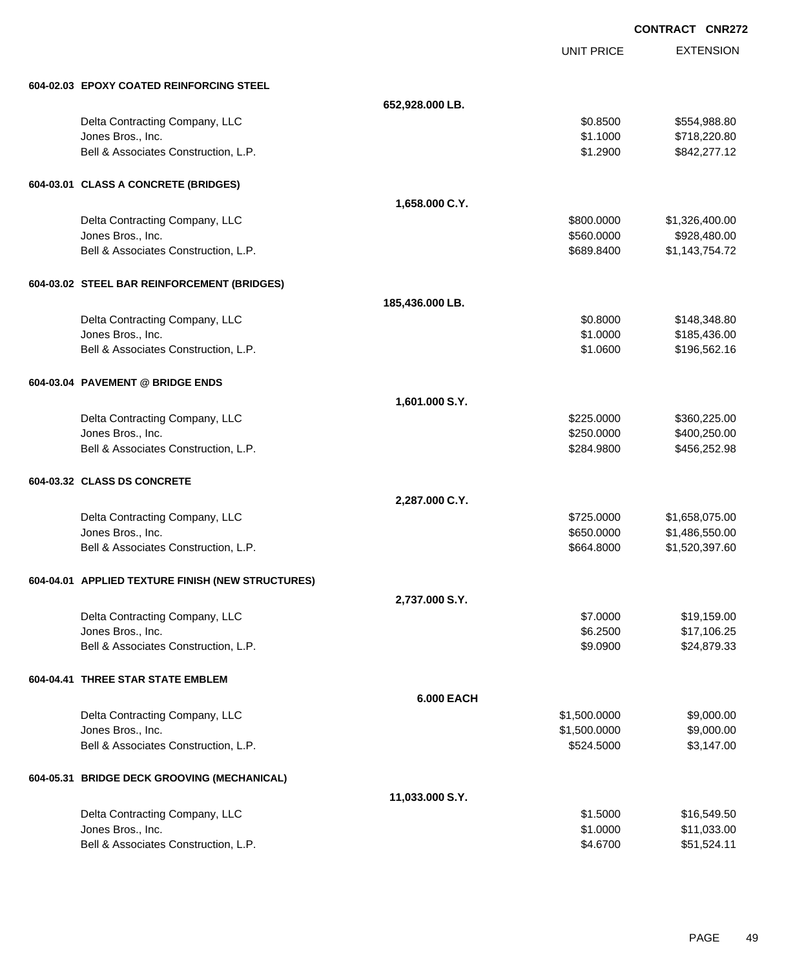|                                                     |                   |                          | <b>CONTRACT CNR272</b>           |
|-----------------------------------------------------|-------------------|--------------------------|----------------------------------|
|                                                     |                   | <b>UNIT PRICE</b>        | <b>EXTENSION</b>                 |
|                                                     |                   |                          |                                  |
| 604-02.03 EPOXY COATED REINFORCING STEEL            |                   |                          |                                  |
|                                                     | 652,928.000 LB.   |                          |                                  |
| Delta Contracting Company, LLC                      |                   | \$0.8500                 | \$554,988.80                     |
| Jones Bros., Inc.                                   |                   | \$1.1000                 | \$718,220.80                     |
| Bell & Associates Construction, L.P.                |                   | \$1.2900                 | \$842,277.12                     |
| 604-03.01 CLASS A CONCRETE (BRIDGES)                |                   |                          |                                  |
|                                                     | 1,658.000 C.Y.    |                          |                                  |
| Delta Contracting Company, LLC                      |                   | \$800.0000               | \$1,326,400.00                   |
| Jones Bros., Inc.                                   |                   | \$560.0000               | \$928,480.00                     |
| Bell & Associates Construction, L.P.                |                   | \$689.8400               | \$1,143,754.72                   |
| 604-03.02 STEEL BAR REINFORCEMENT (BRIDGES)         |                   |                          |                                  |
|                                                     | 185,436.000 LB.   |                          |                                  |
| Delta Contracting Company, LLC                      |                   | \$0.8000                 | \$148,348.80                     |
| Jones Bros., Inc.                                   |                   | \$1.0000                 | \$185,436.00                     |
| Bell & Associates Construction, L.P.                |                   | \$1.0600                 | \$196,562.16                     |
| 604-03.04 PAVEMENT @ BRIDGE ENDS                    |                   |                          |                                  |
|                                                     | 1,601.000 S.Y.    |                          |                                  |
| Delta Contracting Company, LLC                      |                   | \$225.0000               | \$360,225.00                     |
| Jones Bros., Inc.                                   |                   | \$250.0000               | \$400,250.00                     |
| Bell & Associates Construction, L.P.                |                   | \$284.9800               | \$456,252.98                     |
| 604-03.32 CLASS DS CONCRETE                         |                   |                          |                                  |
|                                                     |                   |                          |                                  |
|                                                     | 2,287.000 C.Y.    |                          |                                  |
| Delta Contracting Company, LLC<br>Jones Bros., Inc. |                   | \$725.0000<br>\$650.0000 | \$1,658,075.00<br>\$1,486,550.00 |
| Bell & Associates Construction, L.P.                |                   | \$664.8000               | \$1,520,397.60                   |
|                                                     |                   |                          |                                  |
| 604-04.01 APPLIED TEXTURE FINISH (NEW STRUCTURES)   |                   |                          |                                  |
|                                                     | 2,737.000 S.Y.    |                          |                                  |
| Delta Contracting Company, LLC                      |                   | \$7.0000                 | \$19,159.00                      |
| Jones Bros., Inc.                                   |                   | \$6.2500                 | \$17,106.25                      |
| Bell & Associates Construction, L.P.                |                   | \$9.0900                 | \$24,879.33                      |
| 604-04.41 THREE STAR STATE EMBLEM                   |                   |                          |                                  |
|                                                     | <b>6.000 EACH</b> |                          |                                  |
| Delta Contracting Company, LLC                      |                   | \$1,500.0000             | \$9,000.00                       |
| Jones Bros., Inc.                                   |                   | \$1,500.0000             | \$9,000.00                       |
| Bell & Associates Construction, L.P.                |                   | \$524.5000               | \$3,147.00                       |
| 604-05.31 BRIDGE DECK GROOVING (MECHANICAL)         |                   |                          |                                  |
|                                                     | 11,033.000 S.Y.   |                          |                                  |
| Delta Contracting Company, LLC                      |                   | \$1.5000                 | \$16,549.50                      |
| Jones Bros., Inc.                                   |                   | \$1.0000                 | \$11,033.00                      |
| Bell & Associates Construction, L.P.                |                   | \$4.6700                 | \$51,524.11                      |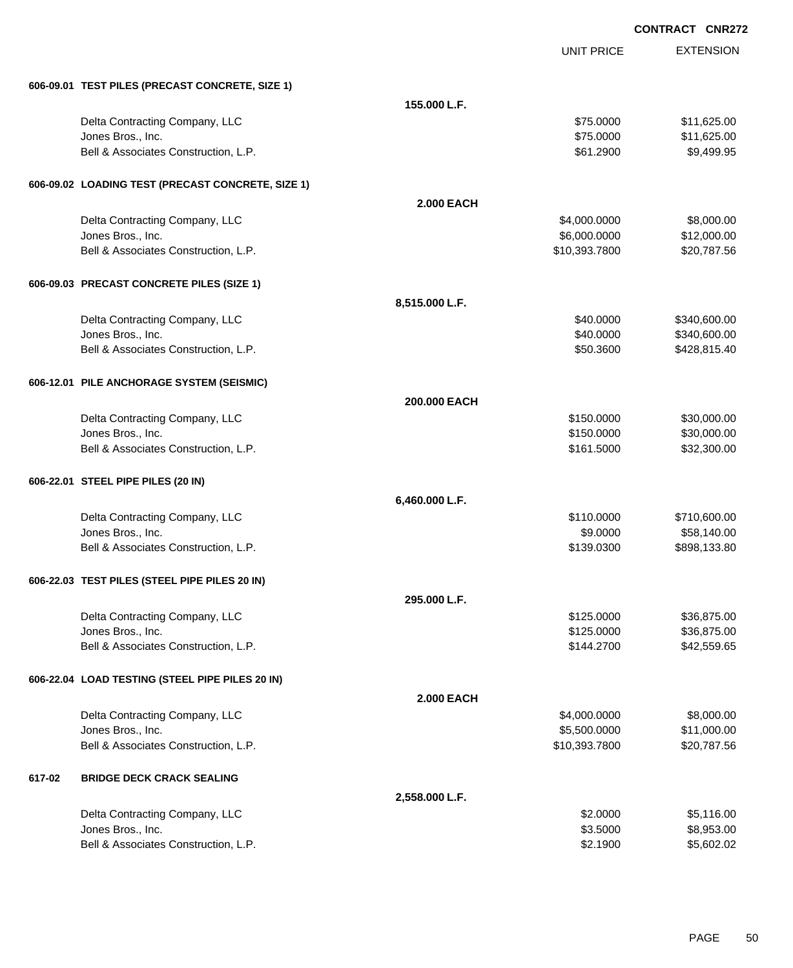|        |                                                   |                   |                   | <b>CONTRACT CNR272</b> |
|--------|---------------------------------------------------|-------------------|-------------------|------------------------|
|        |                                                   |                   | <b>UNIT PRICE</b> | <b>EXTENSION</b>       |
|        | 606-09.01 TEST PILES (PRECAST CONCRETE, SIZE 1)   |                   |                   |                        |
|        |                                                   | 155.000 L.F.      |                   |                        |
|        | Delta Contracting Company, LLC                    |                   | \$75.0000         | \$11,625.00            |
|        | Jones Bros., Inc.                                 |                   | \$75.0000         | \$11,625.00            |
|        | Bell & Associates Construction, L.P.              |                   | \$61.2900         | \$9,499.95             |
|        | 606-09.02 LOADING TEST (PRECAST CONCRETE, SIZE 1) |                   |                   |                        |
|        |                                                   | <b>2.000 EACH</b> |                   |                        |
|        | Delta Contracting Company, LLC                    |                   | \$4,000.0000      | \$8,000.00             |
|        | Jones Bros., Inc.                                 |                   | \$6,000.0000      | \$12,000.00            |
|        | Bell & Associates Construction, L.P.              |                   | \$10,393.7800     | \$20,787.56            |
|        | 606-09.03 PRECAST CONCRETE PILES (SIZE 1)         |                   |                   |                        |
|        |                                                   | 8,515.000 L.F.    |                   |                        |
|        | Delta Contracting Company, LLC                    |                   | \$40,0000         | \$340,600.00           |
|        | Jones Bros., Inc.                                 |                   | \$40.0000         | \$340,600.00           |
|        | Bell & Associates Construction, L.P.              |                   | \$50.3600         | \$428,815.40           |
|        | 606-12.01 PILE ANCHORAGE SYSTEM (SEISMIC)         |                   |                   |                        |
|        |                                                   | 200,000 EACH      |                   |                        |
|        | Delta Contracting Company, LLC                    |                   | \$150.0000        | \$30,000.00            |
|        | Jones Bros., Inc.                                 |                   | \$150.0000        | \$30,000.00            |
|        | Bell & Associates Construction, L.P.              |                   | \$161.5000        | \$32,300.00            |
|        | 606-22.01 STEEL PIPE PILES (20 IN)                |                   |                   |                        |
|        |                                                   | 6,460.000 L.F.    |                   |                        |
|        | Delta Contracting Company, LLC                    |                   | \$110.0000        | \$710,600.00           |
|        | Jones Bros., Inc.                                 |                   | \$9.0000          | \$58,140.00            |
|        | Bell & Associates Construction, L.P.              |                   | \$139.0300        | \$898,133.80           |
|        | 606-22.03 TEST PILES (STEEL PIPE PILES 20 IN)     |                   |                   |                        |
|        |                                                   | 295.000 L.F.      |                   |                        |
|        | Delta Contracting Company, LLC                    |                   | \$125.0000        | \$36,875.00            |
|        | Jones Bros., Inc.                                 |                   | \$125.0000        | \$36,875.00            |
|        | Bell & Associates Construction, L.P.              |                   | \$144.2700        | \$42,559.65            |
|        | 606-22.04 LOAD TESTING (STEEL PIPE PILES 20 IN)   |                   |                   |                        |
|        |                                                   | <b>2.000 EACH</b> |                   |                        |
|        | Delta Contracting Company, LLC                    |                   | \$4,000.0000      | \$8,000.00             |
|        | Jones Bros., Inc.                                 |                   | \$5,500.0000      | \$11,000.00            |
|        | Bell & Associates Construction, L.P.              |                   | \$10,393.7800     | \$20,787.56            |
| 617-02 | <b>BRIDGE DECK CRACK SEALING</b>                  |                   |                   |                        |
|        |                                                   | 2,558.000 L.F.    |                   |                        |

| Delta Contracting Company, LLC       | \$2,0000 | \$5,116.00 |
|--------------------------------------|----------|------------|
| Jones Bros Inc.                      | \$3,5000 | \$8,953,00 |
| Bell & Associates Construction, L.P. | \$2,1900 | \$5,602.02 |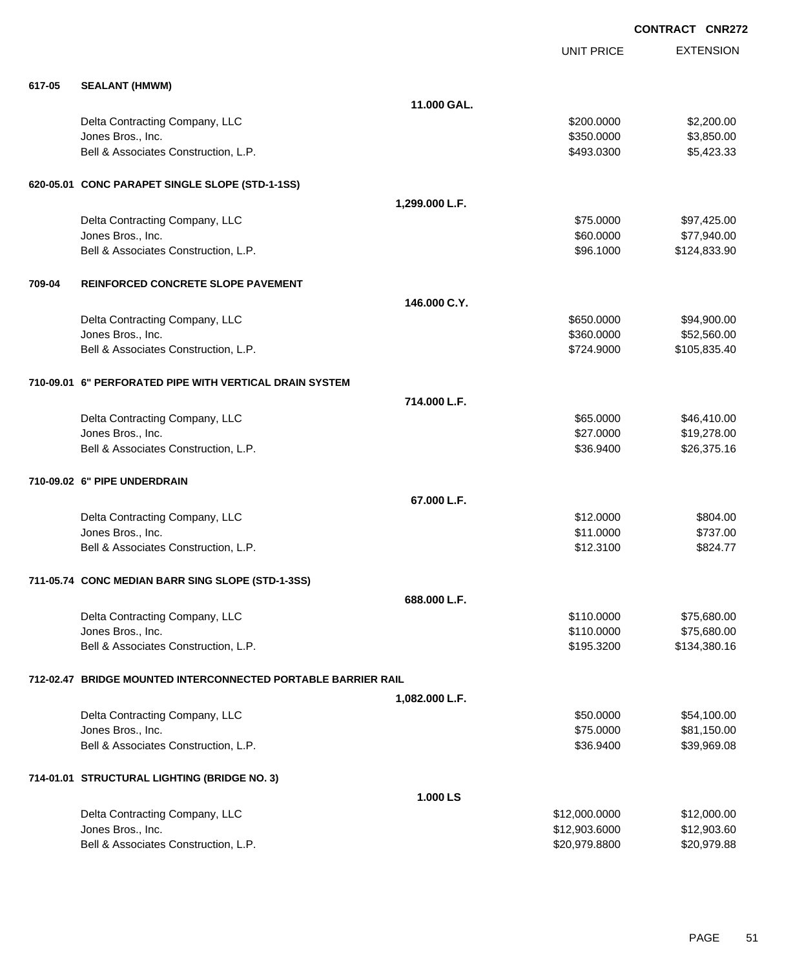**EXTENSION CONTRACT CNR272** UNIT PRICE **617-05 SEALANT (HMWM) 11.000 GAL.** Delta Contracting Company, LLC **1996 CONTRACTION \$200.0000** \$2,200.000 \$2,200.000 Jones Bros., Inc. \$350.0000 \$3,850.00 Bell & Associates Construction, L.P.  $$493.0300$   $$5,423.33$ **620-05.01 CONC PARAPET SINGLE SLOPE (STD-1-1SS) 1,299.000 L.F.** Delta Contracting Company, LLC \$75.0000 \$97,425.00 Jones Bros., Inc. \$60.0000 \$77,940.00 Bell & Associates Construction, L.P. \$96.1000 \$124,833.90 **709-04 REINFORCED CONCRETE SLOPE PAVEMENT 146.000 C.Y.** Delta Contracting Company, LLC **but a set of the set of the set of the set of the set of the set of the set of the set of the set of the set of the set of the set of the set of the set of the set of the set of the set of t** Jones Bros., Inc. \$360.0000 \$52,560.00 Bell & Associates Construction, L.P. \$724.9000 \$105,835.40 **710-09.01 6" PERFORATED PIPE WITH VERTICAL DRAIN SYSTEM 714.000 L.F.** Delta Contracting Company, LLC **1996 CONTRACTION \$46,410.00** \$46,410.00 Jones Bros., Inc. \$27.0000 \$19,278.00 Bell & Associates Construction, L.P. \$36.9400 \$26,375.16 **710-09.02 6" PIPE UNDERDRAIN 67.000 L.F.** Delta Contracting Company, LLC 6804.00 Jones Bros., Inc. \$11.0000 \$737.00 Bell & Associates Construction, L.P.  $$824.77$ **711-05.74 CONC MEDIAN BARR SING SLOPE (STD-1-3SS) 688.000 L.F.** Delta Contracting Company, LLC \$110.0000 \$75,680.00 Jones Bros., Inc. \$110.0000 \$75,680.00 Bell & Associates Construction, L.P. 6. 2010 6. 2010 6. 2010 6. 3195.3200 \$134,380.16 **712-02.47 BRIDGE MOUNTED INTERCONNECTED PORTABLE BARRIER RAIL 1,082.000 L.F.** Delta Contracting Company, LLC **but a set of the set of the set of the set of the set of the set of the set of the set of the set of the set of the set of the set of the set of the set of the set of the set of the set of t** Jones Bros., Inc. \$75.0000 \$81,150.00 Bell & Associates Construction, L.P. \$39,969.08 \$39,969.08 \$36.9400 \$39,969.08 **714-01.01 STRUCTURAL LIGHTING (BRIDGE NO. 3) 1.000 LS**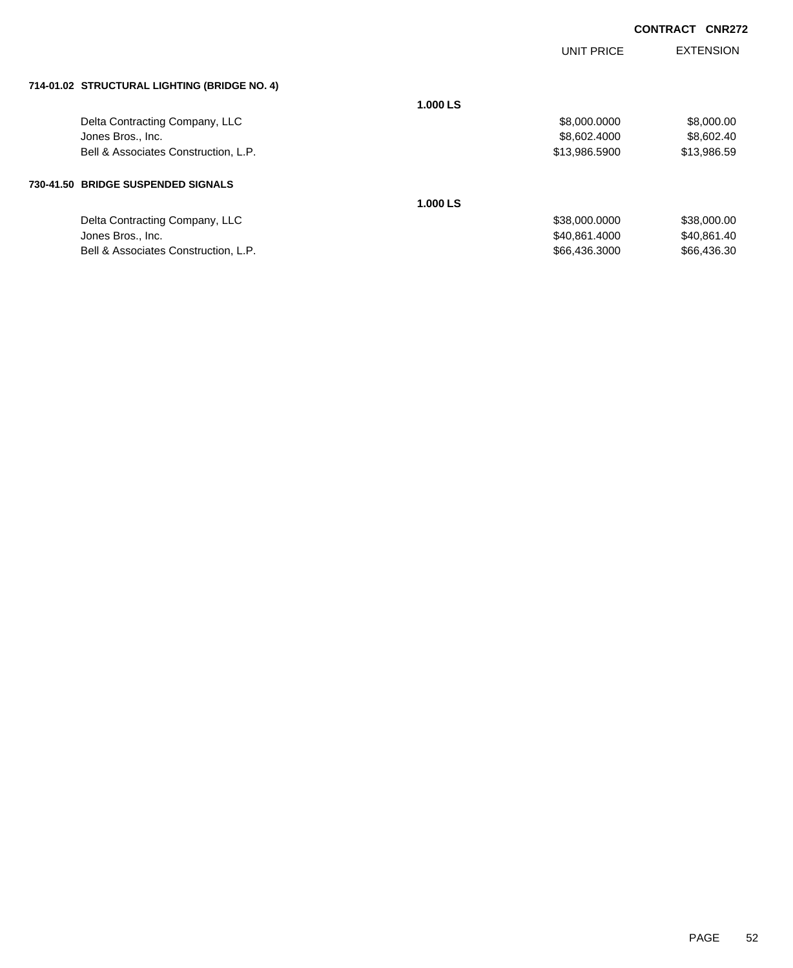|                                              |          | UNIT PRICE    | <b>EXTENSION</b> |
|----------------------------------------------|----------|---------------|------------------|
| 714-01.02 STRUCTURAL LIGHTING (BRIDGE NO. 4) |          |               |                  |
|                                              | 1.000 LS |               |                  |
| Delta Contracting Company, LLC               |          | \$8,000.0000  | \$8,000.00       |
| Jones Bros., Inc.                            |          | \$8,602.4000  | \$8,602.40       |
| Bell & Associates Construction, L.P.         |          | \$13,986.5900 | \$13,986.59      |
| 730-41.50 BRIDGE SUSPENDED SIGNALS           |          |               |                  |
|                                              | 1.000 LS |               |                  |
| Delta Contracting Company, LLC               |          | \$38,000.0000 | \$38,000.00      |
| Jones Bros., Inc.                            |          | \$40,861.4000 | \$40,861.40      |
| Bell & Associates Construction, L.P.         |          | \$66,436,3000 | \$66,436,30      |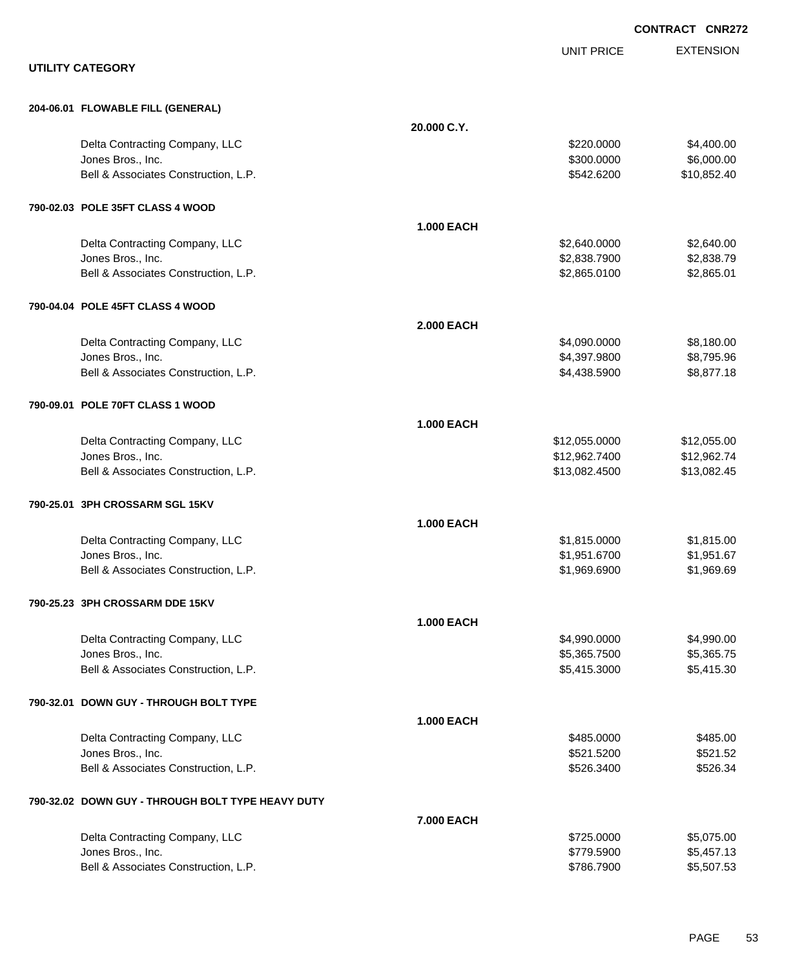|                                                   |                   |                   | <b>CONTRACT CNR27</b> |
|---------------------------------------------------|-------------------|-------------------|-----------------------|
|                                                   |                   | <b>UNIT PRICE</b> | <b>EXTENSION</b>      |
| <b>UTILITY CATEGORY</b>                           |                   |                   |                       |
| 204-06.01 FLOWABLE FILL (GENERAL)                 |                   |                   |                       |
|                                                   | 20.000 C.Y.       |                   |                       |
| Delta Contracting Company, LLC                    |                   | \$220.0000        | \$4,400.00            |
| Jones Bros., Inc.                                 |                   | \$300.0000        | \$6,000.00            |
| Bell & Associates Construction, L.P.              |                   | \$542.6200        | \$10,852.40           |
| 790-02.03 POLE 35FT CLASS 4 WOOD                  |                   |                   |                       |
|                                                   | <b>1.000 EACH</b> |                   |                       |
| Delta Contracting Company, LLC                    |                   | \$2,640.0000      | \$2,640.00            |
| Jones Bros., Inc.                                 |                   | \$2,838.7900      | \$2,838.79            |
| Bell & Associates Construction, L.P.              |                   | \$2,865.0100      | \$2,865.01            |
| 790-04.04 POLE 45FT CLASS 4 WOOD                  |                   |                   |                       |
|                                                   | <b>2.000 EACH</b> |                   |                       |
| Delta Contracting Company, LLC                    |                   | \$4,090.0000      | \$8,180.00            |
| Jones Bros., Inc.                                 |                   | \$4,397.9800      | \$8,795.96            |
| Bell & Associates Construction, L.P.              |                   | \$4,438.5900      | \$8,877.18            |
| 790-09.01 POLE 70FT CLASS 1 WOOD                  |                   |                   |                       |
|                                                   | <b>1.000 EACH</b> |                   |                       |
| Delta Contracting Company, LLC                    |                   | \$12,055.0000     | \$12,055.00           |
| Jones Bros., Inc.                                 |                   | \$12,962.7400     | \$12,962.74           |
| Bell & Associates Construction, L.P.              |                   | \$13,082.4500     | \$13,082.45           |
| 790-25.01 3PH CROSSARM SGL 15KV                   |                   |                   |                       |
|                                                   | <b>1.000 EACH</b> |                   |                       |
| Delta Contracting Company, LLC                    |                   | \$1,815.0000      | \$1,815.00            |
| Jones Bros., Inc.                                 |                   | \$1,951.6700      | \$1,951.67            |
| Bell & Associates Construction, L.P.              |                   | \$1,969.6900      | \$1,969.69            |
| 790-25.23 3PH CROSSARM DDE 15KV                   |                   |                   |                       |
|                                                   | <b>1.000 EACH</b> |                   |                       |
| Delta Contracting Company, LLC                    |                   | \$4,990.0000      | \$4,990.00            |
| Jones Bros., Inc.                                 |                   | \$5,365.7500      | \$5,365.75            |
| Bell & Associates Construction, L.P.              |                   | \$5,415.3000      | \$5,415.30            |
| 790-32.01 DOWN GUY - THROUGH BOLT TYPE            |                   |                   |                       |
|                                                   | <b>1.000 EACH</b> |                   |                       |
| Delta Contracting Company, LLC                    |                   | \$485.0000        | \$485.00              |
| Jones Bros., Inc.                                 |                   | \$521.5200        | \$521.52              |
| Bell & Associates Construction, L.P.              |                   | \$526.3400        | \$526.34              |
| 790-32.02 DOWN GUY - THROUGH BOLT TYPE HEAVY DUTY |                   |                   |                       |
|                                                   | 7.000 EACH        |                   |                       |
| Delta Contracting Company, LLC                    |                   | \$725.0000        | \$5,075.00            |
| Jones Bros., Inc.                                 |                   | \$779.5900        | \$5,457.13            |
| Bell & Associates Construction, L.P.              |                   | \$786.7900        | \$5,507.53            |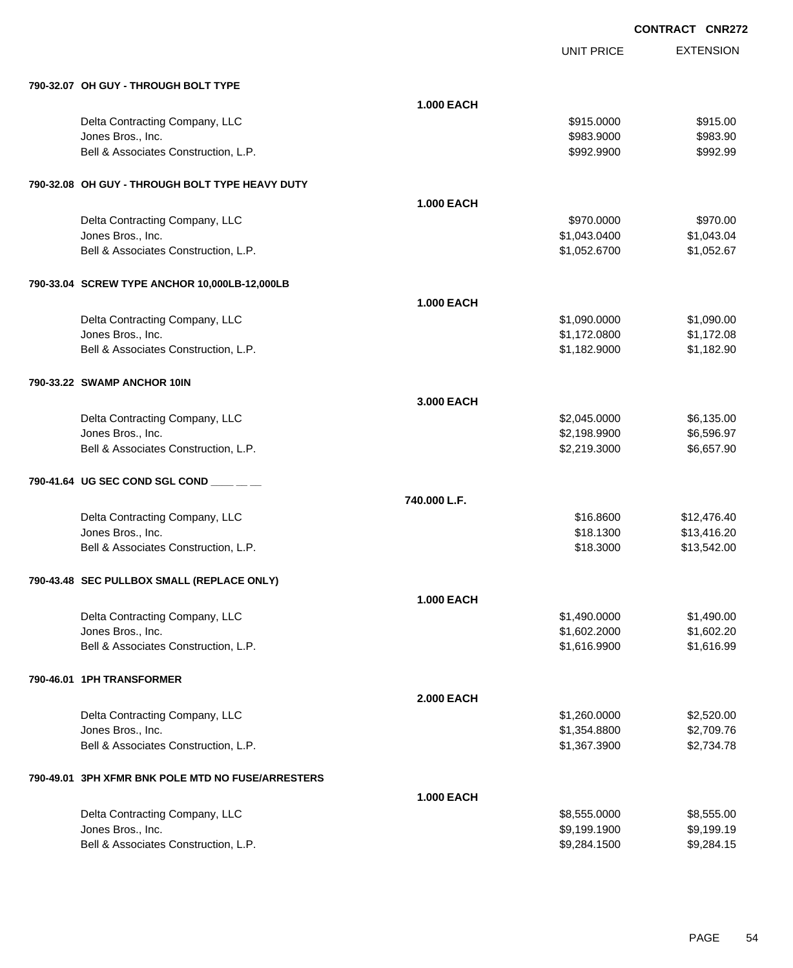| 790-32.07 OH GUY - THROUGH BOLT TYPE |  |  |  |
|--------------------------------------|--|--|--|
|                                      |  |  |  |

| 790-32.07 OH GUY - THROUGH BOLT TYPE                      |                   |              |             |
|-----------------------------------------------------------|-------------------|--------------|-------------|
|                                                           | <b>1.000 EACH</b> |              |             |
| Delta Contracting Company, LLC                            |                   | \$915.0000   | \$915.00    |
| Jones Bros., Inc.                                         |                   | \$983.9000   | \$983.90    |
| Bell & Associates Construction, L.P.                      |                   | \$992.9900   | \$992.99    |
|                                                           |                   |              |             |
| 790-32.08 OH GUY - THROUGH BOLT TYPE HEAVY DUTY           |                   |              |             |
|                                                           | <b>1.000 EACH</b> |              |             |
| Delta Contracting Company, LLC                            |                   | \$970.0000   | \$970.00    |
| Jones Bros., Inc.                                         |                   | \$1,043.0400 | \$1,043.04  |
| Bell & Associates Construction, L.P.                      |                   | \$1,052.6700 | \$1,052.67  |
| 790-33.04 SCREW TYPE ANCHOR 10,000LB-12,000LB             |                   |              |             |
|                                                           | <b>1.000 EACH</b> |              |             |
|                                                           |                   | \$1,090.0000 |             |
| Delta Contracting Company, LLC                            |                   | \$1,172.0800 | \$1,090.00  |
| Jones Bros., Inc.<br>Bell & Associates Construction, L.P. |                   |              | \$1,172.08  |
|                                                           |                   | \$1,182.9000 | \$1,182.90  |
| 790-33.22 SWAMP ANCHOR 10IN                               |                   |              |             |
|                                                           | 3.000 EACH        |              |             |
| Delta Contracting Company, LLC                            |                   | \$2,045.0000 | \$6,135.00  |
| Jones Bros., Inc.                                         |                   | \$2,198.9900 | \$6,596.97  |
| Bell & Associates Construction, L.P.                      |                   | \$2,219.3000 | \$6,657.90  |
| 790-41.64 UG SEC COND SGL COND _                          |                   |              |             |
|                                                           | 740.000 L.F.      |              |             |
| Delta Contracting Company, LLC                            |                   | \$16.8600    | \$12,476.40 |
| Jones Bros., Inc.                                         |                   | \$18.1300    | \$13,416.20 |
| Bell & Associates Construction, L.P.                      |                   | \$18.3000    | \$13,542.00 |
| 790-43.48 SEC PULLBOX SMALL (REPLACE ONLY)                |                   |              |             |
|                                                           |                   |              |             |
|                                                           | <b>1.000 EACH</b> |              |             |
| Delta Contracting Company, LLC                            |                   | \$1,490.0000 | \$1,490.00  |
| Jones Bros., Inc.                                         |                   | \$1,602.2000 | \$1,602.20  |
| Bell & Associates Construction, L.P.                      |                   | \$1,616.9900 | \$1,616.99  |
| 790-46.01 1PH TRANSFORMER                                 |                   |              |             |
|                                                           | <b>2.000 EACH</b> |              |             |
| Delta Contracting Company, LLC                            |                   | \$1,260.0000 | \$2,520.00  |
| Jones Bros., Inc.                                         |                   | \$1,354.8800 | \$2,709.76  |
| Bell & Associates Construction, L.P.                      |                   | \$1,367.3900 | \$2,734.78  |
| 790-49.01 3PH XFMR BNK POLE MTD NO FUSE/ARRESTERS         |                   |              |             |
|                                                           | <b>1.000 EACH</b> |              |             |
| Delta Contracting Company, LLC                            |                   | \$8,555.0000 | \$8,555.00  |
| Jones Bros., Inc.                                         |                   | \$9,199.1900 | \$9,199.19  |
| Bell & Associates Construction, L.P.                      |                   | \$9,284.1500 | \$9,284.15  |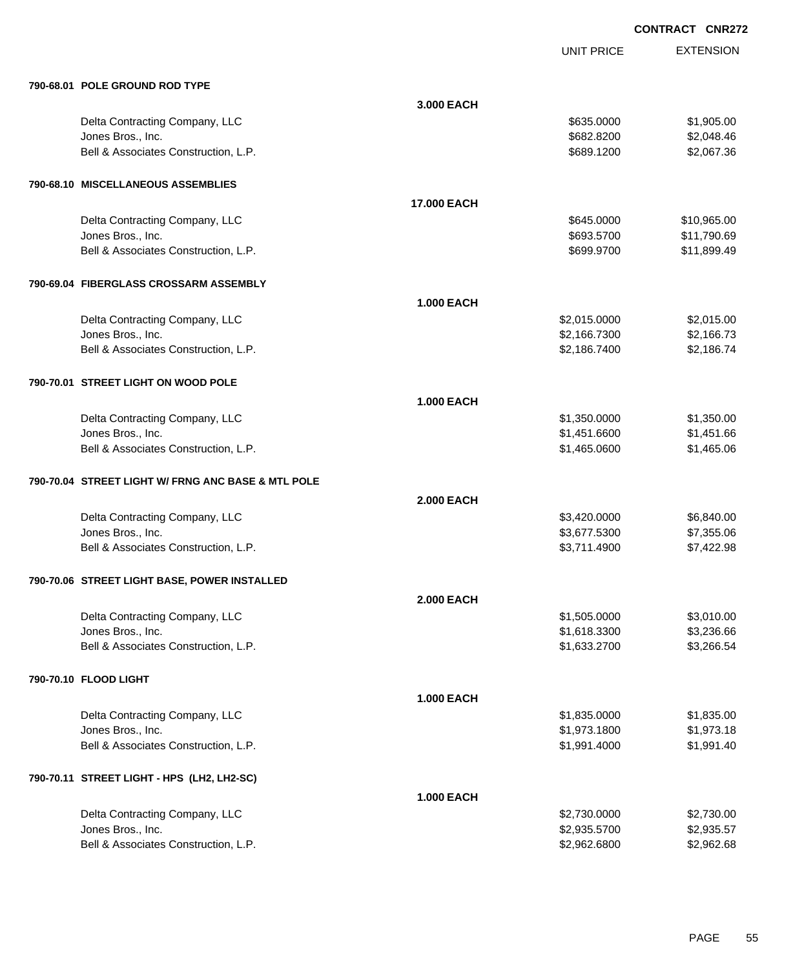| 790-68.01 POLE GROUND ROD TYPE                     |                   |              |             |
|----------------------------------------------------|-------------------|--------------|-------------|
|                                                    | 3.000 EACH        |              |             |
| Delta Contracting Company, LLC                     |                   | \$635.0000   | \$1,905.00  |
| Jones Bros., Inc.                                  |                   | \$682.8200   | \$2,048.46  |
| Bell & Associates Construction, L.P.               |                   | \$689.1200   | \$2,067.36  |
| 790-68.10 MISCELLANEOUS ASSEMBLIES                 |                   |              |             |
|                                                    | 17.000 EACH       |              |             |
| Delta Contracting Company, LLC                     |                   | \$645.0000   | \$10,965.00 |
| Jones Bros., Inc.                                  |                   | \$693.5700   | \$11,790.69 |
| Bell & Associates Construction, L.P.               |                   | \$699.9700   | \$11,899.49 |
| 790-69.04 FIBERGLASS CROSSARM ASSEMBLY             |                   |              |             |
|                                                    | <b>1.000 EACH</b> |              |             |
| Delta Contracting Company, LLC                     |                   | \$2,015.0000 | \$2,015.00  |
| Jones Bros., Inc.                                  |                   | \$2,166.7300 | \$2,166.73  |
| Bell & Associates Construction, L.P.               |                   | \$2,186.7400 | \$2,186.74  |
| 790-70.01 STREET LIGHT ON WOOD POLE                |                   |              |             |
|                                                    | <b>1.000 EACH</b> |              |             |
| Delta Contracting Company, LLC                     |                   | \$1,350.0000 | \$1,350.00  |
| Jones Bros., Inc.                                  |                   | \$1,451.6600 | \$1,451.66  |
| Bell & Associates Construction, L.P.               |                   | \$1,465.0600 | \$1,465.06  |
| 790-70.04 STREET LIGHT W/ FRNG ANC BASE & MTL POLE |                   |              |             |
|                                                    | <b>2.000 EACH</b> |              |             |
| Delta Contracting Company, LLC                     |                   | \$3,420.0000 | \$6,840.00  |
| Jones Bros., Inc.                                  |                   | \$3,677.5300 | \$7,355.06  |
| Bell & Associates Construction, L.P.               |                   | \$3,711.4900 | \$7,422.98  |
| 790-70.06 STREET LIGHT BASE, POWER INSTALLED       |                   |              |             |
|                                                    | <b>2.000 EACH</b> |              |             |
| Delta Contracting Company, LLC                     |                   | \$1,505.0000 | \$3,010.00  |
| Jones Bros., Inc.                                  |                   | \$1,618.3300 | \$3,236.66  |
| Bell & Associates Construction, L.P.               |                   | \$1,633.2700 | \$3,266.54  |
| 790-70.10 FLOOD LIGHT                              |                   |              |             |
|                                                    | <b>1.000 EACH</b> |              |             |
| Delta Contracting Company, LLC                     |                   | \$1,835.0000 | \$1,835.00  |
| Jones Bros., Inc.                                  |                   | \$1,973.1800 | \$1,973.18  |
| Bell & Associates Construction, L.P.               |                   | \$1,991.4000 | \$1,991.40  |
| 790-70.11 STREET LIGHT - HPS (LH2, LH2-SC)         |                   |              |             |
|                                                    | <b>1.000 EACH</b> |              |             |
| Delta Contracting Company, LLC                     |                   | \$2,730.0000 | \$2,730.00  |
| Jones Bros., Inc.                                  |                   | \$2,935.5700 | \$2,935.57  |
| Bell & Associates Construction, L.P.               |                   | \$2,962.6800 | \$2,962.68  |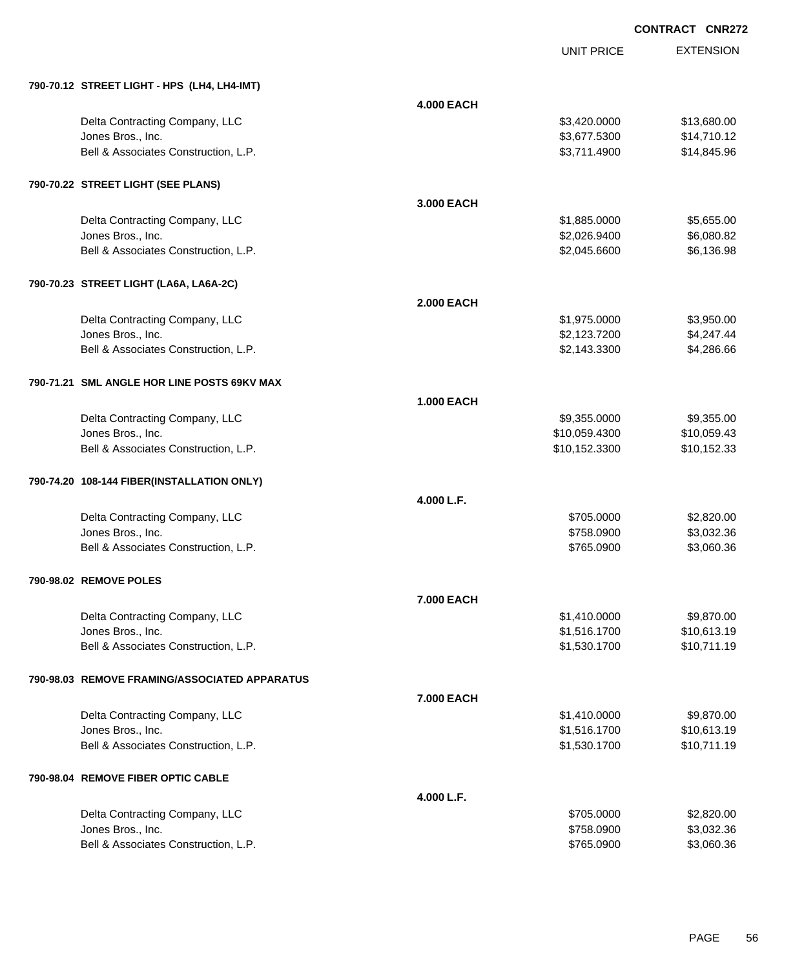EXTENSION **CONTRACT CNR272**

UNIT PRICE

| 790-70.12 STREET LIGHT - HPS (LH4, LH4-IMT)   |                   |               |             |
|-----------------------------------------------|-------------------|---------------|-------------|
|                                               | <b>4.000 EACH</b> |               |             |
| Delta Contracting Company, LLC                |                   | \$3,420.0000  | \$13,680.00 |
| Jones Bros., Inc.                             |                   | \$3,677.5300  | \$14,710.12 |
| Bell & Associates Construction, L.P.          |                   | \$3,711.4900  | \$14,845.96 |
| 790-70.22 STREET LIGHT (SEE PLANS)            |                   |               |             |
|                                               | 3.000 EACH        |               |             |
| Delta Contracting Company, LLC                |                   | \$1,885.0000  | \$5,655.00  |
| Jones Bros., Inc.                             |                   | \$2,026.9400  | \$6,080.82  |
| Bell & Associates Construction, L.P.          |                   | \$2,045.6600  | \$6,136.98  |
| 790-70.23 STREET LIGHT (LA6A, LA6A-2C)        |                   |               |             |
|                                               | <b>2.000 EACH</b> |               |             |
| Delta Contracting Company, LLC                |                   | \$1,975.0000  | \$3,950.00  |
| Jones Bros., Inc.                             |                   | \$2,123.7200  | \$4,247.44  |
| Bell & Associates Construction, L.P.          |                   | \$2,143.3300  | \$4,286.66  |
| 790-71.21 SML ANGLE HOR LINE POSTS 69KV MAX   |                   |               |             |
|                                               | <b>1.000 EACH</b> |               |             |
| Delta Contracting Company, LLC                |                   | \$9,355.0000  | \$9,355.00  |
| Jones Bros., Inc.                             |                   | \$10,059.4300 | \$10,059.43 |
| Bell & Associates Construction, L.P.          |                   | \$10,152.3300 | \$10,152.33 |
| 790-74.20 108-144 FIBER(INSTALLATION ONLY)    |                   |               |             |
|                                               | 4.000 L.F.        |               |             |
| Delta Contracting Company, LLC                |                   | \$705.0000    | \$2,820.00  |
| Jones Bros., Inc.                             |                   | \$758.0900    | \$3,032.36  |
| Bell & Associates Construction, L.P.          |                   | \$765.0900    | \$3,060.36  |
| 790-98.02 REMOVE POLES                        |                   |               |             |
|                                               | <b>7.000 EACH</b> |               |             |
| Delta Contracting Company, LLC                |                   | \$1,410,0000  | \$9,870.00  |
| Jones Bros., Inc.                             |                   | \$1,516.1700  | \$10,613.19 |
| Bell & Associates Construction, L.P.          |                   | \$1,530.1700  | \$10,711.19 |
| 790-98.03 REMOVE FRAMING/ASSOCIATED APPARATUS |                   |               |             |
|                                               | 7.000 EACH        |               |             |
| Delta Contracting Company, LLC                |                   | \$1,410.0000  | \$9,870.00  |
| Jones Bros., Inc.                             |                   | \$1,516.1700  | \$10,613.19 |
| Bell & Associates Construction, L.P.          |                   | \$1,530.1700  | \$10,711.19 |
| 790-98.04 REMOVE FIBER OPTIC CABLE            |                   |               |             |
|                                               | 4.000 L.F.        |               |             |
| Delta Contracting Company, LLC                |                   | \$705.0000    | \$2,820.00  |
| Jones Bros., Inc.                             |                   | \$758.0900    | \$3,032.36  |
| Bell & Associates Construction, L.P.          |                   | \$765.0900    | \$3,060.36  |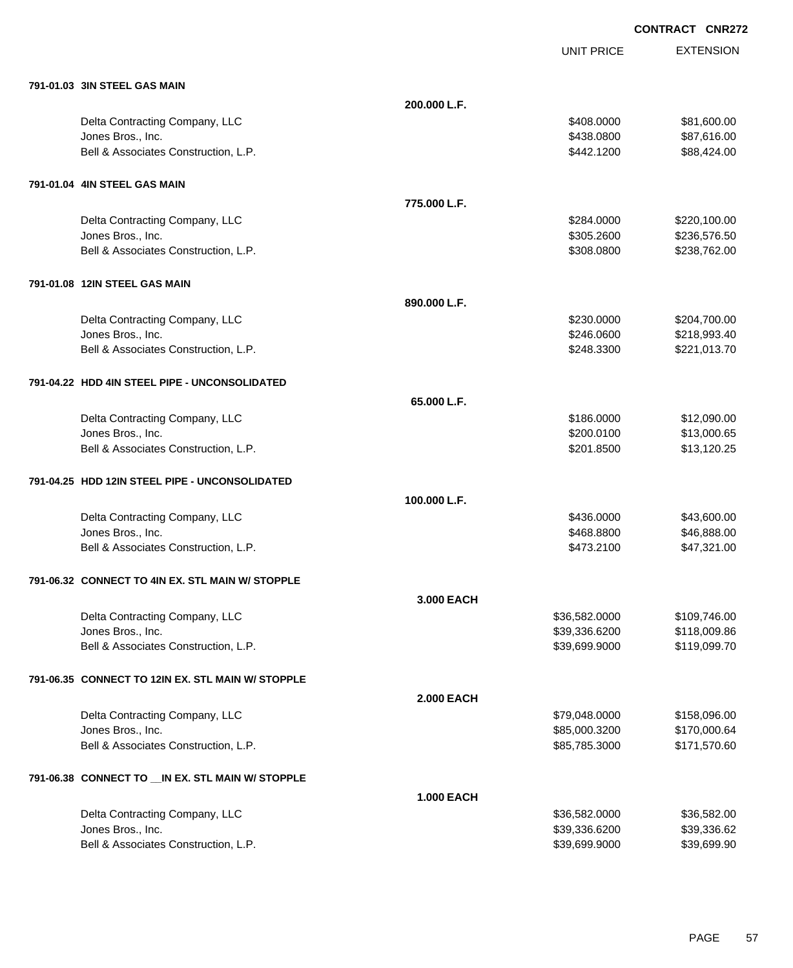| 791-01.03 3IN STEEL GAS MAIN                       |                   |               |              |
|----------------------------------------------------|-------------------|---------------|--------------|
|                                                    | 200.000 L.F.      |               |              |
| Delta Contracting Company, LLC                     |                   | \$408.0000    | \$81,600.00  |
| Jones Bros., Inc.                                  |                   | \$438.0800    | \$87,616.00  |
| Bell & Associates Construction, L.P.               |                   | \$442.1200    | \$88,424.00  |
| 791-01.04 4IN STEEL GAS MAIN                       |                   |               |              |
|                                                    | 775,000 L.F.      |               |              |
| Delta Contracting Company, LLC                     |                   | \$284.0000    | \$220,100.00 |
| Jones Bros., Inc.                                  |                   | \$305.2600    | \$236,576.50 |
| Bell & Associates Construction, L.P.               |                   | \$308.0800    | \$238,762.00 |
| 791-01.08 12IN STEEL GAS MAIN                      |                   |               |              |
|                                                    | 890.000 L.F.      |               |              |
| Delta Contracting Company, LLC                     |                   | \$230.0000    | \$204,700.00 |
| Jones Bros., Inc.                                  |                   | \$246.0600    | \$218,993.40 |
| Bell & Associates Construction, L.P.               |                   | \$248.3300    | \$221,013.70 |
| 791-04.22 HDD 4IN STEEL PIPE - UNCONSOLIDATED      |                   |               |              |
|                                                    | 65.000 L.F.       |               |              |
| Delta Contracting Company, LLC                     |                   | \$186.0000    | \$12,090.00  |
| Jones Bros., Inc.                                  |                   | \$200.0100    | \$13,000.65  |
| Bell & Associates Construction, L.P.               |                   | \$201.8500    | \$13,120.25  |
| 791-04.25 HDD 12IN STEEL PIPE - UNCONSOLIDATED     |                   |               |              |
|                                                    | 100.000 L.F.      |               |              |
| Delta Contracting Company, LLC                     |                   | \$436.0000    | \$43,600.00  |
| Jones Bros., Inc.                                  |                   | \$468.8800    | \$46,888.00  |
| Bell & Associates Construction, L.P.               |                   | \$473.2100    | \$47,321.00  |
| 791-06.32 CONNECT TO 4IN EX. STL MAIN W/ STOPPLE   |                   |               |              |
|                                                    | 3.000 EACH        |               |              |
| Delta Contracting Company, LLC                     |                   | \$36,582.0000 | \$109,746.00 |
| Jones Bros., Inc.                                  |                   | \$39,336.6200 | \$118,009.86 |
| Bell & Associates Construction, L.P.               |                   | \$39,699.9000 | \$119,099.70 |
| 791-06.35 CONNECT TO 12IN EX. STL MAIN W/ STOPPLE  |                   |               |              |
|                                                    | <b>2.000 EACH</b> |               |              |
| Delta Contracting Company, LLC                     |                   | \$79,048.0000 | \$158,096.00 |
| Jones Bros., Inc.                                  |                   | \$85,000.3200 | \$170,000.64 |
| Bell & Associates Construction, L.P.               |                   | \$85,785.3000 | \$171,570.60 |
| 791-06.38 CONNECT TO __ IN EX. STL MAIN W/ STOPPLE |                   |               |              |
|                                                    | <b>1.000 EACH</b> |               |              |
| Delta Contracting Company, LLC                     |                   | \$36,582.0000 | \$36,582.00  |
| Jones Bros., Inc.                                  |                   | \$39,336.6200 | \$39,336.62  |
| Bell & Associates Construction, L.P.               |                   | \$39,699.9000 | \$39,699.90  |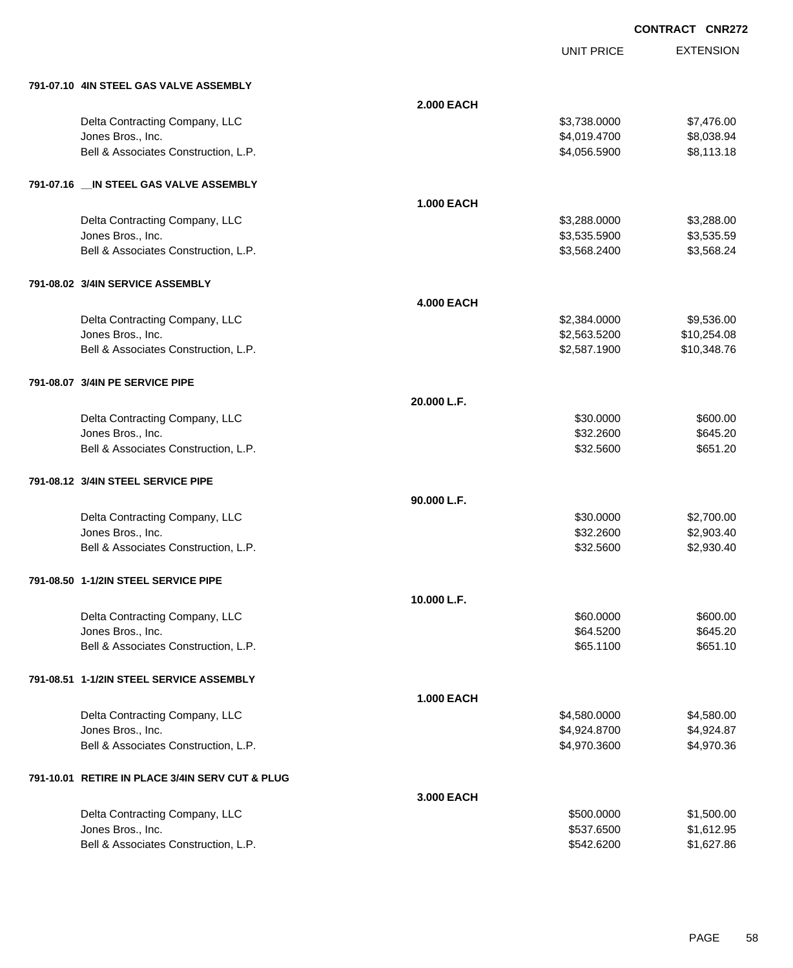| 791-07.10 4IN STEEL GAS VALVE ASSEMBLY          |                   |              |             |
|-------------------------------------------------|-------------------|--------------|-------------|
|                                                 | <b>2.000 EACH</b> |              |             |
| Delta Contracting Company, LLC                  |                   | \$3,738.0000 | \$7,476.00  |
| Jones Bros., Inc.                               |                   | \$4,019.4700 | \$8,038.94  |
| Bell & Associates Construction, L.P.            |                   | \$4,056.5900 | \$8,113.18  |
| 791-07.16 __ IN STEEL GAS VALVE ASSEMBLY        |                   |              |             |
|                                                 | <b>1.000 EACH</b> |              |             |
| Delta Contracting Company, LLC                  |                   | \$3,288.0000 | \$3,288.00  |
| Jones Bros., Inc.                               |                   | \$3,535.5900 | \$3,535.59  |
| Bell & Associates Construction, L.P.            |                   | \$3,568.2400 | \$3,568.24  |
| 791-08.02 3/4IN SERVICE ASSEMBLY                |                   |              |             |
|                                                 | <b>4.000 EACH</b> |              |             |
| Delta Contracting Company, LLC                  |                   | \$2,384.0000 | \$9,536.00  |
| Jones Bros., Inc.                               |                   | \$2,563.5200 | \$10,254.08 |
| Bell & Associates Construction, L.P.            |                   | \$2,587.1900 | \$10,348.76 |
| 791-08.07 3/4IN PE SERVICE PIPE                 |                   |              |             |
|                                                 | 20.000 L.F.       |              |             |
| Delta Contracting Company, LLC                  |                   | \$30.0000    | \$600.00    |
| Jones Bros., Inc.                               |                   | \$32.2600    | \$645.20    |
| Bell & Associates Construction, L.P.            |                   | \$32.5600    | \$651.20    |
| 791-08.12 3/4IN STEEL SERVICE PIPE              |                   |              |             |
|                                                 | 90.000 L.F.       |              |             |
| Delta Contracting Company, LLC                  |                   | \$30.0000    | \$2,700.00  |
| Jones Bros., Inc.                               |                   | \$32.2600    | \$2,903.40  |
| Bell & Associates Construction, L.P.            |                   | \$32.5600    | \$2,930.40  |
| 791-08.50 1-1/2IN STEEL SERVICE PIPE            |                   |              |             |
|                                                 | 10.000 L.F.       |              |             |
| Delta Contracting Company, LLC                  |                   | \$60.0000    | \$600.00    |
| Jones Bros., Inc.                               |                   | \$64.5200    | \$645.20    |
| Bell & Associates Construction, L.P.            |                   | \$65.1100    | \$651.10    |
| 791-08.51 1-1/2IN STEEL SERVICE ASSEMBLY        |                   |              |             |
|                                                 | <b>1.000 EACH</b> |              |             |
| Delta Contracting Company, LLC                  |                   | \$4,580.0000 | \$4,580.00  |
| Jones Bros., Inc.                               |                   | \$4,924.8700 | \$4,924.87  |
| Bell & Associates Construction, L.P.            |                   | \$4,970.3600 | \$4,970.36  |
| 791-10.01 RETIRE IN PLACE 3/4IN SERV CUT & PLUG |                   |              |             |
|                                                 | 3.000 EACH        |              |             |
| Delta Contracting Company, LLC                  |                   | \$500.0000   | \$1,500.00  |
| Jones Bros., Inc.                               |                   | \$537.6500   | \$1,612.95  |
| Bell & Associates Construction, L.P.            |                   | \$542.6200   | \$1,627.86  |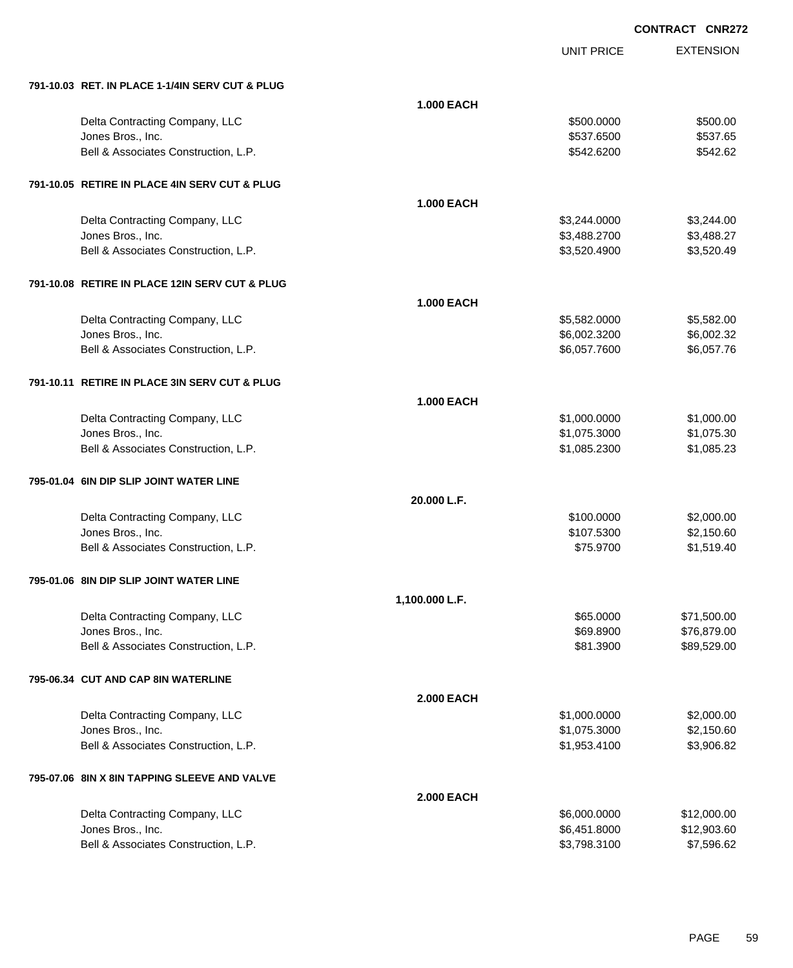UNIT PRICE

EXTENSION

| 791-10.03 RET. IN PLACE 1-1/4IN SERV CUT & PLUG           |                   |                              |                            |
|-----------------------------------------------------------|-------------------|------------------------------|----------------------------|
|                                                           | <b>1.000 EACH</b> |                              |                            |
| Delta Contracting Company, LLC                            |                   | \$500.0000                   | \$500.00                   |
| Jones Bros., Inc.                                         |                   | \$537.6500                   | \$537.65                   |
| Bell & Associates Construction, L.P.                      |                   | \$542.6200                   | \$542.62                   |
|                                                           |                   |                              |                            |
| 791-10.05 RETIRE IN PLACE 4IN SERV CUT & PLUG             |                   |                              |                            |
|                                                           | <b>1.000 EACH</b> |                              |                            |
| Delta Contracting Company, LLC                            |                   | \$3,244.0000                 | \$3,244.00                 |
| Jones Bros., Inc.                                         |                   | \$3,488.2700                 | \$3,488.27                 |
| Bell & Associates Construction, L.P.                      |                   | \$3,520.4900                 | \$3,520.49                 |
|                                                           |                   |                              |                            |
| 791-10.08 RETIRE IN PLACE 12IN SERV CUT & PLUG            |                   |                              |                            |
|                                                           | <b>1.000 EACH</b> |                              |                            |
|                                                           |                   |                              |                            |
| Delta Contracting Company, LLC<br>Jones Bros., Inc.       |                   | \$5,582.0000<br>\$6,002.3200 | \$5,582.00<br>\$6,002.32   |
| Bell & Associates Construction, L.P.                      |                   | \$6,057.7600                 | \$6,057.76                 |
|                                                           |                   |                              |                            |
| 791-10.11 RETIRE IN PLACE 3IN SERV CUT & PLUG             |                   |                              |                            |
|                                                           |                   |                              |                            |
|                                                           | <b>1.000 EACH</b> |                              |                            |
| Delta Contracting Company, LLC                            |                   | \$1,000.0000                 | \$1,000.00                 |
| Jones Bros., Inc.                                         |                   | \$1,075.3000                 | \$1,075.30                 |
| Bell & Associates Construction, L.P.                      |                   | \$1,085.2300                 | \$1,085.23                 |
| 795-01.04 6IN DIP SLIP JOINT WATER LINE                   |                   |                              |                            |
|                                                           |                   |                              |                            |
|                                                           | 20.000 L.F.       |                              |                            |
| Delta Contracting Company, LLC                            |                   | \$100.0000                   | \$2,000.00                 |
| Jones Bros., Inc.<br>Bell & Associates Construction, L.P. |                   | \$107.5300<br>\$75.9700      | \$2,150.60<br>\$1,519.40   |
|                                                           |                   |                              |                            |
| 795-01.06 8IN DIP SLIP JOINT WATER LINE                   |                   |                              |                            |
|                                                           | 1,100.000 L.F.    |                              |                            |
|                                                           |                   | \$65,0000                    |                            |
| Delta Contracting Company, LLC<br>Jones Bros., Inc.       |                   | \$69.8900                    | \$71,500.00<br>\$76,879.00 |
| Bell & Associates Construction, L.P.                      |                   | \$81.3900                    | \$89,529.00                |
|                                                           |                   |                              |                            |
| 795-06.34 CUT AND CAP 8IN WATERLINE                       |                   |                              |                            |
|                                                           | <b>2.000 EACH</b> |                              |                            |
|                                                           |                   | \$1,000.0000                 | \$2,000.00                 |
| Delta Contracting Company, LLC<br>Jones Bros., Inc.       |                   | \$1,075.3000                 | \$2,150.60                 |
| Bell & Associates Construction, L.P.                      |                   | \$1,953.4100                 | \$3,906.82                 |
|                                                           |                   |                              |                            |
| 795-07.06 8IN X 8IN TAPPING SLEEVE AND VALVE              |                   |                              |                            |
|                                                           | <b>2.000 EACH</b> |                              |                            |
| Delta Contracting Company, LLC                            |                   | \$6,000.0000                 | \$12,000.00                |
| Jones Bros., Inc.                                         |                   | \$6,451.8000                 | \$12,903.60                |
| Bell & Associates Construction, L.P.                      |                   | \$3,798.3100                 | \$7,596.62                 |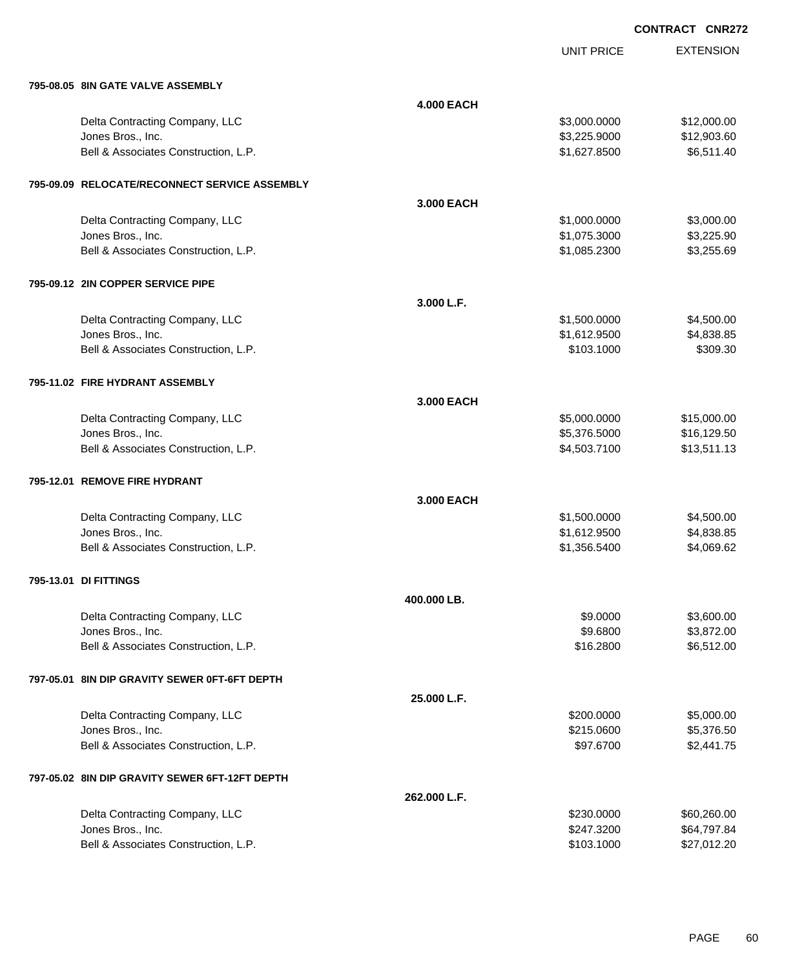UNIT PRICE

EXTENSION

| 795-08.05 8IN GATE VALVE ASSEMBLY              |                   |              |             |
|------------------------------------------------|-------------------|--------------|-------------|
|                                                | <b>4.000 EACH</b> |              |             |
| Delta Contracting Company, LLC                 |                   | \$3,000.0000 | \$12,000.00 |
| Jones Bros., Inc.                              |                   | \$3,225.9000 | \$12,903.60 |
| Bell & Associates Construction, L.P.           |                   | \$1,627.8500 | \$6,511.40  |
| 795-09.09 RELOCATE/RECONNECT SERVICE ASSEMBLY  |                   |              |             |
|                                                | 3.000 EACH        |              |             |
| Delta Contracting Company, LLC                 |                   | \$1,000.0000 | \$3,000.00  |
| Jones Bros., Inc.                              |                   | \$1,075.3000 | \$3,225.90  |
| Bell & Associates Construction, L.P.           |                   | \$1,085.2300 | \$3,255.69  |
| 795-09.12 2IN COPPER SERVICE PIPE              |                   |              |             |
|                                                | 3.000 L.F.        |              |             |
| Delta Contracting Company, LLC                 |                   | \$1,500.0000 | \$4,500.00  |
| Jones Bros., Inc.                              |                   | \$1,612.9500 | \$4,838.85  |
| Bell & Associates Construction, L.P.           |                   | \$103.1000   | \$309.30    |
| 795-11.02 FIRE HYDRANT ASSEMBLY                |                   |              |             |
|                                                | 3,000 EACH        |              |             |
| Delta Contracting Company, LLC                 |                   | \$5,000.0000 | \$15,000.00 |
| Jones Bros., Inc.                              |                   | \$5,376.5000 | \$16,129.50 |
| Bell & Associates Construction, L.P.           |                   | \$4,503.7100 | \$13,511.13 |
| 795-12.01 REMOVE FIRE HYDRANT                  |                   |              |             |
|                                                | 3.000 EACH        |              |             |
| Delta Contracting Company, LLC                 |                   | \$1,500.0000 | \$4,500.00  |
| Jones Bros., Inc.                              |                   | \$1,612.9500 | \$4,838.85  |
| Bell & Associates Construction, L.P.           |                   | \$1,356.5400 | \$4,069.62  |
| 795-13.01 DI FITTINGS                          |                   |              |             |
|                                                | 400.000 LB.       |              |             |
| Delta Contracting Company, LLC                 |                   | \$9,0000     | \$3,600.00  |
| Jones Bros., Inc.                              |                   | \$9.6800     | \$3,872.00  |
| Bell & Associates Construction, L.P.           |                   | \$16.2800    | \$6,512.00  |
| 797-05.01 8IN DIP GRAVITY SEWER 0FT-6FT DEPTH  |                   |              |             |
|                                                | 25.000 L.F.       |              |             |
| Delta Contracting Company, LLC                 |                   | \$200.0000   | \$5,000.00  |
| Jones Bros., Inc.                              |                   | \$215.0600   | \$5,376.50  |
| Bell & Associates Construction, L.P.           |                   | \$97.6700    | \$2,441.75  |
| 797-05.02 8IN DIP GRAVITY SEWER 6FT-12FT DEPTH |                   |              |             |
|                                                | 262.000 L.F.      |              |             |
| Delta Contracting Company, LLC                 |                   | \$230.0000   | \$60,260.00 |
| Jones Bros., Inc.                              |                   | \$247.3200   | \$64,797.84 |
| Bell & Associates Construction, L.P.           |                   | \$103.1000   | \$27,012.20 |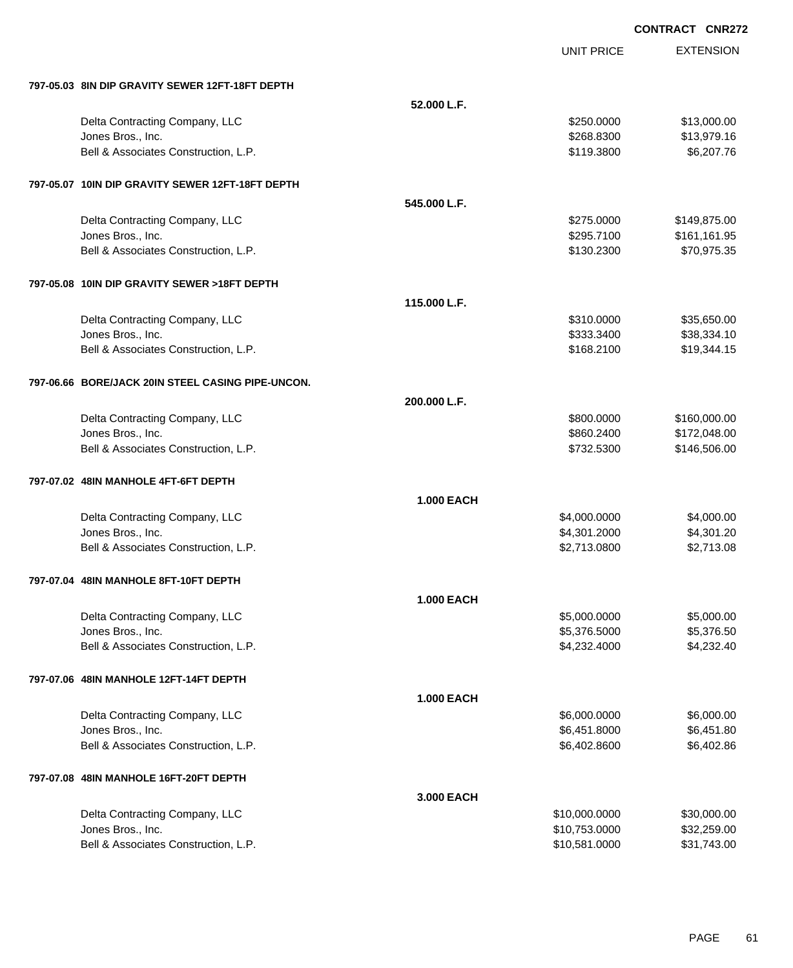EXTENSION **CONTRACT CNR272**

UNIT PRICE

| 797-05.03 8IN DIP GRAVITY SEWER 12FT-18FT DEPTH           |                   |                                |                            |
|-----------------------------------------------------------|-------------------|--------------------------------|----------------------------|
|                                                           | 52.000 L.F.       |                                |                            |
| Delta Contracting Company, LLC                            |                   | \$250.0000                     | \$13,000.00                |
| Jones Bros., Inc.                                         |                   | \$268.8300                     | \$13,979.16                |
| Bell & Associates Construction, L.P.                      |                   | \$119.3800                     | \$6,207.76                 |
| 797-05.07 10IN DIP GRAVITY SEWER 12FT-18FT DEPTH          |                   |                                |                            |
|                                                           | 545.000 L.F.      |                                |                            |
| Delta Contracting Company, LLC                            |                   | \$275.0000                     | \$149,875.00               |
| Jones Bros., Inc.                                         |                   | \$295.7100                     | \$161,161.95               |
| Bell & Associates Construction, L.P.                      |                   | \$130.2300                     | \$70,975.35                |
| 797-05.08 10IN DIP GRAVITY SEWER >18FT DEPTH              |                   |                                |                            |
|                                                           | 115.000 L.F.      |                                |                            |
| Delta Contracting Company, LLC                            |                   | \$310.0000                     | \$35,650.00                |
| Jones Bros., Inc.                                         |                   | \$333.3400                     | \$38,334.10                |
| Bell & Associates Construction, L.P.                      |                   | \$168.2100                     | \$19,344.15                |
| 797-06.66 BORE/JACK 20IN STEEL CASING PIPE-UNCON.         |                   |                                |                            |
|                                                           | 200.000 L.F.      |                                |                            |
| Delta Contracting Company, LLC                            |                   | \$800.0000                     | \$160,000.00               |
| Jones Bros., Inc.                                         |                   | \$860.2400                     | \$172,048.00               |
| Bell & Associates Construction, L.P.                      |                   | \$732.5300                     | \$146,506.00               |
| 797-07.02 48IN MANHOLE 4FT-6FT DEPTH                      |                   |                                |                            |
|                                                           | <b>1.000 EACH</b> |                                |                            |
| Delta Contracting Company, LLC                            |                   | \$4,000.0000                   | \$4,000.00                 |
| Jones Bros., Inc.                                         |                   | \$4,301.2000                   | \$4,301.20                 |
| Bell & Associates Construction, L.P.                      |                   | \$2,713.0800                   | \$2,713.08                 |
| 797-07.04 48IN MANHOLE 8FT-10FT DEPTH                     |                   |                                |                            |
|                                                           | <b>1.000 EACH</b> |                                |                            |
| Delta Contracting Company, LLC                            |                   | \$5,000.0000                   | \$5,000.00                 |
| Jones Bros., Inc.                                         |                   | \$5,376.5000                   | \$5,376.50                 |
| Bell & Associates Construction, L.P.                      |                   | \$4,232.4000                   | \$4,232.40                 |
| 797-07.06 48IN MANHOLE 12FT-14FT DEPTH                    |                   |                                |                            |
|                                                           | <b>1.000 EACH</b> |                                |                            |
| Delta Contracting Company, LLC                            |                   | \$6,000.0000                   | \$6,000.00                 |
| Jones Bros., Inc.                                         |                   | \$6,451.8000                   | \$6,451.80                 |
| Bell & Associates Construction, L.P.                      |                   | \$6,402.8600                   | \$6,402.86                 |
| 797-07.08 48IN MANHOLE 16FT-20FT DEPTH                    |                   |                                |                            |
|                                                           | 3.000 EACH        |                                |                            |
| Delta Contracting Company, LLC                            |                   | \$10,000.0000                  | \$30,000.00                |
| Jones Bros., Inc.<br>Bell & Associates Construction, L.P. |                   | \$10,753.0000<br>\$10,581.0000 | \$32,259.00<br>\$31,743.00 |
|                                                           |                   |                                |                            |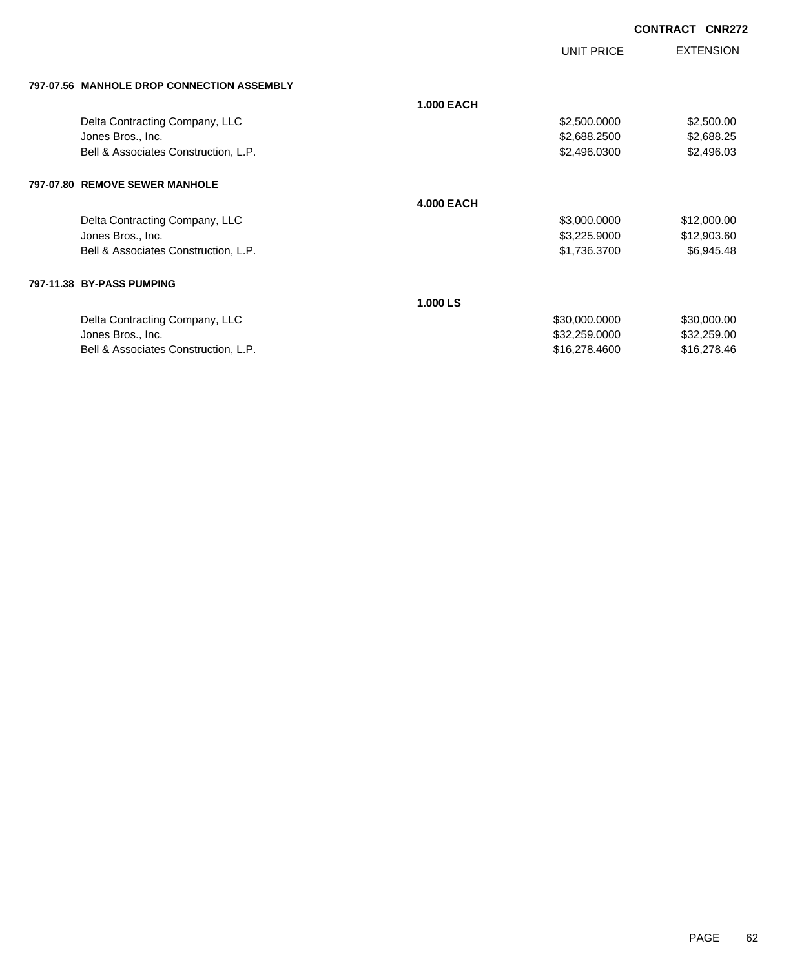UNIT PRICE

EXTENSION

| 797-07.56 MANHOLE DROP CONNECTION ASSEMBLY |
|--------------------------------------------|

| 797-07.30 IVIANNULE DRUF GUNNEGTIUN ASSEIVIDET |                   |               |             |
|------------------------------------------------|-------------------|---------------|-------------|
|                                                | <b>1.000 EACH</b> |               |             |
| Delta Contracting Company, LLC                 |                   | \$2,500.0000  | \$2,500.00  |
| Jones Bros., Inc.                              |                   | \$2,688.2500  | \$2,688.25  |
| Bell & Associates Construction, L.P.           |                   | \$2,496.0300  | \$2,496.03  |
| 797-07.80 REMOVE SEWER MANHOLE                 |                   |               |             |
|                                                | <b>4.000 EACH</b> |               |             |
| Delta Contracting Company, LLC                 |                   | \$3,000.0000  | \$12,000.00 |
| Jones Bros., Inc.                              |                   | \$3,225.9000  | \$12,903.60 |
| Bell & Associates Construction, L.P.           |                   | \$1,736.3700  | \$6,945.48  |
| 797-11.38 BY-PASS PUMPING                      |                   |               |             |
|                                                | 1.000 LS          |               |             |
| Delta Contracting Company, LLC                 |                   | \$30,000.0000 | \$30,000.00 |
| Jones Bros., Inc.                              |                   | \$32,259.0000 | \$32,259.00 |
| Bell & Associates Construction, L.P.           |                   | \$16,278.4600 | \$16,278.46 |
|                                                |                   |               |             |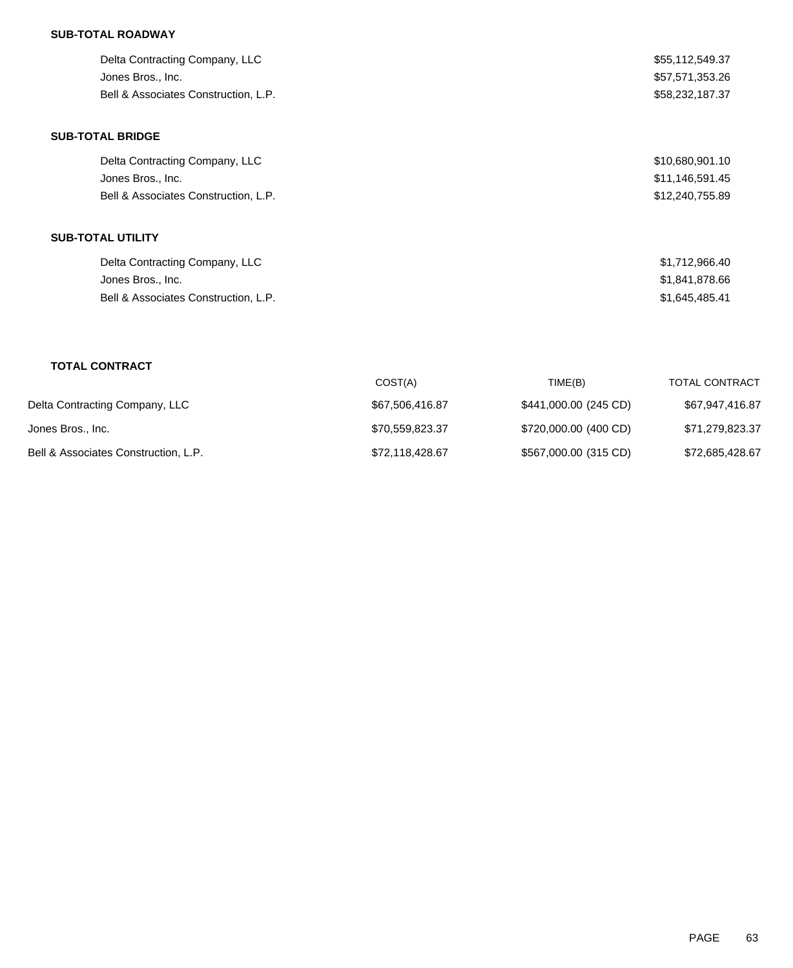# **SUB-TOTAL ROADWAY**

| Delta Contracting Company, LLC       | \$55,112,549.37 |
|--------------------------------------|-----------------|
| Jones Bros., Inc.                    | \$57,571,353.26 |
| Bell & Associates Construction, L.P. | \$58.232.187.37 |
|                                      |                 |

# **SUB-TOTAL BRIDGE**

| Delta Contracting Company, LLC       | \$10,680,901.10 |
|--------------------------------------|-----------------|
| Jones Bros., Inc.                    | \$11,146,591.45 |
| Bell & Associates Construction, L.P. | \$12,240,755.89 |

# **SUB-TOTAL UTILITY**

| Delta Contracting Company, LLC       | \$1,712,966.40 |
|--------------------------------------|----------------|
| Jones Bros., Inc.                    | \$1,841,878.66 |
| Bell & Associates Construction, L.P. | \$1,645,485.41 |

# **TOTAL CONTRACT**

|                                      | COST(A)         | TIME(B)               | <b>TOTAL CONTRACT</b> |
|--------------------------------------|-----------------|-----------------------|-----------------------|
| Delta Contracting Company, LLC       | \$67,506,416.87 | \$441,000.00 (245 CD) | \$67,947,416.87       |
| Jones Bros., Inc.                    | \$70.559.823.37 | \$720,000.00 (400 CD) | \$71,279,823.37       |
| Bell & Associates Construction, L.P. | \$72,118,428.67 | \$567,000.00 (315 CD) | \$72,685,428.67       |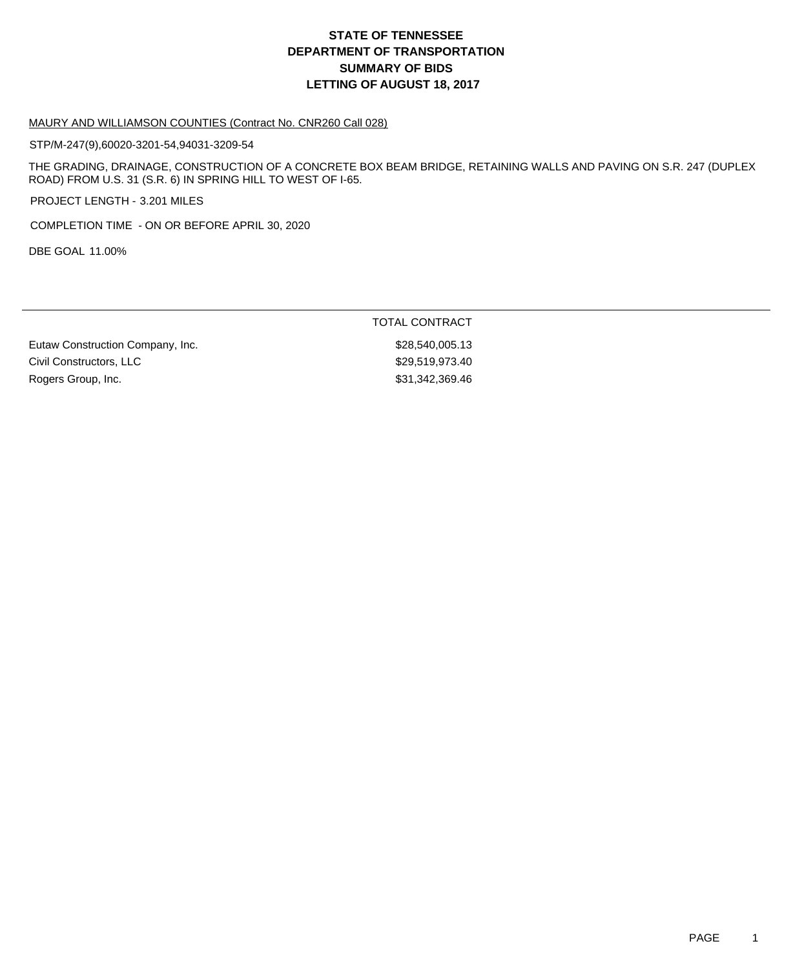# **DEPARTMENT OF TRANSPORTATION SUMMARY OF BIDS LETTING OF AUGUST 18, 2017 STATE OF TENNESSEE**

#### MAURY AND WILLIAMSON COUNTIES (Contract No. CNR260 Call 028)

STP/M-247(9),60020-3201-54,94031-3209-54

THE GRADING, DRAINAGE, CONSTRUCTION OF A CONCRETE BOX BEAM BRIDGE, RETAINING WALLS AND PAVING ON S.R. 247 (DUPLEX ROAD) FROM U.S. 31 (S.R. 6) IN SPRING HILL TO WEST OF I-65.

PROJECT LENGTH - 3.201 MILES

COMPLETION TIME - ON OR BEFORE APRIL 30, 2020

DBE GOAL 11.00%

|                                  | TOTAL CONTRACT  |
|----------------------------------|-----------------|
| Eutaw Construction Company, Inc. | \$28,540,005.13 |
| Civil Constructors, LLC          | \$29.519.973.40 |
| Rogers Group, Inc.               | \$31.342.369.46 |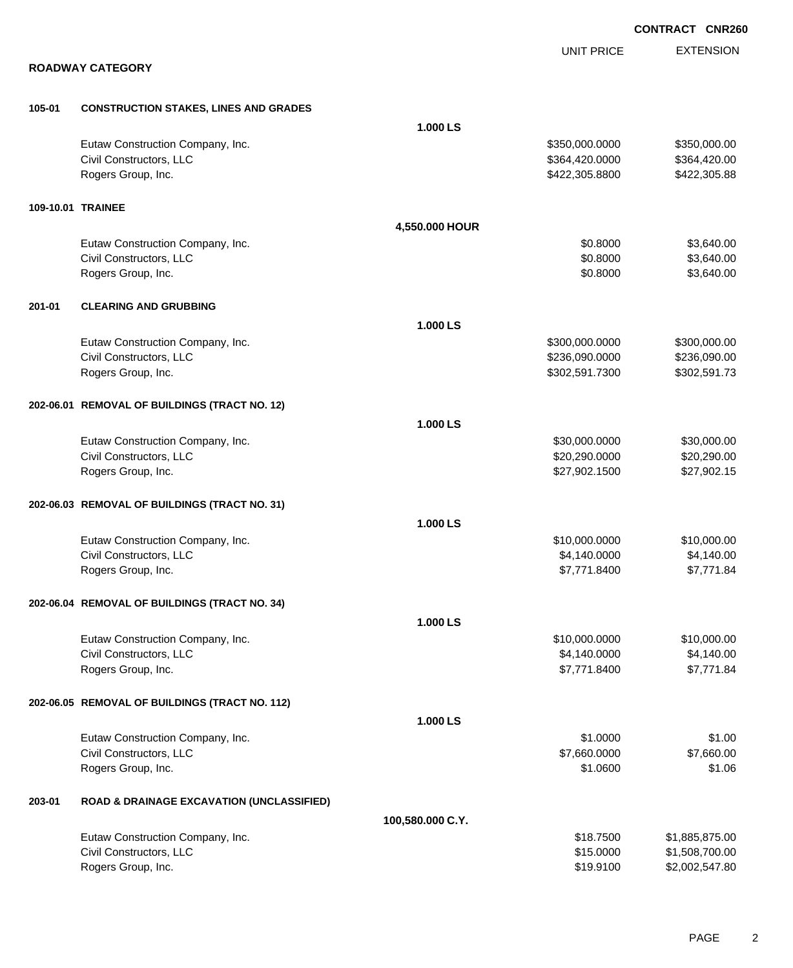|        |                                                             |                  | <b>CONTRACT CNR260</b> |                           |  |
|--------|-------------------------------------------------------------|------------------|------------------------|---------------------------|--|
|        |                                                             |                  | <b>UNIT PRICE</b>      | <b>EXTENSION</b>          |  |
|        | <b>ROADWAY CATEGORY</b>                                     |                  |                        |                           |  |
|        |                                                             |                  |                        |                           |  |
| 105-01 | <b>CONSTRUCTION STAKES, LINES AND GRADES</b>                | 1.000 LS         |                        |                           |  |
|        | Eutaw Construction Company, Inc.                            |                  | \$350,000.0000         | \$350,000.00              |  |
|        | Civil Constructors, LLC                                     |                  | \$364,420.0000         | \$364,420.00              |  |
|        | Rogers Group, Inc.                                          |                  | \$422,305.8800         | \$422,305.88              |  |
|        |                                                             |                  |                        |                           |  |
|        | 109-10.01 TRAINEE                                           |                  |                        |                           |  |
|        |                                                             | 4,550.000 HOUR   |                        |                           |  |
|        | Eutaw Construction Company, Inc.                            |                  | \$0.8000               | \$3,640.00                |  |
|        | Civil Constructors, LLC                                     |                  | \$0.8000               | \$3,640.00                |  |
|        | Rogers Group, Inc.                                          |                  | \$0.8000               | \$3,640.00                |  |
| 201-01 | <b>CLEARING AND GRUBBING</b>                                |                  |                        |                           |  |
|        |                                                             | 1.000 LS         |                        |                           |  |
|        | Eutaw Construction Company, Inc.                            |                  | \$300,000.0000         | \$300,000.00              |  |
|        | Civil Constructors, LLC                                     |                  | \$236,090.0000         | \$236,090.00              |  |
|        | Rogers Group, Inc.                                          |                  | \$302,591.7300         | \$302,591.73              |  |
|        | 202-06.01 REMOVAL OF BUILDINGS (TRACT NO. 12)               |                  |                        |                           |  |
|        |                                                             | 1.000 LS         |                        |                           |  |
|        | Eutaw Construction Company, Inc.                            |                  | \$30,000.0000          | \$30,000.00               |  |
|        | Civil Constructors, LLC                                     |                  | \$20,290.0000          | \$20,290.00               |  |
|        | Rogers Group, Inc.                                          |                  | \$27,902.1500          | \$27,902.15               |  |
|        |                                                             |                  |                        |                           |  |
|        | 202-06.03 REMOVAL OF BUILDINGS (TRACT NO. 31)               | 1.000 LS         |                        |                           |  |
|        |                                                             |                  | \$10,000.0000          |                           |  |
|        | Eutaw Construction Company, Inc.<br>Civil Constructors, LLC |                  | \$4,140.0000           | \$10,000.00<br>\$4,140.00 |  |
|        | Rogers Group, Inc.                                          |                  | \$7.771.8400           | \$7.771.84                |  |
|        |                                                             |                  |                        |                           |  |
|        | 202-06.04 REMOVAL OF BUILDINGS (TRACT NO. 34)               |                  |                        |                           |  |
|        |                                                             | 1.000 LS         |                        |                           |  |
|        | Eutaw Construction Company, Inc.                            |                  | \$10,000.0000          | \$10,000.00               |  |
|        | Civil Constructors, LLC                                     |                  | \$4,140.0000           | \$4,140.00                |  |
|        | Rogers Group, Inc.                                          |                  | \$7,771.8400           | \$7,771.84                |  |
|        | 202-06.05 REMOVAL OF BUILDINGS (TRACT NO. 112)              |                  |                        |                           |  |
|        |                                                             | 1.000 LS         |                        |                           |  |
|        | Eutaw Construction Company, Inc.                            |                  | \$1.0000               | \$1.00                    |  |
|        | Civil Constructors, LLC                                     |                  | \$7,660.0000           | \$7,660.00                |  |
|        | Rogers Group, Inc.                                          |                  | \$1.0600               | \$1.06                    |  |
| 203-01 | <b>ROAD &amp; DRAINAGE EXCAVATION (UNCLASSIFIED)</b>        |                  |                        |                           |  |
|        |                                                             | 100,580.000 C.Y. |                        |                           |  |
|        | Eutaw Construction Company, Inc.                            |                  | \$18.7500              | \$1,885,875.00            |  |
|        | Civil Constructors, LLC                                     |                  | \$15.0000              | \$1,508,700.00            |  |
|        | Rogers Group, Inc.                                          |                  | \$19.9100              | \$2,002,547.80            |  |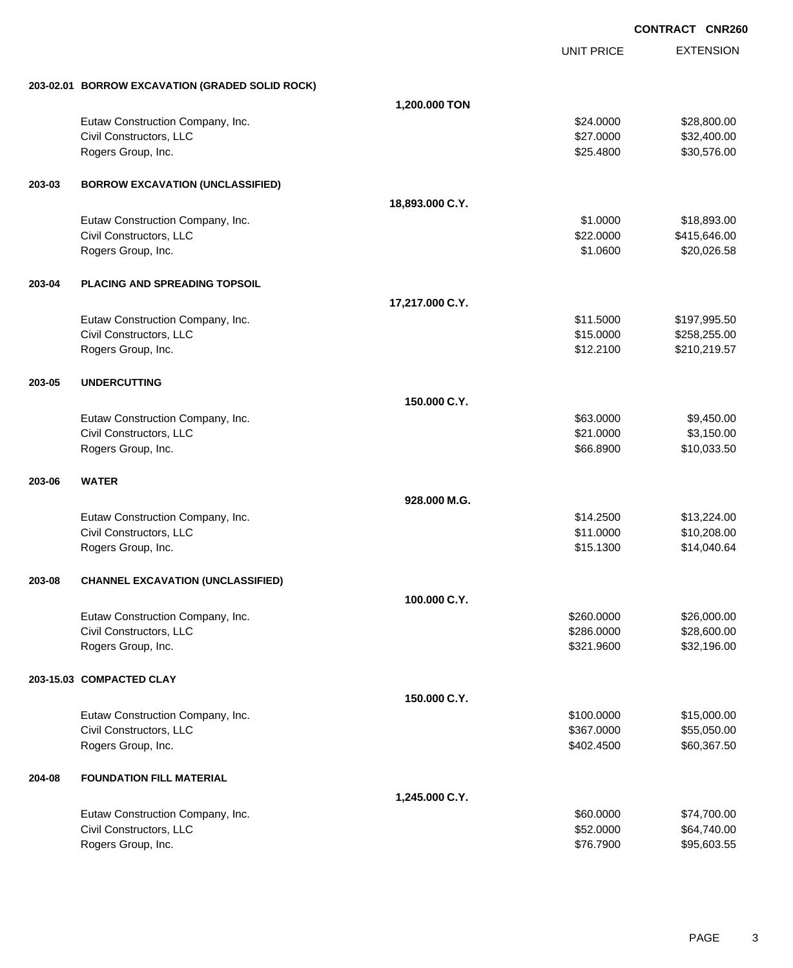**EXTENSION CONTRACT CNR260** UNIT PRICE **203-02.01 BORROW EXCAVATION (GRADED SOLID ROCK) 1,200.000 TON** Eutaw Construction Company, Inc. 6. The Construction Company, Inc. 6. The Construction Company, Inc. 6. The Construction Company, Inc. 6. The Construction Company, Inc. 6. The Construction Company, Inc. 6. The Construction Civil Constructors, LLC 632,400.00 Rogers Group, Inc. \$25.4800 \$30,576.00 **203-03 BORROW EXCAVATION (UNCLASSIFIED) 18,893.000 C.Y.** Eutaw Construction Company, Inc. 6. 2012 12:30 12:30 12:30 12:30 12:30 12:30 12:30 12:30 12:30 12:30 12:30 12:30 12:30 12:30 12:30 12:30 12:30 12:30 12:30 12:30 12:30 12:30 12:30 12:30 12:30 12:30 12:30 12:30 12:30 12:30 1 Civil Constructors, LLC 66 and the set of the set of the set of the set of the set of the set of the set of the set of the set of the set of the set of the set of the set of the set of the set of the set of the set of the Rogers Group, Inc. \$20,026.58 **203-04 PLACING AND SPREADING TOPSOIL 17,217.000 C.Y.** Eutaw Construction Company, Inc. 6. The Construction Company, Inc. 6. The Construction Company, Inc. 6. The Construction Company, Inc. 6. The Construction Company, Inc. 6. The Construction Company, Inc. 6. The Construction Civil Constructors, LLC 6. 258,255.00 Rogers Group, Inc. \$12.2100 \$210,219.57 **203-05 UNDERCUTTING 150.000 C.Y.** Eutaw Construction Company, Inc. 63.000 \$9,450.00 Civil Constructors, LLC 63,150.00 Rogers Group, Inc. \$66.8900 \$10,033.50 **203-06 WATER 928.000 M.G.** Eutaw Construction Company, Inc. 6. 2012 12:30:30 12:30:30 \$14.2500 \$13,224.00 Civil Constructors, LLC 611.0000 \$10,208.00 Rogers Group, Inc. \$14,040.64 **203-08 CHANNEL EXCAVATION (UNCLASSIFIED) 100.000 C.Y.** Eutaw Construction Company, Inc. 6. The Construction Company, Inc. 6. The Construction Company, Inc. 626,000.00 Civil Constructors, LLC 628,600.00 \$28,600.00 \$28,600.00 \$28,600.00 Rogers Group, Inc. \$32,196.00 \$32,196.00 \$32,196.00 \$32,196.00 \$32,196.00 \$32,196.00 \$32,196.00 \$32,196.00 \$32,196.00 **203-15.03 COMPACTED CLAY 150.000 C.Y.** Eutaw Construction Company, Inc. 6. The Construction Company, Inc. 6. The Construction Company, Inc. 6. The Construction Company, Inc. 6. The Construction Company, Inc. 6. The Construction Company, Inc. 6. The Construction Civil Constructors, LLC 655,050.00 Rogers Group, Inc. \$60,367.50 **204-08 FOUNDATION FILL MATERIAL 1,245.000 C.Y.** Eutaw Construction Company, Inc. 60.000 \$74,700.00 Civil Constructors, LLC 664,740.00 Rogers Group, Inc. \$95,603.55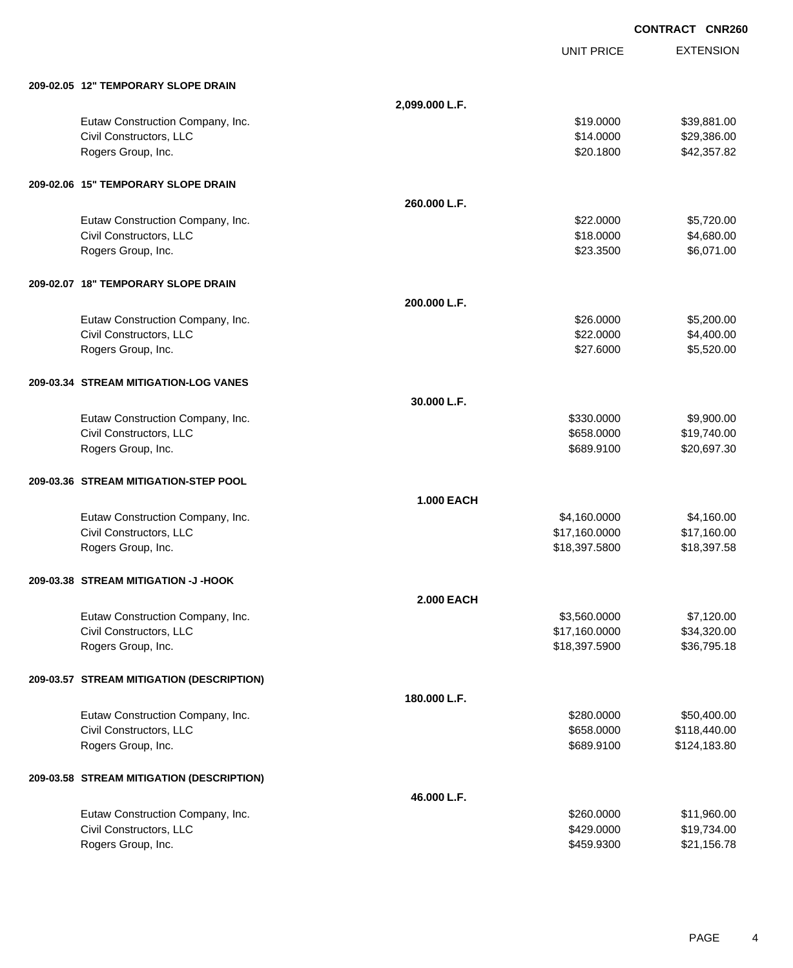|                                           |                   | <b>UNIT PRICE</b> | <b>EXTENSION</b> |
|-------------------------------------------|-------------------|-------------------|------------------|
| 209-02.05 12" TEMPORARY SLOPE DRAIN       |                   |                   |                  |
|                                           | 2,099.000 L.F.    |                   |                  |
| Eutaw Construction Company, Inc.          |                   | \$19.0000         | \$39,881.00      |
| Civil Constructors, LLC                   |                   | \$14.0000         | \$29,386.00      |
| Rogers Group, Inc.                        |                   | \$20.1800         | \$42,357.82      |
| 209-02.06 15" TEMPORARY SLOPE DRAIN       |                   |                   |                  |
|                                           | 260,000 L.F.      |                   |                  |
| Eutaw Construction Company, Inc.          |                   | \$22.0000         | \$5,720.00       |
| Civil Constructors, LLC                   |                   | \$18.0000         | \$4,680.00       |
| Rogers Group, Inc.                        |                   | \$23.3500         | \$6,071.00       |
| 209-02.07 18" TEMPORARY SLOPE DRAIN       |                   |                   |                  |
|                                           | 200.000 L.F.      |                   |                  |
| Eutaw Construction Company, Inc.          |                   | \$26.0000         | \$5,200.00       |
| Civil Constructors, LLC                   |                   | \$22.0000         | \$4,400.00       |
| Rogers Group, Inc.                        |                   | \$27.6000         | \$5,520.00       |
| 209-03.34 STREAM MITIGATION-LOG VANES     |                   |                   |                  |
|                                           | 30.000 L.F.       |                   |                  |
| Eutaw Construction Company, Inc.          |                   | \$330.0000        | \$9,900.00       |
| Civil Constructors, LLC                   |                   | \$658.0000        | \$19,740.00      |
| Rogers Group, Inc.                        |                   | \$689.9100        | \$20,697.30      |
| 209-03.36 STREAM MITIGATION-STEP POOL     |                   |                   |                  |
|                                           | <b>1.000 EACH</b> |                   |                  |
| Eutaw Construction Company, Inc.          |                   | \$4,160.0000      | \$4,160.00       |
| Civil Constructors, LLC                   |                   | \$17,160.0000     | \$17,160.00      |
| Rogers Group, Inc.                        |                   | \$18,397.5800     | \$18,397.58      |
| 209-03.38 STREAM MITIGATION -J -HOOK      |                   |                   |                  |
|                                           | <b>2.000 EACH</b> |                   |                  |
| Eutaw Construction Company, Inc.          |                   | \$3,560.0000      | \$7,120.00       |
| Civil Constructors, LLC                   |                   | \$17,160.0000     | \$34,320.00      |
| Rogers Group, Inc.                        |                   | \$18,397.5900     | \$36,795.18      |
| 209-03.57 STREAM MITIGATION (DESCRIPTION) |                   |                   |                  |
|                                           | 180.000 L.F.      |                   |                  |
| Eutaw Construction Company, Inc.          |                   | \$280.0000        | \$50,400.00      |
| Civil Constructors, LLC                   |                   | \$658.0000        | \$118,440.00     |
| Rogers Group, Inc.                        |                   | \$689.9100        | \$124,183.80     |
| 209-03.58 STREAM MITIGATION (DESCRIPTION) |                   |                   |                  |
|                                           | 46.000 L.F.       |                   |                  |
| Eutaw Construction Company, Inc.          |                   | \$260.0000        | \$11,960.00      |
| Civil Constructors, LLC                   |                   | \$429.0000        | \$19,734.00      |
| Rogers Group, Inc.                        |                   | \$459.9300        | \$21,156.78      |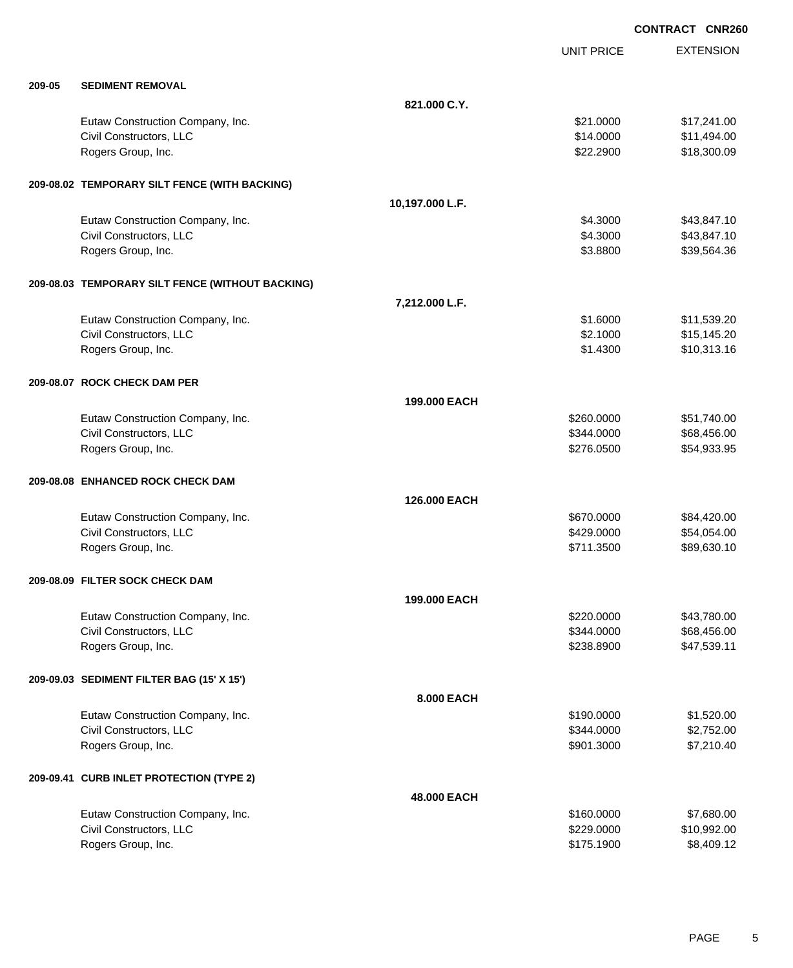**EXTENSION CONTRACT CNR260** UNIT PRICE **209-05 SEDIMENT REMOVAL 821.000 C.Y.** Eutaw Construction Company, Inc. 6. 2012. The state of the state of the state of the state of the state of the state of the state of the state of the state of the state of the state of the state of the state of the state o Civil Constructors, LLC 611,494.00 Rogers Group, Inc. \$22.2900 \$18,300.09 **209-08.02 TEMPORARY SILT FENCE (WITH BACKING) 10,197.000 L.F.** Eutaw Construction Company, Inc. 6. The Construction Company, Inc. 6. The Construction Company, Inc. 6. The Construction Company, Inc. 6. The Construction Company, Inc. 6. The Construction Company, Inc. 6. The Construction Civil Constructors, LLC 643,847.10 Rogers Group, Inc. \$39,564.36 \$3.8800 \$3.8800 \$3.9564.36 **209-08.03 TEMPORARY SILT FENCE (WITHOUT BACKING) 7,212.000 L.F.** Eutaw Construction Company, Inc. 6. The Construction Company, Inc. 6. The Construction Company, Inc. 6. The Construction Company, Inc. 6. The Construction Company, Inc. 6. The Construction Company, Inc. 6. The Construction Civil Constructors, LLC 615,145.20 Rogers Group, Inc. \$10,313.16 **209-08.07 ROCK CHECK DAM PER 199.000 EACH** Eutaw Construction Company, Inc. 6. The Construction Company, Inc. 6. The Construction Company, Inc. 6. The Construction Company, Inc. 6. The Construction Company, Inc. 6. The Construction Company, Inc. 6. The Construction Civil Constructors, LLC 68,456.00 Rogers Group, Inc. \$276.0500 \$54,933.95 **209-08.08 ENHANCED ROCK CHECK DAM 126.000 EACH** Eutaw Construction Company, Inc. 684,420.00 \$84,420.00 \$84,420.00 Civil Constructors, LLC 654,054.00 \$54,054.00 Rogers Group, Inc. \$89,630.10 \$89,630.10 **209-08.09 FILTER SOCK CHECK DAM 199.000 EACH** Eutaw Construction Company, Inc. 6. The Construction Company, Inc. 6. The Construction Company, Inc. 6. The Construction Company, Inc. 6. The Construction Company, Inc. 6. The Construction Company, Inc. 6. The Construction Civil Constructors, LLC 668,456.00 Rogers Group, Inc. \$238.8900 \$47,539.11 **209-09.03 SEDIMENT FILTER BAG (15' X 15') 8.000 EACH** Eutaw Construction Company, Inc. 6. The Construction Company, Inc. 6. The Construction Company, Inc. 6. The Construction Company, Inc. 6. The Construction Company, Inc. 6. The Construction Company, Inc. 6. The Construction Civil Constructors, LLC 6344.0000 \$2,752.00 Rogers Group, Inc. \$901.3000 \$7,210.40 **209-09.41 CURB INLET PROTECTION (TYPE 2) 48.000 EACH** Eutaw Construction Company, Inc. 6. The Construction Company, Inc. 6. The Construction Company, Inc. 6. The Construction Company, Inc. 6. The Construction Company, Inc. 6. The Construction Company, Inc. 6. The Construction Civil Constructors, LLC 6. The Constructors of the Civil Constructors, LLC 6. The Civil Constructors, LLC 6. The Civil Constructors of the Civil Constructors of the Civil Constructors of the Civil Constructors of the Civil Rogers Group, Inc. \$175.1900 \$8,409.12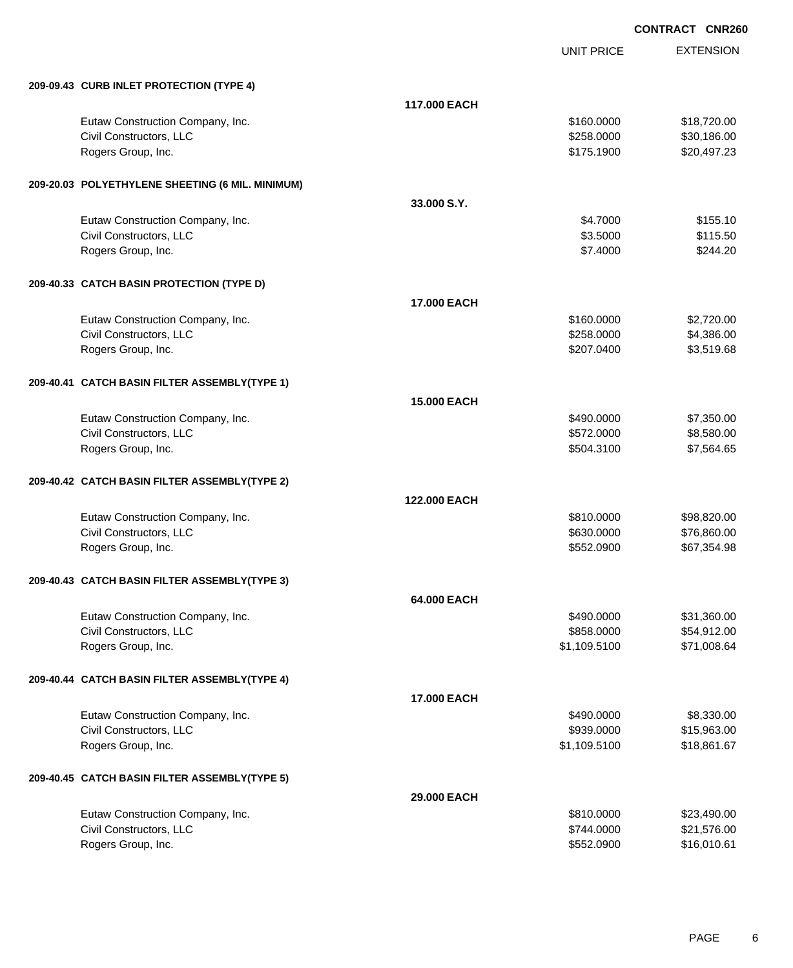UNIT PRICE

EXTENSION

| 209-09.43 CURB INLET PROTECTION (TYPE 4)         |                    |              |             |
|--------------------------------------------------|--------------------|--------------|-------------|
|                                                  | 117,000 EACH       |              |             |
| Eutaw Construction Company, Inc.                 |                    | \$160.0000   | \$18,720.00 |
| Civil Constructors, LLC                          |                    | \$258.0000   | \$30,186.00 |
| Rogers Group, Inc.                               |                    | \$175.1900   | \$20,497.23 |
|                                                  |                    |              |             |
| 209-20.03 POLYETHYLENE SHEETING (6 MIL. MINIMUM) |                    |              |             |
|                                                  | 33,000 S.Y.        |              |             |
| Eutaw Construction Company, Inc.                 |                    | \$4.7000     | \$155.10    |
| Civil Constructors, LLC                          |                    | \$3.5000     | \$115.50    |
| Rogers Group, Inc.                               |                    | \$7.4000     | \$244.20    |
| 209-40.33 CATCH BASIN PROTECTION (TYPE D)        |                    |              |             |
|                                                  | <b>17,000 EACH</b> |              |             |
| Eutaw Construction Company, Inc.                 |                    | \$160.0000   | \$2,720.00  |
| Civil Constructors, LLC                          |                    | \$258.0000   | \$4,386.00  |
| Rogers Group, Inc.                               |                    | \$207.0400   | \$3,519.68  |
|                                                  |                    |              |             |
| 209-40.41 CATCH BASIN FILTER ASSEMBLY(TYPE 1)    |                    |              |             |
|                                                  | <b>15,000 EACH</b> |              |             |
| Eutaw Construction Company, Inc.                 |                    | \$490.0000   | \$7,350.00  |
| Civil Constructors, LLC                          |                    | \$572.0000   | \$8,580.00  |
| Rogers Group, Inc.                               |                    | \$504.3100   | \$7,564.65  |
| 209-40.42 CATCH BASIN FILTER ASSEMBLY(TYPE 2)    |                    |              |             |
|                                                  | 122,000 EACH       |              |             |
| Eutaw Construction Company, Inc.                 |                    | \$810.0000   | \$98,820.00 |
| Civil Constructors, LLC                          |                    | \$630.0000   | \$76,860.00 |
| Rogers Group, Inc.                               |                    | \$552.0900   | \$67,354.98 |
| 209-40.43 CATCH BASIN FILTER ASSEMBLY(TYPE 3)    |                    |              |             |
|                                                  | 64.000 EACH        |              |             |
| Eutaw Construction Company, Inc.                 |                    | \$490.0000   | \$31,360.00 |
| Civil Constructors, LLC                          |                    | \$858.0000   | \$54,912.00 |
| Rogers Group, Inc.                               |                    | \$1,109.5100 | \$71,008.64 |
| 209-40.44 CATCH BASIN FILTER ASSEMBLY(TYPE 4)    |                    |              |             |
|                                                  | 17.000 EACH        |              |             |
| Eutaw Construction Company, Inc.                 |                    | \$490.0000   | \$8,330.00  |
| Civil Constructors, LLC                          |                    | \$939.0000   | \$15,963.00 |
| Rogers Group, Inc.                               |                    | \$1,109.5100 | \$18,861.67 |
| 209-40.45 CATCH BASIN FILTER ASSEMBLY(TYPE 5)    |                    |              |             |
|                                                  | 29.000 EACH        |              |             |
| Eutaw Construction Company, Inc.                 |                    | \$810.0000   | \$23,490.00 |
| Civil Constructors, LLC                          |                    | \$744.0000   | \$21,576.00 |
| Rogers Group, Inc.                               |                    | \$552.0900   | \$16,010.61 |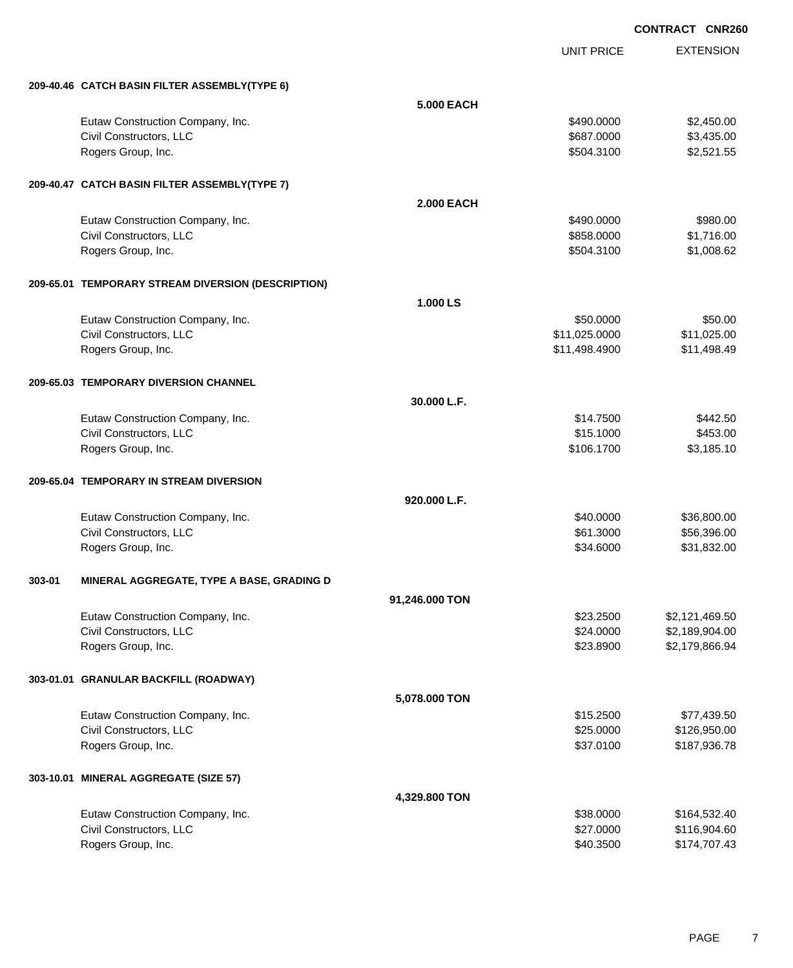|        |                                                    |                   | <b>UNIT PRICE</b> | <b>EXTENSION</b> |
|--------|----------------------------------------------------|-------------------|-------------------|------------------|
|        | 209-40.46 CATCH BASIN FILTER ASSEMBLY(TYPE 6)      |                   |                   |                  |
|        |                                                    | <b>5.000 EACH</b> |                   |                  |
|        | Eutaw Construction Company, Inc.                   |                   | \$490.0000        | \$2,450.00       |
|        | Civil Constructors, LLC                            |                   | \$687.0000        | \$3,435.00       |
|        | Rogers Group, Inc.                                 |                   | \$504.3100        | \$2,521.55       |
|        | 209-40.47 CATCH BASIN FILTER ASSEMBLY(TYPE 7)      |                   |                   |                  |
|        |                                                    | <b>2.000 EACH</b> |                   |                  |
|        | Eutaw Construction Company, Inc.                   |                   | \$490.0000        | \$980.00         |
|        | Civil Constructors, LLC                            |                   | \$858.0000        | \$1,716.00       |
|        | Rogers Group, Inc.                                 |                   | \$504.3100        | \$1,008.62       |
|        | 209-65.01 TEMPORARY STREAM DIVERSION (DESCRIPTION) |                   |                   |                  |
|        |                                                    | 1.000 LS          |                   |                  |
|        | Eutaw Construction Company, Inc.                   |                   | \$50.0000         | \$50.00          |
|        | Civil Constructors, LLC                            |                   | \$11,025.0000     | \$11,025.00      |
|        | Rogers Group, Inc.                                 |                   | \$11,498.4900     | \$11,498.49      |
|        | 209-65.03 TEMPORARY DIVERSION CHANNEL              |                   |                   |                  |
|        |                                                    | 30.000 L.F.       |                   |                  |
|        | Eutaw Construction Company, Inc.                   |                   | \$14,7500         | \$442.50         |
|        | Civil Constructors, LLC                            |                   | \$15.1000         | \$453.00         |
|        | Rogers Group, Inc.                                 |                   | \$106.1700        | \$3,185.10       |
|        | 209-65.04 TEMPORARY IN STREAM DIVERSION            |                   |                   |                  |
|        |                                                    | 920.000 L.F.      |                   |                  |
|        | Eutaw Construction Company, Inc.                   |                   | \$40.0000         | \$36,800.00      |
|        | Civil Constructors, LLC                            |                   | \$61.3000         | \$56,396.00      |
|        | Rogers Group, Inc.                                 |                   | \$34.6000         | \$31,832.00      |
| 303-01 | MINERAL AGGREGATE, TYPE A BASE, GRADING D          |                   |                   |                  |
|        |                                                    | 91,246.000 TON    |                   |                  |
|        | Eutaw Construction Company, Inc.                   |                   | \$23.2500         | \$2,121,469.50   |
|        | Civil Constructors, LLC                            |                   | \$24.0000         | \$2,189,904.00   |
|        | Rogers Group, Inc.                                 |                   | \$23.8900         | \$2,179,866.94   |
|        | 303-01.01 GRANULAR BACKFILL (ROADWAY)              |                   |                   |                  |
|        |                                                    | 5,078.000 TON     |                   |                  |
|        | Eutaw Construction Company, Inc.                   |                   | \$15.2500         | \$77,439.50      |
|        | Civil Constructors, LLC                            |                   | \$25.0000         | \$126,950.00     |
|        | Rogers Group, Inc.                                 |                   | \$37.0100         | \$187,936.78     |
|        | 303-10.01 MINERAL AGGREGATE (SIZE 57)              |                   |                   |                  |
|        |                                                    | 4,329.800 TON     |                   |                  |
|        | Eutaw Construction Company, Inc.                   |                   | \$38.0000         | \$164,532.40     |
|        | Civil Constructors, LLC                            |                   | \$27.0000         | \$116,904.60     |
|        | Rogers Group, Inc.                                 |                   | \$40.3500         | \$174,707.43     |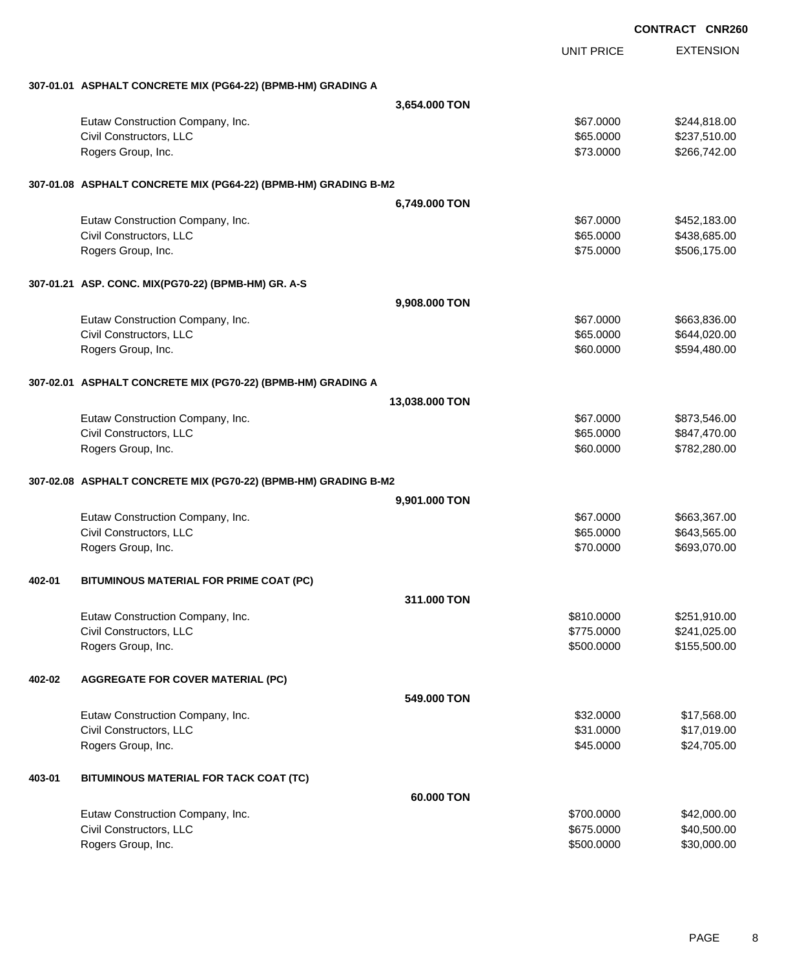|        |                                                                 |                |                   | <b>CONTRACT CNR260</b> |
|--------|-----------------------------------------------------------------|----------------|-------------------|------------------------|
|        |                                                                 |                | <b>UNIT PRICE</b> | <b>EXTENSION</b>       |
|        | 307-01.01 ASPHALT CONCRETE MIX (PG64-22) (BPMB-HM) GRADING A    |                |                   |                        |
|        |                                                                 | 3,654.000 TON  |                   |                        |
|        | Eutaw Construction Company, Inc.                                |                | \$67.0000         | \$244,818.00           |
|        | Civil Constructors, LLC                                         |                | \$65.0000         | \$237,510.00           |
|        | Rogers Group, Inc.                                              |                | \$73.0000         | \$266,742.00           |
|        | 307-01.08 ASPHALT CONCRETE MIX (PG64-22) (BPMB-HM) GRADING B-M2 |                |                   |                        |
|        |                                                                 | 6,749.000 TON  |                   |                        |
|        | Eutaw Construction Company, Inc.                                |                | \$67.0000         | \$452,183.00           |
|        | Civil Constructors, LLC                                         |                | \$65.0000         | \$438,685.00           |
|        | Rogers Group, Inc.                                              |                | \$75.0000         | \$506,175.00           |
|        | 307-01.21 ASP. CONC. MIX(PG70-22) (BPMB-HM) GR. A-S             |                |                   |                        |
|        |                                                                 | 9,908.000 TON  |                   |                        |
|        | Eutaw Construction Company, Inc.                                |                | \$67.0000         | \$663,836.00           |
|        | Civil Constructors, LLC                                         |                | \$65.0000         | \$644,020.00           |
|        | Rogers Group, Inc.                                              |                | \$60.0000         | \$594,480.00           |
|        | 307-02.01 ASPHALT CONCRETE MIX (PG70-22) (BPMB-HM) GRADING A    |                |                   |                        |
|        |                                                                 | 13,038.000 TON |                   |                        |
|        | Eutaw Construction Company, Inc.                                |                | \$67.0000         | \$873,546.00           |
|        | Civil Constructors, LLC                                         |                | \$65.0000         | \$847,470.00           |
|        | Rogers Group, Inc.                                              |                | \$60.0000         | \$782,280.00           |
|        | 307-02.08 ASPHALT CONCRETE MIX (PG70-22) (BPMB-HM) GRADING B-M2 |                |                   |                        |
|        |                                                                 | 9,901.000 TON  |                   |                        |
|        | Eutaw Construction Company, Inc.                                |                | \$67.0000         | \$663,367.00           |
|        | Civil Constructors, LLC                                         |                | \$65.0000         | \$643,565.00           |
|        | Rogers Group, Inc.                                              |                | \$70.0000         | \$693,070.00           |
| 402-01 | BITUMINOUS MATERIAL FOR PRIME COAT (PC)                         |                |                   |                        |
|        |                                                                 | 311,000 TON    |                   |                        |
|        | Eutaw Construction Company, Inc.                                |                | \$810.0000        | \$251,910.00           |
|        | Civil Constructors, LLC                                         |                | \$775.0000        | \$241,025.00           |
|        | Rogers Group, Inc.                                              |                | \$500.0000        | \$155,500.00           |
| 402-02 | <b>AGGREGATE FOR COVER MATERIAL (PC)</b>                        |                |                   |                        |
|        |                                                                 | 549,000 TON    |                   |                        |
|        | Eutaw Construction Company, Inc.                                |                | \$32.0000         | \$17,568.00            |
|        | Civil Constructors, LLC                                         |                | \$31.0000         | \$17,019.00            |
|        | Rogers Group, Inc.                                              |                | \$45.0000         | \$24,705.00            |
| 403-01 | BITUMINOUS MATERIAL FOR TACK COAT (TC)                          |                |                   |                        |
|        |                                                                 | 60.000 TON     |                   |                        |
|        | Eutaw Construction Company, Inc.                                |                | \$700.0000        | \$42,000.00            |
|        | Civil Constructors, LLC                                         |                | \$675.0000        | \$40,500.00            |
|        | Rogers Group, Inc.                                              |                | \$500.0000        | \$30,000.00            |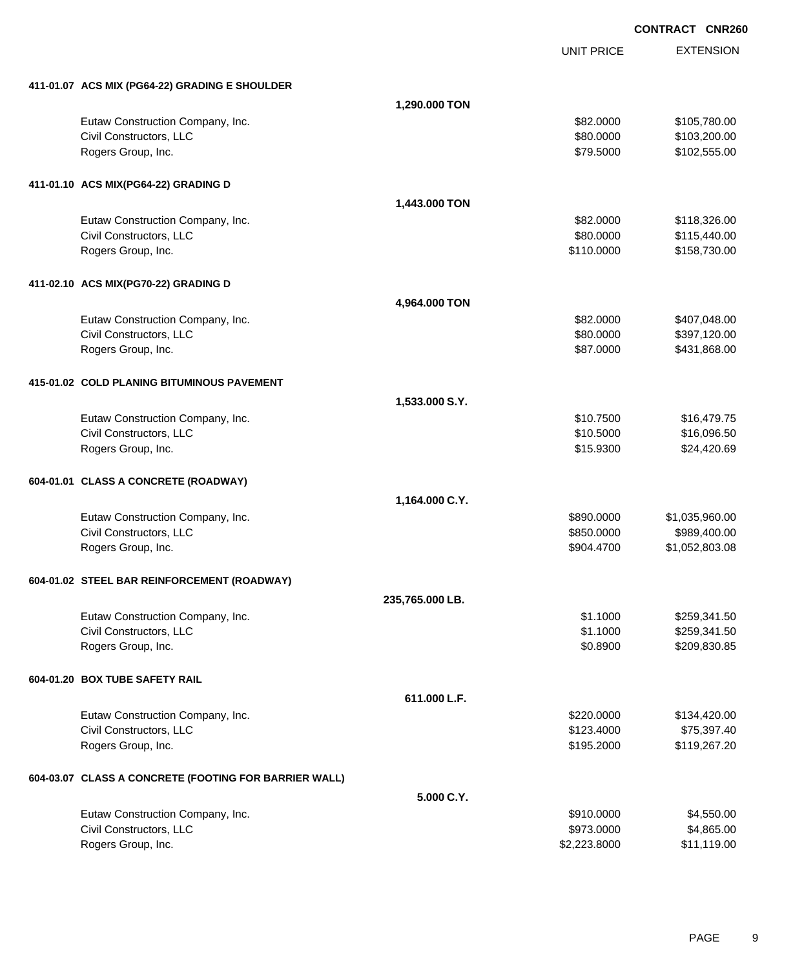**EXTENSION CONTRACT CNR260** UNIT PRICE **411-01.07 ACS MIX (PG64-22) GRADING E SHOULDER 1,290.000 TON** Eutaw Construction Company, Inc. 6. The Construction Company, Inc. 6. The Construction Company, Inc. 6. The Construction Company, Inc. 6. The Construction Company, Inc. 6. The Construction Company, Inc. 6. The Construction Civil Constructors, LLC 6. 2002.000 \$103,200.00 Rogers Group, Inc. \$102,555.00 \$102,555.00 \$102,555.00 **411-01.10 ACS MIX(PG64-22) GRADING D 1,443.000 TON** Eutaw Construction Company, Inc. 6. The Construction Company, Inc. 6. The Construction Company, Inc. 6. The Construction Company, Inc. 6. The Construction Company, Inc. 6. The Construction Company, Inc. 6. The Construction Civil Constructors, LLC 6. The State of the State of the State of the State of State of State of State of State of State of State of State of State of State of State of State of State of State of State of State of State of Rogers Group, Inc. 6. 2012. The Second State of the State of the State of State of State of State of State of State of State of State of State of State of State of State of State of State of State of State of State of Stat **411-02.10 ACS MIX(PG70-22) GRADING D 4,964.000 TON** Eutaw Construction Company, Inc. 6. The Construction Company, Inc. 6. The Construction Company, Inc. 6. The Construction Company, Inc. 6. The Construction Company, Inc. 6. The Construction Company, Inc. 6. The Construction Civil Constructors, LLC 60000 \$397,120.00 Rogers Group, Inc. 68.000 \$431,868.00 **415-01.02 COLD PLANING BITUMINOUS PAVEMENT 1,533.000 S.Y.** Eutaw Construction Company, Inc. 6. The Construction Company, Inc. 6. The Construction Company, Inc. 6. The Construction Company, Inc. 6. The Construction Company, Inc. 6. The Construction Company, Inc. 6. The Construction Civil Constructors, LLC 6.5000 \$16,096.50 Rogers Group, Inc. \$15.9300 \$24,420.69 **604-01.01 CLASS A CONCRETE (ROADWAY) 1,164.000 C.Y.** Eutaw Construction Company, Inc. 6. The Construction Company, Inc. 6. The Construction Company, Inc. 6. The Construction Company, Inc. 6. The Construction Company, Inc. 6. The Construction Company, Inc. 6. The Construction Civil Constructors, LLC 6. The Constructors of the Civil Constructors, LLC 6. The Civil Constructors, LLC 6. The Civil Constructors of the Civil Constructors, LLC Rogers Group, Inc. \$904.4700 \$1,052,803.08 **604-01.02 STEEL BAR REINFORCEMENT (ROADWAY) 235,765.000 LB.** Eutaw Construction Company, Inc. 6. The Construction Company, Inc. 6. The Construction Company, Inc. 6. The Construction Company, Inc. 6. The Construction Company, Inc. 6. The Construction Company, Inc. 6. The Construction Civil Constructors, LLC 6. 2012 1.50 States of the States of States of States of States of States of States of States of States of States of States of States of States of States of States of States of States of States of S Rogers Group, Inc. \$1.8900 \$209,830.85 **604-01.20 BOX TUBE SAFETY RAIL 611.000 L.F.** Eutaw Construction Company, Inc. 6. The Construction Company, Inc. 6. The Construction Company, Inc. 6. The Construction Company, Inc. 6. The Construction Company, Inc. 6. The Construction Company, Inc. 6. The Construction Civil Constructors, LLC 675,397.40 Rogers Group, Inc. \$195.2000 \$119,267.20 **604-03.07 CLASS A CONCRETE (FOOTING FOR BARRIER WALL)**

**5.000 C.Y.** Eutaw Construction Company, Inc. 6. The Construction Company, Inc. 6. The Construction Company, Inc. 6. The Construction Company, Inc. 6. The Construction Company, Inc. 6. The Construction Company, Inc. 6. The Construction Civil Constructors, LLC 6. 2002. The set of the set of the set of the set of the set of the set of the set of the set of the set of the set of the set of the set of the set of the set of the set of the set of the set of th Rogers Group, Inc. \$2,223.8000 \$11,119.00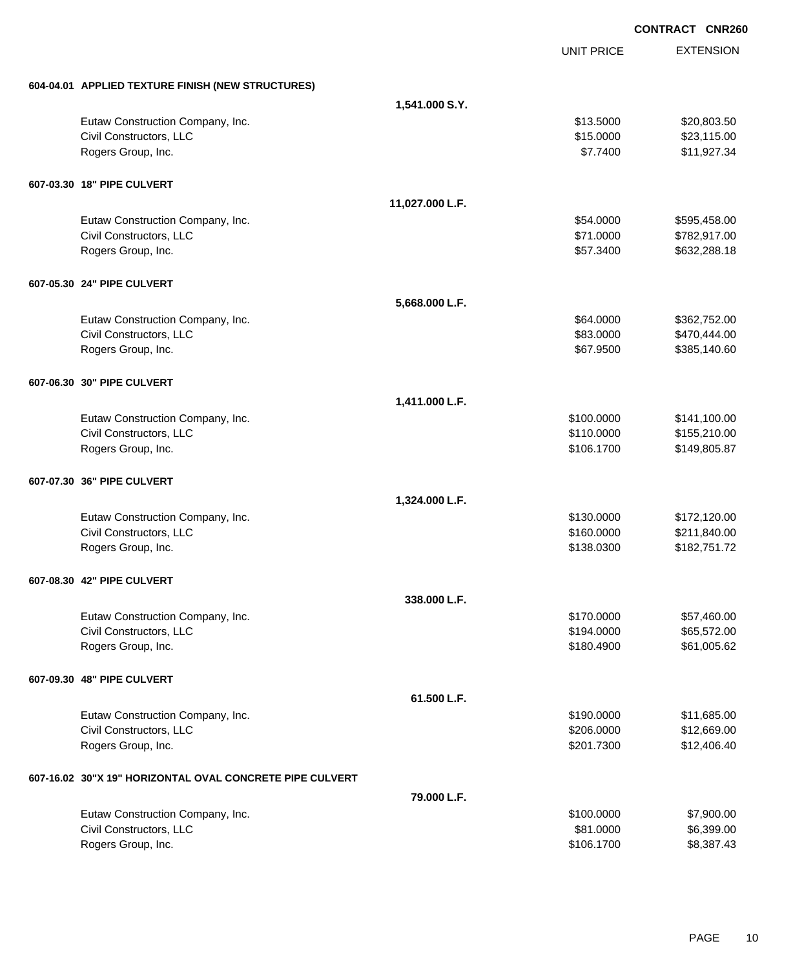|                                                          |                 | <b>CONTRACT CNR260</b> |                  |
|----------------------------------------------------------|-----------------|------------------------|------------------|
|                                                          |                 | <b>UNIT PRICE</b>      | <b>EXTENSION</b> |
| 604-04.01 APPLIED TEXTURE FINISH (NEW STRUCTURES)        |                 |                        |                  |
|                                                          | 1,541.000 S.Y.  |                        |                  |
| Eutaw Construction Company, Inc.                         |                 | \$13.5000              | \$20,803.50      |
| Civil Constructors, LLC                                  |                 | \$15.0000              | \$23,115.00      |
| Rogers Group, Inc.                                       |                 | \$7.7400               | \$11,927.34      |
| 607-03.30 18" PIPE CULVERT                               |                 |                        |                  |
|                                                          | 11,027.000 L.F. |                        |                  |
| Eutaw Construction Company, Inc.                         |                 | \$54.0000              | \$595,458.00     |
| Civil Constructors, LLC                                  |                 | \$71.0000              | \$782,917.00     |
| Rogers Group, Inc.                                       |                 | \$57.3400              | \$632,288.18     |
| 607-05.30 24" PIPE CULVERT                               |                 |                        |                  |
|                                                          | 5,668.000 L.F.  |                        |                  |
| Eutaw Construction Company, Inc.                         |                 | \$64.0000              | \$362,752.00     |
| Civil Constructors, LLC                                  |                 | \$83.0000              | \$470,444.00     |
| Rogers Group, Inc.                                       |                 | \$67.9500              | \$385,140.60     |
| 607-06.30 30" PIPE CULVERT                               |                 |                        |                  |
|                                                          | 1,411.000 L.F.  |                        |                  |
| Eutaw Construction Company, Inc.                         |                 | \$100.0000             | \$141,100.00     |
| Civil Constructors, LLC                                  |                 | \$110.0000             | \$155,210.00     |
| Rogers Group, Inc.                                       |                 | \$106.1700             | \$149,805.87     |
| 607-07.30 36" PIPE CULVERT                               |                 |                        |                  |
|                                                          | 1,324.000 L.F.  |                        |                  |
| Eutaw Construction Company, Inc.                         |                 | \$130.0000             | \$172,120.00     |
| Civil Constructors, LLC                                  |                 | \$160.0000             | \$211,840.00     |
| Rogers Group, Inc.                                       |                 | \$138.0300             | \$182,751.72     |
| 607-08.30 42" PIPE CULVERT                               |                 |                        |                  |
|                                                          | 338.000 L.F.    |                        |                  |
| Eutaw Construction Company, Inc.                         |                 | \$170.0000             | \$57,460.00      |
| Civil Constructors, LLC                                  |                 | \$194.0000             | \$65,572.00      |
| Rogers Group, Inc.                                       |                 | \$180.4900             | \$61,005.62      |
| 607-09.30 48" PIPE CULVERT                               |                 |                        |                  |
|                                                          | 61.500 L.F.     |                        |                  |
| Eutaw Construction Company, Inc.                         |                 | \$190.0000             | \$11,685.00      |
| Civil Constructors, LLC                                  |                 | \$206.0000             | \$12,669.00      |
| Rogers Group, Inc.                                       |                 | \$201.7300             | \$12,406.40      |
| 607-16.02 30"X 19" HORIZONTAL OVAL CONCRETE PIPE CULVERT |                 |                        |                  |
|                                                          | 79.000 L.F.     |                        |                  |
| Eutaw Construction Company, Inc.                         |                 | \$100.0000             | \$7,900.00       |
| Civil Constructors, LLC                                  |                 | \$81.0000              | \$6,399.00       |
| Rogers Group, Inc.                                       |                 | \$106.1700             | \$8,387.43       |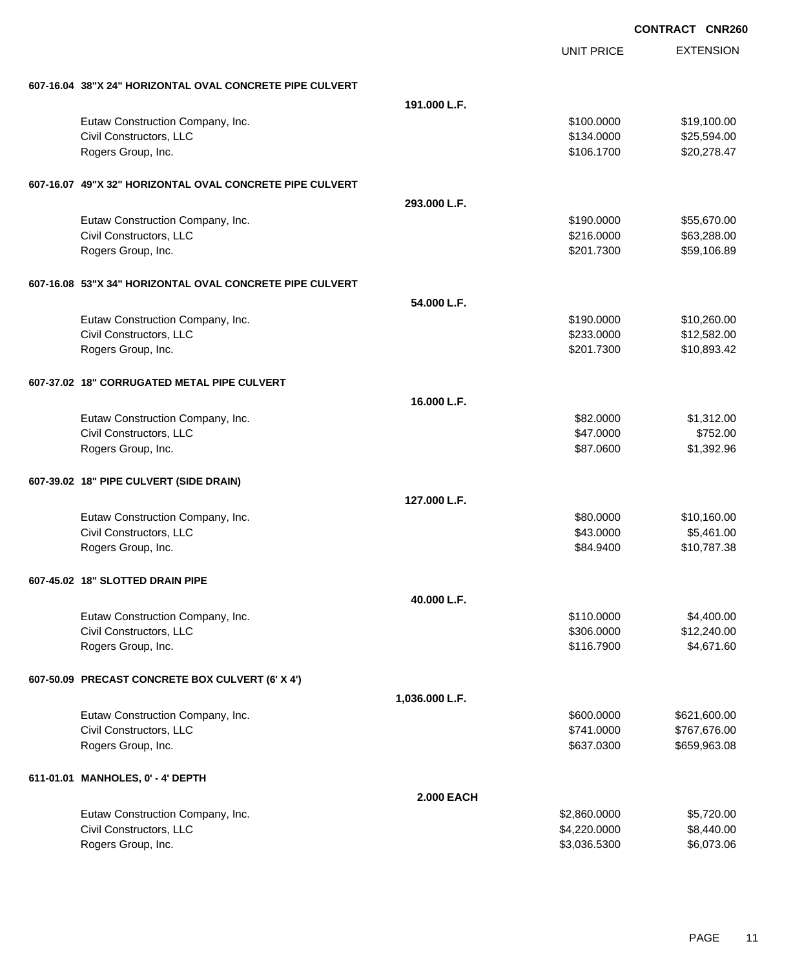**EXTENSION CONTRACT CNR260** UNIT PRICE **607-16.04 38"X 24" HORIZONTAL OVAL CONCRETE PIPE CULVERT 191.000 L.F.** Eutaw Construction Company, Inc. 6. 2012 12:30 12:30 12:30 12:30 12:30 12:30 12:30 12:30 12:30 12:30 12:30 12:30 12:30 12:30 12:30 12:30 12:30 12:30 12:30 12:30 12:30 12:30 12:30 12:30 12:30 12:30 12:30 12:30 12:30 12:30 1 Civil Constructors, LLC 625,594.00 Rogers Group, Inc. \$20,278.47 **607-16.07 49"X 32" HORIZONTAL OVAL CONCRETE PIPE CULVERT 293.000 L.F.** Eutaw Construction Company, Inc. 6. The Construction Company, Inc. 6. The Construction Company, Inc. 6. The Construction Company, Inc. 6. The Construction Company, Inc. 6. The Construction Company, Inc. 6. The Construction Civil Constructors, LLC 663,288.00 Rogers Group, Inc. \$201.7300 \$59,106.89 **607-16.08 53"X 34" HORIZONTAL OVAL CONCRETE PIPE CULVERT 54.000 L.F.** Eutaw Construction Company, Inc. 6. The Construction Company, Inc. 6. The Construction Company, Inc. 6. The Construction Company, Inc. 6. The Construction Company, Inc. 6. The Construction Company, Inc. 6. The Construction Civil Constructors, LLC 612,582.00 Rogers Group, Inc. \$201.7300 \$10,893.42 **607-37.02 18" CORRUGATED METAL PIPE CULVERT 16.000 L.F.** Eutaw Construction Company, Inc. 6. The Construction Company, Inc. 6. The Construction Company, Inc. 6. The Construction Company, Inc. 6. The Construction Company, Inc. 6. The Construction Company, Inc. 6. The Construction Civil Constructors, LLC 6752.00 Rogers Group, Inc. \$87.0600 \$1,392.96 **607-39.02 18" PIPE CULVERT (SIDE DRAIN) 127.000 L.F.** Eutaw Construction Company, Inc. 6. The Construction Company, Inc. 6. The Construction Company, Inc. 6. The Construction Company, Inc. 6. The Construction Company, Inc. 6. The Construction Company, Inc. 6. The Construction Civil Constructors, LLC 65,461.00 Rogers Group, Inc. \$84.9400 \$10,787.38 **607-45.02 18" SLOTTED DRAIN PIPE 40.000 L.F.** Eutaw Construction Company, Inc. 6. The Construction Company, Inc. 6. The Construction Company, Inc. 6. The Construction Company, Inc. 6. The Construction Company, Inc. 6. The Construction Company, Inc. 6. The Construction Civil Constructors, LLC 612,240.00 Rogers Group, Inc. \$116.7900 \$4,671.60 **607-50.09 PRECAST CONCRETE BOX CULVERT (6' X 4') 1,036.000 L.F.** Eutaw Construction Company, Inc.  $$600.000$  \$621,600.00 Civil Constructors, LLC 6.000 \$767,676.00 Rogers Group, Inc. \$659,963.08 **611-01.01 MANHOLES, 0' - 4' DEPTH 2.000 EACH** Eutaw Construction Company, Inc. 6. 2.660.0000 \$5,720.00 Civil Constructors, LLC 6.440.00 Rogers Group, Inc. \$3,036.5300 \$6,073.06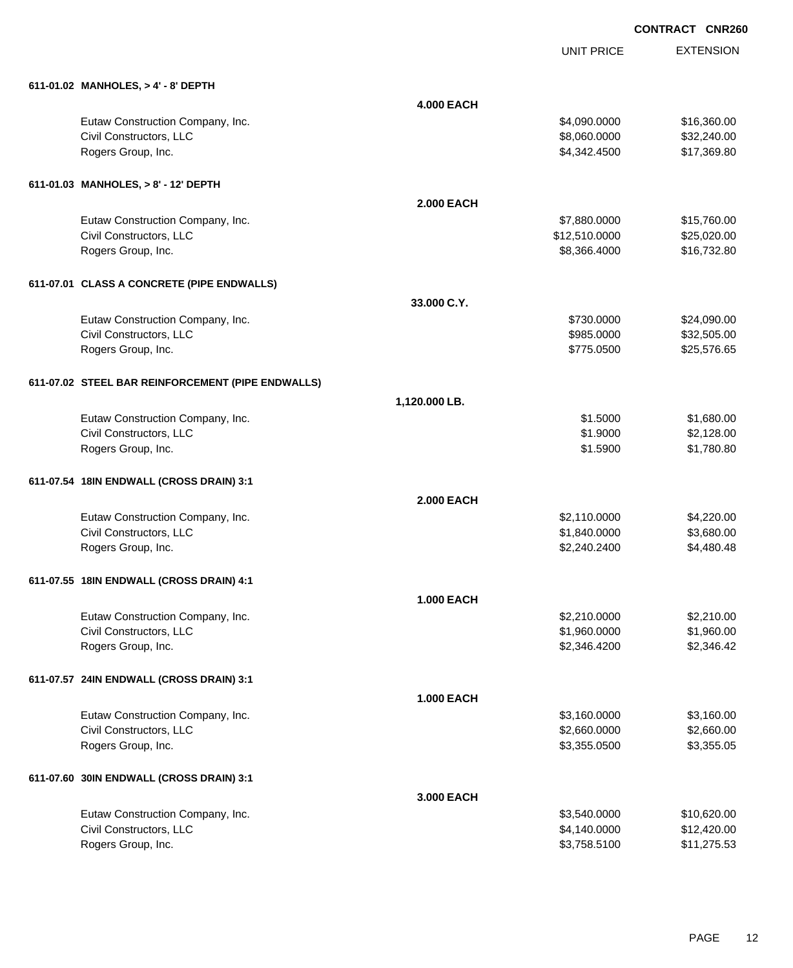|  | 611-01.02 MANHOLES. > 4' - 8' DEPTH |
|--|-------------------------------------|
|  |                                     |

| 611-01.02 MANHOLES, > 4' - 8' DEPTH               |                   |               |             |
|---------------------------------------------------|-------------------|---------------|-------------|
|                                                   | <b>4.000 EACH</b> |               |             |
| Eutaw Construction Company, Inc.                  |                   | \$4,090.0000  | \$16,360.00 |
| Civil Constructors, LLC                           |                   | \$8,060.0000  | \$32,240.00 |
| Rogers Group, Inc.                                |                   | \$4,342.4500  | \$17,369.80 |
| 611-01.03 MANHOLES, > 8' - 12' DEPTH              |                   |               |             |
|                                                   | <b>2.000 EACH</b> |               |             |
| Eutaw Construction Company, Inc.                  |                   | \$7,880.0000  | \$15,760.00 |
| Civil Constructors, LLC                           |                   | \$12,510.0000 | \$25,020.00 |
| Rogers Group, Inc.                                |                   | \$8,366.4000  | \$16,732.80 |
| 611-07.01 CLASS A CONCRETE (PIPE ENDWALLS)        |                   |               |             |
|                                                   | 33,000 C.Y.       |               |             |
| Eutaw Construction Company, Inc.                  |                   | \$730.0000    | \$24,090.00 |
| Civil Constructors, LLC                           |                   | \$985.0000    | \$32,505.00 |
| Rogers Group, Inc.                                |                   | \$775.0500    | \$25,576.65 |
| 611-07.02 STEEL BAR REINFORCEMENT (PIPE ENDWALLS) |                   |               |             |
|                                                   | 1,120.000 LB.     |               |             |
| Eutaw Construction Company, Inc.                  |                   | \$1.5000      | \$1,680.00  |
| Civil Constructors, LLC                           |                   | \$1.9000      | \$2,128.00  |
| Rogers Group, Inc.                                |                   | \$1.5900      | \$1,780.80  |
| 611-07.54 18IN ENDWALL (CROSS DRAIN) 3:1          |                   |               |             |
|                                                   | <b>2.000 EACH</b> |               |             |
| Eutaw Construction Company, Inc.                  |                   | \$2,110.0000  | \$4,220.00  |
| Civil Constructors, LLC                           |                   | \$1,840.0000  | \$3,680.00  |
| Rogers Group, Inc.                                |                   | \$2,240.2400  | \$4,480.48  |
| 611-07.55 18IN ENDWALL (CROSS DRAIN) 4:1          |                   |               |             |
|                                                   | <b>1.000 EACH</b> |               |             |
| Eutaw Construction Company, Inc.                  |                   | \$2,210.0000  | \$2,210.00  |
| Civil Constructors, LLC                           |                   | \$1,960.0000  | \$1,960.00  |
| Rogers Group, Inc.                                |                   | \$2,346.4200  | \$2,346.42  |
| 611-07.57 24IN ENDWALL (CROSS DRAIN) 3:1          |                   |               |             |
|                                                   | <b>1.000 EACH</b> |               |             |
| Eutaw Construction Company, Inc.                  |                   | \$3,160.0000  | \$3,160.00  |
| Civil Constructors, LLC                           |                   | \$2,660.0000  | \$2,660.00  |
| Rogers Group, Inc.                                |                   | \$3,355.0500  | \$3,355.05  |
| 611-07.60 30IN ENDWALL (CROSS DRAIN) 3:1          |                   |               |             |
|                                                   | 3.000 EACH        |               |             |
| Eutaw Construction Company, Inc.                  |                   | \$3,540.0000  | \$10,620.00 |
| Civil Constructors, LLC                           |                   | \$4,140.0000  | \$12,420.00 |
| Rogers Group, Inc.                                |                   | \$3,758.5100  | \$11,275.53 |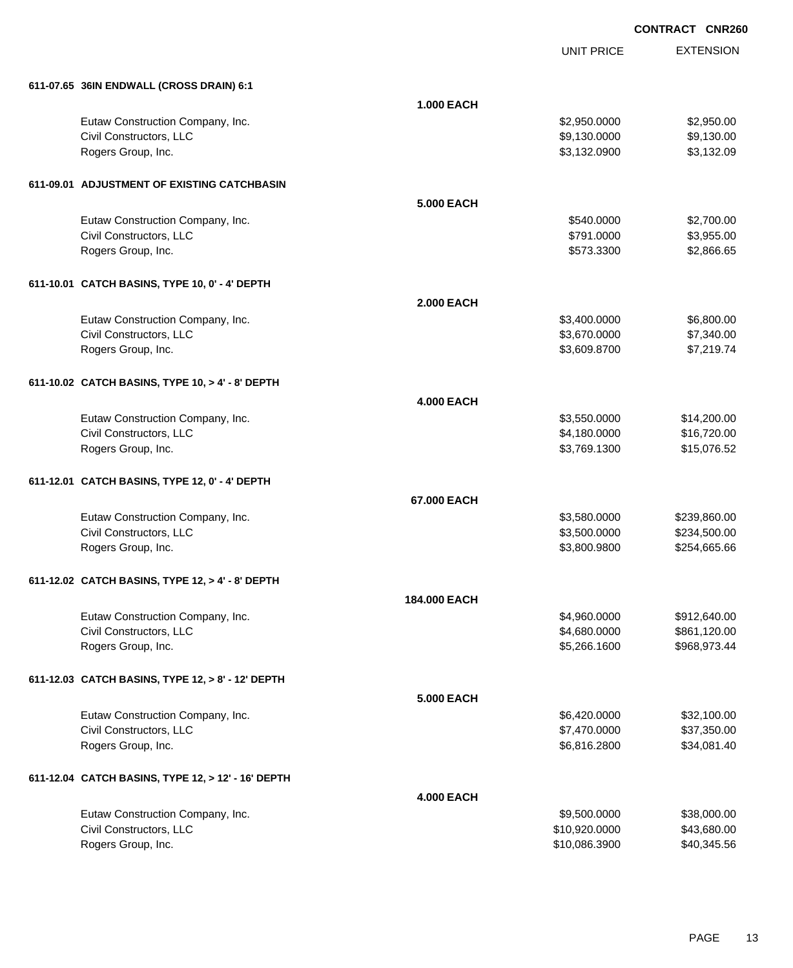| 611-07.65 36IN ENDWALL (CROSS DRAIN) 6:1<br><b>1.000 EACH</b><br>Eutaw Construction Company, Inc.<br>\$2,950.00<br>\$2,950.0000<br>Civil Constructors, LLC<br>\$9,130.00<br>\$9,130.0000<br>Rogers Group, Inc.<br>\$3,132.0900<br>\$3,132.09<br>611-09.01 ADJUSTMENT OF EXISTING CATCHBASIN<br><b>5.000 EACH</b><br>Eutaw Construction Company, Inc.<br>\$2,700.00<br>\$540.0000<br>Civil Constructors, LLC<br>\$3,955.00<br>\$791.0000<br>Rogers Group, Inc.<br>\$573.3300<br>\$2,866.65<br>611-10.01 CATCH BASINS, TYPE 10, 0' - 4' DEPTH<br><b>2.000 EACH</b><br>Eutaw Construction Company, Inc.<br>\$3,400.0000<br>\$6,800.00<br>Civil Constructors, LLC<br>\$3,670.0000<br>\$7,340.00<br>Rogers Group, Inc.<br>\$3,609.8700<br>\$7,219.74<br>611-10.02 CATCH BASINS, TYPE 10, > 4' - 8' DEPTH<br><b>4.000 EACH</b><br>Eutaw Construction Company, Inc.<br>\$3,550.0000<br>\$14,200.00<br>Civil Constructors, LLC<br>\$4,180.0000<br>\$16,720.00<br>Rogers Group, Inc.<br>\$15,076.52<br>\$3,769.1300<br>611-12.01 CATCH BASINS, TYPE 12, 0' - 4' DEPTH<br>67.000 EACH<br>Eutaw Construction Company, Inc.<br>\$3,580.0000<br>\$239,860.00<br>Civil Constructors, LLC<br>\$234,500.00<br>\$3,500.0000<br>Rogers Group, Inc.<br>\$254,665.66<br>\$3,800.9800<br>611-12.02 CATCH BASINS, TYPE 12, > 4' - 8' DEPTH<br>184,000 EACH<br>Eutaw Construction Company, Inc.<br>\$4,960.0000<br>\$912,640.00<br>Civil Constructors, LLC<br>\$4,680.0000<br>\$861,120.00<br>Rogers Group, Inc.<br>\$5,266.1600<br>\$968,973.44<br>611-12.03 CATCH BASINS, TYPE 12, > 8' - 12' DEPTH<br><b>5.000 EACH</b><br>Eutaw Construction Company, Inc.<br>\$32,100.00<br>\$6,420.0000<br>Civil Constructors, LLC<br>\$7,470.0000<br>\$37,350.00<br>Rogers Group, Inc.<br>\$6,816.2800<br>\$34,081.40<br>611-12.04 CATCH BASINS, TYPE 12, > 12' - 16' DEPTH<br><b>4.000 EACH</b><br>Eutaw Construction Company, Inc.<br>\$38,000.00<br>\$9,500.0000<br>Civil Constructors, LLC<br>\$10,920.0000<br>\$43,680.00<br>Rogers Group, Inc.<br>\$40,345.56<br>\$10,086.3900 |  | <b>UNIT PRICE</b> | <b>EXTENSION</b> |
|------------------------------------------------------------------------------------------------------------------------------------------------------------------------------------------------------------------------------------------------------------------------------------------------------------------------------------------------------------------------------------------------------------------------------------------------------------------------------------------------------------------------------------------------------------------------------------------------------------------------------------------------------------------------------------------------------------------------------------------------------------------------------------------------------------------------------------------------------------------------------------------------------------------------------------------------------------------------------------------------------------------------------------------------------------------------------------------------------------------------------------------------------------------------------------------------------------------------------------------------------------------------------------------------------------------------------------------------------------------------------------------------------------------------------------------------------------------------------------------------------------------------------------------------------------------------------------------------------------------------------------------------------------------------------------------------------------------------------------------------------------------------------------------------------------------------------------------------------------------------------------------------------------------------------------------------------------------------------------------------------------------------------------------------------|--|-------------------|------------------|
|                                                                                                                                                                                                                                                                                                                                                                                                                                                                                                                                                                                                                                                                                                                                                                                                                                                                                                                                                                                                                                                                                                                                                                                                                                                                                                                                                                                                                                                                                                                                                                                                                                                                                                                                                                                                                                                                                                                                                                                                                                                      |  |                   |                  |
|                                                                                                                                                                                                                                                                                                                                                                                                                                                                                                                                                                                                                                                                                                                                                                                                                                                                                                                                                                                                                                                                                                                                                                                                                                                                                                                                                                                                                                                                                                                                                                                                                                                                                                                                                                                                                                                                                                                                                                                                                                                      |  |                   |                  |
|                                                                                                                                                                                                                                                                                                                                                                                                                                                                                                                                                                                                                                                                                                                                                                                                                                                                                                                                                                                                                                                                                                                                                                                                                                                                                                                                                                                                                                                                                                                                                                                                                                                                                                                                                                                                                                                                                                                                                                                                                                                      |  |                   |                  |
|                                                                                                                                                                                                                                                                                                                                                                                                                                                                                                                                                                                                                                                                                                                                                                                                                                                                                                                                                                                                                                                                                                                                                                                                                                                                                                                                                                                                                                                                                                                                                                                                                                                                                                                                                                                                                                                                                                                                                                                                                                                      |  |                   |                  |
|                                                                                                                                                                                                                                                                                                                                                                                                                                                                                                                                                                                                                                                                                                                                                                                                                                                                                                                                                                                                                                                                                                                                                                                                                                                                                                                                                                                                                                                                                                                                                                                                                                                                                                                                                                                                                                                                                                                                                                                                                                                      |  |                   |                  |
|                                                                                                                                                                                                                                                                                                                                                                                                                                                                                                                                                                                                                                                                                                                                                                                                                                                                                                                                                                                                                                                                                                                                                                                                                                                                                                                                                                                                                                                                                                                                                                                                                                                                                                                                                                                                                                                                                                                                                                                                                                                      |  |                   |                  |
|                                                                                                                                                                                                                                                                                                                                                                                                                                                                                                                                                                                                                                                                                                                                                                                                                                                                                                                                                                                                                                                                                                                                                                                                                                                                                                                                                                                                                                                                                                                                                                                                                                                                                                                                                                                                                                                                                                                                                                                                                                                      |  |                   |                  |
|                                                                                                                                                                                                                                                                                                                                                                                                                                                                                                                                                                                                                                                                                                                                                                                                                                                                                                                                                                                                                                                                                                                                                                                                                                                                                                                                                                                                                                                                                                                                                                                                                                                                                                                                                                                                                                                                                                                                                                                                                                                      |  |                   |                  |
|                                                                                                                                                                                                                                                                                                                                                                                                                                                                                                                                                                                                                                                                                                                                                                                                                                                                                                                                                                                                                                                                                                                                                                                                                                                                                                                                                                                                                                                                                                                                                                                                                                                                                                                                                                                                                                                                                                                                                                                                                                                      |  |                   |                  |
|                                                                                                                                                                                                                                                                                                                                                                                                                                                                                                                                                                                                                                                                                                                                                                                                                                                                                                                                                                                                                                                                                                                                                                                                                                                                                                                                                                                                                                                                                                                                                                                                                                                                                                                                                                                                                                                                                                                                                                                                                                                      |  |                   |                  |
|                                                                                                                                                                                                                                                                                                                                                                                                                                                                                                                                                                                                                                                                                                                                                                                                                                                                                                                                                                                                                                                                                                                                                                                                                                                                                                                                                                                                                                                                                                                                                                                                                                                                                                                                                                                                                                                                                                                                                                                                                                                      |  |                   |                  |
|                                                                                                                                                                                                                                                                                                                                                                                                                                                                                                                                                                                                                                                                                                                                                                                                                                                                                                                                                                                                                                                                                                                                                                                                                                                                                                                                                                                                                                                                                                                                                                                                                                                                                                                                                                                                                                                                                                                                                                                                                                                      |  |                   |                  |
|                                                                                                                                                                                                                                                                                                                                                                                                                                                                                                                                                                                                                                                                                                                                                                                                                                                                                                                                                                                                                                                                                                                                                                                                                                                                                                                                                                                                                                                                                                                                                                                                                                                                                                                                                                                                                                                                                                                                                                                                                                                      |  |                   |                  |
|                                                                                                                                                                                                                                                                                                                                                                                                                                                                                                                                                                                                                                                                                                                                                                                                                                                                                                                                                                                                                                                                                                                                                                                                                                                                                                                                                                                                                                                                                                                                                                                                                                                                                                                                                                                                                                                                                                                                                                                                                                                      |  |                   |                  |
|                                                                                                                                                                                                                                                                                                                                                                                                                                                                                                                                                                                                                                                                                                                                                                                                                                                                                                                                                                                                                                                                                                                                                                                                                                                                                                                                                                                                                                                                                                                                                                                                                                                                                                                                                                                                                                                                                                                                                                                                                                                      |  |                   |                  |
|                                                                                                                                                                                                                                                                                                                                                                                                                                                                                                                                                                                                                                                                                                                                                                                                                                                                                                                                                                                                                                                                                                                                                                                                                                                                                                                                                                                                                                                                                                                                                                                                                                                                                                                                                                                                                                                                                                                                                                                                                                                      |  |                   |                  |
|                                                                                                                                                                                                                                                                                                                                                                                                                                                                                                                                                                                                                                                                                                                                                                                                                                                                                                                                                                                                                                                                                                                                                                                                                                                                                                                                                                                                                                                                                                                                                                                                                                                                                                                                                                                                                                                                                                                                                                                                                                                      |  |                   |                  |
|                                                                                                                                                                                                                                                                                                                                                                                                                                                                                                                                                                                                                                                                                                                                                                                                                                                                                                                                                                                                                                                                                                                                                                                                                                                                                                                                                                                                                                                                                                                                                                                                                                                                                                                                                                                                                                                                                                                                                                                                                                                      |  |                   |                  |
|                                                                                                                                                                                                                                                                                                                                                                                                                                                                                                                                                                                                                                                                                                                                                                                                                                                                                                                                                                                                                                                                                                                                                                                                                                                                                                                                                                                                                                                                                                                                                                                                                                                                                                                                                                                                                                                                                                                                                                                                                                                      |  |                   |                  |
|                                                                                                                                                                                                                                                                                                                                                                                                                                                                                                                                                                                                                                                                                                                                                                                                                                                                                                                                                                                                                                                                                                                                                                                                                                                                                                                                                                                                                                                                                                                                                                                                                                                                                                                                                                                                                                                                                                                                                                                                                                                      |  |                   |                  |
|                                                                                                                                                                                                                                                                                                                                                                                                                                                                                                                                                                                                                                                                                                                                                                                                                                                                                                                                                                                                                                                                                                                                                                                                                                                                                                                                                                                                                                                                                                                                                                                                                                                                                                                                                                                                                                                                                                                                                                                                                                                      |  |                   |                  |
|                                                                                                                                                                                                                                                                                                                                                                                                                                                                                                                                                                                                                                                                                                                                                                                                                                                                                                                                                                                                                                                                                                                                                                                                                                                                                                                                                                                                                                                                                                                                                                                                                                                                                                                                                                                                                                                                                                                                                                                                                                                      |  |                   |                  |
|                                                                                                                                                                                                                                                                                                                                                                                                                                                                                                                                                                                                                                                                                                                                                                                                                                                                                                                                                                                                                                                                                                                                                                                                                                                                                                                                                                                                                                                                                                                                                                                                                                                                                                                                                                                                                                                                                                                                                                                                                                                      |  |                   |                  |
|                                                                                                                                                                                                                                                                                                                                                                                                                                                                                                                                                                                                                                                                                                                                                                                                                                                                                                                                                                                                                                                                                                                                                                                                                                                                                                                                                                                                                                                                                                                                                                                                                                                                                                                                                                                                                                                                                                                                                                                                                                                      |  |                   |                  |
|                                                                                                                                                                                                                                                                                                                                                                                                                                                                                                                                                                                                                                                                                                                                                                                                                                                                                                                                                                                                                                                                                                                                                                                                                                                                                                                                                                                                                                                                                                                                                                                                                                                                                                                                                                                                                                                                                                                                                                                                                                                      |  |                   |                  |
|                                                                                                                                                                                                                                                                                                                                                                                                                                                                                                                                                                                                                                                                                                                                                                                                                                                                                                                                                                                                                                                                                                                                                                                                                                                                                                                                                                                                                                                                                                                                                                                                                                                                                                                                                                                                                                                                                                                                                                                                                                                      |  |                   |                  |
|                                                                                                                                                                                                                                                                                                                                                                                                                                                                                                                                                                                                                                                                                                                                                                                                                                                                                                                                                                                                                                                                                                                                                                                                                                                                                                                                                                                                                                                                                                                                                                                                                                                                                                                                                                                                                                                                                                                                                                                                                                                      |  |                   |                  |
|                                                                                                                                                                                                                                                                                                                                                                                                                                                                                                                                                                                                                                                                                                                                                                                                                                                                                                                                                                                                                                                                                                                                                                                                                                                                                                                                                                                                                                                                                                                                                                                                                                                                                                                                                                                                                                                                                                                                                                                                                                                      |  |                   |                  |
|                                                                                                                                                                                                                                                                                                                                                                                                                                                                                                                                                                                                                                                                                                                                                                                                                                                                                                                                                                                                                                                                                                                                                                                                                                                                                                                                                                                                                                                                                                                                                                                                                                                                                                                                                                                                                                                                                                                                                                                                                                                      |  |                   |                  |
|                                                                                                                                                                                                                                                                                                                                                                                                                                                                                                                                                                                                                                                                                                                                                                                                                                                                                                                                                                                                                                                                                                                                                                                                                                                                                                                                                                                                                                                                                                                                                                                                                                                                                                                                                                                                                                                                                                                                                                                                                                                      |  |                   |                  |
|                                                                                                                                                                                                                                                                                                                                                                                                                                                                                                                                                                                                                                                                                                                                                                                                                                                                                                                                                                                                                                                                                                                                                                                                                                                                                                                                                                                                                                                                                                                                                                                                                                                                                                                                                                                                                                                                                                                                                                                                                                                      |  |                   |                  |
|                                                                                                                                                                                                                                                                                                                                                                                                                                                                                                                                                                                                                                                                                                                                                                                                                                                                                                                                                                                                                                                                                                                                                                                                                                                                                                                                                                                                                                                                                                                                                                                                                                                                                                                                                                                                                                                                                                                                                                                                                                                      |  |                   |                  |
|                                                                                                                                                                                                                                                                                                                                                                                                                                                                                                                                                                                                                                                                                                                                                                                                                                                                                                                                                                                                                                                                                                                                                                                                                                                                                                                                                                                                                                                                                                                                                                                                                                                                                                                                                                                                                                                                                                                                                                                                                                                      |  |                   |                  |
|                                                                                                                                                                                                                                                                                                                                                                                                                                                                                                                                                                                                                                                                                                                                                                                                                                                                                                                                                                                                                                                                                                                                                                                                                                                                                                                                                                                                                                                                                                                                                                                                                                                                                                                                                                                                                                                                                                                                                                                                                                                      |  |                   |                  |
|                                                                                                                                                                                                                                                                                                                                                                                                                                                                                                                                                                                                                                                                                                                                                                                                                                                                                                                                                                                                                                                                                                                                                                                                                                                                                                                                                                                                                                                                                                                                                                                                                                                                                                                                                                                                                                                                                                                                                                                                                                                      |  |                   |                  |
|                                                                                                                                                                                                                                                                                                                                                                                                                                                                                                                                                                                                                                                                                                                                                                                                                                                                                                                                                                                                                                                                                                                                                                                                                                                                                                                                                                                                                                                                                                                                                                                                                                                                                                                                                                                                                                                                                                                                                                                                                                                      |  |                   |                  |
|                                                                                                                                                                                                                                                                                                                                                                                                                                                                                                                                                                                                                                                                                                                                                                                                                                                                                                                                                                                                                                                                                                                                                                                                                                                                                                                                                                                                                                                                                                                                                                                                                                                                                                                                                                                                                                                                                                                                                                                                                                                      |  |                   |                  |
|                                                                                                                                                                                                                                                                                                                                                                                                                                                                                                                                                                                                                                                                                                                                                                                                                                                                                                                                                                                                                                                                                                                                                                                                                                                                                                                                                                                                                                                                                                                                                                                                                                                                                                                                                                                                                                                                                                                                                                                                                                                      |  |                   |                  |
|                                                                                                                                                                                                                                                                                                                                                                                                                                                                                                                                                                                                                                                                                                                                                                                                                                                                                                                                                                                                                                                                                                                                                                                                                                                                                                                                                                                                                                                                                                                                                                                                                                                                                                                                                                                                                                                                                                                                                                                                                                                      |  |                   |                  |
|                                                                                                                                                                                                                                                                                                                                                                                                                                                                                                                                                                                                                                                                                                                                                                                                                                                                                                                                                                                                                                                                                                                                                                                                                                                                                                                                                                                                                                                                                                                                                                                                                                                                                                                                                                                                                                                                                                                                                                                                                                                      |  |                   |                  |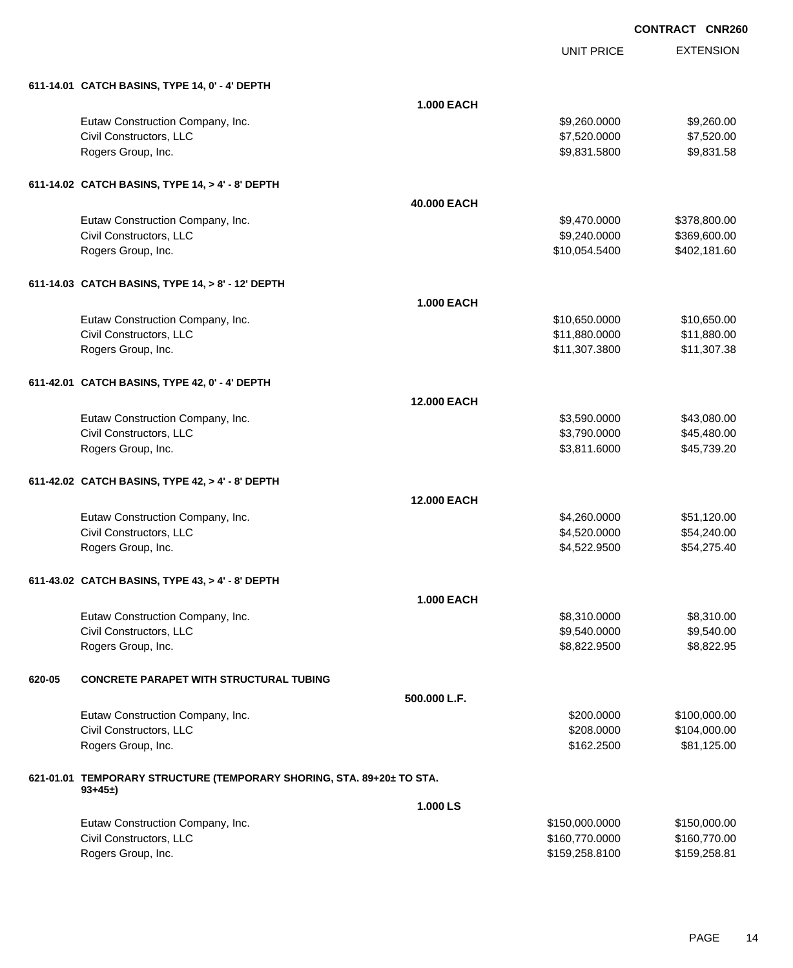$$9,260.0000$  \$9,260.00  $$7,520.0000$   $$7,520.00$ \$9,831.5800 \$9,831.58

UNIT PRICE

EXTENSION

| 611-14.01 CATCH BASINS, TYPE 14, 0' - 4' DEPTH                                    |  |  |
|-----------------------------------------------------------------------------------|--|--|
| Eutaw Construction Company, Inc.<br>Civil Constructors, LLC<br>Rogers Group, Inc. |  |  |

|        | 611-14.02 CATCH BASINS, TYPE 14, > 4' - 8' DEPTH                      |                    |               |              |  |  |
|--------|-----------------------------------------------------------------------|--------------------|---------------|--------------|--|--|
|        |                                                                       | 40.000 EACH        |               |              |  |  |
|        | Eutaw Construction Company, Inc.                                      |                    | \$9,470.0000  | \$378,800.00 |  |  |
|        | Civil Constructors, LLC                                               |                    | \$9,240.0000  | \$369,600.00 |  |  |
|        | Rogers Group, Inc.                                                    |                    | \$10,054.5400 | \$402,181.60 |  |  |
|        | 611-14.03 CATCH BASINS, TYPE 14, > 8' - 12' DEPTH                     |                    |               |              |  |  |
|        |                                                                       | <b>1.000 EACH</b>  |               |              |  |  |
|        | Eutaw Construction Company, Inc.                                      |                    | \$10,650.0000 | \$10,650.00  |  |  |
|        | Civil Constructors, LLC                                               |                    | \$11,880.0000 | \$11,880.00  |  |  |
|        | Rogers Group, Inc.                                                    |                    | \$11,307.3800 | \$11,307.38  |  |  |
|        | 611-42.01 CATCH BASINS, TYPE 42, 0' - 4' DEPTH                        |                    |               |              |  |  |
|        |                                                                       | <b>12.000 EACH</b> |               |              |  |  |
|        | Eutaw Construction Company, Inc.                                      |                    | \$3,590.0000  | \$43,080.00  |  |  |
|        | Civil Constructors, LLC                                               |                    | \$3,790.0000  | \$45,480.00  |  |  |
|        | Rogers Group, Inc.                                                    |                    | \$3,811.6000  | \$45,739.20  |  |  |
|        | 611-42.02 CATCH BASINS, TYPE 42, > 4' - 8' DEPTH                      |                    |               |              |  |  |
|        |                                                                       | <b>12.000 EACH</b> |               |              |  |  |
|        | Eutaw Construction Company, Inc.                                      |                    | \$4,260.0000  | \$51,120.00  |  |  |
|        | Civil Constructors, LLC                                               |                    | \$4,520.0000  | \$54,240.00  |  |  |
|        | Rogers Group, Inc.                                                    |                    | \$4,522.9500  | \$54,275.40  |  |  |
|        | 611-43.02 CATCH BASINS, TYPE 43, > 4' - 8' DEPTH                      |                    |               |              |  |  |
|        |                                                                       | 1.000 EACH         |               |              |  |  |
|        | Eutaw Construction Company, Inc.                                      |                    | \$8,310.0000  | \$8,310.00   |  |  |
|        | Civil Constructors, LLC                                               |                    | \$9,540.0000  | \$9,540.00   |  |  |
|        | Rogers Group, Inc.                                                    |                    | \$8,822.9500  | \$8,822.95   |  |  |
| 620-05 | <b>CONCRETE PARAPET WITH STRUCTURAL TUBING</b>                        |                    |               |              |  |  |
|        | 500.000 L.F.                                                          |                    |               |              |  |  |
|        | Eutaw Construction Company, Inc.                                      |                    | \$200.0000    | \$100,000.00 |  |  |
|        | Civil Constructors, LLC                                               |                    | \$208.0000    | \$104,000.00 |  |  |
|        | Rogers Group, Inc.                                                    |                    | \$162.2500    | \$81,125.00  |  |  |
|        | 621-01.01 TEMPORARY STRUCTURE (TEMPORARY SHORING, STA. 89+20± TO STA. |                    |               |              |  |  |
|        | $93+45+$                                                              |                    |               |              |  |  |

**1.000 EACH**

**1.000 LS** Eutaw Construction Company, Inc. 6. 2012 12:30 12:30 12:30 12:30 12:30 12:30 12:30 12:30 12:30 12:30 12:30 12:30 12:30 12:30 12:30 12:30 12:30 12:30 12:30 12:30 12:30 12:30 12:30 12:30 12:30 12:30 12:30 12:30 12:30 12:30 1 Civil Constructors, LLC 60,770.0000 \$160,770.000 \$160,770.000 Rogers Group, Inc. \$159,258.8100 \$159,258.8100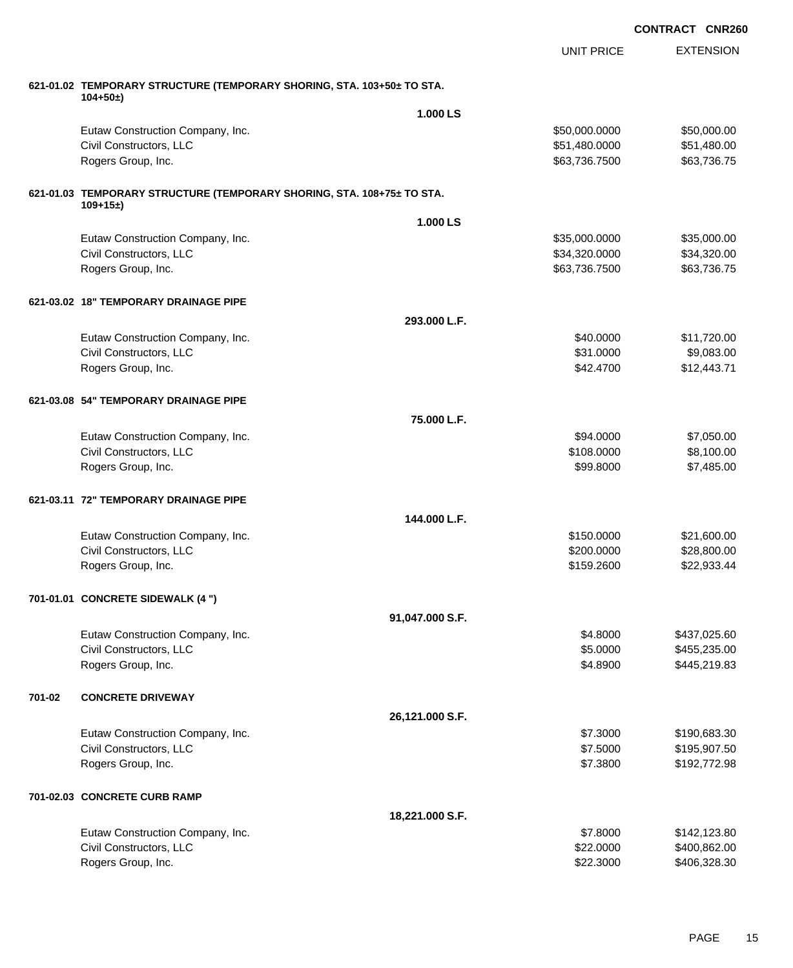EXTENSION UNIT PRICE **621-01.02 TEMPORARY STRUCTURE (TEMPORARY SHORING, STA. 103+50± TO STA. 104+50±) 1.000 LS** Eutaw Construction Company, Inc. 6. The Construction Company, Inc. 6. The Construction Company, Inc. 6. The Construction Company, Inc. 6. The Construction Company, Inc. 6. The Construction Company, Inc. 6. The Construction Civil Constructors, LLC 651,480.000 \$51,480.000 \$51,480.000 Rogers Group, Inc. \$63,736.7500 \$63,736.7500 \$63,736.7500 \$63,736.7500 \$63,736.7500 \$63,736.7500 \$63,736.75 **621-01.03 TEMPORARY STRUCTURE (TEMPORARY SHORING, STA. 108+75± TO STA. 109+15±) 1.000 LS** Eutaw Construction Company, Inc. 6. The Construction Company, Inc. 6. The Construction Company, Inc. 6. The Construction Company, Inc. 6. The Construction Company, Inc. 6. The Construction Company, Inc. 6. The Construction Civil Constructors, LLC 634,320.000 \$34,320.000 \$34,320.000 \$34,320.000 \$34,320.000 \$34,320.000 \$34,320.00 Rogers Group, Inc. \$63,736.7500 \$63,736.7500 \$63,736.7500 \$63,736.7500 \$63,736.7500 \$63,736.7500 \$63,736.75 **621-03.02 18" TEMPORARY DRAINAGE PIPE 293.000 L.F.** Eutaw Construction Company, Inc. 6. The Construction Company, Inc. 6. The Construction Company, Inc. 6. The Construction Company, Inc. 6. The Construction Company, Inc. 6. The Construction Company, Inc. 6. The Construction Civil Constructors, LLC 6. The State of the State of the State of State of State of State of State of State of State of State of State of State of State of State of State of State of State of State of State of State of Sta Rogers Group, Inc. \$12,443.71 \$12,443.71 \$12,443.71 \$12,443.71 \$12,443.71 \$12,443.71 \$12,443.71 \$12,443.71 \$12,5 **621-03.08 54" TEMPORARY DRAINAGE PIPE 75.000 L.F.** Eutaw Construction Company, Inc. 6. The Construction Company, Inc. 6. The Construction Company, Inc. 6. The Construction Company, Inc. 6. The Construction Company, Inc. 6. The Construction Company, Inc. 6. The Construction Civil Constructors, LLC 6.100.000 \$8,100.00 Rogers Group, Inc. \$99.8000 \$7,485.00 **621-03.11 72" TEMPORARY DRAINAGE PIPE 144.000 L.F.** Eutaw Construction Company, Inc. 6. The Construction Company, Inc. 6. The Construction Company, Inc. 6. The Construction Company, Inc. 6. The Construction Company, Inc. 6. The Construction Company, Inc. 6. The Construction Civil Constructors, LLC 628,800.000 \$28,800.00 Rogers Group, Inc. \$22,933.44  $\frac{1}{2}$ **701-01.01 CONCRETE SIDEWALK (4 ") 91,047.000 S.F.** Eutaw Construction Company, Inc. 6. The Construction Company, Inc. 6. The Construction Company, Inc. 69.8000 \$437,025.60 Civil Constructors, LLC 6.0000 \$455,235.00 Rogers Group, Inc. \$4.45,219.83 **701-02 CONCRETE DRIVEWAY 26,121.000 S.F.** Eutaw Construction Company, Inc. 6. 2012 12:3000 \$190,683.30 Civil Constructors, LLC 6.5000 \$195,907.50 Rogers Group, Inc. \$192,772.98 **701-02.03 CONCRETE CURB RAMP 18,221.000 S.F.** Eutaw Construction Company, Inc. 6. The Construction Company, Inc. 6. The Construction Company, Inc. 6. The Construction Company, Inc. 6. The Construction Company, Inc. 6. The Construction Company, Inc. 6. The Construction Civil Constructors, LLC 6. 2000 \$400,862.00

Rogers Group, Inc. \$22.3000 \$406,328.30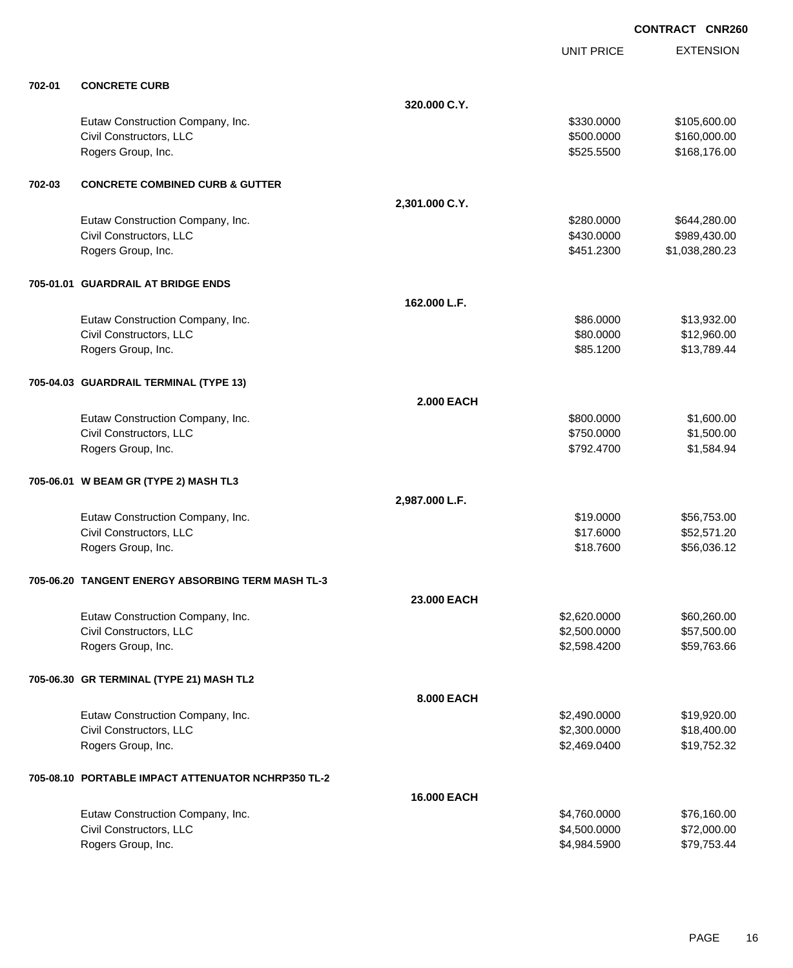|        |                                                    |                    | <b>UNIT PRICE</b> | <b>EXTENSION</b> |
|--------|----------------------------------------------------|--------------------|-------------------|------------------|
| 702-01 | <b>CONCRETE CURB</b>                               |                    |                   |                  |
|        |                                                    | 320,000 C.Y.       |                   |                  |
|        | Eutaw Construction Company, Inc.                   |                    | \$330.0000        | \$105,600.00     |
|        | Civil Constructors, LLC                            |                    | \$500.0000        | \$160,000.00     |
|        | Rogers Group, Inc.                                 |                    | \$525.5500        | \$168,176.00     |
| 702-03 | <b>CONCRETE COMBINED CURB &amp; GUTTER</b>         |                    |                   |                  |
|        |                                                    | 2,301.000 C.Y.     |                   |                  |
|        | Eutaw Construction Company, Inc.                   |                    | \$280.0000        | \$644,280.00     |
|        | Civil Constructors, LLC                            |                    | \$430.0000        | \$989,430.00     |
|        | Rogers Group, Inc.                                 |                    | \$451.2300        | \$1,038,280.23   |
|        | 705-01.01 GUARDRAIL AT BRIDGE ENDS                 |                    |                   |                  |
|        |                                                    | 162.000 L.F.       |                   |                  |
|        | Eutaw Construction Company, Inc.                   |                    | \$86.0000         | \$13,932.00      |
|        | Civil Constructors, LLC                            |                    | \$80.0000         | \$12,960.00      |
|        | Rogers Group, Inc.                                 |                    | \$85.1200         | \$13,789.44      |
|        | 705-04.03 GUARDRAIL TERMINAL (TYPE 13)             |                    |                   |                  |
|        |                                                    | <b>2.000 EACH</b>  |                   |                  |
|        | Eutaw Construction Company, Inc.                   |                    | \$800.0000        | \$1,600.00       |
|        | Civil Constructors, LLC                            |                    | \$750.0000        | \$1,500.00       |
|        | Rogers Group, Inc.                                 |                    | \$792.4700        | \$1,584.94       |
|        | 705-06.01 W BEAM GR (TYPE 2) MASH TL3              |                    |                   |                  |
|        |                                                    | 2,987.000 L.F.     |                   |                  |
|        | Eutaw Construction Company, Inc.                   |                    | \$19.0000         | \$56,753.00      |
|        | Civil Constructors, LLC                            |                    | \$17.6000         | \$52,571.20      |
|        | Rogers Group, Inc.                                 |                    | \$18.7600         | \$56,036.12      |
|        | 705-06.20 TANGENT ENERGY ABSORBING TERM MASH TL-3  |                    |                   |                  |
|        |                                                    | 23.000 EACH        |                   |                  |
|        | Eutaw Construction Company, Inc.                   |                    | \$2,620.0000      | \$60,260.00      |
|        | Civil Constructors, LLC                            |                    | \$2,500.0000      | \$57,500.00      |
|        | Rogers Group, Inc.                                 |                    | \$2,598.4200      | \$59,763.66      |
|        | 705-06.30 GR TERMINAL (TYPE 21) MASH TL2           |                    |                   |                  |
|        |                                                    | 8.000 EACH         |                   |                  |
|        | Eutaw Construction Company, Inc.                   |                    | \$2,490.0000      | \$19,920.00      |
|        | Civil Constructors, LLC                            |                    | \$2,300.0000      | \$18,400.00      |
|        | Rogers Group, Inc.                                 |                    | \$2,469.0400      | \$19,752.32      |
|        | 705-08.10 PORTABLE IMPACT ATTENUATOR NCHRP350 TL-2 |                    |                   |                  |
|        |                                                    | <b>16,000 EACH</b> |                   |                  |
|        | Eutaw Construction Company, Inc.                   |                    | \$4,760.0000      | \$76,160.00      |
|        | Civil Constructors, LLC                            |                    | \$4,500.0000      | \$72,000.00      |
|        | Rogers Group, Inc.                                 |                    | \$4,984.5900      | \$79,753.44      |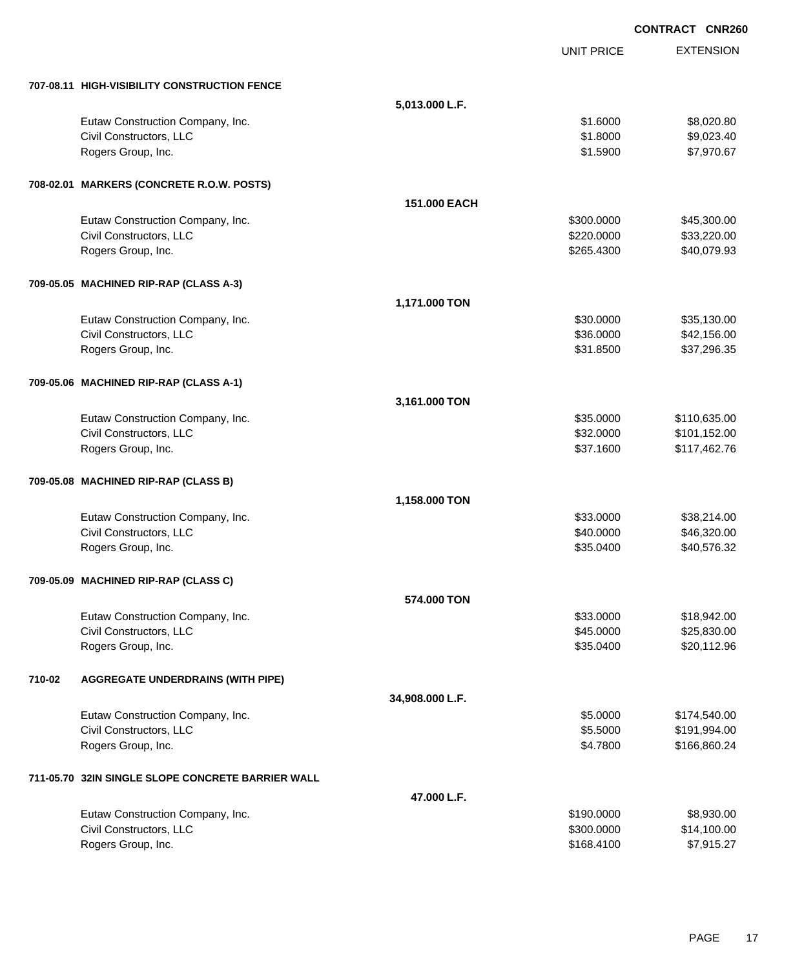|        |                                                   |                 |                   | <b>CONTRACT CNR260</b> |
|--------|---------------------------------------------------|-----------------|-------------------|------------------------|
|        |                                                   |                 | <b>UNIT PRICE</b> | <b>EXTENSION</b>       |
|        | 707-08.11 HIGH-VISIBILITY CONSTRUCTION FENCE      |                 |                   |                        |
|        |                                                   | 5,013.000 L.F.  |                   |                        |
|        | Eutaw Construction Company, Inc.                  |                 | \$1.6000          | \$8,020.80             |
|        | Civil Constructors, LLC                           |                 | \$1.8000          | \$9,023.40             |
|        | Rogers Group, Inc.                                |                 | \$1.5900          | \$7,970.67             |
|        | 708-02.01 MARKERS (CONCRETE R.O.W. POSTS)         |                 |                   |                        |
|        |                                                   | 151.000 EACH    |                   |                        |
|        | Eutaw Construction Company, Inc.                  |                 | \$300.0000        | \$45,300.00            |
|        | Civil Constructors, LLC                           |                 | \$220.0000        | \$33,220.00            |
|        | Rogers Group, Inc.                                |                 | \$265.4300        | \$40,079.93            |
|        | 709-05.05 MACHINED RIP-RAP (CLASS A-3)            |                 |                   |                        |
|        |                                                   | 1,171.000 TON   |                   |                        |
|        | Eutaw Construction Company, Inc.                  |                 | \$30.0000         | \$35,130.00            |
|        | Civil Constructors, LLC                           |                 | \$36.0000         | \$42,156.00            |
|        | Rogers Group, Inc.                                |                 | \$31.8500         | \$37,296.35            |
|        | 709-05.06 MACHINED RIP-RAP (CLASS A-1)            |                 |                   |                        |
|        |                                                   | 3,161.000 TON   |                   |                        |
|        | Eutaw Construction Company, Inc.                  |                 | \$35.0000         | \$110,635.00           |
|        | Civil Constructors, LLC                           |                 | \$32.0000         | \$101,152.00           |
|        | Rogers Group, Inc.                                |                 | \$37.1600         | \$117,462.76           |
|        | 709-05.08 MACHINED RIP-RAP (CLASS B)              |                 |                   |                        |
|        |                                                   | 1,158.000 TON   |                   |                        |
|        | Eutaw Construction Company, Inc.                  |                 | \$33.0000         | \$38,214.00            |
|        | Civil Constructors, LLC                           |                 | \$40.0000         | \$46,320.00            |
|        | Rogers Group, Inc.                                |                 | \$35.0400         | \$40,576.32            |
|        | 709-05.09 MACHINED RIP-RAP (CLASS C)              |                 |                   |                        |
|        |                                                   | 574,000 TON     |                   |                        |
|        | Eutaw Construction Company, Inc.                  |                 | \$33.0000         | \$18,942.00            |
|        | Civil Constructors, LLC                           |                 | \$45.0000         | \$25,830.00            |
|        | Rogers Group, Inc.                                |                 | \$35.0400         | \$20,112.96            |
| 710-02 | <b>AGGREGATE UNDERDRAINS (WITH PIPE)</b>          |                 |                   |                        |
|        |                                                   | 34,908.000 L.F. |                   |                        |
|        | Eutaw Construction Company, Inc.                  |                 | \$5.0000          | \$174,540.00           |
|        | Civil Constructors, LLC                           |                 | \$5.5000          | \$191,994.00           |
|        | Rogers Group, Inc.                                |                 | \$4.7800          | \$166,860.24           |
|        | 711-05.70 32IN SINGLE SLOPE CONCRETE BARRIER WALL |                 |                   |                        |
|        |                                                   | 47.000 L.F.     |                   |                        |
|        | Eutaw Construction Company, Inc.                  |                 | \$190.0000        | \$8,930.00             |
|        | Civil Constructors, LLC                           |                 | \$300.0000        | \$14,100.00            |
|        | Rogers Group, Inc.                                |                 | \$168.4100        | \$7,915.27             |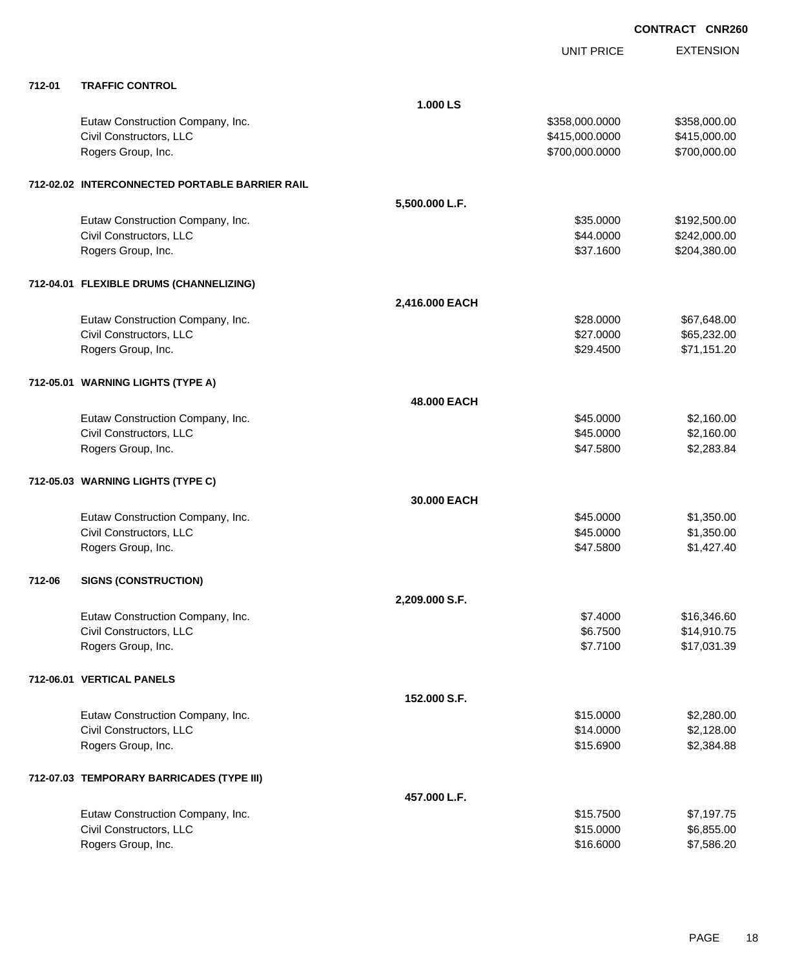|        |                                                |                | <b>UNIT PRICE</b> | <b>EXTENSION</b> |
|--------|------------------------------------------------|----------------|-------------------|------------------|
| 712-01 | <b>TRAFFIC CONTROL</b>                         |                |                   |                  |
|        |                                                | 1.000 LS       |                   |                  |
|        | Eutaw Construction Company, Inc.               |                | \$358,000.0000    | \$358,000.00     |
|        | Civil Constructors, LLC                        |                | \$415,000.0000    | \$415,000.00     |
|        | Rogers Group, Inc.                             |                | \$700,000.0000    | \$700,000.00     |
|        | 712-02.02 INTERCONNECTED PORTABLE BARRIER RAIL |                |                   |                  |
|        |                                                | 5,500.000 L.F. |                   |                  |
|        | Eutaw Construction Company, Inc.               |                | \$35.0000         | \$192,500.00     |
|        | Civil Constructors, LLC                        |                | \$44.0000         | \$242,000.00     |
|        | Rogers Group, Inc.                             |                | \$37.1600         | \$204,380.00     |
|        | 712-04.01 FLEXIBLE DRUMS (CHANNELIZING)        |                |                   |                  |
|        |                                                | 2,416.000 EACH |                   |                  |
|        | Eutaw Construction Company, Inc.               |                | \$28.0000         | \$67,648.00      |
|        | Civil Constructors, LLC                        |                | \$27.0000         | \$65,232.00      |
|        | Rogers Group, Inc.                             |                | \$29.4500         | \$71,151.20      |
|        | 712-05.01 WARNING LIGHTS (TYPE A)              |                |                   |                  |
|        |                                                | 48.000 EACH    |                   |                  |
|        | Eutaw Construction Company, Inc.               |                | \$45.0000         | \$2,160.00       |
|        | Civil Constructors, LLC                        |                | \$45.0000         | \$2,160.00       |
|        | Rogers Group, Inc.                             |                | \$47.5800         | \$2,283.84       |
|        | 712-05.03 WARNING LIGHTS (TYPE C)              |                |                   |                  |
|        |                                                | 30,000 EACH    |                   |                  |
|        | Eutaw Construction Company, Inc.               |                | \$45.0000         | \$1,350.00       |
|        | Civil Constructors, LLC                        |                | \$45.0000         | \$1,350.00       |
|        | Rogers Group, Inc.                             |                | \$47.5800         | \$1,427.40       |
| 712-06 | <b>SIGNS (CONSTRUCTION)</b>                    |                |                   |                  |
|        |                                                | 2,209.000 S.F. |                   |                  |
|        | Eutaw Construction Company, Inc.               |                | \$7.4000          | \$16,346.60      |
|        | Civil Constructors, LLC                        |                | \$6.7500          | \$14,910.75      |
|        | Rogers Group, Inc.                             |                | \$7.7100          | \$17,031.39      |
|        | 712-06.01 VERTICAL PANELS                      |                |                   |                  |
|        |                                                | 152.000 S.F.   |                   |                  |
|        | Eutaw Construction Company, Inc.               |                | \$15.0000         | \$2,280.00       |
|        | Civil Constructors, LLC                        |                | \$14.0000         | \$2,128.00       |
|        | Rogers Group, Inc.                             |                | \$15.6900         | \$2,384.88       |
|        | 712-07.03 TEMPORARY BARRICADES (TYPE III)      |                |                   |                  |
|        |                                                | 457.000 L.F.   |                   |                  |
|        | Eutaw Construction Company, Inc.               |                | \$15.7500         | \$7,197.75       |
|        | Civil Constructors, LLC                        |                | \$15.0000         | \$6,855.00       |
|        | Rogers Group, Inc.                             |                | \$16.6000         | \$7,586.20       |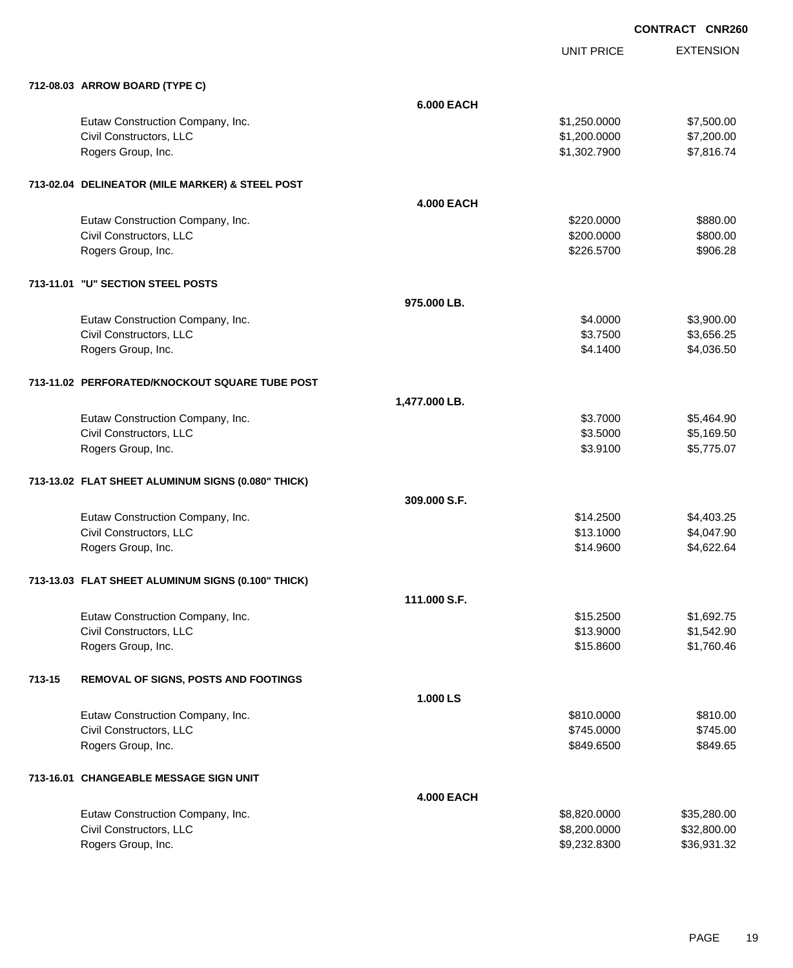UNIT PRICE

|        | 712-08.03 ARROW BOARD (TYPE C)                     |                   |              |             |
|--------|----------------------------------------------------|-------------------|--------------|-------------|
|        |                                                    | <b>6.000 EACH</b> |              |             |
|        | Eutaw Construction Company, Inc.                   |                   | \$1,250.0000 | \$7,500.00  |
|        | Civil Constructors, LLC                            |                   | \$1,200.0000 | \$7,200.00  |
|        | Rogers Group, Inc.                                 |                   | \$1,302.7900 | \$7,816.74  |
|        | 713-02.04 DELINEATOR (MILE MARKER) & STEEL POST    |                   |              |             |
|        |                                                    | <b>4.000 EACH</b> |              |             |
|        | Eutaw Construction Company, Inc.                   |                   | \$220.0000   | \$880.00    |
|        | Civil Constructors, LLC                            |                   | \$200.0000   | \$800.00    |
|        | Rogers Group, Inc.                                 |                   | \$226.5700   | \$906.28    |
|        | 713-11.01 "U" SECTION STEEL POSTS                  |                   |              |             |
|        |                                                    | 975.000 LB.       |              |             |
|        | Eutaw Construction Company, Inc.                   |                   | \$4.0000     | \$3,900.00  |
|        | Civil Constructors, LLC                            |                   | \$3.7500     | \$3,656.25  |
|        | Rogers Group, Inc.                                 |                   | \$4.1400     | \$4,036.50  |
|        | 713-11.02 PERFORATED/KNOCKOUT SQUARE TUBE POST     |                   |              |             |
|        |                                                    | 1,477.000 LB.     |              |             |
|        | Eutaw Construction Company, Inc.                   |                   | \$3.7000     | \$5,464.90  |
|        | Civil Constructors, LLC                            |                   | \$3.5000     | \$5,169.50  |
|        | Rogers Group, Inc.                                 |                   | \$3.9100     | \$5,775.07  |
|        | 713-13.02 FLAT SHEET ALUMINUM SIGNS (0.080" THICK) |                   |              |             |
|        |                                                    | 309.000 S.F.      |              |             |
|        | Eutaw Construction Company, Inc.                   |                   | \$14.2500    | \$4,403.25  |
|        | Civil Constructors, LLC                            |                   | \$13.1000    | \$4,047.90  |
|        | Rogers Group, Inc.                                 |                   | \$14.9600    | \$4,622.64  |
|        | 713-13.03 FLAT SHEET ALUMINUM SIGNS (0.100" THICK) |                   |              |             |
|        |                                                    | 111.000 S.F.      |              |             |
|        | Eutaw Construction Company, Inc.                   |                   | \$15.2500    | \$1,692.75  |
|        | Civil Constructors, LLC                            |                   | \$13.9000    | \$1,542.90  |
|        | Rogers Group, Inc.                                 |                   | \$15.8600    | \$1,760.46  |
| 713-15 | REMOVAL OF SIGNS, POSTS AND FOOTINGS               |                   |              |             |
|        |                                                    | 1.000 LS          |              |             |
|        | Eutaw Construction Company, Inc.                   |                   | \$810.0000   | \$810.00    |
|        | Civil Constructors, LLC                            |                   | \$745.0000   | \$745.00    |
|        | Rogers Group, Inc.                                 |                   | \$849.6500   | \$849.65    |
|        | 713-16.01 CHANGEABLE MESSAGE SIGN UNIT             |                   |              |             |
|        |                                                    | <b>4.000 EACH</b> |              |             |
|        | Eutaw Construction Company, Inc.                   |                   | \$8,820.0000 | \$35,280.00 |
|        | Civil Constructors, LLC                            |                   | \$8,200.0000 | \$32,800.00 |
|        | Rogers Group, Inc.                                 |                   | \$9,232.8300 | \$36,931.32 |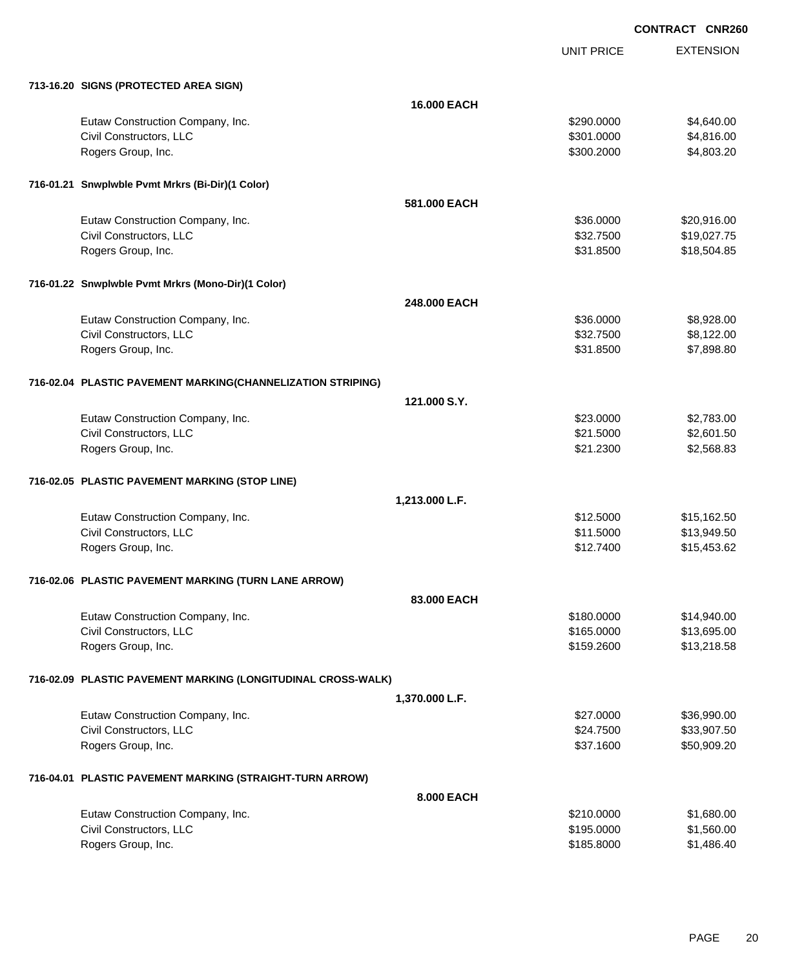UNIT PRICE

|  | 713-16.20 SIGNS (PROTECTED AREA SIGN) |  |
|--|---------------------------------------|--|

| 713-16.20 SIGNS (PROTECTED AREA SIGN)                        |                    |            |             |
|--------------------------------------------------------------|--------------------|------------|-------------|
|                                                              | <b>16.000 EACH</b> |            |             |
| Eutaw Construction Company, Inc.                             |                    | \$290.0000 | \$4,640.00  |
| Civil Constructors, LLC                                      |                    | \$301.0000 | \$4,816.00  |
| Rogers Group, Inc.                                           |                    | \$300.2000 | \$4,803.20  |
| 716-01.21 Snwplwble Pvmt Mrkrs (Bi-Dir)(1 Color)             |                    |            |             |
|                                                              | 581,000 EACH       |            |             |
| Eutaw Construction Company, Inc.                             |                    | \$36.0000  | \$20,916.00 |
| Civil Constructors, LLC                                      |                    | \$32.7500  | \$19,027.75 |
| Rogers Group, Inc.                                           |                    | \$31.8500  | \$18,504.85 |
| 716-01.22 Snwplwble Pvmt Mrkrs (Mono-Dir)(1 Color)           |                    |            |             |
|                                                              | 248.000 EACH       |            |             |
| Eutaw Construction Company, Inc.                             |                    | \$36,0000  | \$8,928.00  |
| Civil Constructors, LLC                                      |                    | \$32.7500  | \$8,122.00  |
| Rogers Group, Inc.                                           |                    | \$31.8500  | \$7,898.80  |
| 716-02.04 PLASTIC PAVEMENT MARKING(CHANNELIZATION STRIPING)  |                    |            |             |
|                                                              | 121.000 S.Y.       |            |             |
| Eutaw Construction Company, Inc.                             |                    | \$23.0000  | \$2,783.00  |
| Civil Constructors, LLC                                      |                    | \$21.5000  | \$2,601.50  |
| Rogers Group, Inc.                                           |                    | \$21.2300  | \$2,568.83  |
| 716-02.05 PLASTIC PAVEMENT MARKING (STOP LINE)               |                    |            |             |
|                                                              | 1,213.000 L.F.     |            |             |
| Eutaw Construction Company, Inc.                             |                    | \$12.5000  | \$15,162.50 |
| Civil Constructors, LLC                                      |                    | \$11.5000  | \$13,949.50 |
| Rogers Group, Inc.                                           |                    | \$12.7400  | \$15,453.62 |
| 716-02.06 PLASTIC PAVEMENT MARKING (TURN LANE ARROW)         |                    |            |             |
|                                                              | 83.000 EACH        |            |             |
| Eutaw Construction Company, Inc.                             |                    | \$180.0000 | \$14,940.00 |
| Civil Constructors, LLC                                      |                    | \$165.0000 | \$13,695.00 |
| Rogers Group, Inc.                                           |                    | \$159.2600 | \$13,218.58 |
| 716-02.09 PLASTIC PAVEMENT MARKING (LONGITUDINAL CROSS-WALK) |                    |            |             |
|                                                              | 1,370.000 L.F.     |            |             |
| Eutaw Construction Company, Inc.                             |                    | \$27.0000  | \$36,990.00 |
| Civil Constructors, LLC                                      |                    | \$24.7500  | \$33,907.50 |
| Rogers Group, Inc.                                           |                    | \$37.1600  | \$50,909.20 |
| 716-04.01 PLASTIC PAVEMENT MARKING (STRAIGHT-TURN ARROW)     |                    |            |             |
|                                                              | 8.000 EACH         |            |             |
| Eutaw Construction Company, Inc.                             |                    | \$210.0000 | \$1,680.00  |
| Civil Constructors, LLC                                      |                    | \$195.0000 | \$1,560.00  |
| Rogers Group, Inc.                                           |                    | \$185.8000 | \$1,486.40  |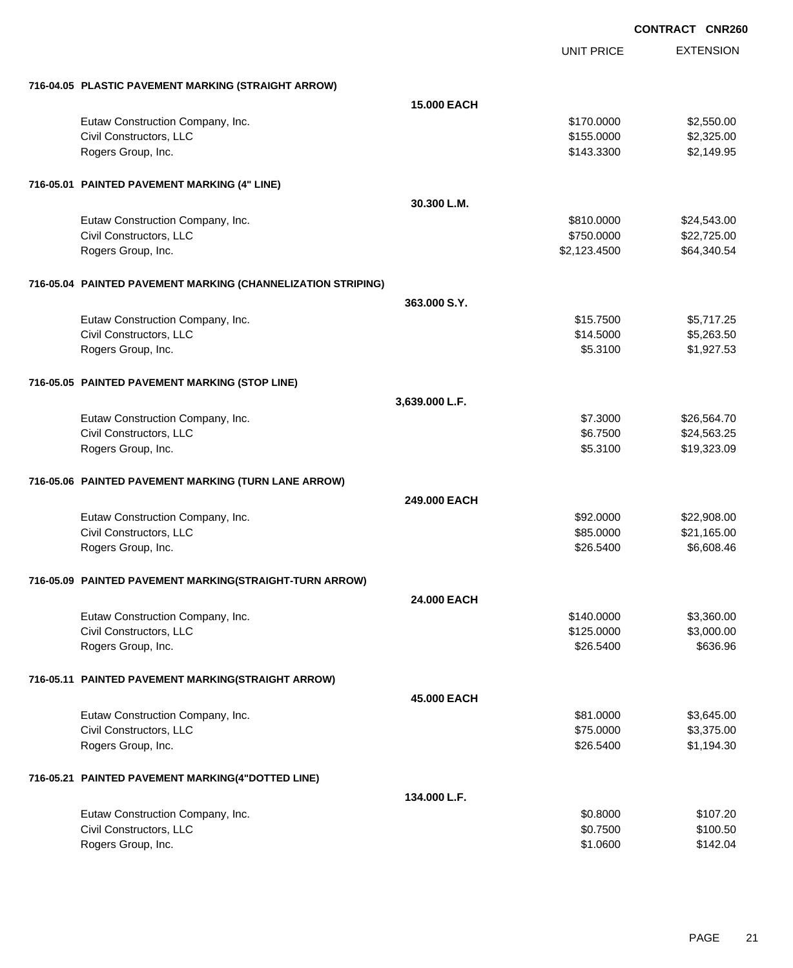|                                                              |                    | <b>UNIT PRICE</b> | <b>EXTENSION</b> |
|--------------------------------------------------------------|--------------------|-------------------|------------------|
| 716-04.05 PLASTIC PAVEMENT MARKING (STRAIGHT ARROW)          |                    |                   |                  |
|                                                              | <b>15,000 EACH</b> |                   |                  |
| Eutaw Construction Company, Inc.                             |                    | \$170.0000        | \$2,550.00       |
| Civil Constructors, LLC                                      |                    | \$155.0000        | \$2,325.00       |
| Rogers Group, Inc.                                           |                    | \$143.3300        | \$2,149.95       |
| 716-05.01 PAINTED PAVEMENT MARKING (4" LINE)                 |                    |                   |                  |
|                                                              | 30.300 L.M.        |                   |                  |
| Eutaw Construction Company, Inc.                             |                    | \$810.0000        | \$24,543.00      |
| Civil Constructors, LLC                                      |                    | \$750.0000        | \$22,725.00      |
| Rogers Group, Inc.                                           |                    | \$2,123.4500      | \$64,340.54      |
| 716-05.04 PAINTED PAVEMENT MARKING (CHANNELIZATION STRIPING) |                    |                   |                  |
|                                                              | 363,000 S.Y.       |                   |                  |
| Eutaw Construction Company, Inc.                             |                    | \$15.7500         | \$5,717.25       |
| Civil Constructors, LLC                                      |                    | \$14.5000         | \$5,263.50       |
| Rogers Group, Inc.                                           |                    | \$5.3100          | \$1,927.53       |
| 716-05.05 PAINTED PAVEMENT MARKING (STOP LINE)               |                    |                   |                  |
|                                                              | 3,639.000 L.F.     |                   |                  |
| Eutaw Construction Company, Inc.                             |                    | \$7.3000          | \$26,564.70      |
| Civil Constructors, LLC                                      |                    | \$6.7500          | \$24,563.25      |
| Rogers Group, Inc.                                           |                    | \$5.3100          | \$19,323.09      |
| 716-05.06 PAINTED PAVEMENT MARKING (TURN LANE ARROW)         |                    |                   |                  |
|                                                              | 249,000 EACH       |                   |                  |
| Eutaw Construction Company, Inc.                             |                    | \$92.0000         | \$22,908.00      |
| Civil Constructors, LLC                                      |                    | \$85.0000         | \$21,165.00      |
| Rogers Group, Inc.                                           |                    | \$26.5400         | \$6,608.46       |
| 716-05.09 PAINTED PAVEMENT MARKING(STRAIGHT-TURN ARROW)      |                    |                   |                  |
|                                                              | 24.000 EACH        |                   |                  |
| Eutaw Construction Company, Inc.                             |                    | \$140.0000        | \$3,360.00       |
| Civil Constructors, LLC                                      |                    | \$125.0000        | \$3,000.00       |
| Rogers Group, Inc.                                           |                    | \$26.5400         | \$636.96         |
| 716-05.11 PAINTED PAVEMENT MARKING(STRAIGHT ARROW)           |                    |                   |                  |
|                                                              | 45,000 EACH        |                   |                  |
| Eutaw Construction Company, Inc.                             |                    | \$81.0000         | \$3,645.00       |
| Civil Constructors, LLC                                      |                    | \$75.0000         | \$3,375.00       |
| Rogers Group, Inc.                                           |                    | \$26.5400         | \$1,194.30       |
| 716-05.21 PAINTED PAVEMENT MARKING(4"DOTTED LINE)            |                    |                   |                  |
|                                                              | 134.000 L.F.       |                   |                  |
| Eutaw Construction Company, Inc.                             |                    | \$0.8000          | \$107.20         |
| Civil Constructors, LLC                                      |                    | \$0.7500          | \$100.50         |
| Rogers Group, Inc.                                           |                    | \$1.0600          | \$142.04         |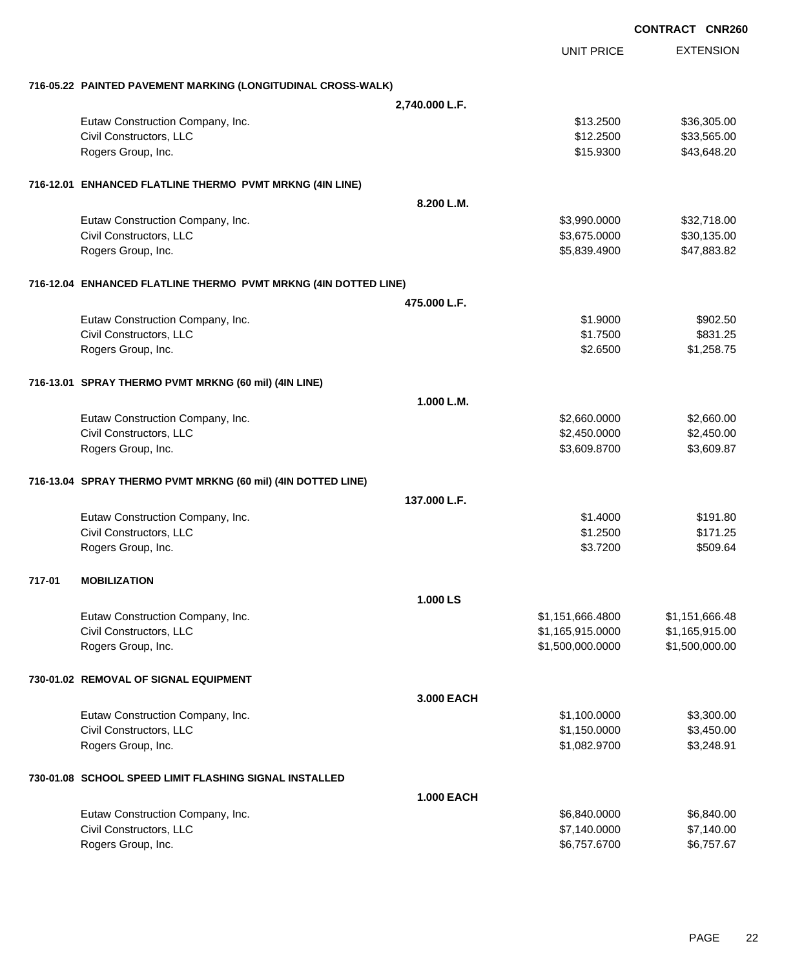|        |                                                                 |                   |                   | <b>CONTRACT CNR260</b> |
|--------|-----------------------------------------------------------------|-------------------|-------------------|------------------------|
|        |                                                                 |                   | <b>UNIT PRICE</b> | <b>EXTENSION</b>       |
|        | 716-05.22 PAINTED PAVEMENT MARKING (LONGITUDINAL CROSS-WALK)    |                   |                   |                        |
|        |                                                                 | 2,740.000 L.F.    |                   |                        |
|        | Eutaw Construction Company, Inc.                                |                   | \$13.2500         | \$36,305.00            |
|        | Civil Constructors, LLC                                         |                   | \$12.2500         | \$33,565.00            |
|        | Rogers Group, Inc.                                              |                   | \$15.9300         | \$43,648.20            |
|        | 716-12.01 ENHANCED FLATLINE THERMO PVMT MRKNG (4IN LINE)        |                   |                   |                        |
|        |                                                                 | 8.200 L.M.        |                   |                        |
|        | Eutaw Construction Company, Inc.                                |                   | \$3,990.0000      | \$32,718.00            |
|        | Civil Constructors, LLC                                         |                   | \$3,675.0000      | \$30,135.00            |
|        | Rogers Group, Inc.                                              |                   | \$5,839.4900      | \$47,883.82            |
|        | 716-12.04 ENHANCED FLATLINE THERMO PVMT MRKNG (4IN DOTTED LINE) |                   |                   |                        |
|        |                                                                 | 475,000 L.F.      |                   |                        |
|        | Eutaw Construction Company, Inc.                                |                   | \$1,9000          | \$902.50               |
|        | Civil Constructors, LLC                                         |                   | \$1.7500          | \$831.25               |
|        | Rogers Group, Inc.                                              |                   | \$2.6500          | \$1,258.75             |
|        | 716-13.01 SPRAY THERMO PVMT MRKNG (60 mil) (4IN LINE)           |                   |                   |                        |
|        |                                                                 | 1.000 L.M.        |                   |                        |
|        | Eutaw Construction Company, Inc.                                |                   | \$2,660.0000      | \$2,660.00             |
|        | Civil Constructors, LLC                                         |                   | \$2,450.0000      | \$2,450.00             |
|        | Rogers Group, Inc.                                              |                   | \$3,609.8700      | \$3,609.87             |
|        | 716-13.04 SPRAY THERMO PVMT MRKNG (60 mil) (4IN DOTTED LINE)    |                   |                   |                        |
|        |                                                                 | 137.000 L.F.      |                   |                        |
|        | Eutaw Construction Company, Inc.                                |                   | \$1.4000          | \$191.80               |
|        | Civil Constructors, LLC                                         |                   | \$1.2500          | \$171.25               |
|        | Rogers Group, Inc.                                              |                   | \$3.7200          | \$509.64               |
| 717-01 | <b>MOBILIZATION</b>                                             |                   |                   |                        |
|        |                                                                 | 1.000 LS          |                   |                        |
|        | Eutaw Construction Company, Inc.                                |                   | \$1,151,666.4800  | \$1,151,666.48         |
|        | Civil Constructors, LLC                                         |                   | \$1,165,915.0000  | \$1,165,915.00         |
|        | Rogers Group, Inc.                                              |                   | \$1,500,000.0000  | \$1,500,000.00         |
|        | 730-01.02 REMOVAL OF SIGNAL EQUIPMENT                           |                   |                   |                        |
|        |                                                                 | 3.000 EACH        |                   |                        |
|        | Eutaw Construction Company, Inc.                                |                   | \$1,100.0000      | \$3,300.00             |
|        | Civil Constructors, LLC                                         |                   | \$1,150.0000      | \$3,450.00             |
|        | Rogers Group, Inc.                                              |                   | \$1,082.9700      | \$3,248.91             |
|        | 730-01.08 SCHOOL SPEED LIMIT FLASHING SIGNAL INSTALLED          |                   |                   |                        |
|        |                                                                 | <b>1.000 EACH</b> |                   |                        |
|        | Eutaw Construction Company, Inc.                                |                   | \$6,840.0000      | \$6,840.00             |
|        | Civil Constructors, LLC                                         |                   | \$7,140.0000      | \$7,140.00             |
|        | Rogers Group, Inc.                                              |                   | \$6,757.6700      | \$6,757.67             |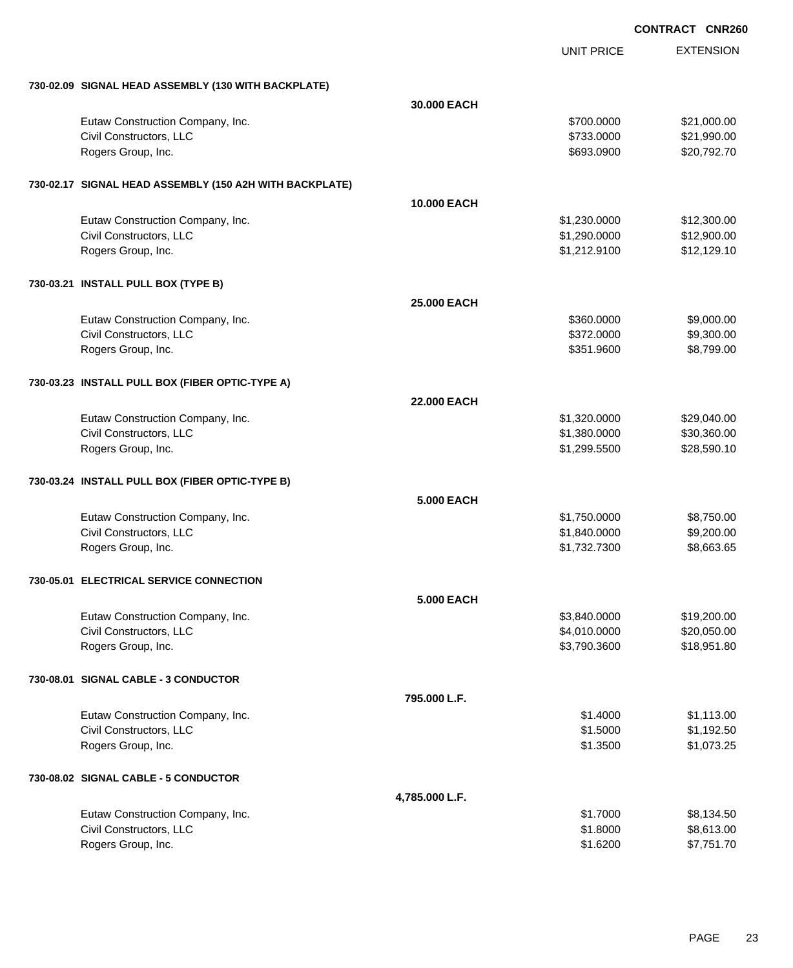|                                                         |                    | <b>UNIT PRICE</b> | <b>EXTENSION</b> |
|---------------------------------------------------------|--------------------|-------------------|------------------|
| 730-02.09 SIGNAL HEAD ASSEMBLY (130 WITH BACKPLATE)     |                    |                   |                  |
|                                                         | 30,000 EACH        |                   |                  |
| Eutaw Construction Company, Inc.                        |                    | \$700.0000        | \$21,000.00      |
| Civil Constructors, LLC                                 |                    | \$733.0000        | \$21,990.00      |
| Rogers Group, Inc.                                      |                    | \$693.0900        | \$20,792.70      |
| 730-02.17 SIGNAL HEAD ASSEMBLY (150 A2H WITH BACKPLATE) |                    |                   |                  |
|                                                         | <b>10.000 EACH</b> |                   |                  |
| Eutaw Construction Company, Inc.                        |                    | \$1,230.0000      | \$12,300.00      |
| Civil Constructors, LLC                                 |                    | \$1,290.0000      | \$12,900.00      |
| Rogers Group, Inc.                                      |                    | \$1,212.9100      | \$12,129.10      |
| 730-03.21 INSTALL PULL BOX (TYPE B)                     |                    |                   |                  |
|                                                         | <b>25.000 EACH</b> |                   |                  |
| Eutaw Construction Company, Inc.                        |                    | \$360.0000        | \$9,000.00       |
| Civil Constructors, LLC                                 |                    | \$372.0000        | \$9,300.00       |
| Rogers Group, Inc.                                      |                    | \$351.9600        | \$8,799.00       |
| 730-03.23 INSTALL PULL BOX (FIBER OPTIC-TYPE A)         |                    |                   |                  |
|                                                         | <b>22.000 EACH</b> |                   |                  |
| Eutaw Construction Company, Inc.                        |                    | \$1,320.0000      | \$29,040.00      |
| Civil Constructors, LLC                                 |                    | \$1,380.0000      | \$30,360.00      |
| Rogers Group, Inc.                                      |                    | \$1,299.5500      | \$28,590.10      |
| 730-03.24 INSTALL PULL BOX (FIBER OPTIC-TYPE B)         |                    |                   |                  |
|                                                         | <b>5.000 EACH</b>  |                   |                  |
| Eutaw Construction Company, Inc.                        |                    | \$1,750.0000      | \$8,750.00       |
| Civil Constructors, LLC                                 |                    | \$1,840.0000      | \$9,200.00       |
| Rogers Group, Inc.                                      |                    | \$1,732.7300      | \$8,663.65       |
| 730-05.01 ELECTRICAL SERVICE CONNECTION                 |                    |                   |                  |
|                                                         | <b>5.000 EACH</b>  |                   |                  |
| Eutaw Construction Company, Inc.                        |                    | \$3,840.0000      | \$19,200.00      |
| Civil Constructors, LLC                                 |                    | \$4,010.0000      | \$20,050.00      |
| Rogers Group, Inc.                                      |                    | \$3,790.3600      | \$18,951.80      |
| 730-08.01 SIGNAL CABLE - 3 CONDUCTOR                    |                    |                   |                  |
|                                                         | 795.000 L.F.       |                   |                  |
| Eutaw Construction Company, Inc.                        |                    | \$1.4000          | \$1,113.00       |
| Civil Constructors, LLC                                 |                    | \$1.5000          | \$1,192.50       |
| Rogers Group, Inc.                                      |                    | \$1.3500          | \$1,073.25       |
| 730-08.02 SIGNAL CABLE - 5 CONDUCTOR                    |                    |                   |                  |
|                                                         | 4,785.000 L.F.     |                   |                  |
| Eutaw Construction Company, Inc.                        |                    | \$1.7000          | \$8,134.50       |
| Civil Constructors, LLC                                 |                    | \$1.8000          | \$8,613.00       |
| Rogers Group, Inc.                                      |                    | \$1.6200          | \$7,751.70       |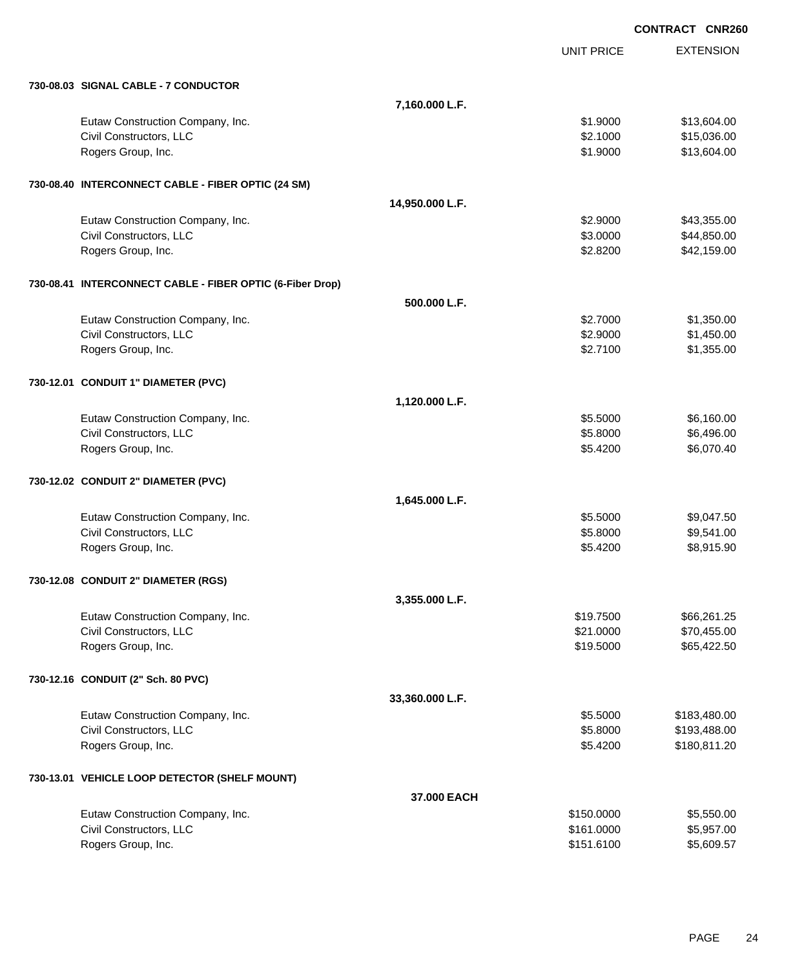**EXTENSION CONTRACT CNR260** UNIT PRICE **730-08.03 SIGNAL CABLE - 7 CONDUCTOR 7,160.000 L.F.** Eutaw Construction Company, Inc. 6. The Construction Company, Inc. 6. The Construction Company, Inc. 613,604.00 Civil Constructors, LLC 6.000 \$15,036.00 Rogers Group, Inc. \$13,604.00 **730-08.40 INTERCONNECT CABLE - FIBER OPTIC (24 SM) 14,950.000 L.F.** Eutaw Construction Company, Inc. 643,355.00 \$43,355.00 Civil Constructors, LLC 644,850.00 Rogers Group, Inc. \$2.8200 \$42,159.00 **730-08.41 INTERCONNECT CABLE - FIBER OPTIC (6-Fiber Drop) 500.000 L.F.** Eutaw Construction Company, Inc. 6. The Construction Company, Inc. 6. The Construction Company, Inc. 6. The Construction Company, Inc. 6. The Construction Company, Inc. 6. The Construction Company, Inc. 6. The Construction Civil Constructors, LLC 61,450.00 Rogers Group, Inc. \$1,355.00 **730-12.01 CONDUIT 1" DIAMETER (PVC) 1,120.000 L.F.** Eutaw Construction Company, Inc. \$5.5000 \$6,160.00 Civil Constructors, LLC 6.496.00 Rogers Group, Inc. \$6,070.40 **730-12.02 CONDUIT 2" DIAMETER (PVC) 1,645.000 L.F.** Eutaw Construction Company, Inc. 6. The Construction Company, Inc. 6. The Construction Company, Inc. 6. The Construction Company, Inc. 6. The Construction Company, Inc. 6. The Construction Company, Inc. 6. The Construction Civil Constructors, LLC 6.55.8000 \$9,541.00 Rogers Group, Inc. \$8,915.90 **730-12.08 CONDUIT 2" DIAMETER (RGS) 3,355.000 L.F.** Eutaw Construction Company, Inc. 666,261.25 Civil Constructors, LLC 6. The Second Studies of the Second Studies of Second Studies of Second Studies and Studies Studies of Second Studies and Studies of Second Studies and Studies of Second Studies and Studies and Stud Rogers Group, Inc. \$19.5000 \$65,422.50 **730-12.16 CONDUIT (2" Sch. 80 PVC) 33,360.000 L.F.** Eutaw Construction Company, Inc. 6. The Construction Company, Inc. 6. The Construction Company, Inc. 6. The Construction Company, Inc. 6. The Construction Company, Inc. 6. The Construction Company, Inc. 6. The Construction Civil Constructors, LLC 6.8000 \$193,488.00 Rogers Group, Inc. \$180,811.20 **730-13.01 VEHICLE LOOP DETECTOR (SHELF MOUNT) 37.000 EACH** Eutaw Construction Company, Inc. 6. The Construction Company, Inc. 6. The Construction Company, Inc. 6. The Construction Company, Inc. 6. The Construction Company, Inc. 6. The Construction Company, Inc. 6. The Construction Civil Constructors, LLC 6. The state of the state of the state of the state of the state of the state of the state of the state of the state of the state of the state of the state of the state of the state of the state of Rogers Group, Inc. \$151.6100 \$5,609.57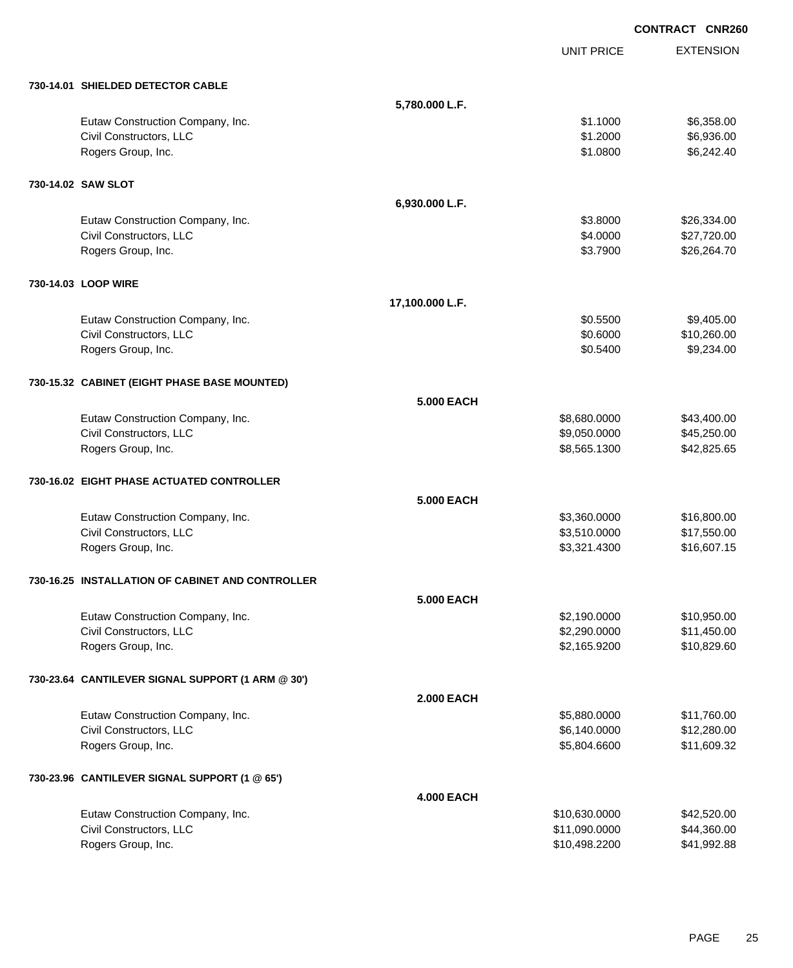|                                                   |                   |                   | <b>CONTRACT CNR260</b> |                  |
|---------------------------------------------------|-------------------|-------------------|------------------------|------------------|
|                                                   |                   | <b>UNIT PRICE</b> |                        | <b>EXTENSION</b> |
| 730-14.01 SHIELDED DETECTOR CABLE                 |                   |                   |                        |                  |
|                                                   | 5,780.000 L.F.    |                   |                        |                  |
| Eutaw Construction Company, Inc.                  |                   | \$1.1000          |                        | \$6,358.00       |
| Civil Constructors, LLC                           |                   | \$1.2000          |                        | \$6,936.00       |
| Rogers Group, Inc.                                |                   | \$1.0800          |                        | \$6,242.40       |
| 730-14.02 SAW SLOT                                |                   |                   |                        |                  |
|                                                   | 6,930.000 L.F.    |                   |                        |                  |
| Eutaw Construction Company, Inc.                  |                   | \$3.8000          |                        | \$26,334.00      |
| Civil Constructors, LLC                           |                   | \$4.0000          |                        | \$27,720.00      |
| Rogers Group, Inc.                                |                   | \$3.7900          |                        | \$26,264.70      |
| 730-14.03 LOOP WIRE                               |                   |                   |                        |                  |
|                                                   | 17,100.000 L.F.   |                   |                        |                  |
| Eutaw Construction Company, Inc.                  |                   | \$0.5500          |                        | \$9,405.00       |
| Civil Constructors, LLC                           |                   | \$0.6000          |                        | \$10,260.00      |
| Rogers Group, Inc.                                |                   | \$0.5400          |                        | \$9,234.00       |
| 730-15.32 CABINET (EIGHT PHASE BASE MOUNTED)      |                   |                   |                        |                  |
|                                                   | <b>5.000 EACH</b> |                   |                        |                  |
| Eutaw Construction Company, Inc.                  |                   | \$8,680.0000      |                        | \$43,400.00      |
| Civil Constructors, LLC                           |                   | \$9,050.0000      |                        | \$45,250.00      |
| Rogers Group, Inc.                                |                   | \$8,565.1300      |                        | \$42,825.65      |
| 730-16.02 EIGHT PHASE ACTUATED CONTROLLER         |                   |                   |                        |                  |
|                                                   | 5.000 EACH        |                   |                        |                  |
| Eutaw Construction Company, Inc.                  |                   | \$3,360.0000      |                        | \$16,800.00      |
| Civil Constructors, LLC                           |                   | \$3,510.0000      |                        | \$17,550.00      |
| Rogers Group, Inc.                                |                   | \$3,321.4300      |                        | \$16,607.15      |
| 730-16.25 INSTALLATION OF CABINET AND CONTROLLER  |                   |                   |                        |                  |
|                                                   | <b>5.000 EACH</b> |                   |                        |                  |
| Eutaw Construction Company, Inc.                  |                   | \$2,190.0000      |                        | \$10,950.00      |
| Civil Constructors, LLC                           |                   | \$2,290.0000      |                        | \$11,450.00      |
| Rogers Group, Inc.                                |                   | \$2,165.9200      |                        | \$10,829.60      |
| 730-23.64 CANTILEVER SIGNAL SUPPORT (1 ARM @ 30') |                   |                   |                        |                  |
|                                                   | <b>2.000 EACH</b> |                   |                        |                  |
| Eutaw Construction Company, Inc.                  |                   | \$5,880.0000      |                        | \$11,760.00      |
| Civil Constructors, LLC                           |                   | \$6,140.0000      |                        | \$12,280.00      |
| Rogers Group, Inc.                                |                   | \$5,804.6600      |                        | \$11,609.32      |
| 730-23.96 CANTILEVER SIGNAL SUPPORT (1 @ 65')     |                   |                   |                        |                  |
|                                                   | <b>4.000 EACH</b> |                   |                        |                  |
| Eutaw Construction Company, Inc.                  |                   | \$10,630.0000     |                        | \$42,520.00      |
| Civil Constructors, LLC                           |                   | \$11,090.0000     |                        | \$44,360.00      |
| Rogers Group, Inc.                                |                   | \$10,498.2200     |                        | \$41,992.88      |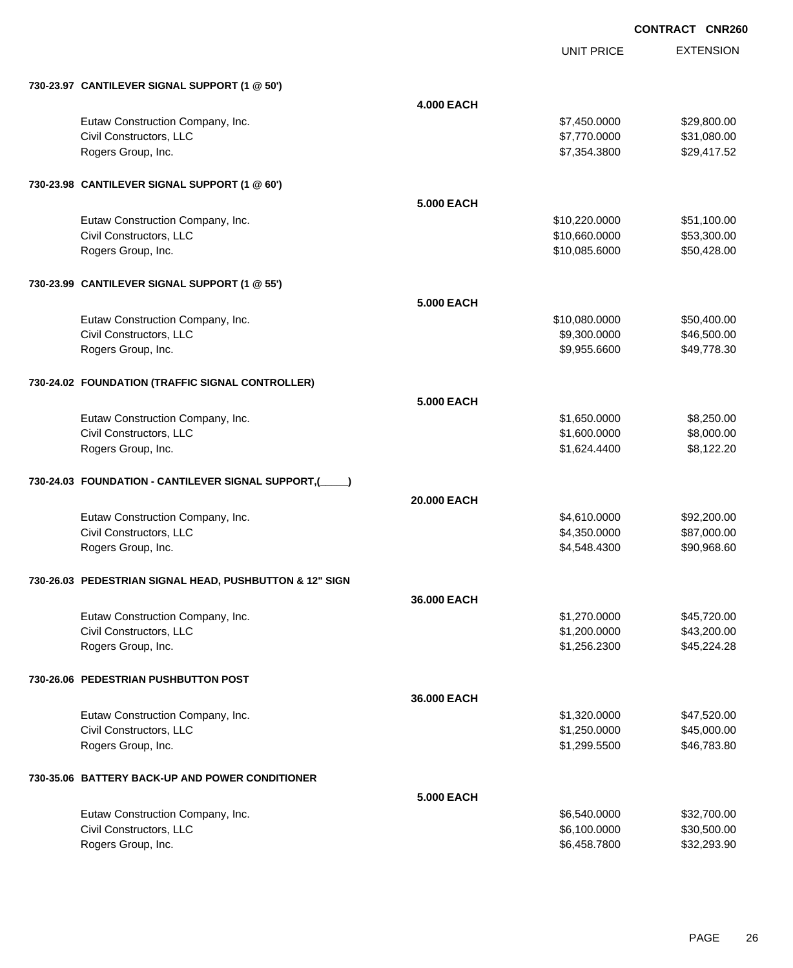|                                                         |                   | <b>UNIT PRICE</b> | <b>EXTENSION</b> |
|---------------------------------------------------------|-------------------|-------------------|------------------|
| 730-23.97 CANTILEVER SIGNAL SUPPORT (1 @ 50')           |                   |                   |                  |
|                                                         | <b>4.000 EACH</b> |                   |                  |
| Eutaw Construction Company, Inc.                        |                   | \$7,450.0000      | \$29,800.00      |
| Civil Constructors, LLC                                 |                   | \$7,770.0000      | \$31,080.00      |
| Rogers Group, Inc.                                      |                   | \$7,354.3800      | \$29,417.52      |
| 730-23.98 CANTILEVER SIGNAL SUPPORT (1 @ 60')           |                   |                   |                  |
|                                                         | 5.000 EACH        |                   |                  |
| Eutaw Construction Company, Inc.                        |                   | \$10,220.0000     | \$51,100.00      |
| Civil Constructors, LLC                                 |                   | \$10,660.0000     | \$53,300.00      |
| Rogers Group, Inc.                                      |                   | \$10,085.6000     | \$50,428.00      |
| 730-23.99 CANTILEVER SIGNAL SUPPORT (1 @ 55')           |                   |                   |                  |
|                                                         | 5.000 EACH        |                   |                  |
| Eutaw Construction Company, Inc.                        |                   | \$10,080.0000     | \$50,400.00      |
| Civil Constructors, LLC                                 |                   | \$9,300.0000      | \$46,500.00      |
| Rogers Group, Inc.                                      |                   | \$9,955.6600      | \$49,778.30      |
| 730-24.02 FOUNDATION (TRAFFIC SIGNAL CONTROLLER)        |                   |                   |                  |
|                                                         | 5.000 EACH        |                   |                  |
| Eutaw Construction Company, Inc.                        |                   | \$1,650.0000      | \$8,250.00       |
| Civil Constructors, LLC                                 |                   | \$1,600.0000      | \$8,000.00       |
| Rogers Group, Inc.                                      |                   | \$1,624.4400      | \$8,122.20       |
| 730-24.03 FOUNDATION - CANTILEVER SIGNAL SUPPORT,(      |                   |                   |                  |
|                                                         | 20,000 EACH       |                   |                  |
| Eutaw Construction Company, Inc.                        |                   | \$4,610.0000      | \$92,200.00      |
| Civil Constructors, LLC                                 |                   | \$4,350.0000      | \$87,000.00      |
| Rogers Group, Inc.                                      |                   | \$4,548.4300      | \$90,968.60      |
| 730-26.03 PEDESTRIAN SIGNAL HEAD, PUSHBUTTON & 12" SIGN |                   |                   |                  |
|                                                         | 36,000 EACH       |                   |                  |
| Eutaw Construction Company, Inc.                        |                   | \$1,270.0000      | \$45,720.00      |
| Civil Constructors, LLC                                 |                   | \$1,200.0000      | \$43,200.00      |
| Rogers Group, Inc.                                      |                   | \$1,256.2300      | \$45,224.28      |
| 730-26.06 PEDESTRIAN PUSHBUTTON POST                    |                   |                   |                  |
|                                                         | 36.000 EACH       |                   |                  |
| Eutaw Construction Company, Inc.                        |                   | \$1,320.0000      | \$47,520.00      |
| Civil Constructors, LLC                                 |                   | \$1,250.0000      | \$45,000.00      |
| Rogers Group, Inc.                                      |                   | \$1,299.5500      | \$46,783.80      |
| 730-35.06 BATTERY BACK-UP AND POWER CONDITIONER         |                   |                   |                  |
|                                                         | 5.000 EACH        |                   |                  |
| Eutaw Construction Company, Inc.                        |                   | \$6,540.0000      | \$32,700.00      |
| Civil Constructors, LLC                                 |                   | \$6,100.0000      | \$30,500.00      |
| Rogers Group, Inc.                                      |                   | \$6,458.7800      | \$32,293.90      |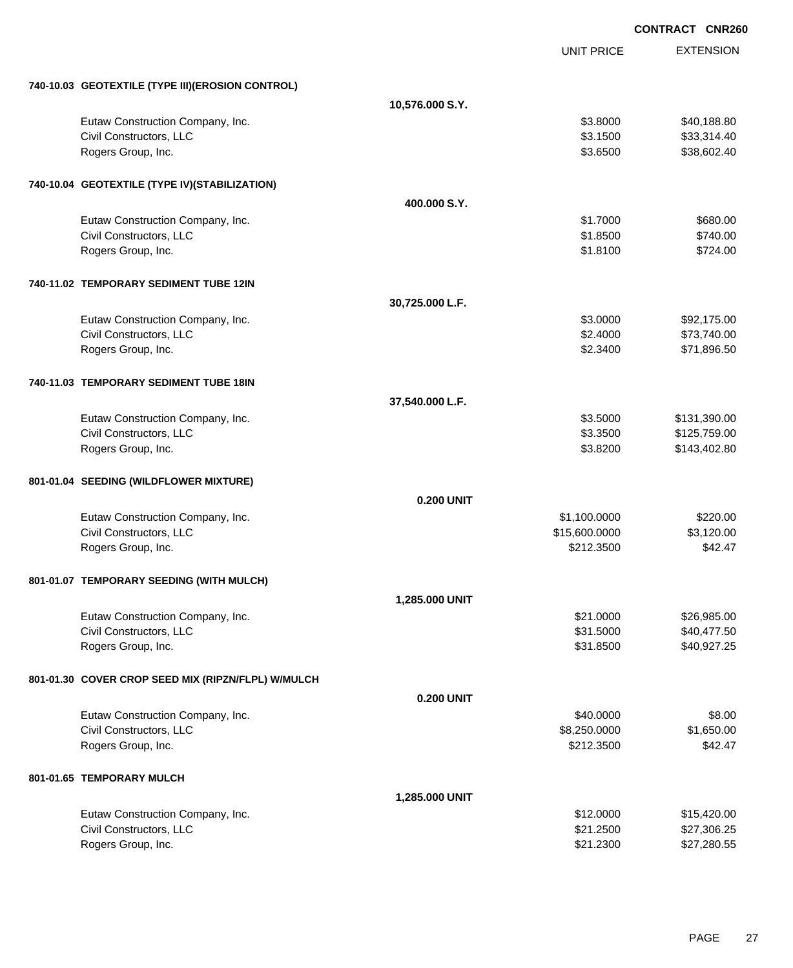|                                                    |                   |                   | <b>CONTRACT CNR260</b> |
|----------------------------------------------------|-------------------|-------------------|------------------------|
|                                                    |                   | <b>UNIT PRICE</b> | <b>EXTENSION</b>       |
| 740-10.03 GEOTEXTILE (TYPE III)(EROSION CONTROL)   |                   |                   |                        |
|                                                    | 10,576.000 S.Y.   |                   |                        |
| Eutaw Construction Company, Inc.                   |                   | \$3.8000          | \$40,188.80            |
| Civil Constructors, LLC                            |                   | \$3.1500          | \$33,314.40            |
| Rogers Group, Inc.                                 |                   | \$3.6500          | \$38,602.40            |
| 740-10.04 GEOTEXTILE (TYPE IV)(STABILIZATION)      |                   |                   |                        |
|                                                    | 400,000 S.Y.      |                   |                        |
| Eutaw Construction Company, Inc.                   |                   | \$1.7000          | \$680.00               |
| Civil Constructors, LLC                            |                   | \$1.8500          | \$740.00               |
| Rogers Group, Inc.                                 |                   | \$1.8100          | \$724.00               |
| 740-11.02 TEMPORARY SEDIMENT TUBE 12IN             |                   |                   |                        |
|                                                    | 30,725.000 L.F.   |                   |                        |
| Eutaw Construction Company, Inc.                   |                   | \$3.0000          | \$92,175.00            |
| Civil Constructors, LLC                            |                   | \$2.4000          | \$73,740.00            |
| Rogers Group, Inc.                                 |                   | \$2.3400          | \$71,896.50            |
| 740-11.03 TEMPORARY SEDIMENT TUBE 18IN             |                   |                   |                        |
|                                                    | 37,540.000 L.F.   |                   |                        |
| Eutaw Construction Company, Inc.                   |                   | \$3.5000          | \$131,390.00           |
| Civil Constructors, LLC                            |                   | \$3.3500          | \$125,759.00           |
| Rogers Group, Inc.                                 |                   | \$3.8200          | \$143,402.80           |
| 801-01.04 SEEDING (WILDFLOWER MIXTURE)             |                   |                   |                        |
|                                                    | <b>0.200 UNIT</b> |                   |                        |
| Eutaw Construction Company, Inc.                   |                   | \$1,100.0000      | \$220.00               |
| Civil Constructors, LLC                            |                   | \$15,600.0000     | \$3,120.00             |
| Rogers Group, Inc.                                 |                   | \$212.3500        | \$42.47                |
| 801-01.07 TEMPORARY SEEDING (WITH MULCH)           |                   |                   |                        |
|                                                    | 1,285.000 UNIT    |                   |                        |
| Eutaw Construction Company, Inc.                   |                   | \$21.0000         | \$26,985.00            |
| Civil Constructors, LLC                            |                   | \$31.5000         | \$40,477.50            |
| Rogers Group, Inc.                                 |                   | \$31.8500         | \$40,927.25            |
| 801-01.30 COVER CROP SEED MIX (RIPZN/FLPL) W/MULCH |                   |                   |                        |
|                                                    | <b>0.200 UNIT</b> |                   |                        |
| Eutaw Construction Company, Inc.                   |                   | \$40.0000         | \$8.00                 |
| Civil Constructors, LLC                            |                   | \$8,250.0000      | \$1,650.00             |
| Rogers Group, Inc.                                 |                   | \$212.3500        | \$42.47                |
| 801-01.65 TEMPORARY MULCH                          |                   |                   |                        |
|                                                    | 1,285.000 UNIT    |                   |                        |
| Eutaw Construction Company, Inc.                   |                   | \$12.0000         | \$15,420.00            |
| Civil Constructors, LLC                            |                   | \$21.2500         | \$27,306.25            |
| Rogers Group, Inc.                                 |                   | \$21.2300         | \$27,280.55            |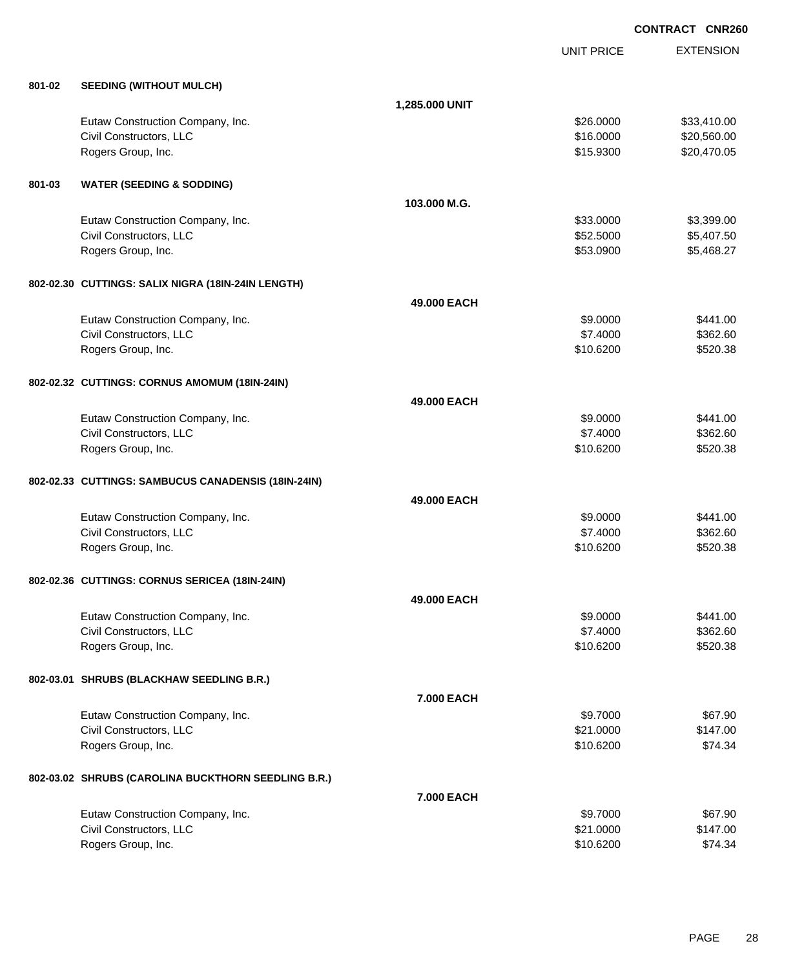EXTENSION **CONTRACT CNR260** UNIT PRICE **801-02 SEEDING (WITHOUT MULCH) 1,285.000 UNIT** Eutaw Construction Company, Inc. 6. The Construction Company, Inc. 6. The Construction Company, Inc. 6. The Construction Company, Inc. 6. The Construction Company, Inc. 6. The Construction Company, Inc. 6. The Construction Civil Constructors, LLC 60000 \$20,560.00 Rogers Group, Inc. \$15.9300 \$20,470.05 **801-03 WATER (SEEDING & SODDING) 103.000 M.G.** Eutaw Construction Company, Inc. 6. The Construction Company, Inc. 6. The Construction Company, Inc. 6. The Construction Company, Inc. 6. The Construction Company, Inc. 6. The Construction Company, Inc. 6. The Construction Civil Constructors, LLC 65,407.50 Rogers Group, Inc. \$5468.27 **802-02.30 CUTTINGS: SALIX NIGRA (18IN-24IN LENGTH) 49.000 EACH** Eutaw Construction Company, Inc. **69.0000** \$441.00 Civil Constructors, LLC 6362.60 Rogers Group, Inc. \$10.6200 \$520.38 **802-02.32 CUTTINGS: CORNUS AMOMUM (18IN-24IN) 49.000 EACH** Eutaw Construction Company, Inc. 6441.00 Civil Constructors, LLC 6362.60 Rogers Group, Inc. \$10.6200 \$520.38 **802-02.33 CUTTINGS: SAMBUCUS CANADENSIS (18IN-24IN) 49.000 EACH** Eutaw Construction Company, Inc. 6441.00 Civil Constructors, LLC 6362.60 Rogers Group, Inc. \$10.6200 \$520.38 **802-02.36 CUTTINGS: CORNUS SERICEA (18IN-24IN) 49.000 EACH** Eutaw Construction Company, Inc. **69.000 \$441.00** \$441.00 Civil Constructors, LLC 6362.60 Rogers Group, Inc. \$10.6200 \$520.38 **802-03.01 SHRUBS (BLACKHAW SEEDLING B.R.) 7.000 EACH** Eutaw Construction Company, Inc. 67.90 and the state of the state of the state of the state of the state of the state of the state of the state of the state of the state of the state of the state of the state of the state Civil Constructors, LLC 6147.00 Rogers Group, Inc. \$10.6200 \$74.34 **802-03.02 SHRUBS (CAROLINA BUCKTHORN SEEDLING B.R.) 7.000 EACH** Eutaw Construction Company, Inc. 67.90 and the state of the state of the state of the state of the state of the state of the state of the state of the state of the state of the state of the state of the state of the state Civil Constructors, LLC 6147.00 Rogers Group, Inc. \$10.6200 \$74.34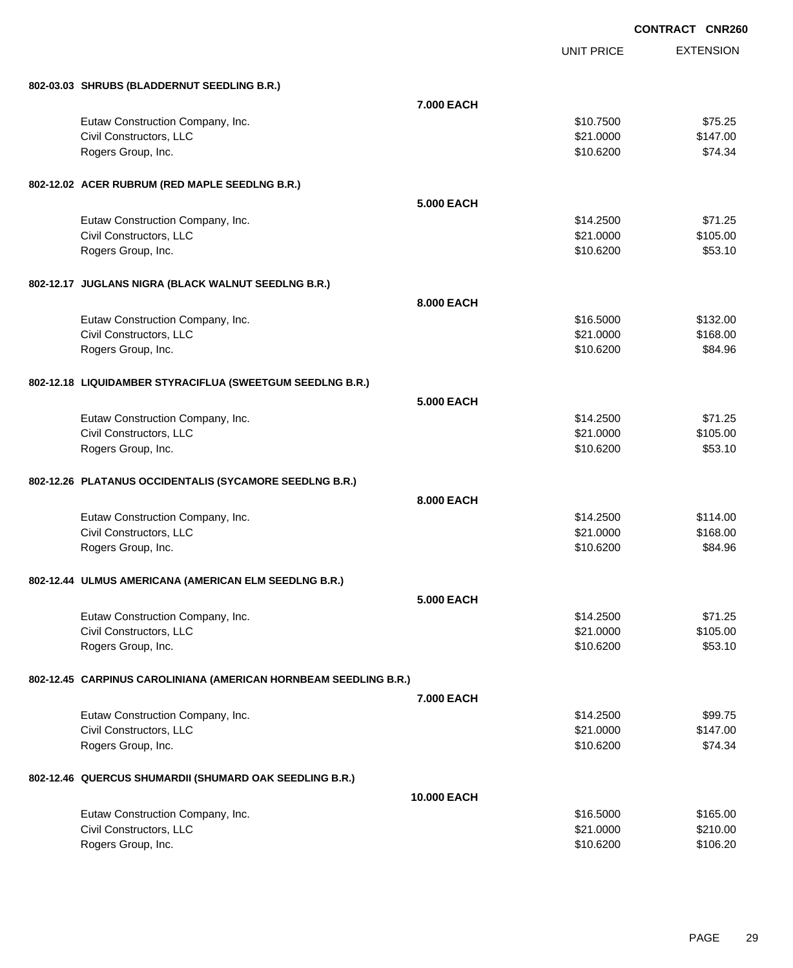|                                                                  |                    | <b>CONTRACT CNR260</b> |                  |
|------------------------------------------------------------------|--------------------|------------------------|------------------|
|                                                                  |                    | <b>UNIT PRICE</b>      | <b>EXTENSION</b> |
| 802-03.03 SHRUBS (BLADDERNUT SEEDLING B.R.)                      |                    |                        |                  |
|                                                                  | 7.000 EACH         |                        |                  |
| Eutaw Construction Company, Inc.                                 |                    | \$10.7500              | \$75.25          |
| Civil Constructors, LLC                                          |                    | \$21.0000              | \$147.00         |
| Rogers Group, Inc.                                               |                    | \$10.6200              | \$74.34          |
| 802-12.02 ACER RUBRUM (RED MAPLE SEEDLNG B.R.)                   |                    |                        |                  |
|                                                                  | <b>5.000 EACH</b>  |                        |                  |
| Eutaw Construction Company, Inc.                                 |                    | \$14.2500              | \$71.25          |
| Civil Constructors, LLC                                          |                    | \$21.0000              | \$105.00         |
| Rogers Group, Inc.                                               |                    | \$10.6200              | \$53.10          |
| 802-12.17 JUGLANS NIGRA (BLACK WALNUT SEEDLNG B.R.)              |                    |                        |                  |
|                                                                  | 8.000 EACH         |                        |                  |
| Eutaw Construction Company, Inc.                                 |                    | \$16.5000              | \$132.00         |
| Civil Constructors, LLC                                          |                    | \$21.0000              | \$168.00         |
| Rogers Group, Inc.                                               |                    | \$10.6200              | \$84.96          |
| 802-12.18 LIQUIDAMBER STYRACIFLUA (SWEETGUM SEEDLNG B.R.)        |                    |                        |                  |
|                                                                  | <b>5.000 EACH</b>  |                        |                  |
| Eutaw Construction Company, Inc.                                 |                    | \$14.2500              | \$71.25          |
| Civil Constructors, LLC                                          |                    | \$21.0000              | \$105.00         |
| Rogers Group, Inc.                                               |                    | \$10.6200              | \$53.10          |
| 802-12.26 PLATANUS OCCIDENTALIS (SYCAMORE SEEDLNG B.R.)          |                    |                        |                  |
|                                                                  | 8.000 EACH         |                        |                  |
| Eutaw Construction Company, Inc.                                 |                    | \$14.2500              | \$114.00         |
| Civil Constructors, LLC                                          |                    | \$21.0000              | \$168.00         |
| Rogers Group, Inc.                                               |                    | \$10.6200              | \$84.96          |
| 802-12.44 ULMUS AMERICANA (AMERICAN ELM SEEDLNG B.R.)            |                    |                        |                  |
|                                                                  | <b>5.000 EACH</b>  |                        |                  |
| Eutaw Construction Company, Inc.                                 |                    | \$14.2500              | \$71.25          |
| Civil Constructors, LLC                                          |                    | \$21.0000              | \$105.00         |
| Rogers Group, Inc.                                               |                    | \$10.6200              | \$53.10          |
| 802-12.45 CARPINUS CAROLINIANA (AMERICAN HORNBEAM SEEDLING B.R.) |                    |                        |                  |
|                                                                  | 7.000 EACH         |                        |                  |
| Eutaw Construction Company, Inc.                                 |                    | \$14.2500              | \$99.75          |
| Civil Constructors, LLC                                          |                    | \$21.0000              | \$147.00         |
| Rogers Group, Inc.                                               |                    | \$10.6200              | \$74.34          |
| 802-12.46 QUERCUS SHUMARDII (SHUMARD OAK SEEDLING B.R.)          |                    |                        |                  |
|                                                                  | <b>10.000 EACH</b> |                        |                  |
| Eutaw Construction Company, Inc.                                 |                    | \$16.5000              | \$165.00         |
| Civil Constructors, LLC                                          |                    | \$21.0000              | \$210.00         |
| Rogers Group, Inc.                                               |                    | \$10.6200              | \$106.20         |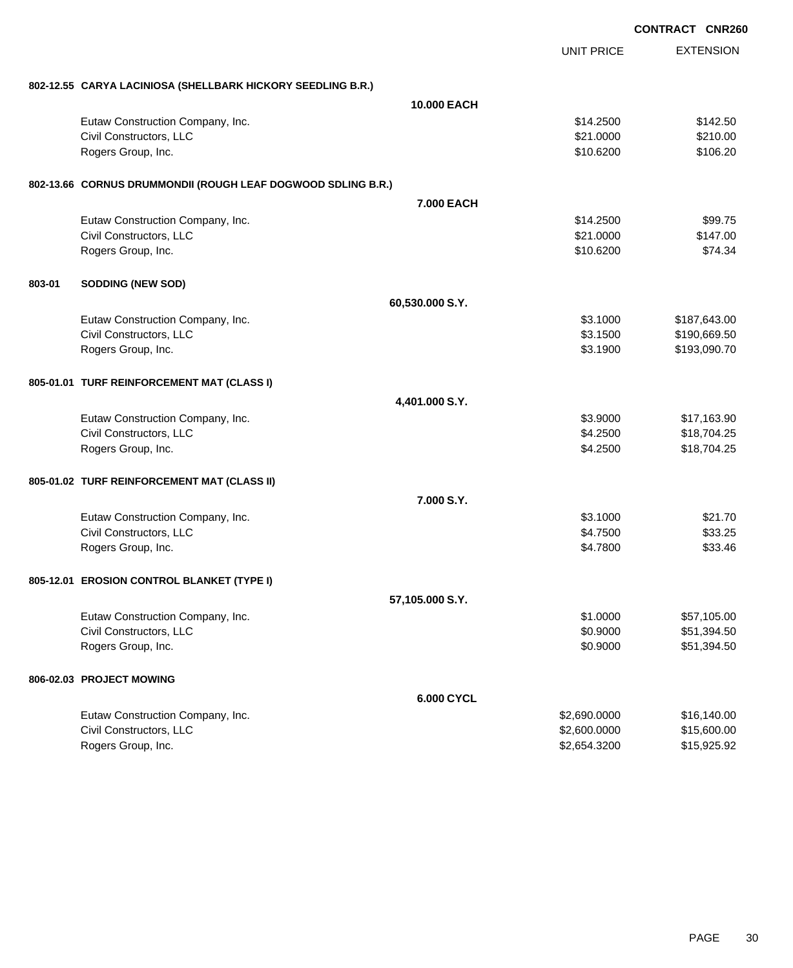|        |                                                              |                    | <b>CONTRACT CNR260</b> |                  |
|--------|--------------------------------------------------------------|--------------------|------------------------|------------------|
|        |                                                              |                    | <b>UNIT PRICE</b>      | <b>EXTENSION</b> |
|        | 802-12.55 CARYA LACINIOSA (SHELLBARK HICKORY SEEDLING B.R.)  |                    |                        |                  |
|        |                                                              | <b>10.000 EACH</b> |                        |                  |
|        | Eutaw Construction Company, Inc.                             |                    | \$14.2500              | \$142.50         |
|        | Civil Constructors, LLC                                      |                    | \$21.0000              | \$210.00         |
|        | Rogers Group, Inc.                                           |                    | \$10.6200              | \$106.20         |
|        | 802-13.66 CORNUS DRUMMONDII (ROUGH LEAF DOGWOOD SDLING B.R.) |                    |                        |                  |
|        |                                                              | <b>7.000 EACH</b>  |                        |                  |
|        | Eutaw Construction Company, Inc.                             |                    | \$14.2500              | \$99.75          |
|        | Civil Constructors, LLC                                      |                    | \$21.0000              | \$147.00         |
|        | Rogers Group, Inc.                                           |                    | \$10.6200              | \$74.34          |
| 803-01 | <b>SODDING (NEW SOD)</b>                                     |                    |                        |                  |
|        |                                                              | 60,530.000 S.Y.    |                        |                  |
|        | Eutaw Construction Company, Inc.                             |                    | \$3.1000               | \$187,643.00     |
|        | Civil Constructors, LLC                                      |                    | \$3.1500               | \$190,669.50     |
|        | Rogers Group, Inc.                                           |                    | \$3.1900               | \$193,090.70     |
|        | 805-01.01 TURF REINFORCEMENT MAT (CLASS I)                   |                    |                        |                  |
|        |                                                              | 4,401.000 S.Y.     |                        |                  |
|        | Eutaw Construction Company, Inc.                             |                    | \$3.9000               | \$17,163.90      |
|        | Civil Constructors, LLC                                      |                    | \$4.2500               | \$18,704.25      |
|        | Rogers Group, Inc.                                           |                    | \$4.2500               | \$18,704.25      |
|        | 805-01.02 TURF REINFORCEMENT MAT (CLASS II)                  |                    |                        |                  |
|        |                                                              | 7.000 S.Y.         |                        |                  |
|        | Eutaw Construction Company, Inc.                             |                    | \$3.1000               | \$21.70          |
|        | Civil Constructors, LLC                                      |                    | \$4.7500               | \$33.25          |
|        | Rogers Group, Inc.                                           |                    | \$4.7800               | \$33.46          |
|        | 805-12.01 EROSION CONTROL BLANKET (TYPE I)                   |                    |                        |                  |
|        |                                                              | 57,105.000 S.Y.    |                        |                  |
|        | Eutaw Construction Company, Inc.                             |                    | \$1.0000               | \$57,105.00      |
|        | Civil Constructors, LLC                                      |                    | \$0.9000               | \$51,394.50      |
|        | Rogers Group, Inc.                                           |                    | \$0.9000               | \$51,394.50      |
|        | 806-02.03 PROJECT MOWING                                     |                    |                        |                  |
|        |                                                              | 6.000 CYCL         |                        |                  |
|        | Eutaw Construction Company, Inc.                             |                    | \$2,690.0000           | \$16,140.00      |
|        | Civil Constructors, LLC                                      |                    | \$2,600.0000           | \$15,600.00      |
|        | Rogers Group, Inc.                                           |                    | \$2,654.3200           | \$15,925.92      |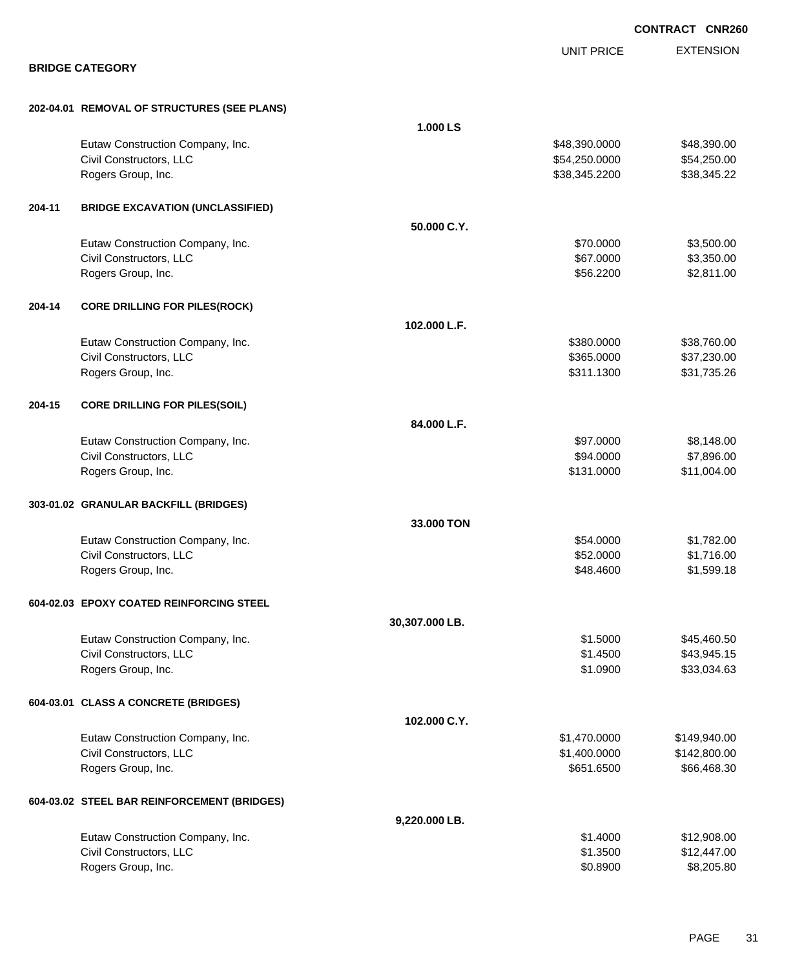EXTENSION **CONTRACT CNR260** UNIT PRICE **BRIDGE CATEGORY 202-04.01 REMOVAL OF STRUCTURES (SEE PLANS) 1.000 LS** Eutaw Construction Company, Inc. 6. The Construction Company, Inc. 6. The Construction Company, Inc. 6. The Construction Company, Inc. 6. The Construction Company, Inc. 6. The Construction Company, Inc. 6. The Construction Civil Constructors, LLC 654,250.000 \$54,250.000 \$54,250.000 \$54,250.000 Rogers Group, Inc. \$38,345.2200 \$38,345.2200 \$38,345.2200 \$38,345.2200 \$38,345.22 **204-11 BRIDGE EXCAVATION (UNCLASSIFIED) 50.000 C.Y.** Eutaw Construction Company, Inc. 6. The Construction Company, Inc. 6. The Construction Company, Inc. 6. The Construction Company, Inc. 6. The Construction Company, Inc. 6. The Construction Company, Inc. 6. The Construction Civil Constructors, LLC 687.000 \$3,350.00 Rogers Group, Inc. \$56.2200 \$2,811.00 **204-14 CORE DRILLING FOR PILES(ROCK) 102.000 L.F.** Eutaw Construction Company, Inc. 6. The Construction Company, Inc. 6. The Construction Company, Inc. 6. The Construction Company, Inc. 6. The Construction Company, Inc. 6. The Construction Company, Inc. 6. The Construction Civil Constructors, LLC 637,230.00 Rogers Group, Inc. \$31,735.26 **204-15 CORE DRILLING FOR PILES(SOIL) 84.000 L.F.** Eutaw Construction Company, Inc. 6. The Construction Company, Inc. 6. The Construction Company, Inc. 6. The Construction Company, Inc. 6. The Construction Company, Inc. 6. The Construction Company, Inc. 6. The Construction Civil Constructors, LLC 664.0000 \$7,896.00 Rogers Group, Inc. \$131.0000 \$11,004.00 **303-01.02 GRANULAR BACKFILL (BRIDGES) 33.000 TON** Eutaw Construction Company, Inc. 6. The Construction Company, Inc. 6. The Construction Company, Inc. 6. The Construction Company, Inc. 6. The Construction Company, Inc. 6. The Construction Company, Inc. 6. The Construction Civil Constructors, LLC 61,716.00 Rogers Group, Inc. \$1,599.18 \$1,599.18 \$1,599.18 **604-02.03 EPOXY COATED REINFORCING STEEL 30,307.000 LB.** Eutaw Construction Company, Inc. 6. The Construction Company, Inc. 6. The Construction Company, Inc. 6. The Construction Company, Inc. 6. The Construction Company, Inc. 6. The Construction Company, Inc. 6. The Construction Civil Constructors, LLC 643,945.15 Rogers Group, Inc. \$33,034.63 **604-03.01 CLASS A CONCRETE (BRIDGES) 102.000 C.Y.** Eutaw Construction Company, Inc. 6. The Construction Company, Inc. 6. The Construction Company, Inc. 6. The Construction Company, Inc. 6. The Construction Company, Inc. 6. The Construction Company, Inc. 6. The Construction Civil Constructors, LLC 6.6 and 2.6 and 2.6 and 2.6 and 2.6 and 2.6 and 2.6 and 2.7 and 2.7 and 2.800.000 \$142,800.00 Rogers Group, Inc. \$66,468.30 **604-03.02 STEEL BAR REINFORCEMENT (BRIDGES) 9,220.000 LB.** Eutaw Construction Company, Inc. 6. 2008.00 \$12,908.00 \$1.4000 \$1.4000 \$12,908.00 Civil Constructors, LLC 6. 2012. The set of the set of the set of the set of the set of the set of the set of the set of the set of the set of the set of the set of the set of the set of the set of the set of the set of th Rogers Group, Inc. \$8,205.80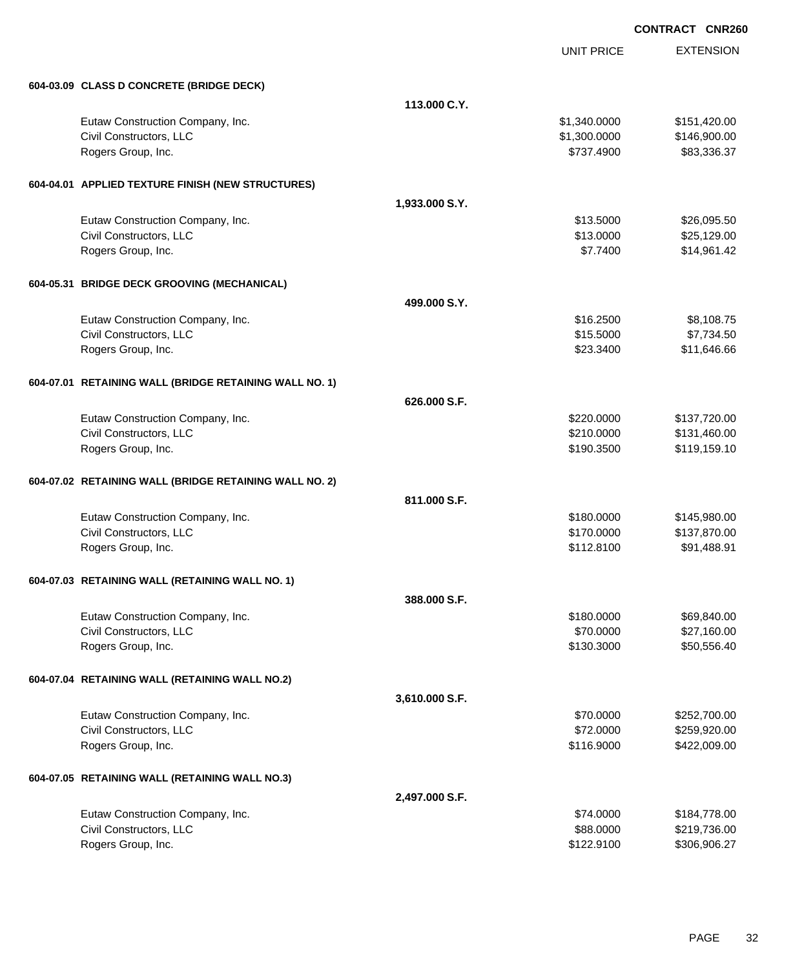|                                                        |                |                   | <b>CONTRACT CNR260</b> |
|--------------------------------------------------------|----------------|-------------------|------------------------|
|                                                        |                | <b>UNIT PRICE</b> | <b>EXTENSION</b>       |
| 604-03.09 CLASS D CONCRETE (BRIDGE DECK)               |                |                   |                        |
|                                                        | 113.000 C.Y.   |                   |                        |
| Eutaw Construction Company, Inc.                       |                | \$1,340.0000      | \$151,420.00           |
| Civil Constructors, LLC                                |                | \$1,300.0000      | \$146,900.00           |
| Rogers Group, Inc.                                     |                | \$737.4900        | \$83,336.37            |
| 604-04.01 APPLIED TEXTURE FINISH (NEW STRUCTURES)      |                |                   |                        |
|                                                        | 1,933.000 S.Y. |                   |                        |
| Eutaw Construction Company, Inc.                       |                | \$13.5000         | \$26,095.50            |
| Civil Constructors, LLC                                |                | \$13.0000         | \$25,129.00            |
| Rogers Group, Inc.                                     |                | \$7.7400          | \$14,961.42            |
| 604-05.31 BRIDGE DECK GROOVING (MECHANICAL)            |                |                   |                        |
|                                                        | 499.000 S.Y.   |                   |                        |
| Eutaw Construction Company, Inc.                       |                | \$16.2500         | \$8,108.75             |
| Civil Constructors, LLC                                |                | \$15.5000         | \$7,734.50             |
| Rogers Group, Inc.                                     |                | \$23.3400         | \$11,646.66            |
| 604-07.01 RETAINING WALL (BRIDGE RETAINING WALL NO. 1) |                |                   |                        |
|                                                        | 626,000 S.F.   |                   |                        |
| Eutaw Construction Company, Inc.                       |                | \$220.0000        | \$137,720.00           |
| Civil Constructors, LLC                                |                | \$210.0000        | \$131,460.00           |
| Rogers Group, Inc.                                     |                | \$190.3500        | \$119,159.10           |
| 604-07.02 RETAINING WALL (BRIDGE RETAINING WALL NO. 2) |                |                   |                        |
|                                                        | 811.000 S.F.   |                   |                        |
| Eutaw Construction Company, Inc.                       |                | \$180.0000        | \$145,980.00           |
| Civil Constructors, LLC                                |                | \$170.0000        | \$137,870.00           |
| Rogers Group, Inc.                                     |                | \$112.8100        | \$91,488.91            |
| 604-07.03 RETAINING WALL (RETAINING WALL NO. 1)        |                |                   |                        |
|                                                        | 388,000 S.F.   |                   |                        |
| Eutaw Construction Company, Inc.                       |                | \$180.0000        | \$69,840.00            |
| Civil Constructors, LLC                                |                | \$70.0000         | \$27,160.00            |
| Rogers Group, Inc.                                     |                | \$130.3000        | \$50,556.40            |
| 604-07.04 RETAINING WALL (RETAINING WALL NO.2)         |                |                   |                        |
|                                                        | 3,610.000 S.F. |                   |                        |
| Eutaw Construction Company, Inc.                       |                | \$70.0000         | \$252,700.00           |
| Civil Constructors, LLC                                |                | \$72.0000         | \$259,920.00           |
| Rogers Group, Inc.                                     |                | \$116.9000        | \$422,009.00           |
| 604-07.05 RETAINING WALL (RETAINING WALL NO.3)         |                |                   |                        |
|                                                        | 2,497.000 S.F. |                   |                        |
| Eutaw Construction Company, Inc.                       |                | \$74.0000         | \$184,778.00           |
| Civil Constructors, LLC                                |                | \$88.0000         | \$219,736.00           |
| Rogers Group, Inc.                                     |                | \$122.9100        | \$306,906.27           |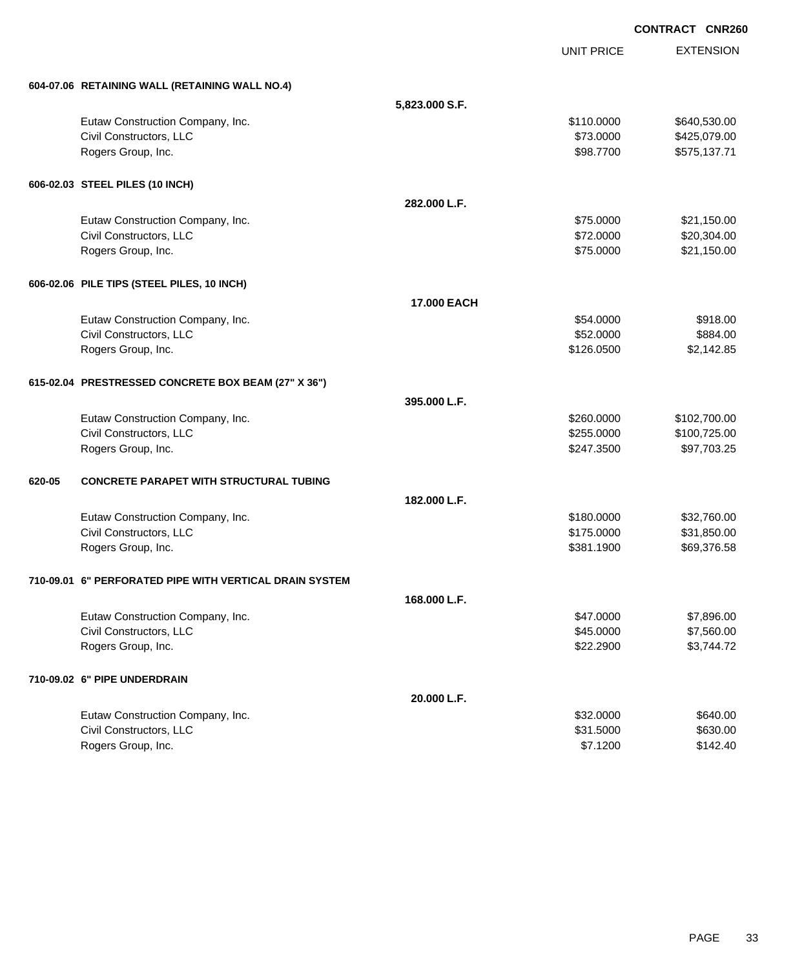**EXTENSION CONTRACT CNR260** UNIT PRICE **604-07.06 RETAINING WALL (RETAINING WALL NO.4) 5,823.000 S.F.** Eutaw Construction Company, Inc. 640,530.00 \$640,530.00 Civil Constructors, LLC 6. 2000 \$425,079.00 Rogers Group, Inc. \$98.7700 \$575,137.71 **606-02.03 STEEL PILES (10 INCH) 282.000 L.F.** Eutaw Construction Company, Inc. 6. 2013. The state of the state of the state of the state of the state of the state of the state of the state of the state of the state of the state of the state of the state of the state o Civil Constructors, LLC 620,304.00 Rogers Group, Inc. \$21,150.00 \$21,150.00 **606-02.06 PILE TIPS (STEEL PILES, 10 INCH) 17.000 EACH** Eutaw Construction Company, Inc. 6. The Construction Company, Inc. 6. The Construction Company, Inc. 6. The Construction Company, Inc. 6. The Construction Company, Inc. 6. The Construction Company, Inc. 6. The Construction Civil Constructors, LLC 6884.00 Rogers Group, Inc. \$126.0500 \$2,142.85 **615-02.04 PRESTRESSED CONCRETE BOX BEAM (27" X 36") 395.000 L.F.** Eutaw Construction Company, Inc. 6. The Construction Company, Inc. 6. The Construction Company, Inc. 6. The Construction Company, Inc. 6. The Construction Company, Inc. 6. The Construction Company, Inc. 6. The Construction Civil Constructors, LLC \$255.0000 \$100,725.00 Rogers Group, Inc. \$247.3500 \$97,703.25 **620-05 CONCRETE PARAPET WITH STRUCTURAL TUBING 182.000 L.F.** Eutaw Construction Company, Inc. 6. The Construction Company, Inc. 6. The Construction Company, Inc. 6. The Construction Company, Inc. 6. The Construction Company, Inc. 6. The Construction Company, Inc. 6. The Construction Civil Constructors, LLC 631,850.00 Rogers Group, Inc. \$69,376.58 \$69,376.58 \$69,376.58 \$581.1900 **710-09.01 6" PERFORATED PIPE WITH VERTICAL DRAIN SYSTEM 168.000 L.F.** Eutaw Construction Company, Inc. 6. The Construction Company, Inc. 6. The Construction Company, Inc. 6. The Construction Company, Inc. 6. The Construction Company, Inc. 6. The Construction Company, Inc. 6. The Construction Civil Constructors, LLC 66 and the state of the state of the state of the state of the state of the state of the state of the state of the state of the state of the state of the state of the state of the state of the state Rogers Group, Inc. \$2,744.72 **710-09.02 6" PIPE UNDERDRAIN 20.000 L.F.** Eutaw Construction Company, Inc. 6640.00 \$640.00

Civil Constructors, LLC 6630.00 Rogers Group, Inc. \$142.40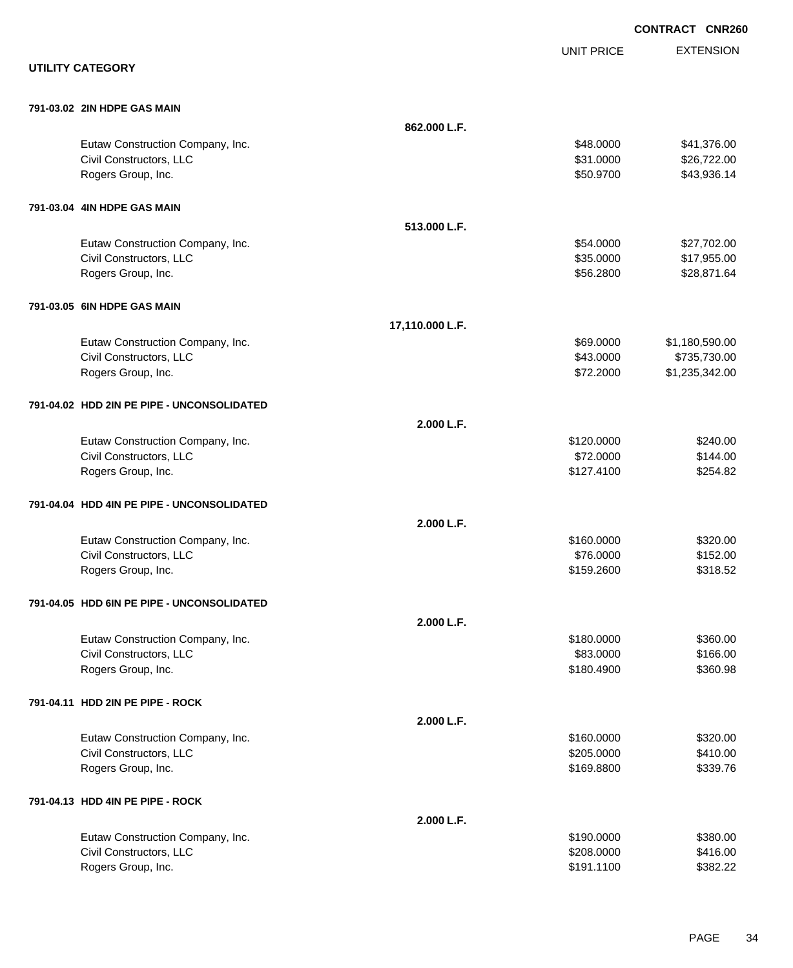|                                            |                 |                   | <b>CONTRACT CNR260</b> |
|--------------------------------------------|-----------------|-------------------|------------------------|
|                                            |                 | <b>UNIT PRICE</b> | <b>EXTENSION</b>       |
| <b>UTILITY CATEGORY</b>                    |                 |                   |                        |
| 791-03.02 2IN HDPE GAS MAIN                |                 |                   |                        |
|                                            | 862.000 L.F.    |                   |                        |
| Eutaw Construction Company, Inc.           |                 | \$48.0000         | \$41,376.00            |
| Civil Constructors, LLC                    |                 | \$31.0000         | \$26,722.00            |
| Rogers Group, Inc.                         |                 | \$50.9700         | \$43,936.14            |
| 791-03.04 4IN HDPE GAS MAIN                |                 |                   |                        |
|                                            | 513.000 L.F.    |                   |                        |
| Eutaw Construction Company, Inc.           |                 | \$54.0000         | \$27,702.00            |
| Civil Constructors, LLC                    |                 | \$35.0000         | \$17,955.00            |
| Rogers Group, Inc.                         |                 | \$56.2800         | \$28,871.64            |
| 791-03.05 6IN HDPE GAS MAIN                |                 |                   |                        |
|                                            | 17,110.000 L.F. |                   |                        |
| Eutaw Construction Company, Inc.           |                 | \$69.0000         | \$1,180,590.00         |
| Civil Constructors, LLC                    |                 | \$43.0000         | \$735,730.00           |
| Rogers Group, Inc.                         |                 | \$72.2000         | \$1,235,342.00         |
| 791-04.02 HDD 2IN PE PIPE - UNCONSOLIDATED |                 |                   |                        |
|                                            | 2.000 L.F.      |                   |                        |
| Eutaw Construction Company, Inc.           |                 | \$120.0000        | \$240.00               |
| Civil Constructors, LLC                    |                 | \$72.0000         | \$144.00               |
| Rogers Group, Inc.                         |                 | \$127.4100        | \$254.82               |
| 791-04.04 HDD 4IN PE PIPE - UNCONSOLIDATED |                 |                   |                        |
|                                            | 2.000 L.F.      |                   |                        |
| Eutaw Construction Company, Inc.           |                 | \$160.0000        | \$320.00               |
| Civil Constructors, LLC                    |                 | \$76.0000         | \$152.00               |
| Rogers Group, Inc.                         |                 | \$159.2600        | \$318.52               |
| 791-04.05 HDD 6IN PE PIPE - UNCONSOLIDATED |                 |                   |                        |
|                                            | 2.000 L.F.      |                   |                        |
| Eutaw Construction Company, Inc.           |                 | \$180.0000        | \$360.00               |
| Civil Constructors, LLC                    |                 | \$83.0000         | \$166.00               |
| Rogers Group, Inc.                         |                 | \$180.4900        | \$360.98               |
| 791-04.11 HDD 2IN PE PIPE - ROCK           |                 |                   |                        |
|                                            | 2.000 L.F.      |                   |                        |
| Eutaw Construction Company, Inc.           |                 | \$160.0000        | \$320.00               |
| Civil Constructors, LLC                    |                 | \$205.0000        | \$410.00               |
| Rogers Group, Inc.                         |                 | \$169.8800        | \$339.76               |
| 791-04.13 HDD 4IN PE PIPE - ROCK           |                 |                   |                        |
|                                            | 2.000 L.F.      |                   |                        |
| Eutaw Construction Company, Inc.           |                 | \$190.0000        | \$380.00               |
| Civil Constructors, LLC                    |                 | \$208.0000        | \$416.00               |
| Rogers Group, Inc.                         |                 | \$191.1100        | \$382.22               |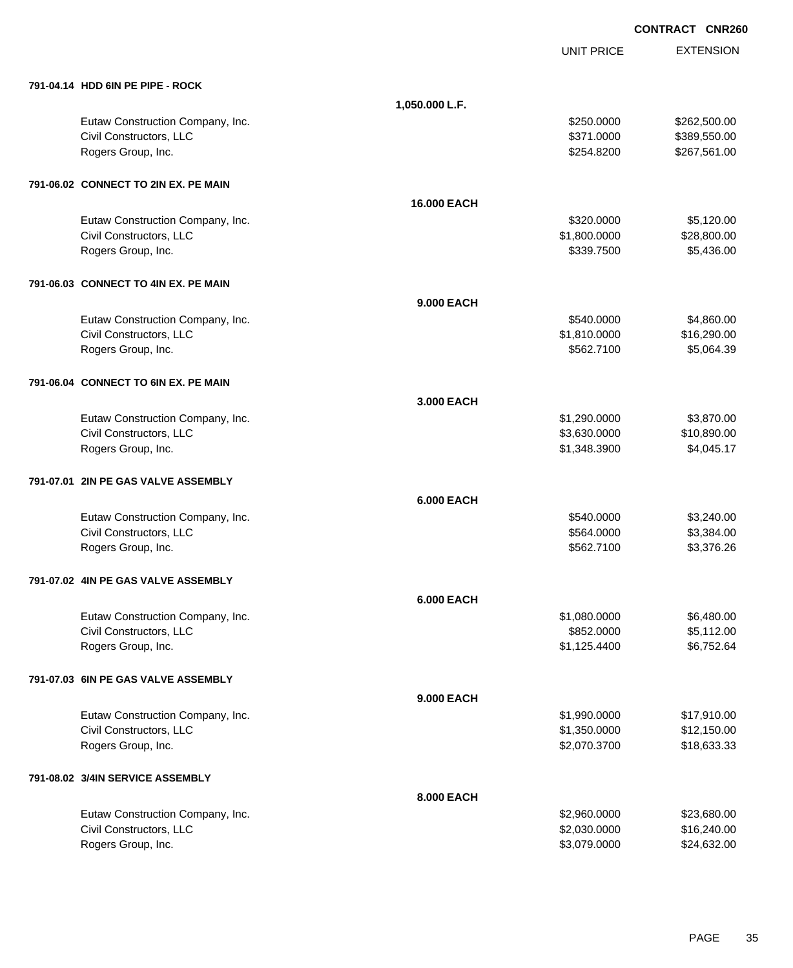|                                      |                    | <b>UNIT PRICE</b> | <b>EXTENSION</b> |
|--------------------------------------|--------------------|-------------------|------------------|
| 791-04.14 HDD 6IN PE PIPE - ROCK     |                    |                   |                  |
|                                      | 1,050.000 L.F.     |                   |                  |
| Eutaw Construction Company, Inc.     |                    | \$250.0000        | \$262,500.00     |
| Civil Constructors, LLC              |                    | \$371.0000        | \$389,550.00     |
| Rogers Group, Inc.                   |                    | \$254.8200        | \$267,561.00     |
| 791-06.02 CONNECT TO 2IN EX. PE MAIN |                    |                   |                  |
|                                      | <b>16.000 EACH</b> |                   |                  |
| Eutaw Construction Company, Inc.     |                    | \$320.0000        | \$5,120.00       |
| Civil Constructors, LLC              |                    | \$1,800.0000      | \$28,800.00      |
| Rogers Group, Inc.                   |                    | \$339.7500        | \$5,436.00       |
| 791-06.03 CONNECT TO 4IN EX. PE MAIN |                    |                   |                  |
|                                      | <b>9.000 EACH</b>  |                   |                  |
| Eutaw Construction Company, Inc.     |                    | \$540.0000        | \$4,860.00       |
| Civil Constructors, LLC              |                    | \$1,810.0000      | \$16,290.00      |
| Rogers Group, Inc.                   |                    | \$562.7100        | \$5,064.39       |
| 791-06.04 CONNECT TO 6IN EX. PE MAIN |                    |                   |                  |
|                                      | 3.000 EACH         |                   |                  |
| Eutaw Construction Company, Inc.     |                    | \$1,290.0000      | \$3,870.00       |
| Civil Constructors, LLC              |                    | \$3,630.0000      | \$10,890.00      |
| Rogers Group, Inc.                   |                    | \$1,348.3900      | \$4,045.17       |
| 791-07.01 2IN PE GAS VALVE ASSEMBLY  |                    |                   |                  |
|                                      | <b>6.000 EACH</b>  |                   |                  |
| Eutaw Construction Company, Inc.     |                    | \$540.0000        | \$3,240.00       |
| Civil Constructors, LLC              |                    | \$564.0000        | \$3,384.00       |
| Rogers Group, Inc.                   |                    | \$562.7100        | \$3,376.26       |
| 791-07.02 4IN PE GAS VALVE ASSEMBLY  |                    |                   |                  |
|                                      | <b>6.000 EACH</b>  |                   |                  |
| Eutaw Construction Company, Inc.     |                    | \$1,080.0000      | \$6,480.00       |
| Civil Constructors, LLC              |                    | \$852.0000        | \$5,112.00       |
| Rogers Group, Inc.                   |                    | \$1,125.4400      | \$6,752.64       |
| 791-07.03 6IN PE GAS VALVE ASSEMBLY  |                    |                   |                  |
|                                      | <b>9.000 EACH</b>  |                   |                  |
| Eutaw Construction Company, Inc.     |                    | \$1,990.0000      | \$17,910.00      |
| Civil Constructors, LLC              |                    | \$1,350.0000      | \$12,150.00      |
| Rogers Group, Inc.                   |                    | \$2,070.3700      | \$18,633.33      |
| 791-08.02 3/4IN SERVICE ASSEMBLY     |                    |                   |                  |
|                                      | <b>8.000 EACH</b>  |                   |                  |
| Eutaw Construction Company, Inc.     |                    | \$2,960.0000      | \$23,680.00      |
| Civil Constructors, LLC              |                    | \$2,030.0000      | \$16,240.00      |
| Rogers Group, Inc.                   |                    | \$3,079.0000      | \$24,632.00      |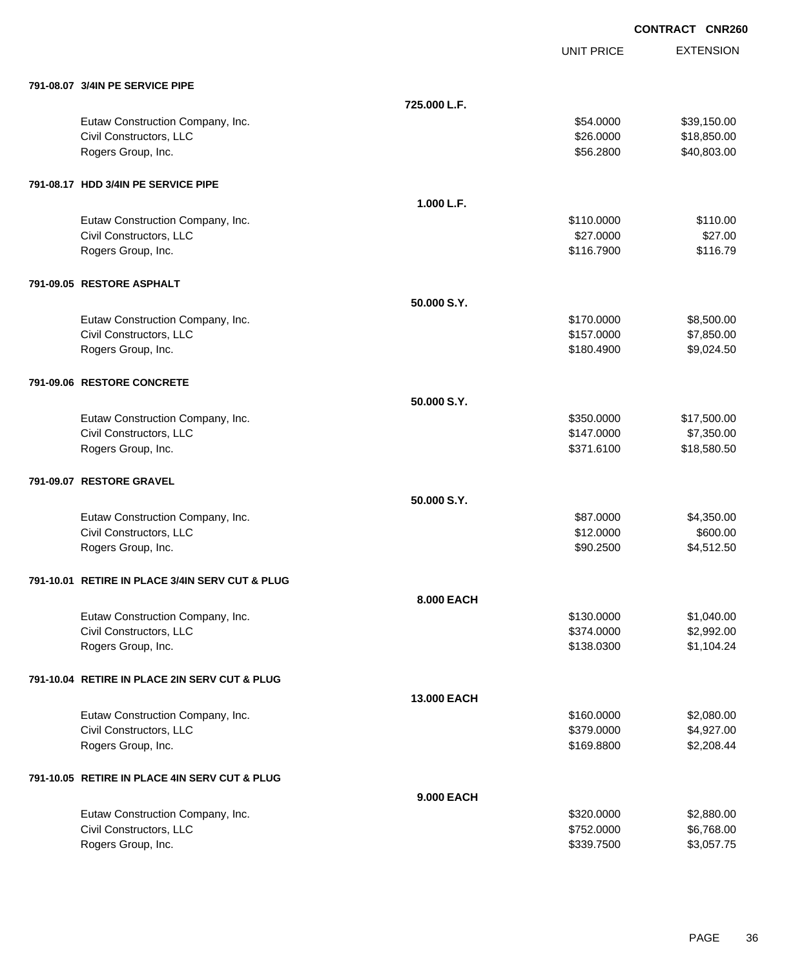|                                                 | <b>UNIT PRICE</b>  | <b>EXTENSION</b> |
|-------------------------------------------------|--------------------|------------------|
| 791-08.07 3/4IN PE SERVICE PIPE                 |                    |                  |
|                                                 | 725.000 L.F.       |                  |
| Eutaw Construction Company, Inc.                | \$54.0000          | \$39,150.00      |
| Civil Constructors, LLC                         | \$26.0000          | \$18,850.00      |
| Rogers Group, Inc.                              | \$56.2800          | \$40,803.00      |
| 791-08.17 HDD 3/4IN PE SERVICE PIPE             |                    |                  |
|                                                 | 1.000 L.F.         |                  |
| Eutaw Construction Company, Inc.                | \$110.0000         | \$110.00         |
| Civil Constructors, LLC                         | \$27.0000          | \$27.00          |
| Rogers Group, Inc.                              | \$116.7900         | \$116.79         |
| 791-09.05 RESTORE ASPHALT                       |                    |                  |
|                                                 | 50.000 S.Y.        |                  |
| Eutaw Construction Company, Inc.                | \$170.0000         | \$8,500.00       |
| Civil Constructors, LLC                         | \$157.0000         | \$7,850.00       |
| Rogers Group, Inc.                              | \$180.4900         | \$9,024.50       |
| 791-09.06 RESTORE CONCRETE                      |                    |                  |
|                                                 | 50.000 S.Y.        |                  |
| Eutaw Construction Company, Inc.                | \$350.0000         | \$17,500.00      |
| Civil Constructors, LLC                         | \$147.0000         | \$7,350.00       |
| Rogers Group, Inc.                              | \$371.6100         | \$18,580.50      |
| 791-09.07 RESTORE GRAVEL                        |                    |                  |
|                                                 | 50.000 S.Y.        |                  |
| Eutaw Construction Company, Inc.                | \$87.0000          | \$4,350.00       |
| Civil Constructors, LLC                         | \$12.0000          | \$600.00         |
| Rogers Group, Inc.                              | \$90.2500          | \$4,512.50       |
| 791-10.01 RETIRE IN PLACE 3/4IN SERV CUT & PLUG |                    |                  |
|                                                 | 8.000 EACH         |                  |
| Eutaw Construction Company, Inc.                | \$130.0000         | \$1,040.00       |
| Civil Constructors, LLC                         | \$374.0000         | \$2,992.00       |
| Rogers Group, Inc.                              | \$138.0300         | \$1,104.24       |
| 791-10.04 RETIRE IN PLACE 2IN SERV CUT & PLUG   |                    |                  |
|                                                 | <b>13,000 EACH</b> |                  |
| Eutaw Construction Company, Inc.                | \$160.0000         | \$2,080.00       |
| Civil Constructors, LLC                         | \$379.0000         | \$4,927.00       |
| Rogers Group, Inc.                              | \$169.8800         | \$2,208.44       |
| 791-10.05 RETIRE IN PLACE 4IN SERV CUT & PLUG   |                    |                  |
|                                                 | <b>9.000 EACH</b>  |                  |
| Eutaw Construction Company, Inc.                | \$320.0000         | \$2,880.00       |
| Civil Constructors, LLC                         | \$752.0000         | \$6,768.00       |
| Rogers Group, Inc.                              | \$339.7500         | \$3,057.75       |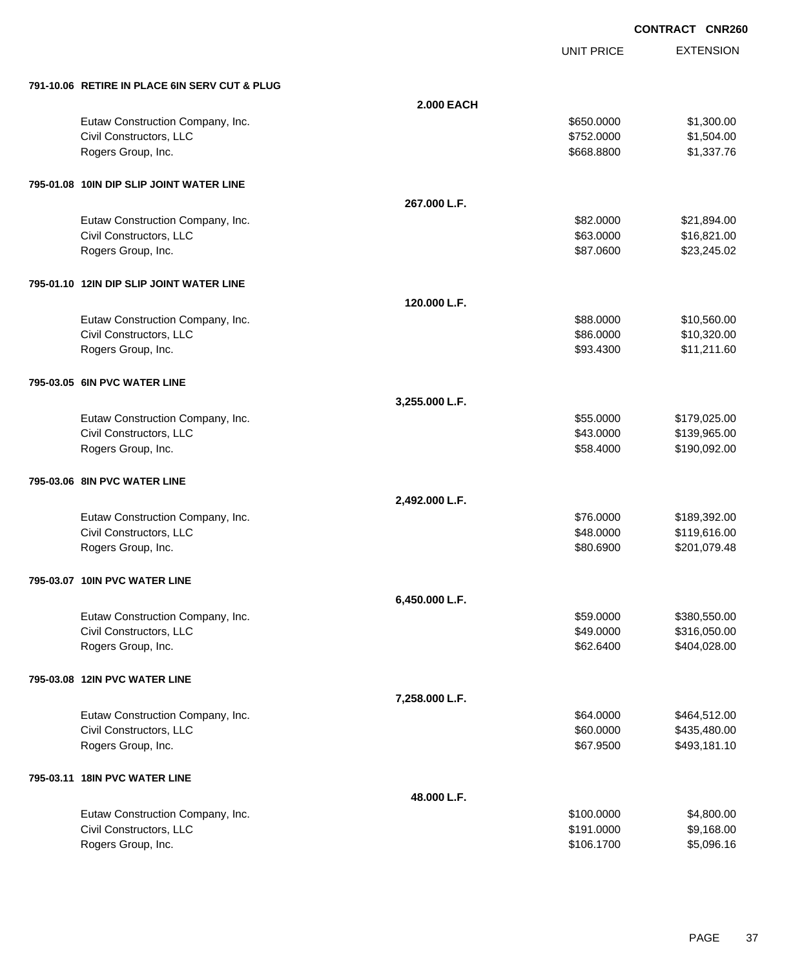EXTENSION **CONTRACT CNR260**

UNIT PRICE

| 791-10.06 RETIRE IN PLACE 6IN SERV CUT & PLUG |                   |            |              |
|-----------------------------------------------|-------------------|------------|--------------|
|                                               | <b>2.000 EACH</b> |            |              |
| Eutaw Construction Company, Inc.              |                   | \$650.0000 | \$1,300.00   |
| Civil Constructors, LLC                       |                   | \$752.0000 | \$1,504.00   |
| Rogers Group, Inc.                            |                   | \$668.8800 | \$1,337.76   |
| 795-01.08 10IN DIP SLIP JOINT WATER LINE      |                   |            |              |
|                                               | 267.000 L.F.      |            |              |
| Eutaw Construction Company, Inc.              |                   | \$82.0000  | \$21,894.00  |
| Civil Constructors, LLC                       |                   | \$63.0000  | \$16,821.00  |
| Rogers Group, Inc.                            |                   | \$87.0600  | \$23,245.02  |
| 795-01.10 12IN DIP SLIP JOINT WATER LINE      |                   |            |              |
|                                               | 120.000 L.F.      |            |              |
| Eutaw Construction Company, Inc.              |                   | \$88.0000  | \$10,560.00  |
| Civil Constructors, LLC                       |                   | \$86.0000  | \$10,320.00  |
| Rogers Group, Inc.                            |                   | \$93.4300  | \$11,211.60  |
| 795-03.05 6IN PVC WATER LINE                  |                   |            |              |
|                                               | 3,255.000 L.F.    |            |              |
| Eutaw Construction Company, Inc.              |                   | \$55.0000  | \$179,025.00 |
| Civil Constructors, LLC                       |                   | \$43.0000  | \$139,965.00 |
| Rogers Group, Inc.                            |                   | \$58.4000  | \$190,092.00 |
| 795-03.06 8IN PVC WATER LINE                  |                   |            |              |
|                                               | 2,492.000 L.F.    |            |              |
| Eutaw Construction Company, Inc.              |                   | \$76.0000  | \$189,392.00 |
| Civil Constructors, LLC                       |                   | \$48.0000  | \$119,616.00 |
| Rogers Group, Inc.                            |                   | \$80.6900  | \$201,079.48 |
| 795-03.07 10IN PVC WATER LINE                 |                   |            |              |
|                                               | 6,450.000 L.F.    |            |              |
| Eutaw Construction Company, Inc.              |                   | \$59.0000  | \$380,550.00 |
| Civil Constructors, LLC                       |                   | \$49.0000  | \$316,050.00 |
| Rogers Group, Inc.                            |                   | \$62.6400  | \$404,028.00 |
| 795-03.08 12IN PVC WATER LINE                 |                   |            |              |
|                                               | 7,258.000 L.F.    |            |              |
| Eutaw Construction Company, Inc.              |                   | \$64.0000  | \$464,512.00 |
| Civil Constructors, LLC                       |                   | \$60.0000  | \$435,480.00 |
| Rogers Group, Inc.                            |                   | \$67.9500  | \$493,181.10 |
| 795-03.11 18IN PVC WATER LINE                 |                   |            |              |
|                                               | 48.000 L.F.       |            |              |
| Eutaw Construction Company, Inc.              |                   | \$100.0000 | \$4,800.00   |
| Civil Constructors, LLC                       |                   | \$191.0000 | \$9,168.00   |
| Rogers Group, Inc.                            |                   | \$106.1700 | \$5,096.16   |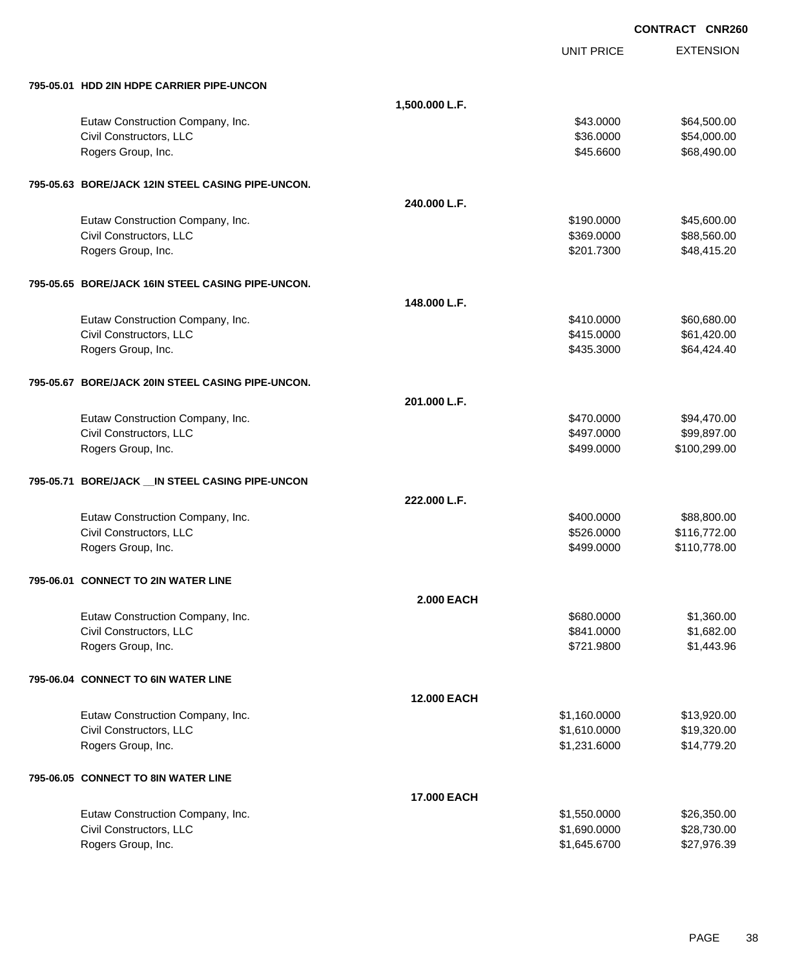EXTENSION **CONTRACT CNR260** UNIT PRICE **795-05.01 HDD 2IN HDPE CARRIER PIPE-UNCON 1,500.000 L.F.** Eutaw Construction Company, Inc. 664,500.00 \$64,500.00 \$64,500.00 Civil Constructors, LLC 654,000.00 Rogers Group, Inc. \$45.6600 \$68,490.00 **795-05.63 BORE/JACK 12IN STEEL CASING PIPE-UNCON. 240.000 L.F.** Eutaw Construction Company, Inc. 6. The Construction Company, Inc. 6. The Construction Company, Inc. 6. The Construction Company, Inc. 6. The Construction Company, Inc. 6. The Construction Company, Inc. 6. The Construction Civil Constructors, LLC 688,560.00 \$88,560.00 Rogers Group, Inc. \$48,415.20 **795-05.65 BORE/JACK 16IN STEEL CASING PIPE-UNCON. 148.000 L.F.** Eutaw Construction Company, Inc.  $$410.0000$  \$60,680.00 Civil Constructors, LLC 661,420.00 Rogers Group, Inc. \$64,424.40 \$64,424.40 **795-05.67 BORE/JACK 20IN STEEL CASING PIPE-UNCON. 201.000 L.F.** Eutaw Construction Company, Inc.  $$94,470.000$   $$94,470.00$ Civil Constructors, LLC 699,897.000 \$99,897.000 \$99,897.000 Rogers Group, Inc. \$100,299.00 \$100,299.00 \$100,299.00 \$100,299.00 \$100,299.00 \$100,299.00 \$100,299.00 \$100,299 **795-05.71 BORE/JACK \_\_IN STEEL CASING PIPE-UNCON 222.000 L.F.** Eutaw Construction Company, Inc. 688,800.00 \$88,800.00 \$88,800.00 Civil Constructors, LLC 6. 2010 12:00 \$126.0000 \$116,772.00 Rogers Group, Inc. 6. 2010. The Second State of the Second State of the Second State State of State State State State State State State State State State State State State State State State State State State State State St **795-06.01 CONNECT TO 2IN WATER LINE 2.000 EACH** Eutaw Construction Company, Inc. 6880.000 \$1,360.000 \$1,360.000 \$1,360.000 \$1,360.00 Civil Constructors, LLC 6841.0000 \$1,682.00 Rogers Group, Inc. \$1,443.96 **795-06.04 CONNECT TO 6IN WATER LINE 12.000 EACH** Eutaw Construction Company, Inc.  $$13,920.00$ Civil Constructors, LLC \$1,610.0000 \$19,320.00 Rogers Group, Inc. \$14,779.20 **795-06.05 CONNECT TO 8IN WATER LINE 17.000 EACH** Eutaw Construction Company, Inc. 6. The Construction Company, Inc. 6. The Construction Company, Inc. 6. The Construction Company, Inc. 6. The Construction Company, Inc. 6. The Construction Company, Inc. 6. The Construction Civil Constructors, LLC 628,730.00

Rogers Group, Inc. \$1,645.6700 \$27,976.39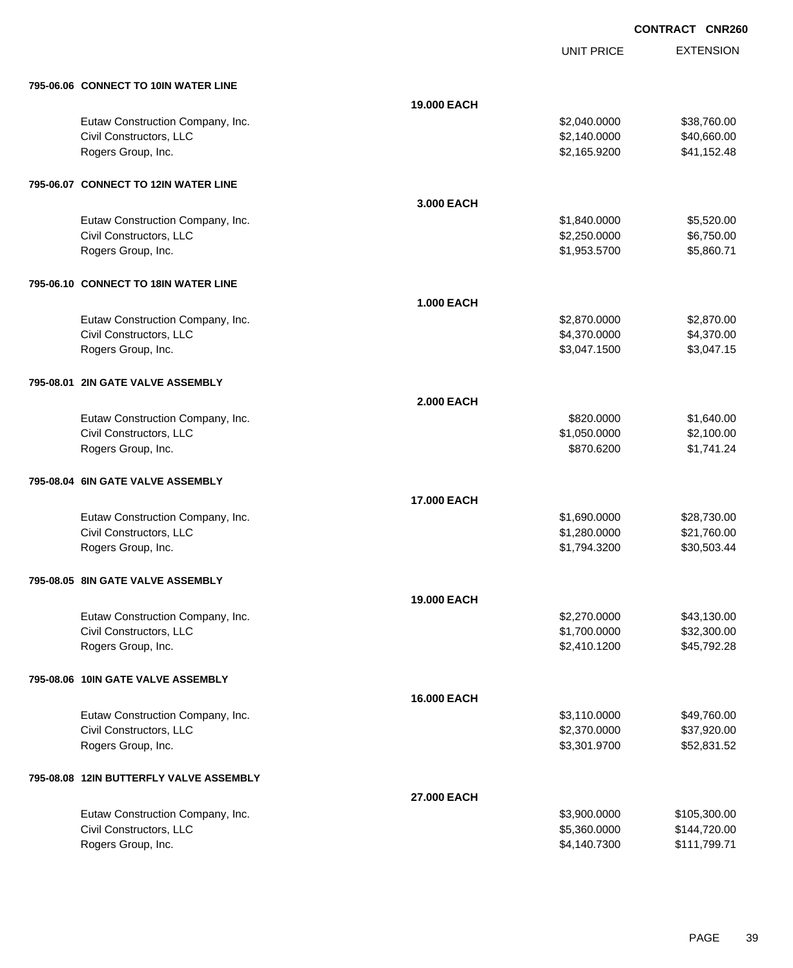UNIT PRICE

| 795-06.06 CONNECT TO 10IN WATER LINE    |                    |              |              |
|-----------------------------------------|--------------------|--------------|--------------|
|                                         | 19.000 EACH        |              |              |
| Eutaw Construction Company, Inc.        |                    | \$2,040.0000 | \$38,760.00  |
| Civil Constructors, LLC                 |                    | \$2,140.0000 | \$40,660.00  |
| Rogers Group, Inc.                      |                    | \$2,165.9200 | \$41,152.48  |
| 795-06.07 CONNECT TO 12IN WATER LINE    |                    |              |              |
|                                         | 3.000 EACH         |              |              |
| Eutaw Construction Company, Inc.        |                    | \$1,840.0000 | \$5,520.00   |
| Civil Constructors, LLC                 |                    | \$2,250.0000 | \$6,750.00   |
| Rogers Group, Inc.                      |                    | \$1,953.5700 | \$5,860.71   |
| 795-06.10 CONNECT TO 18IN WATER LINE    |                    |              |              |
|                                         | <b>1.000 EACH</b>  |              |              |
| Eutaw Construction Company, Inc.        |                    | \$2,870.0000 | \$2,870.00   |
| Civil Constructors, LLC                 |                    | \$4,370.0000 | \$4,370.00   |
| Rogers Group, Inc.                      |                    | \$3,047.1500 | \$3,047.15   |
| 795-08.01 2IN GATE VALVE ASSEMBLY       |                    |              |              |
|                                         | <b>2.000 EACH</b>  |              |              |
| Eutaw Construction Company, Inc.        |                    | \$820.0000   | \$1,640.00   |
| Civil Constructors, LLC                 |                    | \$1,050.0000 | \$2,100.00   |
| Rogers Group, Inc.                      |                    | \$870.6200   | \$1,741.24   |
| 795-08.04 6IN GATE VALVE ASSEMBLY       |                    |              |              |
|                                         | <b>17,000 EACH</b> |              |              |
| Eutaw Construction Company, Inc.        |                    | \$1,690.0000 | \$28,730.00  |
| Civil Constructors, LLC                 |                    | \$1,280.0000 | \$21,760.00  |
| Rogers Group, Inc.                      |                    | \$1,794.3200 | \$30,503.44  |
| 795-08.05 8IN GATE VALVE ASSEMBLY       |                    |              |              |
|                                         | <b>19.000 EACH</b> |              |              |
| Eutaw Construction Company, Inc.        |                    | \$2,270.0000 | \$43,130.00  |
| Civil Constructors, LLC                 |                    | \$1,700.0000 | \$32,300.00  |
| Rogers Group, Inc.                      |                    | \$2,410.1200 | \$45,792.28  |
| 795-08.06 10IN GATE VALVE ASSEMBLY      |                    |              |              |
|                                         | 16.000 EACH        |              |              |
| Eutaw Construction Company, Inc.        |                    | \$3,110.0000 | \$49,760.00  |
| Civil Constructors, LLC                 |                    | \$2,370.0000 | \$37,920.00  |
| Rogers Group, Inc.                      |                    | \$3,301.9700 | \$52,831.52  |
| 795-08.08 12IN BUTTERFLY VALVE ASSEMBLY |                    |              |              |
|                                         | 27.000 EACH        |              |              |
| Eutaw Construction Company, Inc.        |                    | \$3,900.0000 | \$105,300.00 |
| Civil Constructors, LLC                 |                    | \$5,360.0000 | \$144,720.00 |
| Rogers Group, Inc.                      |                    | \$4,140.7300 | \$111,799.71 |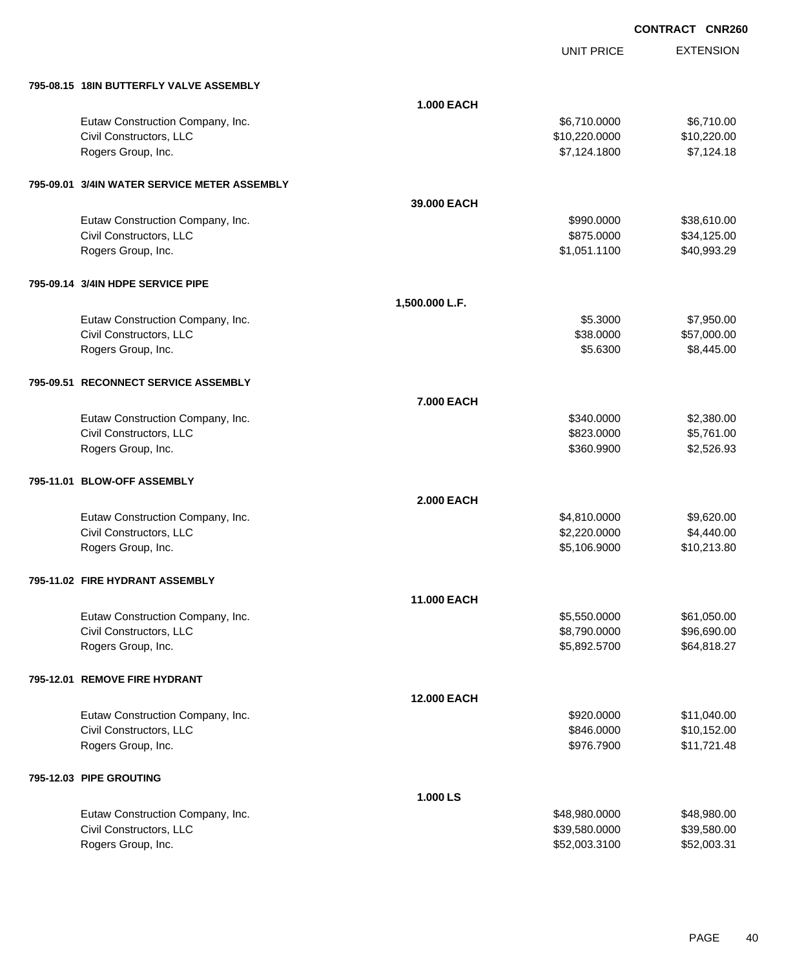UNIT PRICE

| 795-08.15 18IN BUTTERFLY VALVE ASSEMBLY      |                    |               |             |
|----------------------------------------------|--------------------|---------------|-------------|
|                                              | <b>1.000 EACH</b>  |               |             |
| Eutaw Construction Company, Inc.             |                    | \$6,710.0000  | \$6,710.00  |
| Civil Constructors, LLC                      |                    | \$10,220.0000 | \$10,220.00 |
| Rogers Group, Inc.                           |                    | \$7,124.1800  | \$7,124.18  |
|                                              |                    |               |             |
| 795-09.01 3/4IN WATER SERVICE METER ASSEMBLY |                    |               |             |
|                                              | 39,000 EACH        |               |             |
| Eutaw Construction Company, Inc.             |                    | \$990.0000    | \$38,610.00 |
| Civil Constructors, LLC                      |                    | \$875.0000    | \$34,125.00 |
| Rogers Group, Inc.                           |                    | \$1,051.1100  | \$40,993.29 |
| 795-09.14 3/4IN HDPE SERVICE PIPE            |                    |               |             |
|                                              | 1,500.000 L.F.     |               |             |
|                                              |                    |               |             |
| Eutaw Construction Company, Inc.             |                    | \$5.3000      | \$7,950.00  |
| Civil Constructors, LLC                      |                    | \$38.0000     | \$57,000.00 |
| Rogers Group, Inc.                           |                    | \$5.6300      | \$8,445.00  |
| 795-09.51 RECONNECT SERVICE ASSEMBLY         |                    |               |             |
|                                              | <b>7.000 EACH</b>  |               |             |
| Eutaw Construction Company, Inc.             |                    | \$340.0000    | \$2,380.00  |
| Civil Constructors, LLC                      |                    | \$823.0000    | \$5,761.00  |
| Rogers Group, Inc.                           |                    | \$360.9900    | \$2,526.93  |
|                                              |                    |               |             |
| 795-11.01 BLOW-OFF ASSEMBLY                  |                    |               |             |
|                                              | <b>2.000 EACH</b>  |               |             |
| Eutaw Construction Company, Inc.             |                    | \$4,810.0000  | \$9,620.00  |
| Civil Constructors, LLC                      |                    | \$2,220.0000  | \$4,440.00  |
| Rogers Group, Inc.                           |                    | \$5,106.9000  | \$10,213.80 |
| 795-11.02 FIRE HYDRANT ASSEMBLY              |                    |               |             |
|                                              | <b>11.000 EACH</b> |               |             |
| Eutaw Construction Company, Inc.             |                    | \$5,550.0000  | \$61,050.00 |
| Civil Constructors, LLC                      |                    | \$8,790.0000  | \$96,690.00 |
| Rogers Group, Inc.                           |                    | \$5,892.5700  | \$64,818.27 |
|                                              |                    |               |             |
| 795-12.01 REMOVE FIRE HYDRANT                |                    |               |             |
|                                              | <b>12.000 EACH</b> |               |             |
| Eutaw Construction Company, Inc.             |                    | \$920.0000    | \$11,040.00 |
| Civil Constructors, LLC                      |                    | \$846.0000    | \$10,152.00 |
| Rogers Group, Inc.                           |                    | \$976.7900    | \$11,721.48 |
| 795-12.03 PIPE GROUTING                      |                    |               |             |
|                                              | 1.000 LS           |               |             |
| Eutaw Construction Company, Inc.             |                    | \$48,980.0000 | \$48,980.00 |
| Civil Constructors, LLC                      |                    | \$39,580.0000 | \$39,580.00 |
| Rogers Group, Inc.                           |                    | \$52,003.3100 | \$52,003.31 |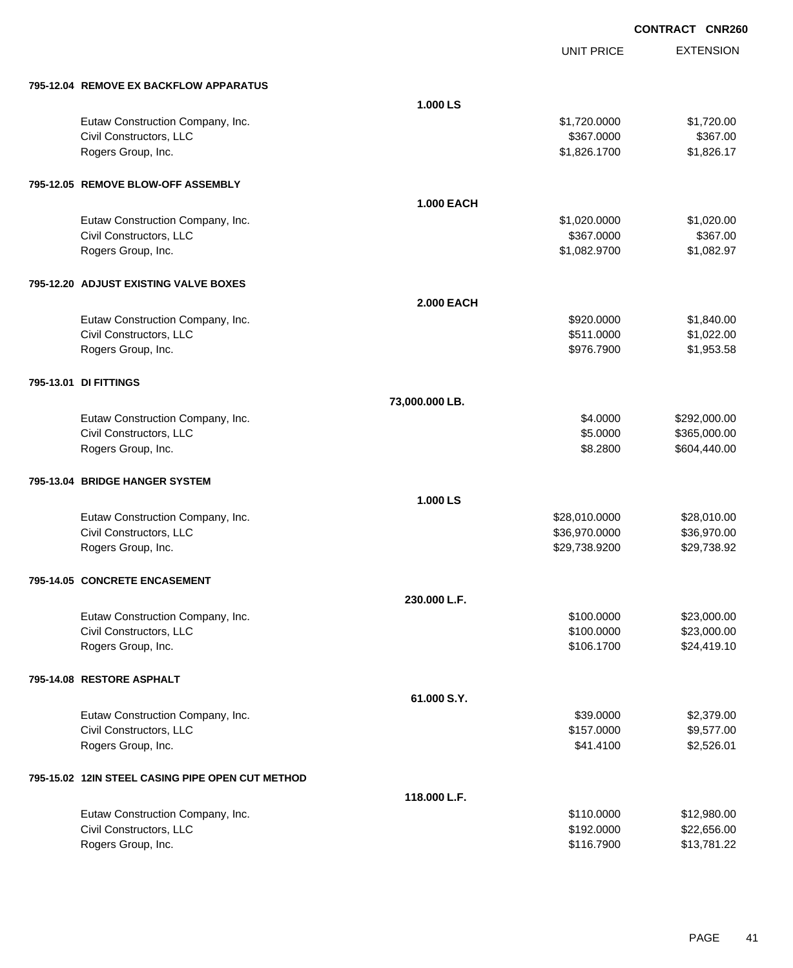|                           |                                                  |                   | <b>UNIT PRICE</b> | <b>EXTENSION</b> |
|---------------------------|--------------------------------------------------|-------------------|-------------------|------------------|
|                           | 795-12.04 REMOVE EX BACKFLOW APPARATUS           |                   |                   |                  |
|                           |                                                  | 1.000 LS          |                   |                  |
|                           | Eutaw Construction Company, Inc.                 |                   | \$1,720.0000      | \$1,720.00       |
|                           | Civil Constructors, LLC                          |                   | \$367.0000        | \$367.00         |
|                           | Rogers Group, Inc.                               |                   | \$1,826.1700      | \$1,826.17       |
|                           | 795-12.05 REMOVE BLOW-OFF ASSEMBLY               |                   |                   |                  |
|                           |                                                  | <b>1.000 EACH</b> |                   |                  |
|                           | Eutaw Construction Company, Inc.                 |                   | \$1,020.0000      | \$1,020.00       |
|                           | Civil Constructors, LLC                          |                   | \$367.0000        | \$367.00         |
|                           | Rogers Group, Inc.                               |                   | \$1,082.9700      | \$1,082.97       |
|                           | 795-12.20 ADJUST EXISTING VALVE BOXES            |                   |                   |                  |
|                           |                                                  | <b>2.000 EACH</b> |                   |                  |
|                           | Eutaw Construction Company, Inc.                 |                   | \$920.0000        | \$1,840.00       |
|                           | Civil Constructors, LLC                          |                   | \$511.0000        | \$1,022.00       |
|                           | Rogers Group, Inc.                               |                   | \$976.7900        | \$1,953.58       |
| 795-13.01 DI FITTINGS     |                                                  |                   |                   |                  |
|                           |                                                  | 73,000.000 LB.    |                   |                  |
|                           | Eutaw Construction Company, Inc.                 |                   | \$4.0000          | \$292,000.00     |
|                           | Civil Constructors, LLC                          |                   | \$5.0000          | \$365,000.00     |
|                           | Rogers Group, Inc.                               |                   | \$8.2800          | \$604,440.00     |
|                           | 795-13.04 BRIDGE HANGER SYSTEM                   |                   |                   |                  |
|                           |                                                  | 1.000 LS          |                   |                  |
|                           | Eutaw Construction Company, Inc.                 |                   | \$28,010.0000     | \$28,010.00      |
|                           | Civil Constructors, LLC                          |                   | \$36,970.0000     | \$36,970.00      |
|                           | Rogers Group, Inc.                               |                   | \$29,738.9200     | \$29,738.92      |
|                           | 795-14.05 CONCRETE ENCASEMENT                    |                   |                   |                  |
|                           |                                                  | 230.000 L.F.      |                   |                  |
|                           | Eutaw Construction Company, Inc.                 |                   | \$100.0000        | \$23,000.00      |
|                           | Civil Constructors, LLC                          |                   | \$100.0000        | \$23,000.00      |
|                           | Rogers Group, Inc.                               |                   | \$106.1700        | \$24,419.10      |
| 795-14.08 RESTORE ASPHALT |                                                  |                   |                   |                  |
|                           |                                                  | 61.000 S.Y.       |                   |                  |
|                           | Eutaw Construction Company, Inc.                 |                   | \$39.0000         | \$2,379.00       |
|                           | Civil Constructors, LLC                          |                   | \$157.0000        | \$9,577.00       |
|                           | Rogers Group, Inc.                               |                   | \$41.4100         | \$2,526.01       |
|                           | 795-15.02 12IN STEEL CASING PIPE OPEN CUT METHOD |                   |                   |                  |
|                           |                                                  | 118,000 L.F.      |                   |                  |
|                           | Eutaw Construction Company, Inc.                 |                   | \$110.0000        | \$12,980.00      |
|                           | Civil Constructors, LLC                          |                   | \$192.0000        | \$22,656.00      |
|                           | Rogers Group, Inc.                               |                   | \$116.7900        | \$13,781.22      |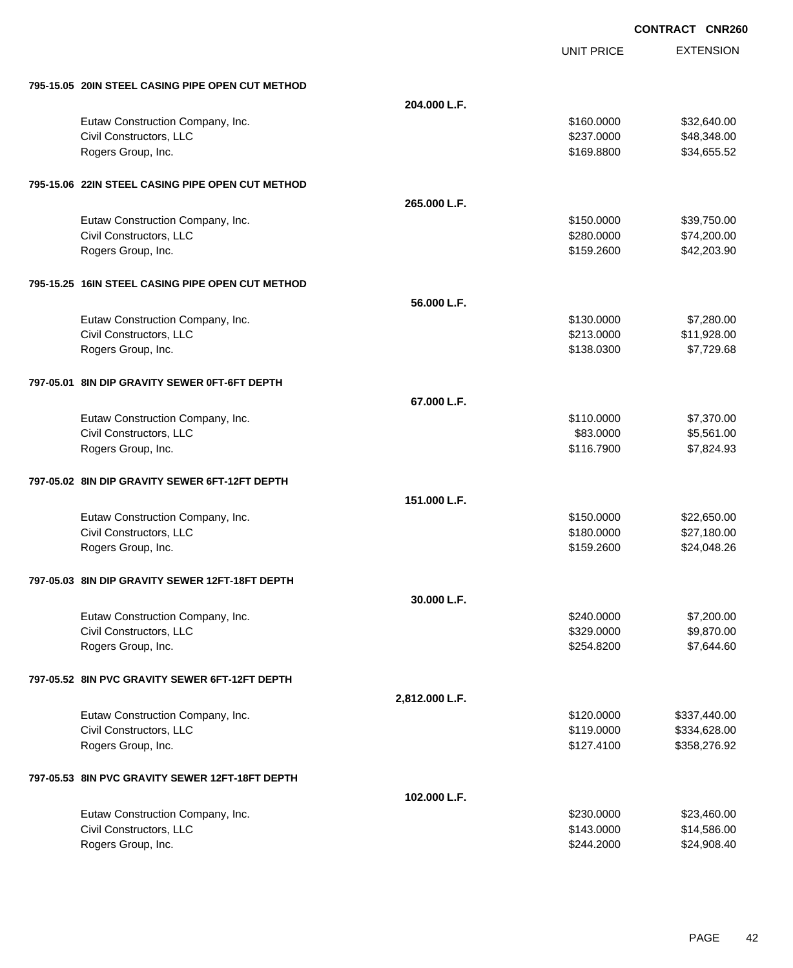|                                                  |                | <b>UNIT PRICE</b> | <b>EXTENSION</b> |
|--------------------------------------------------|----------------|-------------------|------------------|
| 795-15.05 20IN STEEL CASING PIPE OPEN CUT METHOD |                |                   |                  |
|                                                  | 204.000 L.F.   |                   |                  |
| Eutaw Construction Company, Inc.                 |                | \$160.0000        | \$32,640.00      |
| Civil Constructors, LLC                          |                | \$237.0000        | \$48,348.00      |
| Rogers Group, Inc.                               |                | \$169.8800        | \$34,655.52      |
| 795-15.06 22IN STEEL CASING PIPE OPEN CUT METHOD |                |                   |                  |
|                                                  | 265.000 L.F.   |                   |                  |
| Eutaw Construction Company, Inc.                 |                | \$150.0000        | \$39,750.00      |
| Civil Constructors, LLC                          |                | \$280.0000        | \$74,200.00      |
| Rogers Group, Inc.                               |                | \$159.2600        | \$42,203.90      |
| 795-15.25 16IN STEEL CASING PIPE OPEN CUT METHOD |                |                   |                  |
|                                                  | 56.000 L.F.    |                   |                  |
| Eutaw Construction Company, Inc.                 |                | \$130.0000        | \$7,280.00       |
| Civil Constructors, LLC                          |                | \$213.0000        | \$11,928.00      |
| Rogers Group, Inc.                               |                | \$138.0300        | \$7,729.68       |
| 797-05.01 8IN DIP GRAVITY SEWER 0FT-6FT DEPTH    |                |                   |                  |
|                                                  | 67.000 L.F.    |                   |                  |
| Eutaw Construction Company, Inc.                 |                | \$110.0000        | \$7,370.00       |
| Civil Constructors, LLC                          |                | \$83.0000         | \$5,561.00       |
| Rogers Group, Inc.                               |                | \$116.7900        | \$7,824.93       |
| 797-05.02 8IN DIP GRAVITY SEWER 6FT-12FT DEPTH   |                |                   |                  |
|                                                  | 151.000 L.F.   |                   |                  |
| Eutaw Construction Company, Inc.                 |                | \$150.0000        | \$22,650.00      |
| Civil Constructors, LLC                          |                | \$180.0000        | \$27,180.00      |
| Rogers Group, Inc.                               |                | \$159.2600        | \$24,048.26      |
| 797-05.03 8IN DIP GRAVITY SEWER 12FT-18FT DEPTH  |                |                   |                  |
|                                                  | 30.000 L.F.    |                   |                  |
| Eutaw Construction Company, Inc.                 |                | \$240,0000        | \$7,200.00       |
| Civil Constructors, LLC                          |                | \$329.0000        | \$9,870.00       |
| Rogers Group, Inc.                               |                | \$254.8200        | \$7,644.60       |
| 797-05.52 8IN PVC GRAVITY SEWER 6FT-12FT DEPTH   |                |                   |                  |
|                                                  | 2,812.000 L.F. |                   |                  |
| Eutaw Construction Company, Inc.                 |                | \$120.0000        | \$337,440.00     |
| Civil Constructors, LLC                          |                | \$119.0000        | \$334,628.00     |
| Rogers Group, Inc.                               |                | \$127.4100        | \$358,276.92     |
| 797-05.53 8IN PVC GRAVITY SEWER 12FT-18FT DEPTH  |                |                   |                  |
|                                                  | 102.000 L.F.   |                   |                  |
| Eutaw Construction Company, Inc.                 |                | \$230.0000        | \$23,460.00      |
| Civil Constructors, LLC                          |                | \$143.0000        | \$14,586.00      |
| Rogers Group, Inc.                               |                | \$244.2000        | \$24,908.40      |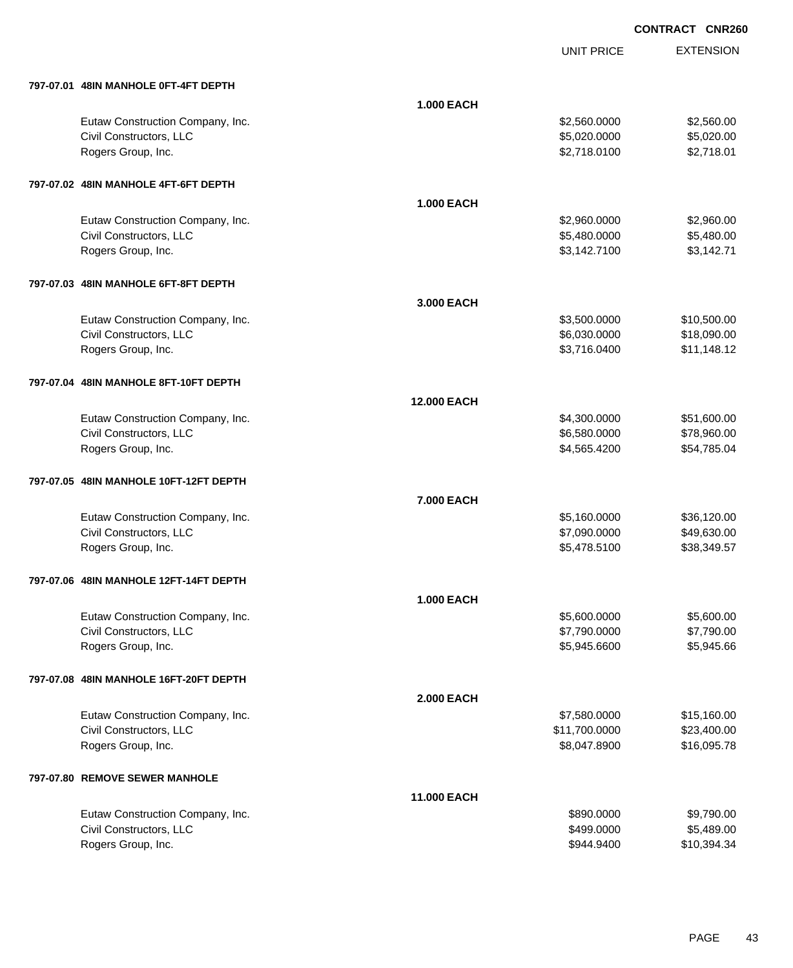UNIT PRICE

| 797-07.01   48IN MANHOLE 0FT-4FT DEPTH |  |
|----------------------------------------|--|

| 797-07.01 48IN MANHOLE 0FT-4FT DEPTH   |                   |               |             |
|----------------------------------------|-------------------|---------------|-------------|
|                                        | <b>1.000 EACH</b> |               |             |
| Eutaw Construction Company, Inc.       |                   | \$2,560.0000  | \$2,560.00  |
| Civil Constructors, LLC                |                   | \$5,020.0000  | \$5,020.00  |
| Rogers Group, Inc.                     |                   | \$2,718.0100  | \$2,718.01  |
| 797-07.02 48IN MANHOLE 4FT-6FT DEPTH   |                   |               |             |
|                                        | <b>1.000 EACH</b> |               |             |
| Eutaw Construction Company, Inc.       |                   | \$2,960.0000  | \$2,960.00  |
| Civil Constructors, LLC                |                   | \$5,480.0000  | \$5,480.00  |
| Rogers Group, Inc.                     |                   | \$3,142.7100  | \$3,142.71  |
| 797-07.03 48IN MANHOLE 6FT-8FT DEPTH   |                   |               |             |
|                                        | 3.000 EACH        |               |             |
| Eutaw Construction Company, Inc.       |                   | \$3,500.0000  | \$10,500.00 |
| Civil Constructors, LLC                |                   | \$6,030.0000  | \$18,090.00 |
| Rogers Group, Inc.                     |                   | \$3,716.0400  | \$11,148.12 |
| 797-07.04 48IN MANHOLE 8FT-10FT DEPTH  |                   |               |             |
|                                        | 12.000 EACH       |               |             |
| Eutaw Construction Company, Inc.       |                   | \$4,300.0000  | \$51,600.00 |
| Civil Constructors, LLC                |                   | \$6,580.0000  | \$78,960.00 |
| Rogers Group, Inc.                     |                   | \$4,565.4200  | \$54,785.04 |
| 797-07.05 48IN MANHOLE 10FT-12FT DEPTH |                   |               |             |
|                                        | 7.000 EACH        |               |             |
| Eutaw Construction Company, Inc.       |                   | \$5,160.0000  | \$36,120.00 |
| Civil Constructors, LLC                |                   | \$7,090.0000  | \$49,630.00 |
| Rogers Group, Inc.                     |                   | \$5,478.5100  | \$38,349.57 |
| 797-07.06 48IN MANHOLE 12FT-14FT DEPTH |                   |               |             |
|                                        | <b>1.000 EACH</b> |               |             |
| Eutaw Construction Company, Inc.       |                   | \$5,600.0000  | \$5,600.00  |
| Civil Constructors, LLC                |                   | \$7,790.0000  | \$7,790.00  |
| Rogers Group, Inc.                     |                   | \$5,945.6600  | \$5,945.66  |
| 797-07.08 48IN MANHOLE 16FT-20FT DEPTH |                   |               |             |
|                                        | <b>2.000 EACH</b> |               |             |
| Eutaw Construction Company, Inc.       |                   | \$7,580.0000  | \$15,160.00 |
| Civil Constructors, LLC                |                   | \$11,700.0000 | \$23,400.00 |
| Rogers Group, Inc.                     |                   | \$8,047.8900  | \$16,095.78 |
| 797-07.80 REMOVE SEWER MANHOLE         |                   |               |             |
|                                        | 11.000 EACH       |               |             |
| Eutaw Construction Company, Inc.       |                   | \$890.0000    | \$9,790.00  |
| Civil Constructors, LLC                |                   | \$499.0000    | \$5,489.00  |
| Rogers Group, Inc.                     |                   | \$944.9400    | \$10,394.34 |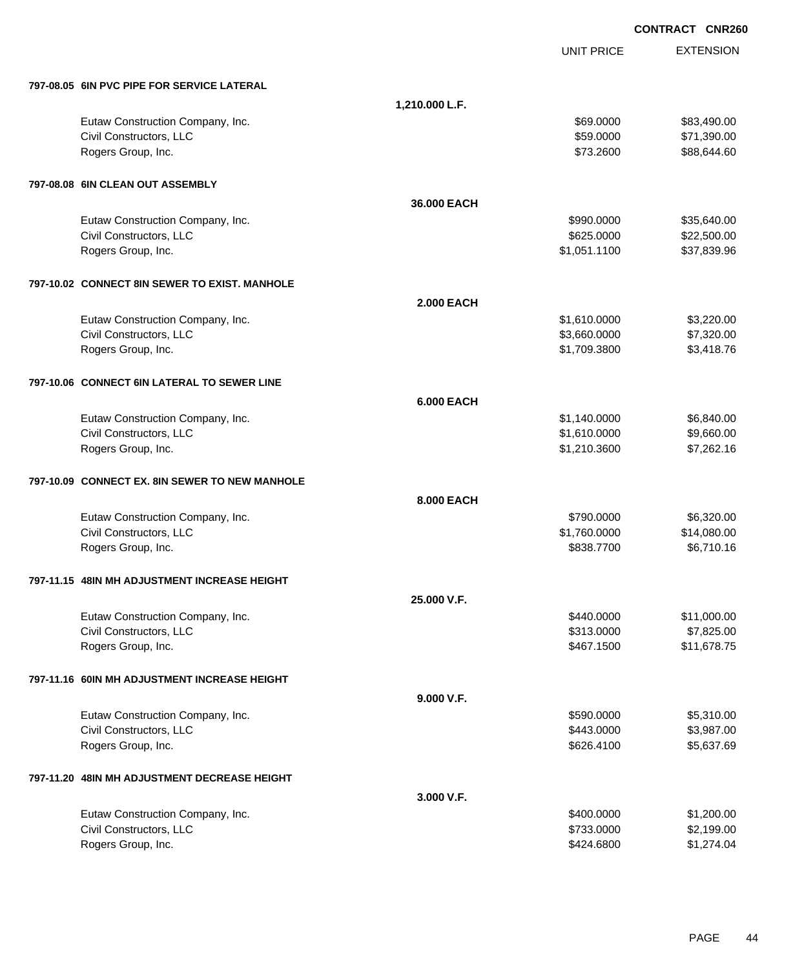|                                                |                   | <b>CONTRACT CNR260</b> |                  |
|------------------------------------------------|-------------------|------------------------|------------------|
|                                                |                   | <b>UNIT PRICE</b>      | <b>EXTENSION</b> |
| 797-08.05 6IN PVC PIPE FOR SERVICE LATERAL     |                   |                        |                  |
|                                                | 1,210.000 L.F.    |                        |                  |
| Eutaw Construction Company, Inc.               |                   | \$69.0000              | \$83,490.00      |
| Civil Constructors, LLC                        |                   | \$59.0000              | \$71,390.00      |
| Rogers Group, Inc.                             |                   | \$73.2600              | \$88,644.60      |
| 797-08.08 6IN CLEAN OUT ASSEMBLY               |                   |                        |                  |
|                                                | 36,000 EACH       |                        |                  |
| Eutaw Construction Company, Inc.               |                   | \$990.0000             | \$35,640.00      |
| Civil Constructors, LLC                        |                   | \$625.0000             | \$22,500.00      |
| Rogers Group, Inc.                             |                   | \$1,051.1100           | \$37,839.96      |
| 797-10.02 CONNECT 8IN SEWER TO EXIST, MANHOLE  |                   |                        |                  |
|                                                | <b>2.000 EACH</b> |                        |                  |
| Eutaw Construction Company, Inc.               |                   | \$1,610.0000           | \$3,220.00       |
| Civil Constructors, LLC                        |                   | \$3,660.0000           | \$7,320.00       |
| Rogers Group, Inc.                             |                   | \$1,709.3800           | \$3,418.76       |
| 797-10.06 CONNECT 6IN LATERAL TO SEWER LINE    |                   |                        |                  |
|                                                | <b>6.000 EACH</b> |                        |                  |
| Eutaw Construction Company, Inc.               |                   | \$1,140.0000           | \$6,840.00       |
| Civil Constructors, LLC                        |                   | \$1,610.0000           | \$9,660.00       |
| Rogers Group, Inc.                             |                   | \$1,210.3600           | \$7,262.16       |
| 797-10.09 CONNECT EX, 8IN SEWER TO NEW MANHOLE |                   |                        |                  |
|                                                | 8.000 EACH        |                        |                  |
| Eutaw Construction Company, Inc.               |                   | \$790.0000             | \$6,320.00       |
| Civil Constructors, LLC                        |                   | \$1,760.0000           | \$14,080.00      |
| Rogers Group, Inc.                             |                   | \$838.7700             | \$6,710.16       |
| 797-11.15 48IN MH ADJUSTMENT INCREASE HEIGHT   |                   |                        |                  |
|                                                | 25.000 V.F.       |                        |                  |
| Eutaw Construction Company, Inc.               |                   | \$440.0000             | \$11,000.00      |
| Civil Constructors, LLC                        |                   | \$313.0000             | \$7,825.00       |
| Rogers Group, Inc.                             |                   | \$467.1500             | \$11,678.75      |
| 797-11.16 60IN MH ADJUSTMENT INCREASE HEIGHT   |                   |                        |                  |
|                                                | 9.000 V.F.        |                        |                  |
| Eutaw Construction Company, Inc.               |                   | \$590.0000             | \$5,310.00       |
| Civil Constructors, LLC                        |                   | \$443.0000             | \$3,987.00       |
| Rogers Group, Inc.                             |                   | \$626.4100             | \$5,637.69       |
| 797-11.20 48IN MH ADJUSTMENT DECREASE HEIGHT   |                   |                        |                  |
|                                                | 3.000 V.F.        |                        |                  |
| Eutaw Construction Company, Inc.               |                   | \$400.0000             | \$1,200.00       |
| Civil Constructors, LLC                        |                   | \$733.0000             | \$2,199.00       |
| Rogers Group, Inc.                             |                   | \$424.6800             | \$1,274.04       |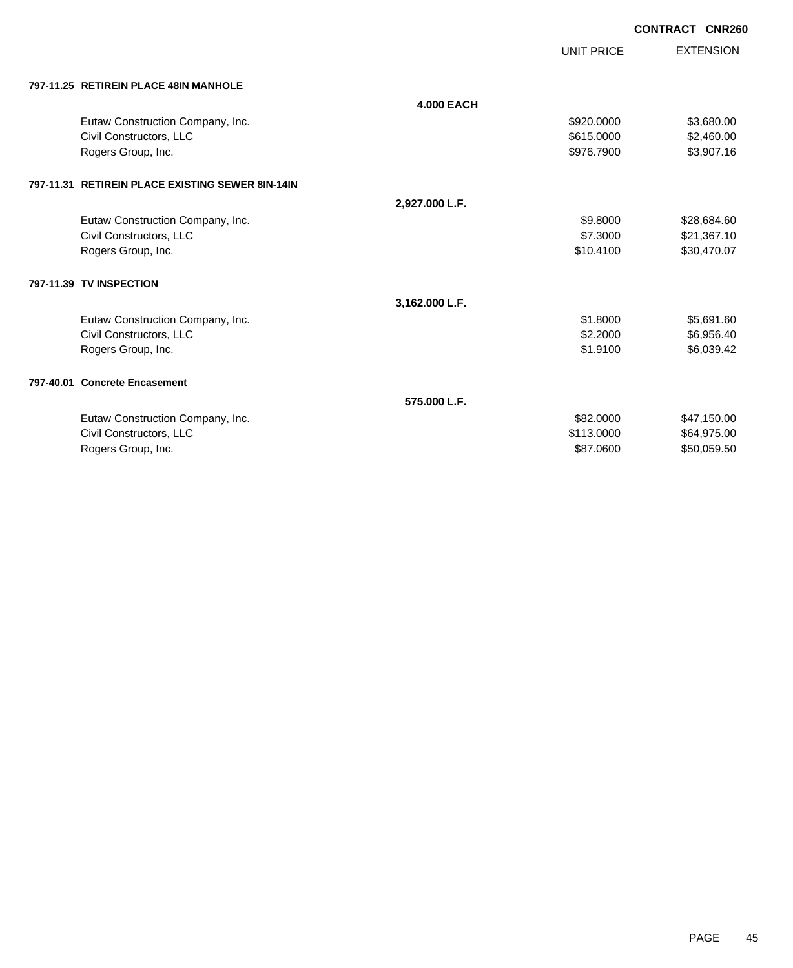UNIT PRICE

| 797-11.25   RETIREIN PLACE 48IN MANHOLE |
|-----------------------------------------|

| 797-11.25   RETIREIN PLACE 48IN MANHOLE          |                   |            |             |
|--------------------------------------------------|-------------------|------------|-------------|
|                                                  | <b>4.000 EACH</b> |            |             |
| Eutaw Construction Company, Inc.                 |                   | \$920.0000 | \$3,680.00  |
| Civil Constructors, LLC                          |                   | \$615,0000 | \$2,460.00  |
| Rogers Group, Inc.                               |                   | \$976.7900 | \$3,907.16  |
| 797-11.31 RETIREIN PLACE EXISTING SEWER 8IN-14IN |                   |            |             |
|                                                  | 2,927.000 L.F.    |            |             |
| Eutaw Construction Company, Inc.                 |                   | \$9.8000   | \$28,684.60 |
| Civil Constructors, LLC                          |                   | \$7,3000   | \$21,367.10 |
| Rogers Group, Inc.                               |                   | \$10.4100  | \$30,470.07 |
| 797-11.39 TV INSPECTION                          |                   |            |             |
|                                                  | 3,162.000 L.F.    |            |             |
| Eutaw Construction Company, Inc.                 |                   | \$1,8000   | \$5,691.60  |
| Civil Constructors, LLC                          |                   | \$2,2000   | \$6,956.40  |
| Rogers Group, Inc.                               |                   | \$1.9100   | \$6,039.42  |
| 797-40.01 Concrete Encasement                    |                   |            |             |
|                                                  | 575,000 L.F.      |            |             |
| Eutaw Construction Company, Inc.                 |                   | \$82,0000  | \$47,150.00 |
| Civil Constructors, LLC                          |                   | \$113,0000 | \$64,975.00 |
| Rogers Group, Inc.                               |                   | \$87.0600  | \$50,059.50 |
|                                                  |                   |            |             |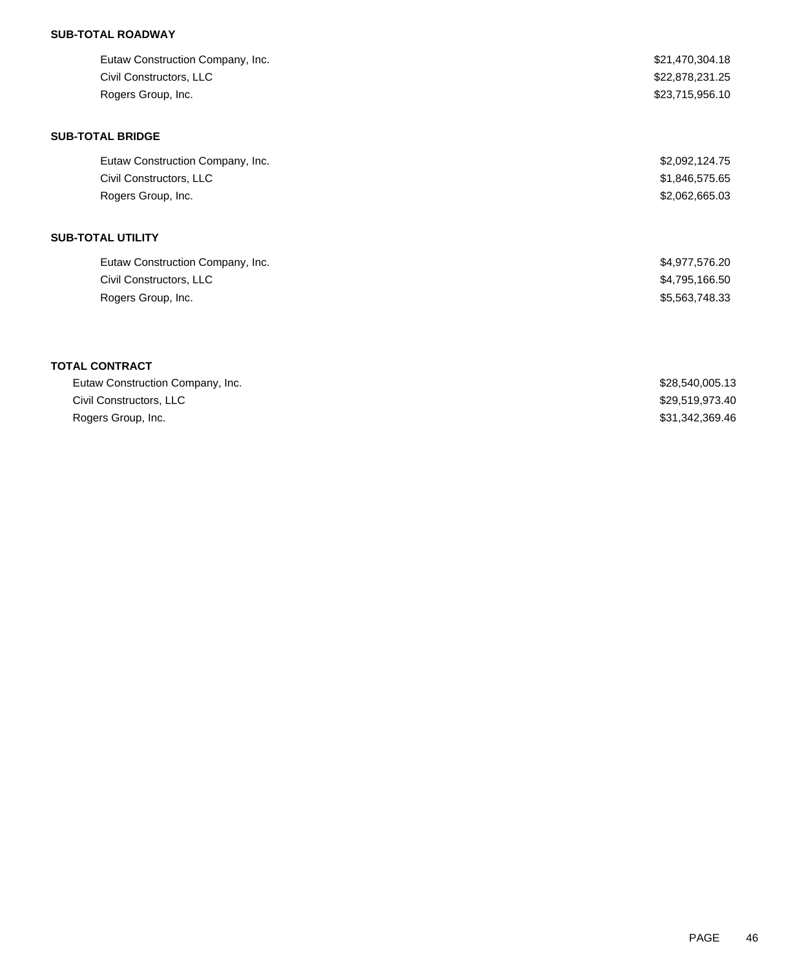## **SUB-TOTAL ROADWAY**

| Eutaw Construction Company, Inc. | \$21,470,304.18 |
|----------------------------------|-----------------|
| Civil Constructors, LLC          | \$22,878,231.25 |
| Rogers Group, Inc.               | \$23,715,956.10 |
| <b>SUB-TOTAL BRIDGE</b>          |                 |
| Eutaw Construction Company, Inc. | \$2,092,124.75  |
| Civil Constructors, LLC          | \$1,846,575.65  |
| Rogers Group, Inc.               | \$2,062,665.03  |
| SUB-TOTAL UTILITY                |                 |
| Eutaw Construction Company, Inc. | \$4,977,576.20  |
| Civil Constructors, LLC          | \$4,795,166.50  |
| Rogers Group, Inc.               | \$5,563,748.33  |
| <b>TOTAL CONTRACT</b>            |                 |
| Eutaw Construction Company, Inc. | \$28,540,005.13 |
| Civil Constructors, LLC          | \$29,519,973.40 |
| Rogers Group, Inc.               | \$31,342,369.46 |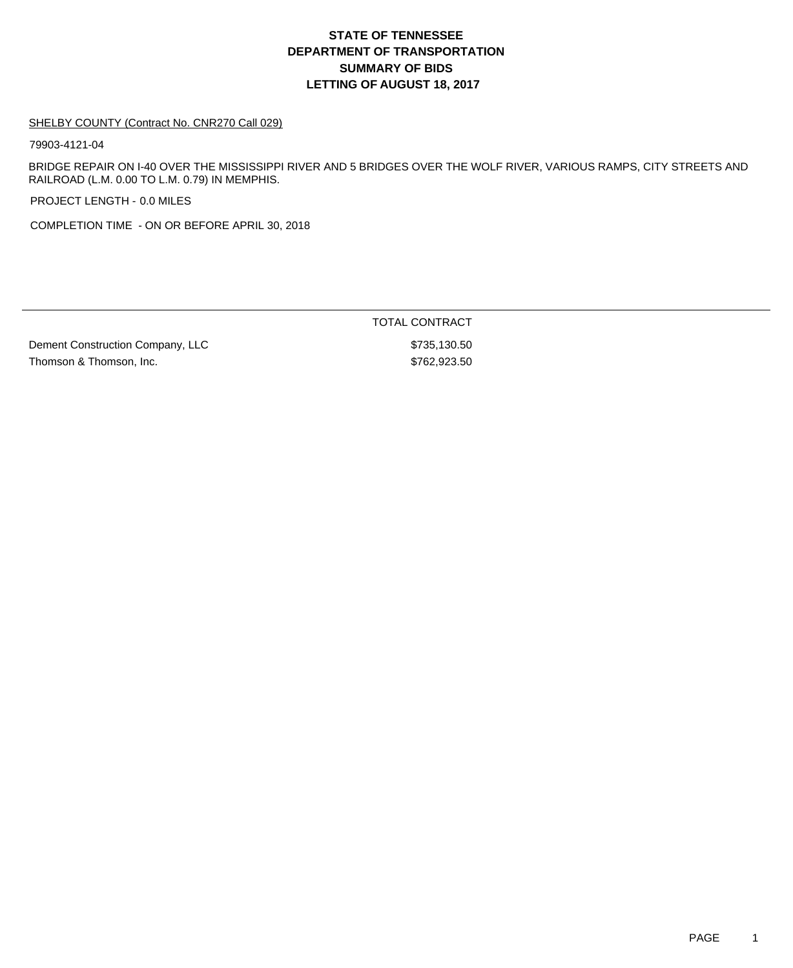# **DEPARTMENT OF TRANSPORTATION SUMMARY OF BIDS LETTING OF AUGUST 18, 2017 STATE OF TENNESSEE**

#### SHELBY COUNTY (Contract No. CNR270 Call 029)

79903-4121-04

BRIDGE REPAIR ON I-40 OVER THE MISSISSIPPI RIVER AND 5 BRIDGES OVER THE WOLF RIVER, VARIOUS RAMPS, CITY STREETS AND RAILROAD (L.M. 0.00 TO L.M. 0.79) IN MEMPHIS.

PROJECT LENGTH - 0.0 MILES

COMPLETION TIME - ON OR BEFORE APRIL 30, 2018

Dement Construction Company, LLC \$735,130.50 Thomson & Thomson, Inc. \$762,923.50

TOTAL CONTRACT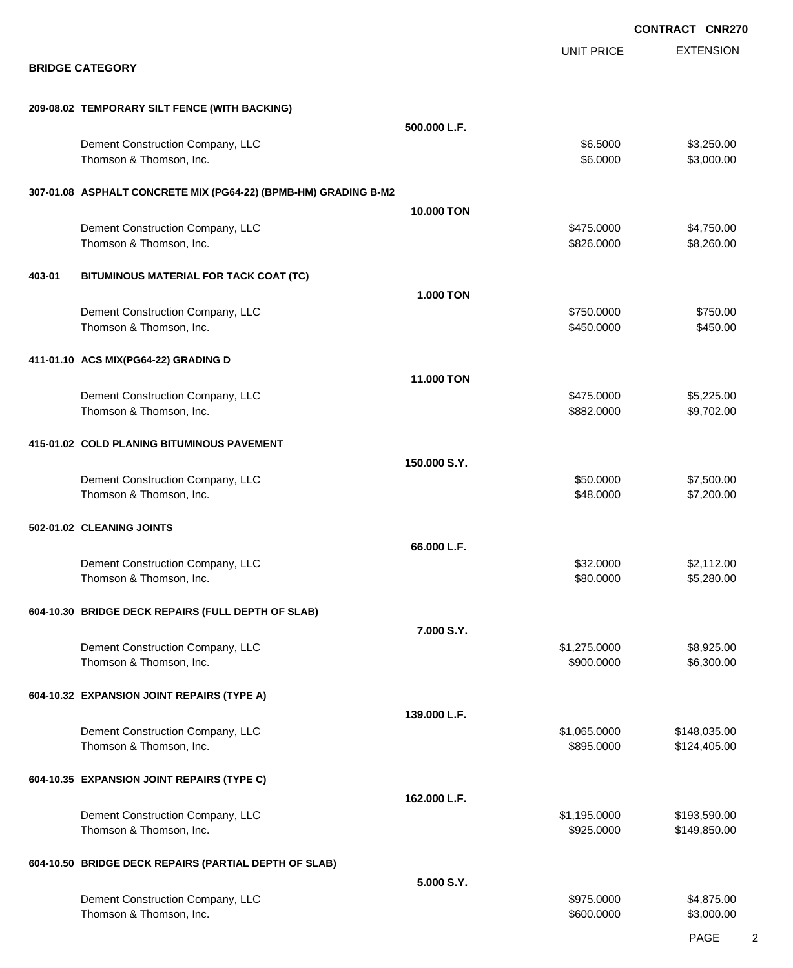|        |                                                                 |                  |                            | <b>CONTRACT CNR270</b>       |
|--------|-----------------------------------------------------------------|------------------|----------------------------|------------------------------|
|        | <b>BRIDGE CATEGORY</b>                                          |                  | <b>UNIT PRICE</b>          | <b>EXTENSION</b>             |
|        | 209-08.02 TEMPORARY SILT FENCE (WITH BACKING)                   |                  |                            |                              |
|        |                                                                 | 500.000 L.F.     |                            |                              |
|        | Dement Construction Company, LLC<br>Thomson & Thomson, Inc.     |                  | \$6.5000<br>\$6.0000       | \$3,250.00<br>\$3,000.00     |
|        | 307-01.08 ASPHALT CONCRETE MIX (PG64-22) (BPMB-HM) GRADING B-M2 |                  |                            |                              |
|        |                                                                 | 10.000 TON       |                            |                              |
|        | Dement Construction Company, LLC<br>Thomson & Thomson, Inc.     |                  | \$475.0000<br>\$826.0000   | \$4,750.00<br>\$8,260.00     |
| 403-01 | BITUMINOUS MATERIAL FOR TACK COAT (TC)                          |                  |                            |                              |
|        |                                                                 | <b>1.000 TON</b> |                            |                              |
|        | Dement Construction Company, LLC<br>Thomson & Thomson, Inc.     |                  | \$750.0000<br>\$450.0000   | \$750.00<br>\$450.00         |
|        | 411-01.10 ACS MIX(PG64-22) GRADING D                            |                  |                            |                              |
|        |                                                                 | 11.000 TON       | \$475.0000                 | \$5,225.00                   |
|        | Dement Construction Company, LLC<br>Thomson & Thomson, Inc.     |                  | \$882.0000                 | \$9,702.00                   |
|        | 415-01.02 COLD PLANING BITUMINOUS PAVEMENT                      |                  |                            |                              |
|        |                                                                 | 150.000 S.Y.     |                            |                              |
|        | Dement Construction Company, LLC<br>Thomson & Thomson, Inc.     |                  | \$50.0000<br>\$48.0000     | \$7,500.00<br>\$7,200.00     |
|        | 502-01.02 CLEANING JOINTS                                       |                  |                            |                              |
|        |                                                                 | 66.000 L.F.      |                            |                              |
|        | Dement Construction Company, LLC<br>Thomson & Thomson, Inc.     |                  | \$32.0000<br>\$80.0000     | \$2,112.00<br>\$5,280.00     |
|        | 604-10.30 BRIDGE DECK REPAIRS (FULL DEPTH OF SLAB)              |                  |                            |                              |
|        |                                                                 | 7.000 S.Y.       |                            |                              |
|        | Dement Construction Company, LLC<br>Thomson & Thomson, Inc.     |                  | \$1,275.0000<br>\$900.0000 | \$8,925.00<br>\$6,300.00     |
|        | 604-10.32 EXPANSION JOINT REPAIRS (TYPE A)                      |                  |                            |                              |
|        |                                                                 | 139.000 L.F.     |                            |                              |
|        | Dement Construction Company, LLC<br>Thomson & Thomson, Inc.     |                  | \$1,065.0000<br>\$895.0000 | \$148,035.00<br>\$124,405.00 |
|        | 604-10.35 EXPANSION JOINT REPAIRS (TYPE C)                      | 162.000 L.F.     |                            |                              |
|        | Dement Construction Company, LLC                                |                  | \$1,195.0000               | \$193,590.00                 |
|        | Thomson & Thomson, Inc.                                         |                  | \$925.0000                 | \$149,850.00                 |
|        | 604-10.50 BRIDGE DECK REPAIRS (PARTIAL DEPTH OF SLAB)           |                  |                            |                              |
|        |                                                                 | 5.000 S.Y.       |                            |                              |
|        | Dement Construction Company, LLC<br>Thomson & Thomson, Inc.     |                  | \$975.0000<br>\$600.0000   | \$4,875.00<br>\$3,000.00     |

PAGE 2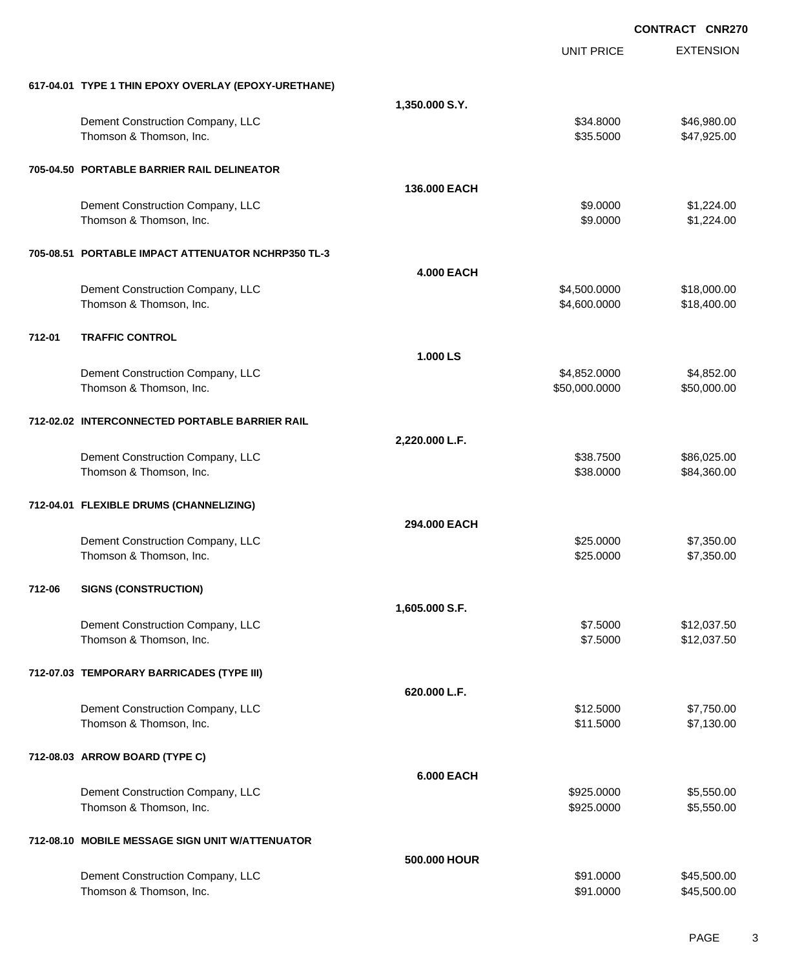|        |                                                      |                   | <b>CONTRACT CNR270</b> |                  |  |
|--------|------------------------------------------------------|-------------------|------------------------|------------------|--|
|        |                                                      |                   | <b>UNIT PRICE</b>      | <b>EXTENSION</b> |  |
|        | 617-04.01 TYPE 1 THIN EPOXY OVERLAY (EPOXY-URETHANE) |                   |                        |                  |  |
|        |                                                      | 1,350.000 S.Y.    |                        |                  |  |
|        | Dement Construction Company, LLC                     |                   | \$34.8000              | \$46,980.00      |  |
|        | Thomson & Thomson, Inc.                              |                   | \$35.5000              | \$47,925.00      |  |
|        | 705-04.50 PORTABLE BARRIER RAIL DELINEATOR           |                   |                        |                  |  |
|        |                                                      | 136,000 EACH      |                        |                  |  |
|        | Dement Construction Company, LLC                     |                   | \$9.0000               | \$1,224.00       |  |
|        | Thomson & Thomson, Inc.                              |                   | \$9.0000               | \$1,224.00       |  |
|        | 705-08.51 PORTABLE IMPACT ATTENUATOR NCHRP350 TL-3   |                   |                        |                  |  |
|        |                                                      | <b>4.000 EACH</b> |                        |                  |  |
|        | Dement Construction Company, LLC                     |                   | \$4,500.0000           | \$18,000.00      |  |
|        | Thomson & Thomson, Inc.                              |                   | \$4,600.0000           | \$18,400.00      |  |
| 712-01 | <b>TRAFFIC CONTROL</b>                               |                   |                        |                  |  |
|        |                                                      | 1.000 LS          |                        |                  |  |
|        | Dement Construction Company, LLC                     |                   | \$4,852.0000           | \$4,852.00       |  |
|        | Thomson & Thomson, Inc.                              |                   | \$50,000.0000          | \$50,000.00      |  |
|        | 712-02.02 INTERCONNECTED PORTABLE BARRIER RAIL       |                   |                        |                  |  |
|        |                                                      | 2,220.000 L.F.    |                        |                  |  |
|        | Dement Construction Company, LLC                     |                   | \$38.7500              | \$86,025.00      |  |
|        | Thomson & Thomson, Inc.                              |                   | \$38.0000              | \$84,360.00      |  |
|        | 712-04.01 FLEXIBLE DRUMS (CHANNELIZING)              |                   |                        |                  |  |
|        |                                                      | 294,000 EACH      |                        |                  |  |
|        | Dement Construction Company, LLC                     |                   | \$25.0000              | \$7,350.00       |  |
|        | Thomson & Thomson, Inc.                              |                   | \$25.0000              | \$7,350.00       |  |
| 712-06 | <b>SIGNS (CONSTRUCTION)</b>                          |                   |                        |                  |  |
|        |                                                      | 1,605.000 S.F.    |                        |                  |  |
|        | Dement Construction Company, LLC                     |                   | \$7.5000               | \$12,037.50      |  |
|        | Thomson & Thomson, Inc.                              |                   | \$7.5000               | \$12,037.50      |  |
|        | 712-07.03 TEMPORARY BARRICADES (TYPE III)            |                   |                        |                  |  |
|        |                                                      | 620.000 L.F.      |                        |                  |  |
|        | Dement Construction Company, LLC                     |                   | \$12.5000              | \$7,750.00       |  |
|        | Thomson & Thomson, Inc.                              |                   | \$11.5000              | \$7,130.00       |  |
|        | 712-08.03 ARROW BOARD (TYPE C)                       |                   |                        |                  |  |
|        |                                                      | <b>6.000 EACH</b> |                        |                  |  |
|        | Dement Construction Company, LLC                     |                   | \$925.0000             | \$5,550.00       |  |
|        | Thomson & Thomson, Inc.                              |                   | \$925.0000             | \$5,550.00       |  |
|        | 712-08.10 MOBILE MESSAGE SIGN UNIT W/ATTENUATOR      |                   |                        |                  |  |
|        |                                                      | 500,000 HOUR      |                        |                  |  |
|        | Dement Construction Company, LLC                     |                   | \$91.0000              | \$45,500.00      |  |
|        | Thomson & Thomson, Inc.                              |                   | \$91.0000              | \$45,500.00      |  |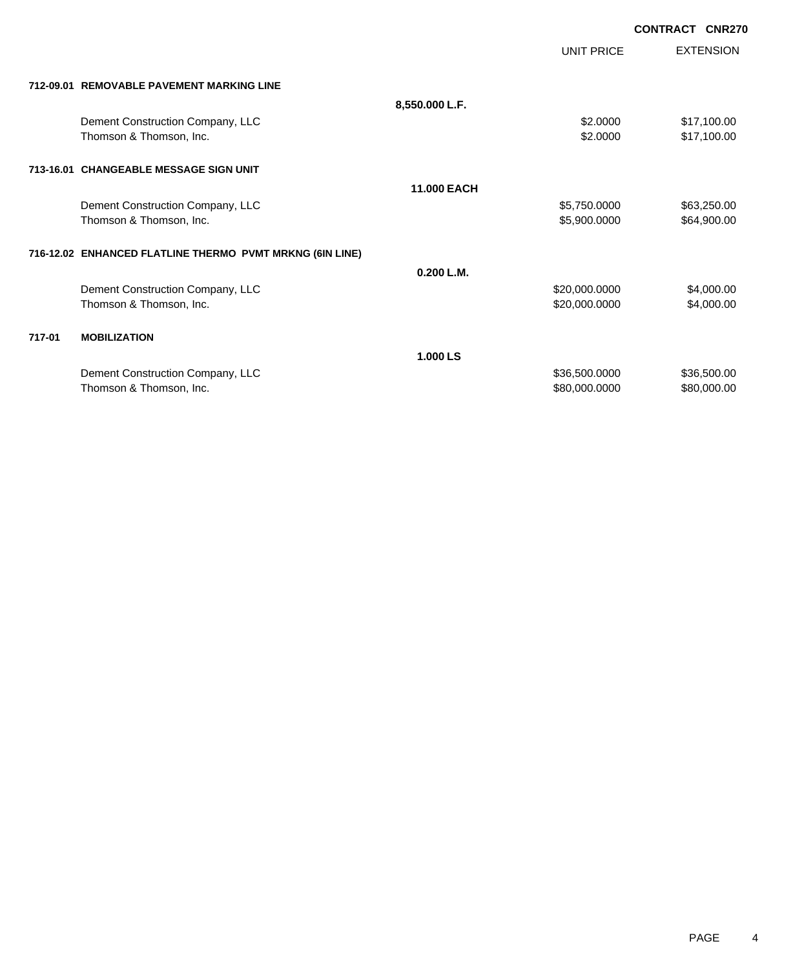|        |                                                          |                    |               | <b>CONTRACT</b> | <b>CNR270</b>    |
|--------|----------------------------------------------------------|--------------------|---------------|-----------------|------------------|
|        |                                                          |                    | UNIT PRICE    |                 | <b>EXTENSION</b> |
|        | 712-09.01 REMOVABLE PAVEMENT MARKING LINE                |                    |               |                 |                  |
|        |                                                          | 8,550.000 L.F.     |               |                 |                  |
|        | Dement Construction Company, LLC                         |                    | \$2.0000      |                 | \$17,100.00      |
|        | Thomson & Thomson, Inc.                                  |                    | \$2.0000      |                 | \$17,100.00      |
|        | 713-16.01 CHANGEABLE MESSAGE SIGN UNIT                   |                    |               |                 |                  |
|        |                                                          | <b>11.000 EACH</b> |               |                 |                  |
|        | Dement Construction Company, LLC                         |                    | \$5,750.0000  |                 | \$63,250.00      |
|        | Thomson & Thomson, Inc.                                  |                    | \$5,900.0000  |                 | \$64,900.00      |
|        | 716-12.02 ENHANCED FLATLINE THERMO PVMT MRKNG (6IN LINE) |                    |               |                 |                  |
|        |                                                          | 0.200 L.M.         |               |                 |                  |
|        | Dement Construction Company, LLC                         |                    | \$20,000.0000 |                 | \$4,000.00       |
|        | Thomson & Thomson, Inc.                                  |                    | \$20,000.0000 |                 | \$4,000.00       |
| 717-01 | <b>MOBILIZATION</b>                                      |                    |               |                 |                  |
|        |                                                          | 1.000 LS           |               |                 |                  |
|        | Dement Construction Company, LLC                         |                    | \$36,500.0000 |                 | \$36,500.00      |
|        | Thomson & Thomson, Inc.                                  |                    | \$80,000.0000 |                 | \$80,000.00      |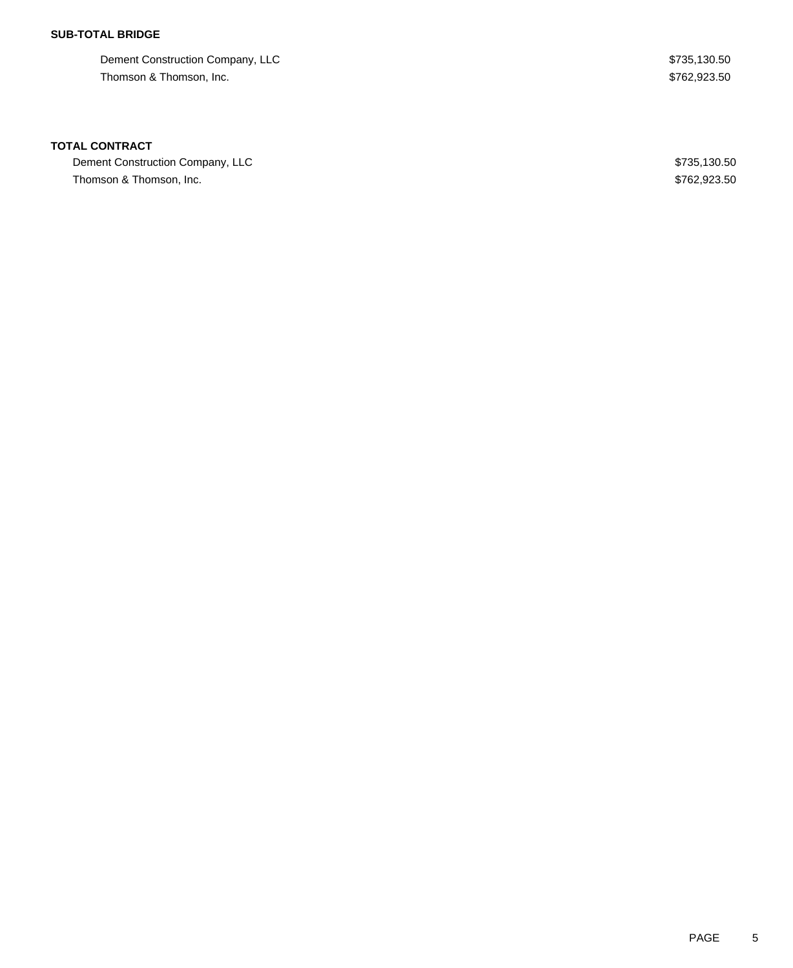## **SUB-TOTAL BRIDGE**

Dement Construction Company, LLC  $$735,130.50$ Thomson & Thomson, Inc. 6. Thomson, 100. The state of the state of the state of the state of the state of the state of the state of the state of the state of the state of the state of the state of the state of the state of

### **TOTAL CONTRACT**

Dement Construction Company, LLC  $$735,130.50$ Thomson & Thomson, Inc. 6. Thomson, 10. Thomson, 10. Thomson & Thomson, 10. Thomson & Thomson, 10. Thomson, 10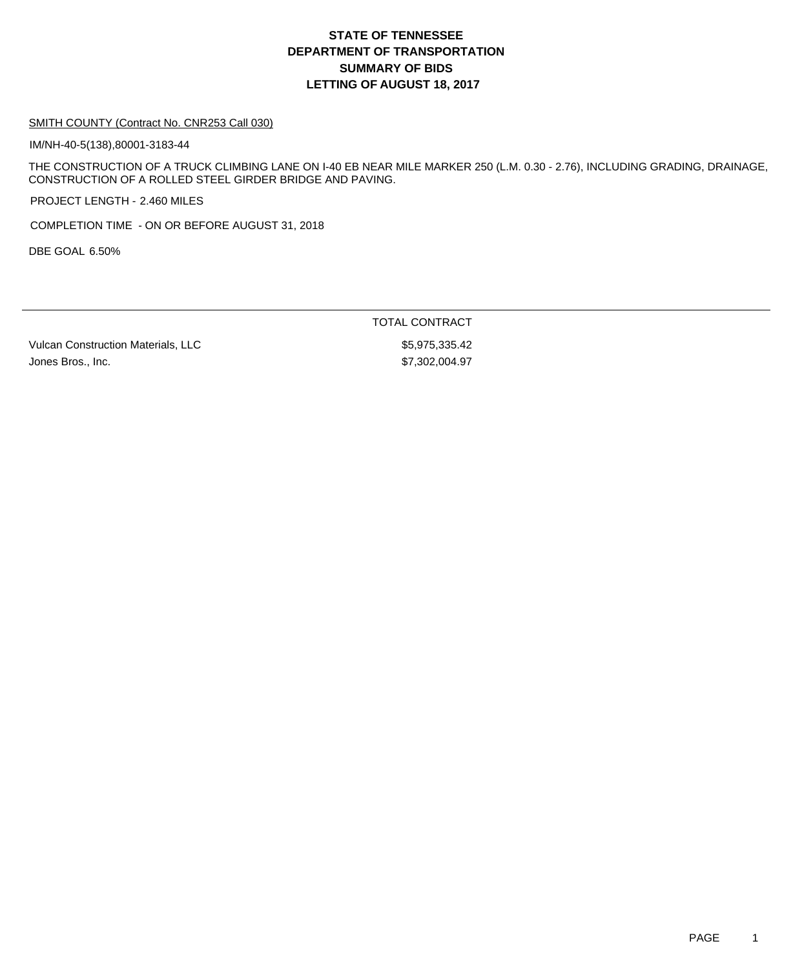## **DEPARTMENT OF TRANSPORTATION SUMMARY OF BIDS LETTING OF AUGUST 18, 2017 STATE OF TENNESSEE**

#### SMITH COUNTY (Contract No. CNR253 Call 030)

IM/NH-40-5(138),80001-3183-44

THE CONSTRUCTION OF A TRUCK CLIMBING LANE ON I-40 EB NEAR MILE MARKER 250 (L.M. 0.30 - 2.76), INCLUDING GRADING, DRAINAGE, CONSTRUCTION OF A ROLLED STEEL GIRDER BRIDGE AND PAVING.

PROJECT LENGTH - 2.460 MILES

COMPLETION TIME - ON OR BEFORE AUGUST 31, 2018

DBE GOAL 6.50%

Vulcan Construction Materials, LLC  $$5,975,335.42$ Jones Bros., Inc. \$7,302,004.97

TOTAL CONTRACT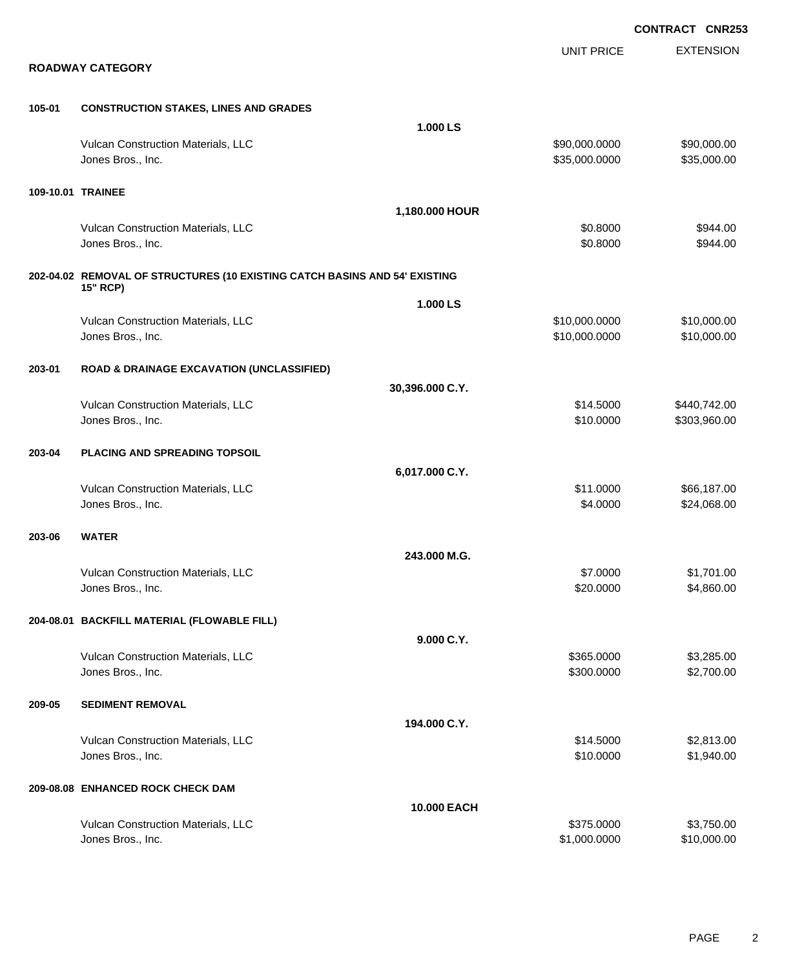EXTENSION **CONTRACT CNR253** UNIT PRICE **ROADWAY CATEGORY 105-01 CONSTRUCTION STAKES, LINES AND GRADES 1.000 LS** Vulcan Construction Materials, LLC \$90,000.0000 \$90,000.00 Jones Bros., Inc. \$35,000.0000 \$35,000.00 **109-10.01 TRAINEE 1,180.000 HOUR** Vulcan Construction Materials, LLC 6944.00 Jones Bros., Inc. \$0.8000 \$944.00 **202-04.02 REMOVAL OF STRUCTURES (10 EXISTING CATCH BASINS AND 54' EXISTING 15" RCP) 1.000 LS** Vulcan Construction Materials, LLC 6000000 \$10,000.000 \$10,000.000 \$10,000.000 Jones Bros., Inc. \$10,000.0000 \$10,000.00 **203-01 ROAD & DRAINAGE EXCAVATION (UNCLASSIFIED) 30,396.000 C.Y.** Vulcan Construction Materials, LLC \$14.5000 \$440,742.00 Jones Bros., Inc. \$10.0000 \$303,960.00 **203-04 PLACING AND SPREADING TOPSOIL 6,017.000 C.Y.** Vulcan Construction Materials, LLC 666,187.00 Jones Bros., Inc. \$4.0000 \$24,068.00 **203-06 WATER 243.000 M.G.** Vulcan Construction Materials, LLC \$7.0000 \$1,701.00 Jones Bros., Inc. \$20.0000 \$4,860.00 **204-08.01 BACKFILL MATERIAL (FLOWABLE FILL) 9.000 C.Y.** Vulcan Construction Materials, LLC 66 and the state of the state of the state  $$365.0000$  \$3,285.000 Jones Bros., Inc. \$300.0000 \$2,700.00 **209-05 SEDIMENT REMOVAL 194.000 C.Y.** Vulcan Construction Materials, LLC 612.000 \$2,813.00 Jones Bros., Inc. \$10.0000 \$1,940.00 **209-08.08 ENHANCED ROCK CHECK DAM 10.000 EACH** Vulcan Construction Materials, LLC 6375.000 \$3,750.000 \$3,750.000 \$3,750.00

Jones Bros., Inc. \$1,000.0000 \$10,000.00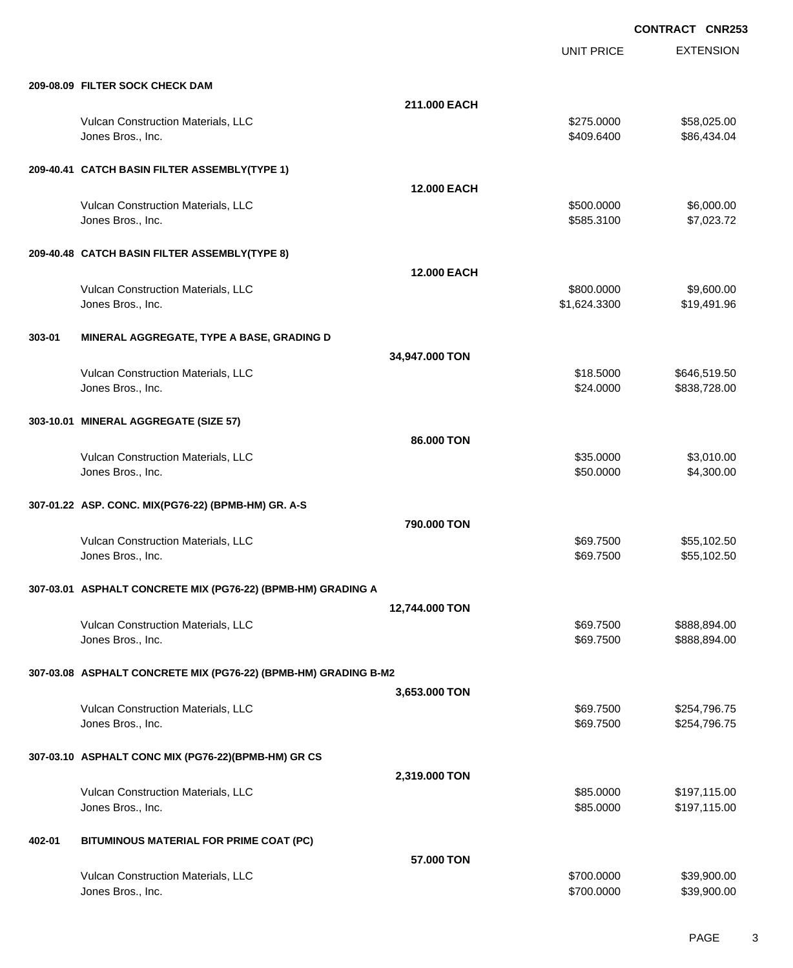UNIT PRICE EXTENSION

| 209-08.09 FILTER SOCK CHECK DAM |  |  |
|---------------------------------|--|--|

|        | 209-08.09 FILTER SOCK CHECK DAM                                 |                    |                            |                            |
|--------|-----------------------------------------------------------------|--------------------|----------------------------|----------------------------|
|        |                                                                 | 211.000 EACH       |                            |                            |
|        | Vulcan Construction Materials, LLC<br>Jones Bros., Inc.         |                    | \$275.0000<br>\$409.6400   | \$58,025.00<br>\$86,434.04 |
|        | 209-40.41 CATCH BASIN FILTER ASSEMBLY(TYPE 1)                   |                    |                            |                            |
|        |                                                                 | <b>12.000 EACH</b> |                            |                            |
|        | Vulcan Construction Materials, LLC<br>Jones Bros., Inc.         |                    | \$500,0000<br>\$585.3100   | \$6,000.00<br>\$7,023.72   |
|        | 209-40.48 CATCH BASIN FILTER ASSEMBLY(TYPE 8)                   |                    |                            |                            |
|        |                                                                 | <b>12.000 EACH</b> |                            |                            |
|        | Vulcan Construction Materials, LLC<br>Jones Bros., Inc.         |                    | \$800.0000<br>\$1,624.3300 | \$9,600.00<br>\$19,491.96  |
| 303-01 | MINERAL AGGREGATE, TYPE A BASE, GRADING D                       |                    |                            |                            |
|        |                                                                 | 34,947.000 TON     |                            |                            |
|        | Vulcan Construction Materials, LLC                              |                    | \$18.5000                  | \$646,519.50               |
|        | Jones Bros., Inc.                                               |                    | \$24.0000                  | \$838,728.00               |
|        | 303-10.01 MINERAL AGGREGATE (SIZE 57)                           |                    |                            |                            |
|        |                                                                 | 86,000 TON         |                            |                            |
|        | Vulcan Construction Materials, LLC<br>Jones Bros., Inc.         |                    | \$35.0000<br>\$50.0000     | \$3,010.00<br>\$4,300.00   |
|        |                                                                 |                    |                            |                            |
|        |                                                                 |                    |                            |                            |
|        | 307-01.22 ASP. CONC. MIX(PG76-22) (BPMB-HM) GR. A-S             |                    |                            |                            |
|        | Vulcan Construction Materials, LLC                              | 790,000 TON        | \$69.7500                  | \$55,102.50                |
|        | Jones Bros., Inc.                                               |                    | \$69.7500                  | \$55,102.50                |
|        | 307-03.01 ASPHALT CONCRETE MIX (PG76-22) (BPMB-HM) GRADING A    |                    |                            |                            |
|        |                                                                 | 12,744.000 TON     |                            |                            |
|        | Vulcan Construction Materials, LLC                              |                    | \$69.7500                  | \$888,894.00               |
|        | Jones Bros., Inc.                                               |                    | \$69.7500                  | \$888,894.00               |
|        | 307-03.08 ASPHALT CONCRETE MIX (PG76-22) (BPMB-HM) GRADING B-M2 |                    |                            |                            |
|        |                                                                 | 3,653.000 TON      |                            |                            |
|        | Vulcan Construction Materials, LLC                              |                    | \$69.7500                  | \$254,796.75               |
|        | Jones Bros., Inc.                                               |                    | \$69.7500                  | \$254,796.75               |
|        | 307-03.10 ASPHALT CONC MIX (PG76-22)(BPMB-HM) GR CS             |                    |                            |                            |
|        |                                                                 | 2,319.000 TON      |                            |                            |
|        | Vulcan Construction Materials, LLC                              |                    | \$85.0000                  | \$197,115.00               |
|        | Jones Bros., Inc.                                               |                    | \$85.0000                  | \$197,115.00               |
| 402-01 | BITUMINOUS MATERIAL FOR PRIME COAT (PC)                         |                    |                            |                            |
|        |                                                                 | 57.000 TON         |                            |                            |
|        | Vulcan Construction Materials, LLC<br>Jones Bros., Inc.         |                    | \$700.0000<br>\$700.0000   | \$39,900.00<br>\$39,900.00 |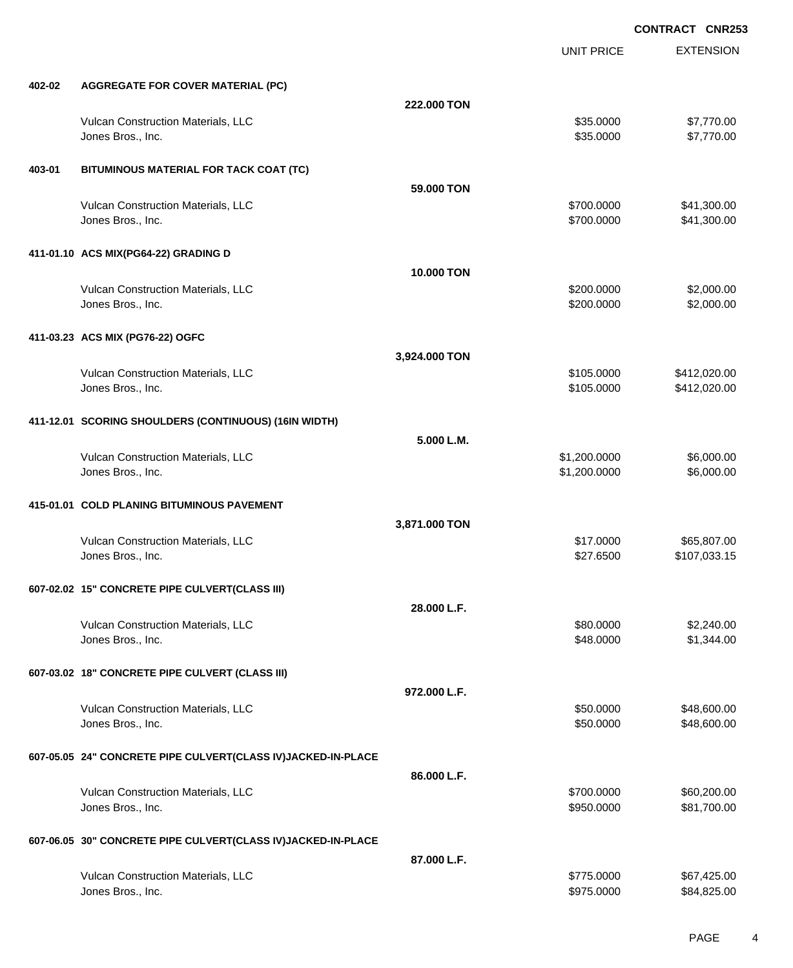|        |                                                              |                   | <b>UNIT PRICE</b>        | <b>EXTENSION</b>           |
|--------|--------------------------------------------------------------|-------------------|--------------------------|----------------------------|
| 402-02 | <b>AGGREGATE FOR COVER MATERIAL (PC)</b>                     |                   |                          |                            |
|        |                                                              | 222.000 TON       |                          |                            |
|        | Vulcan Construction Materials, LLC<br>Jones Bros., Inc.      |                   | \$35.0000<br>\$35.0000   | \$7,770.00<br>\$7,770.00   |
| 403-01 | BITUMINOUS MATERIAL FOR TACK COAT (TC)                       |                   |                          |                            |
|        |                                                              | 59,000 TON        |                          |                            |
|        | Vulcan Construction Materials, LLC<br>Jones Bros., Inc.      |                   | \$700.0000<br>\$700.0000 | \$41,300.00<br>\$41,300.00 |
|        | 411-01.10 ACS MIX(PG64-22) GRADING D                         |                   |                          |                            |
|        |                                                              | <b>10.000 TON</b> |                          |                            |
|        | Vulcan Construction Materials, LLC<br>Jones Bros., Inc.      |                   | \$200.0000<br>\$200.0000 | \$2,000.00<br>\$2,000.00   |
|        | 411-03.23 ACS MIX (PG76-22) OGFC                             |                   |                          |                            |
|        |                                                              | 3,924.000 TON     |                          |                            |
|        | Vulcan Construction Materials, LLC                           |                   | \$105.0000               | \$412,020.00               |
|        | Jones Bros., Inc.                                            |                   | \$105.0000               | \$412,020.00               |
|        |                                                              |                   |                          |                            |
|        | 411-12.01 SCORING SHOULDERS (CONTINUOUS) (16IN WIDTH)        |                   |                          |                            |
|        |                                                              | 5.000 L.M.        |                          |                            |
|        | Vulcan Construction Materials, LLC                           |                   | \$1,200.0000             | \$6,000.00                 |
|        | Jones Bros., Inc.                                            |                   | \$1,200.0000             | \$6,000.00                 |
|        |                                                              |                   |                          |                            |
|        | 415-01.01 COLD PLANING BITUMINOUS PAVEMENT                   |                   |                          |                            |
|        |                                                              | 3,871.000 TON     |                          |                            |
|        | Vulcan Construction Materials, LLC                           |                   | \$17.0000                | \$65,807.00                |
|        | Jones Bros., Inc.                                            |                   | \$27.6500                | \$107,033.15               |
|        |                                                              |                   |                          |                            |
|        | 607-02.02 15" CONCRETE PIPE CULVERT(CLASS III)               |                   |                          |                            |
|        |                                                              | 28.000 L.F.       |                          |                            |
|        | Vulcan Construction Materials, LLC                           |                   | \$80.0000                | \$2,240.00                 |
|        | Jones Bros., Inc.                                            |                   | \$48.0000                | \$1,344.00                 |
|        |                                                              |                   |                          |                            |
|        | 607-03.02 18" CONCRETE PIPE CULVERT (CLASS III)              |                   |                          |                            |
|        |                                                              | 972.000 L.F.      |                          |                            |
|        | Vulcan Construction Materials, LLC                           |                   | \$50.0000                | \$48,600.00                |
|        | Jones Bros., Inc.                                            |                   | \$50.0000                | \$48,600.00                |
|        |                                                              |                   |                          |                            |
|        | 607-05.05 24" CONCRETE PIPE CULVERT(CLASS IV)JACKED-IN-PLACE |                   |                          |                            |
|        |                                                              | 86.000 L.F.       |                          |                            |
|        | Vulcan Construction Materials, LLC                           |                   | \$700.0000               | \$60,200.00                |
|        | Jones Bros., Inc.                                            |                   | \$950.0000               | \$81,700.00                |
|        |                                                              |                   |                          |                            |
|        | 607-06.05 30" CONCRETE PIPE CULVERT(CLASS IV)JACKED-IN-PLACE |                   |                          |                            |
|        |                                                              | 87.000 L.F.       |                          |                            |
|        | Vulcan Construction Materials, LLC                           |                   | \$775.0000               | \$67,425.00                |
|        | Jones Bros., Inc.                                            |                   | \$975.0000               | \$84,825.00                |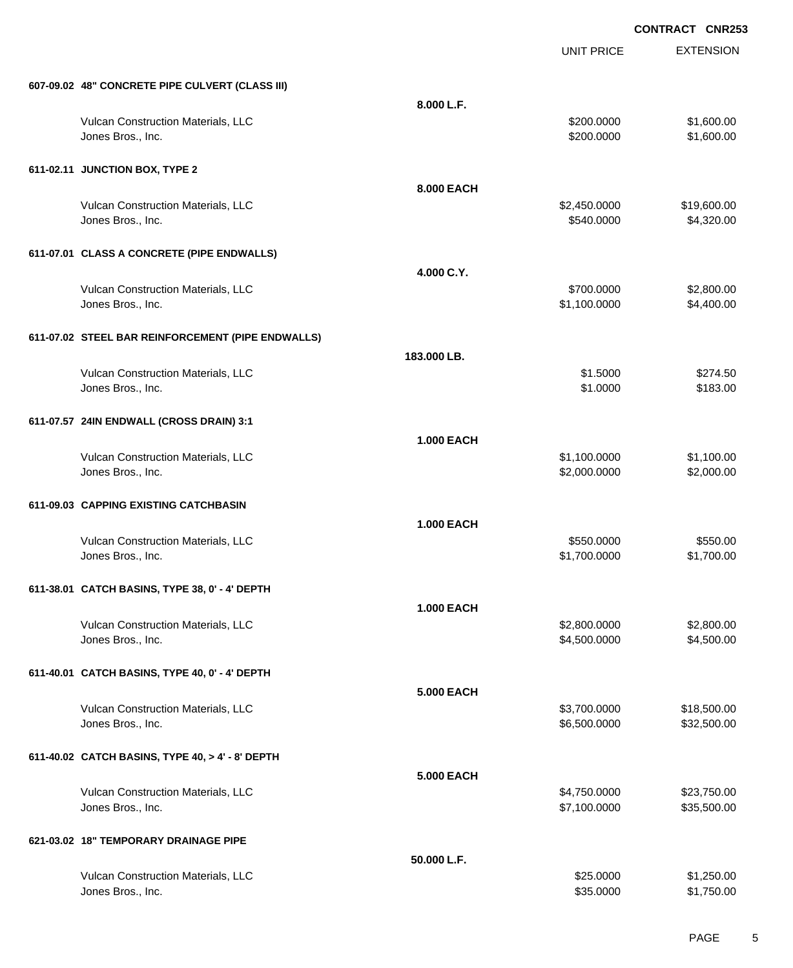UNIT PRICE EXTENSION

| 607-09.02 48" CONCRETE PIPE CULVERT (CLASS III) |  |
|-------------------------------------------------|--|

| 607-09.02 48" CONCRETE PIPE CULVERT (CLASS III)         |                   |                      |                      |
|---------------------------------------------------------|-------------------|----------------------|----------------------|
|                                                         | 8.000 L.F.        |                      |                      |
| Vulcan Construction Materials, LLC                      |                   | \$200.0000           | \$1,600.00           |
| Jones Bros., Inc.                                       |                   | \$200.0000           | \$1,600.00           |
| 611-02.11 JUNCTION BOX, TYPE 2                          |                   |                      |                      |
|                                                         | 8.000 EACH        |                      |                      |
| Vulcan Construction Materials, LLC                      |                   | \$2,450.0000         | \$19,600.00          |
| Jones Bros., Inc.                                       |                   | \$540.0000           | \$4,320.00           |
| 611-07.01 CLASS A CONCRETE (PIPE ENDWALLS)              |                   |                      |                      |
|                                                         | 4.000 C.Y.        |                      |                      |
| Vulcan Construction Materials, LLC                      |                   | \$700.0000           | \$2,800.00           |
| Jones Bros., Inc.                                       |                   | \$1,100.0000         | \$4,400.00           |
|                                                         |                   |                      |                      |
| 611-07.02 STEEL BAR REINFORCEMENT (PIPE ENDWALLS)       |                   |                      |                      |
|                                                         | 183,000 LB.       |                      |                      |
| Vulcan Construction Materials, LLC<br>Jones Bros., Inc. |                   | \$1.5000<br>\$1.0000 | \$274.50<br>\$183.00 |
|                                                         |                   |                      |                      |
| 611-07.57 24IN ENDWALL (CROSS DRAIN) 3:1                |                   |                      |                      |
|                                                         | <b>1.000 EACH</b> |                      |                      |
| Vulcan Construction Materials, LLC                      |                   | \$1,100.0000         | \$1,100.00           |
| Jones Bros., Inc.                                       |                   | \$2,000.0000         | \$2,000.00           |
| 611-09.03 CAPPING EXISTING CATCHBASIN                   |                   |                      |                      |
|                                                         | <b>1.000 EACH</b> |                      |                      |
| Vulcan Construction Materials, LLC                      |                   | \$550.0000           | \$550.00             |
| Jones Bros., Inc.                                       |                   | \$1,700.0000         | \$1,700.00           |
|                                                         |                   |                      |                      |
| 611-38.01 CATCH BASINS, TYPE 38, 0' - 4' DEPTH          |                   |                      |                      |
| <b>Vulcan Construction Materials, LLC</b>               | <b>1.000 EACH</b> | \$2,800.0000         | \$2,800.00           |
| Jones Bros., Inc.                                       |                   | \$4,500.0000         | \$4,500.00           |
|                                                         |                   |                      |                      |
| 611-40.01 CATCH BASINS, TYPE 40, 0' - 4' DEPTH          |                   |                      |                      |
|                                                         | <b>5.000 EACH</b> |                      |                      |
| Vulcan Construction Materials, LLC                      |                   | \$3,700.0000         | \$18,500.00          |
| Jones Bros., Inc.                                       |                   | \$6,500.0000         | \$32,500.00          |
| 611-40.02 CATCH BASINS, TYPE 40, > 4' - 8' DEPTH        |                   |                      |                      |
|                                                         | <b>5.000 EACH</b> |                      |                      |
| Vulcan Construction Materials, LLC                      |                   | \$4,750.0000         | \$23,750.00          |
| Jones Bros., Inc.                                       |                   | \$7,100.0000         | \$35,500.00          |
| 621-03.02 18" TEMPORARY DRAINAGE PIPE                   |                   |                      |                      |
|                                                         | 50.000 L.F.       |                      |                      |
| Vulcan Construction Materials, LLC                      |                   | \$25.0000            | \$1,250.00           |
| Jones Bros., Inc.                                       |                   | \$35.0000            | \$1,750.00           |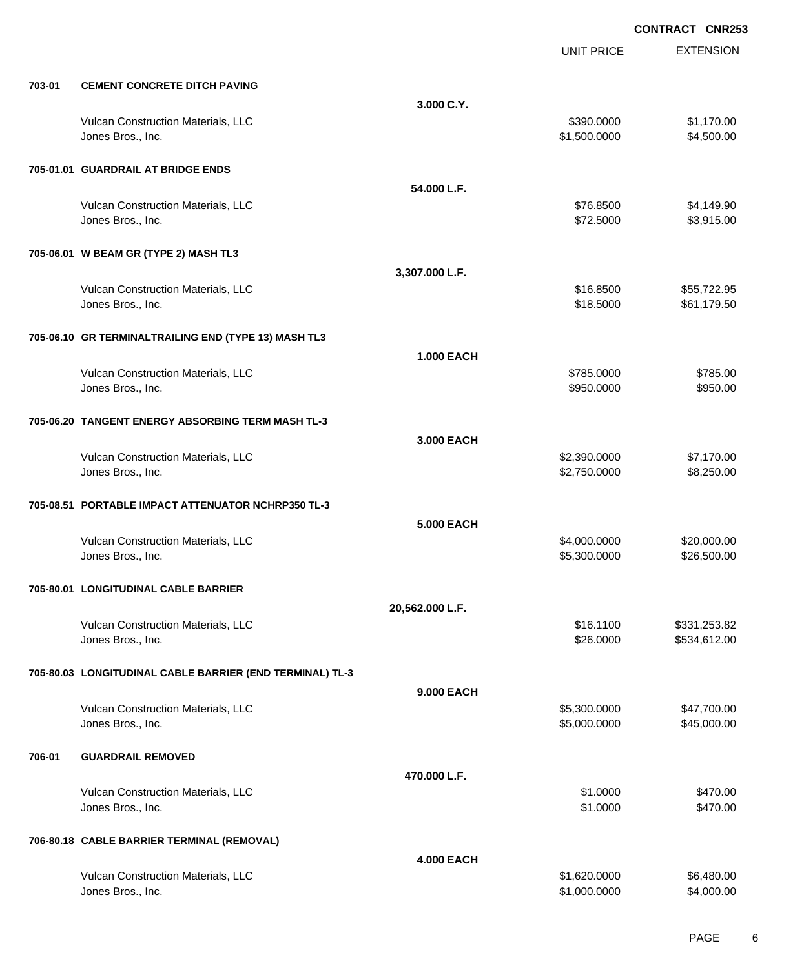|        |                                                          |                   | <b>UNIT PRICE</b> | <b>EXTENSION</b> |
|--------|----------------------------------------------------------|-------------------|-------------------|------------------|
| 703-01 | <b>CEMENT CONCRETE DITCH PAVING</b>                      |                   |                   |                  |
|        |                                                          | 3.000 C.Y.        |                   |                  |
|        | Vulcan Construction Materials, LLC                       |                   | \$390.0000        | \$1,170.00       |
|        | Jones Bros., Inc.                                        |                   | \$1,500.0000      | \$4,500.00       |
|        | 705-01.01 GUARDRAIL AT BRIDGE ENDS                       |                   |                   |                  |
|        |                                                          | 54.000 L.F.       |                   |                  |
|        | Vulcan Construction Materials, LLC                       |                   | \$76.8500         | \$4,149.90       |
|        | Jones Bros., Inc.                                        |                   | \$72.5000         | \$3,915.00       |
|        | 705-06.01 W BEAM GR (TYPE 2) MASH TL3                    |                   |                   |                  |
|        |                                                          | 3,307.000 L.F.    |                   |                  |
|        | Vulcan Construction Materials, LLC                       |                   | \$16.8500         | \$55,722.95      |
|        | Jones Bros., Inc.                                        |                   | \$18.5000         | \$61,179.50      |
|        | 705-06.10 GR TERMINALTRAILING END (TYPE 13) MASH TL3     |                   |                   |                  |
|        |                                                          | <b>1.000 EACH</b> |                   |                  |
|        | Vulcan Construction Materials, LLC                       |                   | \$785.0000        | \$785.00         |
|        | Jones Bros., Inc.                                        |                   | \$950.0000        | \$950.00         |
|        | 705-06.20 TANGENT ENERGY ABSORBING TERM MASH TL-3        |                   |                   |                  |
|        |                                                          | 3.000 EACH        |                   |                  |
|        | Vulcan Construction Materials, LLC                       |                   | \$2,390.0000      | \$7,170.00       |
|        | Jones Bros., Inc.                                        |                   | \$2,750.0000      | \$8,250.00       |
|        | 705-08.51 PORTABLE IMPACT ATTENUATOR NCHRP350 TL-3       |                   |                   |                  |
|        |                                                          | 5.000 EACH        |                   |                  |
|        | Vulcan Construction Materials, LLC                       |                   | \$4,000.0000      | \$20,000.00      |
|        | Jones Bros., Inc.                                        |                   | \$5,300.0000      | \$26,500.00      |
|        | 705-80.01 LONGITUDINAL CABLE BARRIER                     |                   |                   |                  |
|        |                                                          | 20,562.000 L.F.   |                   |                  |
|        | Vulcan Construction Materials, LLC                       |                   | \$16.1100         | \$331,253.82     |
|        | Jones Bros., Inc.                                        |                   | \$26.0000         | \$534,612.00     |
|        | 705-80.03 LONGITUDINAL CABLE BARRIER (END TERMINAL) TL-3 |                   |                   |                  |
|        |                                                          | 9,000 EACH        |                   |                  |
|        | Vulcan Construction Materials, LLC                       |                   | \$5,300.0000      | \$47,700.00      |
|        | Jones Bros., Inc.                                        |                   | \$5,000.0000      | \$45,000.00      |
| 706-01 | <b>GUARDRAIL REMOVED</b>                                 |                   |                   |                  |
|        |                                                          | 470.000 L.F.      |                   |                  |
|        | Vulcan Construction Materials, LLC                       |                   | \$1.0000          | \$470.00         |
|        | Jones Bros., Inc.                                        |                   | \$1.0000          | \$470.00         |
|        | 706-80.18 CABLE BARRIER TERMINAL (REMOVAL)               |                   |                   |                  |
|        |                                                          | <b>4.000 EACH</b> |                   |                  |
|        | Vulcan Construction Materials, LLC                       |                   | \$1,620.0000      | \$6,480.00       |
|        | Jones Bros., Inc.                                        |                   | \$1,000.0000      | \$4,000.00       |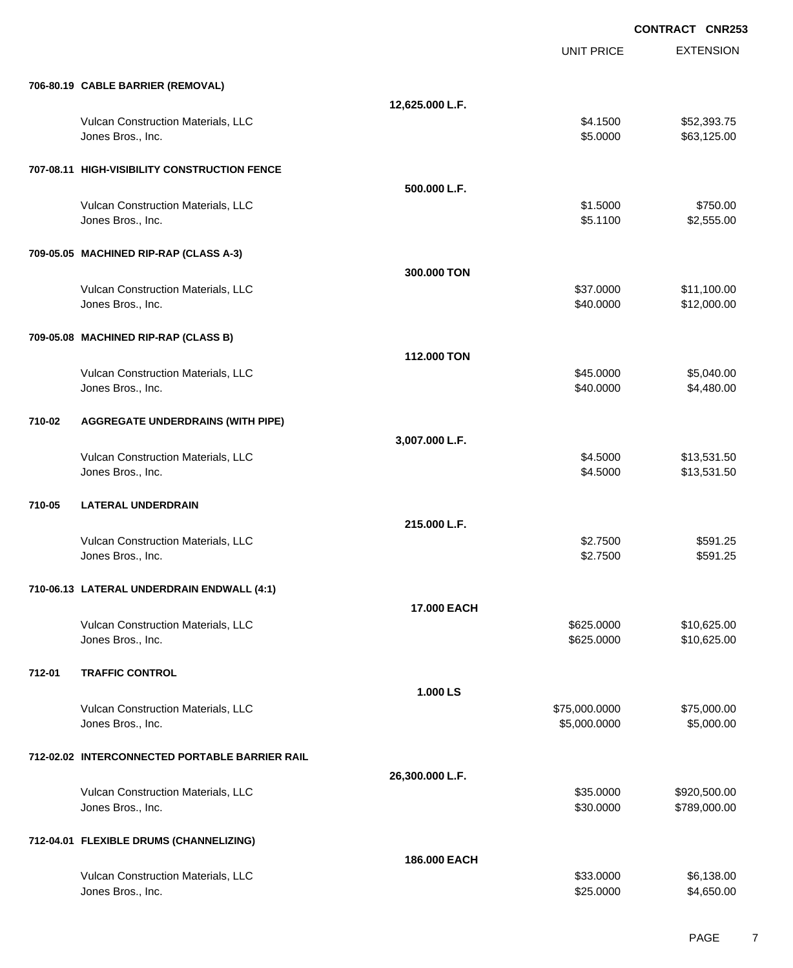EXTENSION **CONTRACT CNR253** UNIT PRICE **706-80.19 CABLE BARRIER (REMOVAL) 12,625.000 L.F.** Vulcan Construction Materials, LLC 652,393.75 Jones Bros., Inc. \$5.0000 \$63,125.00 **707-08.11 HIGH-VISIBILITY CONSTRUCTION FENCE 500.000 L.F.** Vulcan Construction Materials, LLC 6750.00 \$750.00 Jones Bros., Inc. \$5.1100 \$2,555.00 **709-05.05 MACHINED RIP-RAP (CLASS A-3) 300.000 TON** Vulcan Construction Materials, LLC 66 and the state of the state of the state of the state of the state of the state of the state of the state of the state of the state of the state of the state of the state of the state o Jones Bros., Inc. \$40.0000 \$12,000.00 **709-05.08 MACHINED RIP-RAP (CLASS B) 112.000 TON** Vulcan Construction Materials, LLC 60000 \$5,040.00 Jones Bros., Inc. \$40.0000 \$4,480.00 **710-02 AGGREGATE UNDERDRAINS (WITH PIPE) 3,007.000 L.F.** Vulcan Construction Materials, LLC 613,531.50 Jones Bros., Inc. \$4.5000 \$13,531.50 **710-05 LATERAL UNDERDRAIN 215.000 L.F.** Vulcan Construction Materials, LLC 6591.25 Jones Bros., Inc. \$2.7500 \$591.25 **710-06.13 LATERAL UNDERDRAIN ENDWALL (4:1) 17.000 EACH** Vulcan Construction Materials, LLC 60000 \$10,625.000 \$10,625.000 Jones Bros., Inc. \$625.0000 \$10,625.00 **712-01 TRAFFIC CONTROL 1.000 LS** Vulcan Construction Materials, LLC 600000 \$75,000.000 \$75,000.000 \$75,000.000 \$75,000.00 Jones Bros., Inc. \$5,000.0000 \$5,000.00 **712-02.02 INTERCONNECTED PORTABLE BARRIER RAIL 26,300.000 L.F.** Vulcan Construction Materials, LLC 60000 \$920,500.00 Jones Bros., Inc. \$30.0000 \$789,000.00 **712-04.01 FLEXIBLE DRUMS (CHANNELIZING) 186.000 EACH** Vulcan Construction Materials, LLC 6.138.000 \$6,138.00

Jones Bros., Inc. \$25.0000 \$4,650.00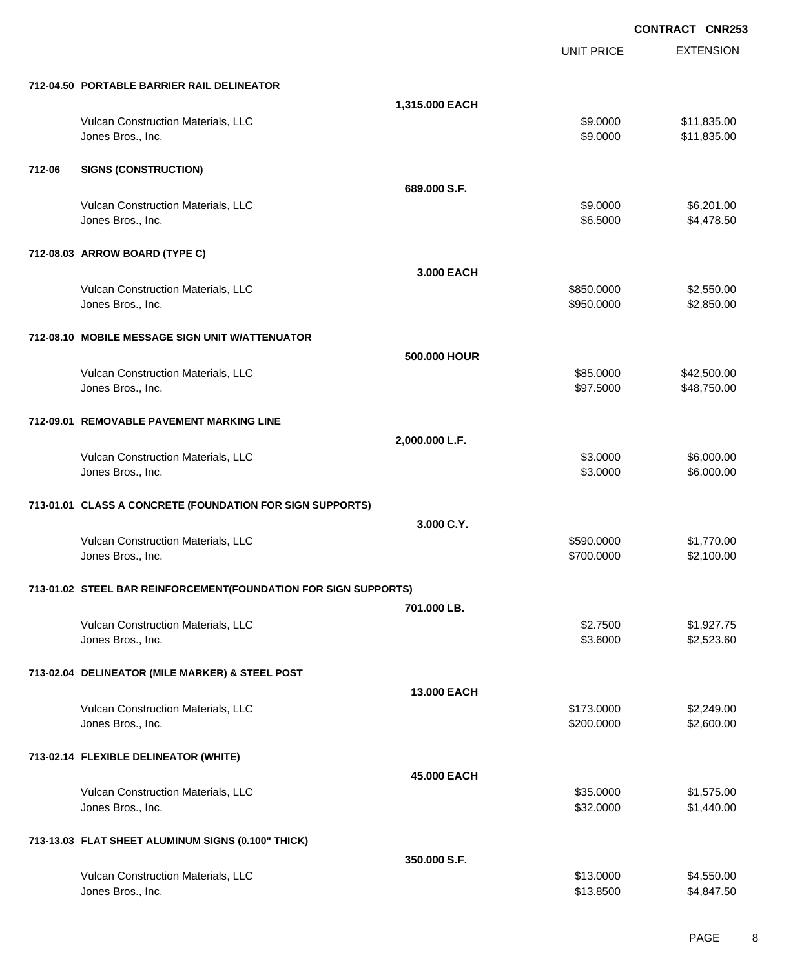EXTENSION **CONTRACT CNR253** UNIT PRICE **712-04.50 PORTABLE BARRIER RAIL DELINEATOR 1,315.000 EACH** Vulcan Construction Materials, LLC 611,835.00 \$11,835.00 Jones Bros., Inc. \$9.0000 \$11,835.00 **712-06 SIGNS (CONSTRUCTION) 689.000 S.F.** Vulcan Construction Materials, LLC 6,201.00 Jones Bros., Inc. \$6.5000 \$4,478.50 **712-08.03 ARROW BOARD (TYPE C) 3.000 EACH** Vulcan Construction Materials, LLC 66 and the state of the state of the state of the state of the state of the state of the state of the state of the state of the state of the state of the state of the state of the state o Jones Bros., Inc. \$950.0000 \$2,850.00 **712-08.10 MOBILE MESSAGE SIGN UNIT W/ATTENUATOR 500.000 HOUR** Vulcan Construction Materials, LLC 60000 \$42,500.00 \$42,500.00 Jones Bros., Inc. \$97.5000 \$48,750.00 **712-09.01 REMOVABLE PAVEMENT MARKING LINE 2,000.000 L.F.** Vulcan Construction Materials, LLC 6,000.00 \$6,000.00 \$6,000.00 \$6,000.00 \$6,000.00 Jones Bros., Inc. \$3.0000 \$6,000.00 **713-01.01 CLASS A CONCRETE (FOUNDATION FOR SIGN SUPPORTS) 3.000 C.Y.** Vulcan Construction Materials, LLC 60000 \$1,770.00 Jones Bros., Inc. \$700.0000 \$2,100.00 **713-01.02 STEEL BAR REINFORCEMENT(FOUNDATION FOR SIGN SUPPORTS) 701.000 LB.** Vulcan Construction Materials, LLC 63. The state of the state of the state of the state of the state of the state of the state of the state of the state of the state of the state of the state of the state of the state of t Jones Bros., Inc. \$3.6000 \$2,523.60 **713-02.04 DELINEATOR (MILE MARKER) & STEEL POST 13.000 EACH** Vulcan Construction Materials, LLC 6. The state of the state of the state of the state of the state of the state of the state of the state of the state of the state of the state of the state of the state of the state of th Jones Bros., Inc. \$200.0000 \$2,600.00 **713-02.14 FLEXIBLE DELINEATOR (WHITE) 45.000 EACH** Vulcan Construction Materials, LLC 6000 \$1,575.00 Jones Bros., Inc. \$32.0000 \$1,440.00 **713-13.03 FLAT SHEET ALUMINUM SIGNS (0.100" THICK) 350.000 S.F.** Vulcan Construction Materials, LLC 60000 \$4,550.00

Jones Bros., Inc. \$13.8500 \$4,847.50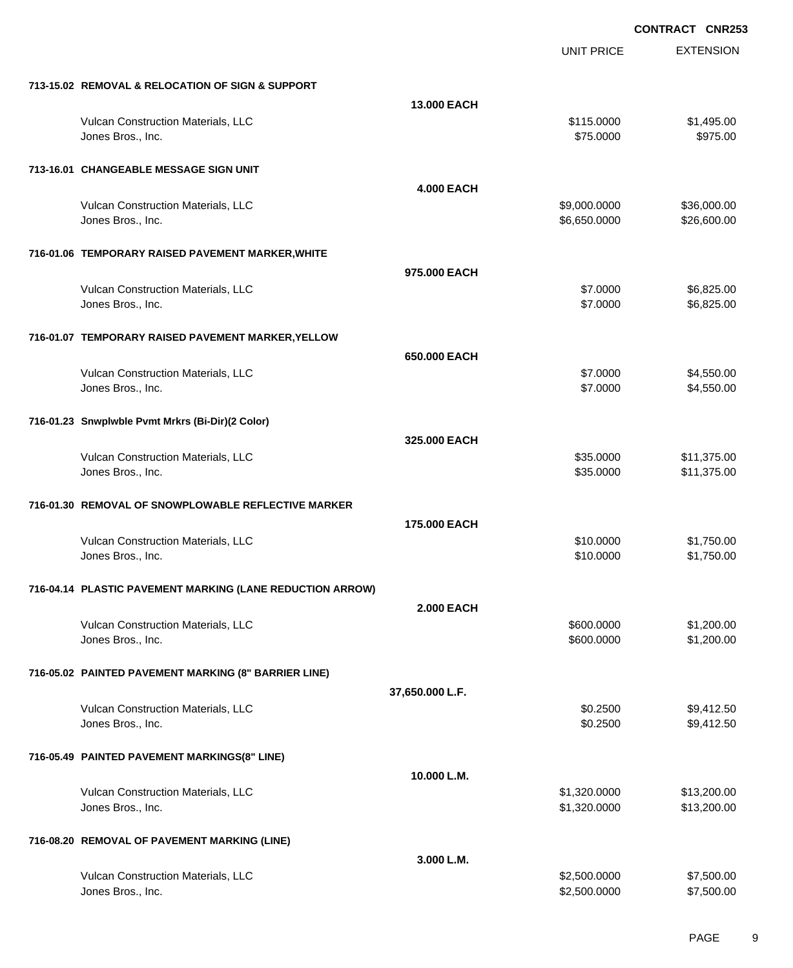|                                                           |                   | <b>UNIT PRICE</b>            | <b>EXTENSION</b>           |
|-----------------------------------------------------------|-------------------|------------------------------|----------------------------|
| 713-15.02 REMOVAL & RELOCATION OF SIGN & SUPPORT          |                   |                              |                            |
|                                                           | 13.000 EACH       |                              |                            |
| Vulcan Construction Materials, LLC<br>Jones Bros., Inc.   |                   | \$115,0000<br>\$75.0000      | \$1,495.00<br>\$975.00     |
| 713-16.01 CHANGEABLE MESSAGE SIGN UNIT                    |                   |                              |                            |
|                                                           | <b>4.000 EACH</b> |                              |                            |
| Vulcan Construction Materials, LLC<br>Jones Bros., Inc.   |                   | \$9,000.0000<br>\$6,650.0000 | \$36,000.00<br>\$26,600.00 |
| 716-01.06 TEMPORARY RAISED PAVEMENT MARKER, WHITE         |                   |                              |                            |
|                                                           | 975,000 EACH      |                              |                            |
| Vulcan Construction Materials, LLC<br>Jones Bros., Inc.   |                   | \$7.0000<br>\$7.0000         | \$6,825.00<br>\$6,825.00   |
| 716-01.07 TEMPORARY RAISED PAVEMENT MARKER, YELLOW        |                   |                              |                            |
|                                                           | 650.000 EACH      |                              |                            |
| Vulcan Construction Materials, LLC                        |                   | \$7.0000                     | \$4,550.00                 |
| Jones Bros., Inc.                                         |                   | \$7.0000                     | \$4,550.00                 |
| 716-01.23 Snwplwble Pvmt Mrkrs (Bi-Dir)(2 Color)          |                   |                              |                            |
|                                                           | 325.000 EACH      |                              |                            |
| Vulcan Construction Materials, LLC                        |                   | \$35.0000                    | \$11,375.00                |
| Jones Bros., Inc.                                         |                   | \$35.0000                    | \$11,375.00                |
| 716-01.30 REMOVAL OF SNOWPLOWABLE REFLECTIVE MARKER       |                   |                              |                            |
|                                                           | 175,000 EACH      |                              |                            |
| Vulcan Construction Materials, LLC                        |                   | \$10.0000                    | \$1,750.00                 |
| Jones Bros., Inc.                                         |                   | \$10.0000                    | \$1,750.00                 |
| 716-04.14 PLASTIC PAVEMENT MARKING (LANE REDUCTION ARROW) |                   |                              |                            |
|                                                           | <b>2.000 EACH</b> |                              |                            |
| Vulcan Construction Materials, LLC                        |                   | \$600.0000                   | \$1,200.00                 |
| Jones Bros., Inc.                                         |                   | \$600.0000                   | \$1,200.00                 |
| 716-05.02 PAINTED PAVEMENT MARKING (8" BARRIER LINE)      |                   |                              |                            |
|                                                           | 37,650.000 L.F.   |                              |                            |
| Vulcan Construction Materials, LLC                        |                   | \$0.2500                     | \$9,412.50                 |
| Jones Bros., Inc.                                         |                   | \$0.2500                     | \$9,412.50                 |
| 716-05.49 PAINTED PAVEMENT MARKINGS(8" LINE)              |                   |                              |                            |
|                                                           | 10.000 L.M.       |                              |                            |
| Vulcan Construction Materials, LLC                        |                   | \$1,320.0000                 | \$13,200.00                |
| Jones Bros., Inc.                                         |                   | \$1,320.0000                 | \$13,200.00                |
| 716-08.20 REMOVAL OF PAVEMENT MARKING (LINE)              |                   |                              |                            |
|                                                           | 3.000 L.M.        |                              |                            |
| Vulcan Construction Materials, LLC                        |                   | \$2,500.0000                 | \$7,500.00                 |
| Jones Bros., Inc.                                         |                   | \$2,500.0000                 | \$7,500.00                 |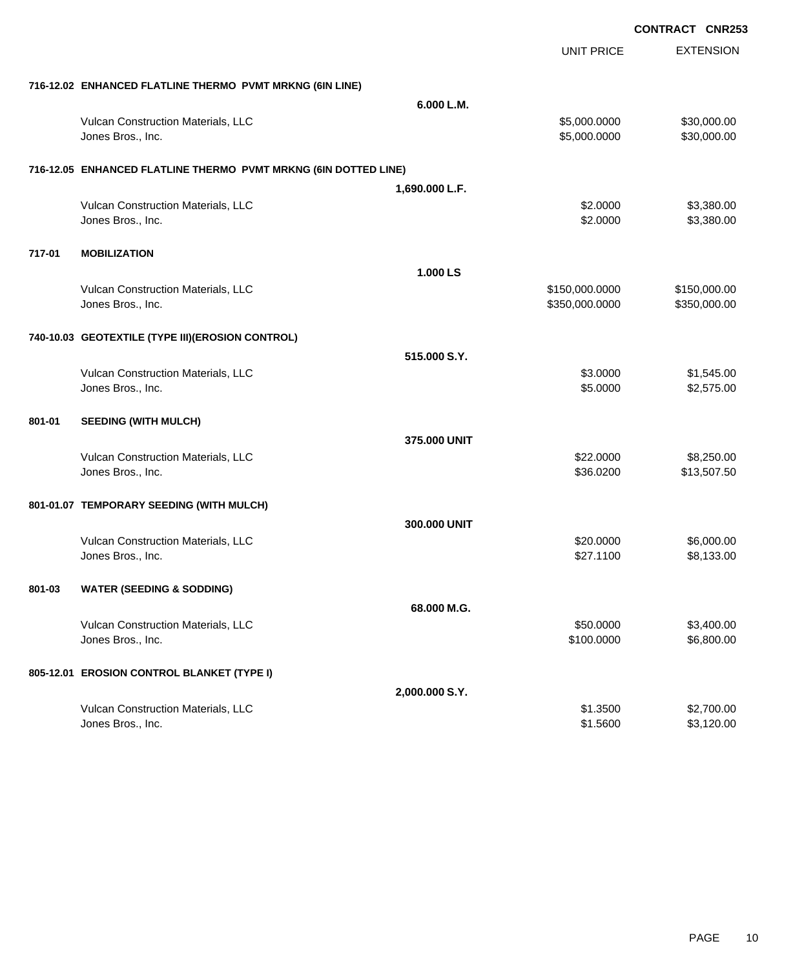|        |                                                                 |                | <b>UNIT PRICE</b> | <b>EXTENSION</b> |
|--------|-----------------------------------------------------------------|----------------|-------------------|------------------|
|        | 716-12.02 ENHANCED FLATLINE THERMO PVMT MRKNG (6IN LINE)        |                |                   |                  |
|        |                                                                 | 6.000 L.M.     |                   |                  |
|        | Vulcan Construction Materials, LLC                              |                | \$5,000.0000      | \$30,000.00      |
|        | Jones Bros., Inc.                                               |                | \$5,000.0000      | \$30,000.00      |
|        | 716-12.05 ENHANCED FLATLINE THERMO PVMT MRKNG (6IN DOTTED LINE) |                |                   |                  |
|        |                                                                 | 1,690.000 L.F. |                   |                  |
|        | Vulcan Construction Materials, LLC                              |                | \$2.0000          | \$3,380.00       |
|        | Jones Bros., Inc.                                               |                | \$2.0000          | \$3,380.00       |
| 717-01 | <b>MOBILIZATION</b>                                             |                |                   |                  |
|        |                                                                 | 1.000 LS       |                   |                  |
|        | Vulcan Construction Materials, LLC                              |                | \$150,000.0000    | \$150,000.00     |
|        | Jones Bros., Inc.                                               |                | \$350,000.0000    | \$350,000.00     |
|        | 740-10.03 GEOTEXTILE (TYPE III) (EROSION CONTROL)               |                |                   |                  |
|        |                                                                 | 515,000 S.Y.   |                   |                  |
|        | Vulcan Construction Materials, LLC                              |                | \$3.0000          | \$1,545.00       |
|        | Jones Bros., Inc.                                               |                | \$5.0000          | \$2,575.00       |
| 801-01 | <b>SEEDING (WITH MULCH)</b>                                     |                |                   |                  |
|        |                                                                 | 375.000 UNIT   |                   |                  |
|        | Vulcan Construction Materials, LLC                              |                | \$22.0000         | \$8,250.00       |
|        | Jones Bros., Inc.                                               |                | \$36.0200         | \$13,507.50      |
|        | 801-01.07 TEMPORARY SEEDING (WITH MULCH)                        |                |                   |                  |
|        |                                                                 | 300,000 UNIT   |                   |                  |
|        | Vulcan Construction Materials, LLC                              |                | \$20.0000         | \$6,000.00       |
|        | Jones Bros., Inc.                                               |                | \$27.1100         | \$8,133.00       |
| 801-03 | <b>WATER (SEEDING &amp; SODDING)</b>                            |                |                   |                  |
|        |                                                                 | 68.000 M.G.    |                   |                  |
|        | Vulcan Construction Materials, LLC                              |                | \$50.0000         | \$3,400.00       |
|        | Jones Bros., Inc.                                               |                | \$100.0000        | \$6,800.00       |
|        | 805-12.01 EROSION CONTROL BLANKET (TYPE I)                      |                |                   |                  |
|        |                                                                 | 2,000.000 S.Y. |                   |                  |
|        | Vulcan Construction Materials, LLC                              |                | \$1.3500          | \$2,700.00       |
|        | Jones Bros., Inc.                                               |                | \$1.5600          | \$3,120.00       |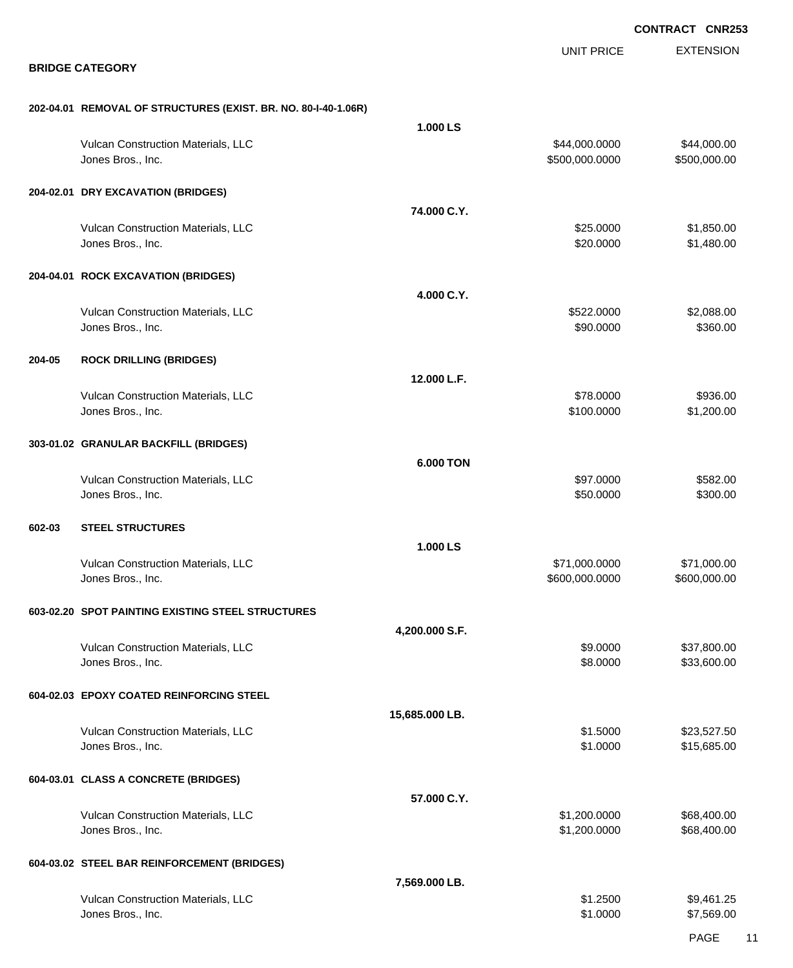|        |                                                                |                  |                                 | <b>CONTRACT CNR253</b>      |
|--------|----------------------------------------------------------------|------------------|---------------------------------|-----------------------------|
|        | <b>BRIDGE CATEGORY</b>                                         |                  | <b>UNIT PRICE</b>               | <b>EXTENSION</b>            |
|        | 202-04.01 REMOVAL OF STRUCTURES (EXIST. BR. NO. 80-I-40-1.06R) |                  |                                 |                             |
|        |                                                                | 1.000 LS         |                                 |                             |
|        | Vulcan Construction Materials, LLC<br>Jones Bros., Inc.        |                  | \$44,000.0000<br>\$500,000.0000 | \$44,000.00<br>\$500,000.00 |
|        | 204-02.01 DRY EXCAVATION (BRIDGES)                             |                  |                                 |                             |
|        |                                                                | 74.000 C.Y.      |                                 |                             |
|        | Vulcan Construction Materials, LLC<br>Jones Bros., Inc.        |                  | \$25.0000<br>\$20.0000          | \$1,850.00<br>\$1,480.00    |
|        | 204-04.01 ROCK EXCAVATION (BRIDGES)                            |                  |                                 |                             |
|        |                                                                | 4.000 C.Y.       |                                 |                             |
|        | Vulcan Construction Materials, LLC<br>Jones Bros., Inc.        |                  | \$522.0000<br>\$90.0000         | \$2,088.00<br>\$360.00      |
| 204-05 | <b>ROCK DRILLING (BRIDGES)</b>                                 |                  |                                 |                             |
|        |                                                                | 12.000 L.F.      |                                 |                             |
|        | Vulcan Construction Materials, LLC<br>Jones Bros., Inc.        |                  | \$78.0000<br>\$100.0000         | \$936.00<br>\$1,200.00      |
|        | 303-01.02 GRANULAR BACKFILL (BRIDGES)                          |                  |                                 |                             |
|        |                                                                | <b>6.000 TON</b> |                                 |                             |
|        | Vulcan Construction Materials, LLC<br>Jones Bros., Inc.        |                  | \$97.0000<br>\$50.0000          | \$582.00<br>\$300.00        |
| 602-03 | <b>STEEL STRUCTURES</b>                                        |                  |                                 |                             |
|        |                                                                | 1.000 LS         |                                 |                             |
|        | Vulcan Construction Materials, LLC<br>Jones Bros., Inc.        |                  | \$71,000.0000<br>\$600,000.0000 | \$71,000.00<br>\$600,000.00 |
|        | 603-02.20 SPOT PAINTING EXISTING STEEL STRUCTURES              |                  |                                 |                             |
|        |                                                                | 4,200.000 S.F.   |                                 |                             |
|        | Vulcan Construction Materials, LLC<br>Jones Bros., Inc.        |                  | \$9.0000<br>\$8.0000            | \$37,800.00<br>\$33,600.00  |
|        | 604-02.03 EPOXY COATED REINFORCING STEEL                       |                  |                                 |                             |
|        |                                                                | 15,685.000 LB.   |                                 |                             |
|        | Vulcan Construction Materials, LLC<br>Jones Bros., Inc.        |                  | \$1.5000<br>\$1.0000            | \$23,527.50<br>\$15,685.00  |
|        | 604-03.01 CLASS A CONCRETE (BRIDGES)                           |                  |                                 |                             |
|        |                                                                | 57.000 C.Y.      |                                 |                             |
|        | Vulcan Construction Materials, LLC<br>Jones Bros., Inc.        |                  | \$1,200.0000<br>\$1,200.0000    | \$68,400.00<br>\$68,400.00  |
|        | 604-03.02 STEEL BAR REINFORCEMENT (BRIDGES)                    |                  |                                 |                             |
|        |                                                                | 7,569.000 LB.    |                                 |                             |
|        | Vulcan Construction Materials, LLC<br>Jones Bros., Inc.        |                  | \$1.2500<br>\$1.0000            | \$9,461.25<br>\$7,569.00    |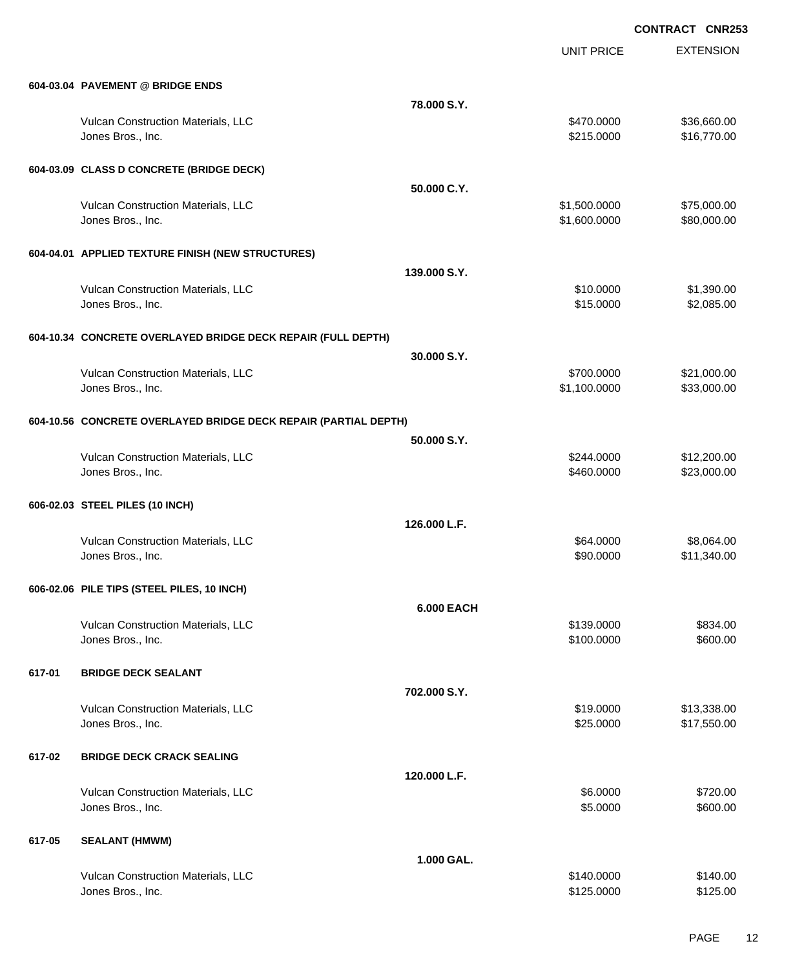EXTENSION

|        |                                                                 |                   | <b>UNIT PRICE</b>            | <b>EXTENSION</b>           |
|--------|-----------------------------------------------------------------|-------------------|------------------------------|----------------------------|
|        | 604-03.04 PAVEMENT @ BRIDGE ENDS                                |                   |                              |                            |
|        |                                                                 | 78.000 S.Y.       |                              |                            |
|        | Vulcan Construction Materials, LLC<br>Jones Bros., Inc.         |                   | \$470.0000<br>\$215.0000     | \$36,660.00<br>\$16,770.00 |
|        | 604-03.09 CLASS D CONCRETE (BRIDGE DECK)                        |                   |                              |                            |
|        |                                                                 | 50.000 C.Y.       |                              |                            |
|        | Vulcan Construction Materials, LLC<br>Jones Bros., Inc.         |                   | \$1,500.0000<br>\$1,600.0000 | \$75,000.00<br>\$80,000.00 |
|        | 604-04.01 APPLIED TEXTURE FINISH (NEW STRUCTURES)               |                   |                              |                            |
|        |                                                                 | 139.000 S.Y.      |                              |                            |
|        | Vulcan Construction Materials, LLC<br>Jones Bros., Inc.         |                   | \$10.0000<br>\$15.0000       | \$1,390.00<br>\$2,085.00   |
|        | 604-10.34 CONCRETE OVERLAYED BRIDGE DECK REPAIR (FULL DEPTH)    |                   |                              |                            |
|        |                                                                 | 30.000 S.Y.       |                              |                            |
|        | Vulcan Construction Materials, LLC<br>Jones Bros., Inc.         |                   | \$700.0000<br>\$1,100.0000   | \$21,000.00<br>\$33,000.00 |
|        | 604-10.56 CONCRETE OVERLAYED BRIDGE DECK REPAIR (PARTIAL DEPTH) |                   |                              |                            |
|        |                                                                 | 50.000 S.Y.       |                              |                            |
|        | Vulcan Construction Materials, LLC<br>Jones Bros., Inc.         |                   | \$244.0000<br>\$460.0000     | \$12,200.00<br>\$23,000.00 |
|        | 606-02.03 STEEL PILES (10 INCH)                                 | 126.000 L.F.      |                              |                            |
|        | Vulcan Construction Materials, LLC                              |                   | \$64.0000                    | \$8,064.00                 |
|        | Jones Bros., Inc.                                               |                   | \$90.0000                    | \$11,340.00                |
|        | 606-02.06 PILE TIPS (STEEL PILES, 10 INCH)                      | <b>6.000 EACH</b> |                              |                            |
|        | Vulcan Construction Materials, LLC                              |                   | \$139.0000                   | \$834.00                   |
|        | Jones Bros., Inc.                                               |                   | \$100.0000                   | \$600.00                   |
| 617-01 | <b>BRIDGE DECK SEALANT</b>                                      |                   |                              |                            |
|        | Vulcan Construction Materials, LLC                              | 702.000 S.Y.      | \$19.0000                    | \$13,338.00                |
|        | Jones Bros., Inc.                                               |                   | \$25.0000                    | \$17,550.00                |
| 617-02 | <b>BRIDGE DECK CRACK SEALING</b>                                |                   |                              |                            |
|        |                                                                 | 120.000 L.F.      | \$6.0000                     |                            |
|        | Vulcan Construction Materials, LLC<br>Jones Bros., Inc.         |                   | \$5.0000                     | \$720.00<br>\$600.00       |
| 617-05 | <b>SEALANT (HMWM)</b>                                           |                   |                              |                            |
|        |                                                                 | 1.000 GAL.        | \$140.0000                   | \$140.00                   |
|        | Vulcan Construction Materials, LLC<br>Jones Bros., Inc.         |                   | \$125.0000                   | \$125.00                   |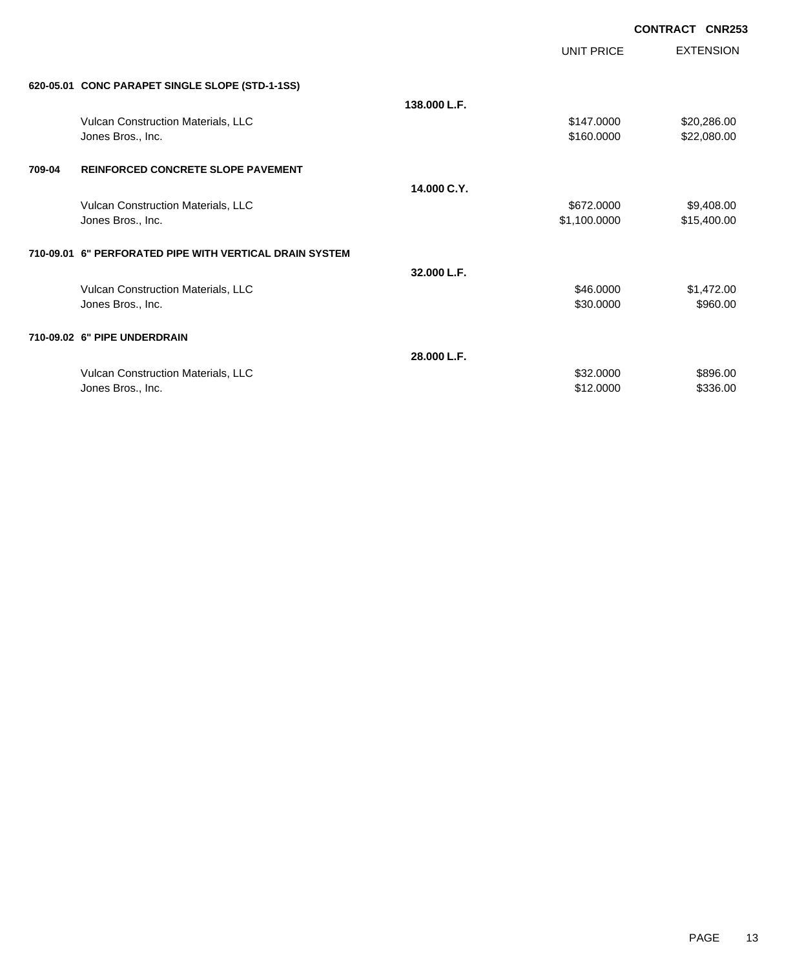| <b>CONTRACT CNR253</b> |  |
|------------------------|--|
|                        |  |

|        |                                                         |              | UNIT PRICE   | <b>EXTENSION</b> |
|--------|---------------------------------------------------------|--------------|--------------|------------------|
|        | 620-05.01 CONC PARAPET SINGLE SLOPE (STD-1-1SS)         |              |              |                  |
|        |                                                         | 138.000 L.F. |              |                  |
|        | Vulcan Construction Materials, LLC                      |              | \$147.0000   | \$20,286.00      |
|        | Jones Bros., Inc.                                       |              | \$160.0000   | \$22,080.00      |
|        |                                                         |              |              |                  |
| 709-04 | <b>REINFORCED CONCRETE SLOPE PAVEMENT</b>               |              |              |                  |
|        |                                                         | 14.000 C.Y.  |              |                  |
|        |                                                         |              |              |                  |
|        | Vulcan Construction Materials, LLC                      |              | \$672.0000   | \$9,408.00       |
|        | Jones Bros., Inc.                                       |              | \$1,100.0000 | \$15,400.00      |
|        | 710-09.01 6" PERFORATED PIPE WITH VERTICAL DRAIN SYSTEM |              |              |                  |
|        |                                                         |              |              |                  |
|        |                                                         | 32.000 L.F.  |              |                  |
|        | Vulcan Construction Materials, LLC                      |              | \$46.0000    | \$1,472.00       |
|        | Jones Bros., Inc.                                       |              | \$30.0000    | \$960.00         |
|        | 710-09.02 6" PIPE UNDERDRAIN                            |              |              |                  |
|        |                                                         | 28.000 L.F.  |              |                  |
|        | Vulcan Construction Materials, LLC                      |              | \$32,0000    | \$896.00         |
|        | Jones Bros., Inc.                                       |              | \$12.0000    | \$336.00         |